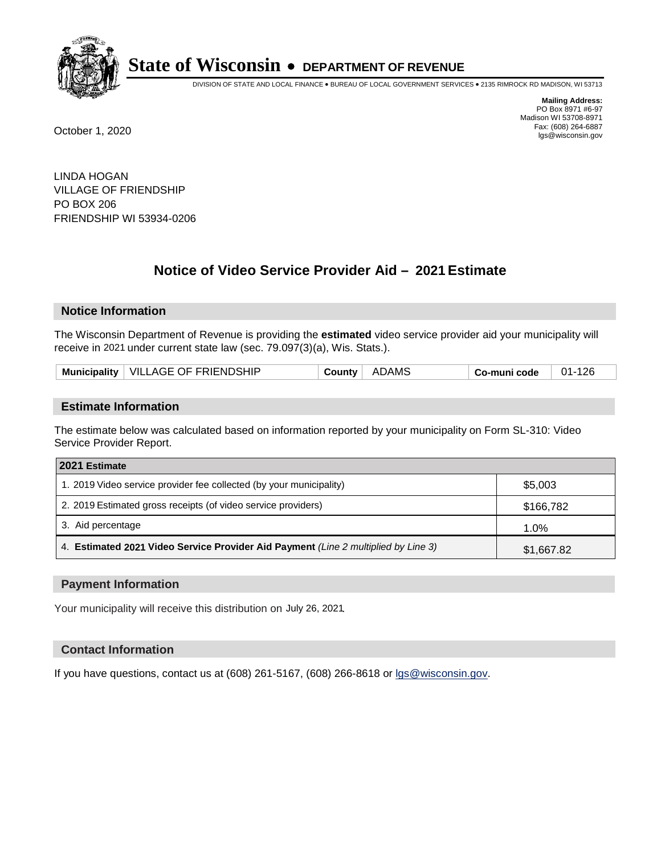

DIVISION OF STATE AND LOCAL FINANCE • BUREAU OF LOCAL GOVERNMENT SERVICES • 2135 RIMROCK RD MADISON, WI 53713

**Mailing Address:** PO Box 8971 #6-97 Madison WI 53708-8971<br>Fax: (608) 264-6887 Fax: (608) 264-6887 October 1, 2020 lgs@wisconsin.gov

LINDA HOGAN VILLAGE OF FRIENDSHIP PO BOX 206 FRIENDSHIP WI 53934-0206

# **Notice of Video Service Provider Aid - 2021 Estimate**

## **Notice Information**

The Wisconsin Department of Revenue is providing the **estimated** video service provider aid your municipality will receive in 2021 under current state law (sec. 79.097(3)(a), Wis. Stats.).

| Municipality   VILLAGE OF FRIENDSHIP<br>ADAMS<br>01-126<br>َ ountvٽ<br>Co-muni code |
|-------------------------------------------------------------------------------------|
|-------------------------------------------------------------------------------------|

#### **Estimate Information**

The estimate below was calculated based on information reported by your municipality on Form SL-310: Video Service Provider Report.

| 2021 Estimate                                                                      |            |
|------------------------------------------------------------------------------------|------------|
| 1. 2019 Video service provider fee collected (by your municipality)                | \$5,003    |
| 2. 2019 Estimated gross receipts (of video service providers)                      | \$166,782  |
| 3. Aid percentage                                                                  | 1.0%       |
| 4. Estimated 2021 Video Service Provider Aid Payment (Line 2 multiplied by Line 3) | \$1,667.82 |

#### **Payment Information**

Your municipality will receive this distribution on July 26, 2021.

## **Contact Information**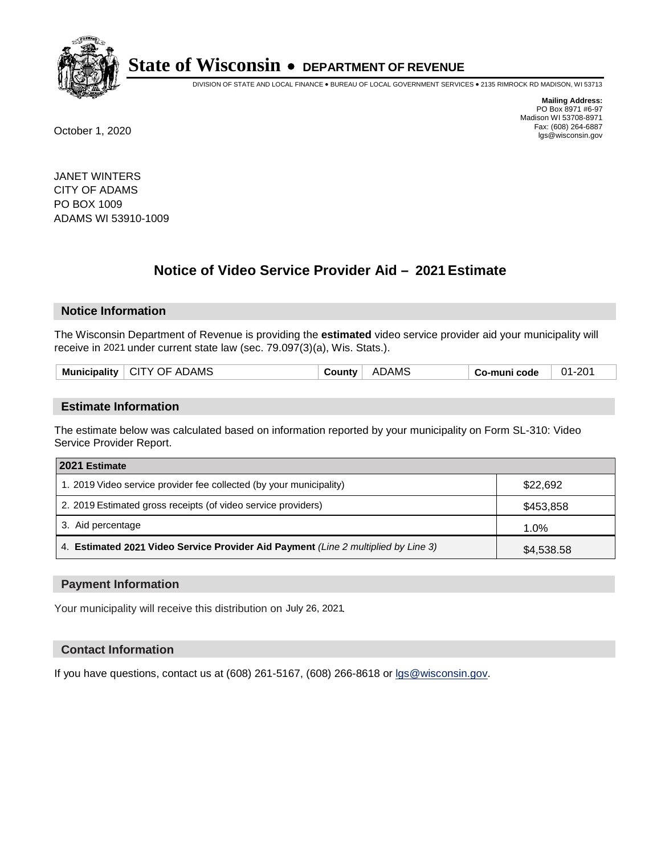

DIVISION OF STATE AND LOCAL FINANCE • BUREAU OF LOCAL GOVERNMENT SERVICES • 2135 RIMROCK RD MADISON, WI 53713

**Mailing Address:** PO Box 8971 #6-97 Madison WI 53708-8971<br>Fax: (608) 264-6887 Fax: (608) 264-6887 October 1, 2020 lgs@wisconsin.gov

JANET WINTERS CITY OF ADAMS PO BOX 1009 ADAMS WI 53910-1009

# **Notice of Video Service Provider Aid - 2021 Estimate**

## **Notice Information**

The Wisconsin Department of Revenue is providing the **estimated** video service provider aid your municipality will receive in 2021 under current state law (sec. 79.097(3)(a), Wis. Stats.).

| <br>Muni<br>זור<br>яваш | DAMS.<br>ΑI<br>CП<br>.)F<br>Y | DAM. | code<br>$\sim$ $\sim$ $\sim$ $\sim$<br>- - - - - | ົດດາ<br>ี่ การ |
|-------------------------|-------------------------------|------|--------------------------------------------------|----------------|
|                         |                               |      |                                                  |                |

#### **Estimate Information**

The estimate below was calculated based on information reported by your municipality on Form SL-310: Video Service Provider Report.

| 2021 Estimate                                                                      |            |
|------------------------------------------------------------------------------------|------------|
| 1. 2019 Video service provider fee collected (by your municipality)                | \$22,692   |
| 2. 2019 Estimated gross receipts (of video service providers)                      | \$453,858  |
| 3. Aid percentage                                                                  | 1.0%       |
| 4. Estimated 2021 Video Service Provider Aid Payment (Line 2 multiplied by Line 3) | \$4,538.58 |

#### **Payment Information**

Your municipality will receive this distribution on July 26, 2021.

## **Contact Information**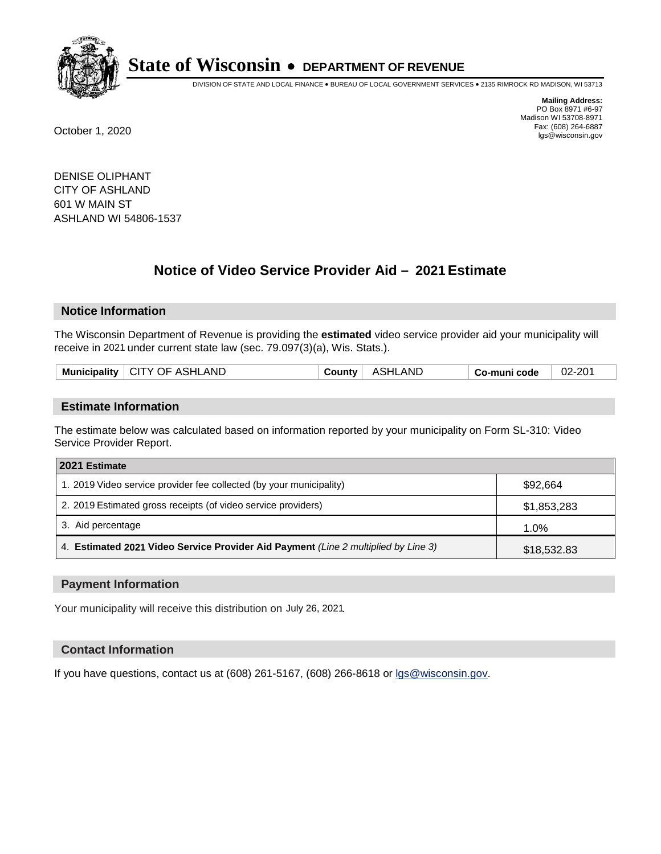

DIVISION OF STATE AND LOCAL FINANCE • BUREAU OF LOCAL GOVERNMENT SERVICES • 2135 RIMROCK RD MADISON, WI 53713

**Mailing Address:** PO Box 8971 #6-97 Madison WI 53708-8971<br>Fax: (608) 264-6887 Fax: (608) 264-6887 October 1, 2020 lgs@wisconsin.gov

DENISE OLIPHANT CITY OF ASHLAND 601 W MAIN ST ASHLAND WI 54806-1537

# **Notice of Video Service Provider Aid - 2021 Estimate**

## **Notice Information**

The Wisconsin Department of Revenue is providing the **estimated** video service provider aid your municipality will receive in 2021 under current state law (sec. 79.097(3)(a), Wis. Stats.).

| Municipality   CITY OF ASHLAND | <b>County</b> | ASHLAND | Co-muni code | 02-201 |
|--------------------------------|---------------|---------|--------------|--------|
|                                |               |         |              |        |

#### **Estimate Information**

The estimate below was calculated based on information reported by your municipality on Form SL-310: Video Service Provider Report.

| 2021 Estimate                                                                      |             |
|------------------------------------------------------------------------------------|-------------|
| 1. 2019 Video service provider fee collected (by your municipality)                | \$92,664    |
| 2. 2019 Estimated gross receipts (of video service providers)                      | \$1,853,283 |
| 3. Aid percentage                                                                  | 1.0%        |
| 4. Estimated 2021 Video Service Provider Aid Payment (Line 2 multiplied by Line 3) | \$18,532.83 |

#### **Payment Information**

Your municipality will receive this distribution on July 26, 2021.

#### **Contact Information**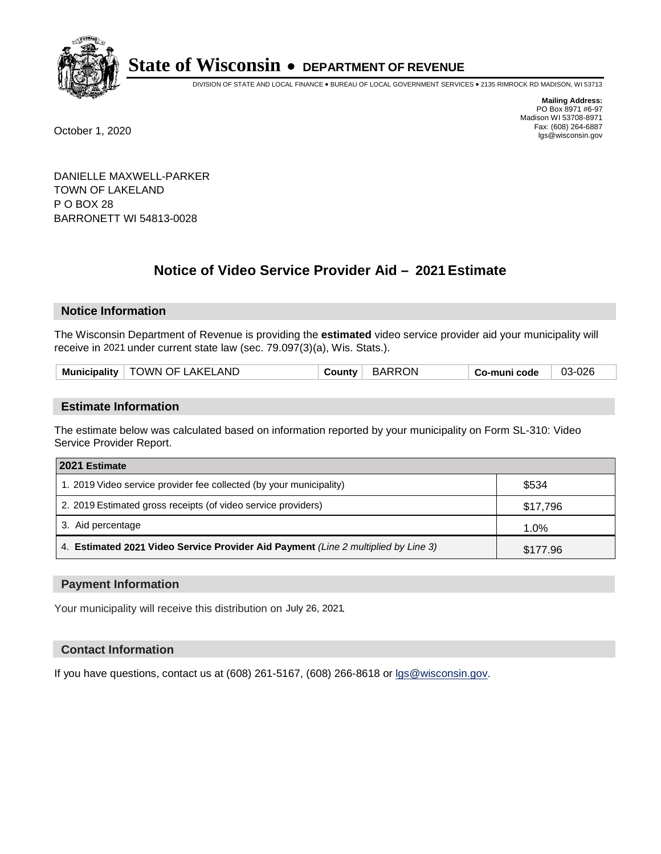

DIVISION OF STATE AND LOCAL FINANCE • BUREAU OF LOCAL GOVERNMENT SERVICES • 2135 RIMROCK RD MADISON, WI 53713

**Mailing Address:** PO Box 8971 #6-97 Madison WI 53708-8971<br>Fax: (608) 264-6887 Fax: (608) 264-6887 October 1, 2020 lgs@wisconsin.gov

DANIELLE MAXWELL-PARKER TOWN OF LAKELAND P O BOX 28 BARRONETT WI 54813-0028

# **Notice of Video Service Provider Aid - 2021 Estimate**

## **Notice Information**

The Wisconsin Department of Revenue is providing the **estimated** video service provider aid your municipality will receive in 2021 under current state law (sec. 79.097(3)(a), Wis. Stats.).

|  | <b>Municipality</b> | OWN OF LAKELAND | :ountv | ON<br><b>BARR</b> | o-muni code، ت | 03-026 |
|--|---------------------|-----------------|--------|-------------------|----------------|--------|
|--|---------------------|-----------------|--------|-------------------|----------------|--------|

#### **Estimate Information**

The estimate below was calculated based on information reported by your municipality on Form SL-310: Video Service Provider Report.

| 2021 Estimate                                                                      |          |
|------------------------------------------------------------------------------------|----------|
| 1. 2019 Video service provider fee collected (by your municipality)                | \$534    |
| 2. 2019 Estimated gross receipts (of video service providers)                      | \$17,796 |
| 3. Aid percentage                                                                  | 1.0%     |
| 4. Estimated 2021 Video Service Provider Aid Payment (Line 2 multiplied by Line 3) | \$177.96 |

#### **Payment Information**

Your municipality will receive this distribution on July 26, 2021.

## **Contact Information**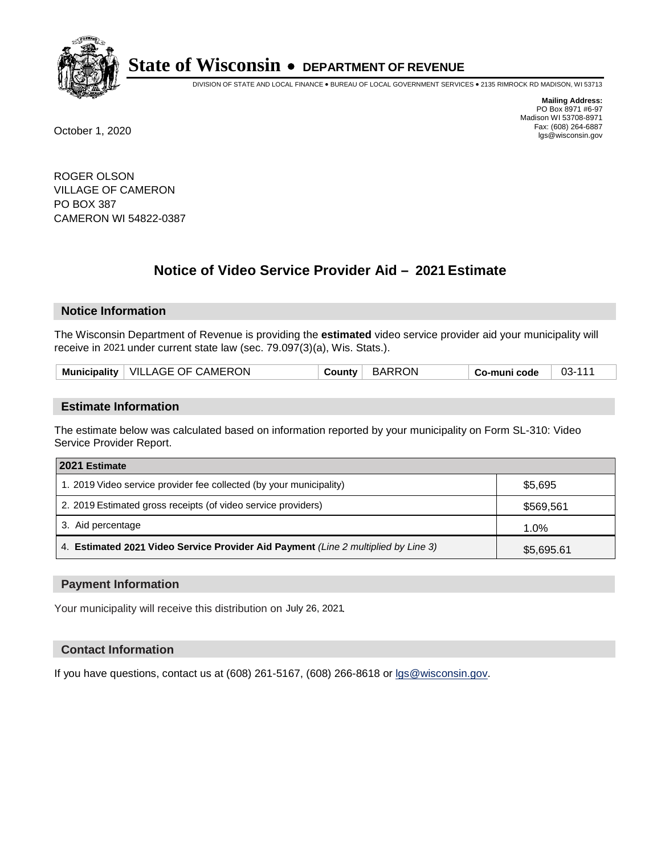

DIVISION OF STATE AND LOCAL FINANCE • BUREAU OF LOCAL GOVERNMENT SERVICES • 2135 RIMROCK RD MADISON, WI 53713

**Mailing Address:** PO Box 8971 #6-97 Madison WI 53708-8971<br>Fax: (608) 264-6887 Fax: (608) 264-6887 October 1, 2020 lgs@wisconsin.gov

ROGER OLSON VILLAGE OF CAMERON PO BOX 387 CAMERON WI 54822-0387

# **Notice of Video Service Provider Aid - 2021 Estimate**

## **Notice Information**

The Wisconsin Department of Revenue is providing the **estimated** video service provider aid your municipality will receive in 2021 under current state law (sec. 79.097(3)(a), Wis. Stats.).

|--|

#### **Estimate Information**

The estimate below was calculated based on information reported by your municipality on Form SL-310: Video Service Provider Report.

| 2021 Estimate                                                                      |            |
|------------------------------------------------------------------------------------|------------|
| 1. 2019 Video service provider fee collected (by your municipality)                | \$5,695    |
| 2. 2019 Estimated gross receipts (of video service providers)                      | \$569,561  |
| 3. Aid percentage                                                                  | 1.0%       |
| 4. Estimated 2021 Video Service Provider Aid Payment (Line 2 multiplied by Line 3) | \$5,695.61 |

#### **Payment Information**

Your municipality will receive this distribution on July 26, 2021.

## **Contact Information**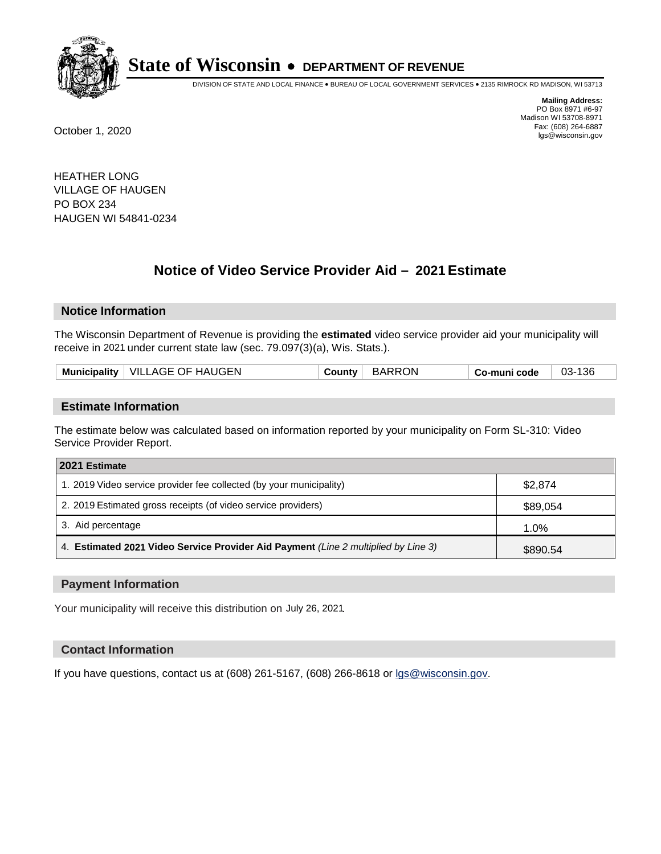

DIVISION OF STATE AND LOCAL FINANCE • BUREAU OF LOCAL GOVERNMENT SERVICES • 2135 RIMROCK RD MADISON, WI 53713

**Mailing Address:** PO Box 8971 #6-97 Madison WI 53708-8971<br>Fax: (608) 264-6887 Fax: (608) 264-6887 October 1, 2020 lgs@wisconsin.gov

HEATHER LONG VILLAGE OF HAUGEN PO BOX 234 HAUGEN WI 54841-0234

# **Notice of Video Service Provider Aid - 2021 Estimate**

## **Notice Information**

The Wisconsin Department of Revenue is providing the **estimated** video service provider aid your municipality will receive in 2021 under current state law (sec. 79.097(3)(a), Wis. Stats.).

| Municipality   VILLAGE OF HAUGEN<br><b>BARRON</b><br>03-136<br>Countv ∶<br>Co-muni code |
|-----------------------------------------------------------------------------------------|
|-----------------------------------------------------------------------------------------|

#### **Estimate Information**

The estimate below was calculated based on information reported by your municipality on Form SL-310: Video Service Provider Report.

| 2021 Estimate                                                                      |          |
|------------------------------------------------------------------------------------|----------|
| 1. 2019 Video service provider fee collected (by your municipality)                | \$2,874  |
| 2. 2019 Estimated gross receipts (of video service providers)                      | \$89,054 |
| 3. Aid percentage                                                                  | 1.0%     |
| 4. Estimated 2021 Video Service Provider Aid Payment (Line 2 multiplied by Line 3) | \$890.54 |

#### **Payment Information**

Your municipality will receive this distribution on July 26, 2021.

## **Contact Information**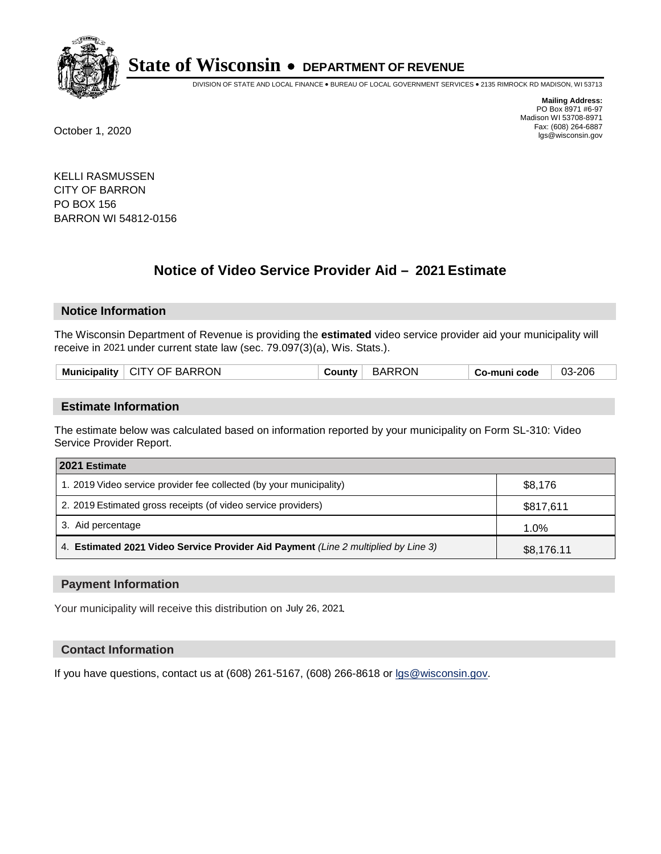

DIVISION OF STATE AND LOCAL FINANCE • BUREAU OF LOCAL GOVERNMENT SERVICES • 2135 RIMROCK RD MADISON, WI 53713

**Mailing Address:** PO Box 8971 #6-97 Madison WI 53708-8971<br>Fax: (608) 264-6887 Fax: (608) 264-6887 October 1, 2020 lgs@wisconsin.gov

KELLI RASMUSSEN CITY OF BARRON PO BOX 156 BARRON WI 54812-0156

# **Notice of Video Service Provider Aid - 2021 Estimate**

## **Notice Information**

The Wisconsin Department of Revenue is providing the **estimated** video service provider aid your municipality will receive in 2021 under current state law (sec. 79.097(3)(a), Wis. Stats.).

| Municipality   CITY OF BARRON | <b>County</b> ' | BARRON | Co-muni code | 03-206 |
|-------------------------------|-----------------|--------|--------------|--------|
|                               |                 |        |              |        |

#### **Estimate Information**

The estimate below was calculated based on information reported by your municipality on Form SL-310: Video Service Provider Report.

| 2021 Estimate                                                                      |            |
|------------------------------------------------------------------------------------|------------|
| 1. 2019 Video service provider fee collected (by your municipality)                | \$8,176    |
| 2. 2019 Estimated gross receipts (of video service providers)                      | \$817,611  |
| 3. Aid percentage                                                                  | 1.0%       |
| 4. Estimated 2021 Video Service Provider Aid Payment (Line 2 multiplied by Line 3) | \$8,176.11 |

#### **Payment Information**

Your municipality will receive this distribution on July 26, 2021.

## **Contact Information**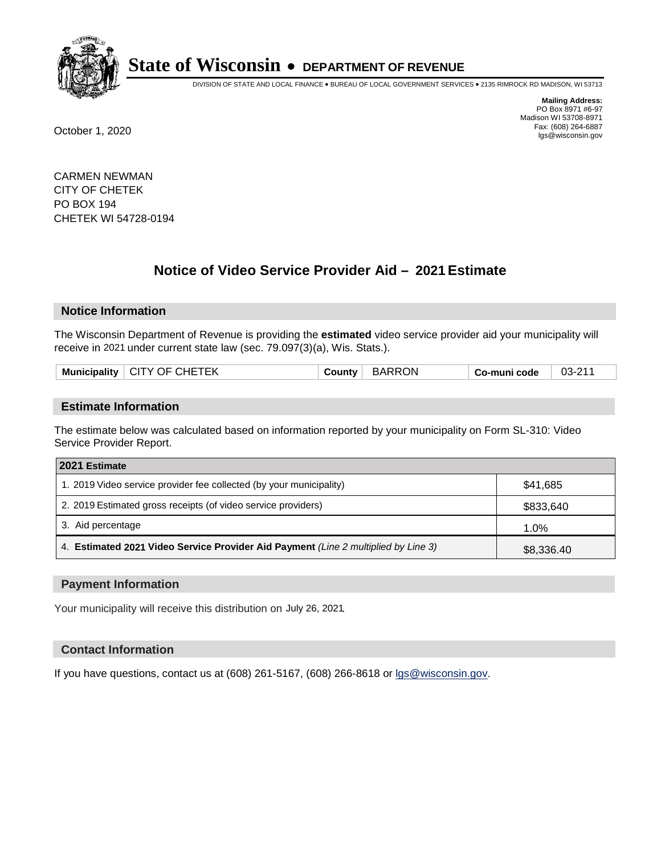

DIVISION OF STATE AND LOCAL FINANCE • BUREAU OF LOCAL GOVERNMENT SERVICES • 2135 RIMROCK RD MADISON, WI 53713

**Mailing Address:** PO Box 8971 #6-97 Madison WI 53708-8971<br>Fax: (608) 264-6887 Fax: (608) 264-6887 October 1, 2020 lgs@wisconsin.gov

CARMEN NEWMAN CITY OF CHETEK PO BOX 194 CHETEK WI 54728-0194

# **Notice of Video Service Provider Aid - 2021 Estimate**

## **Notice Information**

The Wisconsin Department of Revenue is providing the **estimated** video service provider aid your municipality will receive in 2021 under current state law (sec. 79.097(3)(a), Wis. Stats.).

|  |  | Municipality   CITY OF CHETEK | <b>County</b> | <b>BARRON</b> | Co-muni code | $\bigcap$<br>$03 - 21$ |
|--|--|-------------------------------|---------------|---------------|--------------|------------------------|
|--|--|-------------------------------|---------------|---------------|--------------|------------------------|

#### **Estimate Information**

The estimate below was calculated based on information reported by your municipality on Form SL-310: Video Service Provider Report.

| 2021 Estimate                                                                      |            |
|------------------------------------------------------------------------------------|------------|
| 1. 2019 Video service provider fee collected (by your municipality)                | \$41,685   |
| 2. 2019 Estimated gross receipts (of video service providers)                      | \$833,640  |
| 3. Aid percentage                                                                  | 1.0%       |
| 4. Estimated 2021 Video Service Provider Aid Payment (Line 2 multiplied by Line 3) | \$8,336.40 |

#### **Payment Information**

Your municipality will receive this distribution on July 26, 2021.

## **Contact Information**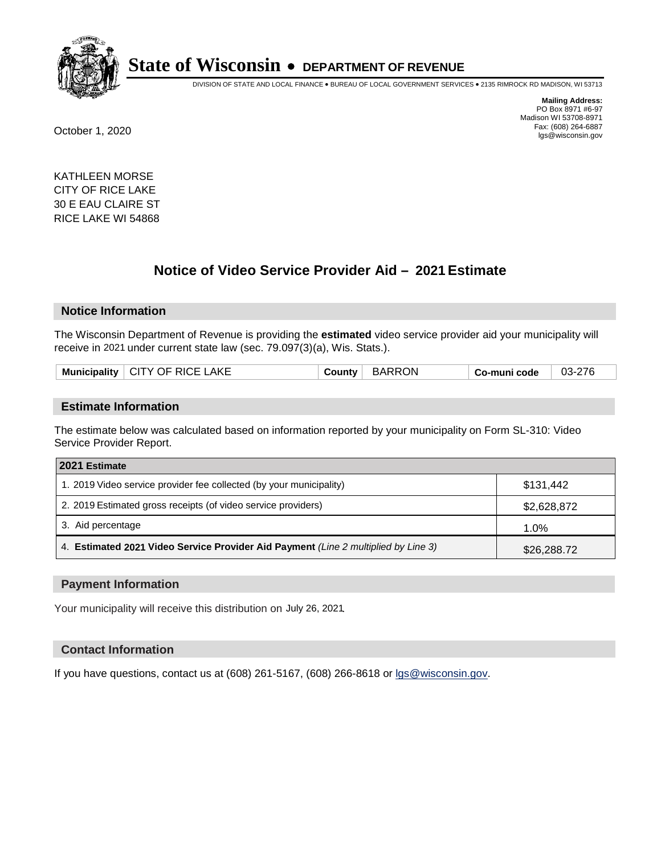

DIVISION OF STATE AND LOCAL FINANCE • BUREAU OF LOCAL GOVERNMENT SERVICES • 2135 RIMROCK RD MADISON, WI 53713

**Mailing Address:** PO Box 8971 #6-97 Madison WI 53708-8971<br>Fax: (608) 264-6887 Fax: (608) 264-6887 October 1, 2020 lgs@wisconsin.gov

KATHLEEN MORSE CITY OF RICE LAKE 30 E EAU CLAIRE ST RICE LAKE WI 54868

# **Notice of Video Service Provider Aid - 2021 Estimate**

#### **Notice Information**

The Wisconsin Department of Revenue is providing the **estimated** video service provider aid your municipality will receive in 2021 under current state law (sec. 79.097(3)(a), Wis. Stats.).

| Municipality   CITY OF RICE LAKE | <b>County</b> | <b>BARRON</b> | Co-muni code | 03-276 |
|----------------------------------|---------------|---------------|--------------|--------|
|                                  |               |               |              |        |

#### **Estimate Information**

The estimate below was calculated based on information reported by your municipality on Form SL-310: Video Service Provider Report.

| 2021 Estimate                                                                      |             |
|------------------------------------------------------------------------------------|-------------|
| 1. 2019 Video service provider fee collected (by your municipality)                | \$131.442   |
| 2. 2019 Estimated gross receipts (of video service providers)                      | \$2,628,872 |
| 3. Aid percentage                                                                  | 1.0%        |
| 4. Estimated 2021 Video Service Provider Aid Payment (Line 2 multiplied by Line 3) | \$26,288.72 |

#### **Payment Information**

Your municipality will receive this distribution on July 26, 2021.

#### **Contact Information**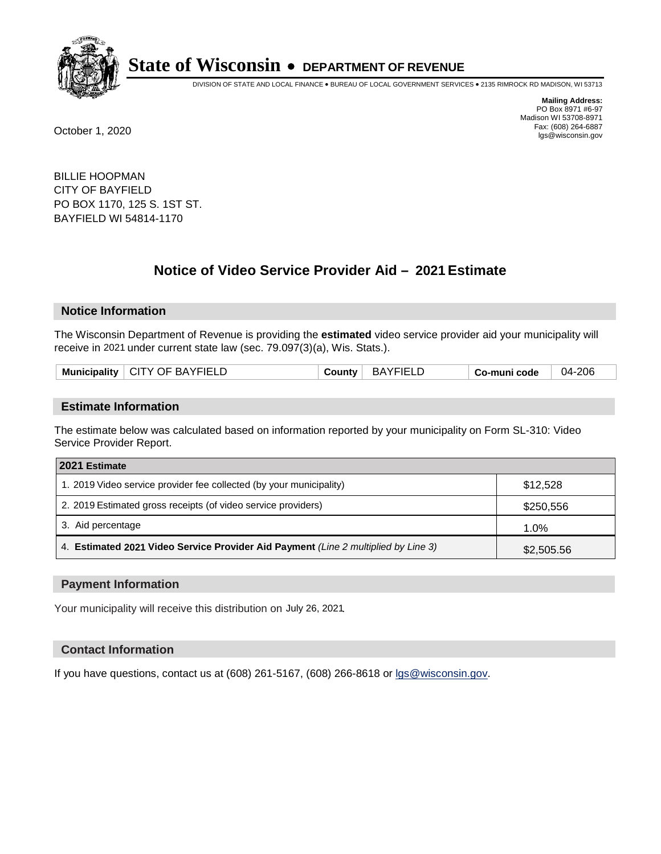

DIVISION OF STATE AND LOCAL FINANCE • BUREAU OF LOCAL GOVERNMENT SERVICES • 2135 RIMROCK RD MADISON, WI 53713

**Mailing Address:** PO Box 8971 #6-97 Madison WI 53708-8971<br>Fax: (608) 264-6887 Fax: (608) 264-6887 October 1, 2020 lgs@wisconsin.gov

BILLIE HOOPMAN CITY OF BAYFIELD PO BOX 1170, 125 S. 1ST ST. BAYFIELD WI 54814-1170

# **Notice of Video Service Provider Aid - 2021 Estimate**

## **Notice Information**

The Wisconsin Department of Revenue is providing the **estimated** video service provider aid your municipality will receive in 2021 under current state law (sec. 79.097(3)(a), Wis. Stats.).

| Municipality   CITY OF BAYFIELD | <b>County</b> : | <b>BAYFIELL</b> | Co-muni code | 04-206 |
|---------------------------------|-----------------|-----------------|--------------|--------|
|                                 |                 |                 |              |        |

#### **Estimate Information**

The estimate below was calculated based on information reported by your municipality on Form SL-310: Video Service Provider Report.

| 2021 Estimate                                                                      |            |
|------------------------------------------------------------------------------------|------------|
| 1. 2019 Video service provider fee collected (by your municipality)                | \$12,528   |
| 2. 2019 Estimated gross receipts (of video service providers)                      | \$250,556  |
| 3. Aid percentage                                                                  | 1.0%       |
| 4. Estimated 2021 Video Service Provider Aid Payment (Line 2 multiplied by Line 3) | \$2,505.56 |

#### **Payment Information**

Your municipality will receive this distribution on July 26, 2021.

## **Contact Information**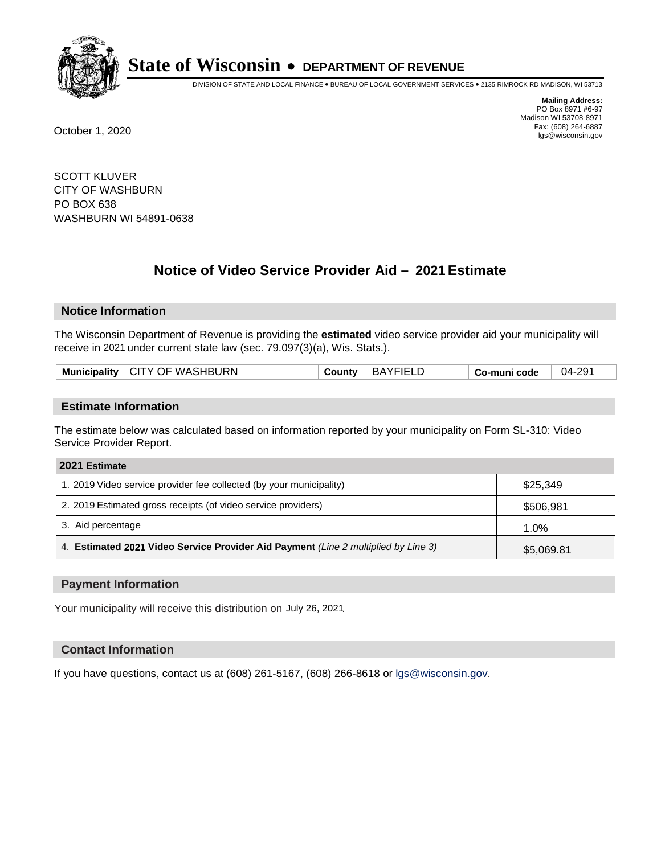

DIVISION OF STATE AND LOCAL FINANCE • BUREAU OF LOCAL GOVERNMENT SERVICES • 2135 RIMROCK RD MADISON, WI 53713

**Mailing Address:** PO Box 8971 #6-97 Madison WI 53708-8971<br>Fax: (608) 264-6887 Fax: (608) 264-6887 October 1, 2020 lgs@wisconsin.gov

SCOTT KLUVER CITY OF WASHBURN PO BOX 638 WASHBURN WI 54891-0638

# **Notice of Video Service Provider Aid - 2021 Estimate**

## **Notice Information**

The Wisconsin Department of Revenue is providing the **estimated** video service provider aid your municipality will receive in 2021 under current state law (sec. 79.097(3)(a), Wis. Stats.).

| Municipality   CITY OF WASHBURN |
|---------------------------------|
|---------------------------------|

#### **Estimate Information**

The estimate below was calculated based on information reported by your municipality on Form SL-310: Video Service Provider Report.

| 2021 Estimate                                                                      |            |
|------------------------------------------------------------------------------------|------------|
| 1. 2019 Video service provider fee collected (by your municipality)                | \$25,349   |
| 2. 2019 Estimated gross receipts (of video service providers)                      | \$506,981  |
| 3. Aid percentage                                                                  | 1.0%       |
| 4. Estimated 2021 Video Service Provider Aid Payment (Line 2 multiplied by Line 3) | \$5,069.81 |

#### **Payment Information**

Your municipality will receive this distribution on July 26, 2021.

## **Contact Information**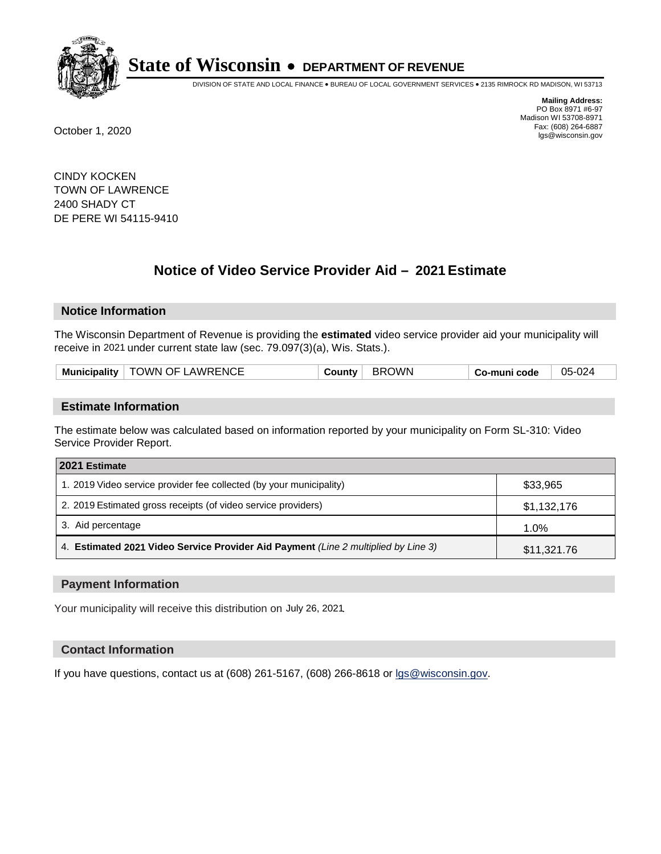

DIVISION OF STATE AND LOCAL FINANCE • BUREAU OF LOCAL GOVERNMENT SERVICES • 2135 RIMROCK RD MADISON, WI 53713

**Mailing Address:** PO Box 8971 #6-97 Madison WI 53708-8971<br>Fax: (608) 264-6887 Fax: (608) 264-6887 October 1, 2020 lgs@wisconsin.gov

CINDY KOCKEN TOWN OF LAWRENCE 2400 SHADY CT DE PERE WI 54115-9410

# **Notice of Video Service Provider Aid - 2021 Estimate**

## **Notice Information**

The Wisconsin Department of Revenue is providing the **estimated** video service provider aid your municipality will receive in 2021 under current state law (sec. 79.097(3)(a), Wis. Stats.).

| Municipality   TOWN OF LAWRENCE<br>BROWN<br>05-024<br>⊹ Countvٽ<br>Co-muni code |  |
|---------------------------------------------------------------------------------|--|
|---------------------------------------------------------------------------------|--|

#### **Estimate Information**

The estimate below was calculated based on information reported by your municipality on Form SL-310: Video Service Provider Report.

| 2021 Estimate                                                                      |             |
|------------------------------------------------------------------------------------|-------------|
| 1. 2019 Video service provider fee collected (by your municipality)                | \$33,965    |
| 2. 2019 Estimated gross receipts (of video service providers)                      | \$1,132,176 |
| 3. Aid percentage                                                                  | 1.0%        |
| 4. Estimated 2021 Video Service Provider Aid Payment (Line 2 multiplied by Line 3) | \$11,321.76 |

#### **Payment Information**

Your municipality will receive this distribution on July 26, 2021.

## **Contact Information**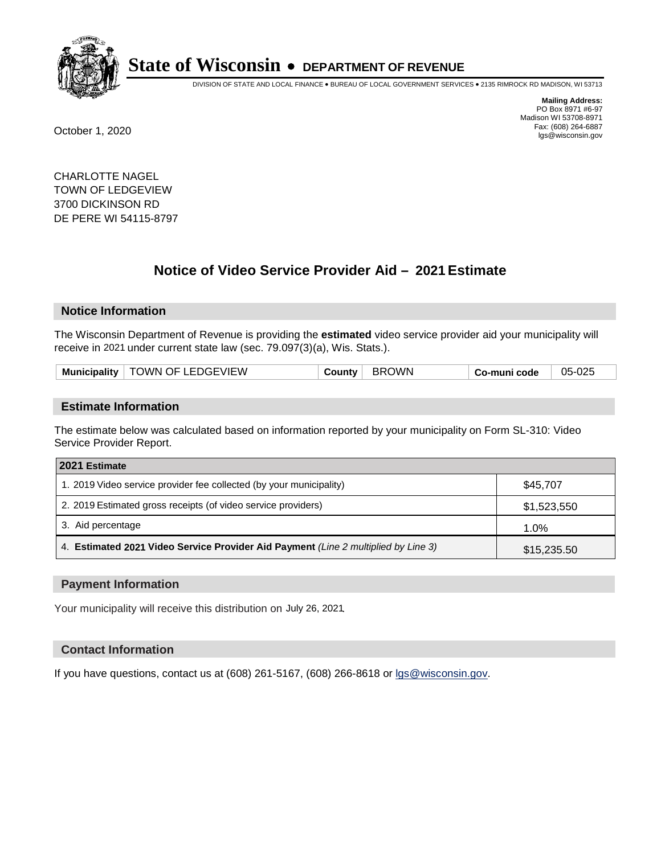

DIVISION OF STATE AND LOCAL FINANCE • BUREAU OF LOCAL GOVERNMENT SERVICES • 2135 RIMROCK RD MADISON, WI 53713

**Mailing Address:** PO Box 8971 #6-97 Madison WI 53708-8971<br>Fax: (608) 264-6887 Fax: (608) 264-6887 October 1, 2020 lgs@wisconsin.gov

CHARLOTTE NAGEL TOWN OF LEDGEVIEW 3700 DICKINSON RD DE PERE WI 54115-8797

# **Notice of Video Service Provider Aid - 2021 Estimate**

## **Notice Information**

The Wisconsin Department of Revenue is providing the **estimated** video service provider aid your municipality will receive in 2021 under current state law (sec. 79.097(3)(a), Wis. Stats.).

| Municipality   TOWN OF LEDGEVIEW | <b>BROWN</b><br>Countv | Co-muni code | 05-025 |
|----------------------------------|------------------------|--------------|--------|
|----------------------------------|------------------------|--------------|--------|

#### **Estimate Information**

The estimate below was calculated based on information reported by your municipality on Form SL-310: Video Service Provider Report.

| 2021 Estimate                                                                      |             |
|------------------------------------------------------------------------------------|-------------|
| 1. 2019 Video service provider fee collected (by your municipality)                | \$45.707    |
| 2. 2019 Estimated gross receipts (of video service providers)                      | \$1,523,550 |
| 3. Aid percentage                                                                  | 1.0%        |
| 4. Estimated 2021 Video Service Provider Aid Payment (Line 2 multiplied by Line 3) | \$15,235.50 |

#### **Payment Information**

Your municipality will receive this distribution on July 26, 2021.

## **Contact Information**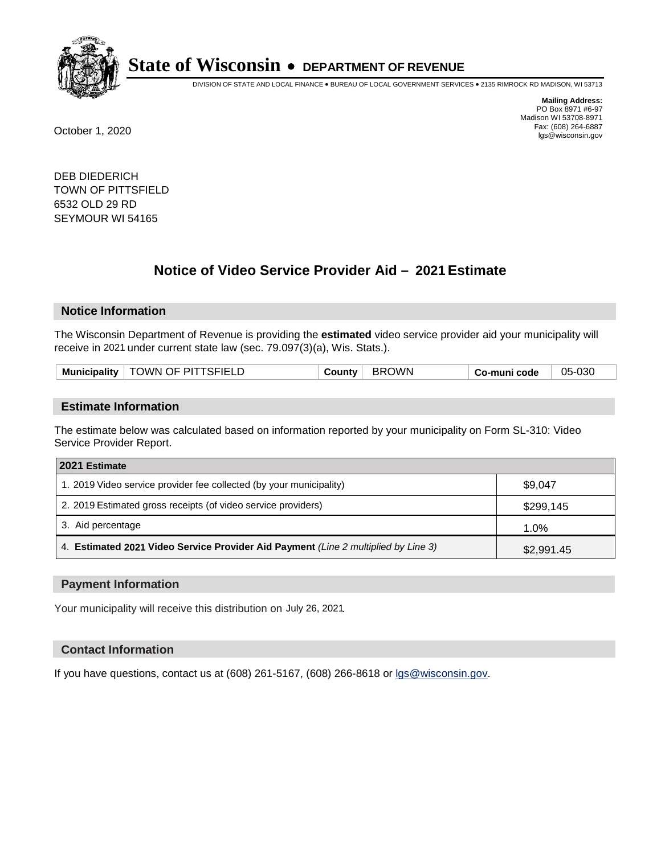

DIVISION OF STATE AND LOCAL FINANCE • BUREAU OF LOCAL GOVERNMENT SERVICES • 2135 RIMROCK RD MADISON, WI 53713

**Mailing Address:** PO Box 8971 #6-97 Madison WI 53708-8971<br>Fax: (608) 264-6887 Fax: (608) 264-6887 October 1, 2020 lgs@wisconsin.gov

DEB DIEDERICH TOWN OF PITTSFIELD 6532 OLD 29 RD SEYMOUR WI 54165

# **Notice of Video Service Provider Aid - 2021 Estimate**

## **Notice Information**

The Wisconsin Department of Revenue is providing the **estimated** video service provider aid your municipality will receive in 2021 under current state law (sec. 79.097(3)(a), Wis. Stats.).

| <b>Municipality</b><br>– BR∟<br>∴ountv∴<br>o-muni code، ت |  | TOWN OF PITTSFIELD |  | )WN |  | 05-030 |
|-----------------------------------------------------------|--|--------------------|--|-----|--|--------|
|-----------------------------------------------------------|--|--------------------|--|-----|--|--------|

#### **Estimate Information**

The estimate below was calculated based on information reported by your municipality on Form SL-310: Video Service Provider Report.

| 2021 Estimate                                                                      |            |
|------------------------------------------------------------------------------------|------------|
| 1. 2019 Video service provider fee collected (by your municipality)                | \$9.047    |
| 2. 2019 Estimated gross receipts (of video service providers)                      | \$299,145  |
| 3. Aid percentage                                                                  | 1.0%       |
| 4. Estimated 2021 Video Service Provider Aid Payment (Line 2 multiplied by Line 3) | \$2,991.45 |

#### **Payment Information**

Your municipality will receive this distribution on July 26, 2021.

## **Contact Information**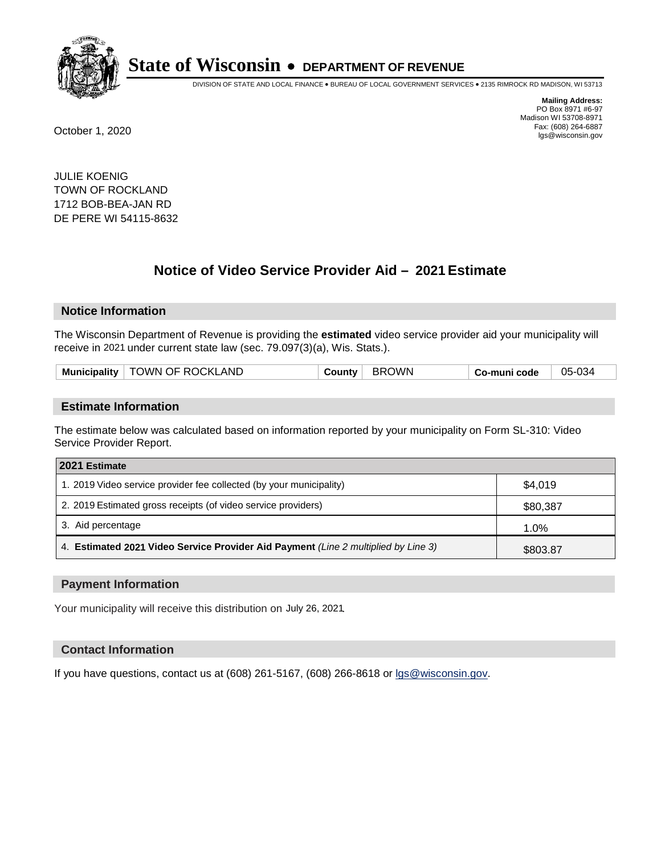

DIVISION OF STATE AND LOCAL FINANCE • BUREAU OF LOCAL GOVERNMENT SERVICES • 2135 RIMROCK RD MADISON, WI 53713

**Mailing Address:** PO Box 8971 #6-97 Madison WI 53708-8971<br>Fax: (608) 264-6887 Fax: (608) 264-6887 October 1, 2020 lgs@wisconsin.gov

JULIE KOENIG TOWN OF ROCKLAND 1712 BOB-BEA-JAN RD DE PERE WI 54115-8632

# **Notice of Video Service Provider Aid - 2021 Estimate**

## **Notice Information**

The Wisconsin Department of Revenue is providing the **estimated** video service provider aid your municipality will receive in 2021 under current state law (sec. 79.097(3)(a), Wis. Stats.).

| TOWN OF ROCKLAND<br>Municipality | BROWN<br>⊹ ountyب | Co-muni code، | 05-034 |
|----------------------------------|-------------------|---------------|--------|
|                                  |                   |               |        |

#### **Estimate Information**

The estimate below was calculated based on information reported by your municipality on Form SL-310: Video Service Provider Report.

| 2021 Estimate                                                                      |          |
|------------------------------------------------------------------------------------|----------|
| 1. 2019 Video service provider fee collected (by your municipality)                | \$4,019  |
| 2. 2019 Estimated gross receipts (of video service providers)                      | \$80,387 |
| 3. Aid percentage                                                                  | 1.0%     |
| 4. Estimated 2021 Video Service Provider Aid Payment (Line 2 multiplied by Line 3) | \$803.87 |

#### **Payment Information**

Your municipality will receive this distribution on July 26, 2021.

## **Contact Information**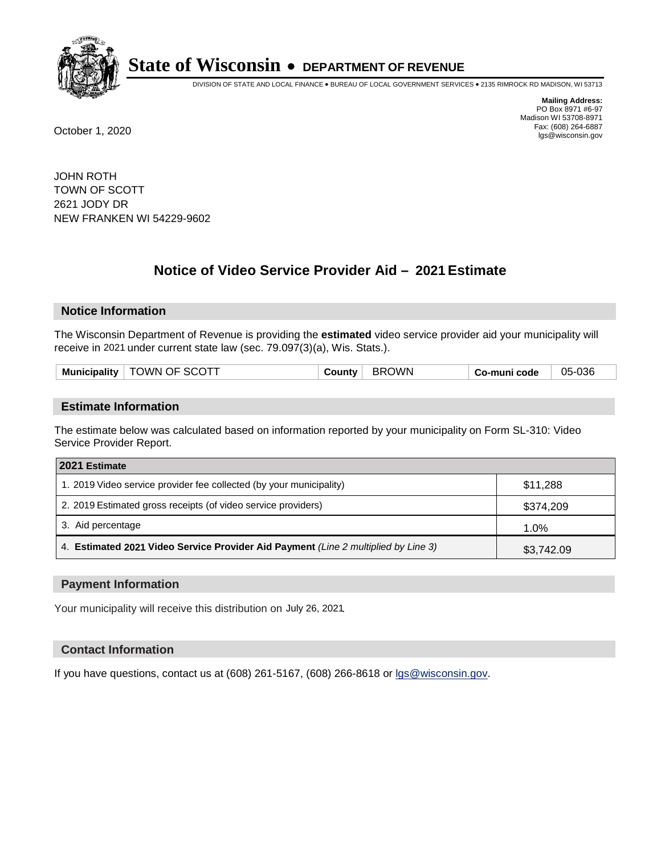

DIVISION OF STATE AND LOCAL FINANCE • BUREAU OF LOCAL GOVERNMENT SERVICES • 2135 RIMROCK RD MADISON, WI 53713

**Mailing Address:** PO Box 8971 #6-97 Madison WI 53708-8971<br>Fax: (608) 264-6887 Fax: (608) 264-6887 October 1, 2020 lgs@wisconsin.gov

JOHN ROTH TOWN OF SCOTT 2621 JODY DR NEW FRANKEN WI 54229-9602

# **Notice of Video Service Provider Aid - 2021 Estimate**

## **Notice Information**

The Wisconsin Department of Revenue is providing the **estimated** video service provider aid your municipality will receive in 2021 under current state law (sec. 79.097(3)(a), Wis. Stats.).

| Mun.<br>.<br>nicipality | )WN<br>- SCU<br>ЪF.<br>. | <b>)WN</b><br>. .<br>╮┍ | code<br>ın<br>ື | 05-036 |
|-------------------------|--------------------------|-------------------------|-----------------|--------|
|                         |                          |                         |                 |        |

#### **Estimate Information**

The estimate below was calculated based on information reported by your municipality on Form SL-310: Video Service Provider Report.

| 2021 Estimate                                                                      |            |
|------------------------------------------------------------------------------------|------------|
| 1. 2019 Video service provider fee collected (by your municipality)                | \$11,288   |
| 2. 2019 Estimated gross receipts (of video service providers)                      | \$374,209  |
| 3. Aid percentage                                                                  | 1.0%       |
| 4. Estimated 2021 Video Service Provider Aid Payment (Line 2 multiplied by Line 3) | \$3,742.09 |

#### **Payment Information**

Your municipality will receive this distribution on July 26, 2021.

## **Contact Information**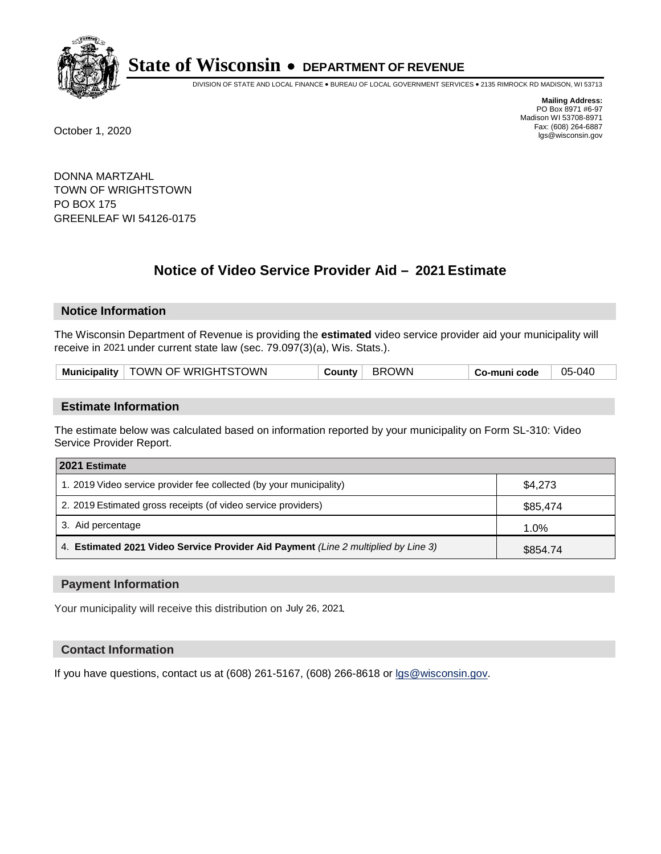

DIVISION OF STATE AND LOCAL FINANCE • BUREAU OF LOCAL GOVERNMENT SERVICES • 2135 RIMROCK RD MADISON, WI 53713

**Mailing Address:** PO Box 8971 #6-97 Madison WI 53708-8971<br>Fax: (608) 264-6887 Fax: (608) 264-6887 October 1, 2020 lgs@wisconsin.gov

DONNA MARTZAHL TOWN OF WRIGHTSTOWN PO BOX 175 GREENLEAF WI 54126-0175

# **Notice of Video Service Provider Aid - 2021 Estimate**

## **Notice Information**

The Wisconsin Department of Revenue is providing the **estimated** video service provider aid your municipality will receive in 2021 under current state law (sec. 79.097(3)(a), Wis. Stats.).

| Municipality   TOWN OF WRIGHTSTOWN | BROWN<br>County | 05-040<br>Co-muni code |
|------------------------------------|-----------------|------------------------|
|------------------------------------|-----------------|------------------------|

#### **Estimate Information**

The estimate below was calculated based on information reported by your municipality on Form SL-310: Video Service Provider Report.

| 2021 Estimate                                                                      |          |
|------------------------------------------------------------------------------------|----------|
| 1. 2019 Video service provider fee collected (by your municipality)                | \$4,273  |
| 2. 2019 Estimated gross receipts (of video service providers)                      | \$85,474 |
| 3. Aid percentage                                                                  | 1.0%     |
| 4. Estimated 2021 Video Service Provider Aid Payment (Line 2 multiplied by Line 3) | \$854.74 |

#### **Payment Information**

Your municipality will receive this distribution on July 26, 2021.

## **Contact Information**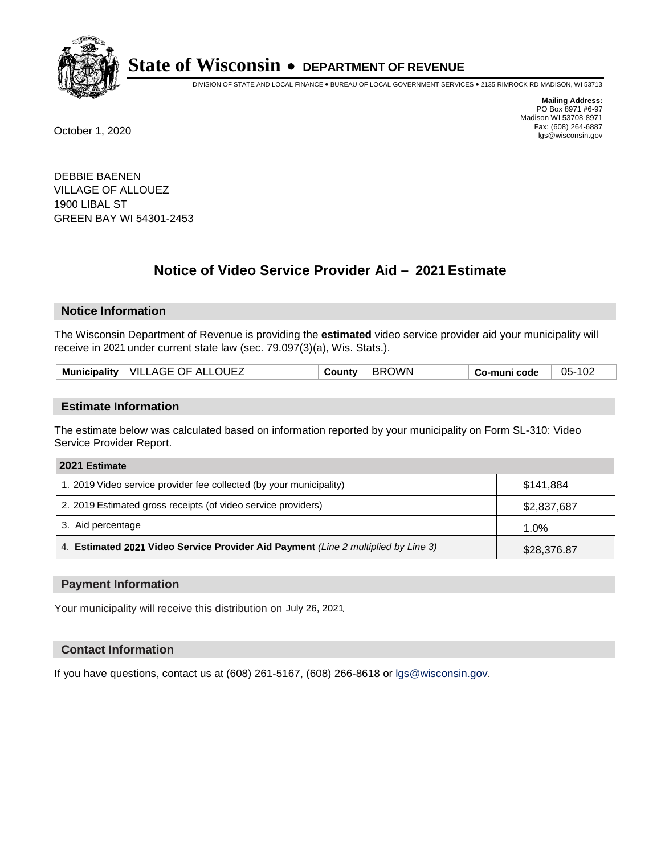

DIVISION OF STATE AND LOCAL FINANCE • BUREAU OF LOCAL GOVERNMENT SERVICES • 2135 RIMROCK RD MADISON, WI 53713

**Mailing Address:** PO Box 8971 #6-97 Madison WI 53708-8971<br>Fax: (608) 264-6887 Fax: (608) 264-6887 October 1, 2020 lgs@wisconsin.gov

DEBBIE BAENEN VILLAGE OF ALLOUEZ 1900 LIBAL ST GREEN BAY WI 54301-2453

# **Notice of Video Service Provider Aid - 2021 Estimate**

## **Notice Information**

The Wisconsin Department of Revenue is providing the **estimated** video service provider aid your municipality will receive in 2021 under current state law (sec. 79.097(3)(a), Wis. Stats.).

| Municipality   VILLAGE OF ALLOUEZ |
|-----------------------------------|
|-----------------------------------|

#### **Estimate Information**

The estimate below was calculated based on information reported by your municipality on Form SL-310: Video Service Provider Report.

| 2021 Estimate                                                                      |             |
|------------------------------------------------------------------------------------|-------------|
| 1. 2019 Video service provider fee collected (by your municipality)                | \$141,884   |
| 2. 2019 Estimated gross receipts (of video service providers)                      | \$2,837,687 |
| 3. Aid percentage                                                                  | 1.0%        |
| 4. Estimated 2021 Video Service Provider Aid Payment (Line 2 multiplied by Line 3) | \$28,376.87 |

#### **Payment Information**

Your municipality will receive this distribution on July 26, 2021.

## **Contact Information**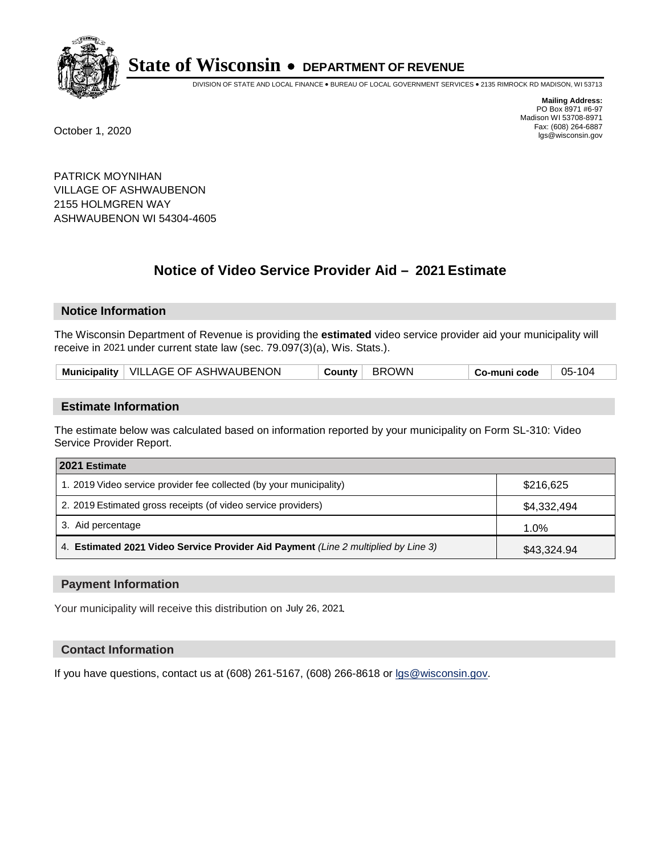

DIVISION OF STATE AND LOCAL FINANCE • BUREAU OF LOCAL GOVERNMENT SERVICES • 2135 RIMROCK RD MADISON, WI 53713

**Mailing Address:** PO Box 8971 #6-97 Madison WI 53708-8971<br>Fax: (608) 264-6887 Fax: (608) 264-6887 October 1, 2020 lgs@wisconsin.gov

PATRICK MOYNIHAN VILLAGE OF ASHWAUBENON 2155 HOLMGREN WAY ASHWAUBENON WI 54304-4605

# **Notice of Video Service Provider Aid - 2021 Estimate**

## **Notice Information**

The Wisconsin Department of Revenue is providing the **estimated** video service provider aid your municipality will receive in 2021 under current state law (sec. 79.097(3)(a), Wis. Stats.).

| Municipality   VILLAGE OF ASHWAUBENON | <b>BROWN</b><br>County | 05-104<br>Co-muni code |
|---------------------------------------|------------------------|------------------------|
|---------------------------------------|------------------------|------------------------|

#### **Estimate Information**

The estimate below was calculated based on information reported by your municipality on Form SL-310: Video Service Provider Report.

| 2021 Estimate                                                                      |             |
|------------------------------------------------------------------------------------|-------------|
| 1. 2019 Video service provider fee collected (by your municipality)                | \$216,625   |
| 2. 2019 Estimated gross receipts (of video service providers)                      | \$4,332,494 |
| 3. Aid percentage                                                                  | 1.0%        |
| 4. Estimated 2021 Video Service Provider Aid Payment (Line 2 multiplied by Line 3) | \$43,324.94 |

#### **Payment Information**

Your municipality will receive this distribution on July 26, 2021.

## **Contact Information**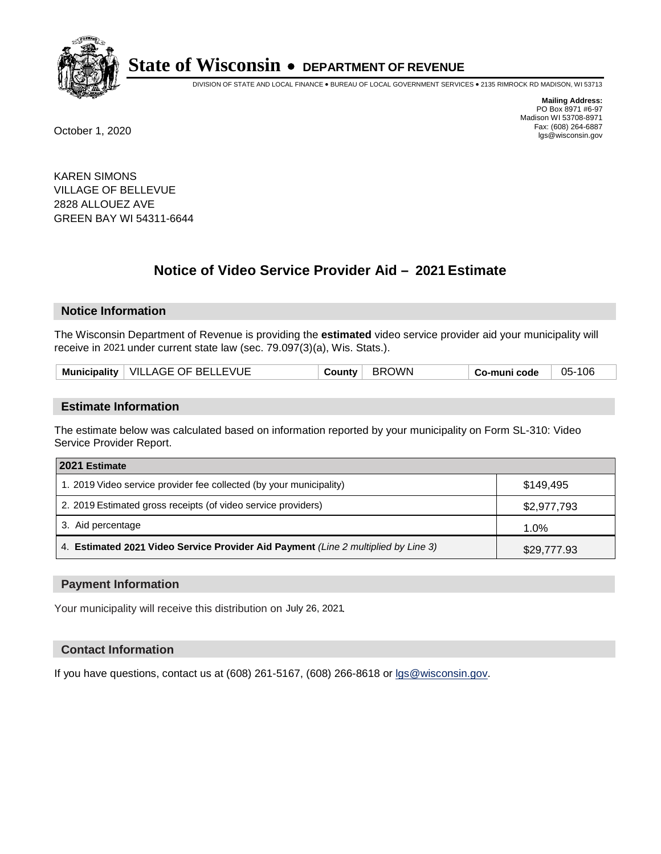

DIVISION OF STATE AND LOCAL FINANCE • BUREAU OF LOCAL GOVERNMENT SERVICES • 2135 RIMROCK RD MADISON, WI 53713

**Mailing Address:** PO Box 8971 #6-97 Madison WI 53708-8971<br>Fax: (608) 264-6887 Fax: (608) 264-6887 October 1, 2020 lgs@wisconsin.gov

KAREN SIMONS VILLAGE OF BELLEVUE 2828 ALLOUEZ AVE GREEN BAY WI 54311-6644

# **Notice of Video Service Provider Aid - 2021 Estimate**

## **Notice Information**

The Wisconsin Department of Revenue is providing the **estimated** video service provider aid your municipality will receive in 2021 under current state law (sec. 79.097(3)(a), Wis. Stats.).

|  | Municipality   VILLAGE OF BELLEVUE | ∵ountvٽ | <b>BROWN</b> | o-muni codeٽ | 05-106 |
|--|------------------------------------|---------|--------------|--------------|--------|
|--|------------------------------------|---------|--------------|--------------|--------|

#### **Estimate Information**

The estimate below was calculated based on information reported by your municipality on Form SL-310: Video Service Provider Report.

| 2021 Estimate                                                                      |             |
|------------------------------------------------------------------------------------|-------------|
| 1. 2019 Video service provider fee collected (by your municipality)                | \$149.495   |
| 2. 2019 Estimated gross receipts (of video service providers)                      | \$2,977,793 |
| 3. Aid percentage                                                                  | 1.0%        |
| 4. Estimated 2021 Video Service Provider Aid Payment (Line 2 multiplied by Line 3) | \$29,777.93 |

#### **Payment Information**

Your municipality will receive this distribution on July 26, 2021.

## **Contact Information**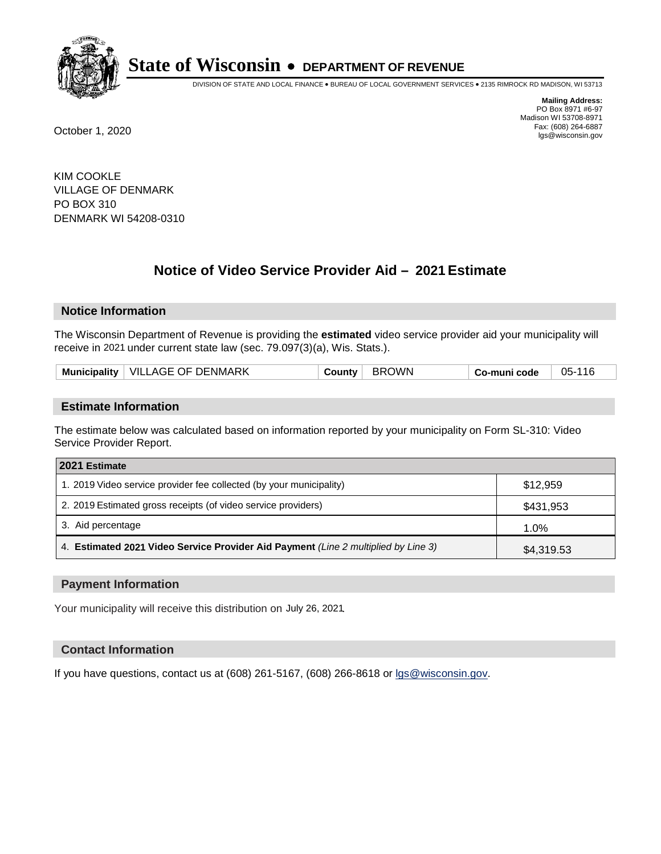

DIVISION OF STATE AND LOCAL FINANCE • BUREAU OF LOCAL GOVERNMENT SERVICES • 2135 RIMROCK RD MADISON, WI 53713

**Mailing Address:** PO Box 8971 #6-97 Madison WI 53708-8971<br>Fax: (608) 264-6887 Fax: (608) 264-6887 October 1, 2020 lgs@wisconsin.gov

KIM COOKLE VILLAGE OF DENMARK PO BOX 310 DENMARK WI 54208-0310

# **Notice of Video Service Provider Aid - 2021 Estimate**

## **Notice Information**

The Wisconsin Department of Revenue is providing the **estimated** video service provider aid your municipality will receive in 2021 under current state law (sec. 79.097(3)(a), Wis. Stats.).

|  | VILLAGE OF DENMARK<br><b>Municipality</b> | ∴∩⊔ntv | אWC<br>RRT. | o-muni code، ت | $05-$<br>-116 |
|--|-------------------------------------------|--------|-------------|----------------|---------------|
|--|-------------------------------------------|--------|-------------|----------------|---------------|

#### **Estimate Information**

The estimate below was calculated based on information reported by your municipality on Form SL-310: Video Service Provider Report.

| 2021 Estimate                                                                      |            |
|------------------------------------------------------------------------------------|------------|
| 1. 2019 Video service provider fee collected (by your municipality)                | \$12,959   |
| 2. 2019 Estimated gross receipts (of video service providers)                      | \$431,953  |
| 3. Aid percentage                                                                  | 1.0%       |
| 4. Estimated 2021 Video Service Provider Aid Payment (Line 2 multiplied by Line 3) | \$4,319.53 |

#### **Payment Information**

Your municipality will receive this distribution on July 26, 2021.

## **Contact Information**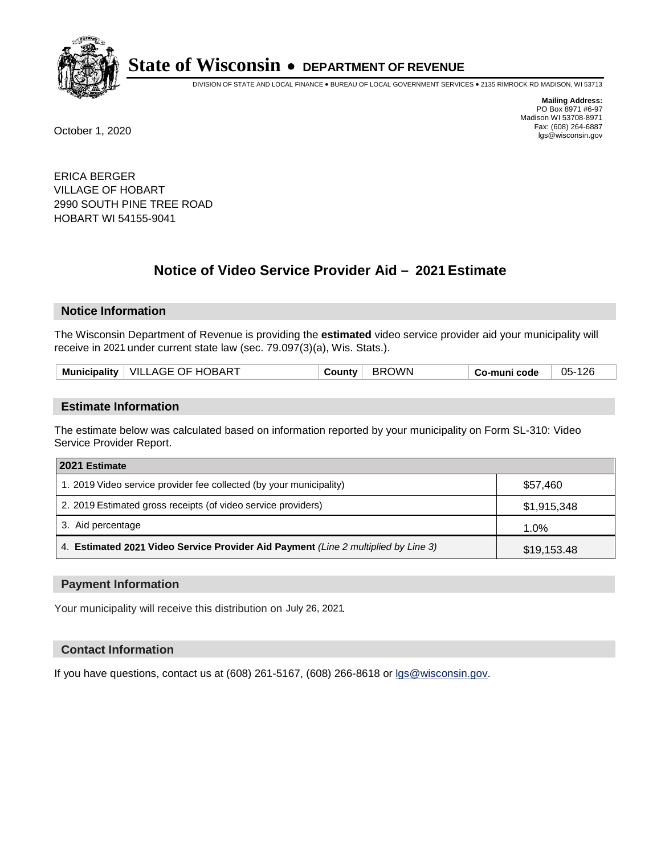

DIVISION OF STATE AND LOCAL FINANCE • BUREAU OF LOCAL GOVERNMENT SERVICES • 2135 RIMROCK RD MADISON, WI 53713

**Mailing Address:** PO Box 8971 #6-97 Madison WI 53708-8971<br>Fax: (608) 264-6887 Fax: (608) 264-6887 October 1, 2020 lgs@wisconsin.gov

ERICA BERGER VILLAGE OF HOBART 2990 SOUTH PINE TREE ROAD HOBART WI 54155-9041

# **Notice of Video Service Provider Aid - 2021 Estimate**

## **Notice Information**

The Wisconsin Department of Revenue is providing the **estimated** video service provider aid your municipality will receive in 2021 under current state law (sec. 79.097(3)(a), Wis. Stats.).

| Municipality   VILLAGE OF HOBART | <b>BROWN</b><br>County | Co-muni code | 05-126 |
|----------------------------------|------------------------|--------------|--------|
|----------------------------------|------------------------|--------------|--------|

#### **Estimate Information**

The estimate below was calculated based on information reported by your municipality on Form SL-310: Video Service Provider Report.

| 2021 Estimate                                                                      |             |
|------------------------------------------------------------------------------------|-------------|
| 1. 2019 Video service provider fee collected (by your municipality)                | \$57,460    |
| 2. 2019 Estimated gross receipts (of video service providers)                      | \$1,915,348 |
| 3. Aid percentage                                                                  | 1.0%        |
| 4. Estimated 2021 Video Service Provider Aid Payment (Line 2 multiplied by Line 3) | \$19,153.48 |

#### **Payment Information**

Your municipality will receive this distribution on July 26, 2021.

## **Contact Information**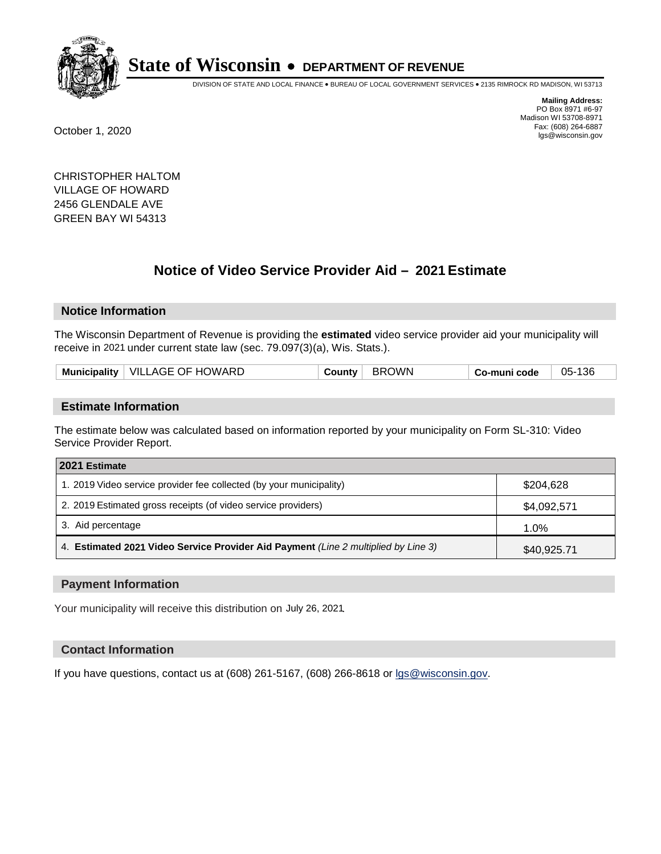

DIVISION OF STATE AND LOCAL FINANCE • BUREAU OF LOCAL GOVERNMENT SERVICES • 2135 RIMROCK RD MADISON, WI 53713

**Mailing Address:** PO Box 8971 #6-97 Madison WI 53708-8971<br>Fax: (608) 264-6887 Fax: (608) 264-6887 October 1, 2020 lgs@wisconsin.gov

CHRISTOPHER HALTOM VILLAGE OF HOWARD 2456 GLENDALE AVE GREEN BAY WI 54313

# **Notice of Video Service Provider Aid - 2021 Estimate**

## **Notice Information**

The Wisconsin Department of Revenue is providing the **estimated** video service provider aid your municipality will receive in 2021 under current state law (sec. 79.097(3)(a), Wis. Stats.).

|--|

#### **Estimate Information**

The estimate below was calculated based on information reported by your municipality on Form SL-310: Video Service Provider Report.

| 2021 Estimate                                                                      |             |
|------------------------------------------------------------------------------------|-------------|
| 1. 2019 Video service provider fee collected (by your municipality)                | \$204.628   |
| 2. 2019 Estimated gross receipts (of video service providers)                      | \$4,092,571 |
| 3. Aid percentage                                                                  | 1.0%        |
| 4. Estimated 2021 Video Service Provider Aid Payment (Line 2 multiplied by Line 3) | \$40,925.71 |

#### **Payment Information**

Your municipality will receive this distribution on July 26, 2021.

## **Contact Information**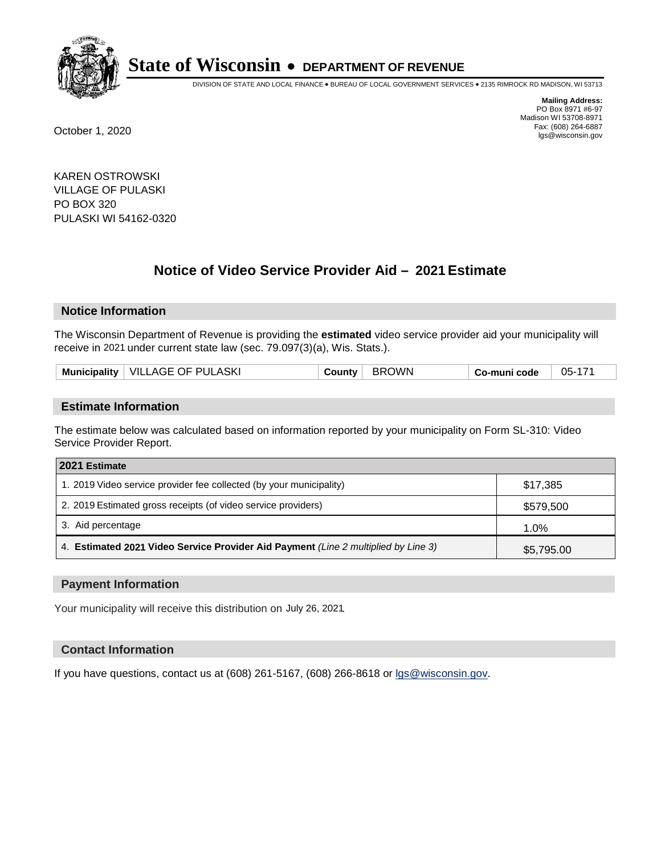

DIVISION OF STATE AND LOCAL FINANCE • BUREAU OF LOCAL GOVERNMENT SERVICES • 2135 RIMROCK RD MADISON, WI 53713

**Mailing Address:** PO Box 8971 #6-97 Madison WI 53708-8971<br>Fax: (608) 264-6887 Fax: (608) 264-6887 October 1, 2020 lgs@wisconsin.gov

KAREN OSTROWSKI VILLAGE OF PULASKI PO BOX 320 PULASKI WI 54162-0320

# **Notice of Video Service Provider Aid - 2021 Estimate**

## **Notice Information**

The Wisconsin Department of Revenue is providing the **estimated** video service provider aid your municipality will receive in 2021 under current state law (sec. 79.097(3)(a), Wis. Stats.).

|  |  | Municipality   VILLAGE OF PULASKI | County i | <b>BROWN</b> | Co-muni code | 05-171 |
|--|--|-----------------------------------|----------|--------------|--------------|--------|
|--|--|-----------------------------------|----------|--------------|--------------|--------|

#### **Estimate Information**

The estimate below was calculated based on information reported by your municipality on Form SL-310: Video Service Provider Report.

| 2021 Estimate                                                                      |            |
|------------------------------------------------------------------------------------|------------|
| 1. 2019 Video service provider fee collected (by your municipality)                | \$17,385   |
| 2. 2019 Estimated gross receipts (of video service providers)                      | \$579,500  |
| 3. Aid percentage                                                                  | 1.0%       |
| 4. Estimated 2021 Video Service Provider Aid Payment (Line 2 multiplied by Line 3) | \$5,795.00 |

#### **Payment Information**

Your municipality will receive this distribution on July 26, 2021.

## **Contact Information**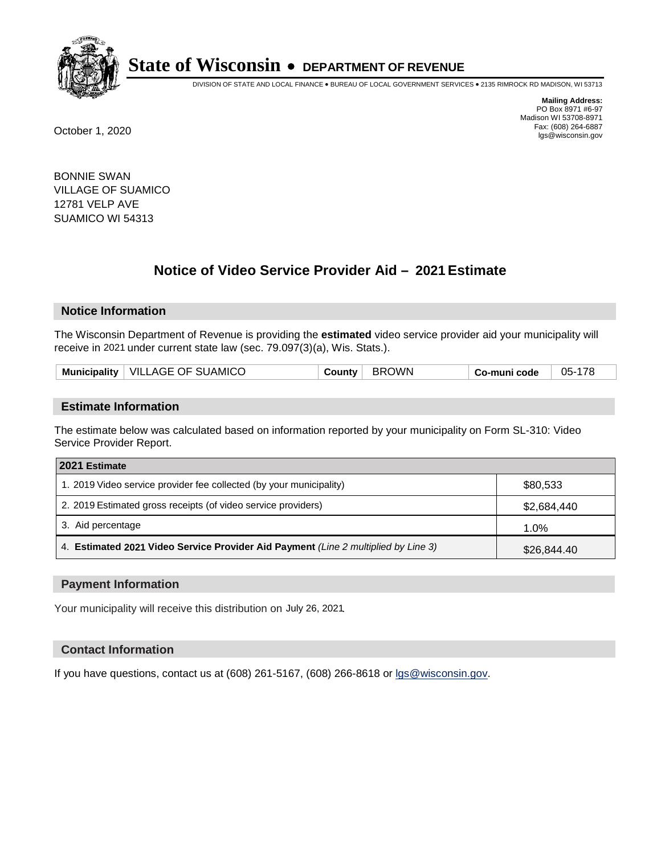

DIVISION OF STATE AND LOCAL FINANCE • BUREAU OF LOCAL GOVERNMENT SERVICES • 2135 RIMROCK RD MADISON, WI 53713

**Mailing Address:** PO Box 8971 #6-97 Madison WI 53708-8971<br>Fax: (608) 264-6887 Fax: (608) 264-6887 October 1, 2020 lgs@wisconsin.gov

BONNIE SWAN VILLAGE OF SUAMICO 12781 VELP AVE SUAMICO WI 54313

# **Notice of Video Service Provider Aid - 2021 Estimate**

## **Notice Information**

The Wisconsin Department of Revenue is providing the **estimated** video service provider aid your municipality will receive in 2021 under current state law (sec. 79.097(3)(a), Wis. Stats.).

| Municipality   VILLAGE OF SUAMICO<br>County | BROWN | Co-muni code | 05-178 |
|---------------------------------------------|-------|--------------|--------|
|---------------------------------------------|-------|--------------|--------|

#### **Estimate Information**

The estimate below was calculated based on information reported by your municipality on Form SL-310: Video Service Provider Report.

| 2021 Estimate                                                                      |             |
|------------------------------------------------------------------------------------|-------------|
| 1. 2019 Video service provider fee collected (by your municipality)                | \$80,533    |
| 2. 2019 Estimated gross receipts (of video service providers)                      | \$2,684,440 |
| 3. Aid percentage                                                                  | $1.0\%$     |
| 4. Estimated 2021 Video Service Provider Aid Payment (Line 2 multiplied by Line 3) | \$26,844.40 |

#### **Payment Information**

Your municipality will receive this distribution on July 26, 2021.

## **Contact Information**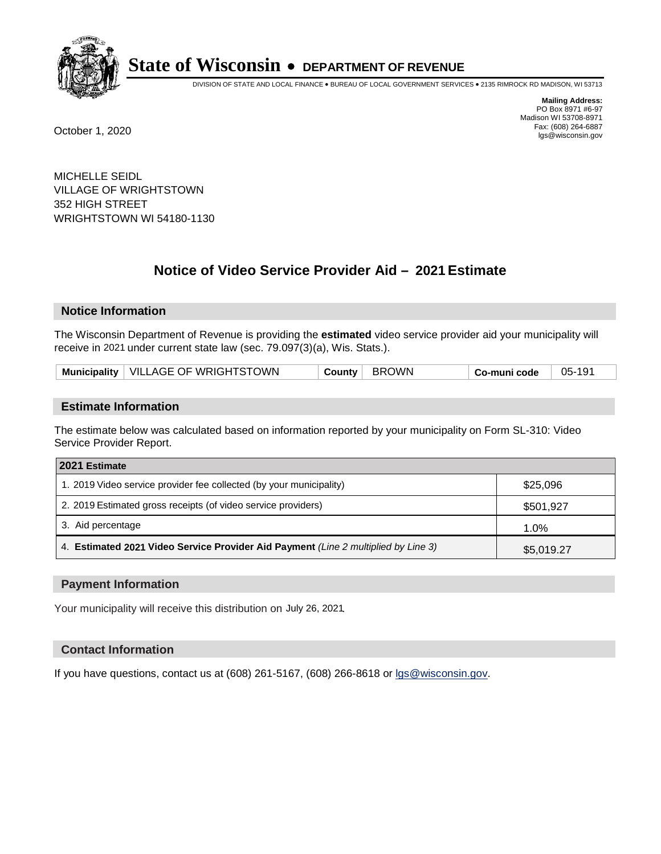

DIVISION OF STATE AND LOCAL FINANCE • BUREAU OF LOCAL GOVERNMENT SERVICES • 2135 RIMROCK RD MADISON, WI 53713

**Mailing Address:** PO Box 8971 #6-97 Madison WI 53708-8971<br>Fax: (608) 264-6887 Fax: (608) 264-6887 October 1, 2020 lgs@wisconsin.gov

MICHELLE SEIDL VILLAGE OF WRIGHTSTOWN 352 HIGH STREET WRIGHTSTOWN WI 54180-1130

# **Notice of Video Service Provider Aid - 2021 Estimate**

## **Notice Information**

The Wisconsin Department of Revenue is providing the **estimated** video service provider aid your municipality will receive in 2021 under current state law (sec. 79.097(3)(a), Wis. Stats.).

| Municipality   VILLAGE OF WRIGHTSTOWN | County BROWN | 05-191<br><sup>⊦</sup> Co-muni code |
|---------------------------------------|--------------|-------------------------------------|
|---------------------------------------|--------------|-------------------------------------|

#### **Estimate Information**

The estimate below was calculated based on information reported by your municipality on Form SL-310: Video Service Provider Report.

| 2021 Estimate                                                                      |            |
|------------------------------------------------------------------------------------|------------|
| 1. 2019 Video service provider fee collected (by your municipality)                | \$25,096   |
| 2. 2019 Estimated gross receipts (of video service providers)                      | \$501,927  |
| 3. Aid percentage                                                                  | 1.0%       |
| 4. Estimated 2021 Video Service Provider Aid Payment (Line 2 multiplied by Line 3) | \$5,019.27 |

#### **Payment Information**

Your municipality will receive this distribution on July 26, 2021.

## **Contact Information**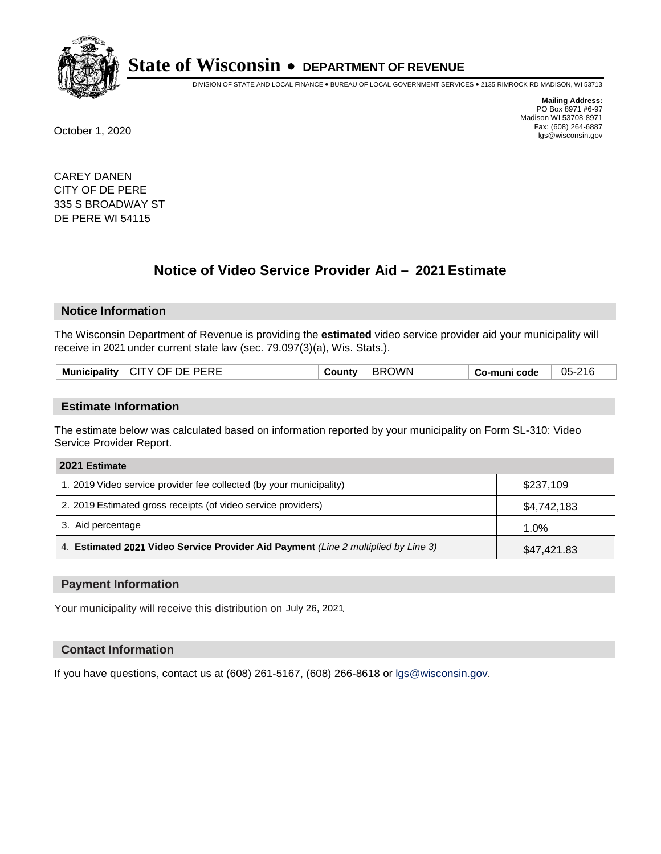

DIVISION OF STATE AND LOCAL FINANCE • BUREAU OF LOCAL GOVERNMENT SERVICES • 2135 RIMROCK RD MADISON, WI 53713

**Mailing Address:** PO Box 8971 #6-97 Madison WI 53708-8971<br>Fax: (608) 264-6887 Fax: (608) 264-6887 October 1, 2020 lgs@wisconsin.gov

CAREY DANEN CITY OF DE PERE 335 S BROADWAY ST DE PERE WI 54115

# **Notice of Video Service Provider Aid - 2021 Estimate**

## **Notice Information**

The Wisconsin Department of Revenue is providing the **estimated** video service provider aid your municipality will receive in 2021 under current state law (sec. 79.097(3)(a), Wis. Stats.).

| Municipality   CITY OF DE PERE | <b>County</b> ' | WWC<br>- BRL. | o-muni codeٽ | 05-216 |
|--------------------------------|-----------------|---------------|--------------|--------|
|                                |                 |               |              |        |

#### **Estimate Information**

The estimate below was calculated based on information reported by your municipality on Form SL-310: Video Service Provider Report.

| 2021 Estimate                                                                      |             |
|------------------------------------------------------------------------------------|-------------|
| 1. 2019 Video service provider fee collected (by your municipality)                | \$237,109   |
| 2. 2019 Estimated gross receipts (of video service providers)                      | \$4,742,183 |
| 3. Aid percentage                                                                  | 1.0%        |
| 4. Estimated 2021 Video Service Provider Aid Payment (Line 2 multiplied by Line 3) | \$47,421.83 |

#### **Payment Information**

Your municipality will receive this distribution on July 26, 2021.

## **Contact Information**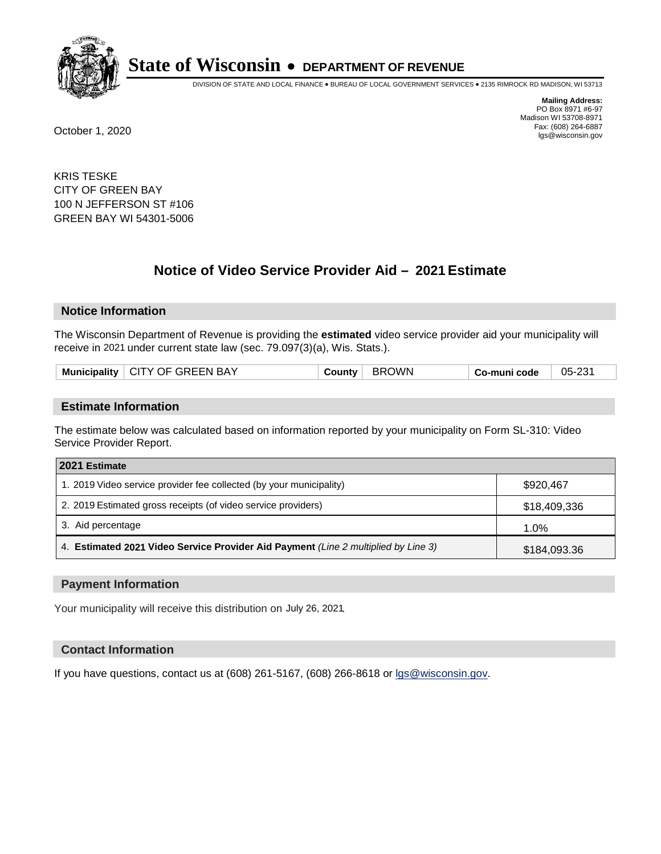

DIVISION OF STATE AND LOCAL FINANCE • BUREAU OF LOCAL GOVERNMENT SERVICES • 2135 RIMROCK RD MADISON, WI 53713

**Mailing Address:** PO Box 8971 #6-97 Madison WI 53708-8971<br>Fax: (608) 264-6887 Fax: (608) 264-6887 October 1, 2020 lgs@wisconsin.gov

KRIS TESKE CITY OF GREEN BAY 100 N JEFFERSON ST #106 GREEN BAY WI 54301-5006

# **Notice of Video Service Provider Aid - 2021 Estimate**

## **Notice Information**

The Wisconsin Department of Revenue is providing the **estimated** video service provider aid your municipality will receive in 2021 under current state law (sec. 79.097(3)(a), Wis. Stats.).

|--|

#### **Estimate Information**

The estimate below was calculated based on information reported by your municipality on Form SL-310: Video Service Provider Report.

| 2021 Estimate                                                                      |              |
|------------------------------------------------------------------------------------|--------------|
| 1. 2019 Video service provider fee collected (by your municipality)                | \$920,467    |
| 2. 2019 Estimated gross receipts (of video service providers)                      | \$18,409,336 |
| 3. Aid percentage                                                                  | 1.0%         |
| 4. Estimated 2021 Video Service Provider Aid Payment (Line 2 multiplied by Line 3) | \$184,093.36 |

#### **Payment Information**

Your municipality will receive this distribution on July 26, 2021.

## **Contact Information**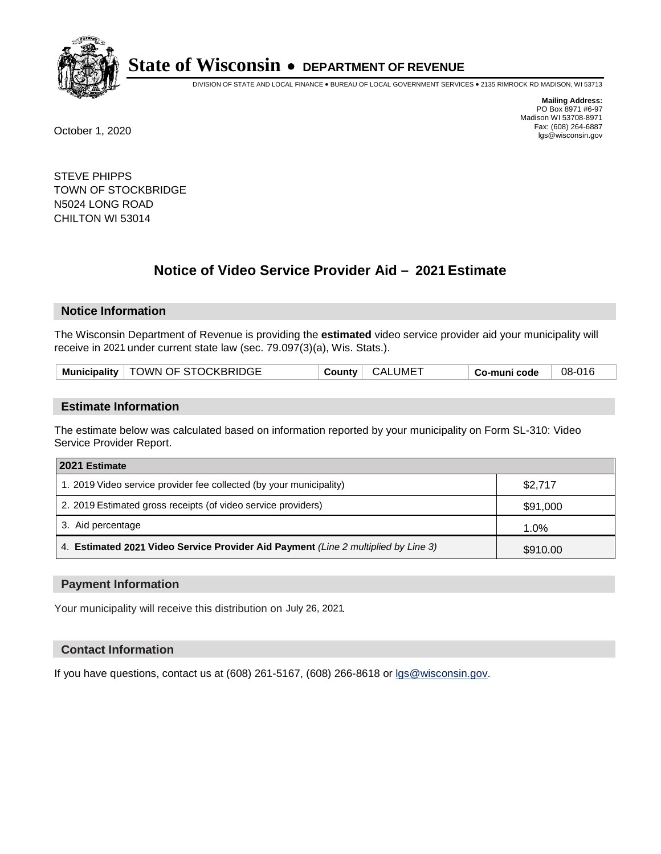

DIVISION OF STATE AND LOCAL FINANCE • BUREAU OF LOCAL GOVERNMENT SERVICES • 2135 RIMROCK RD MADISON, WI 53713

**Mailing Address:** PO Box 8971 #6-97 Madison WI 53708-8971<br>Fax: (608) 264-6887 Fax: (608) 264-6887 October 1, 2020 lgs@wisconsin.gov

STEVE PHIPPS TOWN OF STOCKBRIDGE N5024 LONG ROAD CHILTON WI 53014

# **Notice of Video Service Provider Aid - 2021 Estimate**

## **Notice Information**

The Wisconsin Department of Revenue is providing the **estimated** video service provider aid your municipality will receive in 2021 under current state law (sec. 79.097(3)(a), Wis. Stats.).

| Municipality   TOWN OF STOCKBRIDGE | <b>CALUME</b><br>County | 08-016<br>Co-muni code |  |
|------------------------------------|-------------------------|------------------------|--|
|------------------------------------|-------------------------|------------------------|--|

#### **Estimate Information**

The estimate below was calculated based on information reported by your municipality on Form SL-310: Video Service Provider Report.

| 2021 Estimate                                                                      |          |
|------------------------------------------------------------------------------------|----------|
| 1. 2019 Video service provider fee collected (by your municipality)                | \$2,717  |
| 2. 2019 Estimated gross receipts (of video service providers)                      | \$91,000 |
| 3. Aid percentage                                                                  | 1.0%     |
| 4. Estimated 2021 Video Service Provider Aid Payment (Line 2 multiplied by Line 3) | \$910.00 |

#### **Payment Information**

Your municipality will receive this distribution on July 26, 2021.

## **Contact Information**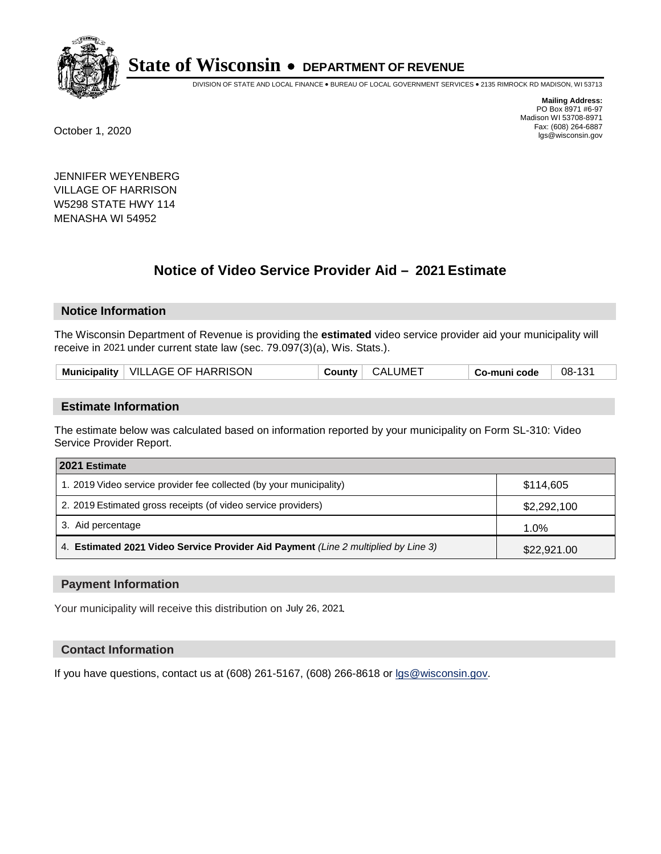

DIVISION OF STATE AND LOCAL FINANCE • BUREAU OF LOCAL GOVERNMENT SERVICES • 2135 RIMROCK RD MADISON, WI 53713

**Mailing Address:** PO Box 8971 #6-97 Madison WI 53708-8971<br>Fax: (608) 264-6887 Fax: (608) 264-6887 October 1, 2020 lgs@wisconsin.gov

JENNIFER WEYENBERG VILLAGE OF HARRISON W5298 STATE HWY 114 MENASHA WI 54952

# **Notice of Video Service Provider Aid - 2021 Estimate**

## **Notice Information**

The Wisconsin Department of Revenue is providing the **estimated** video service provider aid your municipality will receive in 2021 under current state law (sec. 79.097(3)(a), Wis. Stats.).

| Municipality   VILLAGE OF HARRISON<br><b>CALUMET</b><br>08-131<br>County<br>Co-muni code |
|------------------------------------------------------------------------------------------|
|------------------------------------------------------------------------------------------|

#### **Estimate Information**

The estimate below was calculated based on information reported by your municipality on Form SL-310: Video Service Provider Report.

| 2021 Estimate                                                                      |             |
|------------------------------------------------------------------------------------|-------------|
| 1. 2019 Video service provider fee collected (by your municipality)                | \$114,605   |
| 2. 2019 Estimated gross receipts (of video service providers)                      | \$2,292,100 |
| 3. Aid percentage                                                                  | 1.0%        |
| 4. Estimated 2021 Video Service Provider Aid Payment (Line 2 multiplied by Line 3) | \$22,921.00 |

#### **Payment Information**

Your municipality will receive this distribution on July 26, 2021.

## **Contact Information**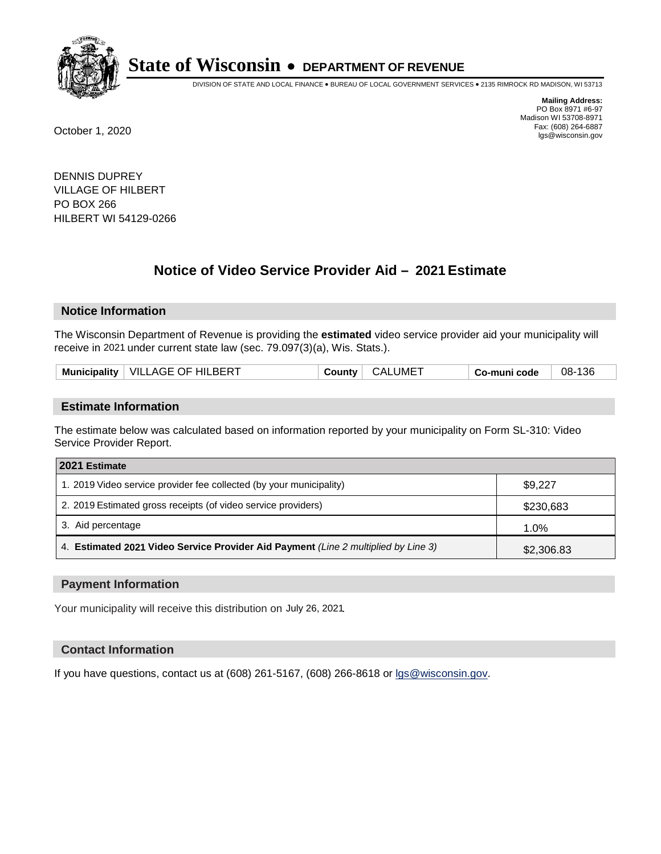

DIVISION OF STATE AND LOCAL FINANCE • BUREAU OF LOCAL GOVERNMENT SERVICES • 2135 RIMROCK RD MADISON, WI 53713

**Mailing Address:** PO Box 8971 #6-97 Madison WI 53708-8971<br>Fax: (608) 264-6887 Fax: (608) 264-6887 October 1, 2020 lgs@wisconsin.gov

DENNIS DUPREY VILLAGE OF HILBERT PO BOX 266 HILBERT WI 54129-0266

# **Notice of Video Service Provider Aid - 2021 Estimate**

## **Notice Information**

The Wisconsin Department of Revenue is providing the **estimated** video service provider aid your municipality will receive in 2021 under current state law (sec. 79.097(3)(a), Wis. Stats.).

| Municipality   VILLAGE OF HILBERT | CALUME <sup>-</sup><br>∶ Countvٽ | 08-136<br>Co-muni code |  |
|-----------------------------------|----------------------------------|------------------------|--|
|-----------------------------------|----------------------------------|------------------------|--|

#### **Estimate Information**

The estimate below was calculated based on information reported by your municipality on Form SL-310: Video Service Provider Report.

| 2021 Estimate                                                                      |            |
|------------------------------------------------------------------------------------|------------|
| 1. 2019 Video service provider fee collected (by your municipality)                | \$9,227    |
| 2. 2019 Estimated gross receipts (of video service providers)                      | \$230,683  |
| 3. Aid percentage                                                                  | 1.0%       |
| 4. Estimated 2021 Video Service Provider Aid Payment (Line 2 multiplied by Line 3) | \$2,306.83 |

#### **Payment Information**

Your municipality will receive this distribution on July 26, 2021.

## **Contact Information**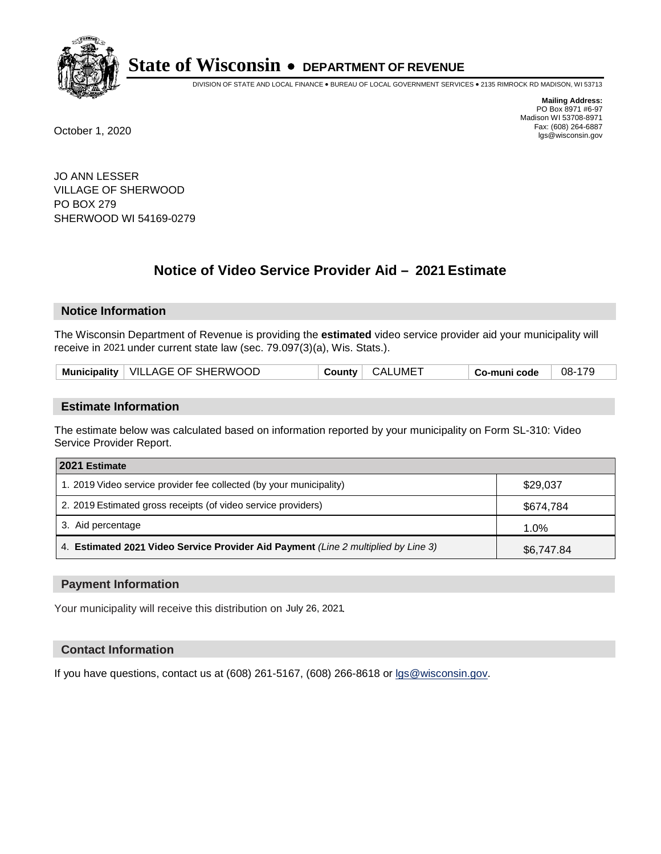

DIVISION OF STATE AND LOCAL FINANCE • BUREAU OF LOCAL GOVERNMENT SERVICES • 2135 RIMROCK RD MADISON, WI 53713

**Mailing Address:** PO Box 8971 #6-97 Madison WI 53708-8971<br>Fax: (608) 264-6887 Fax: (608) 264-6887 October 1, 2020 lgs@wisconsin.gov

JO ANN LESSER VILLAGE OF SHERWOOD PO BOX 279 SHERWOOD WI 54169-0279

# **Notice of Video Service Provider Aid - 2021 Estimate**

## **Notice Information**

The Wisconsin Department of Revenue is providing the **estimated** video service provider aid your municipality will receive in 2021 under current state law (sec. 79.097(3)(a), Wis. Stats.).

| Municipality   VILLAGE OF SHERWOOD | CALUMET<br><b>County</b> | 08-179<br>Co-muni code |
|------------------------------------|--------------------------|------------------------|
|------------------------------------|--------------------------|------------------------|

#### **Estimate Information**

The estimate below was calculated based on information reported by your municipality on Form SL-310: Video Service Provider Report.

| 2021 Estimate                                                                      |            |
|------------------------------------------------------------------------------------|------------|
| 1. 2019 Video service provider fee collected (by your municipality)                | \$29,037   |
| 2. 2019 Estimated gross receipts (of video service providers)                      | \$674,784  |
| 3. Aid percentage                                                                  | 1.0%       |
| 4. Estimated 2021 Video Service Provider Aid Payment (Line 2 multiplied by Line 3) | \$6,747.84 |

#### **Payment Information**

Your municipality will receive this distribution on July 26, 2021.

## **Contact Information**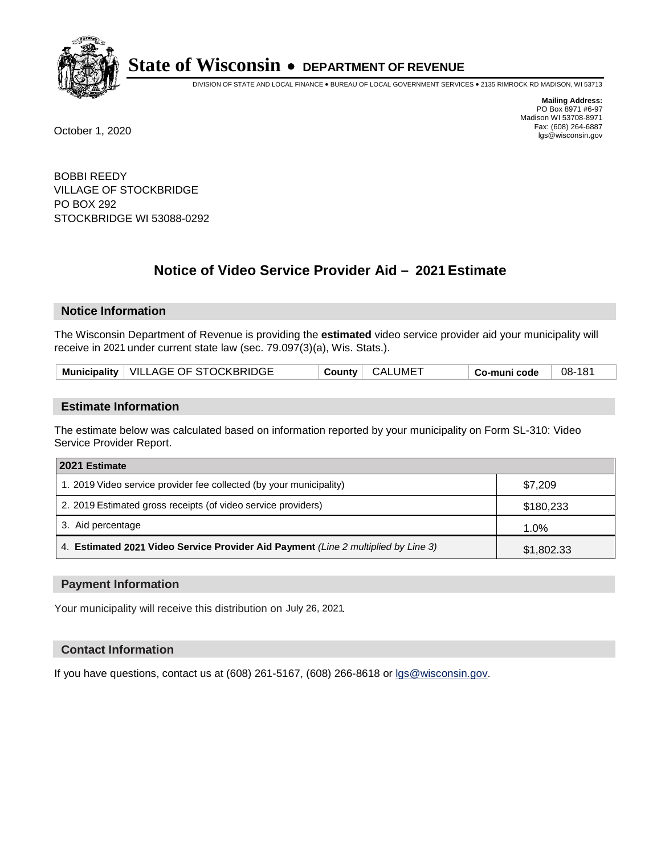

DIVISION OF STATE AND LOCAL FINANCE • BUREAU OF LOCAL GOVERNMENT SERVICES • 2135 RIMROCK RD MADISON, WI 53713

**Mailing Address:** PO Box 8971 #6-97 Madison WI 53708-8971<br>Fax: (608) 264-6887 Fax: (608) 264-6887 October 1, 2020 lgs@wisconsin.gov

BOBBI REEDY VILLAGE OF STOCKBRIDGE PO BOX 292 STOCKBRIDGE WI 53088-0292

# **Notice of Video Service Provider Aid - 2021 Estimate**

## **Notice Information**

The Wisconsin Department of Revenue is providing the **estimated** video service provider aid your municipality will receive in 2021 under current state law (sec. 79.097(3)(a), Wis. Stats.).

| Municipality   VILLAGE OF STOCKBRIDGE | CALUMET<br><b>County</b> | 08-181<br>Co-muni code |  |
|---------------------------------------|--------------------------|------------------------|--|
|---------------------------------------|--------------------------|------------------------|--|

#### **Estimate Information**

The estimate below was calculated based on information reported by your municipality on Form SL-310: Video Service Provider Report.

| 2021 Estimate                                                                      |            |
|------------------------------------------------------------------------------------|------------|
| 1. 2019 Video service provider fee collected (by your municipality)                | \$7,209    |
| 2. 2019 Estimated gross receipts (of video service providers)                      | \$180,233  |
| 3. Aid percentage                                                                  | 1.0%       |
| 4. Estimated 2021 Video Service Provider Aid Payment (Line 2 multiplied by Line 3) | \$1,802.33 |

#### **Payment Information**

Your municipality will receive this distribution on July 26, 2021.

## **Contact Information**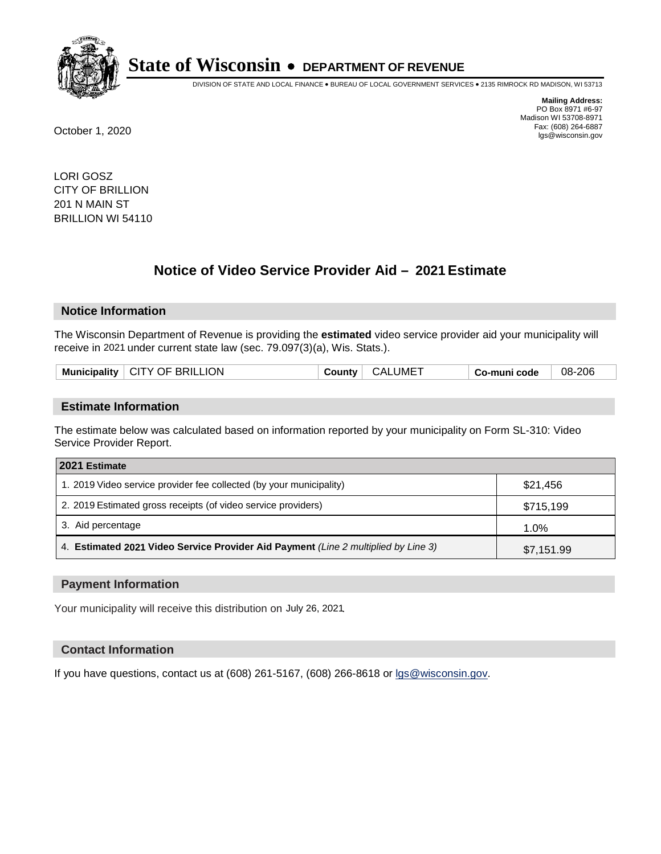

DIVISION OF STATE AND LOCAL FINANCE • BUREAU OF LOCAL GOVERNMENT SERVICES • 2135 RIMROCK RD MADISON, WI 53713

**Mailing Address:** PO Box 8971 #6-97 Madison WI 53708-8971<br>Fax: (608) 264-6887 Fax: (608) 264-6887 October 1, 2020 lgs@wisconsin.gov

LORI GOSZ CITY OF BRILLION 201 N MAIN ST BRILLION WI 54110

# **Notice of Video Service Provider Aid - 2021 Estimate**

## **Notice Information**

The Wisconsin Department of Revenue is providing the **estimated** video service provider aid your municipality will receive in 2021 under current state law (sec. 79.097(3)(a), Wis. Stats.).

|  |  | Municipality   CITY OF BRILLION | ∵ountvٽ | CALUME <sup>-</sup> | Co-muni code | 08-206 |
|--|--|---------------------------------|---------|---------------------|--------------|--------|
|--|--|---------------------------------|---------|---------------------|--------------|--------|

#### **Estimate Information**

The estimate below was calculated based on information reported by your municipality on Form SL-310: Video Service Provider Report.

| 2021 Estimate                                                                      |            |
|------------------------------------------------------------------------------------|------------|
| 1. 2019 Video service provider fee collected (by your municipality)                | \$21,456   |
| 2. 2019 Estimated gross receipts (of video service providers)                      | \$715,199  |
| 3. Aid percentage                                                                  | 1.0%       |
| 4. Estimated 2021 Video Service Provider Aid Payment (Line 2 multiplied by Line 3) | \$7,151.99 |

#### **Payment Information**

Your municipality will receive this distribution on July 26, 2021.

## **Contact Information**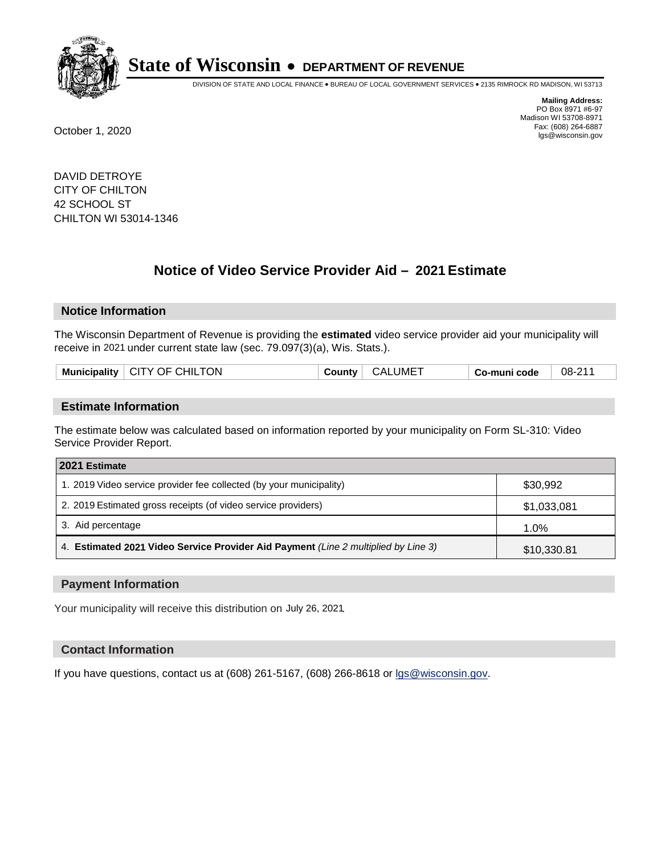

DIVISION OF STATE AND LOCAL FINANCE • BUREAU OF LOCAL GOVERNMENT SERVICES • 2135 RIMROCK RD MADISON, WI 53713

**Mailing Address:** PO Box 8971 #6-97 Madison WI 53708-8971<br>Fax: (608) 264-6887 Fax: (608) 264-6887 October 1, 2020 lgs@wisconsin.gov

DAVID DETROYE CITY OF CHILTON 42 SCHOOL ST CHILTON WI 53014-1346

# **Notice of Video Service Provider Aid - 2021 Estimate**

## **Notice Information**

The Wisconsin Department of Revenue is providing the **estimated** video service provider aid your municipality will receive in 2021 under current state law (sec. 79.097(3)(a), Wis. Stats.).

|  | CITY OF CHILTON<br><b>Municipality</b> | CALUME <sup>-</sup><br>⊖Count∨ ∂ | Co-muni code | 08-211 |
|--|----------------------------------------|----------------------------------|--------------|--------|
|--|----------------------------------------|----------------------------------|--------------|--------|

#### **Estimate Information**

The estimate below was calculated based on information reported by your municipality on Form SL-310: Video Service Provider Report.

| 2021 Estimate                                                                      |             |
|------------------------------------------------------------------------------------|-------------|
| 1. 2019 Video service provider fee collected (by your municipality)                | \$30.992    |
| 2. 2019 Estimated gross receipts (of video service providers)                      | \$1,033,081 |
| 3. Aid percentage                                                                  | 1.0%        |
| 4. Estimated 2021 Video Service Provider Aid Payment (Line 2 multiplied by Line 3) | \$10,330.81 |

#### **Payment Information**

Your municipality will receive this distribution on July 26, 2021.

## **Contact Information**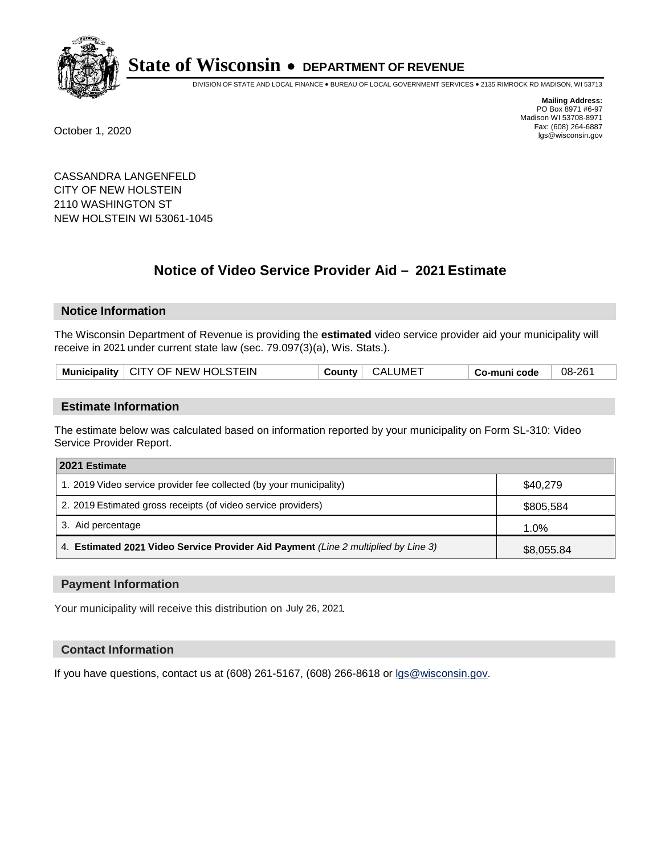

DIVISION OF STATE AND LOCAL FINANCE • BUREAU OF LOCAL GOVERNMENT SERVICES • 2135 RIMROCK RD MADISON, WI 53713

**Mailing Address:** PO Box 8971 #6-97 Madison WI 53708-8971<br>Fax: (608) 264-6887 Fax: (608) 264-6887 October 1, 2020 lgs@wisconsin.gov

CASSANDRA LANGENFELD CITY OF NEW HOLSTEIN 2110 WASHINGTON ST NEW HOLSTEIN WI 53061-1045

# **Notice of Video Service Provider Aid - 2021 Estimate**

## **Notice Information**

The Wisconsin Department of Revenue is providing the **estimated** video service provider aid your municipality will receive in 2021 under current state law (sec. 79.097(3)(a), Wis. Stats.).

| Municipality   CITY OF NEW HOLSTEIN | <b>CALUMET</b><br>County | 08-261<br>Co-muni code |  |
|-------------------------------------|--------------------------|------------------------|--|
|-------------------------------------|--------------------------|------------------------|--|

#### **Estimate Information**

The estimate below was calculated based on information reported by your municipality on Form SL-310: Video Service Provider Report.

| 2021 Estimate                                                                      |            |
|------------------------------------------------------------------------------------|------------|
| 1. 2019 Video service provider fee collected (by your municipality)                | \$40.279   |
| 2. 2019 Estimated gross receipts (of video service providers)                      | \$805,584  |
| 3. Aid percentage                                                                  | 1.0%       |
| 4. Estimated 2021 Video Service Provider Aid Payment (Line 2 multiplied by Line 3) | \$8,055.84 |

#### **Payment Information**

Your municipality will receive this distribution on July 26, 2021.

## **Contact Information**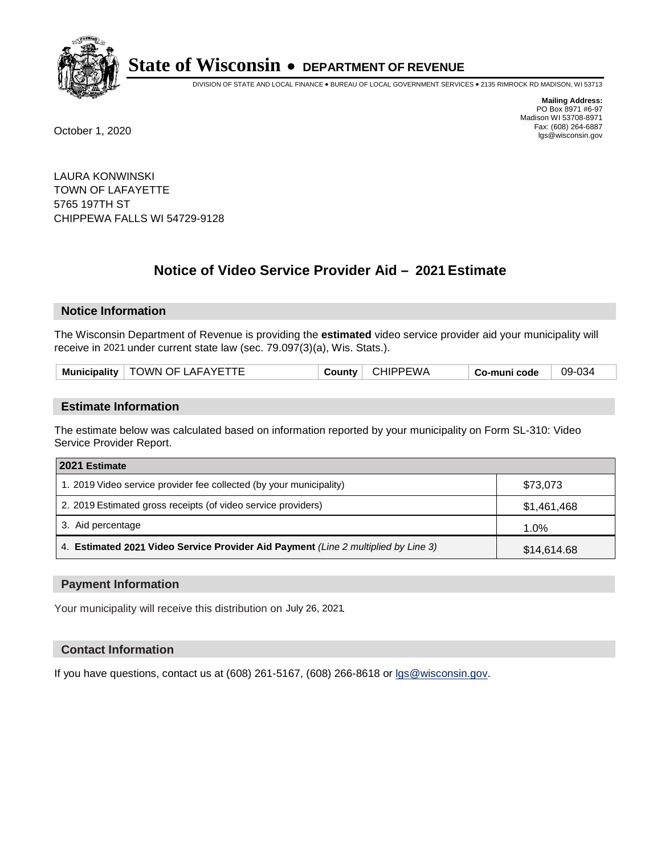

DIVISION OF STATE AND LOCAL FINANCE • BUREAU OF LOCAL GOVERNMENT SERVICES • 2135 RIMROCK RD MADISON, WI 53713

**Mailing Address:** PO Box 8971 #6-97 Madison WI 53708-8971<br>Fax: (608) 264-6887 Fax: (608) 264-6887 October 1, 2020 lgs@wisconsin.gov

LAURA KONWINSKI TOWN OF LAFAYETTE 5765 197TH ST CHIPPEWA FALLS WI 54729-9128

# **Notice of Video Service Provider Aid - 2021 Estimate**

## **Notice Information**

The Wisconsin Department of Revenue is providing the **estimated** video service provider aid your municipality will receive in 2021 under current state law (sec. 79.097(3)(a), Wis. Stats.).

| TOWN OF LAFAYETTE<br><b>CHIPPEWA</b><br>Municipality  <br>' countyن<br>Co-muni code | 09-034 |
|-------------------------------------------------------------------------------------|--------|
|-------------------------------------------------------------------------------------|--------|

#### **Estimate Information**

The estimate below was calculated based on information reported by your municipality on Form SL-310: Video Service Provider Report.

| 2021 Estimate                                                                      |             |
|------------------------------------------------------------------------------------|-------------|
| 1. 2019 Video service provider fee collected (by your municipality)                | \$73,073    |
| 2. 2019 Estimated gross receipts (of video service providers)                      | \$1,461,468 |
| 3. Aid percentage                                                                  | 1.0%        |
| 4. Estimated 2021 Video Service Provider Aid Payment (Line 2 multiplied by Line 3) | \$14,614.68 |

#### **Payment Information**

Your municipality will receive this distribution on July 26, 2021.

## **Contact Information**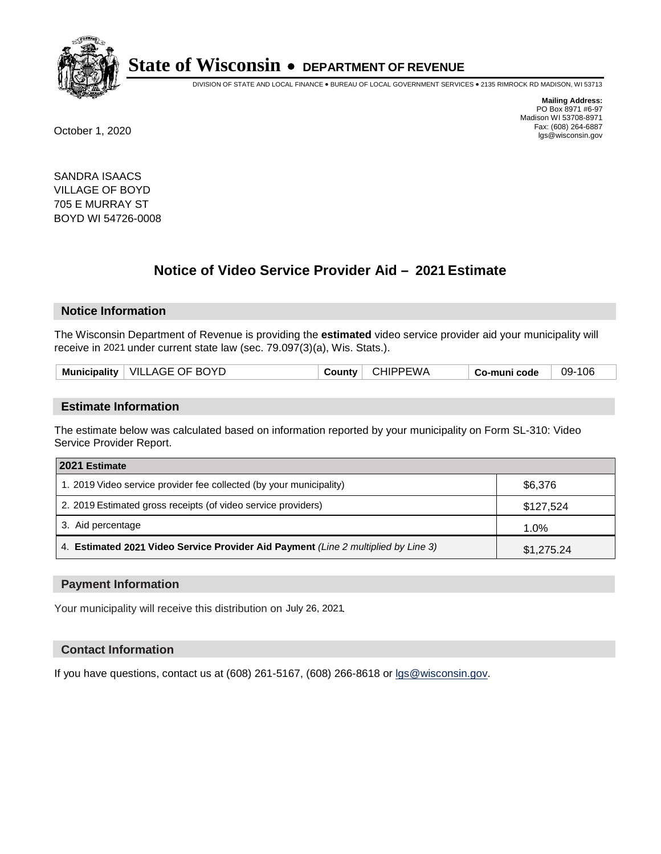

DIVISION OF STATE AND LOCAL FINANCE • BUREAU OF LOCAL GOVERNMENT SERVICES • 2135 RIMROCK RD MADISON, WI 53713

**Mailing Address:** PO Box 8971 #6-97 Madison WI 53708-8971<br>Fax: (608) 264-6887 Fax: (608) 264-6887 October 1, 2020 lgs@wisconsin.gov

SANDRA ISAACS VILLAGE OF BOYD 705 E MURRAY ST BOYD WI 54726-0008

# **Notice of Video Service Provider Aid - 2021 Estimate**

## **Notice Information**

The Wisconsin Department of Revenue is providing the **estimated** video service provider aid your municipality will receive in 2021 under current state law (sec. 79.097(3)(a), Wis. Stats.).

|  | Municipality | <b>BOYD</b><br>∵ VIL∟<br>. AGE .<br>OE.<br>그 사람들은 그 사람들은 그 사람들을 지르는 것이 없었다. |  | ∙W A | code | 106<br>09- |
|--|--------------|-----------------------------------------------------------------------------|--|------|------|------------|
|--|--------------|-----------------------------------------------------------------------------|--|------|------|------------|

#### **Estimate Information**

The estimate below was calculated based on information reported by your municipality on Form SL-310: Video Service Provider Report.

| 2021 Estimate                                                                      |            |
|------------------------------------------------------------------------------------|------------|
| 1. 2019 Video service provider fee collected (by your municipality)                | \$6,376    |
| 2. 2019 Estimated gross receipts (of video service providers)                      | \$127,524  |
| 3. Aid percentage                                                                  | 1.0%       |
| 4. Estimated 2021 Video Service Provider Aid Payment (Line 2 multiplied by Line 3) | \$1,275.24 |

#### **Payment Information**

Your municipality will receive this distribution on July 26, 2021.

## **Contact Information**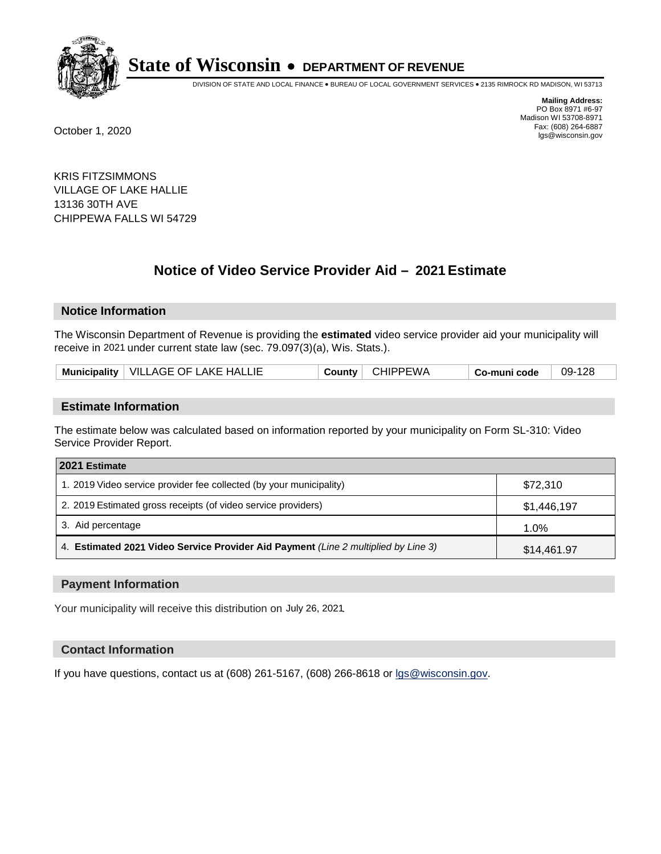

DIVISION OF STATE AND LOCAL FINANCE • BUREAU OF LOCAL GOVERNMENT SERVICES • 2135 RIMROCK RD MADISON, WI 53713

**Mailing Address:** PO Box 8971 #6-97 Madison WI 53708-8971<br>Fax: (608) 264-6887 Fax: (608) 264-6887 October 1, 2020 lgs@wisconsin.gov

KRIS FITZSIMMONS VILLAGE OF LAKE HALLIE 13136 30TH AVE CHIPPEWA FALLS WI 54729

# **Notice of Video Service Provider Aid - 2021 Estimate**

## **Notice Information**

The Wisconsin Department of Revenue is providing the **estimated** video service provider aid your municipality will receive in 2021 under current state law (sec. 79.097(3)(a), Wis. Stats.).

| VILLAGE OF LAKE HALLIE<br>Municipality | าнiPPEWA<br>County<br>∪⊓⊔ | $09 -$<br>co-muni code، |
|----------------------------------------|---------------------------|-------------------------|
|----------------------------------------|---------------------------|-------------------------|

#### **Estimate Information**

The estimate below was calculated based on information reported by your municipality on Form SL-310: Video Service Provider Report.

| 2021 Estimate                                                                      |             |
|------------------------------------------------------------------------------------|-------------|
| 1. 2019 Video service provider fee collected (by your municipality)                | \$72.310    |
| 2. 2019 Estimated gross receipts (of video service providers)                      | \$1,446,197 |
| 3. Aid percentage                                                                  | 1.0%        |
| 4. Estimated 2021 Video Service Provider Aid Payment (Line 2 multiplied by Line 3) | \$14,461.97 |

#### **Payment Information**

Your municipality will receive this distribution on July 26, 2021.

## **Contact Information**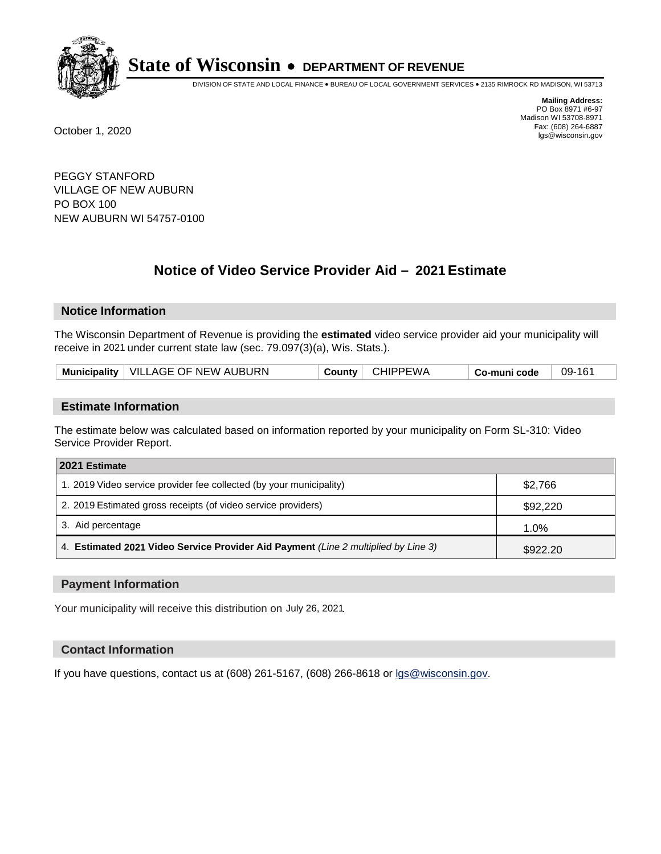

DIVISION OF STATE AND LOCAL FINANCE • BUREAU OF LOCAL GOVERNMENT SERVICES • 2135 RIMROCK RD MADISON, WI 53713

**Mailing Address:** PO Box 8971 #6-97 Madison WI 53708-8971<br>Fax: (608) 264-6887 Fax: (608) 264-6887 October 1, 2020 lgs@wisconsin.gov

PEGGY STANFORD VILLAGE OF NEW AUBURN PO BOX 100 NEW AUBURN WI 54757-0100

# **Notice of Video Service Provider Aid - 2021 Estimate**

## **Notice Information**

The Wisconsin Department of Revenue is providing the **estimated** video service provider aid your municipality will receive in 2021 under current state law (sec. 79.097(3)(a), Wis. Stats.).

| Municipality   VILLAGE OF NEW AUBURN | <b>CHIPPEWA</b><br>County | 09-161<br>Co-muni code |  |
|--------------------------------------|---------------------------|------------------------|--|
|--------------------------------------|---------------------------|------------------------|--|

#### **Estimate Information**

The estimate below was calculated based on information reported by your municipality on Form SL-310: Video Service Provider Report.

| 2021 Estimate                                                                      |          |
|------------------------------------------------------------------------------------|----------|
| 1. 2019 Video service provider fee collected (by your municipality)                | \$2.766  |
| 2. 2019 Estimated gross receipts (of video service providers)                      | \$92,220 |
| 3. Aid percentage                                                                  | $1.0\%$  |
| 4. Estimated 2021 Video Service Provider Aid Payment (Line 2 multiplied by Line 3) | \$922.20 |

#### **Payment Information**

Your municipality will receive this distribution on July 26, 2021.

## **Contact Information**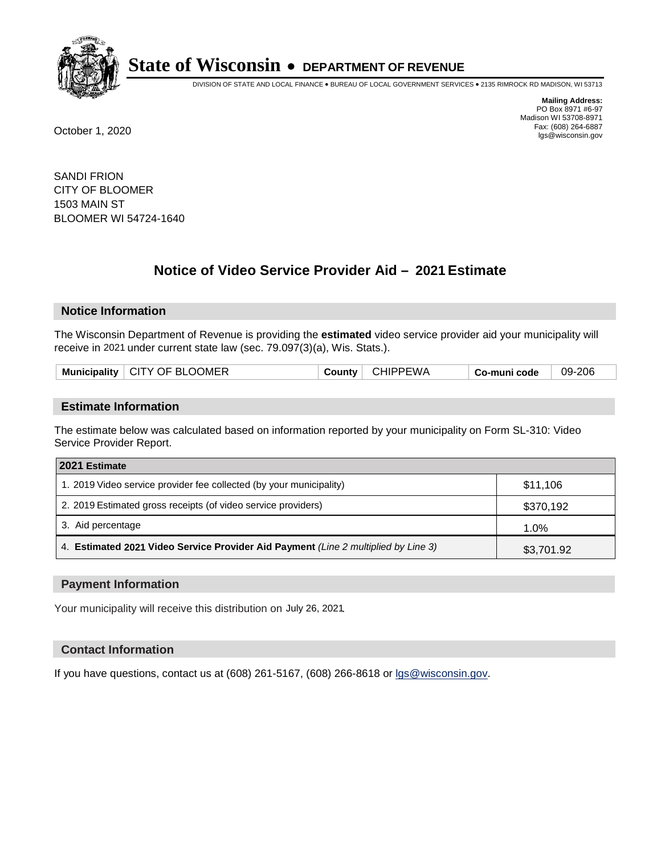

DIVISION OF STATE AND LOCAL FINANCE • BUREAU OF LOCAL GOVERNMENT SERVICES • 2135 RIMROCK RD MADISON, WI 53713

**Mailing Address:** PO Box 8971 #6-97 Madison WI 53708-8971<br>Fax: (608) 264-6887 Fax: (608) 264-6887 October 1, 2020 lgs@wisconsin.gov

SANDI FRION CITY OF BLOOMER 1503 MAIN ST BLOOMER WI 54724-1640

# **Notice of Video Service Provider Aid - 2021 Estimate**

## **Notice Information**

The Wisconsin Department of Revenue is providing the **estimated** video service provider aid your municipality will receive in 2021 under current state law (sec. 79.097(3)(a), Wis. Stats.).

| Municipality   CITY OF BLOOMER | <b>County</b> | <b>CHIPPEWA</b> | Co-muni code | 09-206 |
|--------------------------------|---------------|-----------------|--------------|--------|
|                                |               |                 |              |        |

#### **Estimate Information**

The estimate below was calculated based on information reported by your municipality on Form SL-310: Video Service Provider Report.

| 2021 Estimate                                                                      |            |
|------------------------------------------------------------------------------------|------------|
| 1. 2019 Video service provider fee collected (by your municipality)                | \$11.106   |
| 2. 2019 Estimated gross receipts (of video service providers)                      | \$370,192  |
| 3. Aid percentage                                                                  | 1.0%       |
| 4. Estimated 2021 Video Service Provider Aid Payment (Line 2 multiplied by Line 3) | \$3,701.92 |

#### **Payment Information**

Your municipality will receive this distribution on July 26, 2021.

## **Contact Information**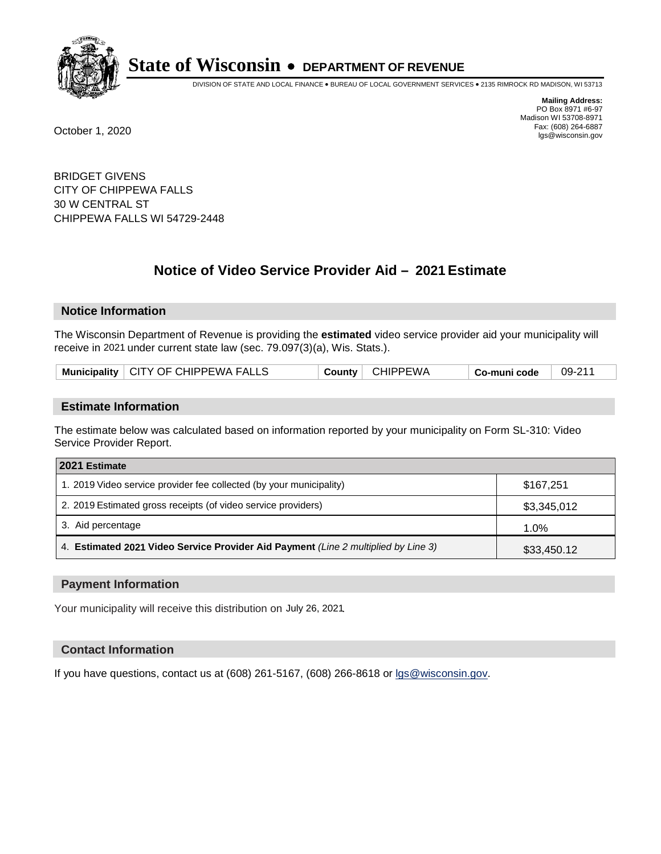

DIVISION OF STATE AND LOCAL FINANCE • BUREAU OF LOCAL GOVERNMENT SERVICES • 2135 RIMROCK RD MADISON, WI 53713

**Mailing Address:** PO Box 8971 #6-97 Madison WI 53708-8971<br>Fax: (608) 264-6887 Fax: (608) 264-6887 October 1, 2020 lgs@wisconsin.gov

BRIDGET GIVENS CITY OF CHIPPEWA FALLS 30 W CENTRAL ST CHIPPEWA FALLS WI 54729-2448

# **Notice of Video Service Provider Aid - 2021 Estimate**

## **Notice Information**

The Wisconsin Department of Revenue is providing the **estimated** video service provider aid your municipality will receive in 2021 under current state law (sec. 79.097(3)(a), Wis. Stats.).

| Municipality   CITY OF CHIPPEWA FALLS |  | County   CHIPPEWA | Co-muni code | 09-211 |
|---------------------------------------|--|-------------------|--------------|--------|
|---------------------------------------|--|-------------------|--------------|--------|

#### **Estimate Information**

The estimate below was calculated based on information reported by your municipality on Form SL-310: Video Service Provider Report.

| 2021 Estimate                                                                      |             |
|------------------------------------------------------------------------------------|-------------|
| 1. 2019 Video service provider fee collected (by your municipality)                | \$167.251   |
| 2. 2019 Estimated gross receipts (of video service providers)                      | \$3,345,012 |
| 3. Aid percentage                                                                  | 1.0%        |
| 4. Estimated 2021 Video Service Provider Aid Payment (Line 2 multiplied by Line 3) | \$33,450.12 |

#### **Payment Information**

Your municipality will receive this distribution on July 26, 2021.

## **Contact Information**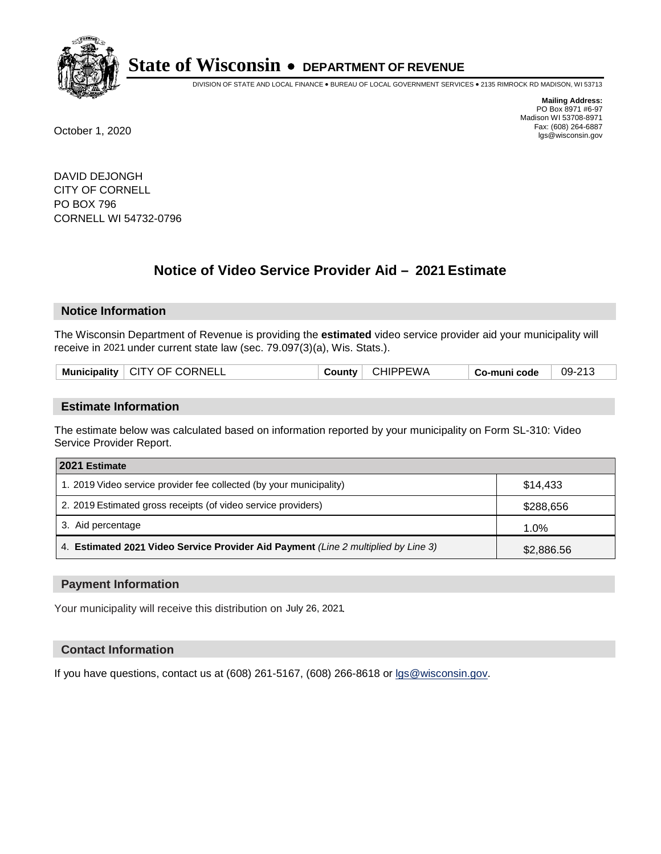

DIVISION OF STATE AND LOCAL FINANCE • BUREAU OF LOCAL GOVERNMENT SERVICES • 2135 RIMROCK RD MADISON, WI 53713

**Mailing Address:** PO Box 8971 #6-97 Madison WI 53708-8971<br>Fax: (608) 264-6887 Fax: (608) 264-6887 October 1, 2020 lgs@wisconsin.gov

DAVID DEJONGH CITY OF CORNELL PO BOX 796 CORNELL WI 54732-0796

# **Notice of Video Service Provider Aid - 2021 Estimate**

## **Notice Information**

The Wisconsin Department of Revenue is providing the **estimated** video service provider aid your municipality will receive in 2021 under current state law (sec. 79.097(3)(a), Wis. Stats.).

|  | <b>Municipality</b> | <sup>1</sup> CITY OF CORNELL | County | <b>CHIPPEWA</b> | Co-muni code | 09-213 |
|--|---------------------|------------------------------|--------|-----------------|--------------|--------|
|--|---------------------|------------------------------|--------|-----------------|--------------|--------|

#### **Estimate Information**

The estimate below was calculated based on information reported by your municipality on Form SL-310: Video Service Provider Report.

| 2021 Estimate                                                                      |            |
|------------------------------------------------------------------------------------|------------|
| 1. 2019 Video service provider fee collected (by your municipality)                | \$14,433   |
| 2. 2019 Estimated gross receipts (of video service providers)                      | \$288,656  |
| 3. Aid percentage                                                                  | 1.0%       |
| 4. Estimated 2021 Video Service Provider Aid Payment (Line 2 multiplied by Line 3) | \$2,886.56 |

#### **Payment Information**

Your municipality will receive this distribution on July 26, 2021.

## **Contact Information**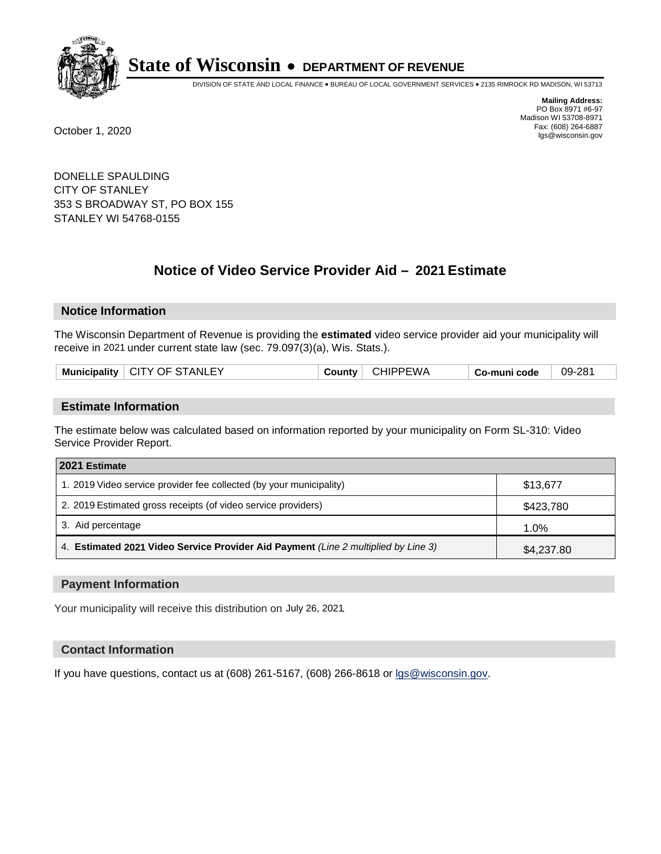

DIVISION OF STATE AND LOCAL FINANCE • BUREAU OF LOCAL GOVERNMENT SERVICES • 2135 RIMROCK RD MADISON, WI 53713

**Mailing Address:** PO Box 8971 #6-97 Madison WI 53708-8971<br>Fax: (608) 264-6887 Fax: (608) 264-6887 October 1, 2020 lgs@wisconsin.gov

DONELLE SPAULDING CITY OF STANLEY 353 S BROADWAY ST, PO BOX 155 STANLEY WI 54768-0155

# **Notice of Video Service Provider Aid - 2021 Estimate**

## **Notice Information**

The Wisconsin Department of Revenue is providing the **estimated** video service provider aid your municipality will receive in 2021 under current state law (sec. 79.097(3)(a), Wis. Stats.).

|  |  | Municipality   CITY OF STANLEY | County | <b>CHIPPEWA</b> | Co-muni code | 09-281 |
|--|--|--------------------------------|--------|-----------------|--------------|--------|
|--|--|--------------------------------|--------|-----------------|--------------|--------|

#### **Estimate Information**

The estimate below was calculated based on information reported by your municipality on Form SL-310: Video Service Provider Report.

| 2021 Estimate                                                                      |            |
|------------------------------------------------------------------------------------|------------|
| 1. 2019 Video service provider fee collected (by your municipality)                | \$13,677   |
| 2. 2019 Estimated gross receipts (of video service providers)                      | \$423,780  |
| 3. Aid percentage                                                                  | 1.0%       |
| 4. Estimated 2021 Video Service Provider Aid Payment (Line 2 multiplied by Line 3) | \$4,237.80 |

#### **Payment Information**

Your municipality will receive this distribution on July 26, 2021.

## **Contact Information**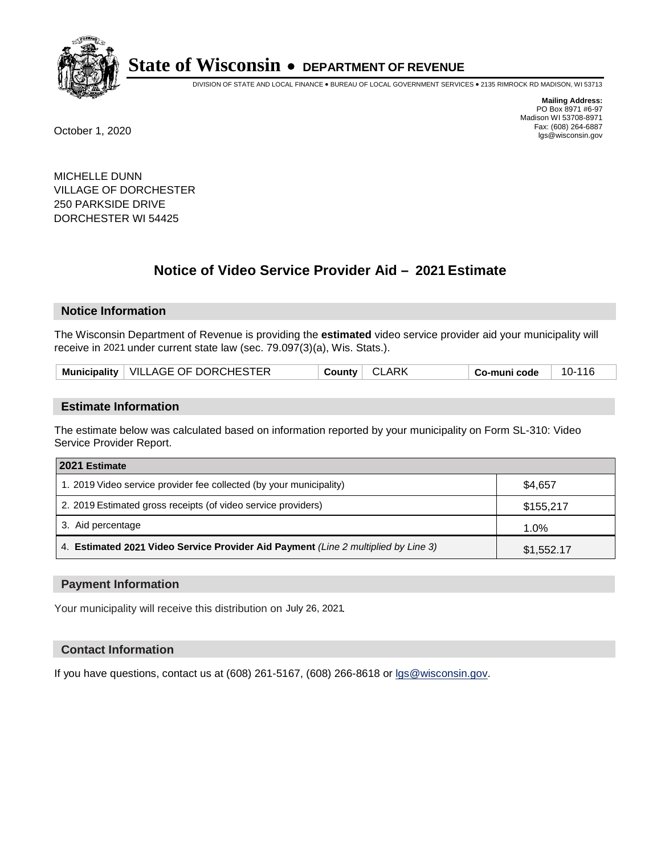

DIVISION OF STATE AND LOCAL FINANCE • BUREAU OF LOCAL GOVERNMENT SERVICES • 2135 RIMROCK RD MADISON, WI 53713

**Mailing Address:** PO Box 8971 #6-97 Madison WI 53708-8971<br>Fax: (608) 264-6887 Fax: (608) 264-6887 October 1, 2020 lgs@wisconsin.gov

MICHELLE DUNN VILLAGE OF DORCHESTER 250 PARKSIDE DRIVE DORCHESTER WI 54425

# **Notice of Video Service Provider Aid - 2021 Estimate**

## **Notice Information**

The Wisconsin Department of Revenue is providing the **estimated** video service provider aid your municipality will receive in 2021 under current state law (sec. 79.097(3)(a), Wis. Stats.).

| Municipality   VILLAGE OF DORCHESTER | <b>CLARK</b><br><b>County</b> | 10-116<br>Co-muni code |
|--------------------------------------|-------------------------------|------------------------|
|--------------------------------------|-------------------------------|------------------------|

#### **Estimate Information**

The estimate below was calculated based on information reported by your municipality on Form SL-310: Video Service Provider Report.

| 2021 Estimate                                                                      |            |
|------------------------------------------------------------------------------------|------------|
| 1. 2019 Video service provider fee collected (by your municipality)                | \$4.657    |
| 2. 2019 Estimated gross receipts (of video service providers)                      | \$155,217  |
| 3. Aid percentage                                                                  | 1.0%       |
| 4. Estimated 2021 Video Service Provider Aid Payment (Line 2 multiplied by Line 3) | \$1,552.17 |

#### **Payment Information**

Your municipality will receive this distribution on July 26, 2021.

## **Contact Information**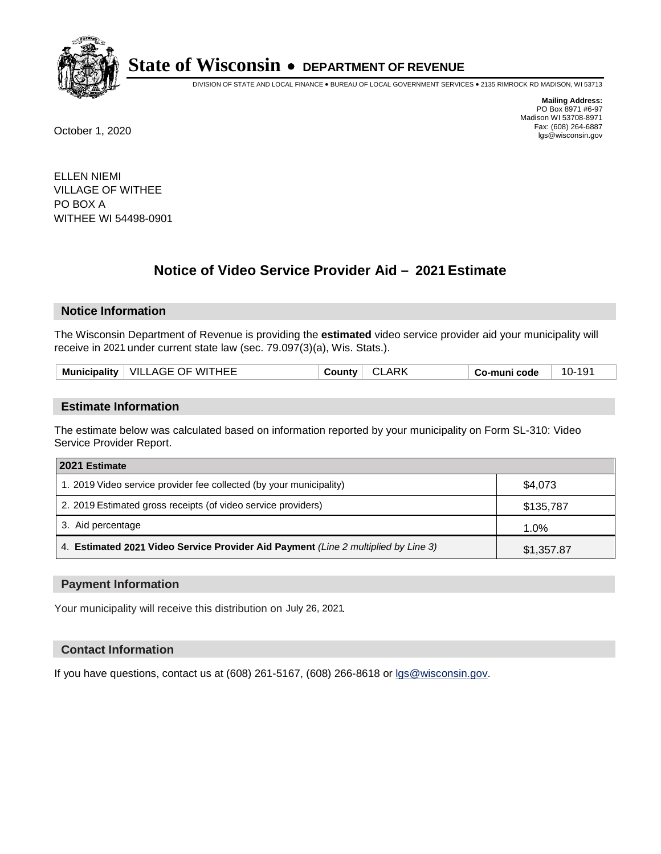

DIVISION OF STATE AND LOCAL FINANCE • BUREAU OF LOCAL GOVERNMENT SERVICES • 2135 RIMROCK RD MADISON, WI 53713

**Mailing Address:** PO Box 8971 #6-97 Madison WI 53708-8971<br>Fax: (608) 264-6887 Fax: (608) 264-6887 October 1, 2020 lgs@wisconsin.gov

ELLEN NIEMI VILLAGE OF WITHEE PO BOX A WITHEE WI 54498-0901

# **Notice of Video Service Provider Aid - 2021 Estimate**

## **Notice Information**

The Wisconsin Department of Revenue is providing the **estimated** video service provider aid your municipality will receive in 2021 under current state law (sec. 79.097(3)(a), Wis. Stats.).

| <b>Municipality</b> | <b>VILLAGE OF WITHEE</b> | …∩untv | ARK<br>u | code<br>∽ o-munי ∼ | 10- |
|---------------------|--------------------------|--------|----------|--------------------|-----|
|                     |                          |        |          |                    |     |

#### **Estimate Information**

The estimate below was calculated based on information reported by your municipality on Form SL-310: Video Service Provider Report.

| 2021 Estimate                                                                      |            |
|------------------------------------------------------------------------------------|------------|
| 1. 2019 Video service provider fee collected (by your municipality)                | \$4,073    |
| 2. 2019 Estimated gross receipts (of video service providers)                      | \$135,787  |
| 3. Aid percentage                                                                  | 1.0%       |
| 4. Estimated 2021 Video Service Provider Aid Payment (Line 2 multiplied by Line 3) | \$1,357.87 |

#### **Payment Information**

Your municipality will receive this distribution on July 26, 2021.

## **Contact Information**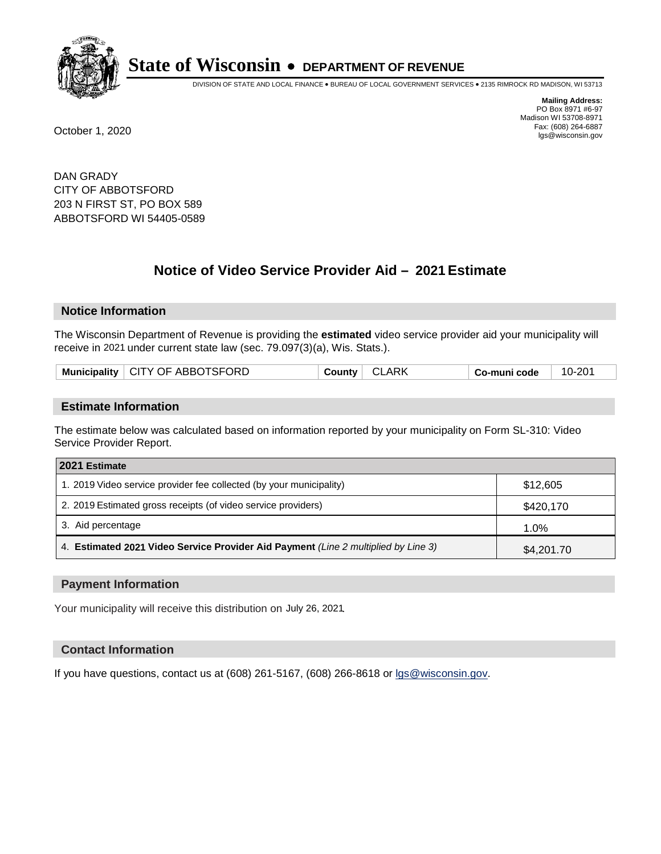

DIVISION OF STATE AND LOCAL FINANCE • BUREAU OF LOCAL GOVERNMENT SERVICES • 2135 RIMROCK RD MADISON, WI 53713

**Mailing Address:** PO Box 8971 #6-97 Madison WI 53708-8971<br>Fax: (608) 264-6887 Fax: (608) 264-6887 October 1, 2020 lgs@wisconsin.gov

DAN GRADY CITY OF ABBOTSFORD 203 N FIRST ST, PO BOX 589 ABBOTSFORD WI 54405-0589

# **Notice of Video Service Provider Aid - 2021 Estimate**

## **Notice Information**

The Wisconsin Department of Revenue is providing the **estimated** video service provider aid your municipality will receive in 2021 under current state law (sec. 79.097(3)(a), Wis. Stats.).

|  | Municipality   CITY OF ABBOTSFORD | <b>County</b> | <b>CLARK</b> | Co-muni code | 10-201 |
|--|-----------------------------------|---------------|--------------|--------------|--------|
|--|-----------------------------------|---------------|--------------|--------------|--------|

#### **Estimate Information**

The estimate below was calculated based on information reported by your municipality on Form SL-310: Video Service Provider Report.

| 2021 Estimate                                                                      |            |
|------------------------------------------------------------------------------------|------------|
| 1. 2019 Video service provider fee collected (by your municipality)                | \$12,605   |
| 2. 2019 Estimated gross receipts (of video service providers)                      | \$420,170  |
| 3. Aid percentage                                                                  | 1.0%       |
| 4. Estimated 2021 Video Service Provider Aid Payment (Line 2 multiplied by Line 3) | \$4,201.70 |

#### **Payment Information**

Your municipality will receive this distribution on July 26, 2021.

## **Contact Information**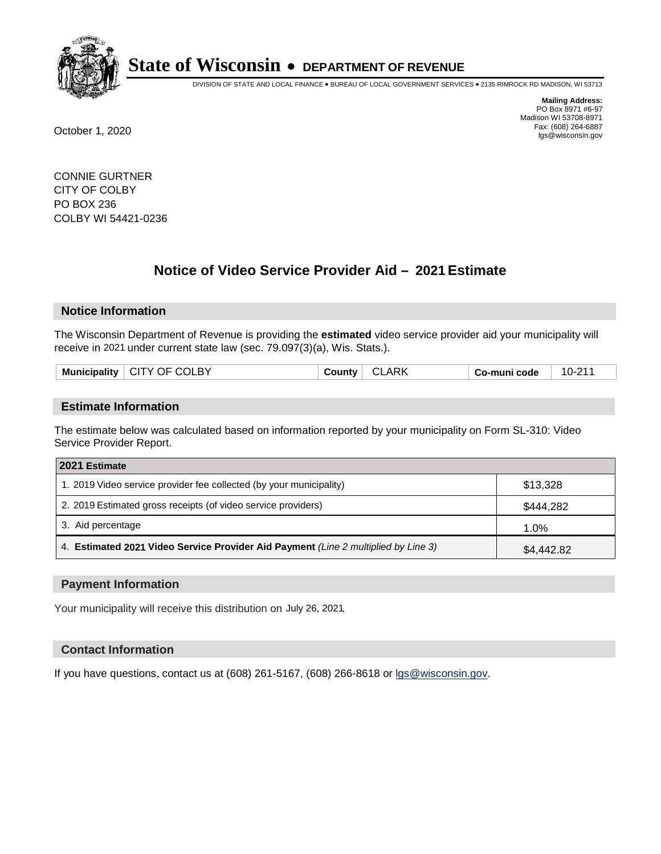

DIVISION OF STATE AND LOCAL FINANCE • BUREAU OF LOCAL GOVERNMENT SERVICES • 2135 RIMROCK RD MADISON, WI 53713

**Mailing Address:** PO Box 8971 #6-97 Madison WI 53708-8971<br>Fax: (608) 264-6887 Fax: (608) 264-6887 October 1, 2020 lgs@wisconsin.gov

CONNIE GURTNER CITY OF COLBY PO BOX 236 COLBY WI 54421-0236

# **Notice of Video Service Provider Aid - 2021 Estimate**

## **Notice Information**

The Wisconsin Department of Revenue is providing the **estimated** video service provider aid your municipality will receive in 2021 under current state law (sec. 79.097(3)(a), Wis. Stats.).

| BY<br>Mun.<br>.<br>ЭΕ<br>$\mathbf{v}$<br>$\cdot$<br>ноашту | ARK<br>. . | code<br>٠.<br>--<br>. | - 74<br>10- <sup>2</sup> |
|------------------------------------------------------------|------------|-----------------------|--------------------------|
|                                                            |            |                       |                          |

#### **Estimate Information**

The estimate below was calculated based on information reported by your municipality on Form SL-310: Video Service Provider Report.

| 2021 Estimate                                                                      |            |
|------------------------------------------------------------------------------------|------------|
| 1. 2019 Video service provider fee collected (by your municipality)                | \$13,328   |
| 2. 2019 Estimated gross receipts (of video service providers)                      | \$444,282  |
| 3. Aid percentage                                                                  | 1.0%       |
| 4. Estimated 2021 Video Service Provider Aid Payment (Line 2 multiplied by Line 3) | \$4,442.82 |

#### **Payment Information**

Your municipality will receive this distribution on July 26, 2021.

## **Contact Information**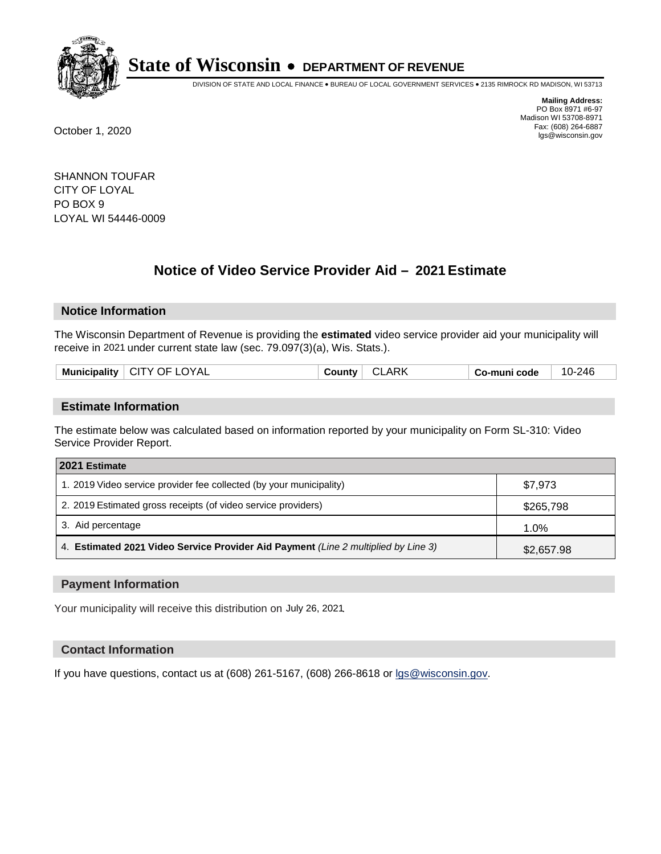

DIVISION OF STATE AND LOCAL FINANCE • BUREAU OF LOCAL GOVERNMENT SERVICES • 2135 RIMROCK RD MADISON, WI 53713

**Mailing Address:** PO Box 8971 #6-97 Madison WI 53708-8971<br>Fax: (608) 264-6887 Fax: (608) 264-6887 October 1, 2020 lgs@wisconsin.gov

SHANNON TOUFAR CITY OF LOYAL PO BOX 9 LOYAL WI 54446-0009

# **Notice of Video Service Provider Aid - 2021 Estimate**

## **Notice Information**

The Wisconsin Department of Revenue is providing the **estimated** video service provider aid your municipality will receive in 2021 under current state law (sec. 79.097(3)(a), Wis. Stats.).

| Mun<br>าเกลเเห | `V /\ .<br>$\cdot$<br>⊣נ<br>\ ∍l | $\overline{ }$ | code<br>- - - - | λΔŀ<br>$10-$ |
|----------------|----------------------------------|----------------|-----------------|--------------|
|                |                                  |                |                 |              |

#### **Estimate Information**

The estimate below was calculated based on information reported by your municipality on Form SL-310: Video Service Provider Report.

| 2021 Estimate                                                                      |            |  |
|------------------------------------------------------------------------------------|------------|--|
| 1. 2019 Video service provider fee collected (by your municipality)                | \$7.973    |  |
| 2. 2019 Estimated gross receipts (of video service providers)                      | \$265,798  |  |
| 3. Aid percentage                                                                  | 1.0%       |  |
| 4. Estimated 2021 Video Service Provider Aid Payment (Line 2 multiplied by Line 3) | \$2,657.98 |  |

#### **Payment Information**

Your municipality will receive this distribution on July 26, 2021.

## **Contact Information**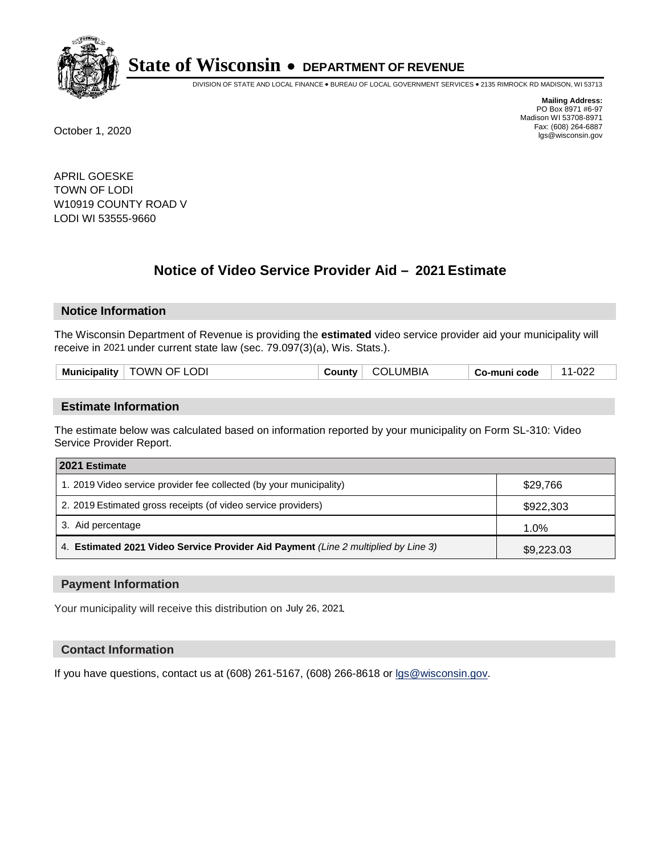

DIVISION OF STATE AND LOCAL FINANCE • BUREAU OF LOCAL GOVERNMENT SERVICES • 2135 RIMROCK RD MADISON, WI 53713

**Mailing Address:** PO Box 8971 #6-97 Madison WI 53708-8971<br>Fax: (608) 264-6887 Fax: (608) 264-6887 October 1, 2020 lgs@wisconsin.gov

APRIL GOESKE TOWN OF LODI W10919 COUNTY ROAD V LODI WI 53555-9660

# **Notice of Video Service Provider Aid - 2021 Estimate**

## **Notice Information**

The Wisconsin Department of Revenue is providing the **estimated** video service provider aid your municipality will receive in 2021 under current state law (sec. 79.097(3)(a), Wis. Stats.).

|--|

#### **Estimate Information**

The estimate below was calculated based on information reported by your municipality on Form SL-310: Video Service Provider Report.

| 2021 Estimate                                                                      |            |  |
|------------------------------------------------------------------------------------|------------|--|
| 1. 2019 Video service provider fee collected (by your municipality)                | \$29,766   |  |
| 2. 2019 Estimated gross receipts (of video service providers)                      | \$922,303  |  |
| 3. Aid percentage                                                                  | 1.0%       |  |
| 4. Estimated 2021 Video Service Provider Aid Payment (Line 2 multiplied by Line 3) | \$9,223.03 |  |

#### **Payment Information**

Your municipality will receive this distribution on July 26, 2021.

## **Contact Information**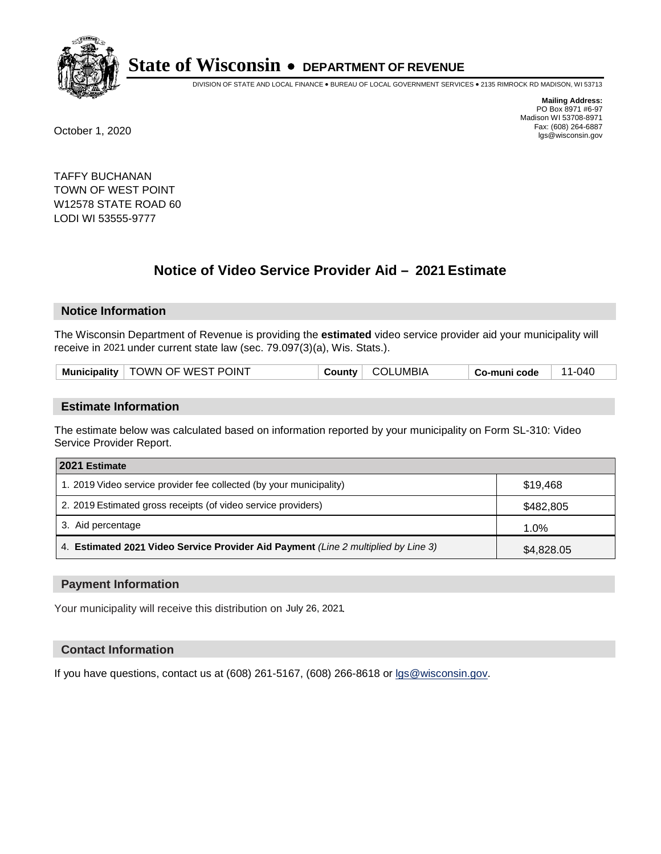

DIVISION OF STATE AND LOCAL FINANCE • BUREAU OF LOCAL GOVERNMENT SERVICES • 2135 RIMROCK RD MADISON, WI 53713

**Mailing Address:** PO Box 8971 #6-97 Madison WI 53708-8971<br>Fax: (608) 264-6887 Fax: (608) 264-6887 October 1, 2020 lgs@wisconsin.gov

TAFFY BUCHANAN TOWN OF WEST POINT W12578 STATE ROAD 60 LODI WI 53555-9777

# **Notice of Video Service Provider Aid - 2021 Estimate**

## **Notice Information**

The Wisconsin Department of Revenue is providing the **estimated** video service provider aid your municipality will receive in 2021 under current state law (sec. 79.097(3)(a), Wis. Stats.).

| Municipality   TOWN OF WEST POINT | COLUMBIA<br>County | 11-040<br>Co-muni code |  |
|-----------------------------------|--------------------|------------------------|--|
|-----------------------------------|--------------------|------------------------|--|

#### **Estimate Information**

The estimate below was calculated based on information reported by your municipality on Form SL-310: Video Service Provider Report.

| 2021 Estimate                                                                      |            |
|------------------------------------------------------------------------------------|------------|
| 1. 2019 Video service provider fee collected (by your municipality)                | \$19,468   |
| 2. 2019 Estimated gross receipts (of video service providers)                      | \$482,805  |
| 3. Aid percentage                                                                  | 1.0%       |
| 4. Estimated 2021 Video Service Provider Aid Payment (Line 2 multiplied by Line 3) | \$4,828.05 |

#### **Payment Information**

Your municipality will receive this distribution on July 26, 2021.

## **Contact Information**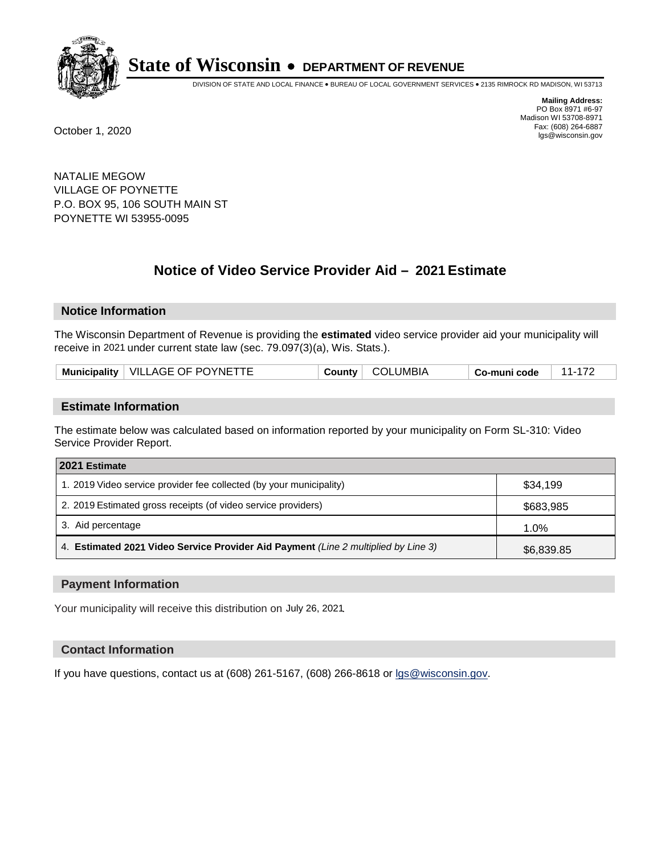

DIVISION OF STATE AND LOCAL FINANCE • BUREAU OF LOCAL GOVERNMENT SERVICES • 2135 RIMROCK RD MADISON, WI 53713

**Mailing Address:** PO Box 8971 #6-97 Madison WI 53708-8971<br>Fax: (608) 264-6887 Fax: (608) 264-6887 October 1, 2020 lgs@wisconsin.gov

NATALIE MEGOW VILLAGE OF POYNETTE P.O. BOX 95, 106 SOUTH MAIN ST POYNETTE WI 53955-0095

# **Notice of Video Service Provider Aid - 2021 Estimate**

## **Notice Information**

The Wisconsin Department of Revenue is providing the **estimated** video service provider aid your municipality will receive in 2021 under current state law (sec. 79.097(3)(a), Wis. Stats.).

| Municipality   VILLAGE OF POYNETTE | COLUMBIA<br>County | Co-muni code |
|------------------------------------|--------------------|--------------|
|------------------------------------|--------------------|--------------|

#### **Estimate Information**

The estimate below was calculated based on information reported by your municipality on Form SL-310: Video Service Provider Report.

| 2021 Estimate                                                                      |            |
|------------------------------------------------------------------------------------|------------|
| 1. 2019 Video service provider fee collected (by your municipality)                | \$34,199   |
| 2. 2019 Estimated gross receipts (of video service providers)                      | \$683,985  |
| 3. Aid percentage                                                                  | 1.0%       |
| 4. Estimated 2021 Video Service Provider Aid Payment (Line 2 multiplied by Line 3) | \$6,839.85 |

#### **Payment Information**

Your municipality will receive this distribution on July 26, 2021.

## **Contact Information**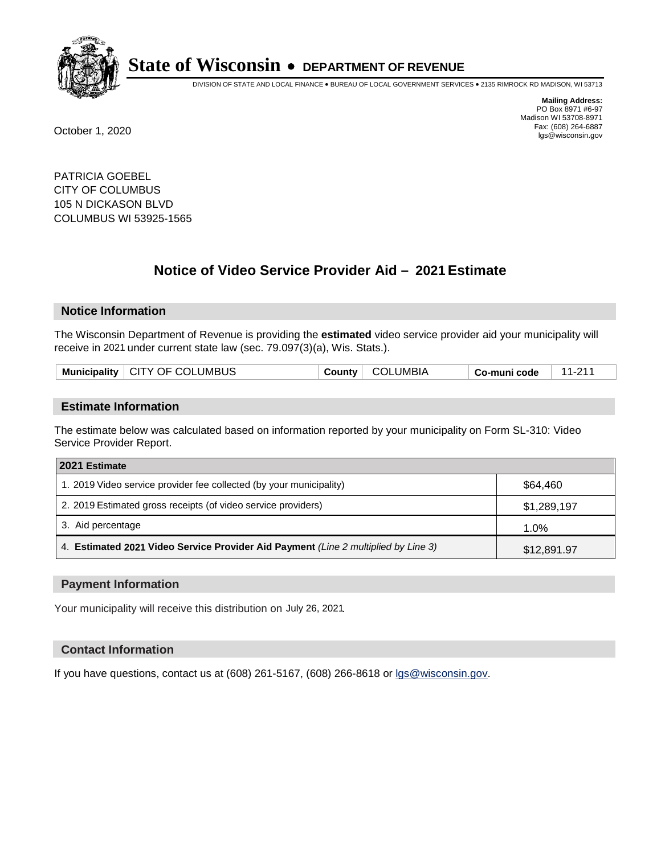

DIVISION OF STATE AND LOCAL FINANCE • BUREAU OF LOCAL GOVERNMENT SERVICES • 2135 RIMROCK RD MADISON, WI 53713

**Mailing Address:** PO Box 8971 #6-97 Madison WI 53708-8971<br>Fax: (608) 264-6887 Fax: (608) 264-6887 October 1, 2020 lgs@wisconsin.gov

PATRICIA GOEBEL CITY OF COLUMBUS 105 N DICKASON BLVD COLUMBUS WI 53925-1565

# **Notice of Video Service Provider Aid - 2021 Estimate**

## **Notice Information**

The Wisconsin Department of Revenue is providing the **estimated** video service provider aid your municipality will receive in 2021 under current state law (sec. 79.097(3)(a), Wis. Stats.).

| Municipality   CITY OF COLUMBUS<br>Co-muni code |
|-------------------------------------------------|
|-------------------------------------------------|

#### **Estimate Information**

The estimate below was calculated based on information reported by your municipality on Form SL-310: Video Service Provider Report.

| 2021 Estimate                                                                      |             |  |  |
|------------------------------------------------------------------------------------|-------------|--|--|
| 1. 2019 Video service provider fee collected (by your municipality)                | \$64,460    |  |  |
| 2. 2019 Estimated gross receipts (of video service providers)                      | \$1,289,197 |  |  |
| 3. Aid percentage                                                                  | 1.0%        |  |  |
| 4. Estimated 2021 Video Service Provider Aid Payment (Line 2 multiplied by Line 3) | \$12,891.97 |  |  |

#### **Payment Information**

Your municipality will receive this distribution on July 26, 2021.

## **Contact Information**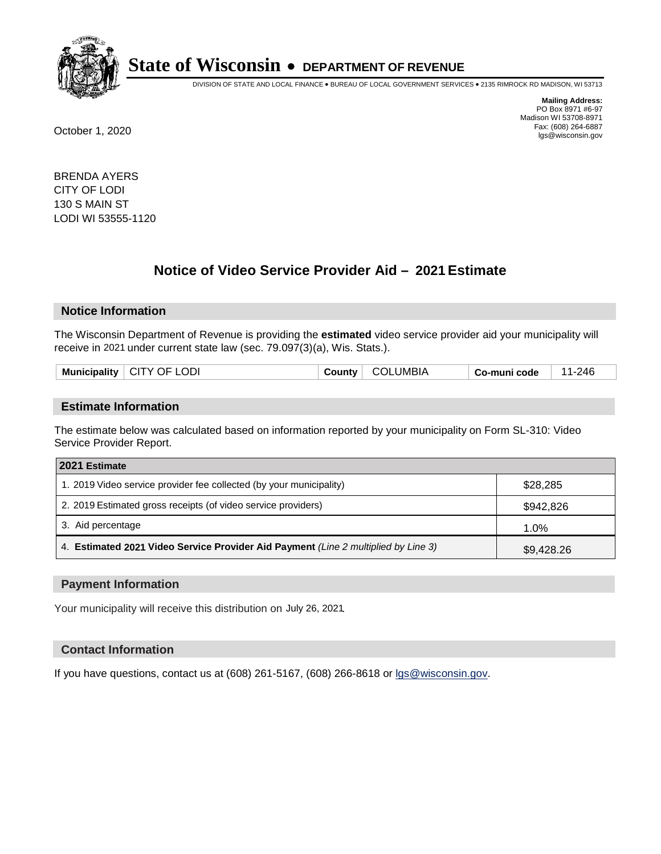

DIVISION OF STATE AND LOCAL FINANCE • BUREAU OF LOCAL GOVERNMENT SERVICES • 2135 RIMROCK RD MADISON, WI 53713

**Mailing Address:** PO Box 8971 #6-97 Madison WI 53708-8971<br>Fax: (608) 264-6887 Fax: (608) 264-6887 October 1, 2020 lgs@wisconsin.gov

BRENDA AYERS CITY OF LODI 130 S MAIN ST LODI WI 53555-1120

# **Notice of Video Service Provider Aid - 2021 Estimate**

## **Notice Information**

The Wisconsin Department of Revenue is providing the **estimated** video service provider aid your municipality will receive in 2021 under current state law (sec. 79.097(3)(a), Wis. Stats.).

| Municipality | .ODI<br>. CITY.<br>√ )F | .ounty | JMBIA<br>Л<br>$\cdot$ | code<br>⊶ Ω∹ | 246 |
|--------------|-------------------------|--------|-----------------------|--------------|-----|
|              |                         |        |                       |              |     |

#### **Estimate Information**

The estimate below was calculated based on information reported by your municipality on Form SL-310: Video Service Provider Report.

| 2021 Estimate                                                                      |            |  |
|------------------------------------------------------------------------------------|------------|--|
| 1. 2019 Video service provider fee collected (by your municipality)                | \$28,285   |  |
| 2. 2019 Estimated gross receipts (of video service providers)                      | \$942,826  |  |
| 3. Aid percentage                                                                  | 1.0%       |  |
| 4. Estimated 2021 Video Service Provider Aid Payment (Line 2 multiplied by Line 3) | \$9,428.26 |  |

#### **Payment Information**

Your municipality will receive this distribution on July 26, 2021.

#### **Contact Information**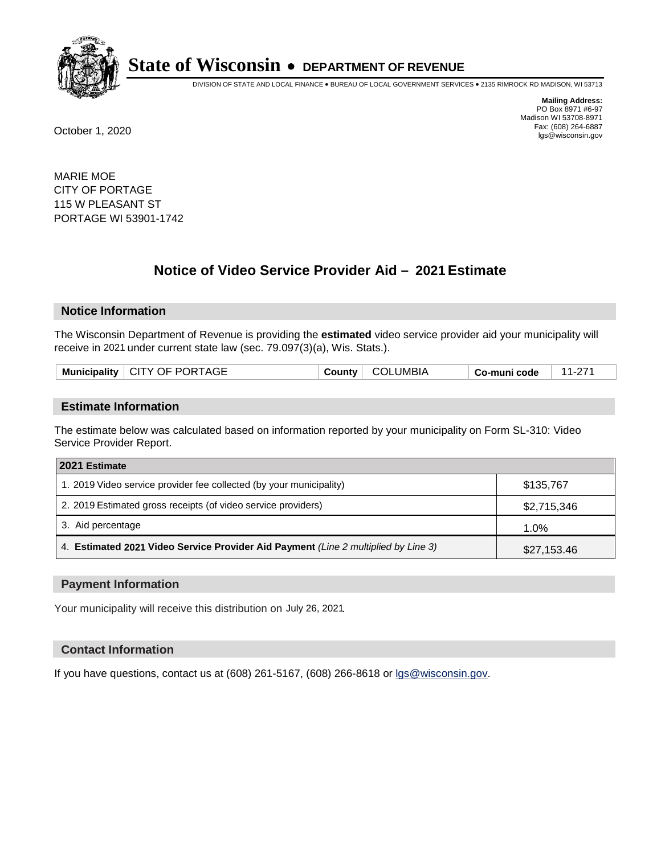

DIVISION OF STATE AND LOCAL FINANCE • BUREAU OF LOCAL GOVERNMENT SERVICES • 2135 RIMROCK RD MADISON, WI 53713

**Mailing Address:** PO Box 8971 #6-97 Madison WI 53708-8971<br>Fax: (608) 264-6887 Fax: (608) 264-6887 October 1, 2020 lgs@wisconsin.gov

MARIE MOE CITY OF PORTAGE 115 W PLEASANT ST PORTAGE WI 53901-1742

# **Notice of Video Service Provider Aid - 2021 Estimate**

## **Notice Information**

The Wisconsin Department of Revenue is providing the **estimated** video service provider aid your municipality will receive in 2021 under current state law (sec. 79.097(3)(a), Wis. Stats.).

| Municipality   CITY OF PORTAGE | <b>County</b> | <b>COLUMBIA</b> | Co-muni code | л л |
|--------------------------------|---------------|-----------------|--------------|-----|
|                                |               |                 |              |     |

#### **Estimate Information**

The estimate below was calculated based on information reported by your municipality on Form SL-310: Video Service Provider Report.

| 2021 Estimate                                                                      |             |
|------------------------------------------------------------------------------------|-------------|
| 1. 2019 Video service provider fee collected (by your municipality)                | \$135,767   |
| 2. 2019 Estimated gross receipts (of video service providers)                      | \$2,715,346 |
| 3. Aid percentage                                                                  | 1.0%        |
| 4. Estimated 2021 Video Service Provider Aid Payment (Line 2 multiplied by Line 3) | \$27,153.46 |

#### **Payment Information**

Your municipality will receive this distribution on July 26, 2021.

## **Contact Information**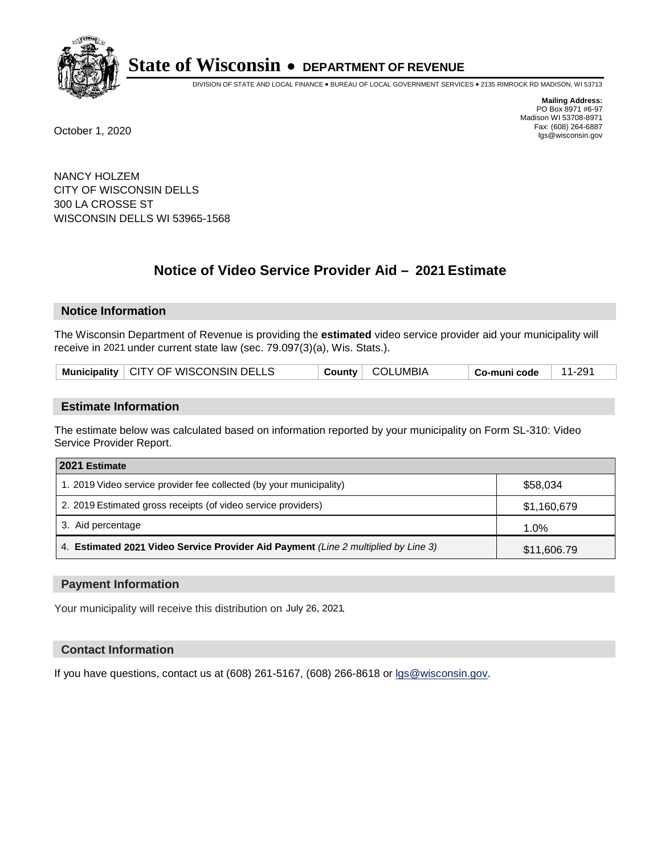

DIVISION OF STATE AND LOCAL FINANCE • BUREAU OF LOCAL GOVERNMENT SERVICES • 2135 RIMROCK RD MADISON, WI 53713

**Mailing Address:** PO Box 8971 #6-97 Madison WI 53708-8971<br>Fax: (608) 264-6887 Fax: (608) 264-6887 October 1, 2020 lgs@wisconsin.gov

NANCY HOLZEM CITY OF WISCONSIN DELLS 300 LA CROSSE ST WISCONSIN DELLS WI 53965-1568

# **Notice of Video Service Provider Aid - 2021 Estimate**

## **Notice Information**

The Wisconsin Department of Revenue is providing the **estimated** video service provider aid your municipality will receive in 2021 under current state law (sec. 79.097(3)(a), Wis. Stats.).

| Municipality   CITY OF WISCONSIN DELLS |  | County   COLUMBIA | $\overline{\phantom{a}}$ Co-muni code | 11-291 |
|----------------------------------------|--|-------------------|---------------------------------------|--------|
|----------------------------------------|--|-------------------|---------------------------------------|--------|

#### **Estimate Information**

The estimate below was calculated based on information reported by your municipality on Form SL-310: Video Service Provider Report.

| 2021 Estimate                                                                      |             |
|------------------------------------------------------------------------------------|-------------|
| 1. 2019 Video service provider fee collected (by your municipality)                | \$58,034    |
| 2. 2019 Estimated gross receipts (of video service providers)                      | \$1,160,679 |
| 3. Aid percentage                                                                  | 1.0%        |
| 4. Estimated 2021 Video Service Provider Aid Payment (Line 2 multiplied by Line 3) | \$11,606.79 |

#### **Payment Information**

Your municipality will receive this distribution on July 26, 2021.

## **Contact Information**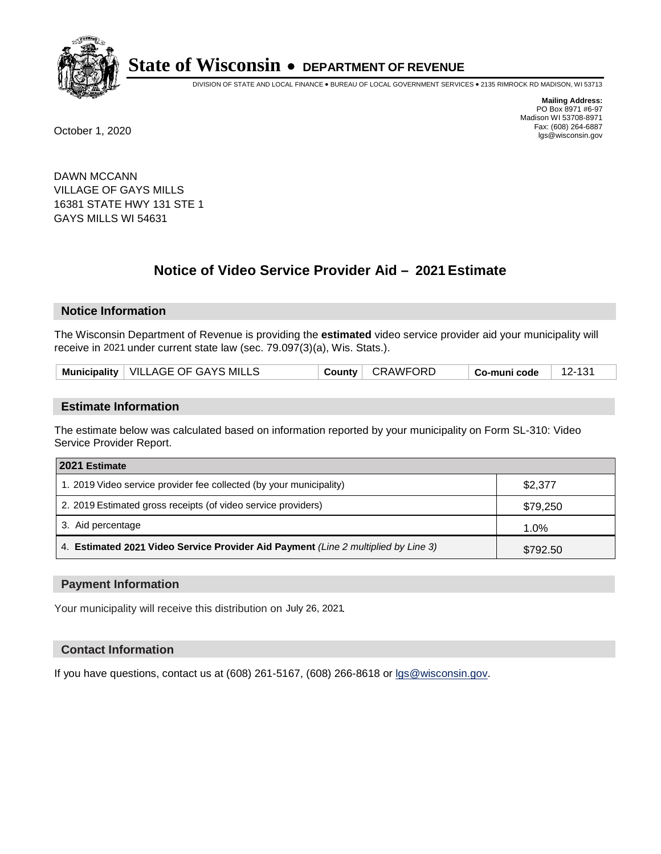

DIVISION OF STATE AND LOCAL FINANCE • BUREAU OF LOCAL GOVERNMENT SERVICES • 2135 RIMROCK RD MADISON, WI 53713

**Mailing Address:** PO Box 8971 #6-97 Madison WI 53708-8971<br>Fax: (608) 264-6887 Fax: (608) 264-6887 October 1, 2020 lgs@wisconsin.gov

DAWN MCCANN VILLAGE OF GAYS MILLS 16381 STATE HWY 131 STE 1 GAYS MILLS WI 54631

# **Notice of Video Service Provider Aid - 2021 Estimate**

## **Notice Information**

The Wisconsin Department of Revenue is providing the **estimated** video service provider aid your municipality will receive in 2021 under current state law (sec. 79.097(3)(a), Wis. Stats.).

| Municipality   VILLAGE OF GAYS MILLS<br>County   CRAWFORD<br>∣ 12-131<br>∣ Co-muni code |  |
|-----------------------------------------------------------------------------------------|--|
|-----------------------------------------------------------------------------------------|--|

#### **Estimate Information**

The estimate below was calculated based on information reported by your municipality on Form SL-310: Video Service Provider Report.

| 2021 Estimate                                                                      |          |
|------------------------------------------------------------------------------------|----------|
| 1. 2019 Video service provider fee collected (by your municipality)                | \$2,377  |
| 2. 2019 Estimated gross receipts (of video service providers)                      | \$79,250 |
| 3. Aid percentage                                                                  | 1.0%     |
| 4. Estimated 2021 Video Service Provider Aid Payment (Line 2 multiplied by Line 3) | \$792.50 |

#### **Payment Information**

Your municipality will receive this distribution on July 26, 2021.

## **Contact Information**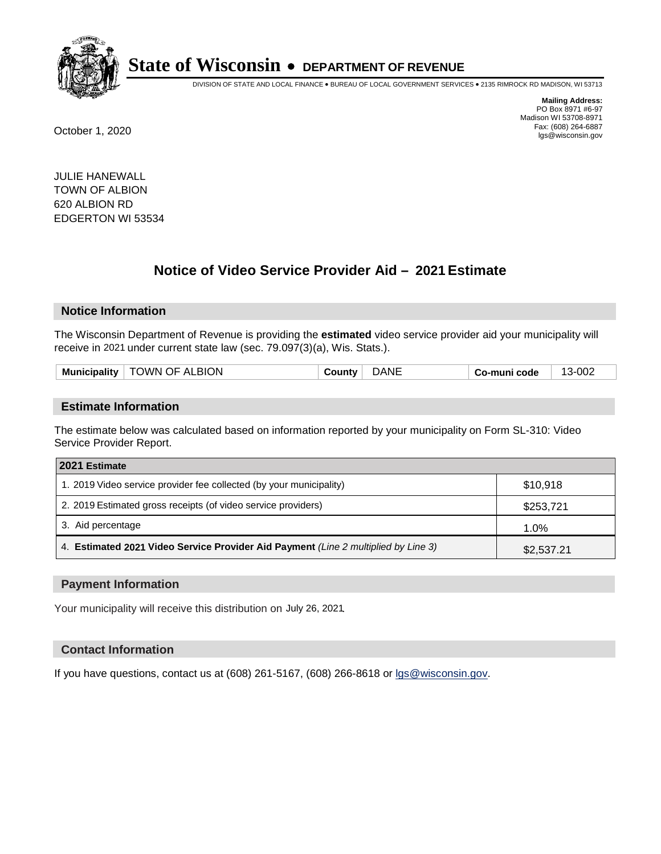

DIVISION OF STATE AND LOCAL FINANCE • BUREAU OF LOCAL GOVERNMENT SERVICES • 2135 RIMROCK RD MADISON, WI 53713

**Mailing Address:** PO Box 8971 #6-97 Madison WI 53708-8971<br>Fax: (608) 264-6887 Fax: (608) 264-6887 October 1, 2020 lgs@wisconsin.gov

JULIE HANEWALL TOWN OF ALBION 620 ALBION RD EDGERTON WI 53534

# **Notice of Video Service Provider Aid - 2021 Estimate**

## **Notice Information**

The Wisconsin Department of Revenue is providing the **estimated** video service provider aid your municipality will receive in 2021 under current state law (sec. 79.097(3)(a), Wis. Stats.).

| <b>Municipality</b> | TOWN OF ALBION | :ountv | )ANE | Co-muni code | 3-002<br>$\sim$ |
|---------------------|----------------|--------|------|--------------|-----------------|
|                     |                |        |      |              |                 |

#### **Estimate Information**

The estimate below was calculated based on information reported by your municipality on Form SL-310: Video Service Provider Report.

| 2021 Estimate                                                                      |            |
|------------------------------------------------------------------------------------|------------|
| 1. 2019 Video service provider fee collected (by your municipality)                | \$10,918   |
| 2. 2019 Estimated gross receipts (of video service providers)                      | \$253,721  |
| 3. Aid percentage                                                                  | 1.0%       |
| 4. Estimated 2021 Video Service Provider Aid Payment (Line 2 multiplied by Line 3) | \$2,537.21 |

#### **Payment Information**

Your municipality will receive this distribution on July 26, 2021.

## **Contact Information**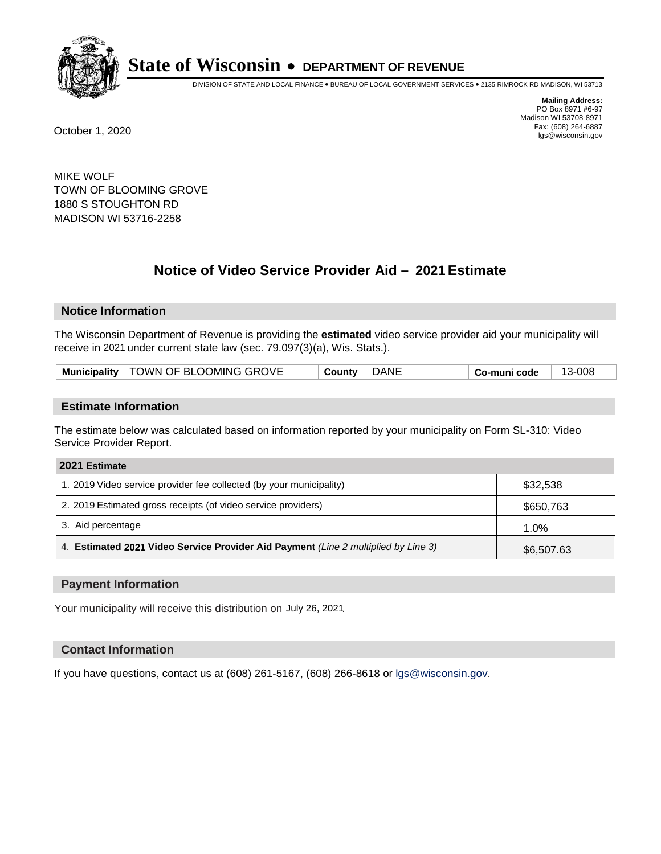

DIVISION OF STATE AND LOCAL FINANCE • BUREAU OF LOCAL GOVERNMENT SERVICES • 2135 RIMROCK RD MADISON, WI 53713

**Mailing Address:** PO Box 8971 #6-97 Madison WI 53708-8971<br>Fax: (608) 264-6887 Fax: (608) 264-6887 October 1, 2020 lgs@wisconsin.gov

MIKE WOLF TOWN OF BLOOMING GROVE 1880 S STOUGHTON RD MADISON WI 53716-2258

# **Notice of Video Service Provider Aid - 2021 Estimate**

## **Notice Information**

The Wisconsin Department of Revenue is providing the **estimated** video service provider aid your municipality will receive in 2021 under current state law (sec. 79.097(3)(a), Wis. Stats.).

| Municipality   TOWN OF BLOOMING GROVE | <b>DANE</b><br>Countv | ∣ Co-muni code | 13-008 |
|---------------------------------------|-----------------------|----------------|--------|
|---------------------------------------|-----------------------|----------------|--------|

#### **Estimate Information**

The estimate below was calculated based on information reported by your municipality on Form SL-310: Video Service Provider Report.

| 2021 Estimate                                                                      |            |
|------------------------------------------------------------------------------------|------------|
| 1. 2019 Video service provider fee collected (by your municipality)                | \$32,538   |
| 2. 2019 Estimated gross receipts (of video service providers)                      | \$650,763  |
| 3. Aid percentage                                                                  | 1.0%       |
| 4. Estimated 2021 Video Service Provider Aid Payment (Line 2 multiplied by Line 3) | \$6,507.63 |

#### **Payment Information**

Your municipality will receive this distribution on July 26, 2021.

## **Contact Information**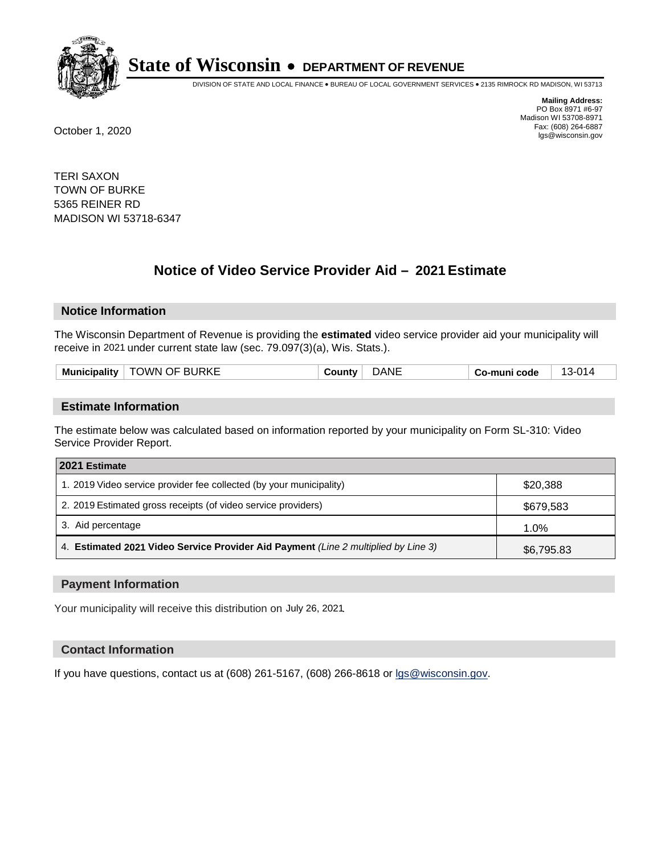

DIVISION OF STATE AND LOCAL FINANCE • BUREAU OF LOCAL GOVERNMENT SERVICES • 2135 RIMROCK RD MADISON, WI 53713

**Mailing Address:** PO Box 8971 #6-97 Madison WI 53708-8971<br>Fax: (608) 264-6887 Fax: (608) 264-6887 October 1, 2020 lgs@wisconsin.gov

TERI SAXON TOWN OF BURKE 5365 REINER RD MADISON WI 53718-6347

# **Notice of Video Service Provider Aid - 2021 Estimate**

## **Notice Information**

The Wisconsin Department of Revenue is providing the **estimated** video service provider aid your municipality will receive in 2021 under current state law (sec. 79.097(3)(a), Wis. Stats.).

|  | וא <i>א</i><br><b>Municipality</b> | OF BURKE | Νŀ | code<br>mun'<br>— w∪ | $\sim$ |
|--|------------------------------------|----------|----|----------------------|--------|
|--|------------------------------------|----------|----|----------------------|--------|

#### **Estimate Information**

The estimate below was calculated based on information reported by your municipality on Form SL-310: Video Service Provider Report.

| 2021 Estimate                                                                      |            |
|------------------------------------------------------------------------------------|------------|
| 1. 2019 Video service provider fee collected (by your municipality)                | \$20,388   |
| 2. 2019 Estimated gross receipts (of video service providers)                      | \$679,583  |
| 3. Aid percentage                                                                  | 1.0%       |
| 4. Estimated 2021 Video Service Provider Aid Payment (Line 2 multiplied by Line 3) | \$6,795.83 |

#### **Payment Information**

Your municipality will receive this distribution on July 26, 2021.

## **Contact Information**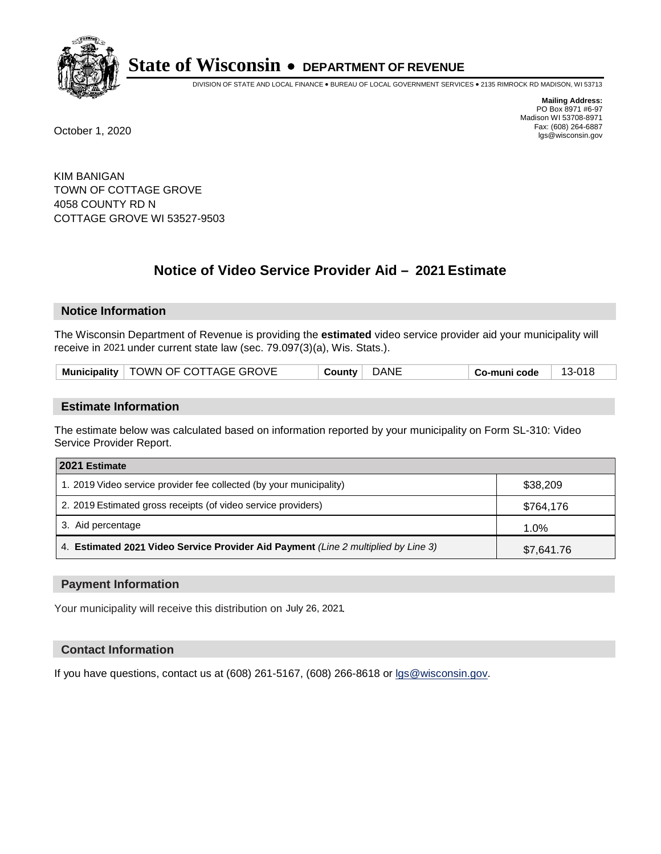

DIVISION OF STATE AND LOCAL FINANCE • BUREAU OF LOCAL GOVERNMENT SERVICES • 2135 RIMROCK RD MADISON, WI 53713

**Mailing Address:** PO Box 8971 #6-97 Madison WI 53708-8971<br>Fax: (608) 264-6887 Fax: (608) 264-6887 October 1, 2020 lgs@wisconsin.gov

KIM BANIGAN TOWN OF COTTAGE GROVE 4058 COUNTY RD N COTTAGE GROVE WI 53527-9503

# **Notice of Video Service Provider Aid - 2021 Estimate**

## **Notice Information**

The Wisconsin Department of Revenue is providing the **estimated** video service provider aid your municipality will receive in 2021 under current state law (sec. 79.097(3)(a), Wis. Stats.).

| Municipality   TOWN OF COTTAGE GROVE | DANE<br>County | 13-018<br><b>↓Co-muni code</b> |
|--------------------------------------|----------------|--------------------------------|
|--------------------------------------|----------------|--------------------------------|

#### **Estimate Information**

The estimate below was calculated based on information reported by your municipality on Form SL-310: Video Service Provider Report.

| 2021 Estimate                                                                      |            |
|------------------------------------------------------------------------------------|------------|
| 1. 2019 Video service provider fee collected (by your municipality)                | \$38,209   |
| 2. 2019 Estimated gross receipts (of video service providers)                      | \$764,176  |
| 3. Aid percentage                                                                  | 1.0%       |
| 4. Estimated 2021 Video Service Provider Aid Payment (Line 2 multiplied by Line 3) | \$7,641.76 |

#### **Payment Information**

Your municipality will receive this distribution on July 26, 2021.

## **Contact Information**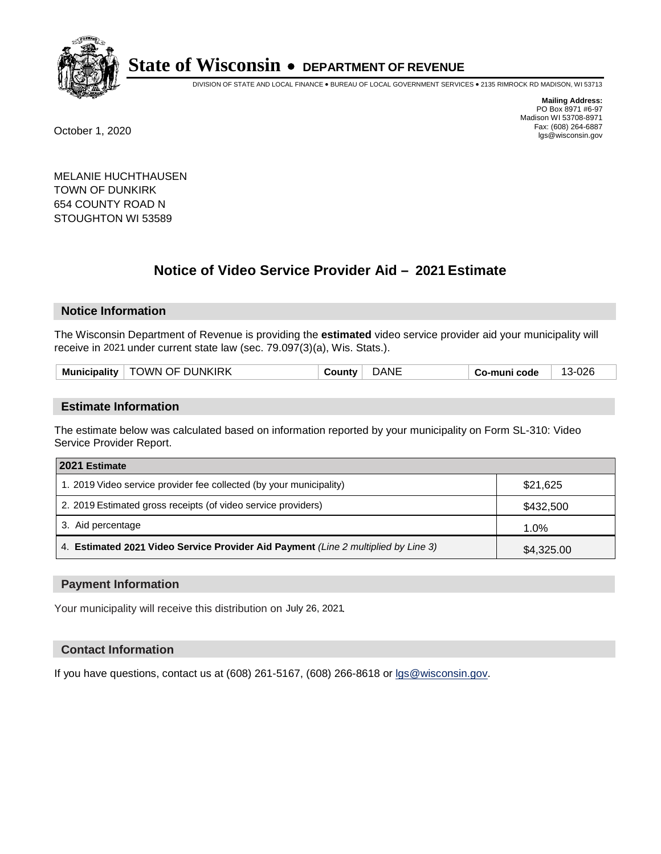

DIVISION OF STATE AND LOCAL FINANCE • BUREAU OF LOCAL GOVERNMENT SERVICES • 2135 RIMROCK RD MADISON, WI 53713

**Mailing Address:** PO Box 8971 #6-97 Madison WI 53708-8971<br>Fax: (608) 264-6887 Fax: (608) 264-6887 October 1, 2020 lgs@wisconsin.gov

MELANIE HUCHTHAUSEN TOWN OF DUNKIRK 654 COUNTY ROAD N STOUGHTON WI 53589

# **Notice of Video Service Provider Aid - 2021 Estimate**

## **Notice Information**

The Wisconsin Department of Revenue is providing the **estimated** video service provider aid your municipality will receive in 2021 under current state law (sec. 79.097(3)(a), Wis. Stats.).

|  | I OF DUNKIRK<br><b>JWN</b><br><b>Municipality</b> | .01<br>าtv | ΝI | code<br>ືື | . .<br>`-<br>−∪∠ |
|--|---------------------------------------------------|------------|----|------------|------------------|
|--|---------------------------------------------------|------------|----|------------|------------------|

#### **Estimate Information**

The estimate below was calculated based on information reported by your municipality on Form SL-310: Video Service Provider Report.

| 2021 Estimate                                                                      |            |
|------------------------------------------------------------------------------------|------------|
| 1. 2019 Video service provider fee collected (by your municipality)                | \$21,625   |
| 2. 2019 Estimated gross receipts (of video service providers)                      | \$432,500  |
| 3. Aid percentage                                                                  | 1.0%       |
| 4. Estimated 2021 Video Service Provider Aid Payment (Line 2 multiplied by Line 3) | \$4,325.00 |

#### **Payment Information**

Your municipality will receive this distribution on July 26, 2021.

## **Contact Information**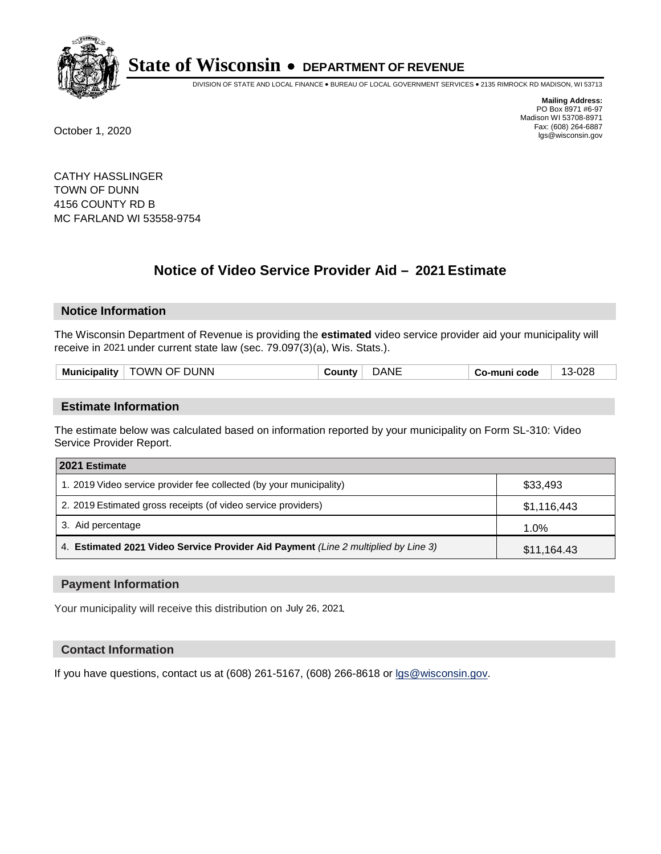

DIVISION OF STATE AND LOCAL FINANCE • BUREAU OF LOCAL GOVERNMENT SERVICES • 2135 RIMROCK RD MADISON, WI 53713

**Mailing Address:** PO Box 8971 #6-97 Madison WI 53708-8971<br>Fax: (608) 264-6887 Fax: (608) 264-6887 October 1, 2020 lgs@wisconsin.gov

CATHY HASSLINGER TOWN OF DUNN 4156 COUNTY RD B MC FARLAND WI 53558-9754

# **Notice of Video Service Provider Aid - 2021 Estimate**

## **Notice Information**

The Wisconsin Department of Revenue is providing the **estimated** video service provider aid your municipality will receive in 2021 under current state law (sec. 79.097(3)(a), Wis. Stats.).

| <b>Municipality</b> | OF DUNN<br><b>JWN</b><br>_______ | Νŀ | code<br>muni<br>— w∪ | ററ<br>$\epsilon$<br>ັບ∠ |
|---------------------|----------------------------------|----|----------------------|-------------------------|
|                     |                                  |    |                      |                         |

#### **Estimate Information**

The estimate below was calculated based on information reported by your municipality on Form SL-310: Video Service Provider Report.

| 2021 Estimate                                                                      |             |
|------------------------------------------------------------------------------------|-------------|
| 1. 2019 Video service provider fee collected (by your municipality)                | \$33,493    |
| 2. 2019 Estimated gross receipts (of video service providers)                      | \$1,116,443 |
| 3. Aid percentage                                                                  | 1.0%        |
| 4. Estimated 2021 Video Service Provider Aid Payment (Line 2 multiplied by Line 3) | \$11,164.43 |

#### **Payment Information**

Your municipality will receive this distribution on July 26, 2021.

## **Contact Information**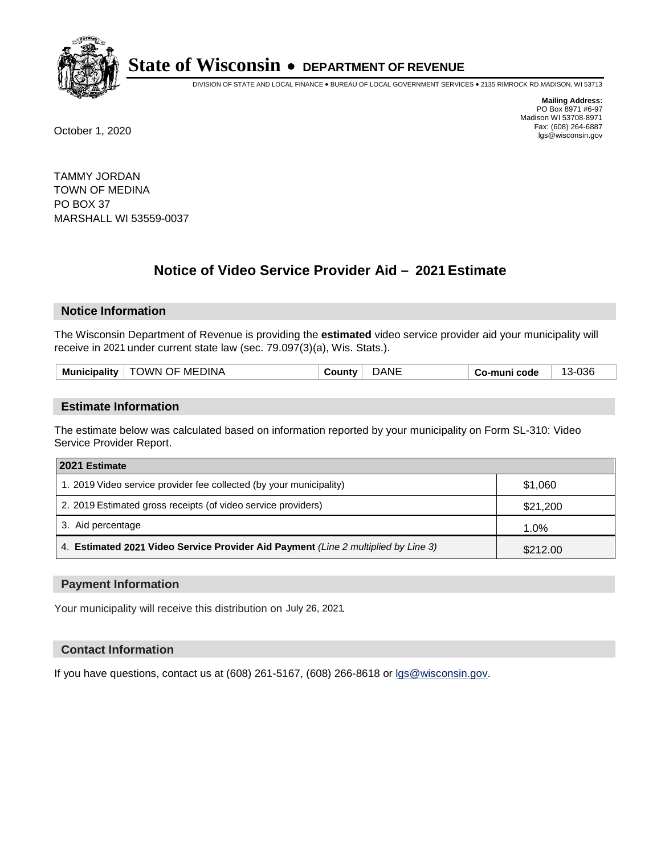

DIVISION OF STATE AND LOCAL FINANCE • BUREAU OF LOCAL GOVERNMENT SERVICES • 2135 RIMROCK RD MADISON, WI 53713

**Mailing Address:** PO Box 8971 #6-97 Madison WI 53708-8971<br>Fax: (608) 264-6887 Fax: (608) 264-6887 October 1, 2020 lgs@wisconsin.gov

TAMMY JORDAN TOWN OF MEDINA PO BOX 37 MARSHALL WI 53559-0037

# **Notice of Video Service Provider Aid - 2021 Estimate**

## **Notice Information**

The Wisconsin Department of Revenue is providing the **estimated** video service provider aid your municipality will receive in 2021 under current state law (sec. 79.097(3)(a), Wis. Stats.).

| nicipalitv<br>Munic | ־אווח<br><b>OF MEI</b><br><b>NWC</b> | าเง | NH | code<br>. | 036<br>$\overline{ }$<br>╮. |
|---------------------|--------------------------------------|-----|----|-----------|-----------------------------|
|                     |                                      |     |    |           |                             |

#### **Estimate Information**

The estimate below was calculated based on information reported by your municipality on Form SL-310: Video Service Provider Report.

| 2021 Estimate                                                                      |          |
|------------------------------------------------------------------------------------|----------|
| 1. 2019 Video service provider fee collected (by your municipality)                | \$1,060  |
| 2. 2019 Estimated gross receipts (of video service providers)                      | \$21,200 |
| 3. Aid percentage                                                                  | 1.0%     |
| 4. Estimated 2021 Video Service Provider Aid Payment (Line 2 multiplied by Line 3) | \$212.00 |

#### **Payment Information**

Your municipality will receive this distribution on July 26, 2021.

## **Contact Information**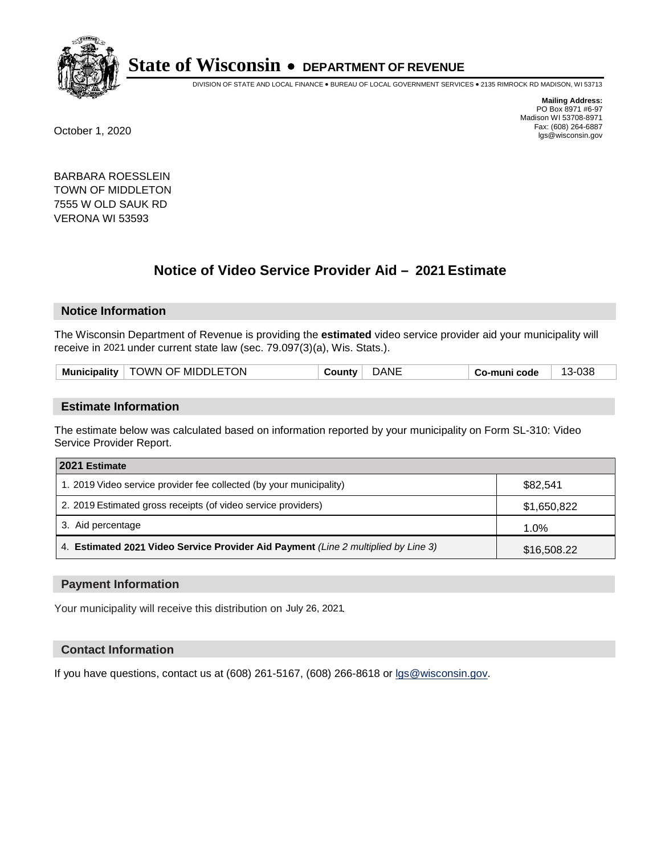

DIVISION OF STATE AND LOCAL FINANCE • BUREAU OF LOCAL GOVERNMENT SERVICES • 2135 RIMROCK RD MADISON, WI 53713

**Mailing Address:** PO Box 8971 #6-97 Madison WI 53708-8971<br>Fax: (608) 264-6887 Fax: (608) 264-6887 October 1, 2020 lgs@wisconsin.gov

BARBARA ROESSLEIN TOWN OF MIDDLETON 7555 W OLD SAUK RD VERONA WI 53593

# **Notice of Video Service Provider Aid - 2021 Estimate**

## **Notice Information**

The Wisconsin Department of Revenue is providing the **estimated** video service provider aid your municipality will receive in 2021 under current state law (sec. 79.097(3)(a), Wis. Stats.).

| TOWN OF MIDDLETON<br>١NE<br><b>Municipality</b><br>∴ ountvص<br>®code∶<br>კაი<br>┓= |
|------------------------------------------------------------------------------------|
|------------------------------------------------------------------------------------|

#### **Estimate Information**

The estimate below was calculated based on information reported by your municipality on Form SL-310: Video Service Provider Report.

| 2021 Estimate                                                                      |             |
|------------------------------------------------------------------------------------|-------------|
| 1. 2019 Video service provider fee collected (by your municipality)                | \$82,541    |
| 2. 2019 Estimated gross receipts (of video service providers)                      | \$1,650,822 |
| 3. Aid percentage                                                                  | 1.0%        |
| 4. Estimated 2021 Video Service Provider Aid Payment (Line 2 multiplied by Line 3) | \$16,508.22 |

#### **Payment Information**

Your municipality will receive this distribution on July 26, 2021.

## **Contact Information**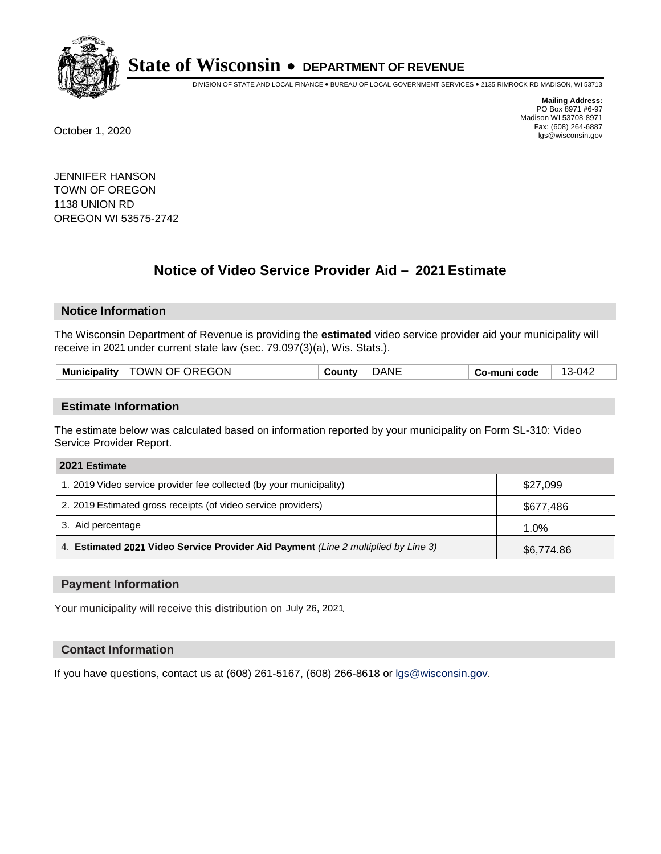

DIVISION OF STATE AND LOCAL FINANCE • BUREAU OF LOCAL GOVERNMENT SERVICES • 2135 RIMROCK RD MADISON, WI 53713

**Mailing Address:** PO Box 8971 #6-97 Madison WI 53708-8971<br>Fax: (608) 264-6887 Fax: (608) 264-6887 October 1, 2020 lgs@wisconsin.gov

JENNIFER HANSON TOWN OF OREGON 1138 UNION RD OREGON WI 53575-2742

# **Notice of Video Service Provider Aid - 2021 Estimate**

## **Notice Information**

The Wisconsin Department of Revenue is providing the **estimated** video service provider aid your municipality will receive in 2021 under current state law (sec. 79.097(3)(a), Wis. Stats.).

| <b>Municipality</b> | <sup>∣</sup> TOWN OF OREGON | ∵ountvٽ | <b>DANE</b> | Co-muni code | 13-042 |
|---------------------|-----------------------------|---------|-------------|--------------|--------|
|                     |                             |         |             |              |        |

#### **Estimate Information**

The estimate below was calculated based on information reported by your municipality on Form SL-310: Video Service Provider Report.

| 2021 Estimate                                                                      |            |
|------------------------------------------------------------------------------------|------------|
| 1. 2019 Video service provider fee collected (by your municipality)                | \$27,099   |
| 2. 2019 Estimated gross receipts (of video service providers)                      | \$677,486  |
| 3. Aid percentage                                                                  | 1.0%       |
| 4. Estimated 2021 Video Service Provider Aid Payment (Line 2 multiplied by Line 3) | \$6,774.86 |

#### **Payment Information**

Your municipality will receive this distribution on July 26, 2021.

## **Contact Information**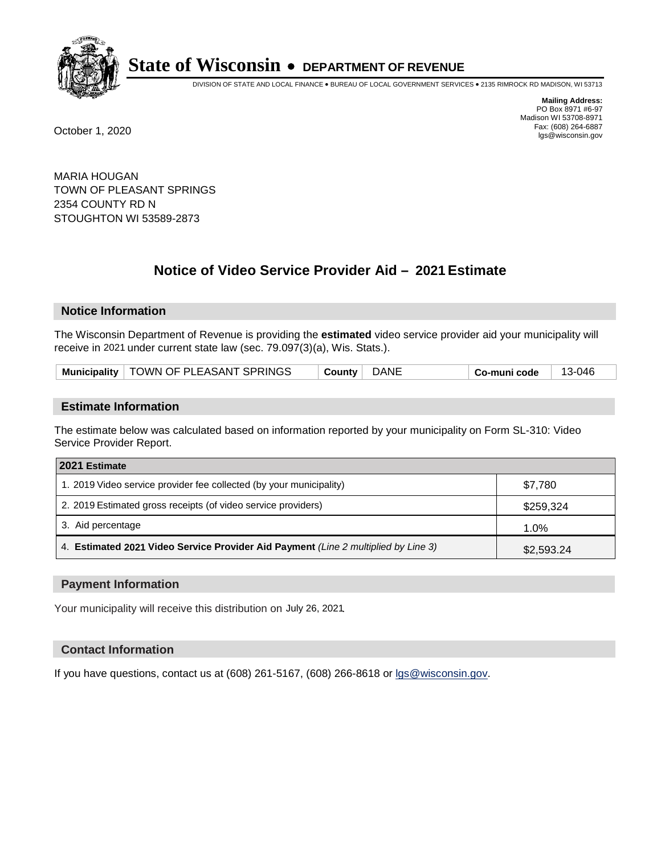

DIVISION OF STATE AND LOCAL FINANCE • BUREAU OF LOCAL GOVERNMENT SERVICES • 2135 RIMROCK RD MADISON, WI 53713

**Mailing Address:** PO Box 8971 #6-97 Madison WI 53708-8971<br>Fax: (608) 264-6887 Fax: (608) 264-6887 October 1, 2020 lgs@wisconsin.gov

MARIA HOUGAN TOWN OF PLEASANT SPRINGS 2354 COUNTY RD N STOUGHTON WI 53589-2873

# **Notice of Video Service Provider Aid - 2021 Estimate**

## **Notice Information**

The Wisconsin Department of Revenue is providing the **estimated** video service provider aid your municipality will receive in 2021 under current state law (sec. 79.097(3)(a), Wis. Stats.).

| Municipality   TOWN OF PLEASANT SPRINGS | DANE<br>County | Co-muni code | 13-046 |
|-----------------------------------------|----------------|--------------|--------|
|-----------------------------------------|----------------|--------------|--------|

#### **Estimate Information**

The estimate below was calculated based on information reported by your municipality on Form SL-310: Video Service Provider Report.

| 2021 Estimate                                                                      |            |
|------------------------------------------------------------------------------------|------------|
| 1. 2019 Video service provider fee collected (by your municipality)                | \$7.780    |
| 2. 2019 Estimated gross receipts (of video service providers)                      | \$259,324  |
| 3. Aid percentage                                                                  | 1.0%       |
| 4. Estimated 2021 Video Service Provider Aid Payment (Line 2 multiplied by Line 3) | \$2,593.24 |

#### **Payment Information**

Your municipality will receive this distribution on July 26, 2021.

## **Contact Information**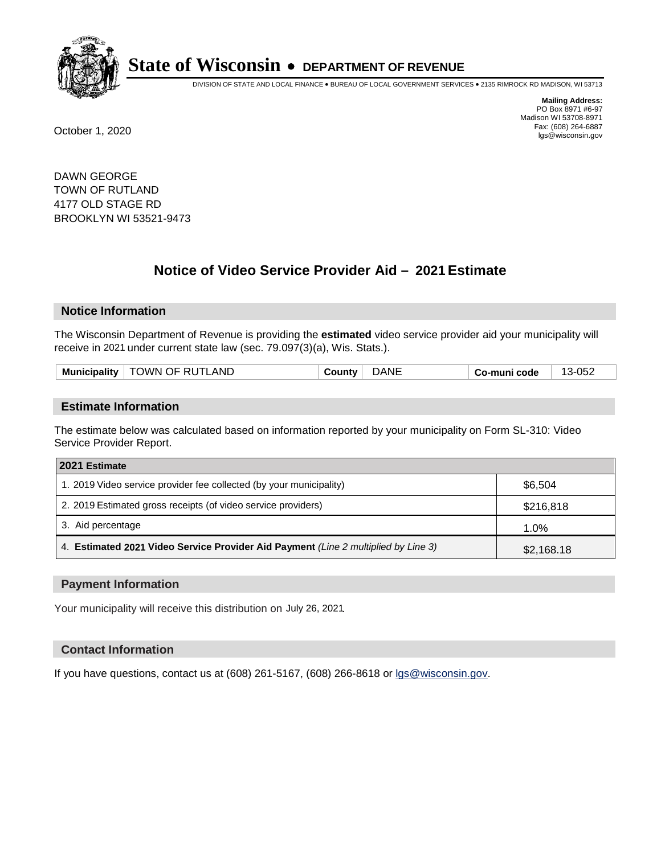

DIVISION OF STATE AND LOCAL FINANCE • BUREAU OF LOCAL GOVERNMENT SERVICES • 2135 RIMROCK RD MADISON, WI 53713

**Mailing Address:** PO Box 8971 #6-97 Madison WI 53708-8971<br>Fax: (608) 264-6887 Fax: (608) 264-6887 October 1, 2020 lgs@wisconsin.gov

DAWN GEORGE TOWN OF RUTLAND 4177 OLD STAGE RD BROOKLYN WI 53521-9473

# **Notice of Video Service Provider Aid - 2021 Estimate**

## **Notice Information**

The Wisconsin Department of Revenue is providing the **estimated** video service provider aid your municipality will receive in 2021 under current state law (sec. 79.097(3)(a), Wis. Stats.).

| <b>TOWN OF RUTLAND</b><br><b>Municipality</b><br>co-muni code ت |
|-----------------------------------------------------------------|
|-----------------------------------------------------------------|

#### **Estimate Information**

The estimate below was calculated based on information reported by your municipality on Form SL-310: Video Service Provider Report.

| 2021 Estimate                                                                      |            |
|------------------------------------------------------------------------------------|------------|
| 1. 2019 Video service provider fee collected (by your municipality)                | \$6,504    |
| 2. 2019 Estimated gross receipts (of video service providers)                      | \$216,818  |
| 3. Aid percentage                                                                  | 1.0%       |
| 4. Estimated 2021 Video Service Provider Aid Payment (Line 2 multiplied by Line 3) | \$2,168.18 |

#### **Payment Information**

Your municipality will receive this distribution on July 26, 2021.

## **Contact Information**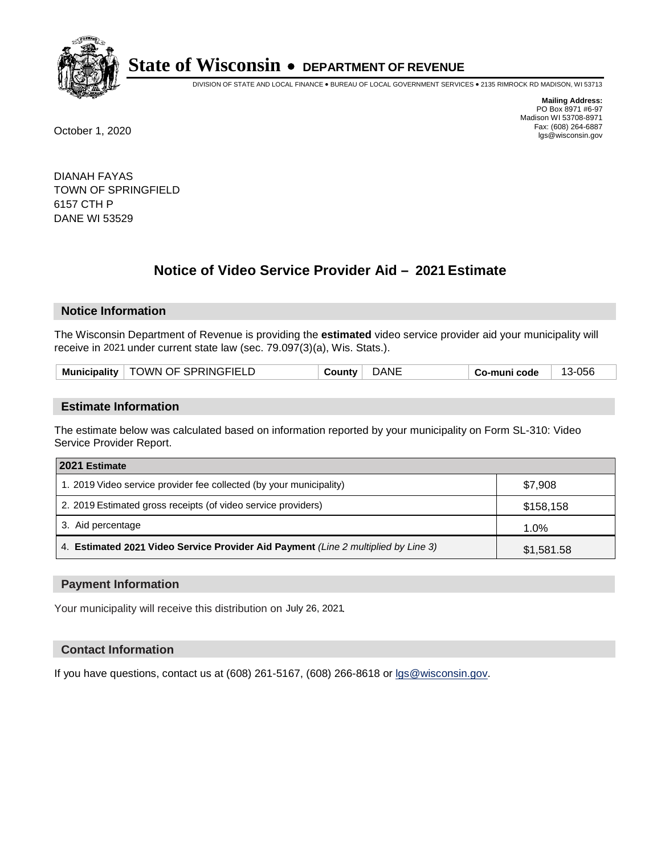

DIVISION OF STATE AND LOCAL FINANCE • BUREAU OF LOCAL GOVERNMENT SERVICES • 2135 RIMROCK RD MADISON, WI 53713

**Mailing Address:** PO Box 8971 #6-97 Madison WI 53708-8971<br>Fax: (608) 264-6887 Fax: (608) 264-6887 October 1, 2020 lgs@wisconsin.gov

DIANAH FAYAS TOWN OF SPRINGFIELD 6157 CTH P DANE WI 53529

# **Notice of Video Service Provider Aid - 2021 Estimate**

## **Notice Information**

The Wisconsin Department of Revenue is providing the **estimated** video service provider aid your municipality will receive in 2021 under current state law (sec. 79.097(3)(a), Wis. Stats.).

| TOWN OF SPRINGFIELD<br><b>Municipality</b> | DANE<br>⊹ ountvت | .056<br>$\overline{\phantom{a}}$<br>Co-muni code |
|--------------------------------------------|------------------|--------------------------------------------------|
|--------------------------------------------|------------------|--------------------------------------------------|

#### **Estimate Information**

The estimate below was calculated based on information reported by your municipality on Form SL-310: Video Service Provider Report.

| 2021 Estimate                                                                      |            |
|------------------------------------------------------------------------------------|------------|
| 1. 2019 Video service provider fee collected (by your municipality)                | \$7,908    |
| 2. 2019 Estimated gross receipts (of video service providers)                      | \$158,158  |
| 3. Aid percentage                                                                  | 1.0%       |
| 4. Estimated 2021 Video Service Provider Aid Payment (Line 2 multiplied by Line 3) | \$1,581.58 |

#### **Payment Information**

Your municipality will receive this distribution on July 26, 2021.

## **Contact Information**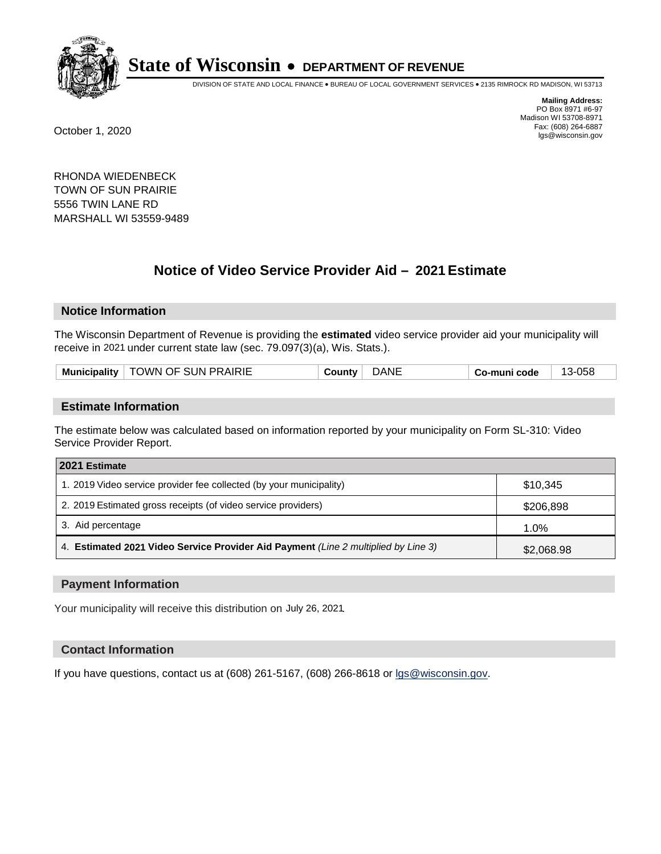

DIVISION OF STATE AND LOCAL FINANCE • BUREAU OF LOCAL GOVERNMENT SERVICES • 2135 RIMROCK RD MADISON, WI 53713

**Mailing Address:** PO Box 8971 #6-97 Madison WI 53708-8971<br>Fax: (608) 264-6887 Fax: (608) 264-6887 October 1, 2020 lgs@wisconsin.gov

RHONDA WIEDENBECK TOWN OF SUN PRAIRIE 5556 TWIN LANE RD MARSHALL WI 53559-9489

# **Notice of Video Service Provider Aid - 2021 Estimate**

## **Notice Information**

The Wisconsin Department of Revenue is providing the **estimated** video service provider aid your municipality will receive in 2021 under current state law (sec. 79.097(3)(a), Wis. Stats.).

| <b>TOWN OF SUN PRAIRIE</b><br>058<br><b>Municipality</b><br>١NE<br>⊸ountv<br>`code i<br>`- |
|--------------------------------------------------------------------------------------------|
|--------------------------------------------------------------------------------------------|

#### **Estimate Information**

The estimate below was calculated based on information reported by your municipality on Form SL-310: Video Service Provider Report.

| 2021 Estimate                                                                      |            |
|------------------------------------------------------------------------------------|------------|
| 1. 2019 Video service provider fee collected (by your municipality)                | \$10,345   |
| 2. 2019 Estimated gross receipts (of video service providers)                      | \$206,898  |
| 3. Aid percentage                                                                  | 1.0%       |
| 4. Estimated 2021 Video Service Provider Aid Payment (Line 2 multiplied by Line 3) | \$2,068.98 |

#### **Payment Information**

Your municipality will receive this distribution on July 26, 2021.

## **Contact Information**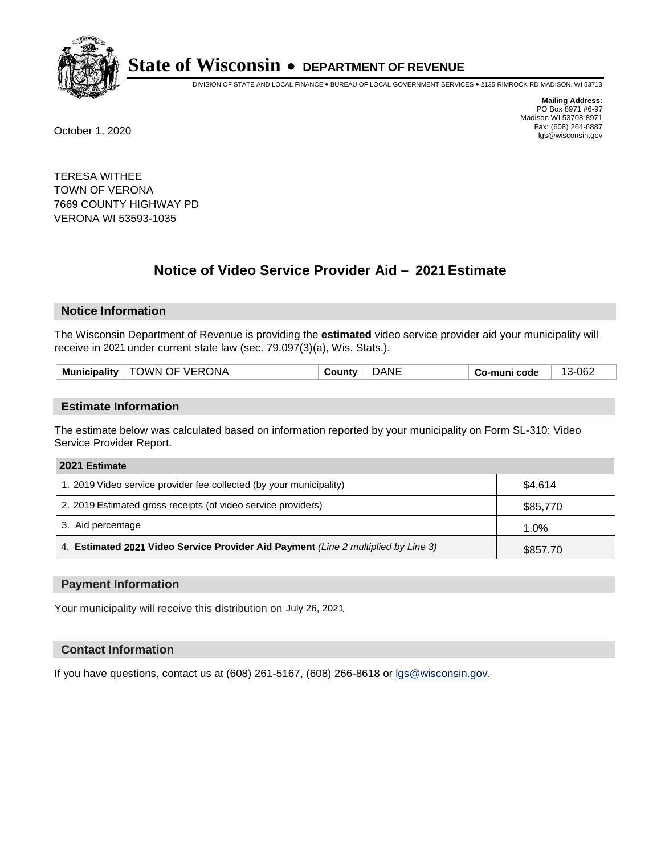

DIVISION OF STATE AND LOCAL FINANCE • BUREAU OF LOCAL GOVERNMENT SERVICES • 2135 RIMROCK RD MADISON, WI 53713

**Mailing Address:** PO Box 8971 #6-97 Madison WI 53708-8971<br>Fax: (608) 264-6887 Fax: (608) 264-6887 October 1, 2020 lgs@wisconsin.gov

TERESA WITHEE TOWN OF VERONA 7669 COUNTY HIGHWAY PD VERONA WI 53593-1035

# **Notice of Video Service Provider Aid - 2021 Estimate**

## **Notice Information**

The Wisconsin Department of Revenue is providing the **estimated** video service provider aid your municipality will receive in 2021 under current state law (sec. 79.097(3)(a), Wis. Stats.).

| nicipalitv<br>Munic | JWN OF VERONA<br>그는 그는 그만 아니라 그는 그만 아니라 그만 아니라 그만 아니라 그만 아니라 그만 아니라 그만 아니라 그만 아니라 그만 아니라 그만 아니라 그만 아니라 그만 아니라 그만 아니라 그만 아니라 그만 | ιNΕ | code<br>muni<br>-636<br>. . | -062<br>$\sim$ |
|---------------------|--------------------------------------------------------------------------------------------------------------------------------|-----|-----------------------------|----------------|
|                     |                                                                                                                                |     |                             |                |

#### **Estimate Information**

The estimate below was calculated based on information reported by your municipality on Form SL-310: Video Service Provider Report.

| 2021 Estimate                                                                      |          |  |  |
|------------------------------------------------------------------------------------|----------|--|--|
| 1. 2019 Video service provider fee collected (by your municipality)                | \$4.614  |  |  |
| 2. 2019 Estimated gross receipts (of video service providers)                      | \$85,770 |  |  |
| 3. Aid percentage                                                                  | 1.0%     |  |  |
| 4. Estimated 2021 Video Service Provider Aid Payment (Line 2 multiplied by Line 3) | \$857.70 |  |  |

#### **Payment Information**

Your municipality will receive this distribution on July 26, 2021.

## **Contact Information**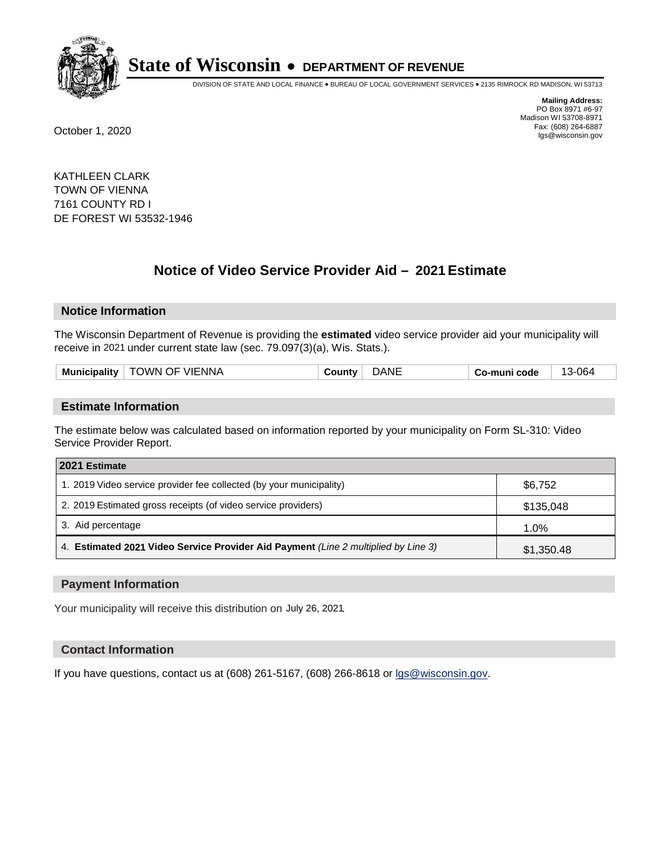

DIVISION OF STATE AND LOCAL FINANCE • BUREAU OF LOCAL GOVERNMENT SERVICES • 2135 RIMROCK RD MADISON, WI 53713

**Mailing Address:** PO Box 8971 #6-97 Madison WI 53708-8971<br>Fax: (608) 264-6887 Fax: (608) 264-6887 October 1, 2020 lgs@wisconsin.gov

KATHLEEN CLARK TOWN OF VIENNA 7161 COUNTY RD I DE FOREST WI 53532-1946

# **Notice of Video Service Provider Aid - 2021 Estimate**

## **Notice Information**

The Wisconsin Department of Revenue is providing the **estimated** video service provider aid your municipality will receive in 2021 under current state law (sec. 79.097(3)(a), Wis. Stats.).

| <b>Municipality</b> | TOWN OF VIENNA | $\sim$ | )ANE | -muni code<br>- - 0 | 06ء<br>$\sim$ |
|---------------------|----------------|--------|------|---------------------|---------------|
|                     |                |        |      |                     |               |

#### **Estimate Information**

The estimate below was calculated based on information reported by your municipality on Form SL-310: Video Service Provider Report.

| 2021 Estimate                                                                      |            |
|------------------------------------------------------------------------------------|------------|
| 1. 2019 Video service provider fee collected (by your municipality)                | \$6,752    |
| 2. 2019 Estimated gross receipts (of video service providers)                      | \$135,048  |
| 3. Aid percentage                                                                  | 1.0%       |
| 4. Estimated 2021 Video Service Provider Aid Payment (Line 2 multiplied by Line 3) | \$1,350.48 |

#### **Payment Information**

Your municipality will receive this distribution on July 26, 2021.

## **Contact Information**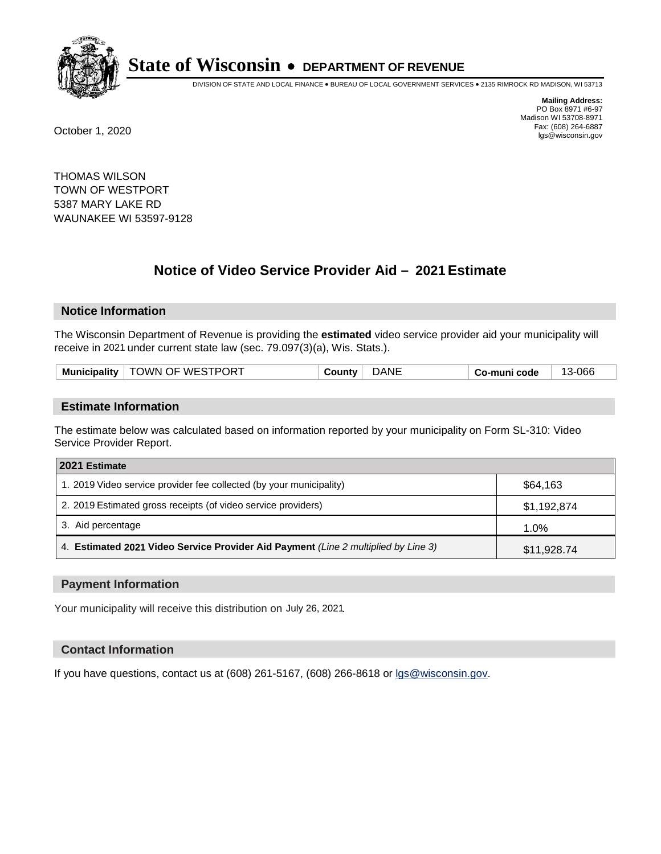

DIVISION OF STATE AND LOCAL FINANCE • BUREAU OF LOCAL GOVERNMENT SERVICES • 2135 RIMROCK RD MADISON, WI 53713

**Mailing Address:** PO Box 8971 #6-97 Madison WI 53708-8971<br>Fax: (608) 264-6887 Fax: (608) 264-6887 October 1, 2020 lgs@wisconsin.gov

THOMAS WILSON TOWN OF WESTPORT 5387 MARY LAKE RD WAUNAKEE WI 53597-9128

# **Notice of Video Service Provider Aid - 2021 Estimate**

## **Notice Information**

The Wisconsin Department of Revenue is providing the **estimated** video service provider aid your municipality will receive in 2021 under current state law (sec. 79.097(3)(a), Wis. Stats.).

| <b>TOWN OF WESTPORT</b> | DANE     | co-muni code ت | 3-066 |
|-------------------------|----------|----------------|-------|
| <b>Municipality</b>     | ⊹ ountvت |                | . .   |

#### **Estimate Information**

The estimate below was calculated based on information reported by your municipality on Form SL-310: Video Service Provider Report.

| 2021 Estimate                                                                      |             |
|------------------------------------------------------------------------------------|-------------|
| 1. 2019 Video service provider fee collected (by your municipality)                | \$64.163    |
| 2. 2019 Estimated gross receipts (of video service providers)                      | \$1,192,874 |
| 3. Aid percentage                                                                  | 1.0%        |
| 4. Estimated 2021 Video Service Provider Aid Payment (Line 2 multiplied by Line 3) | \$11,928.74 |

#### **Payment Information**

Your municipality will receive this distribution on July 26, 2021.

## **Contact Information**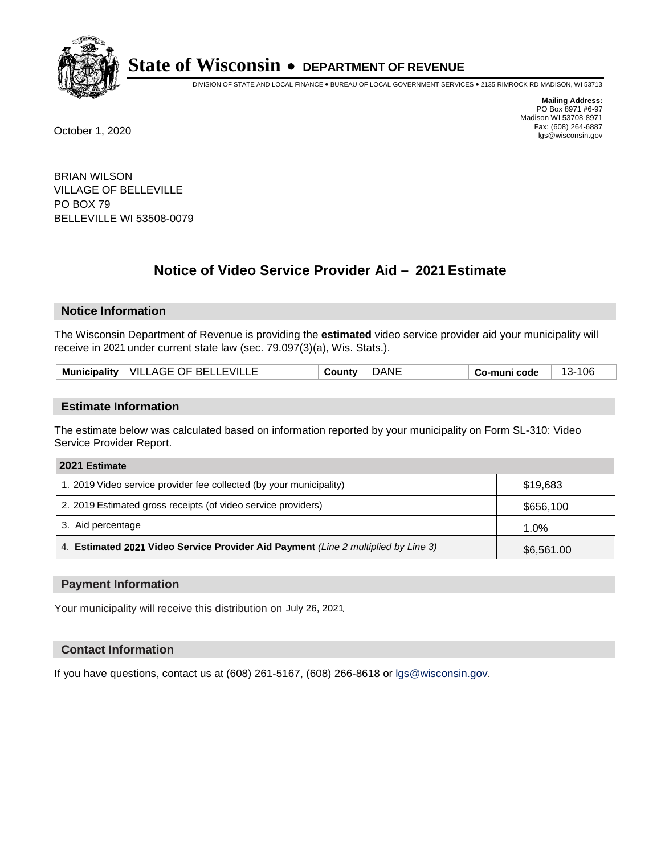

DIVISION OF STATE AND LOCAL FINANCE • BUREAU OF LOCAL GOVERNMENT SERVICES • 2135 RIMROCK RD MADISON, WI 53713

**Mailing Address:** PO Box 8971 #6-97 Madison WI 53708-8971<br>Fax: (608) 264-6887 Fax: (608) 264-6887 October 1, 2020 lgs@wisconsin.gov

BRIAN WILSON VILLAGE OF BELLEVILLE PO BOX 79 BELLEVILLE WI 53508-0079

# **Notice of Video Service Provider Aid - 2021 Estimate**

## **Notice Information**

The Wisconsin Department of Revenue is providing the **estimated** video service provider aid your municipality will receive in 2021 under current state law (sec. 79.097(3)(a), Wis. Stats.).

#### **Estimate Information**

The estimate below was calculated based on information reported by your municipality on Form SL-310: Video Service Provider Report.

| 2021 Estimate                                                                      |            |
|------------------------------------------------------------------------------------|------------|
| 1. 2019 Video service provider fee collected (by your municipality)                | \$19,683   |
| 2. 2019 Estimated gross receipts (of video service providers)                      | \$656,100  |
| 3. Aid percentage                                                                  | 1.0%       |
| 4. Estimated 2021 Video Service Provider Aid Payment (Line 2 multiplied by Line 3) | \$6,561.00 |

#### **Payment Information**

Your municipality will receive this distribution on July 26, 2021.

## **Contact Information**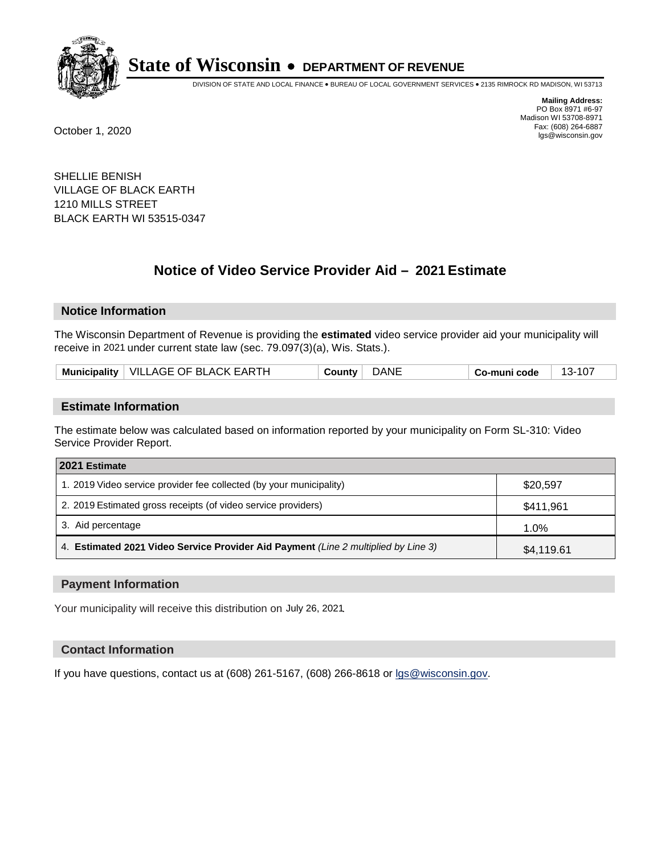

DIVISION OF STATE AND LOCAL FINANCE • BUREAU OF LOCAL GOVERNMENT SERVICES • 2135 RIMROCK RD MADISON, WI 53713

**Mailing Address:** PO Box 8971 #6-97 Madison WI 53708-8971<br>Fax: (608) 264-6887 Fax: (608) 264-6887 October 1, 2020 lgs@wisconsin.gov

SHELLIE BENISH VILLAGE OF BLACK EARTH 1210 MILLS STREET BLACK EARTH WI 53515-0347

# **Notice of Video Service Provider Aid - 2021 Estimate**

## **Notice Information**

The Wisconsin Department of Revenue is providing the **estimated** video service provider aid your municipality will receive in 2021 under current state law (sec. 79.097(3)(a), Wis. Stats.).

| Municipality   VILLAGE OF BLACK EARTH | DANE<br><b>County</b> | Co-muni code | $13 - 107$ |
|---------------------------------------|-----------------------|--------------|------------|
|---------------------------------------|-----------------------|--------------|------------|

#### **Estimate Information**

The estimate below was calculated based on information reported by your municipality on Form SL-310: Video Service Provider Report.

| 2021 Estimate                                                                      |            |
|------------------------------------------------------------------------------------|------------|
| 1. 2019 Video service provider fee collected (by your municipality)                | \$20,597   |
| 2. 2019 Estimated gross receipts (of video service providers)                      | \$411,961  |
| 3. Aid percentage                                                                  | 1.0%       |
| 4. Estimated 2021 Video Service Provider Aid Payment (Line 2 multiplied by Line 3) | \$4,119.61 |

#### **Payment Information**

Your municipality will receive this distribution on July 26, 2021.

## **Contact Information**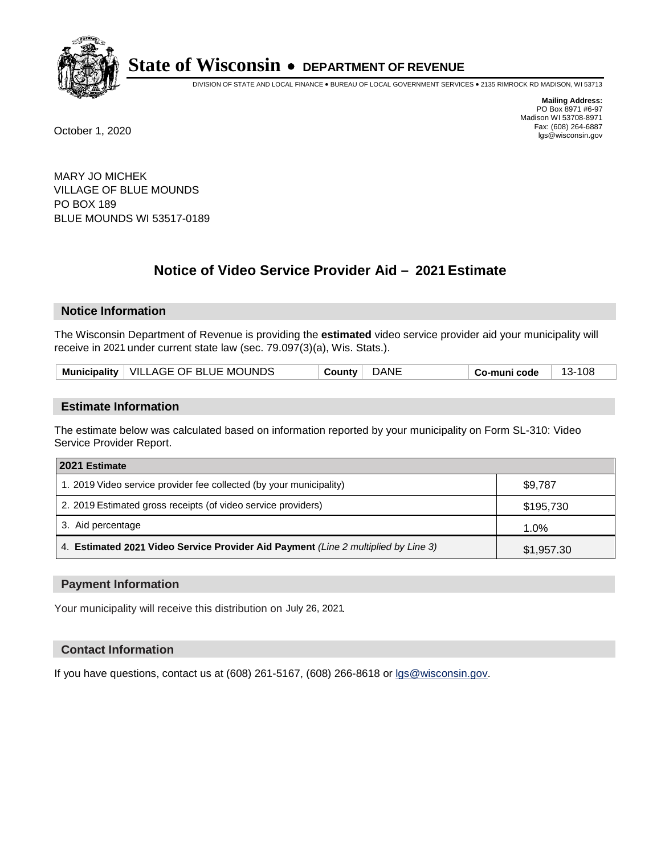

DIVISION OF STATE AND LOCAL FINANCE • BUREAU OF LOCAL GOVERNMENT SERVICES • 2135 RIMROCK RD MADISON, WI 53713

**Mailing Address:** PO Box 8971 #6-97 Madison WI 53708-8971<br>Fax: (608) 264-6887 Fax: (608) 264-6887 October 1, 2020 lgs@wisconsin.gov

MARY JO MICHEK VILLAGE OF BLUE MOUNDS PO BOX 189 BLUE MOUNDS WI 53517-0189

# **Notice of Video Service Provider Aid - 2021 Estimate**

## **Notice Information**

The Wisconsin Department of Revenue is providing the **estimated** video service provider aid your municipality will receive in 2021 under current state law (sec. 79.097(3)(a), Wis. Stats.).

| Municipality   VILLAGE OF BLUE MOUNDS | DANE<br>County | 13-108<br>$Co$ -muni code |
|---------------------------------------|----------------|---------------------------|
|---------------------------------------|----------------|---------------------------|

#### **Estimate Information**

The estimate below was calculated based on information reported by your municipality on Form SL-310: Video Service Provider Report.

| 2021 Estimate                                                                      |            |
|------------------------------------------------------------------------------------|------------|
| 1. 2019 Video service provider fee collected (by your municipality)                | \$9,787    |
| 2. 2019 Estimated gross receipts (of video service providers)                      | \$195,730  |
| 3. Aid percentage                                                                  | 1.0%       |
| 4. Estimated 2021 Video Service Provider Aid Payment (Line 2 multiplied by Line 3) | \$1,957.30 |

#### **Payment Information**

Your municipality will receive this distribution on July 26, 2021.

## **Contact Information**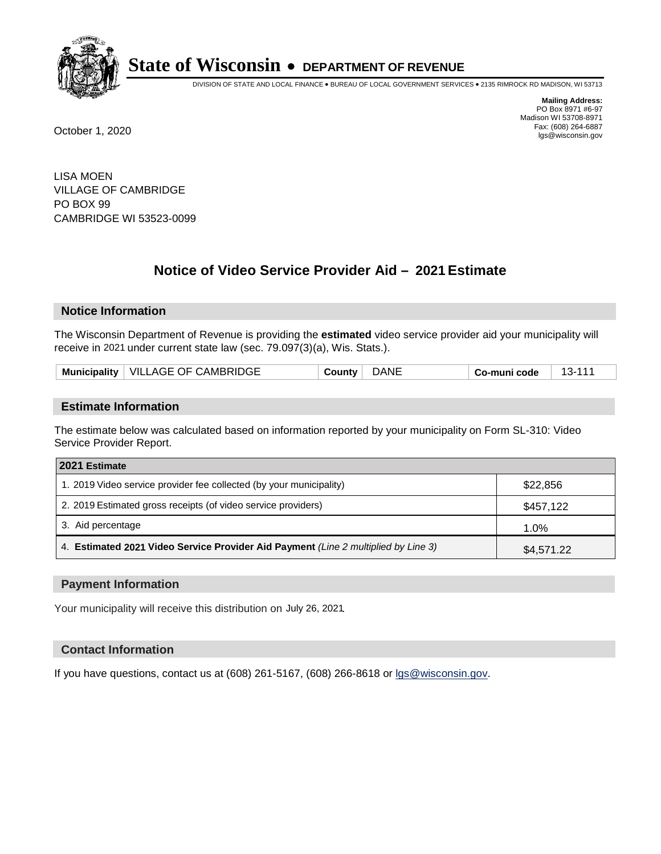

DIVISION OF STATE AND LOCAL FINANCE • BUREAU OF LOCAL GOVERNMENT SERVICES • 2135 RIMROCK RD MADISON, WI 53713

**Mailing Address:** PO Box 8971 #6-97 Madison WI 53708-8971<br>Fax: (608) 264-6887 Fax: (608) 264-6887 October 1, 2020 lgs@wisconsin.gov

LISA MOEN VILLAGE OF CAMBRIDGE PO BOX 99 CAMBRIDGE WI 53523-0099

# **Notice of Video Service Provider Aid - 2021 Estimate**

# **Notice Information**

The Wisconsin Department of Revenue is providing the **estimated** video service provider aid your municipality will receive in 2021 under current state law (sec. 79.097(3)(a), Wis. Stats.).

| Municipality   VILLAGE OF CAMBRIDGE | DANE<br>Countv ∣ | $13 - 1$ .<br>Co-muni code |
|-------------------------------------|------------------|----------------------------|
|-------------------------------------|------------------|----------------------------|

#### **Estimate Information**

The estimate below was calculated based on information reported by your municipality on Form SL-310: Video Service Provider Report.

| 2021 Estimate                                                                      |            |
|------------------------------------------------------------------------------------|------------|
| 1. 2019 Video service provider fee collected (by your municipality)                | \$22,856   |
| 2. 2019 Estimated gross receipts (of video service providers)                      | \$457,122  |
| 3. Aid percentage                                                                  | 1.0%       |
| 4. Estimated 2021 Video Service Provider Aid Payment (Line 2 multiplied by Line 3) | \$4,571.22 |

#### **Payment Information**

Your municipality will receive this distribution on July 26, 2021.

## **Contact Information**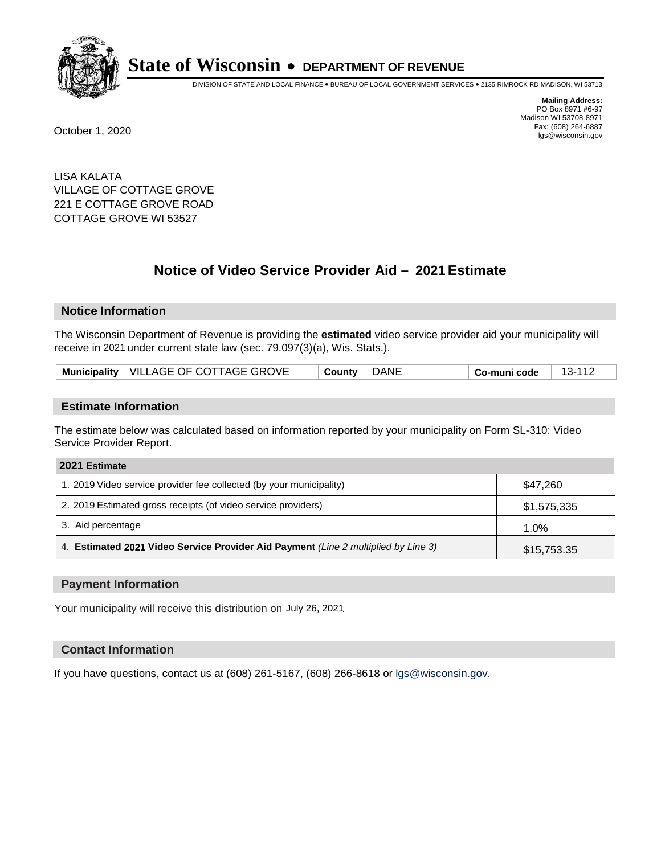

DIVISION OF STATE AND LOCAL FINANCE • BUREAU OF LOCAL GOVERNMENT SERVICES • 2135 RIMROCK RD MADISON, WI 53713

**Mailing Address:** PO Box 8971 #6-97 Madison WI 53708-8971<br>Fax: (608) 264-6887 Fax: (608) 264-6887 October 1, 2020 lgs@wisconsin.gov

LISA KALATA VILLAGE OF COTTAGE GROVE 221 E COTTAGE GROVE ROAD COTTAGE GROVE WI 53527

# **Notice of Video Service Provider Aid - 2021 Estimate**

# **Notice Information**

The Wisconsin Department of Revenue is providing the **estimated** video service provider aid your municipality will receive in 2021 under current state law (sec. 79.097(3)(a), Wis. Stats.).

| Municipality   VILLAGE OF COTTAGE GROVE | County DANE | Co-muni code | 13-112 |
|-----------------------------------------|-------------|--------------|--------|
|-----------------------------------------|-------------|--------------|--------|

#### **Estimate Information**

The estimate below was calculated based on information reported by your municipality on Form SL-310: Video Service Provider Report.

| 2021 Estimate                                                                      |             |
|------------------------------------------------------------------------------------|-------------|
| 1. 2019 Video service provider fee collected (by your municipality)                | \$47,260    |
| 2. 2019 Estimated gross receipts (of video service providers)                      | \$1,575,335 |
| 3. Aid percentage                                                                  | 1.0%        |
| 4. Estimated 2021 Video Service Provider Aid Payment (Line 2 multiplied by Line 3) | \$15,753.35 |

#### **Payment Information**

Your municipality will receive this distribution on July 26, 2021.

## **Contact Information**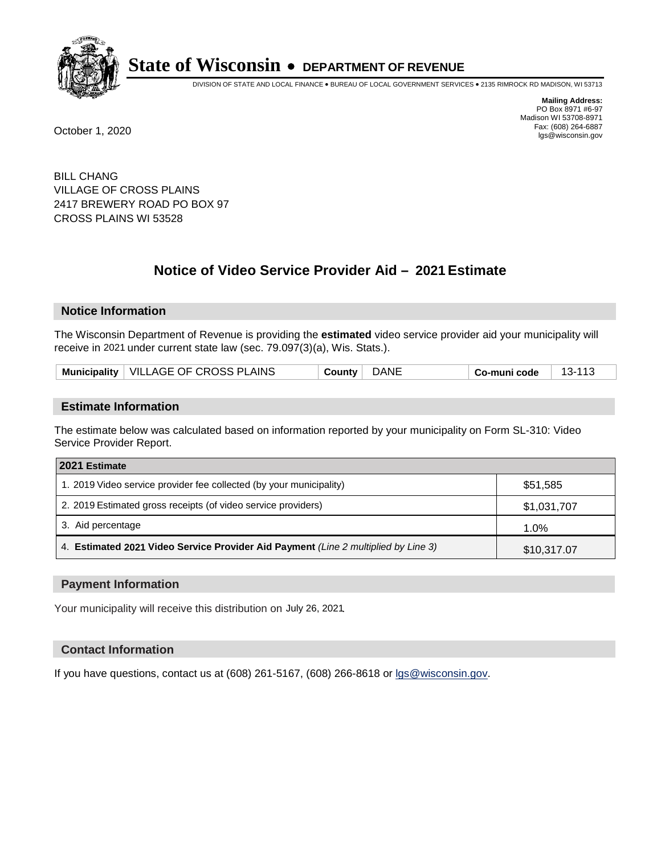

DIVISION OF STATE AND LOCAL FINANCE • BUREAU OF LOCAL GOVERNMENT SERVICES • 2135 RIMROCK RD MADISON, WI 53713

**Mailing Address:** PO Box 8971 #6-97 Madison WI 53708-8971<br>Fax: (608) 264-6887 Fax: (608) 264-6887 October 1, 2020 lgs@wisconsin.gov

BILL CHANG VILLAGE OF CROSS PLAINS 2417 BREWERY ROAD PO BOX 97 CROSS PLAINS WI 53528

# **Notice of Video Service Provider Aid - 2021 Estimate**

## **Notice Information**

The Wisconsin Department of Revenue is providing the **estimated** video service provider aid your municipality will receive in 2021 under current state law (sec. 79.097(3)(a), Wis. Stats.).

|  | Municipality   VILLAGE OF CROSS PLAINS | County | DANE | ∣ Co-muni code | - 13-113 |
|--|----------------------------------------|--------|------|----------------|----------|
|--|----------------------------------------|--------|------|----------------|----------|

#### **Estimate Information**

The estimate below was calculated based on information reported by your municipality on Form SL-310: Video Service Provider Report.

| 2021 Estimate                                                                      |             |
|------------------------------------------------------------------------------------|-------------|
| 1. 2019 Video service provider fee collected (by your municipality)                | \$51,585    |
| 2. 2019 Estimated gross receipts (of video service providers)                      | \$1,031,707 |
| 3. Aid percentage                                                                  | 1.0%        |
| 4. Estimated 2021 Video Service Provider Aid Payment (Line 2 multiplied by Line 3) | \$10,317.07 |

#### **Payment Information**

Your municipality will receive this distribution on July 26, 2021.

## **Contact Information**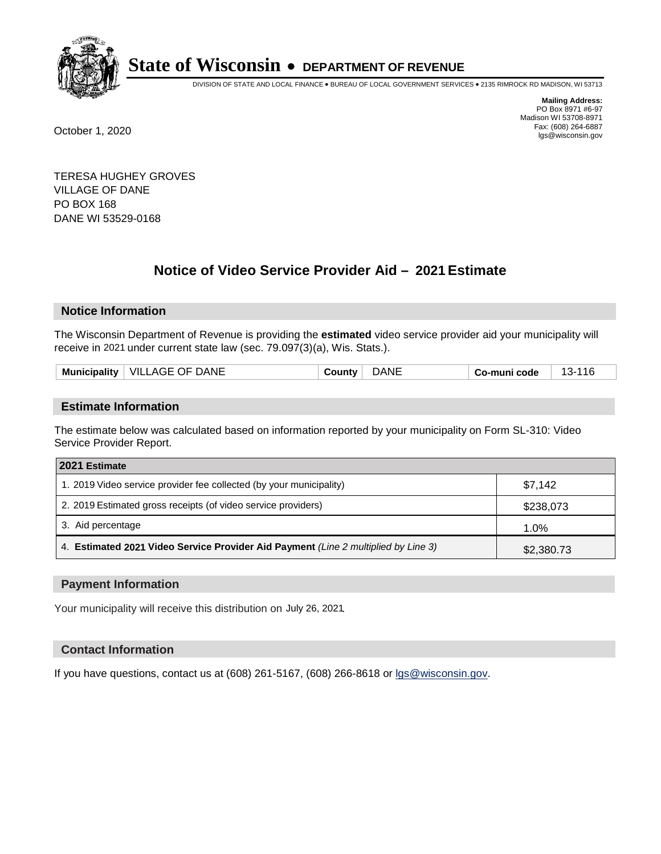

DIVISION OF STATE AND LOCAL FINANCE • BUREAU OF LOCAL GOVERNMENT SERVICES • 2135 RIMROCK RD MADISON, WI 53713

**Mailing Address:** PO Box 8971 #6-97 Madison WI 53708-8971<br>Fax: (608) 264-6887 Fax: (608) 264-6887 October 1, 2020 lgs@wisconsin.gov

TERESA HUGHEY GROVES VILLAGE OF DANE PO BOX 168 DANE WI 53529-0168

# **Notice of Video Service Provider Aid - 2021 Estimate**

# **Notice Information**

The Wisconsin Department of Revenue is providing the **estimated** video service provider aid your municipality will receive in 2021 under current state law (sec. 79.097(3)(a), Wis. Stats.).

| <b>VILLAGE OF DANE</b><br><b>Municipality</b> | )ANI | Co-muni code |  |
|-----------------------------------------------|------|--------------|--|
|                                               |      |              |  |

#### **Estimate Information**

The estimate below was calculated based on information reported by your municipality on Form SL-310: Video Service Provider Report.

| 2021 Estimate                                                                      |            |
|------------------------------------------------------------------------------------|------------|
| 1. 2019 Video service provider fee collected (by your municipality)                | \$7.142    |
| 2. 2019 Estimated gross receipts (of video service providers)                      | \$238,073  |
| 3. Aid percentage                                                                  | 1.0%       |
| 4. Estimated 2021 Video Service Provider Aid Payment (Line 2 multiplied by Line 3) | \$2,380.73 |

#### **Payment Information**

Your municipality will receive this distribution on July 26, 2021.

## **Contact Information**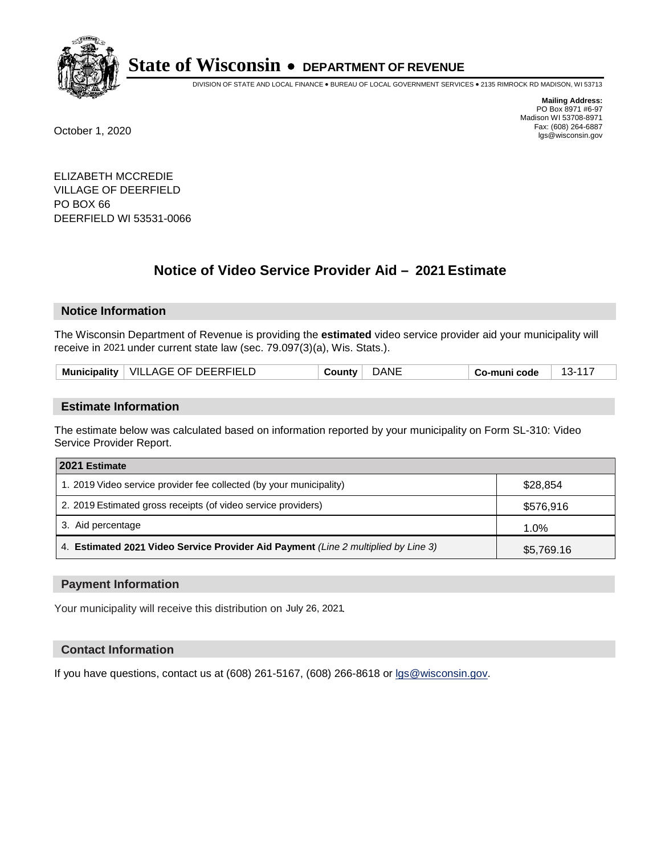

DIVISION OF STATE AND LOCAL FINANCE • BUREAU OF LOCAL GOVERNMENT SERVICES • 2135 RIMROCK RD MADISON, WI 53713

**Mailing Address:** PO Box 8971 #6-97 Madison WI 53708-8971<br>Fax: (608) 264-6887 Fax: (608) 264-6887 October 1, 2020 lgs@wisconsin.gov

ELIZABETH MCCREDIE VILLAGE OF DEERFIELD PO BOX 66 DEERFIELD WI 53531-0066

# **Notice of Video Service Provider Aid - 2021 Estimate**

# **Notice Information**

The Wisconsin Department of Revenue is providing the **estimated** video service provider aid your municipality will receive in 2021 under current state law (sec. 79.097(3)(a), Wis. Stats.).

| VILLAGE OF DEERFIELD<br><b>Municipality</b> | DANE<br>…ounty: | code<br>≺-<br>∴o-muniٽ<br>. |
|---------------------------------------------|-----------------|-----------------------------|
|---------------------------------------------|-----------------|-----------------------------|

#### **Estimate Information**

The estimate below was calculated based on information reported by your municipality on Form SL-310: Video Service Provider Report.

| 2021 Estimate                                                                      |            |
|------------------------------------------------------------------------------------|------------|
| 1. 2019 Video service provider fee collected (by your municipality)                | \$28.854   |
| 2. 2019 Estimated gross receipts (of video service providers)                      | \$576,916  |
| 3. Aid percentage                                                                  | 1.0%       |
| 4. Estimated 2021 Video Service Provider Aid Payment (Line 2 multiplied by Line 3) | \$5,769.16 |

#### **Payment Information**

Your municipality will receive this distribution on July 26, 2021.

## **Contact Information**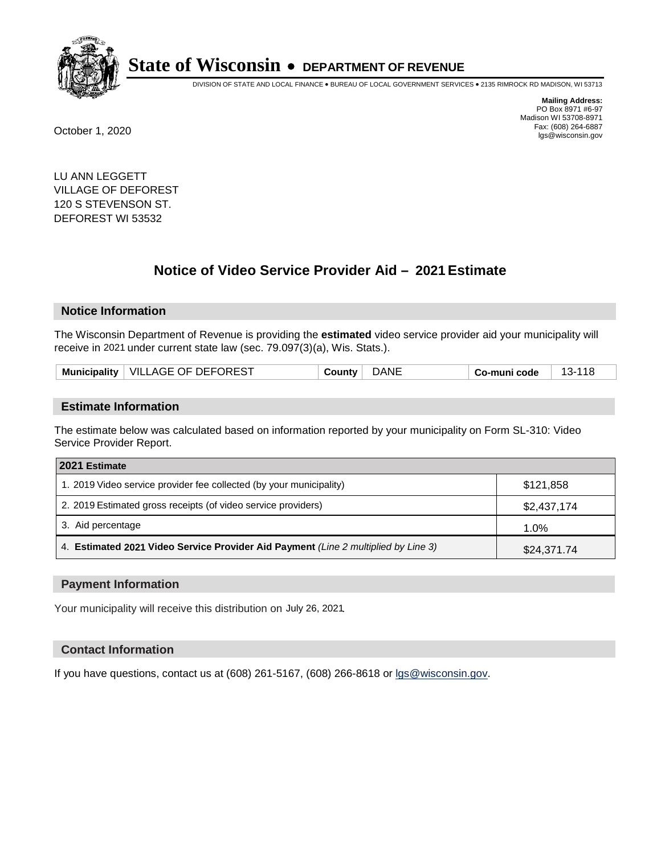

DIVISION OF STATE AND LOCAL FINANCE • BUREAU OF LOCAL GOVERNMENT SERVICES • 2135 RIMROCK RD MADISON, WI 53713

**Mailing Address:** PO Box 8971 #6-97 Madison WI 53708-8971<br>Fax: (608) 264-6887 Fax: (608) 264-6887 October 1, 2020 lgs@wisconsin.gov

LU ANN LEGGETT VILLAGE OF DEFOREST 120 S STEVENSON ST. DEFOREST WI 53532

# **Notice of Video Service Provider Aid - 2021 Estimate**

## **Notice Information**

The Wisconsin Department of Revenue is providing the **estimated** video service provider aid your municipality will receive in 2021 under current state law (sec. 79.097(3)(a), Wis. Stats.).

| Municipality   VILLAGE OF DEFOREST | <b>DANE</b><br>⊹ ountyب | o-muni codeٽ |
|------------------------------------|-------------------------|--------------|
|------------------------------------|-------------------------|--------------|

#### **Estimate Information**

The estimate below was calculated based on information reported by your municipality on Form SL-310: Video Service Provider Report.

| 2021 Estimate                                                                      |             |
|------------------------------------------------------------------------------------|-------------|
| 1. 2019 Video service provider fee collected (by your municipality)                | \$121,858   |
| 2. 2019 Estimated gross receipts (of video service providers)                      | \$2,437,174 |
| 3. Aid percentage                                                                  | 1.0%        |
| 4. Estimated 2021 Video Service Provider Aid Payment (Line 2 multiplied by Line 3) | \$24,371.74 |

#### **Payment Information**

Your municipality will receive this distribution on July 26, 2021.

## **Contact Information**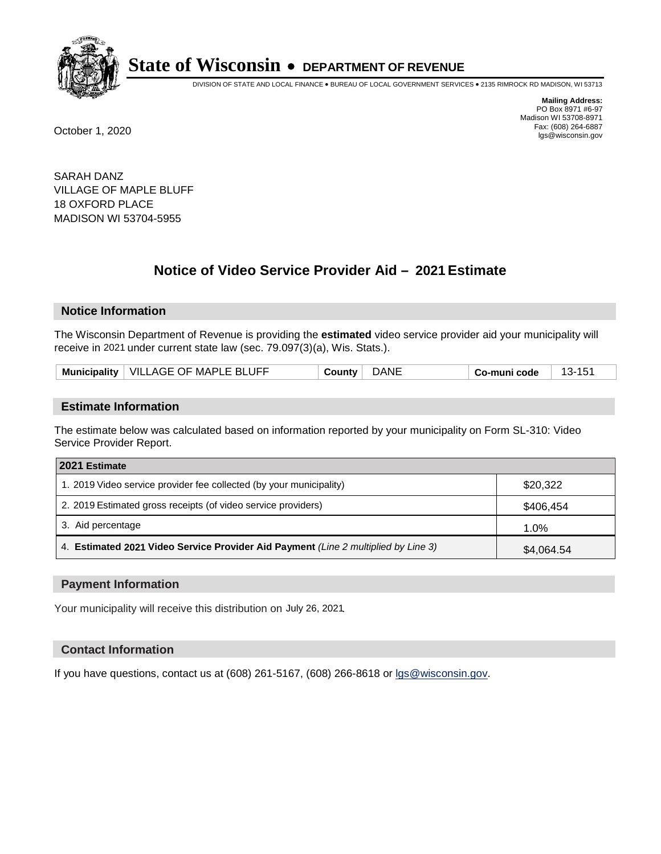

DIVISION OF STATE AND LOCAL FINANCE • BUREAU OF LOCAL GOVERNMENT SERVICES • 2135 RIMROCK RD MADISON, WI 53713

**Mailing Address:** PO Box 8971 #6-97 Madison WI 53708-8971<br>Fax: (608) 264-6887 Fax: (608) 264-6887 October 1, 2020 lgs@wisconsin.gov

SARAH DANZ VILLAGE OF MAPLE BLUFF 18 OXFORD PLACE MADISON WI 53704-5955

# **Notice of Video Service Provider Aid - 2021 Estimate**

## **Notice Information**

The Wisconsin Department of Revenue is providing the **estimated** video service provider aid your municipality will receive in 2021 under current state law (sec. 79.097(3)(a), Wis. Stats.).

| Municipality   VILLAGE OF MAPLE BLUFF | County | <b>DANE</b> | Co-muni code |  |
|---------------------------------------|--------|-------------|--------------|--|
|---------------------------------------|--------|-------------|--------------|--|

#### **Estimate Information**

The estimate below was calculated based on information reported by your municipality on Form SL-310: Video Service Provider Report.

| 2021 Estimate                                                                      |            |
|------------------------------------------------------------------------------------|------------|
| 1. 2019 Video service provider fee collected (by your municipality)                | \$20,322   |
| 2. 2019 Estimated gross receipts (of video service providers)                      | \$406,454  |
| 3. Aid percentage                                                                  | 1.0%       |
| 4. Estimated 2021 Video Service Provider Aid Payment (Line 2 multiplied by Line 3) | \$4,064.54 |

#### **Payment Information**

Your municipality will receive this distribution on July 26, 2021.

## **Contact Information**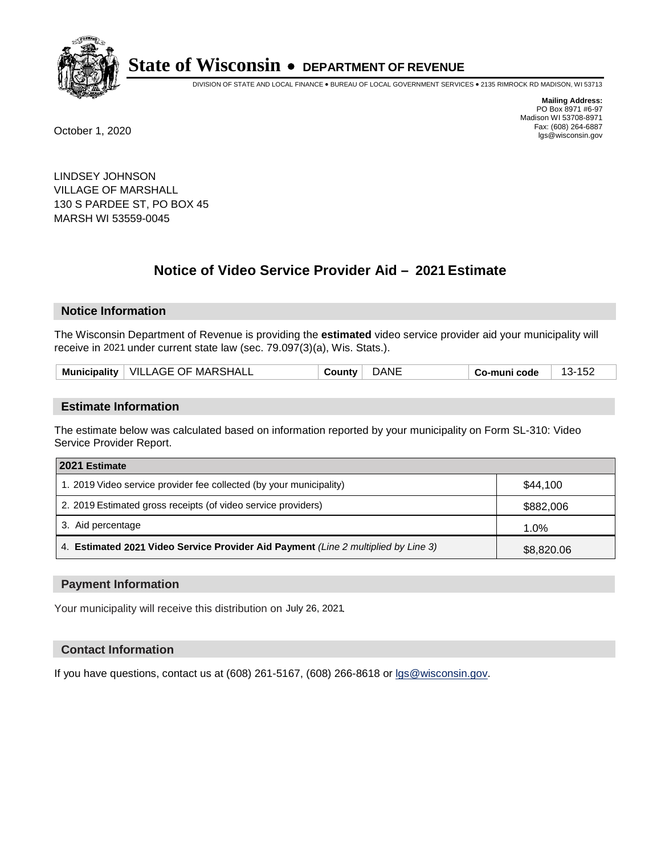

DIVISION OF STATE AND LOCAL FINANCE • BUREAU OF LOCAL GOVERNMENT SERVICES • 2135 RIMROCK RD MADISON, WI 53713

**Mailing Address:** PO Box 8971 #6-97 Madison WI 53708-8971<br>Fax: (608) 264-6887 Fax: (608) 264-6887 October 1, 2020 lgs@wisconsin.gov

LINDSEY JOHNSON VILLAGE OF MARSHALL 130 S PARDEE ST, PO BOX 45 MARSH WI 53559-0045

# **Notice of Video Service Provider Aid - 2021 Estimate**

## **Notice Information**

The Wisconsin Department of Revenue is providing the **estimated** video service provider aid your municipality will receive in 2021 under current state law (sec. 79.097(3)(a), Wis. Stats.).

| $\perp$ VILLAGE OF MARSHALL<br><b>Municipality</b> | dane<br>⊸ountv | o-muni codeٽ<br>∵−ت.<br>∠כי |
|----------------------------------------------------|----------------|-----------------------------|
|----------------------------------------------------|----------------|-----------------------------|

#### **Estimate Information**

The estimate below was calculated based on information reported by your municipality on Form SL-310: Video Service Provider Report.

| 2021 Estimate                                                                      |            |
|------------------------------------------------------------------------------------|------------|
| 1. 2019 Video service provider fee collected (by your municipality)                | \$44.100   |
| 2. 2019 Estimated gross receipts (of video service providers)                      | \$882,006  |
| 3. Aid percentage                                                                  | 1.0%       |
| 4. Estimated 2021 Video Service Provider Aid Payment (Line 2 multiplied by Line 3) | \$8,820.06 |

#### **Payment Information**

Your municipality will receive this distribution on July 26, 2021.

## **Contact Information**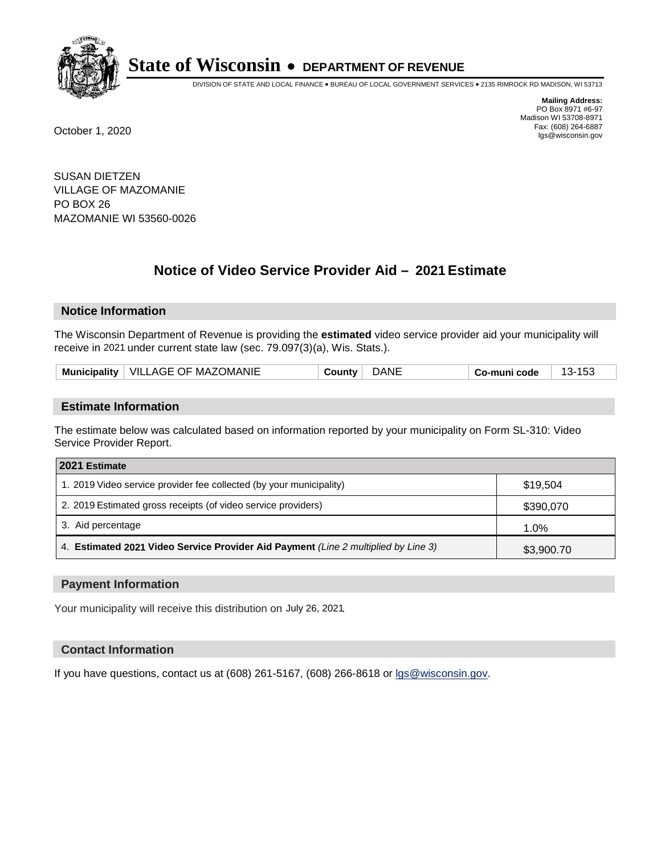

DIVISION OF STATE AND LOCAL FINANCE • BUREAU OF LOCAL GOVERNMENT SERVICES • 2135 RIMROCK RD MADISON, WI 53713

**Mailing Address:** PO Box 8971 #6-97 Madison WI 53708-8971<br>Fax: (608) 264-6887 Fax: (608) 264-6887 October 1, 2020 lgs@wisconsin.gov

SUSAN DIETZEN VILLAGE OF MAZOMANIE PO BOX 26 MAZOMANIE WI 53560-0026

# **Notice of Video Service Provider Aid - 2021 Estimate**

# **Notice Information**

The Wisconsin Department of Revenue is providing the **estimated** video service provider aid your municipality will receive in 2021 under current state law (sec. 79.097(3)(a), Wis. Stats.).

| VILLAGE OF MAZOMANIE<br><b>Municipality</b> | dane<br>⊸ountv ٍ | د15<br>o-muni codeٽ<br>∵−د.، |
|---------------------------------------------|------------------|------------------------------|
|---------------------------------------------|------------------|------------------------------|

#### **Estimate Information**

The estimate below was calculated based on information reported by your municipality on Form SL-310: Video Service Provider Report.

| 2021 Estimate                                                                      |            |
|------------------------------------------------------------------------------------|------------|
| 1. 2019 Video service provider fee collected (by your municipality)                | \$19.504   |
| 2. 2019 Estimated gross receipts (of video service providers)                      | \$390,070  |
| 3. Aid percentage                                                                  | 1.0%       |
| 4. Estimated 2021 Video Service Provider Aid Payment (Line 2 multiplied by Line 3) | \$3,900.70 |

#### **Payment Information**

Your municipality will receive this distribution on July 26, 2021.

## **Contact Information**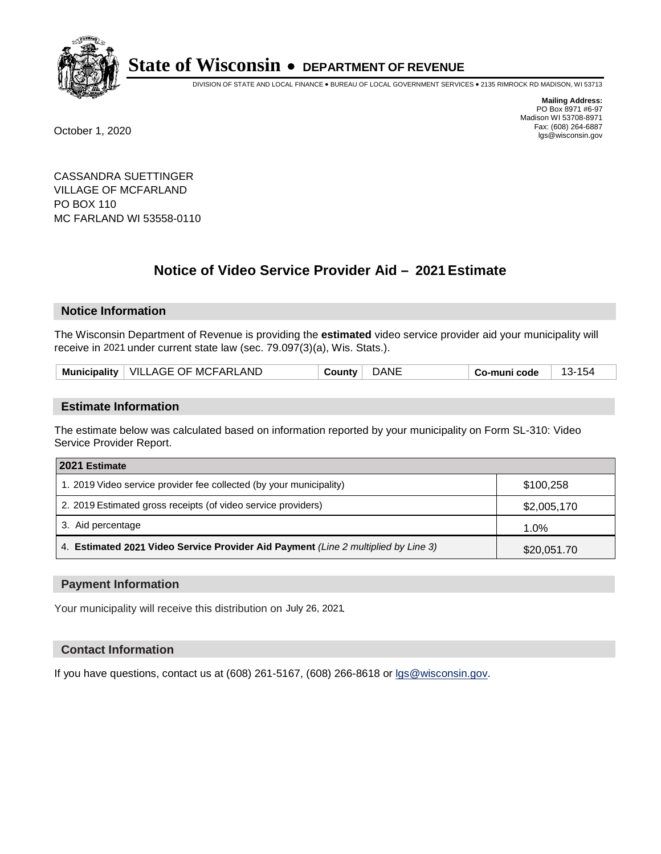

DIVISION OF STATE AND LOCAL FINANCE • BUREAU OF LOCAL GOVERNMENT SERVICES • 2135 RIMROCK RD MADISON, WI 53713

**Mailing Address:** PO Box 8971 #6-97 Madison WI 53708-8971<br>Fax: (608) 264-6887 Fax: (608) 264-6887 October 1, 2020 lgs@wisconsin.gov

CASSANDRA SUETTINGER VILLAGE OF MCFARLAND PO BOX 110 MC FARLAND WI 53558-0110

# **Notice of Video Service Provider Aid - 2021 Estimate**

# **Notice Information**

The Wisconsin Department of Revenue is providing the **estimated** video service provider aid your municipality will receive in 2021 under current state law (sec. 79.097(3)(a), Wis. Stats.).

| Municipality   VILLAGE OF MCFARLAND | ')ANL<br>⊹ ountyب | 154<br>o-muni codeٽ<br>∵-ې، |  |
|-------------------------------------|-------------------|-----------------------------|--|
|-------------------------------------|-------------------|-----------------------------|--|

## **Estimate Information**

The estimate below was calculated based on information reported by your municipality on Form SL-310: Video Service Provider Report.

| 2021 Estimate                                                                      |             |
|------------------------------------------------------------------------------------|-------------|
| 1. 2019 Video service provider fee collected (by your municipality)                | \$100.258   |
| 2. 2019 Estimated gross receipts (of video service providers)                      | \$2,005,170 |
| 3. Aid percentage                                                                  | 1.0%        |
| 4. Estimated 2021 Video Service Provider Aid Payment (Line 2 multiplied by Line 3) | \$20,051.70 |

#### **Payment Information**

Your municipality will receive this distribution on July 26, 2021.

## **Contact Information**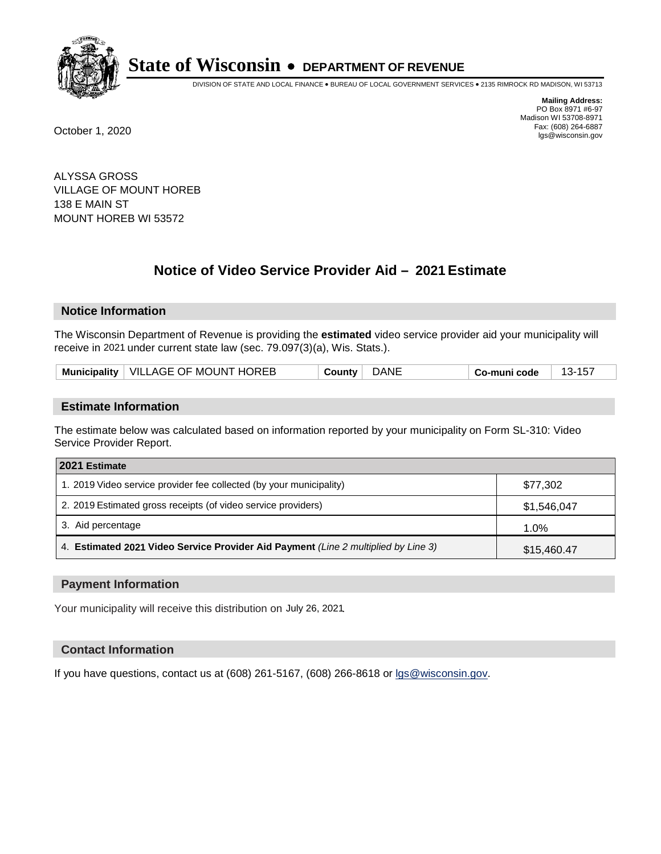

DIVISION OF STATE AND LOCAL FINANCE • BUREAU OF LOCAL GOVERNMENT SERVICES • 2135 RIMROCK RD MADISON, WI 53713

**Mailing Address:** PO Box 8971 #6-97 Madison WI 53708-8971<br>Fax: (608) 264-6887 Fax: (608) 264-6887 October 1, 2020 lgs@wisconsin.gov

ALYSSA GROSS VILLAGE OF MOUNT HOREB 138 E MAIN ST MOUNT HOREB WI 53572

# **Notice of Video Service Provider Aid - 2021 Estimate**

## **Notice Information**

The Wisconsin Department of Revenue is providing the **estimated** video service provider aid your municipality will receive in 2021 under current state law (sec. 79.097(3)(a), Wis. Stats.).

| Municipality   VILLAGE OF MOUNT HOREB | DANE<br>County | Co-muni code |  |
|---------------------------------------|----------------|--------------|--|
|---------------------------------------|----------------|--------------|--|

#### **Estimate Information**

The estimate below was calculated based on information reported by your municipality on Form SL-310: Video Service Provider Report.

| 2021 Estimate                                                                      |             |
|------------------------------------------------------------------------------------|-------------|
| 1. 2019 Video service provider fee collected (by your municipality)                | \$77,302    |
| 2. 2019 Estimated gross receipts (of video service providers)                      | \$1,546,047 |
| 3. Aid percentage                                                                  | 1.0%        |
| 4. Estimated 2021 Video Service Provider Aid Payment (Line 2 multiplied by Line 3) | \$15,460.47 |

#### **Payment Information**

Your municipality will receive this distribution on July 26, 2021.

## **Contact Information**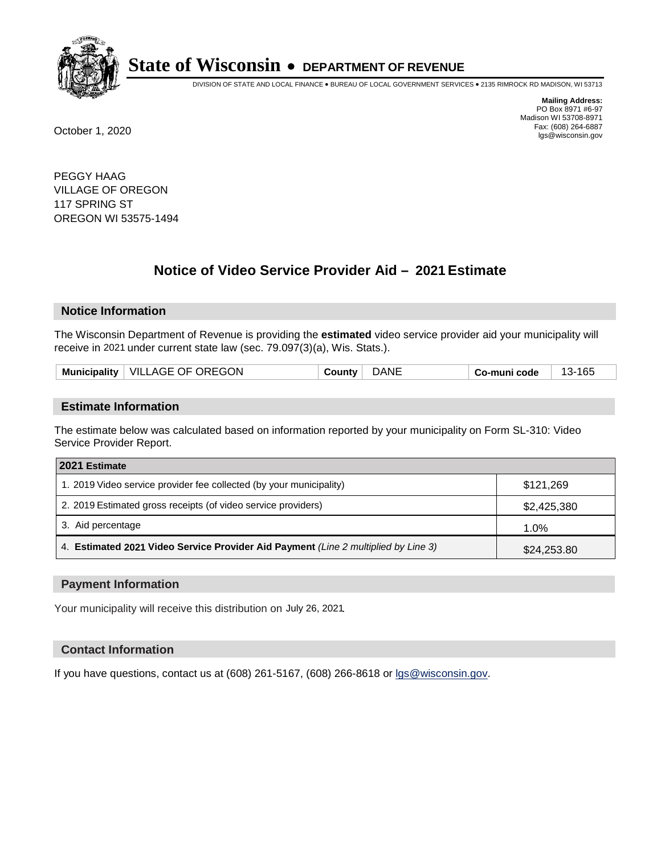

DIVISION OF STATE AND LOCAL FINANCE • BUREAU OF LOCAL GOVERNMENT SERVICES • 2135 RIMROCK RD MADISON, WI 53713

**Mailing Address:** PO Box 8971 #6-97 Madison WI 53708-8971<br>Fax: (608) 264-6887 Fax: (608) 264-6887 October 1, 2020 lgs@wisconsin.gov

PEGGY HAAG VILLAGE OF OREGON 117 SPRING ST OREGON WI 53575-1494

# **Notice of Video Service Provider Aid - 2021 Estimate**

## **Notice Information**

The Wisconsin Department of Revenue is providing the **estimated** video service provider aid your municipality will receive in 2021 under current state law (sec. 79.097(3)(a), Wis. Stats.).

| Municipality   VILLAGE OF OREGON | <b>DANE</b><br>√ountv ت | Co-muni code | 165<br>$\overline{ }$<br>- 1.07 |
|----------------------------------|-------------------------|--------------|---------------------------------|
|----------------------------------|-------------------------|--------------|---------------------------------|

#### **Estimate Information**

The estimate below was calculated based on information reported by your municipality on Form SL-310: Video Service Provider Report.

| 2021 Estimate                                                                      |             |
|------------------------------------------------------------------------------------|-------------|
| 1. 2019 Video service provider fee collected (by your municipality)                | \$121,269   |
| 2. 2019 Estimated gross receipts (of video service providers)                      | \$2,425,380 |
| 3. Aid percentage                                                                  | 1.0%        |
| 4. Estimated 2021 Video Service Provider Aid Payment (Line 2 multiplied by Line 3) | \$24,253.80 |

#### **Payment Information**

Your municipality will receive this distribution on July 26, 2021.

## **Contact Information**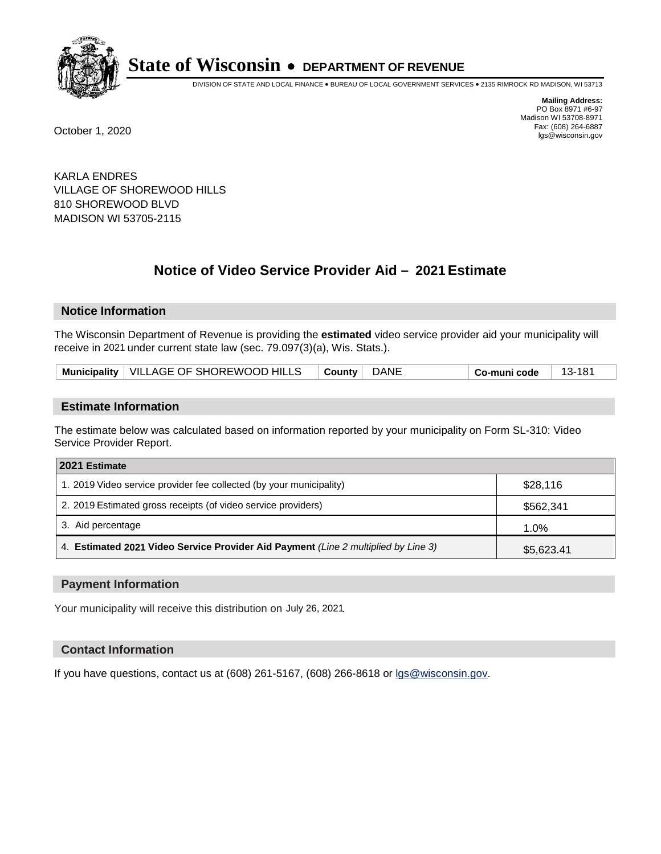

DIVISION OF STATE AND LOCAL FINANCE • BUREAU OF LOCAL GOVERNMENT SERVICES • 2135 RIMROCK RD MADISON, WI 53713

**Mailing Address:** PO Box 8971 #6-97 Madison WI 53708-8971<br>Fax: (608) 264-6887 Fax: (608) 264-6887 October 1, 2020 lgs@wisconsin.gov

KARLA ENDRES VILLAGE OF SHOREWOOD HILLS 810 SHOREWOOD BLVD MADISON WI 53705-2115

# **Notice of Video Service Provider Aid - 2021 Estimate**

## **Notice Information**

The Wisconsin Department of Revenue is providing the **estimated** video service provider aid your municipality will receive in 2021 under current state law (sec. 79.097(3)(a), Wis. Stats.).

| Municipality   VILLAGE OF SHOREWOOD HILLS | $\vert$ County $\vert$ DANE | ∣ Co-muni code | 13-181 |
|-------------------------------------------|-----------------------------|----------------|--------|
|-------------------------------------------|-----------------------------|----------------|--------|

#### **Estimate Information**

The estimate below was calculated based on information reported by your municipality on Form SL-310: Video Service Provider Report.

| 2021 Estimate                                                                      |            |
|------------------------------------------------------------------------------------|------------|
| 1. 2019 Video service provider fee collected (by your municipality)                | \$28,116   |
| 2. 2019 Estimated gross receipts (of video service providers)                      | \$562,341  |
| 3. Aid percentage                                                                  | 1.0%       |
| 4. Estimated 2021 Video Service Provider Aid Payment (Line 2 multiplied by Line 3) | \$5,623.41 |

#### **Payment Information**

Your municipality will receive this distribution on July 26, 2021.

## **Contact Information**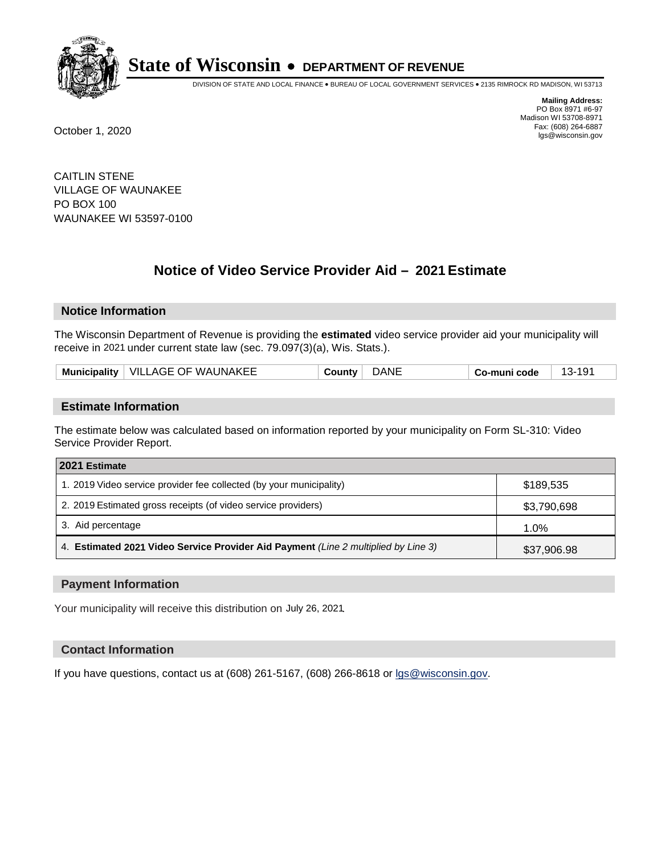

DIVISION OF STATE AND LOCAL FINANCE • BUREAU OF LOCAL GOVERNMENT SERVICES • 2135 RIMROCK RD MADISON, WI 53713

**Mailing Address:** PO Box 8971 #6-97 Madison WI 53708-8971<br>Fax: (608) 264-6887 Fax: (608) 264-6887 October 1, 2020 lgs@wisconsin.gov

CAITLIN STENE VILLAGE OF WAUNAKEE PO BOX 100 WAUNAKEE WI 53597-0100

# **Notice of Video Service Provider Aid - 2021 Estimate**

## **Notice Information**

The Wisconsin Department of Revenue is providing the **estimated** video service provider aid your municipality will receive in 2021 under current state law (sec. 79.097(3)(a), Wis. Stats.).

| Municipality   VILLAGE OF WAUNAKEE | DANE<br>County | $13 - 19'$<br>$\overline{A}$<br>Co-muni code |
|------------------------------------|----------------|----------------------------------------------|
|------------------------------------|----------------|----------------------------------------------|

#### **Estimate Information**

The estimate below was calculated based on information reported by your municipality on Form SL-310: Video Service Provider Report.

| 2021 Estimate                                                                      |             |
|------------------------------------------------------------------------------------|-------------|
| 1. 2019 Video service provider fee collected (by your municipality)                | \$189,535   |
| 2. 2019 Estimated gross receipts (of video service providers)                      | \$3,790,698 |
| 3. Aid percentage                                                                  | 1.0%        |
| 4. Estimated 2021 Video Service Provider Aid Payment (Line 2 multiplied by Line 3) | \$37,906.98 |

#### **Payment Information**

Your municipality will receive this distribution on July 26, 2021.

## **Contact Information**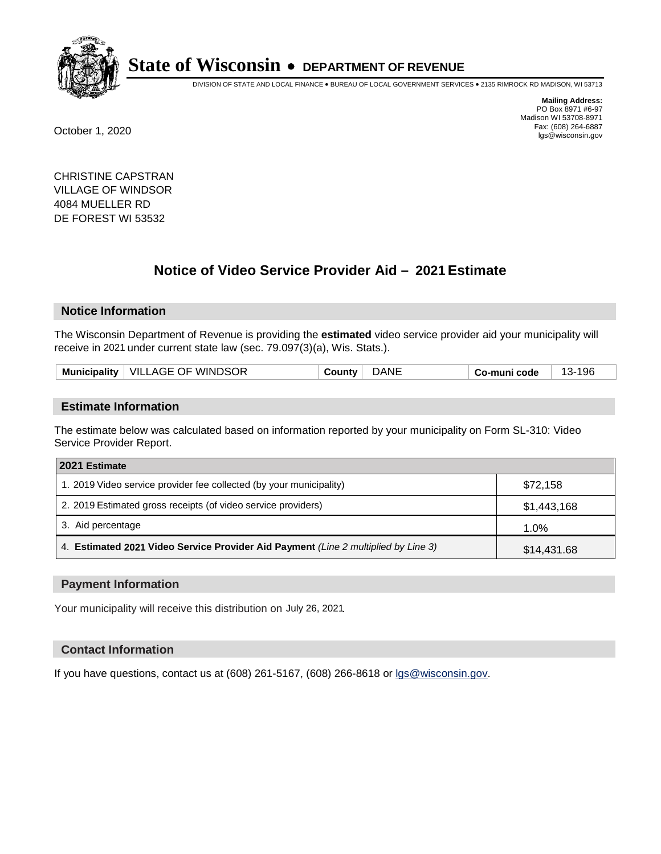

DIVISION OF STATE AND LOCAL FINANCE • BUREAU OF LOCAL GOVERNMENT SERVICES • 2135 RIMROCK RD MADISON, WI 53713

**Mailing Address:** PO Box 8971 #6-97 Madison WI 53708-8971<br>Fax: (608) 264-6887 Fax: (608) 264-6887 October 1, 2020 lgs@wisconsin.gov

CHRISTINE CAPSTRAN VILLAGE OF WINDSOR 4084 MUELLER RD DE FOREST WI 53532

# **Notice of Video Service Provider Aid - 2021 Estimate**

# **Notice Information**

The Wisconsin Department of Revenue is providing the **estimated** video service provider aid your municipality will receive in 2021 under current state law (sec. 79.097(3)(a), Wis. Stats.).

|  | Municipality   VILLAGE OF WINDSOR | ⊸ountv ٍ | ገANL | o-muni code، ت | 196-<br>$\overline{ }$<br>- 3- |
|--|-----------------------------------|----------|------|----------------|--------------------------------|
|--|-----------------------------------|----------|------|----------------|--------------------------------|

#### **Estimate Information**

The estimate below was calculated based on information reported by your municipality on Form SL-310: Video Service Provider Report.

| 2021 Estimate                                                                      |             |
|------------------------------------------------------------------------------------|-------------|
| 1. 2019 Video service provider fee collected (by your municipality)                | \$72,158    |
| 2. 2019 Estimated gross receipts (of video service providers)                      | \$1,443,168 |
| 3. Aid percentage                                                                  | 1.0%        |
| 4. Estimated 2021 Video Service Provider Aid Payment (Line 2 multiplied by Line 3) | \$14,431.68 |

#### **Payment Information**

Your municipality will receive this distribution on July 26, 2021.

## **Contact Information**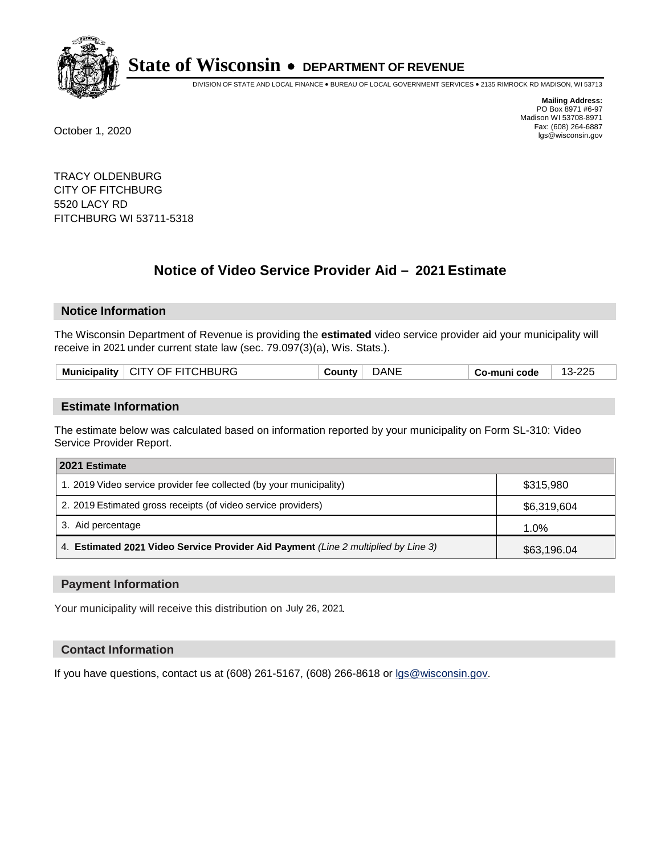

DIVISION OF STATE AND LOCAL FINANCE • BUREAU OF LOCAL GOVERNMENT SERVICES • 2135 RIMROCK RD MADISON, WI 53713

**Mailing Address:** PO Box 8971 #6-97 Madison WI 53708-8971<br>Fax: (608) 264-6887 Fax: (608) 264-6887 October 1, 2020 lgs@wisconsin.gov

TRACY OLDENBURG CITY OF FITCHBURG 5520 LACY RD FITCHBURG WI 53711-5318

# **Notice of Video Service Provider Aid - 2021 Estimate**

## **Notice Information**

The Wisconsin Department of Revenue is providing the **estimated** video service provider aid your municipality will receive in 2021 under current state law (sec. 79.097(3)(a), Wis. Stats.).

| Municipality   CITY OF FITCHBURG<br><b>DANE</b><br>13-225<br>⊸ountv∪<br>Co-muni code |
|--------------------------------------------------------------------------------------|
|--------------------------------------------------------------------------------------|

#### **Estimate Information**

The estimate below was calculated based on information reported by your municipality on Form SL-310: Video Service Provider Report.

| 2021 Estimate                                                                      |             |
|------------------------------------------------------------------------------------|-------------|
| 1. 2019 Video service provider fee collected (by your municipality)                | \$315,980   |
| 2. 2019 Estimated gross receipts (of video service providers)                      | \$6,319,604 |
| 3. Aid percentage                                                                  | 1.0%        |
| 4. Estimated 2021 Video Service Provider Aid Payment (Line 2 multiplied by Line 3) | \$63,196.04 |

#### **Payment Information**

Your municipality will receive this distribution on July 26, 2021.

## **Contact Information**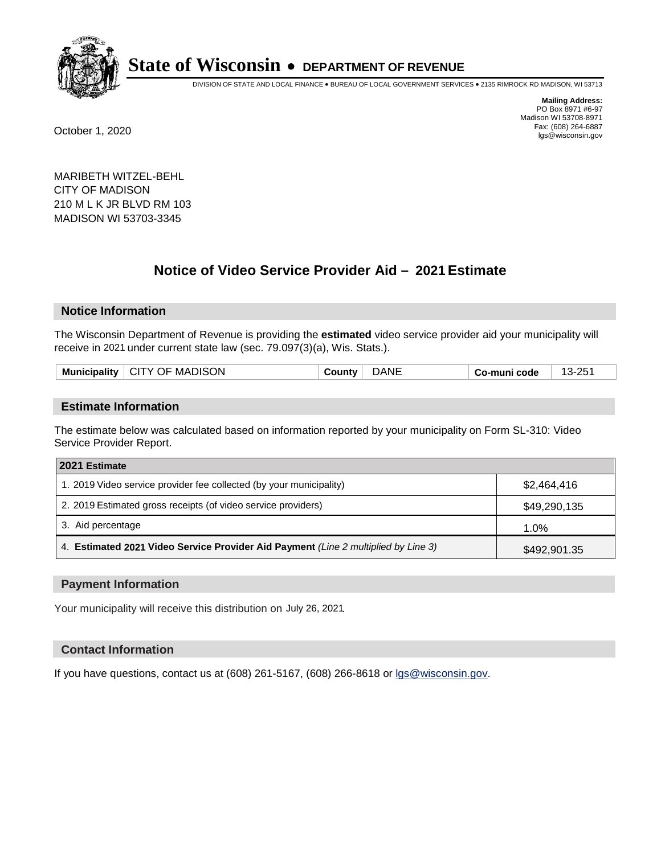

DIVISION OF STATE AND LOCAL FINANCE • BUREAU OF LOCAL GOVERNMENT SERVICES • 2135 RIMROCK RD MADISON, WI 53713

**Mailing Address:** PO Box 8971 #6-97 Madison WI 53708-8971<br>Fax: (608) 264-6887 Fax: (608) 264-6887 October 1, 2020 lgs@wisconsin.gov

MARIBETH WITZEL-BEHL CITY OF MADISON 210 M L K JR BLVD RM 103 MADISON WI 53703-3345

# **Notice of Video Service Provider Aid - 2021 Estimate**

# **Notice Information**

The Wisconsin Department of Revenue is providing the **estimated** video service provider aid your municipality will receive in 2021 under current state law (sec. 79.097(3)(a), Wis. Stats.).

|  | <b>MADISON</b><br>CITY OF<br><b>Municipality</b> | ount⊻ | DANE | code<br>′ o-munı. | つに<br><sup>__</sup> 13-∠ບຸ |
|--|--------------------------------------------------|-------|------|-------------------|----------------------------|
|--|--------------------------------------------------|-------|------|-------------------|----------------------------|

#### **Estimate Information**

The estimate below was calculated based on information reported by your municipality on Form SL-310: Video Service Provider Report.

| 2021 Estimate                                                                      |              |
|------------------------------------------------------------------------------------|--------------|
| 1. 2019 Video service provider fee collected (by your municipality)                | \$2,464,416  |
| 2. 2019 Estimated gross receipts (of video service providers)                      | \$49,290,135 |
| 3. Aid percentage                                                                  | 1.0%         |
| 4. Estimated 2021 Video Service Provider Aid Payment (Line 2 multiplied by Line 3) | \$492,901.35 |

#### **Payment Information**

Your municipality will receive this distribution on July 26, 2021.

## **Contact Information**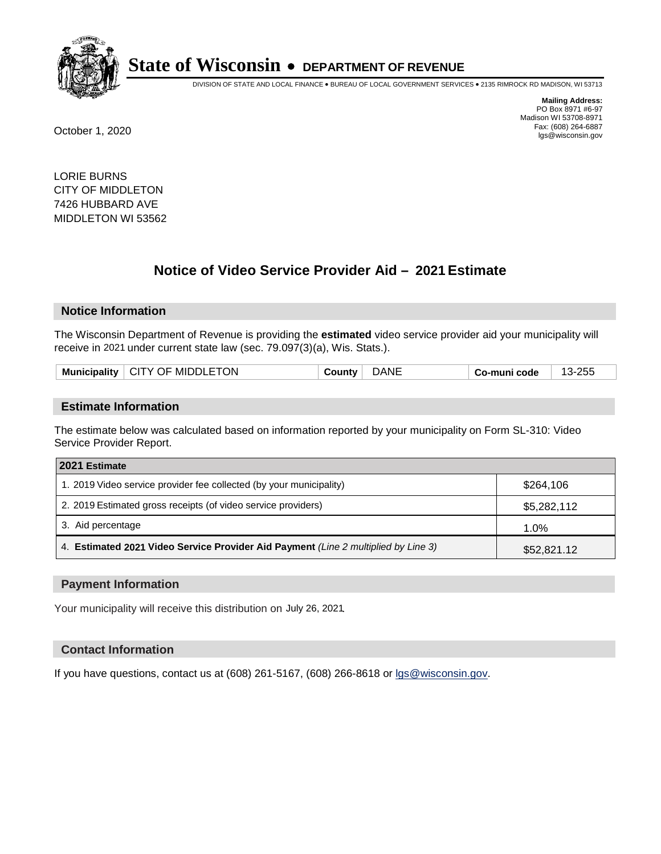

DIVISION OF STATE AND LOCAL FINANCE • BUREAU OF LOCAL GOVERNMENT SERVICES • 2135 RIMROCK RD MADISON, WI 53713

**Mailing Address:** PO Box 8971 #6-97 Madison WI 53708-8971<br>Fax: (608) 264-6887 Fax: (608) 264-6887 October 1, 2020 lgs@wisconsin.gov

LORIE BURNS CITY OF MIDDLETON 7426 HUBBARD AVE MIDDLETON WI 53562

# **Notice of Video Service Provider Aid - 2021 Estimate**

## **Notice Information**

The Wisconsin Department of Revenue is providing the **estimated** video service provider aid your municipality will receive in 2021 under current state law (sec. 79.097(3)(a), Wis. Stats.).

| <b>MIDDLETON</b><br>.NI<br>25t<br><b>Municipality</b><br>. CITY OF "<br>code<br>- o-muni،<br>$\sim$<br>- כ. . |
|---------------------------------------------------------------------------------------------------------------|
|---------------------------------------------------------------------------------------------------------------|

#### **Estimate Information**

The estimate below was calculated based on information reported by your municipality on Form SL-310: Video Service Provider Report.

| 2021 Estimate                                                                      |             |
|------------------------------------------------------------------------------------|-------------|
| 1. 2019 Video service provider fee collected (by your municipality)                | \$264.106   |
| 2. 2019 Estimated gross receipts (of video service providers)                      | \$5,282,112 |
| 3. Aid percentage                                                                  | 1.0%        |
| 4. Estimated 2021 Video Service Provider Aid Payment (Line 2 multiplied by Line 3) | \$52,821.12 |

#### **Payment Information**

Your municipality will receive this distribution on July 26, 2021.

## **Contact Information**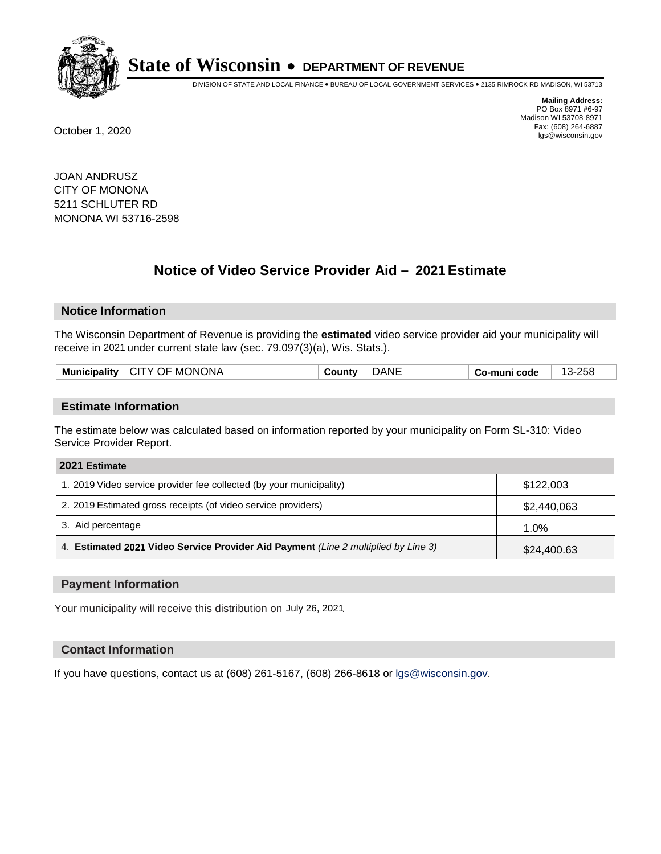

DIVISION OF STATE AND LOCAL FINANCE • BUREAU OF LOCAL GOVERNMENT SERVICES • 2135 RIMROCK RD MADISON, WI 53713

**Mailing Address:** PO Box 8971 #6-97 Madison WI 53708-8971<br>Fax: (608) 264-6887 Fax: (608) 264-6887 October 1, 2020 lgs@wisconsin.gov

JOAN ANDRUSZ CITY OF MONONA 5211 SCHLUTER RD MONONA WI 53716-2598

# **Notice of Video Service Provider Aid - 2021 Estimate**

## **Notice Information**

The Wisconsin Department of Revenue is providing the **estimated** video service provider aid your municipality will receive in 2021 under current state law (sec. 79.097(3)(a), Wis. Stats.).

| Municipality   CITY OF MONONA | <b>∵ount</b> vٽ | DANE | Co-muni code | 13-258 |
|-------------------------------|-----------------|------|--------------|--------|
|                               |                 |      |              |        |

#### **Estimate Information**

The estimate below was calculated based on information reported by your municipality on Form SL-310: Video Service Provider Report.

| 2021 Estimate                                                                      |             |
|------------------------------------------------------------------------------------|-------------|
| 1. 2019 Video service provider fee collected (by your municipality)                | \$122,003   |
| 2. 2019 Estimated gross receipts (of video service providers)                      | \$2,440,063 |
| 3. Aid percentage                                                                  | 1.0%        |
| 4. Estimated 2021 Video Service Provider Aid Payment (Line 2 multiplied by Line 3) | \$24,400.63 |

#### **Payment Information**

Your municipality will receive this distribution on July 26, 2021.

## **Contact Information**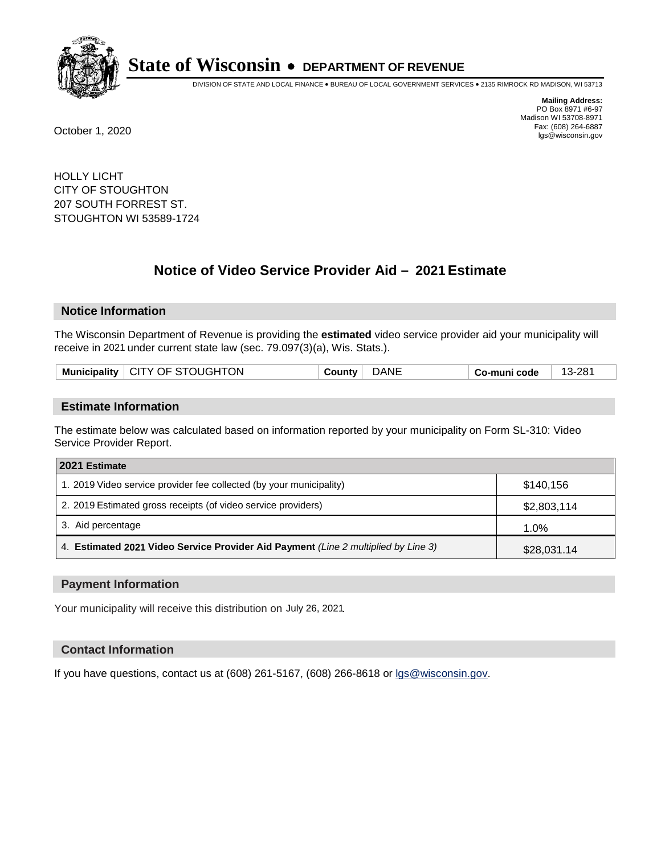

DIVISION OF STATE AND LOCAL FINANCE • BUREAU OF LOCAL GOVERNMENT SERVICES • 2135 RIMROCK RD MADISON, WI 53713

**Mailing Address:** PO Box 8971 #6-97 Madison WI 53708-8971<br>Fax: (608) 264-6887 Fax: (608) 264-6887 October 1, 2020 lgs@wisconsin.gov

HOLLY LICHT CITY OF STOUGHTON 207 SOUTH FORREST ST. STOUGHTON WI 53589-1724

# **Notice of Video Service Provider Aid - 2021 Estimate**

## **Notice Information**

The Wisconsin Department of Revenue is providing the **estimated** video service provider aid your municipality will receive in 2021 under current state law (sec. 79.097(3)(a), Wis. Stats.).

| Municipality   CITY OF STOUGHTON | $\mathsf{Country}^+$ | <b>DANE</b> | Co-muni code | 13-281 |
|----------------------------------|----------------------|-------------|--------------|--------|
|----------------------------------|----------------------|-------------|--------------|--------|

#### **Estimate Information**

The estimate below was calculated based on information reported by your municipality on Form SL-310: Video Service Provider Report.

| 2021 Estimate                                                                      |             |
|------------------------------------------------------------------------------------|-------------|
| 1. 2019 Video service provider fee collected (by your municipality)                | \$140.156   |
| 2. 2019 Estimated gross receipts (of video service providers)                      | \$2,803,114 |
| 3. Aid percentage                                                                  | 1.0%        |
| 4. Estimated 2021 Video Service Provider Aid Payment (Line 2 multiplied by Line 3) | \$28,031.14 |

#### **Payment Information**

Your municipality will receive this distribution on July 26, 2021.

## **Contact Information**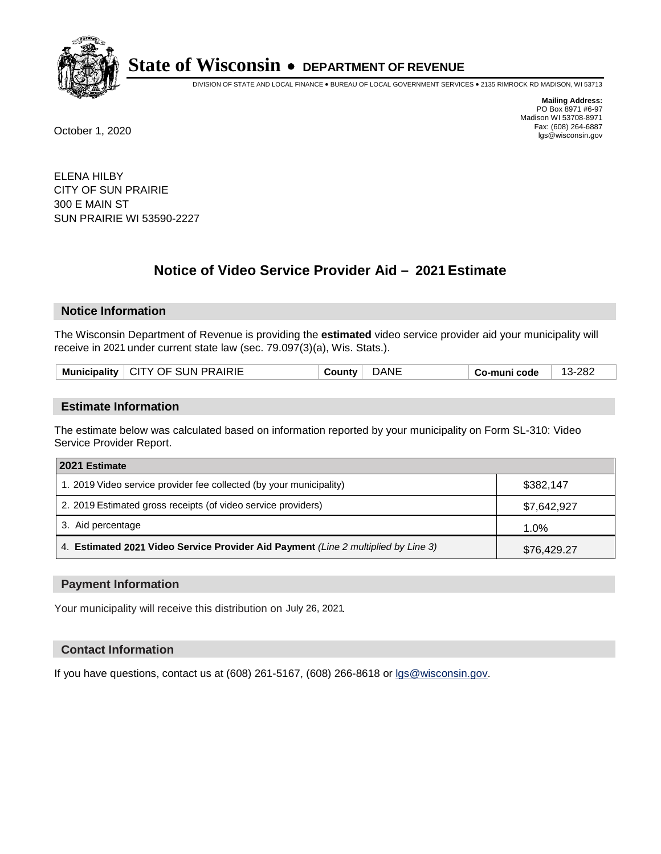

DIVISION OF STATE AND LOCAL FINANCE • BUREAU OF LOCAL GOVERNMENT SERVICES • 2135 RIMROCK RD MADISON, WI 53713

**Mailing Address:** PO Box 8971 #6-97 Madison WI 53708-8971<br>Fax: (608) 264-6887 Fax: (608) 264-6887 October 1, 2020 lgs@wisconsin.gov

ELENA HILBY CITY OF SUN PRAIRIE 300 E MAIN ST SUN PRAIRIE WI 53590-2227

# **Notice of Video Service Provider Aid - 2021 Estimate**

# **Notice Information**

The Wisconsin Department of Revenue is providing the **estimated** video service provider aid your municipality will receive in 2021 under current state law (sec. 79.097(3)(a), Wis. Stats.).

| Municipality   CITY OF SUN PRAIRIE | dani<br>⊸ountv | 3-282<br>$\sim$<br>Co-muni code |  |
|------------------------------------|----------------|---------------------------------|--|
|------------------------------------|----------------|---------------------------------|--|

#### **Estimate Information**

The estimate below was calculated based on information reported by your municipality on Form SL-310: Video Service Provider Report.

| 2021 Estimate                                                                      |             |
|------------------------------------------------------------------------------------|-------------|
| 1. 2019 Video service provider fee collected (by your municipality)                | \$382,147   |
| 2. 2019 Estimated gross receipts (of video service providers)                      | \$7,642,927 |
| 3. Aid percentage                                                                  | 1.0%        |
| 4. Estimated 2021 Video Service Provider Aid Payment (Line 2 multiplied by Line 3) | \$76,429.27 |

#### **Payment Information**

Your municipality will receive this distribution on July 26, 2021.

## **Contact Information**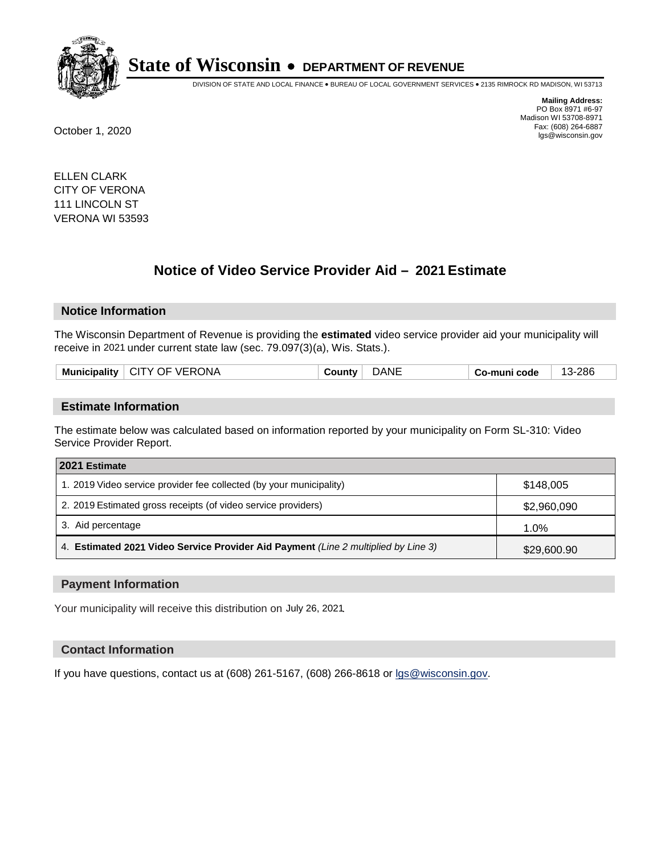

DIVISION OF STATE AND LOCAL FINANCE • BUREAU OF LOCAL GOVERNMENT SERVICES • 2135 RIMROCK RD MADISON, WI 53713

**Mailing Address:** PO Box 8971 #6-97 Madison WI 53708-8971<br>Fax: (608) 264-6887 Fax: (608) 264-6887 October 1, 2020 lgs@wisconsin.gov

ELLEN CLARK CITY OF VERONA 111 LINCOLN ST VERONA WI 53593

# **Notice of Video Service Provider Aid - 2021 Estimate**

## **Notice Information**

The Wisconsin Department of Revenue is providing the **estimated** video service provider aid your municipality will receive in 2021 under current state law (sec. 79.097(3)(a), Wis. Stats.).

| Municipality   CITY OF VERONA<br>DANE<br>-286<br>⊹ ountvٽ<br>Co-muni code |
|---------------------------------------------------------------------------|
|---------------------------------------------------------------------------|

#### **Estimate Information**

The estimate below was calculated based on information reported by your municipality on Form SL-310: Video Service Provider Report.

| 2021 Estimate                                                                      |             |
|------------------------------------------------------------------------------------|-------------|
| 1. 2019 Video service provider fee collected (by your municipality)                | \$148,005   |
| 2. 2019 Estimated gross receipts (of video service providers)                      | \$2,960,090 |
| 3. Aid percentage                                                                  | 1.0%        |
| 4. Estimated 2021 Video Service Provider Aid Payment (Line 2 multiplied by Line 3) | \$29,600.90 |

#### **Payment Information**

Your municipality will receive this distribution on July 26, 2021.

## **Contact Information**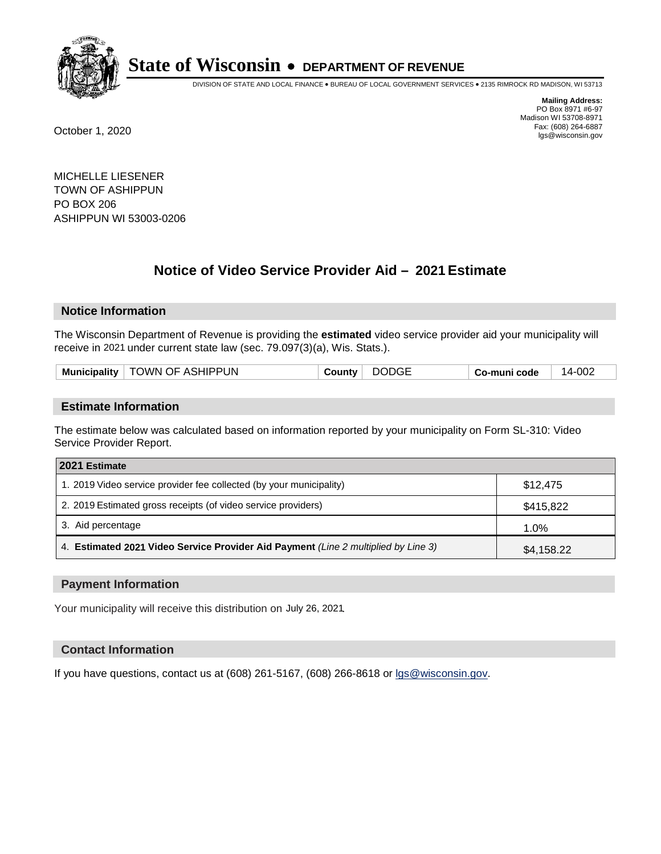

DIVISION OF STATE AND LOCAL FINANCE • BUREAU OF LOCAL GOVERNMENT SERVICES • 2135 RIMROCK RD MADISON, WI 53713

**Mailing Address:** PO Box 8971 #6-97 Madison WI 53708-8971<br>Fax: (608) 264-6887 Fax: (608) 264-6887 October 1, 2020 lgs@wisconsin.gov

MICHELLE LIESENER TOWN OF ASHIPPUN PO BOX 206 ASHIPPUN WI 53003-0206

# **Notice of Video Service Provider Aid - 2021 Estimate**

## **Notice Information**

The Wisconsin Department of Revenue is providing the **estimated** video service provider aid your municipality will receive in 2021 under current state law (sec. 79.097(3)(a), Wis. Stats.).

| Municipality   TOWN OF ASHIPPUN | DODGE<br>County | Co-muni code | 14-002 |
|---------------------------------|-----------------|--------------|--------|
|---------------------------------|-----------------|--------------|--------|

#### **Estimate Information**

The estimate below was calculated based on information reported by your municipality on Form SL-310: Video Service Provider Report.

| 2021 Estimate                                                                      |            |
|------------------------------------------------------------------------------------|------------|
| 1. 2019 Video service provider fee collected (by your municipality)                | \$12,475   |
| 2. 2019 Estimated gross receipts (of video service providers)                      | \$415,822  |
| 3. Aid percentage                                                                  | 1.0%       |
| 4. Estimated 2021 Video Service Provider Aid Payment (Line 2 multiplied by Line 3) | \$4,158.22 |

#### **Payment Information**

Your municipality will receive this distribution on July 26, 2021.

## **Contact Information**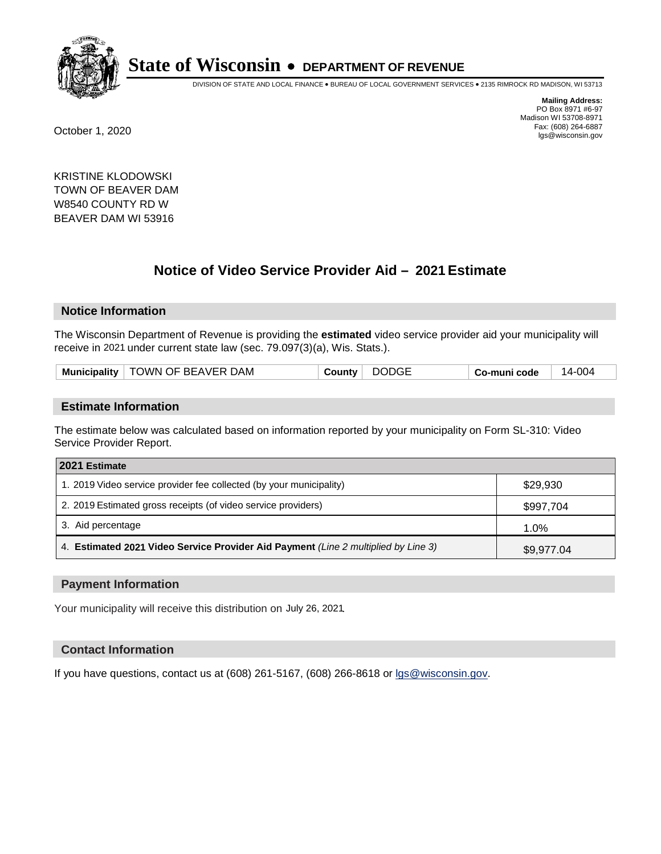

DIVISION OF STATE AND LOCAL FINANCE • BUREAU OF LOCAL GOVERNMENT SERVICES • 2135 RIMROCK RD MADISON, WI 53713

**Mailing Address:** PO Box 8971 #6-97 Madison WI 53708-8971<br>Fax: (608) 264-6887 Fax: (608) 264-6887 October 1, 2020 lgs@wisconsin.gov

KRISTINE KLODOWSKI TOWN OF BEAVER DAM W8540 COUNTY RD W BEAVER DAM WI 53916

# **Notice of Video Service Provider Aid - 2021 Estimate**

# **Notice Information**

The Wisconsin Department of Revenue is providing the **estimated** video service provider aid your municipality will receive in 2021 under current state law (sec. 79.097(3)(a), Wis. Stats.).

| TOWN OF BEAVER DAM<br><b>Municipality</b> | <b>DODGE</b><br><b>′ count</b> vٽ | Co-muni code | 14-004 |
|-------------------------------------------|-----------------------------------|--------------|--------|
|-------------------------------------------|-----------------------------------|--------------|--------|

#### **Estimate Information**

The estimate below was calculated based on information reported by your municipality on Form SL-310: Video Service Provider Report.

| 2021 Estimate                                                                      |            |
|------------------------------------------------------------------------------------|------------|
| 1. 2019 Video service provider fee collected (by your municipality)                | \$29,930   |
| 2. 2019 Estimated gross receipts (of video service providers)                      | \$997,704  |
| 3. Aid percentage                                                                  | 1.0%       |
| 4. Estimated 2021 Video Service Provider Aid Payment (Line 2 multiplied by Line 3) | \$9,977.04 |

#### **Payment Information**

Your municipality will receive this distribution on July 26, 2021.

## **Contact Information**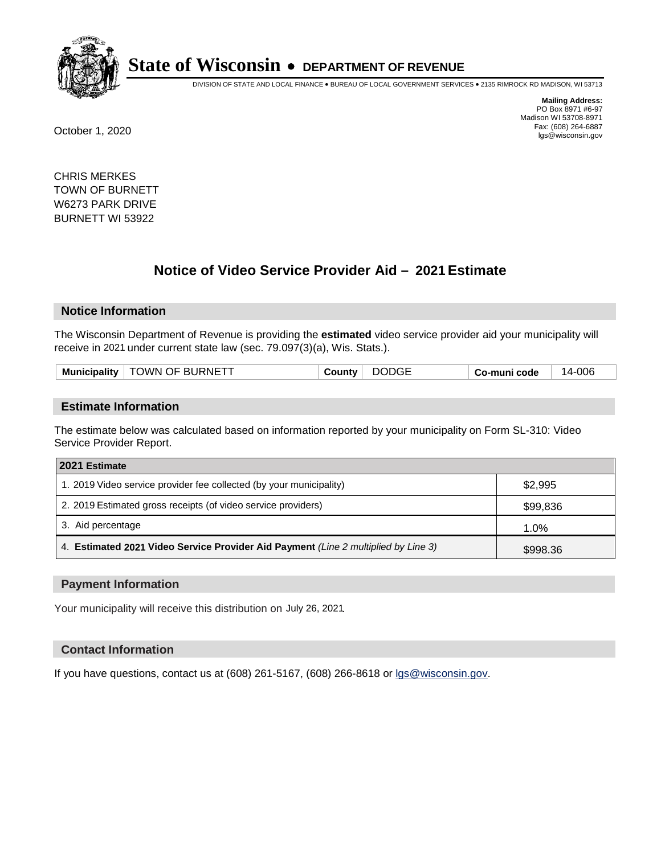

DIVISION OF STATE AND LOCAL FINANCE • BUREAU OF LOCAL GOVERNMENT SERVICES • 2135 RIMROCK RD MADISON, WI 53713

**Mailing Address:** PO Box 8971 #6-97 Madison WI 53708-8971<br>Fax: (608) 264-6887 Fax: (608) 264-6887 October 1, 2020 lgs@wisconsin.gov

CHRIS MERKES TOWN OF BURNETT W6273 PARK DRIVE BURNETT WI 53922

# **Notice of Video Service Provider Aid - 2021 Estimate**

## **Notice Information**

The Wisconsin Department of Revenue is providing the **estimated** video service provider aid your municipality will receive in 2021 under current state law (sec. 79.097(3)(a), Wis. Stats.).

| Municipality | <b>TOWN OF BURNETT</b> | ∵ountvٽ | <b>DODGE</b> | co-muni code ت | 14-006 |
|--------------|------------------------|---------|--------------|----------------|--------|
|              |                        |         |              |                |        |

#### **Estimate Information**

The estimate below was calculated based on information reported by your municipality on Form SL-310: Video Service Provider Report.

| 2021 Estimate                                                                      |          |
|------------------------------------------------------------------------------------|----------|
| 1. 2019 Video service provider fee collected (by your municipality)                | \$2.995  |
| 2. 2019 Estimated gross receipts (of video service providers)                      | \$99,836 |
| 3. Aid percentage                                                                  | 1.0%     |
| 4. Estimated 2021 Video Service Provider Aid Payment (Line 2 multiplied by Line 3) | \$998.36 |

#### **Payment Information**

Your municipality will receive this distribution on July 26, 2021.

## **Contact Information**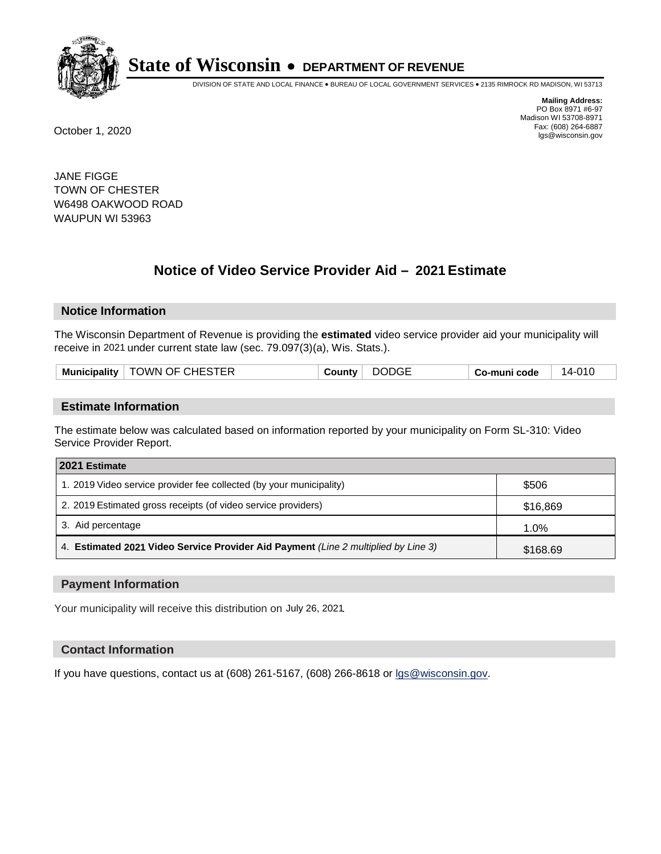

DIVISION OF STATE AND LOCAL FINANCE • BUREAU OF LOCAL GOVERNMENT SERVICES • 2135 RIMROCK RD MADISON, WI 53713

**Mailing Address:** PO Box 8971 #6-97 Madison WI 53708-8971<br>Fax: (608) 264-6887 Fax: (608) 264-6887 October 1, 2020 lgs@wisconsin.gov

JANE FIGGE TOWN OF CHESTER W6498 OAKWOOD ROAD WAUPUN WI 53963

# **Notice of Video Service Provider Aid - 2021 Estimate**

# **Notice Information**

The Wisconsin Department of Revenue is providing the **estimated** video service provider aid your municipality will receive in 2021 under current state law (sec. 79.097(3)(a), Wis. Stats.).

| Municipality | TOWN OF CHESTER | <b>′ ounty</b> ت | <b>DODGE</b> | o-muni code، ن | 14-010 |
|--------------|-----------------|------------------|--------------|----------------|--------|
|              |                 |                  |              |                |        |

#### **Estimate Information**

The estimate below was calculated based on information reported by your municipality on Form SL-310: Video Service Provider Report.

| 2021 Estimate                                                                      |          |
|------------------------------------------------------------------------------------|----------|
| 1. 2019 Video service provider fee collected (by your municipality)                | \$506    |
| 2. 2019 Estimated gross receipts (of video service providers)                      | \$16,869 |
| 3. Aid percentage                                                                  | 1.0%     |
| 4. Estimated 2021 Video Service Provider Aid Payment (Line 2 multiplied by Line 3) | \$168.69 |

#### **Payment Information**

Your municipality will receive this distribution on July 26, 2021.

## **Contact Information**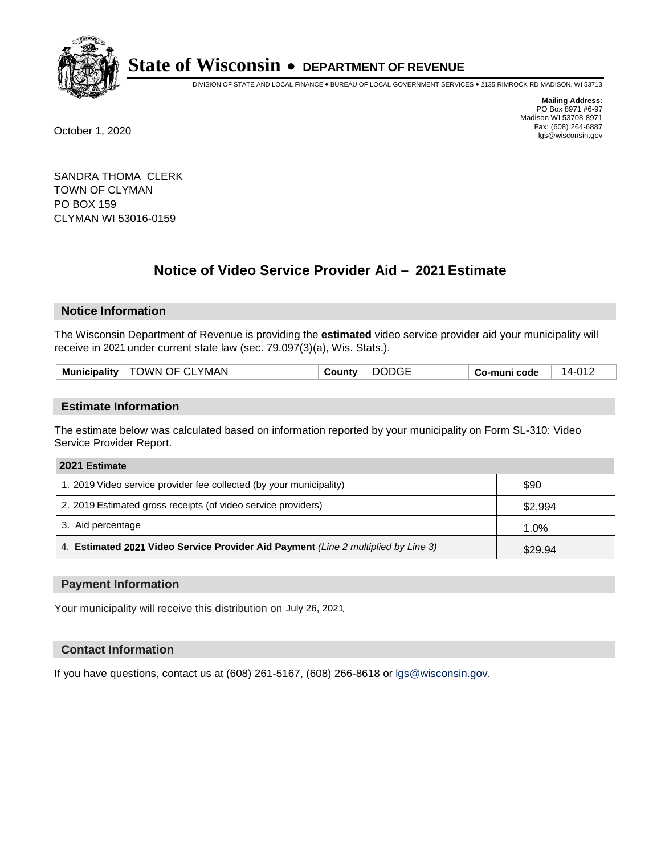

DIVISION OF STATE AND LOCAL FINANCE • BUREAU OF LOCAL GOVERNMENT SERVICES • 2135 RIMROCK RD MADISON, WI 53713

**Mailing Address:** PO Box 8971 #6-97 Madison WI 53708-8971<br>Fax: (608) 264-6887 Fax: (608) 264-6887 October 1, 2020 lgs@wisconsin.gov

SANDRA THOMA CLERK TOWN OF CLYMAN PO BOX 159 CLYMAN WI 53016-0159

# **Notice of Video Service Provider Aid - 2021 Estimate**

## **Notice Information**

The Wisconsin Department of Revenue is providing the **estimated** video service provider aid your municipality will receive in 2021 under current state law (sec. 79.097(3)(a), Wis. Stats.).

#### **Estimate Information**

The estimate below was calculated based on information reported by your municipality on Form SL-310: Video Service Provider Report.

| 2021 Estimate                                                                      |         |
|------------------------------------------------------------------------------------|---------|
| 1. 2019 Video service provider fee collected (by your municipality)                | \$90    |
| 2. 2019 Estimated gross receipts (of video service providers)                      | \$2,994 |
| 3. Aid percentage                                                                  | 1.0%    |
| 4. Estimated 2021 Video Service Provider Aid Payment (Line 2 multiplied by Line 3) | \$29.94 |

#### **Payment Information**

Your municipality will receive this distribution on July 26, 2021.

## **Contact Information**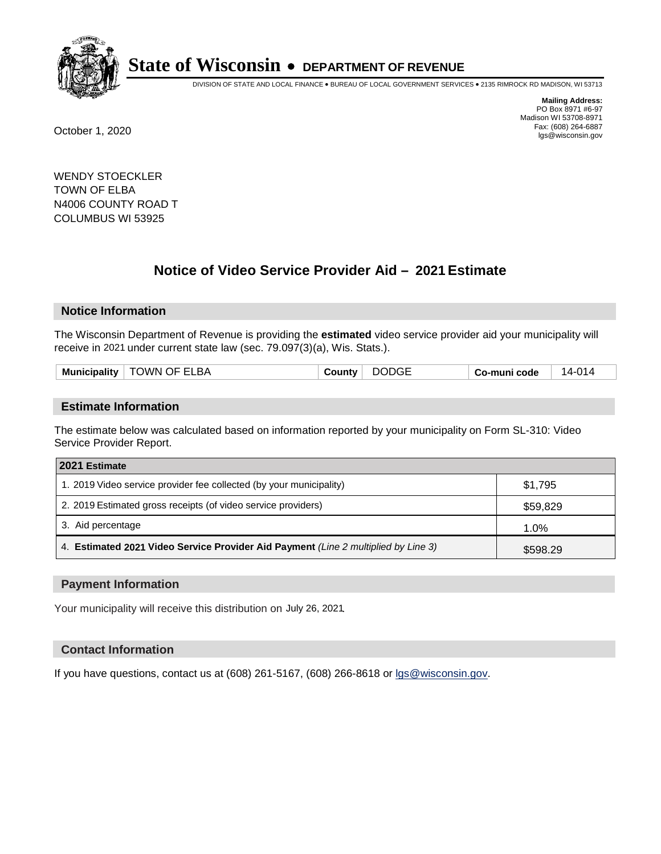

DIVISION OF STATE AND LOCAL FINANCE • BUREAU OF LOCAL GOVERNMENT SERVICES • 2135 RIMROCK RD MADISON, WI 53713

**Mailing Address:** PO Box 8971 #6-97 Madison WI 53708-8971<br>Fax: (608) 264-6887 Fax: (608) 264-6887 October 1, 2020 lgs@wisconsin.gov

WENDY STOECKLER TOWN OF ELBA N4006 COUNTY ROAD T COLUMBUS WI 53925

# **Notice of Video Service Provider Aid - 2021 Estimate**

## **Notice Information**

The Wisconsin Department of Revenue is providing the **estimated** video service provider aid your municipality will receive in 2021 under current state law (sec. 79.097(3)(a), Wis. Stats.).

|  | <b>Municipality</b> | <b>TOWN OF ELBA</b> | ∵ountvٽ | <b>DODGE</b> | Co-muni code | 14-014 |
|--|---------------------|---------------------|---------|--------------|--------------|--------|
|--|---------------------|---------------------|---------|--------------|--------------|--------|

#### **Estimate Information**

The estimate below was calculated based on information reported by your municipality on Form SL-310: Video Service Provider Report.

| 2021 Estimate                                                                      |          |
|------------------------------------------------------------------------------------|----------|
| 1. 2019 Video service provider fee collected (by your municipality)                | \$1,795  |
| 2. 2019 Estimated gross receipts (of video service providers)                      | \$59,829 |
| 3. Aid percentage                                                                  | 1.0%     |
| 4. Estimated 2021 Video Service Provider Aid Payment (Line 2 multiplied by Line 3) | \$598.29 |

#### **Payment Information**

Your municipality will receive this distribution on July 26, 2021.

## **Contact Information**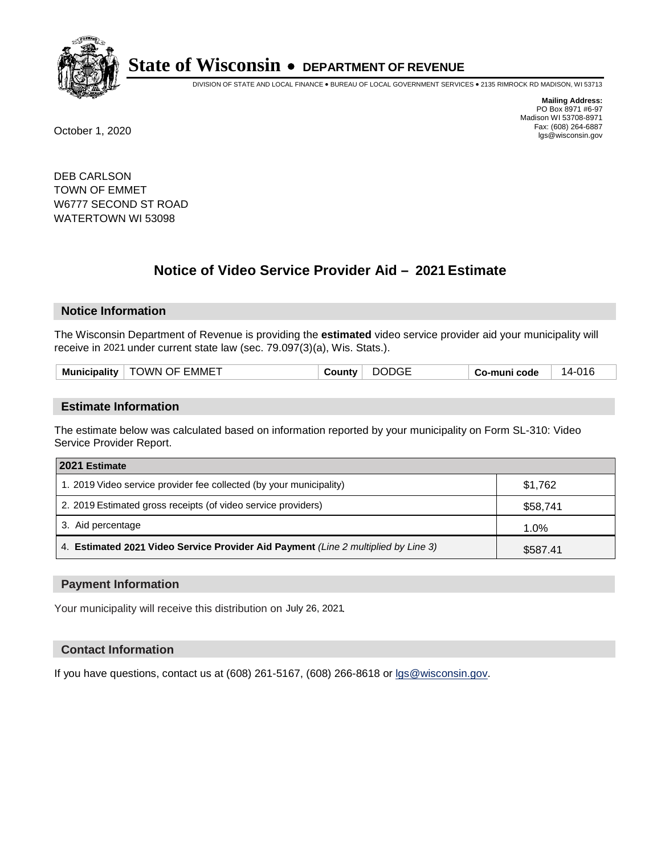

DIVISION OF STATE AND LOCAL FINANCE • BUREAU OF LOCAL GOVERNMENT SERVICES • 2135 RIMROCK RD MADISON, WI 53713

**Mailing Address:** PO Box 8971 #6-97 Madison WI 53708-8971<br>Fax: (608) 264-6887 Fax: (608) 264-6887 October 1, 2020 lgs@wisconsin.gov

DEB CARLSON TOWN OF EMMET W6777 SECOND ST ROAD WATERTOWN WI 53098

# **Notice of Video Service Provider Aid - 2021 Estimate**

## **Notice Information**

The Wisconsin Department of Revenue is providing the **estimated** video service provider aid your municipality will receive in 2021 under current state law (sec. 79.097(3)(a), Wis. Stats.).

|--|

#### **Estimate Information**

The estimate below was calculated based on information reported by your municipality on Form SL-310: Video Service Provider Report.

| 2021 Estimate                                                                      |          |
|------------------------------------------------------------------------------------|----------|
| 1. 2019 Video service provider fee collected (by your municipality)                | \$1,762  |
| 2. 2019 Estimated gross receipts (of video service providers)                      | \$58,741 |
| 3. Aid percentage                                                                  | 1.0%     |
| 4. Estimated 2021 Video Service Provider Aid Payment (Line 2 multiplied by Line 3) | \$587.41 |

#### **Payment Information**

Your municipality will receive this distribution on July 26, 2021.

## **Contact Information**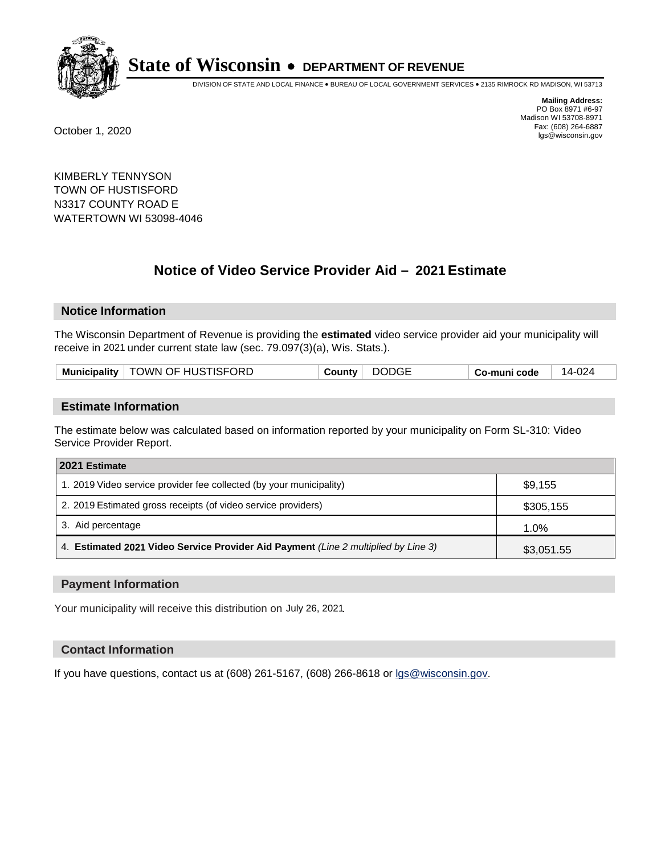

DIVISION OF STATE AND LOCAL FINANCE • BUREAU OF LOCAL GOVERNMENT SERVICES • 2135 RIMROCK RD MADISON, WI 53713

**Mailing Address:** PO Box 8971 #6-97 Madison WI 53708-8971<br>Fax: (608) 264-6887 Fax: (608) 264-6887 October 1, 2020 lgs@wisconsin.gov

KIMBERLY TENNYSON TOWN OF HUSTISFORD N3317 COUNTY ROAD E WATERTOWN WI 53098-4046

# **Notice of Video Service Provider Aid - 2021 Estimate**

## **Notice Information**

The Wisconsin Department of Revenue is providing the **estimated** video service provider aid your municipality will receive in 2021 under current state law (sec. 79.097(3)(a), Wis. Stats.).

| Municipality   TOWN OF HUSTISFORD<br>County | DODGE | Co-muni code | 14-024 |
|---------------------------------------------|-------|--------------|--------|
|---------------------------------------------|-------|--------------|--------|

#### **Estimate Information**

The estimate below was calculated based on information reported by your municipality on Form SL-310: Video Service Provider Report.

| 2021 Estimate                                                                      |            |
|------------------------------------------------------------------------------------|------------|
| 1. 2019 Video service provider fee collected (by your municipality)                | \$9,155    |
| 2. 2019 Estimated gross receipts (of video service providers)                      | \$305,155  |
| 3. Aid percentage                                                                  | 1.0%       |
| 4. Estimated 2021 Video Service Provider Aid Payment (Line 2 multiplied by Line 3) | \$3,051.55 |

#### **Payment Information**

Your municipality will receive this distribution on July 26, 2021.

## **Contact Information**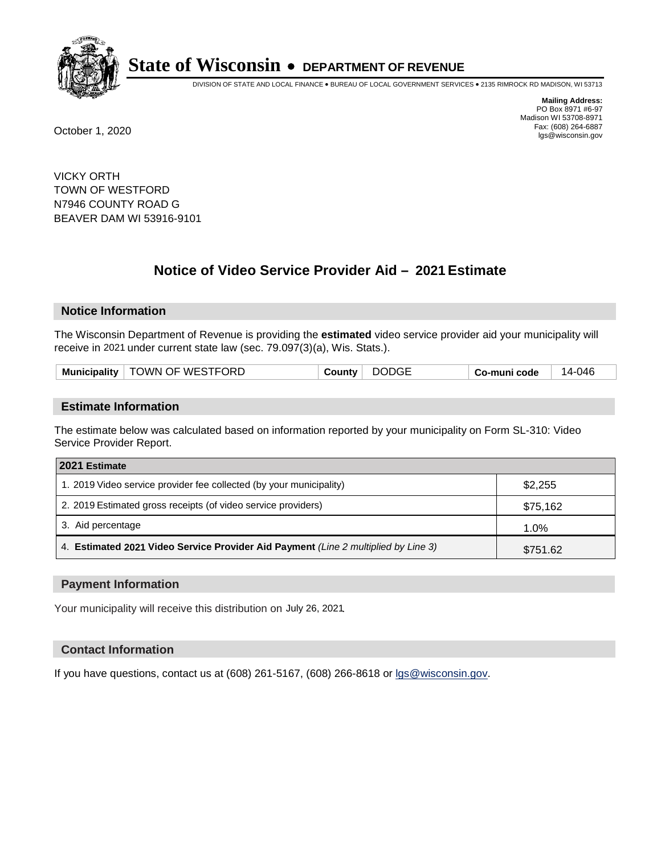

DIVISION OF STATE AND LOCAL FINANCE • BUREAU OF LOCAL GOVERNMENT SERVICES • 2135 RIMROCK RD MADISON, WI 53713

**Mailing Address:** PO Box 8971 #6-97 Madison WI 53708-8971<br>Fax: (608) 264-6887 Fax: (608) 264-6887 October 1, 2020 lgs@wisconsin.gov

VICKY ORTH TOWN OF WESTFORD N7946 COUNTY ROAD G BEAVER DAM WI 53916-9101

# **Notice of Video Service Provider Aid - 2021 Estimate**

# **Notice Information**

The Wisconsin Department of Revenue is providing the **estimated** video service provider aid your municipality will receive in 2021 under current state law (sec. 79.097(3)(a), Wis. Stats.).

| Municipality   TOWN OF WESTFORD | <b>DODGE</b><br>County | Co-muni code | 14-046 |
|---------------------------------|------------------------|--------------|--------|
|---------------------------------|------------------------|--------------|--------|

#### **Estimate Information**

The estimate below was calculated based on information reported by your municipality on Form SL-310: Video Service Provider Report.

| 2021 Estimate                                                                      |          |
|------------------------------------------------------------------------------------|----------|
| 1. 2019 Video service provider fee collected (by your municipality)                | \$2,255  |
| 2. 2019 Estimated gross receipts (of video service providers)                      | \$75,162 |
| 3. Aid percentage                                                                  | 1.0%     |
| 4. Estimated 2021 Video Service Provider Aid Payment (Line 2 multiplied by Line 3) | \$751.62 |

#### **Payment Information**

Your municipality will receive this distribution on July 26, 2021.

## **Contact Information**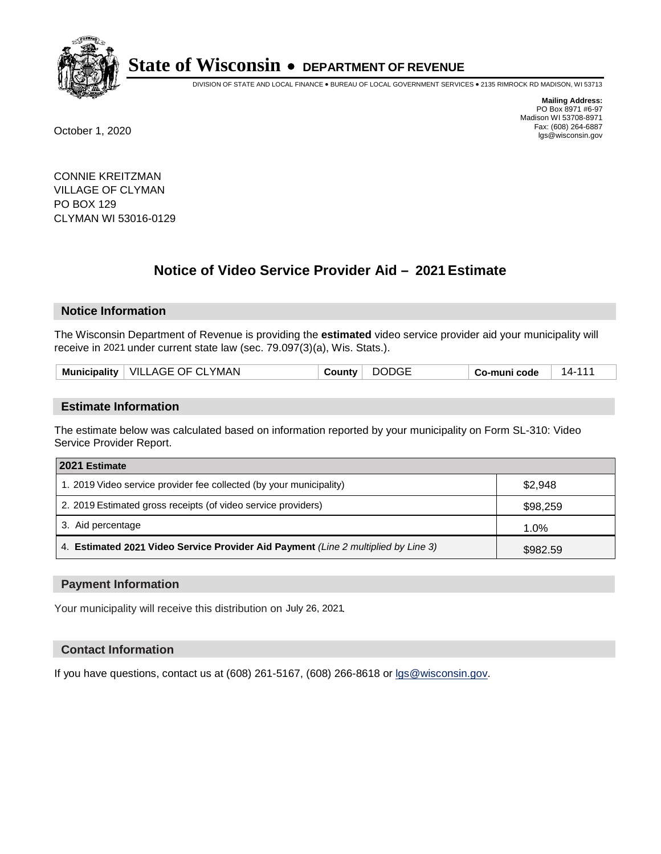

DIVISION OF STATE AND LOCAL FINANCE • BUREAU OF LOCAL GOVERNMENT SERVICES • 2135 RIMROCK RD MADISON, WI 53713

**Mailing Address:** PO Box 8971 #6-97 Madison WI 53708-8971<br>Fax: (608) 264-6887 Fax: (608) 264-6887 October 1, 2020 lgs@wisconsin.gov

CONNIE KREITZMAN VILLAGE OF CLYMAN PO BOX 129 CLYMAN WI 53016-0129

# **Notice of Video Service Provider Aid - 2021 Estimate**

## **Notice Information**

The Wisconsin Department of Revenue is providing the **estimated** video service provider aid your municipality will receive in 2021 under current state law (sec. 79.097(3)(a), Wis. Stats.).

| <b>DODGE</b><br>Municipality   VILLAGE OF CLYMAN<br>14-111<br>Countv<br>Co-muni code |  |
|--------------------------------------------------------------------------------------|--|
|--------------------------------------------------------------------------------------|--|

#### **Estimate Information**

The estimate below was calculated based on information reported by your municipality on Form SL-310: Video Service Provider Report.

| 2021 Estimate                                                                      |          |
|------------------------------------------------------------------------------------|----------|
| 1. 2019 Video service provider fee collected (by your municipality)                | \$2,948  |
| 2. 2019 Estimated gross receipts (of video service providers)                      | \$98,259 |
| 3. Aid percentage                                                                  | 1.0%     |
| 4. Estimated 2021 Video Service Provider Aid Payment (Line 2 multiplied by Line 3) | \$982.59 |

#### **Payment Information**

Your municipality will receive this distribution on July 26, 2021.

## **Contact Information**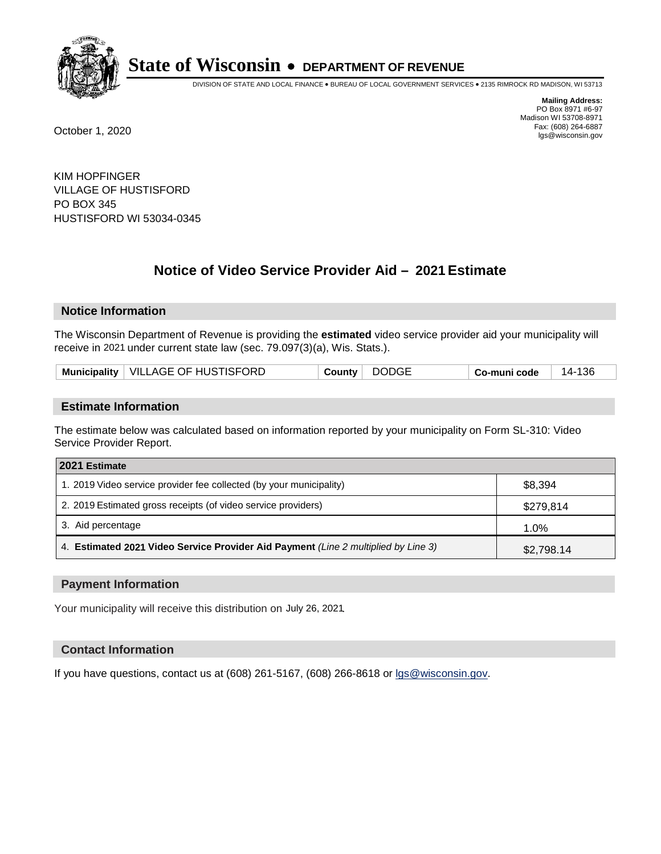

DIVISION OF STATE AND LOCAL FINANCE • BUREAU OF LOCAL GOVERNMENT SERVICES • 2135 RIMROCK RD MADISON, WI 53713

**Mailing Address:** PO Box 8971 #6-97 Madison WI 53708-8971<br>Fax: (608) 264-6887 Fax: (608) 264-6887 October 1, 2020 lgs@wisconsin.gov

KIM HOPFINGER VILLAGE OF HUSTISFORD PO BOX 345 HUSTISFORD WI 53034-0345

# **Notice of Video Service Provider Aid - 2021 Estimate**

## **Notice Information**

The Wisconsin Department of Revenue is providing the **estimated** video service provider aid your municipality will receive in 2021 under current state law (sec. 79.097(3)(a), Wis. Stats.).

| Municipality   VILLAGE OF HUSTISFORD<br><b>DODGE</b><br>·136<br>Co-muni code<br>√ounty ت |
|------------------------------------------------------------------------------------------|
|------------------------------------------------------------------------------------------|

#### **Estimate Information**

The estimate below was calculated based on information reported by your municipality on Form SL-310: Video Service Provider Report.

| 2021 Estimate                                                                      |            |
|------------------------------------------------------------------------------------|------------|
| 1. 2019 Video service provider fee collected (by your municipality)                | \$8,394    |
| 2. 2019 Estimated gross receipts (of video service providers)                      | \$279,814  |
| 3. Aid percentage                                                                  | 1.0%       |
| 4. Estimated 2021 Video Service Provider Aid Payment (Line 2 multiplied by Line 3) | \$2,798.14 |

#### **Payment Information**

Your municipality will receive this distribution on July 26, 2021.

## **Contact Information**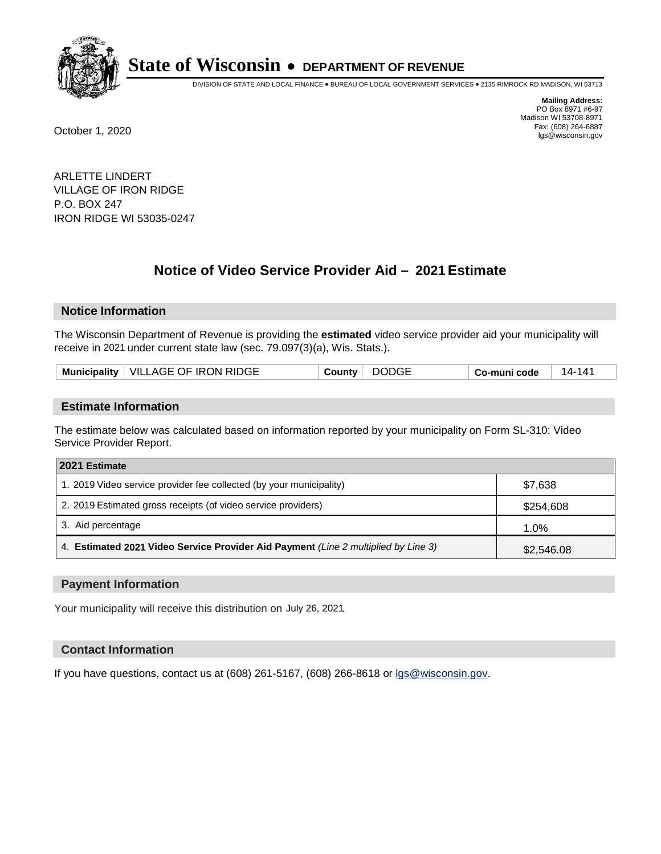

DIVISION OF STATE AND LOCAL FINANCE • BUREAU OF LOCAL GOVERNMENT SERVICES • 2135 RIMROCK RD MADISON, WI 53713

**Mailing Address:** PO Box 8971 #6-97 Madison WI 53708-8971<br>Fax: (608) 264-6887 Fax: (608) 264-6887 October 1, 2020 lgs@wisconsin.gov

ARLETTE LINDERT VILLAGE OF IRON RIDGE P.O. BOX 247 IRON RIDGE WI 53035-0247

# **Notice of Video Service Provider Aid - 2021 Estimate**

## **Notice Information**

The Wisconsin Department of Revenue is providing the **estimated** video service provider aid your municipality will receive in 2021 under current state law (sec. 79.097(3)(a), Wis. Stats.).

| Municipality   VILLAGE OF IRON RIDGE<br><b>DODGE</b><br>County<br>14-141<br>∣ Co-muni code |
|--------------------------------------------------------------------------------------------|
|--------------------------------------------------------------------------------------------|

#### **Estimate Information**

The estimate below was calculated based on information reported by your municipality on Form SL-310: Video Service Provider Report.

| 2021 Estimate                                                                      |            |
|------------------------------------------------------------------------------------|------------|
| 1. 2019 Video service provider fee collected (by your municipality)                | \$7,638    |
| 2. 2019 Estimated gross receipts (of video service providers)                      | \$254,608  |
| 3. Aid percentage                                                                  | 1.0%       |
| 4. Estimated 2021 Video Service Provider Aid Payment (Line 2 multiplied by Line 3) | \$2,546.08 |

#### **Payment Information**

Your municipality will receive this distribution on July 26, 2021.

## **Contact Information**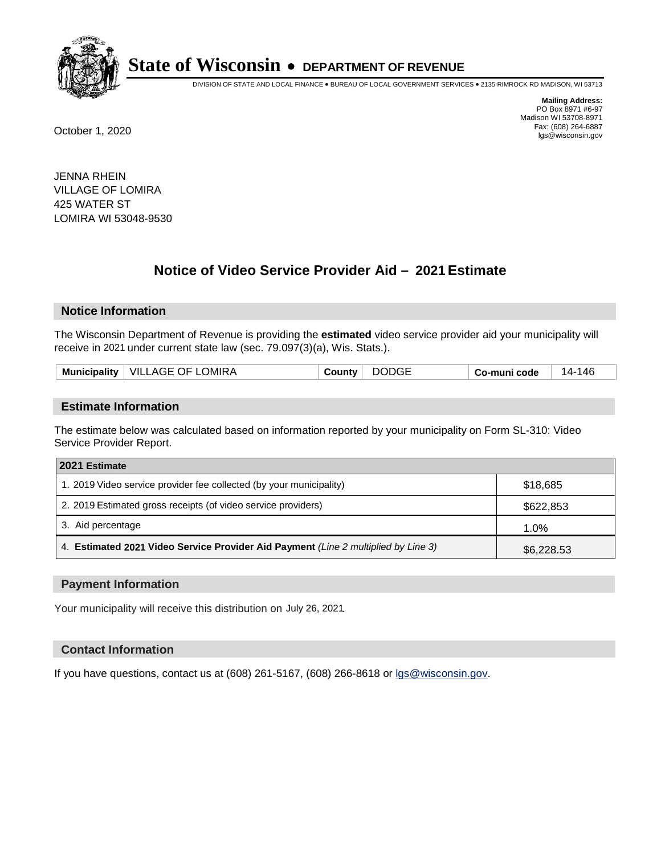

DIVISION OF STATE AND LOCAL FINANCE • BUREAU OF LOCAL GOVERNMENT SERVICES • 2135 RIMROCK RD MADISON, WI 53713

**Mailing Address:** PO Box 8971 #6-97 Madison WI 53708-8971<br>Fax: (608) 264-6887 Fax: (608) 264-6887 October 1, 2020 lgs@wisconsin.gov

JENNA RHEIN VILLAGE OF LOMIRA 425 WATER ST LOMIRA WI 53048-9530

# **Notice of Video Service Provider Aid - 2021 Estimate**

## **Notice Information**

The Wisconsin Department of Revenue is providing the **estimated** video service provider aid your municipality will receive in 2021 under current state law (sec. 79.097(3)(a), Wis. Stats.).

|  | Municipality   VILLAGE OF LOMIRA | <b>DODGE</b><br>County | 14-146<br>Co-muni code |
|--|----------------------------------|------------------------|------------------------|
|--|----------------------------------|------------------------|------------------------|

#### **Estimate Information**

The estimate below was calculated based on information reported by your municipality on Form SL-310: Video Service Provider Report.

| 2021 Estimate                                                                      |            |
|------------------------------------------------------------------------------------|------------|
| 1. 2019 Video service provider fee collected (by your municipality)                | \$18,685   |
| 2. 2019 Estimated gross receipts (of video service providers)                      | \$622,853  |
| 3. Aid percentage                                                                  | 1.0%       |
| 4. Estimated 2021 Video Service Provider Aid Payment (Line 2 multiplied by Line 3) | \$6,228.53 |

#### **Payment Information**

Your municipality will receive this distribution on July 26, 2021.

## **Contact Information**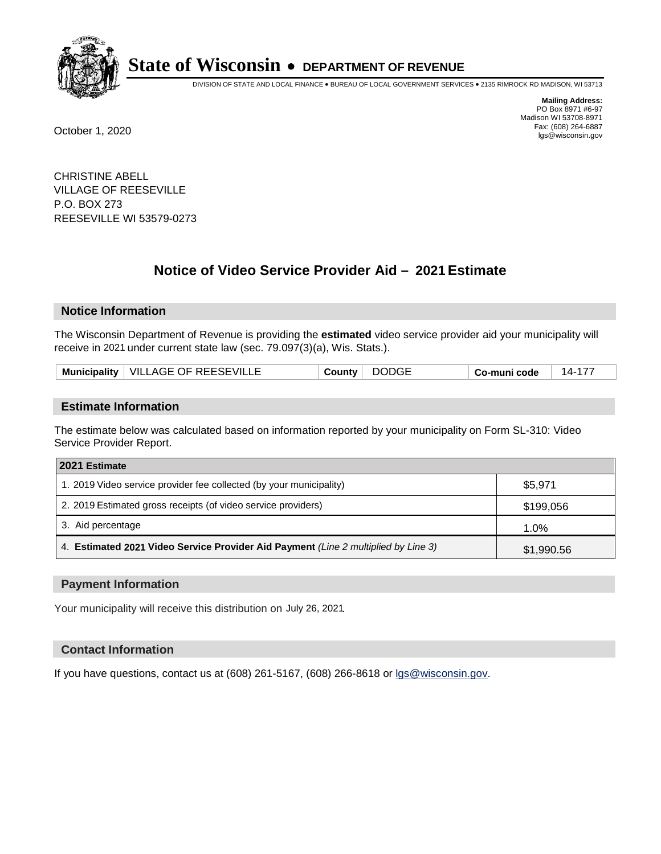

DIVISION OF STATE AND LOCAL FINANCE • BUREAU OF LOCAL GOVERNMENT SERVICES • 2135 RIMROCK RD MADISON, WI 53713

**Mailing Address:** PO Box 8971 #6-97 Madison WI 53708-8971<br>Fax: (608) 264-6887 Fax: (608) 264-6887 October 1, 2020 lgs@wisconsin.gov

CHRISTINE ABELL VILLAGE OF REESEVILLE P.O. BOX 273 REESEVILLE WI 53579-0273

# **Notice of Video Service Provider Aid - 2021 Estimate**

## **Notice Information**

The Wisconsin Department of Revenue is providing the **estimated** video service provider aid your municipality will receive in 2021 under current state law (sec. 79.097(3)(a), Wis. Stats.).

| Municipality   VILLAGE OF REESEVILLE | <b>DODGE</b><br>County | $14 - 17$<br>Co-muni code |
|--------------------------------------|------------------------|---------------------------|
|--------------------------------------|------------------------|---------------------------|

#### **Estimate Information**

The estimate below was calculated based on information reported by your municipality on Form SL-310: Video Service Provider Report.

| 2021 Estimate                                                                      |            |
|------------------------------------------------------------------------------------|------------|
| 1. 2019 Video service provider fee collected (by your municipality)                | \$5,971    |
| 2. 2019 Estimated gross receipts (of video service providers)                      | \$199,056  |
| 3. Aid percentage                                                                  | 1.0%       |
| 4. Estimated 2021 Video Service Provider Aid Payment (Line 2 multiplied by Line 3) | \$1,990.56 |

#### **Payment Information**

Your municipality will receive this distribution on July 26, 2021.

## **Contact Information**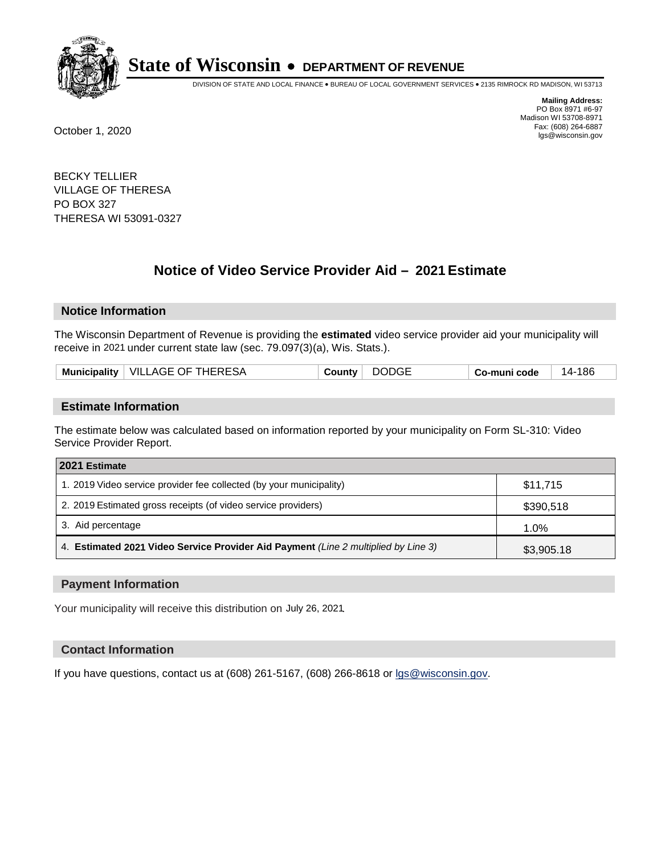

DIVISION OF STATE AND LOCAL FINANCE • BUREAU OF LOCAL GOVERNMENT SERVICES • 2135 RIMROCK RD MADISON, WI 53713

**Mailing Address:** PO Box 8971 #6-97 Madison WI 53708-8971<br>Fax: (608) 264-6887 Fax: (608) 264-6887 October 1, 2020 lgs@wisconsin.gov

BECKY TELLIER VILLAGE OF THERESA PO BOX 327 THERESA WI 53091-0327

# **Notice of Video Service Provider Aid - 2021 Estimate**

## **Notice Information**

The Wisconsin Department of Revenue is providing the **estimated** video service provider aid your municipality will receive in 2021 under current state law (sec. 79.097(3)(a), Wis. Stats.).

| Municipality   VILLAGE OF THERESA | <b>DODGE</b><br>Countv | ·186<br>Co-muni code<br>14- |  |
|-----------------------------------|------------------------|-----------------------------|--|
|-----------------------------------|------------------------|-----------------------------|--|

#### **Estimate Information**

The estimate below was calculated based on information reported by your municipality on Form SL-310: Video Service Provider Report.

| 2021 Estimate                                                                      |            |
|------------------------------------------------------------------------------------|------------|
| 1. 2019 Video service provider fee collected (by your municipality)                | \$11,715   |
| 2. 2019 Estimated gross receipts (of video service providers)                      | \$390,518  |
| 3. Aid percentage                                                                  | 1.0%       |
| 4. Estimated 2021 Video Service Provider Aid Payment (Line 2 multiplied by Line 3) | \$3,905.18 |

#### **Payment Information**

Your municipality will receive this distribution on July 26, 2021.

## **Contact Information**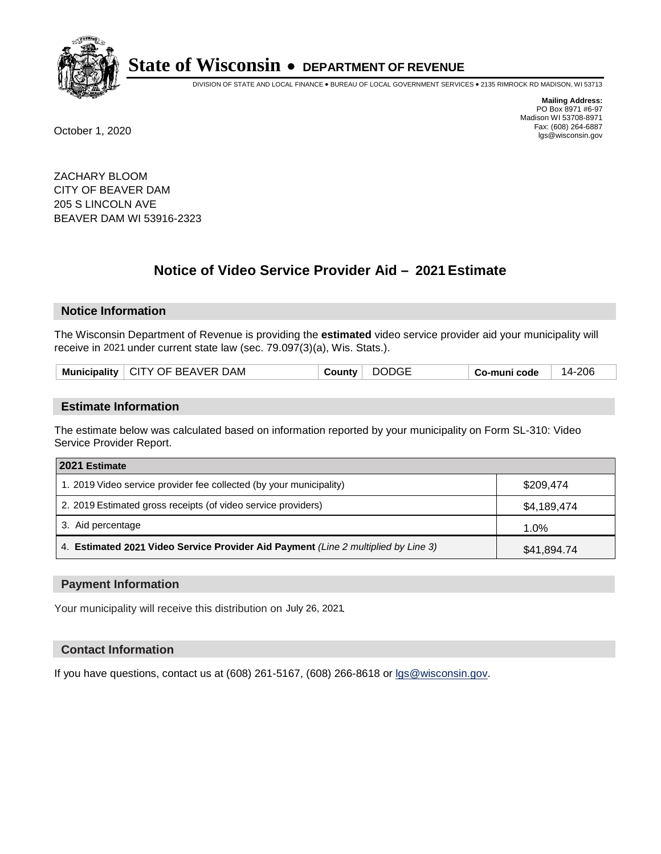

DIVISION OF STATE AND LOCAL FINANCE • BUREAU OF LOCAL GOVERNMENT SERVICES • 2135 RIMROCK RD MADISON, WI 53713

**Mailing Address:** PO Box 8971 #6-97 Madison WI 53708-8971<br>Fax: (608) 264-6887 Fax: (608) 264-6887 October 1, 2020 lgs@wisconsin.gov

ZACHARY BLOOM CITY OF BEAVER DAM 205 S LINCOLN AVE BEAVER DAM WI 53916-2323

# **Notice of Video Service Provider Aid - 2021 Estimate**

## **Notice Information**

The Wisconsin Department of Revenue is providing the **estimated** video service provider aid your municipality will receive in 2021 under current state law (sec. 79.097(3)(a), Wis. Stats.).

| Municipality   CITY OF BEAVER DAM | <b>DODGE</b><br>√ountvٽ | Co-muni code | 206<br>-14 |
|-----------------------------------|-------------------------|--------------|------------|
|-----------------------------------|-------------------------|--------------|------------|

#### **Estimate Information**

The estimate below was calculated based on information reported by your municipality on Form SL-310: Video Service Provider Report.

| 2021 Estimate                                                                      |             |
|------------------------------------------------------------------------------------|-------------|
| 1. 2019 Video service provider fee collected (by your municipality)                | \$209,474   |
| 2. 2019 Estimated gross receipts (of video service providers)                      | \$4,189,474 |
| 3. Aid percentage                                                                  | 1.0%        |
| 4. Estimated 2021 Video Service Provider Aid Payment (Line 2 multiplied by Line 3) | \$41,894.74 |

#### **Payment Information**

Your municipality will receive this distribution on July 26, 2021.

## **Contact Information**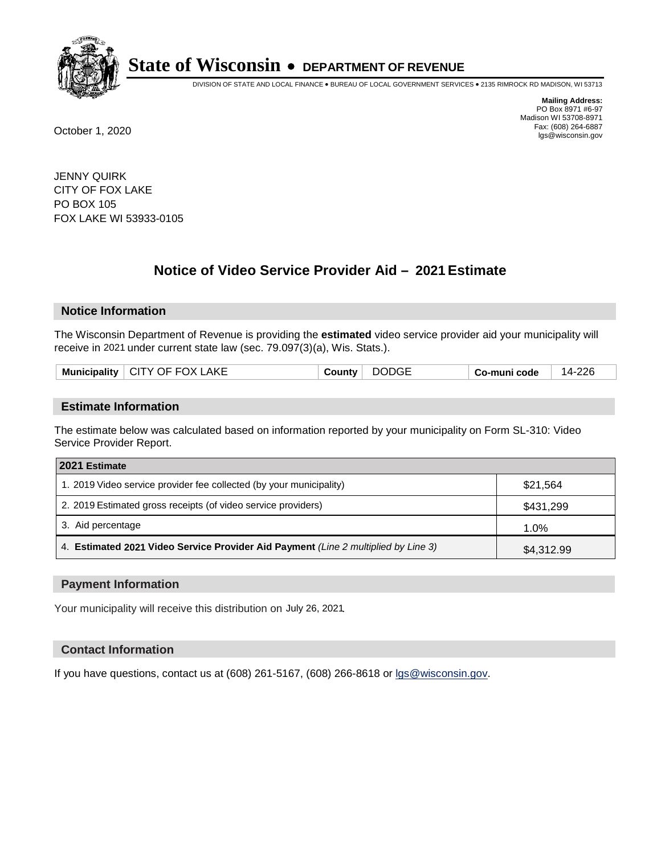

DIVISION OF STATE AND LOCAL FINANCE • BUREAU OF LOCAL GOVERNMENT SERVICES • 2135 RIMROCK RD MADISON, WI 53713

**Mailing Address:** PO Box 8971 #6-97 Madison WI 53708-8971<br>Fax: (608) 264-6887 Fax: (608) 264-6887 October 1, 2020 lgs@wisconsin.gov

JENNY QUIRK CITY OF FOX LAKE PO BOX 105 FOX LAKE WI 53933-0105

# **Notice of Video Service Provider Aid - 2021 Estimate**

## **Notice Information**

The Wisconsin Department of Revenue is providing the **estimated** video service provider aid your municipality will receive in 2021 under current state law (sec. 79.097(3)(a), Wis. Stats.).

| Municipality $\vert$ CITY OF FOX LAKE | √ounty ت | <b>DODGE</b> | Co-muni code | 14-226 |
|---------------------------------------|----------|--------------|--------------|--------|
|                                       |          |              |              |        |

#### **Estimate Information**

The estimate below was calculated based on information reported by your municipality on Form SL-310: Video Service Provider Report.

| 2021 Estimate                                                                      |            |
|------------------------------------------------------------------------------------|------------|
| 1. 2019 Video service provider fee collected (by your municipality)                | \$21,564   |
| 2. 2019 Estimated gross receipts (of video service providers)                      | \$431,299  |
| 3. Aid percentage                                                                  | 1.0%       |
| 4. Estimated 2021 Video Service Provider Aid Payment (Line 2 multiplied by Line 3) | \$4,312.99 |

#### **Payment Information**

Your municipality will receive this distribution on July 26, 2021.

## **Contact Information**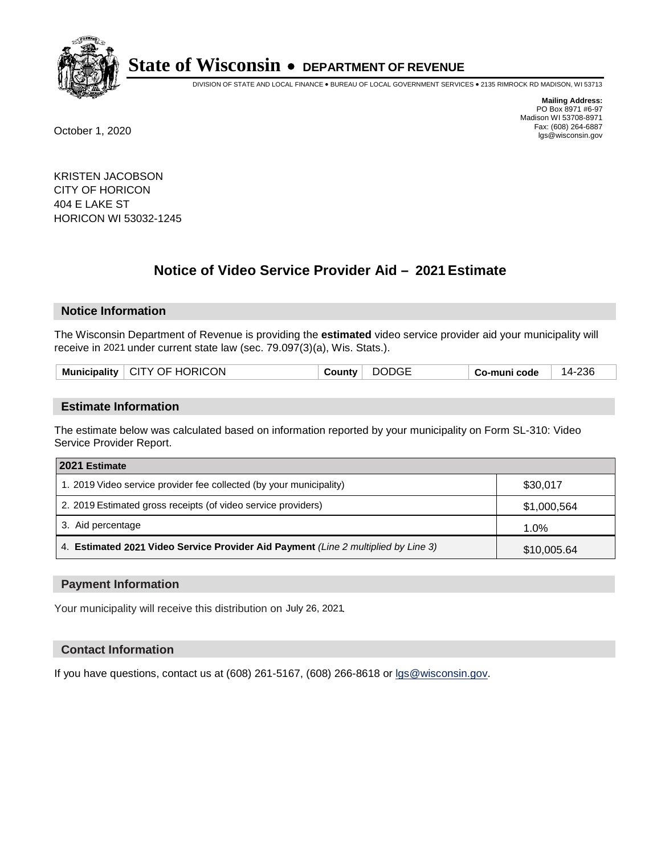

DIVISION OF STATE AND LOCAL FINANCE • BUREAU OF LOCAL GOVERNMENT SERVICES • 2135 RIMROCK RD MADISON, WI 53713

**Mailing Address:** PO Box 8971 #6-97 Madison WI 53708-8971<br>Fax: (608) 264-6887 Fax: (608) 264-6887 October 1, 2020 lgs@wisconsin.gov

KRISTEN JACOBSON CITY OF HORICON 404 E LAKE ST HORICON WI 53032-1245

# **Notice of Video Service Provider Aid - 2021 Estimate**

## **Notice Information**

The Wisconsin Department of Revenue is providing the **estimated** video service provider aid your municipality will receive in 2021 under current state law (sec. 79.097(3)(a), Wis. Stats.).

| Municipality $\vert$ CITY OF HORICON | County | <b>DODGE</b> | Co-muni code | 14-236 |
|--------------------------------------|--------|--------------|--------------|--------|
|                                      |        |              |              |        |

#### **Estimate Information**

The estimate below was calculated based on information reported by your municipality on Form SL-310: Video Service Provider Report.

| 2021 Estimate                                                                      |             |
|------------------------------------------------------------------------------------|-------------|
| 1. 2019 Video service provider fee collected (by your municipality)                | \$30,017    |
| 2. 2019 Estimated gross receipts (of video service providers)                      | \$1,000,564 |
| 3. Aid percentage                                                                  | 1.0%        |
| 4. Estimated 2021 Video Service Provider Aid Payment (Line 2 multiplied by Line 3) | \$10,005.64 |

#### **Payment Information**

Your municipality will receive this distribution on July 26, 2021.

## **Contact Information**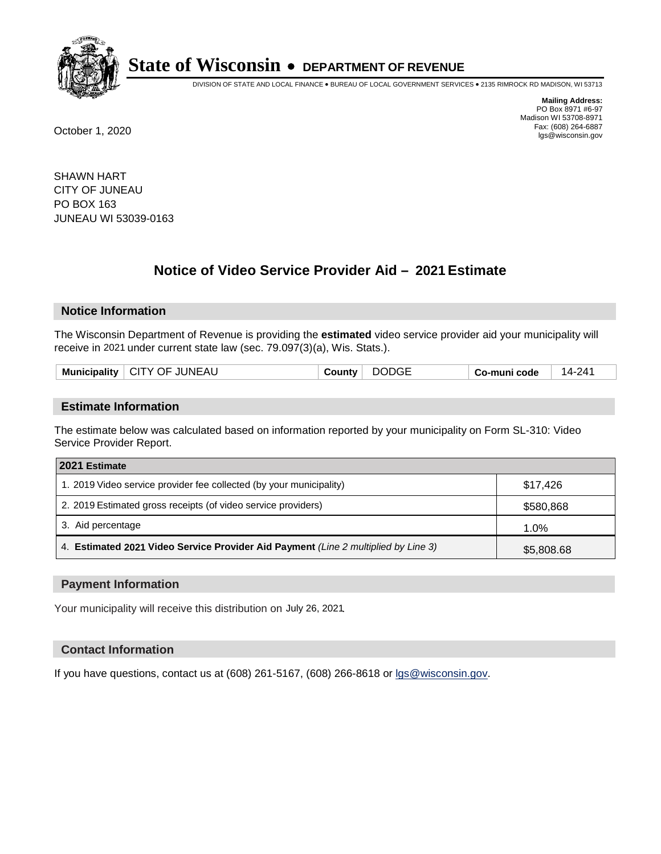

DIVISION OF STATE AND LOCAL FINANCE • BUREAU OF LOCAL GOVERNMENT SERVICES • 2135 RIMROCK RD MADISON, WI 53713

**Mailing Address:** PO Box 8971 #6-97 Madison WI 53708-8971<br>Fax: (608) 264-6887 Fax: (608) 264-6887 October 1, 2020 lgs@wisconsin.gov

SHAWN HART CITY OF JUNEAU PO BOX 163 JUNEAU WI 53039-0163

# **Notice of Video Service Provider Aid - 2021 Estimate**

## **Notice Information**

The Wisconsin Department of Revenue is providing the **estimated** video service provider aid your municipality will receive in 2021 under current state law (sec. 79.097(3)(a), Wis. Stats.).

| -AL.<br>IL INF<br><b>Muni</b><br>.)F<br>Y<br>ا ان<br>зюанту<br>$\sim$ $\sim$ $\sim$ $\sim$ $\sim$ $\sim$ $\sim$ $\sim$ | $'$ )( $\pm$<br>,, | code<br>٠.<br>--<br>- - - - - | 14-241 |
|------------------------------------------------------------------------------------------------------------------------|--------------------|-------------------------------|--------|
|                                                                                                                        |                    |                               |        |

#### **Estimate Information**

The estimate below was calculated based on information reported by your municipality on Form SL-310: Video Service Provider Report.

| 2021 Estimate                                                                      |            |
|------------------------------------------------------------------------------------|------------|
| 1. 2019 Video service provider fee collected (by your municipality)                | \$17,426   |
| 2. 2019 Estimated gross receipts (of video service providers)                      | \$580,868  |
| 3. Aid percentage                                                                  | 1.0%       |
| 4. Estimated 2021 Video Service Provider Aid Payment (Line 2 multiplied by Line 3) | \$5,808.68 |

#### **Payment Information**

Your municipality will receive this distribution on July 26, 2021.

## **Contact Information**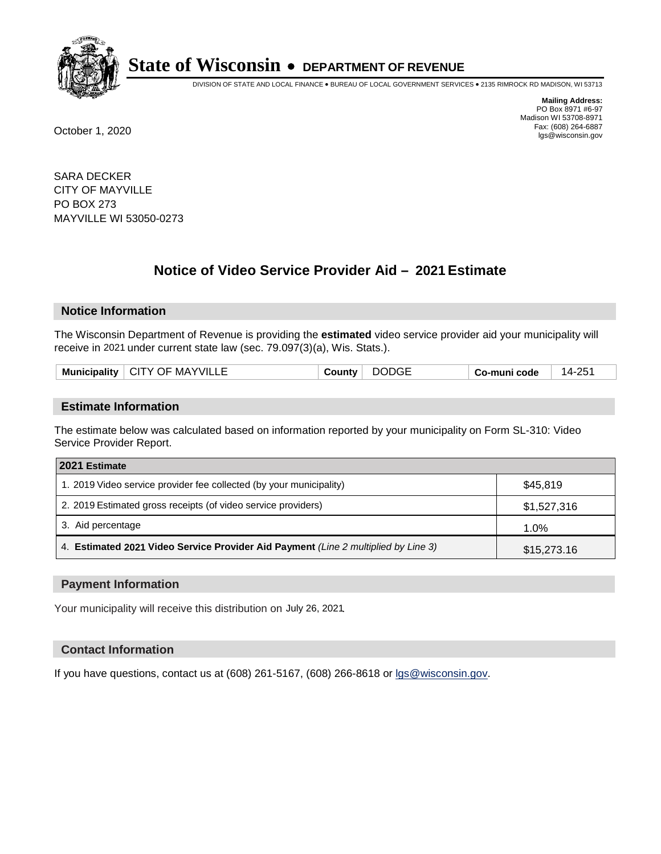

DIVISION OF STATE AND LOCAL FINANCE • BUREAU OF LOCAL GOVERNMENT SERVICES • 2135 RIMROCK RD MADISON, WI 53713

**Mailing Address:** PO Box 8971 #6-97 Madison WI 53708-8971<br>Fax: (608) 264-6887 Fax: (608) 264-6887 October 1, 2020 lgs@wisconsin.gov

SARA DECKER CITY OF MAYVILLE PO BOX 273 MAYVILLE WI 53050-0273

# **Notice of Video Service Provider Aid - 2021 Estimate**

## **Notice Information**

The Wisconsin Department of Revenue is providing the **estimated** video service provider aid your municipality will receive in 2021 under current state law (sec. 79.097(3)(a), Wis. Stats.).

| <b>Municipality</b> | ਾ⊏ MAYVIL∟∟<br>CITY OF | ountvٽ | )DGE<br>70 | code<br>Co-muni ∕ | つに<br>ز-4 |
|---------------------|------------------------|--------|------------|-------------------|-----------|
|                     |                        |        |            |                   |           |

#### **Estimate Information**

The estimate below was calculated based on information reported by your municipality on Form SL-310: Video Service Provider Report.

| 2021 Estimate                                                                      |             |
|------------------------------------------------------------------------------------|-------------|
| 1. 2019 Video service provider fee collected (by your municipality)                | \$45.819    |
| 2. 2019 Estimated gross receipts (of video service providers)                      | \$1,527,316 |
| 3. Aid percentage                                                                  | 1.0%        |
| 4. Estimated 2021 Video Service Provider Aid Payment (Line 2 multiplied by Line 3) | \$15,273.16 |

#### **Payment Information**

Your municipality will receive this distribution on July 26, 2021.

## **Contact Information**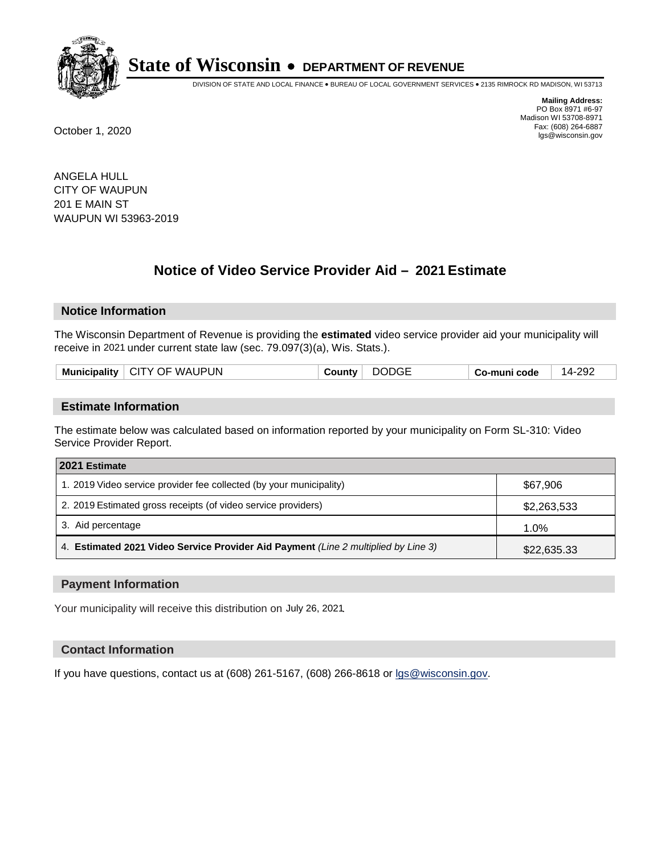

DIVISION OF STATE AND LOCAL FINANCE • BUREAU OF LOCAL GOVERNMENT SERVICES • 2135 RIMROCK RD MADISON, WI 53713

**Mailing Address:** PO Box 8971 #6-97 Madison WI 53708-8971<br>Fax: (608) 264-6887 Fax: (608) 264-6887 October 1, 2020 lgs@wisconsin.gov

ANGELA HULL CITY OF WAUPUN 201 E MAIN ST WAUPUN WI 53963-2019

# **Notice of Video Service Provider Aid - 2021 Estimate**

## **Notice Information**

The Wisconsin Department of Revenue is providing the **estimated** video service provider aid your municipality will receive in 2021 under current state law (sec. 79.097(3)(a), Wis. Stats.).

| Municipality   CITY OF WAUPUN | <b>County</b> | <b>DODGE</b> | Co-muni code | 14-292 |
|-------------------------------|---------------|--------------|--------------|--------|
|                               |               |              |              |        |

#### **Estimate Information**

The estimate below was calculated based on information reported by your municipality on Form SL-310: Video Service Provider Report.

| 2021 Estimate                                                                      |             |
|------------------------------------------------------------------------------------|-------------|
| 1. 2019 Video service provider fee collected (by your municipality)                | \$67,906    |
| 2. 2019 Estimated gross receipts (of video service providers)                      | \$2,263,533 |
| 3. Aid percentage                                                                  | 1.0%        |
| 4. Estimated 2021 Video Service Provider Aid Payment (Line 2 multiplied by Line 3) | \$22,635.33 |

#### **Payment Information**

Your municipality will receive this distribution on July 26, 2021.

## **Contact Information**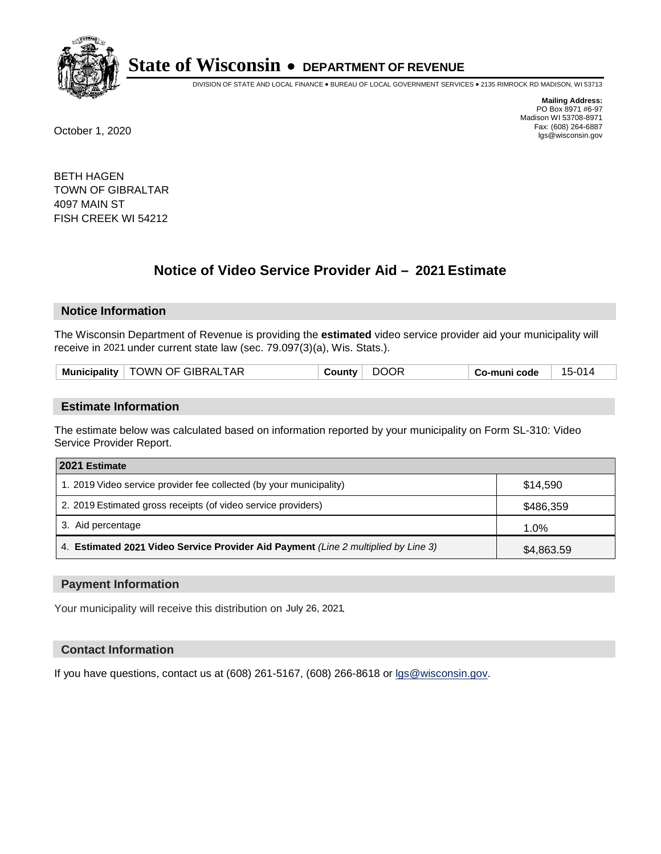

DIVISION OF STATE AND LOCAL FINANCE • BUREAU OF LOCAL GOVERNMENT SERVICES • 2135 RIMROCK RD MADISON, WI 53713

**Mailing Address:** PO Box 8971 #6-97 Madison WI 53708-8971<br>Fax: (608) 264-6887 Fax: (608) 264-6887 October 1, 2020 lgs@wisconsin.gov

BETH HAGEN TOWN OF GIBRALTAR 4097 MAIN ST FISH CREEK WI 54212

# **Notice of Video Service Provider Aid - 2021 Estimate**

## **Notice Information**

The Wisconsin Department of Revenue is providing the **estimated** video service provider aid your municipality will receive in 2021 under current state law (sec. 79.097(3)(a), Wis. Stats.).

| Municipality   TOWN OF GIBRALTAR<br><b>DOOR</b><br>15-014<br>County<br>Co-muni code |  |
|-------------------------------------------------------------------------------------|--|
|-------------------------------------------------------------------------------------|--|

#### **Estimate Information**

The estimate below was calculated based on information reported by your municipality on Form SL-310: Video Service Provider Report.

| 2021 Estimate                                                                      |            |
|------------------------------------------------------------------------------------|------------|
| 1. 2019 Video service provider fee collected (by your municipality)                | \$14.590   |
| 2. 2019 Estimated gross receipts (of video service providers)                      | \$486,359  |
| 3. Aid percentage                                                                  | 1.0%       |
| 4. Estimated 2021 Video Service Provider Aid Payment (Line 2 multiplied by Line 3) | \$4,863.59 |

#### **Payment Information**

Your municipality will receive this distribution on July 26, 2021.

## **Contact Information**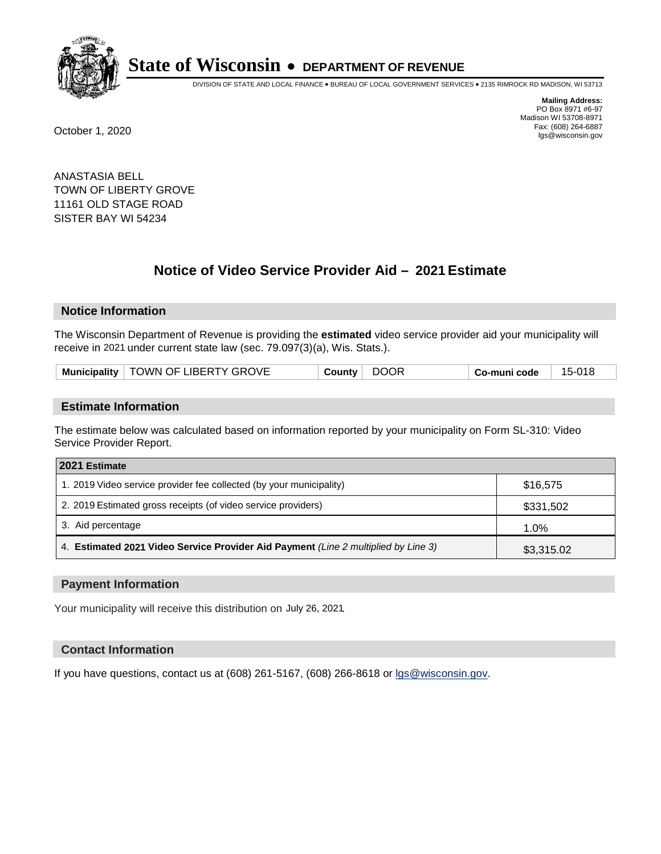

DIVISION OF STATE AND LOCAL FINANCE • BUREAU OF LOCAL GOVERNMENT SERVICES • 2135 RIMROCK RD MADISON, WI 53713

**Mailing Address:** PO Box 8971 #6-97 Madison WI 53708-8971<br>Fax: (608) 264-6887 Fax: (608) 264-6887 October 1, 2020 lgs@wisconsin.gov

ANASTASIA BELL TOWN OF LIBERTY GROVE 11161 OLD STAGE ROAD SISTER BAY WI 54234

# **Notice of Video Service Provider Aid - 2021 Estimate**

## **Notice Information**

The Wisconsin Department of Revenue is providing the **estimated** video service provider aid your municipality will receive in 2021 under current state law (sec. 79.097(3)(a), Wis. Stats.).

| Municipality   TOWN OF LIBERTY GROVE | <b>DOOR</b><br>County $\vert$ | 15-018<br>Co-muni code |  |
|--------------------------------------|-------------------------------|------------------------|--|
|--------------------------------------|-------------------------------|------------------------|--|

#### **Estimate Information**

The estimate below was calculated based on information reported by your municipality on Form SL-310: Video Service Provider Report.

| 2021 Estimate                                                                      |            |
|------------------------------------------------------------------------------------|------------|
| 1. 2019 Video service provider fee collected (by your municipality)                | \$16,575   |
| 2. 2019 Estimated gross receipts (of video service providers)                      | \$331,502  |
| 3. Aid percentage                                                                  | 1.0%       |
| 4. Estimated 2021 Video Service Provider Aid Payment (Line 2 multiplied by Line 3) | \$3,315.02 |

#### **Payment Information**

Your municipality will receive this distribution on July 26, 2021.

## **Contact Information**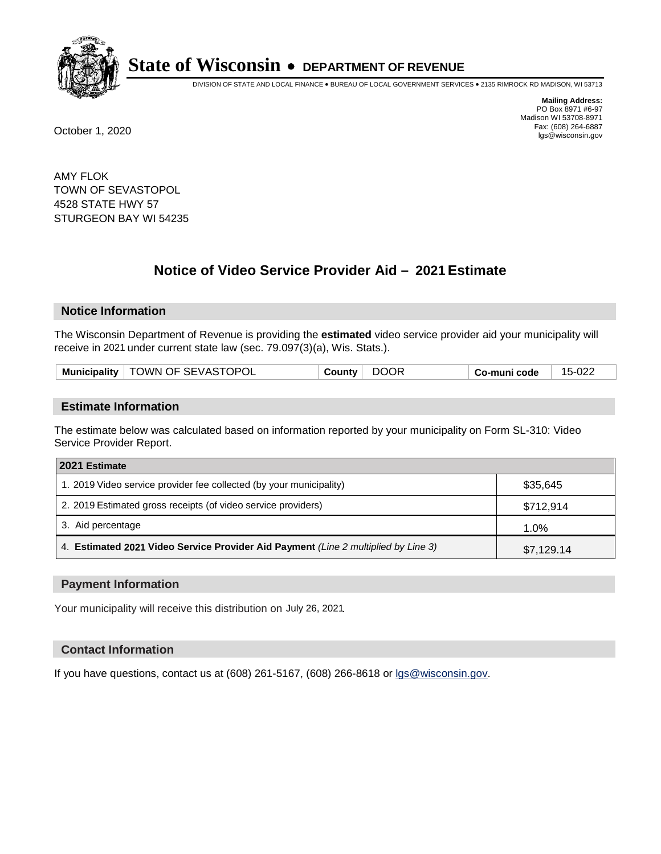

DIVISION OF STATE AND LOCAL FINANCE • BUREAU OF LOCAL GOVERNMENT SERVICES • 2135 RIMROCK RD MADISON, WI 53713

**Mailing Address:** PO Box 8971 #6-97 Madison WI 53708-8971<br>Fax: (608) 264-6887 Fax: (608) 264-6887 October 1, 2020 lgs@wisconsin.gov

AMY FLOK TOWN OF SEVASTOPOL 4528 STATE HWY 57 STURGEON BAY WI 54235

# **Notice of Video Service Provider Aid - 2021 Estimate**

## **Notice Information**

The Wisconsin Department of Revenue is providing the **estimated** video service provider aid your municipality will receive in 2021 under current state law (sec. 79.097(3)(a), Wis. Stats.).

|  | <b>Municipality</b> | <b>TOWN OF SEVASTOPOL</b> | ∵ounty ت | DOOR | o-muni codeٽ | 15-022 |
|--|---------------------|---------------------------|----------|------|--------------|--------|
|--|---------------------|---------------------------|----------|------|--------------|--------|

#### **Estimate Information**

The estimate below was calculated based on information reported by your municipality on Form SL-310: Video Service Provider Report.

| 2021 Estimate                                                                      |            |
|------------------------------------------------------------------------------------|------------|
| 1. 2019 Video service provider fee collected (by your municipality)                | \$35,645   |
| 2. 2019 Estimated gross receipts (of video service providers)                      | \$712,914  |
| 3. Aid percentage                                                                  | 1.0%       |
| 4. Estimated 2021 Video Service Provider Aid Payment (Line 2 multiplied by Line 3) | \$7,129.14 |

#### **Payment Information**

Your municipality will receive this distribution on July 26, 2021.

## **Contact Information**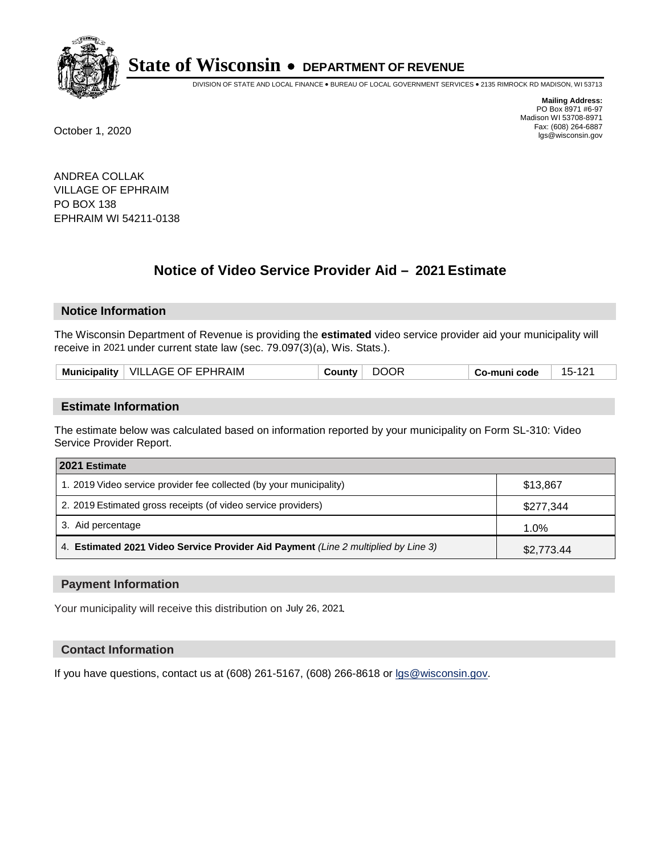

DIVISION OF STATE AND LOCAL FINANCE • BUREAU OF LOCAL GOVERNMENT SERVICES • 2135 RIMROCK RD MADISON, WI 53713

**Mailing Address:** PO Box 8971 #6-97 Madison WI 53708-8971<br>Fax: (608) 264-6887 Fax: (608) 264-6887 October 1, 2020 lgs@wisconsin.gov

ANDREA COLLAK VILLAGE OF EPHRAIM PO BOX 138 EPHRAIM WI 54211-0138

# **Notice of Video Service Provider Aid - 2021 Estimate**

## **Notice Information**

The Wisconsin Department of Revenue is providing the **estimated** video service provider aid your municipality will receive in 2021 under current state law (sec. 79.097(3)(a), Wis. Stats.).

|  | VILLAGE OF EPHRAIM<br><b>Municipality</b> | 70<br>. ounty. | $15 -$<br>Co-muni code |
|--|-------------------------------------------|----------------|------------------------|
|--|-------------------------------------------|----------------|------------------------|

#### **Estimate Information**

The estimate below was calculated based on information reported by your municipality on Form SL-310: Video Service Provider Report.

| 2021 Estimate                                                                      |            |
|------------------------------------------------------------------------------------|------------|
| 1. 2019 Video service provider fee collected (by your municipality)                | \$13,867   |
| 2. 2019 Estimated gross receipts (of video service providers)                      | \$277,344  |
| 3. Aid percentage                                                                  | 1.0%       |
| 4. Estimated 2021 Video Service Provider Aid Payment (Line 2 multiplied by Line 3) | \$2,773.44 |

#### **Payment Information**

Your municipality will receive this distribution on July 26, 2021.

## **Contact Information**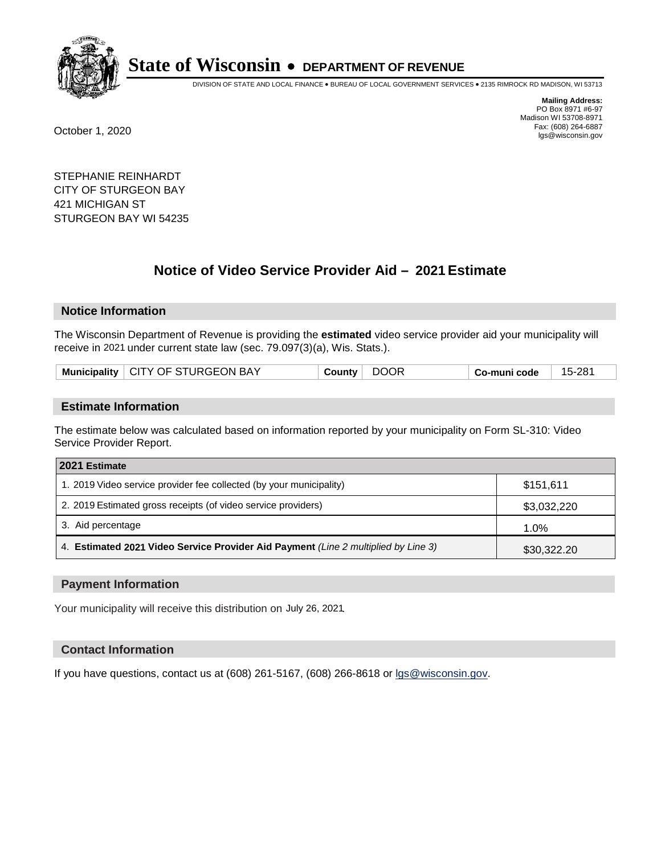

DIVISION OF STATE AND LOCAL FINANCE • BUREAU OF LOCAL GOVERNMENT SERVICES • 2135 RIMROCK RD MADISON, WI 53713

**Mailing Address:** PO Box 8971 #6-97 Madison WI 53708-8971<br>Fax: (608) 264-6887 Fax: (608) 264-6887 October 1, 2020 lgs@wisconsin.gov

STEPHANIE REINHARDT CITY OF STURGEON BAY 421 MICHIGAN ST STURGEON BAY WI 54235

# **Notice of Video Service Provider Aid - 2021 Estimate**

## **Notice Information**

The Wisconsin Department of Revenue is providing the **estimated** video service provider aid your municipality will receive in 2021 under current state law (sec. 79.097(3)(a), Wis. Stats.).

| Municipality   CITY OF STURGEON BAY |  |  | County DOOR | $\perp$ Co-muni code $\perp$ | $^{\circ}$ 15-281 |
|-------------------------------------|--|--|-------------|------------------------------|-------------------|
|-------------------------------------|--|--|-------------|------------------------------|-------------------|

#### **Estimate Information**

The estimate below was calculated based on information reported by your municipality on Form SL-310: Video Service Provider Report.

| 2021 Estimate                                                                      |             |
|------------------------------------------------------------------------------------|-------------|
| 1. 2019 Video service provider fee collected (by your municipality)                | \$151.611   |
| 2. 2019 Estimated gross receipts (of video service providers)                      | \$3,032,220 |
| 3. Aid percentage                                                                  | 1.0%        |
| 4. Estimated 2021 Video Service Provider Aid Payment (Line 2 multiplied by Line 3) | \$30,322.20 |

#### **Payment Information**

Your municipality will receive this distribution on July 26, 2021.

## **Contact Information**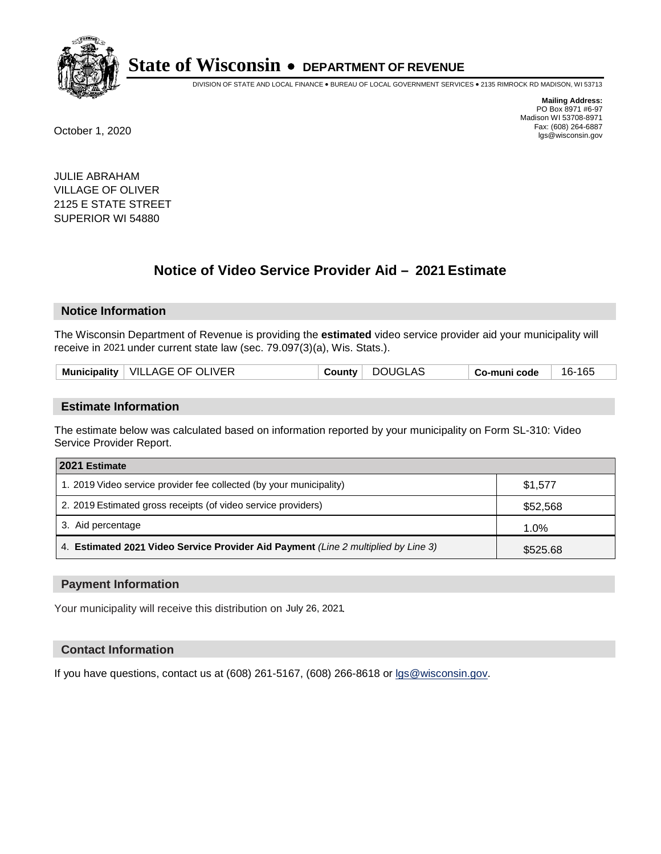

DIVISION OF STATE AND LOCAL FINANCE • BUREAU OF LOCAL GOVERNMENT SERVICES • 2135 RIMROCK RD MADISON, WI 53713

**Mailing Address:** PO Box 8971 #6-97 Madison WI 53708-8971<br>Fax: (608) 264-6887 Fax: (608) 264-6887 October 1, 2020 lgs@wisconsin.gov

JULIE ABRAHAM VILLAGE OF OLIVER 2125 E STATE STREET SUPERIOR WI 54880

# **Notice of Video Service Provider Aid - 2021 Estimate**

## **Notice Information**

The Wisconsin Department of Revenue is providing the **estimated** video service provider aid your municipality will receive in 2021 under current state law (sec. 79.097(3)(a), Wis. Stats.).

|  | Municipality   VILLAGE OF OLIVER |  |  | County DOUGLAS | Co-muni code | 16-165 |
|--|----------------------------------|--|--|----------------|--------------|--------|
|--|----------------------------------|--|--|----------------|--------------|--------|

#### **Estimate Information**

The estimate below was calculated based on information reported by your municipality on Form SL-310: Video Service Provider Report.

| 2021 Estimate                                                                      |          |
|------------------------------------------------------------------------------------|----------|
| 1. 2019 Video service provider fee collected (by your municipality)                | \$1,577  |
| 2. 2019 Estimated gross receipts (of video service providers)                      | \$52,568 |
| 3. Aid percentage                                                                  | 1.0%     |
| 4. Estimated 2021 Video Service Provider Aid Payment (Line 2 multiplied by Line 3) | \$525.68 |

#### **Payment Information**

Your municipality will receive this distribution on July 26, 2021.

## **Contact Information**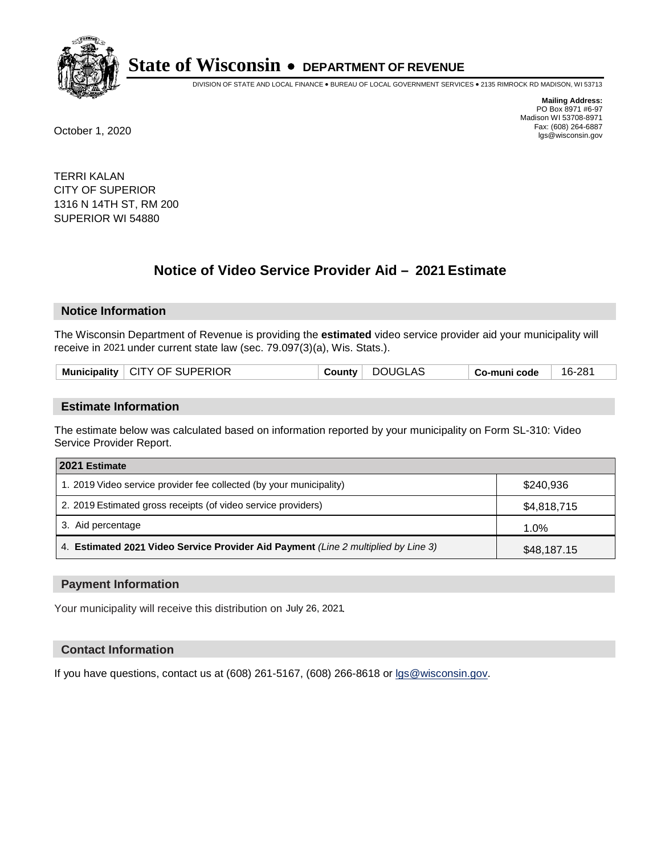

DIVISION OF STATE AND LOCAL FINANCE • BUREAU OF LOCAL GOVERNMENT SERVICES • 2135 RIMROCK RD MADISON, WI 53713

**Mailing Address:** PO Box 8971 #6-97 Madison WI 53708-8971<br>Fax: (608) 264-6887 Fax: (608) 264-6887 October 1, 2020 lgs@wisconsin.gov

TERRI KALAN CITY OF SUPERIOR 1316 N 14TH ST, RM 200 SUPERIOR WI 54880

# **Notice of Video Service Provider Aid - 2021 Estimate**

## **Notice Information**

The Wisconsin Department of Revenue is providing the **estimated** video service provider aid your municipality will receive in 2021 under current state law (sec. 79.097(3)(a), Wis. Stats.).

|  |  | Municipality   CITY OF SUPERIOR | County | DOUGLAS | Co-muni code | 16-281 |
|--|--|---------------------------------|--------|---------|--------------|--------|
|--|--|---------------------------------|--------|---------|--------------|--------|

#### **Estimate Information**

The estimate below was calculated based on information reported by your municipality on Form SL-310: Video Service Provider Report.

| 2021 Estimate                                                                      |             |
|------------------------------------------------------------------------------------|-------------|
| 1. 2019 Video service provider fee collected (by your municipality)                | \$240,936   |
| 2. 2019 Estimated gross receipts (of video service providers)                      | \$4,818,715 |
| 3. Aid percentage                                                                  | 1.0%        |
| 4. Estimated 2021 Video Service Provider Aid Payment (Line 2 multiplied by Line 3) | \$48,187.15 |

#### **Payment Information**

Your municipality will receive this distribution on July 26, 2021.

## **Contact Information**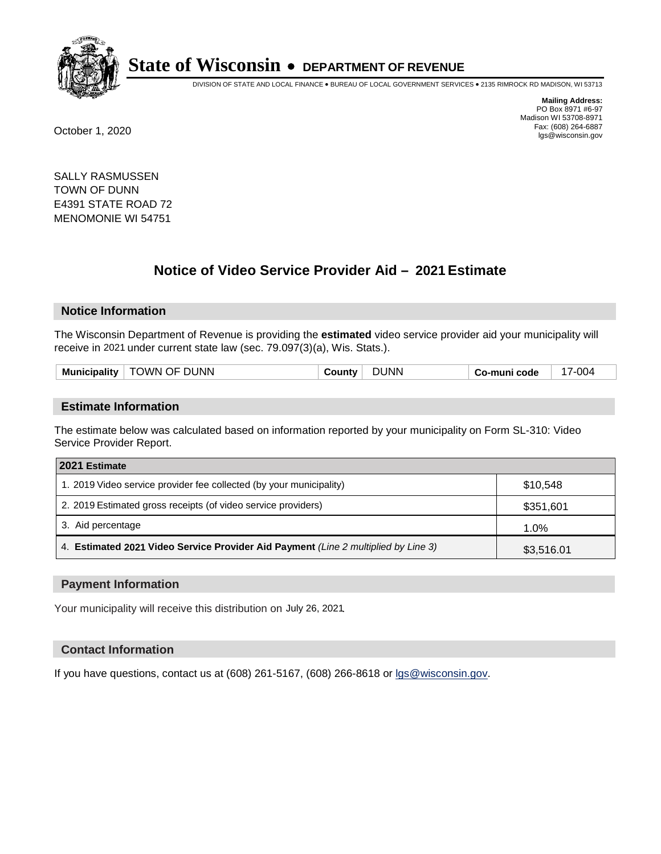

DIVISION OF STATE AND LOCAL FINANCE • BUREAU OF LOCAL GOVERNMENT SERVICES • 2135 RIMROCK RD MADISON, WI 53713

**Mailing Address:** PO Box 8971 #6-97 Madison WI 53708-8971<br>Fax: (608) 264-6887 Fax: (608) 264-6887 October 1, 2020 lgs@wisconsin.gov

SALLY RASMUSSEN TOWN OF DUNN E4391 STATE ROAD 72 MENOMONIE WI 54751

# **Notice of Video Service Provider Aid - 2021 Estimate**

## **Notice Information**

The Wisconsin Department of Revenue is providing the **estimated** video service provider aid your municipality will receive in 2021 under current state law (sec. 79.097(3)(a), Wis. Stats.).

| <b>Municipality</b><br>Co-muni code |
|-------------------------------------|
|-------------------------------------|

#### **Estimate Information**

The estimate below was calculated based on information reported by your municipality on Form SL-310: Video Service Provider Report.

| 2021 Estimate                                                                      |            |
|------------------------------------------------------------------------------------|------------|
| 1. 2019 Video service provider fee collected (by your municipality)                | \$10,548   |
| 2. 2019 Estimated gross receipts (of video service providers)                      | \$351,601  |
| 3. Aid percentage                                                                  | 1.0%       |
| 4. Estimated 2021 Video Service Provider Aid Payment (Line 2 multiplied by Line 3) | \$3,516.01 |

#### **Payment Information**

Your municipality will receive this distribution on July 26, 2021.

## **Contact Information**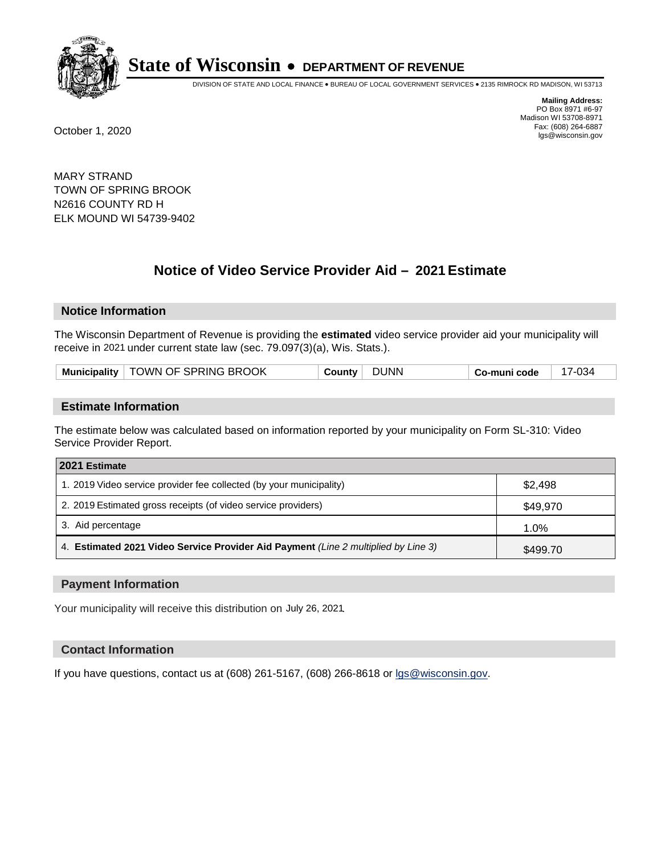

DIVISION OF STATE AND LOCAL FINANCE • BUREAU OF LOCAL GOVERNMENT SERVICES • 2135 RIMROCK RD MADISON, WI 53713

**Mailing Address:** PO Box 8971 #6-97 Madison WI 53708-8971<br>Fax: (608) 264-6887 Fax: (608) 264-6887 October 1, 2020 lgs@wisconsin.gov

MARY STRAND TOWN OF SPRING BROOK N2616 COUNTY RD H ELK MOUND WI 54739-9402

# **Notice of Video Service Provider Aid - 2021 Estimate**

## **Notice Information**

The Wisconsin Department of Revenue is providing the **estimated** video service provider aid your municipality will receive in 2021 under current state law (sec. 79.097(3)(a), Wis. Stats.).

| Municipality   TOWN OF SPRING BROOK | <b>DUNN</b><br>County | Co-muni code | 17-034 |
|-------------------------------------|-----------------------|--------------|--------|
|-------------------------------------|-----------------------|--------------|--------|

#### **Estimate Information**

The estimate below was calculated based on information reported by your municipality on Form SL-310: Video Service Provider Report.

| 2021 Estimate                                                                      |          |
|------------------------------------------------------------------------------------|----------|
| 1. 2019 Video service provider fee collected (by your municipality)                | \$2,498  |
| 2. 2019 Estimated gross receipts (of video service providers)                      | \$49,970 |
| 3. Aid percentage                                                                  | 1.0%     |
| 4. Estimated 2021 Video Service Provider Aid Payment (Line 2 multiplied by Line 3) | \$499.70 |

#### **Payment Information**

Your municipality will receive this distribution on July 26, 2021.

## **Contact Information**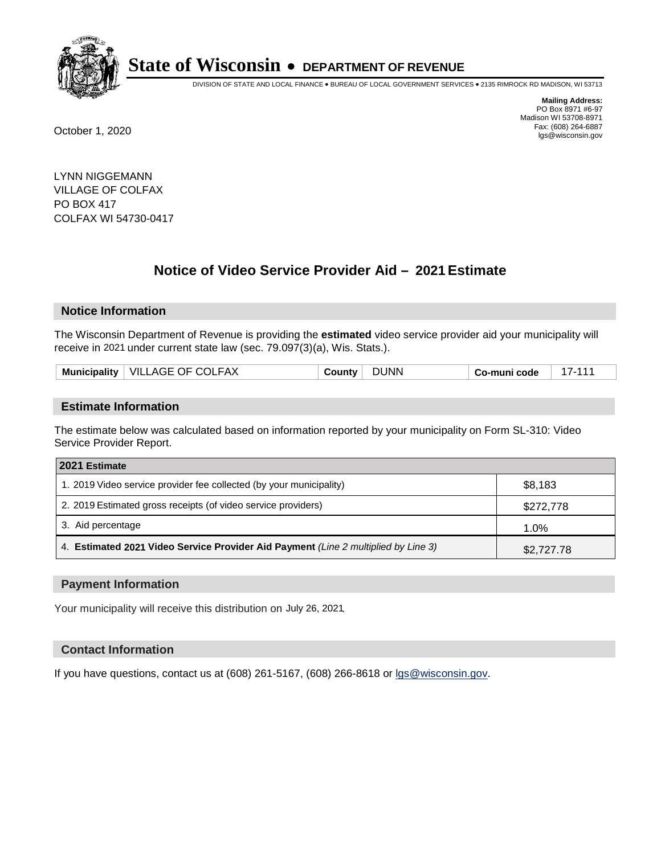

DIVISION OF STATE AND LOCAL FINANCE • BUREAU OF LOCAL GOVERNMENT SERVICES • 2135 RIMROCK RD MADISON, WI 53713

**Mailing Address:** PO Box 8971 #6-97 Madison WI 53708-8971<br>Fax: (608) 264-6887 Fax: (608) 264-6887 October 1, 2020 lgs@wisconsin.gov

LYNN NIGGEMANN VILLAGE OF COLFAX PO BOX 417 COLFAX WI 54730-0417

# **Notice of Video Service Provider Aid - 2021 Estimate**

## **Notice Information**

The Wisconsin Department of Revenue is providing the **estimated** video service provider aid your municipality will receive in 2021 under current state law (sec. 79.097(3)(a), Wis. Stats.).

|--|

#### **Estimate Information**

The estimate below was calculated based on information reported by your municipality on Form SL-310: Video Service Provider Report.

| 2021 Estimate                                                                      |            |
|------------------------------------------------------------------------------------|------------|
| 1. 2019 Video service provider fee collected (by your municipality)                | \$8.183    |
| 2. 2019 Estimated gross receipts (of video service providers)                      | \$272,778  |
| 3. Aid percentage                                                                  | 1.0%       |
| 4. Estimated 2021 Video Service Provider Aid Payment (Line 2 multiplied by Line 3) | \$2,727.78 |

#### **Payment Information**

Your municipality will receive this distribution on July 26, 2021.

## **Contact Information**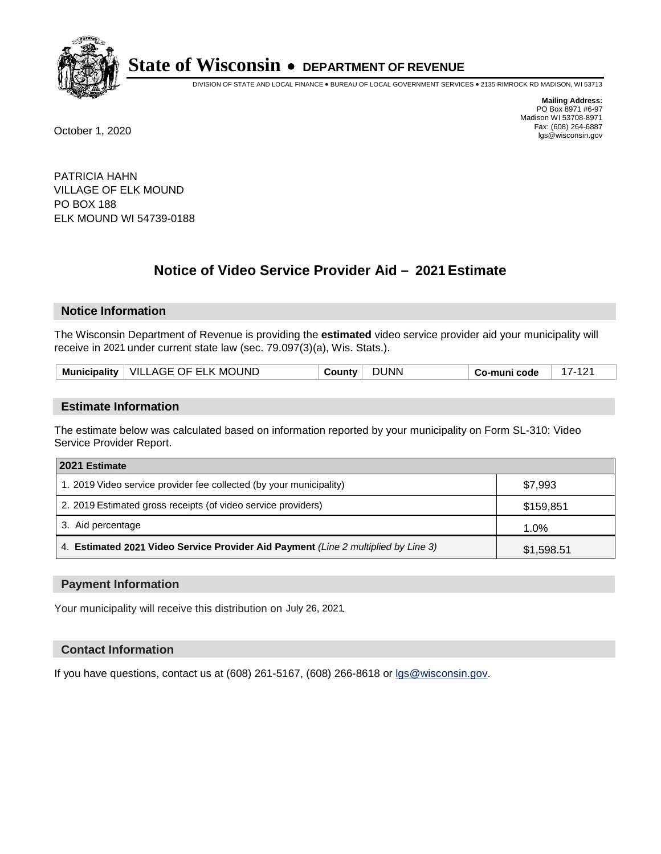

DIVISION OF STATE AND LOCAL FINANCE • BUREAU OF LOCAL GOVERNMENT SERVICES • 2135 RIMROCK RD MADISON, WI 53713

**Mailing Address:** PO Box 8971 #6-97 Madison WI 53708-8971<br>Fax: (608) 264-6887 Fax: (608) 264-6887 October 1, 2020 lgs@wisconsin.gov

PATRICIA HAHN VILLAGE OF ELK MOUND PO BOX 188 ELK MOUND WI 54739-0188

# **Notice of Video Service Provider Aid - 2021 Estimate**

## **Notice Information**

The Wisconsin Department of Revenue is providing the **estimated** video service provider aid your municipality will receive in 2021 under current state law (sec. 79.097(3)(a), Wis. Stats.).

| Municipality   VILLAGE OF ELK MOUND<br>DUNN<br>$17 - 12$<br>County<br>Co-muni code |  |
|------------------------------------------------------------------------------------|--|
|------------------------------------------------------------------------------------|--|

#### **Estimate Information**

The estimate below was calculated based on information reported by your municipality on Form SL-310: Video Service Provider Report.

| 2021 Estimate                                                                      |            |
|------------------------------------------------------------------------------------|------------|
| 1. 2019 Video service provider fee collected (by your municipality)                | \$7,993    |
| 2. 2019 Estimated gross receipts (of video service providers)                      | \$159,851  |
| 3. Aid percentage                                                                  | 1.0%       |
| 4. Estimated 2021 Video Service Provider Aid Payment (Line 2 multiplied by Line 3) | \$1,598.51 |

#### **Payment Information**

Your municipality will receive this distribution on July 26, 2021.

## **Contact Information**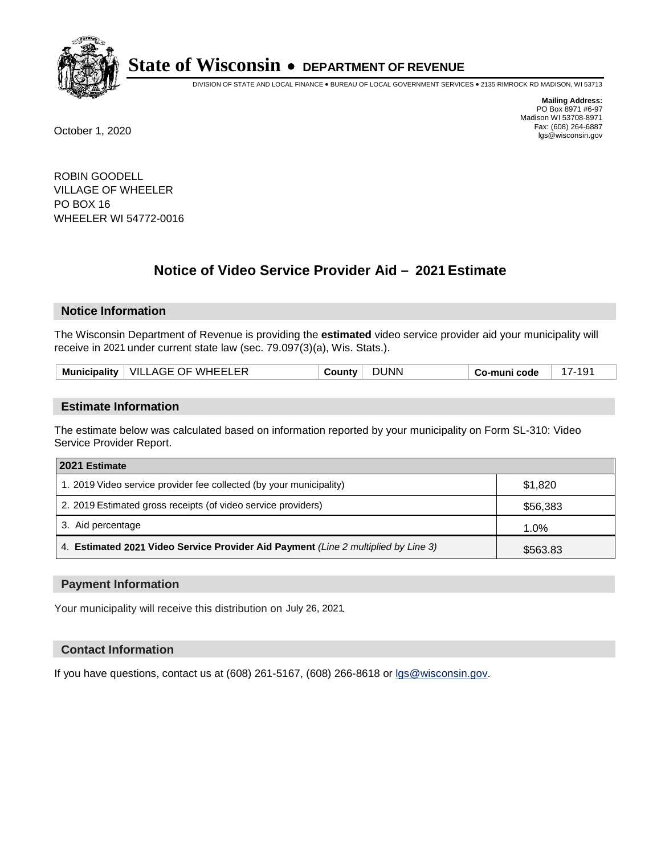

DIVISION OF STATE AND LOCAL FINANCE • BUREAU OF LOCAL GOVERNMENT SERVICES • 2135 RIMROCK RD MADISON, WI 53713

**Mailing Address:** PO Box 8971 #6-97 Madison WI 53708-8971<br>Fax: (608) 264-6887 Fax: (608) 264-6887 October 1, 2020 lgs@wisconsin.gov

ROBIN GOODELL VILLAGE OF WHEELER PO BOX 16 WHEELER WI 54772-0016

# **Notice of Video Service Provider Aid - 2021 Estimate**

## **Notice Information**

The Wisconsin Department of Revenue is providing the **estimated** video service provider aid your municipality will receive in 2021 under current state law (sec. 79.097(3)(a), Wis. Stats.).

| ∣ VILLAGE OF WHEELER<br>Municipality  <br>∴ountv∆ | 'INN | Co-muni code |  |
|---------------------------------------------------|------|--------------|--|
|---------------------------------------------------|------|--------------|--|

#### **Estimate Information**

The estimate below was calculated based on information reported by your municipality on Form SL-310: Video Service Provider Report.

| 2021 Estimate                                                                      |          |
|------------------------------------------------------------------------------------|----------|
| 1. 2019 Video service provider fee collected (by your municipality)                | \$1.820  |
| 2. 2019 Estimated gross receipts (of video service providers)                      | \$56,383 |
| 3. Aid percentage                                                                  | 1.0%     |
| 4. Estimated 2021 Video Service Provider Aid Payment (Line 2 multiplied by Line 3) | \$563.83 |

#### **Payment Information**

Your municipality will receive this distribution on July 26, 2021.

## **Contact Information**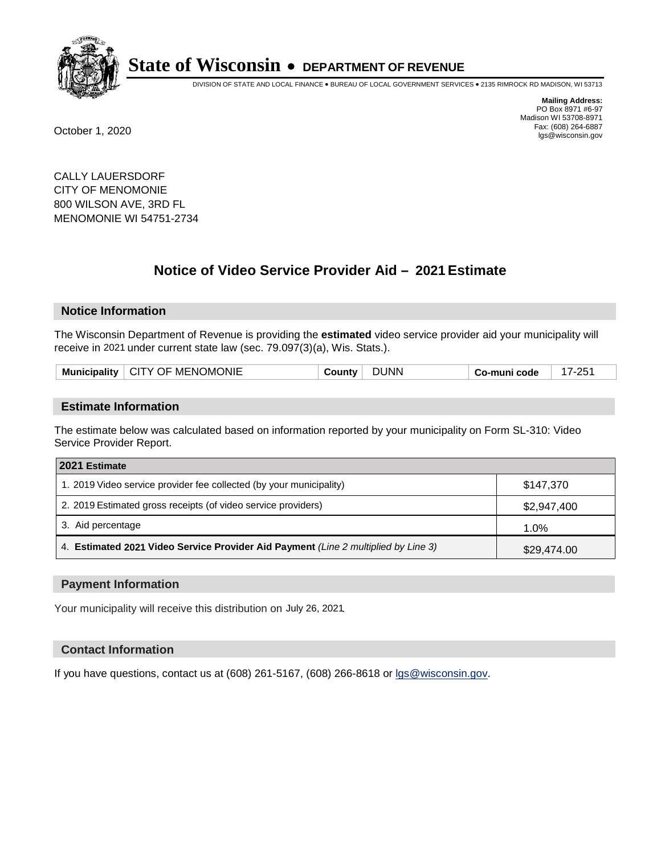

DIVISION OF STATE AND LOCAL FINANCE • BUREAU OF LOCAL GOVERNMENT SERVICES • 2135 RIMROCK RD MADISON, WI 53713

**Mailing Address:** PO Box 8971 #6-97 Madison WI 53708-8971<br>Fax: (608) 264-6887 Fax: (608) 264-6887 October 1, 2020 lgs@wisconsin.gov

CALLY LAUERSDORF CITY OF MENOMONIE 800 WILSON AVE, 3RD FL MENOMONIE WI 54751-2734

# **Notice of Video Service Provider Aid - 2021 Estimate**

## **Notice Information**

The Wisconsin Department of Revenue is providing the **estimated** video service provider aid your municipality will receive in 2021 under current state law (sec. 79.097(3)(a), Wis. Stats.).

| Municipality   CITY OF MENOMONIE | JUNN<br>َ ountyٽ | .つら<br>. .<br>Co-muni code |
|----------------------------------|------------------|----------------------------|
|----------------------------------|------------------|----------------------------|

#### **Estimate Information**

The estimate below was calculated based on information reported by your municipality on Form SL-310: Video Service Provider Report.

| 2021 Estimate                                                                      |             |
|------------------------------------------------------------------------------------|-------------|
| 1. 2019 Video service provider fee collected (by your municipality)                | \$147,370   |
| 2. 2019 Estimated gross receipts (of video service providers)                      | \$2,947,400 |
| 3. Aid percentage                                                                  | 1.0%        |
| 4. Estimated 2021 Video Service Provider Aid Payment (Line 2 multiplied by Line 3) | \$29,474.00 |

#### **Payment Information**

Your municipality will receive this distribution on July 26, 2021.

## **Contact Information**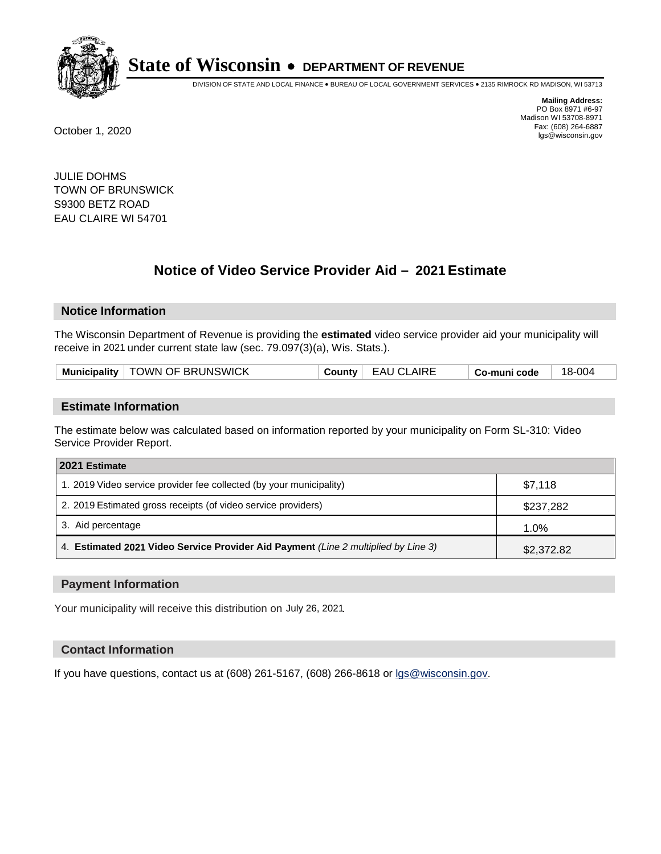

DIVISION OF STATE AND LOCAL FINANCE • BUREAU OF LOCAL GOVERNMENT SERVICES • 2135 RIMROCK RD MADISON, WI 53713

**Mailing Address:** PO Box 8971 #6-97 Madison WI 53708-8971<br>Fax: (608) 264-6887 Fax: (608) 264-6887 October 1, 2020 lgs@wisconsin.gov

JULIE DOHMS TOWN OF BRUNSWICK S9300 BETZ ROAD EAU CLAIRE WI 54701

# **Notice of Video Service Provider Aid - 2021 Estimate**

## **Notice Information**

The Wisconsin Department of Revenue is providing the **estimated** video service provider aid your municipality will receive in 2021 under current state law (sec. 79.097(3)(a), Wis. Stats.).

| Municipality   TOWN OF BRUNSWICK<br>County   EAU CLAIRE<br>Co-muni code | 18-004 |
|-------------------------------------------------------------------------|--------|
|-------------------------------------------------------------------------|--------|

#### **Estimate Information**

The estimate below was calculated based on information reported by your municipality on Form SL-310: Video Service Provider Report.

| 2021 Estimate                                                                      |            |
|------------------------------------------------------------------------------------|------------|
| 1. 2019 Video service provider fee collected (by your municipality)                | \$7.118    |
| 2. 2019 Estimated gross receipts (of video service providers)                      | \$237,282  |
| 3. Aid percentage                                                                  | 1.0%       |
| 4. Estimated 2021 Video Service Provider Aid Payment (Line 2 multiplied by Line 3) | \$2,372.82 |

#### **Payment Information**

Your municipality will receive this distribution on July 26, 2021.

## **Contact Information**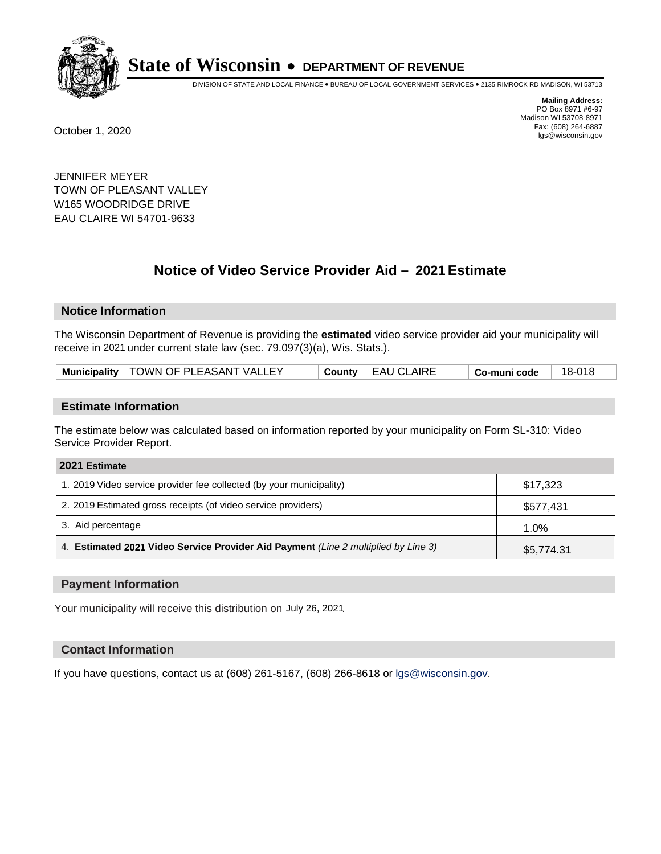

DIVISION OF STATE AND LOCAL FINANCE • BUREAU OF LOCAL GOVERNMENT SERVICES • 2135 RIMROCK RD MADISON, WI 53713

**Mailing Address:** PO Box 8971 #6-97 Madison WI 53708-8971<br>Fax: (608) 264-6887 Fax: (608) 264-6887 October 1, 2020 lgs@wisconsin.gov

JENNIFER MEYER TOWN OF PLEASANT VALLEY W165 WOODRIDGE DRIVE EAU CLAIRE WI 54701-9633

# **Notice of Video Service Provider Aid - 2021 Estimate**

## **Notice Information**

The Wisconsin Department of Revenue is providing the **estimated** video service provider aid your municipality will receive in 2021 under current state law (sec. 79.097(3)(a), Wis. Stats.).

| Municipality   TOWN OF PLEASANT VALLEY | <b>EAU CLAIRE</b><br>County | Co-muni code | 18-018 |
|----------------------------------------|-----------------------------|--------------|--------|
|----------------------------------------|-----------------------------|--------------|--------|

#### **Estimate Information**

The estimate below was calculated based on information reported by your municipality on Form SL-310: Video Service Provider Report.

| 2021 Estimate                                                                      |            |
|------------------------------------------------------------------------------------|------------|
| 1. 2019 Video service provider fee collected (by your municipality)                | \$17.323   |
| 2. 2019 Estimated gross receipts (of video service providers)                      | \$577,431  |
| 3. Aid percentage                                                                  | 1.0%       |
| 4. Estimated 2021 Video Service Provider Aid Payment (Line 2 multiplied by Line 3) | \$5,774.31 |

#### **Payment Information**

Your municipality will receive this distribution on July 26, 2021.

## **Contact Information**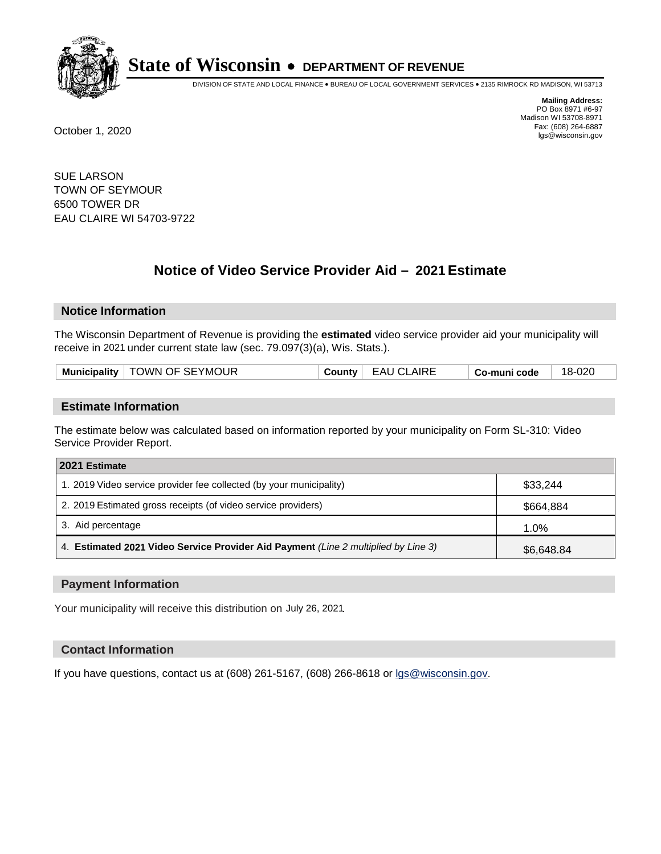

DIVISION OF STATE AND LOCAL FINANCE • BUREAU OF LOCAL GOVERNMENT SERVICES • 2135 RIMROCK RD MADISON, WI 53713

**Mailing Address:** PO Box 8971 #6-97 Madison WI 53708-8971<br>Fax: (608) 264-6887 Fax: (608) 264-6887 October 1, 2020 lgs@wisconsin.gov

SUE LARSON TOWN OF SEYMOUR 6500 TOWER DR EAU CLAIRE WI 54703-9722

# **Notice of Video Service Provider Aid - 2021 Estimate**

## **Notice Information**

The Wisconsin Department of Revenue is providing the **estimated** video service provider aid your municipality will receive in 2021 under current state law (sec. 79.097(3)(a), Wis. Stats.).

|--|

#### **Estimate Information**

The estimate below was calculated based on information reported by your municipality on Form SL-310: Video Service Provider Report.

| 2021 Estimate                                                                      |            |  |
|------------------------------------------------------------------------------------|------------|--|
| 1. 2019 Video service provider fee collected (by your municipality)                | \$33.244   |  |
| 2. 2019 Estimated gross receipts (of video service providers)                      | \$664,884  |  |
| 3. Aid percentage                                                                  | 1.0%       |  |
| 4. Estimated 2021 Video Service Provider Aid Payment (Line 2 multiplied by Line 3) | \$6,648.84 |  |

#### **Payment Information**

Your municipality will receive this distribution on July 26, 2021.

## **Contact Information**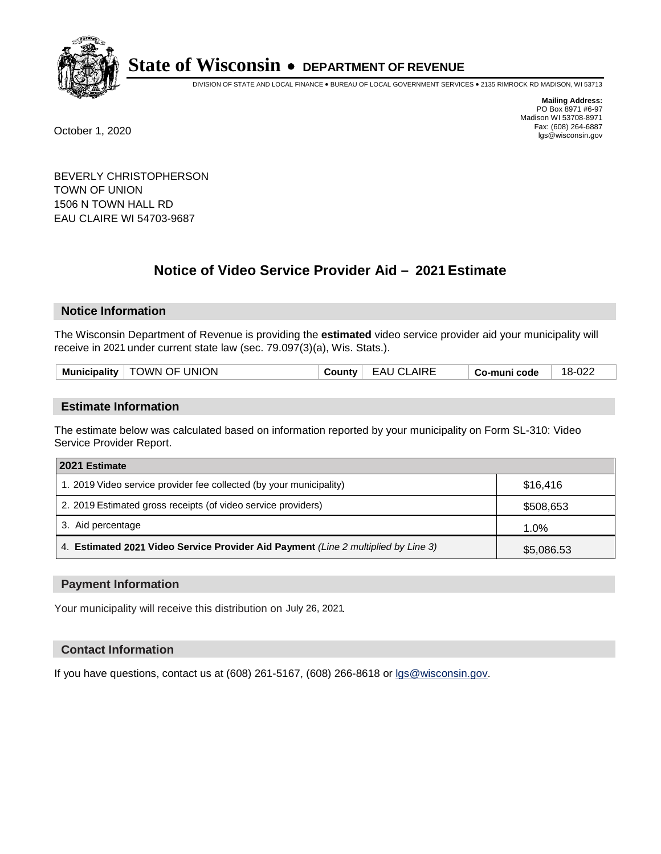

DIVISION OF STATE AND LOCAL FINANCE • BUREAU OF LOCAL GOVERNMENT SERVICES • 2135 RIMROCK RD MADISON, WI 53713

**Mailing Address:** PO Box 8971 #6-97 Madison WI 53708-8971<br>Fax: (608) 264-6887 Fax: (608) 264-6887 October 1, 2020 lgs@wisconsin.gov

BEVERLY CHRISTOPHERSON TOWN OF UNION 1506 N TOWN HALL RD EAU CLAIRE WI 54703-9687

# **Notice of Video Service Provider Aid - 2021 Estimate**

## **Notice Information**

The Wisconsin Department of Revenue is providing the **estimated** video service provider aid your municipality will receive in 2021 under current state law (sec. 79.097(3)(a), Wis. Stats.).

|  |  | Municipality   TOWN OF UNION | County | <b>EAU CLAIRE</b> | Co-muni code | 18-022 |
|--|--|------------------------------|--------|-------------------|--------------|--------|
|--|--|------------------------------|--------|-------------------|--------------|--------|

#### **Estimate Information**

The estimate below was calculated based on information reported by your municipality on Form SL-310: Video Service Provider Report.

| 2021 Estimate                                                                      |            |  |
|------------------------------------------------------------------------------------|------------|--|
| 1. 2019 Video service provider fee collected (by your municipality)                | \$16,416   |  |
| 2. 2019 Estimated gross receipts (of video service providers)                      | \$508,653  |  |
| 3. Aid percentage                                                                  | 1.0%       |  |
| 4. Estimated 2021 Video Service Provider Aid Payment (Line 2 multiplied by Line 3) | \$5,086.53 |  |

#### **Payment Information**

Your municipality will receive this distribution on July 26, 2021.

## **Contact Information**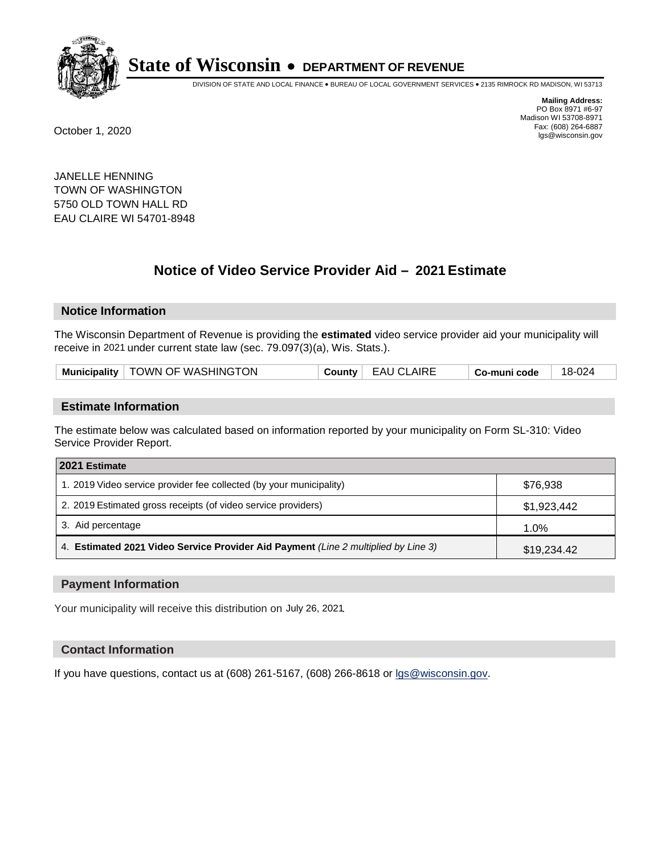

DIVISION OF STATE AND LOCAL FINANCE • BUREAU OF LOCAL GOVERNMENT SERVICES • 2135 RIMROCK RD MADISON, WI 53713

**Mailing Address:** PO Box 8971 #6-97 Madison WI 53708-8971<br>Fax: (608) 264-6887 Fax: (608) 264-6887 October 1, 2020 lgs@wisconsin.gov

JANELLE HENNING TOWN OF WASHINGTON 5750 OLD TOWN HALL RD EAU CLAIRE WI 54701-8948

# **Notice of Video Service Provider Aid - 2021 Estimate**

## **Notice Information**

The Wisconsin Department of Revenue is providing the **estimated** video service provider aid your municipality will receive in 2021 under current state law (sec. 79.097(3)(a), Wis. Stats.).

| Municipality   TOWN OF WASHINGTON<br>County   EAU CLAIRE<br>18-024<br>Co-muni code |  |
|------------------------------------------------------------------------------------|--|
|------------------------------------------------------------------------------------|--|

#### **Estimate Information**

The estimate below was calculated based on information reported by your municipality on Form SL-310: Video Service Provider Report.

| 2021 Estimate                                                                      |             |  |
|------------------------------------------------------------------------------------|-------------|--|
| 1. 2019 Video service provider fee collected (by your municipality)                | \$76.938    |  |
| 2. 2019 Estimated gross receipts (of video service providers)                      | \$1,923,442 |  |
| 3. Aid percentage                                                                  | $1.0\%$     |  |
| 4. Estimated 2021 Video Service Provider Aid Payment (Line 2 multiplied by Line 3) | \$19,234.42 |  |

#### **Payment Information**

Your municipality will receive this distribution on July 26, 2021.

## **Contact Information**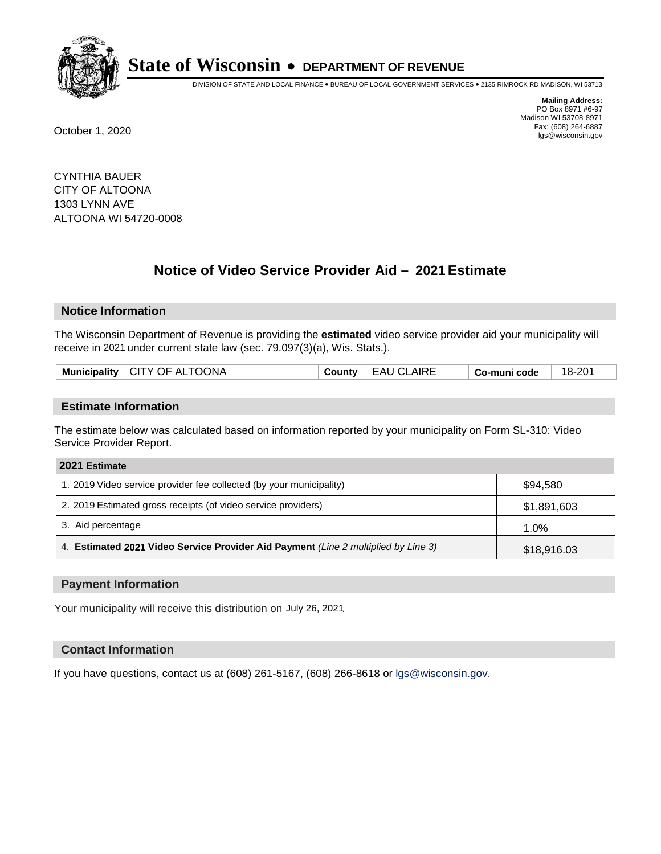

DIVISION OF STATE AND LOCAL FINANCE • BUREAU OF LOCAL GOVERNMENT SERVICES • 2135 RIMROCK RD MADISON, WI 53713

**Mailing Address:** PO Box 8971 #6-97 Madison WI 53708-8971<br>Fax: (608) 264-6887 Fax: (608) 264-6887 October 1, 2020 lgs@wisconsin.gov

CYNTHIA BAUER CITY OF ALTOONA 1303 LYNN AVE ALTOONA WI 54720-0008

# **Notice of Video Service Provider Aid - 2021 Estimate**

## **Notice Information**

The Wisconsin Department of Revenue is providing the **estimated** video service provider aid your municipality will receive in 2021 under current state law (sec. 79.097(3)(a), Wis. Stats.).

|--|

#### **Estimate Information**

The estimate below was calculated based on information reported by your municipality on Form SL-310: Video Service Provider Report.

| 2021 Estimate                                                                      |             |  |
|------------------------------------------------------------------------------------|-------------|--|
| 1. 2019 Video service provider fee collected (by your municipality)                | \$94.580    |  |
| 2. 2019 Estimated gross receipts (of video service providers)                      | \$1,891,603 |  |
| 3. Aid percentage                                                                  | 1.0%        |  |
| 4. Estimated 2021 Video Service Provider Aid Payment (Line 2 multiplied by Line 3) | \$18,916.03 |  |

#### **Payment Information**

Your municipality will receive this distribution on July 26, 2021.

## **Contact Information**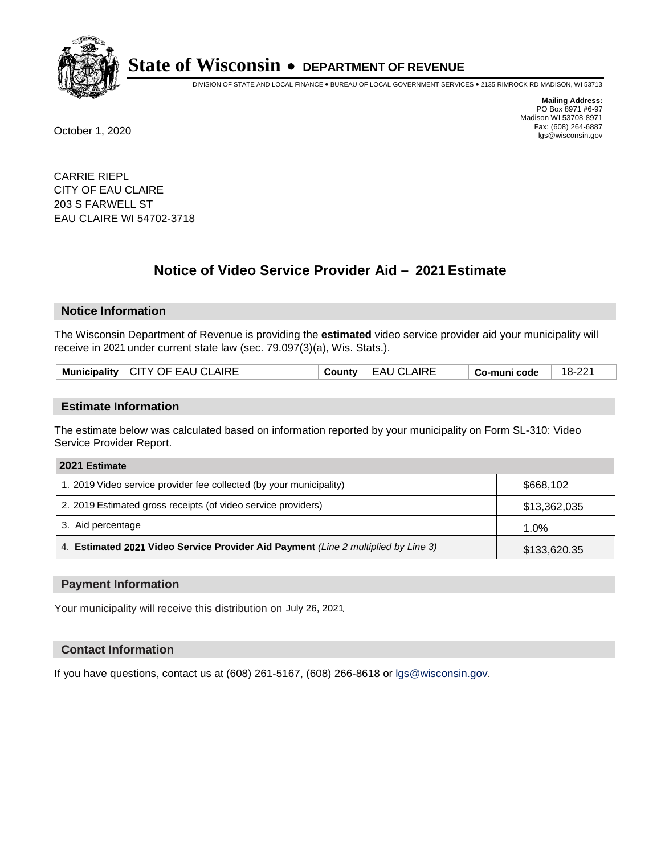

DIVISION OF STATE AND LOCAL FINANCE • BUREAU OF LOCAL GOVERNMENT SERVICES • 2135 RIMROCK RD MADISON, WI 53713

**Mailing Address:** PO Box 8971 #6-97 Madison WI 53708-8971<br>Fax: (608) 264-6887 Fax: (608) 264-6887 October 1, 2020 lgs@wisconsin.gov

CARRIE RIEPL CITY OF EAU CLAIRE 203 S FARWELL ST EAU CLAIRE WI 54702-3718

# **Notice of Video Service Provider Aid - 2021 Estimate**

## **Notice Information**

The Wisconsin Department of Revenue is providing the **estimated** video service provider aid your municipality will receive in 2021 under current state law (sec. 79.097(3)(a), Wis. Stats.).

| Municipality   CITY OF EAU CLAIRE<br><b>EAU CLAIRE</b><br>County | 18-221<br>Co-muni code |
|------------------------------------------------------------------|------------------------|
|------------------------------------------------------------------|------------------------|

#### **Estimate Information**

The estimate below was calculated based on information reported by your municipality on Form SL-310: Video Service Provider Report.

| 2021 Estimate                                                                      |              |
|------------------------------------------------------------------------------------|--------------|
| 1. 2019 Video service provider fee collected (by your municipality)                | \$668,102    |
| 2. 2019 Estimated gross receipts (of video service providers)                      | \$13,362,035 |
| 3. Aid percentage                                                                  | $1.0\%$      |
| 4. Estimated 2021 Video Service Provider Aid Payment (Line 2 multiplied by Line 3) | \$133,620.35 |

#### **Payment Information**

Your municipality will receive this distribution on July 26, 2021.

## **Contact Information**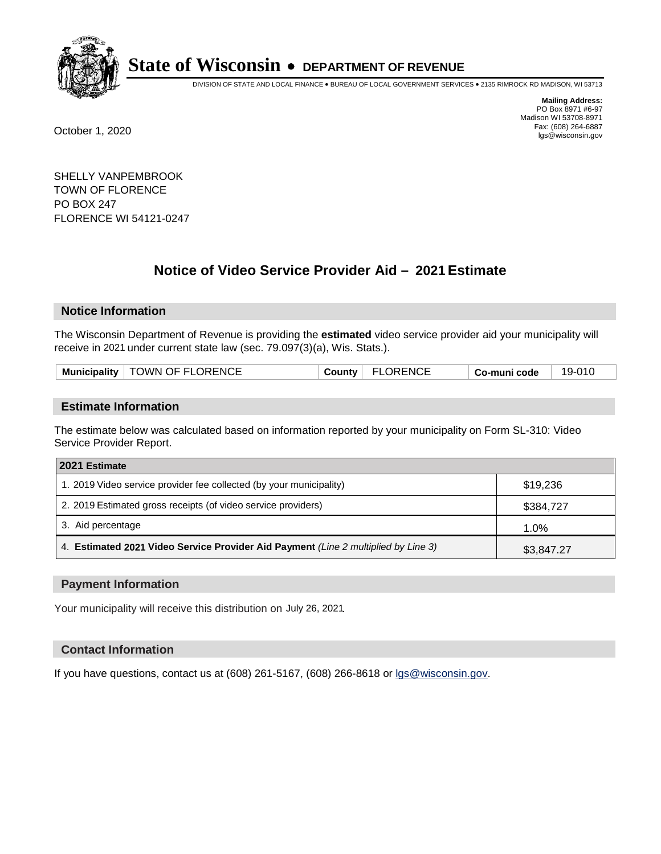

DIVISION OF STATE AND LOCAL FINANCE • BUREAU OF LOCAL GOVERNMENT SERVICES • 2135 RIMROCK RD MADISON, WI 53713

**Mailing Address:** PO Box 8971 #6-97 Madison WI 53708-8971<br>Fax: (608) 264-6887 Fax: (608) 264-6887 October 1, 2020 lgs@wisconsin.gov

SHELLY VANPEMBROOK TOWN OF FLORENCE PO BOX 247 FLORENCE WI 54121-0247

# **Notice of Video Service Provider Aid - 2021 Estimate**

## **Notice Information**

The Wisconsin Department of Revenue is providing the **estimated** video service provider aid your municipality will receive in 2021 under current state law (sec. 79.097(3)(a), Wis. Stats.).

| Municipality   TOWN OF FLORENCE<br>County   FLORENCE<br>19-010<br>Co-muni code |  |
|--------------------------------------------------------------------------------|--|
|--------------------------------------------------------------------------------|--|

#### **Estimate Information**

The estimate below was calculated based on information reported by your municipality on Form SL-310: Video Service Provider Report.

| 2021 Estimate                                                                      |            |
|------------------------------------------------------------------------------------|------------|
| 1. 2019 Video service provider fee collected (by your municipality)                | \$19,236   |
| 2. 2019 Estimated gross receipts (of video service providers)                      | \$384,727  |
| 3. Aid percentage                                                                  | 1.0%       |
| 4. Estimated 2021 Video Service Provider Aid Payment (Line 2 multiplied by Line 3) | \$3,847.27 |

#### **Payment Information**

Your municipality will receive this distribution on July 26, 2021.

## **Contact Information**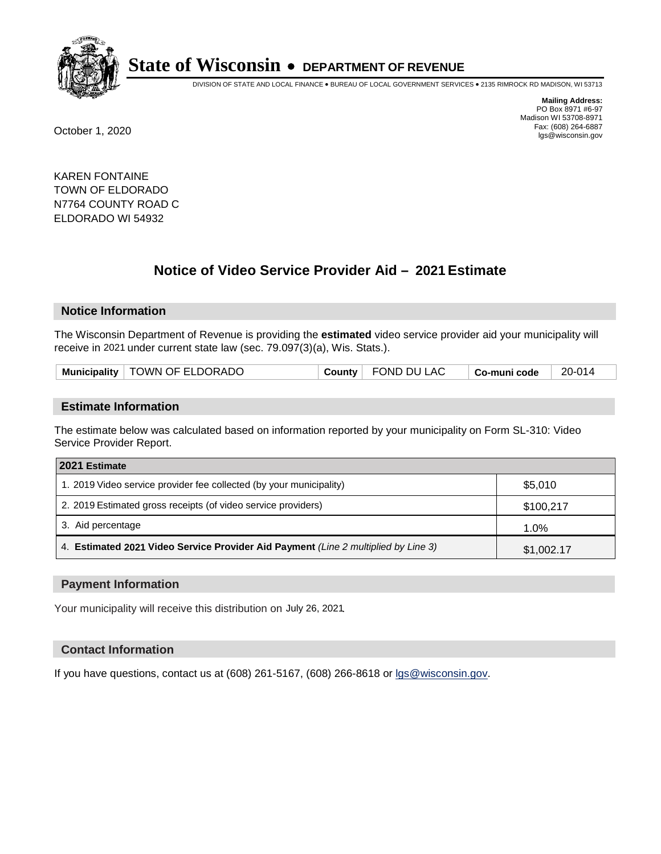

DIVISION OF STATE AND LOCAL FINANCE • BUREAU OF LOCAL GOVERNMENT SERVICES • 2135 RIMROCK RD MADISON, WI 53713

**Mailing Address:** PO Box 8971 #6-97 Madison WI 53708-8971<br>Fax: (608) 264-6887 Fax: (608) 264-6887 October 1, 2020 lgs@wisconsin.gov

KAREN FONTAINE TOWN OF ELDORADO N7764 COUNTY ROAD C ELDORADO WI 54932

# **Notice of Video Service Provider Aid - 2021 Estimate**

## **Notice Information**

The Wisconsin Department of Revenue is providing the **estimated** video service provider aid your municipality will receive in 2021 under current state law (sec. 79.097(3)(a), Wis. Stats.).

| Municipality   TOWN OF ELDORADO<br>FOND DU LAC<br>20-014<br>County<br>Co-muni code |  |
|------------------------------------------------------------------------------------|--|
|------------------------------------------------------------------------------------|--|

#### **Estimate Information**

The estimate below was calculated based on information reported by your municipality on Form SL-310: Video Service Provider Report.

| 2021 Estimate                                                                      |            |
|------------------------------------------------------------------------------------|------------|
| 1. 2019 Video service provider fee collected (by your municipality)                | \$5,010    |
| 2. 2019 Estimated gross receipts (of video service providers)                      | \$100,217  |
| 3. Aid percentage                                                                  | 1.0%       |
| 4. Estimated 2021 Video Service Provider Aid Payment (Line 2 multiplied by Line 3) | \$1,002.17 |

#### **Payment Information**

Your municipality will receive this distribution on July 26, 2021.

## **Contact Information**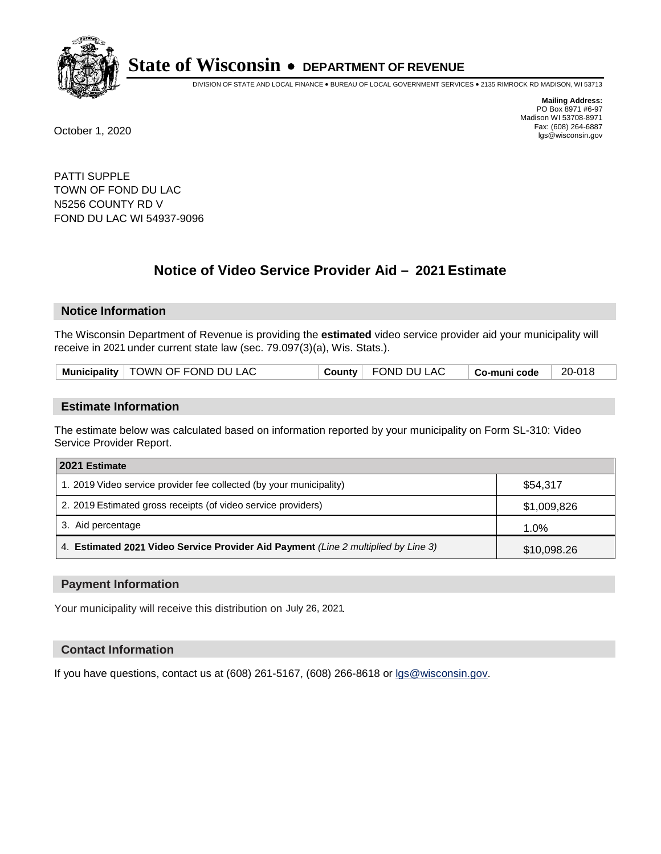

DIVISION OF STATE AND LOCAL FINANCE • BUREAU OF LOCAL GOVERNMENT SERVICES • 2135 RIMROCK RD MADISON, WI 53713

**Mailing Address:** PO Box 8971 #6-97 Madison WI 53708-8971<br>Fax: (608) 264-6887 Fax: (608) 264-6887 October 1, 2020 lgs@wisconsin.gov

PATTI SUPPLE TOWN OF FOND DU LAC N5256 COUNTY RD V FOND DU LAC WI 54937-9096

# **Notice of Video Service Provider Aid - 2021 Estimate**

## **Notice Information**

The Wisconsin Department of Revenue is providing the **estimated** video service provider aid your municipality will receive in 2021 under current state law (sec. 79.097(3)(a), Wis. Stats.).

| Municipality   TOWN OF FOND DU LAC |  | County FOND DU LAC | $\vdash$ Co-muni code | 20-018 |
|------------------------------------|--|--------------------|-----------------------|--------|
|------------------------------------|--|--------------------|-----------------------|--------|

#### **Estimate Information**

The estimate below was calculated based on information reported by your municipality on Form SL-310: Video Service Provider Report.

| 2021 Estimate                                                                      |             |
|------------------------------------------------------------------------------------|-------------|
| 1. 2019 Video service provider fee collected (by your municipality)                | \$54,317    |
| 2. 2019 Estimated gross receipts (of video service providers)                      | \$1,009,826 |
| 3. Aid percentage                                                                  | 1.0%        |
| 4. Estimated 2021 Video Service Provider Aid Payment (Line 2 multiplied by Line 3) | \$10,098.26 |

#### **Payment Information**

Your municipality will receive this distribution on July 26, 2021.

## **Contact Information**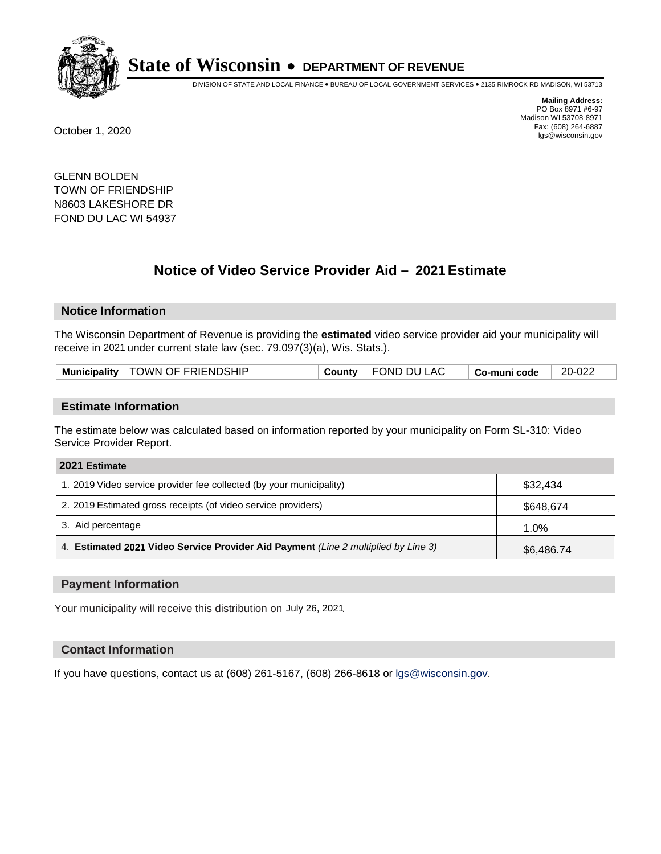

DIVISION OF STATE AND LOCAL FINANCE • BUREAU OF LOCAL GOVERNMENT SERVICES • 2135 RIMROCK RD MADISON, WI 53713

**Mailing Address:** PO Box 8971 #6-97 Madison WI 53708-8971<br>Fax: (608) 264-6887 Fax: (608) 264-6887 October 1, 2020 lgs@wisconsin.gov

GLENN BOLDEN TOWN OF FRIENDSHIP N8603 LAKESHORE DR FOND DU LAC WI 54937

# **Notice of Video Service Provider Aid - 2021 Estimate**

## **Notice Information**

The Wisconsin Department of Revenue is providing the **estimated** video service provider aid your municipality will receive in 2021 under current state law (sec. 79.097(3)(a), Wis. Stats.).

| Municipality   TOWN OF FRIENDSHIP | $\sqrt{ }$ FOND DU LAC<br><b>County</b> | ∣ Co-muni code | 20-022 |
|-----------------------------------|-----------------------------------------|----------------|--------|
|-----------------------------------|-----------------------------------------|----------------|--------|

#### **Estimate Information**

The estimate below was calculated based on information reported by your municipality on Form SL-310: Video Service Provider Report.

| 2021 Estimate                                                                      |            |
|------------------------------------------------------------------------------------|------------|
| 1. 2019 Video service provider fee collected (by your municipality)                | \$32,434   |
| 2. 2019 Estimated gross receipts (of video service providers)                      | \$648,674  |
| 3. Aid percentage                                                                  | 1.0%       |
| 4. Estimated 2021 Video Service Provider Aid Payment (Line 2 multiplied by Line 3) | \$6,486.74 |

#### **Payment Information**

Your municipality will receive this distribution on July 26, 2021.

## **Contact Information**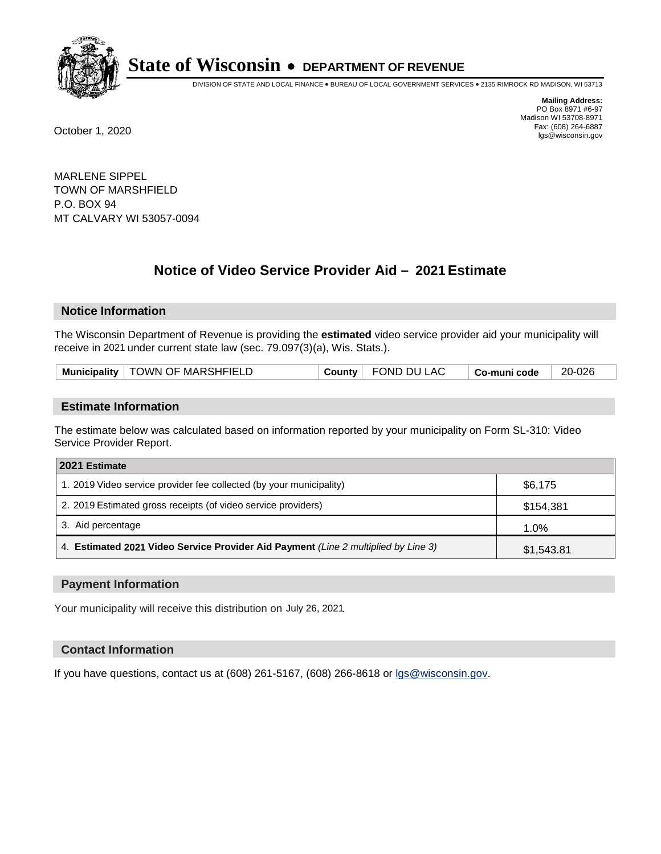

DIVISION OF STATE AND LOCAL FINANCE • BUREAU OF LOCAL GOVERNMENT SERVICES • 2135 RIMROCK RD MADISON, WI 53713

**Mailing Address:** PO Box 8971 #6-97 Madison WI 53708-8971<br>Fax: (608) 264-6887 Fax: (608) 264-6887 October 1, 2020 lgs@wisconsin.gov

MARLENE SIPPEL TOWN OF MARSHFIELD P.O. BOX 94 MT CALVARY WI 53057-0094

# **Notice of Video Service Provider Aid - 2021 Estimate**

## **Notice Information**

The Wisconsin Department of Revenue is providing the **estimated** video service provider aid your municipality will receive in 2021 under current state law (sec. 79.097(3)(a), Wis. Stats.).

| Municipality   TOWN OF MARSHFIELD | County | FOND DU LAC | Co-muni code | 20-026 |  |
|-----------------------------------|--------|-------------|--------------|--------|--|
|-----------------------------------|--------|-------------|--------------|--------|--|

#### **Estimate Information**

The estimate below was calculated based on information reported by your municipality on Form SL-310: Video Service Provider Report.

| 2021 Estimate                                                                      |            |
|------------------------------------------------------------------------------------|------------|
| 1. 2019 Video service provider fee collected (by your municipality)                | \$6,175    |
| 2. 2019 Estimated gross receipts (of video service providers)                      | \$154,381  |
| 3. Aid percentage                                                                  | 1.0%       |
| 4. Estimated 2021 Video Service Provider Aid Payment (Line 2 multiplied by Line 3) | \$1,543.81 |

#### **Payment Information**

Your municipality will receive this distribution on July 26, 2021.

## **Contact Information**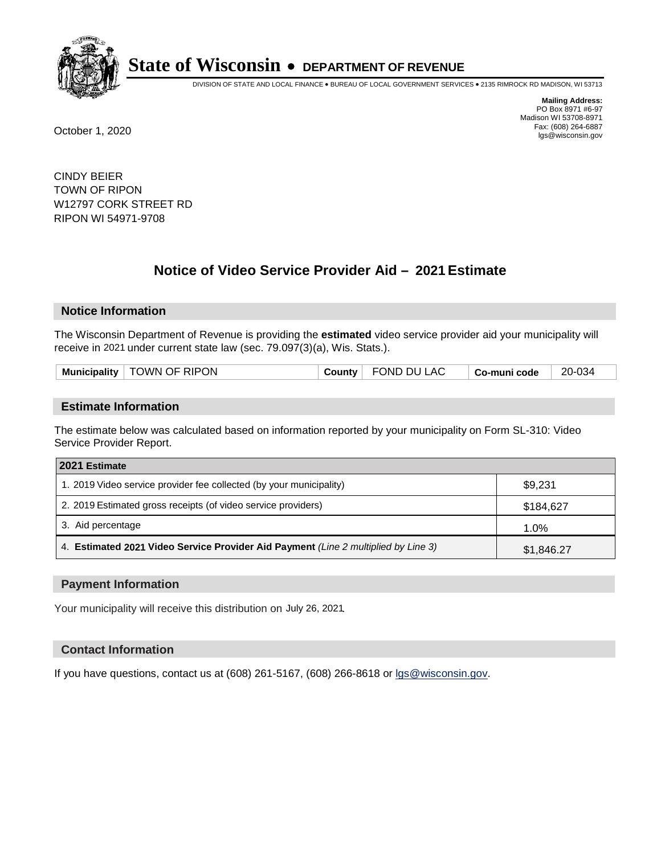

DIVISION OF STATE AND LOCAL FINANCE • BUREAU OF LOCAL GOVERNMENT SERVICES • 2135 RIMROCK RD MADISON, WI 53713

**Mailing Address:** PO Box 8971 #6-97 Madison WI 53708-8971<br>Fax: (608) 264-6887 Fax: (608) 264-6887 October 1, 2020 lgs@wisconsin.gov

CINDY BEIER TOWN OF RIPON W12797 CORK STREET RD RIPON WI 54971-9708

# **Notice of Video Service Provider Aid - 2021 Estimate**

## **Notice Information**

The Wisconsin Department of Revenue is providing the **estimated** video service provider aid your municipality will receive in 2021 under current state law (sec. 79.097(3)(a), Wis. Stats.).

| <b>Municipality</b> | OF RIPON<br><b>NWC</b> | .ounty | .AC<br>DΙ<br>)Ni | code<br>ື້ | 034<br>20 |
|---------------------|------------------------|--------|------------------|------------|-----------|
|                     |                        |        |                  |            |           |

#### **Estimate Information**

The estimate below was calculated based on information reported by your municipality on Form SL-310: Video Service Provider Report.

| 2021 Estimate                                                                      |            |  |  |
|------------------------------------------------------------------------------------|------------|--|--|
| 1. 2019 Video service provider fee collected (by your municipality)                | \$9,231    |  |  |
| 2. 2019 Estimated gross receipts (of video service providers)                      | \$184.627  |  |  |
| 3. Aid percentage                                                                  | 1.0%       |  |  |
| 4. Estimated 2021 Video Service Provider Aid Payment (Line 2 multiplied by Line 3) | \$1,846.27 |  |  |

#### **Payment Information**

Your municipality will receive this distribution on July 26, 2021.

## **Contact Information**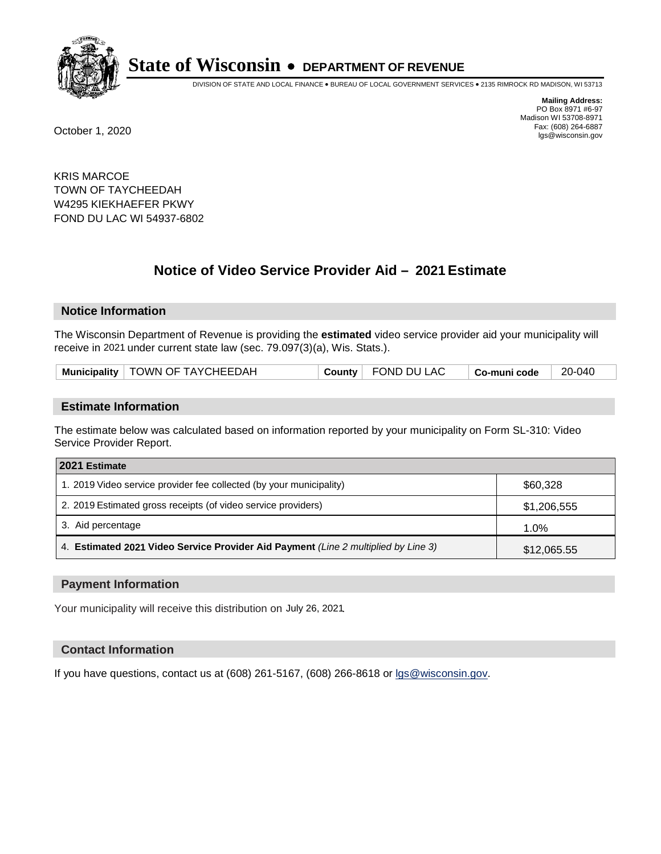

DIVISION OF STATE AND LOCAL FINANCE • BUREAU OF LOCAL GOVERNMENT SERVICES • 2135 RIMROCK RD MADISON, WI 53713

**Mailing Address:** PO Box 8971 #6-97 Madison WI 53708-8971<br>Fax: (608) 264-6887 Fax: (608) 264-6887 October 1, 2020 lgs@wisconsin.gov

KRIS MARCOE TOWN OF TAYCHEEDAH W4295 KIEKHAEFER PKWY FOND DU LAC WI 54937-6802

# **Notice of Video Service Provider Aid - 2021 Estimate**

## **Notice Information**

The Wisconsin Department of Revenue is providing the **estimated** video service provider aid your municipality will receive in 2021 under current state law (sec. 79.097(3)(a), Wis. Stats.).

| Municipality   TOWN OF TAYCHEEDAH<br>FOND DU LAC<br>County<br>$\mid$ Co-muni code | 20-040 |
|-----------------------------------------------------------------------------------|--------|
|-----------------------------------------------------------------------------------|--------|

#### **Estimate Information**

The estimate below was calculated based on information reported by your municipality on Form SL-310: Video Service Provider Report.

| 2021 Estimate                                                                      |             |  |  |
|------------------------------------------------------------------------------------|-------------|--|--|
| 1. 2019 Video service provider fee collected (by your municipality)                | \$60,328    |  |  |
| 2. 2019 Estimated gross receipts (of video service providers)                      | \$1,206,555 |  |  |
| 3. Aid percentage                                                                  | 1.0%        |  |  |
| 4. Estimated 2021 Video Service Provider Aid Payment (Line 2 multiplied by Line 3) | \$12,065.55 |  |  |

#### **Payment Information**

Your municipality will receive this distribution on July 26, 2021.

## **Contact Information**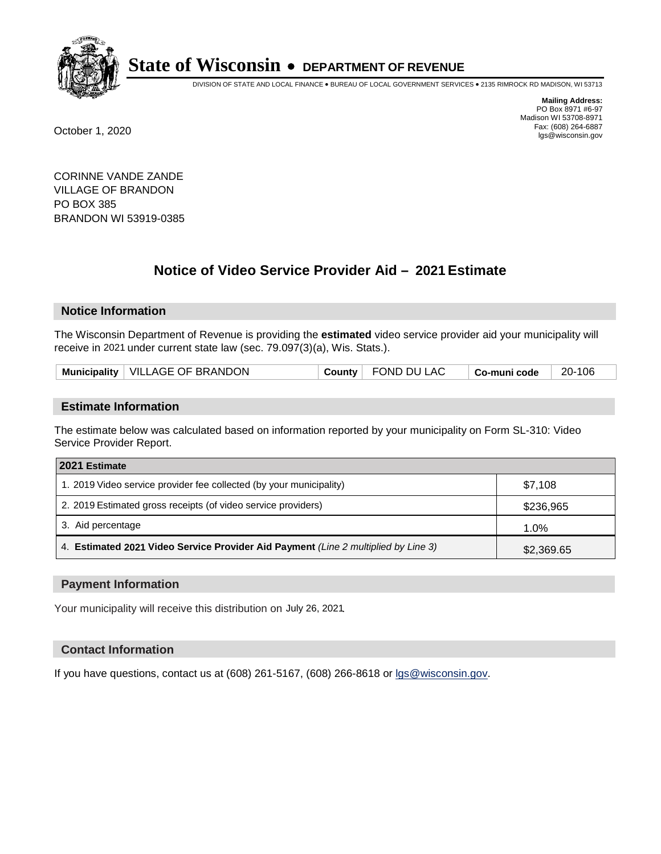

DIVISION OF STATE AND LOCAL FINANCE • BUREAU OF LOCAL GOVERNMENT SERVICES • 2135 RIMROCK RD MADISON, WI 53713

**Mailing Address:** PO Box 8971 #6-97 Madison WI 53708-8971<br>Fax: (608) 264-6887 Fax: (608) 264-6887 October 1, 2020 lgs@wisconsin.gov

CORINNE VANDE ZANDE VILLAGE OF BRANDON PO BOX 385 BRANDON WI 53919-0385

# **Notice of Video Service Provider Aid - 2021 Estimate**

## **Notice Information**

The Wisconsin Department of Revenue is providing the **estimated** video service provider aid your municipality will receive in 2021 under current state law (sec. 79.097(3)(a), Wis. Stats.).

| Municipality   VILLAGE OF BRANDON | <b>County</b> FOND DU LAC | 20-106<br>$\mid$ Co-muni code |
|-----------------------------------|---------------------------|-------------------------------|
|-----------------------------------|---------------------------|-------------------------------|

#### **Estimate Information**

The estimate below was calculated based on information reported by your municipality on Form SL-310: Video Service Provider Report.

| 2021 Estimate                                                                      |            |  |  |
|------------------------------------------------------------------------------------|------------|--|--|
| 1. 2019 Video service provider fee collected (by your municipality)                | \$7.108    |  |  |
| 2. 2019 Estimated gross receipts (of video service providers)                      | \$236,965  |  |  |
| 3. Aid percentage                                                                  | 1.0%       |  |  |
| 4. Estimated 2021 Video Service Provider Aid Payment (Line 2 multiplied by Line 3) | \$2,369.65 |  |  |

#### **Payment Information**

Your municipality will receive this distribution on July 26, 2021.

## **Contact Information**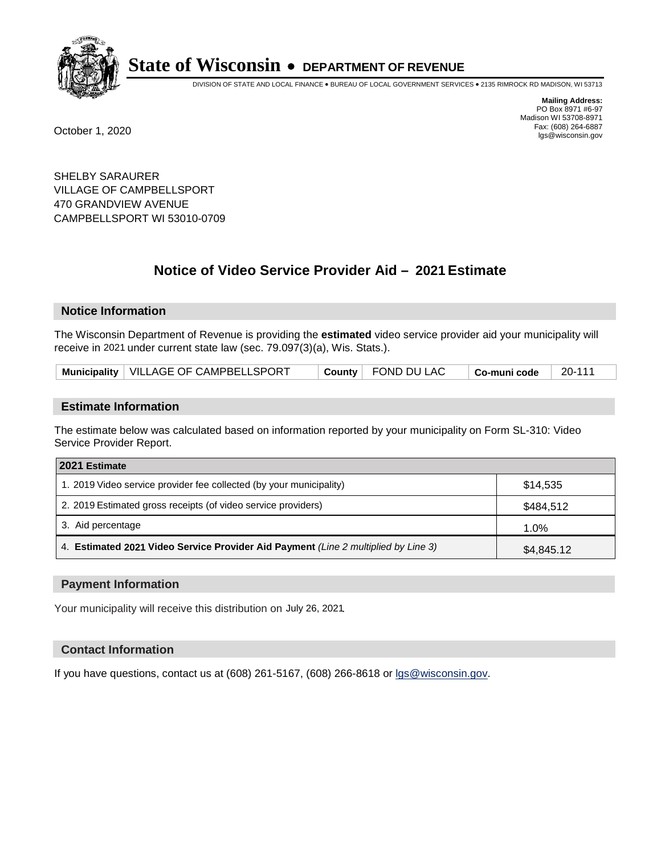

DIVISION OF STATE AND LOCAL FINANCE • BUREAU OF LOCAL GOVERNMENT SERVICES • 2135 RIMROCK RD MADISON, WI 53713

**Mailing Address:** PO Box 8971 #6-97 Madison WI 53708-8971<br>Fax: (608) 264-6887 Fax: (608) 264-6887 October 1, 2020 lgs@wisconsin.gov

SHELBY SARAURER VILLAGE OF CAMPBELLSPORT 470 GRANDVIEW AVENUE CAMPBELLSPORT WI 53010-0709

# **Notice of Video Service Provider Aid - 2021 Estimate**

## **Notice Information**

The Wisconsin Department of Revenue is providing the **estimated** video service provider aid your municipality will receive in 2021 under current state law (sec. 79.097(3)(a), Wis. Stats.).

| Municipality   VILLAGE OF CAMPBELLSPORT |  | $\top$ County $\top$ FOND DU LAC | Co-muni code | 20-111 |
|-----------------------------------------|--|----------------------------------|--------------|--------|
|-----------------------------------------|--|----------------------------------|--------------|--------|

#### **Estimate Information**

The estimate below was calculated based on information reported by your municipality on Form SL-310: Video Service Provider Report.

| 2021 Estimate                                                                      |            |  |  |
|------------------------------------------------------------------------------------|------------|--|--|
| 1. 2019 Video service provider fee collected (by your municipality)                | \$14,535   |  |  |
| 2. 2019 Estimated gross receipts (of video service providers)                      | \$484,512  |  |  |
| 3. Aid percentage                                                                  | 1.0%       |  |  |
| 4. Estimated 2021 Video Service Provider Aid Payment (Line 2 multiplied by Line 3) | \$4,845.12 |  |  |

#### **Payment Information**

Your municipality will receive this distribution on July 26, 2021.

## **Contact Information**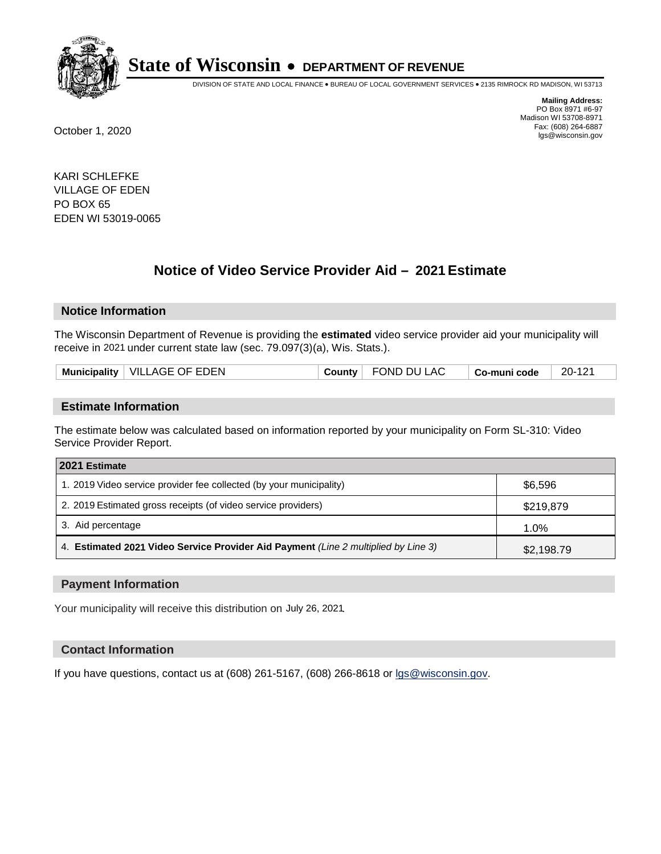

DIVISION OF STATE AND LOCAL FINANCE • BUREAU OF LOCAL GOVERNMENT SERVICES • 2135 RIMROCK RD MADISON, WI 53713

**Mailing Address:** PO Box 8971 #6-97 Madison WI 53708-8971<br>Fax: (608) 264-6887 Fax: (608) 264-6887 October 1, 2020 lgs@wisconsin.gov

KARI SCHLEFKE VILLAGE OF EDEN PO BOX 65 EDEN WI 53019-0065

# **Notice of Video Service Provider Aid - 2021 Estimate**

## **Notice Information**

The Wisconsin Department of Revenue is providing the **estimated** video service provider aid your municipality will receive in 2021 under current state law (sec. 79.097(3)(a), Wis. Stats.).

|  | Municipality | <b>VILLAGE OF EDEN</b> | ∵ountvٽ | OND DU LAC | Co-muni code | 20-121 |
|--|--------------|------------------------|---------|------------|--------------|--------|
|--|--------------|------------------------|---------|------------|--------------|--------|

#### **Estimate Information**

The estimate below was calculated based on information reported by your municipality on Form SL-310: Video Service Provider Report.

| 2021 Estimate                                                                      |            |  |  |
|------------------------------------------------------------------------------------|------------|--|--|
| 1. 2019 Video service provider fee collected (by your municipality)                | \$6,596    |  |  |
| 2. 2019 Estimated gross receipts (of video service providers)                      | \$219,879  |  |  |
| 3. Aid percentage                                                                  | 1.0%       |  |  |
| 4. Estimated 2021 Video Service Provider Aid Payment (Line 2 multiplied by Line 3) | \$2,198.79 |  |  |

#### **Payment Information**

Your municipality will receive this distribution on July 26, 2021.

## **Contact Information**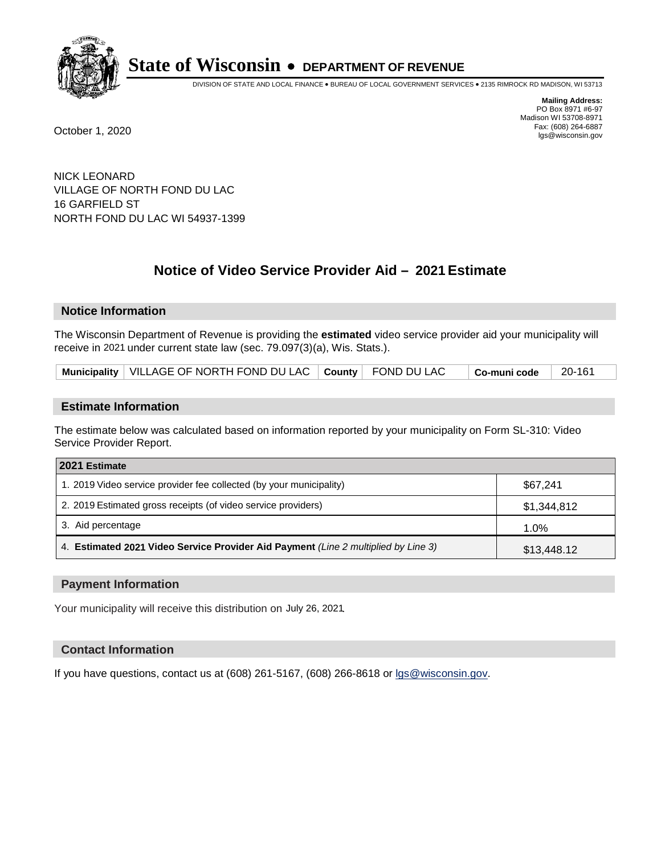

DIVISION OF STATE AND LOCAL FINANCE • BUREAU OF LOCAL GOVERNMENT SERVICES • 2135 RIMROCK RD MADISON, WI 53713

**Mailing Address:** PO Box 8971 #6-97 Madison WI 53708-8971<br>Fax: (608) 264-6887 Fax: (608) 264-6887 October 1, 2020 lgs@wisconsin.gov

NICK LEONARD VILLAGE OF NORTH FOND DU LAC 16 GARFIELD ST NORTH FOND DU LAC WI 54937-1399

# **Notice of Video Service Provider Aid - 2021 Estimate**

## **Notice Information**

The Wisconsin Department of Revenue is providing the **estimated** video service provider aid your municipality will receive in 2021 under current state law (sec. 79.097(3)(a), Wis. Stats.).

|  | Municipality   VILLAGE OF NORTH FOND DU LAC   County   FOND DU LAC |  |  | $\Box$ Co-muni code | 20-161 |  |
|--|--------------------------------------------------------------------|--|--|---------------------|--------|--|
|--|--------------------------------------------------------------------|--|--|---------------------|--------|--|

#### **Estimate Information**

The estimate below was calculated based on information reported by your municipality on Form SL-310: Video Service Provider Report.

| 2021 Estimate                                                                      |             |  |  |
|------------------------------------------------------------------------------------|-------------|--|--|
| 1. 2019 Video service provider fee collected (by your municipality)                | \$67.241    |  |  |
| 2. 2019 Estimated gross receipts (of video service providers)                      | \$1,344,812 |  |  |
| 3. Aid percentage                                                                  | 1.0%        |  |  |
| 4. Estimated 2021 Video Service Provider Aid Payment (Line 2 multiplied by Line 3) | \$13,448.12 |  |  |

#### **Payment Information**

Your municipality will receive this distribution on July 26, 2021.

## **Contact Information**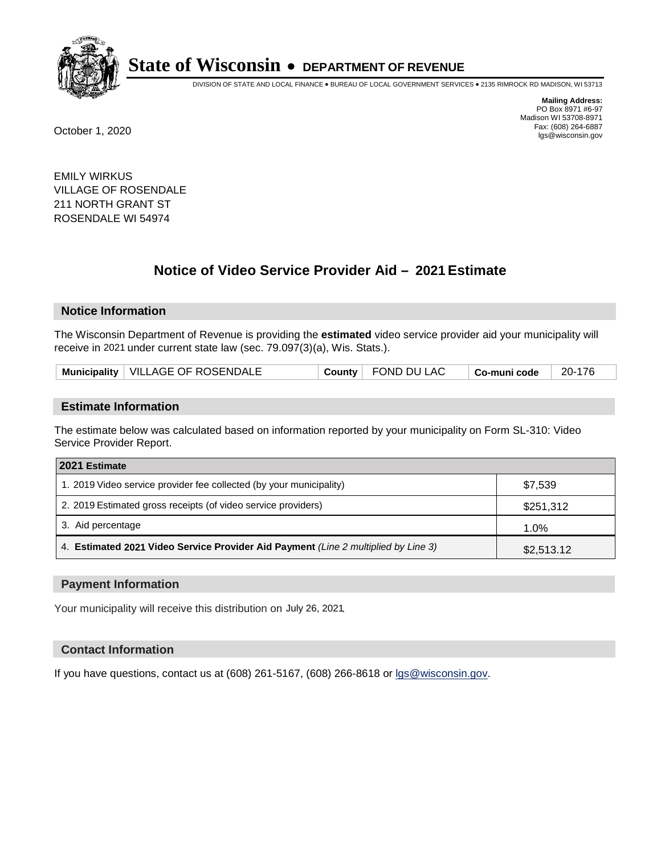

DIVISION OF STATE AND LOCAL FINANCE • BUREAU OF LOCAL GOVERNMENT SERVICES • 2135 RIMROCK RD MADISON, WI 53713

**Mailing Address:** PO Box 8971 #6-97 Madison WI 53708-8971<br>Fax: (608) 264-6887 Fax: (608) 264-6887 October 1, 2020 lgs@wisconsin.gov

EMILY WIRKUS VILLAGE OF ROSENDALE 211 NORTH GRANT ST ROSENDALE WI 54974

# **Notice of Video Service Provider Aid - 2021 Estimate**

## **Notice Information**

The Wisconsin Department of Revenue is providing the **estimated** video service provider aid your municipality will receive in 2021 under current state law (sec. 79.097(3)(a), Wis. Stats.).

| Municipality   VILLAGE OF ROSENDALE<br>County FOND DU LAC | $\overline{\phantom{a}}$ Co-muni code | 20-176 |
|-----------------------------------------------------------|---------------------------------------|--------|
|-----------------------------------------------------------|---------------------------------------|--------|

#### **Estimate Information**

The estimate below was calculated based on information reported by your municipality on Form SL-310: Video Service Provider Report.

| 2021 Estimate                                                                      |            |
|------------------------------------------------------------------------------------|------------|
| 1. 2019 Video service provider fee collected (by your municipality)                | \$7,539    |
| 2. 2019 Estimated gross receipts (of video service providers)                      | \$251,312  |
| 3. Aid percentage                                                                  | 1.0%       |
| 4. Estimated 2021 Video Service Provider Aid Payment (Line 2 multiplied by Line 3) | \$2,513.12 |

#### **Payment Information**

Your municipality will receive this distribution on July 26, 2021.

## **Contact Information**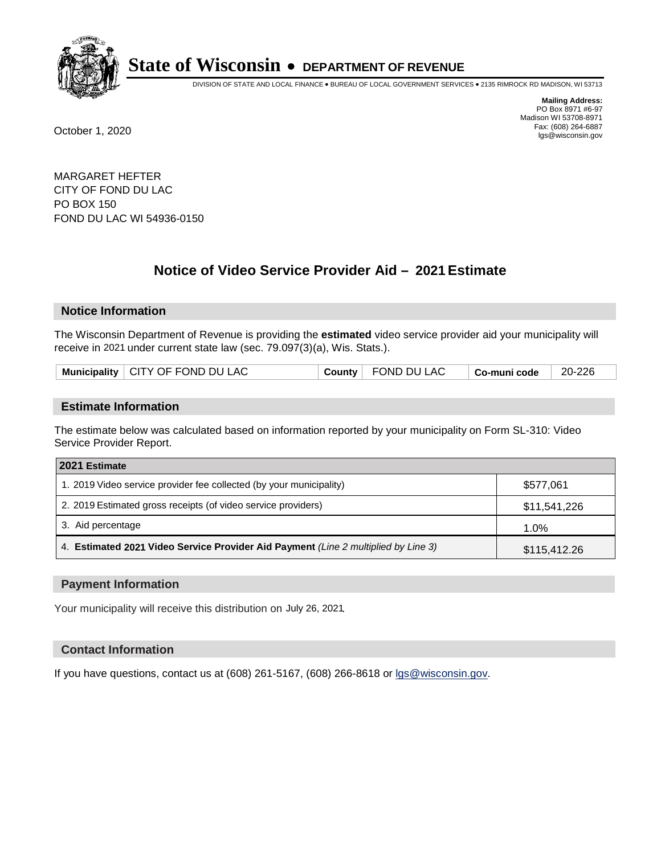

DIVISION OF STATE AND LOCAL FINANCE • BUREAU OF LOCAL GOVERNMENT SERVICES • 2135 RIMROCK RD MADISON, WI 53713

**Mailing Address:** PO Box 8971 #6-97 Madison WI 53708-8971<br>Fax: (608) 264-6887 Fax: (608) 264-6887 October 1, 2020 lgs@wisconsin.gov

MARGARET HEFTER CITY OF FOND DU LAC PO BOX 150 FOND DU LAC WI 54936-0150

# **Notice of Video Service Provider Aid - 2021 Estimate**

## **Notice Information**

The Wisconsin Department of Revenue is providing the **estimated** video service provider aid your municipality will receive in 2021 under current state law (sec. 79.097(3)(a), Wis. Stats.).

| Municipality   CITY OF FOND DU LAC | County | FOND DU LAC | ∣ Co-muni code | 20-226 |
|------------------------------------|--------|-------------|----------------|--------|
|------------------------------------|--------|-------------|----------------|--------|

#### **Estimate Information**

The estimate below was calculated based on information reported by your municipality on Form SL-310: Video Service Provider Report.

| 2021 Estimate                                                                      |              |
|------------------------------------------------------------------------------------|--------------|
| 1. 2019 Video service provider fee collected (by your municipality)                | \$577.061    |
| 2. 2019 Estimated gross receipts (of video service providers)                      | \$11,541,226 |
| 3. Aid percentage                                                                  | 1.0%         |
| 4. Estimated 2021 Video Service Provider Aid Payment (Line 2 multiplied by Line 3) | \$115,412.26 |

#### **Payment Information**

Your municipality will receive this distribution on July 26, 2021.

## **Contact Information**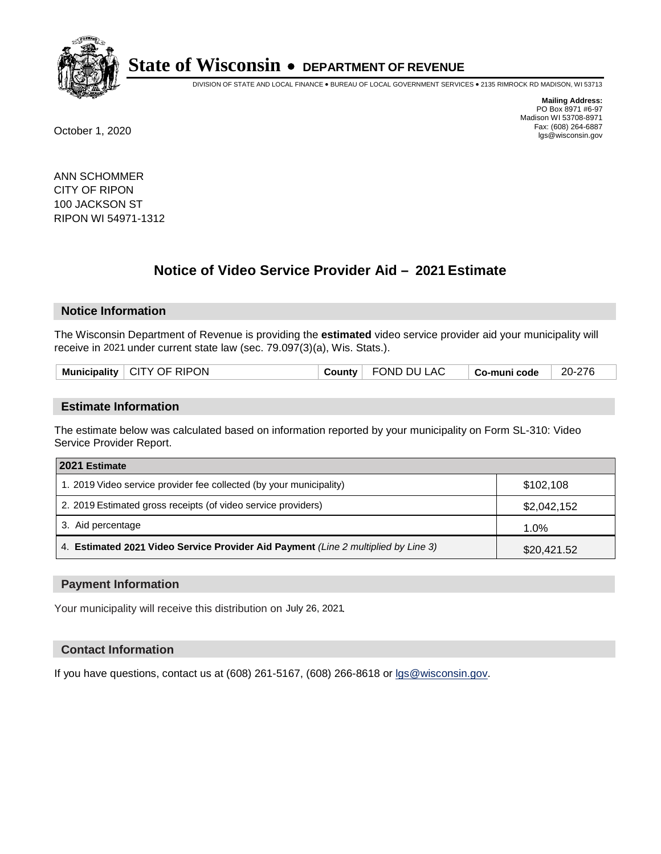

DIVISION OF STATE AND LOCAL FINANCE • BUREAU OF LOCAL GOVERNMENT SERVICES • 2135 RIMROCK RD MADISON, WI 53713

**Mailing Address:** PO Box 8971 #6-97 Madison WI 53708-8971<br>Fax: (608) 264-6887 Fax: (608) 264-6887 October 1, 2020 lgs@wisconsin.gov

ANN SCHOMMER CITY OF RIPON 100 JACKSON ST RIPON WI 54971-1312

# **Notice of Video Service Provider Aid - 2021 Estimate**

## **Notice Information**

The Wisconsin Department of Revenue is providing the **estimated** video service provider aid your municipality will receive in 2021 under current state law (sec. 79.097(3)(a), Wis. Stats.).

| <b>Municipality</b> | CITY OF RIPON | ∴∩untv | _AC<br>FONE<br>DU. | Co-muni code | 20- |
|---------------------|---------------|--------|--------------------|--------------|-----|
|                     |               |        |                    |              |     |

#### **Estimate Information**

The estimate below was calculated based on information reported by your municipality on Form SL-310: Video Service Provider Report.

| 2021 Estimate                                                                      |             |
|------------------------------------------------------------------------------------|-------------|
| 1. 2019 Video service provider fee collected (by your municipality)                | \$102.108   |
| 2. 2019 Estimated gross receipts (of video service providers)                      | \$2,042,152 |
| 3. Aid percentage                                                                  | 1.0%        |
| 4. Estimated 2021 Video Service Provider Aid Payment (Line 2 multiplied by Line 3) | \$20,421.52 |

#### **Payment Information**

Your municipality will receive this distribution on July 26, 2021.

## **Contact Information**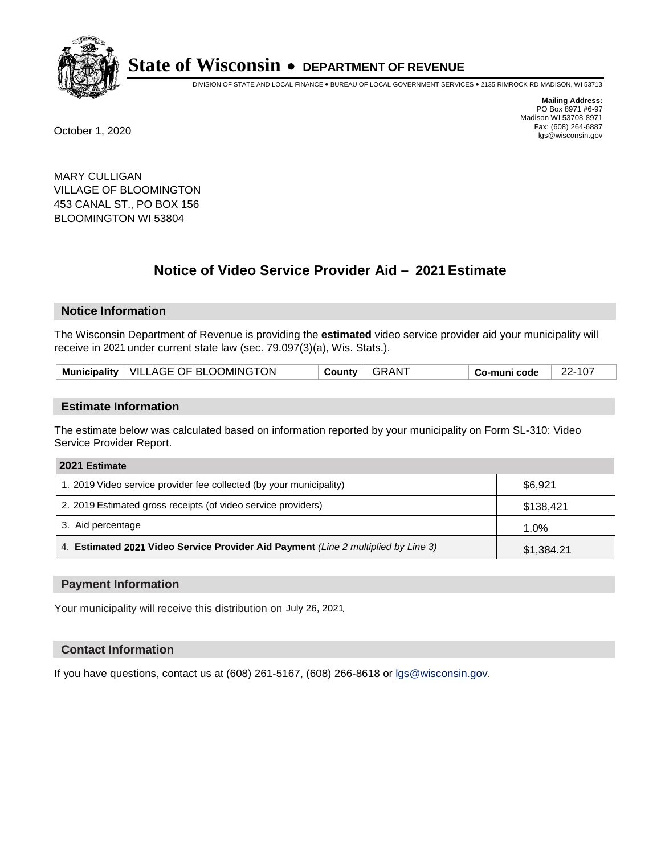

DIVISION OF STATE AND LOCAL FINANCE • BUREAU OF LOCAL GOVERNMENT SERVICES • 2135 RIMROCK RD MADISON, WI 53713

**Mailing Address:** PO Box 8971 #6-97 Madison WI 53708-8971<br>Fax: (608) 264-6887 Fax: (608) 264-6887 October 1, 2020 lgs@wisconsin.gov

MARY CULLIGAN VILLAGE OF BLOOMINGTON 453 CANAL ST., PO BOX 156 BLOOMINGTON WI 53804

# **Notice of Video Service Provider Aid - 2021 Estimate**

## **Notice Information**

The Wisconsin Department of Revenue is providing the **estimated** video service provider aid your municipality will receive in 2021 under current state law (sec. 79.097(3)(a), Wis. Stats.).

| Municipality   VILLAGE OF BLOOMINGTON | County GRANT | 22-107<br><sup>⊢</sup> Co-muni code |  |
|---------------------------------------|--------------|-------------------------------------|--|
|---------------------------------------|--------------|-------------------------------------|--|

#### **Estimate Information**

The estimate below was calculated based on information reported by your municipality on Form SL-310: Video Service Provider Report.

| 2021 Estimate                                                                      |            |
|------------------------------------------------------------------------------------|------------|
| 1. 2019 Video service provider fee collected (by your municipality)                | \$6,921    |
| 2. 2019 Estimated gross receipts (of video service providers)                      | \$138,421  |
| 3. Aid percentage                                                                  | 1.0%       |
| 4. Estimated 2021 Video Service Provider Aid Payment (Line 2 multiplied by Line 3) | \$1,384.21 |

#### **Payment Information**

Your municipality will receive this distribution on July 26, 2021.

## **Contact Information**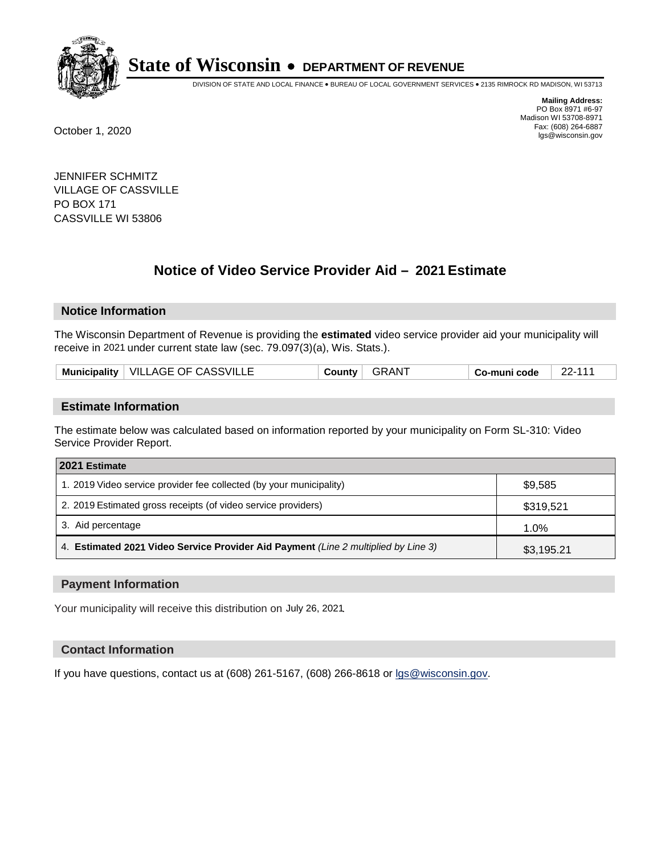

DIVISION OF STATE AND LOCAL FINANCE • BUREAU OF LOCAL GOVERNMENT SERVICES • 2135 RIMROCK RD MADISON, WI 53713

**Mailing Address:** PO Box 8971 #6-97 Madison WI 53708-8971<br>Fax: (608) 264-6887 Fax: (608) 264-6887 October 1, 2020 lgs@wisconsin.gov

JENNIFER SCHMITZ VILLAGE OF CASSVILLE PO BOX 171 CASSVILLE WI 53806

# **Notice of Video Service Provider Aid - 2021 Estimate**

## **Notice Information**

The Wisconsin Department of Revenue is providing the **estimated** video service provider aid your municipality will receive in 2021 under current state law (sec. 79.097(3)(a), Wis. Stats.).

| Municipality   VILLAGE OF CASSVILLE<br><b>GRAN</b><br>22-11′<br>County<br>Co-muni code |  |
|----------------------------------------------------------------------------------------|--|
|----------------------------------------------------------------------------------------|--|

#### **Estimate Information**

The estimate below was calculated based on information reported by your municipality on Form SL-310: Video Service Provider Report.

| 2021 Estimate                                                                      |            |
|------------------------------------------------------------------------------------|------------|
| 1. 2019 Video service provider fee collected (by your municipality)                | \$9.585    |
| 2. 2019 Estimated gross receipts (of video service providers)                      | \$319,521  |
| 3. Aid percentage                                                                  | 1.0%       |
| 4. Estimated 2021 Video Service Provider Aid Payment (Line 2 multiplied by Line 3) | \$3,195.21 |

#### **Payment Information**

Your municipality will receive this distribution on July 26, 2021.

## **Contact Information**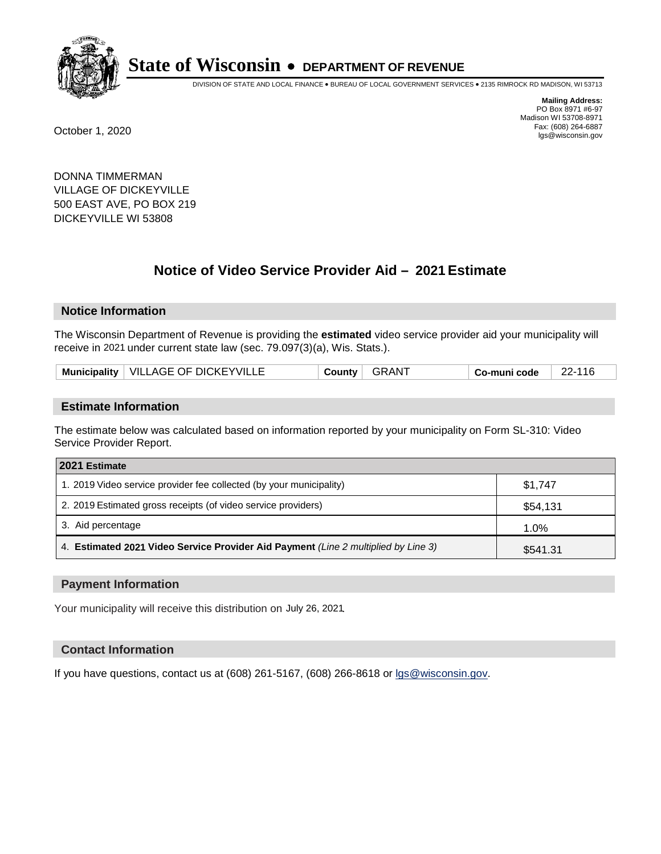

DIVISION OF STATE AND LOCAL FINANCE • BUREAU OF LOCAL GOVERNMENT SERVICES • 2135 RIMROCK RD MADISON, WI 53713

**Mailing Address:** PO Box 8971 #6-97 Madison WI 53708-8971<br>Fax: (608) 264-6887 Fax: (608) 264-6887 October 1, 2020 lgs@wisconsin.gov

DONNA TIMMERMAN VILLAGE OF DICKEYVILLE 500 EAST AVE, PO BOX 219 DICKEYVILLE WI 53808

# **Notice of Video Service Provider Aid - 2021 Estimate**

## **Notice Information**

The Wisconsin Department of Revenue is providing the **estimated** video service provider aid your municipality will receive in 2021 under current state law (sec. 79.097(3)(a), Wis. Stats.).

|  | VILLAGE OF DICKEYVILLE<br><b>Municipality</b> | ∵ountyٽ | <b>GRAN</b> | o-muni codeٽ | າາ<br>116 |
|--|-----------------------------------------------|---------|-------------|--------------|-----------|
|--|-----------------------------------------------|---------|-------------|--------------|-----------|

#### **Estimate Information**

The estimate below was calculated based on information reported by your municipality on Form SL-310: Video Service Provider Report.

| 2021 Estimate                                                                      |          |
|------------------------------------------------------------------------------------|----------|
| 1. 2019 Video service provider fee collected (by your municipality)                | \$1.747  |
| 2. 2019 Estimated gross receipts (of video service providers)                      | \$54,131 |
| 3. Aid percentage                                                                  | 1.0%     |
| 4. Estimated 2021 Video Service Provider Aid Payment (Line 2 multiplied by Line 3) | \$541.31 |

#### **Payment Information**

Your municipality will receive this distribution on July 26, 2021.

## **Contact Information**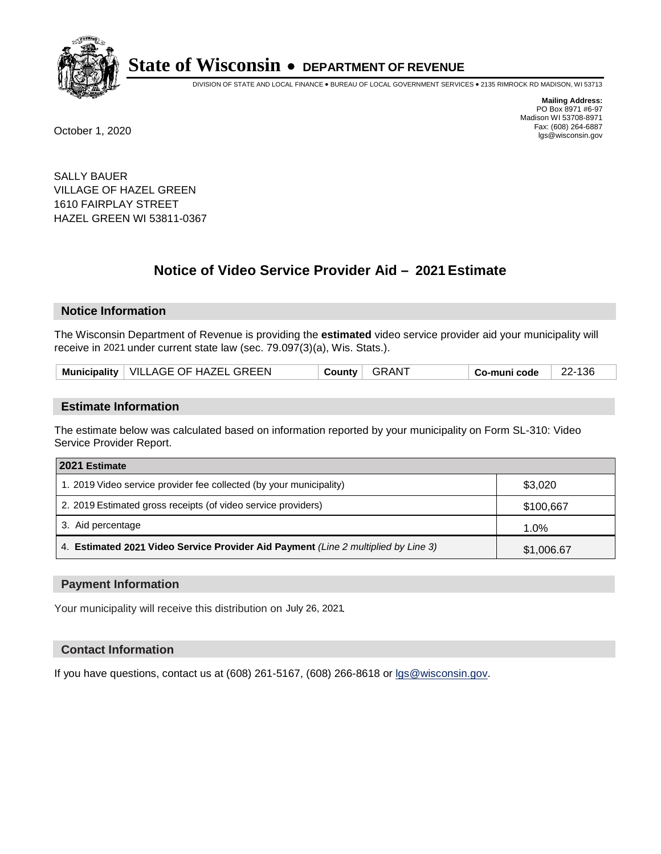

DIVISION OF STATE AND LOCAL FINANCE • BUREAU OF LOCAL GOVERNMENT SERVICES • 2135 RIMROCK RD MADISON, WI 53713

**Mailing Address:** PO Box 8971 #6-97 Madison WI 53708-8971<br>Fax: (608) 264-6887 Fax: (608) 264-6887 October 1, 2020 lgs@wisconsin.gov

SALLY BAUER VILLAGE OF HAZEL GREEN 1610 FAIRPLAY STREET HAZEL GREEN WI 53811-0367

# **Notice of Video Service Provider Aid - 2021 Estimate**

## **Notice Information**

The Wisconsin Department of Revenue is providing the **estimated** video service provider aid your municipality will receive in 2021 under current state law (sec. 79.097(3)(a), Wis. Stats.).

| Municipality   VILLAGE OF HAZEL GREEN | GRANT<br>County | 22-136<br>$\top$ Co-muni code $\top$ |  |
|---------------------------------------|-----------------|--------------------------------------|--|
|---------------------------------------|-----------------|--------------------------------------|--|

#### **Estimate Information**

The estimate below was calculated based on information reported by your municipality on Form SL-310: Video Service Provider Report.

| 2021 Estimate                                                                      |            |  |
|------------------------------------------------------------------------------------|------------|--|
| 1. 2019 Video service provider fee collected (by your municipality)                | \$3,020    |  |
| 2. 2019 Estimated gross receipts (of video service providers)                      | \$100,667  |  |
| 3. Aid percentage                                                                  | 1.0%       |  |
| 4. Estimated 2021 Video Service Provider Aid Payment (Line 2 multiplied by Line 3) | \$1,006.67 |  |

#### **Payment Information**

Your municipality will receive this distribution on July 26, 2021.

## **Contact Information**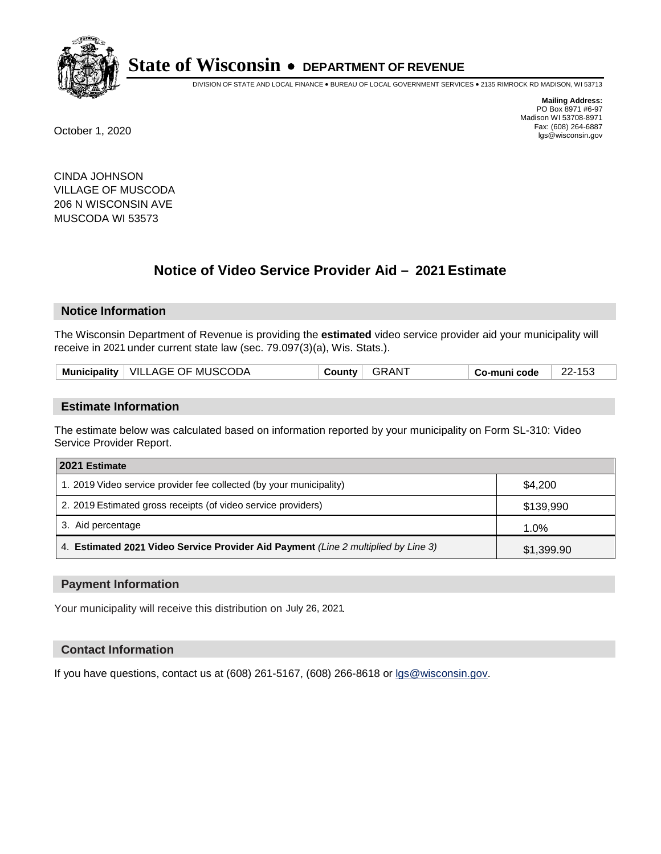

DIVISION OF STATE AND LOCAL FINANCE • BUREAU OF LOCAL GOVERNMENT SERVICES • 2135 RIMROCK RD MADISON, WI 53713

**Mailing Address:** PO Box 8971 #6-97 Madison WI 53708-8971<br>Fax: (608) 264-6887 Fax: (608) 264-6887 October 1, 2020 lgs@wisconsin.gov

CINDA JOHNSON VILLAGE OF MUSCODA 206 N WISCONSIN AVE MUSCODA WI 53573

# **Notice of Video Service Provider Aid - 2021 Estimate**

## **Notice Information**

The Wisconsin Department of Revenue is providing the **estimated** video service provider aid your municipality will receive in 2021 under current state law (sec. 79.097(3)(a), Wis. Stats.).

| Municipality   VILLAGE OF MUSCODA | GRANT<br>County | 22-153<br>Co-muni code |  |
|-----------------------------------|-----------------|------------------------|--|
|-----------------------------------|-----------------|------------------------|--|

#### **Estimate Information**

The estimate below was calculated based on information reported by your municipality on Form SL-310: Video Service Provider Report.

| 2021 Estimate                                                                      |            |  |
|------------------------------------------------------------------------------------|------------|--|
| 1. 2019 Video service provider fee collected (by your municipality)                | \$4.200    |  |
| 2. 2019 Estimated gross receipts (of video service providers)                      | \$139,990  |  |
| 3. Aid percentage                                                                  | 1.0%       |  |
| 4. Estimated 2021 Video Service Provider Aid Payment (Line 2 multiplied by Line 3) | \$1,399.90 |  |

#### **Payment Information**

Your municipality will receive this distribution on July 26, 2021.

## **Contact Information**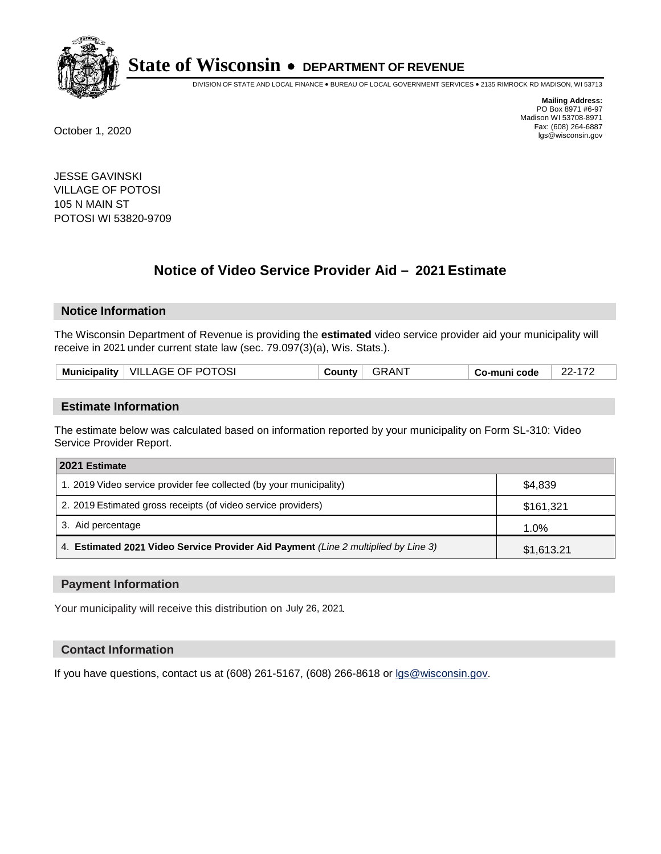

DIVISION OF STATE AND LOCAL FINANCE • BUREAU OF LOCAL GOVERNMENT SERVICES • 2135 RIMROCK RD MADISON, WI 53713

**Mailing Address:** PO Box 8971 #6-97 Madison WI 53708-8971<br>Fax: (608) 264-6887 Fax: (608) 264-6887 October 1, 2020 lgs@wisconsin.gov

JESSE GAVINSKI VILLAGE OF POTOSI 105 N MAIN ST POTOSI WI 53820-9709

# **Notice of Video Service Provider Aid - 2021 Estimate**

## **Notice Information**

The Wisconsin Department of Revenue is providing the **estimated** video service provider aid your municipality will receive in 2021 under current state law (sec. 79.097(3)(a), Wis. Stats.).

|  |  | Municipality   VILLAGE OF POTOSI | ∴ountvٽ | GRAN1 | o-muni code، ت | $22 -$ |
|--|--|----------------------------------|---------|-------|----------------|--------|
|--|--|----------------------------------|---------|-------|----------------|--------|

#### **Estimate Information**

The estimate below was calculated based on information reported by your municipality on Form SL-310: Video Service Provider Report.

| 2021 Estimate                                                                      |            |  |
|------------------------------------------------------------------------------------|------------|--|
| 1. 2019 Video service provider fee collected (by your municipality)                | \$4,839    |  |
| 2. 2019 Estimated gross receipts (of video service providers)                      | \$161,321  |  |
| 3. Aid percentage                                                                  | 1.0%       |  |
| 4. Estimated 2021 Video Service Provider Aid Payment (Line 2 multiplied by Line 3) | \$1,613.21 |  |

#### **Payment Information**

Your municipality will receive this distribution on July 26, 2021.

## **Contact Information**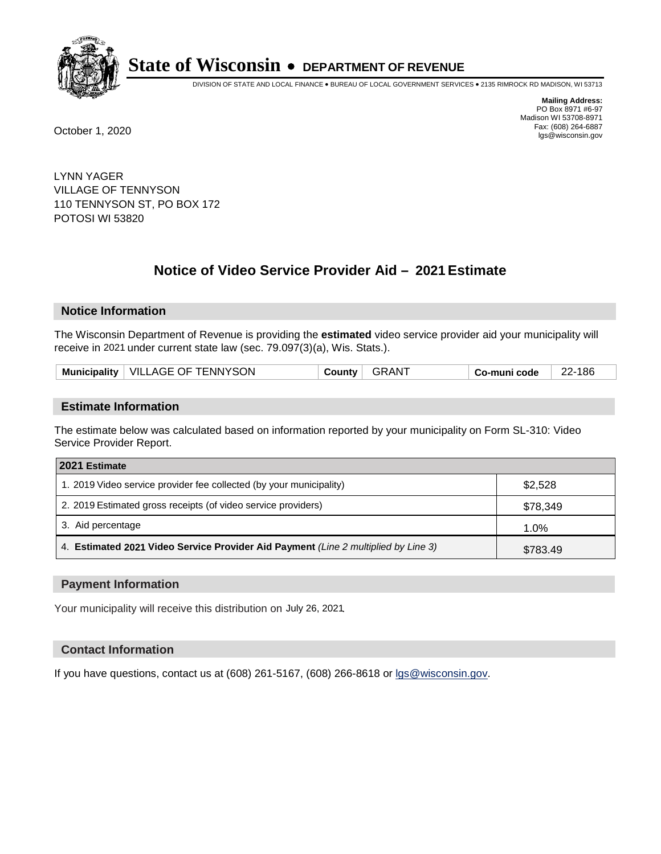

DIVISION OF STATE AND LOCAL FINANCE • BUREAU OF LOCAL GOVERNMENT SERVICES • 2135 RIMROCK RD MADISON, WI 53713

**Mailing Address:** PO Box 8971 #6-97 Madison WI 53708-8971<br>Fax: (608) 264-6887 Fax: (608) 264-6887 October 1, 2020 lgs@wisconsin.gov

LYNN YAGER VILLAGE OF TENNYSON 110 TENNYSON ST, PO BOX 172 POTOSI WI 53820

# **Notice of Video Service Provider Aid - 2021 Estimate**

## **Notice Information**

The Wisconsin Department of Revenue is providing the **estimated** video service provider aid your municipality will receive in 2021 under current state law (sec. 79.097(3)(a), Wis. Stats.).

| Municipality   VILLAGE OF TENNYSON | GRANT<br>Countv | Co-muni code | 22-186 |
|------------------------------------|-----------------|--------------|--------|
|------------------------------------|-----------------|--------------|--------|

#### **Estimate Information**

The estimate below was calculated based on information reported by your municipality on Form SL-310: Video Service Provider Report.

| 2021 Estimate                                                                      |          |
|------------------------------------------------------------------------------------|----------|
| 1. 2019 Video service provider fee collected (by your municipality)                | \$2,528  |
| 2. 2019 Estimated gross receipts (of video service providers)                      | \$78,349 |
| 3. Aid percentage                                                                  | 1.0%     |
| 4. Estimated 2021 Video Service Provider Aid Payment (Line 2 multiplied by Line 3) | \$783.49 |

#### **Payment Information**

Your municipality will receive this distribution on July 26, 2021.

## **Contact Information**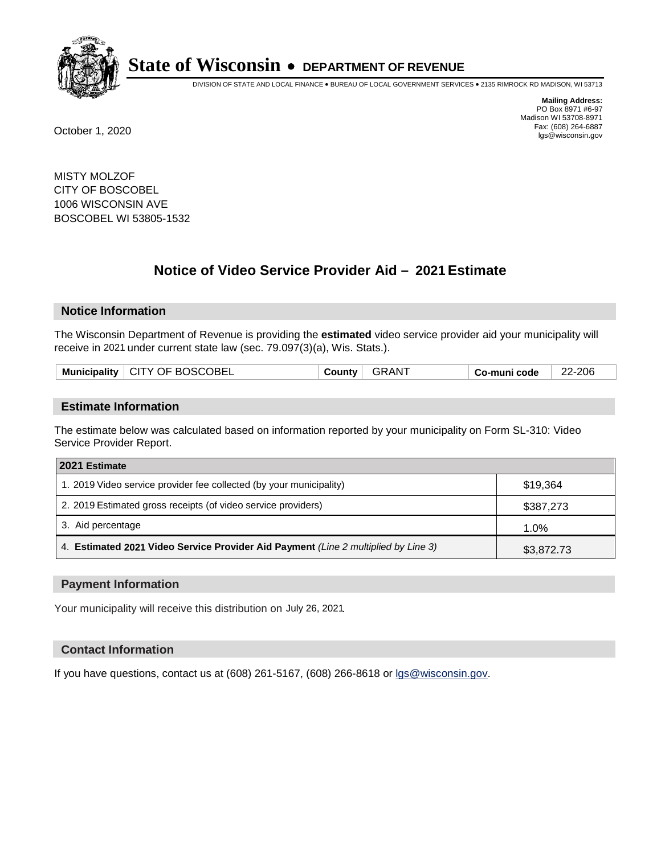

DIVISION OF STATE AND LOCAL FINANCE • BUREAU OF LOCAL GOVERNMENT SERVICES • 2135 RIMROCK RD MADISON, WI 53713

**Mailing Address:** PO Box 8971 #6-97 Madison WI 53708-8971<br>Fax: (608) 264-6887 Fax: (608) 264-6887 October 1, 2020 lgs@wisconsin.gov

MISTY MOLZOF CITY OF BOSCOBEL 1006 WISCONSIN AVE BOSCOBEL WI 53805-1532

# **Notice of Video Service Provider Aid - 2021 Estimate**

## **Notice Information**

The Wisconsin Department of Revenue is providing the **estimated** video service provider aid your municipality will receive in 2021 under current state law (sec. 79.097(3)(a), Wis. Stats.).

|  | Municipality   CITY OF BOSCOBEL | ا ountyت | <b>GRANT</b> | ⊪ Co-muni code | 22-206 |
|--|---------------------------------|----------|--------------|----------------|--------|
|--|---------------------------------|----------|--------------|----------------|--------|

#### **Estimate Information**

The estimate below was calculated based on information reported by your municipality on Form SL-310: Video Service Provider Report.

| 2021 Estimate                                                                      |            |  |
|------------------------------------------------------------------------------------|------------|--|
| 1. 2019 Video service provider fee collected (by your municipality)                | \$19,364   |  |
| 2. 2019 Estimated gross receipts (of video service providers)                      | \$387,273  |  |
| 3. Aid percentage                                                                  | 1.0%       |  |
| 4. Estimated 2021 Video Service Provider Aid Payment (Line 2 multiplied by Line 3) | \$3,872.73 |  |

#### **Payment Information**

Your municipality will receive this distribution on July 26, 2021.

## **Contact Information**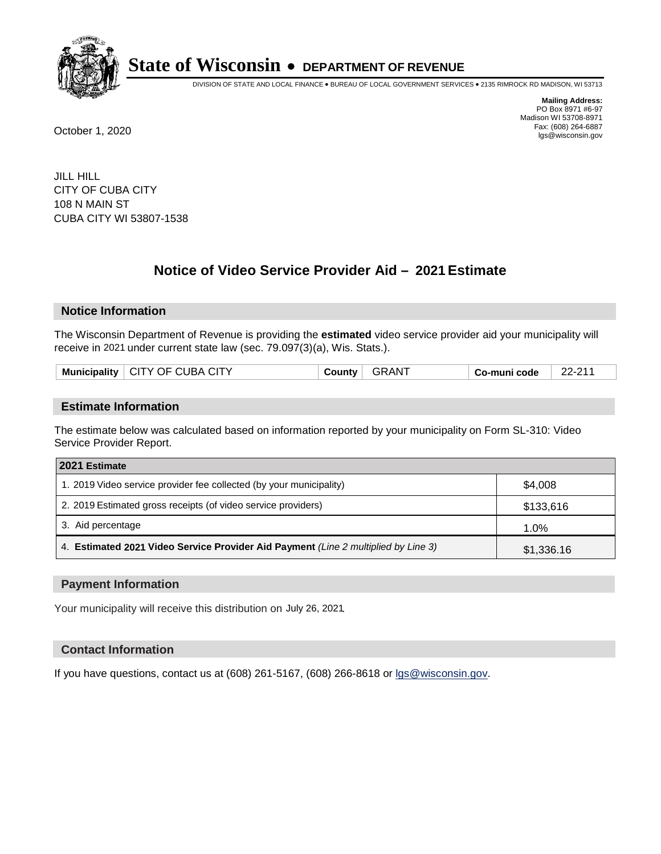

DIVISION OF STATE AND LOCAL FINANCE • BUREAU OF LOCAL GOVERNMENT SERVICES • 2135 RIMROCK RD MADISON, WI 53713

**Mailing Address:** PO Box 8971 #6-97 Madison WI 53708-8971<br>Fax: (608) 264-6887 Fax: (608) 264-6887 October 1, 2020 lgs@wisconsin.gov

JILL HILL CITY OF CUBA CITY 108 N MAIN ST CUBA CITY WI 53807-1538

# **Notice of Video Service Provider Aid - 2021 Estimate**

## **Notice Information**

The Wisconsin Department of Revenue is providing the **estimated** video service provider aid your municipality will receive in 2021 under current state law (sec. 79.097(3)(a), Wis. Stats.).

| <b>Municipality</b> | $\mid$ CITY OF CUBA CITY | County | <b>AN</b> | Co-muni code | $22-21$<br>$\Omega$ |
|---------------------|--------------------------|--------|-----------|--------------|---------------------|
|                     |                          |        |           |              |                     |

#### **Estimate Information**

The estimate below was calculated based on information reported by your municipality on Form SL-310: Video Service Provider Report.

| 2021 Estimate                                                                      |            |  |
|------------------------------------------------------------------------------------|------------|--|
| 1. 2019 Video service provider fee collected (by your municipality)                | \$4,008    |  |
| 2. 2019 Estimated gross receipts (of video service providers)                      | \$133,616  |  |
| 3. Aid percentage                                                                  | 1.0%       |  |
| 4. Estimated 2021 Video Service Provider Aid Payment (Line 2 multiplied by Line 3) | \$1,336.16 |  |

#### **Payment Information**

Your municipality will receive this distribution on July 26, 2021.

## **Contact Information**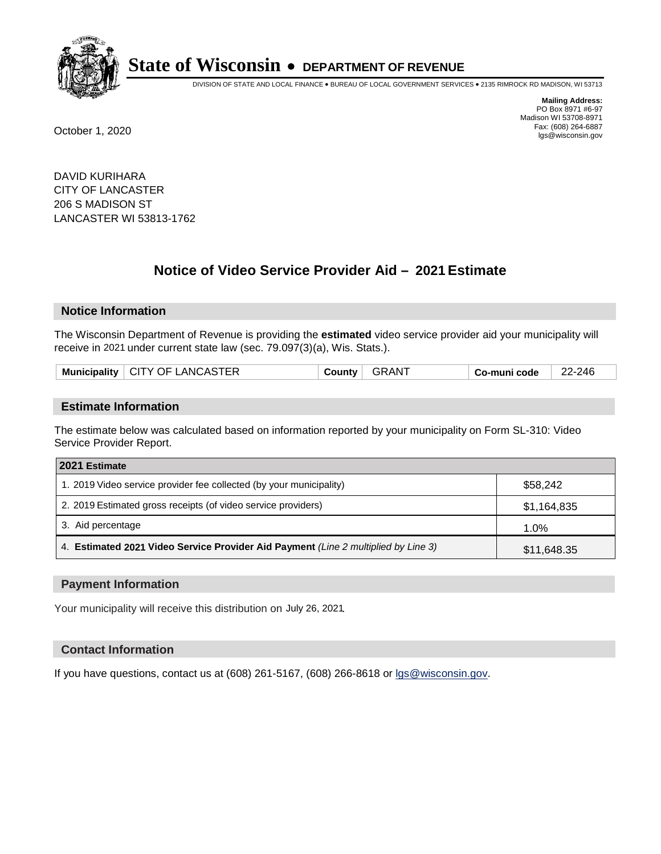

DIVISION OF STATE AND LOCAL FINANCE • BUREAU OF LOCAL GOVERNMENT SERVICES • 2135 RIMROCK RD MADISON, WI 53713

**Mailing Address:** PO Box 8971 #6-97 Madison WI 53708-8971<br>Fax: (608) 264-6887 Fax: (608) 264-6887 October 1, 2020 lgs@wisconsin.gov

DAVID KURIHARA CITY OF LANCASTER 206 S MADISON ST LANCASTER WI 53813-1762

# **Notice of Video Service Provider Aid - 2021 Estimate**

## **Notice Information**

The Wisconsin Department of Revenue is providing the **estimated** video service provider aid your municipality will receive in 2021 under current state law (sec. 79.097(3)(a), Wis. Stats.).

| Municipality   CITY OF LANCASTER | <b>GRAN7</b><br>ا ∨ounty | Co-muni code | 22-246 |
|----------------------------------|--------------------------|--------------|--------|
|----------------------------------|--------------------------|--------------|--------|

#### **Estimate Information**

The estimate below was calculated based on information reported by your municipality on Form SL-310: Video Service Provider Report.

| 2021 Estimate                                                                      |             |  |
|------------------------------------------------------------------------------------|-------------|--|
| 1. 2019 Video service provider fee collected (by your municipality)                | \$58.242    |  |
| 2. 2019 Estimated gross receipts (of video service providers)                      | \$1,164,835 |  |
| 3. Aid percentage                                                                  | 1.0%        |  |
| 4. Estimated 2021 Video Service Provider Aid Payment (Line 2 multiplied by Line 3) | \$11,648.35 |  |

#### **Payment Information**

Your municipality will receive this distribution on July 26, 2021.

## **Contact Information**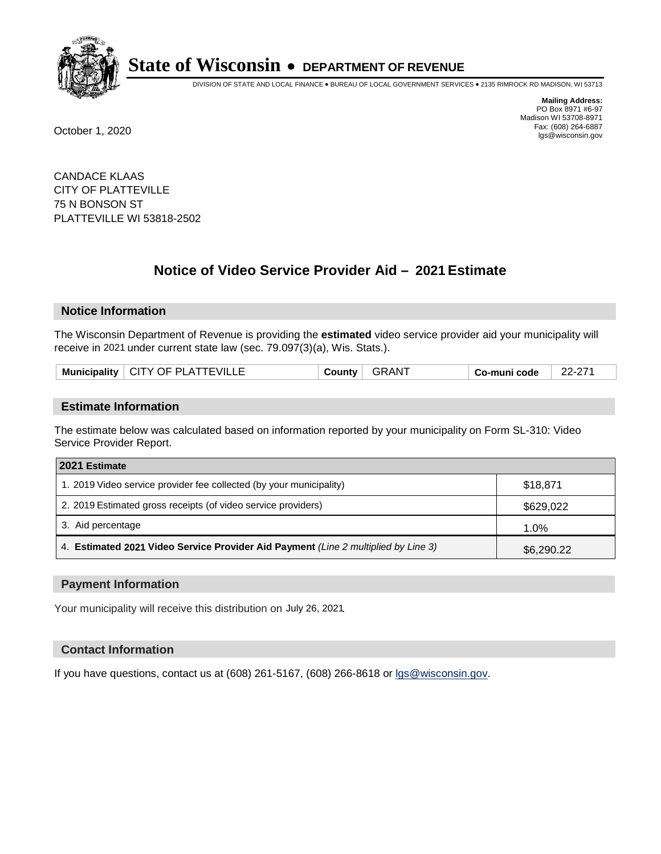

DIVISION OF STATE AND LOCAL FINANCE • BUREAU OF LOCAL GOVERNMENT SERVICES • 2135 RIMROCK RD MADISON, WI 53713

**Mailing Address:** PO Box 8971 #6-97 Madison WI 53708-8971<br>Fax: (608) 264-6887 Fax: (608) 264-6887 October 1, 2020 lgs@wisconsin.gov

CANDACE KLAAS CITY OF PLATTEVILLE 75 N BONSON ST PLATTEVILLE WI 53818-2502

# **Notice of Video Service Provider Aid - 2021 Estimate**

## **Notice Information**

The Wisconsin Department of Revenue is providing the **estimated** video service provider aid your municipality will receive in 2021 under current state law (sec. 79.097(3)(a), Wis. Stats.).

| <b>Municipality</b> |
|---------------------|
|---------------------|

#### **Estimate Information**

The estimate below was calculated based on information reported by your municipality on Form SL-310: Video Service Provider Report.

| 2021 Estimate                                                                      |            |
|------------------------------------------------------------------------------------|------------|
| 1. 2019 Video service provider fee collected (by your municipality)                | \$18,871   |
| 2. 2019 Estimated gross receipts (of video service providers)                      | \$629,022  |
| 3. Aid percentage                                                                  | 1.0%       |
| 4. Estimated 2021 Video Service Provider Aid Payment (Line 2 multiplied by Line 3) | \$6,290.22 |

#### **Payment Information**

Your municipality will receive this distribution on July 26, 2021.

## **Contact Information**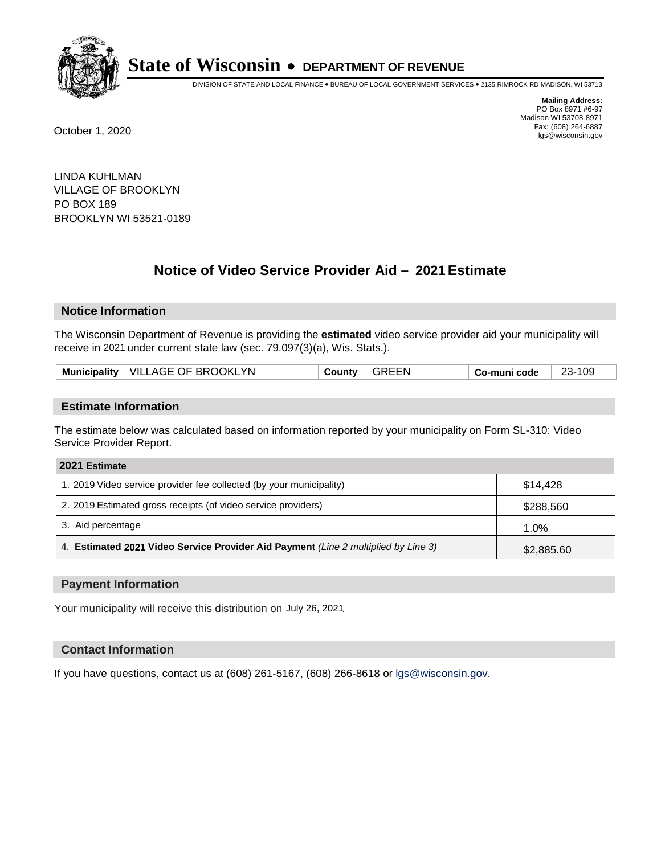

DIVISION OF STATE AND LOCAL FINANCE • BUREAU OF LOCAL GOVERNMENT SERVICES • 2135 RIMROCK RD MADISON, WI 53713

**Mailing Address:** PO Box 8971 #6-97 Madison WI 53708-8971<br>Fax: (608) 264-6887 Fax: (608) 264-6887 October 1, 2020 lgs@wisconsin.gov

LINDA KUHLMAN VILLAGE OF BROOKLYN PO BOX 189 BROOKLYN WI 53521-0189

# **Notice of Video Service Provider Aid - 2021 Estimate**

## **Notice Information**

The Wisconsin Department of Revenue is providing the **estimated** video service provider aid your municipality will receive in 2021 under current state law (sec. 79.097(3)(a), Wis. Stats.).

| Municipality   VILLAGE OF BROOKLYN | GREEN<br>Countv ∣ | Co-muni code | 23-109 |
|------------------------------------|-------------------|--------------|--------|
|------------------------------------|-------------------|--------------|--------|

#### **Estimate Information**

The estimate below was calculated based on information reported by your municipality on Form SL-310: Video Service Provider Report.

| 2021 Estimate                                                                      |            |  |
|------------------------------------------------------------------------------------|------------|--|
| 1. 2019 Video service provider fee collected (by your municipality)                | \$14.428   |  |
| 2. 2019 Estimated gross receipts (of video service providers)                      | \$288,560  |  |
| 3. Aid percentage                                                                  | 1.0%       |  |
| 4. Estimated 2021 Video Service Provider Aid Payment (Line 2 multiplied by Line 3) | \$2,885.60 |  |

#### **Payment Information**

Your municipality will receive this distribution on July 26, 2021.

## **Contact Information**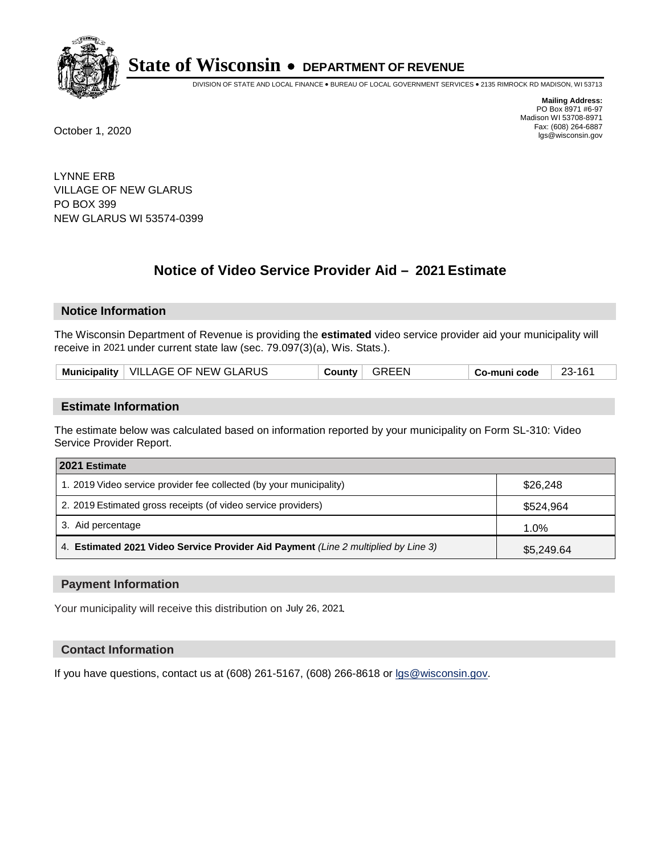

DIVISION OF STATE AND LOCAL FINANCE • BUREAU OF LOCAL GOVERNMENT SERVICES • 2135 RIMROCK RD MADISON, WI 53713

**Mailing Address:** PO Box 8971 #6-97 Madison WI 53708-8971<br>Fax: (608) 264-6887 Fax: (608) 264-6887 October 1, 2020 lgs@wisconsin.gov

LYNNE ERB VILLAGE OF NEW GLARUS PO BOX 399 NEW GLARUS WI 53574-0399

# **Notice of Video Service Provider Aid - 2021 Estimate**

## **Notice Information**

The Wisconsin Department of Revenue is providing the **estimated** video service provider aid your municipality will receive in 2021 under current state law (sec. 79.097(3)(a), Wis. Stats.).

| Municipality   VILLAGE OF NEW GLARUS | GREEN<br>County | 23-161<br>Co-muni code |  |
|--------------------------------------|-----------------|------------------------|--|
|--------------------------------------|-----------------|------------------------|--|

#### **Estimate Information**

The estimate below was calculated based on information reported by your municipality on Form SL-310: Video Service Provider Report.

| 2021 Estimate                                                                      |            |
|------------------------------------------------------------------------------------|------------|
| 1. 2019 Video service provider fee collected (by your municipality)                | \$26,248   |
| 2. 2019 Estimated gross receipts (of video service providers)                      | \$524,964  |
| 3. Aid percentage                                                                  | 1.0%       |
| 4. Estimated 2021 Video Service Provider Aid Payment (Line 2 multiplied by Line 3) | \$5,249.64 |

#### **Payment Information**

Your municipality will receive this distribution on July 26, 2021.

## **Contact Information**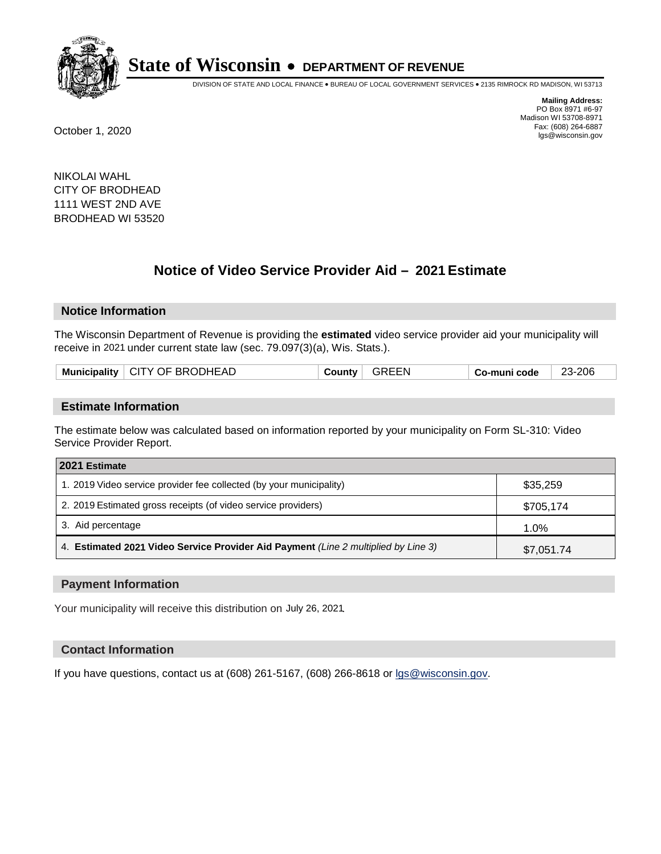

DIVISION OF STATE AND LOCAL FINANCE • BUREAU OF LOCAL GOVERNMENT SERVICES • 2135 RIMROCK RD MADISON, WI 53713

**Mailing Address:** PO Box 8971 #6-97 Madison WI 53708-8971<br>Fax: (608) 264-6887 Fax: (608) 264-6887 October 1, 2020 lgs@wisconsin.gov

NIKOLAI WAHL CITY OF BRODHEAD 1111 WEST 2ND AVE BRODHEAD WI 53520

# **Notice of Video Service Provider Aid - 2021 Estimate**

## **Notice Information**

The Wisconsin Department of Revenue is providing the **estimated** video service provider aid your municipality will receive in 2021 under current state law (sec. 79.097(3)(a), Wis. Stats.).

| Municipality $\vert$ CITY OF BRODHEAD<br>⊦ Co-muni code |
|---------------------------------------------------------|
|---------------------------------------------------------|

#### **Estimate Information**

The estimate below was calculated based on information reported by your municipality on Form SL-310: Video Service Provider Report.

| 2021 Estimate                                                                      |            |
|------------------------------------------------------------------------------------|------------|
| 1. 2019 Video service provider fee collected (by your municipality)                | \$35,259   |
| 2. 2019 Estimated gross receipts (of video service providers)                      | \$705,174  |
| 3. Aid percentage                                                                  | 1.0%       |
| 4. Estimated 2021 Video Service Provider Aid Payment (Line 2 multiplied by Line 3) | \$7,051.74 |

#### **Payment Information**

Your municipality will receive this distribution on July 26, 2021.

## **Contact Information**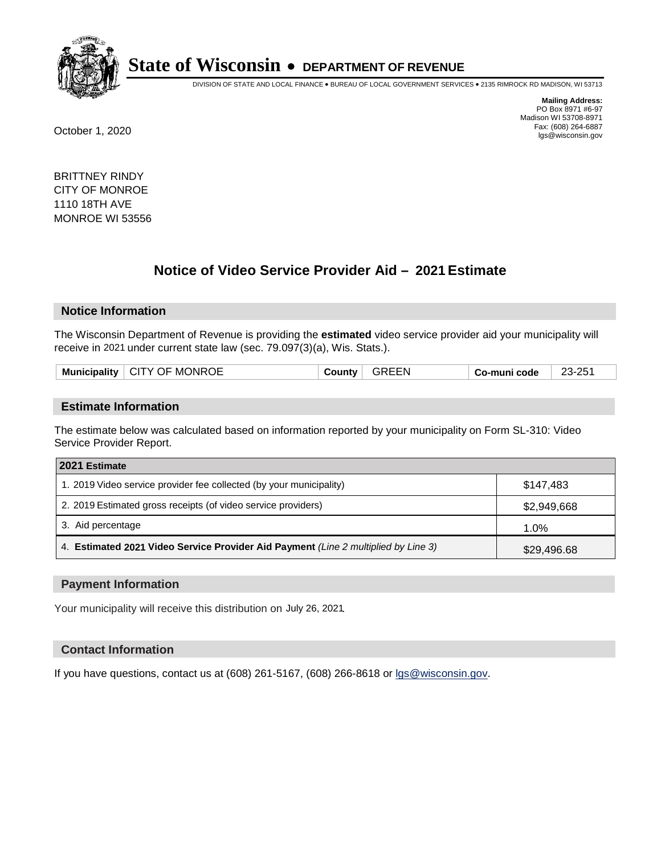

DIVISION OF STATE AND LOCAL FINANCE • BUREAU OF LOCAL GOVERNMENT SERVICES • 2135 RIMROCK RD MADISON, WI 53713

**Mailing Address:** PO Box 8971 #6-97 Madison WI 53708-8971<br>Fax: (608) 264-6887 Fax: (608) 264-6887 October 1, 2020 lgs@wisconsin.gov

BRITTNEY RINDY CITY OF MONROE 1110 18TH AVE MONROE WI 53556

# **Notice of Video Service Provider Aid - 2021 Estimate**

## **Notice Information**

The Wisconsin Department of Revenue is providing the **estimated** video service provider aid your municipality will receive in 2021 under current state law (sec. 79.097(3)(a), Wis. Stats.).

| <br>Mu<br>тюан.<br>11 | )F<br>JNROE<br>MC.<br>$\mathbf{v}$<br>انت | ЧN. | code<br>. .<br>_ _ _ _ | റ⊏<br>≏י<br>--<br>—~<br>$\sim$ |
|-----------------------|-------------------------------------------|-----|------------------------|--------------------------------|
|                       |                                           |     |                        |                                |

#### **Estimate Information**

The estimate below was calculated based on information reported by your municipality on Form SL-310: Video Service Provider Report.

| 2021 Estimate                                                                      |             |  |
|------------------------------------------------------------------------------------|-------------|--|
| 1. 2019 Video service provider fee collected (by your municipality)                | \$147.483   |  |
| 2. 2019 Estimated gross receipts (of video service providers)                      | \$2,949,668 |  |
| 3. Aid percentage                                                                  | 1.0%        |  |
| 4. Estimated 2021 Video Service Provider Aid Payment (Line 2 multiplied by Line 3) | \$29,496.68 |  |

#### **Payment Information**

Your municipality will receive this distribution on July 26, 2021.

## **Contact Information**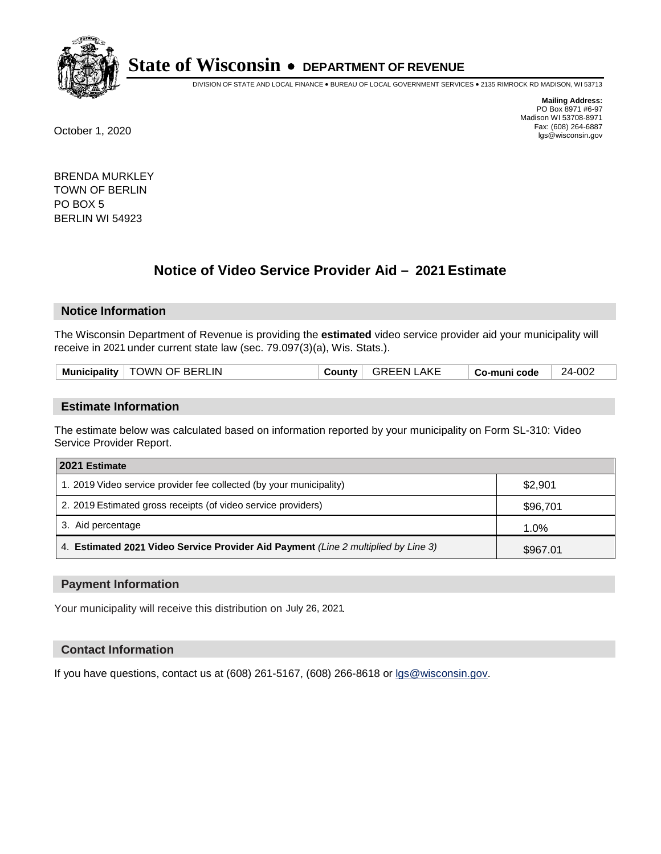

DIVISION OF STATE AND LOCAL FINANCE • BUREAU OF LOCAL GOVERNMENT SERVICES • 2135 RIMROCK RD MADISON, WI 53713

**Mailing Address:** PO Box 8971 #6-97 Madison WI 53708-8971<br>Fax: (608) 264-6887 Fax: (608) 264-6887 October 1, 2020 lgs@wisconsin.gov

BRENDA MURKLEY TOWN OF BERLIN PO BOX 5 BERLIN WI 54923

# **Notice of Video Service Provider Aid - 2021 Estimate**

## **Notice Information**

The Wisconsin Department of Revenue is providing the **estimated** video service provider aid your municipality will receive in 2021 under current state law (sec. 79.097(3)(a), Wis. Stats.).

| <b>Municipality</b> | TOWN OF BERLIN | √ountvٽ | _AKE<br><b>GREEN I</b> | Co-muni code | 24-002 |
|---------------------|----------------|---------|------------------------|--------------|--------|
|                     |                |         |                        |              |        |

#### **Estimate Information**

The estimate below was calculated based on information reported by your municipality on Form SL-310: Video Service Provider Report.

| 2021 Estimate                                                                      |          |
|------------------------------------------------------------------------------------|----------|
| 1. 2019 Video service provider fee collected (by your municipality)                | \$2,901  |
| 2. 2019 Estimated gross receipts (of video service providers)                      | \$96,701 |
| 3. Aid percentage                                                                  | 1.0%     |
| 4. Estimated 2021 Video Service Provider Aid Payment (Line 2 multiplied by Line 3) | \$967.01 |

#### **Payment Information**

Your municipality will receive this distribution on July 26, 2021.

## **Contact Information**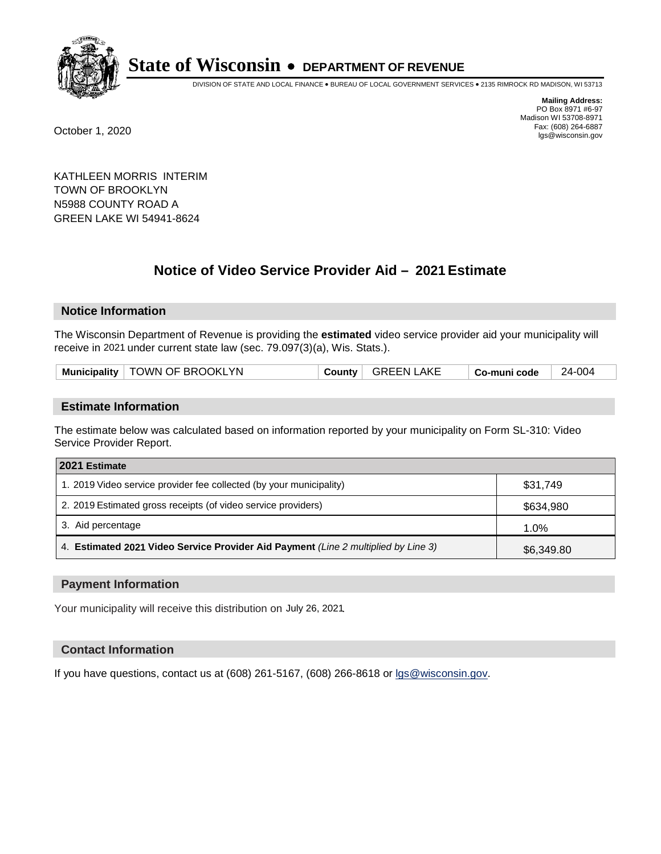

DIVISION OF STATE AND LOCAL FINANCE • BUREAU OF LOCAL GOVERNMENT SERVICES • 2135 RIMROCK RD MADISON, WI 53713

**Mailing Address:** PO Box 8971 #6-97 Madison WI 53708-8971<br>Fax: (608) 264-6887 Fax: (608) 264-6887 October 1, 2020 lgs@wisconsin.gov

KATHLEEN MORRIS INTERIM TOWN OF BROOKLYN N5988 COUNTY ROAD A GREEN LAKE WI 54941-8624

# **Notice of Video Service Provider Aid - 2021 Estimate**

## **Notice Information**

The Wisconsin Department of Revenue is providing the **estimated** video service provider aid your municipality will receive in 2021 under current state law (sec. 79.097(3)(a), Wis. Stats.).

| Municipality   TOWN OF BROOKLYN<br><b>GREEN LAKE</b><br>County | Co-muni code | 24-004 |
|----------------------------------------------------------------|--------------|--------|
|----------------------------------------------------------------|--------------|--------|

#### **Estimate Information**

The estimate below was calculated based on information reported by your municipality on Form SL-310: Video Service Provider Report.

| 2021 Estimate                                                                      |            |
|------------------------------------------------------------------------------------|------------|
| 1. 2019 Video service provider fee collected (by your municipality)                | \$31,749   |
| 2. 2019 Estimated gross receipts (of video service providers)                      | \$634,980  |
| 3. Aid percentage                                                                  | 1.0%       |
| 4. Estimated 2021 Video Service Provider Aid Payment (Line 2 multiplied by Line 3) | \$6,349.80 |

#### **Payment Information**

Your municipality will receive this distribution on July 26, 2021.

## **Contact Information**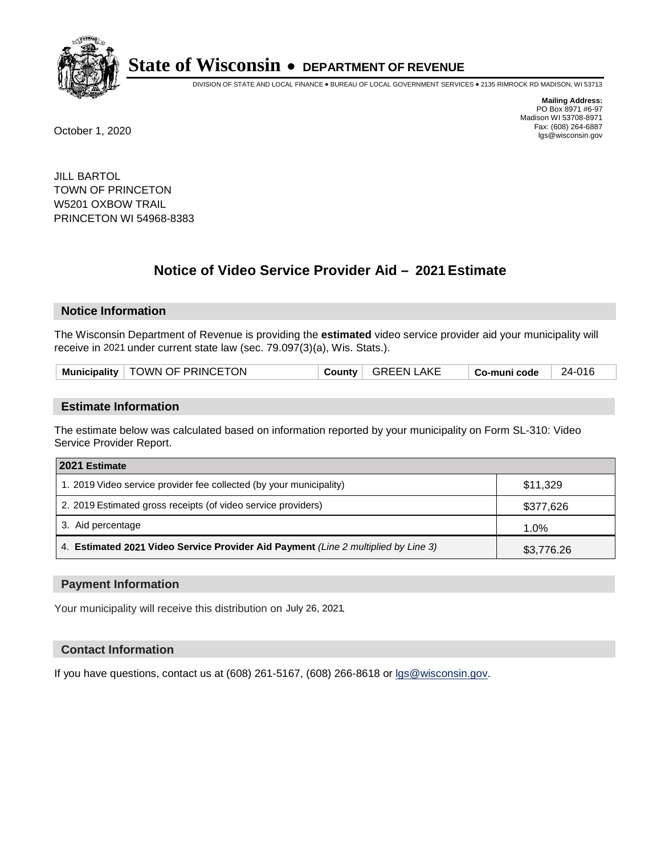

DIVISION OF STATE AND LOCAL FINANCE • BUREAU OF LOCAL GOVERNMENT SERVICES • 2135 RIMROCK RD MADISON, WI 53713

**Mailing Address:** PO Box 8971 #6-97 Madison WI 53708-8971<br>Fax: (608) 264-6887 Fax: (608) 264-6887 October 1, 2020 lgs@wisconsin.gov

JILL BARTOL TOWN OF PRINCETON W5201 OXBOW TRAIL PRINCETON WI 54968-8383

# **Notice of Video Service Provider Aid - 2021 Estimate**

## **Notice Information**

The Wisconsin Department of Revenue is providing the **estimated** video service provider aid your municipality will receive in 2021 under current state law (sec. 79.097(3)(a), Wis. Stats.).

| Municipality   TOWN OF PRINCETON | County | GREEN LAKE | Co-muni code | 24-016 |
|----------------------------------|--------|------------|--------------|--------|
|----------------------------------|--------|------------|--------------|--------|

#### **Estimate Information**

The estimate below was calculated based on information reported by your municipality on Form SL-310: Video Service Provider Report.

| 2021 Estimate                                                                      |            |
|------------------------------------------------------------------------------------|------------|
| 1. 2019 Video service provider fee collected (by your municipality)                | \$11,329   |
| 2. 2019 Estimated gross receipts (of video service providers)                      | \$377,626  |
| 3. Aid percentage                                                                  | 1.0%       |
| 4. Estimated 2021 Video Service Provider Aid Payment (Line 2 multiplied by Line 3) | \$3,776.26 |

#### **Payment Information**

Your municipality will receive this distribution on July 26, 2021.

## **Contact Information**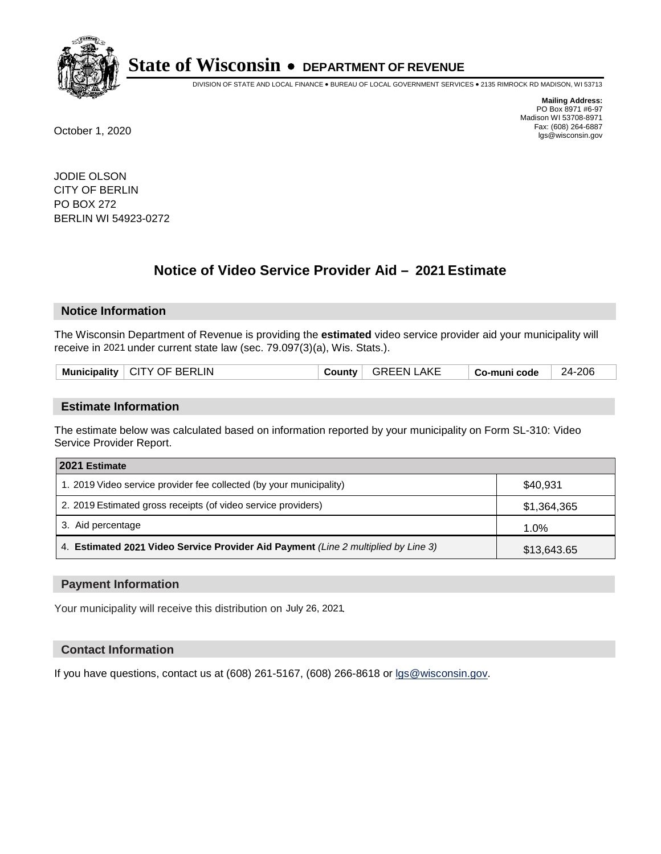

DIVISION OF STATE AND LOCAL FINANCE • BUREAU OF LOCAL GOVERNMENT SERVICES • 2135 RIMROCK RD MADISON, WI 53713

**Mailing Address:** PO Box 8971 #6-97 Madison WI 53708-8971<br>Fax: (608) 264-6887 Fax: (608) 264-6887 October 1, 2020 lgs@wisconsin.gov

JODIE OLSON CITY OF BERLIN PO BOX 272 BERLIN WI 54923-0272

# **Notice of Video Service Provider Aid - 2021 Estimate**

## **Notice Information**

The Wisconsin Department of Revenue is providing the **estimated** video service provider aid your municipality will receive in 2021 under current state law (sec. 79.097(3)(a), Wis. Stats.).

| Municipality   CITY OF BERLIN | ⊹ ountyٽ | <b>GREEN LAKE</b> | Co-muni code | 24-206 |
|-------------------------------|----------|-------------------|--------------|--------|
|                               |          |                   |              |        |

#### **Estimate Information**

The estimate below was calculated based on information reported by your municipality on Form SL-310: Video Service Provider Report.

| 2021 Estimate                                                                      |             |
|------------------------------------------------------------------------------------|-------------|
| 1. 2019 Video service provider fee collected (by your municipality)                | \$40.931    |
| 2. 2019 Estimated gross receipts (of video service providers)                      | \$1,364,365 |
| 3. Aid percentage                                                                  | 1.0%        |
| 4. Estimated 2021 Video Service Provider Aid Payment (Line 2 multiplied by Line 3) | \$13,643.65 |

#### **Payment Information**

Your municipality will receive this distribution on July 26, 2021.

## **Contact Information**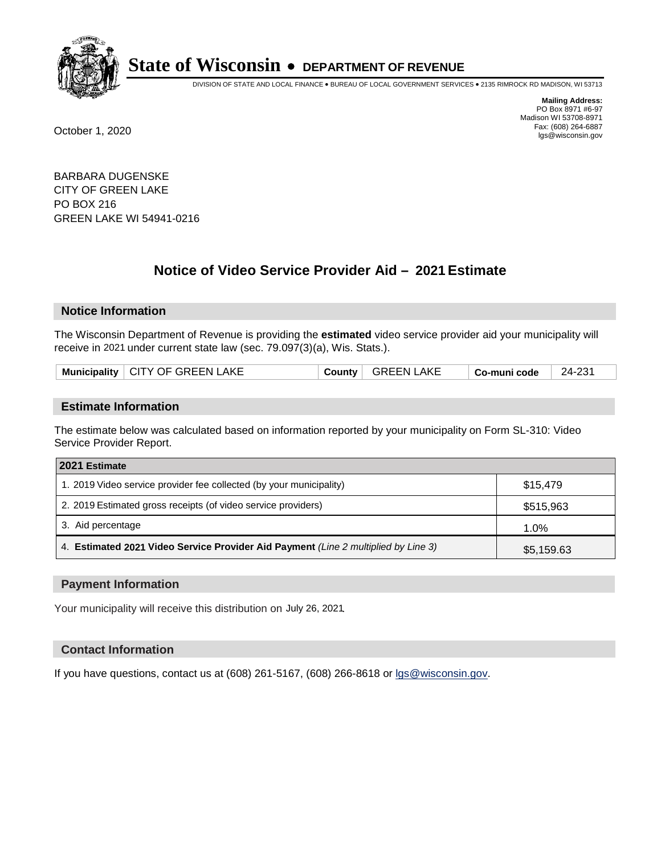

DIVISION OF STATE AND LOCAL FINANCE • BUREAU OF LOCAL GOVERNMENT SERVICES • 2135 RIMROCK RD MADISON, WI 53713

**Mailing Address:** PO Box 8971 #6-97 Madison WI 53708-8971<br>Fax: (608) 264-6887 Fax: (608) 264-6887 October 1, 2020 lgs@wisconsin.gov

BARBARA DUGENSKE CITY OF GREEN LAKE PO BOX 216 GREEN LAKE WI 54941-0216

# **Notice of Video Service Provider Aid - 2021 Estimate**

## **Notice Information**

The Wisconsin Department of Revenue is providing the **estimated** video service provider aid your municipality will receive in 2021 under current state law (sec. 79.097(3)(a), Wis. Stats.).

| Municipality   CITY OF GREEN LAKE |
|-----------------------------------|
|-----------------------------------|

#### **Estimate Information**

The estimate below was calculated based on information reported by your municipality on Form SL-310: Video Service Provider Report.

| 2021 Estimate                                                                      |            |
|------------------------------------------------------------------------------------|------------|
| 1. 2019 Video service provider fee collected (by your municipality)                | \$15.479   |
| 2. 2019 Estimated gross receipts (of video service providers)                      | \$515,963  |
| 3. Aid percentage                                                                  | 1.0%       |
| 4. Estimated 2021 Video Service Provider Aid Payment (Line 2 multiplied by Line 3) | \$5,159.63 |

#### **Payment Information**

Your municipality will receive this distribution on July 26, 2021.

## **Contact Information**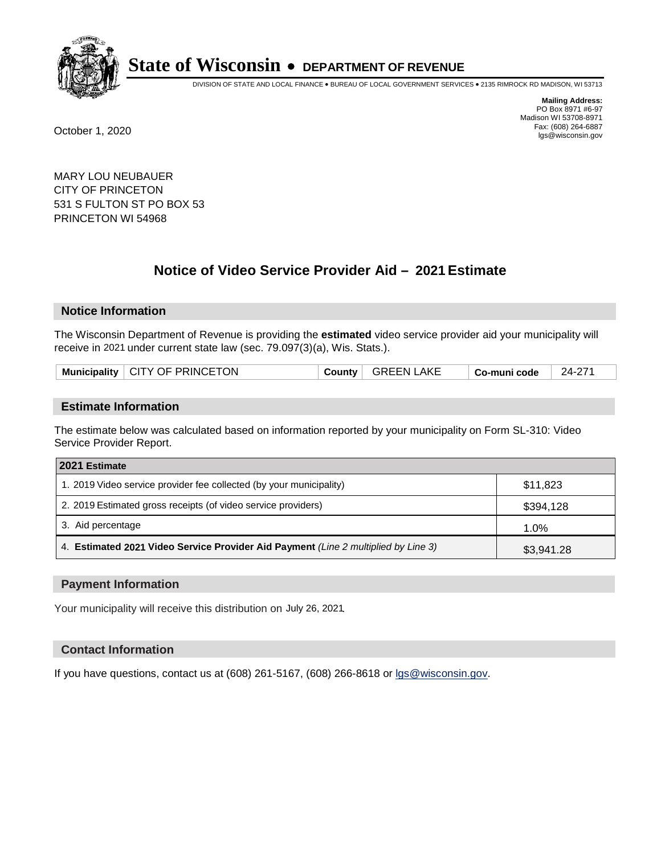

DIVISION OF STATE AND LOCAL FINANCE • BUREAU OF LOCAL GOVERNMENT SERVICES • 2135 RIMROCK RD MADISON, WI 53713

**Mailing Address:** PO Box 8971 #6-97 Madison WI 53708-8971<br>Fax: (608) 264-6887 Fax: (608) 264-6887 October 1, 2020 lgs@wisconsin.gov

MARY LOU NEUBAUER CITY OF PRINCETON 531 S FULTON ST PO BOX 53 PRINCETON WI 54968

# **Notice of Video Service Provider Aid - 2021 Estimate**

## **Notice Information**

The Wisconsin Department of Revenue is providing the **estimated** video service provider aid your municipality will receive in 2021 under current state law (sec. 79.097(3)(a), Wis. Stats.).

| Municipality   CITY OF PRINCETON<br>GREEN LAKE<br>24-271<br>County<br>Co-muni code |  |
|------------------------------------------------------------------------------------|--|
|------------------------------------------------------------------------------------|--|

#### **Estimate Information**

The estimate below was calculated based on information reported by your municipality on Form SL-310: Video Service Provider Report.

| 2021 Estimate                                                                      |            |
|------------------------------------------------------------------------------------|------------|
| 1. 2019 Video service provider fee collected (by your municipality)                | \$11,823   |
| 2. 2019 Estimated gross receipts (of video service providers)                      | \$394,128  |
| 3. Aid percentage                                                                  | 1.0%       |
| 4. Estimated 2021 Video Service Provider Aid Payment (Line 2 multiplied by Line 3) | \$3,941.28 |

#### **Payment Information**

Your municipality will receive this distribution on July 26, 2021.

## **Contact Information**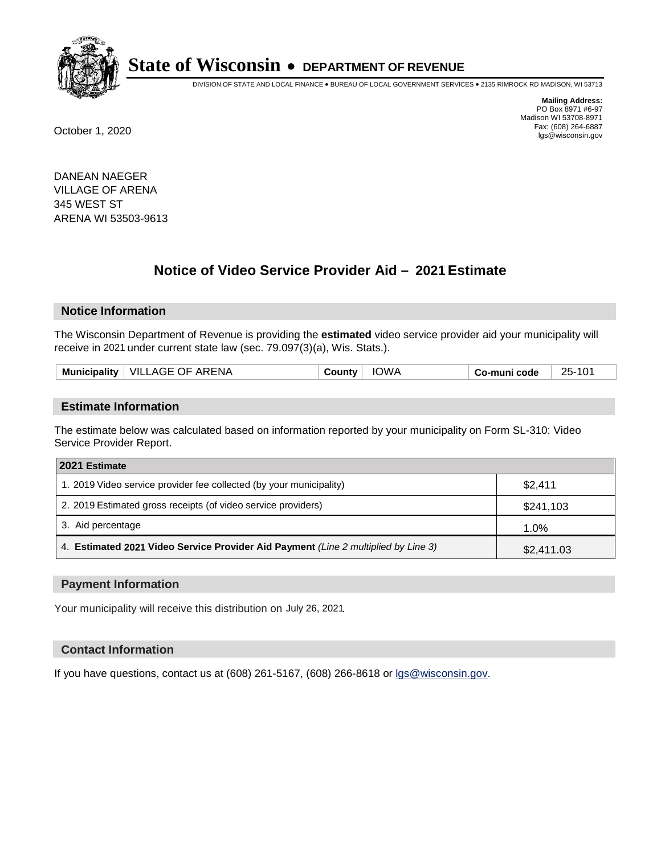

DIVISION OF STATE AND LOCAL FINANCE • BUREAU OF LOCAL GOVERNMENT SERVICES • 2135 RIMROCK RD MADISON, WI 53713

**Mailing Address:** PO Box 8971 #6-97 Madison WI 53708-8971<br>Fax: (608) 264-6887 Fax: (608) 264-6887 October 1, 2020 lgs@wisconsin.gov

DANEAN NAEGER VILLAGE OF ARENA 345 WEST ST ARENA WI 53503-9613

# **Notice of Video Service Provider Aid - 2021 Estimate**

## **Notice Information**

The Wisconsin Department of Revenue is providing the **estimated** video service provider aid your municipality will receive in 2021 under current state law (sec. 79.097(3)(a), Wis. Stats.).

| .<br>Muı<br>:Inality | ARENA<br>VILL<br>. AGE OF<br>AA | wv e | code | つらし |
|----------------------|---------------------------------|------|------|-----|
|                      |                                 |      |      |     |

#### **Estimate Information**

The estimate below was calculated based on information reported by your municipality on Form SL-310: Video Service Provider Report.

| 2021 Estimate                                                                      |            |  |  |  |
|------------------------------------------------------------------------------------|------------|--|--|--|
| 1. 2019 Video service provider fee collected (by your municipality)                | \$2,411    |  |  |  |
| 2. 2019 Estimated gross receipts (of video service providers)                      | \$241,103  |  |  |  |
| 3. Aid percentage                                                                  | 1.0%       |  |  |  |
| 4. Estimated 2021 Video Service Provider Aid Payment (Line 2 multiplied by Line 3) | \$2,411.03 |  |  |  |

#### **Payment Information**

Your municipality will receive this distribution on July 26, 2021.

## **Contact Information**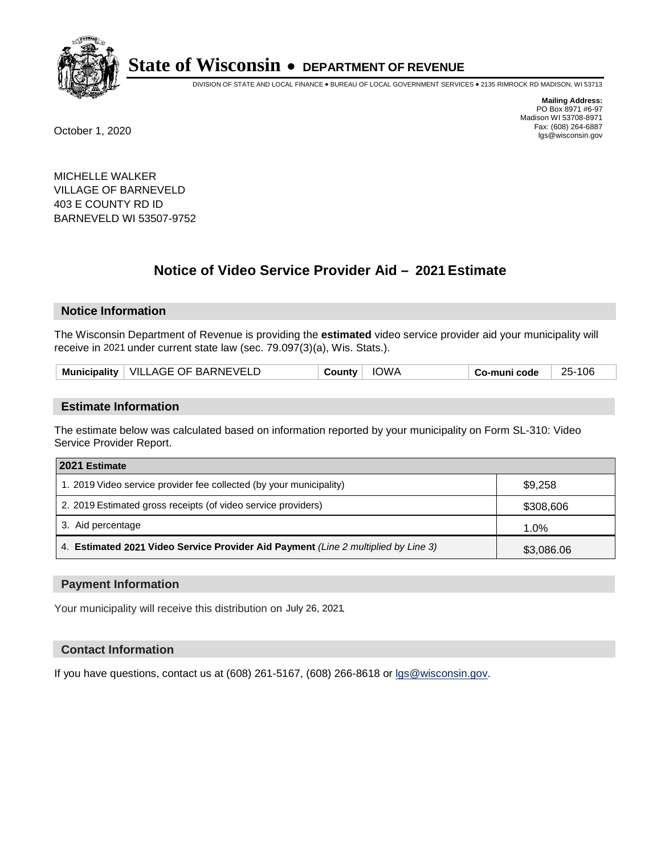

DIVISION OF STATE AND LOCAL FINANCE • BUREAU OF LOCAL GOVERNMENT SERVICES • 2135 RIMROCK RD MADISON, WI 53713

**Mailing Address:** PO Box 8971 #6-97 Madison WI 53708-8971<br>Fax: (608) 264-6887 Fax: (608) 264-6887 October 1, 2020 lgs@wisconsin.gov

MICHELLE WALKER VILLAGE OF BARNEVELD 403 E COUNTY RD ID BARNEVELD WI 53507-9752

# **Notice of Video Service Provider Aid - 2021 Estimate**

## **Notice Information**

The Wisconsin Department of Revenue is providing the **estimated** video service provider aid your municipality will receive in 2021 under current state law (sec. 79.097(3)(a), Wis. Stats.).

| Municipality   VILLAGE OF BARNEVELD | <b>IOWA</b><br>⊹ Countvٽ | 25-106<br>Co-muni code |
|-------------------------------------|--------------------------|------------------------|
|-------------------------------------|--------------------------|------------------------|

#### **Estimate Information**

The estimate below was calculated based on information reported by your municipality on Form SL-310: Video Service Provider Report.

| 2021 Estimate                                                                      |            |
|------------------------------------------------------------------------------------|------------|
| 1. 2019 Video service provider fee collected (by your municipality)                | \$9,258    |
| 2. 2019 Estimated gross receipts (of video service providers)                      | \$308,606  |
| 3. Aid percentage                                                                  | 1.0%       |
| 4. Estimated 2021 Video Service Provider Aid Payment (Line 2 multiplied by Line 3) | \$3,086.06 |

#### **Payment Information**

Your municipality will receive this distribution on July 26, 2021.

## **Contact Information**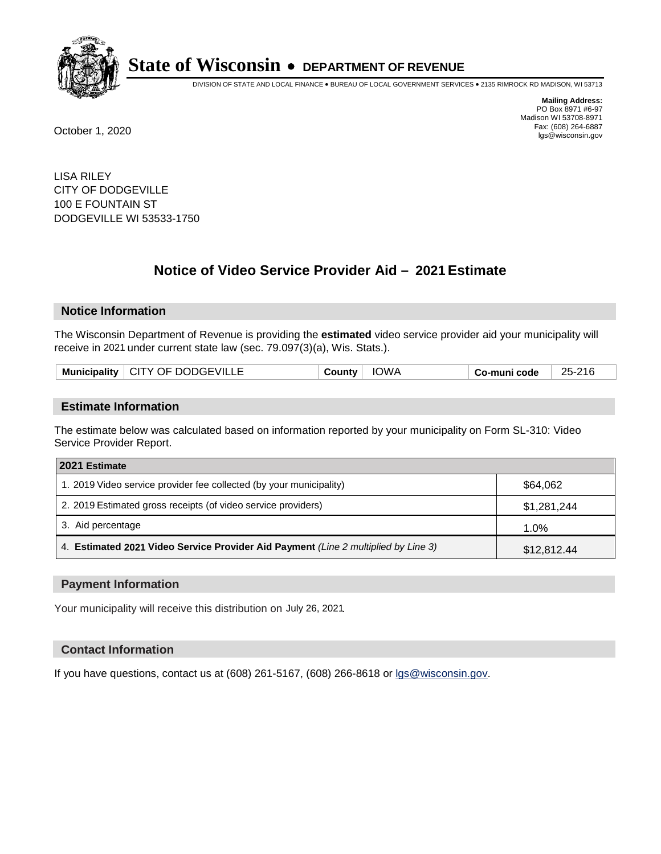

DIVISION OF STATE AND LOCAL FINANCE • BUREAU OF LOCAL GOVERNMENT SERVICES • 2135 RIMROCK RD MADISON, WI 53713

**Mailing Address:** PO Box 8971 #6-97 Madison WI 53708-8971<br>Fax: (608) 264-6887 Fax: (608) 264-6887 October 1, 2020 lgs@wisconsin.gov

LISA RILEY CITY OF DODGEVILLE 100 E FOUNTAIN ST DODGEVILLE WI 53533-1750

# **Notice of Video Service Provider Aid - 2021 Estimate**

## **Notice Information**

The Wisconsin Department of Revenue is providing the **estimated** video service provider aid your municipality will receive in 2021 under current state law (sec. 79.097(3)(a), Wis. Stats.).

| Municipality   CITY OF DODGEVILLE | <b>IOWA</b><br>⊨ ountvٽ | 25-216<br>Co-muni code |
|-----------------------------------|-------------------------|------------------------|
|-----------------------------------|-------------------------|------------------------|

#### **Estimate Information**

The estimate below was calculated based on information reported by your municipality on Form SL-310: Video Service Provider Report.

| 2021 Estimate                                                                      |             |  |  |  |
|------------------------------------------------------------------------------------|-------------|--|--|--|
| 1. 2019 Video service provider fee collected (by your municipality)                | \$64.062    |  |  |  |
| 2. 2019 Estimated gross receipts (of video service providers)                      | \$1,281,244 |  |  |  |
| 3. Aid percentage                                                                  | $1.0\%$     |  |  |  |
| 4. Estimated 2021 Video Service Provider Aid Payment (Line 2 multiplied by Line 3) | \$12,812.44 |  |  |  |

#### **Payment Information**

Your municipality will receive this distribution on July 26, 2021.

## **Contact Information**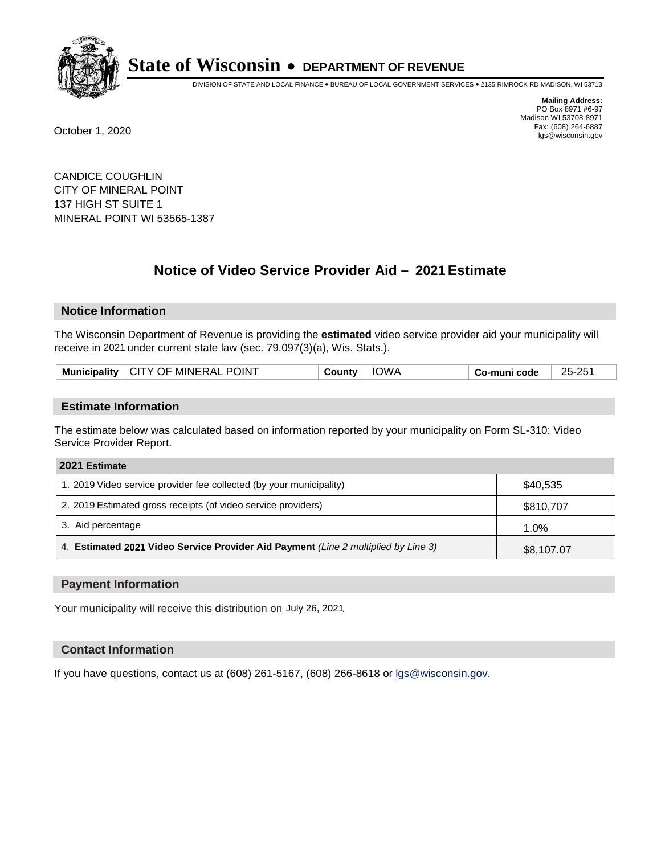

DIVISION OF STATE AND LOCAL FINANCE • BUREAU OF LOCAL GOVERNMENT SERVICES • 2135 RIMROCK RD MADISON, WI 53713

**Mailing Address:** PO Box 8971 #6-97 Madison WI 53708-8971<br>Fax: (608) 264-6887 Fax: (608) 264-6887 October 1, 2020 lgs@wisconsin.gov

CANDICE COUGHLIN CITY OF MINERAL POINT 137 HIGH ST SUITE 1 MINERAL POINT WI 53565-1387

# **Notice of Video Service Provider Aid - 2021 Estimate**

## **Notice Information**

The Wisconsin Department of Revenue is providing the **estimated** video service provider aid your municipality will receive in 2021 under current state law (sec. 79.097(3)(a), Wis. Stats.).

| Municipality   CITY OF MINERAL POINT | <b>IOWA</b><br><b>County</b> ' | 25-251<br>Co-muni code |
|--------------------------------------|--------------------------------|------------------------|
|--------------------------------------|--------------------------------|------------------------|

#### **Estimate Information**

The estimate below was calculated based on information reported by your municipality on Form SL-310: Video Service Provider Report.

| 2021 Estimate                                                                      |            |  |  |
|------------------------------------------------------------------------------------|------------|--|--|
| 1. 2019 Video service provider fee collected (by your municipality)                | \$40,535   |  |  |
| 2. 2019 Estimated gross receipts (of video service providers)                      | \$810,707  |  |  |
| 3. Aid percentage                                                                  | 1.0%       |  |  |
| 4. Estimated 2021 Video Service Provider Aid Payment (Line 2 multiplied by Line 3) | \$8,107.07 |  |  |

#### **Payment Information**

Your municipality will receive this distribution on July 26, 2021.

## **Contact Information**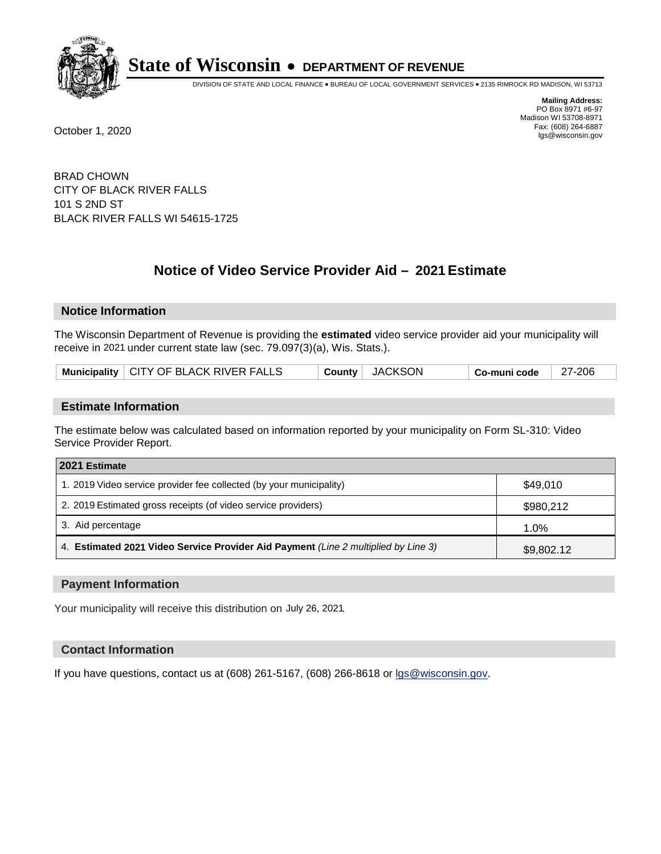

DIVISION OF STATE AND LOCAL FINANCE • BUREAU OF LOCAL GOVERNMENT SERVICES • 2135 RIMROCK RD MADISON, WI 53713

**Mailing Address:** PO Box 8971 #6-97 Madison WI 53708-8971<br>Fax: (608) 264-6887 Fax: (608) 264-6887 October 1, 2020 lgs@wisconsin.gov

BRAD CHOWN CITY OF BLACK RIVER FALLS 101 S 2ND ST BLACK RIVER FALLS WI 54615-1725

# **Notice of Video Service Provider Aid - 2021 Estimate**

## **Notice Information**

The Wisconsin Department of Revenue is providing the **estimated** video service provider aid your municipality will receive in 2021 under current state law (sec. 79.097(3)(a), Wis. Stats.).

| Municipality   CITY OF BLACK RIVER FALLS | County JACKSON | ⊦ Co-muni code | 27-206 |
|------------------------------------------|----------------|----------------|--------|
|------------------------------------------|----------------|----------------|--------|

#### **Estimate Information**

The estimate below was calculated based on information reported by your municipality on Form SL-310: Video Service Provider Report.

| 2021 Estimate                                                                      |            |
|------------------------------------------------------------------------------------|------------|
| 1. 2019 Video service provider fee collected (by your municipality)                | \$49,010   |
| 2. 2019 Estimated gross receipts (of video service providers)                      | \$980,212  |
| 3. Aid percentage                                                                  | 1.0%       |
| 4. Estimated 2021 Video Service Provider Aid Payment (Line 2 multiplied by Line 3) | \$9,802.12 |

#### **Payment Information**

Your municipality will receive this distribution on July 26, 2021.

## **Contact Information**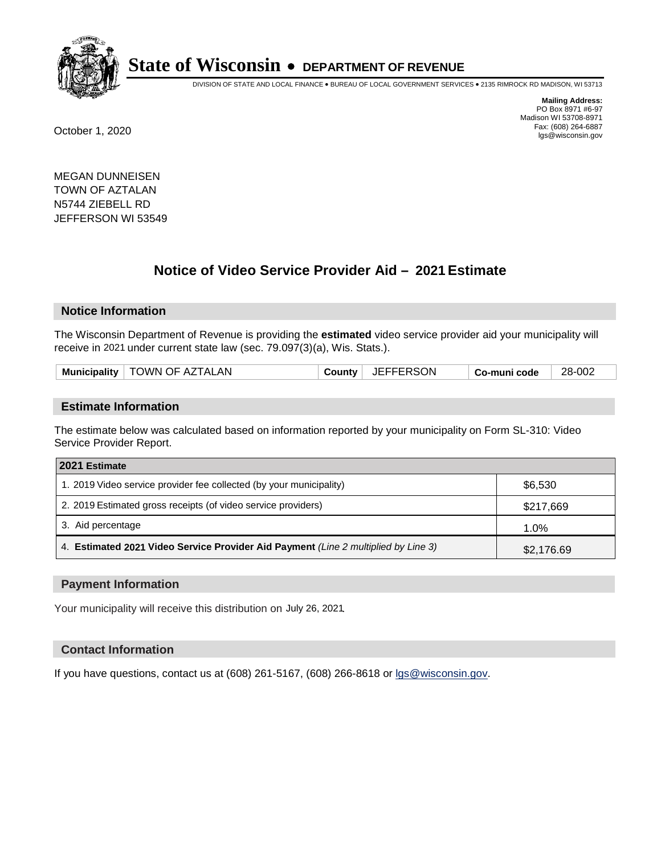

DIVISION OF STATE AND LOCAL FINANCE • BUREAU OF LOCAL GOVERNMENT SERVICES • 2135 RIMROCK RD MADISON, WI 53713

**Mailing Address:** PO Box 8971 #6-97 Madison WI 53708-8971<br>Fax: (608) 264-6887 Fax: (608) 264-6887 October 1, 2020 lgs@wisconsin.gov

MEGAN DUNNEISEN TOWN OF AZTALAN N5744 ZIEBELL RD JEFFERSON WI 53549

# **Notice of Video Service Provider Aid - 2021 Estimate**

## **Notice Information**

The Wisconsin Department of Revenue is providing the **estimated** video service provider aid your municipality will receive in 2021 under current state law (sec. 79.097(3)(a), Wis. Stats.).

| Municipality $ $ | ∣ TOWN OF AZTALAN | <b>County</b> | JEFFERSON | Co-muni code | 28-002 |
|------------------|-------------------|---------------|-----------|--------------|--------|
|                  |                   |               |           |              |        |

#### **Estimate Information**

The estimate below was calculated based on information reported by your municipality on Form SL-310: Video Service Provider Report.

| 2021 Estimate                                                                      |            |  |  |  |
|------------------------------------------------------------------------------------|------------|--|--|--|
| 1. 2019 Video service provider fee collected (by your municipality)                | \$6,530    |  |  |  |
| 2. 2019 Estimated gross receipts (of video service providers)                      | \$217,669  |  |  |  |
| 3. Aid percentage                                                                  | 1.0%       |  |  |  |
| 4. Estimated 2021 Video Service Provider Aid Payment (Line 2 multiplied by Line 3) | \$2,176.69 |  |  |  |

#### **Payment Information**

Your municipality will receive this distribution on July 26, 2021.

## **Contact Information**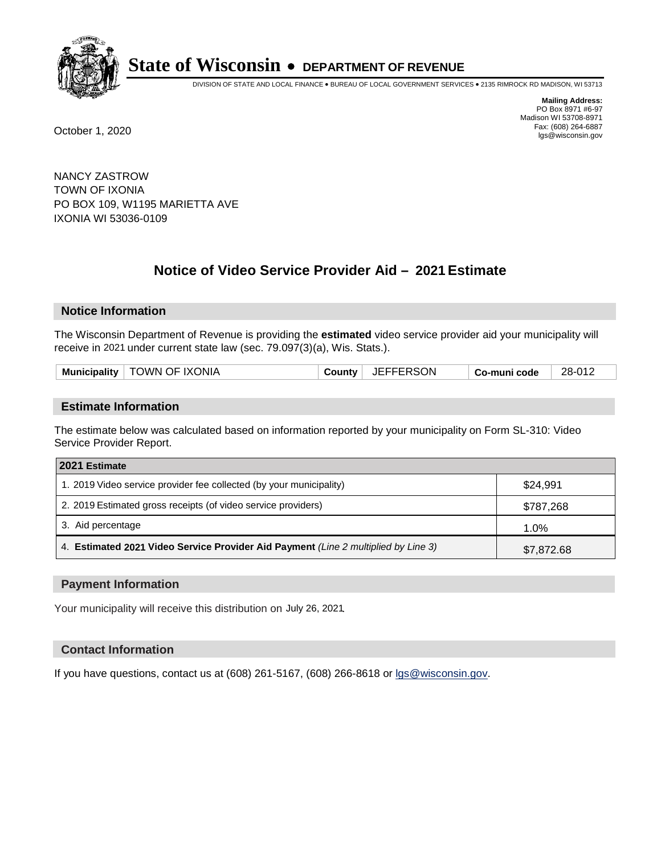

DIVISION OF STATE AND LOCAL FINANCE • BUREAU OF LOCAL GOVERNMENT SERVICES • 2135 RIMROCK RD MADISON, WI 53713

**Mailing Address:** PO Box 8971 #6-97 Madison WI 53708-8971<br>Fax: (608) 264-6887 Fax: (608) 264-6887 October 1, 2020 lgs@wisconsin.gov

NANCY ZASTROW TOWN OF IXONIA PO BOX 109, W1195 MARIETTA AVE IXONIA WI 53036-0109

# **Notice of Video Service Provider Aid - 2021 Estimate**

## **Notice Information**

The Wisconsin Department of Revenue is providing the **estimated** video service provider aid your municipality will receive in 2021 under current state law (sec. 79.097(3)(a), Wis. Stats.).

|  |  | Municipality   TOWN OF IXONIA | County | JEFFERSON | Co-muni code | 28-012 |
|--|--|-------------------------------|--------|-----------|--------------|--------|
|--|--|-------------------------------|--------|-----------|--------------|--------|

#### **Estimate Information**

The estimate below was calculated based on information reported by your municipality on Form SL-310: Video Service Provider Report.

| 2021 Estimate                                                                      |            |
|------------------------------------------------------------------------------------|------------|
| 1. 2019 Video service provider fee collected (by your municipality)                | \$24.991   |
| 2. 2019 Estimated gross receipts (of video service providers)                      | \$787,268  |
| 3. Aid percentage                                                                  | 1.0%       |
| 4. Estimated 2021 Video Service Provider Aid Payment (Line 2 multiplied by Line 3) | \$7,872.68 |

#### **Payment Information**

Your municipality will receive this distribution on July 26, 2021.

## **Contact Information**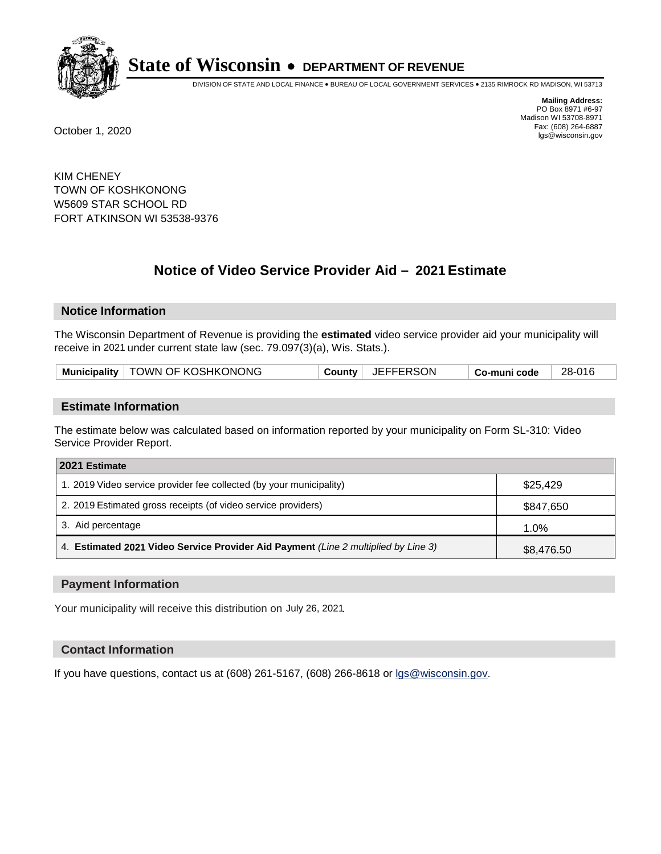

DIVISION OF STATE AND LOCAL FINANCE • BUREAU OF LOCAL GOVERNMENT SERVICES • 2135 RIMROCK RD MADISON, WI 53713

**Mailing Address:** PO Box 8971 #6-97 Madison WI 53708-8971<br>Fax: (608) 264-6887 Fax: (608) 264-6887 October 1, 2020 lgs@wisconsin.gov

KIM CHENEY TOWN OF KOSHKONONG W5609 STAR SCHOOL RD FORT ATKINSON WI 53538-9376

# **Notice of Video Service Provider Aid - 2021 Estimate**

## **Notice Information**

The Wisconsin Department of Revenue is providing the **estimated** video service provider aid your municipality will receive in 2021 under current state law (sec. 79.097(3)(a), Wis. Stats.).

| Municipality   TOWN OF KOSHKONONG | County JEFFERSON | 28-016<br>Co-muni code |  |
|-----------------------------------|------------------|------------------------|--|
|-----------------------------------|------------------|------------------------|--|

#### **Estimate Information**

The estimate below was calculated based on information reported by your municipality on Form SL-310: Video Service Provider Report.

| 2021 Estimate                                                                      |            |
|------------------------------------------------------------------------------------|------------|
| 1. 2019 Video service provider fee collected (by your municipality)                | \$25,429   |
| 2. 2019 Estimated gross receipts (of video service providers)                      | \$847,650  |
| 3. Aid percentage                                                                  | 1.0%       |
| 4. Estimated 2021 Video Service Provider Aid Payment (Line 2 multiplied by Line 3) | \$8,476.50 |

#### **Payment Information**

Your municipality will receive this distribution on July 26, 2021.

## **Contact Information**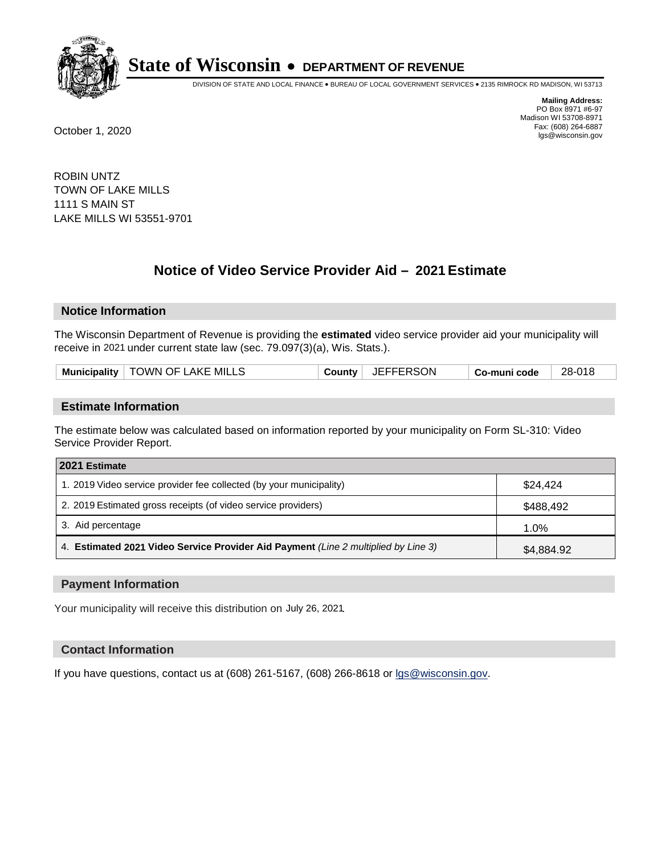

DIVISION OF STATE AND LOCAL FINANCE • BUREAU OF LOCAL GOVERNMENT SERVICES • 2135 RIMROCK RD MADISON, WI 53713

**Mailing Address:** PO Box 8971 #6-97 Madison WI 53708-8971<br>Fax: (608) 264-6887 Fax: (608) 264-6887 October 1, 2020 lgs@wisconsin.gov

ROBIN UNTZ TOWN OF LAKE MILLS 1111 S MAIN ST LAKE MILLS WI 53551-9701

# **Notice of Video Service Provider Aid - 2021 Estimate**

## **Notice Information**

The Wisconsin Department of Revenue is providing the **estimated** video service provider aid your municipality will receive in 2021 under current state law (sec. 79.097(3)(a), Wis. Stats.).

| Municipality   TOWN OF LAKE MILLS | <b>JEFFERSON</b><br>County | 28-018<br>Co-muni code |
|-----------------------------------|----------------------------|------------------------|
|-----------------------------------|----------------------------|------------------------|

#### **Estimate Information**

The estimate below was calculated based on information reported by your municipality on Form SL-310: Video Service Provider Report.

| 2021 Estimate                                                                      |            |
|------------------------------------------------------------------------------------|------------|
| 1. 2019 Video service provider fee collected (by your municipality)                | \$24.424   |
| 2. 2019 Estimated gross receipts (of video service providers)                      | \$488,492  |
| 3. Aid percentage                                                                  | 1.0%       |
| 4. Estimated 2021 Video Service Provider Aid Payment (Line 2 multiplied by Line 3) | \$4,884.92 |

#### **Payment Information**

Your municipality will receive this distribution on July 26, 2021.

## **Contact Information**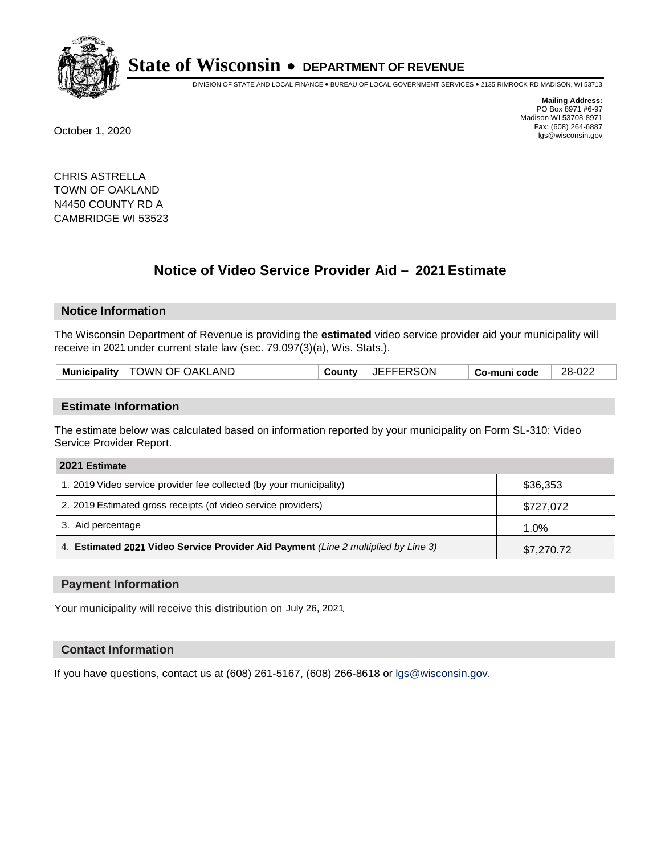

DIVISION OF STATE AND LOCAL FINANCE • BUREAU OF LOCAL GOVERNMENT SERVICES • 2135 RIMROCK RD MADISON, WI 53713

**Mailing Address:** PO Box 8971 #6-97 Madison WI 53708-8971<br>Fax: (608) 264-6887 Fax: (608) 264-6887 October 1, 2020 lgs@wisconsin.gov

CHRIS ASTRELLA TOWN OF OAKLAND N4450 COUNTY RD A CAMBRIDGE WI 53523

# **Notice of Video Service Provider Aid - 2021 Estimate**

## **Notice Information**

The Wisconsin Department of Revenue is providing the **estimated** video service provider aid your municipality will receive in 2021 under current state law (sec. 79.097(3)(a), Wis. Stats.).

| Municipality   TOWN OF OAKLAND | County | JEFFERSON | Co-muni code | 28-022 |
|--------------------------------|--------|-----------|--------------|--------|
|                                |        |           |              |        |

#### **Estimate Information**

The estimate below was calculated based on information reported by your municipality on Form SL-310: Video Service Provider Report.

| 2021 Estimate                                                                      |            |
|------------------------------------------------------------------------------------|------------|
| 1. 2019 Video service provider fee collected (by your municipality)                | \$36,353   |
| 2. 2019 Estimated gross receipts (of video service providers)                      | \$727,072  |
| 3. Aid percentage                                                                  | 1.0%       |
| 4. Estimated 2021 Video Service Provider Aid Payment (Line 2 multiplied by Line 3) | \$7,270.72 |

#### **Payment Information**

Your municipality will receive this distribution on July 26, 2021.

## **Contact Information**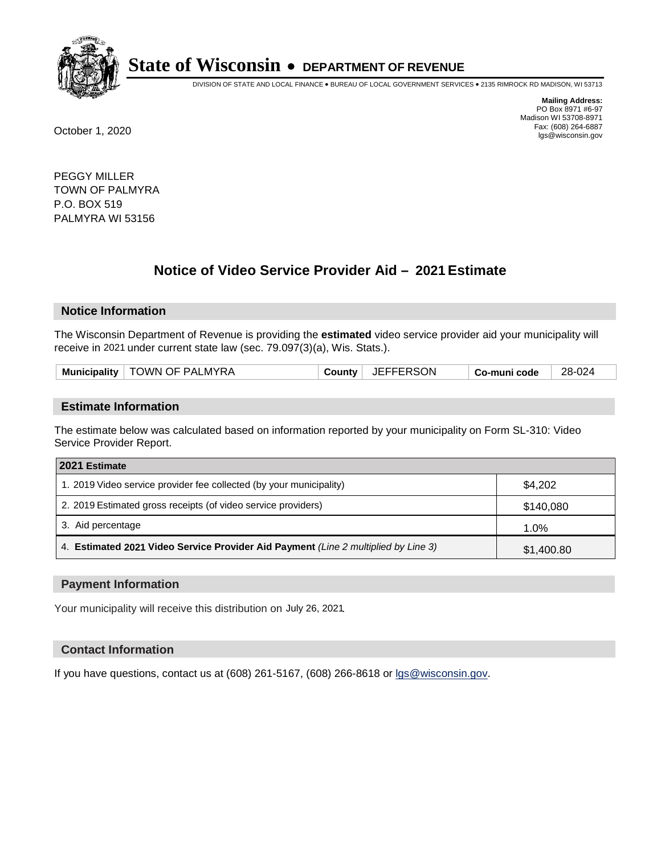

DIVISION OF STATE AND LOCAL FINANCE • BUREAU OF LOCAL GOVERNMENT SERVICES • 2135 RIMROCK RD MADISON, WI 53713

**Mailing Address:** PO Box 8971 #6-97 Madison WI 53708-8971<br>Fax: (608) 264-6887 Fax: (608) 264-6887 October 1, 2020 lgs@wisconsin.gov

PEGGY MILLER TOWN OF PALMYRA P.O. BOX 519 PALMYRA WI 53156

# **Notice of Video Service Provider Aid - 2021 Estimate**

## **Notice Information**

The Wisconsin Department of Revenue is providing the **estimated** video service provider aid your municipality will receive in 2021 under current state law (sec. 79.097(3)(a), Wis. Stats.).

|  |  | Municipality   TOWN OF PALMYRA | <b>County</b> | <b>JEFFERSON</b> | Co-muni code | 28-024 |
|--|--|--------------------------------|---------------|------------------|--------------|--------|
|--|--|--------------------------------|---------------|------------------|--------------|--------|

#### **Estimate Information**

The estimate below was calculated based on information reported by your municipality on Form SL-310: Video Service Provider Report.

| 2021 Estimate                                                                      |            |
|------------------------------------------------------------------------------------|------------|
| 1. 2019 Video service provider fee collected (by your municipality)                | \$4.202    |
| 2. 2019 Estimated gross receipts (of video service providers)                      | \$140,080  |
| 3. Aid percentage                                                                  | 1.0%       |
| 4. Estimated 2021 Video Service Provider Aid Payment (Line 2 multiplied by Line 3) | \$1,400.80 |

#### **Payment Information**

Your municipality will receive this distribution on July 26, 2021.

## **Contact Information**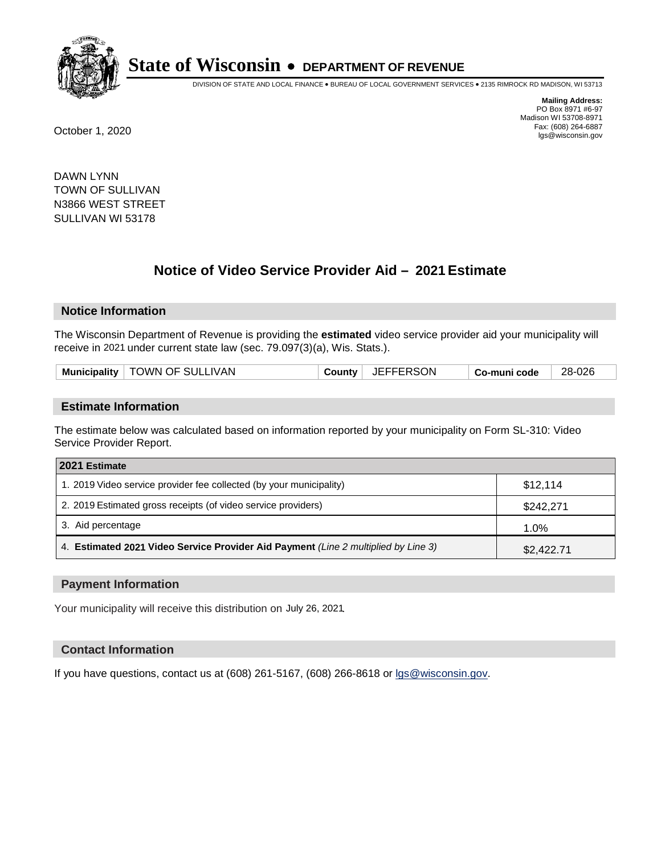

DIVISION OF STATE AND LOCAL FINANCE • BUREAU OF LOCAL GOVERNMENT SERVICES • 2135 RIMROCK RD MADISON, WI 53713

**Mailing Address:** PO Box 8971 #6-97 Madison WI 53708-8971<br>Fax: (608) 264-6887 Fax: (608) 264-6887 October 1, 2020 lgs@wisconsin.gov

DAWN LYNN TOWN OF SULLIVAN N3866 WEST STREET SULLIVAN WI 53178

# **Notice of Video Service Provider Aid - 2021 Estimate**

## **Notice Information**

The Wisconsin Department of Revenue is providing the **estimated** video service provider aid your municipality will receive in 2021 under current state law (sec. 79.097(3)(a), Wis. Stats.).

#### **Estimate Information**

The estimate below was calculated based on information reported by your municipality on Form SL-310: Video Service Provider Report.

| 2021 Estimate                                                                      |            |
|------------------------------------------------------------------------------------|------------|
| 1. 2019 Video service provider fee collected (by your municipality)                | \$12.114   |
| 2. 2019 Estimated gross receipts (of video service providers)                      | \$242,271  |
| 3. Aid percentage                                                                  | 1.0%       |
| 4. Estimated 2021 Video Service Provider Aid Payment (Line 2 multiplied by Line 3) | \$2,422.71 |

#### **Payment Information**

Your municipality will receive this distribution on July 26, 2021.

## **Contact Information**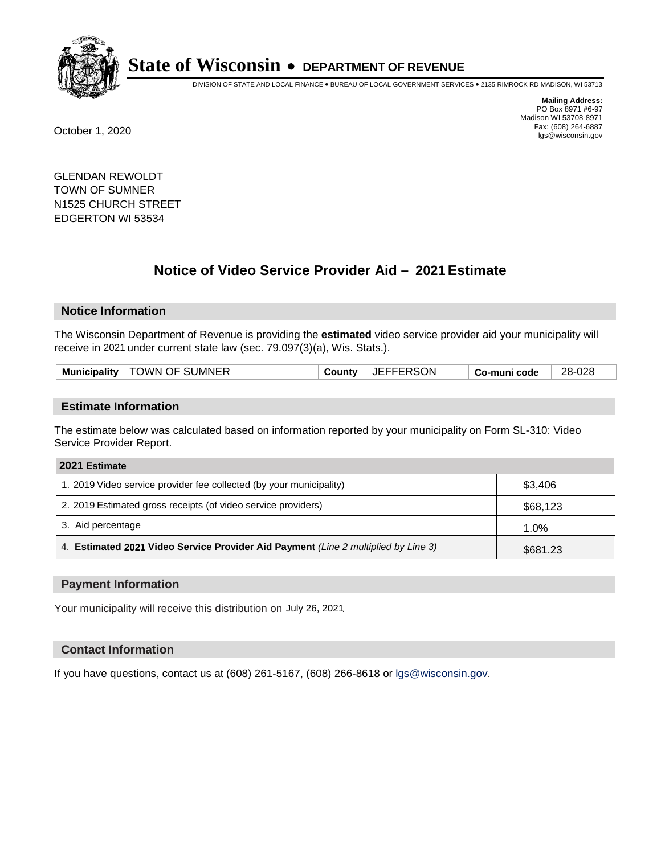

DIVISION OF STATE AND LOCAL FINANCE • BUREAU OF LOCAL GOVERNMENT SERVICES • 2135 RIMROCK RD MADISON, WI 53713

**Mailing Address:** PO Box 8971 #6-97 Madison WI 53708-8971<br>Fax: (608) 264-6887 Fax: (608) 264-6887 October 1, 2020 lgs@wisconsin.gov

GLENDAN REWOLDT TOWN OF SUMNER N1525 CHURCH STREET EDGERTON WI 53534

# **Notice of Video Service Provider Aid - 2021 Estimate**

## **Notice Information**

The Wisconsin Department of Revenue is providing the **estimated** video service provider aid your municipality will receive in 2021 under current state law (sec. 79.097(3)(a), Wis. Stats.).

| <b>Municipality</b> | <b>OWN OF SUMNER</b> | RSON<br>- 11 | code | -028<br>28- |
|---------------------|----------------------|--------------|------|-------------|
|                     |                      |              |      |             |

#### **Estimate Information**

The estimate below was calculated based on information reported by your municipality on Form SL-310: Video Service Provider Report.

| 2021 Estimate                                                                      |          |  |  |  |
|------------------------------------------------------------------------------------|----------|--|--|--|
| 1. 2019 Video service provider fee collected (by your municipality)                | \$3,406  |  |  |  |
| 2. 2019 Estimated gross receipts (of video service providers)                      | \$68,123 |  |  |  |
| 3. Aid percentage                                                                  | 1.0%     |  |  |  |
| 4. Estimated 2021 Video Service Provider Aid Payment (Line 2 multiplied by Line 3) | \$681.23 |  |  |  |

#### **Payment Information**

Your municipality will receive this distribution on July 26, 2021.

## **Contact Information**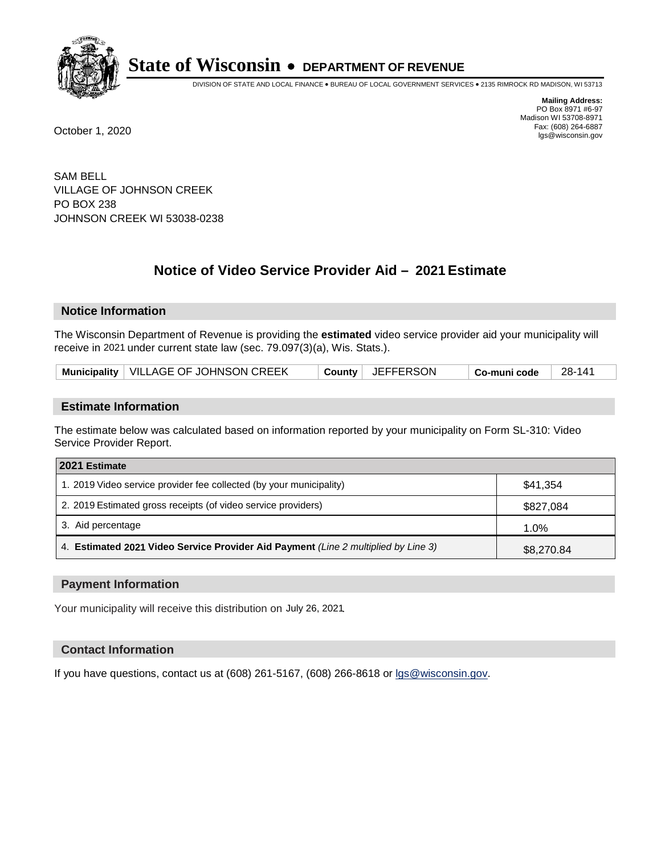

DIVISION OF STATE AND LOCAL FINANCE • BUREAU OF LOCAL GOVERNMENT SERVICES • 2135 RIMROCK RD MADISON, WI 53713

**Mailing Address:** PO Box 8971 #6-97 Madison WI 53708-8971<br>Fax: (608) 264-6887 Fax: (608) 264-6887 October 1, 2020 lgs@wisconsin.gov

SAM BELL VILLAGE OF JOHNSON CREEK PO BOX 238 JOHNSON CREEK WI 53038-0238

# **Notice of Video Service Provider Aid - 2021 Estimate**

# **Notice Information**

The Wisconsin Department of Revenue is providing the **estimated** video service provider aid your municipality will receive in 2021 under current state law (sec. 79.097(3)(a), Wis. Stats.).

| Municipality   VILLAGE OF JOHNSON CREEK |  | County   JEFFERSON | $\mid$ Co-muni code | 28-141 |
|-----------------------------------------|--|--------------------|---------------------|--------|
|-----------------------------------------|--|--------------------|---------------------|--------|

#### **Estimate Information**

The estimate below was calculated based on information reported by your municipality on Form SL-310: Video Service Provider Report.

| 2021 Estimate                                                                      |            |  |  |  |
|------------------------------------------------------------------------------------|------------|--|--|--|
| 1. 2019 Video service provider fee collected (by your municipality)                | \$41.354   |  |  |  |
| 2. 2019 Estimated gross receipts (of video service providers)                      | \$827,084  |  |  |  |
| 3. Aid percentage                                                                  | 1.0%       |  |  |  |
| 4. Estimated 2021 Video Service Provider Aid Payment (Line 2 multiplied by Line 3) | \$8,270.84 |  |  |  |

#### **Payment Information**

Your municipality will receive this distribution on July 26, 2021.

## **Contact Information**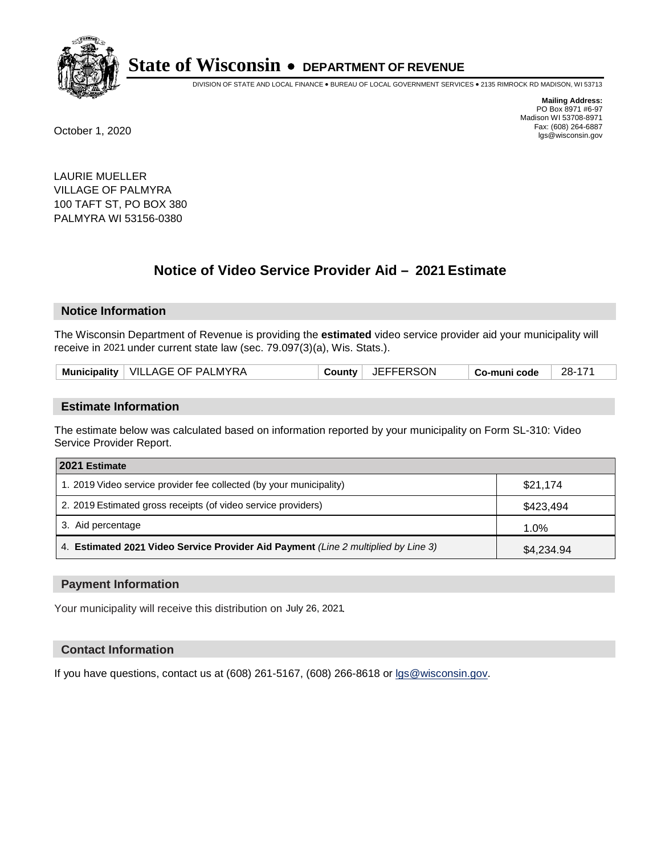

DIVISION OF STATE AND LOCAL FINANCE • BUREAU OF LOCAL GOVERNMENT SERVICES • 2135 RIMROCK RD MADISON, WI 53713

**Mailing Address:** PO Box 8971 #6-97 Madison WI 53708-8971<br>Fax: (608) 264-6887 Fax: (608) 264-6887 October 1, 2020 lgs@wisconsin.gov

LAURIE MUELLER VILLAGE OF PALMYRA 100 TAFT ST, PO BOX 380 PALMYRA WI 53156-0380

# **Notice of Video Service Provider Aid - 2021 Estimate**

## **Notice Information**

The Wisconsin Department of Revenue is providing the **estimated** video service provider aid your municipality will receive in 2021 under current state law (sec. 79.097(3)(a), Wis. Stats.).

| , JEFFERSON<br>Municipality   VILLAGE OF PALMYRA<br>28-171<br>County<br><b>Co-muni code</b> |  |
|---------------------------------------------------------------------------------------------|--|
|---------------------------------------------------------------------------------------------|--|

#### **Estimate Information**

The estimate below was calculated based on information reported by your municipality on Form SL-310: Video Service Provider Report.

| 2021 Estimate                                                                      |            |  |  |  |
|------------------------------------------------------------------------------------|------------|--|--|--|
| 1. 2019 Video service provider fee collected (by your municipality)                | \$21,174   |  |  |  |
| 2. 2019 Estimated gross receipts (of video service providers)                      | \$423,494  |  |  |  |
| 3. Aid percentage                                                                  | 1.0%       |  |  |  |
| 4. Estimated 2021 Video Service Provider Aid Payment (Line 2 multiplied by Line 3) | \$4,234.94 |  |  |  |

#### **Payment Information**

Your municipality will receive this distribution on July 26, 2021.

## **Contact Information**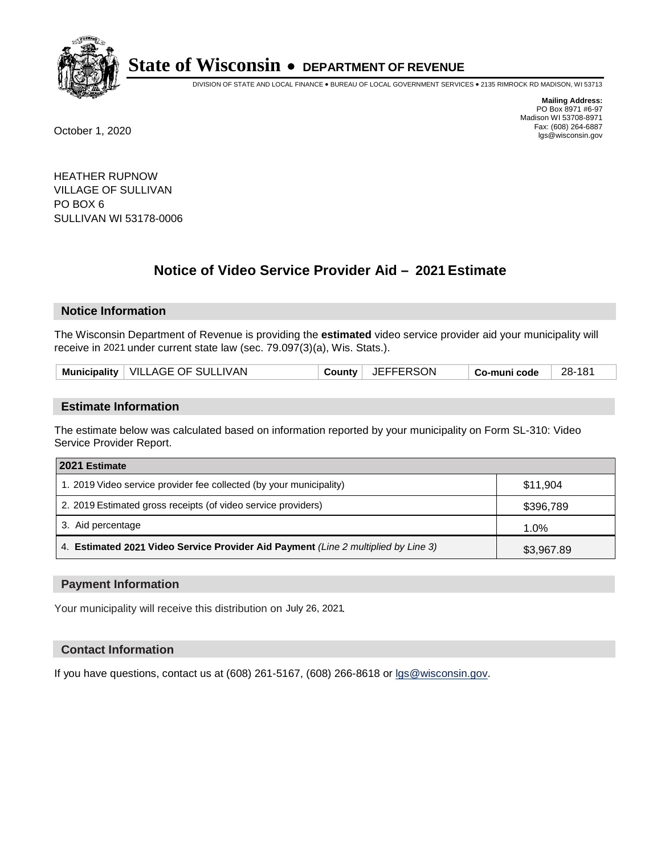

DIVISION OF STATE AND LOCAL FINANCE • BUREAU OF LOCAL GOVERNMENT SERVICES • 2135 RIMROCK RD MADISON, WI 53713

**Mailing Address:** PO Box 8971 #6-97 Madison WI 53708-8971<br>Fax: (608) 264-6887 Fax: (608) 264-6887 October 1, 2020 lgs@wisconsin.gov

HEATHER RUPNOW VILLAGE OF SULLIVAN PO BOX 6 SULLIVAN WI 53178-0006

# **Notice of Video Service Provider Aid - 2021 Estimate**

## **Notice Information**

The Wisconsin Department of Revenue is providing the **estimated** video service provider aid your municipality will receive in 2021 under current state law (sec. 79.097(3)(a), Wis. Stats.).

| County JEFFERSON<br>Municipality   VILLAGE OF SULLIVAN<br>28-181<br>Co-muni code |  |
|----------------------------------------------------------------------------------|--|
|----------------------------------------------------------------------------------|--|

#### **Estimate Information**

The estimate below was calculated based on information reported by your municipality on Form SL-310: Video Service Provider Report.

| 2021 Estimate                                                                      |            |  |  |  |
|------------------------------------------------------------------------------------|------------|--|--|--|
| 1. 2019 Video service provider fee collected (by your municipality)                | \$11,904   |  |  |  |
| 2. 2019 Estimated gross receipts (of video service providers)                      | \$396,789  |  |  |  |
| 3. Aid percentage                                                                  | 1.0%       |  |  |  |
| 4. Estimated 2021 Video Service Provider Aid Payment (Line 2 multiplied by Line 3) | \$3,967.89 |  |  |  |

#### **Payment Information**

Your municipality will receive this distribution on July 26, 2021.

## **Contact Information**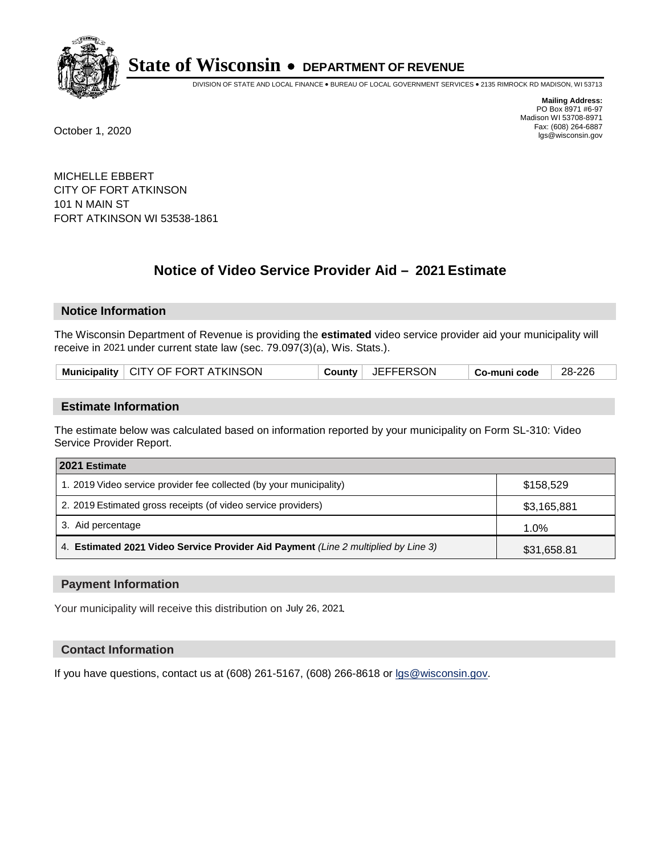

DIVISION OF STATE AND LOCAL FINANCE • BUREAU OF LOCAL GOVERNMENT SERVICES • 2135 RIMROCK RD MADISON, WI 53713

**Mailing Address:** PO Box 8971 #6-97 Madison WI 53708-8971<br>Fax: (608) 264-6887 Fax: (608) 264-6887 October 1, 2020 lgs@wisconsin.gov

MICHELLE EBBERT CITY OF FORT ATKINSON 101 N MAIN ST FORT ATKINSON WI 53538-1861

# **Notice of Video Service Provider Aid - 2021 Estimate**

## **Notice Information**

The Wisconsin Department of Revenue is providing the **estimated** video service provider aid your municipality will receive in 2021 under current state law (sec. 79.097(3)(a), Wis. Stats.).

| Municipality   CITY OF FORT ATKINSON |  | County   JEFFERSON | ∣ Co-muni code | 28-226 |
|--------------------------------------|--|--------------------|----------------|--------|
|--------------------------------------|--|--------------------|----------------|--------|

#### **Estimate Information**

The estimate below was calculated based on information reported by your municipality on Form SL-310: Video Service Provider Report.

| 2021 Estimate                                                                      |             |  |  |  |
|------------------------------------------------------------------------------------|-------------|--|--|--|
| 1. 2019 Video service provider fee collected (by your municipality)                | \$158.529   |  |  |  |
| 2. 2019 Estimated gross receipts (of video service providers)                      | \$3,165,881 |  |  |  |
| 3. Aid percentage                                                                  | 1.0%        |  |  |  |
| 4. Estimated 2021 Video Service Provider Aid Payment (Line 2 multiplied by Line 3) | \$31,658.81 |  |  |  |

#### **Payment Information**

Your municipality will receive this distribution on July 26, 2021.

## **Contact Information**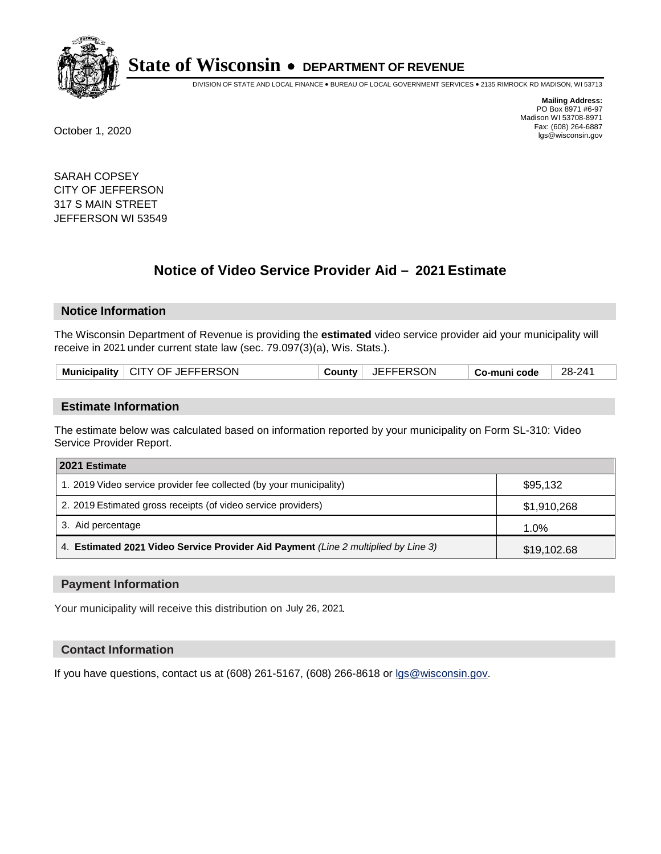

DIVISION OF STATE AND LOCAL FINANCE • BUREAU OF LOCAL GOVERNMENT SERVICES • 2135 RIMROCK RD MADISON, WI 53713

**Mailing Address:** PO Box 8971 #6-97 Madison WI 53708-8971<br>Fax: (608) 264-6887 Fax: (608) 264-6887 October 1, 2020 lgs@wisconsin.gov

SARAH COPSEY CITY OF JEFFERSON 317 S MAIN STREET JEFFERSON WI 53549

# **Notice of Video Service Provider Aid - 2021 Estimate**

## **Notice Information**

The Wisconsin Department of Revenue is providing the **estimated** video service provider aid your municipality will receive in 2021 under current state law (sec. 79.097(3)(a), Wis. Stats.).

| Municipality   CITY OF JEFFERSON | County | JEFFERSON | <sup>⊦</sup> Co-muni code | 28-241 |
|----------------------------------|--------|-----------|---------------------------|--------|
|                                  |        |           |                           |        |

#### **Estimate Information**

The estimate below was calculated based on information reported by your municipality on Form SL-310: Video Service Provider Report.

| 2021 Estimate                                                                      |             |  |  |  |
|------------------------------------------------------------------------------------|-------------|--|--|--|
| 1. 2019 Video service provider fee collected (by your municipality)                | \$95,132    |  |  |  |
| 2. 2019 Estimated gross receipts (of video service providers)                      | \$1,910,268 |  |  |  |
| 3. Aid percentage                                                                  | 1.0%        |  |  |  |
| 4. Estimated 2021 Video Service Provider Aid Payment (Line 2 multiplied by Line 3) | \$19,102.68 |  |  |  |

#### **Payment Information**

Your municipality will receive this distribution on July 26, 2021.

## **Contact Information**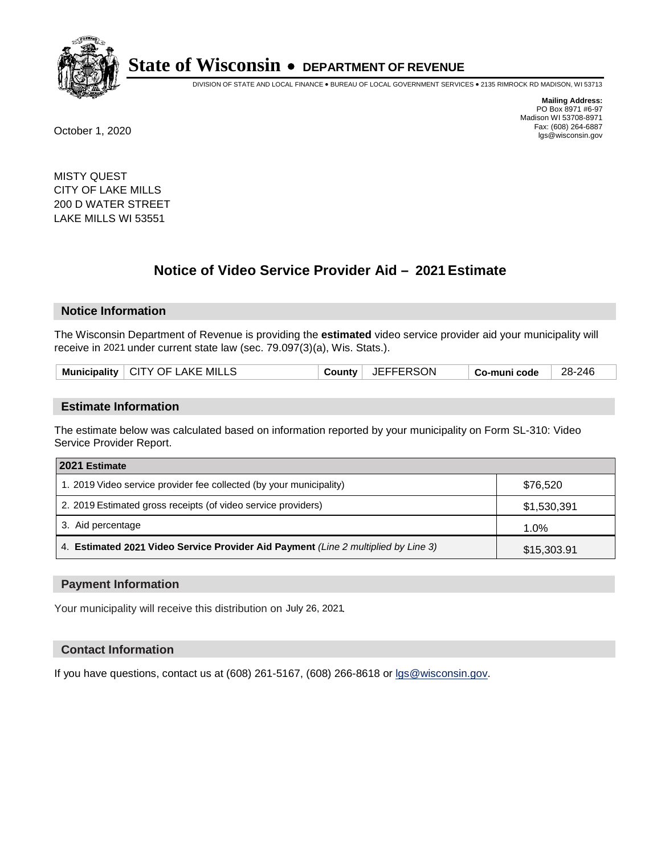

DIVISION OF STATE AND LOCAL FINANCE • BUREAU OF LOCAL GOVERNMENT SERVICES • 2135 RIMROCK RD MADISON, WI 53713

**Mailing Address:** PO Box 8971 #6-97 Madison WI 53708-8971<br>Fax: (608) 264-6887 Fax: (608) 264-6887 October 1, 2020 lgs@wisconsin.gov

MISTY QUEST CITY OF LAKE MILLS 200 D WATER STREET LAKE MILLS WI 53551

# **Notice of Video Service Provider Aid - 2021 Estimate**

## **Notice Information**

The Wisconsin Department of Revenue is providing the **estimated** video service provider aid your municipality will receive in 2021 under current state law (sec. 79.097(3)(a), Wis. Stats.).

| Municipality $\vert$ CITY OF LAKE MILLS<br>County<br>∣ Co-muni code |
|---------------------------------------------------------------------|
|---------------------------------------------------------------------|

#### **Estimate Information**

The estimate below was calculated based on information reported by your municipality on Form SL-310: Video Service Provider Report.

| 2021 Estimate                                                                      |             |
|------------------------------------------------------------------------------------|-------------|
| 1. 2019 Video service provider fee collected (by your municipality)                | \$76,520    |
| 2. 2019 Estimated gross receipts (of video service providers)                      | \$1,530,391 |
| 3. Aid percentage                                                                  | 1.0%        |
| 4. Estimated 2021 Video Service Provider Aid Payment (Line 2 multiplied by Line 3) | \$15,303.91 |

#### **Payment Information**

Your municipality will receive this distribution on July 26, 2021.

## **Contact Information**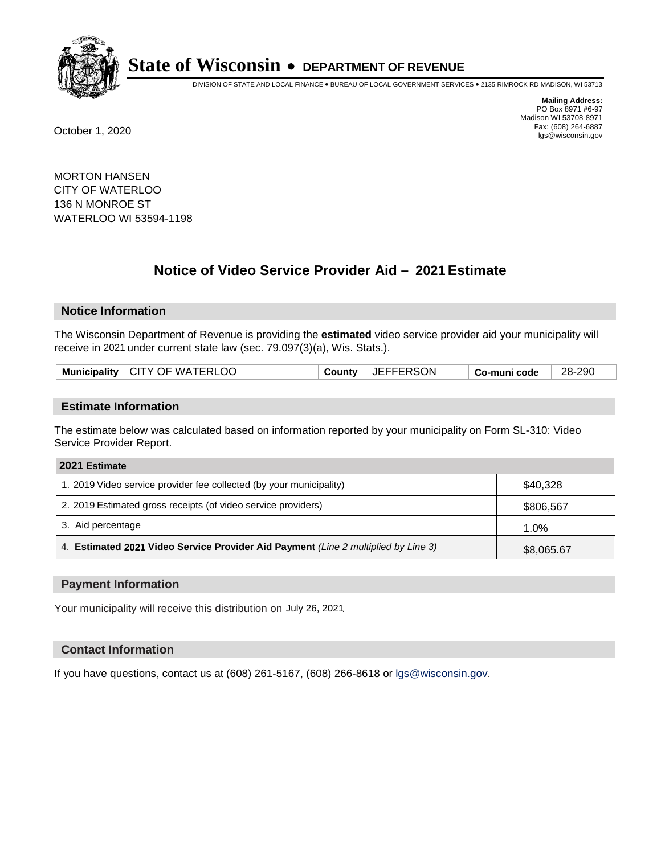

DIVISION OF STATE AND LOCAL FINANCE • BUREAU OF LOCAL GOVERNMENT SERVICES • 2135 RIMROCK RD MADISON, WI 53713

**Mailing Address:** PO Box 8971 #6-97 Madison WI 53708-8971<br>Fax: (608) 264-6887 Fax: (608) 264-6887 October 1, 2020 lgs@wisconsin.gov

MORTON HANSEN CITY OF WATERLOO 136 N MONROE ST WATERLOO WI 53594-1198

# **Notice of Video Service Provider Aid - 2021 Estimate**

# **Notice Information**

The Wisconsin Department of Revenue is providing the **estimated** video service provider aid your municipality will receive in 2021 under current state law (sec. 79.097(3)(a), Wis. Stats.).

| Municipality   CITY OF WATERLOO | County | JEFFERSON | Co-muni code | 28-290 |
|---------------------------------|--------|-----------|--------------|--------|
|                                 |        |           |              |        |

#### **Estimate Information**

The estimate below was calculated based on information reported by your municipality on Form SL-310: Video Service Provider Report.

| 2021 Estimate                                                                      |            |
|------------------------------------------------------------------------------------|------------|
| 1. 2019 Video service provider fee collected (by your municipality)                | \$40,328   |
| 2. 2019 Estimated gross receipts (of video service providers)                      | \$806,567  |
| 3. Aid percentage                                                                  | 1.0%       |
| 4. Estimated 2021 Video Service Provider Aid Payment (Line 2 multiplied by Line 3) | \$8,065.67 |

#### **Payment Information**

Your municipality will receive this distribution on July 26, 2021.

## **Contact Information**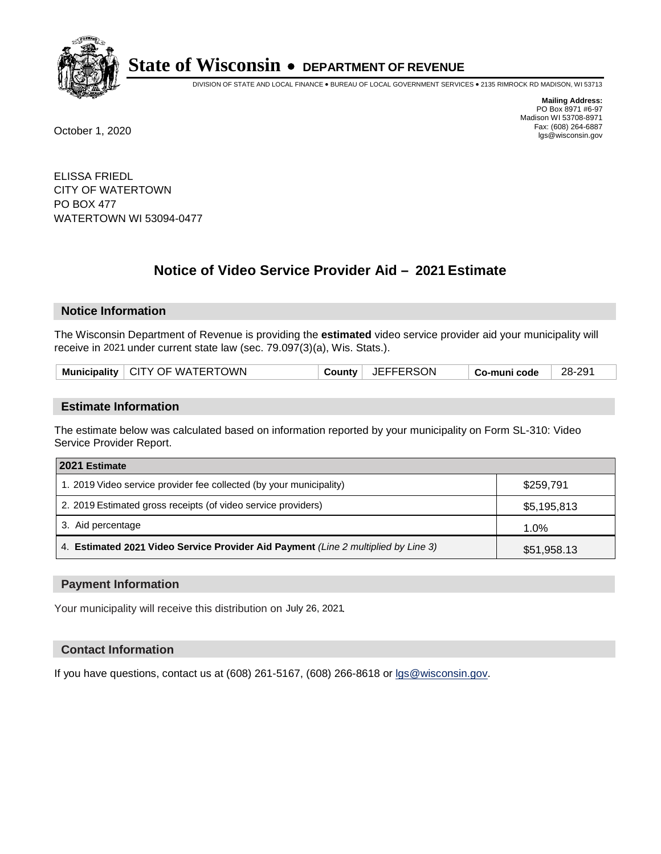

DIVISION OF STATE AND LOCAL FINANCE • BUREAU OF LOCAL GOVERNMENT SERVICES • 2135 RIMROCK RD MADISON, WI 53713

**Mailing Address:** PO Box 8971 #6-97 Madison WI 53708-8971<br>Fax: (608) 264-6887 Fax: (608) 264-6887 October 1, 2020 lgs@wisconsin.gov

ELISSA FRIEDL CITY OF WATERTOWN PO BOX 477 WATERTOWN WI 53094-0477

# **Notice of Video Service Provider Aid - 2021 Estimate**

# **Notice Information**

The Wisconsin Department of Revenue is providing the **estimated** video service provider aid your municipality will receive in 2021 under current state law (sec. 79.097(3)(a), Wis. Stats.).

| Municipality   CITY OF WATERTOWN<br>County | <b>JEFFERSON</b> | Co-muni code | 28-291 |
|--------------------------------------------|------------------|--------------|--------|
|--------------------------------------------|------------------|--------------|--------|

#### **Estimate Information**

The estimate below was calculated based on information reported by your municipality on Form SL-310: Video Service Provider Report.

| 2021 Estimate                                                                      |             |  |
|------------------------------------------------------------------------------------|-------------|--|
| 1. 2019 Video service provider fee collected (by your municipality)                | \$259,791   |  |
| 2. 2019 Estimated gross receipts (of video service providers)                      | \$5,195,813 |  |
| 3. Aid percentage                                                                  | 1.0%        |  |
| 4. Estimated 2021 Video Service Provider Aid Payment (Line 2 multiplied by Line 3) | \$51,958.13 |  |

#### **Payment Information**

Your municipality will receive this distribution on July 26, 2021.

## **Contact Information**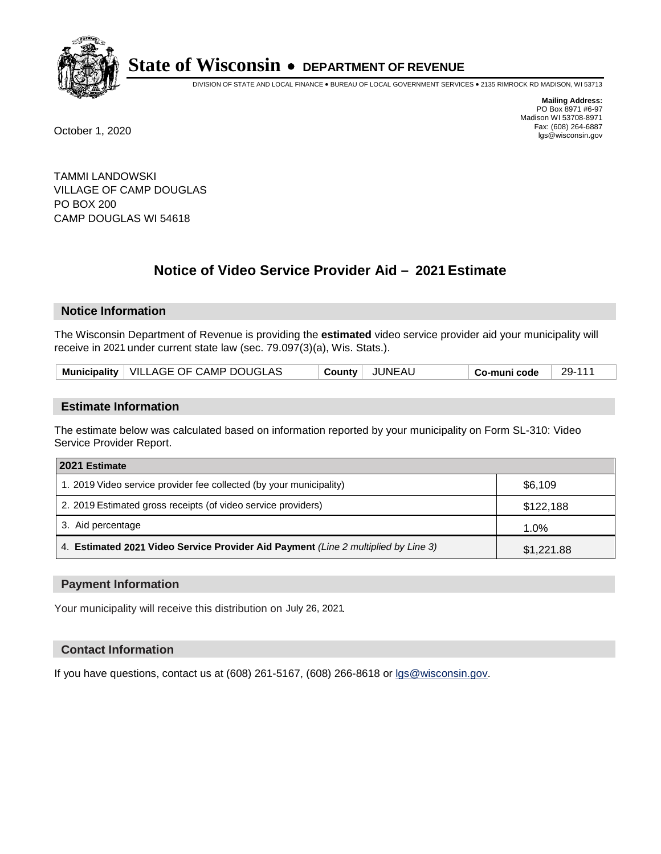

DIVISION OF STATE AND LOCAL FINANCE • BUREAU OF LOCAL GOVERNMENT SERVICES • 2135 RIMROCK RD MADISON, WI 53713

**Mailing Address:** PO Box 8971 #6-97 Madison WI 53708-8971<br>Fax: (608) 264-6887 Fax: (608) 264-6887 October 1, 2020 lgs@wisconsin.gov

TAMMI LANDOWSKI VILLAGE OF CAMP DOUGLAS PO BOX 200 CAMP DOUGLAS WI 54618

# **Notice of Video Service Provider Aid - 2021 Estimate**

## **Notice Information**

The Wisconsin Department of Revenue is providing the **estimated** video service provider aid your municipality will receive in 2021 under current state law (sec. 79.097(3)(a), Wis. Stats.).

| Municipality   VILLAGE OF CAMP DOUGLAS | JUNEAU<br><b>County</b> | 29-111<br>Co-muni code |
|----------------------------------------|-------------------------|------------------------|
|----------------------------------------|-------------------------|------------------------|

## **Estimate Information**

The estimate below was calculated based on information reported by your municipality on Form SL-310: Video Service Provider Report.

| 2021 Estimate                                                                      |            |
|------------------------------------------------------------------------------------|------------|
| 1. 2019 Video service provider fee collected (by your municipality)                | \$6,109    |
| 2. 2019 Estimated gross receipts (of video service providers)                      | \$122,188  |
| 3. Aid percentage                                                                  | 1.0%       |
| 4. Estimated 2021 Video Service Provider Aid Payment (Line 2 multiplied by Line 3) | \$1,221.88 |

#### **Payment Information**

Your municipality will receive this distribution on July 26, 2021.

## **Contact Information**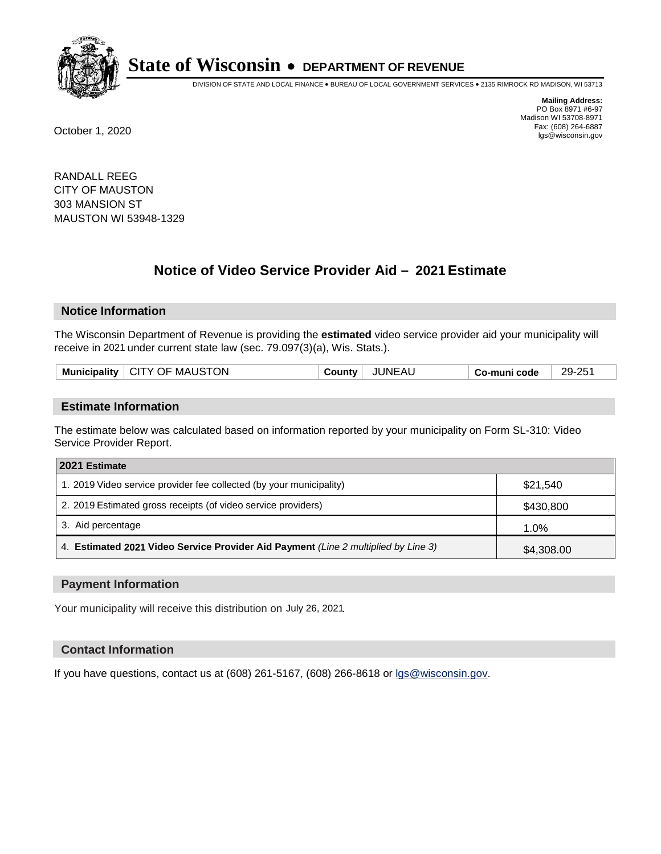

DIVISION OF STATE AND LOCAL FINANCE • BUREAU OF LOCAL GOVERNMENT SERVICES • 2135 RIMROCK RD MADISON, WI 53713

**Mailing Address:** PO Box 8971 #6-97 Madison WI 53708-8971<br>Fax: (608) 264-6887 Fax: (608) 264-6887 October 1, 2020 lgs@wisconsin.gov

RANDALL REEG CITY OF MAUSTON 303 MANSION ST MAUSTON WI 53948-1329

# **Notice of Video Service Provider Aid - 2021 Estimate**

## **Notice Information**

The Wisconsin Department of Revenue is providing the **estimated** video service provider aid your municipality will receive in 2021 under current state law (sec. 79.097(3)(a), Wis. Stats.).

|--|

#### **Estimate Information**

The estimate below was calculated based on information reported by your municipality on Form SL-310: Video Service Provider Report.

| 2021 Estimate                                                                      |            |
|------------------------------------------------------------------------------------|------------|
| 1. 2019 Video service provider fee collected (by your municipality)                | \$21,540   |
| 2. 2019 Estimated gross receipts (of video service providers)                      | \$430,800  |
| 3. Aid percentage                                                                  | 1.0%       |
| 4. Estimated 2021 Video Service Provider Aid Payment (Line 2 multiplied by Line 3) | \$4,308.00 |

#### **Payment Information**

Your municipality will receive this distribution on July 26, 2021.

## **Contact Information**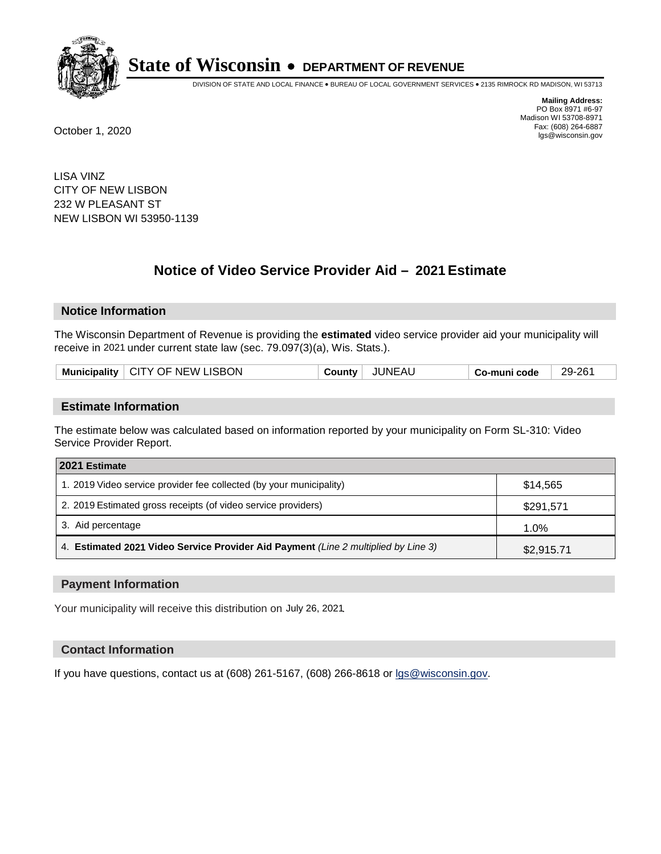

DIVISION OF STATE AND LOCAL FINANCE • BUREAU OF LOCAL GOVERNMENT SERVICES • 2135 RIMROCK RD MADISON, WI 53713

**Mailing Address:** PO Box 8971 #6-97 Madison WI 53708-8971<br>Fax: (608) 264-6887 Fax: (608) 264-6887 October 1, 2020 lgs@wisconsin.gov

LISA VINZ CITY OF NEW LISBON 232 W PLEASANT ST NEW LISBON WI 53950-1139

# **Notice of Video Service Provider Aid - 2021 Estimate**

## **Notice Information**

The Wisconsin Department of Revenue is providing the **estimated** video service provider aid your municipality will receive in 2021 under current state law (sec. 79.097(3)(a), Wis. Stats.).

| Municipality   CITY OF NEW LISBON | <b>JUNEAU</b><br>County | Co-muni code | 29-261 |
|-----------------------------------|-------------------------|--------------|--------|
|-----------------------------------|-------------------------|--------------|--------|

#### **Estimate Information**

The estimate below was calculated based on information reported by your municipality on Form SL-310: Video Service Provider Report.

| 2021 Estimate                                                                      |            |
|------------------------------------------------------------------------------------|------------|
| 1. 2019 Video service provider fee collected (by your municipality)                | \$14.565   |
| 2. 2019 Estimated gross receipts (of video service providers)                      | \$291,571  |
| 3. Aid percentage                                                                  | 1.0%       |
| 4. Estimated 2021 Video Service Provider Aid Payment (Line 2 multiplied by Line 3) | \$2,915.71 |

#### **Payment Information**

Your municipality will receive this distribution on July 26, 2021.

## **Contact Information**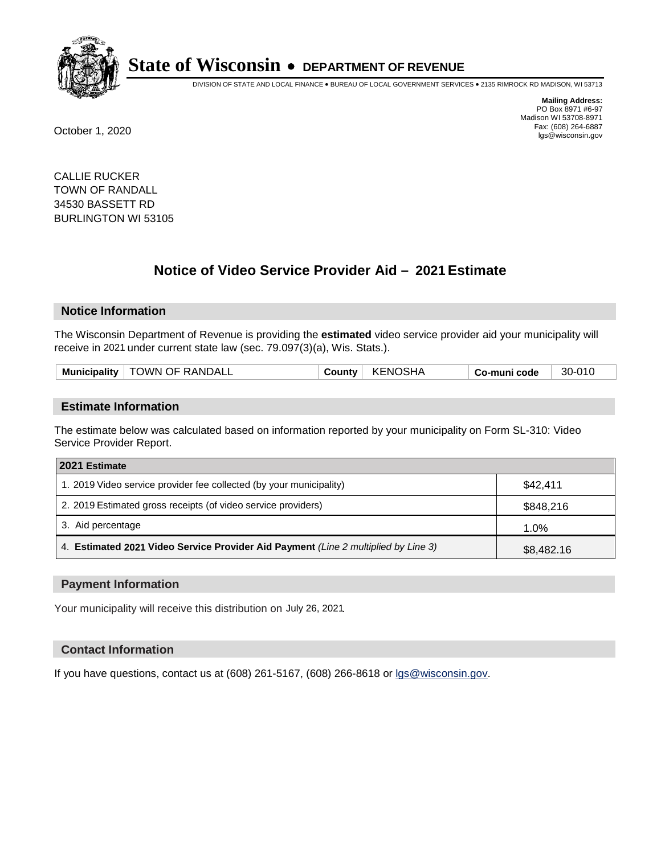

DIVISION OF STATE AND LOCAL FINANCE • BUREAU OF LOCAL GOVERNMENT SERVICES • 2135 RIMROCK RD MADISON, WI 53713

**Mailing Address:** PO Box 8971 #6-97 Madison WI 53708-8971<br>Fax: (608) 264-6887 Fax: (608) 264-6887 October 1, 2020 lgs@wisconsin.gov

CALLIE RUCKER TOWN OF RANDALL 34530 BASSETT RD BURLINGTON WI 53105

# **Notice of Video Service Provider Aid - 2021 Estimate**

## **Notice Information**

The Wisconsin Department of Revenue is providing the **estimated** video service provider aid your municipality will receive in 2021 under current state law (sec. 79.097(3)(a), Wis. Stats.).

| Municipality   TOWN OF RANDALL | <b>KENOSHA</b><br><b>County</b> | 30-010<br>Co-muni code |
|--------------------------------|---------------------------------|------------------------|
|--------------------------------|---------------------------------|------------------------|

#### **Estimate Information**

The estimate below was calculated based on information reported by your municipality on Form SL-310: Video Service Provider Report.

| 2021 Estimate                                                                      |            |
|------------------------------------------------------------------------------------|------------|
| 1. 2019 Video service provider fee collected (by your municipality)                | \$42.411   |
| 2. 2019 Estimated gross receipts (of video service providers)                      | \$848,216  |
| 3. Aid percentage                                                                  | 1.0%       |
| 4. Estimated 2021 Video Service Provider Aid Payment (Line 2 multiplied by Line 3) | \$8,482.16 |

#### **Payment Information**

Your municipality will receive this distribution on July 26, 2021.

## **Contact Information**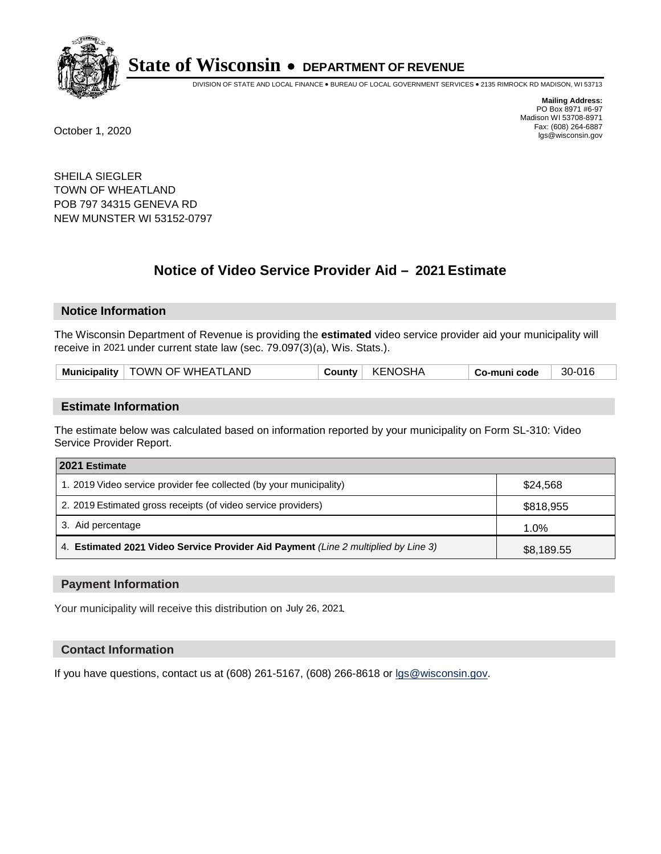

DIVISION OF STATE AND LOCAL FINANCE • BUREAU OF LOCAL GOVERNMENT SERVICES • 2135 RIMROCK RD MADISON, WI 53713

**Mailing Address:** PO Box 8971 #6-97 Madison WI 53708-8971<br>Fax: (608) 264-6887 Fax: (608) 264-6887 October 1, 2020 lgs@wisconsin.gov

SHEILA SIEGLER TOWN OF WHEATLAND POB 797 34315 GENEVA RD NEW MUNSTER WI 53152-0797

# **Notice of Video Service Provider Aid - 2021 Estimate**

## **Notice Information**

The Wisconsin Department of Revenue is providing the **estimated** video service provider aid your municipality will receive in 2021 under current state law (sec. 79.097(3)(a), Wis. Stats.).

| Municipality   TOWN OF WHEATLAND | <b>KENOSHA</b><br>County | 30-016<br>Co-muni code |  |
|----------------------------------|--------------------------|------------------------|--|
|----------------------------------|--------------------------|------------------------|--|

#### **Estimate Information**

The estimate below was calculated based on information reported by your municipality on Form SL-310: Video Service Provider Report.

| 2021 Estimate                                                                      |            |
|------------------------------------------------------------------------------------|------------|
| 1. 2019 Video service provider fee collected (by your municipality)                | \$24,568   |
| 2. 2019 Estimated gross receipts (of video service providers)                      | \$818,955  |
| 3. Aid percentage                                                                  | 1.0%       |
| 4. Estimated 2021 Video Service Provider Aid Payment (Line 2 multiplied by Line 3) | \$8,189.55 |

#### **Payment Information**

Your municipality will receive this distribution on July 26, 2021.

## **Contact Information**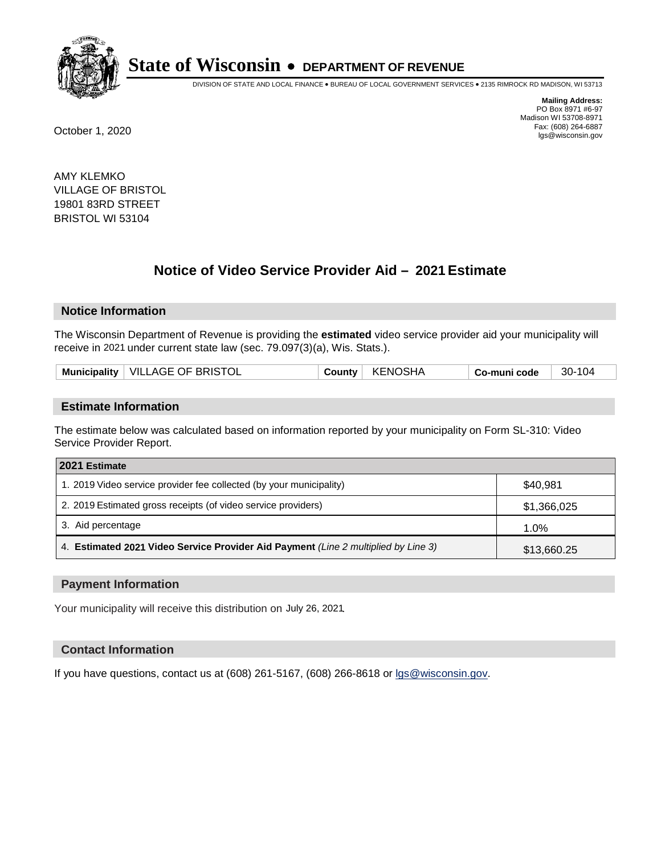

DIVISION OF STATE AND LOCAL FINANCE • BUREAU OF LOCAL GOVERNMENT SERVICES • 2135 RIMROCK RD MADISON, WI 53713

**Mailing Address:** PO Box 8971 #6-97 Madison WI 53708-8971<br>Fax: (608) 264-6887 Fax: (608) 264-6887 October 1, 2020 lgs@wisconsin.gov

AMY KLEMKO VILLAGE OF BRISTOL 19801 83RD STREET BRISTOL WI 53104

# **Notice of Video Service Provider Aid - 2021 Estimate**

## **Notice Information**

The Wisconsin Department of Revenue is providing the **estimated** video service provider aid your municipality will receive in 2021 under current state law (sec. 79.097(3)(a), Wis. Stats.).

|  |  | Municipality   VILLAGE OF BRISTOL |  | County   KENOSHA | ∣ Co-muni code | 30-104 |
|--|--|-----------------------------------|--|------------------|----------------|--------|
|--|--|-----------------------------------|--|------------------|----------------|--------|

#### **Estimate Information**

The estimate below was calculated based on information reported by your municipality on Form SL-310: Video Service Provider Report.

| 2021 Estimate                                                                      |             |
|------------------------------------------------------------------------------------|-------------|
| 1. 2019 Video service provider fee collected (by your municipality)                | \$40,981    |
| 2. 2019 Estimated gross receipts (of video service providers)                      | \$1,366,025 |
| 3. Aid percentage                                                                  | 1.0%        |
| 4. Estimated 2021 Video Service Provider Aid Payment (Line 2 multiplied by Line 3) | \$13,660.25 |

#### **Payment Information**

Your municipality will receive this distribution on July 26, 2021.

## **Contact Information**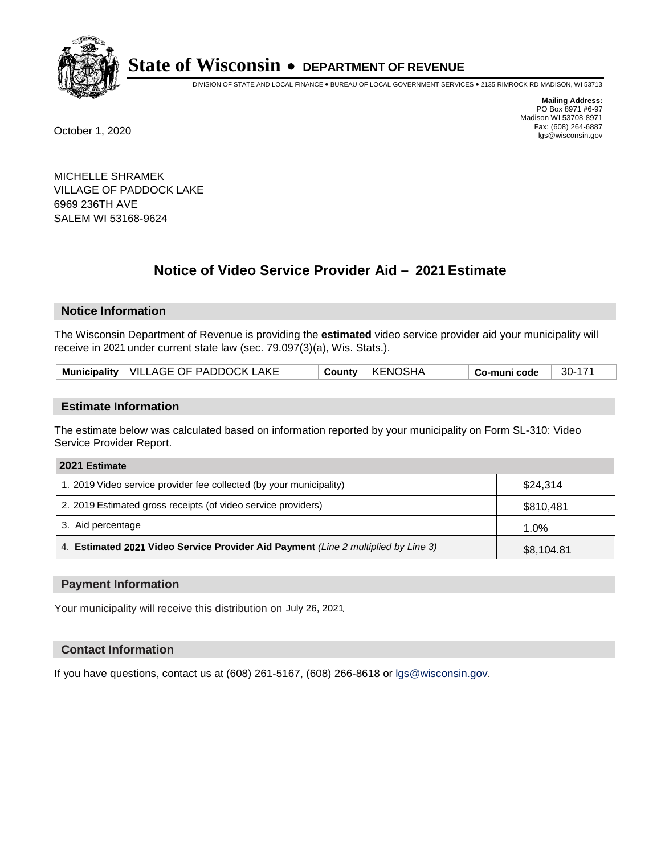

DIVISION OF STATE AND LOCAL FINANCE • BUREAU OF LOCAL GOVERNMENT SERVICES • 2135 RIMROCK RD MADISON, WI 53713

**Mailing Address:** PO Box 8971 #6-97 Madison WI 53708-8971<br>Fax: (608) 264-6887 Fax: (608) 264-6887 October 1, 2020 lgs@wisconsin.gov

MICHELLE SHRAMEK VILLAGE OF PADDOCK LAKE 6969 236TH AVE SALEM WI 53168-9624

# **Notice of Video Service Provider Aid - 2021 Estimate**

# **Notice Information**

The Wisconsin Department of Revenue is providing the **estimated** video service provider aid your municipality will receive in 2021 under current state law (sec. 79.097(3)(a), Wis. Stats.).

## **Estimate Information**

The estimate below was calculated based on information reported by your municipality on Form SL-310: Video Service Provider Report.

| 2021 Estimate                                                                      |            |
|------------------------------------------------------------------------------------|------------|
| 1. 2019 Video service provider fee collected (by your municipality)                | \$24.314   |
| 2. 2019 Estimated gross receipts (of video service providers)                      | \$810,481  |
| 3. Aid percentage                                                                  | 1.0%       |
| 4. Estimated 2021 Video Service Provider Aid Payment (Line 2 multiplied by Line 3) | \$8,104.81 |

#### **Payment Information**

Your municipality will receive this distribution on July 26, 2021.

## **Contact Information**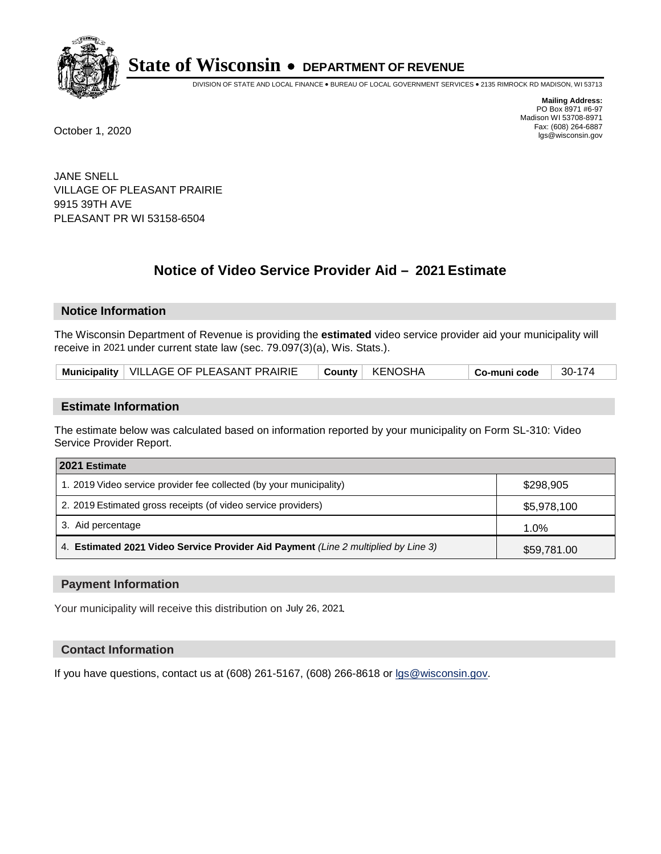

DIVISION OF STATE AND LOCAL FINANCE • BUREAU OF LOCAL GOVERNMENT SERVICES • 2135 RIMROCK RD MADISON, WI 53713

**Mailing Address:** PO Box 8971 #6-97 Madison WI 53708-8971<br>Fax: (608) 264-6887 Fax: (608) 264-6887 October 1, 2020 lgs@wisconsin.gov

JANE SNELL VILLAGE OF PLEASANT PRAIRIE 9915 39TH AVE PLEASANT PR WI 53158-6504

# **Notice of Video Service Provider Aid - 2021 Estimate**

## **Notice Information**

The Wisconsin Department of Revenue is providing the **estimated** video service provider aid your municipality will receive in 2021 under current state law (sec. 79.097(3)(a), Wis. Stats.).

| Municipality   VILLAGE OF PLEASANT PRAIRIE | County   KENOSHA | 30-174<br>Co-muni code |
|--------------------------------------------|------------------|------------------------|
|--------------------------------------------|------------------|------------------------|

#### **Estimate Information**

The estimate below was calculated based on information reported by your municipality on Form SL-310: Video Service Provider Report.

| 2021 Estimate                                                                      |             |
|------------------------------------------------------------------------------------|-------------|
| 1. 2019 Video service provider fee collected (by your municipality)                | \$298,905   |
| 2. 2019 Estimated gross receipts (of video service providers)                      | \$5,978,100 |
| 3. Aid percentage                                                                  | 1.0%        |
| 4. Estimated 2021 Video Service Provider Aid Payment (Line 2 multiplied by Line 3) | \$59,781.00 |

#### **Payment Information**

Your municipality will receive this distribution on July 26, 2021.

## **Contact Information**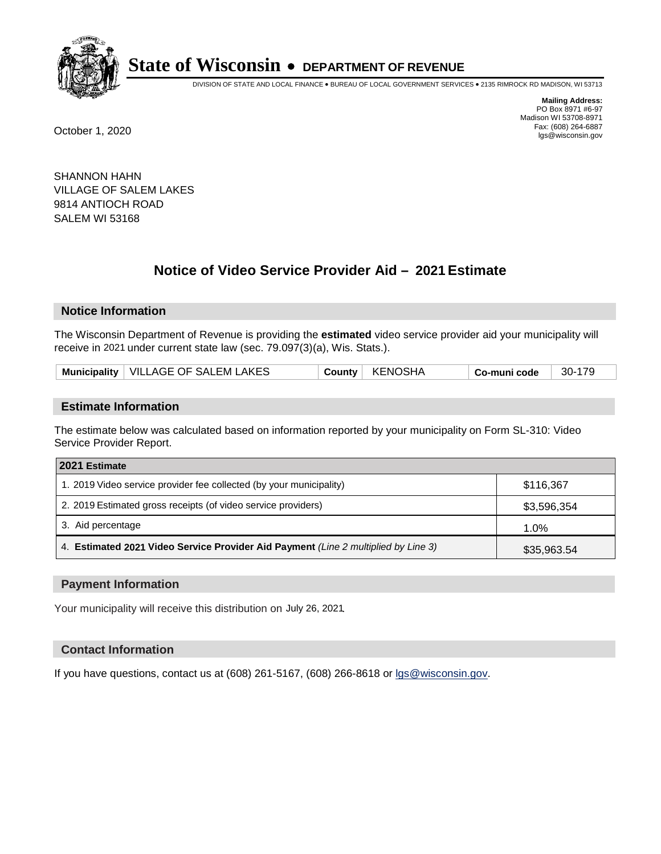

DIVISION OF STATE AND LOCAL FINANCE • BUREAU OF LOCAL GOVERNMENT SERVICES • 2135 RIMROCK RD MADISON, WI 53713

**Mailing Address:** PO Box 8971 #6-97 Madison WI 53708-8971<br>Fax: (608) 264-6887 Fax: (608) 264-6887 October 1, 2020 lgs@wisconsin.gov

SHANNON HAHN VILLAGE OF SALEM LAKES 9814 ANTIOCH ROAD SALEM WI 53168

# **Notice of Video Service Provider Aid - 2021 Estimate**

# **Notice Information**

The Wisconsin Department of Revenue is providing the **estimated** video service provider aid your municipality will receive in 2021 under current state law (sec. 79.097(3)(a), Wis. Stats.).

| Municipality   VILLAGE OF SALEM LAKES | County   KENOSHA | Co-muni code | 30-179 |
|---------------------------------------|------------------|--------------|--------|
|---------------------------------------|------------------|--------------|--------|

#### **Estimate Information**

The estimate below was calculated based on information reported by your municipality on Form SL-310: Video Service Provider Report.

| 2021 Estimate                                                                      |             |
|------------------------------------------------------------------------------------|-------------|
| 1. 2019 Video service provider fee collected (by your municipality)                | \$116,367   |
| 2. 2019 Estimated gross receipts (of video service providers)                      | \$3,596,354 |
| 3. Aid percentage                                                                  | $1.0\%$     |
| 4. Estimated 2021 Video Service Provider Aid Payment (Line 2 multiplied by Line 3) | \$35,963.54 |

#### **Payment Information**

Your municipality will receive this distribution on July 26, 2021.

## **Contact Information**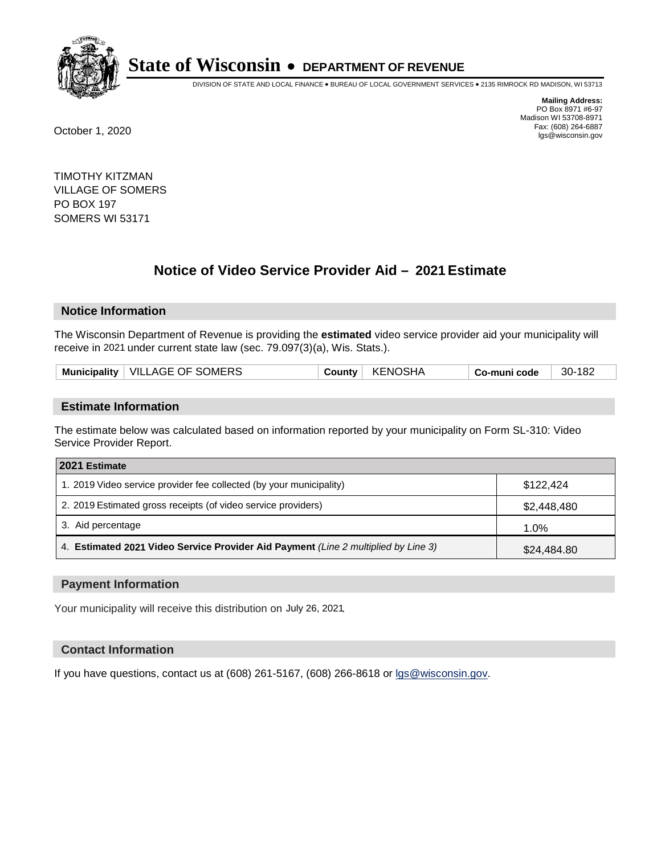

DIVISION OF STATE AND LOCAL FINANCE • BUREAU OF LOCAL GOVERNMENT SERVICES • 2135 RIMROCK RD MADISON, WI 53713

**Mailing Address:** PO Box 8971 #6-97 Madison WI 53708-8971<br>Fax: (608) 264-6887 Fax: (608) 264-6887 October 1, 2020 lgs@wisconsin.gov

TIMOTHY KITZMAN VILLAGE OF SOMERS PO BOX 197 SOMERS WI 53171

# **Notice of Video Service Provider Aid - 2021 Estimate**

# **Notice Information**

The Wisconsin Department of Revenue is providing the **estimated** video service provider aid your municipality will receive in 2021 under current state law (sec. 79.097(3)(a), Wis. Stats.).

| Municipality   VILLAGE OF SOMERS | KENOSHA<br>County | 30-182<br>Co-muni code |
|----------------------------------|-------------------|------------------------|
|----------------------------------|-------------------|------------------------|

#### **Estimate Information**

The estimate below was calculated based on information reported by your municipality on Form SL-310: Video Service Provider Report.

| 2021 Estimate                                                                      |             |
|------------------------------------------------------------------------------------|-------------|
| 1. 2019 Video service provider fee collected (by your municipality)                | \$122,424   |
| 2. 2019 Estimated gross receipts (of video service providers)                      | \$2,448,480 |
| 3. Aid percentage                                                                  | 1.0%        |
| 4. Estimated 2021 Video Service Provider Aid Payment (Line 2 multiplied by Line 3) | \$24,484.80 |

#### **Payment Information**

Your municipality will receive this distribution on July 26, 2021.

## **Contact Information**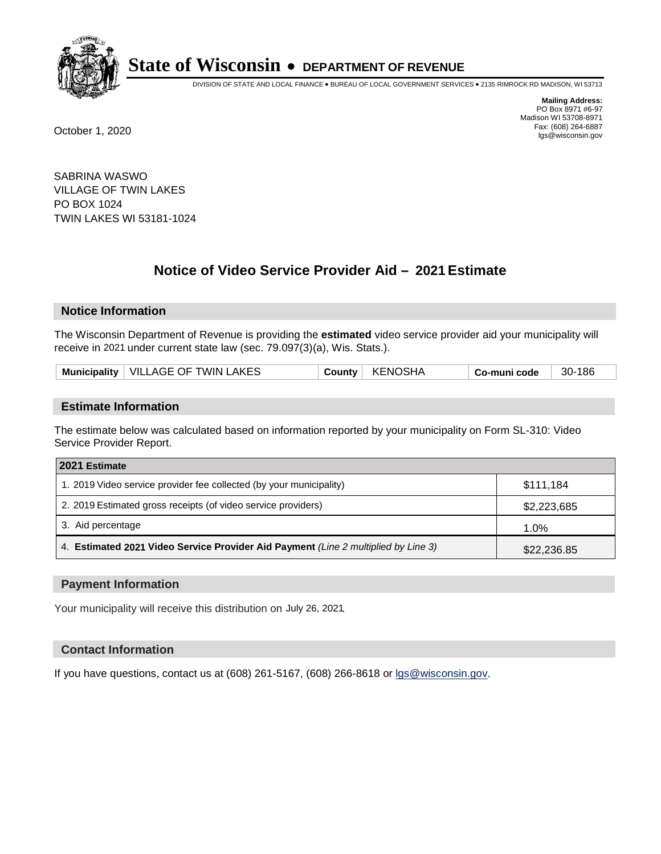

DIVISION OF STATE AND LOCAL FINANCE • BUREAU OF LOCAL GOVERNMENT SERVICES • 2135 RIMROCK RD MADISON, WI 53713

**Mailing Address:** PO Box 8971 #6-97 Madison WI 53708-8971<br>Fax: (608) 264-6887 Fax: (608) 264-6887 October 1, 2020 lgs@wisconsin.gov

SABRINA WASWO VILLAGE OF TWIN LAKES PO BOX 1024 TWIN LAKES WI 53181-1024

# **Notice of Video Service Provider Aid - 2021 Estimate**

## **Notice Information**

The Wisconsin Department of Revenue is providing the **estimated** video service provider aid your municipality will receive in 2021 under current state law (sec. 79.097(3)(a), Wis. Stats.).

| Municipality   VILLAGE OF TWIN LAKES | KENOSHA<br>County | Co-muni code | 30-186 |
|--------------------------------------|-------------------|--------------|--------|
|--------------------------------------|-------------------|--------------|--------|

#### **Estimate Information**

The estimate below was calculated based on information reported by your municipality on Form SL-310: Video Service Provider Report.

| 2021 Estimate                                                                      |             |
|------------------------------------------------------------------------------------|-------------|
| 1. 2019 Video service provider fee collected (by your municipality)                | \$111,184   |
| 2. 2019 Estimated gross receipts (of video service providers)                      | \$2,223,685 |
| 3. Aid percentage                                                                  | 1.0%        |
| 4. Estimated 2021 Video Service Provider Aid Payment (Line 2 multiplied by Line 3) | \$22,236.85 |

#### **Payment Information**

Your municipality will receive this distribution on July 26, 2021.

## **Contact Information**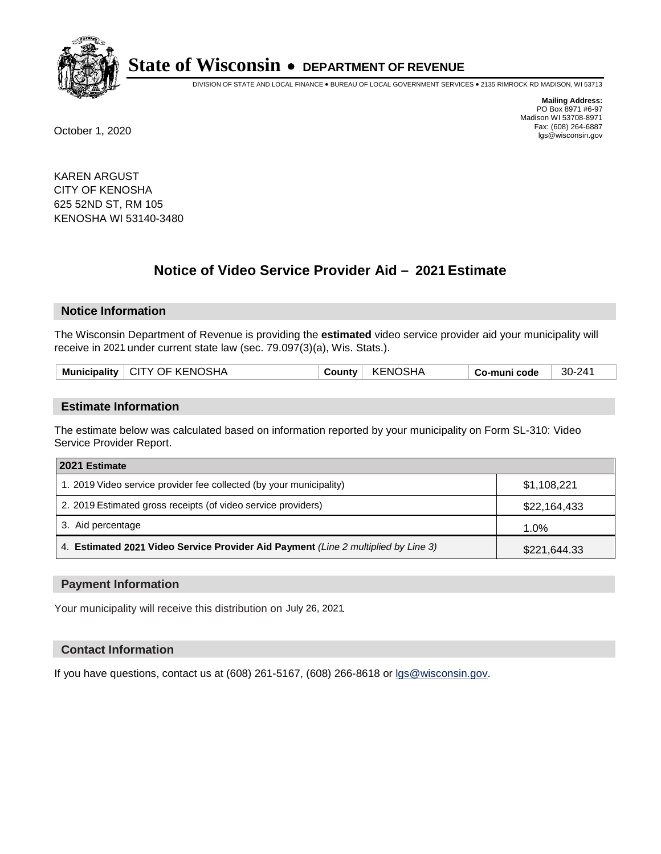

DIVISION OF STATE AND LOCAL FINANCE • BUREAU OF LOCAL GOVERNMENT SERVICES • 2135 RIMROCK RD MADISON, WI 53713

**Mailing Address:** PO Box 8971 #6-97 Madison WI 53708-8971<br>Fax: (608) 264-6887 Fax: (608) 264-6887 October 1, 2020 lgs@wisconsin.gov

KAREN ARGUST CITY OF KENOSHA 625 52ND ST, RM 105 KENOSHA WI 53140-3480

# **Notice of Video Service Provider Aid - 2021 Estimate**

## **Notice Information**

The Wisconsin Department of Revenue is providing the **estimated** video service provider aid your municipality will receive in 2021 under current state law (sec. 79.097(3)(a), Wis. Stats.).

| Municipality   CITY OF KENOSHA | County | <b>KENOSHA</b> | Co-muni code | 30-241 |
|--------------------------------|--------|----------------|--------------|--------|
|                                |        |                |              |        |

#### **Estimate Information**

The estimate below was calculated based on information reported by your municipality on Form SL-310: Video Service Provider Report.

| 2021 Estimate                                                                      |              |
|------------------------------------------------------------------------------------|--------------|
| 1. 2019 Video service provider fee collected (by your municipality)                | \$1,108,221  |
| 2. 2019 Estimated gross receipts (of video service providers)                      | \$22,164,433 |
| 3. Aid percentage                                                                  | 1.0%         |
| 4. Estimated 2021 Video Service Provider Aid Payment (Line 2 multiplied by Line 3) | \$221,644.33 |

#### **Payment Information**

Your municipality will receive this distribution on July 26, 2021.

## **Contact Information**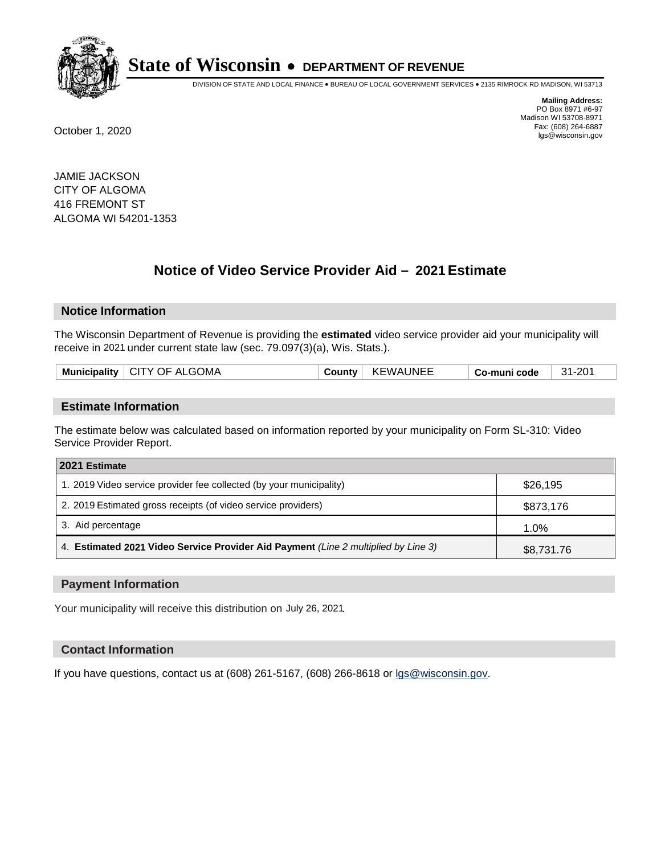

DIVISION OF STATE AND LOCAL FINANCE • BUREAU OF LOCAL GOVERNMENT SERVICES • 2135 RIMROCK RD MADISON, WI 53713

**Mailing Address:** PO Box 8971 #6-97 Madison WI 53708-8971<br>Fax: (608) 264-6887 Fax: (608) 264-6887 October 1, 2020 lgs@wisconsin.gov

JAMIE JACKSON CITY OF ALGOMA 416 FREMONT ST ALGOMA WI 54201-1353

# **Notice of Video Service Provider Aid - 2021 Estimate**

## **Notice Information**

The Wisconsin Department of Revenue is providing the **estimated** video service provider aid your municipality will receive in 2021 under current state law (sec. 79.097(3)(a), Wis. Stats.).

| Municipality   CITY OF ALGOMA | County | <b>KEWAUNEE</b> | Co-muni code | $31 - 201$ |
|-------------------------------|--------|-----------------|--------------|------------|
|                               |        |                 |              |            |

#### **Estimate Information**

The estimate below was calculated based on information reported by your municipality on Form SL-310: Video Service Provider Report.

| 2021 Estimate                                                                      |            |
|------------------------------------------------------------------------------------|------------|
| 1. 2019 Video service provider fee collected (by your municipality)                | \$26,195   |
| 2. 2019 Estimated gross receipts (of video service providers)                      | \$873,176  |
| 3. Aid percentage                                                                  | 1.0%       |
| 4. Estimated 2021 Video Service Provider Aid Payment (Line 2 multiplied by Line 3) | \$8,731.76 |

#### **Payment Information**

Your municipality will receive this distribution on July 26, 2021.

#### **Contact Information**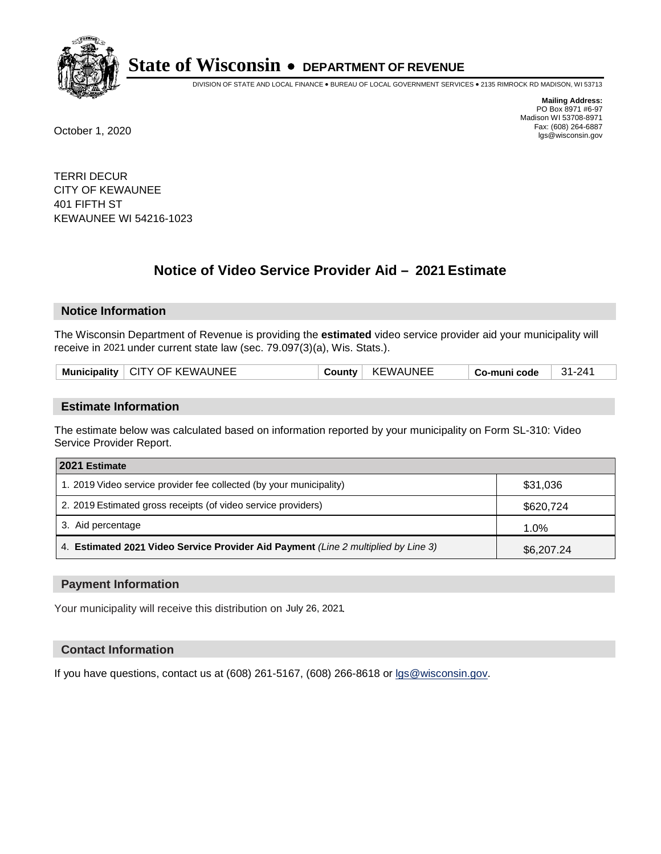

DIVISION OF STATE AND LOCAL FINANCE • BUREAU OF LOCAL GOVERNMENT SERVICES • 2135 RIMROCK RD MADISON, WI 53713

**Mailing Address:** PO Box 8971 #6-97 Madison WI 53708-8971<br>Fax: (608) 264-6887 Fax: (608) 264-6887 October 1, 2020 lgs@wisconsin.gov

TERRI DECUR CITY OF KEWAUNEE 401 FIFTH ST KEWAUNEE WI 54216-1023

# **Notice of Video Service Provider Aid - 2021 Estimate**

## **Notice Information**

The Wisconsin Department of Revenue is providing the **estimated** video service provider aid your municipality will receive in 2021 under current state law (sec. 79.097(3)(a), Wis. Stats.).

|--|

#### **Estimate Information**

The estimate below was calculated based on information reported by your municipality on Form SL-310: Video Service Provider Report.

| 2021 Estimate                                                                      |            |
|------------------------------------------------------------------------------------|------------|
| 1. 2019 Video service provider fee collected (by your municipality)                | \$31,036   |
| 2. 2019 Estimated gross receipts (of video service providers)                      | \$620,724  |
| 3. Aid percentage                                                                  | 1.0%       |
| 4. Estimated 2021 Video Service Provider Aid Payment (Line 2 multiplied by Line 3) | \$6,207.24 |

#### **Payment Information**

Your municipality will receive this distribution on July 26, 2021.

## **Contact Information**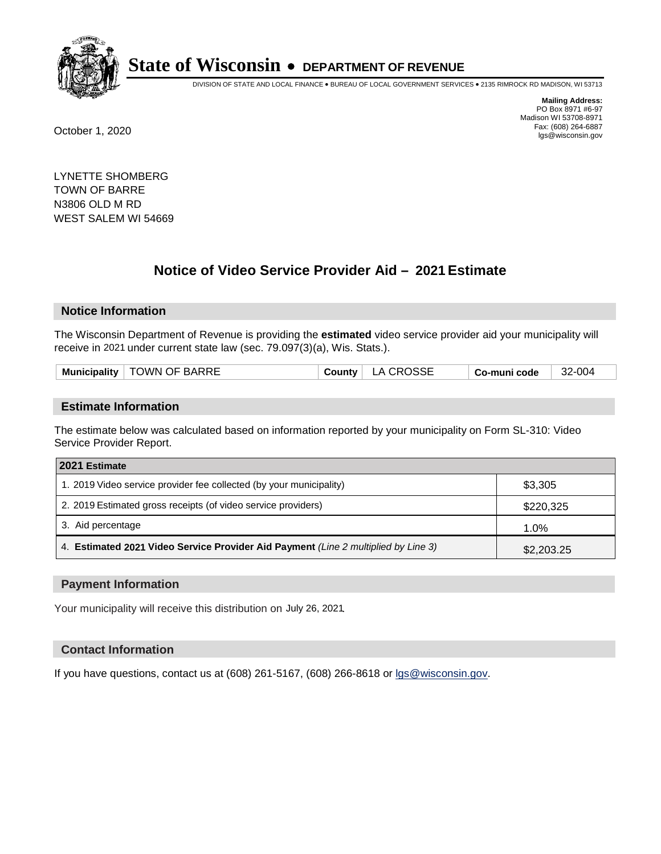

DIVISION OF STATE AND LOCAL FINANCE • BUREAU OF LOCAL GOVERNMENT SERVICES • 2135 RIMROCK RD MADISON, WI 53713

**Mailing Address:** PO Box 8971 #6-97 Madison WI 53708-8971<br>Fax: (608) 264-6887 Fax: (608) 264-6887 October 1, 2020 lgs@wisconsin.gov

LYNETTE SHOMBERG TOWN OF BARRE N3806 OLD M RD WEST SALEM WI 54669

# **Notice of Video Service Provider Aid - 2021 Estimate**

# **Notice Information**

The Wisconsin Department of Revenue is providing the **estimated** video service provider aid your municipality will receive in 2021 under current state law (sec. 79.097(3)(a), Wis. Stats.).

| Municipality   TOWN OF BARRE | County | LA CROSSE | Co-muni code | 32-004 |
|------------------------------|--------|-----------|--------------|--------|
|                              |        |           |              |        |

#### **Estimate Information**

The estimate below was calculated based on information reported by your municipality on Form SL-310: Video Service Provider Report.

| 2021 Estimate                                                                      |            |
|------------------------------------------------------------------------------------|------------|
| 1. 2019 Video service provider fee collected (by your municipality)                | \$3,305    |
| 2. 2019 Estimated gross receipts (of video service providers)                      | \$220,325  |
| 3. Aid percentage                                                                  | 1.0%       |
| 4. Estimated 2021 Video Service Provider Aid Payment (Line 2 multiplied by Line 3) | \$2,203.25 |

#### **Payment Information**

Your municipality will receive this distribution on July 26, 2021.

## **Contact Information**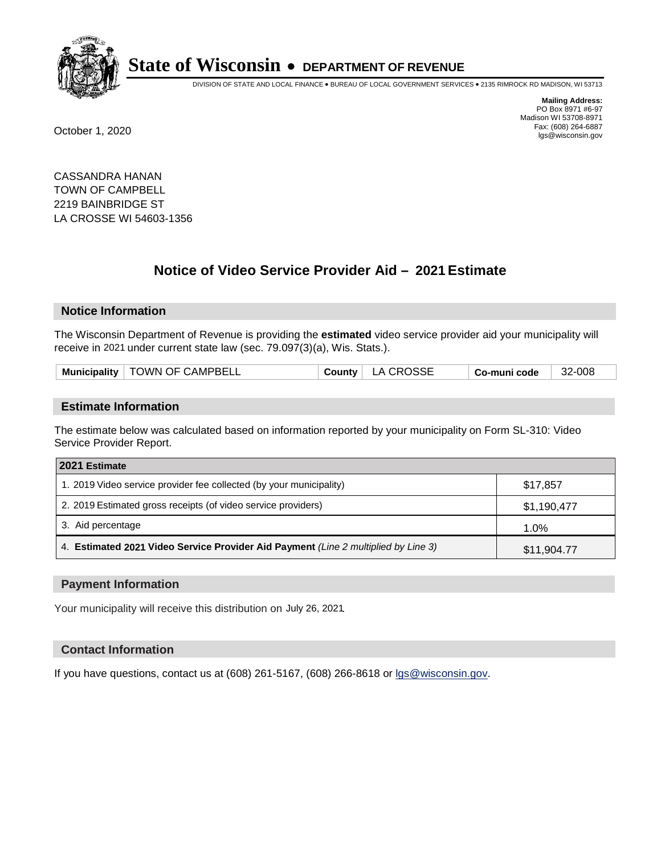

DIVISION OF STATE AND LOCAL FINANCE • BUREAU OF LOCAL GOVERNMENT SERVICES • 2135 RIMROCK RD MADISON, WI 53713

**Mailing Address:** PO Box 8971 #6-97 Madison WI 53708-8971<br>Fax: (608) 264-6887 Fax: (608) 264-6887 October 1, 2020 lgs@wisconsin.gov

CASSANDRA HANAN TOWN OF CAMPBELL 2219 BAINBRIDGE ST LA CROSSE WI 54603-1356

# **Notice of Video Service Provider Aid - 2021 Estimate**

## **Notice Information**

The Wisconsin Department of Revenue is providing the **estimated** video service provider aid your municipality will receive in 2021 under current state law (sec. 79.097(3)(a), Wis. Stats.).

| Municipality   TOWN OF CAMPBELL | County   LA CROSSE | Co-muni code | 32-008 |
|---------------------------------|--------------------|--------------|--------|
|---------------------------------|--------------------|--------------|--------|

#### **Estimate Information**

The estimate below was calculated based on information reported by your municipality on Form SL-310: Video Service Provider Report.

| 2021 Estimate                                                                      |             |
|------------------------------------------------------------------------------------|-------------|
| 1. 2019 Video service provider fee collected (by your municipality)                | \$17,857    |
| 2. 2019 Estimated gross receipts (of video service providers)                      | \$1,190,477 |
| 3. Aid percentage                                                                  | 1.0%        |
| 4. Estimated 2021 Video Service Provider Aid Payment (Line 2 multiplied by Line 3) | \$11,904.77 |

#### **Payment Information**

Your municipality will receive this distribution on July 26, 2021.

## **Contact Information**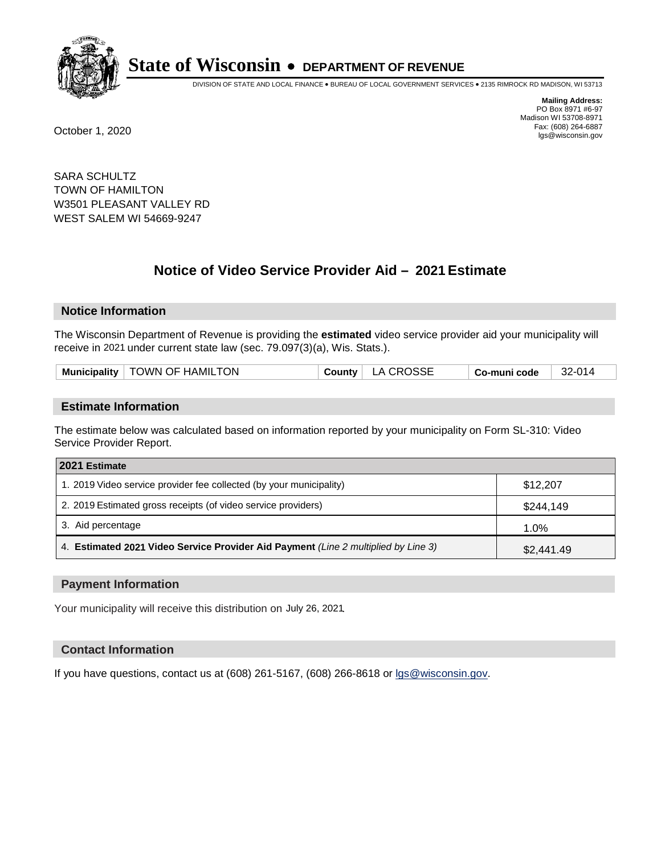

DIVISION OF STATE AND LOCAL FINANCE • BUREAU OF LOCAL GOVERNMENT SERVICES • 2135 RIMROCK RD MADISON, WI 53713

**Mailing Address:** PO Box 8971 #6-97 Madison WI 53708-8971<br>Fax: (608) 264-6887 Fax: (608) 264-6887 October 1, 2020 lgs@wisconsin.gov

SARA SCHULTZ TOWN OF HAMILTON W3501 PLEASANT VALLEY RD WEST SALEM WI 54669-9247

# **Notice of Video Service Provider Aid - 2021 Estimate**

## **Notice Information**

The Wisconsin Department of Revenue is providing the **estimated** video service provider aid your municipality will receive in 2021 under current state law (sec. 79.097(3)(a), Wis. Stats.).

| County   LA CROSSE<br>Municipality   TOWN OF HAMILTON<br>32-014<br>Co-muni code |  |
|---------------------------------------------------------------------------------|--|
|---------------------------------------------------------------------------------|--|

#### **Estimate Information**

The estimate below was calculated based on information reported by your municipality on Form SL-310: Video Service Provider Report.

| 2021 Estimate                                                                      |            |
|------------------------------------------------------------------------------------|------------|
| 1. 2019 Video service provider fee collected (by your municipality)                | \$12,207   |
| 2. 2019 Estimated gross receipts (of video service providers)                      | \$244,149  |
| 3. Aid percentage                                                                  | 1.0%       |
| 4. Estimated 2021 Video Service Provider Aid Payment (Line 2 multiplied by Line 3) | \$2,441.49 |

#### **Payment Information**

Your municipality will receive this distribution on July 26, 2021.

## **Contact Information**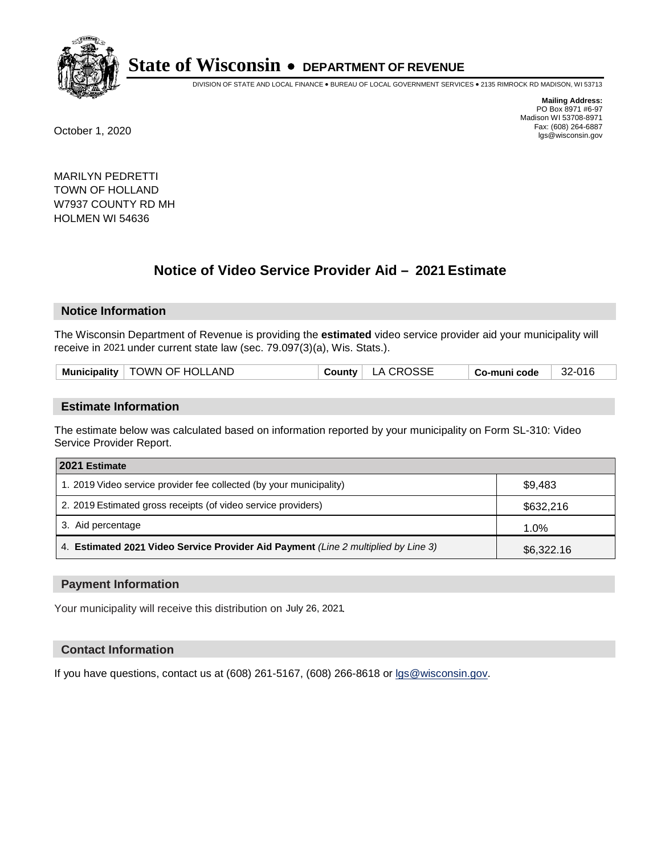

DIVISION OF STATE AND LOCAL FINANCE • BUREAU OF LOCAL GOVERNMENT SERVICES • 2135 RIMROCK RD MADISON, WI 53713

**Mailing Address:** PO Box 8971 #6-97 Madison WI 53708-8971<br>Fax: (608) 264-6887 Fax: (608) 264-6887 October 1, 2020 lgs@wisconsin.gov

MARILYN PEDRETTI TOWN OF HOLLAND W7937 COUNTY RD MH HOLMEN WI 54636

# **Notice of Video Service Provider Aid - 2021 Estimate**

## **Notice Information**

The Wisconsin Department of Revenue is providing the **estimated** video service provider aid your municipality will receive in 2021 under current state law (sec. 79.097(3)(a), Wis. Stats.).

|  |  | Municipality   TOWN OF HOLLAND |  | County   LA CROSSE | ∣ Co-muni code | 32-016 |
|--|--|--------------------------------|--|--------------------|----------------|--------|
|--|--|--------------------------------|--|--------------------|----------------|--------|

#### **Estimate Information**

The estimate below was calculated based on information reported by your municipality on Form SL-310: Video Service Provider Report.

| 2021 Estimate                                                                      |            |
|------------------------------------------------------------------------------------|------------|
| 1. 2019 Video service provider fee collected (by your municipality)                | \$9.483    |
| 2. 2019 Estimated gross receipts (of video service providers)                      | \$632,216  |
| 3. Aid percentage                                                                  | 1.0%       |
| 4. Estimated 2021 Video Service Provider Aid Payment (Line 2 multiplied by Line 3) | \$6,322.16 |

#### **Payment Information**

Your municipality will receive this distribution on July 26, 2021.

## **Contact Information**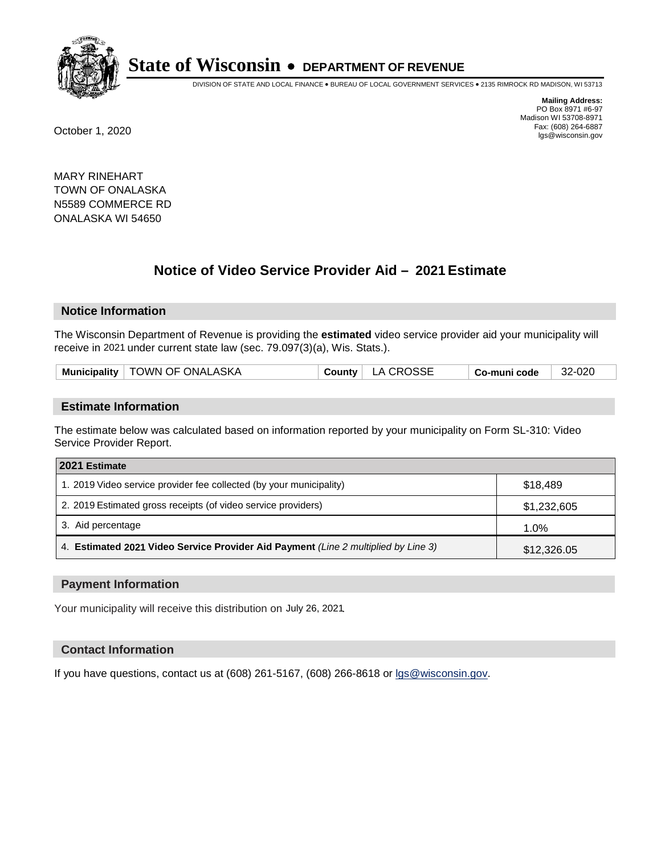

DIVISION OF STATE AND LOCAL FINANCE • BUREAU OF LOCAL GOVERNMENT SERVICES • 2135 RIMROCK RD MADISON, WI 53713

**Mailing Address:** PO Box 8971 #6-97 Madison WI 53708-8971<br>Fax: (608) 264-6887 Fax: (608) 264-6887 October 1, 2020 lgs@wisconsin.gov

MARY RINEHART TOWN OF ONALASKA N5589 COMMERCE RD ONALASKA WI 54650

# **Notice of Video Service Provider Aid - 2021 Estimate**

## **Notice Information**

The Wisconsin Department of Revenue is providing the **estimated** video service provider aid your municipality will receive in 2021 under current state law (sec. 79.097(3)(a), Wis. Stats.).

| County   LA CROSSE<br>Municipality   TOWN OF ONALASKA<br>32-020<br><sup>⊦</sup> Co-muni code |  |
|----------------------------------------------------------------------------------------------|--|
|----------------------------------------------------------------------------------------------|--|

#### **Estimate Information**

The estimate below was calculated based on information reported by your municipality on Form SL-310: Video Service Provider Report.

| 2021 Estimate                                                                      |             |
|------------------------------------------------------------------------------------|-------------|
| 1. 2019 Video service provider fee collected (by your municipality)                | \$18.489    |
| 2. 2019 Estimated gross receipts (of video service providers)                      | \$1,232,605 |
| 3. Aid percentage                                                                  | 1.0%        |
| 4. Estimated 2021 Video Service Provider Aid Payment (Line 2 multiplied by Line 3) | \$12,326.05 |

#### **Payment Information**

Your municipality will receive this distribution on July 26, 2021.

## **Contact Information**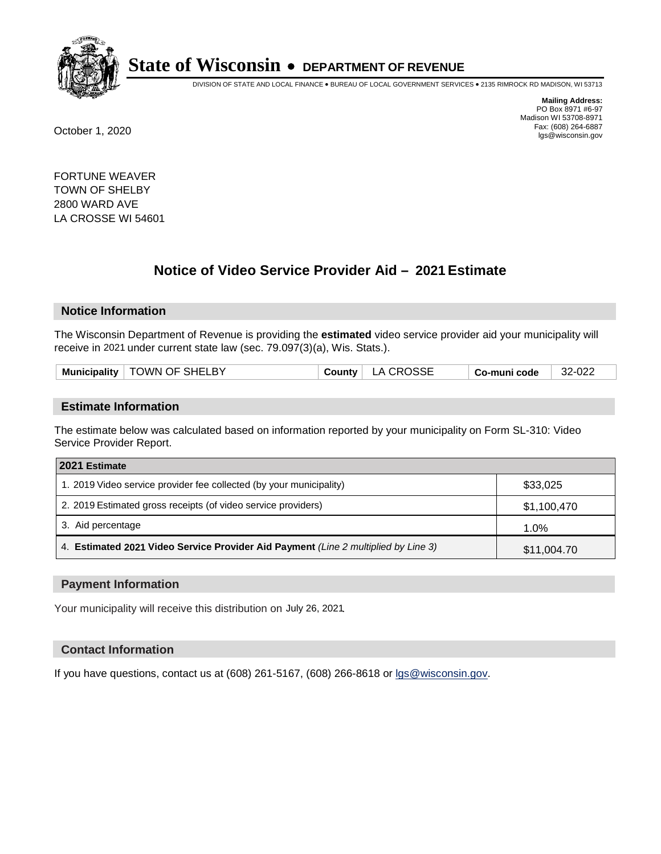

DIVISION OF STATE AND LOCAL FINANCE • BUREAU OF LOCAL GOVERNMENT SERVICES • 2135 RIMROCK RD MADISON, WI 53713

**Mailing Address:** PO Box 8971 #6-97 Madison WI 53708-8971<br>Fax: (608) 264-6887 Fax: (608) 264-6887 October 1, 2020 lgs@wisconsin.gov

FORTUNE WEAVER TOWN OF SHELBY 2800 WARD AVE LA CROSSE WI 54601

# **Notice of Video Service Provider Aid - 2021 Estimate**

## **Notice Information**

The Wisconsin Department of Revenue is providing the **estimated** video service provider aid your municipality will receive in 2021 under current state law (sec. 79.097(3)(a), Wis. Stats.).

|--|

#### **Estimate Information**

The estimate below was calculated based on information reported by your municipality on Form SL-310: Video Service Provider Report.

| 2021 Estimate                                                                      |             |
|------------------------------------------------------------------------------------|-------------|
| 1. 2019 Video service provider fee collected (by your municipality)                | \$33,025    |
| 2. 2019 Estimated gross receipts (of video service providers)                      | \$1,100,470 |
| 3. Aid percentage                                                                  | 1.0%        |
| 4. Estimated 2021 Video Service Provider Aid Payment (Line 2 multiplied by Line 3) | \$11,004.70 |

#### **Payment Information**

Your municipality will receive this distribution on July 26, 2021.

## **Contact Information**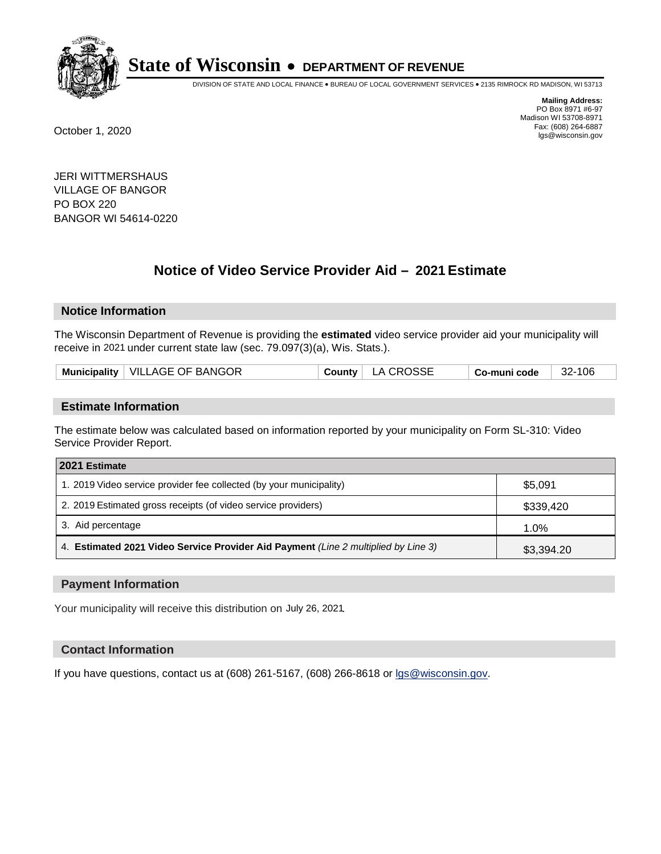

DIVISION OF STATE AND LOCAL FINANCE • BUREAU OF LOCAL GOVERNMENT SERVICES • 2135 RIMROCK RD MADISON, WI 53713

**Mailing Address:** PO Box 8971 #6-97 Madison WI 53708-8971<br>Fax: (608) 264-6887 Fax: (608) 264-6887 October 1, 2020 lgs@wisconsin.gov

JERI WITTMERSHAUS VILLAGE OF BANGOR PO BOX 220 BANGOR WI 54614-0220

# **Notice of Video Service Provider Aid - 2021 Estimate**

# **Notice Information**

The Wisconsin Department of Revenue is providing the **estimated** video service provider aid your municipality will receive in 2021 under current state law (sec. 79.097(3)(a), Wis. Stats.).

| Municipality   VILLAGE OF BANGOR<br>County   LA CROSSE<br>32-106<br>∣ Co-muni code |  |
|------------------------------------------------------------------------------------|--|
|------------------------------------------------------------------------------------|--|

#### **Estimate Information**

The estimate below was calculated based on information reported by your municipality on Form SL-310: Video Service Provider Report.

| 2021 Estimate                                                                      |            |  |
|------------------------------------------------------------------------------------|------------|--|
| 1. 2019 Video service provider fee collected (by your municipality)                | \$5,091    |  |
| 2. 2019 Estimated gross receipts (of video service providers)                      | \$339,420  |  |
| 3. Aid percentage                                                                  | 1.0%       |  |
| 4. Estimated 2021 Video Service Provider Aid Payment (Line 2 multiplied by Line 3) | \$3,394.20 |  |

#### **Payment Information**

Your municipality will receive this distribution on July 26, 2021.

## **Contact Information**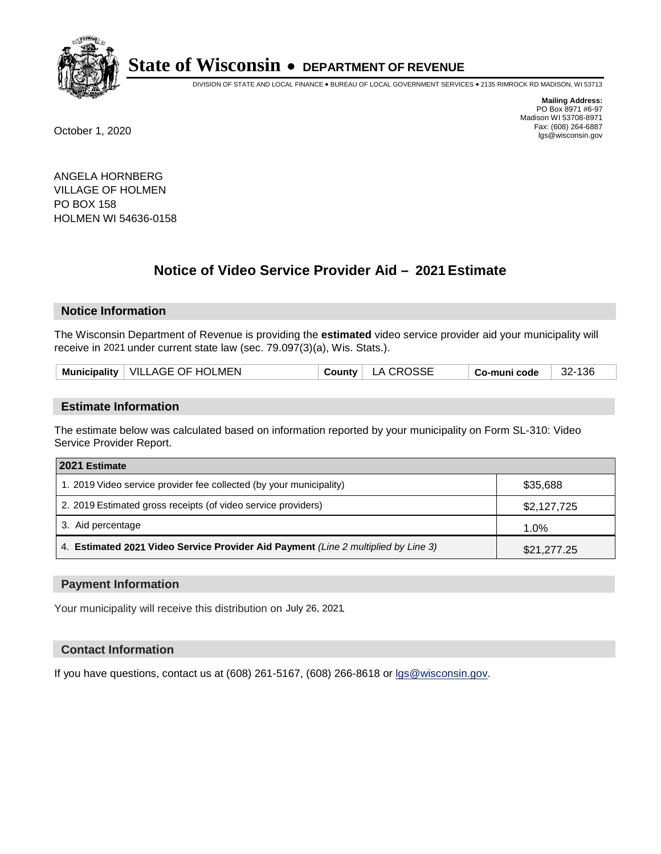

DIVISION OF STATE AND LOCAL FINANCE • BUREAU OF LOCAL GOVERNMENT SERVICES • 2135 RIMROCK RD MADISON, WI 53713

**Mailing Address:** PO Box 8971 #6-97 Madison WI 53708-8971<br>Fax: (608) 264-6887 Fax: (608) 264-6887 October 1, 2020 lgs@wisconsin.gov

ANGELA HORNBERG VILLAGE OF HOLMEN PO BOX 158 HOLMEN WI 54636-0158

# **Notice of Video Service Provider Aid - 2021 Estimate**

## **Notice Information**

The Wisconsin Department of Revenue is providing the **estimated** video service provider aid your municipality will receive in 2021 under current state law (sec. 79.097(3)(a), Wis. Stats.).

| Municipality   VILLAGE OF HOLMEN | County   LA CROSSE | 32-136<br>Co-muni code |
|----------------------------------|--------------------|------------------------|
|----------------------------------|--------------------|------------------------|

#### **Estimate Information**

The estimate below was calculated based on information reported by your municipality on Form SL-310: Video Service Provider Report.

| 2021 Estimate                                                                      |             |
|------------------------------------------------------------------------------------|-------------|
| 1. 2019 Video service provider fee collected (by your municipality)                | \$35,688    |
| 2. 2019 Estimated gross receipts (of video service providers)                      | \$2,127,725 |
| 3. Aid percentage                                                                  | 1.0%        |
| 4. Estimated 2021 Video Service Provider Aid Payment (Line 2 multiplied by Line 3) | \$21,277.25 |

#### **Payment Information**

Your municipality will receive this distribution on July 26, 2021.

## **Contact Information**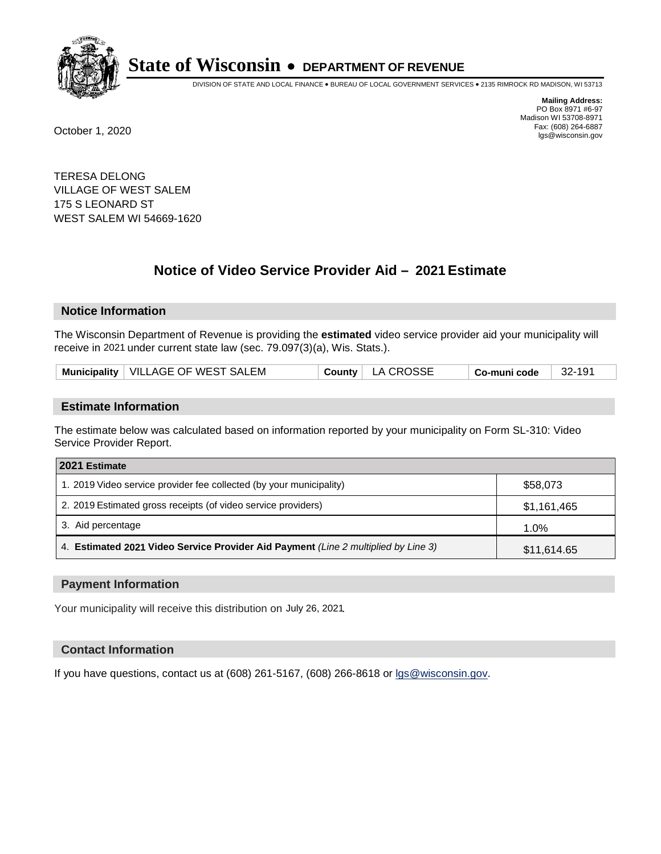

DIVISION OF STATE AND LOCAL FINANCE • BUREAU OF LOCAL GOVERNMENT SERVICES • 2135 RIMROCK RD MADISON, WI 53713

**Mailing Address:** PO Box 8971 #6-97 Madison WI 53708-8971<br>Fax: (608) 264-6887 Fax: (608) 264-6887 October 1, 2020 lgs@wisconsin.gov

TERESA DELONG VILLAGE OF WEST SALEM 175 S LEONARD ST WEST SALEM WI 54669-1620

# **Notice of Video Service Provider Aid - 2021 Estimate**

## **Notice Information**

The Wisconsin Department of Revenue is providing the **estimated** video service provider aid your municipality will receive in 2021 under current state law (sec. 79.097(3)(a), Wis. Stats.).

| Municipality   VILLAGE OF WEST SALEM | County   LA CROSSE | - 32-191<br>$^\shortparallel$ Co-muni code |
|--------------------------------------|--------------------|--------------------------------------------|
|--------------------------------------|--------------------|--------------------------------------------|

#### **Estimate Information**

The estimate below was calculated based on information reported by your municipality on Form SL-310: Video Service Provider Report.

| 2021 Estimate                                                                      |             |
|------------------------------------------------------------------------------------|-------------|
| 1. 2019 Video service provider fee collected (by your municipality)                | \$58,073    |
| 2. 2019 Estimated gross receipts (of video service providers)                      | \$1,161,465 |
| 3. Aid percentage                                                                  | 1.0%        |
| 4. Estimated 2021 Video Service Provider Aid Payment (Line 2 multiplied by Line 3) | \$11,614.65 |

#### **Payment Information**

Your municipality will receive this distribution on July 26, 2021.

## **Contact Information**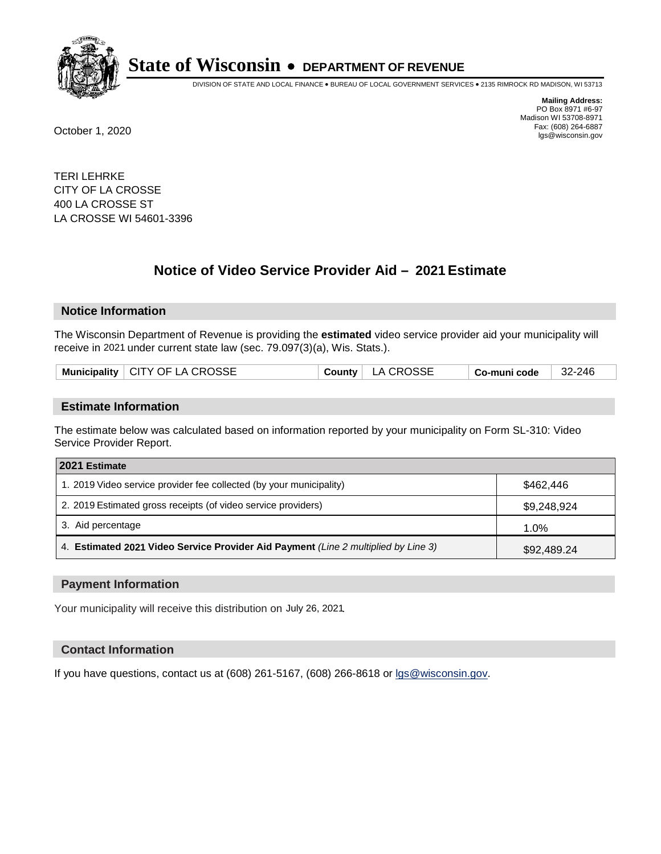

DIVISION OF STATE AND LOCAL FINANCE • BUREAU OF LOCAL GOVERNMENT SERVICES • 2135 RIMROCK RD MADISON, WI 53713

**Mailing Address:** PO Box 8971 #6-97 Madison WI 53708-8971<br>Fax: (608) 264-6887 Fax: (608) 264-6887 October 1, 2020 lgs@wisconsin.gov

TERI LEHRKE CITY OF LA CROSSE 400 LA CROSSE ST LA CROSSE WI 54601-3396

# **Notice of Video Service Provider Aid - 2021 Estimate**

## **Notice Information**

The Wisconsin Department of Revenue is providing the **estimated** video service provider aid your municipality will receive in 2021 under current state law (sec. 79.097(3)(a), Wis. Stats.).

| Municipality $\vert$ CITY OF LA CROSSE<br>County   LA CROSSE<br>$ 32-246$<br>$\vert$ Co-muni code $\vert$ |
|-----------------------------------------------------------------------------------------------------------|
|-----------------------------------------------------------------------------------------------------------|

#### **Estimate Information**

The estimate below was calculated based on information reported by your municipality on Form SL-310: Video Service Provider Report.

| 2021 Estimate                                                                      |             |
|------------------------------------------------------------------------------------|-------------|
| 1. 2019 Video service provider fee collected (by your municipality)                | \$462.446   |
| 2. 2019 Estimated gross receipts (of video service providers)                      | \$9,248,924 |
| 3. Aid percentage                                                                  | $1.0\%$     |
| 4. Estimated 2021 Video Service Provider Aid Payment (Line 2 multiplied by Line 3) | \$92,489.24 |

#### **Payment Information**

Your municipality will receive this distribution on July 26, 2021.

## **Contact Information**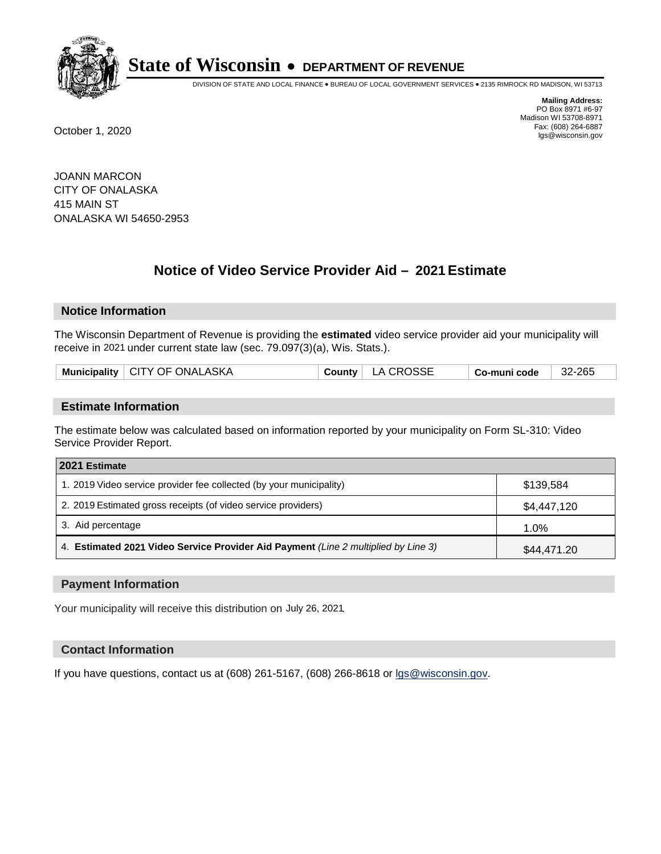

DIVISION OF STATE AND LOCAL FINANCE • BUREAU OF LOCAL GOVERNMENT SERVICES • 2135 RIMROCK RD MADISON, WI 53713

**Mailing Address:** PO Box 8971 #6-97 Madison WI 53708-8971<br>Fax: (608) 264-6887 Fax: (608) 264-6887 October 1, 2020 lgs@wisconsin.gov

JOANN MARCON CITY OF ONALASKA 415 MAIN ST ONALASKA WI 54650-2953

# **Notice of Video Service Provider Aid - 2021 Estimate**

## **Notice Information**

The Wisconsin Department of Revenue is providing the **estimated** video service provider aid your municipality will receive in 2021 under current state law (sec. 79.097(3)(a), Wis. Stats.).

|  |  | Municipality   CITY OF ONALASKA |  | County   LA CROSSE | <sup>∣</sup> Co-muni code | 32-265 |
|--|--|---------------------------------|--|--------------------|---------------------------|--------|
|--|--|---------------------------------|--|--------------------|---------------------------|--------|

#### **Estimate Information**

The estimate below was calculated based on information reported by your municipality on Form SL-310: Video Service Provider Report.

| 2021 Estimate                                                                      |             |
|------------------------------------------------------------------------------------|-------------|
| 1. 2019 Video service provider fee collected (by your municipality)                | \$139.584   |
| 2. 2019 Estimated gross receipts (of video service providers)                      | \$4,447,120 |
| 3. Aid percentage                                                                  | 1.0%        |
| 4. Estimated 2021 Video Service Provider Aid Payment (Line 2 multiplied by Line 3) | \$44,471.20 |

#### **Payment Information**

Your municipality will receive this distribution on July 26, 2021.

## **Contact Information**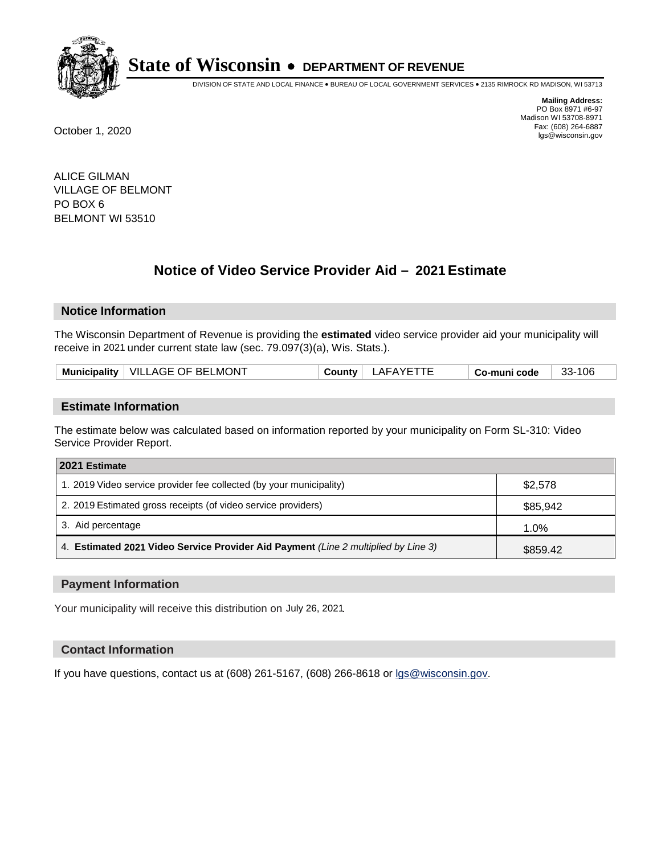

DIVISION OF STATE AND LOCAL FINANCE • BUREAU OF LOCAL GOVERNMENT SERVICES • 2135 RIMROCK RD MADISON, WI 53713

**Mailing Address:** PO Box 8971 #6-97 Madison WI 53708-8971<br>Fax: (608) 264-6887 Fax: (608) 264-6887 October 1, 2020 lgs@wisconsin.gov

ALICE GILMAN VILLAGE OF BELMONT PO BOX 6 BELMONT WI 53510

# **Notice of Video Service Provider Aid - 2021 Estimate**

## **Notice Information**

The Wisconsin Department of Revenue is providing the **estimated** video service provider aid your municipality will receive in 2021 under current state law (sec. 79.097(3)(a), Wis. Stats.).

| Municipality   VILLAGE OF BELMONT<br>LAFAYETTE | 33-106<br>Co-muni code |
|------------------------------------------------|------------------------|
|------------------------------------------------|------------------------|

#### **Estimate Information**

The estimate below was calculated based on information reported by your municipality on Form SL-310: Video Service Provider Report.

| 2021 Estimate                                                                      |          |
|------------------------------------------------------------------------------------|----------|
| 1. 2019 Video service provider fee collected (by your municipality)                | \$2,578  |
| 2. 2019 Estimated gross receipts (of video service providers)                      | \$85,942 |
| 3. Aid percentage                                                                  | 1.0%     |
| 4. Estimated 2021 Video Service Provider Aid Payment (Line 2 multiplied by Line 3) | \$859.42 |

#### **Payment Information**

Your municipality will receive this distribution on July 26, 2021.

## **Contact Information**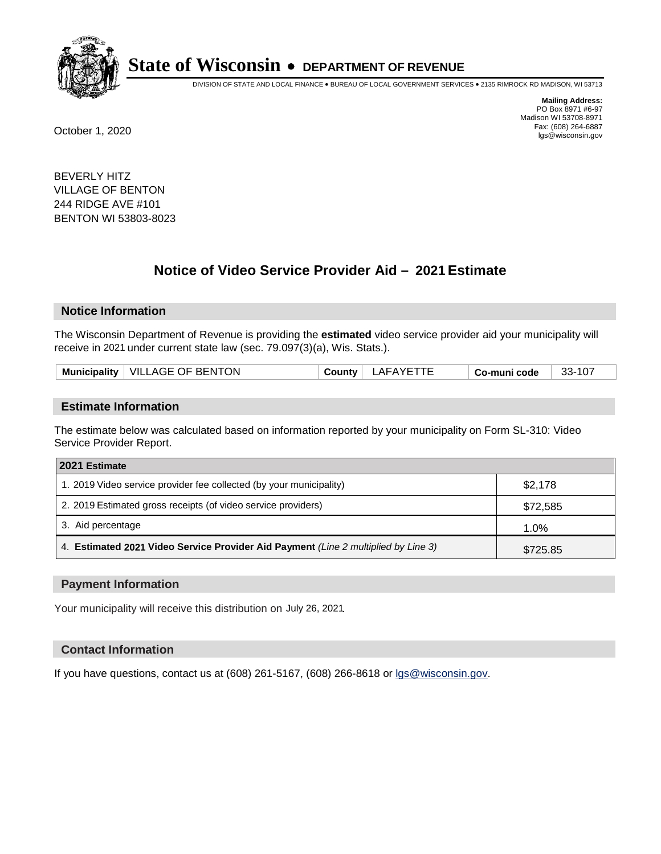

DIVISION OF STATE AND LOCAL FINANCE • BUREAU OF LOCAL GOVERNMENT SERVICES • 2135 RIMROCK RD MADISON, WI 53713

**Mailing Address:** PO Box 8971 #6-97 Madison WI 53708-8971<br>Fax: (608) 264-6887 Fax: (608) 264-6887 October 1, 2020 lgs@wisconsin.gov

BEVERLY HITZ VILLAGE OF BENTON 244 RIDGE AVE #101 BENTON WI 53803-8023

# **Notice of Video Service Provider Aid - 2021 Estimate**

## **Notice Information**

The Wisconsin Department of Revenue is providing the **estimated** video service provider aid your municipality will receive in 2021 under current state law (sec. 79.097(3)(a), Wis. Stats.).

| Municipality   VILLAGE OF BENTON<br>County | LAFAYETTE | Co-muni code | 33-107 |
|--------------------------------------------|-----------|--------------|--------|
|--------------------------------------------|-----------|--------------|--------|

#### **Estimate Information**

The estimate below was calculated based on information reported by your municipality on Form SL-310: Video Service Provider Report.

| 2021 Estimate                                                                      |          |
|------------------------------------------------------------------------------------|----------|
| 1. 2019 Video service provider fee collected (by your municipality)                | \$2.178  |
| 2. 2019 Estimated gross receipts (of video service providers)                      | \$72,585 |
| 3. Aid percentage                                                                  | 1.0%     |
| 4. Estimated 2021 Video Service Provider Aid Payment (Line 2 multiplied by Line 3) | \$725.85 |

#### **Payment Information**

Your municipality will receive this distribution on July 26, 2021.

## **Contact Information**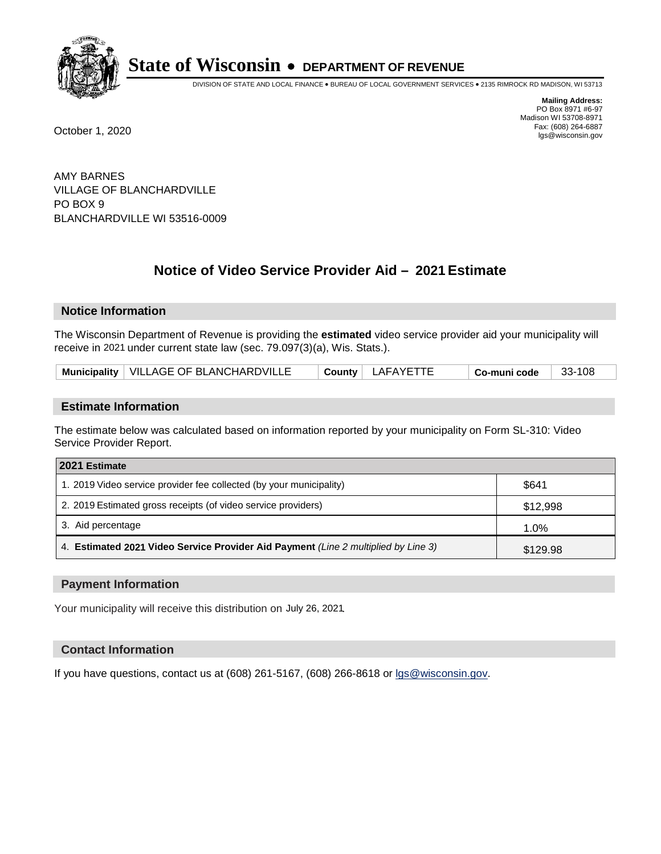

DIVISION OF STATE AND LOCAL FINANCE • BUREAU OF LOCAL GOVERNMENT SERVICES • 2135 RIMROCK RD MADISON, WI 53713

**Mailing Address:** PO Box 8971 #6-97 Madison WI 53708-8971<br>Fax: (608) 264-6887 Fax: (608) 264-6887 October 1, 2020 lgs@wisconsin.gov

AMY BARNES VILLAGE OF BLANCHARDVILLE PO BOX 9 BLANCHARDVILLE WI 53516-0009

# **Notice of Video Service Provider Aid - 2021 Estimate**

## **Notice Information**

The Wisconsin Department of Revenue is providing the **estimated** video service provider aid your municipality will receive in 2021 under current state law (sec. 79.097(3)(a), Wis. Stats.).

| Municipality   VILLAGE OF BLANCHARDVILLE | ' LAFAYETTE<br>$C$ ountv | Co-muni code | 33-108 |
|------------------------------------------|--------------------------|--------------|--------|
|------------------------------------------|--------------------------|--------------|--------|

## **Estimate Information**

The estimate below was calculated based on information reported by your municipality on Form SL-310: Video Service Provider Report.

| 2021 Estimate                                                                      |          |  |
|------------------------------------------------------------------------------------|----------|--|
| 1. 2019 Video service provider fee collected (by your municipality)                | \$641    |  |
| 2. 2019 Estimated gross receipts (of video service providers)                      | \$12,998 |  |
| 3. Aid percentage                                                                  | 1.0%     |  |
| 4. Estimated 2021 Video Service Provider Aid Payment (Line 2 multiplied by Line 3) | \$129.98 |  |

#### **Payment Information**

Your municipality will receive this distribution on July 26, 2021.

## **Contact Information**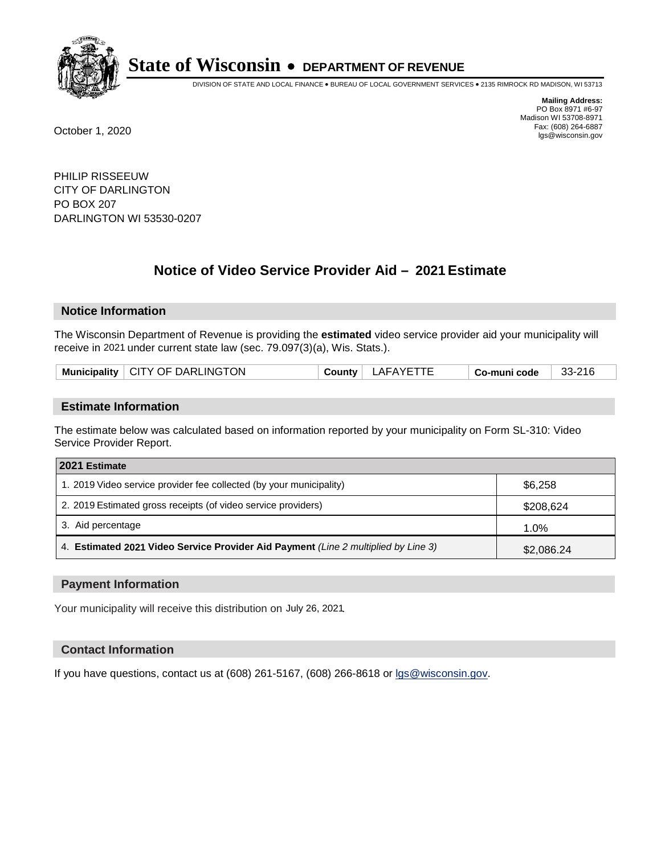

DIVISION OF STATE AND LOCAL FINANCE • BUREAU OF LOCAL GOVERNMENT SERVICES • 2135 RIMROCK RD MADISON, WI 53713

**Mailing Address:** PO Box 8971 #6-97 Madison WI 53708-8971<br>Fax: (608) 264-6887 Fax: (608) 264-6887 October 1, 2020 lgs@wisconsin.gov

PHILIP RISSEEUW CITY OF DARLINGTON PO BOX 207 DARLINGTON WI 53530-0207

# **Notice of Video Service Provider Aid - 2021 Estimate**

## **Notice Information**

The Wisconsin Department of Revenue is providing the **estimated** video service provider aid your municipality will receive in 2021 under current state law (sec. 79.097(3)(a), Wis. Stats.).

| Municipality   CITY OF DARLINGTON | LAFAYETTE<br><b>County</b> | Co-muni code | 33-216 |
|-----------------------------------|----------------------------|--------------|--------|
|-----------------------------------|----------------------------|--------------|--------|

#### **Estimate Information**

The estimate below was calculated based on information reported by your municipality on Form SL-310: Video Service Provider Report.

| 2021 Estimate                                                                      |            |
|------------------------------------------------------------------------------------|------------|
| 1. 2019 Video service provider fee collected (by your municipality)                | \$6,258    |
| 2. 2019 Estimated gross receipts (of video service providers)                      | \$208,624  |
| 3. Aid percentage                                                                  | 1.0%       |
| 4. Estimated 2021 Video Service Provider Aid Payment (Line 2 multiplied by Line 3) | \$2,086.24 |

#### **Payment Information**

Your municipality will receive this distribution on July 26, 2021.

## **Contact Information**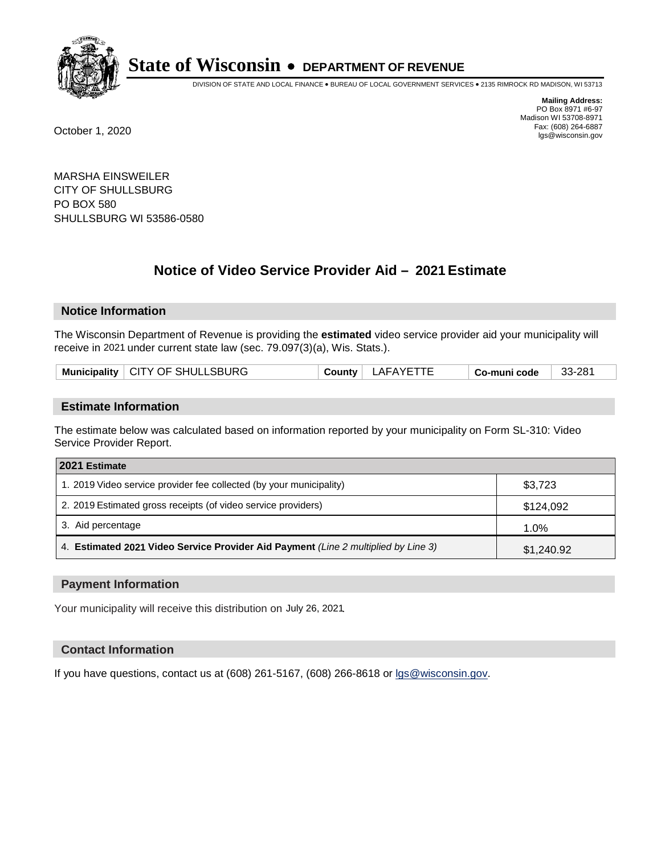

DIVISION OF STATE AND LOCAL FINANCE • BUREAU OF LOCAL GOVERNMENT SERVICES • 2135 RIMROCK RD MADISON, WI 53713

**Mailing Address:** PO Box 8971 #6-97 Madison WI 53708-8971<br>Fax: (608) 264-6887 Fax: (608) 264-6887 October 1, 2020 lgs@wisconsin.gov

MARSHA EINSWEILER CITY OF SHULLSBURG PO BOX 580 SHULLSBURG WI 53586-0580

# **Notice of Video Service Provider Aid - 2021 Estimate**

## **Notice Information**

The Wisconsin Department of Revenue is providing the **estimated** video service provider aid your municipality will receive in 2021 under current state law (sec. 79.097(3)(a), Wis. Stats.).

| Municipality   CITY OF SHULLSBURG<br>33-281<br>_AFAYET <sup>-</sup><br>County<br>Co-muni code |
|-----------------------------------------------------------------------------------------------|
|-----------------------------------------------------------------------------------------------|

#### **Estimate Information**

The estimate below was calculated based on information reported by your municipality on Form SL-310: Video Service Provider Report.

| 2021 Estimate                                                                      |            |
|------------------------------------------------------------------------------------|------------|
| 1. 2019 Video service provider fee collected (by your municipality)                | \$3,723    |
| 2. 2019 Estimated gross receipts (of video service providers)                      | \$124,092  |
| 3. Aid percentage                                                                  | 1.0%       |
| 4. Estimated 2021 Video Service Provider Aid Payment (Line 2 multiplied by Line 3) | \$1,240.92 |

#### **Payment Information**

Your municipality will receive this distribution on July 26, 2021.

## **Contact Information**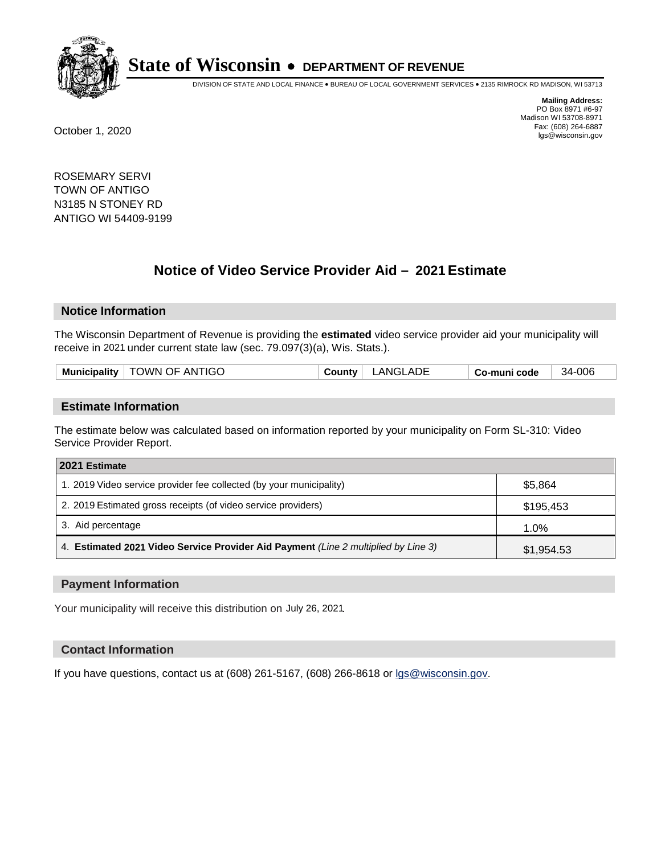

DIVISION OF STATE AND LOCAL FINANCE • BUREAU OF LOCAL GOVERNMENT SERVICES • 2135 RIMROCK RD MADISON, WI 53713

**Mailing Address:** PO Box 8971 #6-97 Madison WI 53708-8971<br>Fax: (608) 264-6887 Fax: (608) 264-6887 October 1, 2020 lgs@wisconsin.gov

ROSEMARY SERVI TOWN OF ANTIGO N3185 N STONEY RD ANTIGO WI 54409-9199

# **Notice of Video Service Provider Aid - 2021 Estimate**

## **Notice Information**

The Wisconsin Department of Revenue is providing the **estimated** video service provider aid your municipality will receive in 2021 under current state law (sec. 79.097(3)(a), Wis. Stats.).

| nicipality<br><b>Munic</b> | OWN OF ANTIGO | .nu | .ADE<br>$^{\prime}$ NG $^{\prime}$ . | code<br>^ o-muni. | -006<br>34. |
|----------------------------|---------------|-----|--------------------------------------|-------------------|-------------|
|                            |               |     |                                      |                   |             |

#### **Estimate Information**

The estimate below was calculated based on information reported by your municipality on Form SL-310: Video Service Provider Report.

| 2021 Estimate                                                                      |            |
|------------------------------------------------------------------------------------|------------|
| 1. 2019 Video service provider fee collected (by your municipality)                | \$5.864    |
| 2. 2019 Estimated gross receipts (of video service providers)                      | \$195,453  |
| 3. Aid percentage                                                                  | 1.0%       |
| 4. Estimated 2021 Video Service Provider Aid Payment (Line 2 multiplied by Line 3) | \$1,954.53 |

#### **Payment Information**

Your municipality will receive this distribution on July 26, 2021.

## **Contact Information**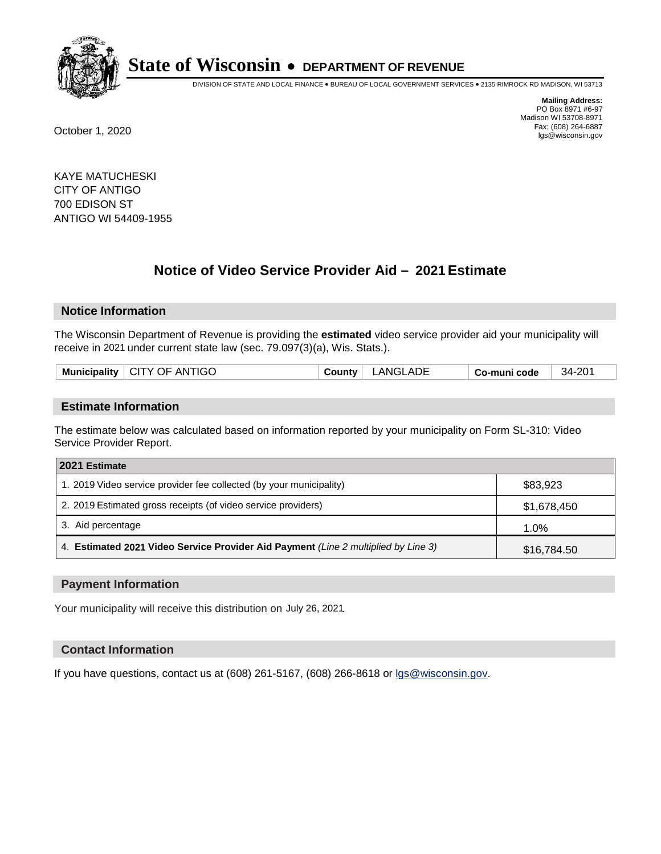

DIVISION OF STATE AND LOCAL FINANCE • BUREAU OF LOCAL GOVERNMENT SERVICES • 2135 RIMROCK RD MADISON, WI 53713

**Mailing Address:** PO Box 8971 #6-97 Madison WI 53708-8971<br>Fax: (608) 264-6887 Fax: (608) 264-6887 October 1, 2020 lgs@wisconsin.gov

KAYE MATUCHESKI CITY OF ANTIGO 700 EDISON ST ANTIGO WI 54409-1955

# **Notice of Video Service Provider Aid - 2021 Estimate**

## **Notice Information**

The Wisconsin Department of Revenue is providing the **estimated** video service provider aid your municipality will receive in 2021 under current state law (sec. 79.097(3)(a), Wis. Stats.).

#### **Estimate Information**

The estimate below was calculated based on information reported by your municipality on Form SL-310: Video Service Provider Report.

| 2021 Estimate                                                                      |             |
|------------------------------------------------------------------------------------|-------------|
| 1. 2019 Video service provider fee collected (by your municipality)                | \$83,923    |
| 2. 2019 Estimated gross receipts (of video service providers)                      | \$1,678,450 |
| 3. Aid percentage                                                                  | 1.0%        |
| 4. Estimated 2021 Video Service Provider Aid Payment (Line 2 multiplied by Line 3) | \$16,784.50 |

#### **Payment Information**

Your municipality will receive this distribution on July 26, 2021.

## **Contact Information**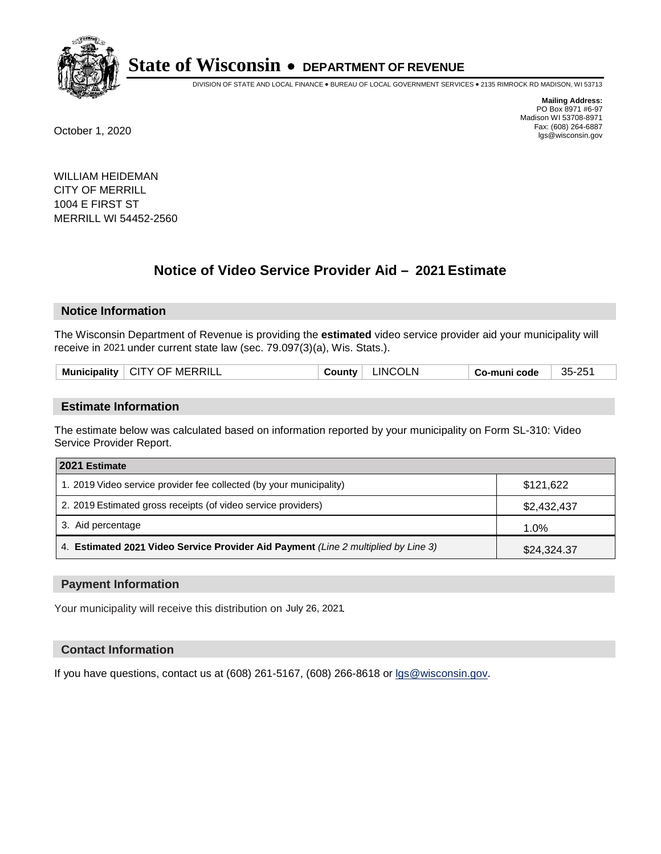

DIVISION OF STATE AND LOCAL FINANCE • BUREAU OF LOCAL GOVERNMENT SERVICES • 2135 RIMROCK RD MADISON, WI 53713

**Mailing Address:** PO Box 8971 #6-97 Madison WI 53708-8971<br>Fax: (608) 264-6887 Fax: (608) 264-6887 October 1, 2020 lgs@wisconsin.gov

WILLIAM HEIDEMAN CITY OF MERRILL 1004 E FIRST ST MERRILL WI 54452-2560

# **Notice of Video Service Provider Aid - 2021 Estimate**

## **Notice Information**

The Wisconsin Department of Revenue is providing the **estimated** video service provider aid your municipality will receive in 2021 under current state law (sec. 79.097(3)(a), Wis. Stats.).

| ™MERRIL∟<br>° CITY OF .<br><b>Municipality</b> | INCOLN<br><b>∪ount</b> ∨ | code<br>′ o-muniنٽ | 35-25 |
|------------------------------------------------|--------------------------|--------------------|-------|
|                                                |                          |                    |       |

#### **Estimate Information**

The estimate below was calculated based on information reported by your municipality on Form SL-310: Video Service Provider Report.

| 2021 Estimate                                                                      |             |
|------------------------------------------------------------------------------------|-------------|
| 1. 2019 Video service provider fee collected (by your municipality)                | \$121,622   |
| 2. 2019 Estimated gross receipts (of video service providers)                      | \$2,432,437 |
| 3. Aid percentage                                                                  | 1.0%        |
| 4. Estimated 2021 Video Service Provider Aid Payment (Line 2 multiplied by Line 3) | \$24,324.37 |

#### **Payment Information**

Your municipality will receive this distribution on July 26, 2021.

## **Contact Information**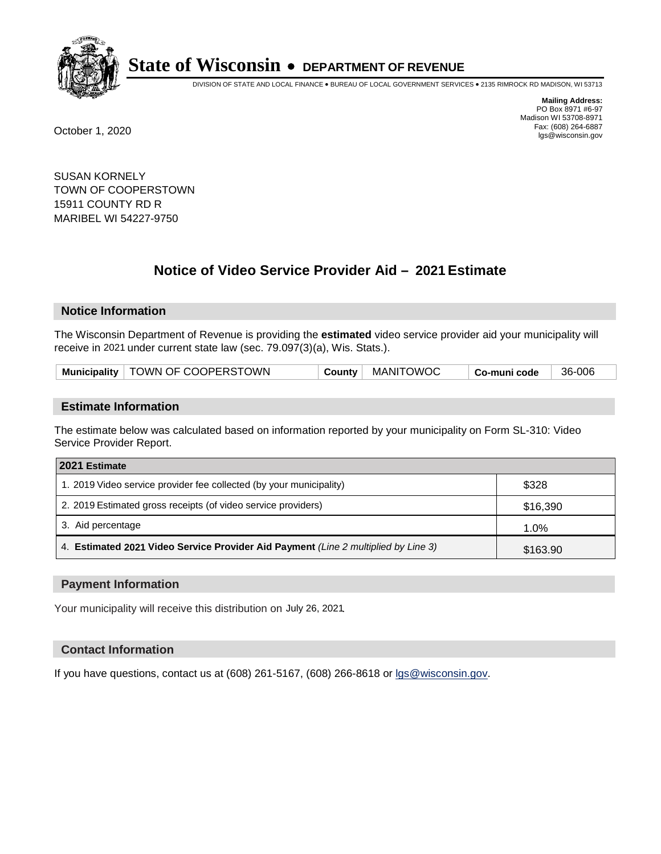

DIVISION OF STATE AND LOCAL FINANCE • BUREAU OF LOCAL GOVERNMENT SERVICES • 2135 RIMROCK RD MADISON, WI 53713

**Mailing Address:** PO Box 8971 #6-97 Madison WI 53708-8971<br>Fax: (608) 264-6887 Fax: (608) 264-6887 October 1, 2020 lgs@wisconsin.gov

SUSAN KORNELY TOWN OF COOPERSTOWN 15911 COUNTY RD R MARIBEL WI 54227-9750

# **Notice of Video Service Provider Aid - 2021 Estimate**

## **Notice Information**

The Wisconsin Department of Revenue is providing the **estimated** video service provider aid your municipality will receive in 2021 under current state law (sec. 79.097(3)(a), Wis. Stats.).

| Municipality   TOWN OF COOPERSTOWN |  | County   MANITOWOC | Co-muni code | 36-006 |
|------------------------------------|--|--------------------|--------------|--------|
|------------------------------------|--|--------------------|--------------|--------|

#### **Estimate Information**

The estimate below was calculated based on information reported by your municipality on Form SL-310: Video Service Provider Report.

| 2021 Estimate                                                                      |          |
|------------------------------------------------------------------------------------|----------|
| 1. 2019 Video service provider fee collected (by your municipality)                | \$328    |
| 2. 2019 Estimated gross receipts (of video service providers)                      | \$16,390 |
| 3. Aid percentage                                                                  | 1.0%     |
| 4. Estimated 2021 Video Service Provider Aid Payment (Line 2 multiplied by Line 3) | \$163.90 |

#### **Payment Information**

Your municipality will receive this distribution on July 26, 2021.

## **Contact Information**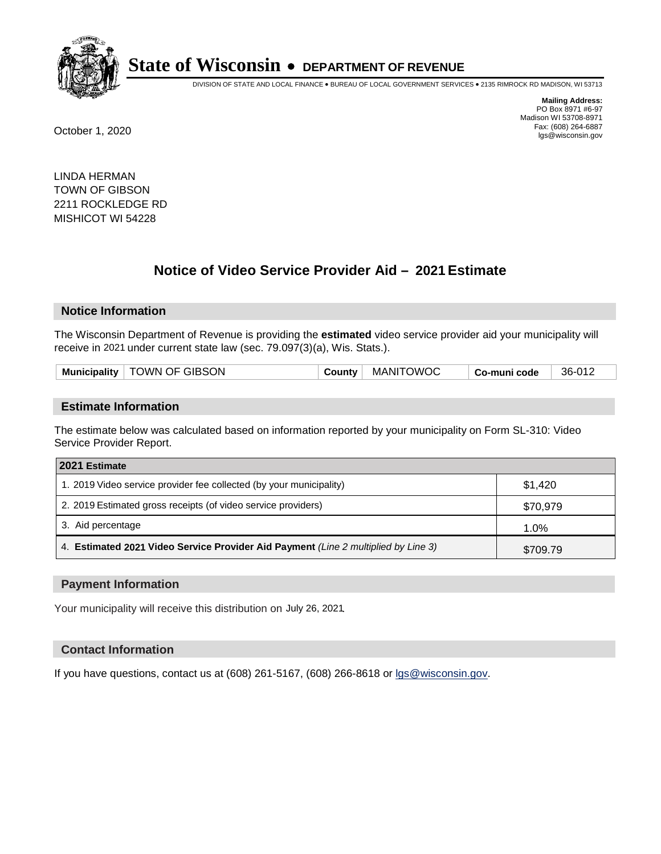

DIVISION OF STATE AND LOCAL FINANCE • BUREAU OF LOCAL GOVERNMENT SERVICES • 2135 RIMROCK RD MADISON, WI 53713

**Mailing Address:** PO Box 8971 #6-97 Madison WI 53708-8971<br>Fax: (608) 264-6887 Fax: (608) 264-6887 October 1, 2020 lgs@wisconsin.gov

LINDA HERMAN TOWN OF GIBSON 2211 ROCKLEDGE RD MISHICOT WI 54228

# **Notice of Video Service Provider Aid - 2021 Estimate**

## **Notice Information**

The Wisconsin Department of Revenue is providing the **estimated** video service provider aid your municipality will receive in 2021 under current state law (sec. 79.097(3)(a), Wis. Stats.).

| <b>Municipality</b> | TOWN OF GIBSON | ∟ount∨ت | <b>DWOC</b><br>MANIT | ∕ Co-muni<br>code | 36-012 |
|---------------------|----------------|---------|----------------------|-------------------|--------|
|                     |                |         |                      |                   |        |

#### **Estimate Information**

The estimate below was calculated based on information reported by your municipality on Form SL-310: Video Service Provider Report.

| 2021 Estimate                                                                      |          |
|------------------------------------------------------------------------------------|----------|
| 1. 2019 Video service provider fee collected (by your municipality)                | \$1.420  |
| 2. 2019 Estimated gross receipts (of video service providers)                      | \$70,979 |
| 3. Aid percentage                                                                  | 1.0%     |
| 4. Estimated 2021 Video Service Provider Aid Payment (Line 2 multiplied by Line 3) | \$709.79 |

#### **Payment Information**

Your municipality will receive this distribution on July 26, 2021.

## **Contact Information**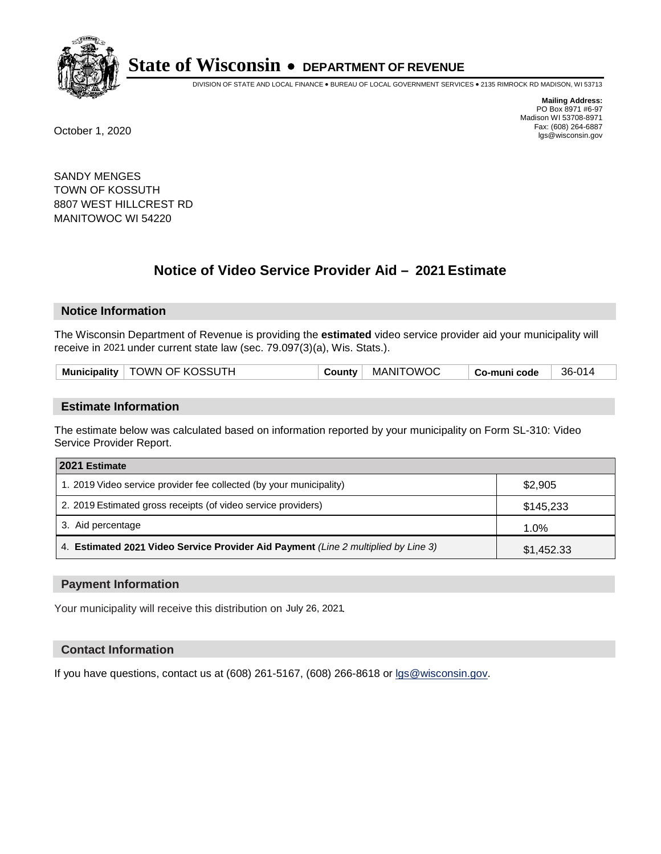

DIVISION OF STATE AND LOCAL FINANCE • BUREAU OF LOCAL GOVERNMENT SERVICES • 2135 RIMROCK RD MADISON, WI 53713

**Mailing Address:** PO Box 8971 #6-97 Madison WI 53708-8971<br>Fax: (608) 264-6887 Fax: (608) 264-6887 October 1, 2020 lgs@wisconsin.gov

SANDY MENGES TOWN OF KOSSUTH 8807 WEST HILLCREST RD MANITOWOC WI 54220

# **Notice of Video Service Provider Aid - 2021 Estimate**

## **Notice Information**

The Wisconsin Department of Revenue is providing the **estimated** video service provider aid your municipality will receive in 2021 under current state law (sec. 79.097(3)(a), Wis. Stats.).

| Municipality   TOWN OF KOSSUTH | County | MANITOWOC | Co-muni code | 36-014 |
|--------------------------------|--------|-----------|--------------|--------|
|                                |        |           |              |        |

#### **Estimate Information**

The estimate below was calculated based on information reported by your municipality on Form SL-310: Video Service Provider Report.

| 2021 Estimate                                                                      |            |
|------------------------------------------------------------------------------------|------------|
| 1. 2019 Video service provider fee collected (by your municipality)                | \$2,905    |
| 2. 2019 Estimated gross receipts (of video service providers)                      | \$145,233  |
| 3. Aid percentage                                                                  | 1.0%       |
| 4. Estimated 2021 Video Service Provider Aid Payment (Line 2 multiplied by Line 3) | \$1,452.33 |

#### **Payment Information**

Your municipality will receive this distribution on July 26, 2021.

## **Contact Information**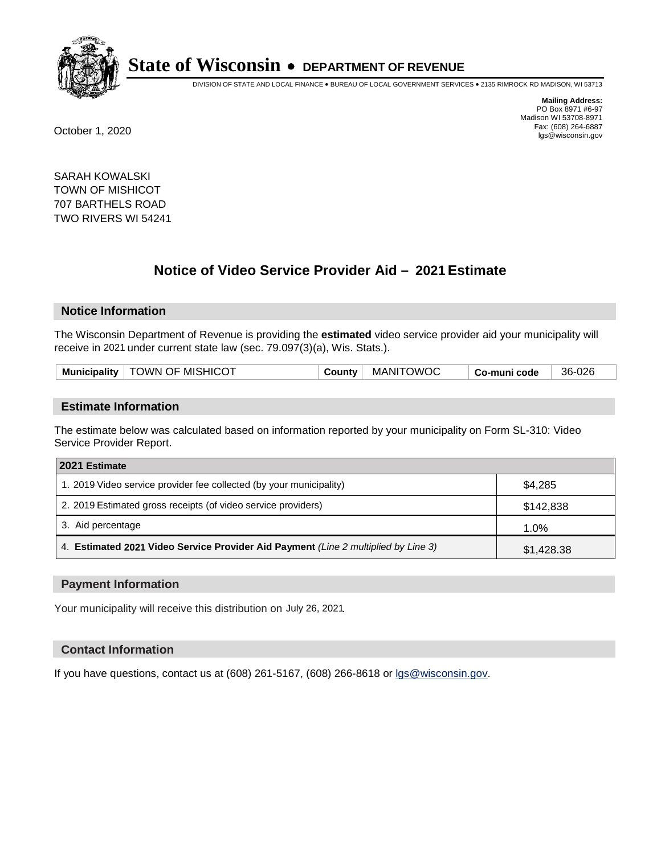

DIVISION OF STATE AND LOCAL FINANCE • BUREAU OF LOCAL GOVERNMENT SERVICES • 2135 RIMROCK RD MADISON, WI 53713

**Mailing Address:** PO Box 8971 #6-97 Madison WI 53708-8971<br>Fax: (608) 264-6887 Fax: (608) 264-6887 October 1, 2020 lgs@wisconsin.gov

SARAH KOWALSKI TOWN OF MISHICOT 707 BARTHELS ROAD TWO RIVERS WI 54241

# **Notice of Video Service Provider Aid - 2021 Estimate**

## **Notice Information**

The Wisconsin Department of Revenue is providing the **estimated** video service provider aid your municipality will receive in 2021 under current state law (sec. 79.097(3)(a), Wis. Stats.).

|--|

#### **Estimate Information**

The estimate below was calculated based on information reported by your municipality on Form SL-310: Video Service Provider Report.

| 2021 Estimate                                                                      |            |
|------------------------------------------------------------------------------------|------------|
| 1. 2019 Video service provider fee collected (by your municipality)                | \$4,285    |
| 2. 2019 Estimated gross receipts (of video service providers)                      | \$142.838  |
| 3. Aid percentage                                                                  | 1.0%       |
| 4. Estimated 2021 Video Service Provider Aid Payment (Line 2 multiplied by Line 3) | \$1,428.38 |

#### **Payment Information**

Your municipality will receive this distribution on July 26, 2021.

## **Contact Information**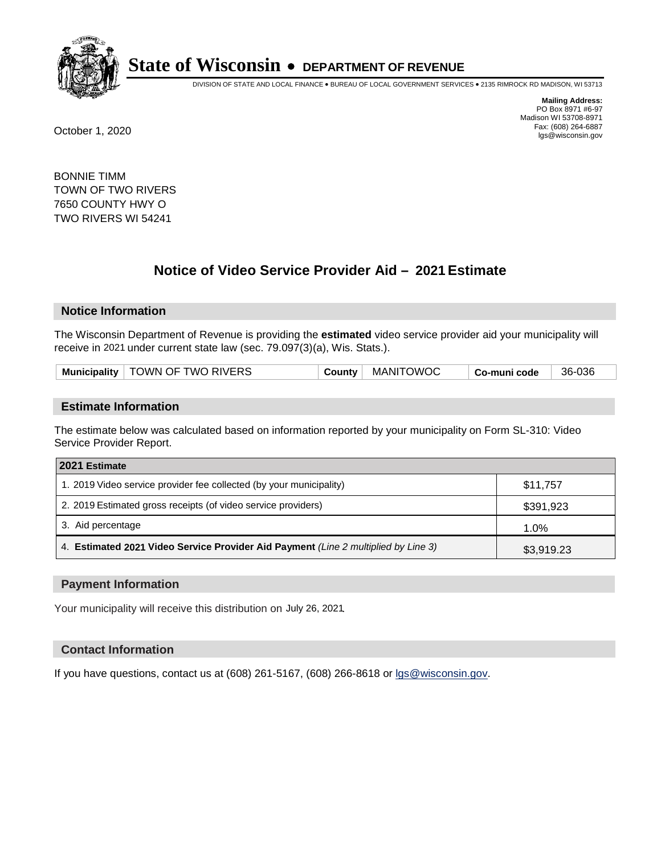

DIVISION OF STATE AND LOCAL FINANCE • BUREAU OF LOCAL GOVERNMENT SERVICES • 2135 RIMROCK RD MADISON, WI 53713

**Mailing Address:** PO Box 8971 #6-97 Madison WI 53708-8971<br>Fax: (608) 264-6887 Fax: (608) 264-6887 October 1, 2020 lgs@wisconsin.gov

BONNIE TIMM TOWN OF TWO RIVERS 7650 COUNTY HWY O TWO RIVERS WI 54241

# **Notice of Video Service Provider Aid - 2021 Estimate**

## **Notice Information**

The Wisconsin Department of Revenue is providing the **estimated** video service provider aid your municipality will receive in 2021 under current state law (sec. 79.097(3)(a), Wis. Stats.).

| Municipality   TOWN OF TWO RIVERS | County | MANITOWOC | Co-muni code | 36-036 |  |
|-----------------------------------|--------|-----------|--------------|--------|--|
|-----------------------------------|--------|-----------|--------------|--------|--|

#### **Estimate Information**

The estimate below was calculated based on information reported by your municipality on Form SL-310: Video Service Provider Report.

| 2021 Estimate                                                                      |            |
|------------------------------------------------------------------------------------|------------|
| 1. 2019 Video service provider fee collected (by your municipality)                | \$11,757   |
| 2. 2019 Estimated gross receipts (of video service providers)                      | \$391,923  |
| 3. Aid percentage                                                                  | 1.0%       |
| 4. Estimated 2021 Video Service Provider Aid Payment (Line 2 multiplied by Line 3) | \$3,919.23 |

#### **Payment Information**

Your municipality will receive this distribution on July 26, 2021.

## **Contact Information**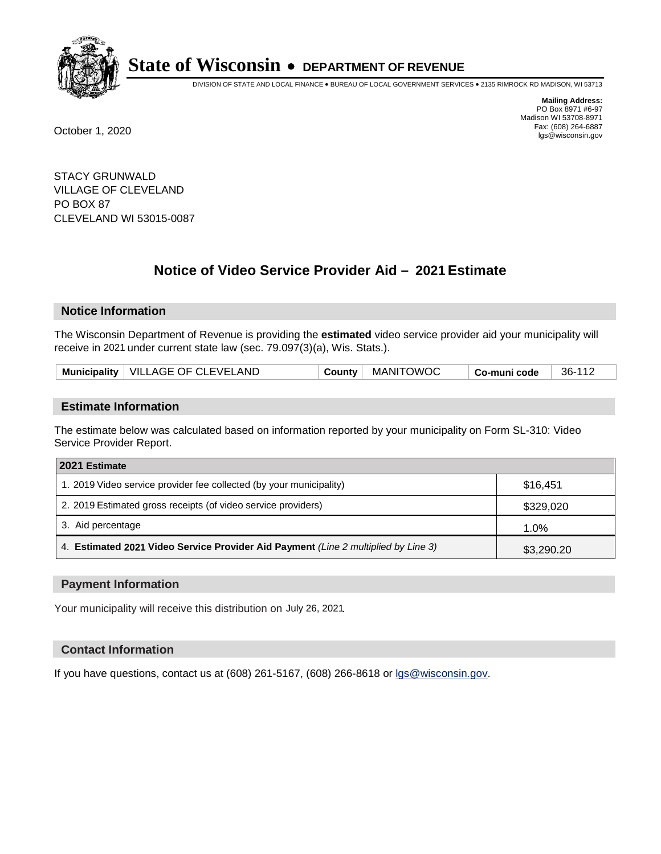

DIVISION OF STATE AND LOCAL FINANCE • BUREAU OF LOCAL GOVERNMENT SERVICES • 2135 RIMROCK RD MADISON, WI 53713

**Mailing Address:** PO Box 8971 #6-97 Madison WI 53708-8971<br>Fax: (608) 264-6887 Fax: (608) 264-6887 October 1, 2020 lgs@wisconsin.gov

STACY GRUNWALD VILLAGE OF CLEVELAND PO BOX 87 CLEVELAND WI 53015-0087

# **Notice of Video Service Provider Aid - 2021 Estimate**

## **Notice Information**

The Wisconsin Department of Revenue is providing the **estimated** video service provider aid your municipality will receive in 2021 under current state law (sec. 79.097(3)(a), Wis. Stats.).

| Municipality   VILLAGE OF CLEVELAND<br><b>County</b> | MANITOWOC | Co-muni code | 36-112 |
|------------------------------------------------------|-----------|--------------|--------|
|------------------------------------------------------|-----------|--------------|--------|

#### **Estimate Information**

The estimate below was calculated based on information reported by your municipality on Form SL-310: Video Service Provider Report.

| 2021 Estimate                                                                      |            |
|------------------------------------------------------------------------------------|------------|
| 1. 2019 Video service provider fee collected (by your municipality)                | \$16.451   |
| 2. 2019 Estimated gross receipts (of video service providers)                      | \$329,020  |
| 3. Aid percentage                                                                  | 1.0%       |
| 4. Estimated 2021 Video Service Provider Aid Payment (Line 2 multiplied by Line 3) | \$3,290.20 |

#### **Payment Information**

Your municipality will receive this distribution on July 26, 2021.

## **Contact Information**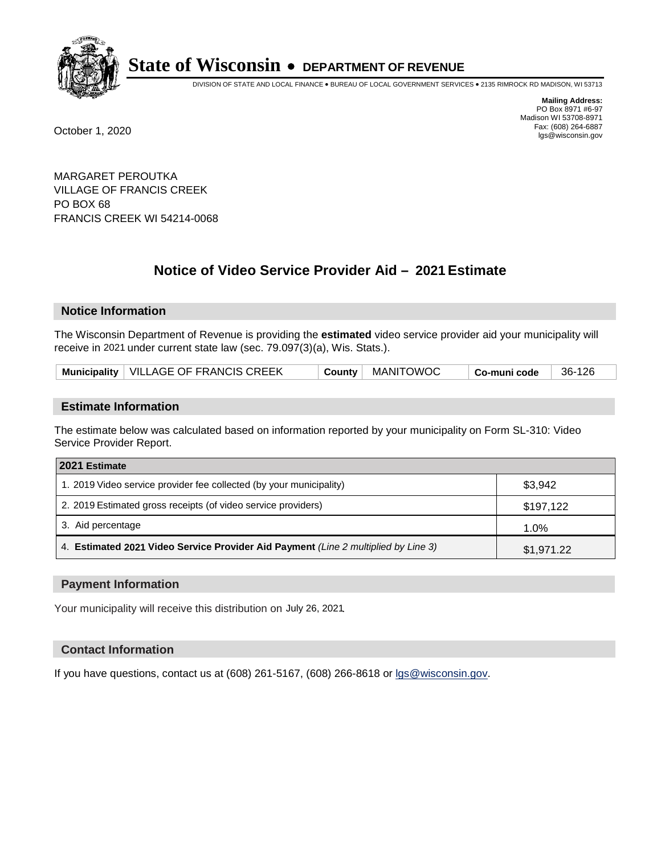

DIVISION OF STATE AND LOCAL FINANCE • BUREAU OF LOCAL GOVERNMENT SERVICES • 2135 RIMROCK RD MADISON, WI 53713

**Mailing Address:** PO Box 8971 #6-97 Madison WI 53708-8971<br>Fax: (608) 264-6887 Fax: (608) 264-6887 October 1, 2020 lgs@wisconsin.gov

MARGARET PEROUTKA VILLAGE OF FRANCIS CREEK PO BOX 68 FRANCIS CREEK WI 54214-0068

# **Notice of Video Service Provider Aid - 2021 Estimate**

## **Notice Information**

The Wisconsin Department of Revenue is providing the **estimated** video service provider aid your municipality will receive in 2021 under current state law (sec. 79.097(3)(a), Wis. Stats.).

| Municipality   VILLAGE OF FRANCIS CREEK |  | County   MANITOWOC | <sup>⊦</sup> Co-muni code | 36-126 |
|-----------------------------------------|--|--------------------|---------------------------|--------|
|-----------------------------------------|--|--------------------|---------------------------|--------|

#### **Estimate Information**

The estimate below was calculated based on information reported by your municipality on Form SL-310: Video Service Provider Report.

| 2021 Estimate                                                                      |            |
|------------------------------------------------------------------------------------|------------|
| 1. 2019 Video service provider fee collected (by your municipality)                | \$3,942    |
| 2. 2019 Estimated gross receipts (of video service providers)                      | \$197,122  |
| 3. Aid percentage                                                                  | 1.0%       |
| 4. Estimated 2021 Video Service Provider Aid Payment (Line 2 multiplied by Line 3) | \$1,971.22 |

#### **Payment Information**

Your municipality will receive this distribution on July 26, 2021.

## **Contact Information**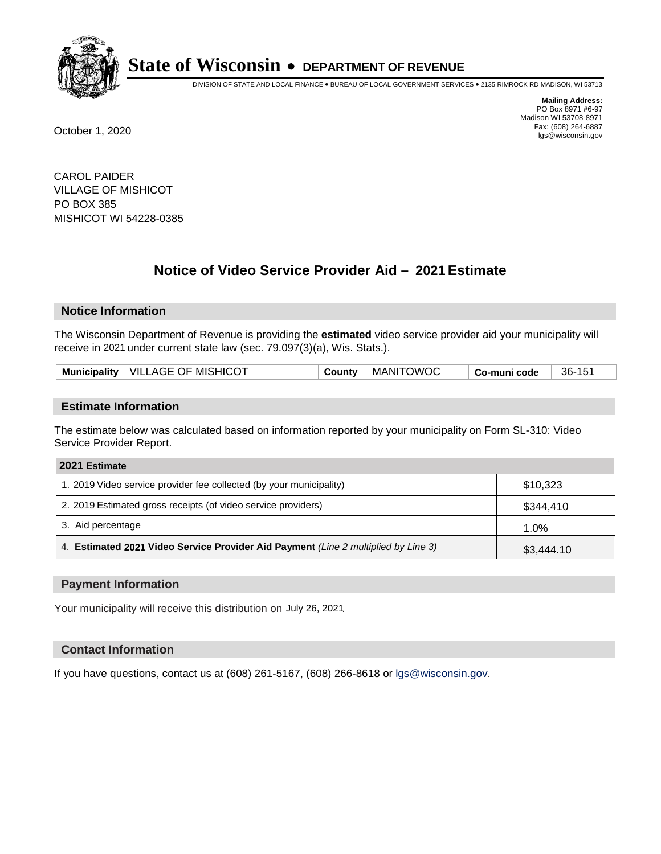

DIVISION OF STATE AND LOCAL FINANCE • BUREAU OF LOCAL GOVERNMENT SERVICES • 2135 RIMROCK RD MADISON, WI 53713

**Mailing Address:** PO Box 8971 #6-97 Madison WI 53708-8971<br>Fax: (608) 264-6887 Fax: (608) 264-6887 October 1, 2020 lgs@wisconsin.gov

CAROL PAIDER VILLAGE OF MISHICOT PO BOX 385 MISHICOT WI 54228-0385

# **Notice of Video Service Provider Aid - 2021 Estimate**

## **Notice Information**

The Wisconsin Department of Revenue is providing the **estimated** video service provider aid your municipality will receive in 2021 under current state law (sec. 79.097(3)(a), Wis. Stats.).

| Municipality   VILLAGE OF MISHICOT<br>County   MANITOWOC<br>36-151<br>Co-muni code |  |
|------------------------------------------------------------------------------------|--|
|------------------------------------------------------------------------------------|--|

#### **Estimate Information**

The estimate below was calculated based on information reported by your municipality on Form SL-310: Video Service Provider Report.

| 2021 Estimate                                                                      |            |
|------------------------------------------------------------------------------------|------------|
| 1. 2019 Video service provider fee collected (by your municipality)                | \$10,323   |
| 2. 2019 Estimated gross receipts (of video service providers)                      | \$344,410  |
| 3. Aid percentage                                                                  | 1.0%       |
| 4. Estimated 2021 Video Service Provider Aid Payment (Line 2 multiplied by Line 3) | \$3,444.10 |

#### **Payment Information**

Your municipality will receive this distribution on July 26, 2021.

## **Contact Information**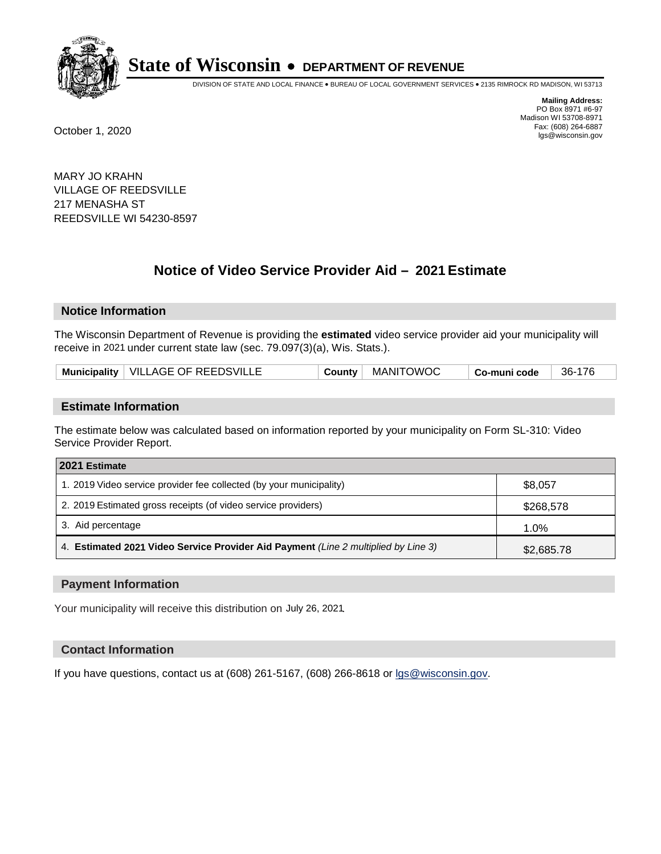

DIVISION OF STATE AND LOCAL FINANCE • BUREAU OF LOCAL GOVERNMENT SERVICES • 2135 RIMROCK RD MADISON, WI 53713

**Mailing Address:** PO Box 8971 #6-97 Madison WI 53708-8971<br>Fax: (608) 264-6887 Fax: (608) 264-6887 October 1, 2020 lgs@wisconsin.gov

MARY JO KRAHN VILLAGE OF REEDSVILLE 217 MENASHA ST REEDSVILLE WI 54230-8597

# **Notice of Video Service Provider Aid - 2021 Estimate**

## **Notice Information**

The Wisconsin Department of Revenue is providing the **estimated** video service provider aid your municipality will receive in 2021 under current state law (sec. 79.097(3)(a), Wis. Stats.).

| Municipality   VILLAGE OF REEDSVILLE | County | MANITOWOC | Co-muni code | 36-176 |
|--------------------------------------|--------|-----------|--------------|--------|
|--------------------------------------|--------|-----------|--------------|--------|

#### **Estimate Information**

The estimate below was calculated based on information reported by your municipality on Form SL-310: Video Service Provider Report.

| 2021 Estimate                                                                      |            |
|------------------------------------------------------------------------------------|------------|
| 1. 2019 Video service provider fee collected (by your municipality)                | \$8,057    |
| 2. 2019 Estimated gross receipts (of video service providers)                      | \$268,578  |
| 3. Aid percentage                                                                  | 1.0%       |
| 4. Estimated 2021 Video Service Provider Aid Payment (Line 2 multiplied by Line 3) | \$2,685.78 |

#### **Payment Information**

Your municipality will receive this distribution on July 26, 2021.

## **Contact Information**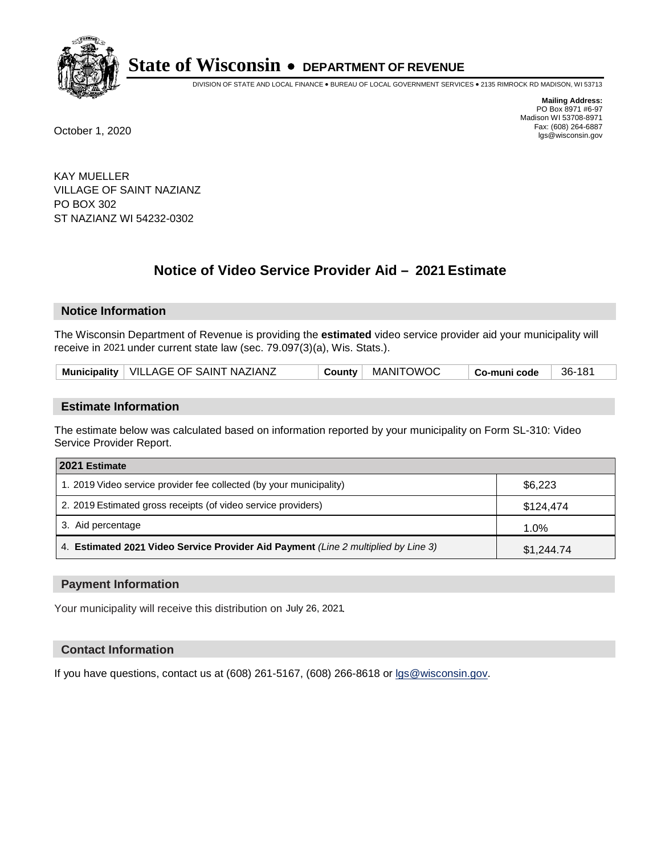

DIVISION OF STATE AND LOCAL FINANCE • BUREAU OF LOCAL GOVERNMENT SERVICES • 2135 RIMROCK RD MADISON, WI 53713

**Mailing Address:** PO Box 8971 #6-97 Madison WI 53708-8971<br>Fax: (608) 264-6887 Fax: (608) 264-6887 October 1, 2020 lgs@wisconsin.gov

KAY MUELLER VILLAGE OF SAINT NAZIANZ PO BOX 302 ST NAZIANZ WI 54232-0302

# **Notice of Video Service Provider Aid - 2021 Estimate**

## **Notice Information**

The Wisconsin Department of Revenue is providing the **estimated** video service provider aid your municipality will receive in 2021 under current state law (sec. 79.097(3)(a), Wis. Stats.).

| Municipality   VILLAGE OF SAINT NAZIANZ | County | MANITOWOC | Co-muni code | 36-181 |
|-----------------------------------------|--------|-----------|--------------|--------|
|-----------------------------------------|--------|-----------|--------------|--------|

#### **Estimate Information**

The estimate below was calculated based on information reported by your municipality on Form SL-310: Video Service Provider Report.

| 2021 Estimate                                                                      |            |
|------------------------------------------------------------------------------------|------------|
| 1. 2019 Video service provider fee collected (by your municipality)                | \$6,223    |
| 2. 2019 Estimated gross receipts (of video service providers)                      | \$124,474  |
| 3. Aid percentage                                                                  | 1.0%       |
| 4. Estimated 2021 Video Service Provider Aid Payment (Line 2 multiplied by Line 3) | \$1,244.74 |

#### **Payment Information**

Your municipality will receive this distribution on July 26, 2021.

## **Contact Information**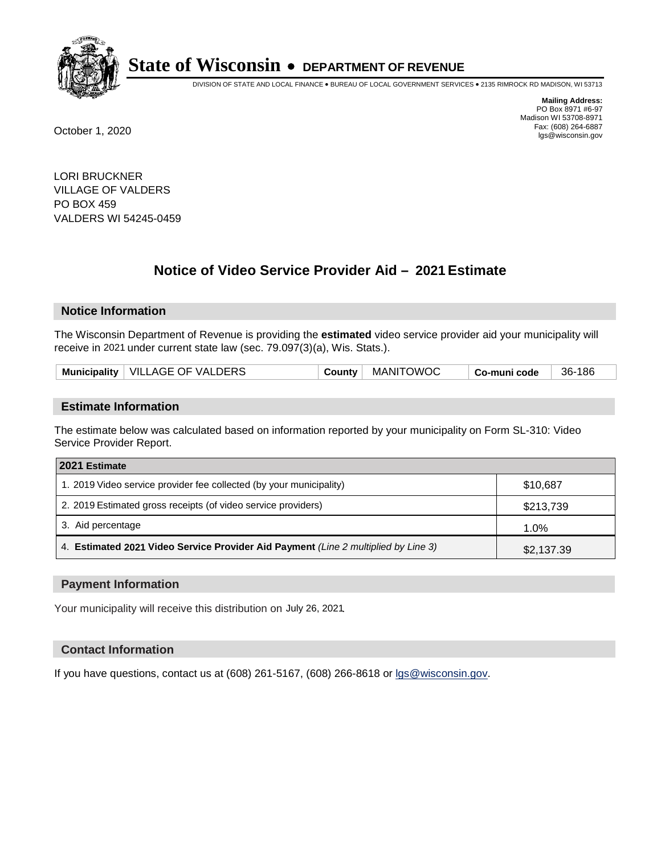

DIVISION OF STATE AND LOCAL FINANCE • BUREAU OF LOCAL GOVERNMENT SERVICES • 2135 RIMROCK RD MADISON, WI 53713

**Mailing Address:** PO Box 8971 #6-97 Madison WI 53708-8971<br>Fax: (608) 264-6887 Fax: (608) 264-6887 October 1, 2020 lgs@wisconsin.gov

LORI BRUCKNER VILLAGE OF VALDERS PO BOX 459 VALDERS WI 54245-0459

# **Notice of Video Service Provider Aid - 2021 Estimate**

## **Notice Information**

The Wisconsin Department of Revenue is providing the **estimated** video service provider aid your municipality will receive in 2021 under current state law (sec. 79.097(3)(a), Wis. Stats.).

| Municipality   VILLAGE OF VALDERS<br>' MANITOWOC<br>County<br>Co-muni code | 36-186 |
|----------------------------------------------------------------------------|--------|
|----------------------------------------------------------------------------|--------|

#### **Estimate Information**

The estimate below was calculated based on information reported by your municipality on Form SL-310: Video Service Provider Report.

| 2021 Estimate                                                                      |            |
|------------------------------------------------------------------------------------|------------|
| 1. 2019 Video service provider fee collected (by your municipality)                | \$10,687   |
| 2. 2019 Estimated gross receipts (of video service providers)                      | \$213,739  |
| 3. Aid percentage                                                                  | 1.0%       |
| 4. Estimated 2021 Video Service Provider Aid Payment (Line 2 multiplied by Line 3) | \$2,137.39 |

#### **Payment Information**

Your municipality will receive this distribution on July 26, 2021.

## **Contact Information**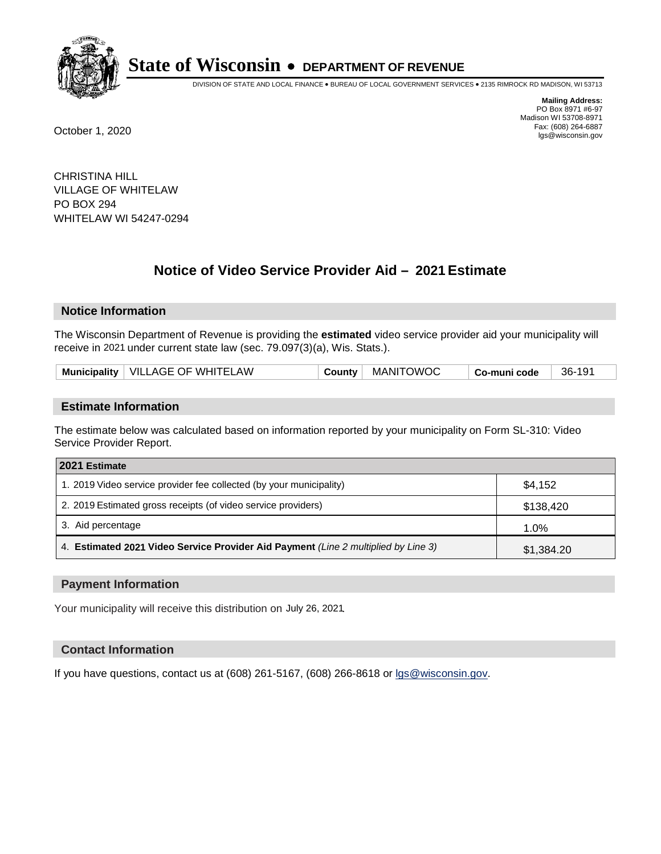

DIVISION OF STATE AND LOCAL FINANCE • BUREAU OF LOCAL GOVERNMENT SERVICES • 2135 RIMROCK RD MADISON, WI 53713

**Mailing Address:** PO Box 8971 #6-97 Madison WI 53708-8971<br>Fax: (608) 264-6887 Fax: (608) 264-6887 October 1, 2020 lgs@wisconsin.gov

CHRISTINA HILL VILLAGE OF WHITELAW PO BOX 294 WHITELAW WI 54247-0294

# **Notice of Video Service Provider Aid - 2021 Estimate**

## **Notice Information**

The Wisconsin Department of Revenue is providing the **estimated** video service provider aid your municipality will receive in 2021 under current state law (sec. 79.097(3)(a), Wis. Stats.).

| Municipality   VILLAGE OF WHITELAW<br>MANITOWOC<br>36-191<br>County<br>Co-muni code |  |
|-------------------------------------------------------------------------------------|--|
|-------------------------------------------------------------------------------------|--|

#### **Estimate Information**

The estimate below was calculated based on information reported by your municipality on Form SL-310: Video Service Provider Report.

| 2021 Estimate                                                                      |            |
|------------------------------------------------------------------------------------|------------|
| 1. 2019 Video service provider fee collected (by your municipality)                | \$4,152    |
| 2. 2019 Estimated gross receipts (of video service providers)                      | \$138,420  |
| 3. Aid percentage                                                                  | 1.0%       |
| 4. Estimated 2021 Video Service Provider Aid Payment (Line 2 multiplied by Line 3) | \$1,384.20 |

#### **Payment Information**

Your municipality will receive this distribution on July 26, 2021.

## **Contact Information**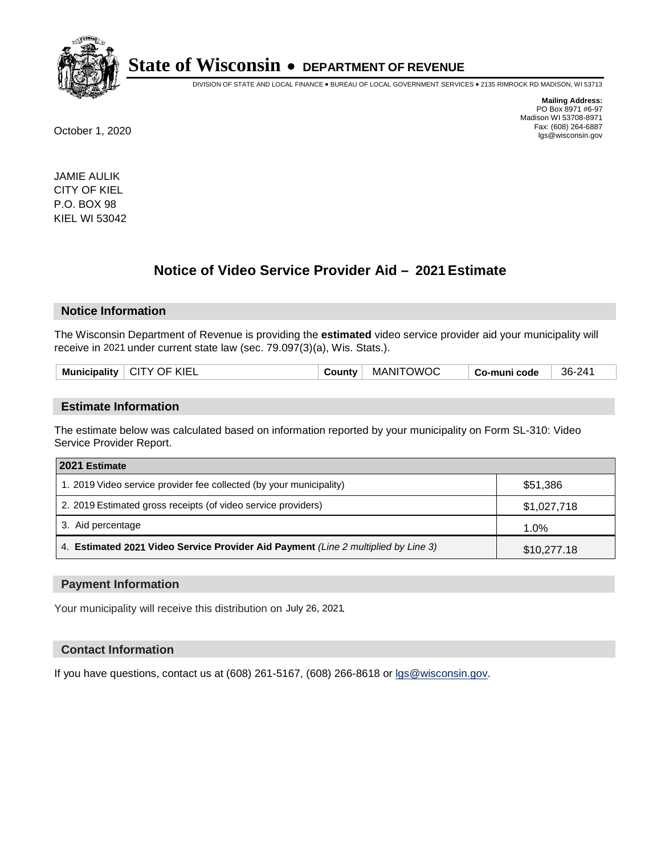

DIVISION OF STATE AND LOCAL FINANCE • BUREAU OF LOCAL GOVERNMENT SERVICES • 2135 RIMROCK RD MADISON, WI 53713

**Mailing Address:** PO Box 8971 #6-97 Madison WI 53708-8971<br>Fax: (608) 264-6887 Fax: (608) 264-6887 October 1, 2020 lgs@wisconsin.gov

JAMIE AULIK CITY OF KIEL P.O. BOX 98 KIEL WI 53042

# **Notice of Video Service Provider Aid - 2021 Estimate**

#### **Notice Information**

The Wisconsin Department of Revenue is providing the **estimated** video service provider aid your municipality will receive in 2021 under current state law (sec. 79.097(3)(a), Wis. Stats.).

| <b>Municipality</b> | "KIEL<br><b>CIT</b><br>OF.<br>TY. | <b>Count∨</b> | <b>DWOC</b><br><b>MANI</b> | code<br>-muni<br>GO-″ | $36 - 24'$ |
|---------------------|-----------------------------------|---------------|----------------------------|-----------------------|------------|
|                     |                                   |               |                            |                       |            |

#### **Estimate Information**

The estimate below was calculated based on information reported by your municipality on Form SL-310: Video Service Provider Report.

| 2021 Estimate                                                                      |             |
|------------------------------------------------------------------------------------|-------------|
| 1. 2019 Video service provider fee collected (by your municipality)                | \$51,386    |
| 2. 2019 Estimated gross receipts (of video service providers)                      | \$1,027,718 |
| 3. Aid percentage                                                                  | 1.0%        |
| 4. Estimated 2021 Video Service Provider Aid Payment (Line 2 multiplied by Line 3) | \$10,277.18 |

#### **Payment Information**

Your municipality will receive this distribution on July 26, 2021.

#### **Contact Information**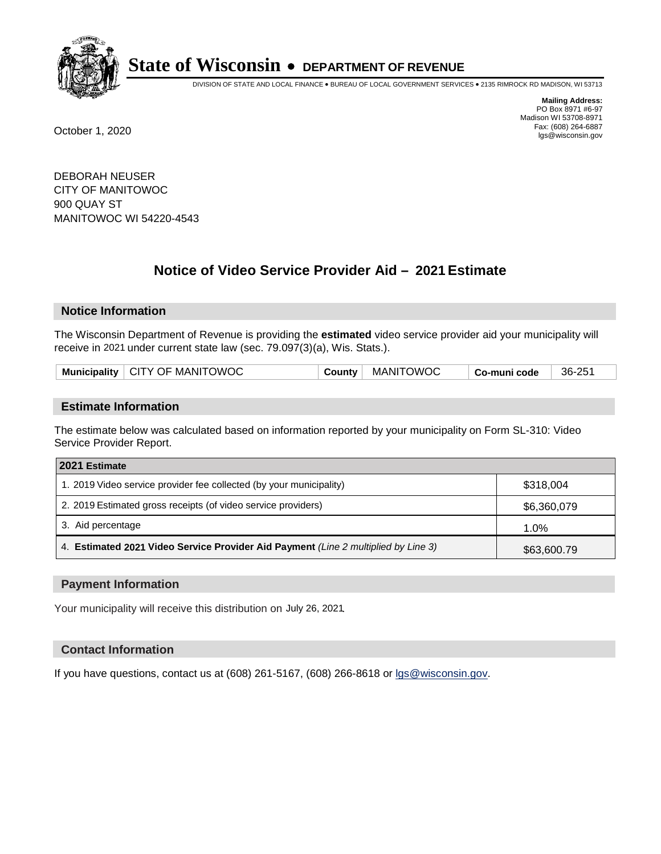

DIVISION OF STATE AND LOCAL FINANCE • BUREAU OF LOCAL GOVERNMENT SERVICES • 2135 RIMROCK RD MADISON, WI 53713

**Mailing Address:** PO Box 8971 #6-97 Madison WI 53708-8971<br>Fax: (608) 264-6887 Fax: (608) 264-6887 October 1, 2020 lgs@wisconsin.gov

DEBORAH NEUSER CITY OF MANITOWOC 900 QUAY ST MANITOWOC WI 54220-4543

# **Notice of Video Service Provider Aid - 2021 Estimate**

## **Notice Information**

The Wisconsin Department of Revenue is providing the **estimated** video service provider aid your municipality will receive in 2021 under current state law (sec. 79.097(3)(a), Wis. Stats.).

| Municipality   CITY OF MANITOWOC | County   MANITOWOC | 36-251<br>Co-muni code |
|----------------------------------|--------------------|------------------------|
|----------------------------------|--------------------|------------------------|

#### **Estimate Information**

The estimate below was calculated based on information reported by your municipality on Form SL-310: Video Service Provider Report.

| 2021 Estimate                                                                      |             |
|------------------------------------------------------------------------------------|-------------|
| 1. 2019 Video service provider fee collected (by your municipality)                | \$318,004   |
| 2. 2019 Estimated gross receipts (of video service providers)                      | \$6,360,079 |
| 3. Aid percentage                                                                  | 1.0%        |
| 4. Estimated 2021 Video Service Provider Aid Payment (Line 2 multiplied by Line 3) | \$63,600.79 |

#### **Payment Information**

Your municipality will receive this distribution on July 26, 2021.

## **Contact Information**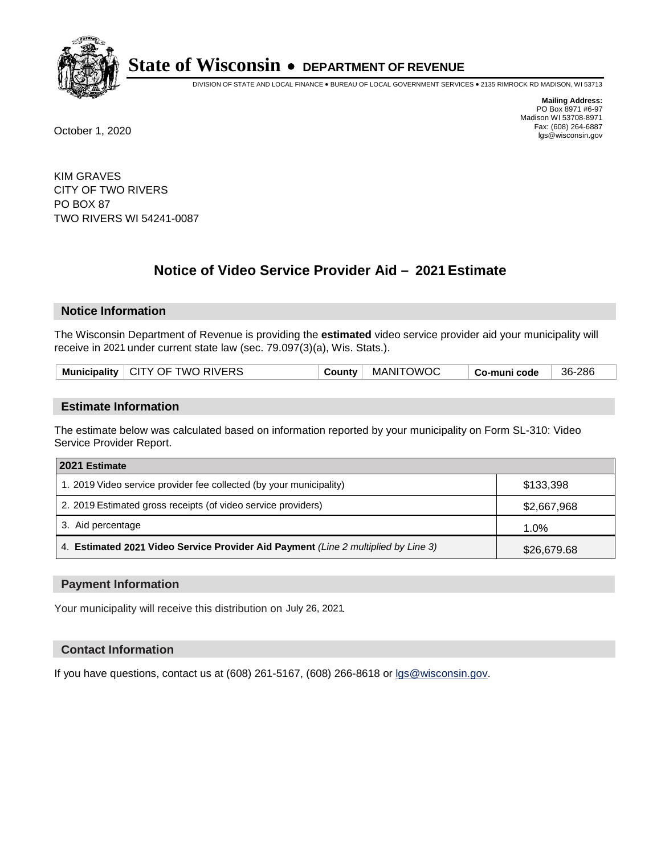

DIVISION OF STATE AND LOCAL FINANCE • BUREAU OF LOCAL GOVERNMENT SERVICES • 2135 RIMROCK RD MADISON, WI 53713

**Mailing Address:** PO Box 8971 #6-97 Madison WI 53708-8971<br>Fax: (608) 264-6887 Fax: (608) 264-6887 October 1, 2020 lgs@wisconsin.gov

KIM GRAVES CITY OF TWO RIVERS PO BOX 87 TWO RIVERS WI 54241-0087

# **Notice of Video Service Provider Aid - 2021 Estimate**

## **Notice Information**

The Wisconsin Department of Revenue is providing the **estimated** video service provider aid your municipality will receive in 2021 under current state law (sec. 79.097(3)(a), Wis. Stats.).

| Municipality $\vert$ CITY OF TWO RIVERS<br>County   MANITOWOC<br>36-286<br>⊦ Co-muni code |
|-------------------------------------------------------------------------------------------|
|-------------------------------------------------------------------------------------------|

#### **Estimate Information**

The estimate below was calculated based on information reported by your municipality on Form SL-310: Video Service Provider Report.

| 2021 Estimate                                                                      |             |
|------------------------------------------------------------------------------------|-------------|
| 1. 2019 Video service provider fee collected (by your municipality)                | \$133,398   |
| 2. 2019 Estimated gross receipts (of video service providers)                      | \$2,667,968 |
| 3. Aid percentage                                                                  | $1.0\%$     |
| 4. Estimated 2021 Video Service Provider Aid Payment (Line 2 multiplied by Line 3) | \$26,679.68 |

#### **Payment Information**

Your municipality will receive this distribution on July 26, 2021.

## **Contact Information**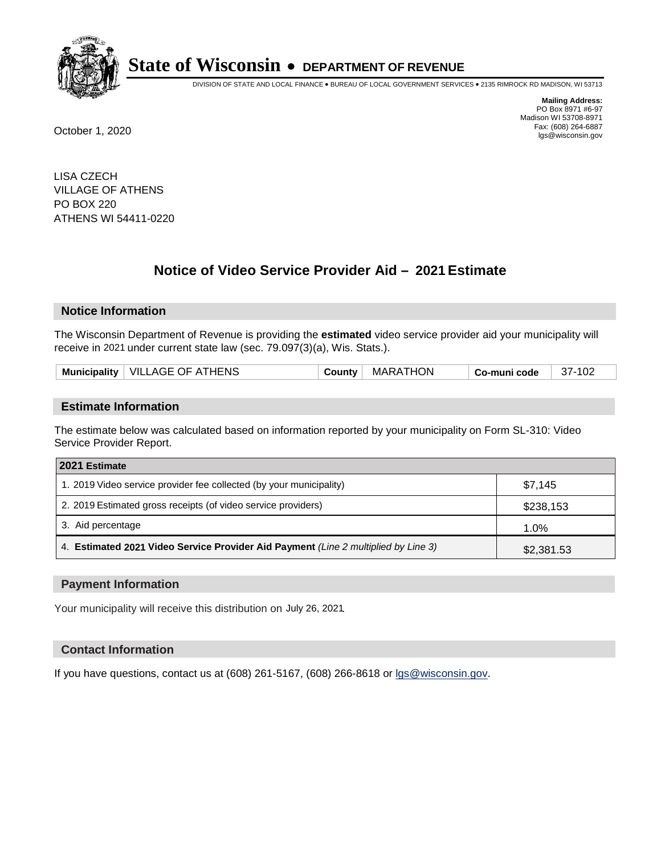

DIVISION OF STATE AND LOCAL FINANCE • BUREAU OF LOCAL GOVERNMENT SERVICES • 2135 RIMROCK RD MADISON, WI 53713

**Mailing Address:** PO Box 8971 #6-97 Madison WI 53708-8971<br>Fax: (608) 264-6887 Fax: (608) 264-6887 October 1, 2020 lgs@wisconsin.gov

LISA CZECH VILLAGE OF ATHENS PO BOX 220 ATHENS WI 54411-0220

# **Notice of Video Service Provider Aid - 2021 Estimate**

## **Notice Information**

The Wisconsin Department of Revenue is providing the **estimated** video service provider aid your municipality will receive in 2021 under current state law (sec. 79.097(3)(a), Wis. Stats.).

| Municipality   VILLAGE OF ATHENS |
|----------------------------------|
|----------------------------------|

#### **Estimate Information**

The estimate below was calculated based on information reported by your municipality on Form SL-310: Video Service Provider Report.

| 2021 Estimate                                                                      |            |
|------------------------------------------------------------------------------------|------------|
| 1. 2019 Video service provider fee collected (by your municipality)                | \$7.145    |
| 2. 2019 Estimated gross receipts (of video service providers)                      | \$238,153  |
| 3. Aid percentage                                                                  | 1.0%       |
| 4. Estimated 2021 Video Service Provider Aid Payment (Line 2 multiplied by Line 3) | \$2,381.53 |

#### **Payment Information**

Your municipality will receive this distribution on July 26, 2021.

## **Contact Information**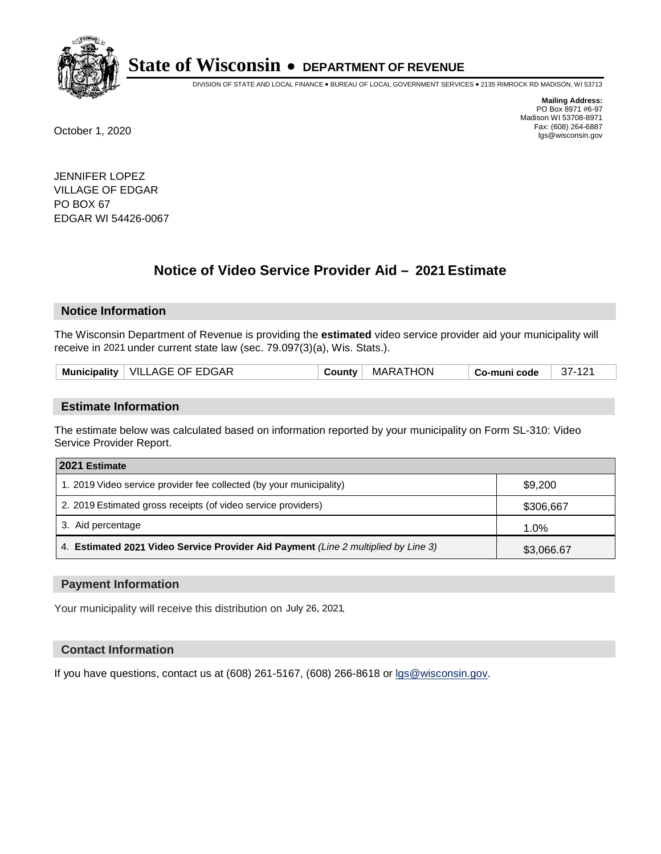

DIVISION OF STATE AND LOCAL FINANCE • BUREAU OF LOCAL GOVERNMENT SERVICES • 2135 RIMROCK RD MADISON, WI 53713

**Mailing Address:** PO Box 8971 #6-97 Madison WI 53708-8971<br>Fax: (608) 264-6887 Fax: (608) 264-6887 October 1, 2020 lgs@wisconsin.gov

JENNIFER LOPEZ VILLAGE OF EDGAR PO BOX 67 EDGAR WI 54426-0067

# **Notice of Video Service Provider Aid - 2021 Estimate**

## **Notice Information**

The Wisconsin Department of Revenue is providing the **estimated** video service provider aid your municipality will receive in 2021 under current state law (sec. 79.097(3)(a), Wis. Stats.).

|--|

#### **Estimate Information**

The estimate below was calculated based on information reported by your municipality on Form SL-310: Video Service Provider Report.

| 2021 Estimate                                                                      |            |
|------------------------------------------------------------------------------------|------------|
| 1. 2019 Video service provider fee collected (by your municipality)                | \$9,200    |
| 2. 2019 Estimated gross receipts (of video service providers)                      | \$306,667  |
| 3. Aid percentage                                                                  | 1.0%       |
| 4. Estimated 2021 Video Service Provider Aid Payment (Line 2 multiplied by Line 3) | \$3,066.67 |

#### **Payment Information**

Your municipality will receive this distribution on July 26, 2021.

## **Contact Information**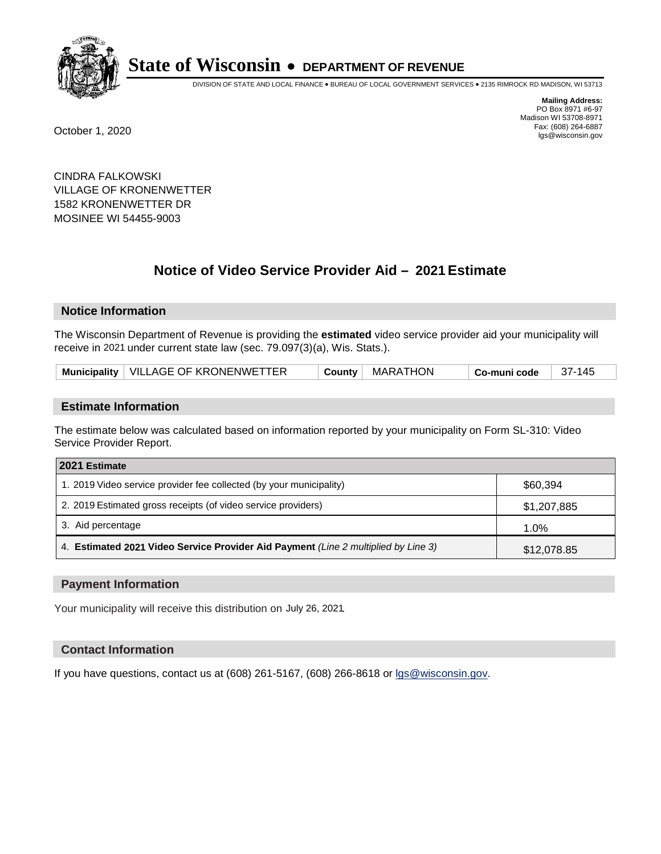

DIVISION OF STATE AND LOCAL FINANCE • BUREAU OF LOCAL GOVERNMENT SERVICES • 2135 RIMROCK RD MADISON, WI 53713

**Mailing Address:** PO Box 8971 #6-97 Madison WI 53708-8971<br>Fax: (608) 264-6887 Fax: (608) 264-6887 October 1, 2020 lgs@wisconsin.gov

CINDRA FALKOWSKI VILLAGE OF KRONENWETTER 1582 KRONENWETTER DR MOSINEE WI 54455-9003

# **Notice of Video Service Provider Aid - 2021 Estimate**

## **Notice Information**

The Wisconsin Department of Revenue is providing the **estimated** video service provider aid your municipality will receive in 2021 under current state law (sec. 79.097(3)(a), Wis. Stats.).

| Municipality   VILLAGE OF KRONENWETTER | County | MARATHON | Co-muni code | 37-145 |
|----------------------------------------|--------|----------|--------------|--------|
|----------------------------------------|--------|----------|--------------|--------|

#### **Estimate Information**

The estimate below was calculated based on information reported by your municipality on Form SL-310: Video Service Provider Report.

| 2021 Estimate                                                                      |             |
|------------------------------------------------------------------------------------|-------------|
| 1. 2019 Video service provider fee collected (by your municipality)                | \$60,394    |
| 2. 2019 Estimated gross receipts (of video service providers)                      | \$1,207,885 |
| 3. Aid percentage                                                                  | 1.0%        |
| 4. Estimated 2021 Video Service Provider Aid Payment (Line 2 multiplied by Line 3) | \$12,078.85 |

#### **Payment Information**

Your municipality will receive this distribution on July 26, 2021.

## **Contact Information**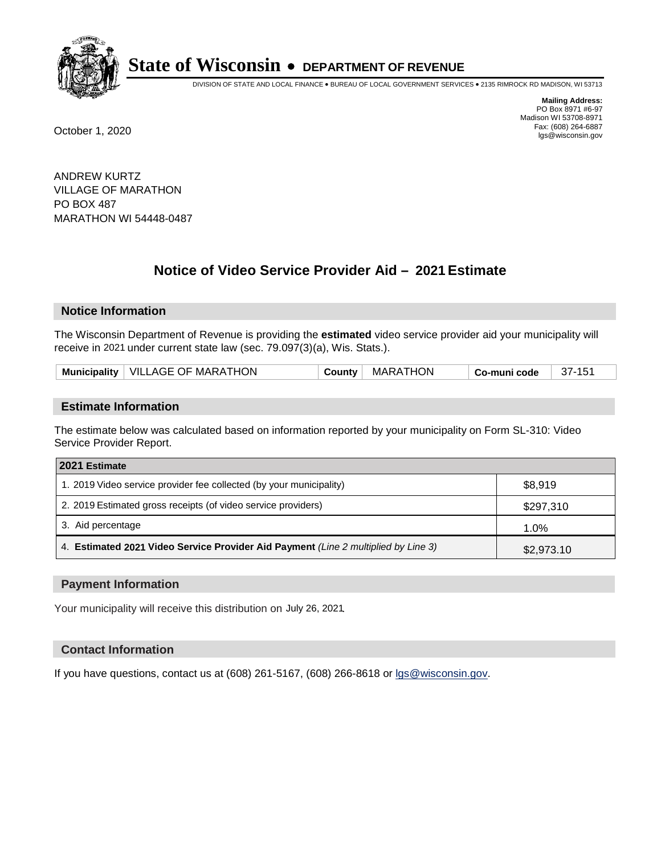

DIVISION OF STATE AND LOCAL FINANCE • BUREAU OF LOCAL GOVERNMENT SERVICES • 2135 RIMROCK RD MADISON, WI 53713

**Mailing Address:** PO Box 8971 #6-97 Madison WI 53708-8971<br>Fax: (608) 264-6887 Fax: (608) 264-6887 October 1, 2020 lgs@wisconsin.gov

ANDREW KURTZ VILLAGE OF MARATHON PO BOX 487 MARATHON WI 54448-0487

# **Notice of Video Service Provider Aid - 2021 Estimate**

## **Notice Information**

The Wisconsin Department of Revenue is providing the **estimated** video service provider aid your municipality will receive in 2021 under current state law (sec. 79.097(3)(a), Wis. Stats.).

| Municipality   VILLAGE OF MARATHON | County | MARATHON | ∣ Co-muni code | $37 - 15$ |
|------------------------------------|--------|----------|----------------|-----------|
|------------------------------------|--------|----------|----------------|-----------|

#### **Estimate Information**

The estimate below was calculated based on information reported by your municipality on Form SL-310: Video Service Provider Report.

| 2021 Estimate                                                                      |            |
|------------------------------------------------------------------------------------|------------|
| 1. 2019 Video service provider fee collected (by your municipality)                | \$8,919    |
| 2. 2019 Estimated gross receipts (of video service providers)                      | \$297,310  |
| 3. Aid percentage                                                                  | 1.0%       |
| 4. Estimated 2021 Video Service Provider Aid Payment (Line 2 multiplied by Line 3) | \$2,973.10 |

#### **Payment Information**

Your municipality will receive this distribution on July 26, 2021.

## **Contact Information**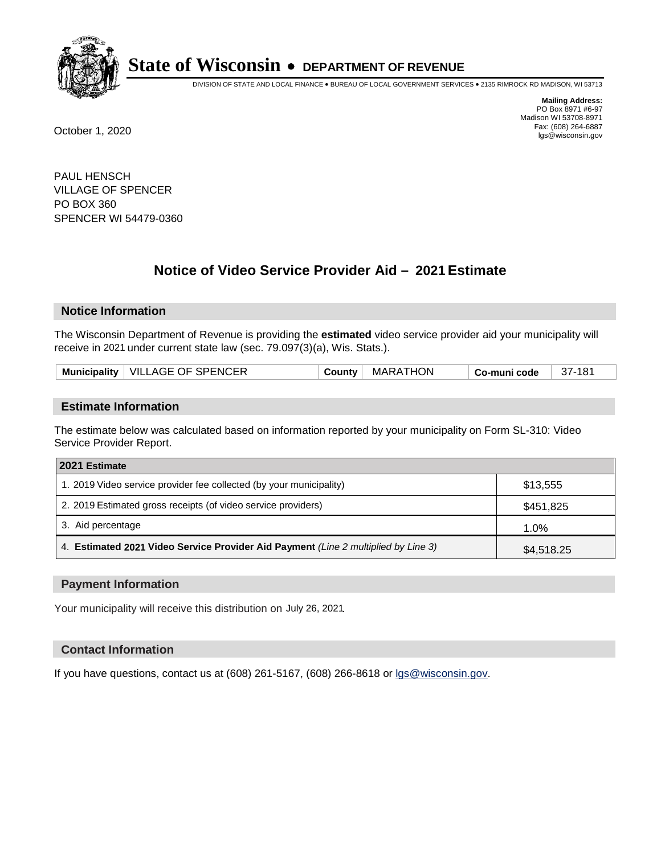

DIVISION OF STATE AND LOCAL FINANCE • BUREAU OF LOCAL GOVERNMENT SERVICES • 2135 RIMROCK RD MADISON, WI 53713

**Mailing Address:** PO Box 8971 #6-97 Madison WI 53708-8971<br>Fax: (608) 264-6887 Fax: (608) 264-6887 October 1, 2020 lgs@wisconsin.gov

PAUL HENSCH VILLAGE OF SPENCER PO BOX 360 SPENCER WI 54479-0360

# **Notice of Video Service Provider Aid - 2021 Estimate**

## **Notice Information**

The Wisconsin Department of Revenue is providing the **estimated** video service provider aid your municipality will receive in 2021 under current state law (sec. 79.097(3)(a), Wis. Stats.).

| Municipality   VILLAGE OF SPENCER<br>MARATHON<br>County<br><b>↓Co-muni code</b> | - 37-181 |
|---------------------------------------------------------------------------------|----------|
|---------------------------------------------------------------------------------|----------|

#### **Estimate Information**

The estimate below was calculated based on information reported by your municipality on Form SL-310: Video Service Provider Report.

| 2021 Estimate                                                                      |            |
|------------------------------------------------------------------------------------|------------|
| 1. 2019 Video service provider fee collected (by your municipality)                | \$13,555   |
| 2. 2019 Estimated gross receipts (of video service providers)                      | \$451,825  |
| 3. Aid percentage                                                                  | 1.0%       |
| 4. Estimated 2021 Video Service Provider Aid Payment (Line 2 multiplied by Line 3) | \$4,518.25 |

#### **Payment Information**

Your municipality will receive this distribution on July 26, 2021.

## **Contact Information**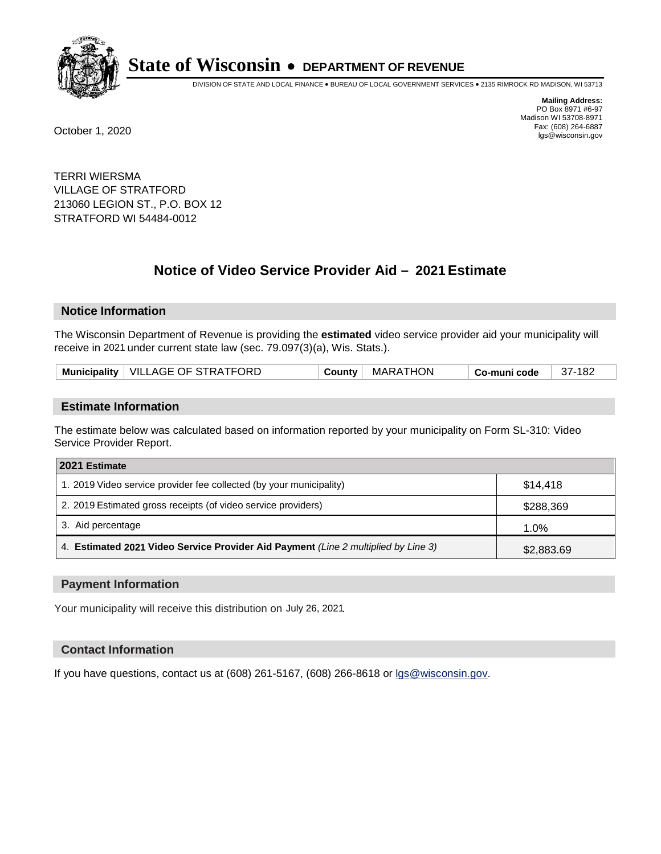

DIVISION OF STATE AND LOCAL FINANCE • BUREAU OF LOCAL GOVERNMENT SERVICES • 2135 RIMROCK RD MADISON, WI 53713

**Mailing Address:** PO Box 8971 #6-97 Madison WI 53708-8971<br>Fax: (608) 264-6887 Fax: (608) 264-6887 October 1, 2020 lgs@wisconsin.gov

TERRI WIERSMA VILLAGE OF STRATFORD 213060 LEGION ST., P.O. BOX 12 STRATFORD WI 54484-0012

# **Notice of Video Service Provider Aid - 2021 Estimate**

## **Notice Information**

The Wisconsin Department of Revenue is providing the **estimated** video service provider aid your municipality will receive in 2021 under current state law (sec. 79.097(3)(a), Wis. Stats.).

| Municipality   VILLAGE OF STRATFORD<br>™ MARATHON<br>County<br>Co-muni code | -37-182 |
|-----------------------------------------------------------------------------|---------|
|-----------------------------------------------------------------------------|---------|

#### **Estimate Information**

The estimate below was calculated based on information reported by your municipality on Form SL-310: Video Service Provider Report.

| 2021 Estimate                                                                      |            |
|------------------------------------------------------------------------------------|------------|
| 1. 2019 Video service provider fee collected (by your municipality)                | \$14,418   |
| 2. 2019 Estimated gross receipts (of video service providers)                      | \$288,369  |
| 3. Aid percentage                                                                  | 1.0%       |
| 4. Estimated 2021 Video Service Provider Aid Payment (Line 2 multiplied by Line 3) | \$2,883.69 |

#### **Payment Information**

Your municipality will receive this distribution on July 26, 2021.

## **Contact Information**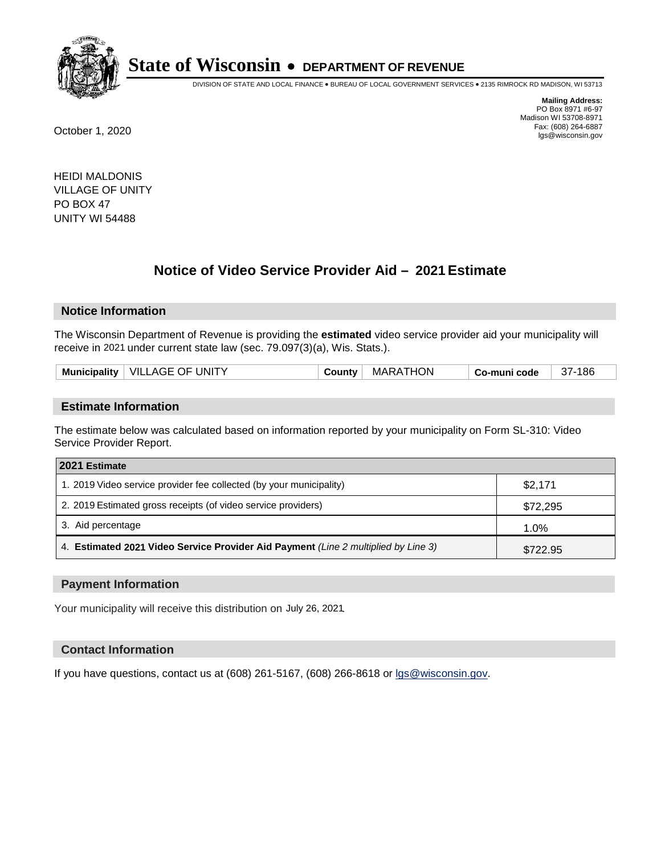

DIVISION OF STATE AND LOCAL FINANCE • BUREAU OF LOCAL GOVERNMENT SERVICES • 2135 RIMROCK RD MADISON, WI 53713

**Mailing Address:** PO Box 8971 #6-97 Madison WI 53708-8971<br>Fax: (608) 264-6887 Fax: (608) 264-6887 October 1, 2020 lgs@wisconsin.gov

HEIDI MALDONIS VILLAGE OF UNITY PO BOX 47 UNITY WI 54488

# **Notice of Video Service Provider Aid - 2021 Estimate**

## **Notice Information**

The Wisconsin Department of Revenue is providing the **estimated** video service provider aid your municipality will receive in 2021 under current state law (sec. 79.097(3)(a), Wis. Stats.).

| <b>Municipality</b> | ↓ VILLAGE OF UNITY | <b>Count</b> ∨∵ | MARATHON | Co-muni code | 186<br>$37 -$ |
|---------------------|--------------------|-----------------|----------|--------------|---------------|
|                     |                    |                 |          |              |               |

#### **Estimate Information**

The estimate below was calculated based on information reported by your municipality on Form SL-310: Video Service Provider Report.

| 2021 Estimate                                                                      |          |
|------------------------------------------------------------------------------------|----------|
| 1. 2019 Video service provider fee collected (by your municipality)                | \$2,171  |
| 2. 2019 Estimated gross receipts (of video service providers)                      | \$72,295 |
| 3. Aid percentage                                                                  | 1.0%     |
| 4. Estimated 2021 Video Service Provider Aid Payment (Line 2 multiplied by Line 3) | \$722.95 |

#### **Payment Information**

Your municipality will receive this distribution on July 26, 2021.

## **Contact Information**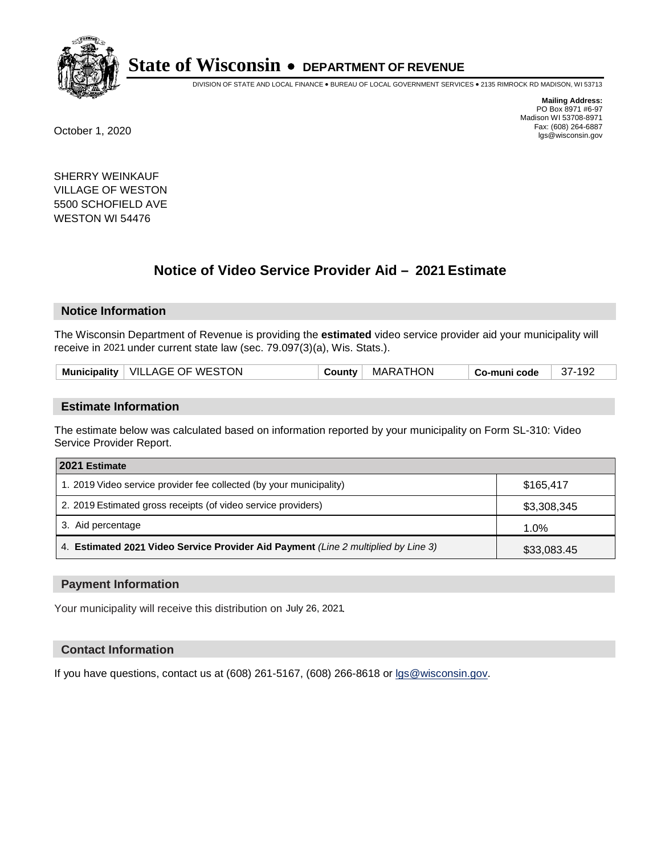

DIVISION OF STATE AND LOCAL FINANCE • BUREAU OF LOCAL GOVERNMENT SERVICES • 2135 RIMROCK RD MADISON, WI 53713

**Mailing Address:** PO Box 8971 #6-97 Madison WI 53708-8971<br>Fax: (608) 264-6887 Fax: (608) 264-6887 October 1, 2020 lgs@wisconsin.gov

SHERRY WEINKAUF VILLAGE OF WESTON 5500 SCHOFIELD AVE WESTON WI 54476

# **Notice of Video Service Provider Aid - 2021 Estimate**

## **Notice Information**

The Wisconsin Department of Revenue is providing the **estimated** video service provider aid your municipality will receive in 2021 under current state law (sec. 79.097(3)(a), Wis. Stats.).

| Municipality   VILLAGE OF WESTON<br>MARATHON<br>37-192<br>County<br><sup>⊦</sup> Co-muni code |  |
|-----------------------------------------------------------------------------------------------|--|
|-----------------------------------------------------------------------------------------------|--|

#### **Estimate Information**

The estimate below was calculated based on information reported by your municipality on Form SL-310: Video Service Provider Report.

| 2021 Estimate                                                                      |             |
|------------------------------------------------------------------------------------|-------------|
| 1. 2019 Video service provider fee collected (by your municipality)                | \$165.417   |
| 2. 2019 Estimated gross receipts (of video service providers)                      | \$3,308,345 |
| 3. Aid percentage                                                                  | 1.0%        |
| 4. Estimated 2021 Video Service Provider Aid Payment (Line 2 multiplied by Line 3) | \$33,083.45 |

#### **Payment Information**

Your municipality will receive this distribution on July 26, 2021.

## **Contact Information**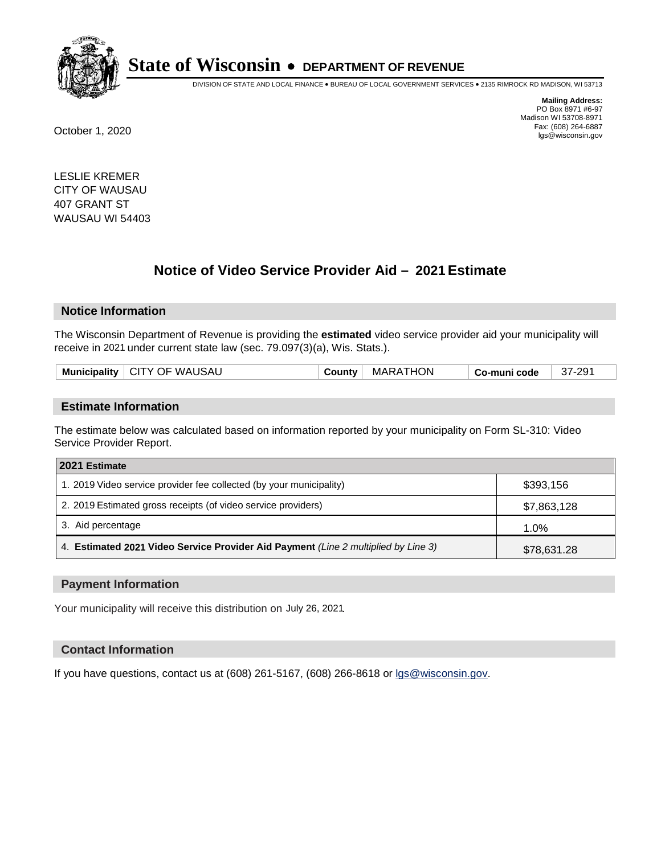

DIVISION OF STATE AND LOCAL FINANCE • BUREAU OF LOCAL GOVERNMENT SERVICES • 2135 RIMROCK RD MADISON, WI 53713

**Mailing Address:** PO Box 8971 #6-97 Madison WI 53708-8971<br>Fax: (608) 264-6887 Fax: (608) 264-6887 October 1, 2020 lgs@wisconsin.gov

LESLIE KREMER CITY OF WAUSAU 407 GRANT ST WAUSAU WI 54403

# **Notice of Video Service Provider Aid - 2021 Estimate**

## **Notice Information**

The Wisconsin Department of Revenue is providing the **estimated** video service provider aid your municipality will receive in 2021 under current state law (sec. 79.097(3)(a), Wis. Stats.).

| nicipality<br>Munic | <b>WAUSAL</b><br>OF<br>-CITY | <b>HON</b><br>MAR | ≎ode | 201<br>۱۰ ت |
|---------------------|------------------------------|-------------------|------|-------------|
|                     |                              |                   |      |             |

#### **Estimate Information**

The estimate below was calculated based on information reported by your municipality on Form SL-310: Video Service Provider Report.

| 2021 Estimate                                                                      |             |
|------------------------------------------------------------------------------------|-------------|
| 1. 2019 Video service provider fee collected (by your municipality)                | \$393,156   |
| 2. 2019 Estimated gross receipts (of video service providers)                      | \$7,863,128 |
| 3. Aid percentage                                                                  | 1.0%        |
| 4. Estimated 2021 Video Service Provider Aid Payment (Line 2 multiplied by Line 3) | \$78,631.28 |

#### **Payment Information**

Your municipality will receive this distribution on July 26, 2021.

## **Contact Information**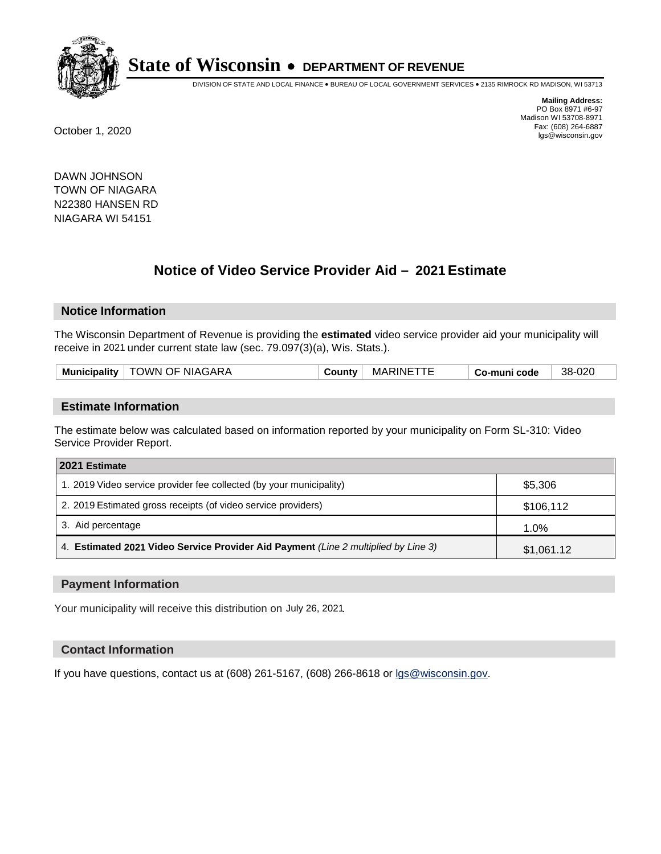

DIVISION OF STATE AND LOCAL FINANCE • BUREAU OF LOCAL GOVERNMENT SERVICES • 2135 RIMROCK RD MADISON, WI 53713

**Mailing Address:** PO Box 8971 #6-97 Madison WI 53708-8971<br>Fax: (608) 264-6887 Fax: (608) 264-6887 October 1, 2020 lgs@wisconsin.gov

DAWN JOHNSON TOWN OF NIAGARA N22380 HANSEN RD NIAGARA WI 54151

# **Notice of Video Service Provider Aid - 2021 Estimate**

## **Notice Information**

The Wisconsin Department of Revenue is providing the **estimated** video service provider aid your municipality will receive in 2021 under current state law (sec. 79.097(3)(a), Wis. Stats.).

| <b>Municipality</b> | TOWN OF NIAGARA | Jount∨ | <b>MARINE</b> | Co-muni code | 38-020 |
|---------------------|-----------------|--------|---------------|--------------|--------|
|                     |                 |        |               |              |        |

#### **Estimate Information**

The estimate below was calculated based on information reported by your municipality on Form SL-310: Video Service Provider Report.

| 2021 Estimate                                                                      |            |
|------------------------------------------------------------------------------------|------------|
| 1. 2019 Video service provider fee collected (by your municipality)                | \$5,306    |
| 2. 2019 Estimated gross receipts (of video service providers)                      | \$106,112  |
| 3. Aid percentage                                                                  | 1.0%       |
| 4. Estimated 2021 Video Service Provider Aid Payment (Line 2 multiplied by Line 3) | \$1,061.12 |

#### **Payment Information**

Your municipality will receive this distribution on July 26, 2021.

## **Contact Information**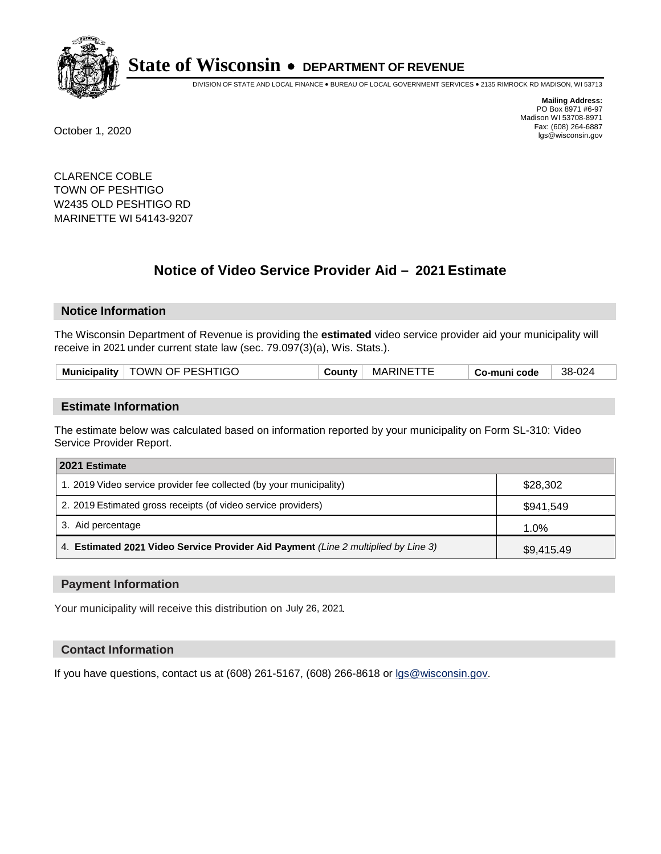

DIVISION OF STATE AND LOCAL FINANCE • BUREAU OF LOCAL GOVERNMENT SERVICES • 2135 RIMROCK RD MADISON, WI 53713

**Mailing Address:** PO Box 8971 #6-97 Madison WI 53708-8971<br>Fax: (608) 264-6887 Fax: (608) 264-6887 October 1, 2020 lgs@wisconsin.gov

CLARENCE COBLE TOWN OF PESHTIGO W2435 OLD PESHTIGO RD MARINETTE WI 54143-9207

# **Notice of Video Service Provider Aid - 2021 Estimate**

## **Notice Information**

The Wisconsin Department of Revenue is providing the **estimated** video service provider aid your municipality will receive in 2021 under current state law (sec. 79.097(3)(a), Wis. Stats.).

| <b>TOWN OF PESHTIGO</b><br><b>Municipality</b> | County | MARINETT | Co-muni code | 38-024 |
|------------------------------------------------|--------|----------|--------------|--------|
|------------------------------------------------|--------|----------|--------------|--------|

#### **Estimate Information**

The estimate below was calculated based on information reported by your municipality on Form SL-310: Video Service Provider Report.

| 2021 Estimate                                                                      |            |
|------------------------------------------------------------------------------------|------------|
| 1. 2019 Video service provider fee collected (by your municipality)                | \$28,302   |
| 2. 2019 Estimated gross receipts (of video service providers)                      | \$941,549  |
| 3. Aid percentage                                                                  | 1.0%       |
| 4. Estimated 2021 Video Service Provider Aid Payment (Line 2 multiplied by Line 3) | \$9,415.49 |

#### **Payment Information**

Your municipality will receive this distribution on July 26, 2021.

## **Contact Information**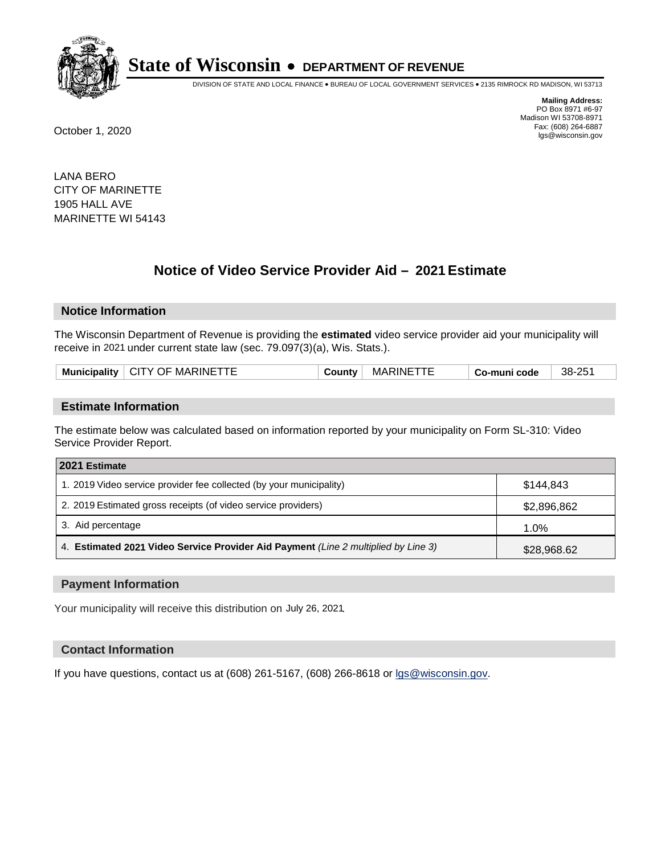

DIVISION OF STATE AND LOCAL FINANCE • BUREAU OF LOCAL GOVERNMENT SERVICES • 2135 RIMROCK RD MADISON, WI 53713

**Mailing Address:** PO Box 8971 #6-97 Madison WI 53708-8971<br>Fax: (608) 264-6887 Fax: (608) 264-6887 October 1, 2020 lgs@wisconsin.gov

LANA BERO CITY OF MARINETTE 1905 HALL AVE MARINETTE WI 54143

# **Notice of Video Service Provider Aid - 2021 Estimate**

## **Notice Information**

The Wisconsin Department of Revenue is providing the **estimated** video service provider aid your municipality will receive in 2021 under current state law (sec. 79.097(3)(a), Wis. Stats.).

| ∟inalit∵<br>Munı<br>nıc | 'INF<br>MA'<br>.JF<br>$\mathbf v$<br>' اند | unt. | MAF<br>`UN⊪ | code | つに<br>38- |
|-------------------------|--------------------------------------------|------|-------------|------|-----------|
|                         |                                            |      |             |      |           |

#### **Estimate Information**

The estimate below was calculated based on information reported by your municipality on Form SL-310: Video Service Provider Report.

| 2021 Estimate                                                                      |             |
|------------------------------------------------------------------------------------|-------------|
| 1. 2019 Video service provider fee collected (by your municipality)                | \$144.843   |
| 2. 2019 Estimated gross receipts (of video service providers)                      | \$2,896,862 |
| 3. Aid percentage                                                                  | $1.0\%$     |
| 4. Estimated 2021 Video Service Provider Aid Payment (Line 2 multiplied by Line 3) | \$28,968.62 |

#### **Payment Information**

Your municipality will receive this distribution on July 26, 2021.

## **Contact Information**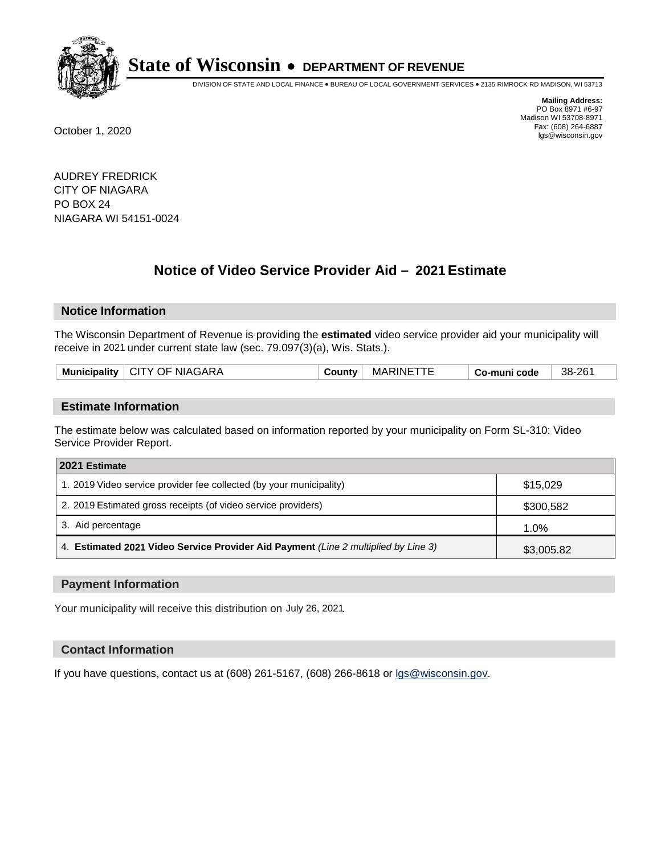

DIVISION OF STATE AND LOCAL FINANCE • BUREAU OF LOCAL GOVERNMENT SERVICES • 2135 RIMROCK RD MADISON, WI 53713

**Mailing Address:** PO Box 8971 #6-97 Madison WI 53708-8971<br>Fax: (608) 264-6887 Fax: (608) 264-6887 October 1, 2020 lgs@wisconsin.gov

AUDREY FREDRICK CITY OF NIAGARA PO BOX 24 NIAGARA WI 54151-0024

# **Notice of Video Service Provider Aid - 2021 Estimate**

## **Notice Information**

The Wisconsin Department of Revenue is providing the **estimated** video service provider aid your municipality will receive in 2021 under current state law (sec. 79.097(3)(a), Wis. Stats.).

|--|

#### **Estimate Information**

The estimate below was calculated based on information reported by your municipality on Form SL-310: Video Service Provider Report.

| 2021 Estimate                                                                      |            |
|------------------------------------------------------------------------------------|------------|
| 1. 2019 Video service provider fee collected (by your municipality)                | \$15.029   |
| 2. 2019 Estimated gross receipts (of video service providers)                      | \$300,582  |
| 3. Aid percentage                                                                  | 1.0%       |
| 4. Estimated 2021 Video Service Provider Aid Payment (Line 2 multiplied by Line 3) | \$3,005.82 |

#### **Payment Information**

Your municipality will receive this distribution on July 26, 2021.

## **Contact Information**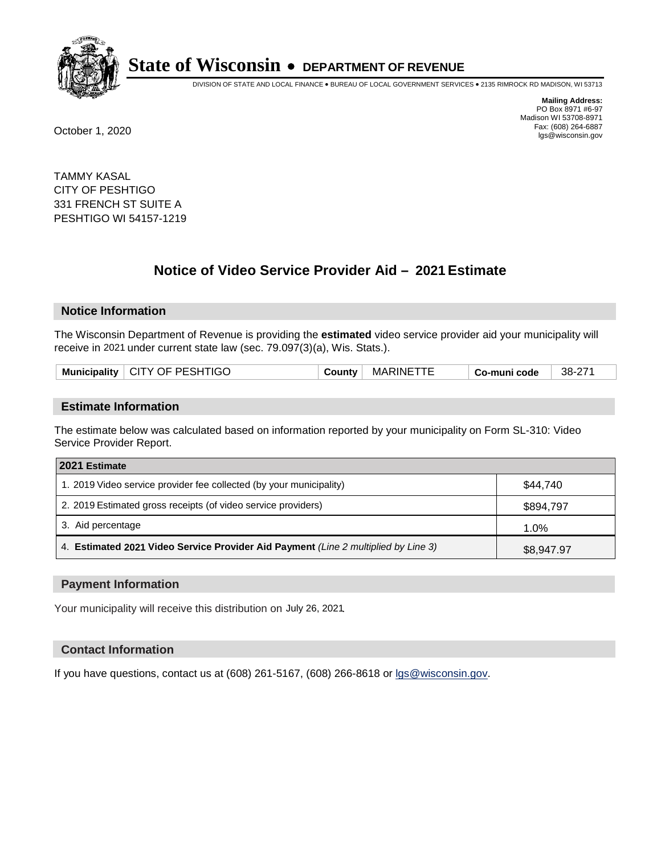

DIVISION OF STATE AND LOCAL FINANCE • BUREAU OF LOCAL GOVERNMENT SERVICES • 2135 RIMROCK RD MADISON, WI 53713

**Mailing Address:** PO Box 8971 #6-97 Madison WI 53708-8971<br>Fax: (608) 264-6887 Fax: (608) 264-6887 October 1, 2020 lgs@wisconsin.gov

TAMMY KASAL CITY OF PESHTIGO 331 FRENCH ST SUITE A PESHTIGO WI 54157-1219

# **Notice of Video Service Provider Aid - 2021 Estimate**

## **Notice Information**

The Wisconsin Department of Revenue is providing the **estimated** video service provider aid your municipality will receive in 2021 under current state law (sec. 79.097(3)(a), Wis. Stats.).

|--|

#### **Estimate Information**

The estimate below was calculated based on information reported by your municipality on Form SL-310: Video Service Provider Report.

| 2021 Estimate                                                                      |            |
|------------------------------------------------------------------------------------|------------|
| 1. 2019 Video service provider fee collected (by your municipality)                | \$44.740   |
| 2. 2019 Estimated gross receipts (of video service providers)                      | \$894,797  |
| 3. Aid percentage                                                                  | 1.0%       |
| 4. Estimated 2021 Video Service Provider Aid Payment (Line 2 multiplied by Line 3) | \$8,947.97 |

#### **Payment Information**

Your municipality will receive this distribution on July 26, 2021.

## **Contact Information**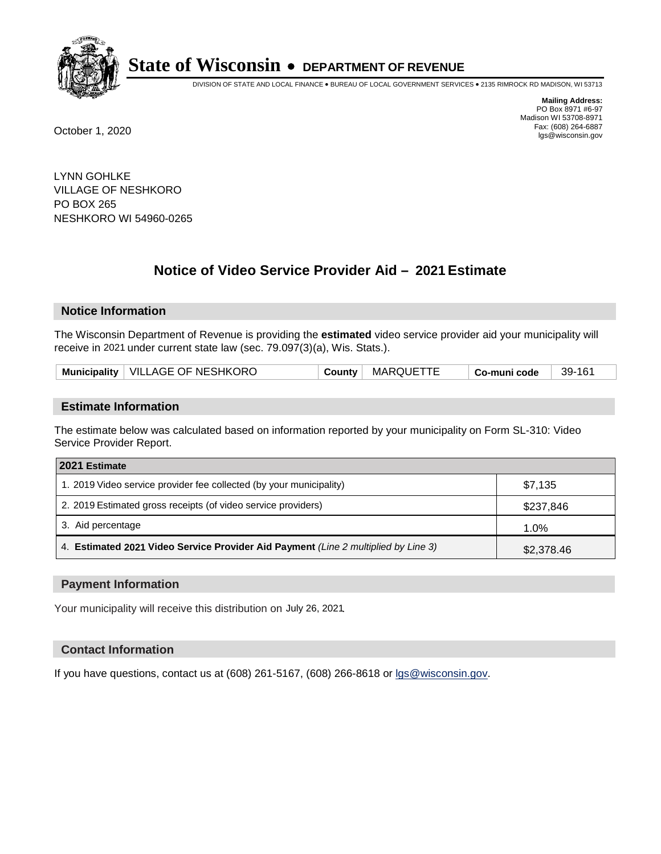

DIVISION OF STATE AND LOCAL FINANCE • BUREAU OF LOCAL GOVERNMENT SERVICES • 2135 RIMROCK RD MADISON, WI 53713

**Mailing Address:** PO Box 8971 #6-97 Madison WI 53708-8971<br>Fax: (608) 264-6887 Fax: (608) 264-6887 October 1, 2020 lgs@wisconsin.gov

LYNN GOHLKE VILLAGE OF NESHKORO PO BOX 265 NESHKORO WI 54960-0265

# **Notice of Video Service Provider Aid - 2021 Estimate**

## **Notice Information**

The Wisconsin Department of Revenue is providing the **estimated** video service provider aid your municipality will receive in 2021 under current state law (sec. 79.097(3)(a), Wis. Stats.).

| Municipality   VILLAGE OF NESHKORO<br>MARQUETTE<br>County | 39-161<br><sup>⊦</sup> Co-muni code |  |
|-----------------------------------------------------------|-------------------------------------|--|
|-----------------------------------------------------------|-------------------------------------|--|

#### **Estimate Information**

The estimate below was calculated based on information reported by your municipality on Form SL-310: Video Service Provider Report.

| 2021 Estimate                                                                      |            |
|------------------------------------------------------------------------------------|------------|
| 1. 2019 Video service provider fee collected (by your municipality)                | \$7.135    |
| 2. 2019 Estimated gross receipts (of video service providers)                      | \$237,846  |
| 3. Aid percentage                                                                  | 1.0%       |
| 4. Estimated 2021 Video Service Provider Aid Payment (Line 2 multiplied by Line 3) | \$2,378.46 |

#### **Payment Information**

Your municipality will receive this distribution on July 26, 2021.

## **Contact Information**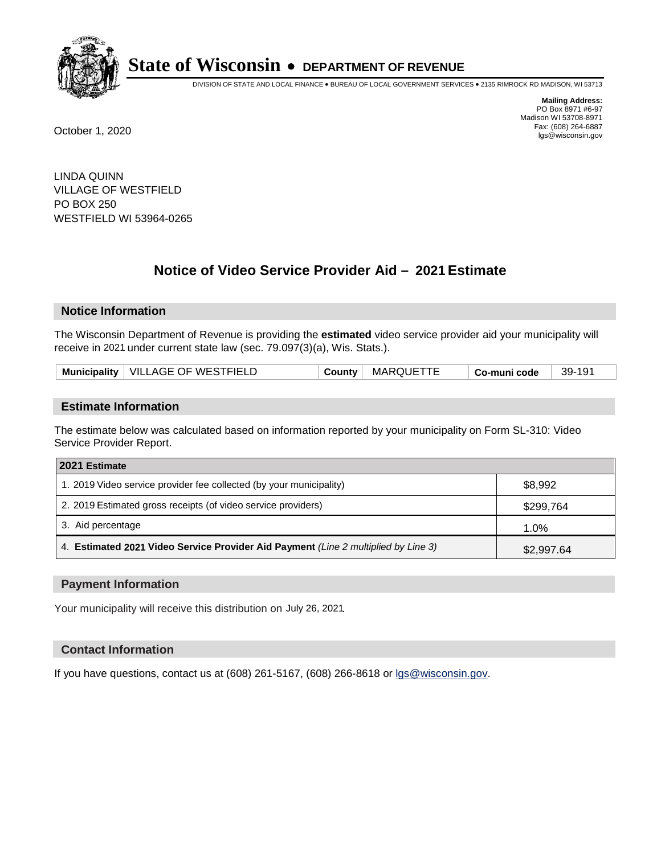

DIVISION OF STATE AND LOCAL FINANCE • BUREAU OF LOCAL GOVERNMENT SERVICES • 2135 RIMROCK RD MADISON, WI 53713

**Mailing Address:** PO Box 8971 #6-97 Madison WI 53708-8971<br>Fax: (608) 264-6887 Fax: (608) 264-6887 October 1, 2020 lgs@wisconsin.gov

LINDA QUINN VILLAGE OF WESTFIELD PO BOX 250 WESTFIELD WI 53964-0265

# **Notice of Video Service Provider Aid - 2021 Estimate**

## **Notice Information**

The Wisconsin Department of Revenue is providing the **estimated** video service provider aid your municipality will receive in 2021 under current state law (sec. 79.097(3)(a), Wis. Stats.).

| Municipality   VILLAGE OF WESTFIELD<br><b>MARQUETTE</b><br>39-191<br><b>County</b><br>Co-muni code |
|----------------------------------------------------------------------------------------------------|
|----------------------------------------------------------------------------------------------------|

#### **Estimate Information**

The estimate below was calculated based on information reported by your municipality on Form SL-310: Video Service Provider Report.

| 2021 Estimate                                                                      |            |
|------------------------------------------------------------------------------------|------------|
| 1. 2019 Video service provider fee collected (by your municipality)                | \$8,992    |
| 2. 2019 Estimated gross receipts (of video service providers)                      | \$299,764  |
| 3. Aid percentage                                                                  | 1.0%       |
| 4. Estimated 2021 Video Service Provider Aid Payment (Line 2 multiplied by Line 3) | \$2,997.64 |

#### **Payment Information**

Your municipality will receive this distribution on July 26, 2021.

## **Contact Information**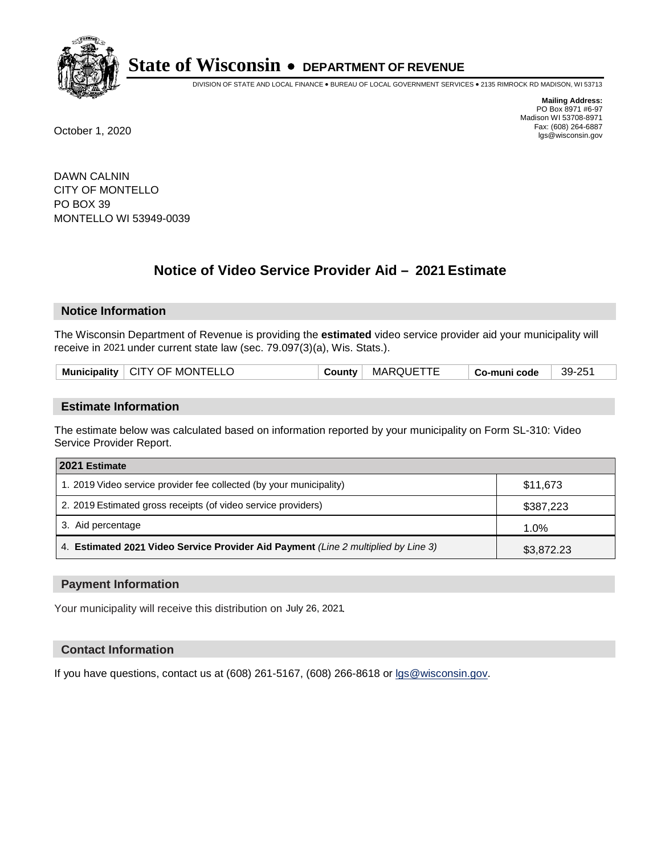

DIVISION OF STATE AND LOCAL FINANCE • BUREAU OF LOCAL GOVERNMENT SERVICES • 2135 RIMROCK RD MADISON, WI 53713

**Mailing Address:** PO Box 8971 #6-97 Madison WI 53708-8971<br>Fax: (608) 264-6887 Fax: (608) 264-6887 October 1, 2020 lgs@wisconsin.gov

DAWN CALNIN CITY OF MONTELLO PO BOX 39 MONTELLO WI 53949-0039

# **Notice of Video Service Provider Aid - 2021 Estimate**

## **Notice Information**

The Wisconsin Department of Revenue is providing the **estimated** video service provider aid your municipality will receive in 2021 under current state law (sec. 79.097(3)(a), Wis. Stats.).

| Municipality   CITY OF MONTELLO | County | <b>MARQUETTE</b> | Co-muni code | $39-25^{\circ}$ |
|---------------------------------|--------|------------------|--------------|-----------------|
|                                 |        |                  |              |                 |

#### **Estimate Information**

The estimate below was calculated based on information reported by your municipality on Form SL-310: Video Service Provider Report.

| 2021 Estimate                                                                      |            |
|------------------------------------------------------------------------------------|------------|
| 1. 2019 Video service provider fee collected (by your municipality)                | \$11,673   |
| 2. 2019 Estimated gross receipts (of video service providers)                      | \$387,223  |
| 3. Aid percentage                                                                  | 1.0%       |
| 4. Estimated 2021 Video Service Provider Aid Payment (Line 2 multiplied by Line 3) | \$3,872.23 |

#### **Payment Information**

Your municipality will receive this distribution on July 26, 2021.

## **Contact Information**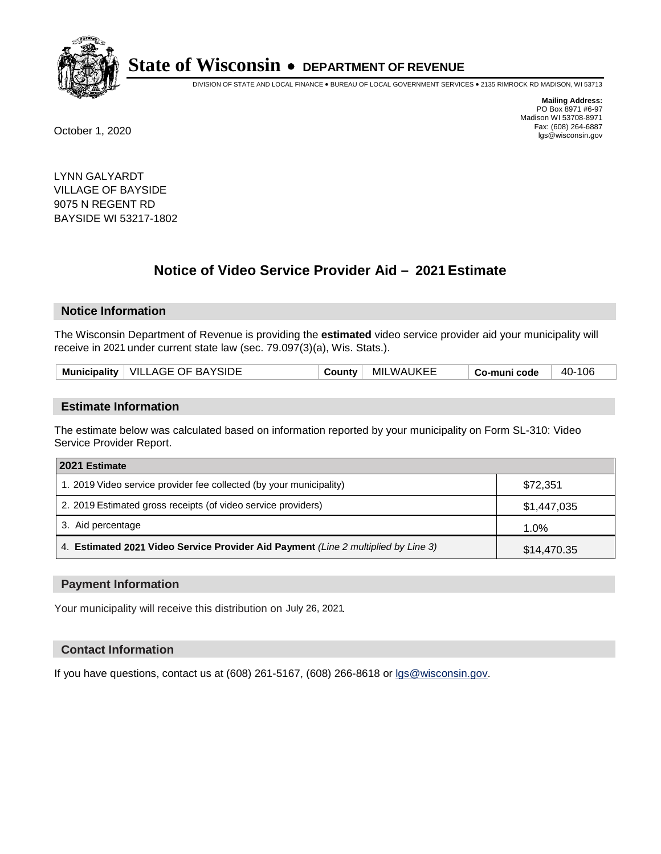

DIVISION OF STATE AND LOCAL FINANCE • BUREAU OF LOCAL GOVERNMENT SERVICES • 2135 RIMROCK RD MADISON, WI 53713

**Mailing Address:** PO Box 8971 #6-97 Madison WI 53708-8971<br>Fax: (608) 264-6887 Fax: (608) 264-6887 October 1, 2020 lgs@wisconsin.gov

LYNN GALYARDT VILLAGE OF BAYSIDE 9075 N REGENT RD BAYSIDE WI 53217-1802

# **Notice of Video Service Provider Aid - 2021 Estimate**

## **Notice Information**

The Wisconsin Department of Revenue is providing the **estimated** video service provider aid your municipality will receive in 2021 under current state law (sec. 79.097(3)(a), Wis. Stats.).

|--|

#### **Estimate Information**

The estimate below was calculated based on information reported by your municipality on Form SL-310: Video Service Provider Report.

| 2021 Estimate                                                                      |             |
|------------------------------------------------------------------------------------|-------------|
| 1. 2019 Video service provider fee collected (by your municipality)                | \$72,351    |
| 2. 2019 Estimated gross receipts (of video service providers)                      | \$1,447,035 |
| 3. Aid percentage                                                                  | 1.0%        |
| 4. Estimated 2021 Video Service Provider Aid Payment (Line 2 multiplied by Line 3) | \$14,470.35 |

#### **Payment Information**

Your municipality will receive this distribution on July 26, 2021.

## **Contact Information**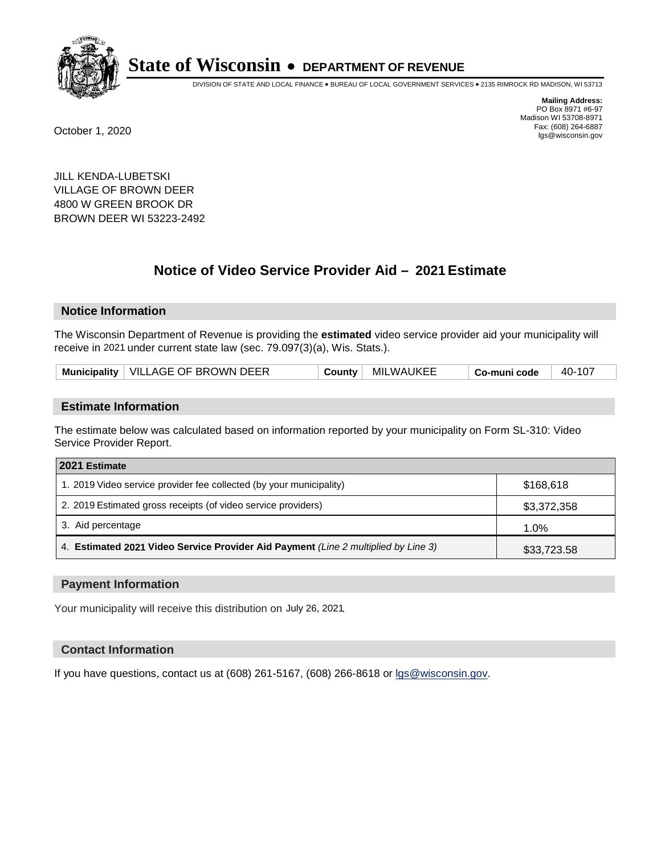

DIVISION OF STATE AND LOCAL FINANCE • BUREAU OF LOCAL GOVERNMENT SERVICES • 2135 RIMROCK RD MADISON, WI 53713

**Mailing Address:** PO Box 8971 #6-97 Madison WI 53708-8971<br>Fax: (608) 264-6887

Fax: (608) 264-6887 October 1, 2020 lgs@wisconsin.gov

JILL KENDA-LUBETSKI VILLAGE OF BROWN DEER 4800 W GREEN BROOK DR BROWN DEER WI 53223-2492

# **Notice of Video Service Provider Aid - 2021 Estimate**

# **Notice Information**

The Wisconsin Department of Revenue is providing the **estimated** video service provider aid your municipality will receive in 2021 under current state law (sec. 79.097(3)(a), Wis. Stats.).

| Municipality   VILLAGE OF BROWN DEER | Countv | MILWAUKEE | Co-muni code | 40-107 |
|--------------------------------------|--------|-----------|--------------|--------|
|--------------------------------------|--------|-----------|--------------|--------|

#### **Estimate Information**

The estimate below was calculated based on information reported by your municipality on Form SL-310: Video Service Provider Report.

| 2021 Estimate                                                                      |             |
|------------------------------------------------------------------------------------|-------------|
| 1. 2019 Video service provider fee collected (by your municipality)                | \$168.618   |
| 2. 2019 Estimated gross receipts (of video service providers)                      | \$3,372,358 |
| 3. Aid percentage                                                                  | $1.0\%$     |
| 4. Estimated 2021 Video Service Provider Aid Payment (Line 2 multiplied by Line 3) | \$33,723.58 |

#### **Payment Information**

Your municipality will receive this distribution on July 26, 2021.

## **Contact Information**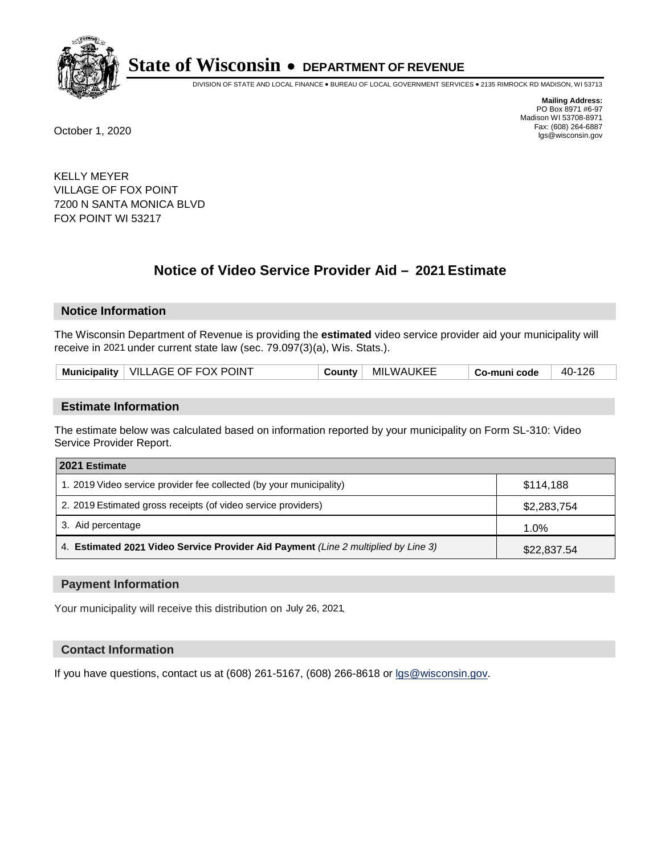

DIVISION OF STATE AND LOCAL FINANCE • BUREAU OF LOCAL GOVERNMENT SERVICES • 2135 RIMROCK RD MADISON, WI 53713

**Mailing Address:** PO Box 8971 #6-97 Madison WI 53708-8971<br>Fax: (608) 264-6887 Fax: (608) 264-6887 October 1, 2020 lgs@wisconsin.gov

KELLY MEYER VILLAGE OF FOX POINT 7200 N SANTA MONICA BLVD FOX POINT WI 53217

# **Notice of Video Service Provider Aid - 2021 Estimate**

## **Notice Information**

The Wisconsin Department of Revenue is providing the **estimated** video service provider aid your municipality will receive in 2021 under current state law (sec. 79.097(3)(a), Wis. Stats.).

| Municipality   VILLAGE OF FOX POINT | County | <b>MILWAUKEE</b> | Co-muni code | 40-126 |
|-------------------------------------|--------|------------------|--------------|--------|
|-------------------------------------|--------|------------------|--------------|--------|

#### **Estimate Information**

The estimate below was calculated based on information reported by your municipality on Form SL-310: Video Service Provider Report.

| 2021 Estimate                                                                      |             |
|------------------------------------------------------------------------------------|-------------|
| 1. 2019 Video service provider fee collected (by your municipality)                | \$114,188   |
| 2. 2019 Estimated gross receipts (of video service providers)                      | \$2,283,754 |
| 3. Aid percentage                                                                  | 1.0%        |
| 4. Estimated 2021 Video Service Provider Aid Payment (Line 2 multiplied by Line 3) | \$22,837.54 |

#### **Payment Information**

Your municipality will receive this distribution on July 26, 2021.

## **Contact Information**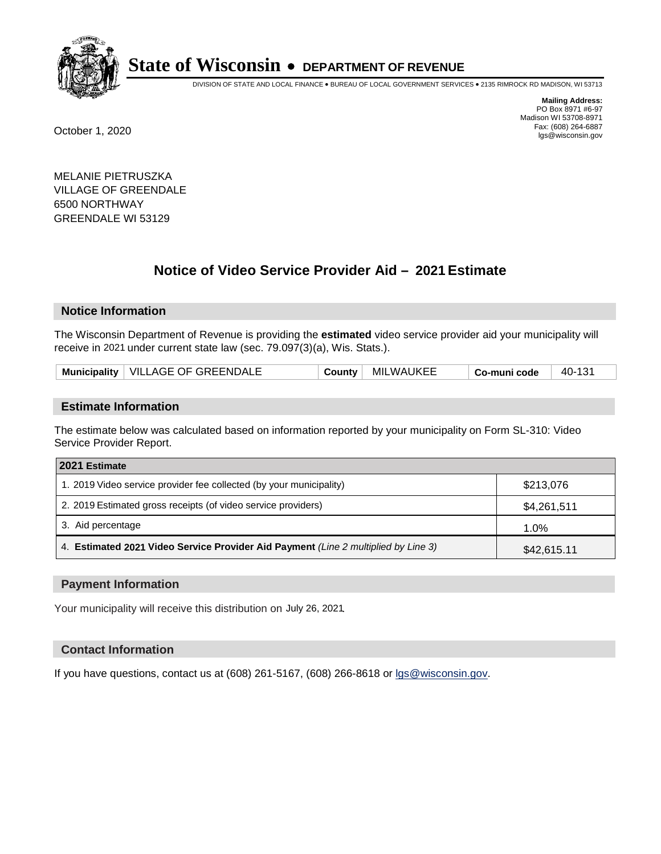

DIVISION OF STATE AND LOCAL FINANCE • BUREAU OF LOCAL GOVERNMENT SERVICES • 2135 RIMROCK RD MADISON, WI 53713

**Mailing Address:** PO Box 8971 #6-97 Madison WI 53708-8971<br>Fax: (608) 264-6887 Fax: (608) 264-6887 October 1, 2020 lgs@wisconsin.gov

MELANIE PIETRUSZKA VILLAGE OF GREENDALE 6500 NORTHWAY GREENDALE WI 53129

# **Notice of Video Service Provider Aid - 2021 Estimate**

## **Notice Information**

The Wisconsin Department of Revenue is providing the **estimated** video service provider aid your municipality will receive in 2021 under current state law (sec. 79.097(3)(a), Wis. Stats.).

| Municipality   VILLAGE OF GREENDALE | County | <b>MILWAUKEE</b> | Co-muni code | 40-131 |
|-------------------------------------|--------|------------------|--------------|--------|
|-------------------------------------|--------|------------------|--------------|--------|

#### **Estimate Information**

The estimate below was calculated based on information reported by your municipality on Form SL-310: Video Service Provider Report.

| 2021 Estimate                                                                      |             |
|------------------------------------------------------------------------------------|-------------|
| 1. 2019 Video service provider fee collected (by your municipality)                | \$213,076   |
| 2. 2019 Estimated gross receipts (of video service providers)                      | \$4,261,511 |
| 3. Aid percentage                                                                  | 1.0%        |
| 4. Estimated 2021 Video Service Provider Aid Payment (Line 2 multiplied by Line 3) | \$42,615.11 |

#### **Payment Information**

Your municipality will receive this distribution on July 26, 2021.

## **Contact Information**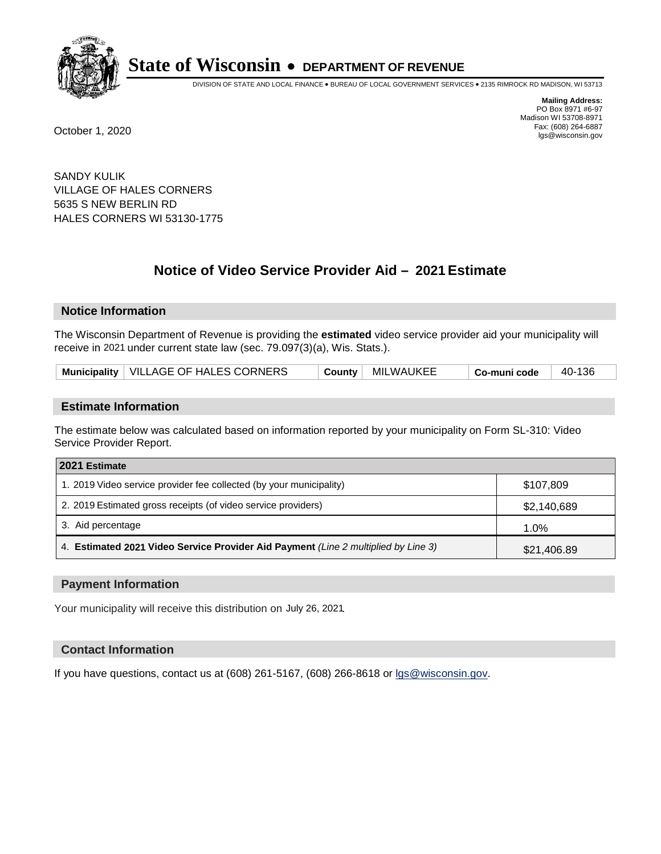

DIVISION OF STATE AND LOCAL FINANCE • BUREAU OF LOCAL GOVERNMENT SERVICES • 2135 RIMROCK RD MADISON, WI 53713

**Mailing Address:** PO Box 8971 #6-97 Madison WI 53708-8971<br>Fax: (608) 264-6887 Fax: (608) 264-6887 October 1, 2020 lgs@wisconsin.gov

SANDY KULIK VILLAGE OF HALES CORNERS 5635 S NEW BERLIN RD HALES CORNERS WI 53130-1775

# **Notice of Video Service Provider Aid - 2021 Estimate**

## **Notice Information**

The Wisconsin Department of Revenue is providing the **estimated** video service provider aid your municipality will receive in 2021 under current state law (sec. 79.097(3)(a), Wis. Stats.).

| Municipality   VILLAGE OF HALES CORNERS |  | County   MILWAUKEE | Co-muni code | 40-136 |
|-----------------------------------------|--|--------------------|--------------|--------|
|-----------------------------------------|--|--------------------|--------------|--------|

#### **Estimate Information**

The estimate below was calculated based on information reported by your municipality on Form SL-310: Video Service Provider Report.

| 2021 Estimate                                                                      |             |
|------------------------------------------------------------------------------------|-------------|
| 1. 2019 Video service provider fee collected (by your municipality)                | \$107,809   |
| 2. 2019 Estimated gross receipts (of video service providers)                      | \$2,140,689 |
| 3. Aid percentage                                                                  | 1.0%        |
| 4. Estimated 2021 Video Service Provider Aid Payment (Line 2 multiplied by Line 3) | \$21,406.89 |

#### **Payment Information**

Your municipality will receive this distribution on July 26, 2021.

## **Contact Information**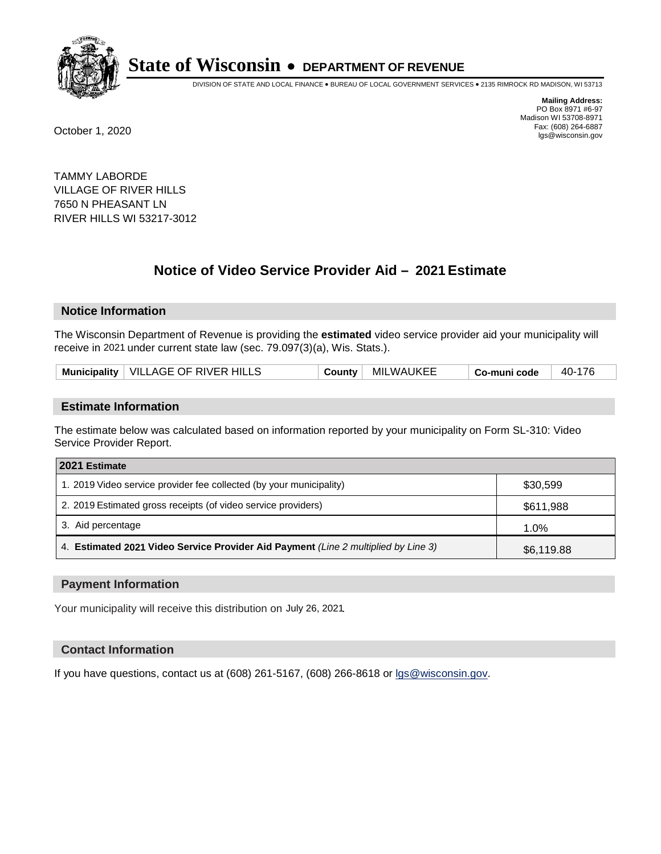

DIVISION OF STATE AND LOCAL FINANCE • BUREAU OF LOCAL GOVERNMENT SERVICES • 2135 RIMROCK RD MADISON, WI 53713

**Mailing Address:** PO Box 8971 #6-97 Madison WI 53708-8971<br>Fax: (608) 264-6887 Fax: (608) 264-6887 October 1, 2020 lgs@wisconsin.gov

TAMMY LABORDE VILLAGE OF RIVER HILLS 7650 N PHEASANT LN RIVER HILLS WI 53217-3012

# **Notice of Video Service Provider Aid - 2021 Estimate**

## **Notice Information**

The Wisconsin Department of Revenue is providing the **estimated** video service provider aid your municipality will receive in 2021 under current state law (sec. 79.097(3)(a), Wis. Stats.).

| Municipality   VILLAGE OF RIVER HILLS | Countv | MILWAUKEE | Co-muni code | 40-176 |
|---------------------------------------|--------|-----------|--------------|--------|
|---------------------------------------|--------|-----------|--------------|--------|

#### **Estimate Information**

The estimate below was calculated based on information reported by your municipality on Form SL-310: Video Service Provider Report.

| 2021 Estimate                                                                      |            |
|------------------------------------------------------------------------------------|------------|
| 1. 2019 Video service provider fee collected (by your municipality)                | \$30,599   |
| 2. 2019 Estimated gross receipts (of video service providers)                      | \$611,988  |
| 3. Aid percentage                                                                  | 1.0%       |
| 4. Estimated 2021 Video Service Provider Aid Payment (Line 2 multiplied by Line 3) | \$6,119.88 |

#### **Payment Information**

Your municipality will receive this distribution on July 26, 2021.

## **Contact Information**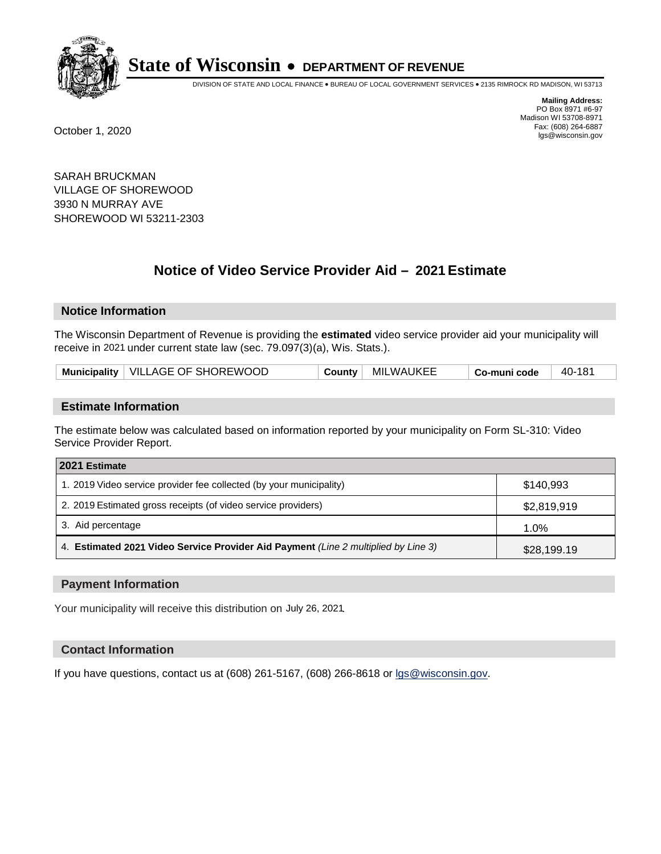

DIVISION OF STATE AND LOCAL FINANCE • BUREAU OF LOCAL GOVERNMENT SERVICES • 2135 RIMROCK RD MADISON, WI 53713

**Mailing Address:** PO Box 8971 #6-97 Madison WI 53708-8971<br>Fax: (608) 264-6887 Fax: (608) 264-6887 October 1, 2020 lgs@wisconsin.gov

SARAH BRUCKMAN VILLAGE OF SHOREWOOD 3930 N MURRAY AVE SHOREWOOD WI 53211-2303

# **Notice of Video Service Provider Aid - 2021 Estimate**

# **Notice Information**

The Wisconsin Department of Revenue is providing the **estimated** video service provider aid your municipality will receive in 2021 under current state law (sec. 79.097(3)(a), Wis. Stats.).

| Municipality   VILLAGE OF SHOREWOOD | County | MILWAUKEE | <b>ˈ Co-muni code</b> | 40-181 |
|-------------------------------------|--------|-----------|-----------------------|--------|
|-------------------------------------|--------|-----------|-----------------------|--------|

#### **Estimate Information**

The estimate below was calculated based on information reported by your municipality on Form SL-310: Video Service Provider Report.

| 2021 Estimate                                                                      |             |
|------------------------------------------------------------------------------------|-------------|
| 1. 2019 Video service provider fee collected (by your municipality)                | \$140.993   |
| 2. 2019 Estimated gross receipts (of video service providers)                      | \$2,819,919 |
| 3. Aid percentage                                                                  | 1.0%        |
| 4. Estimated 2021 Video Service Provider Aid Payment (Line 2 multiplied by Line 3) | \$28,199.19 |

#### **Payment Information**

Your municipality will receive this distribution on July 26, 2021.

## **Contact Information**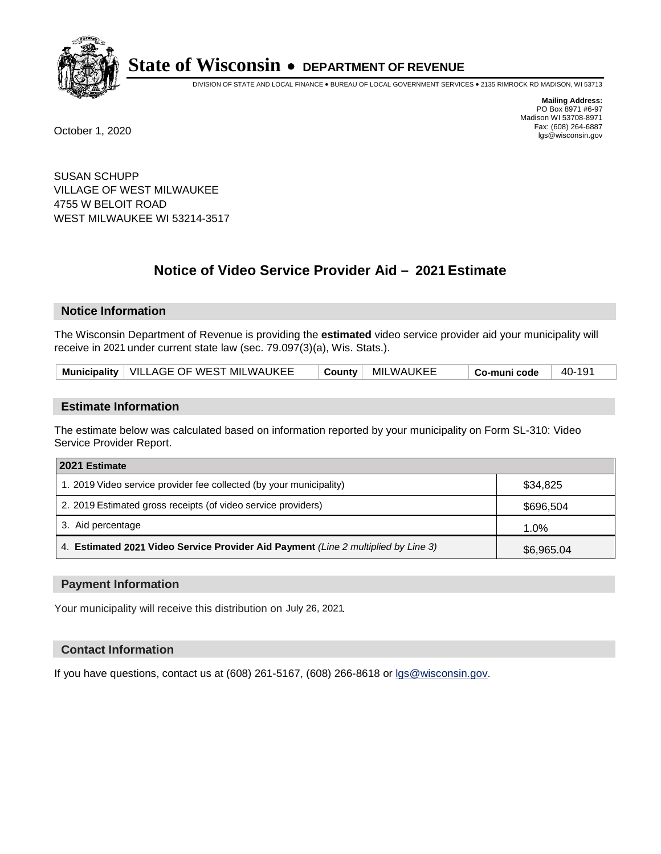

DIVISION OF STATE AND LOCAL FINANCE • BUREAU OF LOCAL GOVERNMENT SERVICES • 2135 RIMROCK RD MADISON, WI 53713

**Mailing Address:** PO Box 8971 #6-97 Madison WI 53708-8971<br>Fax: (608) 264-6887 Fax: (608) 264-6887 October 1, 2020 lgs@wisconsin.gov

SUSAN SCHUPP VILLAGE OF WEST MILWAUKEE 4755 W BELOIT ROAD WEST MILWAUKEE WI 53214-3517

# **Notice of Video Service Provider Aid - 2021 Estimate**

## **Notice Information**

The Wisconsin Department of Revenue is providing the **estimated** video service provider aid your municipality will receive in 2021 under current state law (sec. 79.097(3)(a), Wis. Stats.).

| Municipality   VILLAGE OF WEST MILWAUKEE | County | MILWAUKEE | <b>ˈ Co-muni code</b> | 40-191 |
|------------------------------------------|--------|-----------|-----------------------|--------|
|------------------------------------------|--------|-----------|-----------------------|--------|

#### **Estimate Information**

The estimate below was calculated based on information reported by your municipality on Form SL-310: Video Service Provider Report.

| 2021 Estimate                                                                      |            |
|------------------------------------------------------------------------------------|------------|
| 1. 2019 Video service provider fee collected (by your municipality)                | \$34.825   |
| 2. 2019 Estimated gross receipts (of video service providers)                      | \$696,504  |
| 3. Aid percentage                                                                  | $1.0\%$    |
| 4. Estimated 2021 Video Service Provider Aid Payment (Line 2 multiplied by Line 3) | \$6,965.04 |

#### **Payment Information**

Your municipality will receive this distribution on July 26, 2021.

## **Contact Information**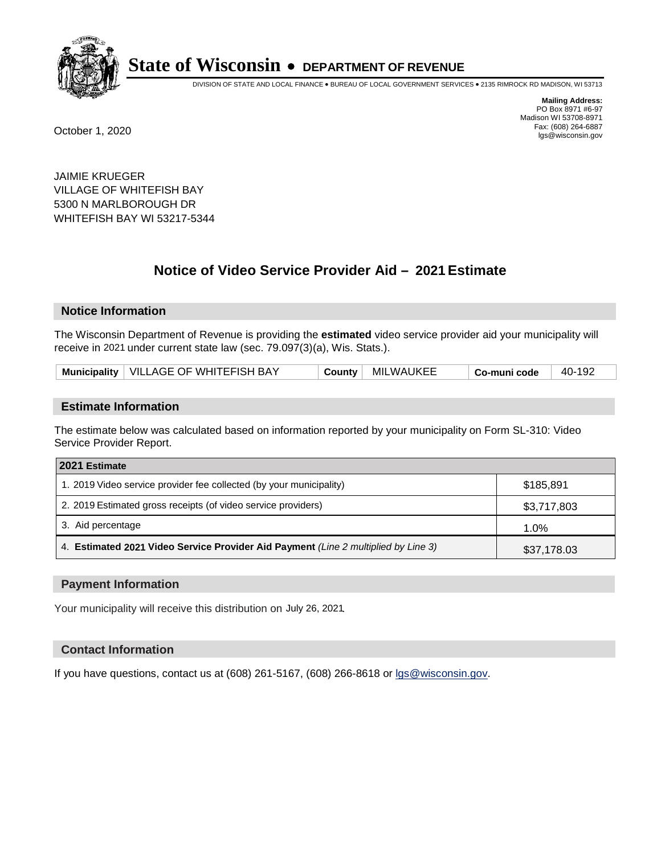

DIVISION OF STATE AND LOCAL FINANCE • BUREAU OF LOCAL GOVERNMENT SERVICES • 2135 RIMROCK RD MADISON, WI 53713

**Mailing Address:** PO Box 8971 #6-97 Madison WI 53708-8971<br>Fax: (608) 264-6887 Fax: (608) 264-6887 October 1, 2020 lgs@wisconsin.gov

JAIMIE KRUEGER VILLAGE OF WHITEFISH BAY 5300 N MARLBOROUGH DR WHITEFISH BAY WI 53217-5344

# **Notice of Video Service Provider Aid - 2021 Estimate**

## **Notice Information**

The Wisconsin Department of Revenue is providing the **estimated** video service provider aid your municipality will receive in 2021 under current state law (sec. 79.097(3)(a), Wis. Stats.).

| Municipality   VILLAGE OF WHITEFISH BAY | <b>County</b> | MILWAUKEE | Co-muni code | 40-192 |
|-----------------------------------------|---------------|-----------|--------------|--------|
|-----------------------------------------|---------------|-----------|--------------|--------|

#### **Estimate Information**

The estimate below was calculated based on information reported by your municipality on Form SL-310: Video Service Provider Report.

| 2021 Estimate                                                                      |             |
|------------------------------------------------------------------------------------|-------------|
| 1. 2019 Video service provider fee collected (by your municipality)                | \$185.891   |
| 2. 2019 Estimated gross receipts (of video service providers)                      | \$3,717,803 |
| 3. Aid percentage                                                                  | 1.0%        |
| 4. Estimated 2021 Video Service Provider Aid Payment (Line 2 multiplied by Line 3) | \$37,178.03 |

#### **Payment Information**

Your municipality will receive this distribution on July 26, 2021.

## **Contact Information**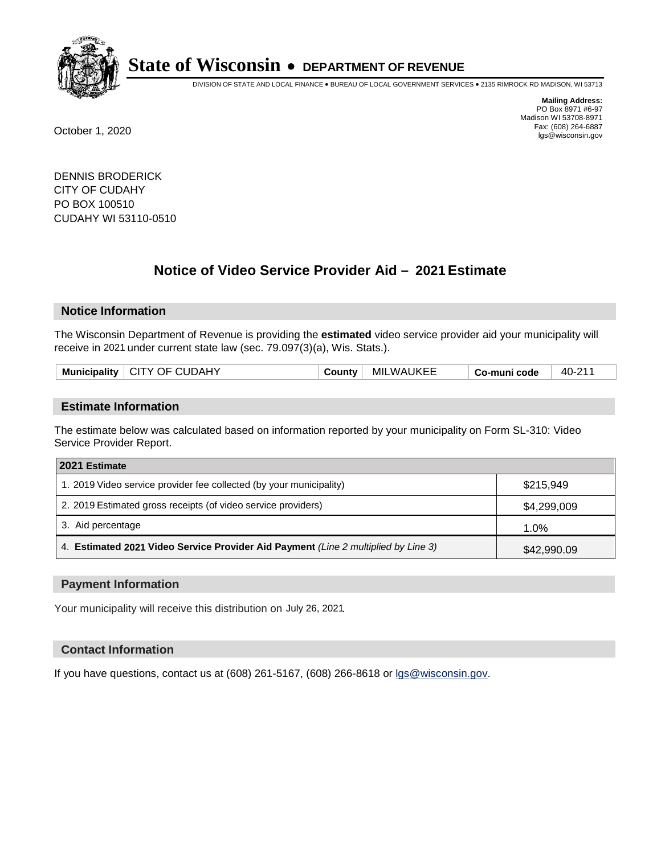

DIVISION OF STATE AND LOCAL FINANCE • BUREAU OF LOCAL GOVERNMENT SERVICES • 2135 RIMROCK RD MADISON, WI 53713

**Mailing Address:** PO Box 8971 #6-97 Madison WI 53708-8971<br>Fax: (608) 264-6887 Fax: (608) 264-6887 October 1, 2020 lgs@wisconsin.gov

DENNIS BRODERICK CITY OF CUDAHY PO BOX 100510 CUDAHY WI 53110-0510

# **Notice of Video Service Provider Aid - 2021 Estimate**

## **Notice Information**

The Wisconsin Department of Revenue is providing the **estimated** video service provider aid your municipality will receive in 2021 under current state law (sec. 79.097(3)(a), Wis. Stats.).

|--|

#### **Estimate Information**

The estimate below was calculated based on information reported by your municipality on Form SL-310: Video Service Provider Report.

| 2021 Estimate                                                                      |             |
|------------------------------------------------------------------------------------|-------------|
| 1. 2019 Video service provider fee collected (by your municipality)                | \$215.949   |
| 2. 2019 Estimated gross receipts (of video service providers)                      | \$4,299,009 |
| 3. Aid percentage                                                                  | 1.0%        |
| 4. Estimated 2021 Video Service Provider Aid Payment (Line 2 multiplied by Line 3) | \$42,990.09 |

#### **Payment Information**

Your municipality will receive this distribution on July 26, 2021.

## **Contact Information**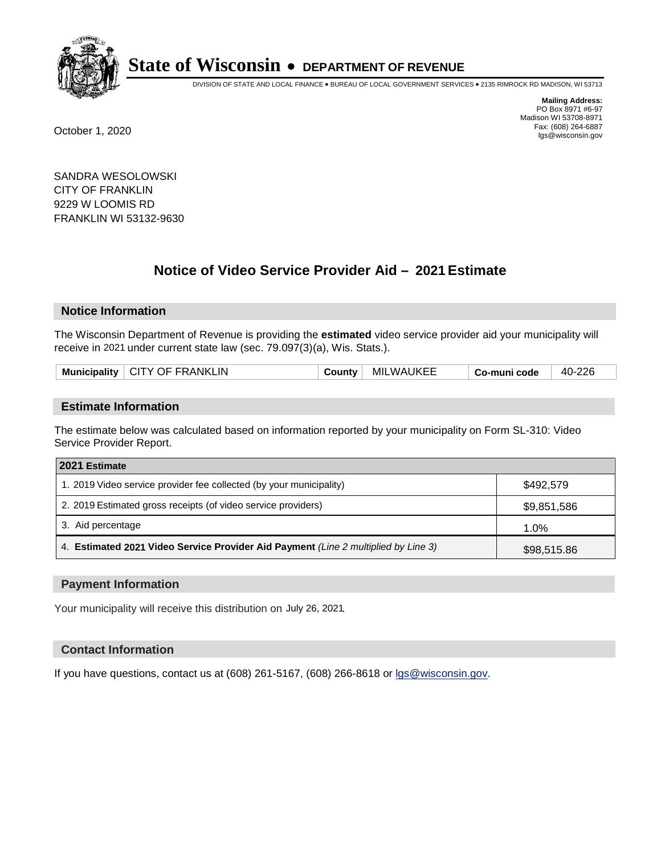

DIVISION OF STATE AND LOCAL FINANCE • BUREAU OF LOCAL GOVERNMENT SERVICES • 2135 RIMROCK RD MADISON, WI 53713

**Mailing Address:** PO Box 8971 #6-97 Madison WI 53708-8971<br>Fax: (608) 264-6887 Fax: (608) 264-6887 October 1, 2020 lgs@wisconsin.gov

SANDRA WESOLOWSKI CITY OF FRANKLIN 9229 W LOOMIS RD FRANKLIN WI 53132-9630

# **Notice of Video Service Provider Aid - 2021 Estimate**

## **Notice Information**

The Wisconsin Department of Revenue is providing the **estimated** video service provider aid your municipality will receive in 2021 under current state law (sec. 79.097(3)(a), Wis. Stats.).

| Municipality   CITY OF FRANKLIN | ∵ountvٽ | <b>MILWAUKEE</b> | Co-muni code | 40-226 |
|---------------------------------|---------|------------------|--------------|--------|
|                                 |         |                  |              |        |

#### **Estimate Information**

The estimate below was calculated based on information reported by your municipality on Form SL-310: Video Service Provider Report.

| 2021 Estimate                                                                      |             |  |  |  |
|------------------------------------------------------------------------------------|-------------|--|--|--|
| 1. 2019 Video service provider fee collected (by your municipality)                | \$492.579   |  |  |  |
| 2. 2019 Estimated gross receipts (of video service providers)                      | \$9,851,586 |  |  |  |
| 3. Aid percentage                                                                  | 1.0%        |  |  |  |
| 4. Estimated 2021 Video Service Provider Aid Payment (Line 2 multiplied by Line 3) | \$98,515.86 |  |  |  |

#### **Payment Information**

Your municipality will receive this distribution on July 26, 2021.

## **Contact Information**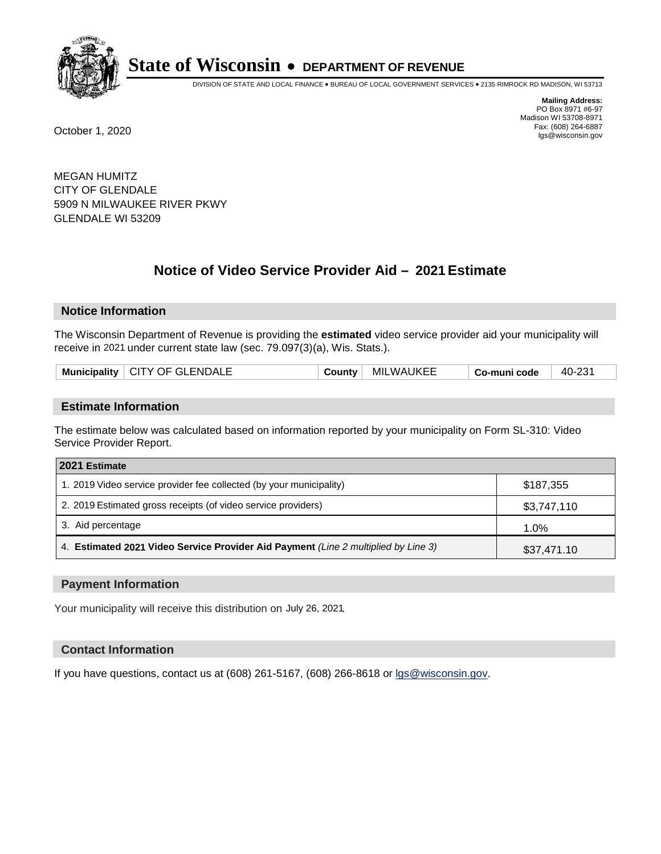

DIVISION OF STATE AND LOCAL FINANCE • BUREAU OF LOCAL GOVERNMENT SERVICES • 2135 RIMROCK RD MADISON, WI 53713

**Mailing Address:** PO Box 8971 #6-97 Madison WI 53708-8971<br>Fax: (608) 264-6887 Fax: (608) 264-6887 October 1, 2020 lgs@wisconsin.gov

MEGAN HUMITZ CITY OF GLENDALE 5909 N MILWAUKEE RIVER PKWY GLENDALE WI 53209

# **Notice of Video Service Provider Aid - 2021 Estimate**

## **Notice Information**

The Wisconsin Department of Revenue is providing the **estimated** video service provider aid your municipality will receive in 2021 under current state law (sec. 79.097(3)(a), Wis. Stats.).

|--|

#### **Estimate Information**

The estimate below was calculated based on information reported by your municipality on Form SL-310: Video Service Provider Report.

| 2021 Estimate                                                                      |             |  |  |  |
|------------------------------------------------------------------------------------|-------------|--|--|--|
| 1. 2019 Video service provider fee collected (by your municipality)                | \$187.355   |  |  |  |
| 2. 2019 Estimated gross receipts (of video service providers)                      | \$3,747,110 |  |  |  |
| 3. Aid percentage                                                                  | 1.0%        |  |  |  |
| 4. Estimated 2021 Video Service Provider Aid Payment (Line 2 multiplied by Line 3) | \$37,471.10 |  |  |  |

#### **Payment Information**

Your municipality will receive this distribution on July 26, 2021.

## **Contact Information**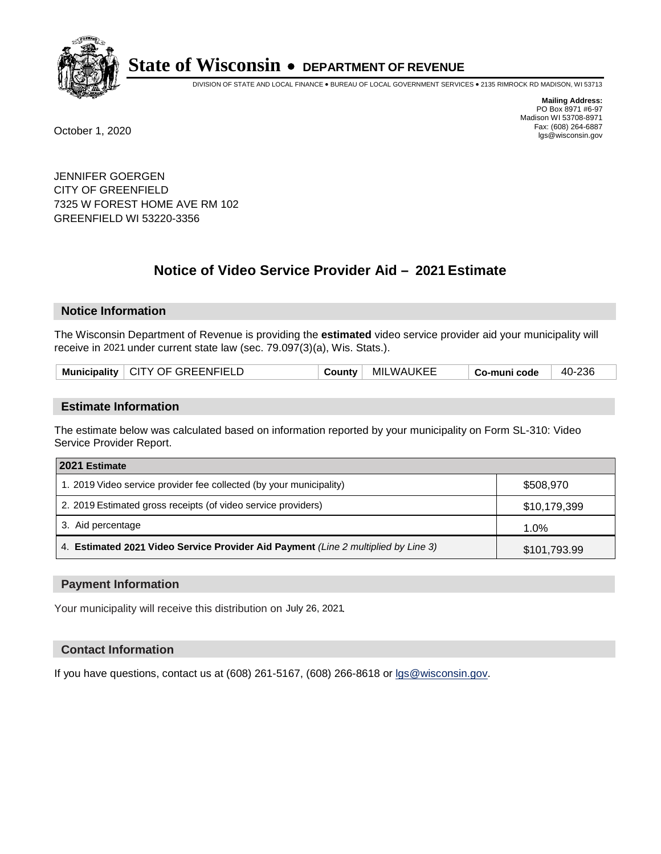

DIVISION OF STATE AND LOCAL FINANCE • BUREAU OF LOCAL GOVERNMENT SERVICES • 2135 RIMROCK RD MADISON, WI 53713

**Mailing Address:** PO Box 8971 #6-97 Madison WI 53708-8971<br>Fax: (608) 264-6887 Fax: (608) 264-6887 October 1, 2020 lgs@wisconsin.gov

JENNIFER GOERGEN CITY OF GREENFIELD 7325 W FOREST HOME AVE RM 102 GREENFIELD WI 53220-3356

# **Notice of Video Service Provider Aid - 2021 Estimate**

## **Notice Information**

The Wisconsin Department of Revenue is providing the **estimated** video service provider aid your municipality will receive in 2021 under current state law (sec. 79.097(3)(a), Wis. Stats.).

| Municipality   CITY OF GREENFIELD | Countv ˈ | MILWAUKEE | Co-muni code | 40-236 |
|-----------------------------------|----------|-----------|--------------|--------|
|-----------------------------------|----------|-----------|--------------|--------|

#### **Estimate Information**

The estimate below was calculated based on information reported by your municipality on Form SL-310: Video Service Provider Report.

| 2021 Estimate                                                                      |              |  |  |  |
|------------------------------------------------------------------------------------|--------------|--|--|--|
| 1. 2019 Video service provider fee collected (by your municipality)                | \$508,970    |  |  |  |
| 2. 2019 Estimated gross receipts (of video service providers)                      | \$10,179,399 |  |  |  |
| 3. Aid percentage                                                                  | $1.0\%$      |  |  |  |
| 4. Estimated 2021 Video Service Provider Aid Payment (Line 2 multiplied by Line 3) | \$101,793.99 |  |  |  |

#### **Payment Information**

Your municipality will receive this distribution on July 26, 2021.

## **Contact Information**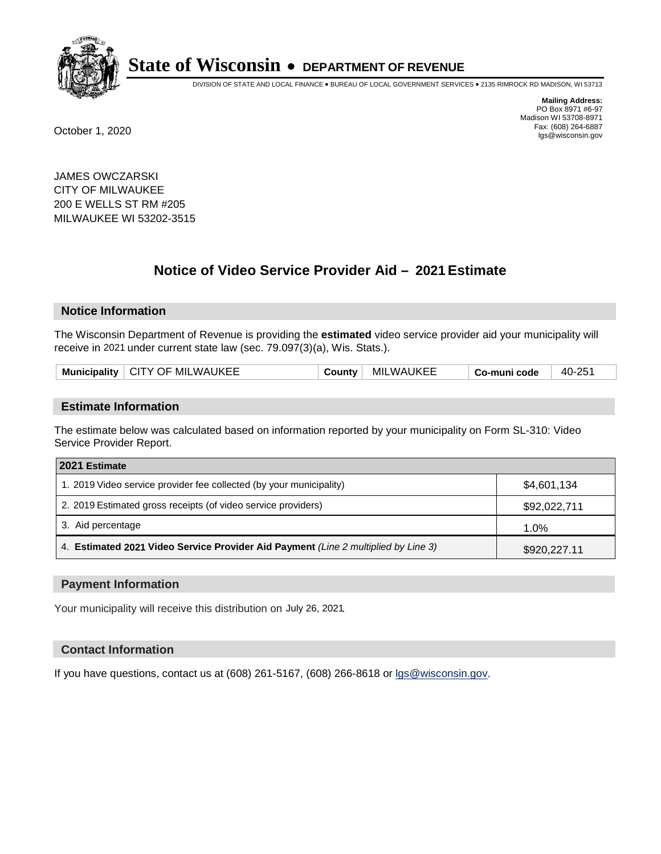

DIVISION OF STATE AND LOCAL FINANCE • BUREAU OF LOCAL GOVERNMENT SERVICES • 2135 RIMROCK RD MADISON, WI 53713

**Mailing Address:** PO Box 8971 #6-97 Madison WI 53708-8971<br>Fax: (608) 264-6887 Fax: (608) 264-6887 October 1, 2020 lgs@wisconsin.gov

JAMES OWCZARSKI CITY OF MILWAUKEE 200 E WELLS ST RM #205 MILWAUKEE WI 53202-3515

# **Notice of Video Service Provider Aid - 2021 Estimate**

## **Notice Information**

The Wisconsin Department of Revenue is providing the **estimated** video service provider aid your municipality will receive in 2021 under current state law (sec. 79.097(3)(a), Wis. Stats.).

| $\parallel$ CITY OF MILWAUKEE<br><b>MILWAUKEE</b><br>40-25<br><b>Municipality</b><br>∵ountvٽ<br>Co-muni code |  |
|--------------------------------------------------------------------------------------------------------------|--|
|--------------------------------------------------------------------------------------------------------------|--|

#### **Estimate Information**

The estimate below was calculated based on information reported by your municipality on Form SL-310: Video Service Provider Report.

| 2021 Estimate                                                                      |              |  |  |  |
|------------------------------------------------------------------------------------|--------------|--|--|--|
| 1. 2019 Video service provider fee collected (by your municipality)                | \$4,601,134  |  |  |  |
| 2. 2019 Estimated gross receipts (of video service providers)                      | \$92,022,711 |  |  |  |
| 3. Aid percentage                                                                  | 1.0%         |  |  |  |
| 4. Estimated 2021 Video Service Provider Aid Payment (Line 2 multiplied by Line 3) | \$920,227.11 |  |  |  |

#### **Payment Information**

Your municipality will receive this distribution on July 26, 2021.

## **Contact Information**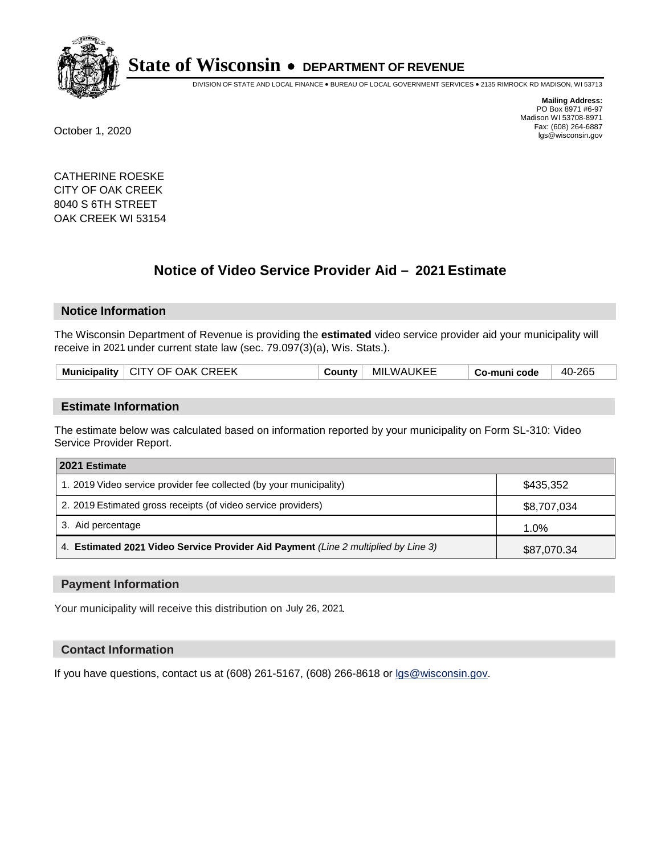

DIVISION OF STATE AND LOCAL FINANCE • BUREAU OF LOCAL GOVERNMENT SERVICES • 2135 RIMROCK RD MADISON, WI 53713

**Mailing Address:** PO Box 8971 #6-97 Madison WI 53708-8971<br>Fax: (608) 264-6887 Fax: (608) 264-6887 October 1, 2020 lgs@wisconsin.gov

CATHERINE ROESKE CITY OF OAK CREEK 8040 S 6TH STREET OAK CREEK WI 53154

# **Notice of Video Service Provider Aid - 2021 Estimate**

## **Notice Information**

The Wisconsin Department of Revenue is providing the **estimated** video service provider aid your municipality will receive in 2021 under current state law (sec. 79.097(3)(a), Wis. Stats.).

| Municipality   CITY OF OAK CREEK | <b>County</b> | MILWAUKEE | Co-muni code | 40-265 |
|----------------------------------|---------------|-----------|--------------|--------|
|----------------------------------|---------------|-----------|--------------|--------|

#### **Estimate Information**

The estimate below was calculated based on information reported by your municipality on Form SL-310: Video Service Provider Report.

| 2021 Estimate                                                                      |             |  |  |  |
|------------------------------------------------------------------------------------|-------------|--|--|--|
| 1. 2019 Video service provider fee collected (by your municipality)                | \$435,352   |  |  |  |
| 2. 2019 Estimated gross receipts (of video service providers)                      | \$8,707,034 |  |  |  |
| 3. Aid percentage                                                                  | 1.0%        |  |  |  |
| 4. Estimated 2021 Video Service Provider Aid Payment (Line 2 multiplied by Line 3) | \$87,070.34 |  |  |  |

#### **Payment Information**

Your municipality will receive this distribution on July 26, 2021.

## **Contact Information**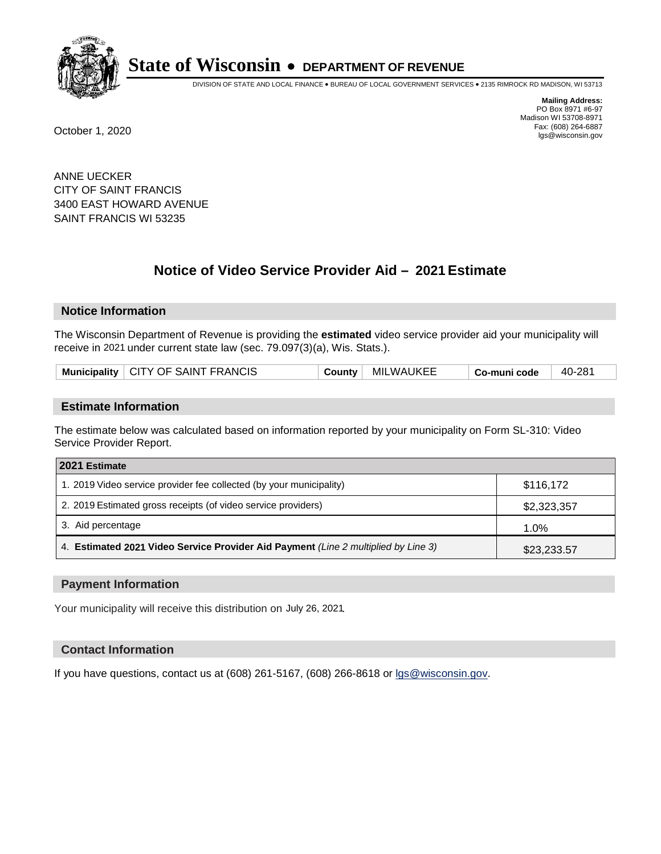

DIVISION OF STATE AND LOCAL FINANCE • BUREAU OF LOCAL GOVERNMENT SERVICES • 2135 RIMROCK RD MADISON, WI 53713

**Mailing Address:** PO Box 8971 #6-97 Madison WI 53708-8971<br>Fax: (608) 264-6887 Fax: (608) 264-6887 October 1, 2020 lgs@wisconsin.gov

ANNE UECKER CITY OF SAINT FRANCIS 3400 EAST HOWARD AVENUE SAINT FRANCIS WI 53235

# **Notice of Video Service Provider Aid - 2021 Estimate**

## **Notice Information**

The Wisconsin Department of Revenue is providing the **estimated** video service provider aid your municipality will receive in 2021 under current state law (sec. 79.097(3)(a), Wis. Stats.).

| Municipality   CITY OF SAINT FRANCIS | County | MILWAUKEE | Co-muni code | 40-281 |
|--------------------------------------|--------|-----------|--------------|--------|
|--------------------------------------|--------|-----------|--------------|--------|

#### **Estimate Information**

The estimate below was calculated based on information reported by your municipality on Form SL-310: Video Service Provider Report.

| 2021 Estimate                                                                      |             |  |  |  |
|------------------------------------------------------------------------------------|-------------|--|--|--|
| 1. 2019 Video service provider fee collected (by your municipality)                | \$116,172   |  |  |  |
| 2. 2019 Estimated gross receipts (of video service providers)                      | \$2,323,357 |  |  |  |
| 3. Aid percentage                                                                  | 1.0%        |  |  |  |
| 4. Estimated 2021 Video Service Provider Aid Payment (Line 2 multiplied by Line 3) | \$23,233.57 |  |  |  |

#### **Payment Information**

Your municipality will receive this distribution on July 26, 2021.

## **Contact Information**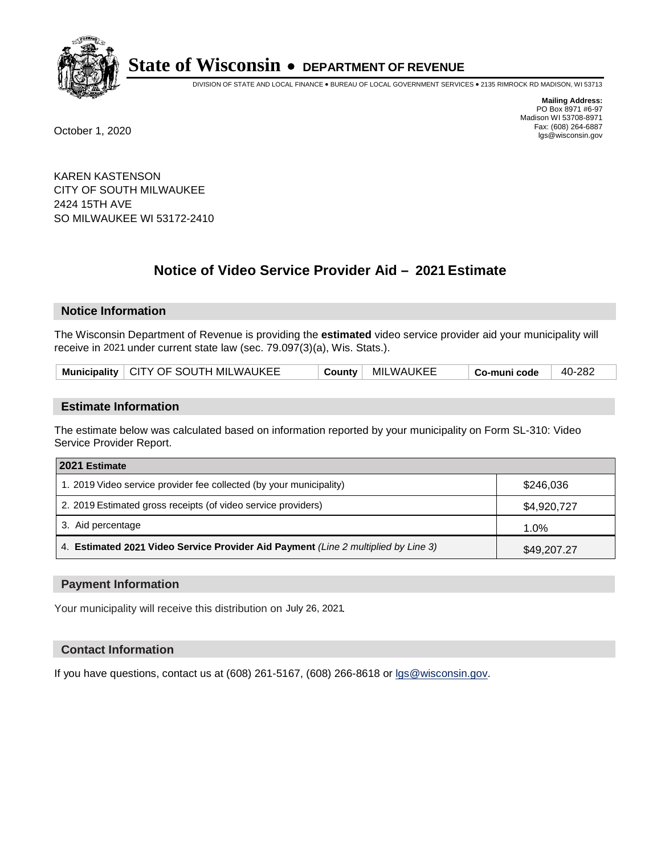

DIVISION OF STATE AND LOCAL FINANCE • BUREAU OF LOCAL GOVERNMENT SERVICES • 2135 RIMROCK RD MADISON, WI 53713

**Mailing Address:** PO Box 8971 #6-97 Madison WI 53708-8971<br>Fax: (608) 264-6887 Fax: (608) 264-6887 October 1, 2020 lgs@wisconsin.gov

KAREN KASTENSON CITY OF SOUTH MILWAUKEE 2424 15TH AVE SO MILWAUKEE WI 53172-2410

# **Notice of Video Service Provider Aid - 2021 Estimate**

## **Notice Information**

The Wisconsin Department of Revenue is providing the **estimated** video service provider aid your municipality will receive in 2021 under current state law (sec. 79.097(3)(a), Wis. Stats.).

| Municipality   CITY OF SOUTH MILWAUKEE | <b>County</b> | MILWAUKEE | Co-muni code | 40-282 |
|----------------------------------------|---------------|-----------|--------------|--------|
|----------------------------------------|---------------|-----------|--------------|--------|

#### **Estimate Information**

The estimate below was calculated based on information reported by your municipality on Form SL-310: Video Service Provider Report.

| 2021 Estimate                                                                      |             |
|------------------------------------------------------------------------------------|-------------|
| 1. 2019 Video service provider fee collected (by your municipality)                | \$246,036   |
| 2. 2019 Estimated gross receipts (of video service providers)                      | \$4,920,727 |
| 3. Aid percentage                                                                  | 1.0%        |
| 4. Estimated 2021 Video Service Provider Aid Payment (Line 2 multiplied by Line 3) | \$49,207.27 |

#### **Payment Information**

Your municipality will receive this distribution on July 26, 2021.

## **Contact Information**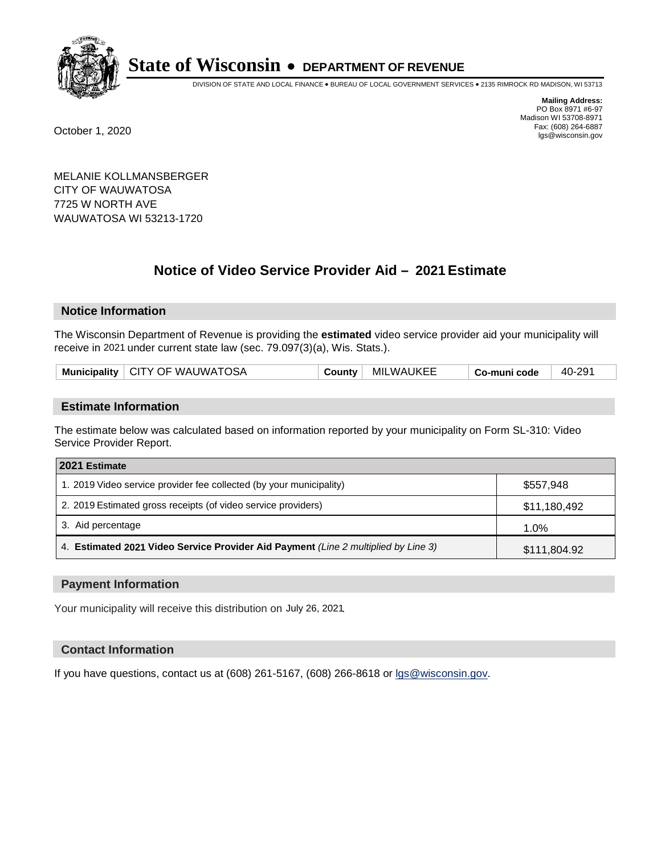

DIVISION OF STATE AND LOCAL FINANCE • BUREAU OF LOCAL GOVERNMENT SERVICES • 2135 RIMROCK RD MADISON, WI 53713

**Mailing Address:** PO Box 8971 #6-97 Madison WI 53708-8971<br>Fax: (608) 264-6887 Fax: (608) 264-6887 October 1, 2020 lgs@wisconsin.gov

MELANIE KOLLMANSBERGER CITY OF WAUWATOSA 7725 W NORTH AVE WAUWATOSA WI 53213-1720

# **Notice of Video Service Provider Aid - 2021 Estimate**

# **Notice Information**

The Wisconsin Department of Revenue is providing the **estimated** video service provider aid your municipality will receive in 2021 under current state law (sec. 79.097(3)(a), Wis. Stats.).

| Municipality   CITY OF WAUWATOSA<br><b>MILWAUKEE</b><br>County | 40-291<br>Co-muni code |
|----------------------------------------------------------------|------------------------|
|----------------------------------------------------------------|------------------------|

## **Estimate Information**

The estimate below was calculated based on information reported by your municipality on Form SL-310: Video Service Provider Report.

| 2021 Estimate                                                                      |              |
|------------------------------------------------------------------------------------|--------------|
| 1. 2019 Video service provider fee collected (by your municipality)                | \$557.948    |
| 2. 2019 Estimated gross receipts (of video service providers)                      | \$11,180,492 |
| 3. Aid percentage                                                                  | $1.0\%$      |
| 4. Estimated 2021 Video Service Provider Aid Payment (Line 2 multiplied by Line 3) | \$111,804.92 |

## **Payment Information**

Your municipality will receive this distribution on July 26, 2021.

## **Contact Information**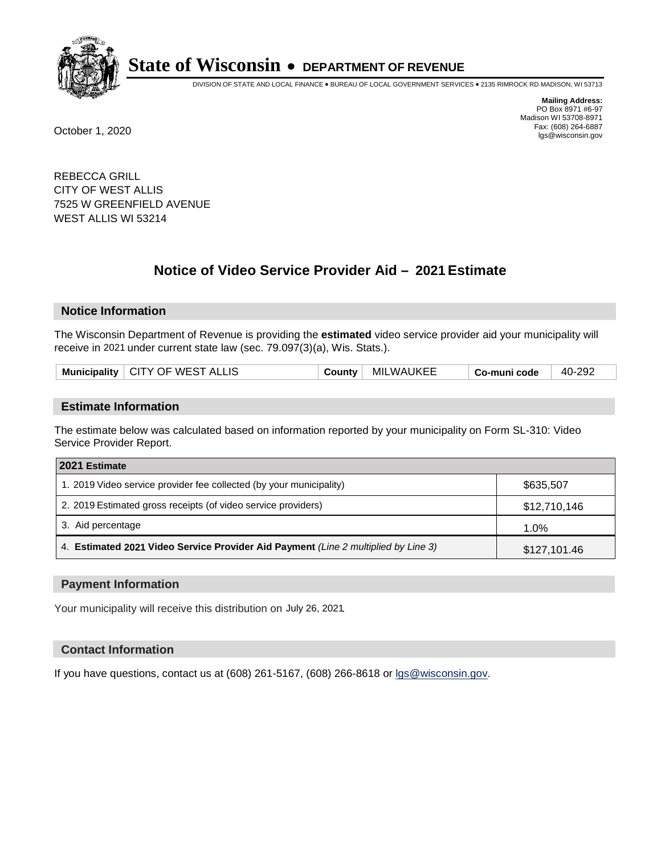

DIVISION OF STATE AND LOCAL FINANCE • BUREAU OF LOCAL GOVERNMENT SERVICES • 2135 RIMROCK RD MADISON, WI 53713

**Mailing Address:** PO Box 8971 #6-97 Madison WI 53708-8971<br>Fax: (608) 264-6887 Fax: (608) 264-6887 October 1, 2020 lgs@wisconsin.gov

REBECCA GRILL CITY OF WEST ALLIS 7525 W GREENFIELD AVENUE WEST ALLIS WI 53214

# **Notice of Video Service Provider Aid - 2021 Estimate**

## **Notice Information**

The Wisconsin Department of Revenue is providing the **estimated** video service provider aid your municipality will receive in 2021 under current state law (sec. 79.097(3)(a), Wis. Stats.).

|--|

#### **Estimate Information**

The estimate below was calculated based on information reported by your municipality on Form SL-310: Video Service Provider Report.

| 2021 Estimate                                                                      |              |  |
|------------------------------------------------------------------------------------|--------------|--|
| 1. 2019 Video service provider fee collected (by your municipality)                | \$635,507    |  |
| 2. 2019 Estimated gross receipts (of video service providers)                      | \$12,710,146 |  |
| 3. Aid percentage                                                                  | 1.0%         |  |
| 4. Estimated 2021 Video Service Provider Aid Payment (Line 2 multiplied by Line 3) | \$127,101.46 |  |

#### **Payment Information**

Your municipality will receive this distribution on July 26, 2021.

## **Contact Information**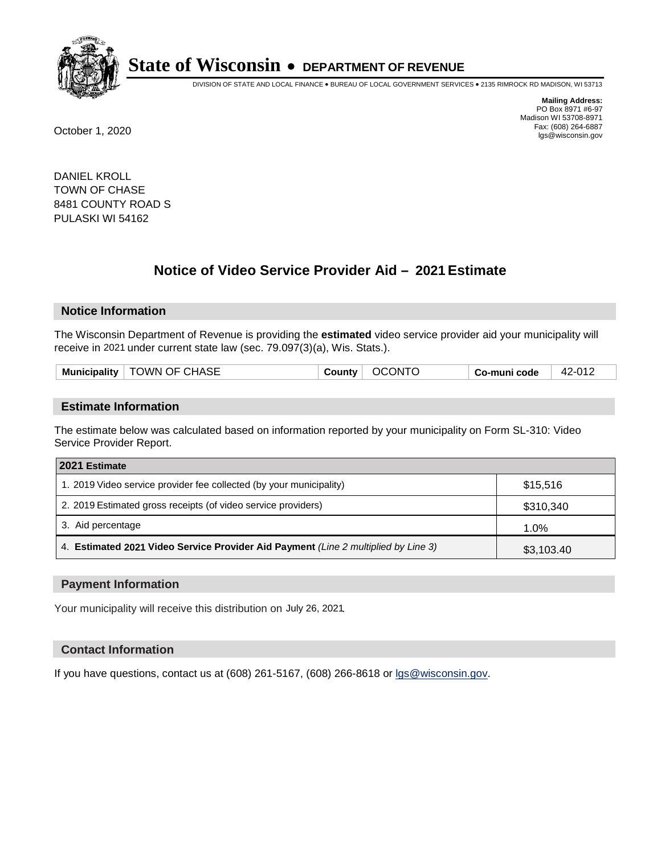

DIVISION OF STATE AND LOCAL FINANCE • BUREAU OF LOCAL GOVERNMENT SERVICES • 2135 RIMROCK RD MADISON, WI 53713

**Mailing Address:** PO Box 8971 #6-97 Madison WI 53708-8971<br>Fax: (608) 264-6887 Fax: (608) 264-6887 October 1, 2020 lgs@wisconsin.gov

DANIEL KROLL TOWN OF CHASE 8481 COUNTY ROAD S PULASKI WI 54162

# **Notice of Video Service Provider Aid - 2021 Estimate**

## **Notice Information**

The Wisconsin Department of Revenue is providing the **estimated** video service provider aid your municipality will receive in 2021 under current state law (sec. 79.097(3)(a), Wis. Stats.).

|--|

#### **Estimate Information**

The estimate below was calculated based on information reported by your municipality on Form SL-310: Video Service Provider Report.

| 2021 Estimate                                                                      |            |
|------------------------------------------------------------------------------------|------------|
| 1. 2019 Video service provider fee collected (by your municipality)                | \$15,516   |
| 2. 2019 Estimated gross receipts (of video service providers)                      | \$310,340  |
| 3. Aid percentage                                                                  | 1.0%       |
| 4. Estimated 2021 Video Service Provider Aid Payment (Line 2 multiplied by Line 3) | \$3,103.40 |

#### **Payment Information**

Your municipality will receive this distribution on July 26, 2021.

## **Contact Information**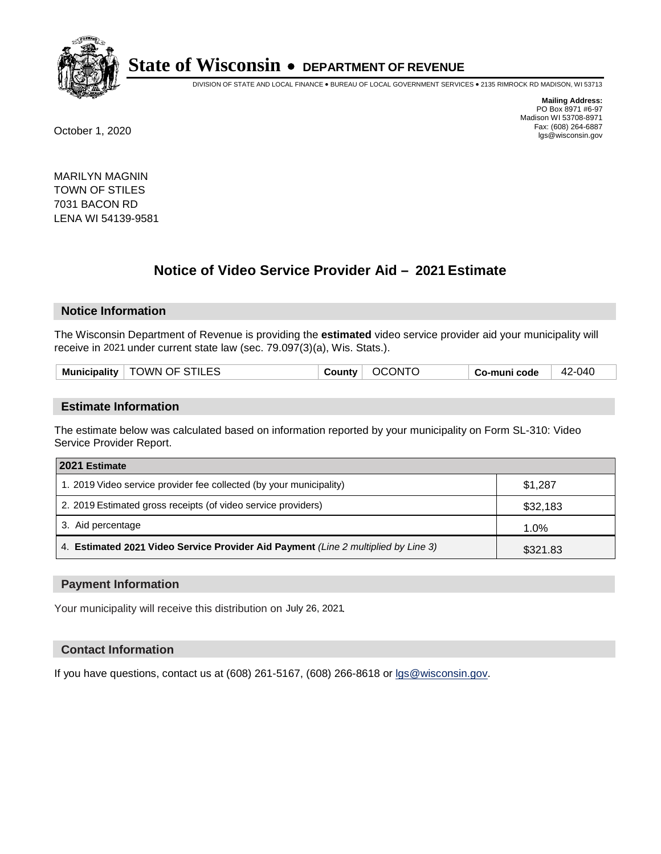

DIVISION OF STATE AND LOCAL FINANCE • BUREAU OF LOCAL GOVERNMENT SERVICES • 2135 RIMROCK RD MADISON, WI 53713

**Mailing Address:** PO Box 8971 #6-97 Madison WI 53708-8971<br>Fax: (608) 264-6887 Fax: (608) 264-6887 October 1, 2020 lgs@wisconsin.gov

MARILYN MAGNIN TOWN OF STILES 7031 BACON RD LENA WI 54139-9581

# **Notice of Video Service Provider Aid - 2021 Estimate**

## **Notice Information**

The Wisconsin Department of Revenue is providing the **estimated** video service provider aid your municipality will receive in 2021 under current state law (sec. 79.097(3)(a), Wis. Stats.).

| <b>Municipality</b> | I OF STILES<br>JWN | .ounty | IN T<br>X | code | -040<br>$\Lambda$<br>−∼ |
|---------------------|--------------------|--------|-----------|------|-------------------------|
|                     |                    |        |           |      |                         |

#### **Estimate Information**

The estimate below was calculated based on information reported by your municipality on Form SL-310: Video Service Provider Report.

| 2021 Estimate                                                                      |          |  |
|------------------------------------------------------------------------------------|----------|--|
| 1. 2019 Video service provider fee collected (by your municipality)                | \$1,287  |  |
| 2. 2019 Estimated gross receipts (of video service providers)                      | \$32,183 |  |
| 3. Aid percentage                                                                  | 1.0%     |  |
| 4. Estimated 2021 Video Service Provider Aid Payment (Line 2 multiplied by Line 3) | \$321.83 |  |

#### **Payment Information**

Your municipality will receive this distribution on July 26, 2021.

## **Contact Information**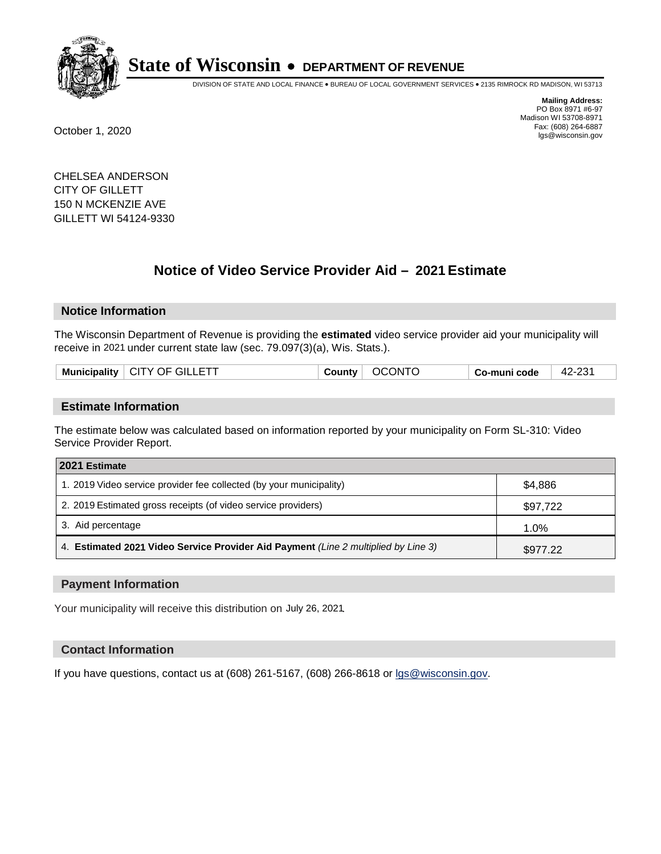

DIVISION OF STATE AND LOCAL FINANCE • BUREAU OF LOCAL GOVERNMENT SERVICES • 2135 RIMROCK RD MADISON, WI 53713

**Mailing Address:** PO Box 8971 #6-97 Madison WI 53708-8971<br>Fax: (608) 264-6887 Fax: (608) 264-6887 October 1, 2020 lgs@wisconsin.gov

CHELSEA ANDERSON CITY OF GILLETT 150 N MCKENZIE AVE GILLETT WI 54124-9330

# **Notice of Video Service Provider Aid - 2021 Estimate**

# **Notice Information**

The Wisconsin Department of Revenue is providing the **estimated** video service provider aid your municipality will receive in 2021 under current state law (sec. 79.097(3)(a), Wis. Stats.).

| <b>Municipality</b> | $_\pm$ CITY OF GILLETT | County | OCONTC | Co-muni code | ດລ4<br>$42 -$ |
|---------------------|------------------------|--------|--------|--------------|---------------|
|                     |                        |        |        |              |               |

#### **Estimate Information**

The estimate below was calculated based on information reported by your municipality on Form SL-310: Video Service Provider Report.

| 2021 Estimate                                                                      |          |
|------------------------------------------------------------------------------------|----------|
| 1. 2019 Video service provider fee collected (by your municipality)                | \$4.886  |
| 2. 2019 Estimated gross receipts (of video service providers)                      | \$97,722 |
| 3. Aid percentage                                                                  | 1.0%     |
| 4. Estimated 2021 Video Service Provider Aid Payment (Line 2 multiplied by Line 3) | \$977.22 |

#### **Payment Information**

Your municipality will receive this distribution on July 26, 2021.

## **Contact Information**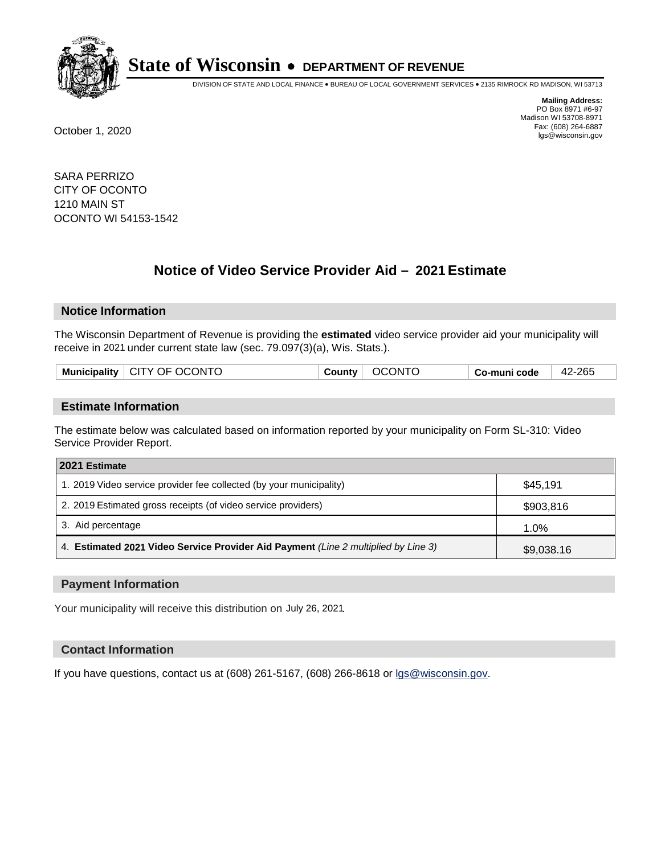

DIVISION OF STATE AND LOCAL FINANCE • BUREAU OF LOCAL GOVERNMENT SERVICES • 2135 RIMROCK RD MADISON, WI 53713

**Mailing Address:** PO Box 8971 #6-97 Madison WI 53708-8971<br>Fax: (608) 264-6887 Fax: (608) 264-6887 October 1, 2020 lgs@wisconsin.gov

SARA PERRIZO CITY OF OCONTO 1210 MAIN ST OCONTO WI 54153-1542

# **Notice of Video Service Provider Aid - 2021 Estimate**

## **Notice Information**

The Wisconsin Department of Revenue is providing the **estimated** video service provider aid your municipality will receive in 2021 under current state law (sec. 79.097(3)(a), Wis. Stats.).

| Municipality   CITY OF OCONTO | <b>OCONTO</b><br><b>County</b> | Co-muni code | 42-265 |
|-------------------------------|--------------------------------|--------------|--------|
|                               |                                |              |        |

#### **Estimate Information**

The estimate below was calculated based on information reported by your municipality on Form SL-310: Video Service Provider Report.

| 2021 Estimate                                                                      |            |
|------------------------------------------------------------------------------------|------------|
| 1. 2019 Video service provider fee collected (by your municipality)                | \$45.191   |
| 2. 2019 Estimated gross receipts (of video service providers)                      | \$903,816  |
| 3. Aid percentage                                                                  | 1.0%       |
| 4. Estimated 2021 Video Service Provider Aid Payment (Line 2 multiplied by Line 3) | \$9,038.16 |

#### **Payment Information**

Your municipality will receive this distribution on July 26, 2021.

## **Contact Information**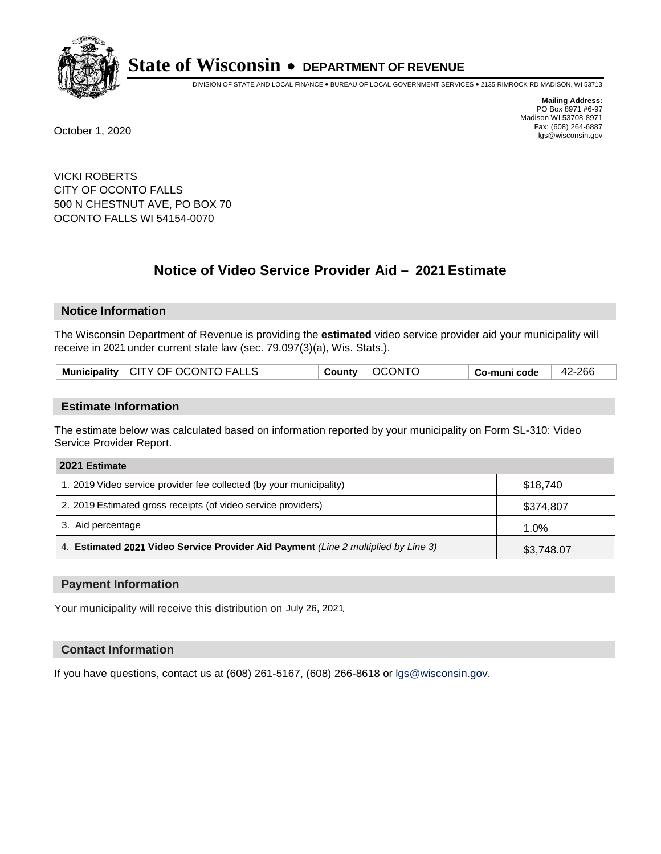

DIVISION OF STATE AND LOCAL FINANCE • BUREAU OF LOCAL GOVERNMENT SERVICES • 2135 RIMROCK RD MADISON, WI 53713

**Mailing Address:** PO Box 8971 #6-97 Madison WI 53708-8971<br>Fax: (608) 264-6887 Fax: (608) 264-6887 October 1, 2020 lgs@wisconsin.gov

VICKI ROBERTS CITY OF OCONTO FALLS 500 N CHESTNUT AVE, PO BOX 70 OCONTO FALLS WI 54154-0070

# **Notice of Video Service Provider Aid - 2021 Estimate**

## **Notice Information**

The Wisconsin Department of Revenue is providing the **estimated** video service provider aid your municipality will receive in 2021 under current state law (sec. 79.097(3)(a), Wis. Stats.).

| Municipality   CITY OF OCONTO FALLS | OCONTO<br>County | Co-muni code | 42-266 |
|-------------------------------------|------------------|--------------|--------|
|-------------------------------------|------------------|--------------|--------|

#### **Estimate Information**

The estimate below was calculated based on information reported by your municipality on Form SL-310: Video Service Provider Report.

| 2021 Estimate                                                                      |            |
|------------------------------------------------------------------------------------|------------|
| 1. 2019 Video service provider fee collected (by your municipality)                | \$18.740   |
| 2. 2019 Estimated gross receipts (of video service providers)                      | \$374,807  |
| 3. Aid percentage                                                                  | 1.0%       |
| 4. Estimated 2021 Video Service Provider Aid Payment (Line 2 multiplied by Line 3) | \$3,748.07 |

#### **Payment Information**

Your municipality will receive this distribution on July 26, 2021.

## **Contact Information**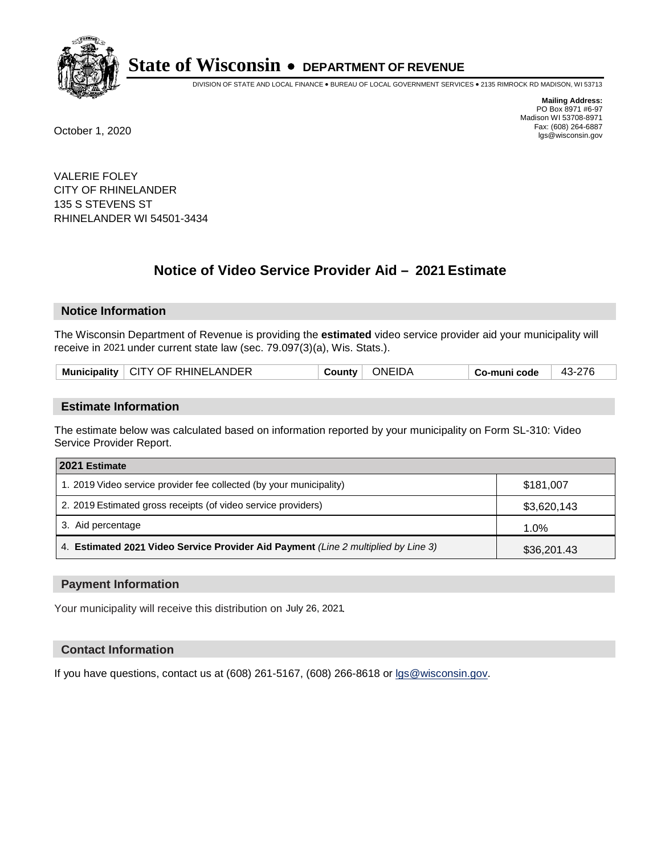

DIVISION OF STATE AND LOCAL FINANCE • BUREAU OF LOCAL GOVERNMENT SERVICES • 2135 RIMROCK RD MADISON, WI 53713

**Mailing Address:** PO Box 8971 #6-97 Madison WI 53708-8971<br>Fax: (608) 264-6887 Fax: (608) 264-6887 October 1, 2020 lgs@wisconsin.gov

VALERIE FOLEY CITY OF RHINELANDER 135 S STEVENS ST RHINELANDER WI 54501-3434

# **Notice of Video Service Provider Aid - 2021 Estimate**

## **Notice Information**

The Wisconsin Department of Revenue is providing the **estimated** video service provider aid your municipality will receive in 2021 under current state law (sec. 79.097(3)(a), Wis. Stats.).

| LCITY OF RHINELANDER<br>∶IDA<br><b>Municipality</b><br>วNF<br>л -<br>∶ountv<br>o-muni codeٽ |  |
|---------------------------------------------------------------------------------------------|--|
|---------------------------------------------------------------------------------------------|--|

#### **Estimate Information**

The estimate below was calculated based on information reported by your municipality on Form SL-310: Video Service Provider Report.

| 2021 Estimate                                                                      |             |
|------------------------------------------------------------------------------------|-------------|
| 1. 2019 Video service provider fee collected (by your municipality)                | \$181.007   |
| 2. 2019 Estimated gross receipts (of video service providers)                      | \$3,620,143 |
| 3. Aid percentage                                                                  | 1.0%        |
| 4. Estimated 2021 Video Service Provider Aid Payment (Line 2 multiplied by Line 3) | \$36,201.43 |

#### **Payment Information**

Your municipality will receive this distribution on July 26, 2021.

## **Contact Information**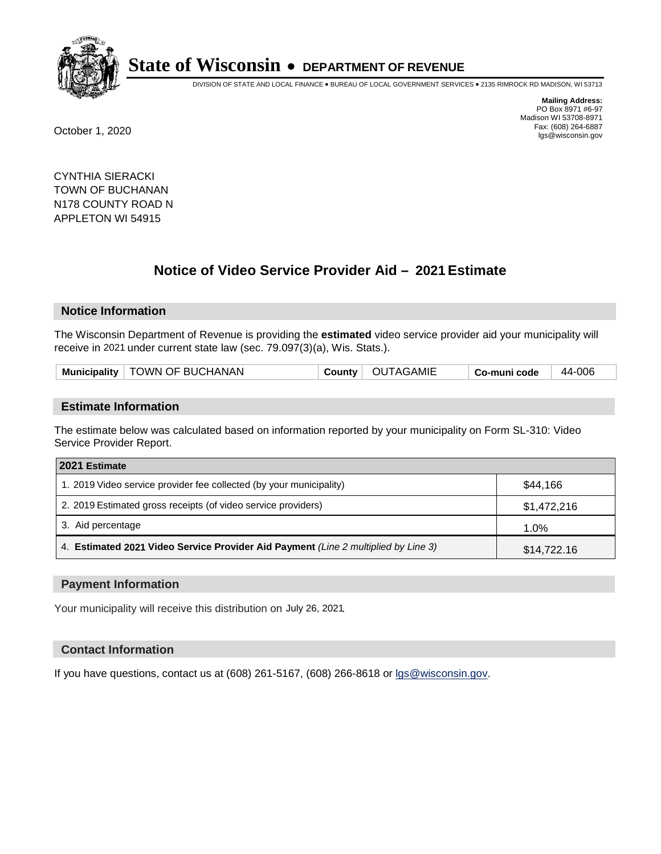

DIVISION OF STATE AND LOCAL FINANCE • BUREAU OF LOCAL GOVERNMENT SERVICES • 2135 RIMROCK RD MADISON, WI 53713

**Mailing Address:** PO Box 8971 #6-97 Madison WI 53708-8971<br>Fax: (608) 264-6887 Fax: (608) 264-6887 October 1, 2020 lgs@wisconsin.gov

CYNTHIA SIERACKI TOWN OF BUCHANAN N178 COUNTY ROAD N APPLETON WI 54915

# **Notice of Video Service Provider Aid - 2021 Estimate**

# **Notice Information**

The Wisconsin Department of Revenue is providing the **estimated** video service provider aid your municipality will receive in 2021 under current state law (sec. 79.097(3)(a), Wis. Stats.).

| Municipality   TOWN OF BUCHANAN |  | County   OUTAGAMIE | Co-muni code | 44-006 |
|---------------------------------|--|--------------------|--------------|--------|
|---------------------------------|--|--------------------|--------------|--------|

#### **Estimate Information**

The estimate below was calculated based on information reported by your municipality on Form SL-310: Video Service Provider Report.

| 2021 Estimate                                                                      |             |
|------------------------------------------------------------------------------------|-------------|
| 1. 2019 Video service provider fee collected (by your municipality)                | \$44.166    |
| 2. 2019 Estimated gross receipts (of video service providers)                      | \$1,472,216 |
| 3. Aid percentage                                                                  | 1.0%        |
| 4. Estimated 2021 Video Service Provider Aid Payment (Line 2 multiplied by Line 3) | \$14,722.16 |

#### **Payment Information**

Your municipality will receive this distribution on July 26, 2021.

## **Contact Information**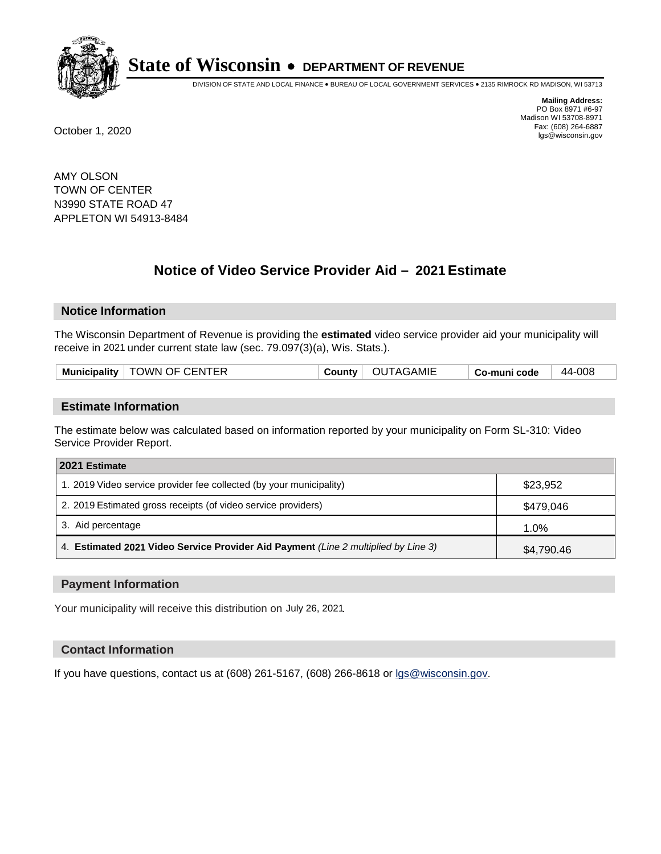

DIVISION OF STATE AND LOCAL FINANCE • BUREAU OF LOCAL GOVERNMENT SERVICES • 2135 RIMROCK RD MADISON, WI 53713

**Mailing Address:** PO Box 8971 #6-97 Madison WI 53708-8971<br>Fax: (608) 264-6887 Fax: (608) 264-6887 October 1, 2020 lgs@wisconsin.gov

AMY OLSON TOWN OF CENTER N3990 STATE ROAD 47 APPLETON WI 54913-8484

# **Notice of Video Service Provider Aid - 2021 Estimate**

## **Notice Information**

The Wisconsin Department of Revenue is providing the **estimated** video service provider aid your municipality will receive in 2021 under current state law (sec. 79.097(3)(a), Wis. Stats.).

|  |  | Municipality   TOWN OF CENTER | Countv | OUTAGAMIE | Co-muni code | 44-008 |
|--|--|-------------------------------|--------|-----------|--------------|--------|
|--|--|-------------------------------|--------|-----------|--------------|--------|

#### **Estimate Information**

The estimate below was calculated based on information reported by your municipality on Form SL-310: Video Service Provider Report.

| 2021 Estimate                                                                      |            |
|------------------------------------------------------------------------------------|------------|
| 1. 2019 Video service provider fee collected (by your municipality)                | \$23,952   |
| 2. 2019 Estimated gross receipts (of video service providers)                      | \$479.046  |
| 3. Aid percentage                                                                  | 1.0%       |
| 4. Estimated 2021 Video Service Provider Aid Payment (Line 2 multiplied by Line 3) | \$4,790.46 |

#### **Payment Information**

Your municipality will receive this distribution on July 26, 2021.

## **Contact Information**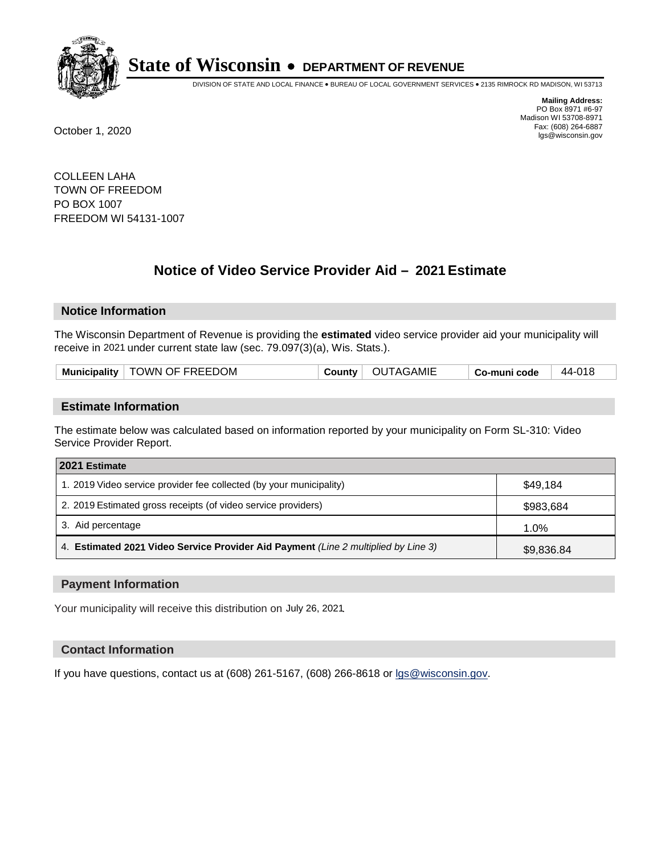

DIVISION OF STATE AND LOCAL FINANCE • BUREAU OF LOCAL GOVERNMENT SERVICES • 2135 RIMROCK RD MADISON, WI 53713

**Mailing Address:** PO Box 8971 #6-97 Madison WI 53708-8971<br>Fax: (608) 264-6887 Fax: (608) 264-6887 October 1, 2020 lgs@wisconsin.gov

COLLEEN LAHA TOWN OF FREEDOM PO BOX 1007 FREEDOM WI 54131-1007

# **Notice of Video Service Provider Aid - 2021 Estimate**

## **Notice Information**

The Wisconsin Department of Revenue is providing the **estimated** video service provider aid your municipality will receive in 2021 under current state law (sec. 79.097(3)(a), Wis. Stats.).

| Municipality   TOWN OF FREEDOM | County $ $ | OUTAGAMIE | Co-muni code | 44-018 |
|--------------------------------|------------|-----------|--------------|--------|
|--------------------------------|------------|-----------|--------------|--------|

#### **Estimate Information**

The estimate below was calculated based on information reported by your municipality on Form SL-310: Video Service Provider Report.

| 2021 Estimate                                                                      |            |
|------------------------------------------------------------------------------------|------------|
| 1. 2019 Video service provider fee collected (by your municipality)                | \$49.184   |
| 2. 2019 Estimated gross receipts (of video service providers)                      | \$983,684  |
| 3. Aid percentage                                                                  | 1.0%       |
| 4. Estimated 2021 Video Service Provider Aid Payment (Line 2 multiplied by Line 3) | \$9,836.84 |

#### **Payment Information**

Your municipality will receive this distribution on July 26, 2021.

## **Contact Information**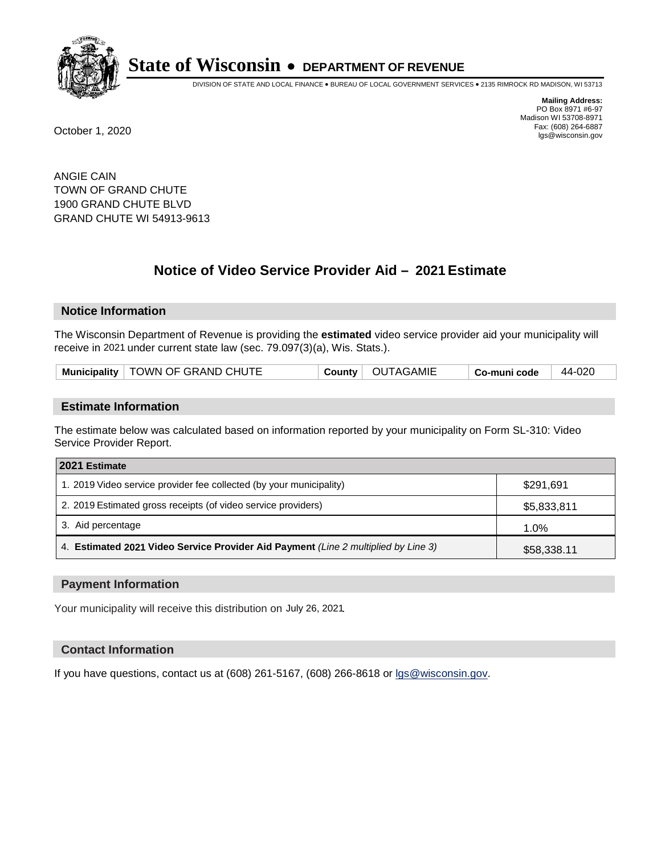

DIVISION OF STATE AND LOCAL FINANCE • BUREAU OF LOCAL GOVERNMENT SERVICES • 2135 RIMROCK RD MADISON, WI 53713

**Mailing Address:** PO Box 8971 #6-97 Madison WI 53708-8971<br>Fax: (608) 264-6887 Fax: (608) 264-6887 October 1, 2020 lgs@wisconsin.gov

ANGIE CAIN TOWN OF GRAND CHUTE 1900 GRAND CHUTE BLVD GRAND CHUTE WI 54913-9613

# **Notice of Video Service Provider Aid - 2021 Estimate**

## **Notice Information**

The Wisconsin Department of Revenue is providing the **estimated** video service provider aid your municipality will receive in 2021 under current state law (sec. 79.097(3)(a), Wis. Stats.).

| Municipality   TOWN OF GRAND CHUTE | County   OUTAGAMIE | 44-020<br>∣ Co-muni code |
|------------------------------------|--------------------|--------------------------|
|------------------------------------|--------------------|--------------------------|

#### **Estimate Information**

The estimate below was calculated based on information reported by your municipality on Form SL-310: Video Service Provider Report.

| 2021 Estimate                                                                      |             |
|------------------------------------------------------------------------------------|-------------|
| 1. 2019 Video service provider fee collected (by your municipality)                | \$291.691   |
| 2. 2019 Estimated gross receipts (of video service providers)                      | \$5,833,811 |
| 3. Aid percentage                                                                  | 1.0%        |
| 4. Estimated 2021 Video Service Provider Aid Payment (Line 2 multiplied by Line 3) | \$58,338.11 |

#### **Payment Information**

Your municipality will receive this distribution on July 26, 2021.

## **Contact Information**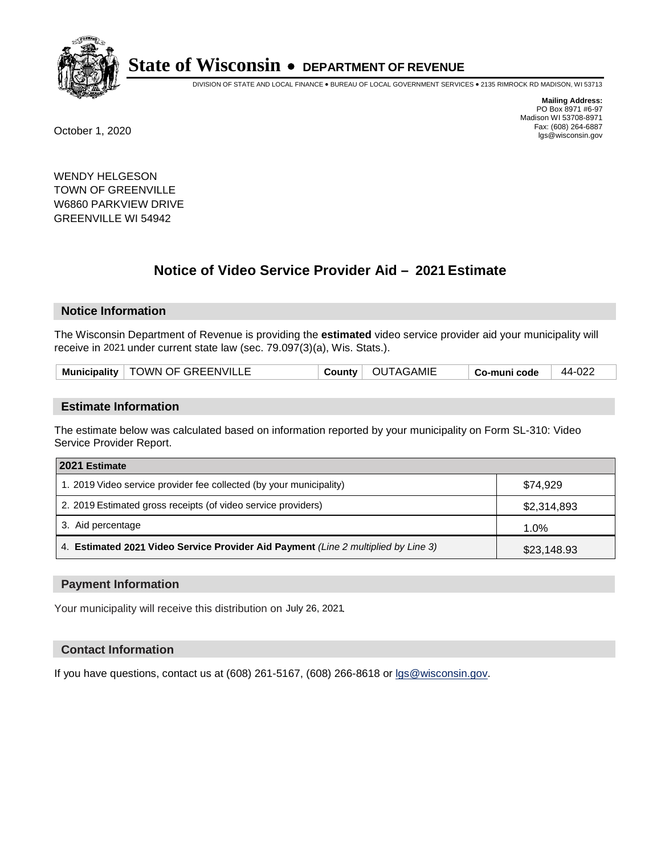

DIVISION OF STATE AND LOCAL FINANCE • BUREAU OF LOCAL GOVERNMENT SERVICES • 2135 RIMROCK RD MADISON, WI 53713

**Mailing Address:** PO Box 8971 #6-97 Madison WI 53708-8971<br>Fax: (608) 264-6887 Fax: (608) 264-6887 October 1, 2020 lgs@wisconsin.gov

WENDY HELGESON TOWN OF GREENVILLE W6860 PARKVIEW DRIVE GREENVILLE WI 54942

# **Notice of Video Service Provider Aid - 2021 Estimate**

## **Notice Information**

The Wisconsin Department of Revenue is providing the **estimated** video service provider aid your municipality will receive in 2021 under current state law (sec. 79.097(3)(a), Wis. Stats.).

| Municipality   TOWN OF GREENVILLE<br>∣ OUTAGAMIE<br>44-022<br>County<br>Co-muni code |  |
|--------------------------------------------------------------------------------------|--|
|--------------------------------------------------------------------------------------|--|

#### **Estimate Information**

The estimate below was calculated based on information reported by your municipality on Form SL-310: Video Service Provider Report.

| 2021 Estimate                                                                      |             |
|------------------------------------------------------------------------------------|-------------|
| 1. 2019 Video service provider fee collected (by your municipality)                | \$74.929    |
| 2. 2019 Estimated gross receipts (of video service providers)                      | \$2,314,893 |
| 3. Aid percentage                                                                  | 1.0%        |
| 4. Estimated 2021 Video Service Provider Aid Payment (Line 2 multiplied by Line 3) | \$23,148.93 |

#### **Payment Information**

Your municipality will receive this distribution on July 26, 2021.

## **Contact Information**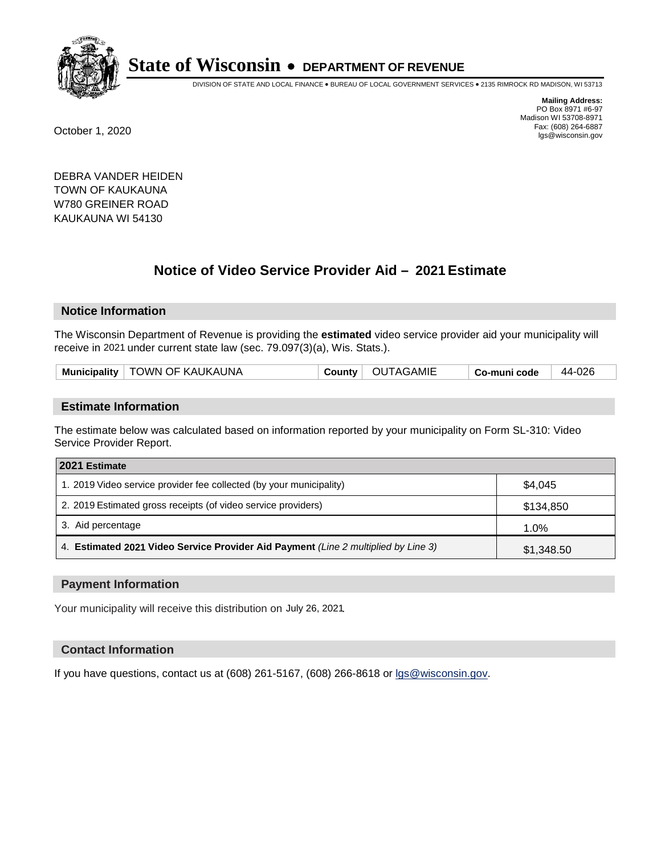

DIVISION OF STATE AND LOCAL FINANCE • BUREAU OF LOCAL GOVERNMENT SERVICES • 2135 RIMROCK RD MADISON, WI 53713

**Mailing Address:** PO Box 8971 #6-97 Madison WI 53708-8971<br>Fax: (608) 264-6887 Fax: (608) 264-6887 October 1, 2020 lgs@wisconsin.gov

DEBRA VANDER HEIDEN TOWN OF KAUKAUNA W780 GREINER ROAD KAUKAUNA WI 54130

# **Notice of Video Service Provider Aid - 2021 Estimate**

## **Notice Information**

The Wisconsin Department of Revenue is providing the **estimated** video service provider aid your municipality will receive in 2021 under current state law (sec. 79.097(3)(a), Wis. Stats.).

| Municipality   TOWN OF KAUKAUNA | County | OUTAGAMIE | Co-muni code | 44-026 |
|---------------------------------|--------|-----------|--------------|--------|
|---------------------------------|--------|-----------|--------------|--------|

#### **Estimate Information**

The estimate below was calculated based on information reported by your municipality on Form SL-310: Video Service Provider Report.

| 2021 Estimate                                                                      |            |
|------------------------------------------------------------------------------------|------------|
| 1. 2019 Video service provider fee collected (by your municipality)                | \$4.045    |
| 2. 2019 Estimated gross receipts (of video service providers)                      | \$134.850  |
| 3. Aid percentage                                                                  | 1.0%       |
| 4. Estimated 2021 Video Service Provider Aid Payment (Line 2 multiplied by Line 3) | \$1,348.50 |

#### **Payment Information**

Your municipality will receive this distribution on July 26, 2021.

## **Contact Information**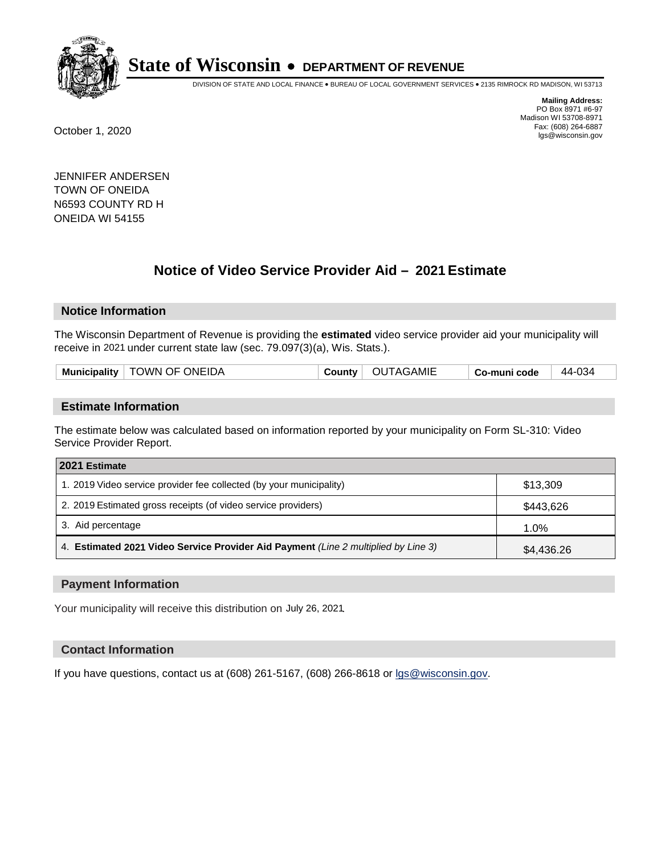

DIVISION OF STATE AND LOCAL FINANCE • BUREAU OF LOCAL GOVERNMENT SERVICES • 2135 RIMROCK RD MADISON, WI 53713

**Mailing Address:** PO Box 8971 #6-97 Madison WI 53708-8971<br>Fax: (608) 264-6887 Fax: (608) 264-6887 October 1, 2020 lgs@wisconsin.gov

JENNIFER ANDERSEN TOWN OF ONEIDA N6593 COUNTY RD H ONEIDA WI 54155

# **Notice of Video Service Provider Aid - 2021 Estimate**

## **Notice Information**

The Wisconsin Department of Revenue is providing the **estimated** video service provider aid your municipality will receive in 2021 under current state law (sec. 79.097(3)(a), Wis. Stats.).

|--|

#### **Estimate Information**

The estimate below was calculated based on information reported by your municipality on Form SL-310: Video Service Provider Report.

| 2021 Estimate                                                                      |            |
|------------------------------------------------------------------------------------|------------|
| 1. 2019 Video service provider fee collected (by your municipality)                | \$13,309   |
| 2. 2019 Estimated gross receipts (of video service providers)                      | \$443,626  |
| 3. Aid percentage                                                                  | 1.0%       |
| 4. Estimated 2021 Video Service Provider Aid Payment (Line 2 multiplied by Line 3) | \$4,436.26 |

#### **Payment Information**

Your municipality will receive this distribution on July 26, 2021.

## **Contact Information**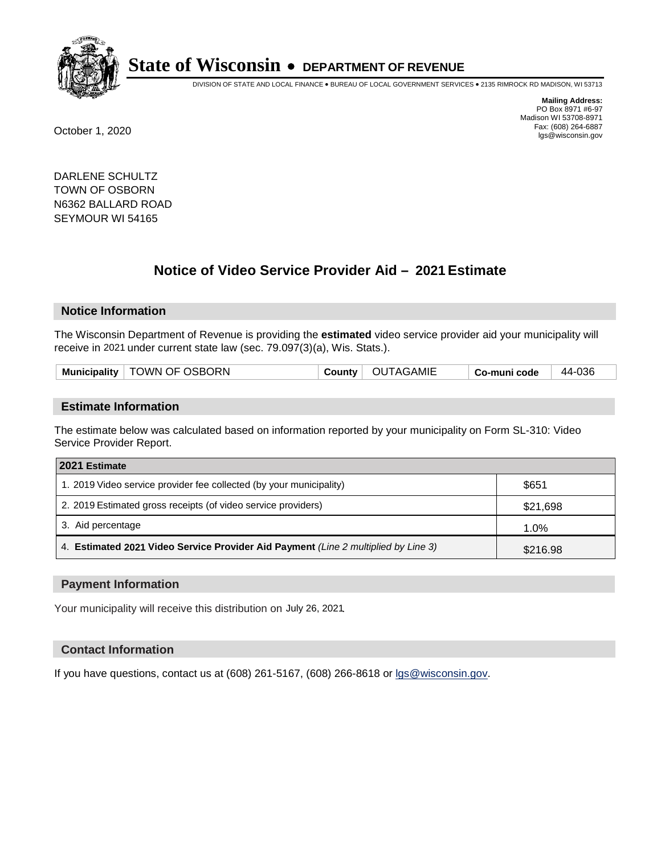

DIVISION OF STATE AND LOCAL FINANCE • BUREAU OF LOCAL GOVERNMENT SERVICES • 2135 RIMROCK RD MADISON, WI 53713

**Mailing Address:** PO Box 8971 #6-97 Madison WI 53708-8971<br>Fax: (608) 264-6887 Fax: (608) 264-6887 October 1, 2020 lgs@wisconsin.gov

DARLENE SCHULTZ TOWN OF OSBORN N6362 BALLARD ROAD SEYMOUR WI 54165

# **Notice of Video Service Provider Aid - 2021 Estimate**

## **Notice Information**

The Wisconsin Department of Revenue is providing the **estimated** video service provider aid your municipality will receive in 2021 under current state law (sec. 79.097(3)(a), Wis. Stats.).

| Municipality   TOWN OF OSBORN<br>County   OUTAGAMIE<br>44-036<br>Co-muni code |
|-------------------------------------------------------------------------------|
|-------------------------------------------------------------------------------|

#### **Estimate Information**

The estimate below was calculated based on information reported by your municipality on Form SL-310: Video Service Provider Report.

| 2021 Estimate                                                                      |          |
|------------------------------------------------------------------------------------|----------|
| 1. 2019 Video service provider fee collected (by your municipality)                | \$651    |
| 2. 2019 Estimated gross receipts (of video service providers)                      | \$21,698 |
| 3. Aid percentage                                                                  | 1.0%     |
| 4. Estimated 2021 Video Service Provider Aid Payment (Line 2 multiplied by Line 3) | \$216.98 |

#### **Payment Information**

Your municipality will receive this distribution on July 26, 2021.

## **Contact Information**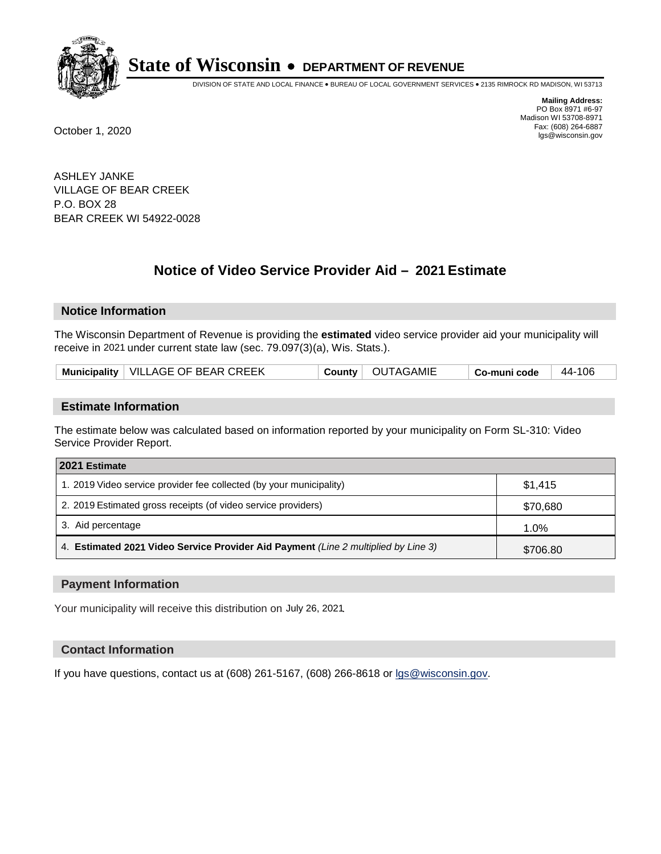

DIVISION OF STATE AND LOCAL FINANCE • BUREAU OF LOCAL GOVERNMENT SERVICES • 2135 RIMROCK RD MADISON, WI 53713

**Mailing Address:** PO Box 8971 #6-97 Madison WI 53708-8971<br>Fax: (608) 264-6887 Fax: (608) 264-6887 October 1, 2020 lgs@wisconsin.gov

ASHLEY JANKE VILLAGE OF BEAR CREEK P.O. BOX 28 BEAR CREEK WI 54922-0028

# **Notice of Video Service Provider Aid - 2021 Estimate**

## **Notice Information**

The Wisconsin Department of Revenue is providing the **estimated** video service provider aid your municipality will receive in 2021 under current state law (sec. 79.097(3)(a), Wis. Stats.).

| Municipality   VILLAGE OF BEAR CREEK | County   OUTAGAMIE | 44-106<br>Co-muni code |
|--------------------------------------|--------------------|------------------------|
|--------------------------------------|--------------------|------------------------|

#### **Estimate Information**

The estimate below was calculated based on information reported by your municipality on Form SL-310: Video Service Provider Report.

| 2021 Estimate                                                                      |          |
|------------------------------------------------------------------------------------|----------|
| 1. 2019 Video service provider fee collected (by your municipality)                | \$1,415  |
| 2. 2019 Estimated gross receipts (of video service providers)                      | \$70,680 |
| 3. Aid percentage                                                                  | 1.0%     |
| 4. Estimated 2021 Video Service Provider Aid Payment (Line 2 multiplied by Line 3) | \$706.80 |

#### **Payment Information**

Your municipality will receive this distribution on July 26, 2021.

## **Contact Information**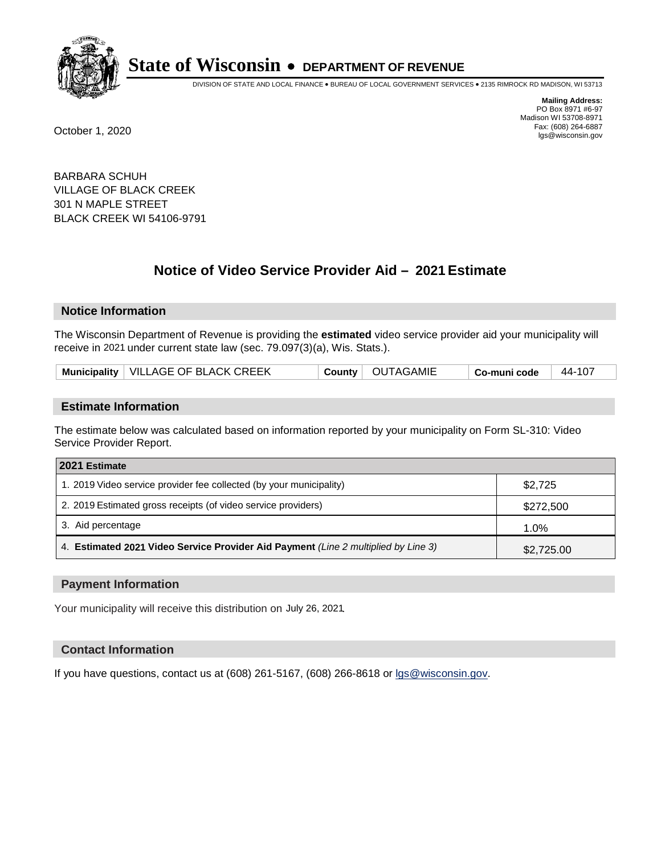

DIVISION OF STATE AND LOCAL FINANCE • BUREAU OF LOCAL GOVERNMENT SERVICES • 2135 RIMROCK RD MADISON, WI 53713

**Mailing Address:** PO Box 8971 #6-97 Madison WI 53708-8971<br>Fax: (608) 264-6887 Fax: (608) 264-6887 October 1, 2020 lgs@wisconsin.gov

BARBARA SCHUH VILLAGE OF BLACK CREEK 301 N MAPLE STREET BLACK CREEK WI 54106-9791

# **Notice of Video Service Provider Aid - 2021 Estimate**

## **Notice Information**

The Wisconsin Department of Revenue is providing the **estimated** video service provider aid your municipality will receive in 2021 under current state law (sec. 79.097(3)(a), Wis. Stats.).

| Municipality   VILLAGE OF BLACK CREEK | 44-107         |
|---------------------------------------|----------------|
| County   OUTAGAMIE                    | ⊓ Co-muni code |

#### **Estimate Information**

The estimate below was calculated based on information reported by your municipality on Form SL-310: Video Service Provider Report.

| 2021 Estimate                                                                      |            |
|------------------------------------------------------------------------------------|------------|
| 1. 2019 Video service provider fee collected (by your municipality)                | \$2,725    |
| 2. 2019 Estimated gross receipts (of video service providers)                      | \$272,500  |
| 3. Aid percentage                                                                  | 1.0%       |
| 4. Estimated 2021 Video Service Provider Aid Payment (Line 2 multiplied by Line 3) | \$2,725.00 |

#### **Payment Information**

Your municipality will receive this distribution on July 26, 2021.

## **Contact Information**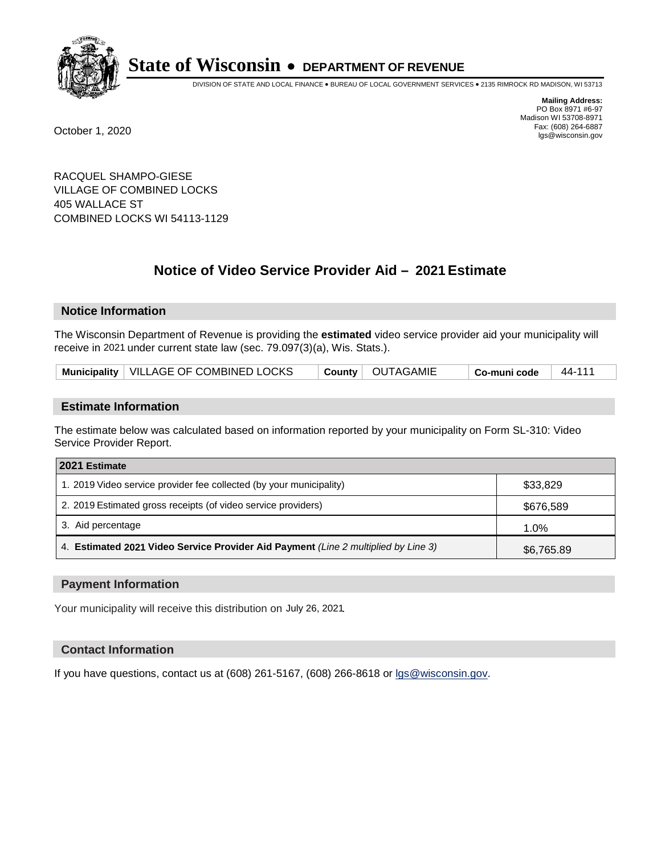

DIVISION OF STATE AND LOCAL FINANCE • BUREAU OF LOCAL GOVERNMENT SERVICES • 2135 RIMROCK RD MADISON, WI 53713

**Mailing Address:** PO Box 8971 #6-97 Madison WI 53708-8971<br>Fax: (608) 264-6887 Fax: (608) 264-6887 October 1, 2020 lgs@wisconsin.gov

RACQUEL SHAMPO-GIESE VILLAGE OF COMBINED LOCKS 405 WALLACE ST COMBINED LOCKS WI 54113-1129

# **Notice of Video Service Provider Aid - 2021 Estimate**

## **Notice Information**

The Wisconsin Department of Revenue is providing the **estimated** video service provider aid your municipality will receive in 2021 under current state law (sec. 79.097(3)(a), Wis. Stats.).

| Municipality   VILLAGE OF COMBINED LOCKS | County   OUTAGAMIE | $^\shortparallel$ Co-muni code | 44-111 |
|------------------------------------------|--------------------|--------------------------------|--------|
|------------------------------------------|--------------------|--------------------------------|--------|

#### **Estimate Information**

The estimate below was calculated based on information reported by your municipality on Form SL-310: Video Service Provider Report.

| 2021 Estimate                                                                      |            |
|------------------------------------------------------------------------------------|------------|
| 1. 2019 Video service provider fee collected (by your municipality)                | \$33,829   |
| 2. 2019 Estimated gross receipts (of video service providers)                      | \$676,589  |
| 3. Aid percentage                                                                  | 1.0%       |
| 4. Estimated 2021 Video Service Provider Aid Payment (Line 2 multiplied by Line 3) | \$6,765.89 |

#### **Payment Information**

Your municipality will receive this distribution on July 26, 2021.

## **Contact Information**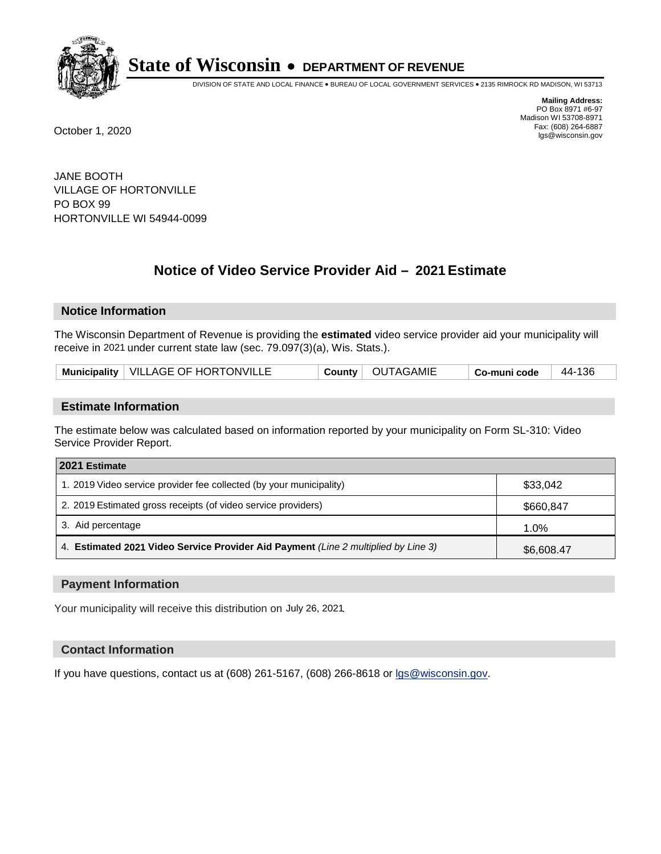

DIVISION OF STATE AND LOCAL FINANCE • BUREAU OF LOCAL GOVERNMENT SERVICES • 2135 RIMROCK RD MADISON, WI 53713

**Mailing Address:** PO Box 8971 #6-97 Madison WI 53708-8971<br>Fax: (608) 264-6887 Fax: (608) 264-6887 October 1, 2020 lgs@wisconsin.gov

JANE BOOTH VILLAGE OF HORTONVILLE PO BOX 99 HORTONVILLE WI 54944-0099

# **Notice of Video Service Provider Aid - 2021 Estimate**

## **Notice Information**

The Wisconsin Department of Revenue is providing the **estimated** video service provider aid your municipality will receive in 2021 under current state law (sec. 79.097(3)(a), Wis. Stats.).

| Municipality   VILLAGE OF HORTONVILLE |  | County   OUTAGAMIE | ∣ Co-muni code | 44-136 |
|---------------------------------------|--|--------------------|----------------|--------|
|---------------------------------------|--|--------------------|----------------|--------|

#### **Estimate Information**

The estimate below was calculated based on information reported by your municipality on Form SL-310: Video Service Provider Report.

| 2021 Estimate                                                                      |            |
|------------------------------------------------------------------------------------|------------|
| 1. 2019 Video service provider fee collected (by your municipality)                | \$33,042   |
| 2. 2019 Estimated gross receipts (of video service providers)                      | \$660,847  |
| 3. Aid percentage                                                                  | 1.0%       |
| 4. Estimated 2021 Video Service Provider Aid Payment (Line 2 multiplied by Line 3) | \$6,608.47 |

#### **Payment Information**

Your municipality will receive this distribution on July 26, 2021.

## **Contact Information**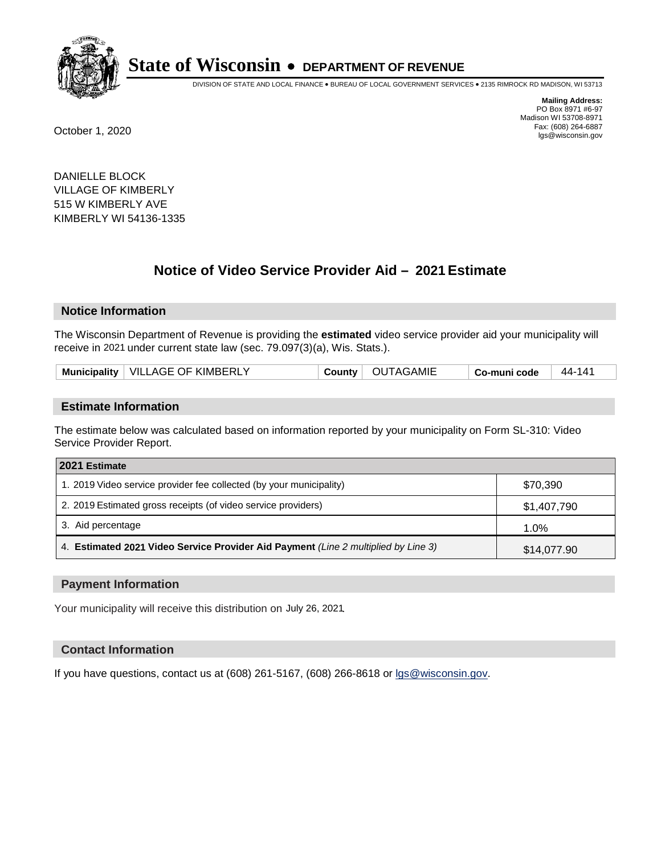

DIVISION OF STATE AND LOCAL FINANCE • BUREAU OF LOCAL GOVERNMENT SERVICES • 2135 RIMROCK RD MADISON, WI 53713

**Mailing Address:** PO Box 8971 #6-97 Madison WI 53708-8971<br>Fax: (608) 264-6887 Fax: (608) 264-6887 October 1, 2020 lgs@wisconsin.gov

DANIELLE BLOCK VILLAGE OF KIMBERLY 515 W KIMBERLY AVE KIMBERLY WI 54136-1335

# **Notice of Video Service Provider Aid - 2021 Estimate**

## **Notice Information**

The Wisconsin Department of Revenue is providing the **estimated** video service provider aid your municipality will receive in 2021 under current state law (sec. 79.097(3)(a), Wis. Stats.).

| Municipality   VILLAGE OF KIMBERLY<br>County   OUTAGAMIE<br>44-141<br>Co-muni code |  |
|------------------------------------------------------------------------------------|--|
|------------------------------------------------------------------------------------|--|

#### **Estimate Information**

The estimate below was calculated based on information reported by your municipality on Form SL-310: Video Service Provider Report.

| 2021 Estimate                                                                      |             |
|------------------------------------------------------------------------------------|-------------|
| 1. 2019 Video service provider fee collected (by your municipality)                | \$70,390    |
| 2. 2019 Estimated gross receipts (of video service providers)                      | \$1,407,790 |
| 3. Aid percentage                                                                  | 1.0%        |
| 4. Estimated 2021 Video Service Provider Aid Payment (Line 2 multiplied by Line 3) | \$14,077.90 |

#### **Payment Information**

Your municipality will receive this distribution on July 26, 2021.

## **Contact Information**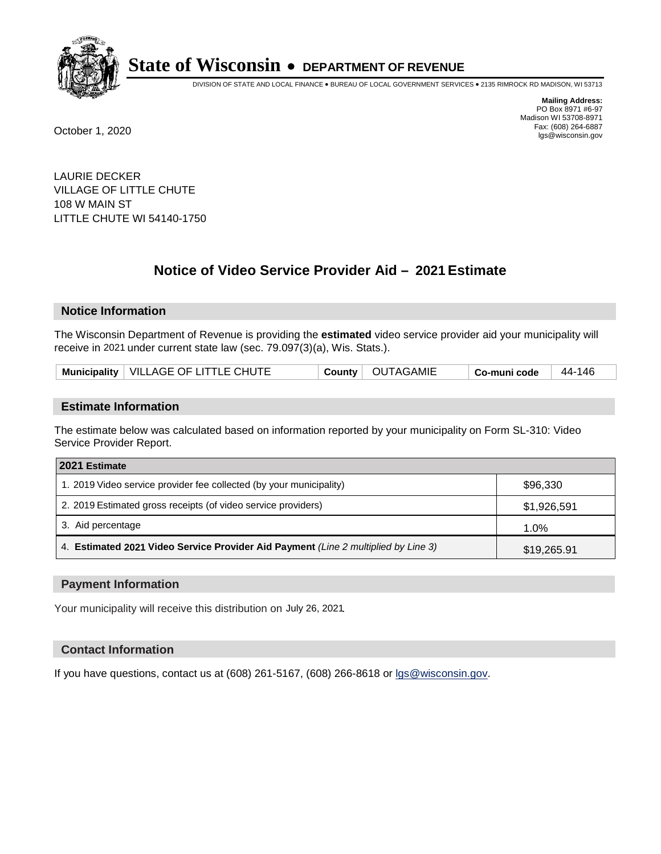

DIVISION OF STATE AND LOCAL FINANCE • BUREAU OF LOCAL GOVERNMENT SERVICES • 2135 RIMROCK RD MADISON, WI 53713

**Mailing Address:** PO Box 8971 #6-97 Madison WI 53708-8971<br>Fax: (608) 264-6887 Fax: (608) 264-6887 October 1, 2020 lgs@wisconsin.gov

LAURIE DECKER VILLAGE OF LITTLE CHUTE 108 W MAIN ST LITTLE CHUTE WI 54140-1750

# **Notice of Video Service Provider Aid - 2021 Estimate**

## **Notice Information**

The Wisconsin Department of Revenue is providing the **estimated** video service provider aid your municipality will receive in 2021 under current state law (sec. 79.097(3)(a), Wis. Stats.).

#### **Estimate Information**

The estimate below was calculated based on information reported by your municipality on Form SL-310: Video Service Provider Report.

| 2021 Estimate                                                                      |             |
|------------------------------------------------------------------------------------|-------------|
| 1. 2019 Video service provider fee collected (by your municipality)                | \$96,330    |
| 2. 2019 Estimated gross receipts (of video service providers)                      | \$1,926,591 |
| 3. Aid percentage                                                                  | 1.0%        |
| 4. Estimated 2021 Video Service Provider Aid Payment (Line 2 multiplied by Line 3) | \$19,265.91 |

#### **Payment Information**

Your municipality will receive this distribution on July 26, 2021.

## **Contact Information**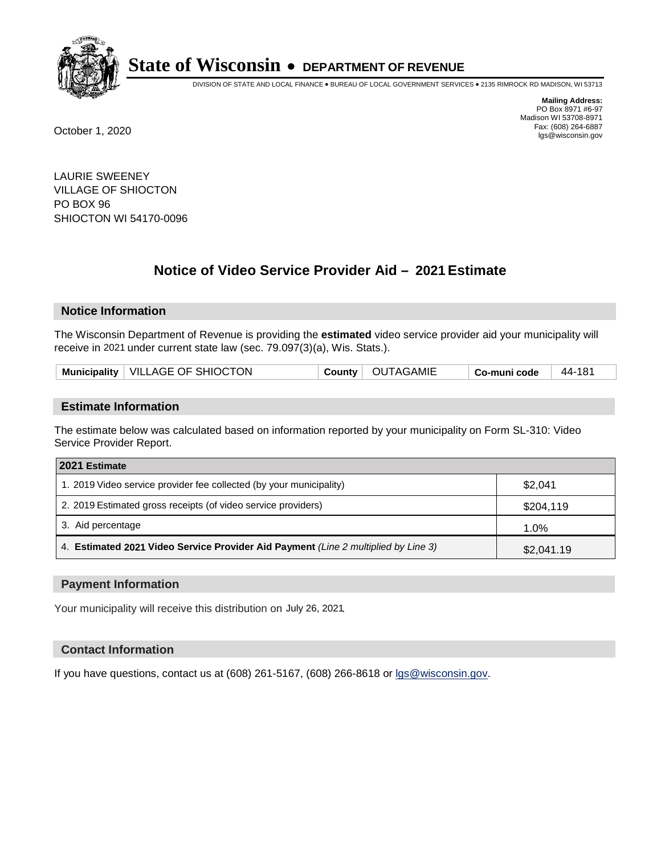

DIVISION OF STATE AND LOCAL FINANCE • BUREAU OF LOCAL GOVERNMENT SERVICES • 2135 RIMROCK RD MADISON, WI 53713

**Mailing Address:** PO Box 8971 #6-97 Madison WI 53708-8971<br>Fax: (608) 264-6887 Fax: (608) 264-6887 October 1, 2020 lgs@wisconsin.gov

LAURIE SWEENEY VILLAGE OF SHIOCTON PO BOX 96 SHIOCTON WI 54170-0096

# **Notice of Video Service Provider Aid - 2021 Estimate**

## **Notice Information**

The Wisconsin Department of Revenue is providing the **estimated** video service provider aid your municipality will receive in 2021 under current state law (sec. 79.097(3)(a), Wis. Stats.).

| Municipality   VILLAGE OF SHIOCTON<br>County   OUTAGAMIE<br>44-181<br>∣ Co-muni code |  |
|--------------------------------------------------------------------------------------|--|
|--------------------------------------------------------------------------------------|--|

#### **Estimate Information**

The estimate below was calculated based on information reported by your municipality on Form SL-310: Video Service Provider Report.

| 2021 Estimate                                                                      |            |
|------------------------------------------------------------------------------------|------------|
| 1. 2019 Video service provider fee collected (by your municipality)                | \$2,041    |
| 2. 2019 Estimated gross receipts (of video service providers)                      | \$204,119  |
| 3. Aid percentage                                                                  | 1.0%       |
| 4. Estimated 2021 Video Service Provider Aid Payment (Line 2 multiplied by Line 3) | \$2,041.19 |

#### **Payment Information**

Your municipality will receive this distribution on July 26, 2021.

## **Contact Information**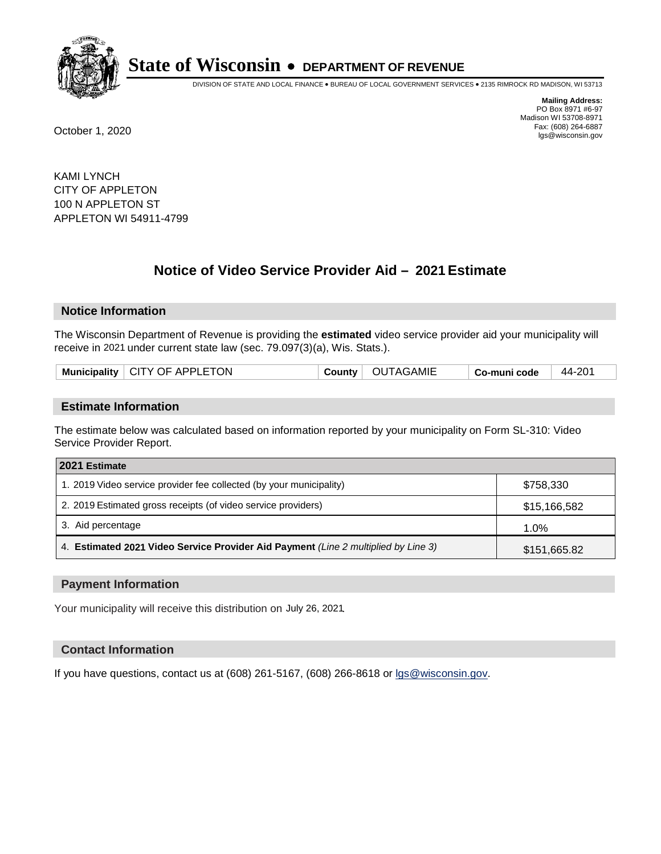

DIVISION OF STATE AND LOCAL FINANCE • BUREAU OF LOCAL GOVERNMENT SERVICES • 2135 RIMROCK RD MADISON, WI 53713

**Mailing Address:** PO Box 8971 #6-97 Madison WI 53708-8971<br>Fax: (608) 264-6887 Fax: (608) 264-6887 October 1, 2020 lgs@wisconsin.gov

KAMI LYNCH CITY OF APPLETON 100 N APPLETON ST APPLETON WI 54911-4799

# **Notice of Video Service Provider Aid - 2021 Estimate**

## **Notice Information**

The Wisconsin Department of Revenue is providing the **estimated** video service provider aid your municipality will receive in 2021 under current state law (sec. 79.097(3)(a), Wis. Stats.).

| Municipality   CITY OF APPLETON | <b>County</b> | <b>OUTAGAMIE</b> | Co-muni code | 44-201 |
|---------------------------------|---------------|------------------|--------------|--------|
|                                 |               |                  |              |        |

#### **Estimate Information**

The estimate below was calculated based on information reported by your municipality on Form SL-310: Video Service Provider Report.

| 2021 Estimate                                                                      |              |
|------------------------------------------------------------------------------------|--------------|
| 1. 2019 Video service provider fee collected (by your municipality)                | \$758,330    |
| 2. 2019 Estimated gross receipts (of video service providers)                      | \$15,166,582 |
| 3. Aid percentage                                                                  | $1.0\%$      |
| 4. Estimated 2021 Video Service Provider Aid Payment (Line 2 multiplied by Line 3) | \$151,665.82 |

#### **Payment Information**

Your municipality will receive this distribution on July 26, 2021.

## **Contact Information**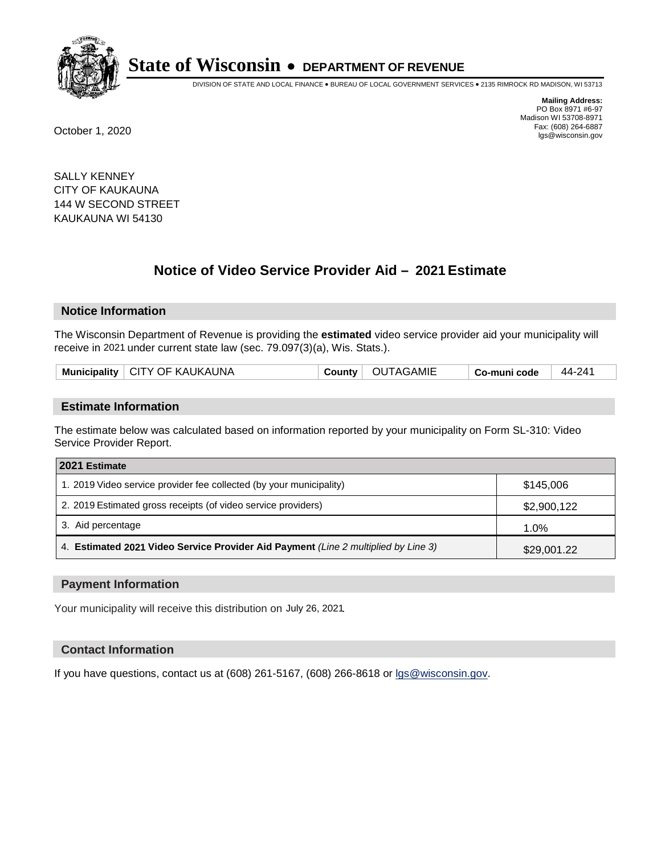

DIVISION OF STATE AND LOCAL FINANCE • BUREAU OF LOCAL GOVERNMENT SERVICES • 2135 RIMROCK RD MADISON, WI 53713

**Mailing Address:** PO Box 8971 #6-97 Madison WI 53708-8971<br>Fax: (608) 264-6887 Fax: (608) 264-6887 October 1, 2020 lgs@wisconsin.gov

SALLY KENNEY CITY OF KAUKAUNA 144 W SECOND STREET KAUKAUNA WI 54130

# **Notice of Video Service Provider Aid - 2021 Estimate**

## **Notice Information**

The Wisconsin Department of Revenue is providing the **estimated** video service provider aid your municipality will receive in 2021 under current state law (sec. 79.097(3)(a), Wis. Stats.).

|--|

#### **Estimate Information**

The estimate below was calculated based on information reported by your municipality on Form SL-310: Video Service Provider Report.

| 2021 Estimate                                                                      |             |
|------------------------------------------------------------------------------------|-------------|
| 1. 2019 Video service provider fee collected (by your municipality)                | \$145,006   |
| 2. 2019 Estimated gross receipts (of video service providers)                      | \$2,900,122 |
| 3. Aid percentage                                                                  | 1.0%        |
| 4. Estimated 2021 Video Service Provider Aid Payment (Line 2 multiplied by Line 3) | \$29,001.22 |

#### **Payment Information**

Your municipality will receive this distribution on July 26, 2021.

## **Contact Information**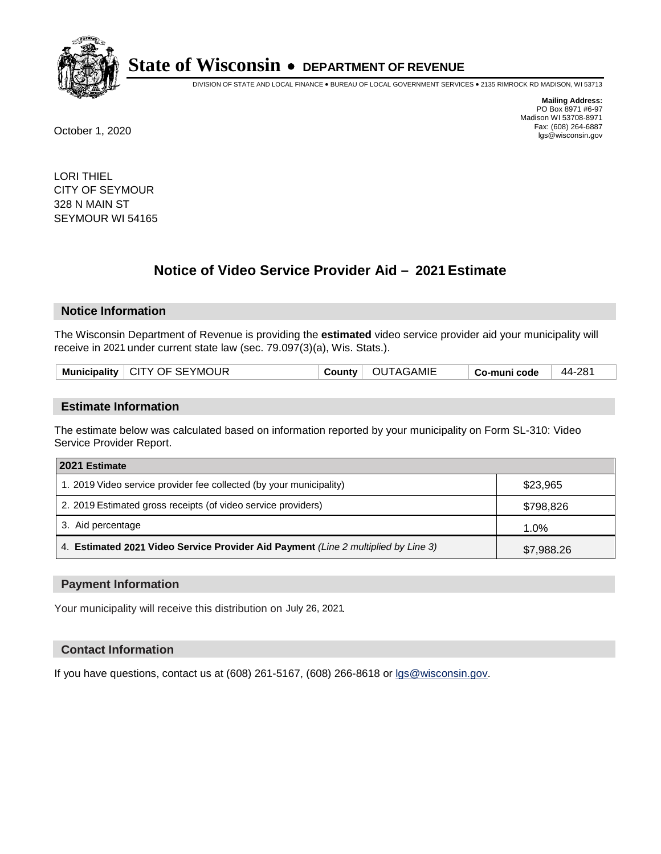

DIVISION OF STATE AND LOCAL FINANCE • BUREAU OF LOCAL GOVERNMENT SERVICES • 2135 RIMROCK RD MADISON, WI 53713

**Mailing Address:** PO Box 8971 #6-97 Madison WI 53708-8971<br>Fax: (608) 264-6887 Fax: (608) 264-6887 October 1, 2020 lgs@wisconsin.gov

LORI THIEL CITY OF SEYMOUR 328 N MAIN ST SEYMOUR WI 54165

# **Notice of Video Service Provider Aid - 2021 Estimate**

## **Notice Information**

The Wisconsin Department of Revenue is providing the **estimated** video service provider aid your municipality will receive in 2021 under current state law (sec. 79.097(3)(a), Wis. Stats.).

|--|

#### **Estimate Information**

The estimate below was calculated based on information reported by your municipality on Form SL-310: Video Service Provider Report.

| 2021 Estimate                                                                      |            |
|------------------------------------------------------------------------------------|------------|
| 1. 2019 Video service provider fee collected (by your municipality)                | \$23,965   |
| 2. 2019 Estimated gross receipts (of video service providers)                      | \$798,826  |
| 3. Aid percentage                                                                  | 1.0%       |
| 4. Estimated 2021 Video Service Provider Aid Payment (Line 2 multiplied by Line 3) | \$7,988.26 |

#### **Payment Information**

Your municipality will receive this distribution on July 26, 2021.

## **Contact Information**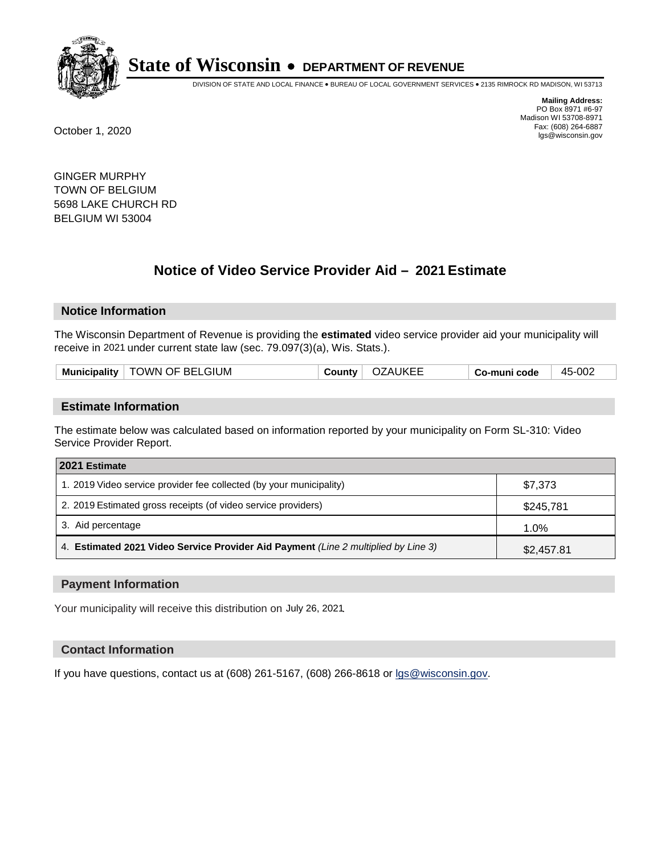

DIVISION OF STATE AND LOCAL FINANCE • BUREAU OF LOCAL GOVERNMENT SERVICES • 2135 RIMROCK RD MADISON, WI 53713

**Mailing Address:** PO Box 8971 #6-97 Madison WI 53708-8971<br>Fax: (608) 264-6887 Fax: (608) 264-6887 October 1, 2020 lgs@wisconsin.gov

GINGER MURPHY TOWN OF BELGIUM 5698 LAKE CHURCH RD BELGIUM WI 53004

# **Notice of Video Service Provider Aid - 2021 Estimate**

## **Notice Information**

The Wisconsin Department of Revenue is providing the **estimated** video service provider aid your municipality will receive in 2021 under current state law (sec. 79.097(3)(a), Wis. Stats.).

| Municipality   TOWN OF BELGIUM | County | OZAUKEE | Co-muni code | 45-002 |
|--------------------------------|--------|---------|--------------|--------|
|                                |        |         |              |        |

#### **Estimate Information**

The estimate below was calculated based on information reported by your municipality on Form SL-310: Video Service Provider Report.

| 2021 Estimate                                                                      |            |
|------------------------------------------------------------------------------------|------------|
| 1. 2019 Video service provider fee collected (by your municipality)                | \$7,373    |
| 2. 2019 Estimated gross receipts (of video service providers)                      | \$245,781  |
| 3. Aid percentage                                                                  | 1.0%       |
| 4. Estimated 2021 Video Service Provider Aid Payment (Line 2 multiplied by Line 3) | \$2,457.81 |

#### **Payment Information**

Your municipality will receive this distribution on July 26, 2021.

## **Contact Information**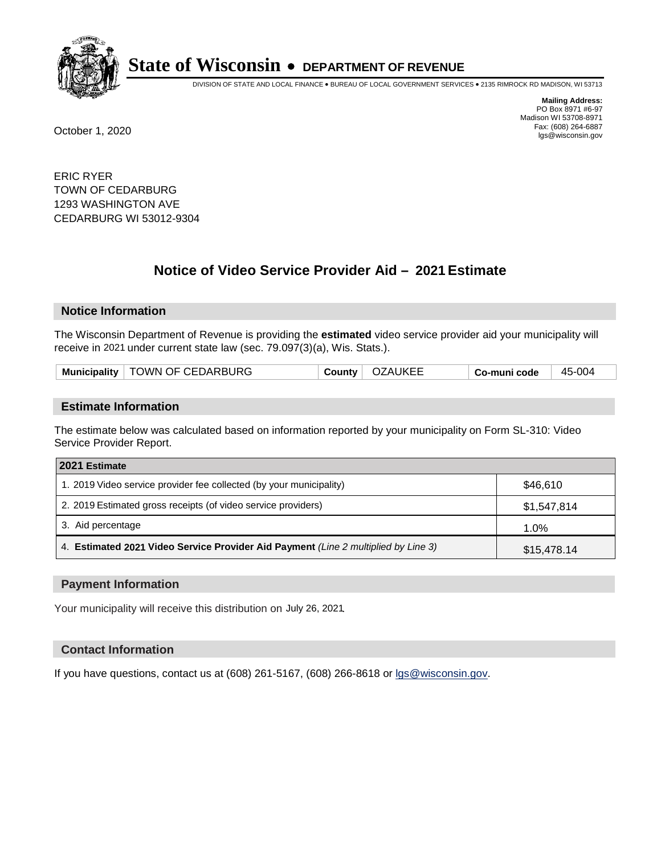

DIVISION OF STATE AND LOCAL FINANCE • BUREAU OF LOCAL GOVERNMENT SERVICES • 2135 RIMROCK RD MADISON, WI 53713

**Mailing Address:** PO Box 8971 #6-97 Madison WI 53708-8971<br>Fax: (608) 264-6887 Fax: (608) 264-6887 October 1, 2020 lgs@wisconsin.gov

ERIC RYER TOWN OF CEDARBURG 1293 WASHINGTON AVE CEDARBURG WI 53012-9304

# **Notice of Video Service Provider Aid - 2021 Estimate**

## **Notice Information**

The Wisconsin Department of Revenue is providing the **estimated** video service provider aid your municipality will receive in 2021 under current state law (sec. 79.097(3)(a), Wis. Stats.).

| Municipality   TOWN OF CEDARBURG | County   OZAUKEE | Co-muni code | 45-004 |
|----------------------------------|------------------|--------------|--------|
|----------------------------------|------------------|--------------|--------|

#### **Estimate Information**

The estimate below was calculated based on information reported by your municipality on Form SL-310: Video Service Provider Report.

| 2021 Estimate                                                                      |             |
|------------------------------------------------------------------------------------|-------------|
| 1. 2019 Video service provider fee collected (by your municipality)                | \$46.610    |
| 2. 2019 Estimated gross receipts (of video service providers)                      | \$1,547,814 |
| 3. Aid percentage                                                                  | 1.0%        |
| 4. Estimated 2021 Video Service Provider Aid Payment (Line 2 multiplied by Line 3) | \$15,478.14 |

#### **Payment Information**

Your municipality will receive this distribution on July 26, 2021.

## **Contact Information**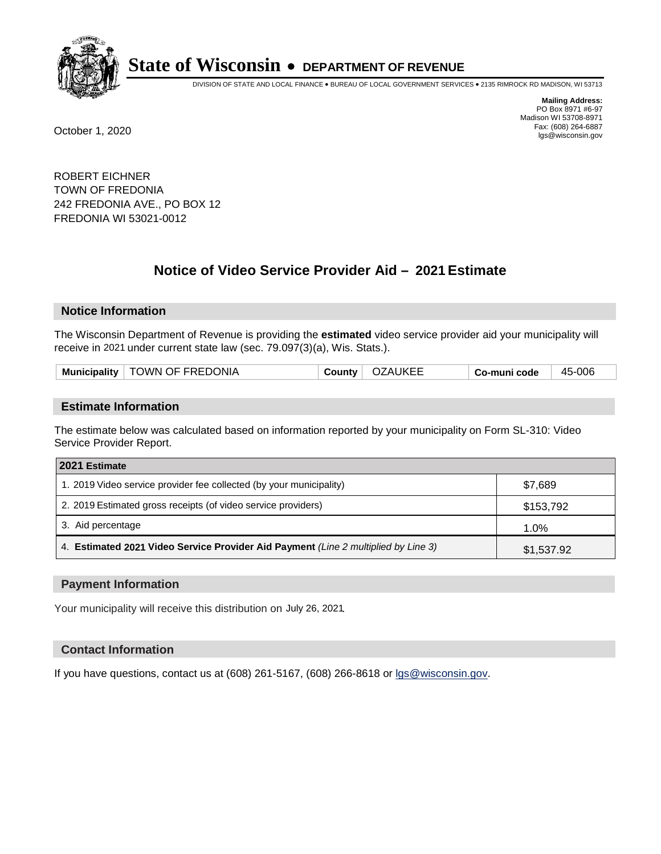

DIVISION OF STATE AND LOCAL FINANCE • BUREAU OF LOCAL GOVERNMENT SERVICES • 2135 RIMROCK RD MADISON, WI 53713

**Mailing Address:** PO Box 8971 #6-97 Madison WI 53708-8971<br>Fax: (608) 264-6887 Fax: (608) 264-6887 October 1, 2020 lgs@wisconsin.gov

ROBERT EICHNER TOWN OF FREDONIA 242 FREDONIA AVE., PO BOX 12 FREDONIA WI 53021-0012

# **Notice of Video Service Provider Aid - 2021 Estimate**

## **Notice Information**

The Wisconsin Department of Revenue is providing the **estimated** video service provider aid your municipality will receive in 2021 under current state law (sec. 79.097(3)(a), Wis. Stats.).

| Municipality   TOWN OF FREDONIA | County $\vdash$ | <b>OZAUKEE</b> | Co-muni code | 45-006 |
|---------------------------------|-----------------|----------------|--------------|--------|
|---------------------------------|-----------------|----------------|--------------|--------|

#### **Estimate Information**

The estimate below was calculated based on information reported by your municipality on Form SL-310: Video Service Provider Report.

| 2021 Estimate                                                                      |            |
|------------------------------------------------------------------------------------|------------|
| 1. 2019 Video service provider fee collected (by your municipality)                | \$7.689    |
| 2. 2019 Estimated gross receipts (of video service providers)                      | \$153,792  |
| 3. Aid percentage                                                                  | 1.0%       |
| 4. Estimated 2021 Video Service Provider Aid Payment (Line 2 multiplied by Line 3) | \$1,537.92 |

#### **Payment Information**

Your municipality will receive this distribution on July 26, 2021.

## **Contact Information**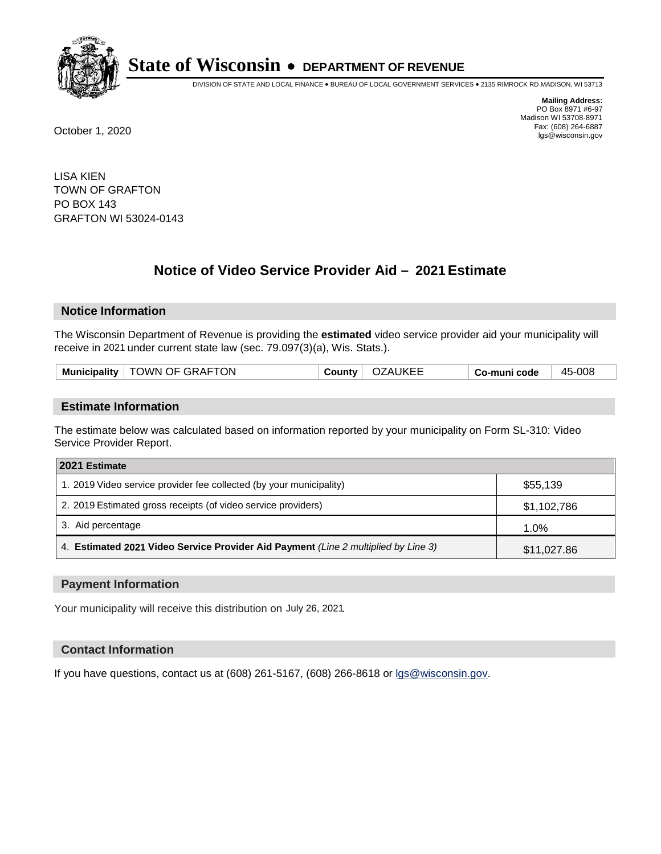

DIVISION OF STATE AND LOCAL FINANCE • BUREAU OF LOCAL GOVERNMENT SERVICES • 2135 RIMROCK RD MADISON, WI 53713

**Mailing Address:** PO Box 8971 #6-97 Madison WI 53708-8971<br>Fax: (608) 264-6887 Fax: (608) 264-6887 October 1, 2020 lgs@wisconsin.gov

LISA KIEN TOWN OF GRAFTON PO BOX 143 GRAFTON WI 53024-0143

# **Notice of Video Service Provider Aid - 2021 Estimate**

## **Notice Information**

The Wisconsin Department of Revenue is providing the **estimated** video service provider aid your municipality will receive in 2021 under current state law (sec. 79.097(3)(a), Wis. Stats.).

|--|

#### **Estimate Information**

The estimate below was calculated based on information reported by your municipality on Form SL-310: Video Service Provider Report.

| 2021 Estimate                                                                      |             |
|------------------------------------------------------------------------------------|-------------|
| 1. 2019 Video service provider fee collected (by your municipality)                | \$55,139    |
| 2. 2019 Estimated gross receipts (of video service providers)                      | \$1,102,786 |
| 3. Aid percentage                                                                  | 1.0%        |
| 4. Estimated 2021 Video Service Provider Aid Payment (Line 2 multiplied by Line 3) | \$11,027.86 |

#### **Payment Information**

Your municipality will receive this distribution on July 26, 2021.

## **Contact Information**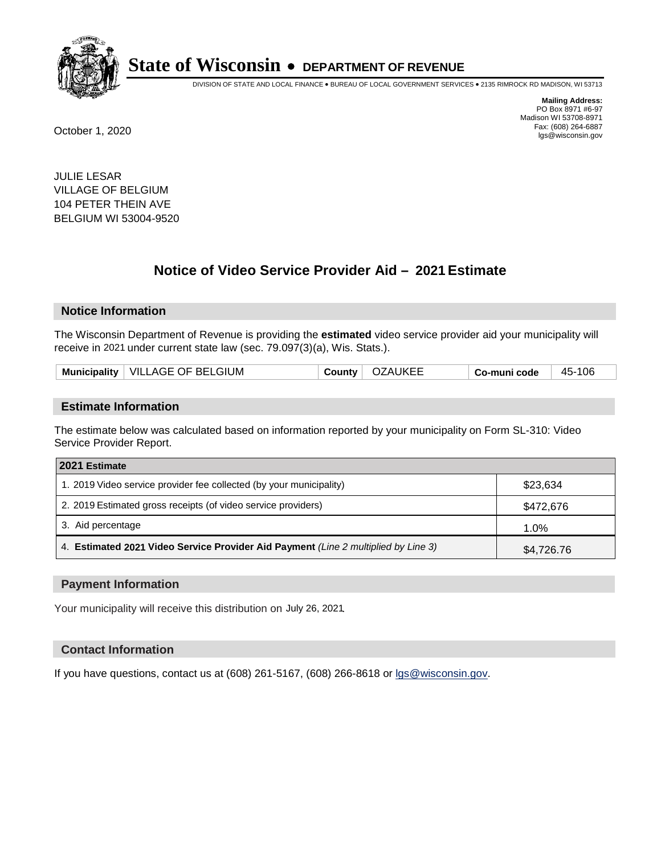

DIVISION OF STATE AND LOCAL FINANCE • BUREAU OF LOCAL GOVERNMENT SERVICES • 2135 RIMROCK RD MADISON, WI 53713

**Mailing Address:** PO Box 8971 #6-97 Madison WI 53708-8971<br>Fax: (608) 264-6887 Fax: (608) 264-6887 October 1, 2020 lgs@wisconsin.gov

JULIE LESAR VILLAGE OF BELGIUM 104 PETER THEIN AVE BELGIUM WI 53004-9520

# **Notice of Video Service Provider Aid - 2021 Estimate**

## **Notice Information**

The Wisconsin Department of Revenue is providing the **estimated** video service provider aid your municipality will receive in 2021 under current state law (sec. 79.097(3)(a), Wis. Stats.).

| Municipality   VILLAGE OF BELGIUM | County | OZAUKEE | Co-muni code | 45-106 |
|-----------------------------------|--------|---------|--------------|--------|
|-----------------------------------|--------|---------|--------------|--------|

#### **Estimate Information**

The estimate below was calculated based on information reported by your municipality on Form SL-310: Video Service Provider Report.

| 2021 Estimate                                                                      |            |
|------------------------------------------------------------------------------------|------------|
| 1. 2019 Video service provider fee collected (by your municipality)                | \$23,634   |
| 2. 2019 Estimated gross receipts (of video service providers)                      | \$472,676  |
| 3. Aid percentage                                                                  | 1.0%       |
| 4. Estimated 2021 Video Service Provider Aid Payment (Line 2 multiplied by Line 3) | \$4,726.76 |

#### **Payment Information**

Your municipality will receive this distribution on July 26, 2021.

## **Contact Information**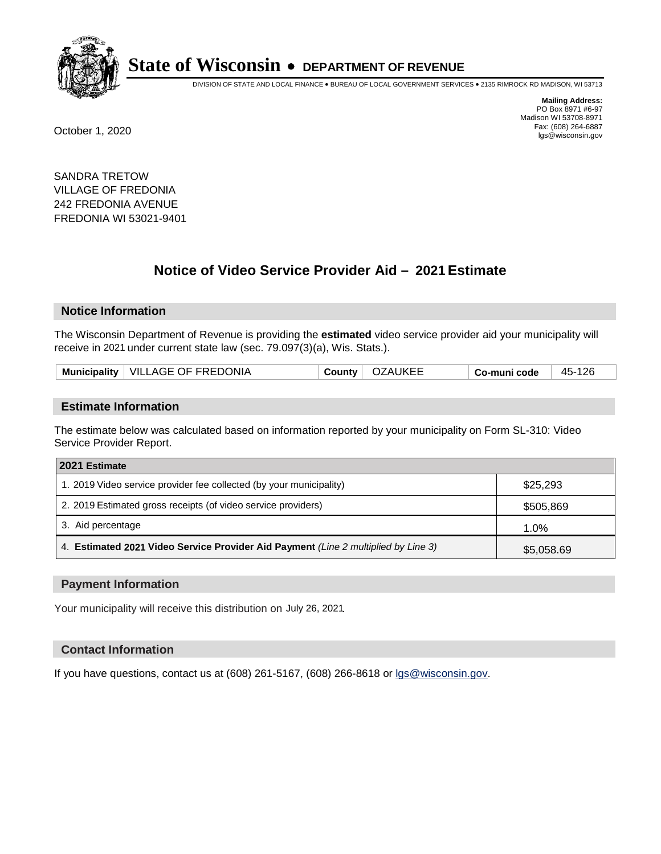

DIVISION OF STATE AND LOCAL FINANCE • BUREAU OF LOCAL GOVERNMENT SERVICES • 2135 RIMROCK RD MADISON, WI 53713

**Mailing Address:** PO Box 8971 #6-97 Madison WI 53708-8971<br>Fax: (608) 264-6887 Fax: (608) 264-6887 October 1, 2020 lgs@wisconsin.gov

SANDRA TRETOW VILLAGE OF FREDONIA 242 FREDONIA AVENUE FREDONIA WI 53021-9401

# **Notice of Video Service Provider Aid - 2021 Estimate**

## **Notice Information**

The Wisconsin Department of Revenue is providing the **estimated** video service provider aid your municipality will receive in 2021 under current state law (sec. 79.097(3)(a), Wis. Stats.).

| Municipality   VILLAGE OF FREDONIA |  | County   OZAUKEE | Co-muni code | 45-126 |
|------------------------------------|--|------------------|--------------|--------|
|------------------------------------|--|------------------|--------------|--------|

#### **Estimate Information**

The estimate below was calculated based on information reported by your municipality on Form SL-310: Video Service Provider Report.

| 2021 Estimate                                                                      |            |
|------------------------------------------------------------------------------------|------------|
| 1. 2019 Video service provider fee collected (by your municipality)                | \$25,293   |
| 2. 2019 Estimated gross receipts (of video service providers)                      | \$505,869  |
| 3. Aid percentage                                                                  | 1.0%       |
| 4. Estimated 2021 Video Service Provider Aid Payment (Line 2 multiplied by Line 3) | \$5,058.69 |

#### **Payment Information**

Your municipality will receive this distribution on July 26, 2021.

## **Contact Information**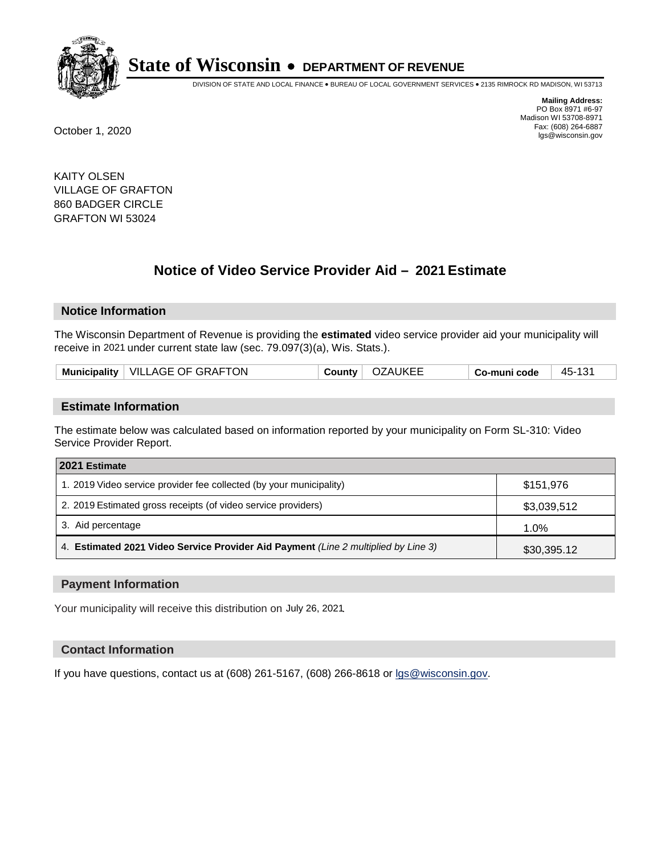

DIVISION OF STATE AND LOCAL FINANCE • BUREAU OF LOCAL GOVERNMENT SERVICES • 2135 RIMROCK RD MADISON, WI 53713

**Mailing Address:** PO Box 8971 #6-97 Madison WI 53708-8971<br>Fax: (608) 264-6887 Fax: (608) 264-6887 October 1, 2020 lgs@wisconsin.gov

KAITY OLSEN VILLAGE OF GRAFTON 860 BADGER CIRCLE GRAFTON WI 53024

# **Notice of Video Service Provider Aid - 2021 Estimate**

## **Notice Information**

The Wisconsin Department of Revenue is providing the **estimated** video service provider aid your municipality will receive in 2021 under current state law (sec. 79.097(3)(a), Wis. Stats.).

| Municipality   VILLAGE OF GRAFTON | OZAUKEE<br>County | 45-131<br>Co-muni code |
|-----------------------------------|-------------------|------------------------|
|-----------------------------------|-------------------|------------------------|

#### **Estimate Information**

The estimate below was calculated based on information reported by your municipality on Form SL-310: Video Service Provider Report.

| 2021 Estimate                                                                      |             |
|------------------------------------------------------------------------------------|-------------|
| 1. 2019 Video service provider fee collected (by your municipality)                | \$151.976   |
| 2. 2019 Estimated gross receipts (of video service providers)                      | \$3,039,512 |
| 3. Aid percentage                                                                  | 1.0%        |
| 4. Estimated 2021 Video Service Provider Aid Payment (Line 2 multiplied by Line 3) | \$30,395.12 |

#### **Payment Information**

Your municipality will receive this distribution on July 26, 2021.

## **Contact Information**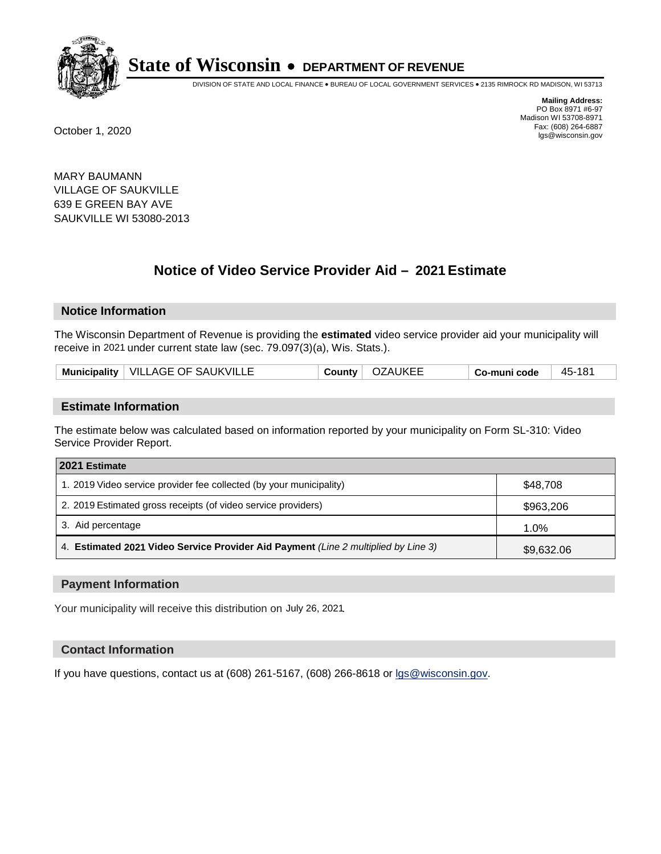

DIVISION OF STATE AND LOCAL FINANCE • BUREAU OF LOCAL GOVERNMENT SERVICES • 2135 RIMROCK RD MADISON, WI 53713

**Mailing Address:** PO Box 8971 #6-97 Madison WI 53708-8971<br>Fax: (608) 264-6887 Fax: (608) 264-6887 October 1, 2020 lgs@wisconsin.gov

MARY BAUMANN VILLAGE OF SAUKVILLE 639 E GREEN BAY AVE SAUKVILLE WI 53080-2013

# **Notice of Video Service Provider Aid - 2021 Estimate**

## **Notice Information**

The Wisconsin Department of Revenue is providing the **estimated** video service provider aid your municipality will receive in 2021 under current state law (sec. 79.097(3)(a), Wis. Stats.).

| Municipality   VILLAGE OF SAUKVILLE | <b>OZAUKEE</b><br>Countv | 45-181<br>Co-muni code |  |
|-------------------------------------|--------------------------|------------------------|--|
|-------------------------------------|--------------------------|------------------------|--|

#### **Estimate Information**

The estimate below was calculated based on information reported by your municipality on Form SL-310: Video Service Provider Report.

| 2021 Estimate                                                                      |            |
|------------------------------------------------------------------------------------|------------|
| 1. 2019 Video service provider fee collected (by your municipality)                | \$48.708   |
| 2. 2019 Estimated gross receipts (of video service providers)                      | \$963,206  |
| 3. Aid percentage                                                                  | 1.0%       |
| 4. Estimated 2021 Video Service Provider Aid Payment (Line 2 multiplied by Line 3) | \$9,632.06 |

#### **Payment Information**

Your municipality will receive this distribution on July 26, 2021.

## **Contact Information**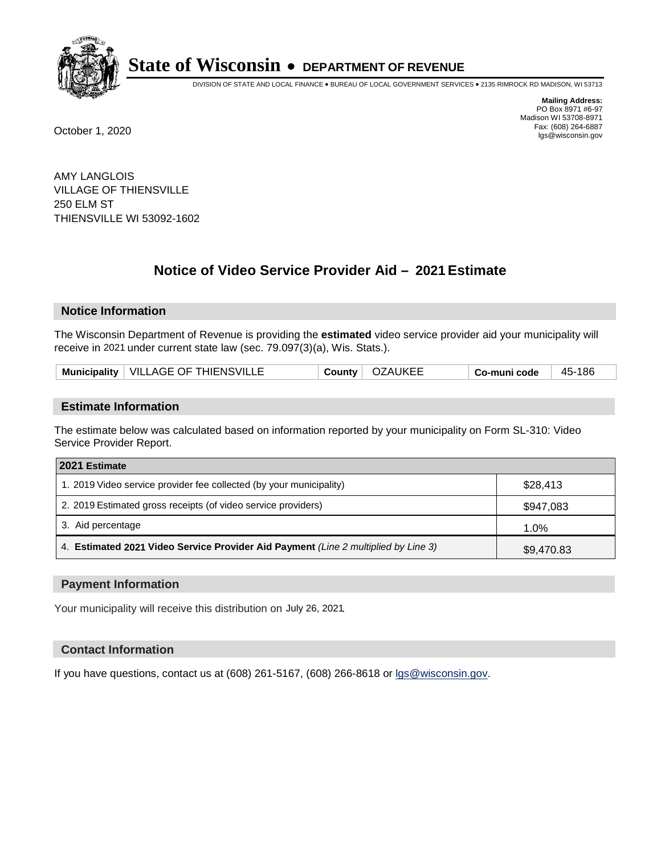

DIVISION OF STATE AND LOCAL FINANCE • BUREAU OF LOCAL GOVERNMENT SERVICES • 2135 RIMROCK RD MADISON, WI 53713

**Mailing Address:** PO Box 8971 #6-97 Madison WI 53708-8971<br>Fax: (608) 264-6887 Fax: (608) 264-6887 October 1, 2020 lgs@wisconsin.gov

AMY LANGLOIS VILLAGE OF THIENSVILLE 250 ELM ST THIENSVILLE WI 53092-1602

# **Notice of Video Service Provider Aid - 2021 Estimate**

## **Notice Information**

The Wisconsin Department of Revenue is providing the **estimated** video service provider aid your municipality will receive in 2021 under current state law (sec. 79.097(3)(a), Wis. Stats.).

| Municipality   VILLAGE OF THIENSVILLE | OZAUKEE<br>County | 45-186<br>Co-muni code |  |
|---------------------------------------|-------------------|------------------------|--|
|---------------------------------------|-------------------|------------------------|--|

#### **Estimate Information**

The estimate below was calculated based on information reported by your municipality on Form SL-310: Video Service Provider Report.

| 2021 Estimate                                                                      |            |
|------------------------------------------------------------------------------------|------------|
| 1. 2019 Video service provider fee collected (by your municipality)                | \$28,413   |
| 2. 2019 Estimated gross receipts (of video service providers)                      | \$947,083  |
| 3. Aid percentage                                                                  | 1.0%       |
| 4. Estimated 2021 Video Service Provider Aid Payment (Line 2 multiplied by Line 3) | \$9,470.83 |

#### **Payment Information**

Your municipality will receive this distribution on July 26, 2021.

## **Contact Information**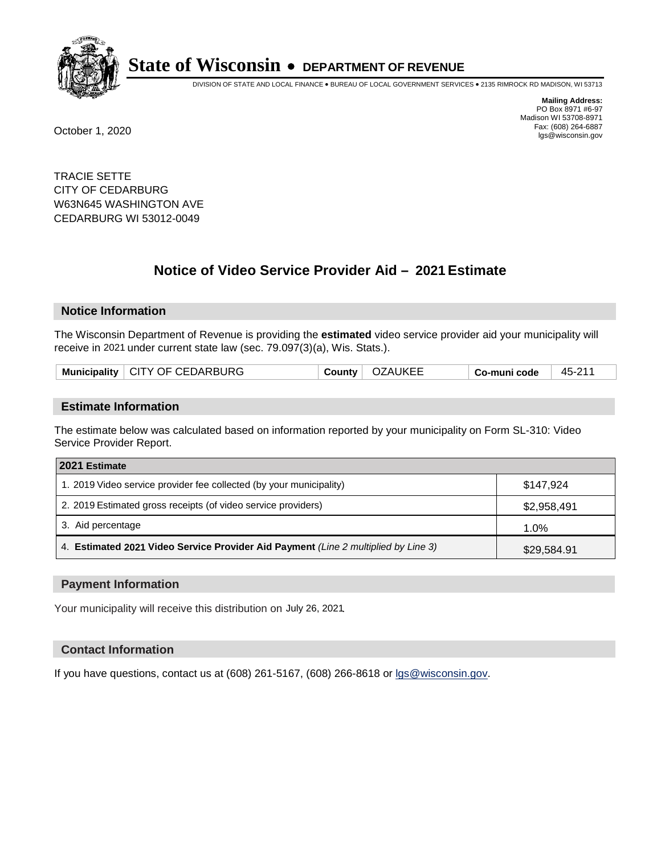

DIVISION OF STATE AND LOCAL FINANCE • BUREAU OF LOCAL GOVERNMENT SERVICES • 2135 RIMROCK RD MADISON, WI 53713

**Mailing Address:** PO Box 8971 #6-97 Madison WI 53708-8971<br>Fax: (608) 264-6887 Fax: (608) 264-6887 October 1, 2020 lgs@wisconsin.gov

TRACIE SETTE CITY OF CEDARBURG W63N645 WASHINGTON AVE CEDARBURG WI 53012-0049

# **Notice of Video Service Provider Aid - 2021 Estimate**

## **Notice Information**

The Wisconsin Department of Revenue is providing the **estimated** video service provider aid your municipality will receive in 2021 under current state law (sec. 79.097(3)(a), Wis. Stats.).

| Municipality   CITY OF CEDARBURG<br>Co-muni code |
|--------------------------------------------------|
|--------------------------------------------------|

#### **Estimate Information**

The estimate below was calculated based on information reported by your municipality on Form SL-310: Video Service Provider Report.

| 2021 Estimate                                                                      |             |
|------------------------------------------------------------------------------------|-------------|
| 1. 2019 Video service provider fee collected (by your municipality)                | \$147.924   |
| 2. 2019 Estimated gross receipts (of video service providers)                      | \$2,958,491 |
| 3. Aid percentage                                                                  | 1.0%        |
| 4. Estimated 2021 Video Service Provider Aid Payment (Line 2 multiplied by Line 3) | \$29,584.91 |

#### **Payment Information**

Your municipality will receive this distribution on July 26, 2021.

## **Contact Information**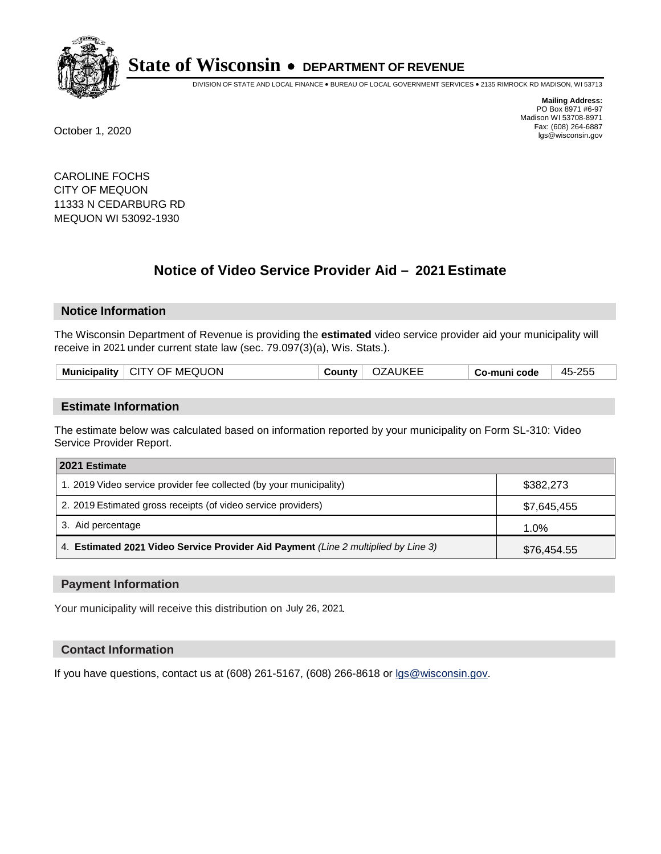

DIVISION OF STATE AND LOCAL FINANCE • BUREAU OF LOCAL GOVERNMENT SERVICES • 2135 RIMROCK RD MADISON, WI 53713

**Mailing Address:** PO Box 8971 #6-97 Madison WI 53708-8971<br>Fax: (608) 264-6887 Fax: (608) 264-6887 October 1, 2020 lgs@wisconsin.gov

CAROLINE FOCHS CITY OF MEQUON 11333 N CEDARBURG RD MEQUON WI 53092-1930

# **Notice of Video Service Provider Aid - 2021 Estimate**

## **Notice Information**

The Wisconsin Department of Revenue is providing the **estimated** video service provider aid your municipality will receive in 2021 under current state law (sec. 79.097(3)(a), Wis. Stats.).

|  | Municipality   CITY OF MEQUON | County | OZAUKEE | ∣ Co-muni code | 45-255 |
|--|-------------------------------|--------|---------|----------------|--------|
|--|-------------------------------|--------|---------|----------------|--------|

#### **Estimate Information**

The estimate below was calculated based on information reported by your municipality on Form SL-310: Video Service Provider Report.

| 2021 Estimate                                                                      |             |
|------------------------------------------------------------------------------------|-------------|
| 1. 2019 Video service provider fee collected (by your municipality)                | \$382,273   |
| 2. 2019 Estimated gross receipts (of video service providers)                      | \$7,645,455 |
| 3. Aid percentage                                                                  | $1.0\%$     |
| 4. Estimated 2021 Video Service Provider Aid Payment (Line 2 multiplied by Line 3) | \$76,454.55 |

#### **Payment Information**

Your municipality will receive this distribution on July 26, 2021.

## **Contact Information**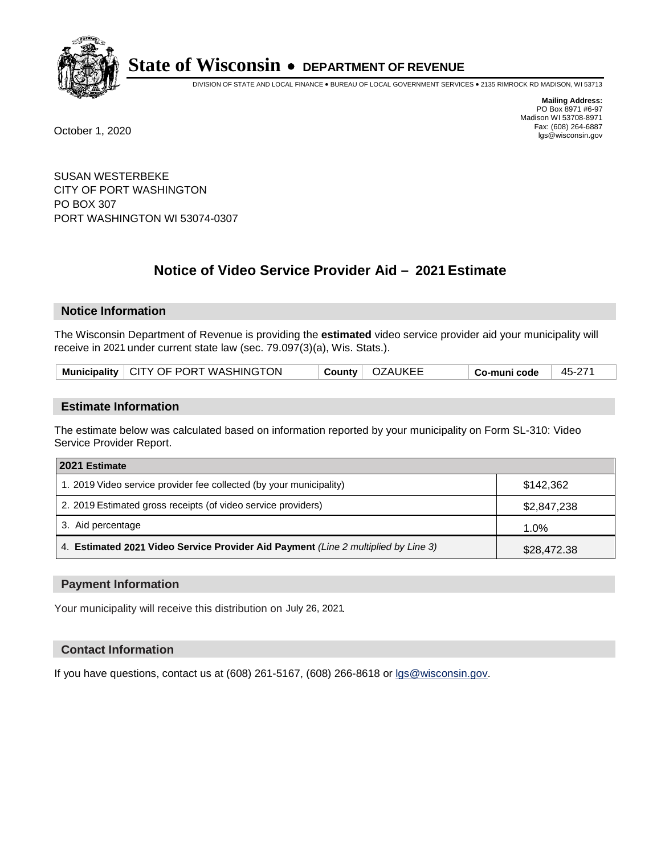

DIVISION OF STATE AND LOCAL FINANCE • BUREAU OF LOCAL GOVERNMENT SERVICES • 2135 RIMROCK RD MADISON, WI 53713

**Mailing Address:** PO Box 8971 #6-97 Madison WI 53708-8971<br>Fax: (608) 264-6887 Fax: (608) 264-6887 October 1, 2020 lgs@wisconsin.gov

SUSAN WESTERBEKE CITY OF PORT WASHINGTON PO BOX 307 PORT WASHINGTON WI 53074-0307

# **Notice of Video Service Provider Aid - 2021 Estimate**

## **Notice Information**

The Wisconsin Department of Revenue is providing the **estimated** video service provider aid your municipality will receive in 2021 under current state law (sec. 79.097(3)(a), Wis. Stats.).

| Municipality   CITY OF PORT WASHINGTON | County   OZAUKEE |  | Co-muni code | 45-271 |
|----------------------------------------|------------------|--|--------------|--------|
|----------------------------------------|------------------|--|--------------|--------|

#### **Estimate Information**

The estimate below was calculated based on information reported by your municipality on Form SL-310: Video Service Provider Report.

| 2021 Estimate                                                                      |             |
|------------------------------------------------------------------------------------|-------------|
| 1. 2019 Video service provider fee collected (by your municipality)                | \$142.362   |
| 2. 2019 Estimated gross receipts (of video service providers)                      | \$2,847,238 |
| 3. Aid percentage                                                                  | 1.0%        |
| 4. Estimated 2021 Video Service Provider Aid Payment (Line 2 multiplied by Line 3) | \$28,472.38 |

#### **Payment Information**

Your municipality will receive this distribution on July 26, 2021.

## **Contact Information**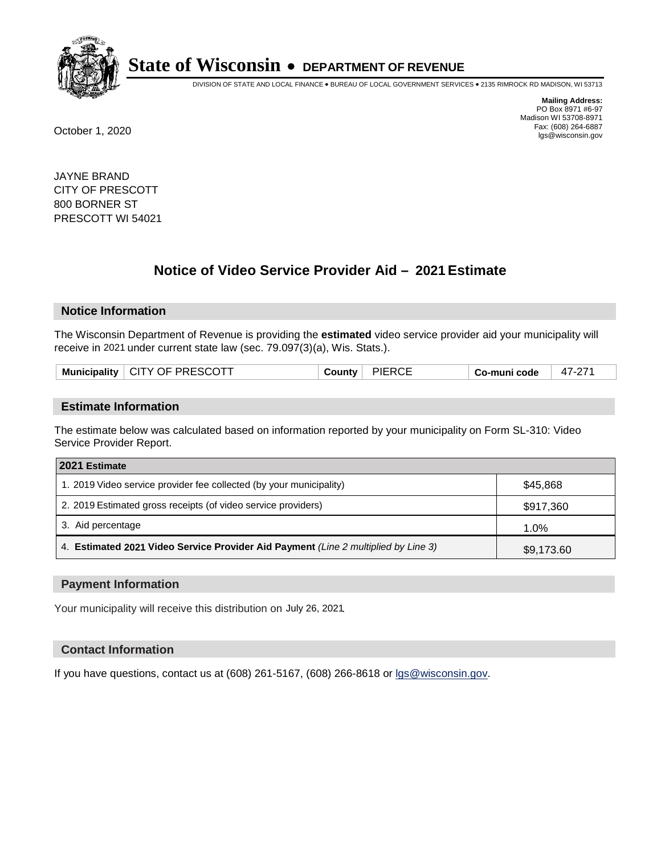

DIVISION OF STATE AND LOCAL FINANCE • BUREAU OF LOCAL GOVERNMENT SERVICES • 2135 RIMROCK RD MADISON, WI 53713

**Mailing Address:** PO Box 8971 #6-97 Madison WI 53708-8971<br>Fax: (608) 264-6887 Fax: (608) 264-6887 October 1, 2020 lgs@wisconsin.gov

JAYNE BRAND CITY OF PRESCOTT 800 BORNER ST PRESCOTT WI 54021

# **Notice of Video Service Provider Aid - 2021 Estimate**

## **Notice Information**

The Wisconsin Department of Revenue is providing the **estimated** video service provider aid your municipality will receive in 2021 under current state law (sec. 79.097(3)(a), Wis. Stats.).

| Municipality   CITY OF PRESCOTT | County | <b>PIERCE</b> | Co-muni code | n7.<br>47-2 |
|---------------------------------|--------|---------------|--------------|-------------|
|                                 |        |               |              |             |

#### **Estimate Information**

The estimate below was calculated based on information reported by your municipality on Form SL-310: Video Service Provider Report.

| 2021 Estimate                                                                      |            |
|------------------------------------------------------------------------------------|------------|
| 1. 2019 Video service provider fee collected (by your municipality)                | \$45,868   |
| 2. 2019 Estimated gross receipts (of video service providers)                      | \$917,360  |
| 3. Aid percentage                                                                  | 1.0%       |
| 4. Estimated 2021 Video Service Provider Aid Payment (Line 2 multiplied by Line 3) | \$9,173.60 |

#### **Payment Information**

Your municipality will receive this distribution on July 26, 2021.

## **Contact Information**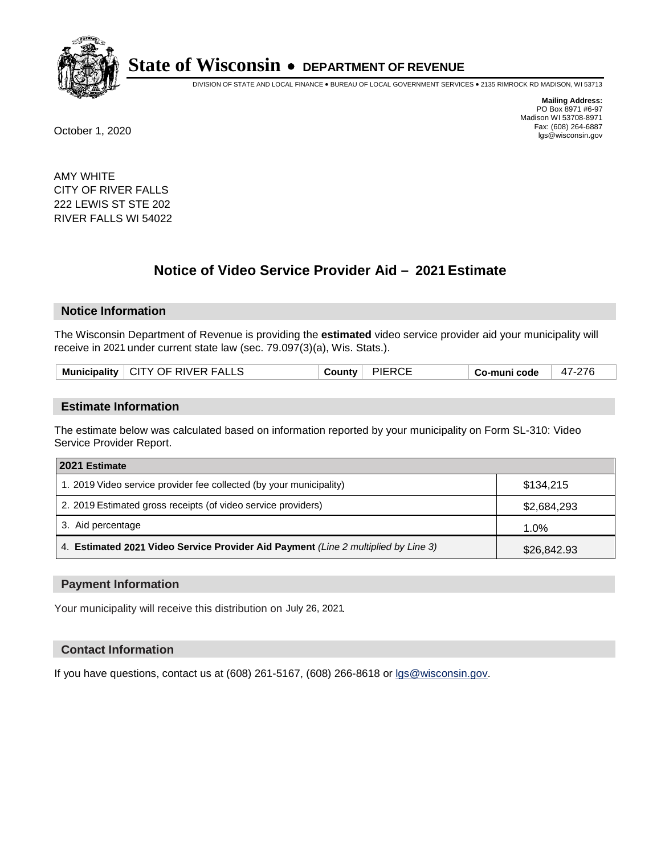

DIVISION OF STATE AND LOCAL FINANCE • BUREAU OF LOCAL GOVERNMENT SERVICES • 2135 RIMROCK RD MADISON, WI 53713

**Mailing Address:** PO Box 8971 #6-97 Madison WI 53708-8971<br>Fax: (608) 264-6887 Fax: (608) 264-6887 October 1, 2020 lgs@wisconsin.gov

AMY WHITE CITY OF RIVER FALLS 222 LEWIS ST STE 202 RIVER FALLS WI 54022

# **Notice of Video Service Provider Aid - 2021 Estimate**

## **Notice Information**

The Wisconsin Department of Revenue is providing the **estimated** video service provider aid your municipality will receive in 2021 under current state law (sec. 79.097(3)(a), Wis. Stats.).

|  | Municipality   CITY OF RIVER FALLS | County ' | <b>PIERCE</b> | Co-muni code | 47-276 |
|--|------------------------------------|----------|---------------|--------------|--------|
|--|------------------------------------|----------|---------------|--------------|--------|

#### **Estimate Information**

The estimate below was calculated based on information reported by your municipality on Form SL-310: Video Service Provider Report.

| 2021 Estimate                                                                      |             |
|------------------------------------------------------------------------------------|-------------|
| 1. 2019 Video service provider fee collected (by your municipality)                | \$134.215   |
| 2. 2019 Estimated gross receipts (of video service providers)                      | \$2,684,293 |
| 3. Aid percentage                                                                  | 1.0%        |
| 4. Estimated 2021 Video Service Provider Aid Payment (Line 2 multiplied by Line 3) | \$26,842.93 |

#### **Payment Information**

Your municipality will receive this distribution on July 26, 2021.

## **Contact Information**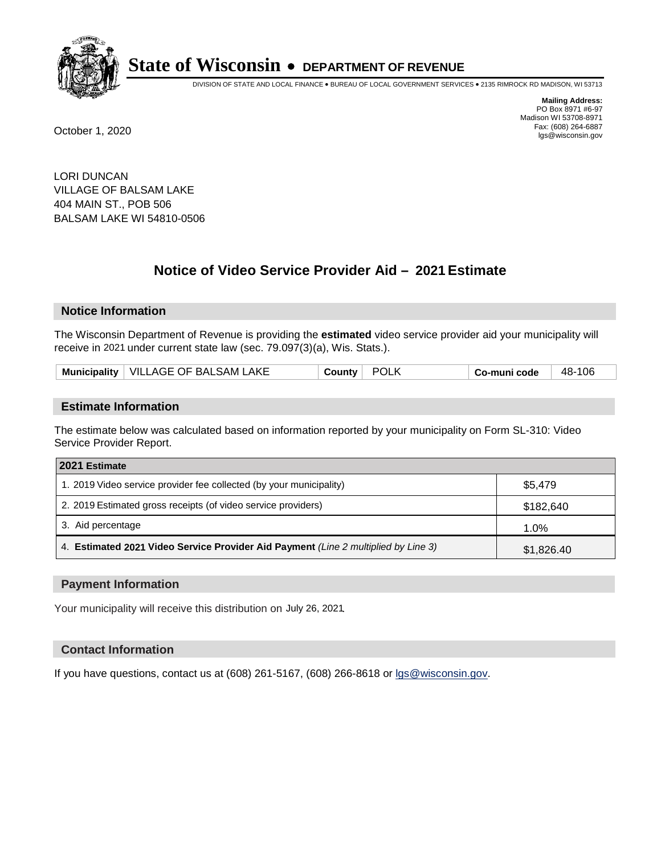

DIVISION OF STATE AND LOCAL FINANCE • BUREAU OF LOCAL GOVERNMENT SERVICES • 2135 RIMROCK RD MADISON, WI 53713

**Mailing Address:** PO Box 8971 #6-97 Madison WI 53708-8971<br>Fax: (608) 264-6887 Fax: (608) 264-6887 October 1, 2020 lgs@wisconsin.gov

LORI DUNCAN VILLAGE OF BALSAM LAKE 404 MAIN ST., POB 506 BALSAM LAKE WI 54810-0506

# **Notice of Video Service Provider Aid - 2021 Estimate**

## **Notice Information**

The Wisconsin Department of Revenue is providing the **estimated** video service provider aid your municipality will receive in 2021 under current state law (sec. 79.097(3)(a), Wis. Stats.).

| Municipality   VILLAGE OF BALSAM LAKE | <b>POLK</b><br><b>County</b> i | -106<br>-48<br>Co-muni code |
|---------------------------------------|--------------------------------|-----------------------------|
|---------------------------------------|--------------------------------|-----------------------------|

#### **Estimate Information**

The estimate below was calculated based on information reported by your municipality on Form SL-310: Video Service Provider Report.

| 2021 Estimate                                                                      |            |
|------------------------------------------------------------------------------------|------------|
| 1. 2019 Video service provider fee collected (by your municipality)                | \$5,479    |
| 2. 2019 Estimated gross receipts (of video service providers)                      | \$182,640  |
| 3. Aid percentage                                                                  | 1.0%       |
| 4. Estimated 2021 Video Service Provider Aid Payment (Line 2 multiplied by Line 3) | \$1,826.40 |

#### **Payment Information**

Your municipality will receive this distribution on July 26, 2021.

## **Contact Information**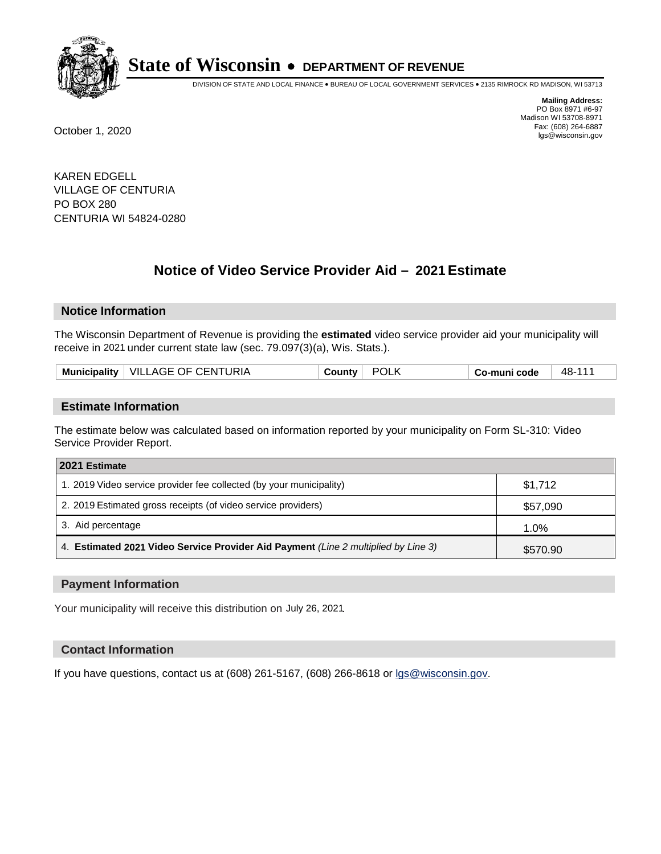

DIVISION OF STATE AND LOCAL FINANCE • BUREAU OF LOCAL GOVERNMENT SERVICES • 2135 RIMROCK RD MADISON, WI 53713

**Mailing Address:** PO Box 8971 #6-97 Madison WI 53708-8971<br>Fax: (608) 264-6887 Fax: (608) 264-6887 October 1, 2020 lgs@wisconsin.gov

KAREN EDGELL VILLAGE OF CENTURIA PO BOX 280 CENTURIA WI 54824-0280

# **Notice of Video Service Provider Aid - 2021 Estimate**

## **Notice Information**

The Wisconsin Department of Revenue is providing the **estimated** video service provider aid your municipality will receive in 2021 under current state law (sec. 79.097(3)(a), Wis. Stats.).

|  |  | Municipality   VILLAGE OF CENTURIA | ∴ountv | POL. | Co-muni code | 48-1 |
|--|--|------------------------------------|--------|------|--------------|------|
|--|--|------------------------------------|--------|------|--------------|------|

#### **Estimate Information**

The estimate below was calculated based on information reported by your municipality on Form SL-310: Video Service Provider Report.

| 2021 Estimate                                                                      |          |
|------------------------------------------------------------------------------------|----------|
| 1. 2019 Video service provider fee collected (by your municipality)                | \$1,712  |
| 2. 2019 Estimated gross receipts (of video service providers)                      | \$57,090 |
| 3. Aid percentage                                                                  | 1.0%     |
| 4. Estimated 2021 Video Service Provider Aid Payment (Line 2 multiplied by Line 3) | \$570.90 |

#### **Payment Information**

Your municipality will receive this distribution on July 26, 2021.

## **Contact Information**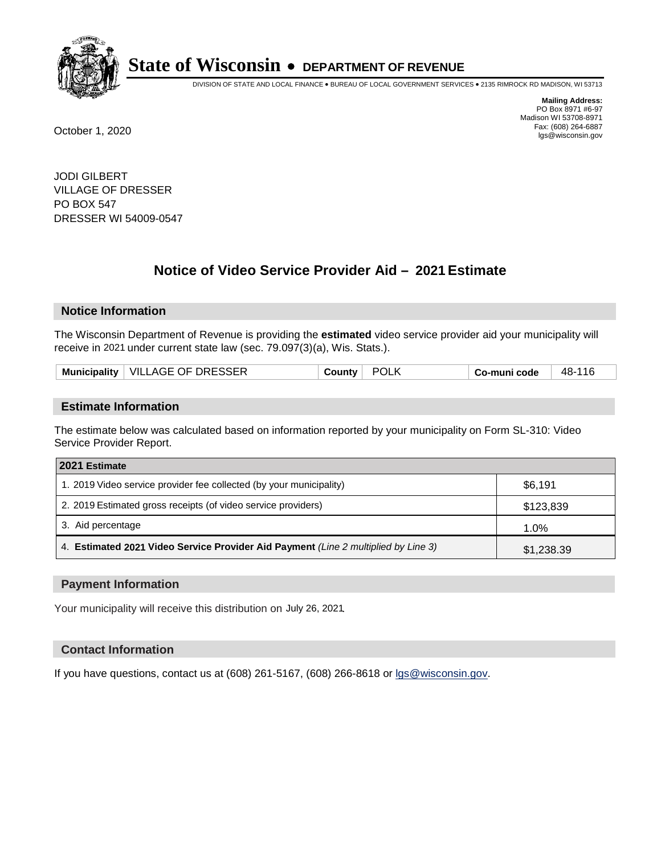

DIVISION OF STATE AND LOCAL FINANCE • BUREAU OF LOCAL GOVERNMENT SERVICES • 2135 RIMROCK RD MADISON, WI 53713

**Mailing Address:** PO Box 8971 #6-97 Madison WI 53708-8971<br>Fax: (608) 264-6887 Fax: (608) 264-6887 October 1, 2020 lgs@wisconsin.gov

JODI GILBERT VILLAGE OF DRESSER PO BOX 547 DRESSER WI 54009-0547

# **Notice of Video Service Provider Aid - 2021 Estimate**

## **Notice Information**

The Wisconsin Department of Revenue is providing the **estimated** video service provider aid your municipality will receive in 2021 under current state law (sec. 79.097(3)(a), Wis. Stats.).

|  | Municipality   VILLAGE OF DRESSER | ∴ountvٽ | POL | Co-muni code | 48- |
|--|-----------------------------------|---------|-----|--------------|-----|
|--|-----------------------------------|---------|-----|--------------|-----|

#### **Estimate Information**

The estimate below was calculated based on information reported by your municipality on Form SL-310: Video Service Provider Report.

| 2021 Estimate                                                                      |            |
|------------------------------------------------------------------------------------|------------|
| 1. 2019 Video service provider fee collected (by your municipality)                | \$6,191    |
| 2. 2019 Estimated gross receipts (of video service providers)                      | \$123,839  |
| 3. Aid percentage                                                                  | 1.0%       |
| 4. Estimated 2021 Video Service Provider Aid Payment (Line 2 multiplied by Line 3) | \$1,238.39 |

#### **Payment Information**

Your municipality will receive this distribution on July 26, 2021.

## **Contact Information**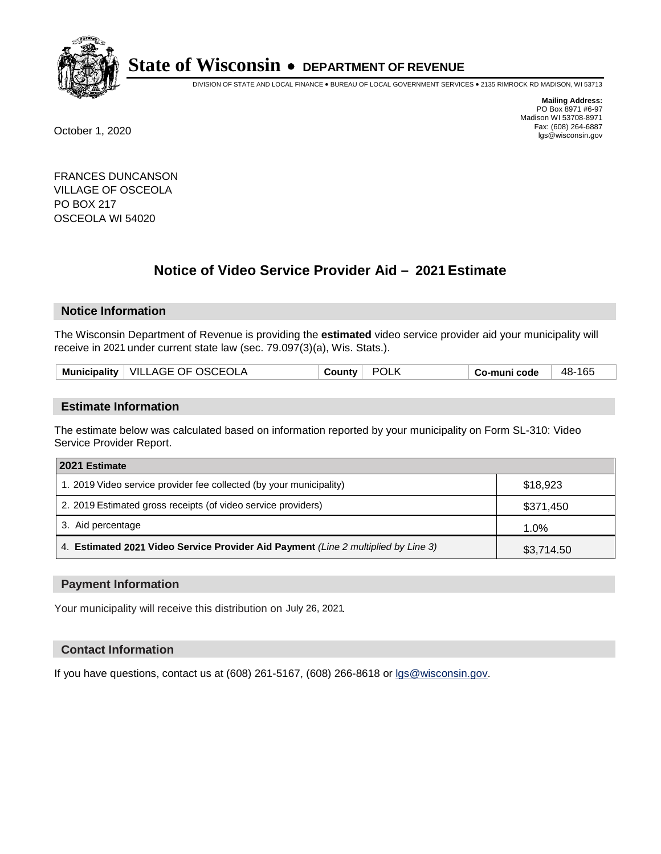

DIVISION OF STATE AND LOCAL FINANCE • BUREAU OF LOCAL GOVERNMENT SERVICES • 2135 RIMROCK RD MADISON, WI 53713

**Mailing Address:** PO Box 8971 #6-97 Madison WI 53708-8971<br>Fax: (608) 264-6887 Fax: (608) 264-6887 October 1, 2020 lgs@wisconsin.gov

FRANCES DUNCANSON VILLAGE OF OSCEOLA PO BOX 217 OSCEOLA WI 54020

# **Notice of Video Service Provider Aid - 2021 Estimate**

## **Notice Information**

The Wisconsin Department of Revenue is providing the **estimated** video service provider aid your municipality will receive in 2021 under current state law (sec. 79.097(3)(a), Wis. Stats.).

|  | Municipality   VILLAGE OF OSCEOLA | ∴ountvٽ | POL | Co-muni code | -165<br>48- |
|--|-----------------------------------|---------|-----|--------------|-------------|
|--|-----------------------------------|---------|-----|--------------|-------------|

#### **Estimate Information**

The estimate below was calculated based on information reported by your municipality on Form SL-310: Video Service Provider Report.

| 2021 Estimate                                                                      |            |
|------------------------------------------------------------------------------------|------------|
| 1. 2019 Video service provider fee collected (by your municipality)                | \$18,923   |
| 2. 2019 Estimated gross receipts (of video service providers)                      | \$371,450  |
| 3. Aid percentage                                                                  | 1.0%       |
| 4. Estimated 2021 Video Service Provider Aid Payment (Line 2 multiplied by Line 3) | \$3,714.50 |

#### **Payment Information**

Your municipality will receive this distribution on July 26, 2021.

## **Contact Information**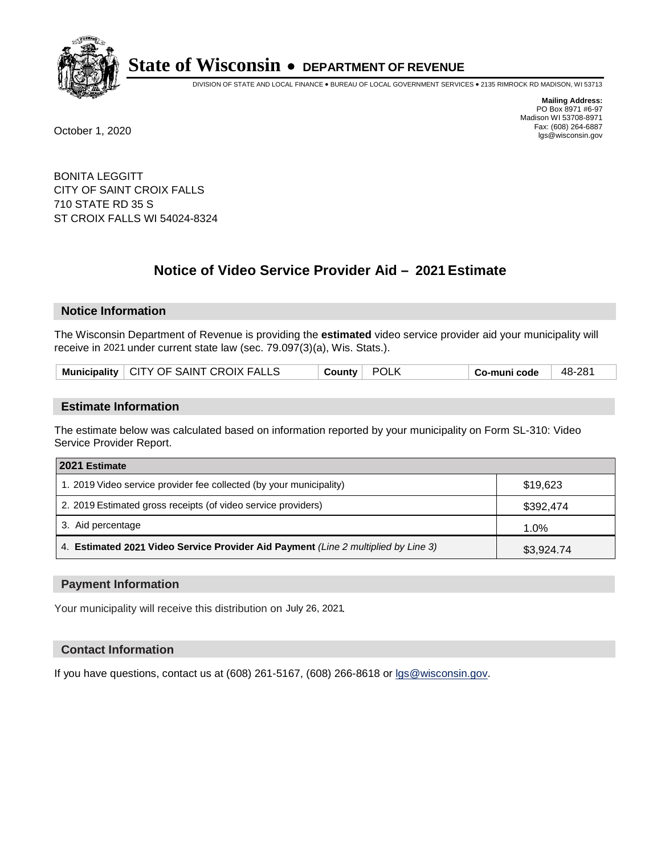

DIVISION OF STATE AND LOCAL FINANCE • BUREAU OF LOCAL GOVERNMENT SERVICES • 2135 RIMROCK RD MADISON, WI 53713

**Mailing Address:** PO Box 8971 #6-97 Madison WI 53708-8971<br>Fax: (608) 264-6887 Fax: (608) 264-6887 October 1, 2020 lgs@wisconsin.gov

BONITA LEGGITT CITY OF SAINT CROIX FALLS 710 STATE RD 35 S ST CROIX FALLS WI 54024-8324

# **Notice of Video Service Provider Aid - 2021 Estimate**

## **Notice Information**

The Wisconsin Department of Revenue is providing the **estimated** video service provider aid your municipality will receive in 2021 under current state law (sec. 79.097(3)(a), Wis. Stats.).

| Municipality   CITY OF SAINT CROIX FALLS | POLK<br>County | Co-muni code | 48-281 |
|------------------------------------------|----------------|--------------|--------|
|------------------------------------------|----------------|--------------|--------|

#### **Estimate Information**

The estimate below was calculated based on information reported by your municipality on Form SL-310: Video Service Provider Report.

| 2021 Estimate                                                                      |            |
|------------------------------------------------------------------------------------|------------|
| 1. 2019 Video service provider fee collected (by your municipality)                | \$19,623   |
| 2. 2019 Estimated gross receipts (of video service providers)                      | \$392,474  |
| 3. Aid percentage                                                                  | 1.0%       |
| 4. Estimated 2021 Video Service Provider Aid Payment (Line 2 multiplied by Line 3) | \$3,924.74 |

#### **Payment Information**

Your municipality will receive this distribution on July 26, 2021.

## **Contact Information**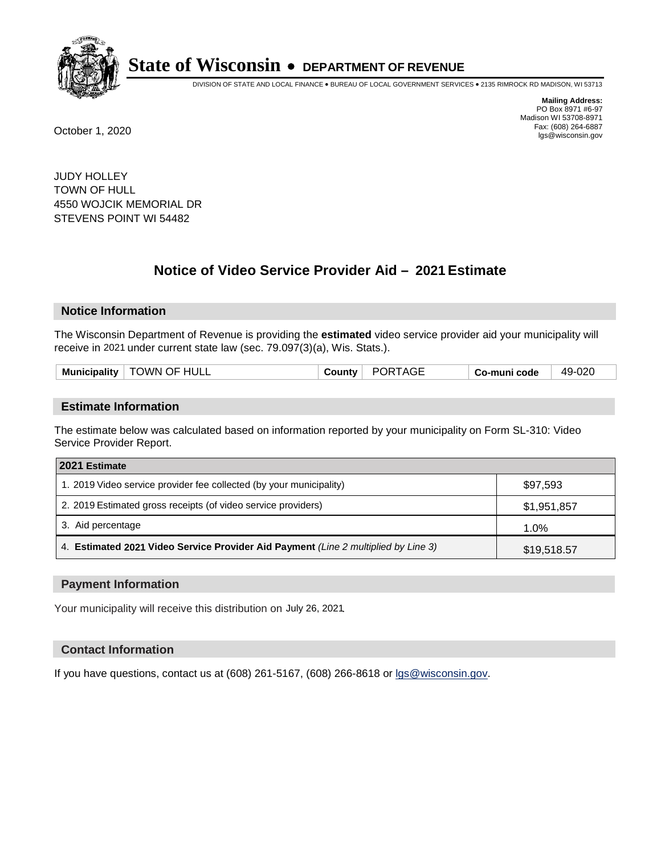

DIVISION OF STATE AND LOCAL FINANCE • BUREAU OF LOCAL GOVERNMENT SERVICES • 2135 RIMROCK RD MADISON, WI 53713

**Mailing Address:** PO Box 8971 #6-97 Madison WI 53708-8971<br>Fax: (608) 264-6887 Fax: (608) 264-6887 October 1, 2020 lgs@wisconsin.gov

JUDY HOLLEY TOWN OF HULL 4550 WOJCIK MEMORIAL DR STEVENS POINT WI 54482

# **Notice of Video Service Provider Aid - 2021 Estimate**

## **Notice Information**

The Wisconsin Department of Revenue is providing the **estimated** video service provider aid your municipality will receive in 2021 under current state law (sec. 79.097(3)(a), Wis. Stats.).

#### **Estimate Information**

The estimate below was calculated based on information reported by your municipality on Form SL-310: Video Service Provider Report.

| 2021 Estimate                                                                      |             |
|------------------------------------------------------------------------------------|-------------|
| 1. 2019 Video service provider fee collected (by your municipality)                | \$97,593    |
| 2. 2019 Estimated gross receipts (of video service providers)                      | \$1,951,857 |
| 3. Aid percentage                                                                  | 1.0%        |
| 4. Estimated 2021 Video Service Provider Aid Payment (Line 2 multiplied by Line 3) | \$19,518.57 |

#### **Payment Information**

Your municipality will receive this distribution on July 26, 2021.

## **Contact Information**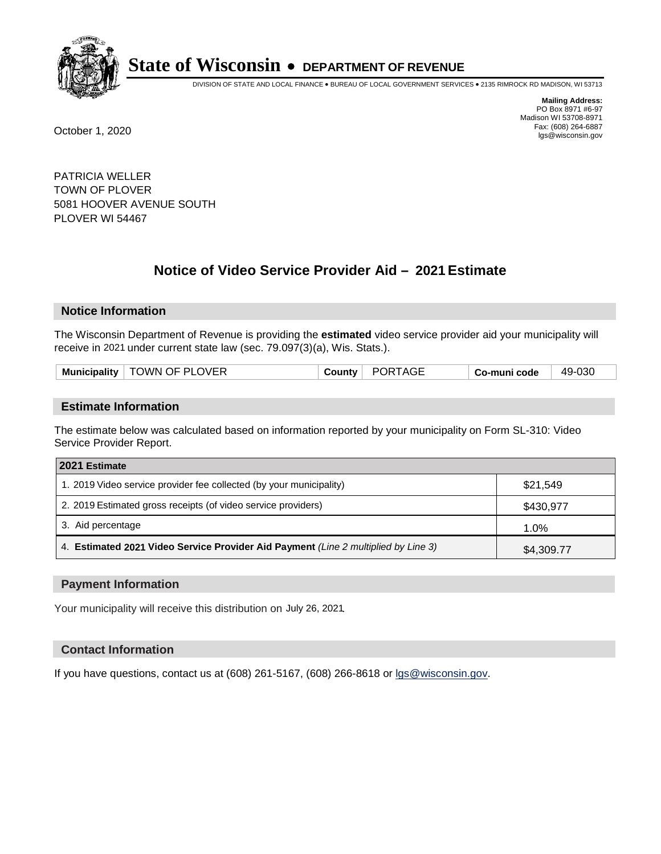

DIVISION OF STATE AND LOCAL FINANCE • BUREAU OF LOCAL GOVERNMENT SERVICES • 2135 RIMROCK RD MADISON, WI 53713

**Mailing Address:** PO Box 8971 #6-97 Madison WI 53708-8971<br>Fax: (608) 264-6887 Fax: (608) 264-6887 October 1, 2020 lgs@wisconsin.gov

PATRICIA WELLER TOWN OF PLOVER 5081 HOOVER AVENUE SOUTH PLOVER WI 54467

# **Notice of Video Service Provider Aid - 2021 Estimate**

## **Notice Information**

The Wisconsin Department of Revenue is providing the **estimated** video service provider aid your municipality will receive in 2021 under current state law (sec. 79.097(3)(a), Wis. Stats.).

|  |  | Municipality   TOWN OF PLOVER | <b>County</b> | PORTAGE | Co-muni code | 49-030 |
|--|--|-------------------------------|---------------|---------|--------------|--------|
|--|--|-------------------------------|---------------|---------|--------------|--------|

#### **Estimate Information**

The estimate below was calculated based on information reported by your municipality on Form SL-310: Video Service Provider Report.

| 2021 Estimate                                                                      |            |
|------------------------------------------------------------------------------------|------------|
| 1. 2019 Video service provider fee collected (by your municipality)                | \$21,549   |
| 2. 2019 Estimated gross receipts (of video service providers)                      | \$430,977  |
| 3. Aid percentage                                                                  | 1.0%       |
| 4. Estimated 2021 Video Service Provider Aid Payment (Line 2 multiplied by Line 3) | \$4,309.77 |

#### **Payment Information**

Your municipality will receive this distribution on July 26, 2021.

## **Contact Information**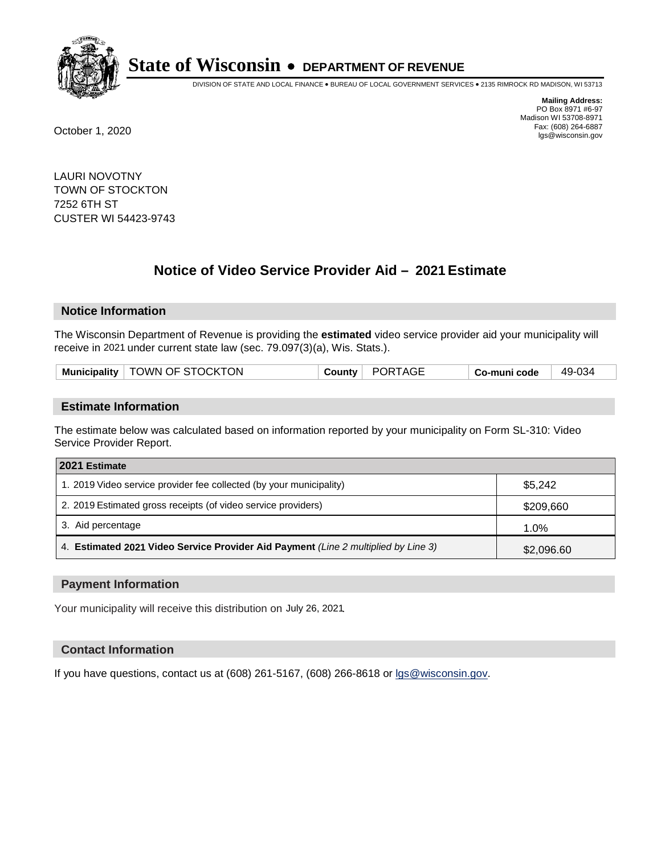

DIVISION OF STATE AND LOCAL FINANCE • BUREAU OF LOCAL GOVERNMENT SERVICES • 2135 RIMROCK RD MADISON, WI 53713

**Mailing Address:** PO Box 8971 #6-97 Madison WI 53708-8971<br>Fax: (608) 264-6887 Fax: (608) 264-6887 October 1, 2020 lgs@wisconsin.gov

LAURI NOVOTNY TOWN OF STOCKTON 7252 6TH ST CUSTER WI 54423-9743

# **Notice of Video Service Provider Aid - 2021 Estimate**

## **Notice Information**

The Wisconsin Department of Revenue is providing the **estimated** video service provider aid your municipality will receive in 2021 under current state law (sec. 79.097(3)(a), Wis. Stats.).

| Municipality   TOWN OF STOCKTON | PORTAGE<br>County | Co-muni code | 49-034 |
|---------------------------------|-------------------|--------------|--------|
|---------------------------------|-------------------|--------------|--------|

#### **Estimate Information**

The estimate below was calculated based on information reported by your municipality on Form SL-310: Video Service Provider Report.

| 2021 Estimate                                                                      |            |
|------------------------------------------------------------------------------------|------------|
| 1. 2019 Video service provider fee collected (by your municipality)                | \$5.242    |
| 2. 2019 Estimated gross receipts (of video service providers)                      | \$209,660  |
| 3. Aid percentage                                                                  | 1.0%       |
| 4. Estimated 2021 Video Service Provider Aid Payment (Line 2 multiplied by Line 3) | \$2,096.60 |

#### **Payment Information**

Your municipality will receive this distribution on July 26, 2021.

## **Contact Information**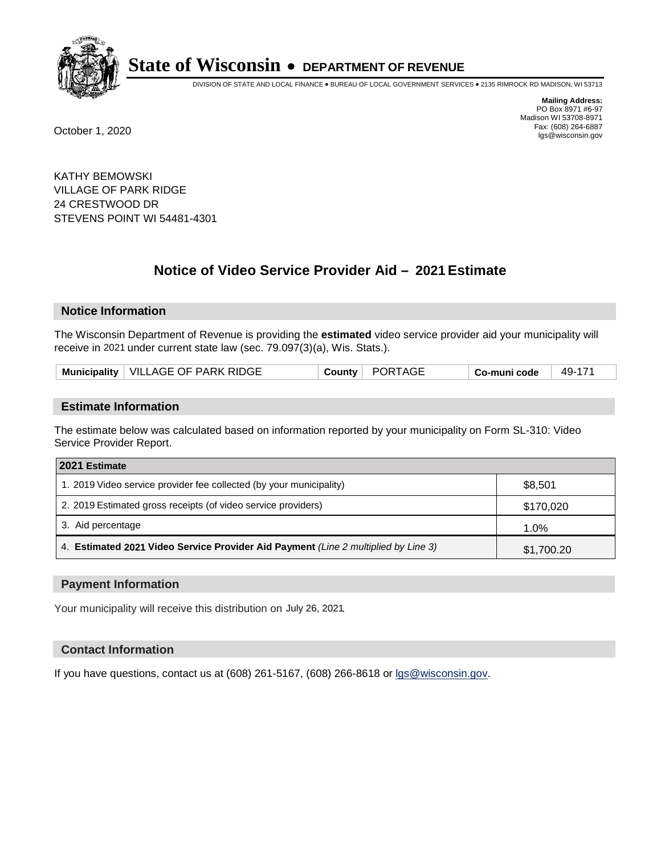

DIVISION OF STATE AND LOCAL FINANCE • BUREAU OF LOCAL GOVERNMENT SERVICES • 2135 RIMROCK RD MADISON, WI 53713

**Mailing Address:** PO Box 8971 #6-97 Madison WI 53708-8971<br>Fax: (608) 264-6887 Fax: (608) 264-6887 October 1, 2020 lgs@wisconsin.gov

KATHY BEMOWSKI VILLAGE OF PARK RIDGE 24 CRESTWOOD DR STEVENS POINT WI 54481-4301

# **Notice of Video Service Provider Aid - 2021 Estimate**

## **Notice Information**

The Wisconsin Department of Revenue is providing the **estimated** video service provider aid your municipality will receive in 2021 under current state law (sec. 79.097(3)(a), Wis. Stats.).

| Municipality   VILLAGE OF PARK RIDGE | County   PORTAGE | Co-muni code | 49-171 |
|--------------------------------------|------------------|--------------|--------|
|--------------------------------------|------------------|--------------|--------|

#### **Estimate Information**

The estimate below was calculated based on information reported by your municipality on Form SL-310: Video Service Provider Report.

| 2021 Estimate                                                                      |            |
|------------------------------------------------------------------------------------|------------|
| 1. 2019 Video service provider fee collected (by your municipality)                | \$8,501    |
| 2. 2019 Estimated gross receipts (of video service providers)                      | \$170,020  |
| 3. Aid percentage                                                                  | 1.0%       |
| 4. Estimated 2021 Video Service Provider Aid Payment (Line 2 multiplied by Line 3) | \$1,700.20 |

#### **Payment Information**

Your municipality will receive this distribution on July 26, 2021.

## **Contact Information**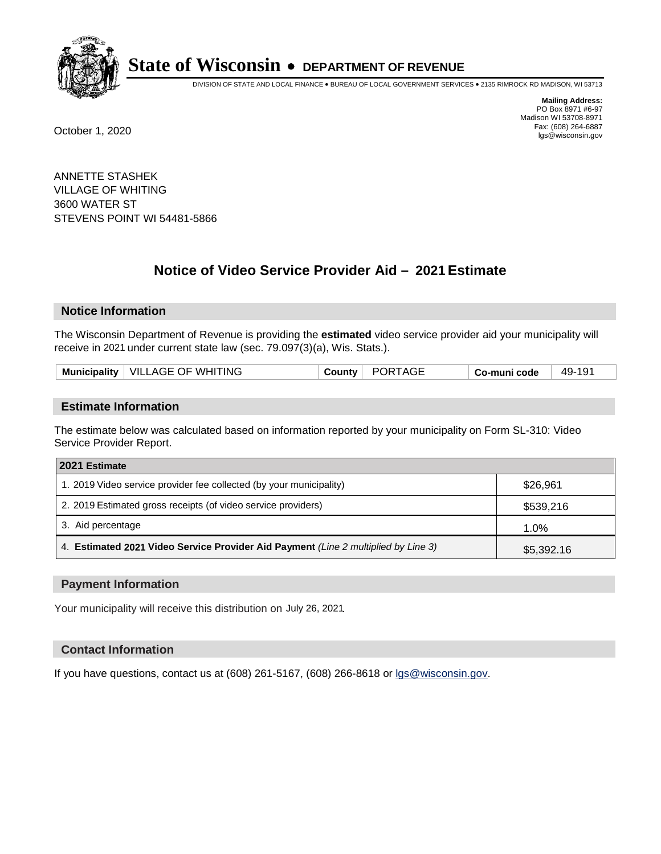

DIVISION OF STATE AND LOCAL FINANCE • BUREAU OF LOCAL GOVERNMENT SERVICES • 2135 RIMROCK RD MADISON, WI 53713

**Mailing Address:** PO Box 8971 #6-97 Madison WI 53708-8971<br>Fax: (608) 264-6887 Fax: (608) 264-6887 October 1, 2020 lgs@wisconsin.gov

ANNETTE STASHEK VILLAGE OF WHITING 3600 WATER ST STEVENS POINT WI 54481-5866

# **Notice of Video Service Provider Aid - 2021 Estimate**

## **Notice Information**

The Wisconsin Department of Revenue is providing the **estimated** video service provider aid your municipality will receive in 2021 under current state law (sec. 79.097(3)(a), Wis. Stats.).

| Municipality   VILLAGE OF WHITING<br><b>PORTAGE</b><br>49-191<br>County<br>Co-muni code |
|-----------------------------------------------------------------------------------------|
|-----------------------------------------------------------------------------------------|

#### **Estimate Information**

The estimate below was calculated based on information reported by your municipality on Form SL-310: Video Service Provider Report.

| 2021 Estimate                                                                      |            |
|------------------------------------------------------------------------------------|------------|
| 1. 2019 Video service provider fee collected (by your municipality)                | \$26,961   |
| 2. 2019 Estimated gross receipts (of video service providers)                      | \$539,216  |
| 3. Aid percentage                                                                  | 1.0%       |
| 4. Estimated 2021 Video Service Provider Aid Payment (Line 2 multiplied by Line 3) | \$5,392.16 |

#### **Payment Information**

Your municipality will receive this distribution on July 26, 2021.

## **Contact Information**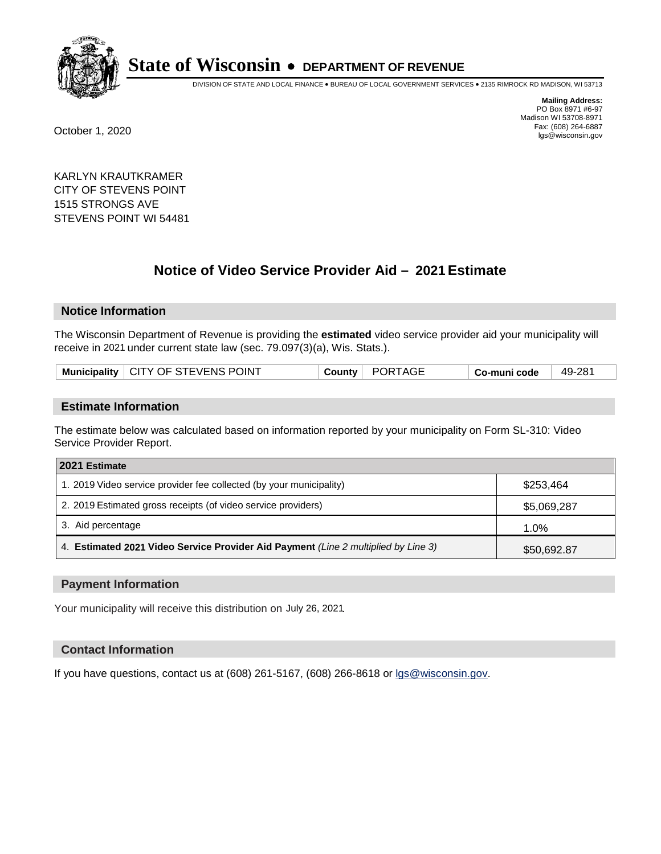

DIVISION OF STATE AND LOCAL FINANCE • BUREAU OF LOCAL GOVERNMENT SERVICES • 2135 RIMROCK RD MADISON, WI 53713

**Mailing Address:** PO Box 8971 #6-97 Madison WI 53708-8971<br>Fax: (608) 264-6887 Fax: (608) 264-6887 October 1, 2020 lgs@wisconsin.gov

KARLYN KRAUTKRAMER CITY OF STEVENS POINT 1515 STRONGS AVE STEVENS POINT WI 54481

# **Notice of Video Service Provider Aid - 2021 Estimate**

# **Notice Information**

The Wisconsin Department of Revenue is providing the **estimated** video service provider aid your municipality will receive in 2021 under current state law (sec. 79.097(3)(a), Wis. Stats.).

| Municipality   CITY OF STEVENS POINT | County PORTAGE | Co-muni code | 49-281 |
|--------------------------------------|----------------|--------------|--------|
|--------------------------------------|----------------|--------------|--------|

#### **Estimate Information**

The estimate below was calculated based on information reported by your municipality on Form SL-310: Video Service Provider Report.

| 2021 Estimate                                                                      |             |
|------------------------------------------------------------------------------------|-------------|
| 1. 2019 Video service provider fee collected (by your municipality)                | \$253,464   |
| 2. 2019 Estimated gross receipts (of video service providers)                      | \$5,069,287 |
| 3. Aid percentage                                                                  | 1.0%        |
| 4. Estimated 2021 Video Service Provider Aid Payment (Line 2 multiplied by Line 3) | \$50,692.87 |

#### **Payment Information**

Your municipality will receive this distribution on July 26, 2021.

## **Contact Information**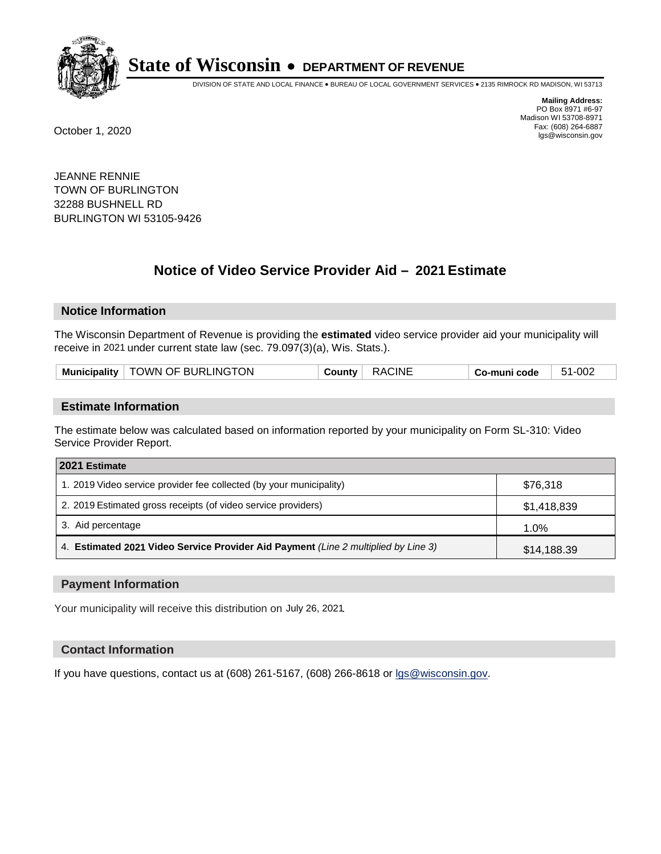

DIVISION OF STATE AND LOCAL FINANCE • BUREAU OF LOCAL GOVERNMENT SERVICES • 2135 RIMROCK RD MADISON, WI 53713

**Mailing Address:** PO Box 8971 #6-97 Madison WI 53708-8971<br>Fax: (608) 264-6887 Fax: (608) 264-6887 October 1, 2020 lgs@wisconsin.gov

JEANNE RENNIE TOWN OF BURLINGTON 32288 BUSHNELL RD BURLINGTON WI 53105-9426

# **Notice of Video Service Provider Aid - 2021 Estimate**

## **Notice Information**

The Wisconsin Department of Revenue is providing the **estimated** video service provider aid your municipality will receive in 2021 under current state law (sec. 79.097(3)(a), Wis. Stats.).

| Municipality   TOWN OF BURLINGTON | <b>RACINE</b><br>County | Co-muni code | 51-002 |
|-----------------------------------|-------------------------|--------------|--------|
|-----------------------------------|-------------------------|--------------|--------|

#### **Estimate Information**

The estimate below was calculated based on information reported by your municipality on Form SL-310: Video Service Provider Report.

| 2021 Estimate                                                                      |             |
|------------------------------------------------------------------------------------|-------------|
| 1. 2019 Video service provider fee collected (by your municipality)                | \$76,318    |
| 2. 2019 Estimated gross receipts (of video service providers)                      | \$1,418,839 |
| 3. Aid percentage                                                                  | 1.0%        |
| 4. Estimated 2021 Video Service Provider Aid Payment (Line 2 multiplied by Line 3) | \$14,188.39 |

#### **Payment Information**

Your municipality will receive this distribution on July 26, 2021.

## **Contact Information**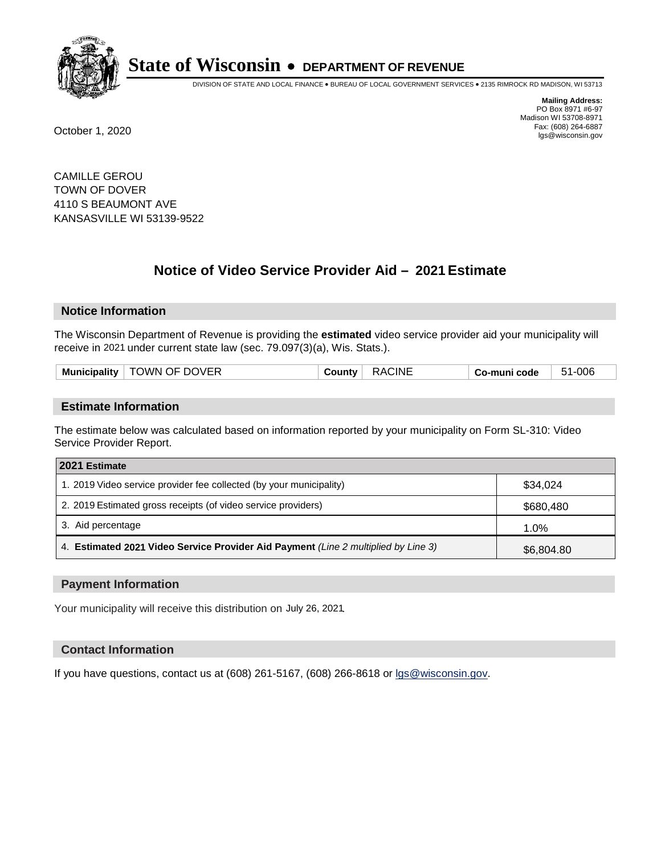

DIVISION OF STATE AND LOCAL FINANCE • BUREAU OF LOCAL GOVERNMENT SERVICES • 2135 RIMROCK RD MADISON, WI 53713

**Mailing Address:** PO Box 8971 #6-97 Madison WI 53708-8971<br>Fax: (608) 264-6887 Fax: (608) 264-6887 October 1, 2020 lgs@wisconsin.gov

CAMILLE GEROU TOWN OF DOVER 4110 S BEAUMONT AVE KANSASVILLE WI 53139-9522

# **Notice of Video Service Provider Aid - 2021 Estimate**

## **Notice Information**

The Wisconsin Department of Revenue is providing the **estimated** video service provider aid your municipality will receive in 2021 under current state law (sec. 79.097(3)(a), Wis. Stats.).

| Municipality   TOWN OF DOVER | ∴ountvٽ | <b>RACINE</b> | Co-muni code | -006<br>51<br>ີ |
|------------------------------|---------|---------------|--------------|-----------------|
|                              |         |               |              |                 |

#### **Estimate Information**

The estimate below was calculated based on information reported by your municipality on Form SL-310: Video Service Provider Report.

| 2021 Estimate                                                                      |            |
|------------------------------------------------------------------------------------|------------|
| 1. 2019 Video service provider fee collected (by your municipality)                | \$34.024   |
| 2. 2019 Estimated gross receipts (of video service providers)                      | \$680,480  |
| 3. Aid percentage                                                                  | 1.0%       |
| 4. Estimated 2021 Video Service Provider Aid Payment (Line 2 multiplied by Line 3) | \$6,804.80 |

#### **Payment Information**

Your municipality will receive this distribution on July 26, 2021.

## **Contact Information**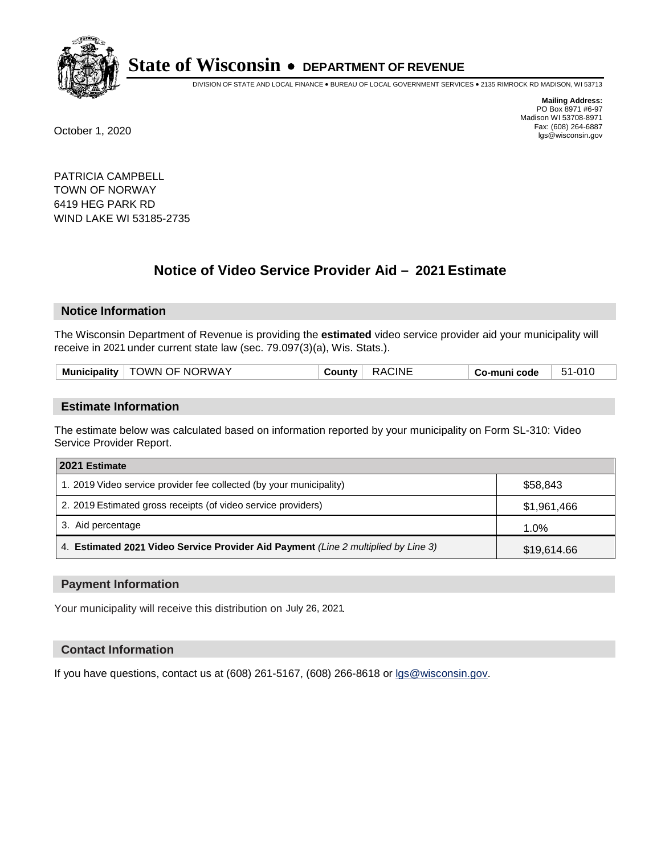

DIVISION OF STATE AND LOCAL FINANCE • BUREAU OF LOCAL GOVERNMENT SERVICES • 2135 RIMROCK RD MADISON, WI 53713

**Mailing Address:** PO Box 8971 #6-97 Madison WI 53708-8971<br>Fax: (608) 264-6887 Fax: (608) 264-6887 October 1, 2020 lgs@wisconsin.gov

PATRICIA CAMPBELL TOWN OF NORWAY 6419 HEG PARK RD WIND LAKE WI 53185-2735

# **Notice of Video Service Provider Aid - 2021 Estimate**

## **Notice Information**

The Wisconsin Department of Revenue is providing the **estimated** video service provider aid your municipality will receive in 2021 under current state law (sec. 79.097(3)(a), Wis. Stats.).

| Mun.<br>.<br>nicipalit | JRWAY<br><b>JWN</b><br>NC.<br>1⊢<br>그는 그만 아니라 그는 그만 아니라 그만 아니라 그만 아니라 그만 아니라 그만 아니라 그만 아니라 그만 아니라 그만 아니라 그만 아니라 그만 아니라 그만 아니라 그만 아니라 그만 아니라 그만 아니라 | :INI | code<br>. . | ີ |
|------------------------|----------------------------------------------------------------------------------------------------------------------------------------------------|------|-------------|---|
|                        |                                                                                                                                                    |      |             |   |

#### **Estimate Information**

The estimate below was calculated based on information reported by your municipality on Form SL-310: Video Service Provider Report.

| 2021 Estimate                                                                      |             |  |
|------------------------------------------------------------------------------------|-------------|--|
| 1. 2019 Video service provider fee collected (by your municipality)                | \$58.843    |  |
| 2. 2019 Estimated gross receipts (of video service providers)                      | \$1,961,466 |  |
| 3. Aid percentage                                                                  | 1.0%        |  |
| 4. Estimated 2021 Video Service Provider Aid Payment (Line 2 multiplied by Line 3) | \$19,614.66 |  |

#### **Payment Information**

Your municipality will receive this distribution on July 26, 2021.

## **Contact Information**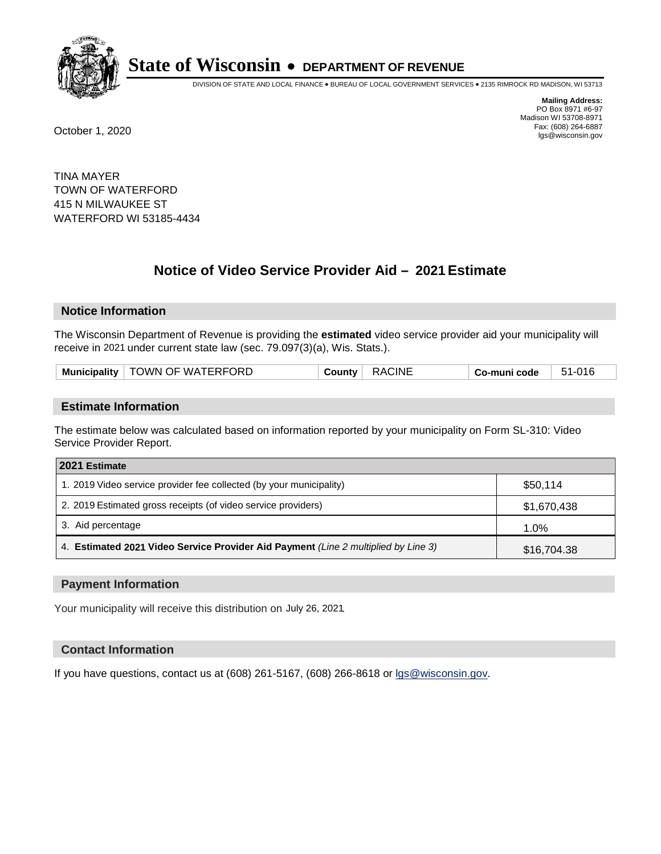

DIVISION OF STATE AND LOCAL FINANCE • BUREAU OF LOCAL GOVERNMENT SERVICES • 2135 RIMROCK RD MADISON, WI 53713

**Mailing Address:** PO Box 8971 #6-97 Madison WI 53708-8971<br>Fax: (608) 264-6887 Fax: (608) 264-6887 October 1, 2020 lgs@wisconsin.gov

TINA MAYER TOWN OF WATERFORD 415 N MILWAUKEE ST WATERFORD WI 53185-4434

# **Notice of Video Service Provider Aid - 2021 Estimate**

# **Notice Information**

The Wisconsin Department of Revenue is providing the **estimated** video service provider aid your municipality will receive in 2021 under current state law (sec. 79.097(3)(a), Wis. Stats.).

| TOWN OF WATERFORD<br><b>Municipality</b> | <b>RACINE</b><br>∵ountvٽ | Co-muni code | 51-016 |
|------------------------------------------|--------------------------|--------------|--------|
|------------------------------------------|--------------------------|--------------|--------|

#### **Estimate Information**

The estimate below was calculated based on information reported by your municipality on Form SL-310: Video Service Provider Report.

| 2021 Estimate                                                                      |             |  |
|------------------------------------------------------------------------------------|-------------|--|
| 1. 2019 Video service provider fee collected (by your municipality)                | \$50,114    |  |
| 2. 2019 Estimated gross receipts (of video service providers)                      | \$1,670,438 |  |
| 3. Aid percentage                                                                  | 1.0%        |  |
| 4. Estimated 2021 Video Service Provider Aid Payment (Line 2 multiplied by Line 3) | \$16,704.38 |  |

#### **Payment Information**

Your municipality will receive this distribution on July 26, 2021.

## **Contact Information**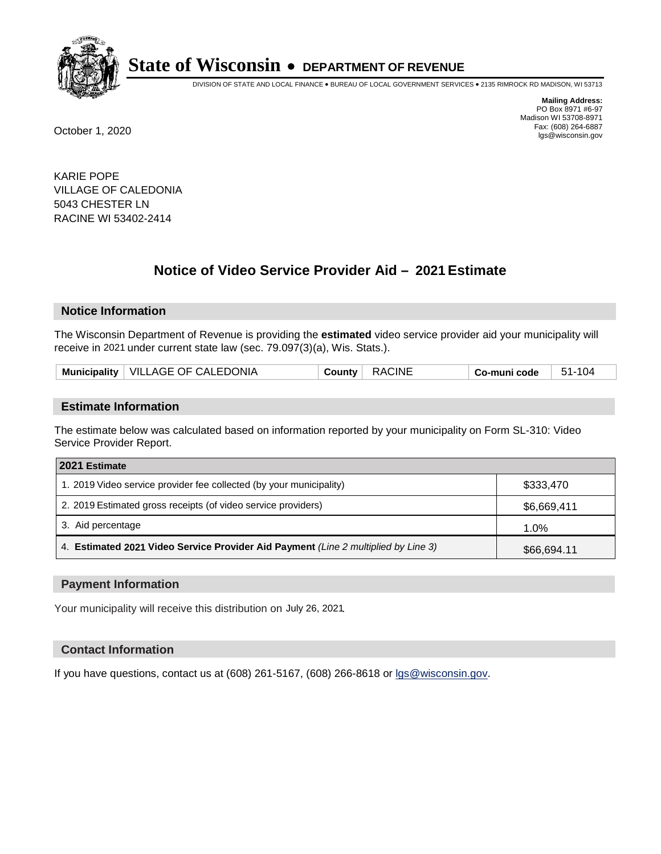

DIVISION OF STATE AND LOCAL FINANCE • BUREAU OF LOCAL GOVERNMENT SERVICES • 2135 RIMROCK RD MADISON, WI 53713

**Mailing Address:** PO Box 8971 #6-97 Madison WI 53708-8971<br>Fax: (608) 264-6887 Fax: (608) 264-6887 October 1, 2020 lgs@wisconsin.gov

KARIE POPE VILLAGE OF CALEDONIA 5043 CHESTER LN RACINE WI 53402-2414

# **Notice of Video Service Provider Aid - 2021 Estimate**

## **Notice Information**

The Wisconsin Department of Revenue is providing the **estimated** video service provider aid your municipality will receive in 2021 under current state law (sec. 79.097(3)(a), Wis. Stats.).

| Municipality   VILLAGE OF CALEDONIA | <b>RACINE</b><br><b>County</b> | 51-104<br>Co-muni code |
|-------------------------------------|--------------------------------|------------------------|
|-------------------------------------|--------------------------------|------------------------|

#### **Estimate Information**

The estimate below was calculated based on information reported by your municipality on Form SL-310: Video Service Provider Report.

| 2021 Estimate                                                                      |             |  |
|------------------------------------------------------------------------------------|-------------|--|
| 1. 2019 Video service provider fee collected (by your municipality)                | \$333,470   |  |
| 2. 2019 Estimated gross receipts (of video service providers)                      | \$6,669,411 |  |
| 3. Aid percentage                                                                  | 1.0%        |  |
| 4. Estimated 2021 Video Service Provider Aid Payment (Line 2 multiplied by Line 3) | \$66,694.11 |  |

#### **Payment Information**

Your municipality will receive this distribution on July 26, 2021.

## **Contact Information**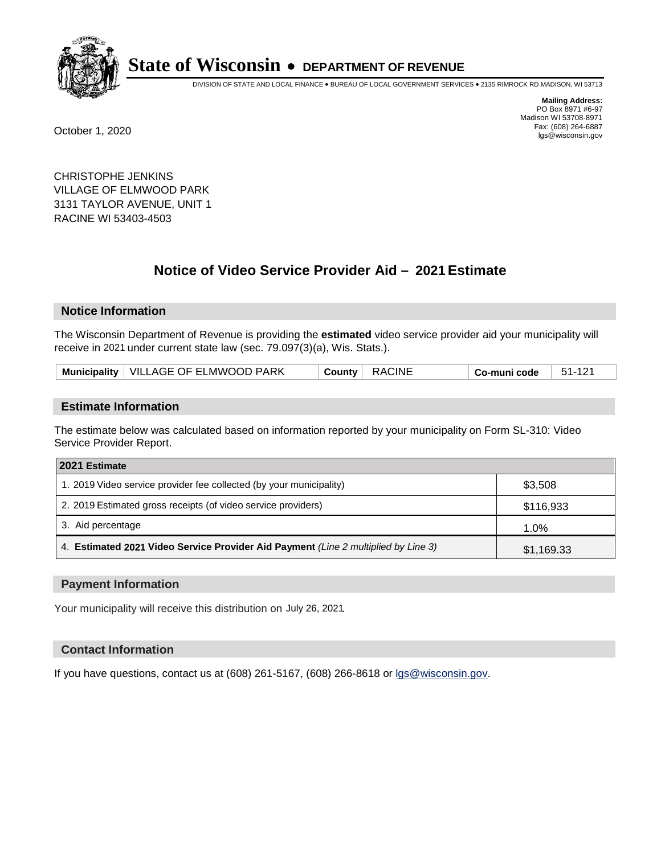

DIVISION OF STATE AND LOCAL FINANCE • BUREAU OF LOCAL GOVERNMENT SERVICES • 2135 RIMROCK RD MADISON, WI 53713

**Mailing Address:** PO Box 8971 #6-97 Madison WI 53708-8971<br>Fax: (608) 264-6887 Fax: (608) 264-6887 October 1, 2020 lgs@wisconsin.gov

CHRISTOPHE JENKINS VILLAGE OF ELMWOOD PARK 3131 TAYLOR AVENUE, UNIT 1 RACINE WI 53403-4503

# **Notice of Video Service Provider Aid - 2021 Estimate**

## **Notice Information**

The Wisconsin Department of Revenue is providing the **estimated** video service provider aid your municipality will receive in 2021 under current state law (sec. 79.097(3)(a), Wis. Stats.).

| Municipality   VILLAGE OF ELMWOOD PARK | County RACINE | $\vert$ Co-muni code $\vert$ 51-121 |
|----------------------------------------|---------------|-------------------------------------|
|----------------------------------------|---------------|-------------------------------------|

#### **Estimate Information**

The estimate below was calculated based on information reported by your municipality on Form SL-310: Video Service Provider Report.

| 2021 Estimate                                                                      |            |  |
|------------------------------------------------------------------------------------|------------|--|
| 1. 2019 Video service provider fee collected (by your municipality)                | \$3,508    |  |
| 2. 2019 Estimated gross receipts (of video service providers)                      | \$116,933  |  |
| 3. Aid percentage                                                                  | 1.0%       |  |
| 4. Estimated 2021 Video Service Provider Aid Payment (Line 2 multiplied by Line 3) | \$1,169.33 |  |

#### **Payment Information**

Your municipality will receive this distribution on July 26, 2021.

## **Contact Information**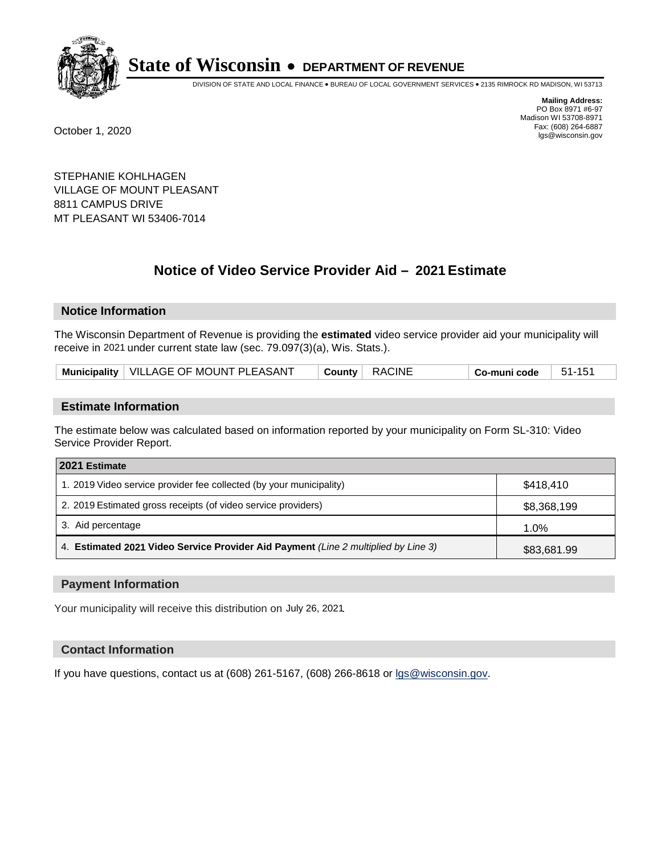

DIVISION OF STATE AND LOCAL FINANCE • BUREAU OF LOCAL GOVERNMENT SERVICES • 2135 RIMROCK RD MADISON, WI 53713

**Mailing Address:** PO Box 8971 #6-97 Madison WI 53708-8971<br>Fax: (608) 264-6887 Fax: (608) 264-6887 October 1, 2020 lgs@wisconsin.gov

STEPHANIE KOHLHAGEN VILLAGE OF MOUNT PLEASANT 8811 CAMPUS DRIVE MT PLEASANT WI 53406-7014

# **Notice of Video Service Provider Aid - 2021 Estimate**

## **Notice Information**

The Wisconsin Department of Revenue is providing the **estimated** video service provider aid your municipality will receive in 2021 under current state law (sec. 79.097(3)(a), Wis. Stats.).

| Municipality   VILLAGE OF MOUNT PLEASANT | County   RACINE | $\vert$ Co-muni code $\vert$ 51-151 |
|------------------------------------------|-----------------|-------------------------------------|
|------------------------------------------|-----------------|-------------------------------------|

## **Estimate Information**

The estimate below was calculated based on information reported by your municipality on Form SL-310: Video Service Provider Report.

| 2021 Estimate                                                                      |             |
|------------------------------------------------------------------------------------|-------------|
| 1. 2019 Video service provider fee collected (by your municipality)                | \$418,410   |
| 2. 2019 Estimated gross receipts (of video service providers)                      | \$8,368,199 |
| 3. Aid percentage                                                                  | 1.0%        |
| 4. Estimated 2021 Video Service Provider Aid Payment (Line 2 multiplied by Line 3) | \$83,681.99 |

#### **Payment Information**

Your municipality will receive this distribution on July 26, 2021.

## **Contact Information**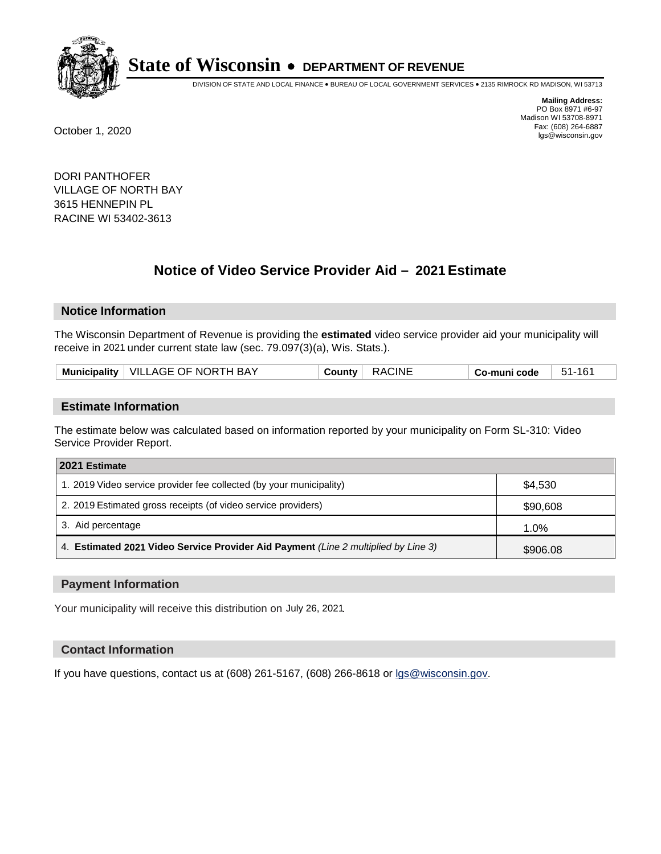

DIVISION OF STATE AND LOCAL FINANCE • BUREAU OF LOCAL GOVERNMENT SERVICES • 2135 RIMROCK RD MADISON, WI 53713

**Mailing Address:** PO Box 8971 #6-97 Madison WI 53708-8971<br>Fax: (608) 264-6887 Fax: (608) 264-6887 October 1, 2020 lgs@wisconsin.gov

DORI PANTHOFER VILLAGE OF NORTH BAY 3615 HENNEPIN PL RACINE WI 53402-3613

# **Notice of Video Service Provider Aid - 2021 Estimate**

## **Notice Information**

The Wisconsin Department of Revenue is providing the **estimated** video service provider aid your municipality will receive in 2021 under current state law (sec. 79.097(3)(a), Wis. Stats.).

| Municipality   VILLAGE OF NORTH BAY<br>RACINE<br>51-161<br>$C$ ountv $\mathcal  $<br>Co-muni code |  |
|---------------------------------------------------------------------------------------------------|--|
|---------------------------------------------------------------------------------------------------|--|

#### **Estimate Information**

The estimate below was calculated based on information reported by your municipality on Form SL-310: Video Service Provider Report.

| 2021 Estimate                                                                      |          |
|------------------------------------------------------------------------------------|----------|
| 1. 2019 Video service provider fee collected (by your municipality)                | \$4,530  |
| 2. 2019 Estimated gross receipts (of video service providers)                      | \$90,608 |
| 3. Aid percentage                                                                  | 1.0%     |
| 4. Estimated 2021 Video Service Provider Aid Payment (Line 2 multiplied by Line 3) | \$906.08 |

#### **Payment Information**

Your municipality will receive this distribution on July 26, 2021.

## **Contact Information**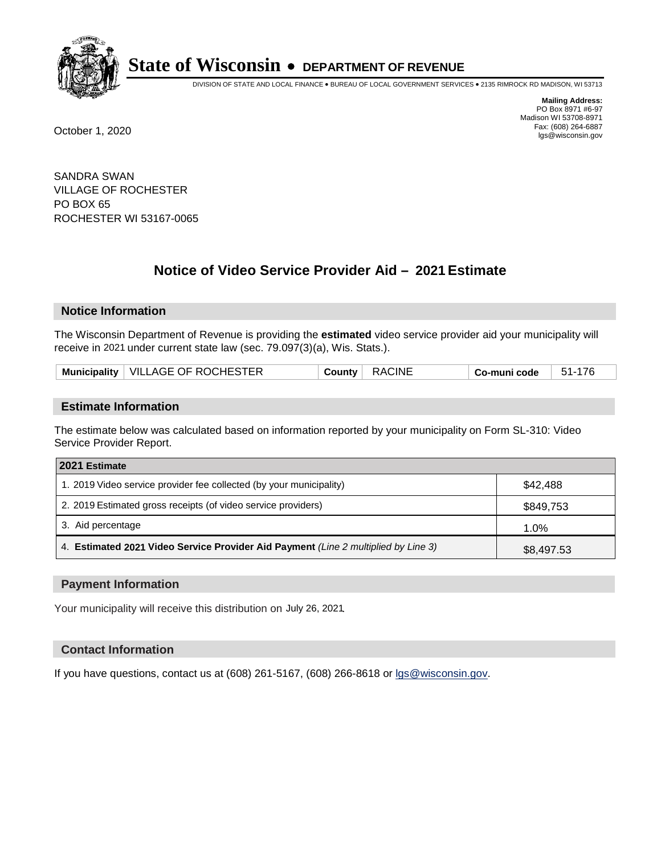

DIVISION OF STATE AND LOCAL FINANCE • BUREAU OF LOCAL GOVERNMENT SERVICES • 2135 RIMROCK RD MADISON, WI 53713

**Mailing Address:** PO Box 8971 #6-97 Madison WI 53708-8971<br>Fax: (608) 264-6887 Fax: (608) 264-6887 October 1, 2020 lgs@wisconsin.gov

SANDRA SWAN VILLAGE OF ROCHESTER PO BOX 65 ROCHESTER WI 53167-0065

# **Notice of Video Service Provider Aid - 2021 Estimate**

# **Notice Information**

The Wisconsin Department of Revenue is providing the **estimated** video service provider aid your municipality will receive in 2021 under current state law (sec. 79.097(3)(a), Wis. Stats.).

| Municipality   VILLAGE OF ROCHESTER | <b>RACINE</b><br><b>County</b> | 51-176<br>Co-muni code |
|-------------------------------------|--------------------------------|------------------------|
|-------------------------------------|--------------------------------|------------------------|

#### **Estimate Information**

The estimate below was calculated based on information reported by your municipality on Form SL-310: Video Service Provider Report.

| 2021 Estimate                                                                      |            |
|------------------------------------------------------------------------------------|------------|
| 1. 2019 Video service provider fee collected (by your municipality)                | \$42,488   |
| 2. 2019 Estimated gross receipts (of video service providers)                      | \$849,753  |
| 3. Aid percentage                                                                  | 1.0%       |
| 4. Estimated 2021 Video Service Provider Aid Payment (Line 2 multiplied by Line 3) | \$8,497.53 |

#### **Payment Information**

Your municipality will receive this distribution on July 26, 2021.

## **Contact Information**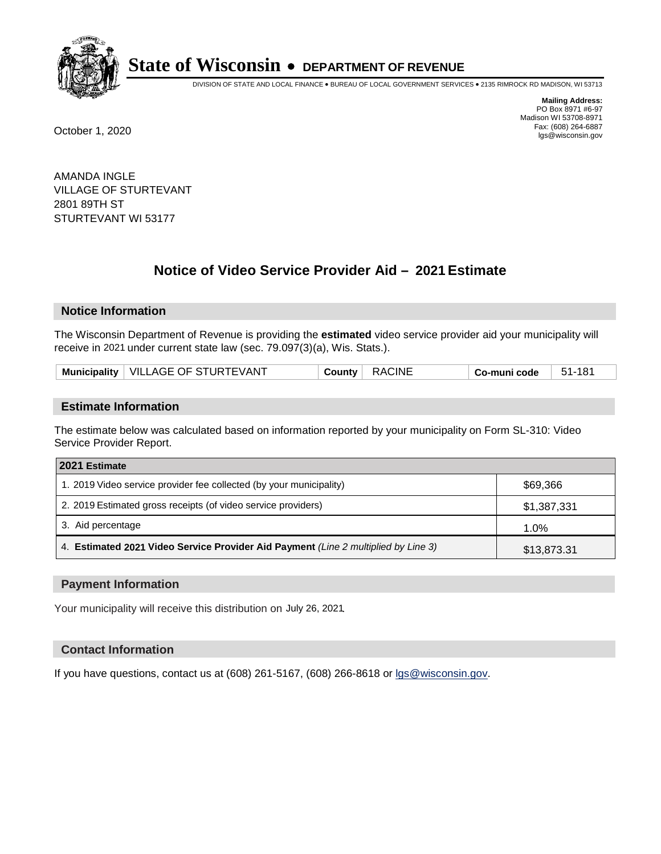

DIVISION OF STATE AND LOCAL FINANCE • BUREAU OF LOCAL GOVERNMENT SERVICES • 2135 RIMROCK RD MADISON, WI 53713

**Mailing Address:** PO Box 8971 #6-97 Madison WI 53708-8971<br>Fax: (608) 264-6887 Fax: (608) 264-6887 October 1, 2020 lgs@wisconsin.gov

AMANDA INGLE VILLAGE OF STURTEVANT 2801 89TH ST STURTEVANT WI 53177

# **Notice of Video Service Provider Aid - 2021 Estimate**

## **Notice Information**

The Wisconsin Department of Revenue is providing the **estimated** video service provider aid your municipality will receive in 2021 under current state law (sec. 79.097(3)(a), Wis. Stats.).

| Municipality   VILLAGE OF STURTEVANT<br><b>RACINE</b><br>51-181<br>County <b>County</b><br>Co-muni code |
|---------------------------------------------------------------------------------------------------------|
|---------------------------------------------------------------------------------------------------------|

#### **Estimate Information**

The estimate below was calculated based on information reported by your municipality on Form SL-310: Video Service Provider Report.

| 2021 Estimate                                                                      |             |
|------------------------------------------------------------------------------------|-------------|
| 1. 2019 Video service provider fee collected (by your municipality)                | \$69,366    |
| 2. 2019 Estimated gross receipts (of video service providers)                      | \$1,387,331 |
| 3. Aid percentage                                                                  | 1.0%        |
| 4. Estimated 2021 Video Service Provider Aid Payment (Line 2 multiplied by Line 3) | \$13,873.31 |

#### **Payment Information**

Your municipality will receive this distribution on July 26, 2021.

## **Contact Information**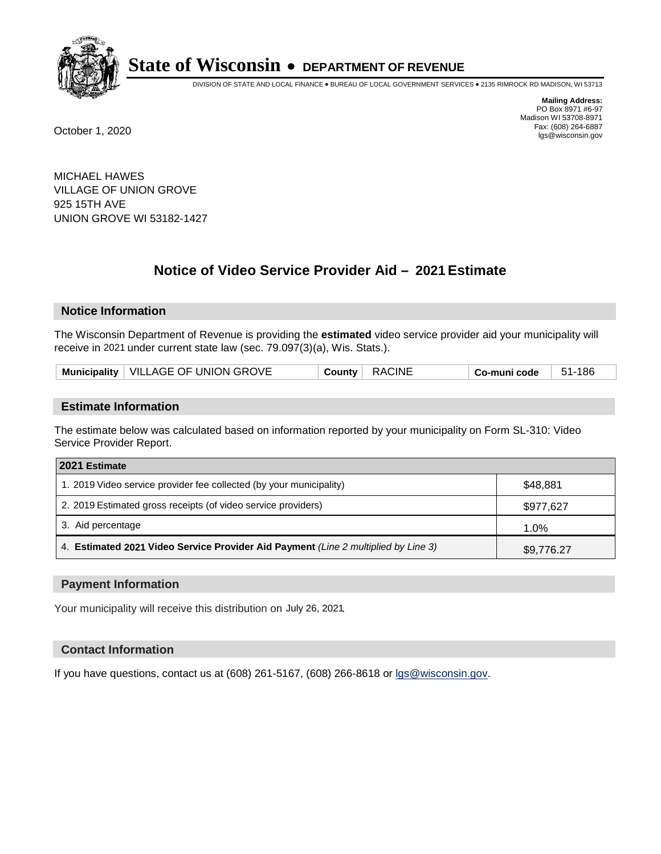

DIVISION OF STATE AND LOCAL FINANCE • BUREAU OF LOCAL GOVERNMENT SERVICES • 2135 RIMROCK RD MADISON, WI 53713

**Mailing Address:** PO Box 8971 #6-97 Madison WI 53708-8971<br>Fax: (608) 264-6887 Fax: (608) 264-6887 October 1, 2020 lgs@wisconsin.gov

MICHAEL HAWES VILLAGE OF UNION GROVE 925 15TH AVE UNION GROVE WI 53182-1427

# **Notice of Video Service Provider Aid - 2021 Estimate**

## **Notice Information**

The Wisconsin Department of Revenue is providing the **estimated** video service provider aid your municipality will receive in 2021 under current state law (sec. 79.097(3)(a), Wis. Stats.).

| Municipality   VILLAGE OF UNION GROVE | County RACINE | 51-186<br>$^{\shortmid}$ Co-muni code $\quad$ $\mid$ |
|---------------------------------------|---------------|------------------------------------------------------|
|---------------------------------------|---------------|------------------------------------------------------|

#### **Estimate Information**

The estimate below was calculated based on information reported by your municipality on Form SL-310: Video Service Provider Report.

| 2021 Estimate                                                                      |            |
|------------------------------------------------------------------------------------|------------|
| 1. 2019 Video service provider fee collected (by your municipality)                | \$48,881   |
| 2. 2019 Estimated gross receipts (of video service providers)                      | \$977,627  |
| 3. Aid percentage                                                                  | 1.0%       |
| 4. Estimated 2021 Video Service Provider Aid Payment (Line 2 multiplied by Line 3) | \$9,776.27 |

#### **Payment Information**

Your municipality will receive this distribution on July 26, 2021.

## **Contact Information**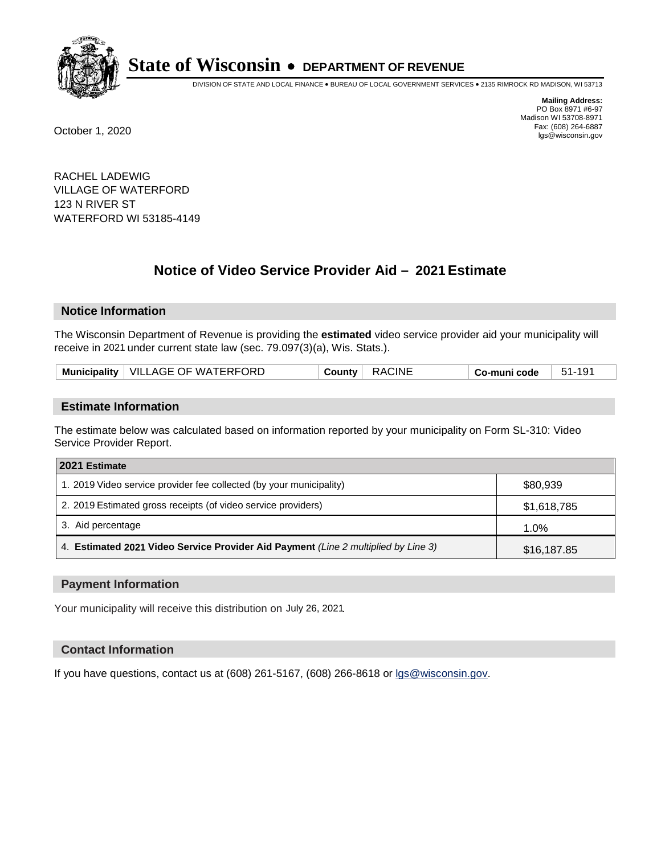

DIVISION OF STATE AND LOCAL FINANCE • BUREAU OF LOCAL GOVERNMENT SERVICES • 2135 RIMROCK RD MADISON, WI 53713

**Mailing Address:** PO Box 8971 #6-97 Madison WI 53708-8971<br>Fax: (608) 264-6887 Fax: (608) 264-6887 October 1, 2020 lgs@wisconsin.gov

RACHEL LADEWIG VILLAGE OF WATERFORD 123 N RIVER ST WATERFORD WI 53185-4149

# **Notice of Video Service Provider Aid - 2021 Estimate**

## **Notice Information**

The Wisconsin Department of Revenue is providing the **estimated** video service provider aid your municipality will receive in 2021 under current state law (sec. 79.097(3)(a), Wis. Stats.).

| Municipality   VILLAGE OF WATERFORD | <b>RACINE</b><br>County | Co-muni code | 51-191 |
|-------------------------------------|-------------------------|--------------|--------|
|-------------------------------------|-------------------------|--------------|--------|

#### **Estimate Information**

The estimate below was calculated based on information reported by your municipality on Form SL-310: Video Service Provider Report.

| 2021 Estimate                                                                      |             |
|------------------------------------------------------------------------------------|-------------|
| 1. 2019 Video service provider fee collected (by your municipality)                | \$80,939    |
| 2. 2019 Estimated gross receipts (of video service providers)                      | \$1,618,785 |
| 3. Aid percentage                                                                  | 1.0%        |
| 4. Estimated 2021 Video Service Provider Aid Payment (Line 2 multiplied by Line 3) | \$16,187.85 |

#### **Payment Information**

Your municipality will receive this distribution on July 26, 2021.

## **Contact Information**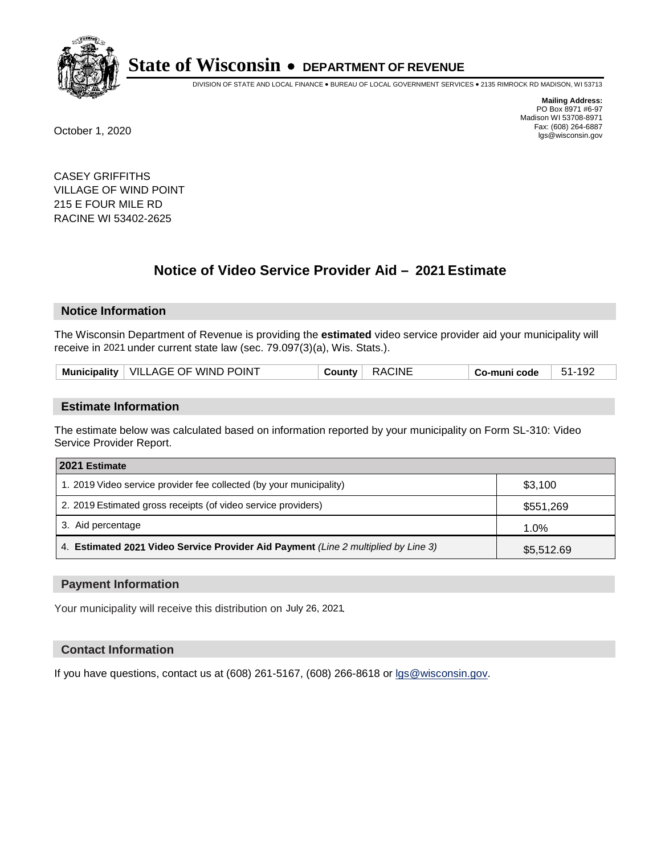

DIVISION OF STATE AND LOCAL FINANCE • BUREAU OF LOCAL GOVERNMENT SERVICES • 2135 RIMROCK RD MADISON, WI 53713

**Mailing Address:** PO Box 8971 #6-97 Madison WI 53708-8971<br>Fax: (608) 264-6887 Fax: (608) 264-6887 October 1, 2020 lgs@wisconsin.gov

CASEY GRIFFITHS VILLAGE OF WIND POINT 215 E FOUR MILE RD RACINE WI 53402-2625

# **Notice of Video Service Provider Aid - 2021 Estimate**

# **Notice Information**

The Wisconsin Department of Revenue is providing the **estimated** video service provider aid your municipality will receive in 2021 under current state law (sec. 79.097(3)(a), Wis. Stats.).

|  | Municipality   VILLAGE OF WIND POINT | <b>RACINE</b><br>⊹ ountvٽ | $51 -$<br>co-muni code، |  |
|--|--------------------------------------|---------------------------|-------------------------|--|
|--|--------------------------------------|---------------------------|-------------------------|--|

#### **Estimate Information**

The estimate below was calculated based on information reported by your municipality on Form SL-310: Video Service Provider Report.

| 2021 Estimate                                                                      |            |
|------------------------------------------------------------------------------------|------------|
| 1. 2019 Video service provider fee collected (by your municipality)                | \$3,100    |
| 2. 2019 Estimated gross receipts (of video service providers)                      | \$551,269  |
| 3. Aid percentage                                                                  | 1.0%       |
| 4. Estimated 2021 Video Service Provider Aid Payment (Line 2 multiplied by Line 3) | \$5,512.69 |

#### **Payment Information**

Your municipality will receive this distribution on July 26, 2021.

## **Contact Information**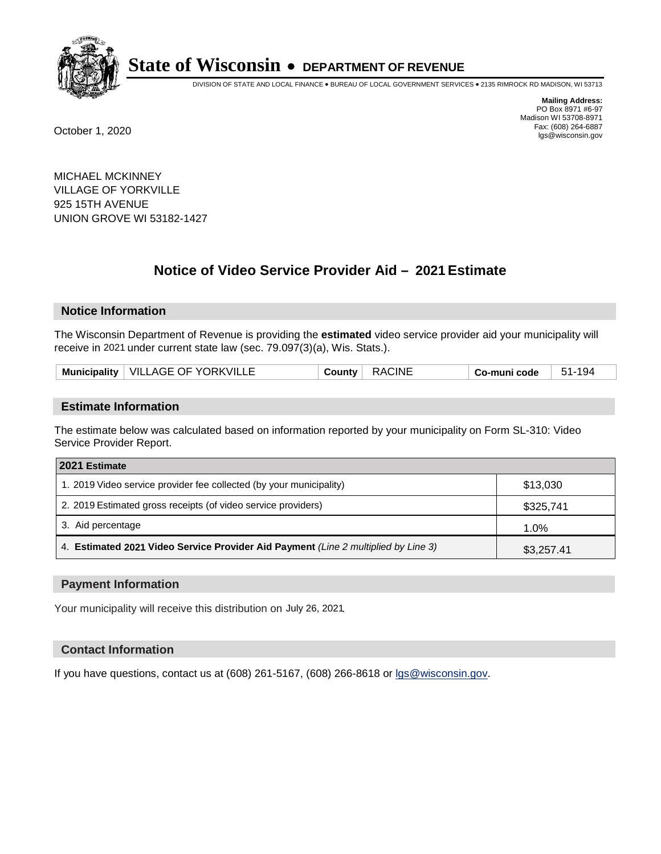

DIVISION OF STATE AND LOCAL FINANCE • BUREAU OF LOCAL GOVERNMENT SERVICES • 2135 RIMROCK RD MADISON, WI 53713

**Mailing Address:** PO Box 8971 #6-97 Madison WI 53708-8971<br>Fax: (608) 264-6887 Fax: (608) 264-6887 October 1, 2020 lgs@wisconsin.gov

MICHAEL MCKINNEY VILLAGE OF YORKVILLE 925 15TH AVENUE UNION GROVE WI 53182-1427

# **Notice of Video Service Provider Aid - 2021 Estimate**

## **Notice Information**

The Wisconsin Department of Revenue is providing the **estimated** video service provider aid your municipality will receive in 2021 under current state law (sec. 79.097(3)(a), Wis. Stats.).

| Municipality   VILLAGE OF YORKVILLE | <b>RACINE</b><br>∶ Countvٽ | $51 -$<br>-194<br>Co-muni code |  |
|-------------------------------------|----------------------------|--------------------------------|--|
|-------------------------------------|----------------------------|--------------------------------|--|

#### **Estimate Information**

The estimate below was calculated based on information reported by your municipality on Form SL-310: Video Service Provider Report.

| 2021 Estimate                                                                      |            |
|------------------------------------------------------------------------------------|------------|
| 1. 2019 Video service provider fee collected (by your municipality)                | \$13.030   |
| 2. 2019 Estimated gross receipts (of video service providers)                      | \$325,741  |
| 3. Aid percentage                                                                  | 1.0%       |
| 4. Estimated 2021 Video Service Provider Aid Payment (Line 2 multiplied by Line 3) | \$3,257.41 |

#### **Payment Information**

Your municipality will receive this distribution on July 26, 2021.

## **Contact Information**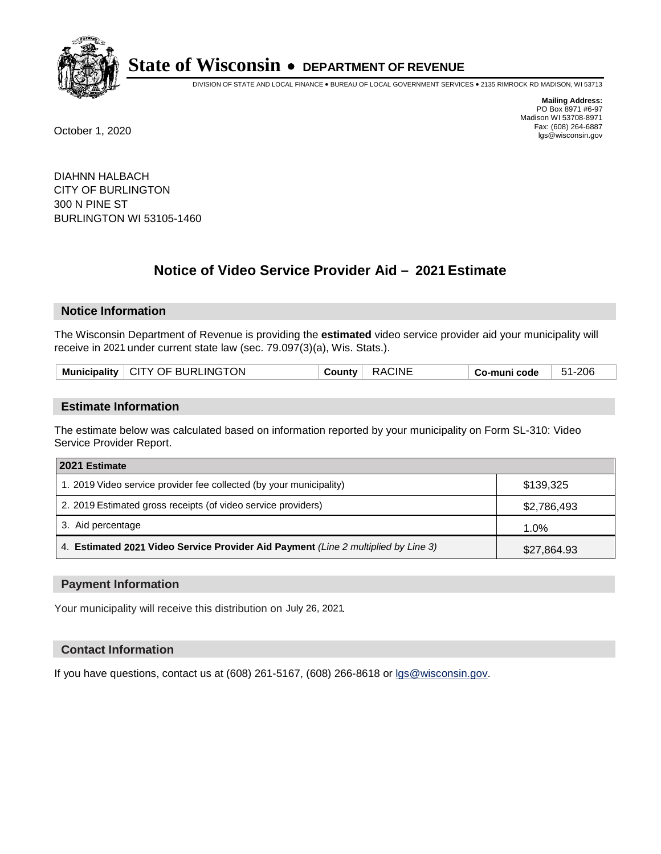

DIVISION OF STATE AND LOCAL FINANCE • BUREAU OF LOCAL GOVERNMENT SERVICES • 2135 RIMROCK RD MADISON, WI 53713

**Mailing Address:** PO Box 8971 #6-97 Madison WI 53708-8971<br>Fax: (608) 264-6887 Fax: (608) 264-6887 October 1, 2020 lgs@wisconsin.gov

DIAHNN HALBACH CITY OF BURLINGTON 300 N PINE ST BURLINGTON WI 53105-1460

# **Notice of Video Service Provider Aid - 2021 Estimate**

## **Notice Information**

The Wisconsin Department of Revenue is providing the **estimated** video service provider aid your municipality will receive in 2021 under current state law (sec. 79.097(3)(a), Wis. Stats.).

| Municipality   CITY OF BURLINGTON | <b>RACINE</b><br>Countv | 51-206<br>⊩ Co-muni code |  |
|-----------------------------------|-------------------------|--------------------------|--|
|-----------------------------------|-------------------------|--------------------------|--|

#### **Estimate Information**

The estimate below was calculated based on information reported by your municipality on Form SL-310: Video Service Provider Report.

| 2021 Estimate                                                                      |             |
|------------------------------------------------------------------------------------|-------------|
| 1. 2019 Video service provider fee collected (by your municipality)                | \$139,325   |
| 2. 2019 Estimated gross receipts (of video service providers)                      | \$2,786,493 |
| 3. Aid percentage                                                                  | 1.0%        |
| 4. Estimated 2021 Video Service Provider Aid Payment (Line 2 multiplied by Line 3) | \$27,864.93 |

#### **Payment Information**

Your municipality will receive this distribution on July 26, 2021.

## **Contact Information**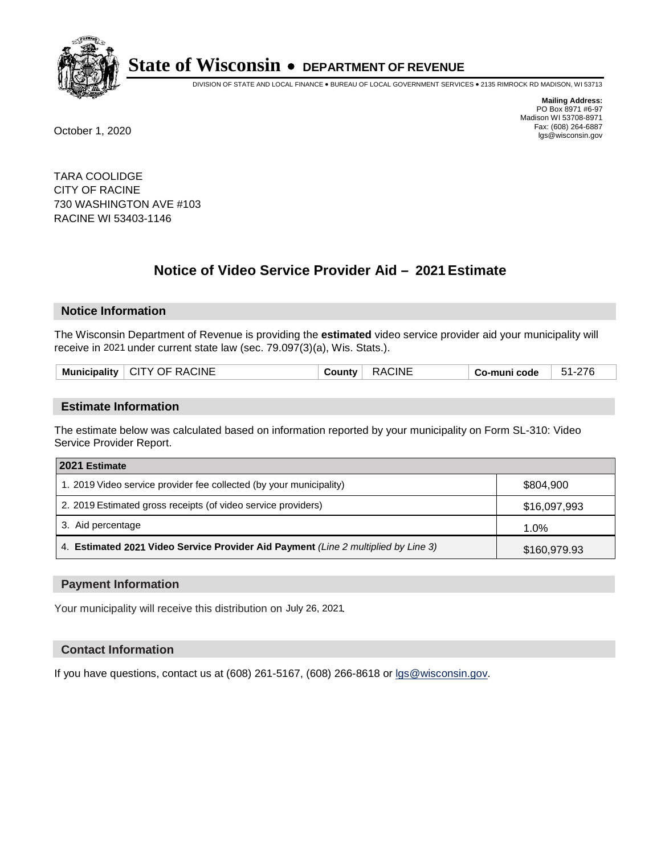

DIVISION OF STATE AND LOCAL FINANCE • BUREAU OF LOCAL GOVERNMENT SERVICES • 2135 RIMROCK RD MADISON, WI 53713

**Mailing Address:** PO Box 8971 #6-97 Madison WI 53708-8971<br>Fax: (608) 264-6887 Fax: (608) 264-6887 October 1, 2020 lgs@wisconsin.gov

TARA COOLIDGE CITY OF RACINE 730 WASHINGTON AVE #103 RACINE WI 53403-1146

# **Notice of Video Service Provider Aid - 2021 Estimate**

## **Notice Information**

The Wisconsin Department of Revenue is providing the **estimated** video service provider aid your municipality will receive in 2021 under current state law (sec. 79.097(3)(a), Wis. Stats.).

| Mun. | CINE<br>'Δ<br>)ŀ<br>v<br>. | :INF | code<br>____ | ີ |
|------|----------------------------|------|--------------|---|
|      |                            |      |              |   |

#### **Estimate Information**

The estimate below was calculated based on information reported by your municipality on Form SL-310: Video Service Provider Report.

| 2021 Estimate                                                                      |              |
|------------------------------------------------------------------------------------|--------------|
| 1. 2019 Video service provider fee collected (by your municipality)                | \$804.900    |
| 2. 2019 Estimated gross receipts (of video service providers)                      | \$16,097,993 |
| 3. Aid percentage                                                                  | 1.0%         |
| 4. Estimated 2021 Video Service Provider Aid Payment (Line 2 multiplied by Line 3) | \$160,979.93 |

#### **Payment Information**

Your municipality will receive this distribution on July 26, 2021.

## **Contact Information**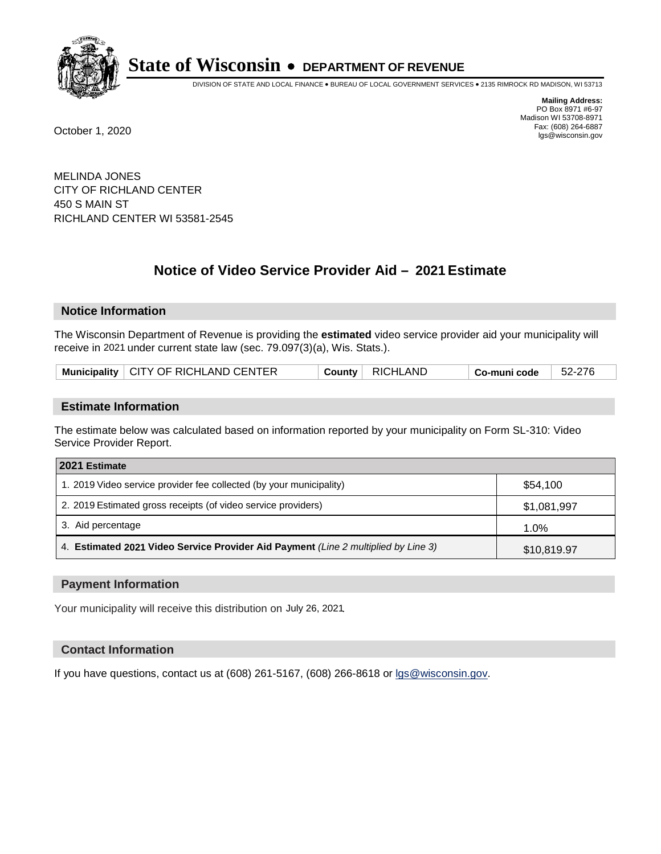

DIVISION OF STATE AND LOCAL FINANCE • BUREAU OF LOCAL GOVERNMENT SERVICES • 2135 RIMROCK RD MADISON, WI 53713

**Mailing Address:** PO Box 8971 #6-97 Madison WI 53708-8971<br>Fax: (608) 264-6887 Fax: (608) 264-6887 October 1, 2020 lgs@wisconsin.gov

MELINDA JONES CITY OF RICHLAND CENTER 450 S MAIN ST RICHLAND CENTER WI 53581-2545

# **Notice of Video Service Provider Aid - 2021 Estimate**

## **Notice Information**

The Wisconsin Department of Revenue is providing the **estimated** video service provider aid your municipality will receive in 2021 under current state law (sec. 79.097(3)(a), Wis. Stats.).

| Municipality   CITY OF RICHLAND CENTER | Countv <b>L</b> | ' RICHLAND | Co-muni code | 52-276 |
|----------------------------------------|-----------------|------------|--------------|--------|
|----------------------------------------|-----------------|------------|--------------|--------|

#### **Estimate Information**

The estimate below was calculated based on information reported by your municipality on Form SL-310: Video Service Provider Report.

| 2021 Estimate                                                                      |             |
|------------------------------------------------------------------------------------|-------------|
| 1. 2019 Video service provider fee collected (by your municipality)                | \$54,100    |
| 2. 2019 Estimated gross receipts (of video service providers)                      | \$1,081,997 |
| 3. Aid percentage                                                                  | 1.0%        |
| 4. Estimated 2021 Video Service Provider Aid Payment (Line 2 multiplied by Line 3) | \$10,819.97 |

#### **Payment Information**

Your municipality will receive this distribution on July 26, 2021.

## **Contact Information**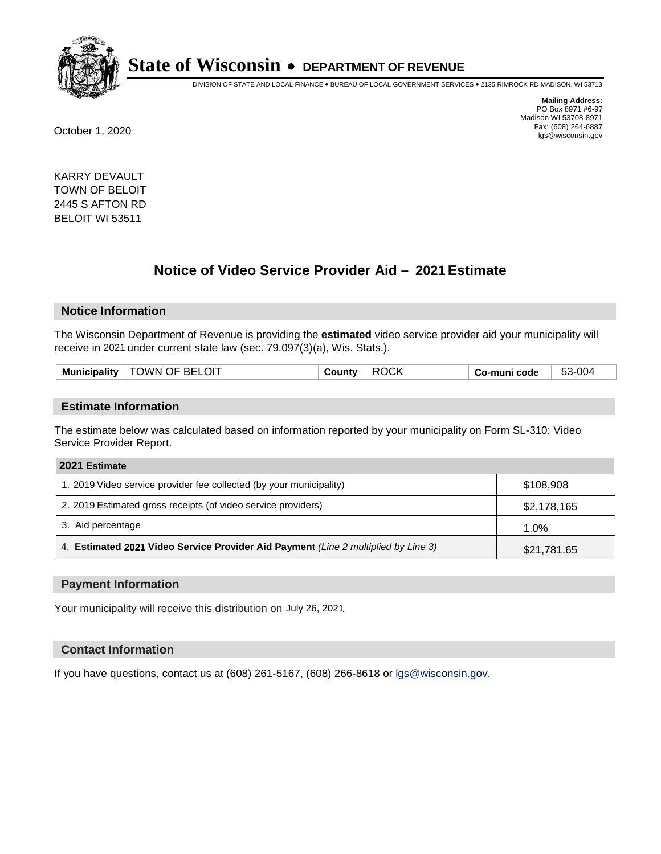

DIVISION OF STATE AND LOCAL FINANCE • BUREAU OF LOCAL GOVERNMENT SERVICES • 2135 RIMROCK RD MADISON, WI 53713

**Mailing Address:** PO Box 8971 #6-97 Madison WI 53708-8971<br>Fax: (608) 264-6887 Fax: (608) 264-6887 October 1, 2020 lgs@wisconsin.gov

KARRY DEVAULT TOWN OF BELOIT 2445 S AFTON RD BELOIT WI 53511

# **Notice of Video Service Provider Aid - 2021 Estimate**

## **Notice Information**

The Wisconsin Department of Revenue is providing the **estimated** video service provider aid your municipality will receive in 2021 under current state law (sec. 79.097(3)(a), Wis. Stats.).

|--|

#### **Estimate Information**

The estimate below was calculated based on information reported by your municipality on Form SL-310: Video Service Provider Report.

| 2021 Estimate                                                                      |             |
|------------------------------------------------------------------------------------|-------------|
| 1. 2019 Video service provider fee collected (by your municipality)                | \$108,908   |
| 2. 2019 Estimated gross receipts (of video service providers)                      | \$2,178,165 |
| 3. Aid percentage                                                                  | 1.0%        |
| 4. Estimated 2021 Video Service Provider Aid Payment (Line 2 multiplied by Line 3) | \$21,781.65 |

#### **Payment Information**

Your municipality will receive this distribution on July 26, 2021.

## **Contact Information**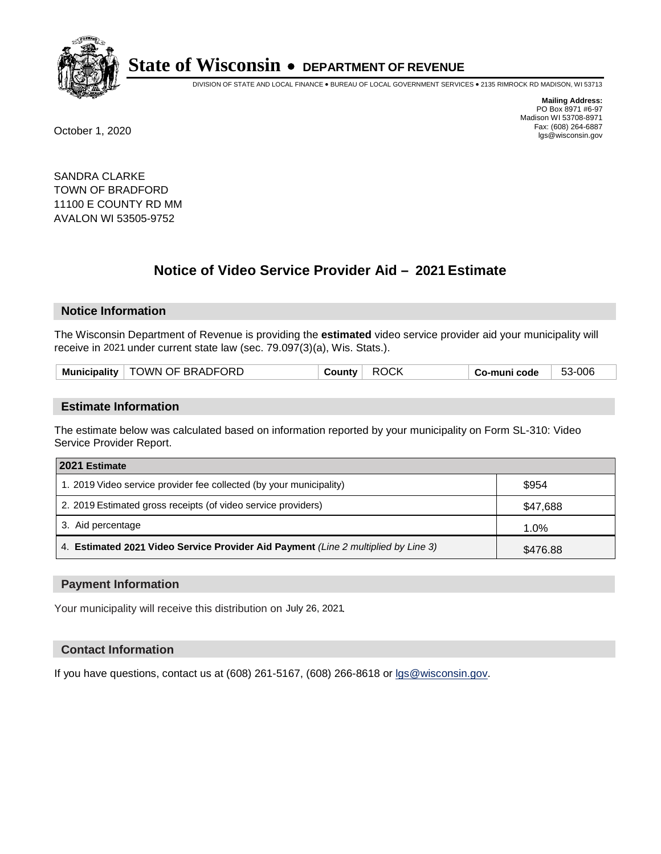

DIVISION OF STATE AND LOCAL FINANCE • BUREAU OF LOCAL GOVERNMENT SERVICES • 2135 RIMROCK RD MADISON, WI 53713

**Mailing Address:** PO Box 8971 #6-97 Madison WI 53708-8971<br>Fax: (608) 264-6887 Fax: (608) 264-6887 October 1, 2020 lgs@wisconsin.gov

SANDRA CLARKE TOWN OF BRADFORD 11100 E COUNTY RD MM AVALON WI 53505-9752

# **Notice of Video Service Provider Aid - 2021 Estimate**

## **Notice Information**

The Wisconsin Department of Revenue is providing the **estimated** video service provider aid your municipality will receive in 2021 under current state law (sec. 79.097(3)(a), Wis. Stats.).

| Municipality   TOWN OF BRADFORD | <b>ROCK</b><br>County ⊡ | Co-muni code | 53-006 |
|---------------------------------|-------------------------|--------------|--------|
|---------------------------------|-------------------------|--------------|--------|

#### **Estimate Information**

The estimate below was calculated based on information reported by your municipality on Form SL-310: Video Service Provider Report.

| 2021 Estimate                                                                      |          |
|------------------------------------------------------------------------------------|----------|
| 1. 2019 Video service provider fee collected (by your municipality)                | \$954    |
| 2. 2019 Estimated gross receipts (of video service providers)                      | \$47,688 |
| 3. Aid percentage                                                                  | 1.0%     |
| 4. Estimated 2021 Video Service Provider Aid Payment (Line 2 multiplied by Line 3) | \$476.88 |

#### **Payment Information**

Your municipality will receive this distribution on July 26, 2021.

## **Contact Information**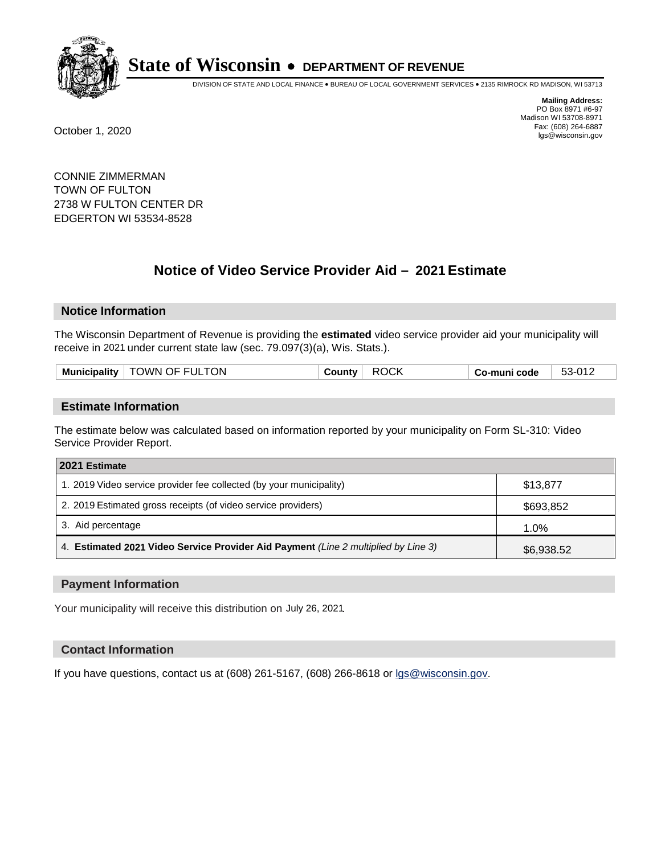

DIVISION OF STATE AND LOCAL FINANCE • BUREAU OF LOCAL GOVERNMENT SERVICES • 2135 RIMROCK RD MADISON, WI 53713

**Mailing Address:** PO Box 8971 #6-97 Madison WI 53708-8971<br>Fax: (608) 264-6887 Fax: (608) 264-6887 October 1, 2020 lgs@wisconsin.gov

CONNIE ZIMMERMAN TOWN OF FULTON 2738 W FULTON CENTER DR EDGERTON WI 53534-8528

# **Notice of Video Service Provider Aid - 2021 Estimate**

## **Notice Information**

The Wisconsin Department of Revenue is providing the **estimated** video service provider aid your municipality will receive in 2021 under current state law (sec. 79.097(3)(a), Wis. Stats.).

| <b>TOWN OF FULTON</b><br><b>Municipality</b> | ⊹ ountvب | <b>ROCK</b> | o-muni code، ت | 53-012 |
|----------------------------------------------|----------|-------------|----------------|--------|
|                                              |          |             |                |        |

#### **Estimate Information**

The estimate below was calculated based on information reported by your municipality on Form SL-310: Video Service Provider Report.

| 2021 Estimate                                                                      |            |
|------------------------------------------------------------------------------------|------------|
| 1. 2019 Video service provider fee collected (by your municipality)                | \$13,877   |
| 2. 2019 Estimated gross receipts (of video service providers)                      | \$693,852  |
| 3. Aid percentage                                                                  | 1.0%       |
| 4. Estimated 2021 Video Service Provider Aid Payment (Line 2 multiplied by Line 3) | \$6,938.52 |

#### **Payment Information**

Your municipality will receive this distribution on July 26, 2021.

## **Contact Information**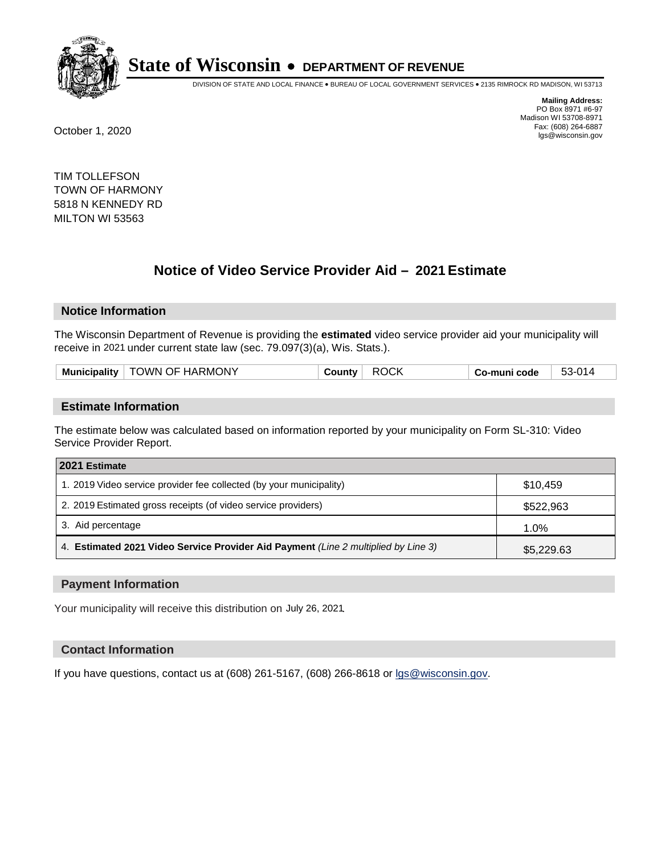

DIVISION OF STATE AND LOCAL FINANCE • BUREAU OF LOCAL GOVERNMENT SERVICES • 2135 RIMROCK RD MADISON, WI 53713

**Mailing Address:** PO Box 8971 #6-97 Madison WI 53708-8971<br>Fax: (608) 264-6887 Fax: (608) 264-6887 October 1, 2020 lgs@wisconsin.gov

TIM TOLLEFSON TOWN OF HARMONY 5818 N KENNEDY RD MILTON WI 53563

# **Notice of Video Service Provider Aid - 2021 Estimate**

## **Notice Information**

The Wisconsin Department of Revenue is providing the **estimated** video service provider aid your municipality will receive in 2021 under current state law (sec. 79.097(3)(a), Wis. Stats.).

|--|

#### **Estimate Information**

The estimate below was calculated based on information reported by your municipality on Form SL-310: Video Service Provider Report.

| 2021 Estimate                                                                      |            |
|------------------------------------------------------------------------------------|------------|
| 1. 2019 Video service provider fee collected (by your municipality)                | \$10.459   |
| 2. 2019 Estimated gross receipts (of video service providers)                      | \$522,963  |
| 3. Aid percentage                                                                  | 1.0%       |
| 4. Estimated 2021 Video Service Provider Aid Payment (Line 2 multiplied by Line 3) | \$5,229.63 |

#### **Payment Information**

Your municipality will receive this distribution on July 26, 2021.

## **Contact Information**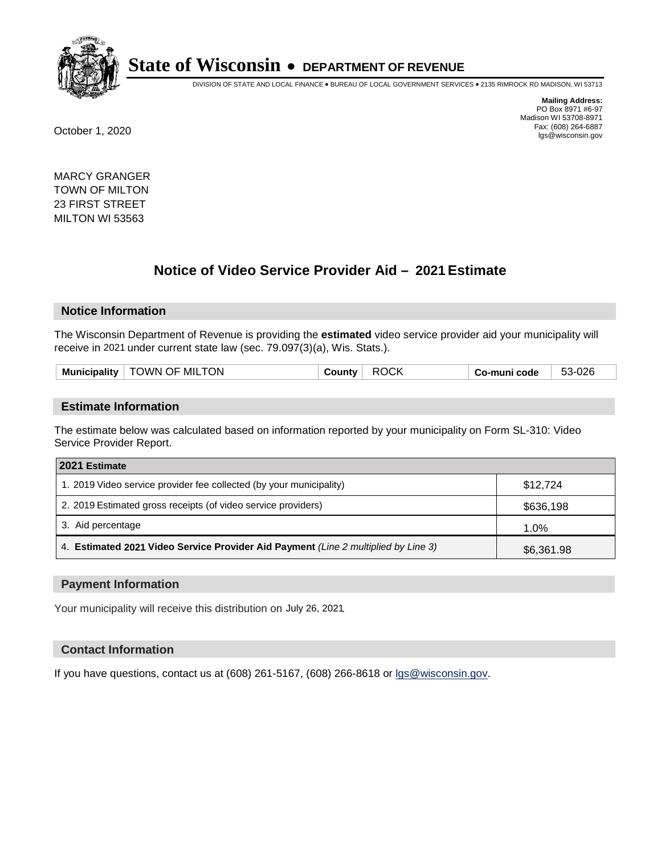

DIVISION OF STATE AND LOCAL FINANCE • BUREAU OF LOCAL GOVERNMENT SERVICES • 2135 RIMROCK RD MADISON, WI 53713

**Mailing Address:** PO Box 8971 #6-97 Madison WI 53708-8971<br>Fax: (608) 264-6887 Fax: (608) 264-6887 October 1, 2020 lgs@wisconsin.gov

MARCY GRANGER TOWN OF MILTON 23 FIRST STREET MILTON WI 53563

# **Notice of Video Service Provider Aid - 2021 Estimate**

## **Notice Information**

The Wisconsin Department of Revenue is providing the **estimated** video service provider aid your municipality will receive in 2021 under current state law (sec. 79.097(3)(a), Wis. Stats.).

| TOWN OF MILTON<br><b>Municipality</b> | <b>ROCK</b><br>⊹ ountyب | co-muni code ت | 53-026 |
|---------------------------------------|-------------------------|----------------|--------|
|                                       |                         |                |        |

#### **Estimate Information**

The estimate below was calculated based on information reported by your municipality on Form SL-310: Video Service Provider Report.

| 2021 Estimate                                                                      |            |
|------------------------------------------------------------------------------------|------------|
| 1. 2019 Video service provider fee collected (by your municipality)                | \$12.724   |
| 2. 2019 Estimated gross receipts (of video service providers)                      | \$636,198  |
| 3. Aid percentage                                                                  | 1.0%       |
| 4. Estimated 2021 Video Service Provider Aid Payment (Line 2 multiplied by Line 3) | \$6,361.98 |

#### **Payment Information**

Your municipality will receive this distribution on July 26, 2021.

## **Contact Information**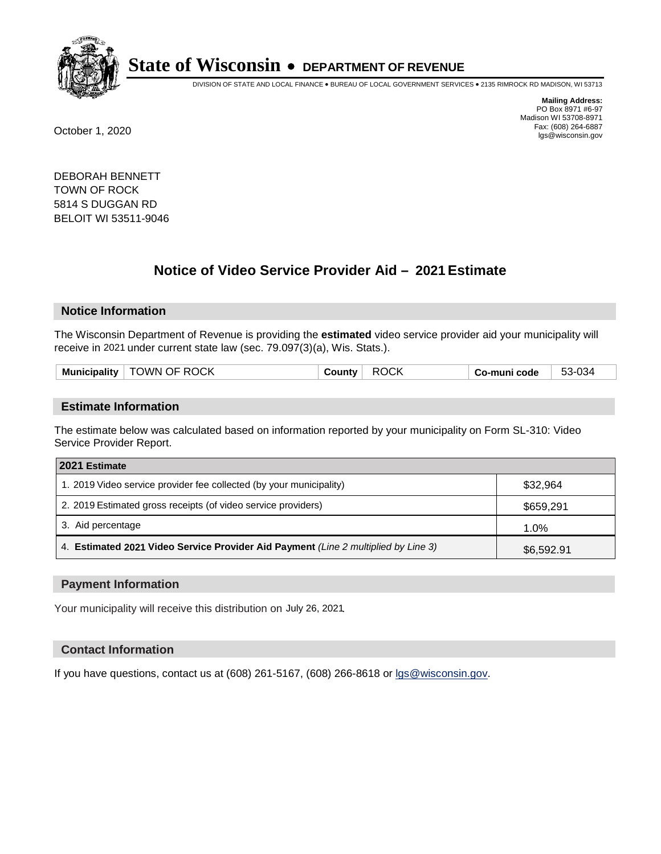

DIVISION OF STATE AND LOCAL FINANCE • BUREAU OF LOCAL GOVERNMENT SERVICES • 2135 RIMROCK RD MADISON, WI 53713

**Mailing Address:** PO Box 8971 #6-97 Madison WI 53708-8971<br>Fax: (608) 264-6887 Fax: (608) 264-6887 October 1, 2020 lgs@wisconsin.gov

DEBORAH BENNETT TOWN OF ROCK 5814 S DUGGAN RD BELOIT WI 53511-9046

# **Notice of Video Service Provider Aid - 2021 Estimate**

## **Notice Information**

The Wisconsin Department of Revenue is providing the **estimated** video service provider aid your municipality will receive in 2021 under current state law (sec. 79.097(3)(a), Wis. Stats.).

| .<br>Muni<br>:inalitv | .OCK<br>DE RO<br>)WN | м<br><u>یں</u><br>π.<br>. . г | . code<br>____ | $\sim$<br>უე-სე⁄ |
|-----------------------|----------------------|-------------------------------|----------------|------------------|
|                       |                      |                               |                |                  |

#### **Estimate Information**

The estimate below was calculated based on information reported by your municipality on Form SL-310: Video Service Provider Report.

| 2021 Estimate                                                                      |            |
|------------------------------------------------------------------------------------|------------|
| 1. 2019 Video service provider fee collected (by your municipality)                | \$32,964   |
| 2. 2019 Estimated gross receipts (of video service providers)                      | \$659,291  |
| 3. Aid percentage                                                                  | 1.0%       |
| 4. Estimated 2021 Video Service Provider Aid Payment (Line 2 multiplied by Line 3) | \$6,592.91 |

#### **Payment Information**

Your municipality will receive this distribution on July 26, 2021.

## **Contact Information**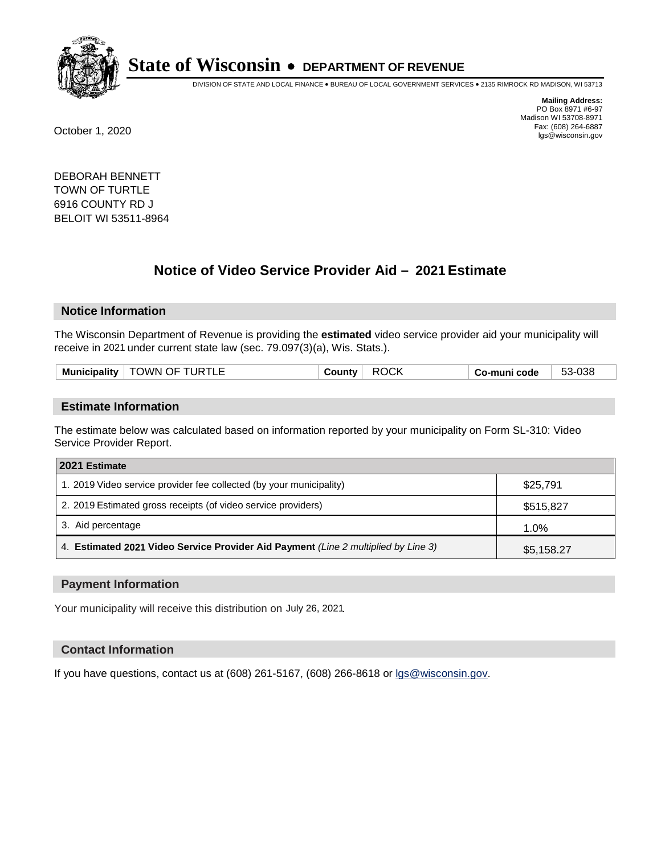

DIVISION OF STATE AND LOCAL FINANCE • BUREAU OF LOCAL GOVERNMENT SERVICES • 2135 RIMROCK RD MADISON, WI 53713

**Mailing Address:** PO Box 8971 #6-97 Madison WI 53708-8971<br>Fax: (608) 264-6887 Fax: (608) 264-6887 October 1, 2020 lgs@wisconsin.gov

DEBORAH BENNETT TOWN OF TURTLE 6916 COUNTY RD J BELOIT WI 53511-8964

# **Notice of Video Service Provider Aid - 2021 Estimate**

## **Notice Information**

The Wisconsin Department of Revenue is providing the **estimated** video service provider aid your municipality will receive in 2021 under current state law (sec. 79.097(3)(a), Wis. Stats.).

|  | Municipality | <b>TOWN OF TURTLE</b> | <b>County</b> √ | <b>ROCK</b> | Co-muni code | 53-038 |
|--|--------------|-----------------------|-----------------|-------------|--------------|--------|
|--|--------------|-----------------------|-----------------|-------------|--------------|--------|

#### **Estimate Information**

The estimate below was calculated based on information reported by your municipality on Form SL-310: Video Service Provider Report.

| 2021 Estimate                                                                      |            |
|------------------------------------------------------------------------------------|------------|
| 1. 2019 Video service provider fee collected (by your municipality)                | \$25,791   |
| 2. 2019 Estimated gross receipts (of video service providers)                      | \$515,827  |
| 3. Aid percentage                                                                  | 1.0%       |
| 4. Estimated 2021 Video Service Provider Aid Payment (Line 2 multiplied by Line 3) | \$5,158.27 |

#### **Payment Information**

Your municipality will receive this distribution on July 26, 2021.

## **Contact Information**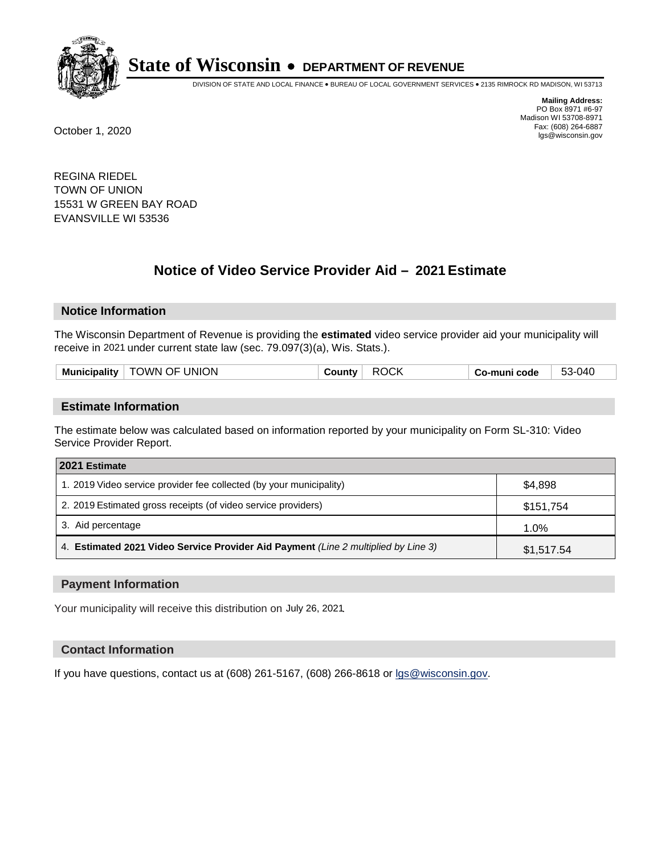

DIVISION OF STATE AND LOCAL FINANCE • BUREAU OF LOCAL GOVERNMENT SERVICES • 2135 RIMROCK RD MADISON, WI 53713

**Mailing Address:** PO Box 8971 #6-97 Madison WI 53708-8971<br>Fax: (608) 264-6887 Fax: (608) 264-6887 October 1, 2020 lgs@wisconsin.gov

REGINA RIEDEL TOWN OF UNION 15531 W GREEN BAY ROAD EVANSVILLE WI 53536

# **Notice of Video Service Provider Aid - 2021 Estimate**

## **Notice Information**

The Wisconsin Department of Revenue is providing the **estimated** video service provider aid your municipality will receive in 2021 under current state law (sec. 79.097(3)(a), Wis. Stats.).

| Mun.<br>.<br>nicipality | OF UNION<br>)WN | . . | code<br>aunr<br> | 3-04<br>ື |
|-------------------------|-----------------|-----|------------------|-----------|
|                         |                 |     |                  |           |

#### **Estimate Information**

The estimate below was calculated based on information reported by your municipality on Form SL-310: Video Service Provider Report.

| 2021 Estimate                                                                      |            |
|------------------------------------------------------------------------------------|------------|
| 1. 2019 Video service provider fee collected (by your municipality)                | \$4.898    |
| 2. 2019 Estimated gross receipts (of video service providers)                      | \$151,754  |
| 3. Aid percentage                                                                  | 1.0%       |
| 4. Estimated 2021 Video Service Provider Aid Payment (Line 2 multiplied by Line 3) | \$1,517.54 |

#### **Payment Information**

Your municipality will receive this distribution on July 26, 2021.

## **Contact Information**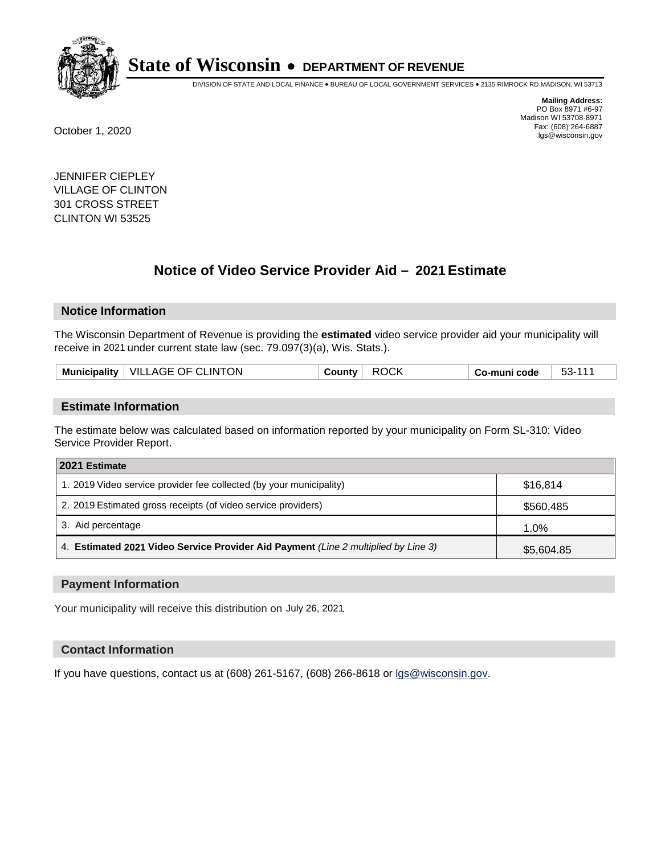

DIVISION OF STATE AND LOCAL FINANCE • BUREAU OF LOCAL GOVERNMENT SERVICES • 2135 RIMROCK RD MADISON, WI 53713

**Mailing Address:** PO Box 8971 #6-97 Madison WI 53708-8971<br>Fax: (608) 264-6887 Fax: (608) 264-6887 October 1, 2020 lgs@wisconsin.gov

JENNIFER CIEPLEY VILLAGE OF CLINTON 301 CROSS STREET CLINTON WI 53525

# **Notice of Video Service Provider Aid - 2021 Estimate**

## **Notice Information**

The Wisconsin Department of Revenue is providing the **estimated** video service provider aid your municipality will receive in 2021 under current state law (sec. 79.097(3)(a), Wis. Stats.).

| Municipality   VILLAGE OF CLINTON<br><b>ROCK</b><br>53-111<br>County<br>Co-muni code |  |
|--------------------------------------------------------------------------------------|--|
|--------------------------------------------------------------------------------------|--|

#### **Estimate Information**

The estimate below was calculated based on information reported by your municipality on Form SL-310: Video Service Provider Report.

| 2021 Estimate                                                                      |            |
|------------------------------------------------------------------------------------|------------|
| 1. 2019 Video service provider fee collected (by your municipality)                | \$16,814   |
| 2. 2019 Estimated gross receipts (of video service providers)                      | \$560,485  |
| 3. Aid percentage                                                                  | 1.0%       |
| 4. Estimated 2021 Video Service Provider Aid Payment (Line 2 multiplied by Line 3) | \$5,604.85 |

#### **Payment Information**

Your municipality will receive this distribution on July 26, 2021.

## **Contact Information**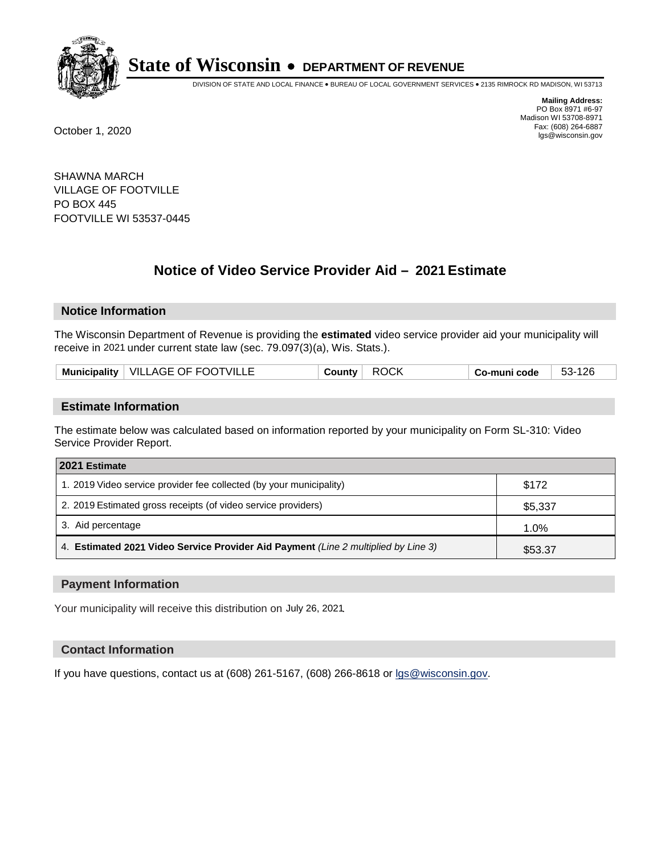

DIVISION OF STATE AND LOCAL FINANCE • BUREAU OF LOCAL GOVERNMENT SERVICES • 2135 RIMROCK RD MADISON, WI 53713

**Mailing Address:** PO Box 8971 #6-97 Madison WI 53708-8971<br>Fax: (608) 264-6887 Fax: (608) 264-6887 October 1, 2020 lgs@wisconsin.gov

SHAWNA MARCH VILLAGE OF FOOTVILLE PO BOX 445 FOOTVILLE WI 53537-0445

# **Notice of Video Service Provider Aid - 2021 Estimate**

## **Notice Information**

The Wisconsin Department of Revenue is providing the **estimated** video service provider aid your municipality will receive in 2021 under current state law (sec. 79.097(3)(a), Wis. Stats.).

|  | Municipality   VILLAGE OF FOOTVILLE | <b>ROCK</b><br>∵ountvٽ | co-muni code، | 53-126 |
|--|-------------------------------------|------------------------|---------------|--------|
|--|-------------------------------------|------------------------|---------------|--------|

#### **Estimate Information**

The estimate below was calculated based on information reported by your municipality on Form SL-310: Video Service Provider Report.

| 2021 Estimate                                                                      |         |
|------------------------------------------------------------------------------------|---------|
| 1. 2019 Video service provider fee collected (by your municipality)                | \$172   |
| 2. 2019 Estimated gross receipts (of video service providers)                      | \$5,337 |
| 3. Aid percentage                                                                  | 1.0%    |
| 4. Estimated 2021 Video Service Provider Aid Payment (Line 2 multiplied by Line 3) | \$53.37 |

#### **Payment Information**

Your municipality will receive this distribution on July 26, 2021.

## **Contact Information**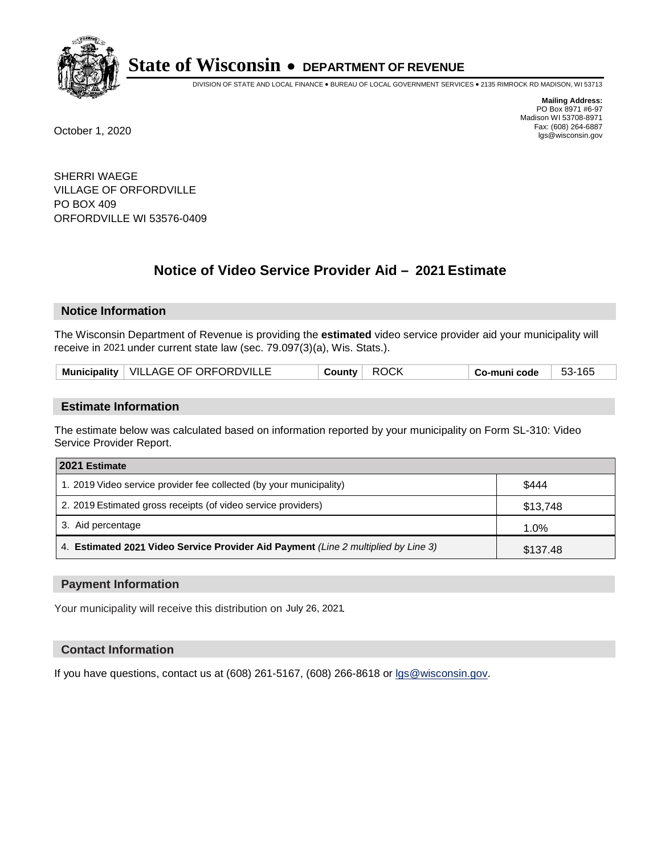

DIVISION OF STATE AND LOCAL FINANCE • BUREAU OF LOCAL GOVERNMENT SERVICES • 2135 RIMROCK RD MADISON, WI 53713

**Mailing Address:** PO Box 8971 #6-97 Madison WI 53708-8971<br>Fax: (608) 264-6887 Fax: (608) 264-6887 October 1, 2020 lgs@wisconsin.gov

SHERRI WAEGE VILLAGE OF ORFORDVILLE PO BOX 409 ORFORDVILLE WI 53576-0409

# **Notice of Video Service Provider Aid - 2021 Estimate**

## **Notice Information**

The Wisconsin Department of Revenue is providing the **estimated** video service provider aid your municipality will receive in 2021 under current state law (sec. 79.097(3)(a), Wis. Stats.).

| Municipality   VILLAGE OF ORFORDVILLE | <b>ROCK</b><br>County | 53-165<br>. Co-muni code |
|---------------------------------------|-----------------------|--------------------------|
|---------------------------------------|-----------------------|--------------------------|

#### **Estimate Information**

The estimate below was calculated based on information reported by your municipality on Form SL-310: Video Service Provider Report.

| 2021 Estimate                                                                      |          |  |
|------------------------------------------------------------------------------------|----------|--|
| 1. 2019 Video service provider fee collected (by your municipality)                | \$444    |  |
| 2. 2019 Estimated gross receipts (of video service providers)                      | \$13,748 |  |
| 3. Aid percentage                                                                  | 1.0%     |  |
| 4. Estimated 2021 Video Service Provider Aid Payment (Line 2 multiplied by Line 3) | \$137.48 |  |

#### **Payment Information**

Your municipality will receive this distribution on July 26, 2021.

## **Contact Information**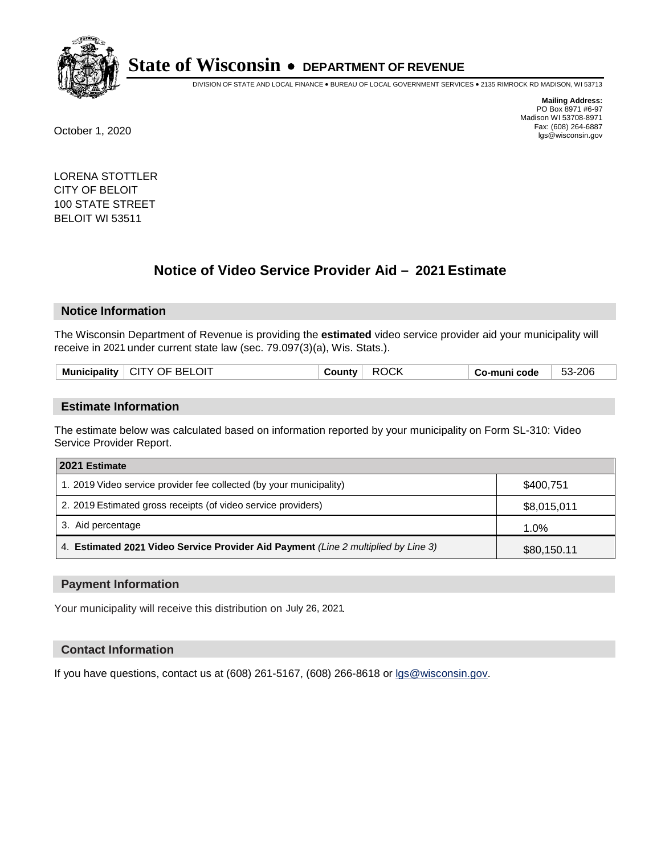

DIVISION OF STATE AND LOCAL FINANCE • BUREAU OF LOCAL GOVERNMENT SERVICES • 2135 RIMROCK RD MADISON, WI 53713

**Mailing Address:** PO Box 8971 #6-97 Madison WI 53708-8971<br>Fax: (608) 264-6887 Fax: (608) 264-6887 October 1, 2020 lgs@wisconsin.gov

LORENA STOTTLER CITY OF BELOIT 100 STATE STREET BELOIT WI 53511

# **Notice of Video Service Provider Aid - 2021 Estimate**

## **Notice Information**

The Wisconsin Department of Revenue is providing the **estimated** video service provider aid your municipality will receive in 2021 under current state law (sec. 79.097(3)(a), Wis. Stats.).

| Muni<br>einality: | OIT<br>. ப<br>. )F<br>v<br>اللابات<br>זר<br>the contract of the contract of the contract of the contract of the contract of the contract of the contract of | м<br>ιıΓ | code<br>. .<br>- - - - | :206<br>- 50<br>ാാ- |
|-------------------|-------------------------------------------------------------------------------------------------------------------------------------------------------------|----------|------------------------|---------------------|
|                   |                                                                                                                                                             |          |                        |                     |

#### **Estimate Information**

The estimate below was calculated based on information reported by your municipality on Form SL-310: Video Service Provider Report.

| 2021 Estimate                                                                      |             |
|------------------------------------------------------------------------------------|-------------|
| 1. 2019 Video service provider fee collected (by your municipality)                | \$400,751   |
| 2. 2019 Estimated gross receipts (of video service providers)                      | \$8,015,011 |
| 3. Aid percentage                                                                  | 1.0%        |
| 4. Estimated 2021 Video Service Provider Aid Payment (Line 2 multiplied by Line 3) | \$80,150.11 |

#### **Payment Information**

Your municipality will receive this distribution on July 26, 2021.

## **Contact Information**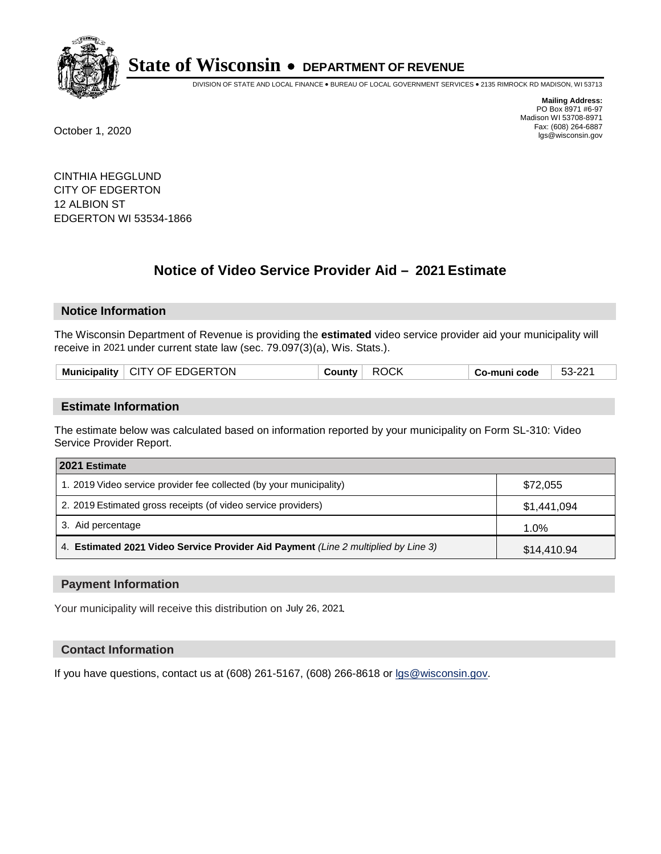

DIVISION OF STATE AND LOCAL FINANCE • BUREAU OF LOCAL GOVERNMENT SERVICES • 2135 RIMROCK RD MADISON, WI 53713

**Mailing Address:** PO Box 8971 #6-97 Madison WI 53708-8971<br>Fax: (608) 264-6887 Fax: (608) 264-6887 October 1, 2020 lgs@wisconsin.gov

CINTHIA HEGGLUND CITY OF EDGERTON 12 ALBION ST EDGERTON WI 53534-1866

# **Notice of Video Service Provider Aid - 2021 Estimate**

## **Notice Information**

The Wisconsin Department of Revenue is providing the **estimated** video service provider aid your municipality will receive in 2021 under current state law (sec. 79.097(3)(a), Wis. Stats.).

| Municipality $\vert$ CITY OF EDGERTON |
|---------------------------------------|
|---------------------------------------|

#### **Estimate Information**

The estimate below was calculated based on information reported by your municipality on Form SL-310: Video Service Provider Report.

| 2021 Estimate                                                                      |             |
|------------------------------------------------------------------------------------|-------------|
| 1. 2019 Video service provider fee collected (by your municipality)                | \$72,055    |
| 2. 2019 Estimated gross receipts (of video service providers)                      | \$1,441,094 |
| 3. Aid percentage                                                                  | 1.0%        |
| 4. Estimated 2021 Video Service Provider Aid Payment (Line 2 multiplied by Line 3) | \$14,410.94 |

#### **Payment Information**

Your municipality will receive this distribution on July 26, 2021.

## **Contact Information**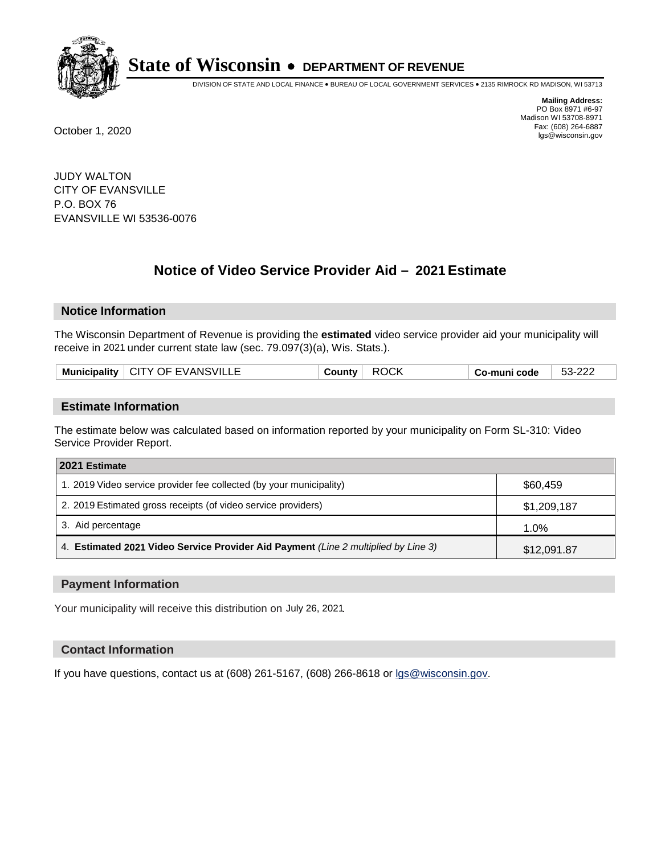

DIVISION OF STATE AND LOCAL FINANCE • BUREAU OF LOCAL GOVERNMENT SERVICES • 2135 RIMROCK RD MADISON, WI 53713

**Mailing Address:** PO Box 8971 #6-97 Madison WI 53708-8971<br>Fax: (608) 264-6887 Fax: (608) 264-6887 October 1, 2020 lgs@wisconsin.gov

JUDY WALTON CITY OF EVANSVILLE P.O. BOX 76 EVANSVILLE WI 53536-0076

# **Notice of Video Service Provider Aid - 2021 Estimate**

## **Notice Information**

The Wisconsin Department of Revenue is providing the **estimated** video service provider aid your municipality will receive in 2021 under current state law (sec. 79.097(3)(a), Wis. Stats.).

| Municipality   CITY OF EVANSVILLE |
|-----------------------------------|
|-----------------------------------|

#### **Estimate Information**

The estimate below was calculated based on information reported by your municipality on Form SL-310: Video Service Provider Report.

| 2021 Estimate                                                                      |             |
|------------------------------------------------------------------------------------|-------------|
| 1. 2019 Video service provider fee collected (by your municipality)                | \$60,459    |
| 2. 2019 Estimated gross receipts (of video service providers)                      | \$1,209,187 |
| 3. Aid percentage                                                                  | 1.0%        |
| 4. Estimated 2021 Video Service Provider Aid Payment (Line 2 multiplied by Line 3) | \$12,091.87 |

#### **Payment Information**

Your municipality will receive this distribution on July 26, 2021.

## **Contact Information**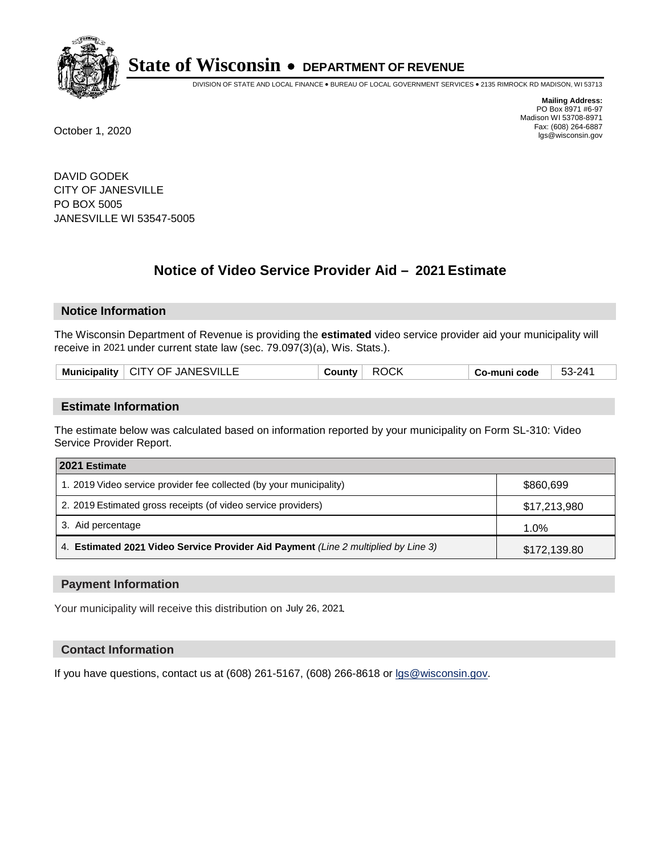

DIVISION OF STATE AND LOCAL FINANCE • BUREAU OF LOCAL GOVERNMENT SERVICES • 2135 RIMROCK RD MADISON, WI 53713

**Mailing Address:** PO Box 8971 #6-97 Madison WI 53708-8971<br>Fax: (608) 264-6887 Fax: (608) 264-6887 October 1, 2020 lgs@wisconsin.gov

DAVID GODEK CITY OF JANESVILLE PO BOX 5005 JANESVILLE WI 53547-5005

# **Notice of Video Service Provider Aid - 2021 Estimate**

## **Notice Information**

The Wisconsin Department of Revenue is providing the **estimated** video service provider aid your municipality will receive in 2021 under current state law (sec. 79.097(3)(a), Wis. Stats.).

|--|

#### **Estimate Information**

The estimate below was calculated based on information reported by your municipality on Form SL-310: Video Service Provider Report.

| 2021 Estimate                                                                      |              |
|------------------------------------------------------------------------------------|--------------|
| 1. 2019 Video service provider fee collected (by your municipality)                | \$860,699    |
| 2. 2019 Estimated gross receipts (of video service providers)                      | \$17,213,980 |
| 3. Aid percentage                                                                  | 1.0%         |
| 4. Estimated 2021 Video Service Provider Aid Payment (Line 2 multiplied by Line 3) | \$172,139.80 |

#### **Payment Information**

Your municipality will receive this distribution on July 26, 2021.

## **Contact Information**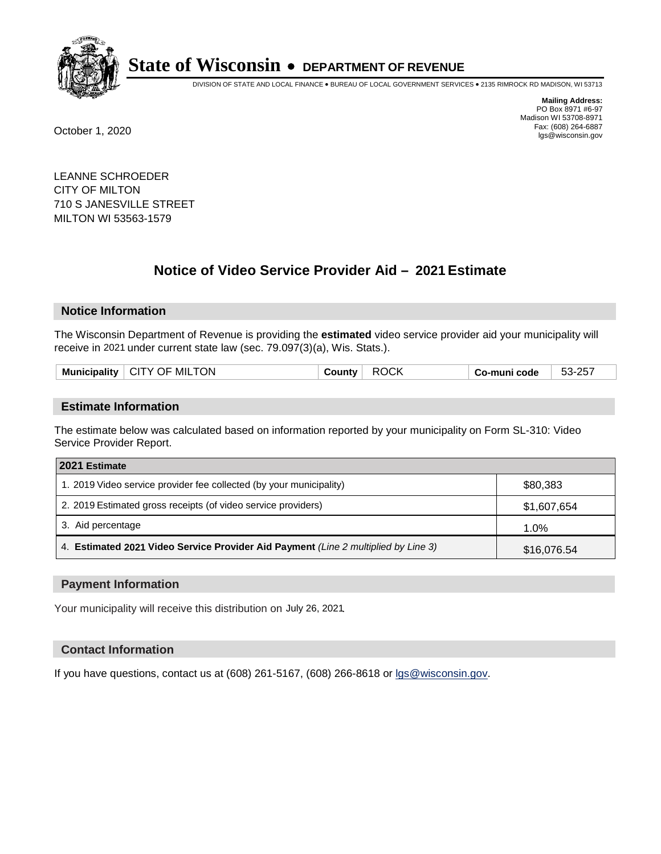

DIVISION OF STATE AND LOCAL FINANCE • BUREAU OF LOCAL GOVERNMENT SERVICES • 2135 RIMROCK RD MADISON, WI 53713

**Mailing Address:** PO Box 8971 #6-97 Madison WI 53708-8971<br>Fax: (608) 264-6887 Fax: (608) 264-6887 October 1, 2020 lgs@wisconsin.gov

LEANNE SCHROEDER CITY OF MILTON 710 S JANESVILLE STREET MILTON WI 53563-1579

# **Notice of Video Service Provider Aid - 2021 Estimate**

## **Notice Information**

The Wisconsin Department of Revenue is providing the **estimated** video service provider aid your municipality will receive in 2021 under current state law (sec. 79.097(3)(a), Wis. Stats.).

| <b>Municipality</b> | CITY OF MILTON | County | <b>ROCK</b> | Co-muni code | 53-257 |
|---------------------|----------------|--------|-------------|--------------|--------|
|                     |                |        |             |              |        |

#### **Estimate Information**

The estimate below was calculated based on information reported by your municipality on Form SL-310: Video Service Provider Report.

| 2021 Estimate                                                                      |             |
|------------------------------------------------------------------------------------|-------------|
| 1. 2019 Video service provider fee collected (by your municipality)                | \$80,383    |
| 2. 2019 Estimated gross receipts (of video service providers)                      | \$1,607,654 |
| 3. Aid percentage                                                                  | 1.0%        |
| 4. Estimated 2021 Video Service Provider Aid Payment (Line 2 multiplied by Line 3) | \$16,076.54 |

#### **Payment Information**

Your municipality will receive this distribution on July 26, 2021.

## **Contact Information**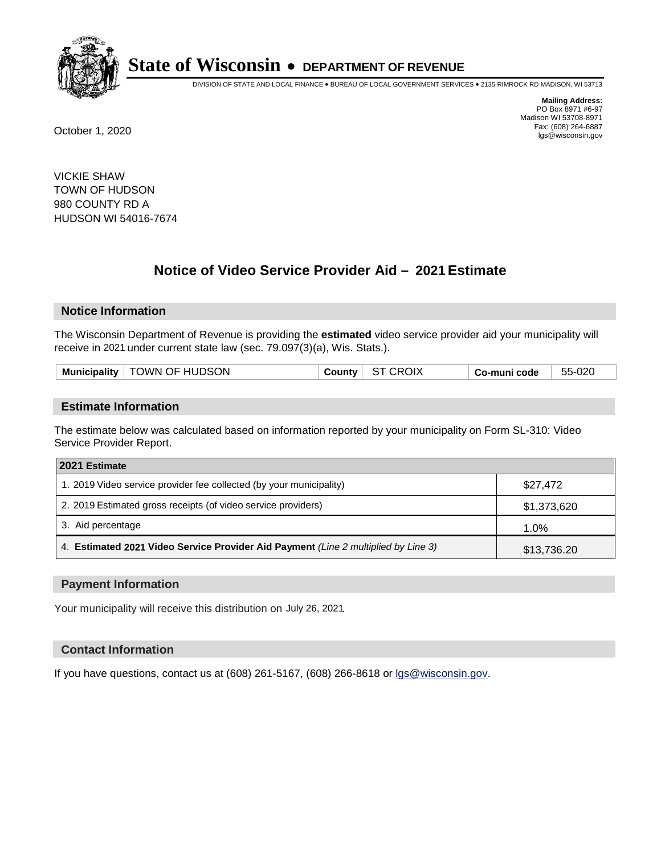

DIVISION OF STATE AND LOCAL FINANCE • BUREAU OF LOCAL GOVERNMENT SERVICES • 2135 RIMROCK RD MADISON, WI 53713

**Mailing Address:** PO Box 8971 #6-97 Madison WI 53708-8971<br>Fax: (608) 264-6887 Fax: (608) 264-6887 October 1, 2020 lgs@wisconsin.gov

VICKIE SHAW TOWN OF HUDSON 980 COUNTY RD A HUDSON WI 54016-7674

# **Notice of Video Service Provider Aid - 2021 Estimate**

## **Notice Information**

The Wisconsin Department of Revenue is providing the **estimated** video service provider aid your municipality will receive in 2021 under current state law (sec. 79.097(3)(a), Wis. Stats.).

| Municipality   TOWN OF HUDSON | $C$ ounty | ST CROIX | ∣ Co-muni code | 55-020 |
|-------------------------------|-----------|----------|----------------|--------|
|                               |           |          |                |        |

#### **Estimate Information**

The estimate below was calculated based on information reported by your municipality on Form SL-310: Video Service Provider Report.

| 2021 Estimate                                                                      |             |
|------------------------------------------------------------------------------------|-------------|
| 1. 2019 Video service provider fee collected (by your municipality)                | \$27,472    |
| 2. 2019 Estimated gross receipts (of video service providers)                      | \$1,373,620 |
| 3. Aid percentage                                                                  | 1.0%        |
| 4. Estimated 2021 Video Service Provider Aid Payment (Line 2 multiplied by Line 3) | \$13,736.20 |

#### **Payment Information**

Your municipality will receive this distribution on July 26, 2021.

## **Contact Information**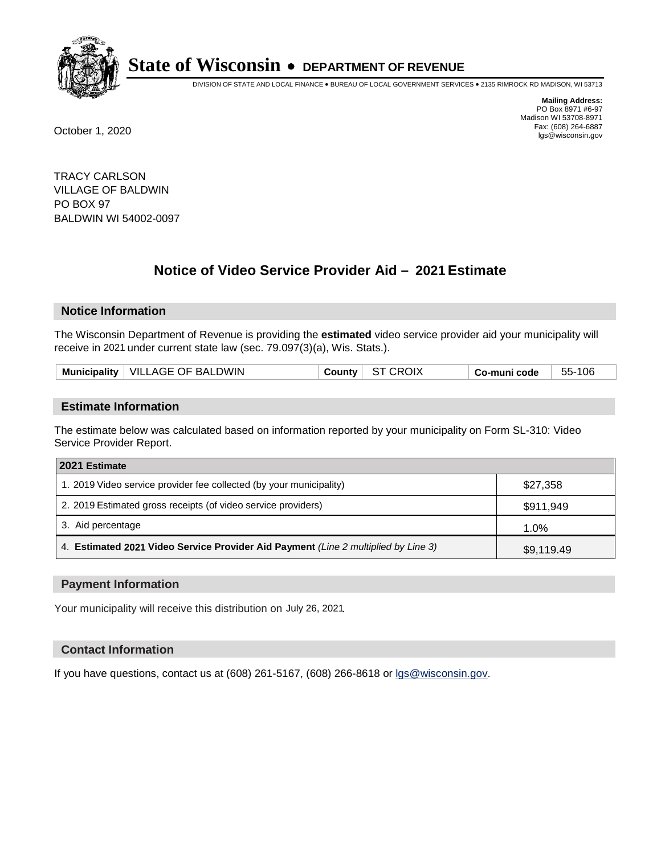

DIVISION OF STATE AND LOCAL FINANCE • BUREAU OF LOCAL GOVERNMENT SERVICES • 2135 RIMROCK RD MADISON, WI 53713

**Mailing Address:** PO Box 8971 #6-97 Madison WI 53708-8971<br>Fax: (608) 264-6887 Fax: (608) 264-6887 October 1, 2020 lgs@wisconsin.gov

TRACY CARLSON VILLAGE OF BALDWIN PO BOX 97 BALDWIN WI 54002-0097

# **Notice of Video Service Provider Aid - 2021 Estimate**

## **Notice Information**

The Wisconsin Department of Revenue is providing the **estimated** video service provider aid your municipality will receive in 2021 under current state law (sec. 79.097(3)(a), Wis. Stats.).

| Municipality   VILLAGE OF BALDWIN | ST CROIX<br>County | Co-muni code | 55-106 |
|-----------------------------------|--------------------|--------------|--------|
|-----------------------------------|--------------------|--------------|--------|

#### **Estimate Information**

The estimate below was calculated based on information reported by your municipality on Form SL-310: Video Service Provider Report.

| 2021 Estimate                                                                      |            |
|------------------------------------------------------------------------------------|------------|
| 1. 2019 Video service provider fee collected (by your municipality)                | \$27,358   |
| 2. 2019 Estimated gross receipts (of video service providers)                      | \$911,949  |
| 3. Aid percentage                                                                  | 1.0%       |
| 4. Estimated 2021 Video Service Provider Aid Payment (Line 2 multiplied by Line 3) | \$9,119.49 |

#### **Payment Information**

Your municipality will receive this distribution on July 26, 2021.

## **Contact Information**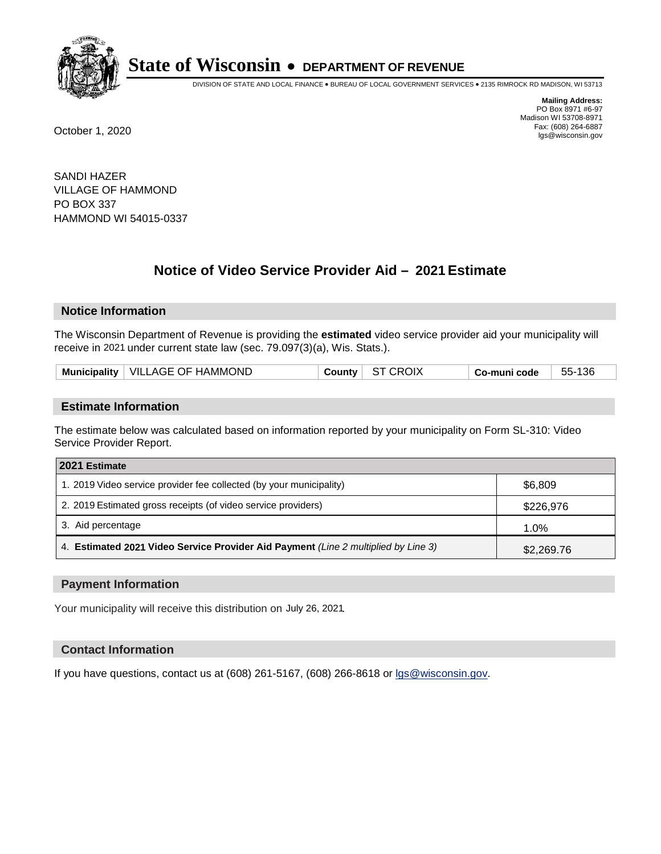

DIVISION OF STATE AND LOCAL FINANCE • BUREAU OF LOCAL GOVERNMENT SERVICES • 2135 RIMROCK RD MADISON, WI 53713

**Mailing Address:** PO Box 8971 #6-97 Madison WI 53708-8971<br>Fax: (608) 264-6887 Fax: (608) 264-6887 October 1, 2020 lgs@wisconsin.gov

SANDI HAZER VILLAGE OF HAMMOND PO BOX 337 HAMMOND WI 54015-0337

# **Notice of Video Service Provider Aid - 2021 Estimate**

## **Notice Information**

The Wisconsin Department of Revenue is providing the **estimated** video service provider aid your municipality will receive in 2021 under current state law (sec. 79.097(3)(a), Wis. Stats.).

| Municipality   VILLAGE OF HAMMOND<br><b>CROIX</b><br>55-136<br>∵ounty ټ<br>co-muni code، |
|------------------------------------------------------------------------------------------|
|------------------------------------------------------------------------------------------|

#### **Estimate Information**

The estimate below was calculated based on information reported by your municipality on Form SL-310: Video Service Provider Report.

| 2021 Estimate                                                                      |            |
|------------------------------------------------------------------------------------|------------|
| 1. 2019 Video service provider fee collected (by your municipality)                | \$6,809    |
| 2. 2019 Estimated gross receipts (of video service providers)                      | \$226,976  |
| 3. Aid percentage                                                                  | 1.0%       |
| 4. Estimated 2021 Video Service Provider Aid Payment (Line 2 multiplied by Line 3) | \$2,269.76 |

#### **Payment Information**

Your municipality will receive this distribution on July 26, 2021.

## **Contact Information**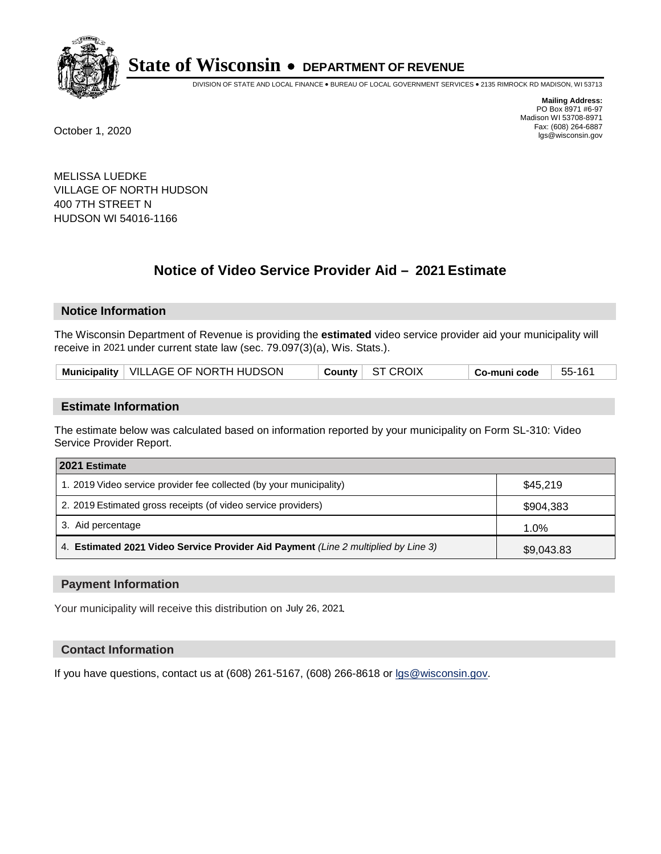

DIVISION OF STATE AND LOCAL FINANCE • BUREAU OF LOCAL GOVERNMENT SERVICES • 2135 RIMROCK RD MADISON, WI 53713

**Mailing Address:** PO Box 8971 #6-97 Madison WI 53708-8971<br>Fax: (608) 264-6887 Fax: (608) 264-6887 October 1, 2020 lgs@wisconsin.gov

MELISSA LUEDKE VILLAGE OF NORTH HUDSON 400 7TH STREET N HUDSON WI 54016-1166

# **Notice of Video Service Provider Aid - 2021 Estimate**

## **Notice Information**

The Wisconsin Department of Revenue is providing the **estimated** video service provider aid your municipality will receive in 2021 under current state law (sec. 79.097(3)(a), Wis. Stats.).

## **Estimate Information**

The estimate below was calculated based on information reported by your municipality on Form SL-310: Video Service Provider Report.

| 2021 Estimate                                                                      |            |
|------------------------------------------------------------------------------------|------------|
| 1. 2019 Video service provider fee collected (by your municipality)                | \$45.219   |
| 2. 2019 Estimated gross receipts (of video service providers)                      | \$904,383  |
| 3. Aid percentage                                                                  | 1.0%       |
| 4. Estimated 2021 Video Service Provider Aid Payment (Line 2 multiplied by Line 3) | \$9,043.83 |

#### **Payment Information**

Your municipality will receive this distribution on July 26, 2021.

## **Contact Information**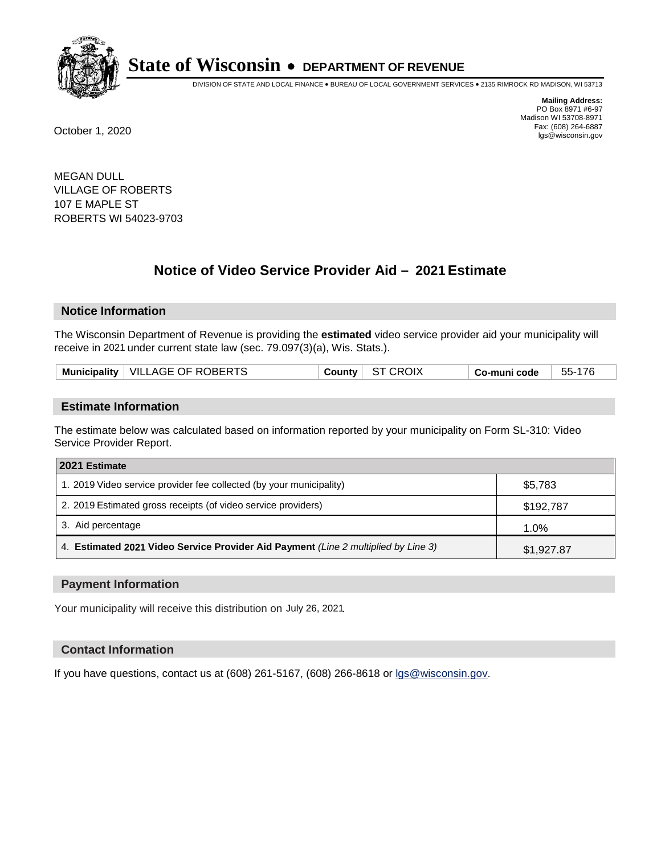

DIVISION OF STATE AND LOCAL FINANCE • BUREAU OF LOCAL GOVERNMENT SERVICES • 2135 RIMROCK RD MADISON, WI 53713

**Mailing Address:** PO Box 8971 #6-97 Madison WI 53708-8971<br>Fax: (608) 264-6887 Fax: (608) 264-6887 October 1, 2020 lgs@wisconsin.gov

MEGAN DULL VILLAGE OF ROBERTS 107 E MAPLE ST ROBERTS WI 54023-9703

# **Notice of Video Service Provider Aid - 2021 Estimate**

## **Notice Information**

The Wisconsin Department of Revenue is providing the **estimated** video service provider aid your municipality will receive in 2021 under current state law (sec. 79.097(3)(a), Wis. Stats.).

| Municipality   VILLAGE OF ROBERTS<br>ST CROIX<br>55-176<br>County  <br>Co-muni code |
|-------------------------------------------------------------------------------------|
|-------------------------------------------------------------------------------------|

#### **Estimate Information**

The estimate below was calculated based on information reported by your municipality on Form SL-310: Video Service Provider Report.

| 2021 Estimate                                                                      |            |
|------------------------------------------------------------------------------------|------------|
| 1. 2019 Video service provider fee collected (by your municipality)                | \$5,783    |
| 2. 2019 Estimated gross receipts (of video service providers)                      | \$192,787  |
| 3. Aid percentage                                                                  | 1.0%       |
| 4. Estimated 2021 Video Service Provider Aid Payment (Line 2 multiplied by Line 3) | \$1,927.87 |

#### **Payment Information**

Your municipality will receive this distribution on July 26, 2021.

## **Contact Information**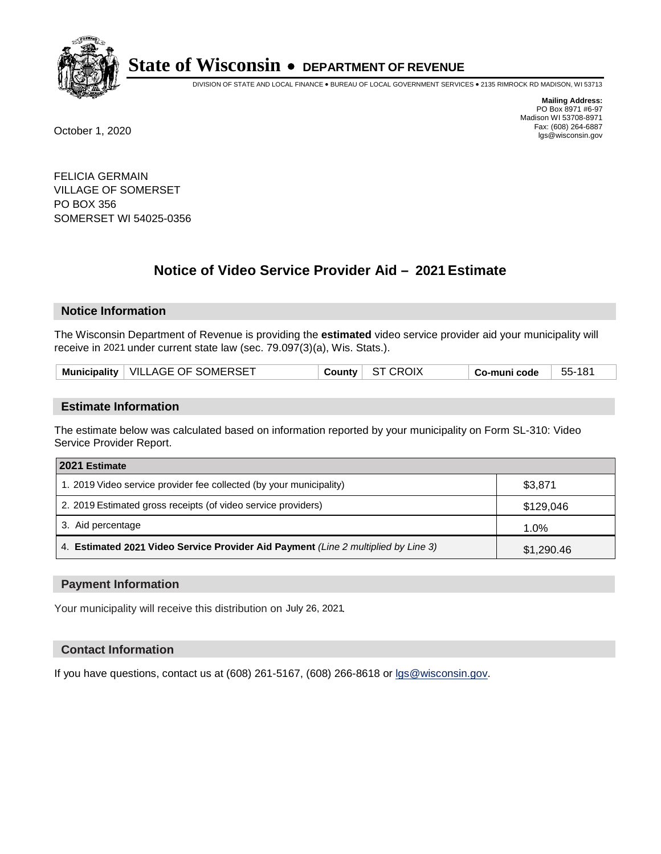

DIVISION OF STATE AND LOCAL FINANCE • BUREAU OF LOCAL GOVERNMENT SERVICES • 2135 RIMROCK RD MADISON, WI 53713

**Mailing Address:** PO Box 8971 #6-97 Madison WI 53708-8971<br>Fax: (608) 264-6887 Fax: (608) 264-6887 October 1, 2020 lgs@wisconsin.gov

FELICIA GERMAIN VILLAGE OF SOMERSET PO BOX 356 SOMERSET WI 54025-0356

# **Notice of Video Service Provider Aid - 2021 Estimate**

## **Notice Information**

The Wisconsin Department of Revenue is providing the **estimated** video service provider aid your municipality will receive in 2021 under current state law (sec. 79.097(3)(a), Wis. Stats.).

| Municipality   VILLAGE OF SOMERSET | County ST CROIX | Co-muni code | - 55-181 |
|------------------------------------|-----------------|--------------|----------|
|------------------------------------|-----------------|--------------|----------|

#### **Estimate Information**

The estimate below was calculated based on information reported by your municipality on Form SL-310: Video Service Provider Report.

| 2021 Estimate                                                                      |            |
|------------------------------------------------------------------------------------|------------|
| 1. 2019 Video service provider fee collected (by your municipality)                | \$3,871    |
| 2. 2019 Estimated gross receipts (of video service providers)                      | \$129,046  |
| 3. Aid percentage                                                                  | 1.0%       |
| 4. Estimated 2021 Video Service Provider Aid Payment (Line 2 multiplied by Line 3) | \$1,290.46 |

#### **Payment Information**

Your municipality will receive this distribution on July 26, 2021.

## **Contact Information**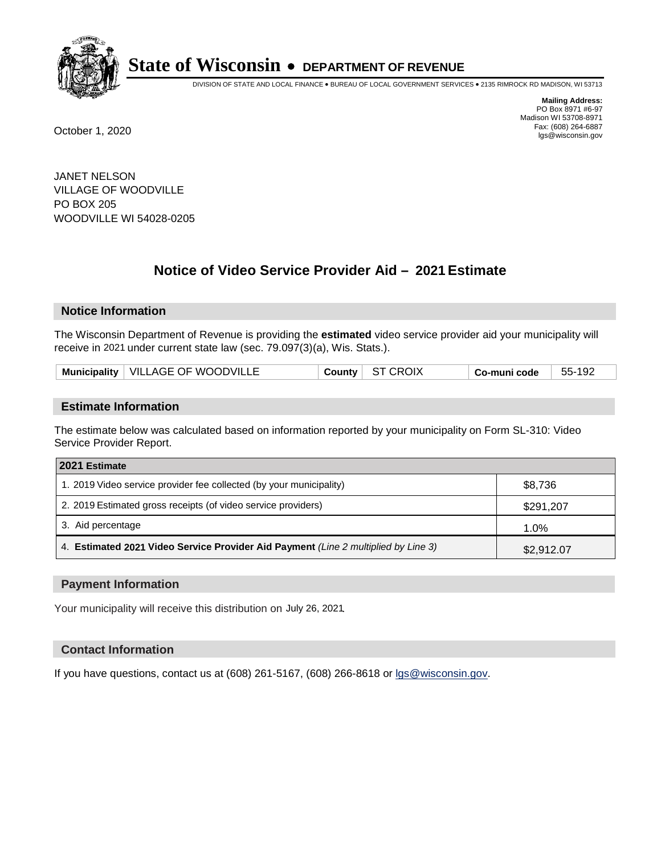

DIVISION OF STATE AND LOCAL FINANCE • BUREAU OF LOCAL GOVERNMENT SERVICES • 2135 RIMROCK RD MADISON, WI 53713

**Mailing Address:** PO Box 8971 #6-97 Madison WI 53708-8971<br>Fax: (608) 264-6887 Fax: (608) 264-6887 October 1, 2020 lgs@wisconsin.gov

JANET NELSON VILLAGE OF WOODVILLE PO BOX 205 WOODVILLE WI 54028-0205

# **Notice of Video Service Provider Aid - 2021 Estimate**

## **Notice Information**

The Wisconsin Department of Revenue is providing the **estimated** video service provider aid your municipality will receive in 2021 under current state law (sec. 79.097(3)(a), Wis. Stats.).

|  |  | Municipality   VILLAGE OF WOODVILLE | County | ST CROIX | Co-muni code | 55-192 |
|--|--|-------------------------------------|--------|----------|--------------|--------|
|--|--|-------------------------------------|--------|----------|--------------|--------|

#### **Estimate Information**

The estimate below was calculated based on information reported by your municipality on Form SL-310: Video Service Provider Report.

| 2021 Estimate                                                                      |            |
|------------------------------------------------------------------------------------|------------|
| 1. 2019 Video service provider fee collected (by your municipality)                | \$8,736    |
| 2. 2019 Estimated gross receipts (of video service providers)                      | \$291,207  |
| 3. Aid percentage                                                                  | 1.0%       |
| 4. Estimated 2021 Video Service Provider Aid Payment (Line 2 multiplied by Line 3) | \$2,912.07 |

#### **Payment Information**

Your municipality will receive this distribution on July 26, 2021.

## **Contact Information**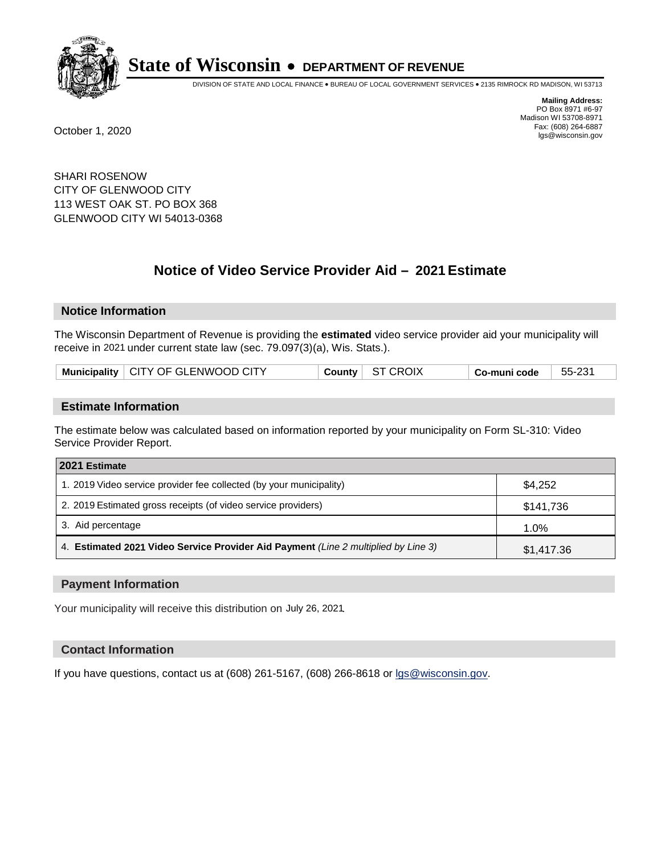

DIVISION OF STATE AND LOCAL FINANCE • BUREAU OF LOCAL GOVERNMENT SERVICES • 2135 RIMROCK RD MADISON, WI 53713

**Mailing Address:** PO Box 8971 #6-97 Madison WI 53708-8971<br>Fax: (608) 264-6887 Fax: (608) 264-6887 October 1, 2020 lgs@wisconsin.gov

SHARI ROSENOW CITY OF GLENWOOD CITY 113 WEST OAK ST. PO BOX 368 GLENWOOD CITY WI 54013-0368

# **Notice of Video Service Provider Aid - 2021 Estimate**

## **Notice Information**

The Wisconsin Department of Revenue is providing the **estimated** video service provider aid your municipality will receive in 2021 under current state law (sec. 79.097(3)(a), Wis. Stats.).

| Municipality   CITY OF GLENWOOD CITY | County ST CROIX | Co-muni code | 55-231 |
|--------------------------------------|-----------------|--------------|--------|
|--------------------------------------|-----------------|--------------|--------|

#### **Estimate Information**

The estimate below was calculated based on information reported by your municipality on Form SL-310: Video Service Provider Report.

| 2021 Estimate                                                                      |            |
|------------------------------------------------------------------------------------|------------|
| 1. 2019 Video service provider fee collected (by your municipality)                | \$4,252    |
| 2. 2019 Estimated gross receipts (of video service providers)                      | \$141,736  |
| 3. Aid percentage                                                                  | 1.0%       |
| 4. Estimated 2021 Video Service Provider Aid Payment (Line 2 multiplied by Line 3) | \$1,417.36 |

#### **Payment Information**

Your municipality will receive this distribution on July 26, 2021.

## **Contact Information**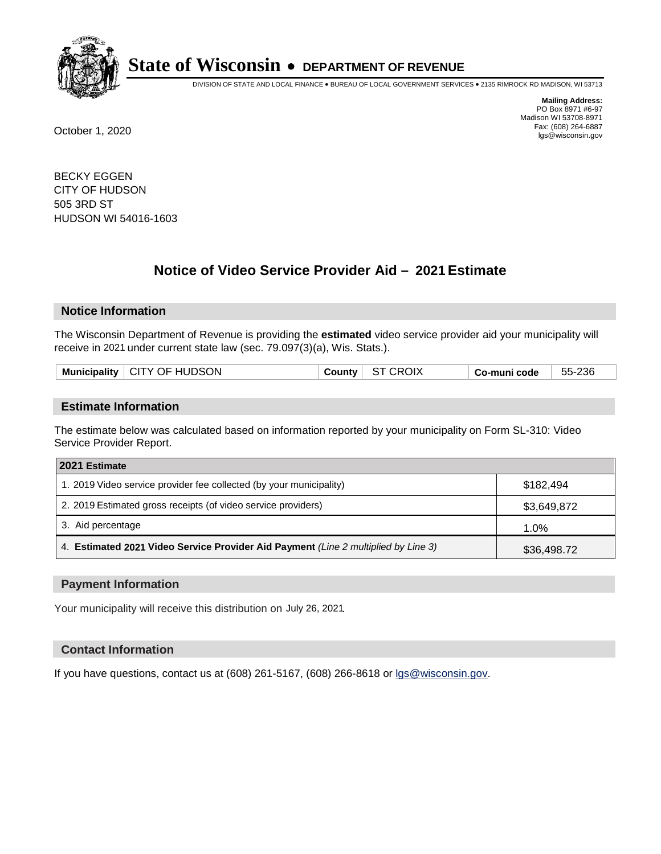

DIVISION OF STATE AND LOCAL FINANCE • BUREAU OF LOCAL GOVERNMENT SERVICES • 2135 RIMROCK RD MADISON, WI 53713

**Mailing Address:** PO Box 8971 #6-97 Madison WI 53708-8971<br>Fax: (608) 264-6887 Fax: (608) 264-6887 October 1, 2020 lgs@wisconsin.gov

BECKY EGGEN CITY OF HUDSON 505 3RD ST HUDSON WI 54016-1603

# **Notice of Video Service Provider Aid - 2021 Estimate**

## **Notice Information**

The Wisconsin Department of Revenue is providing the **estimated** video service provider aid your municipality will receive in 2021 under current state law (sec. 79.097(3)(a), Wis. Stats.).

| Municipality   CITY OF HUDSON | County | ST CROIX | $Co$ -muni code $\Box$ | 55-236 |
|-------------------------------|--------|----------|------------------------|--------|
|                               |        |          |                        |        |

#### **Estimate Information**

The estimate below was calculated based on information reported by your municipality on Form SL-310: Video Service Provider Report.

| 2021 Estimate                                                                      |             |
|------------------------------------------------------------------------------------|-------------|
| 1. 2019 Video service provider fee collected (by your municipality)                | \$182.494   |
| 2. 2019 Estimated gross receipts (of video service providers)                      | \$3,649,872 |
| 3. Aid percentage                                                                  | 1.0%        |
| 4. Estimated 2021 Video Service Provider Aid Payment (Line 2 multiplied by Line 3) | \$36,498.72 |

#### **Payment Information**

Your municipality will receive this distribution on July 26, 2021.

## **Contact Information**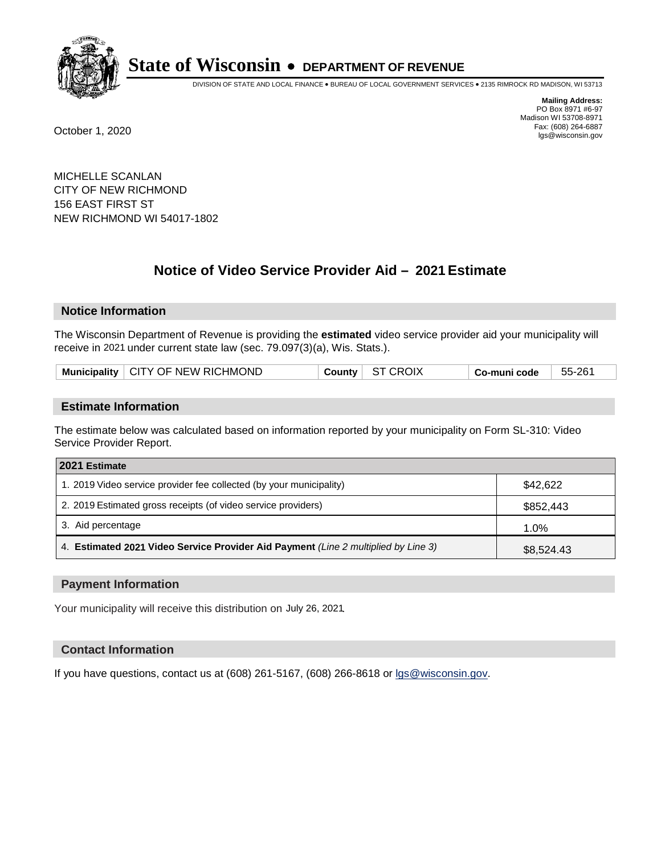

DIVISION OF STATE AND LOCAL FINANCE • BUREAU OF LOCAL GOVERNMENT SERVICES • 2135 RIMROCK RD MADISON, WI 53713

**Mailing Address:** PO Box 8971 #6-97 Madison WI 53708-8971<br>Fax: (608) 264-6887 Fax: (608) 264-6887 October 1, 2020 lgs@wisconsin.gov

MICHELLE SCANLAN CITY OF NEW RICHMOND 156 EAST FIRST ST NEW RICHMOND WI 54017-1802

# **Notice of Video Service Provider Aid - 2021 Estimate**

## **Notice Information**

The Wisconsin Department of Revenue is providing the **estimated** video service provider aid your municipality will receive in 2021 under current state law (sec. 79.097(3)(a), Wis. Stats.).

| Municipality   CITY OF NEW RICHMOND | County ST CROIX | Co-muni code | 55-261 |
|-------------------------------------|-----------------|--------------|--------|
|-------------------------------------|-----------------|--------------|--------|

#### **Estimate Information**

The estimate below was calculated based on information reported by your municipality on Form SL-310: Video Service Provider Report.

| 2021 Estimate                                                                      |            |
|------------------------------------------------------------------------------------|------------|
| 1. 2019 Video service provider fee collected (by your municipality)                | \$42,622   |
| 2. 2019 Estimated gross receipts (of video service providers)                      | \$852,443  |
| 3. Aid percentage                                                                  | 1.0%       |
| 4. Estimated 2021 Video Service Provider Aid Payment (Line 2 multiplied by Line 3) | \$8,524.43 |

#### **Payment Information**

Your municipality will receive this distribution on July 26, 2021.

## **Contact Information**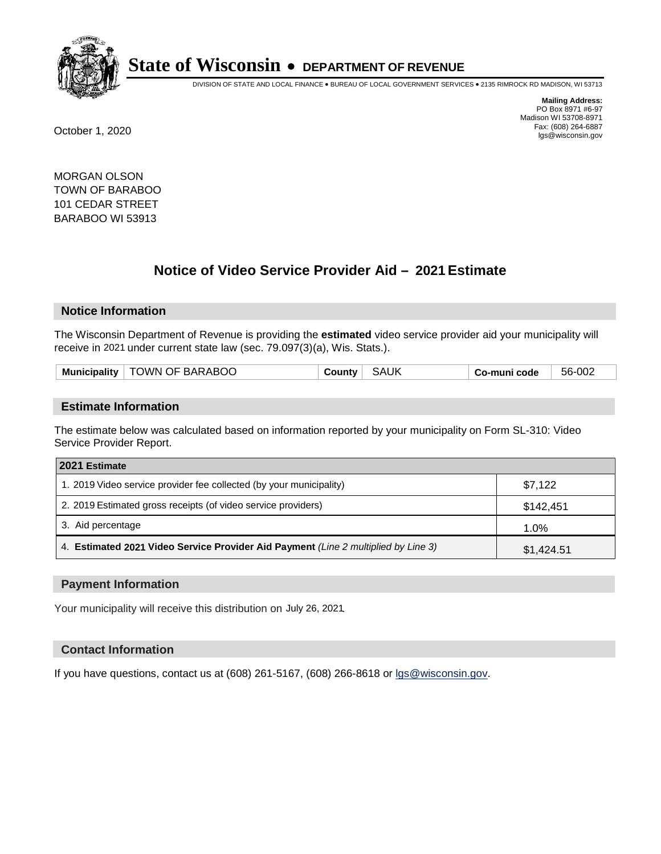

DIVISION OF STATE AND LOCAL FINANCE • BUREAU OF LOCAL GOVERNMENT SERVICES • 2135 RIMROCK RD MADISON, WI 53713

**Mailing Address:** PO Box 8971 #6-97 Madison WI 53708-8971<br>Fax: (608) 264-6887 Fax: (608) 264-6887 October 1, 2020 lgs@wisconsin.gov

MORGAN OLSON TOWN OF BARABOO 101 CEDAR STREET BARABOO WI 53913

# **Notice of Video Service Provider Aid - 2021 Estimate**

## **Notice Information**

The Wisconsin Department of Revenue is providing the **estimated** video service provider aid your municipality will receive in 2021 under current state law (sec. 79.097(3)(a), Wis. Stats.).

|--|

#### **Estimate Information**

The estimate below was calculated based on information reported by your municipality on Form SL-310: Video Service Provider Report.

| 2021 Estimate                                                                      |            |
|------------------------------------------------------------------------------------|------------|
| 1. 2019 Video service provider fee collected (by your municipality)                | \$7,122    |
| 2. 2019 Estimated gross receipts (of video service providers)                      | \$142,451  |
| 3. Aid percentage                                                                  | 1.0%       |
| 4. Estimated 2021 Video Service Provider Aid Payment (Line 2 multiplied by Line 3) | \$1,424.51 |

#### **Payment Information**

Your municipality will receive this distribution on July 26, 2021.

## **Contact Information**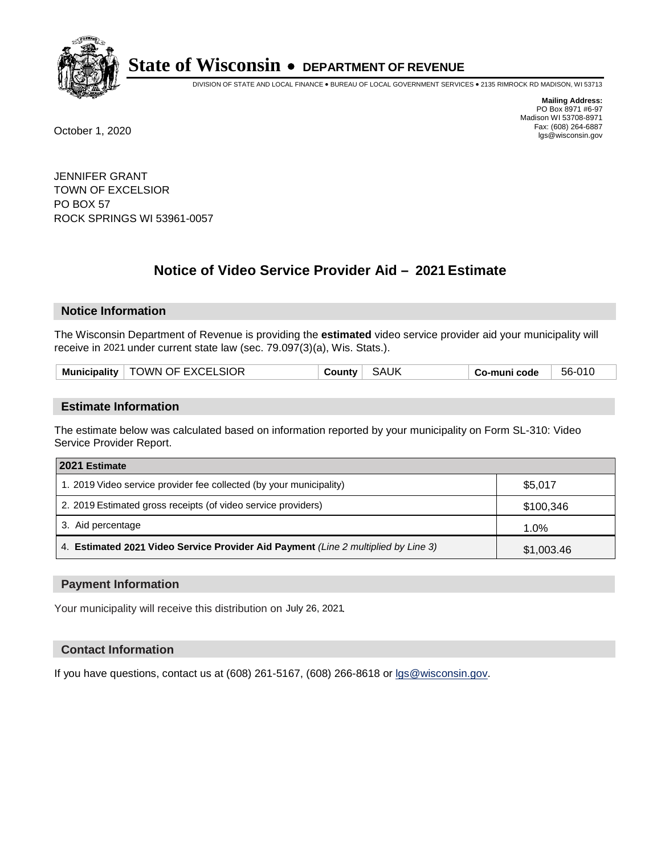

DIVISION OF STATE AND LOCAL FINANCE • BUREAU OF LOCAL GOVERNMENT SERVICES • 2135 RIMROCK RD MADISON, WI 53713

**Mailing Address:** PO Box 8971 #6-97 Madison WI 53708-8971<br>Fax: (608) 264-6887 Fax: (608) 264-6887 October 1, 2020 lgs@wisconsin.gov

JENNIFER GRANT TOWN OF EXCELSIOR PO BOX 57 ROCK SPRINGS WI 53961-0057

# **Notice of Video Service Provider Aid - 2021 Estimate**

## **Notice Information**

The Wisconsin Department of Revenue is providing the **estimated** video service provider aid your municipality will receive in 2021 under current state law (sec. 79.097(3)(a), Wis. Stats.).

| Municipality   TOWN OF EXCELSIOR | <b>SAUK</b><br>County | Co-muni code | 56-010 |
|----------------------------------|-----------------------|--------------|--------|
|----------------------------------|-----------------------|--------------|--------|

#### **Estimate Information**

The estimate below was calculated based on information reported by your municipality on Form SL-310: Video Service Provider Report.

| 2021 Estimate                                                                      |            |
|------------------------------------------------------------------------------------|------------|
| 1. 2019 Video service provider fee collected (by your municipality)                | \$5,017    |
| 2. 2019 Estimated gross receipts (of video service providers)                      | \$100,346  |
| 3. Aid percentage                                                                  | 1.0%       |
| 4. Estimated 2021 Video Service Provider Aid Payment (Line 2 multiplied by Line 3) | \$1,003.46 |

#### **Payment Information**

Your municipality will receive this distribution on July 26, 2021.

## **Contact Information**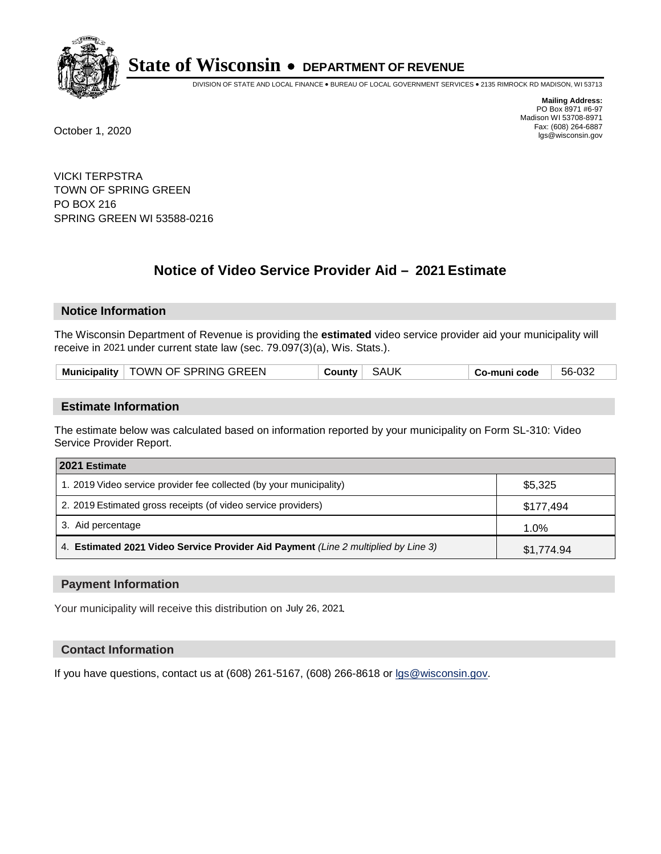

DIVISION OF STATE AND LOCAL FINANCE • BUREAU OF LOCAL GOVERNMENT SERVICES • 2135 RIMROCK RD MADISON, WI 53713

**Mailing Address:** PO Box 8971 #6-97 Madison WI 53708-8971<br>Fax: (608) 264-6887 Fax: (608) 264-6887 October 1, 2020 lgs@wisconsin.gov

VICKI TERPSTRA TOWN OF SPRING GREEN PO BOX 216 SPRING GREEN WI 53588-0216

# **Notice of Video Service Provider Aid - 2021 Estimate**

## **Notice Information**

The Wisconsin Department of Revenue is providing the **estimated** video service provider aid your municipality will receive in 2021 under current state law (sec. 79.097(3)(a), Wis. Stats.).

| Municipality   TOWN OF SPRING GREEN | <b>SAUK</b><br>Countv⊤ | Co-muni code | 56-032 |
|-------------------------------------|------------------------|--------------|--------|
|-------------------------------------|------------------------|--------------|--------|

#### **Estimate Information**

The estimate below was calculated based on information reported by your municipality on Form SL-310: Video Service Provider Report.

| 2021 Estimate                                                                      |            |
|------------------------------------------------------------------------------------|------------|
| 1. 2019 Video service provider fee collected (by your municipality)                | \$5,325    |
| 2. 2019 Estimated gross receipts (of video service providers)                      | \$177,494  |
| 3. Aid percentage                                                                  | 1.0%       |
| 4. Estimated 2021 Video Service Provider Aid Payment (Line 2 multiplied by Line 3) | \$1,774.94 |

#### **Payment Information**

Your municipality will receive this distribution on July 26, 2021.

## **Contact Information**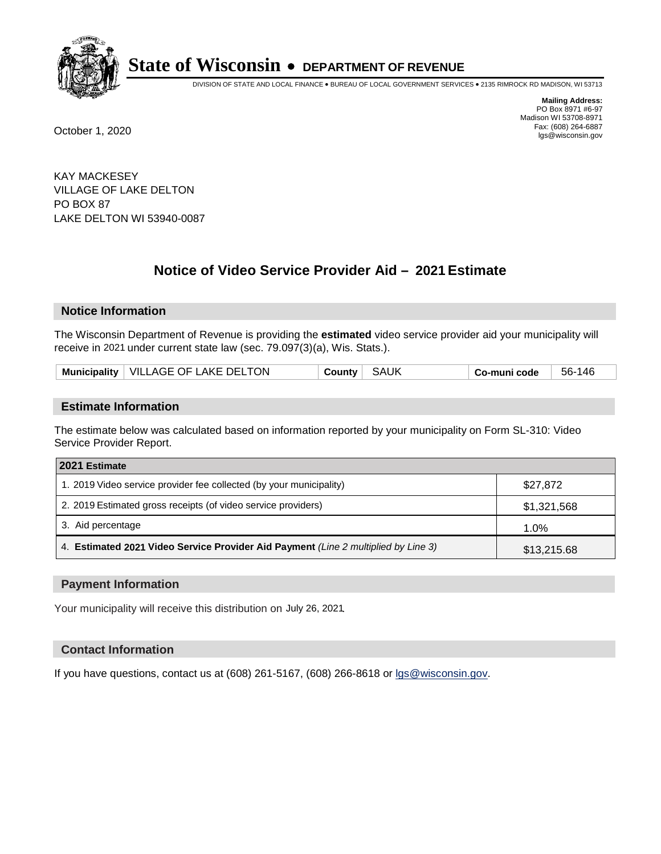

DIVISION OF STATE AND LOCAL FINANCE • BUREAU OF LOCAL GOVERNMENT SERVICES • 2135 RIMROCK RD MADISON, WI 53713

**Mailing Address:** PO Box 8971 #6-97 Madison WI 53708-8971<br>Fax: (608) 264-6887 Fax: (608) 264-6887 October 1, 2020 lgs@wisconsin.gov

KAY MACKESEY VILLAGE OF LAKE DELTON PO BOX 87 LAKE DELTON WI 53940-0087

# **Notice of Video Service Provider Aid - 2021 Estimate**

## **Notice Information**

The Wisconsin Department of Revenue is providing the **estimated** video service provider aid your municipality will receive in 2021 under current state law (sec. 79.097(3)(a), Wis. Stats.).

| Municipality   VILLAGE OF LAKE DELTON | SAUK<br>County | 56-146<br>Co-muni code |
|---------------------------------------|----------------|------------------------|
|---------------------------------------|----------------|------------------------|

#### **Estimate Information**

The estimate below was calculated based on information reported by your municipality on Form SL-310: Video Service Provider Report.

| 2021 Estimate                                                                      |             |
|------------------------------------------------------------------------------------|-------------|
| 1. 2019 Video service provider fee collected (by your municipality)                | \$27,872    |
| 2. 2019 Estimated gross receipts (of video service providers)                      | \$1,321,568 |
| 3. Aid percentage                                                                  | 1.0%        |
| 4. Estimated 2021 Video Service Provider Aid Payment (Line 2 multiplied by Line 3) | \$13,215.68 |

#### **Payment Information**

Your municipality will receive this distribution on July 26, 2021.

## **Contact Information**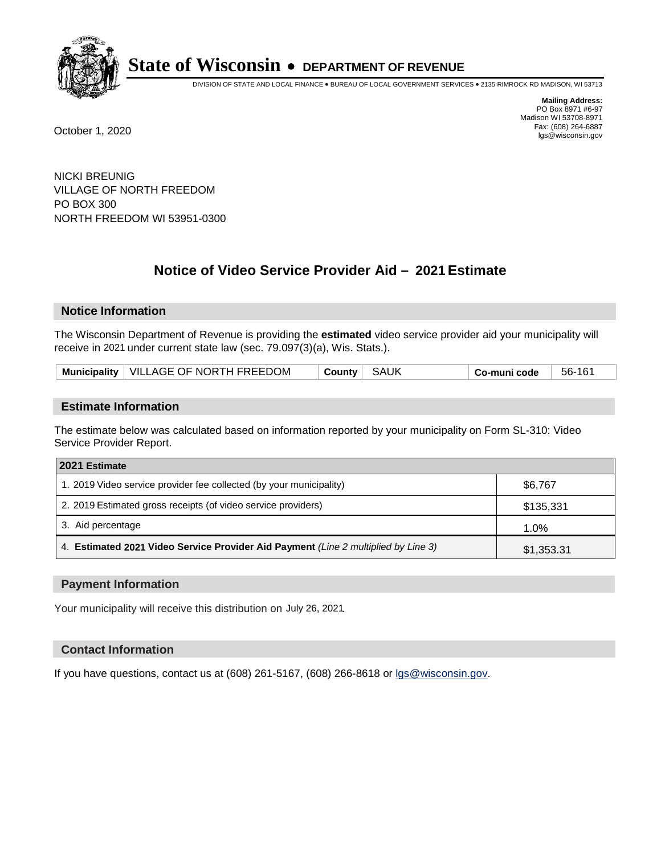

DIVISION OF STATE AND LOCAL FINANCE • BUREAU OF LOCAL GOVERNMENT SERVICES • 2135 RIMROCK RD MADISON, WI 53713

**Mailing Address:** PO Box 8971 #6-97 Madison WI 53708-8971<br>Fax: (608) 264-6887 Fax: (608) 264-6887 October 1, 2020 lgs@wisconsin.gov

NICKI BREUNIG VILLAGE OF NORTH FREEDOM PO BOX 300 NORTH FREEDOM WI 53951-0300

# **Notice of Video Service Provider Aid - 2021 Estimate**

## **Notice Information**

The Wisconsin Department of Revenue is providing the **estimated** video service provider aid your municipality will receive in 2021 under current state law (sec. 79.097(3)(a), Wis. Stats.).

| Municipality   VILLAGE OF NORTH FREEDOM | County SAUK | $\vert$ Co-muni code $\vert$ 56-161 |  |
|-----------------------------------------|-------------|-------------------------------------|--|
|-----------------------------------------|-------------|-------------------------------------|--|

#### **Estimate Information**

The estimate below was calculated based on information reported by your municipality on Form SL-310: Video Service Provider Report.

| 2021 Estimate                                                                      |            |
|------------------------------------------------------------------------------------|------------|
| 1. 2019 Video service provider fee collected (by your municipality)                | \$6,767    |
| 2. 2019 Estimated gross receipts (of video service providers)                      | \$135,331  |
| 3. Aid percentage                                                                  | 1.0%       |
| 4. Estimated 2021 Video Service Provider Aid Payment (Line 2 multiplied by Line 3) | \$1,353.31 |

#### **Payment Information**

Your municipality will receive this distribution on July 26, 2021.

## **Contact Information**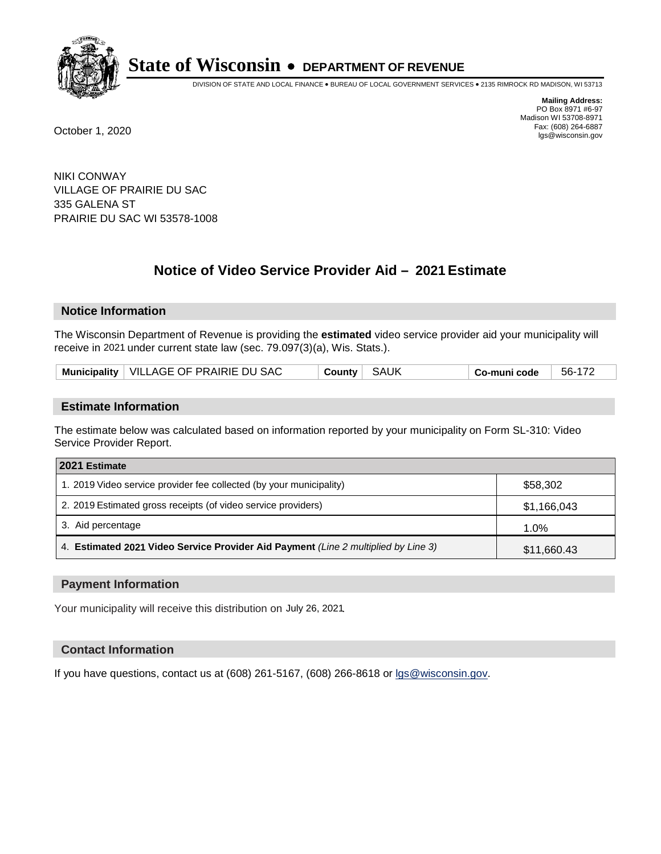

DIVISION OF STATE AND LOCAL FINANCE • BUREAU OF LOCAL GOVERNMENT SERVICES • 2135 RIMROCK RD MADISON, WI 53713

**Mailing Address:** PO Box 8971 #6-97 Madison WI 53708-8971<br>Fax: (608) 264-6887 Fax: (608) 264-6887 October 1, 2020 lgs@wisconsin.gov

NIKI CONWAY VILLAGE OF PRAIRIE DU SAC 335 GALENA ST PRAIRIE DU SAC WI 53578-1008

# **Notice of Video Service Provider Aid - 2021 Estimate**

## **Notice Information**

The Wisconsin Department of Revenue is providing the **estimated** video service provider aid your municipality will receive in 2021 under current state law (sec. 79.097(3)(a), Wis. Stats.).

| Municipality   VILLAGE OF PRAIRIE DU SAC | SAUK | Co-muni code | 56-172 |
|------------------------------------------|------|--------------|--------|
|------------------------------------------|------|--------------|--------|

#### **Estimate Information**

The estimate below was calculated based on information reported by your municipality on Form SL-310: Video Service Provider Report.

| 2021 Estimate                                                                      |             |
|------------------------------------------------------------------------------------|-------------|
| 1. 2019 Video service provider fee collected (by your municipality)                | \$58,302    |
| 2. 2019 Estimated gross receipts (of video service providers)                      | \$1,166,043 |
| 3. Aid percentage                                                                  | 1.0%        |
| 4. Estimated 2021 Video Service Provider Aid Payment (Line 2 multiplied by Line 3) | \$11,660.43 |

#### **Payment Information**

Your municipality will receive this distribution on July 26, 2021.

## **Contact Information**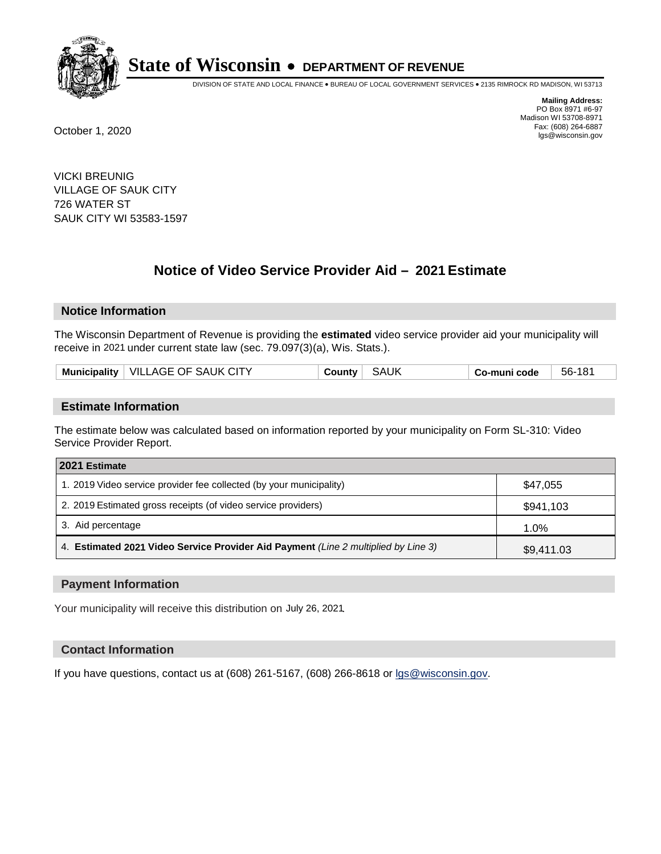

DIVISION OF STATE AND LOCAL FINANCE • BUREAU OF LOCAL GOVERNMENT SERVICES • 2135 RIMROCK RD MADISON, WI 53713

**Mailing Address:** PO Box 8971 #6-97 Madison WI 53708-8971<br>Fax: (608) 264-6887 Fax: (608) 264-6887 October 1, 2020 lgs@wisconsin.gov

VICKI BREUNIG VILLAGE OF SAUK CITY 726 WATER ST SAUK CITY WI 53583-1597

# **Notice of Video Service Provider Aid - 2021 Estimate**

## **Notice Information**

The Wisconsin Department of Revenue is providing the **estimated** video service provider aid your municipality will receive in 2021 under current state law (sec. 79.097(3)(a), Wis. Stats.).

| Municipality   VILLAGE OF SAUK CITY | SAUK<br>County | Co-muni code | 56-181 |
|-------------------------------------|----------------|--------------|--------|
|-------------------------------------|----------------|--------------|--------|

#### **Estimate Information**

The estimate below was calculated based on information reported by your municipality on Form SL-310: Video Service Provider Report.

| 2021 Estimate                                                                      |            |
|------------------------------------------------------------------------------------|------------|
| 1. 2019 Video service provider fee collected (by your municipality)                | \$47,055   |
| 2. 2019 Estimated gross receipts (of video service providers)                      | \$941,103  |
| 3. Aid percentage                                                                  | 1.0%       |
| 4. Estimated 2021 Video Service Provider Aid Payment (Line 2 multiplied by Line 3) | \$9,411.03 |

#### **Payment Information**

Your municipality will receive this distribution on July 26, 2021.

## **Contact Information**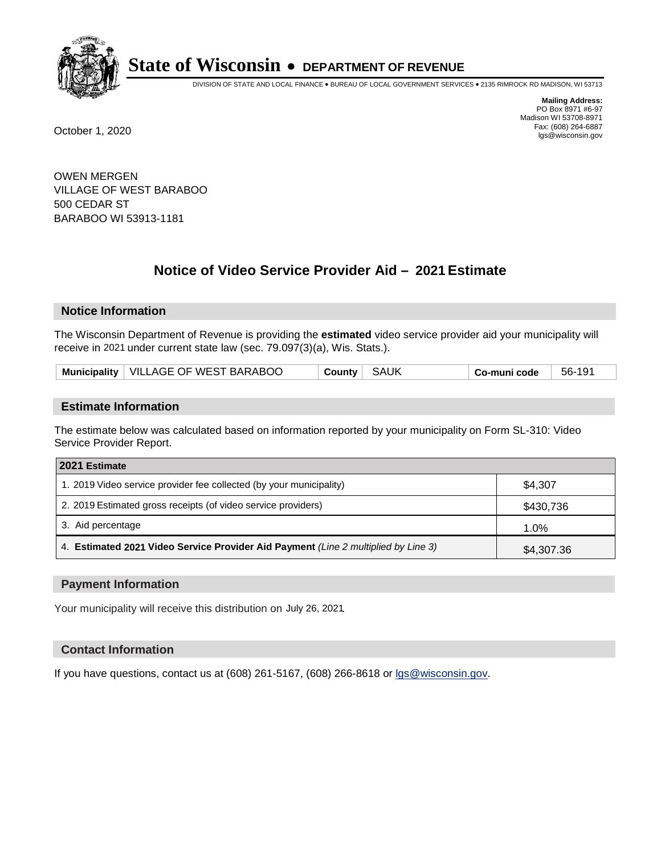

DIVISION OF STATE AND LOCAL FINANCE • BUREAU OF LOCAL GOVERNMENT SERVICES • 2135 RIMROCK RD MADISON, WI 53713

**Mailing Address:** PO Box 8971 #6-97 Madison WI 53708-8971<br>Fax: (608) 264-6887 Fax: (608) 264-6887 October 1, 2020 lgs@wisconsin.gov

OWEN MERGEN VILLAGE OF WEST BARABOO 500 CEDAR ST BARABOO WI 53913-1181

# **Notice of Video Service Provider Aid - 2021 Estimate**

## **Notice Information**

The Wisconsin Department of Revenue is providing the **estimated** video service provider aid your municipality will receive in 2021 under current state law (sec. 79.097(3)(a), Wis. Stats.).

| Municipality   VILLAGE OF WEST BARABOO | County   SAUK | Co-muni code | $\vert$ 56-191 |
|----------------------------------------|---------------|--------------|----------------|
|----------------------------------------|---------------|--------------|----------------|

#### **Estimate Information**

The estimate below was calculated based on information reported by your municipality on Form SL-310: Video Service Provider Report.

| 2021 Estimate                                                                      |            |
|------------------------------------------------------------------------------------|------------|
| 1. 2019 Video service provider fee collected (by your municipality)                | \$4.307    |
| 2. 2019 Estimated gross receipts (of video service providers)                      | \$430,736  |
| 3. Aid percentage                                                                  | 1.0%       |
| 4. Estimated 2021 Video Service Provider Aid Payment (Line 2 multiplied by Line 3) | \$4,307.36 |

#### **Payment Information**

Your municipality will receive this distribution on July 26, 2021.

## **Contact Information**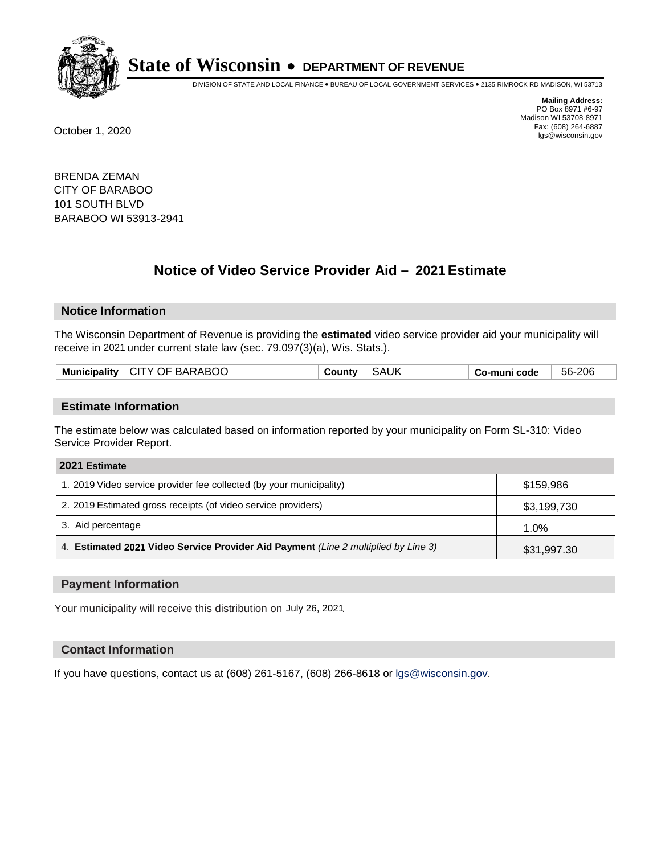

DIVISION OF STATE AND LOCAL FINANCE • BUREAU OF LOCAL GOVERNMENT SERVICES • 2135 RIMROCK RD MADISON, WI 53713

**Mailing Address:** PO Box 8971 #6-97 Madison WI 53708-8971<br>Fax: (608) 264-6887 Fax: (608) 264-6887 October 1, 2020 lgs@wisconsin.gov

BRENDA ZEMAN CITY OF BARABOO 101 SOUTH BLVD BARABOO WI 53913-2941

# **Notice of Video Service Provider Aid - 2021 Estimate**

## **Notice Information**

The Wisconsin Department of Revenue is providing the **estimated** video service provider aid your municipality will receive in 2021 under current state law (sec. 79.097(3)(a), Wis. Stats.).

|  |  | Municipality   CITY OF BARABOO | ⊹ countyٽ | <b>SAUK</b> | Co-muni code | 56-206 |
|--|--|--------------------------------|-----------|-------------|--------------|--------|
|--|--|--------------------------------|-----------|-------------|--------------|--------|

#### **Estimate Information**

The estimate below was calculated based on information reported by your municipality on Form SL-310: Video Service Provider Report.

| 2021 Estimate                                                                      |             |
|------------------------------------------------------------------------------------|-------------|
| 1. 2019 Video service provider fee collected (by your municipality)                | \$159.986   |
| 2. 2019 Estimated gross receipts (of video service providers)                      | \$3,199,730 |
| 3. Aid percentage                                                                  | 1.0%        |
| 4. Estimated 2021 Video Service Provider Aid Payment (Line 2 multiplied by Line 3) | \$31,997.30 |

#### **Payment Information**

Your municipality will receive this distribution on July 26, 2021.

## **Contact Information**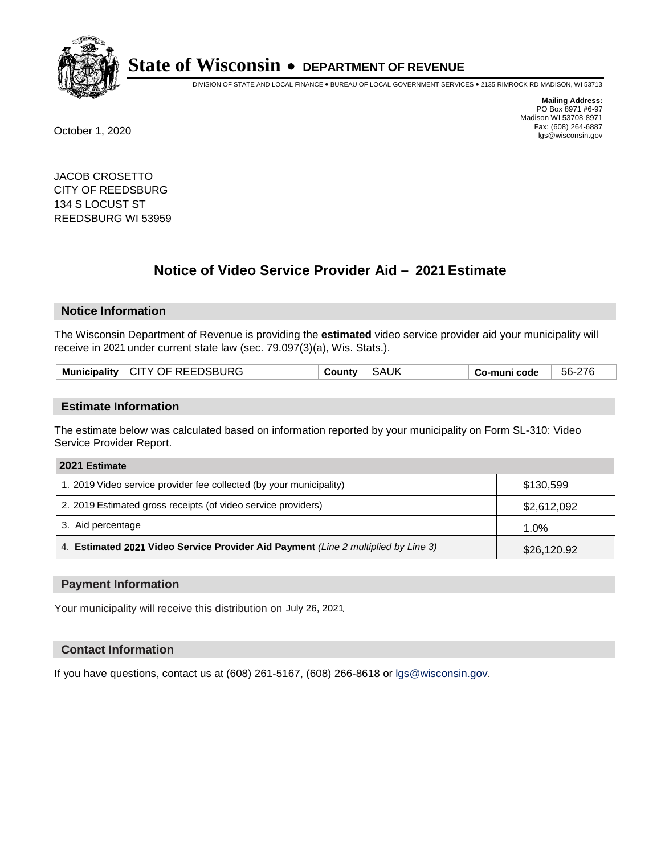

DIVISION OF STATE AND LOCAL FINANCE • BUREAU OF LOCAL GOVERNMENT SERVICES • 2135 RIMROCK RD MADISON, WI 53713

**Mailing Address:** PO Box 8971 #6-97 Madison WI 53708-8971<br>Fax: (608) 264-6887 Fax: (608) 264-6887 October 1, 2020 lgs@wisconsin.gov

JACOB CROSETTO CITY OF REEDSBURG 134 S LOCUST ST REEDSBURG WI 53959

# **Notice of Video Service Provider Aid - 2021 Estimate**

## **Notice Information**

The Wisconsin Department of Revenue is providing the **estimated** video service provider aid your municipality will receive in 2021 under current state law (sec. 79.097(3)(a), Wis. Stats.).

|--|

#### **Estimate Information**

The estimate below was calculated based on information reported by your municipality on Form SL-310: Video Service Provider Report.

| 2021 Estimate                                                                      |             |
|------------------------------------------------------------------------------------|-------------|
| 1. 2019 Video service provider fee collected (by your municipality)                | \$130,599   |
| 2. 2019 Estimated gross receipts (of video service providers)                      | \$2,612,092 |
| 3. Aid percentage                                                                  | 1.0%        |
| 4. Estimated 2021 Video Service Provider Aid Payment (Line 2 multiplied by Line 3) | \$26,120.92 |

#### **Payment Information**

Your municipality will receive this distribution on July 26, 2021.

## **Contact Information**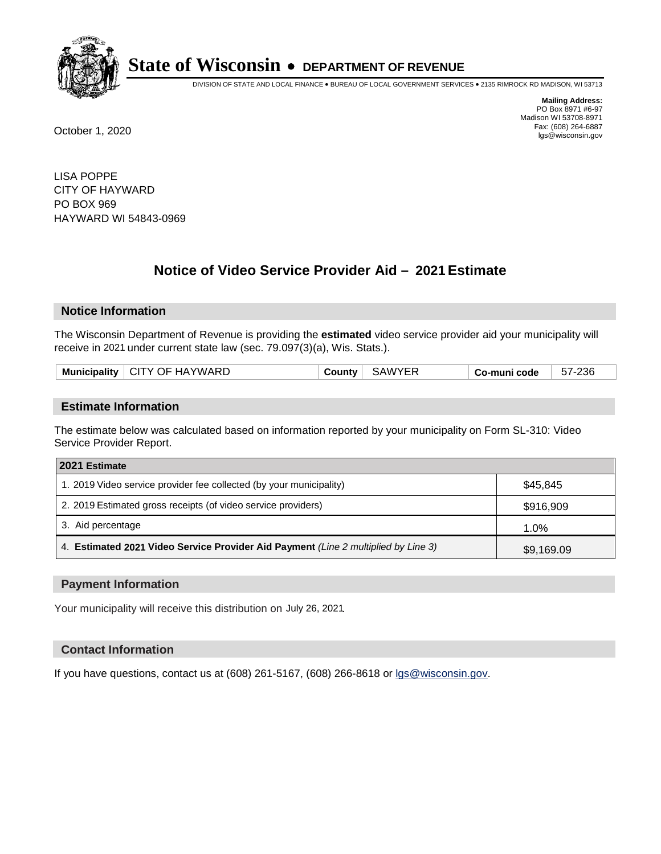

DIVISION OF STATE AND LOCAL FINANCE • BUREAU OF LOCAL GOVERNMENT SERVICES • 2135 RIMROCK RD MADISON, WI 53713

**Mailing Address:** PO Box 8971 #6-97 Madison WI 53708-8971<br>Fax: (608) 264-6887 Fax: (608) 264-6887 October 1, 2020 lgs@wisconsin.gov

LISA POPPE CITY OF HAYWARD PO BOX 969 HAYWARD WI 54843-0969

# **Notice of Video Service Provider Aid - 2021 Estimate**

## **Notice Information**

The Wisconsin Department of Revenue is providing the **estimated** video service provider aid your municipality will receive in 2021 under current state law (sec. 79.097(3)(a), Wis. Stats.).

| Municipality   CITY OF HAYWARD | <b>County</b> ' | .;AWYER | o-muni codeٽ | -236<br>57-2 |
|--------------------------------|-----------------|---------|--------------|--------------|
|                                |                 |         |              |              |

#### **Estimate Information**

The estimate below was calculated based on information reported by your municipality on Form SL-310: Video Service Provider Report.

| 2021 Estimate                                                                      |            |
|------------------------------------------------------------------------------------|------------|
| 1. 2019 Video service provider fee collected (by your municipality)                | \$45.845   |
| 2. 2019 Estimated gross receipts (of video service providers)                      | \$916,909  |
| 3. Aid percentage                                                                  | 1.0%       |
| 4. Estimated 2021 Video Service Provider Aid Payment (Line 2 multiplied by Line 3) | \$9,169.09 |

#### **Payment Information**

Your municipality will receive this distribution on July 26, 2021.

## **Contact Information**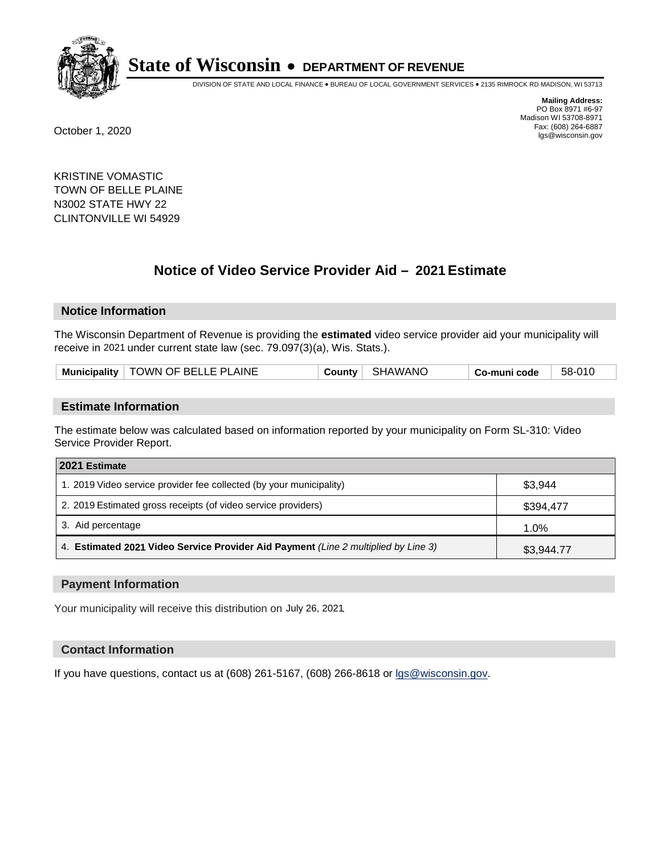

DIVISION OF STATE AND LOCAL FINANCE • BUREAU OF LOCAL GOVERNMENT SERVICES • 2135 RIMROCK RD MADISON, WI 53713

**Mailing Address:** PO Box 8971 #6-97 Madison WI 53708-8971<br>Fax: (608) 264-6887 Fax: (608) 264-6887 October 1, 2020 lgs@wisconsin.gov

KRISTINE VOMASTIC TOWN OF BELLE PLAINE N3002 STATE HWY 22 CLINTONVILLE WI 54929

# **Notice of Video Service Provider Aid - 2021 Estimate**

## **Notice Information**

The Wisconsin Department of Revenue is providing the **estimated** video service provider aid your municipality will receive in 2021 under current state law (sec. 79.097(3)(a), Wis. Stats.).

| Municipality   TOWN OF BELLE PLAINE | SHAWANO<br>County | 58-010<br>Co-muni code |  |
|-------------------------------------|-------------------|------------------------|--|
|-------------------------------------|-------------------|------------------------|--|

#### **Estimate Information**

The estimate below was calculated based on information reported by your municipality on Form SL-310: Video Service Provider Report.

| 2021 Estimate                                                                      |            |
|------------------------------------------------------------------------------------|------------|
| 1. 2019 Video service provider fee collected (by your municipality)                | \$3,944    |
| 2. 2019 Estimated gross receipts (of video service providers)                      | \$394,477  |
| 3. Aid percentage                                                                  | 1.0%       |
| 4. Estimated 2021 Video Service Provider Aid Payment (Line 2 multiplied by Line 3) | \$3,944.77 |

#### **Payment Information**

Your municipality will receive this distribution on July 26, 2021.

## **Contact Information**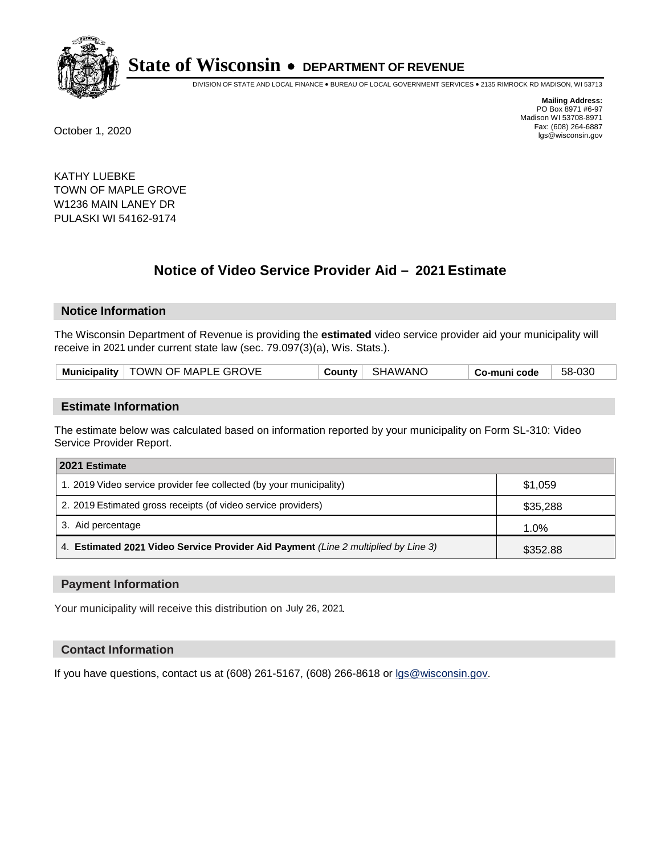

DIVISION OF STATE AND LOCAL FINANCE • BUREAU OF LOCAL GOVERNMENT SERVICES • 2135 RIMROCK RD MADISON, WI 53713

**Mailing Address:** PO Box 8971 #6-97 Madison WI 53708-8971<br>Fax: (608) 264-6887 Fax: (608) 264-6887 October 1, 2020 lgs@wisconsin.gov

KATHY LUEBKE TOWN OF MAPLE GROVE W1236 MAIN LANEY DR PULASKI WI 54162-9174

# **Notice of Video Service Provider Aid - 2021 Estimate**

## **Notice Information**

The Wisconsin Department of Revenue is providing the **estimated** video service provider aid your municipality will receive in 2021 under current state law (sec. 79.097(3)(a), Wis. Stats.).

| Municipality   TOWN OF MAPLE GROVE | County SHAWANO | Co-muni code | 58-030 |
|------------------------------------|----------------|--------------|--------|
|------------------------------------|----------------|--------------|--------|

#### **Estimate Information**

The estimate below was calculated based on information reported by your municipality on Form SL-310: Video Service Provider Report.

| 2021 Estimate                                                                      |          |
|------------------------------------------------------------------------------------|----------|
| 1. 2019 Video service provider fee collected (by your municipality)                | \$1,059  |
| 2. 2019 Estimated gross receipts (of video service providers)                      | \$35,288 |
| 3. Aid percentage                                                                  | 1.0%     |
| 4. Estimated 2021 Video Service Provider Aid Payment (Line 2 multiplied by Line 3) | \$352.88 |

#### **Payment Information**

Your municipality will receive this distribution on July 26, 2021.

## **Contact Information**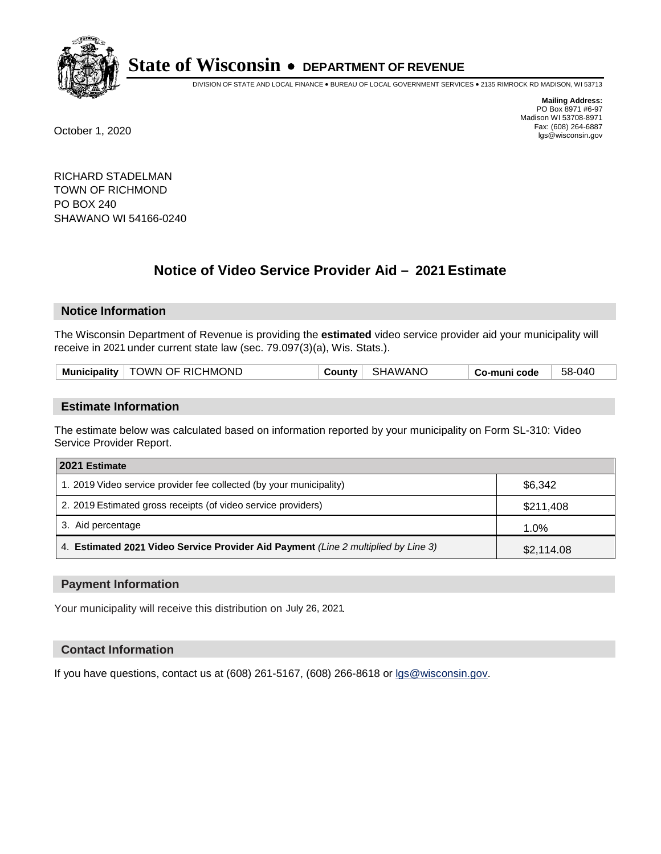

DIVISION OF STATE AND LOCAL FINANCE • BUREAU OF LOCAL GOVERNMENT SERVICES • 2135 RIMROCK RD MADISON, WI 53713

**Mailing Address:** PO Box 8971 #6-97 Madison WI 53708-8971<br>Fax: (608) 264-6887 Fax: (608) 264-6887 October 1, 2020 lgs@wisconsin.gov

RICHARD STADELMAN TOWN OF RICHMOND PO BOX 240 SHAWANO WI 54166-0240

# **Notice of Video Service Provider Aid - 2021 Estimate**

## **Notice Information**

The Wisconsin Department of Revenue is providing the **estimated** video service provider aid your municipality will receive in 2021 under current state law (sec. 79.097(3)(a), Wis. Stats.).

| Municipality   TOWN OF RICHMOND<br>∣ SHAWANO<br>County<br>Co-muni code | 58-040 |
|------------------------------------------------------------------------|--------|
|------------------------------------------------------------------------|--------|

#### **Estimate Information**

The estimate below was calculated based on information reported by your municipality on Form SL-310: Video Service Provider Report.

| 2021 Estimate                                                                      |            |
|------------------------------------------------------------------------------------|------------|
| 1. 2019 Video service provider fee collected (by your municipality)                | \$6,342    |
| 2. 2019 Estimated gross receipts (of video service providers)                      | \$211,408  |
| 3. Aid percentage                                                                  | 1.0%       |
| 4. Estimated 2021 Video Service Provider Aid Payment (Line 2 multiplied by Line 3) | \$2,114.08 |

#### **Payment Information**

Your municipality will receive this distribution on July 26, 2021.

## **Contact Information**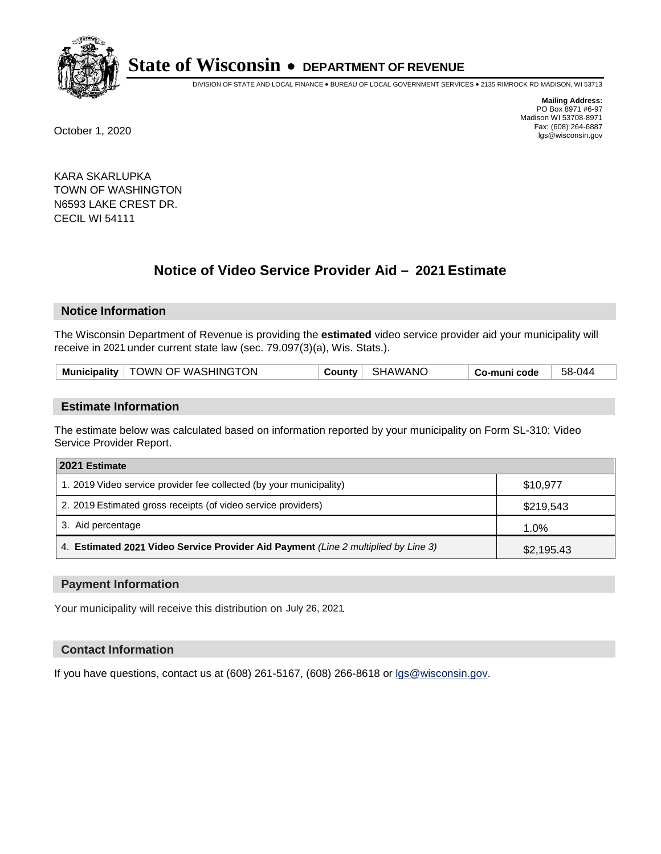

DIVISION OF STATE AND LOCAL FINANCE • BUREAU OF LOCAL GOVERNMENT SERVICES • 2135 RIMROCK RD MADISON, WI 53713

**Mailing Address:** PO Box 8971 #6-97 Madison WI 53708-8971<br>Fax: (608) 264-6887 Fax: (608) 264-6887 October 1, 2020 lgs@wisconsin.gov

KARA SKARLUPKA TOWN OF WASHINGTON N6593 LAKE CREST DR. CECIL WI 54111

# **Notice of Video Service Provider Aid - 2021 Estimate**

## **Notice Information**

The Wisconsin Department of Revenue is providing the **estimated** video service provider aid your municipality will receive in 2021 under current state law (sec. 79.097(3)(a), Wis. Stats.).

|  |  | Municipality   TOWN OF WASHINGTON | County | SHAWANC | Co-muni code | 58-044 |
|--|--|-----------------------------------|--------|---------|--------------|--------|
|--|--|-----------------------------------|--------|---------|--------------|--------|

#### **Estimate Information**

The estimate below was calculated based on information reported by your municipality on Form SL-310: Video Service Provider Report.

| 2021 Estimate                                                                      |            |
|------------------------------------------------------------------------------------|------------|
| 1. 2019 Video service provider fee collected (by your municipality)                | \$10,977   |
| 2. 2019 Estimated gross receipts (of video service providers)                      | \$219,543  |
| 3. Aid percentage                                                                  | 1.0%       |
| 4. Estimated 2021 Video Service Provider Aid Payment (Line 2 multiplied by Line 3) | \$2,195.43 |

#### **Payment Information**

Your municipality will receive this distribution on July 26, 2021.

## **Contact Information**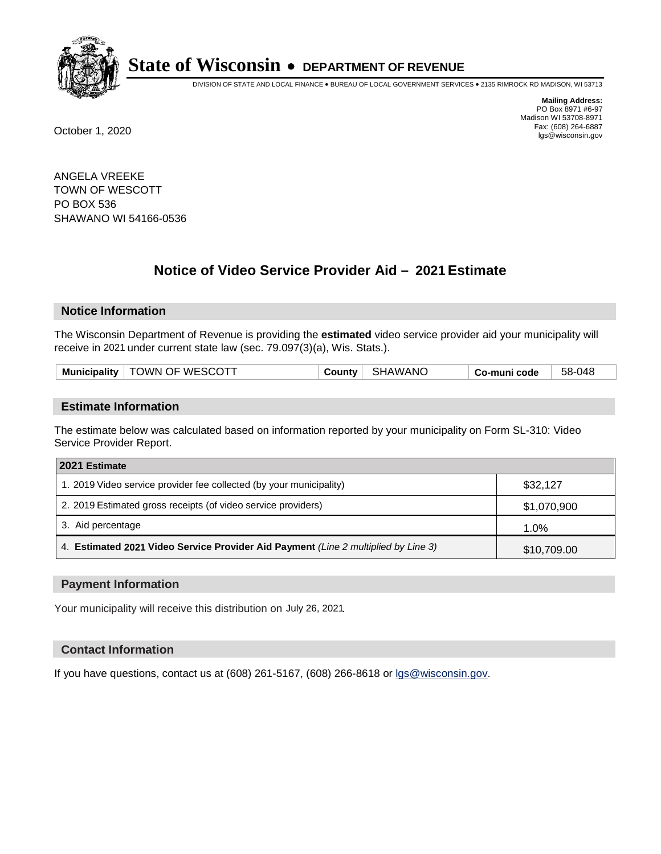

DIVISION OF STATE AND LOCAL FINANCE • BUREAU OF LOCAL GOVERNMENT SERVICES • 2135 RIMROCK RD MADISON, WI 53713

**Mailing Address:** PO Box 8971 #6-97 Madison WI 53708-8971<br>Fax: (608) 264-6887 Fax: (608) 264-6887 October 1, 2020 lgs@wisconsin.gov

ANGELA VREEKE TOWN OF WESCOTT PO BOX 536 SHAWANO WI 54166-0536

# **Notice of Video Service Provider Aid - 2021 Estimate**

## **Notice Information**

The Wisconsin Department of Revenue is providing the **estimated** video service provider aid your municipality will receive in 2021 under current state law (sec. 79.097(3)(a), Wis. Stats.).

| Municipality   TOWN OF WESCOTT | County | SHAWANO | Co-muni code | 58-048 |
|--------------------------------|--------|---------|--------------|--------|
|--------------------------------|--------|---------|--------------|--------|

#### **Estimate Information**

The estimate below was calculated based on information reported by your municipality on Form SL-310: Video Service Provider Report.

| 2021 Estimate                                                                      |             |
|------------------------------------------------------------------------------------|-------------|
| 1. 2019 Video service provider fee collected (by your municipality)                | \$32,127    |
| 2. 2019 Estimated gross receipts (of video service providers)                      | \$1,070,900 |
| 3. Aid percentage                                                                  | 1.0%        |
| 4. Estimated 2021 Video Service Provider Aid Payment (Line 2 multiplied by Line 3) | \$10,709.00 |

#### **Payment Information**

Your municipality will receive this distribution on July 26, 2021.

## **Contact Information**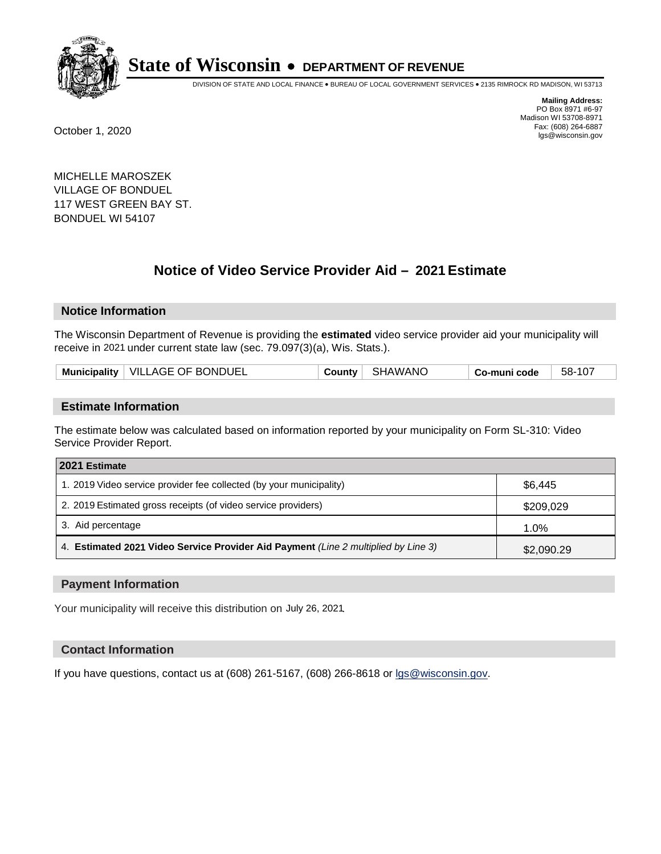

DIVISION OF STATE AND LOCAL FINANCE • BUREAU OF LOCAL GOVERNMENT SERVICES • 2135 RIMROCK RD MADISON, WI 53713

**Mailing Address:** PO Box 8971 #6-97 Madison WI 53708-8971<br>Fax: (608) 264-6887 Fax: (608) 264-6887 October 1, 2020 lgs@wisconsin.gov

MICHELLE MAROSZEK VILLAGE OF BONDUEL 117 WEST GREEN BAY ST. BONDUEL WI 54107

# **Notice of Video Service Provider Aid - 2021 Estimate**

## **Notice Information**

The Wisconsin Department of Revenue is providing the **estimated** video service provider aid your municipality will receive in 2021 under current state law (sec. 79.097(3)(a), Wis. Stats.).

|--|

#### **Estimate Information**

The estimate below was calculated based on information reported by your municipality on Form SL-310: Video Service Provider Report.

| 2021 Estimate                                                                      |            |
|------------------------------------------------------------------------------------|------------|
| 1. 2019 Video service provider fee collected (by your municipality)                | \$6,445    |
| 2. 2019 Estimated gross receipts (of video service providers)                      | \$209,029  |
| 3. Aid percentage                                                                  | 1.0%       |
| 4. Estimated 2021 Video Service Provider Aid Payment (Line 2 multiplied by Line 3) | \$2,090.29 |

#### **Payment Information**

Your municipality will receive this distribution on July 26, 2021.

## **Contact Information**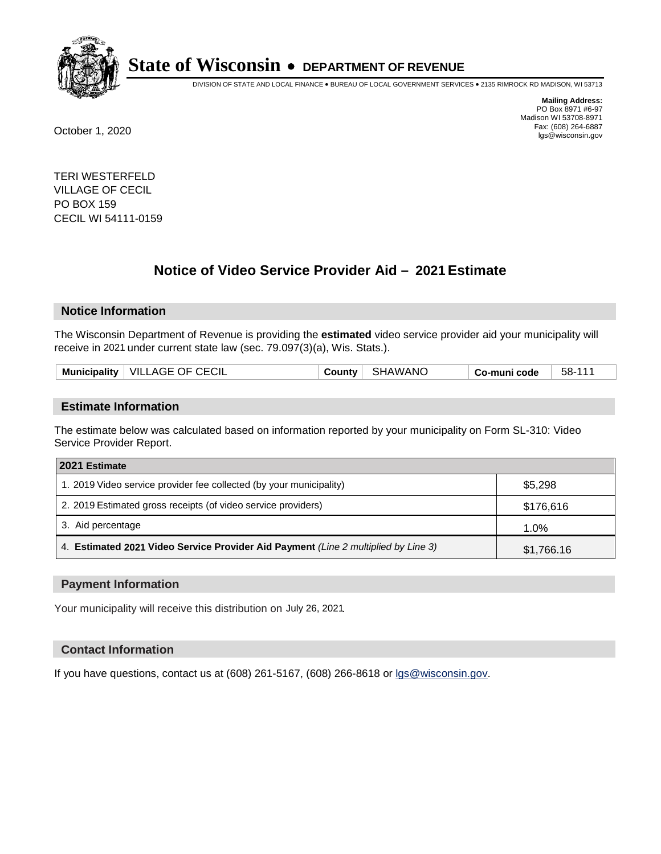

DIVISION OF STATE AND LOCAL FINANCE • BUREAU OF LOCAL GOVERNMENT SERVICES • 2135 RIMROCK RD MADISON, WI 53713

**Mailing Address:** PO Box 8971 #6-97 Madison WI 53708-8971<br>Fax: (608) 264-6887 Fax: (608) 264-6887 October 1, 2020 lgs@wisconsin.gov

TERI WESTERFELD VILLAGE OF CECIL PO BOX 159 CECIL WI 54111-0159

# **Notice of Video Service Provider Aid - 2021 Estimate**

## **Notice Information**

The Wisconsin Department of Revenue is providing the **estimated** video service provider aid your municipality will receive in 2021 under current state law (sec. 79.097(3)(a), Wis. Stats.).

|--|

#### **Estimate Information**

The estimate below was calculated based on information reported by your municipality on Form SL-310: Video Service Provider Report.

| 2021 Estimate                                                                      |            |
|------------------------------------------------------------------------------------|------------|
| 1. 2019 Video service provider fee collected (by your municipality)                | \$5,298    |
| 2. 2019 Estimated gross receipts (of video service providers)                      | \$176,616  |
| 3. Aid percentage                                                                  | 1.0%       |
| 4. Estimated 2021 Video Service Provider Aid Payment (Line 2 multiplied by Line 3) | \$1,766.16 |

#### **Payment Information**

Your municipality will receive this distribution on July 26, 2021.

## **Contact Information**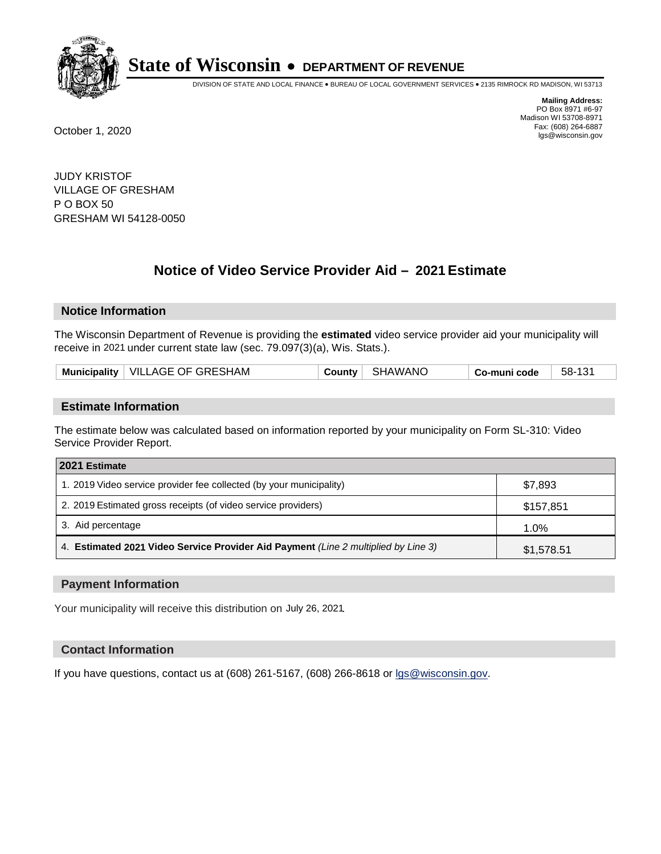

DIVISION OF STATE AND LOCAL FINANCE • BUREAU OF LOCAL GOVERNMENT SERVICES • 2135 RIMROCK RD MADISON, WI 53713

**Mailing Address:** PO Box 8971 #6-97 Madison WI 53708-8971<br>Fax: (608) 264-6887 Fax: (608) 264-6887 October 1, 2020 lgs@wisconsin.gov

JUDY KRISTOF VILLAGE OF GRESHAM P O BOX 50 GRESHAM WI 54128-0050

# **Notice of Video Service Provider Aid - 2021 Estimate**

## **Notice Information**

The Wisconsin Department of Revenue is providing the **estimated** video service provider aid your municipality will receive in 2021 under current state law (sec. 79.097(3)(a), Wis. Stats.).

| Municipality   VILLAGE OF GRESHAM<br>County SHAWANO<br>- 58-131<br>∣ Co-muni code |  |
|-----------------------------------------------------------------------------------|--|
|-----------------------------------------------------------------------------------|--|

#### **Estimate Information**

The estimate below was calculated based on information reported by your municipality on Form SL-310: Video Service Provider Report.

| 2021 Estimate                                                                      |            |
|------------------------------------------------------------------------------------|------------|
| 1. 2019 Video service provider fee collected (by your municipality)                | \$7,893    |
| 2. 2019 Estimated gross receipts (of video service providers)                      | \$157,851  |
| 3. Aid percentage                                                                  | 1.0%       |
| 4. Estimated 2021 Video Service Provider Aid Payment (Line 2 multiplied by Line 3) | \$1,578.51 |

#### **Payment Information**

Your municipality will receive this distribution on July 26, 2021.

## **Contact Information**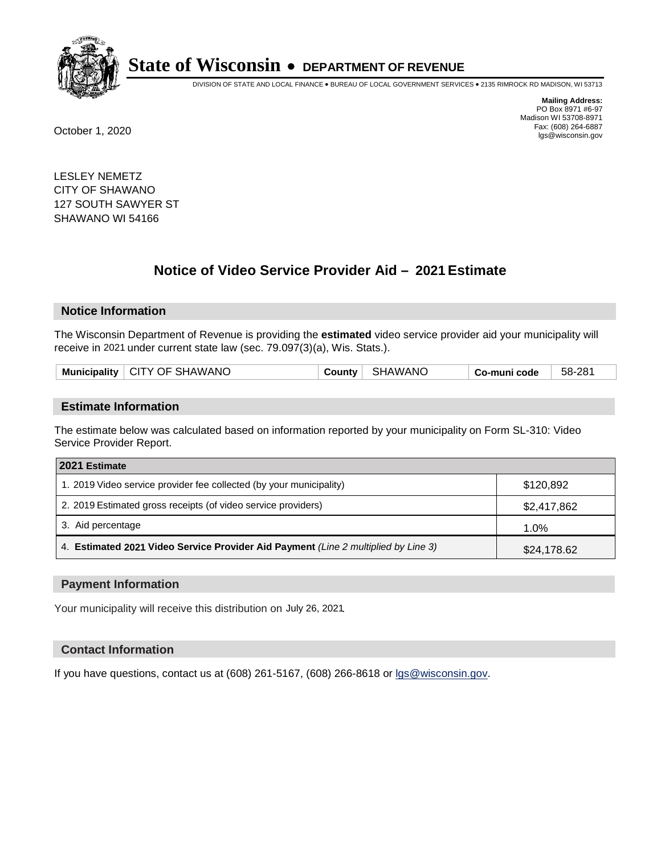

DIVISION OF STATE AND LOCAL FINANCE • BUREAU OF LOCAL GOVERNMENT SERVICES • 2135 RIMROCK RD MADISON, WI 53713

**Mailing Address:** PO Box 8971 #6-97 Madison WI 53708-8971<br>Fax: (608) 264-6887 Fax: (608) 264-6887 October 1, 2020 lgs@wisconsin.gov

LESLEY NEMETZ CITY OF SHAWANO 127 SOUTH SAWYER ST SHAWANO WI 54166

# **Notice of Video Service Provider Aid - 2021 Estimate**

## **Notice Information**

The Wisconsin Department of Revenue is providing the **estimated** video service provider aid your municipality will receive in 2021 under current state law (sec. 79.097(3)(a), Wis. Stats.).

| .<br>Mun.<br>nicipality | SHAWANC<br>OF.<br>-GITY - | `AWANC.<br>ר . | code<br>___ | 281<br>58- |
|-------------------------|---------------------------|----------------|-------------|------------|
|                         |                           |                |             |            |

#### **Estimate Information**

The estimate below was calculated based on information reported by your municipality on Form SL-310: Video Service Provider Report.

| 2021 Estimate                                                                      |             |
|------------------------------------------------------------------------------------|-------------|
| 1. 2019 Video service provider fee collected (by your municipality)                | \$120,892   |
| 2. 2019 Estimated gross receipts (of video service providers)                      | \$2,417,862 |
| 3. Aid percentage                                                                  | 1.0%        |
| 4. Estimated 2021 Video Service Provider Aid Payment (Line 2 multiplied by Line 3) | \$24,178.62 |

#### **Payment Information**

Your municipality will receive this distribution on July 26, 2021.

## **Contact Information**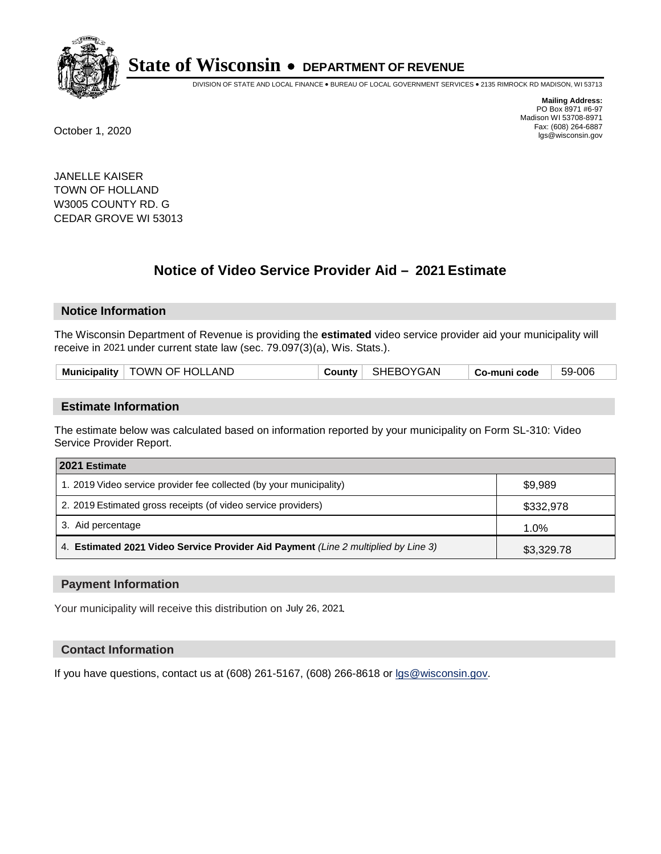

DIVISION OF STATE AND LOCAL FINANCE • BUREAU OF LOCAL GOVERNMENT SERVICES • 2135 RIMROCK RD MADISON, WI 53713

**Mailing Address:** PO Box 8971 #6-97 Madison WI 53708-8971<br>Fax: (608) 264-6887 Fax: (608) 264-6887 October 1, 2020 lgs@wisconsin.gov

JANELLE KAISER TOWN OF HOLLAND W3005 COUNTY RD. G CEDAR GROVE WI 53013

# **Notice of Video Service Provider Aid - 2021 Estimate**

## **Notice Information**

The Wisconsin Department of Revenue is providing the **estimated** video service provider aid your municipality will receive in 2021 under current state law (sec. 79.097(3)(a), Wis. Stats.).

| Municipality   TOWN OF HOLLAND |  | County   SHEBOYGAN | Co-muni code | 59-006 |
|--------------------------------|--|--------------------|--------------|--------|
|--------------------------------|--|--------------------|--------------|--------|

#### **Estimate Information**

The estimate below was calculated based on information reported by your municipality on Form SL-310: Video Service Provider Report.

| 2021 Estimate                                                                      |            |
|------------------------------------------------------------------------------------|------------|
| 1. 2019 Video service provider fee collected (by your municipality)                | \$9,989    |
| 2. 2019 Estimated gross receipts (of video service providers)                      | \$332,978  |
| 3. Aid percentage                                                                  | 1.0%       |
| 4. Estimated 2021 Video Service Provider Aid Payment (Line 2 multiplied by Line 3) | \$3,329.78 |

#### **Payment Information**

Your municipality will receive this distribution on July 26, 2021.

## **Contact Information**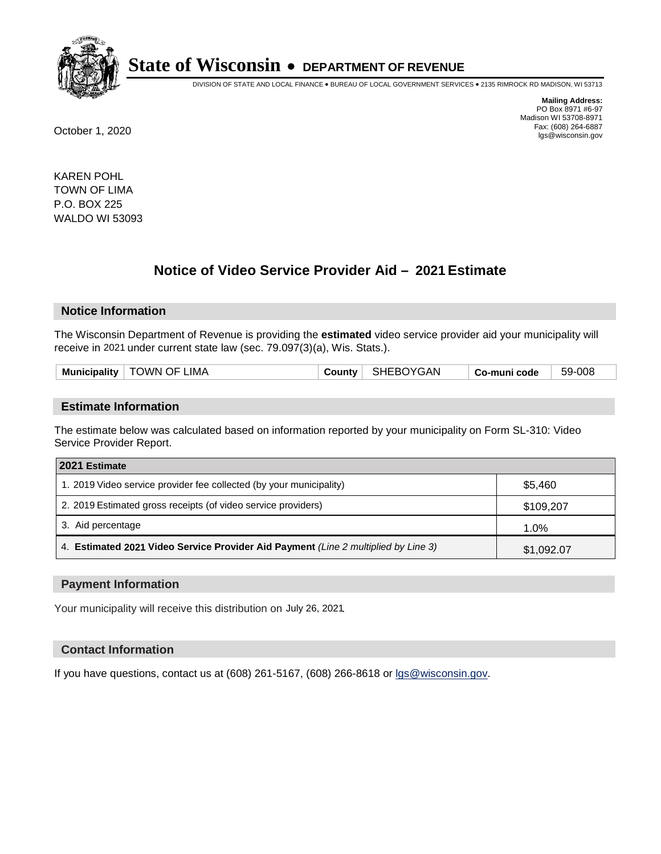

DIVISION OF STATE AND LOCAL FINANCE • BUREAU OF LOCAL GOVERNMENT SERVICES • 2135 RIMROCK RD MADISON, WI 53713

**Mailing Address:** PO Box 8971 #6-97 Madison WI 53708-8971<br>Fax: (608) 264-6887 Fax: (608) 264-6887 October 1, 2020 lgs@wisconsin.gov

KAREN POHL TOWN OF LIMA P.O. BOX 225 WALDO WI 53093

# **Notice of Video Service Provider Aid - 2021 Estimate**

## **Notice Information**

The Wisconsin Department of Revenue is providing the **estimated** video service provider aid your municipality will receive in 2021 under current state law (sec. 79.097(3)(a), Wis. Stats.).

| <b>Municipality</b> | TOWN OF LIMA | .ounty | <b>SHEBOYGAN</b> | -muni code<br>. -ഗ- | -008<br>59- |
|---------------------|--------------|--------|------------------|---------------------|-------------|
|                     |              |        |                  |                     |             |

#### **Estimate Information**

The estimate below was calculated based on information reported by your municipality on Form SL-310: Video Service Provider Report.

| 2021 Estimate                                                                      |            |
|------------------------------------------------------------------------------------|------------|
| 1. 2019 Video service provider fee collected (by your municipality)                | \$5,460    |
| 2. 2019 Estimated gross receipts (of video service providers)                      | \$109,207  |
| 3. Aid percentage                                                                  | 1.0%       |
| 4. Estimated 2021 Video Service Provider Aid Payment (Line 2 multiplied by Line 3) | \$1,092.07 |

#### **Payment Information**

Your municipality will receive this distribution on July 26, 2021.

#### **Contact Information**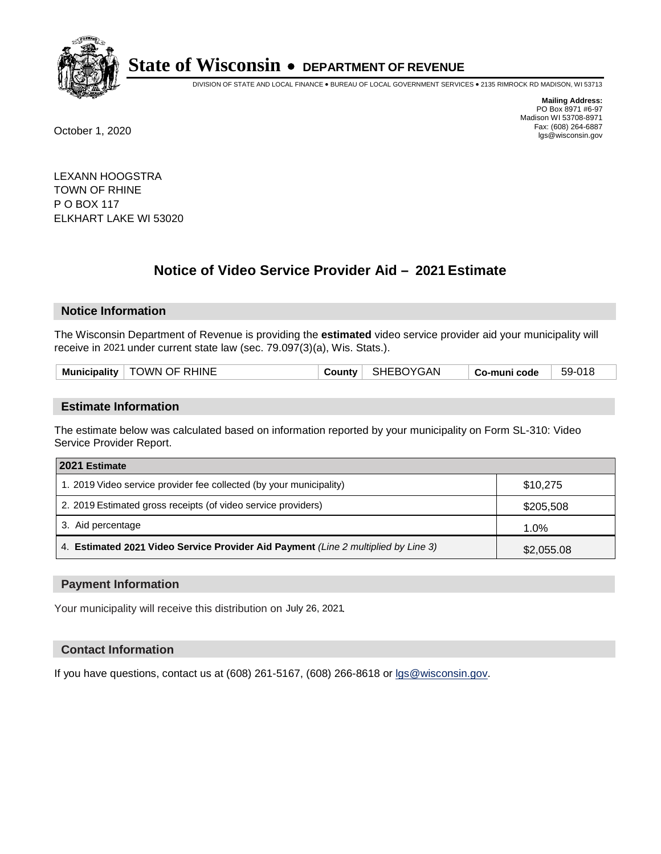

DIVISION OF STATE AND LOCAL FINANCE • BUREAU OF LOCAL GOVERNMENT SERVICES • 2135 RIMROCK RD MADISON, WI 53713

**Mailing Address:** PO Box 8971 #6-97 Madison WI 53708-8971<br>Fax: (608) 264-6887 Fax: (608) 264-6887 October 1, 2020 lgs@wisconsin.gov

LEXANN HOOGSTRA TOWN OF RHINE P O BOX 117 ELKHART LAKE WI 53020

# **Notice of Video Service Provider Aid - 2021 Estimate**

## **Notice Information**

The Wisconsin Department of Revenue is providing the **estimated** video service provider aid your municipality will receive in 2021 under current state law (sec. 79.097(3)(a), Wis. Stats.).

|  |  | Municipality   TOWN OF RHINE |  | County   SHEBOYGAN | Co-muni code | 59-018 |
|--|--|------------------------------|--|--------------------|--------------|--------|
|--|--|------------------------------|--|--------------------|--------------|--------|

#### **Estimate Information**

The estimate below was calculated based on information reported by your municipality on Form SL-310: Video Service Provider Report.

| 2021 Estimate                                                                      |            |
|------------------------------------------------------------------------------------|------------|
| 1. 2019 Video service provider fee collected (by your municipality)                | \$10,275   |
| 2. 2019 Estimated gross receipts (of video service providers)                      | \$205,508  |
| 3. Aid percentage                                                                  | 1.0%       |
| 4. Estimated 2021 Video Service Provider Aid Payment (Line 2 multiplied by Line 3) | \$2,055.08 |

#### **Payment Information**

Your municipality will receive this distribution on July 26, 2021.

#### **Contact Information**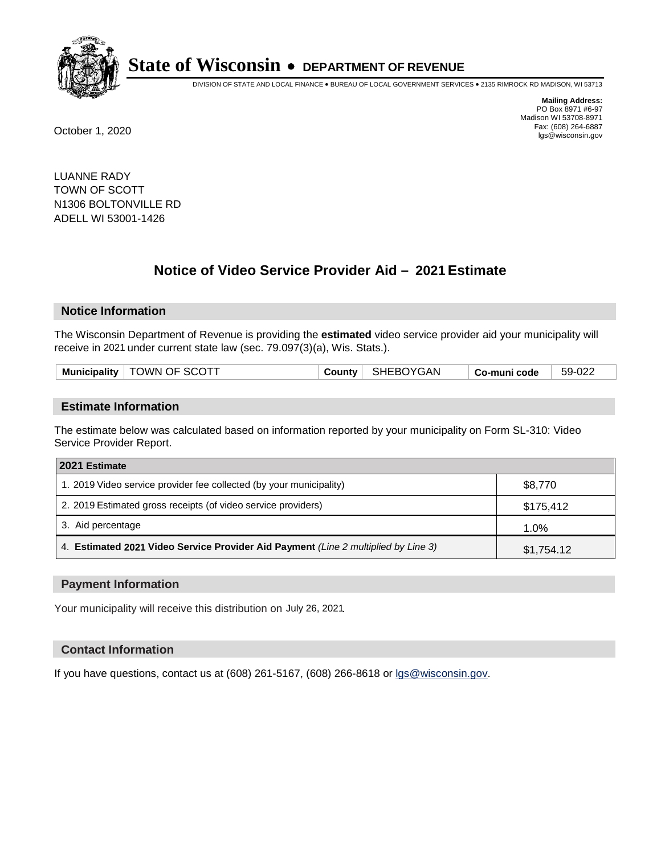

DIVISION OF STATE AND LOCAL FINANCE • BUREAU OF LOCAL GOVERNMENT SERVICES • 2135 RIMROCK RD MADISON, WI 53713

**Mailing Address:** PO Box 8971 #6-97 Madison WI 53708-8971<br>Fax: (608) 264-6887 Fax: (608) 264-6887 October 1, 2020 lgs@wisconsin.gov

LUANNE RADY TOWN OF SCOTT N1306 BOLTONVILLE RD ADELL WI 53001-1426

# **Notice of Video Service Provider Aid - 2021 Estimate**

## **Notice Information**

The Wisconsin Department of Revenue is providing the **estimated** video service provider aid your municipality will receive in 2021 under current state law (sec. 79.097(3)(a), Wis. Stats.).

|--|

#### **Estimate Information**

The estimate below was calculated based on information reported by your municipality on Form SL-310: Video Service Provider Report.

| 2021 Estimate                                                                      |            |
|------------------------------------------------------------------------------------|------------|
| 1. 2019 Video service provider fee collected (by your municipality)                | \$8,770    |
| 2. 2019 Estimated gross receipts (of video service providers)                      | \$175,412  |
| 3. Aid percentage                                                                  | 1.0%       |
| 4. Estimated 2021 Video Service Provider Aid Payment (Line 2 multiplied by Line 3) | \$1,754.12 |

#### **Payment Information**

Your municipality will receive this distribution on July 26, 2021.

## **Contact Information**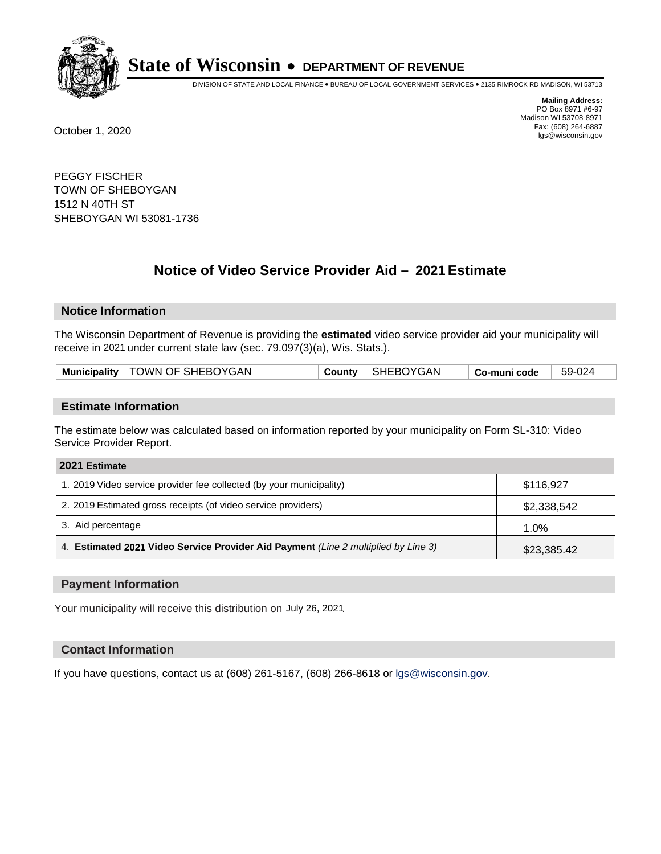

DIVISION OF STATE AND LOCAL FINANCE • BUREAU OF LOCAL GOVERNMENT SERVICES • 2135 RIMROCK RD MADISON, WI 53713

**Mailing Address:** PO Box 8971 #6-97 Madison WI 53708-8971<br>Fax: (608) 264-6887 Fax: (608) 264-6887 October 1, 2020 lgs@wisconsin.gov

PEGGY FISCHER TOWN OF SHEBOYGAN 1512 N 40TH ST SHEBOYGAN WI 53081-1736

# **Notice of Video Service Provider Aid - 2021 Estimate**

## **Notice Information**

The Wisconsin Department of Revenue is providing the **estimated** video service provider aid your municipality will receive in 2021 under current state law (sec. 79.097(3)(a), Wis. Stats.).

| Municipality   TOWN OF SHEBOYGAN |  | County   SHEBOYGAN | $\mid$ Co-muni code | 59-024 |
|----------------------------------|--|--------------------|---------------------|--------|
|----------------------------------|--|--------------------|---------------------|--------|

#### **Estimate Information**

The estimate below was calculated based on information reported by your municipality on Form SL-310: Video Service Provider Report.

| 2021 Estimate                                                                      |             |
|------------------------------------------------------------------------------------|-------------|
| 1. 2019 Video service provider fee collected (by your municipality)                | \$116,927   |
| 2. 2019 Estimated gross receipts (of video service providers)                      | \$2,338,542 |
| 3. Aid percentage                                                                  | 1.0%        |
| 4. Estimated 2021 Video Service Provider Aid Payment (Line 2 multiplied by Line 3) | \$23,385.42 |

#### **Payment Information**

Your municipality will receive this distribution on July 26, 2021.

## **Contact Information**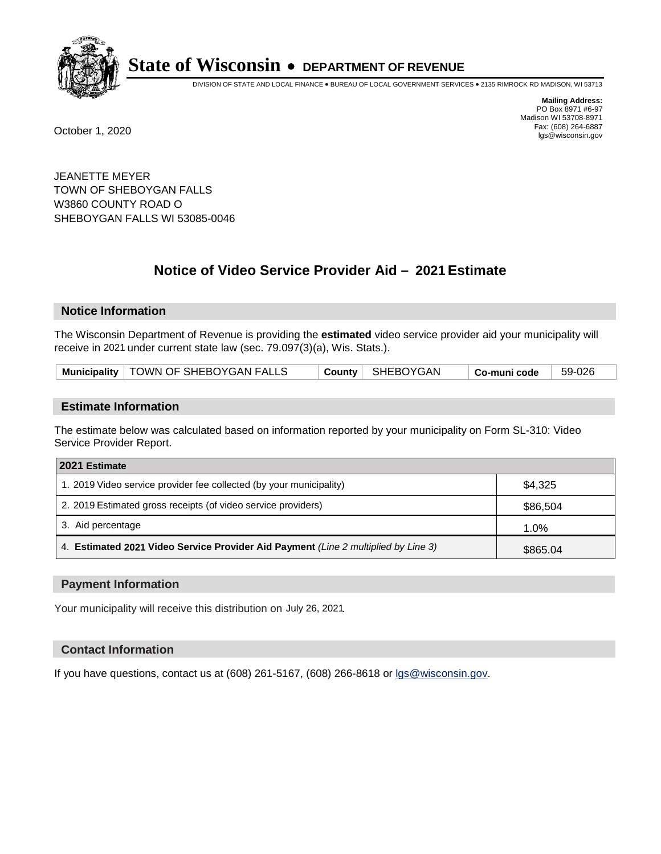

DIVISION OF STATE AND LOCAL FINANCE • BUREAU OF LOCAL GOVERNMENT SERVICES • 2135 RIMROCK RD MADISON, WI 53713

**Mailing Address:** PO Box 8971 #6-97 Madison WI 53708-8971<br>Fax: (608) 264-6887 Fax: (608) 264-6887 October 1, 2020 lgs@wisconsin.gov

JEANETTE MEYER TOWN OF SHEBOYGAN FALLS W3860 COUNTY ROAD O SHEBOYGAN FALLS WI 53085-0046

# **Notice of Video Service Provider Aid - 2021 Estimate**

## **Notice Information**

The Wisconsin Department of Revenue is providing the **estimated** video service provider aid your municipality will receive in 2021 under current state law (sec. 79.097(3)(a), Wis. Stats.).

| Municipality   TOWN OF SHEBOYGAN FALLS |  | County   SHEBOYGAN | <sup>⊥</sup> Co-muni code | 59-026 |
|----------------------------------------|--|--------------------|---------------------------|--------|
|----------------------------------------|--|--------------------|---------------------------|--------|

#### **Estimate Information**

The estimate below was calculated based on information reported by your municipality on Form SL-310: Video Service Provider Report.

| 2021 Estimate                                                                      |          |
|------------------------------------------------------------------------------------|----------|
| 1. 2019 Video service provider fee collected (by your municipality)                | \$4.325  |
| 2. 2019 Estimated gross receipts (of video service providers)                      | \$86,504 |
| 3. Aid percentage                                                                  | 1.0%     |
| 4. Estimated 2021 Video Service Provider Aid Payment (Line 2 multiplied by Line 3) | \$865.04 |

#### **Payment Information**

Your municipality will receive this distribution on July 26, 2021.

## **Contact Information**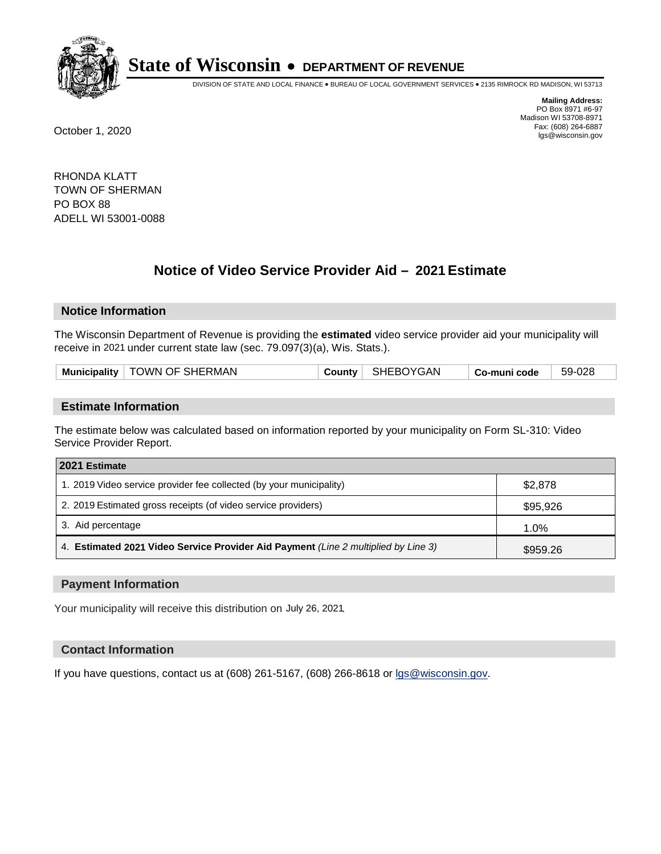

DIVISION OF STATE AND LOCAL FINANCE • BUREAU OF LOCAL GOVERNMENT SERVICES • 2135 RIMROCK RD MADISON, WI 53713

**Mailing Address:** PO Box 8971 #6-97 Madison WI 53708-8971<br>Fax: (608) 264-6887 Fax: (608) 264-6887 October 1, 2020 lgs@wisconsin.gov

RHONDA KLATT TOWN OF SHERMAN PO BOX 88 ADELL WI 53001-0088

# **Notice of Video Service Provider Aid - 2021 Estimate**

## **Notice Information**

The Wisconsin Department of Revenue is providing the **estimated** video service provider aid your municipality will receive in 2021 under current state law (sec. 79.097(3)(a), Wis. Stats.).

| Municipality   TOWN OF SHERMAN |  | County   SHEBOYGAN | Co-muni code | 59-028 |
|--------------------------------|--|--------------------|--------------|--------|
|--------------------------------|--|--------------------|--------------|--------|

#### **Estimate Information**

The estimate below was calculated based on information reported by your municipality on Form SL-310: Video Service Provider Report.

| 2021 Estimate                                                                      |          |
|------------------------------------------------------------------------------------|----------|
| 1. 2019 Video service provider fee collected (by your municipality)                | \$2,878  |
| 2. 2019 Estimated gross receipts (of video service providers)                      | \$95,926 |
| 3. Aid percentage                                                                  | 1.0%     |
| 4. Estimated 2021 Video Service Provider Aid Payment (Line 2 multiplied by Line 3) | \$959.26 |

#### **Payment Information**

Your municipality will receive this distribution on July 26, 2021.

## **Contact Information**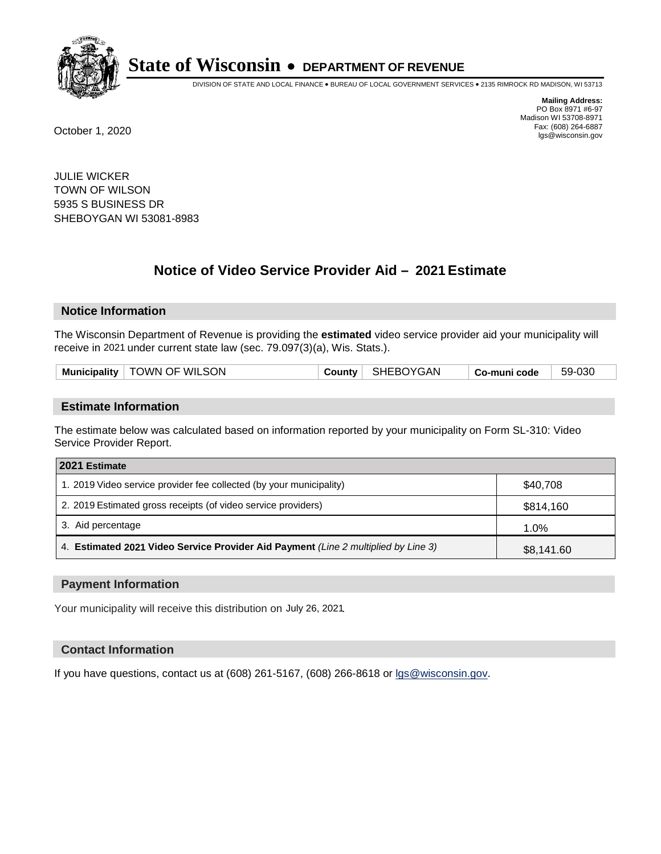

DIVISION OF STATE AND LOCAL FINANCE • BUREAU OF LOCAL GOVERNMENT SERVICES • 2135 RIMROCK RD MADISON, WI 53713

**Mailing Address:** PO Box 8971 #6-97 Madison WI 53708-8971<br>Fax: (608) 264-6887 Fax: (608) 264-6887 October 1, 2020 lgs@wisconsin.gov

JULIE WICKER TOWN OF WILSON 5935 S BUSINESS DR SHEBOYGAN WI 53081-8983

# **Notice of Video Service Provider Aid - 2021 Estimate**

## **Notice Information**

The Wisconsin Department of Revenue is providing the **estimated** video service provider aid your municipality will receive in 2021 under current state law (sec. 79.097(3)(a), Wis. Stats.).

|--|

#### **Estimate Information**

The estimate below was calculated based on information reported by your municipality on Form SL-310: Video Service Provider Report.

| 2021 Estimate                                                                      |            |
|------------------------------------------------------------------------------------|------------|
| 1. 2019 Video service provider fee collected (by your municipality)                | \$40,708   |
| 2. 2019 Estimated gross receipts (of video service providers)                      | \$814,160  |
| 3. Aid percentage                                                                  | 1.0%       |
| 4. Estimated 2021 Video Service Provider Aid Payment (Line 2 multiplied by Line 3) | \$8,141.60 |

#### **Payment Information**

Your municipality will receive this distribution on July 26, 2021.

## **Contact Information**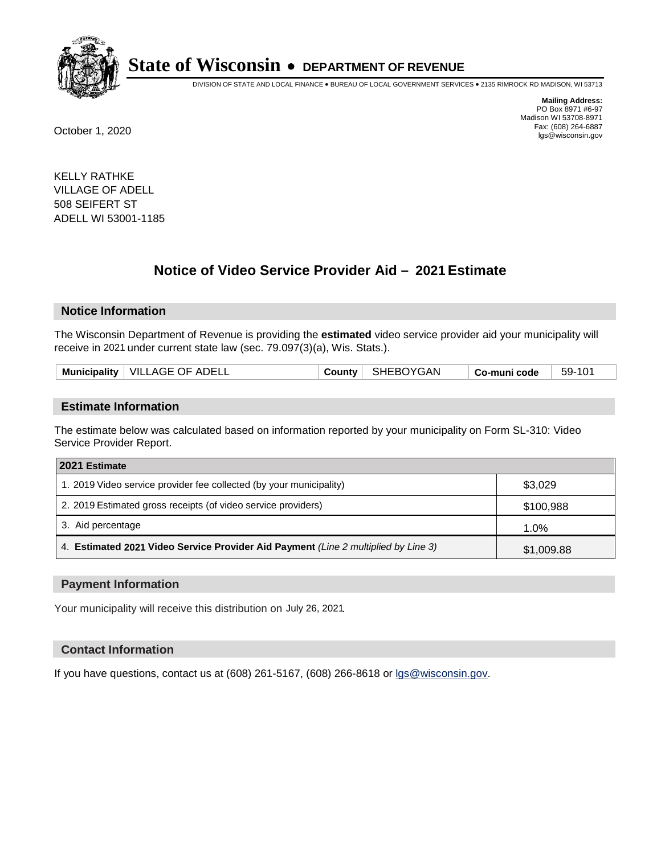

DIVISION OF STATE AND LOCAL FINANCE • BUREAU OF LOCAL GOVERNMENT SERVICES • 2135 RIMROCK RD MADISON, WI 53713

**Mailing Address:** PO Box 8971 #6-97 Madison WI 53708-8971<br>Fax: (608) 264-6887 Fax: (608) 264-6887 October 1, 2020 lgs@wisconsin.gov

KELLY RATHKE VILLAGE OF ADELL 508 SEIFERT ST ADELL WI 53001-1185

# **Notice of Video Service Provider Aid - 2021 Estimate**

## **Notice Information**

The Wisconsin Department of Revenue is providing the **estimated** video service provider aid your municipality will receive in 2021 under current state law (sec. 79.097(3)(a), Wis. Stats.).

|--|

#### **Estimate Information**

The estimate below was calculated based on information reported by your municipality on Form SL-310: Video Service Provider Report.

| 2021 Estimate                                                                      |            |
|------------------------------------------------------------------------------------|------------|
| 1. 2019 Video service provider fee collected (by your municipality)                | \$3,029    |
| 2. 2019 Estimated gross receipts (of video service providers)                      | \$100,988  |
| 3. Aid percentage                                                                  | 1.0%       |
| 4. Estimated 2021 Video Service Provider Aid Payment (Line 2 multiplied by Line 3) | \$1,009.88 |

#### **Payment Information**

Your municipality will receive this distribution on July 26, 2021.

## **Contact Information**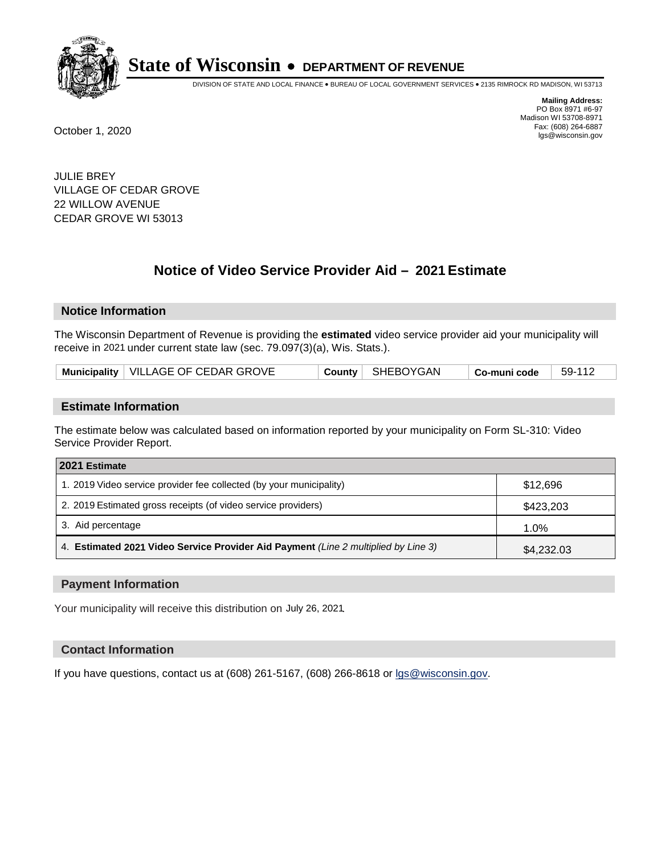

DIVISION OF STATE AND LOCAL FINANCE • BUREAU OF LOCAL GOVERNMENT SERVICES • 2135 RIMROCK RD MADISON, WI 53713

**Mailing Address:** PO Box 8971 #6-97 Madison WI 53708-8971<br>Fax: (608) 264-6887 Fax: (608) 264-6887 October 1, 2020 lgs@wisconsin.gov

JULIE BREY VILLAGE OF CEDAR GROVE 22 WILLOW AVENUE CEDAR GROVE WI 53013

# **Notice of Video Service Provider Aid - 2021 Estimate**

## **Notice Information**

The Wisconsin Department of Revenue is providing the **estimated** video service provider aid your municipality will receive in 2021 under current state law (sec. 79.097(3)(a), Wis. Stats.).

| Municipality   VILLAGE OF CEDAR GROVE |  | County   SHEBOYGAN | Co-muni code | 59-112 |
|---------------------------------------|--|--------------------|--------------|--------|
|---------------------------------------|--|--------------------|--------------|--------|

#### **Estimate Information**

The estimate below was calculated based on information reported by your municipality on Form SL-310: Video Service Provider Report.

| 2021 Estimate                                                                      |            |
|------------------------------------------------------------------------------------|------------|
| 1. 2019 Video service provider fee collected (by your municipality)                | \$12,696   |
| 2. 2019 Estimated gross receipts (of video service providers)                      | \$423,203  |
| 3. Aid percentage                                                                  | 1.0%       |
| 4. Estimated 2021 Video Service Provider Aid Payment (Line 2 multiplied by Line 3) | \$4,232.03 |

#### **Payment Information**

Your municipality will receive this distribution on July 26, 2021.

## **Contact Information**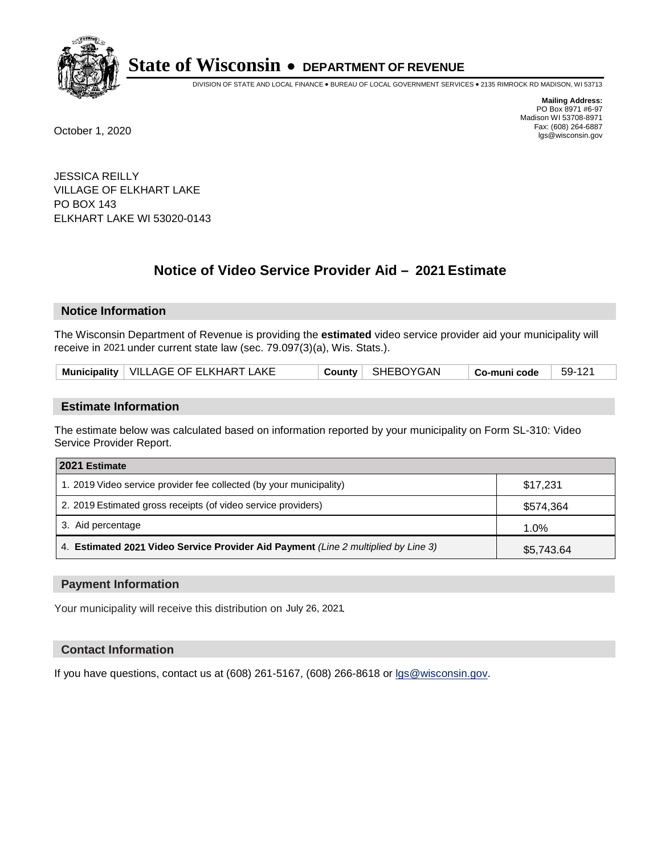

DIVISION OF STATE AND LOCAL FINANCE • BUREAU OF LOCAL GOVERNMENT SERVICES • 2135 RIMROCK RD MADISON, WI 53713

**Mailing Address:** PO Box 8971 #6-97 Madison WI 53708-8971<br>Fax: (608) 264-6887 Fax: (608) 264-6887 October 1, 2020 lgs@wisconsin.gov

JESSICA REILLY VILLAGE OF ELKHART LAKE PO BOX 143 ELKHART LAKE WI 53020-0143

# **Notice of Video Service Provider Aid - 2021 Estimate**

## **Notice Information**

The Wisconsin Department of Revenue is providing the **estimated** video service provider aid your municipality will receive in 2021 under current state law (sec. 79.097(3)(a), Wis. Stats.).

| Municipality   VILLAGE OF ELKHART LAKE |  | County   SHEBOYGAN | $\mid$ Co-muni code | 59-121 |
|----------------------------------------|--|--------------------|---------------------|--------|
|----------------------------------------|--|--------------------|---------------------|--------|

#### **Estimate Information**

The estimate below was calculated based on information reported by your municipality on Form SL-310: Video Service Provider Report.

| 2021 Estimate                                                                      |            |
|------------------------------------------------------------------------------------|------------|
| 1. 2019 Video service provider fee collected (by your municipality)                | \$17,231   |
| 2. 2019 Estimated gross receipts (of video service providers)                      | \$574,364  |
| 3. Aid percentage                                                                  | 1.0%       |
| 4. Estimated 2021 Video Service Provider Aid Payment (Line 2 multiplied by Line 3) | \$5,743.64 |

#### **Payment Information**

Your municipality will receive this distribution on July 26, 2021.

## **Contact Information**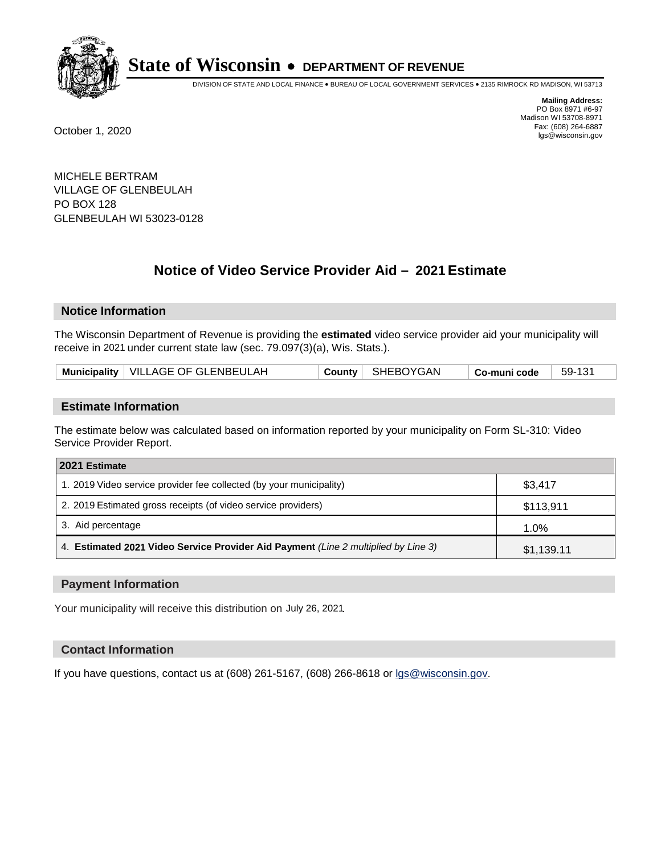

DIVISION OF STATE AND LOCAL FINANCE • BUREAU OF LOCAL GOVERNMENT SERVICES • 2135 RIMROCK RD MADISON, WI 53713

**Mailing Address:** PO Box 8971 #6-97 Madison WI 53708-8971<br>Fax: (608) 264-6887 Fax: (608) 264-6887 October 1, 2020 lgs@wisconsin.gov

MICHELE BERTRAM VILLAGE OF GLENBEULAH PO BOX 128 GLENBEULAH WI 53023-0128

# **Notice of Video Service Provider Aid - 2021 Estimate**

## **Notice Information**

The Wisconsin Department of Revenue is providing the **estimated** video service provider aid your municipality will receive in 2021 under current state law (sec. 79.097(3)(a), Wis. Stats.).

| Municipality   VILLAGE OF GLENBEULAH |  | County   SHEBOYGAN | Co-muni code | $59-131$ |
|--------------------------------------|--|--------------------|--------------|----------|
|--------------------------------------|--|--------------------|--------------|----------|

#### **Estimate Information**

The estimate below was calculated based on information reported by your municipality on Form SL-310: Video Service Provider Report.

| 2021 Estimate                                                                      |            |
|------------------------------------------------------------------------------------|------------|
| 1. 2019 Video service provider fee collected (by your municipality)                | \$3,417    |
| 2. 2019 Estimated gross receipts (of video service providers)                      | \$113,911  |
| 3. Aid percentage                                                                  | 1.0%       |
| 4. Estimated 2021 Video Service Provider Aid Payment (Line 2 multiplied by Line 3) | \$1,139.11 |

#### **Payment Information**

Your municipality will receive this distribution on July 26, 2021.

## **Contact Information**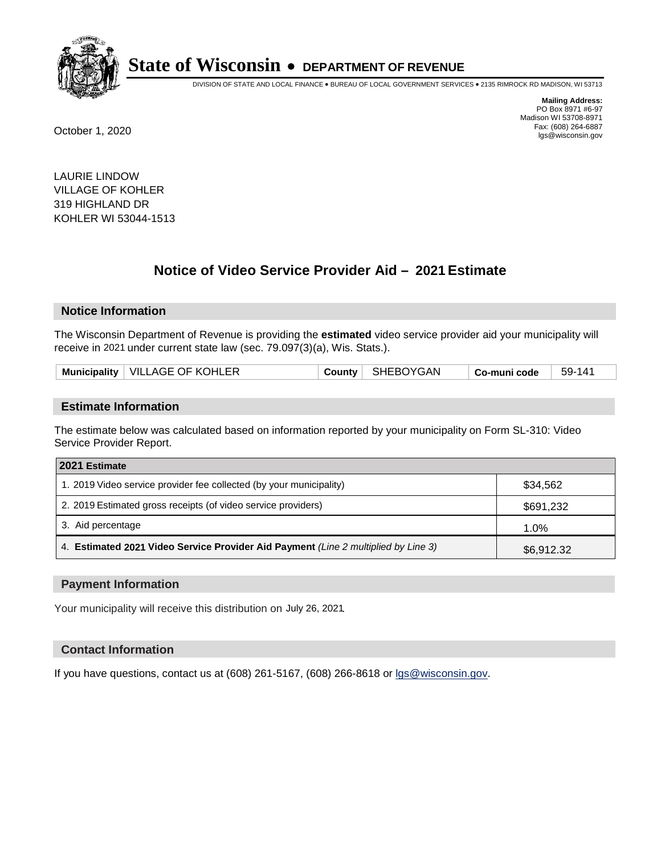

DIVISION OF STATE AND LOCAL FINANCE • BUREAU OF LOCAL GOVERNMENT SERVICES • 2135 RIMROCK RD MADISON, WI 53713

**Mailing Address:** PO Box 8971 #6-97 Madison WI 53708-8971<br>Fax: (608) 264-6887 Fax: (608) 264-6887 October 1, 2020 lgs@wisconsin.gov

LAURIE LINDOW VILLAGE OF KOHLER 319 HIGHLAND DR KOHLER WI 53044-1513

# **Notice of Video Service Provider Aid - 2021 Estimate**

## **Notice Information**

The Wisconsin Department of Revenue is providing the **estimated** video service provider aid your municipality will receive in 2021 under current state law (sec. 79.097(3)(a), Wis. Stats.).

|--|

#### **Estimate Information**

The estimate below was calculated based on information reported by your municipality on Form SL-310: Video Service Provider Report.

| 2021 Estimate                                                                      |            |
|------------------------------------------------------------------------------------|------------|
| 1. 2019 Video service provider fee collected (by your municipality)                | \$34,562   |
| 2. 2019 Estimated gross receipts (of video service providers)                      | \$691,232  |
| 3. Aid percentage                                                                  | 1.0%       |
| 4. Estimated 2021 Video Service Provider Aid Payment (Line 2 multiplied by Line 3) | \$6,912.32 |

#### **Payment Information**

Your municipality will receive this distribution on July 26, 2021.

## **Contact Information**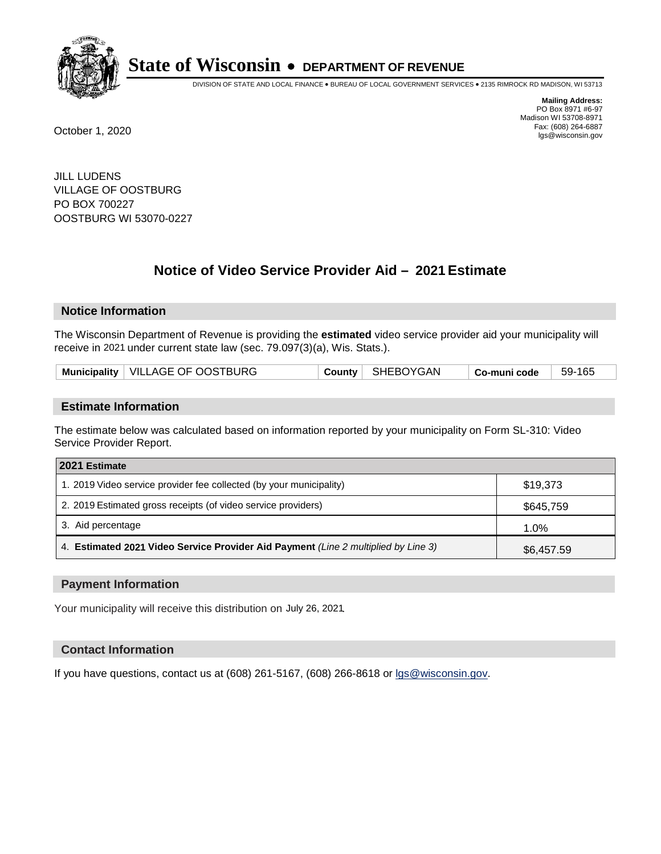

DIVISION OF STATE AND LOCAL FINANCE • BUREAU OF LOCAL GOVERNMENT SERVICES • 2135 RIMROCK RD MADISON, WI 53713

**Mailing Address:** PO Box 8971 #6-97 Madison WI 53708-8971<br>Fax: (608) 264-6887 Fax: (608) 264-6887 October 1, 2020 lgs@wisconsin.gov

JILL LUDENS VILLAGE OF OOSTBURG PO BOX 700227 OOSTBURG WI 53070-0227

# **Notice of Video Service Provider Aid - 2021 Estimate**

## **Notice Information**

The Wisconsin Department of Revenue is providing the **estimated** video service provider aid your municipality will receive in 2021 under current state law (sec. 79.097(3)(a), Wis. Stats.).

| Municipality   VILLAGE OF OOSTBURG | 59-165       |
|------------------------------------|--------------|
| County   SHEBOYGAN                 | Co-muni code |

#### **Estimate Information**

The estimate below was calculated based on information reported by your municipality on Form SL-310: Video Service Provider Report.

| 2021 Estimate                                                                      |            |
|------------------------------------------------------------------------------------|------------|
| 1. 2019 Video service provider fee collected (by your municipality)                | \$19,373   |
| 2. 2019 Estimated gross receipts (of video service providers)                      | \$645,759  |
| 3. Aid percentage                                                                  | 1.0%       |
| 4. Estimated 2021 Video Service Provider Aid Payment (Line 2 multiplied by Line 3) | \$6,457.59 |

#### **Payment Information**

Your municipality will receive this distribution on July 26, 2021.

## **Contact Information**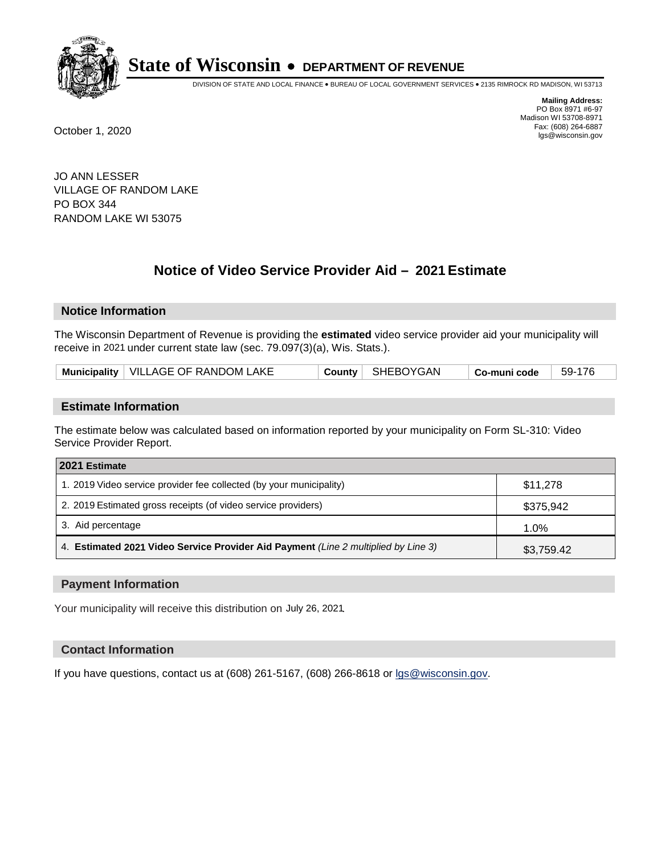

DIVISION OF STATE AND LOCAL FINANCE • BUREAU OF LOCAL GOVERNMENT SERVICES • 2135 RIMROCK RD MADISON, WI 53713

**Mailing Address:** PO Box 8971 #6-97 Madison WI 53708-8971<br>Fax: (608) 264-6887 Fax: (608) 264-6887 October 1, 2020 lgs@wisconsin.gov

JO ANN LESSER VILLAGE OF RANDOM LAKE PO BOX 344 RANDOM LAKE WI 53075

# **Notice of Video Service Provider Aid - 2021 Estimate**

## **Notice Information**

The Wisconsin Department of Revenue is providing the **estimated** video service provider aid your municipality will receive in 2021 under current state law (sec. 79.097(3)(a), Wis. Stats.).

| Municipality   VILLAGE OF RANDOM LAKE |  | County   SHEBOYGAN | $\overline{\phantom{a}}$ Co-muni code | 59-176 |
|---------------------------------------|--|--------------------|---------------------------------------|--------|
|---------------------------------------|--|--------------------|---------------------------------------|--------|

#### **Estimate Information**

The estimate below was calculated based on information reported by your municipality on Form SL-310: Video Service Provider Report.

| 2021 Estimate                                                                      |            |
|------------------------------------------------------------------------------------|------------|
| 1. 2019 Video service provider fee collected (by your municipality)                | \$11,278   |
| 2. 2019 Estimated gross receipts (of video service providers)                      | \$375,942  |
| 3. Aid percentage                                                                  | 1.0%       |
| 4. Estimated 2021 Video Service Provider Aid Payment (Line 2 multiplied by Line 3) | \$3,759.42 |

#### **Payment Information**

Your municipality will receive this distribution on July 26, 2021.

## **Contact Information**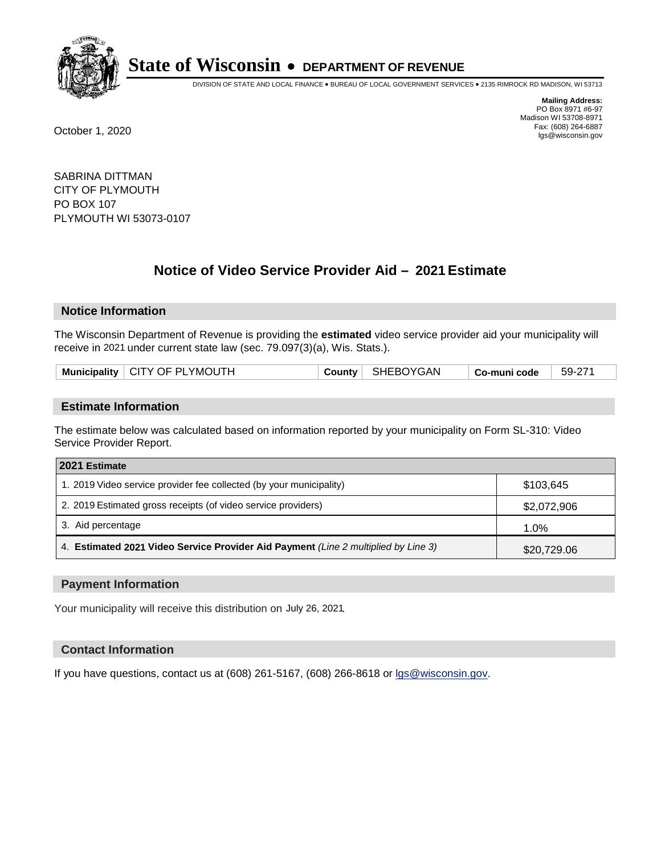

DIVISION OF STATE AND LOCAL FINANCE • BUREAU OF LOCAL GOVERNMENT SERVICES • 2135 RIMROCK RD MADISON, WI 53713

**Mailing Address:** PO Box 8971 #6-97 Madison WI 53708-8971<br>Fax: (608) 264-6887 Fax: (608) 264-6887 October 1, 2020 lgs@wisconsin.gov

SABRINA DITTMAN CITY OF PLYMOUTH PO BOX 107 PLYMOUTH WI 53073-0107

# **Notice of Video Service Provider Aid - 2021 Estimate**

## **Notice Information**

The Wisconsin Department of Revenue is providing the **estimated** video service provider aid your municipality will receive in 2021 under current state law (sec. 79.097(3)(a), Wis. Stats.).

| Municipality   CITY OF PLYMOUTH |  | County   SHEBOYGAN | $^\shortparallel$ Co-muni code | - 59-271 |
|---------------------------------|--|--------------------|--------------------------------|----------|
|---------------------------------|--|--------------------|--------------------------------|----------|

#### **Estimate Information**

The estimate below was calculated based on information reported by your municipality on Form SL-310: Video Service Provider Report.

| 2021 Estimate                                                                      |             |
|------------------------------------------------------------------------------------|-------------|
| 1. 2019 Video service provider fee collected (by your municipality)                | \$103,645   |
| 2. 2019 Estimated gross receipts (of video service providers)                      | \$2,072,906 |
| 3. Aid percentage                                                                  | 1.0%        |
| 4. Estimated 2021 Video Service Provider Aid Payment (Line 2 multiplied by Line 3) | \$20,729.06 |

#### **Payment Information**

Your municipality will receive this distribution on July 26, 2021.

## **Contact Information**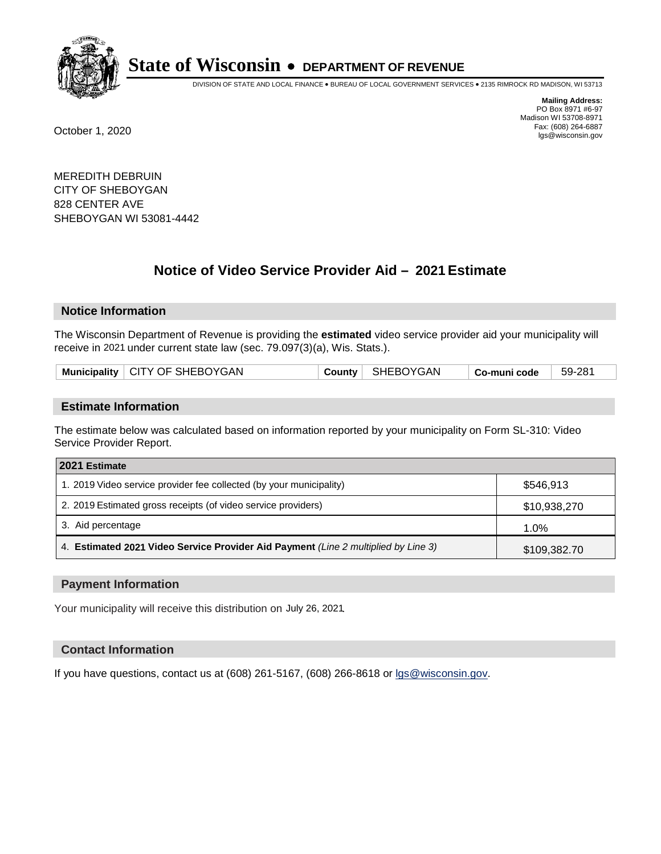

DIVISION OF STATE AND LOCAL FINANCE • BUREAU OF LOCAL GOVERNMENT SERVICES • 2135 RIMROCK RD MADISON, WI 53713

**Mailing Address:** PO Box 8971 #6-97 Madison WI 53708-8971<br>Fax: (608) 264-6887 Fax: (608) 264-6887 October 1, 2020 lgs@wisconsin.gov

MEREDITH DEBRUIN CITY OF SHEBOYGAN 828 CENTER AVE SHEBOYGAN WI 53081-4442

# **Notice of Video Service Provider Aid - 2021 Estimate**

## **Notice Information**

The Wisconsin Department of Revenue is providing the **estimated** video service provider aid your municipality will receive in 2021 under current state law (sec. 79.097(3)(a), Wis. Stats.).

| Municipality   CITY OF SHEBOYGAN | County   SHEBOYGAN | 59-281<br><sup>∣</sup> Co-muni code |
|----------------------------------|--------------------|-------------------------------------|
|----------------------------------|--------------------|-------------------------------------|

#### **Estimate Information**

The estimate below was calculated based on information reported by your municipality on Form SL-310: Video Service Provider Report.

| 2021 Estimate                                                                      |              |
|------------------------------------------------------------------------------------|--------------|
| 1. 2019 Video service provider fee collected (by your municipality)                | \$546.913    |
| 2. 2019 Estimated gross receipts (of video service providers)                      | \$10,938,270 |
| 3. Aid percentage                                                                  | 1.0%         |
| 4. Estimated 2021 Video Service Provider Aid Payment (Line 2 multiplied by Line 3) | \$109,382.70 |

#### **Payment Information**

Your municipality will receive this distribution on July 26, 2021.

## **Contact Information**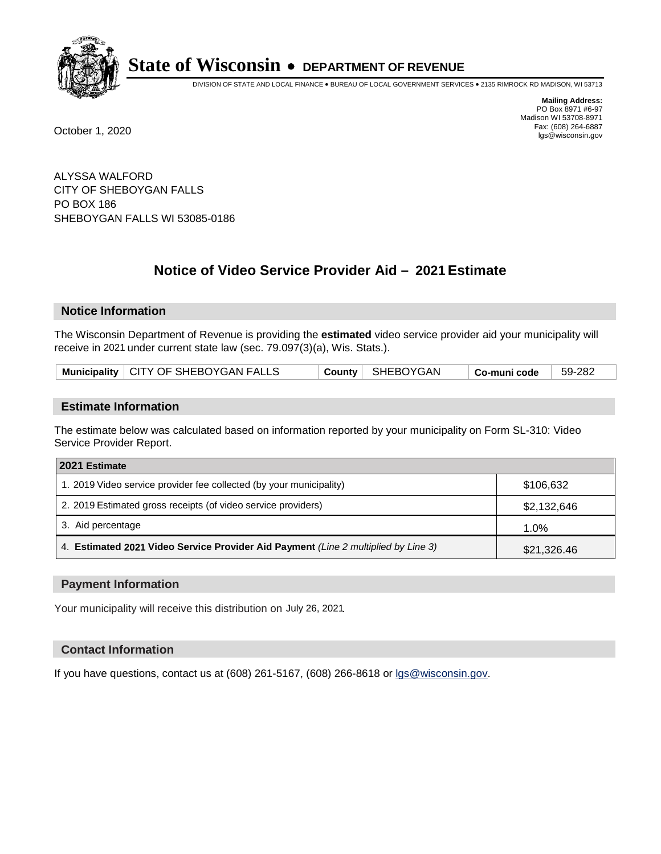

DIVISION OF STATE AND LOCAL FINANCE • BUREAU OF LOCAL GOVERNMENT SERVICES • 2135 RIMROCK RD MADISON, WI 53713

**Mailing Address:** PO Box 8971 #6-97 Madison WI 53708-8971<br>Fax: (608) 264-6887 Fax: (608) 264-6887 October 1, 2020 lgs@wisconsin.gov

ALYSSA WALFORD CITY OF SHEBOYGAN FALLS PO BOX 186 SHEBOYGAN FALLS WI 53085-0186

# **Notice of Video Service Provider Aid - 2021 Estimate**

## **Notice Information**

The Wisconsin Department of Revenue is providing the **estimated** video service provider aid your municipality will receive in 2021 under current state law (sec. 79.097(3)(a), Wis. Stats.).

| Municipality   CITY OF SHEBOYGAN FALLS |  | County   SHEBOYGAN | $\mid$ Co-muni code | 59-282 |
|----------------------------------------|--|--------------------|---------------------|--------|
|----------------------------------------|--|--------------------|---------------------|--------|

#### **Estimate Information**

The estimate below was calculated based on information reported by your municipality on Form SL-310: Video Service Provider Report.

| 2021 Estimate                                                                      |             |
|------------------------------------------------------------------------------------|-------------|
| 1. 2019 Video service provider fee collected (by your municipality)                | \$106,632   |
| 2. 2019 Estimated gross receipts (of video service providers)                      | \$2,132,646 |
| 3. Aid percentage                                                                  | $1.0\%$     |
| 4. Estimated 2021 Video Service Provider Aid Payment (Line 2 multiplied by Line 3) | \$21,326.46 |

#### **Payment Information**

Your municipality will receive this distribution on July 26, 2021.

## **Contact Information**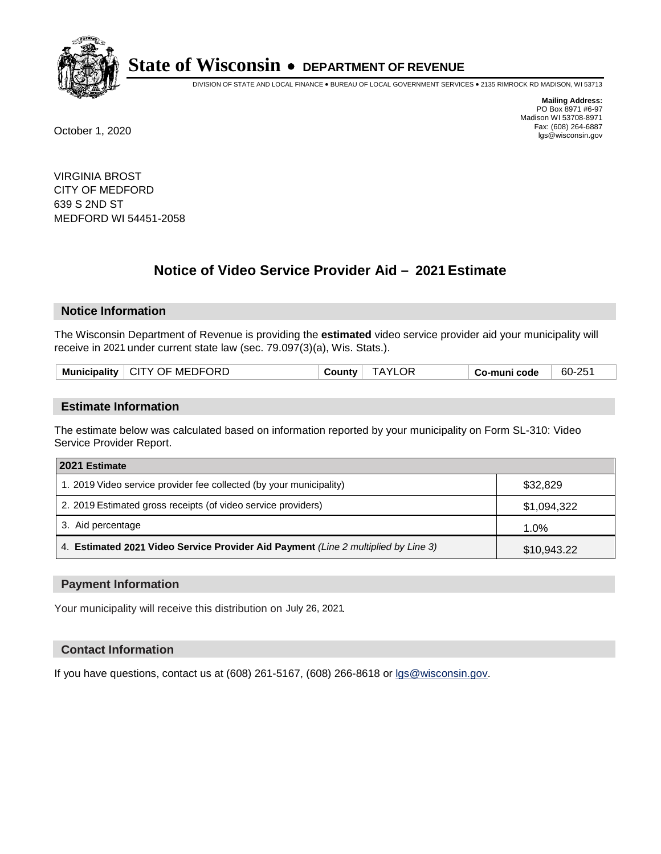

DIVISION OF STATE AND LOCAL FINANCE • BUREAU OF LOCAL GOVERNMENT SERVICES • 2135 RIMROCK RD MADISON, WI 53713

**Mailing Address:** PO Box 8971 #6-97 Madison WI 53708-8971<br>Fax: (608) 264-6887 Fax: (608) 264-6887 October 1, 2020 lgs@wisconsin.gov

VIRGINIA BROST CITY OF MEDFORD 639 S 2ND ST MEDFORD WI 54451-2058

# **Notice of Video Service Provider Aid - 2021 Estimate**

## **Notice Information**

The Wisconsin Department of Revenue is providing the **estimated** video service provider aid your municipality will receive in 2021 under current state law (sec. 79.097(3)(a), Wis. Stats.).

| Municipality   CITY OF MEDFORD | County i | <b>TAYLOR</b> | Co-muni code | 60-251 |
|--------------------------------|----------|---------------|--------------|--------|
|                                |          |               |              |        |

#### **Estimate Information**

The estimate below was calculated based on information reported by your municipality on Form SL-310: Video Service Provider Report.

| 2021 Estimate                                                                      |             |
|------------------------------------------------------------------------------------|-------------|
| 1. 2019 Video service provider fee collected (by your municipality)                | \$32,829    |
| 2. 2019 Estimated gross receipts (of video service providers)                      | \$1,094,322 |
| 3. Aid percentage                                                                  | 1.0%        |
| 4. Estimated 2021 Video Service Provider Aid Payment (Line 2 multiplied by Line 3) | \$10,943.22 |

#### **Payment Information**

Your municipality will receive this distribution on July 26, 2021.

## **Contact Information**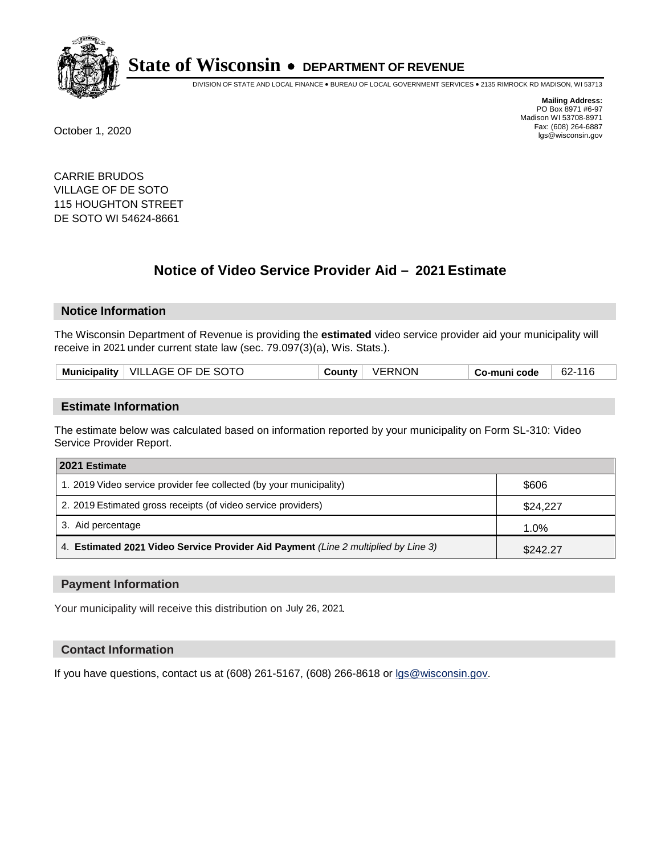

DIVISION OF STATE AND LOCAL FINANCE • BUREAU OF LOCAL GOVERNMENT SERVICES • 2135 RIMROCK RD MADISON, WI 53713

**Mailing Address:** PO Box 8971 #6-97 Madison WI 53708-8971<br>Fax: (608) 264-6887 Fax: (608) 264-6887 October 1, 2020 lgs@wisconsin.gov

CARRIE BRUDOS VILLAGE OF DE SOTO 115 HOUGHTON STREET DE SOTO WI 54624-8661

# **Notice of Video Service Provider Aid - 2021 Estimate**

## **Notice Information**

The Wisconsin Department of Revenue is providing the **estimated** video service provider aid your municipality will receive in 2021 under current state law (sec. 79.097(3)(a), Wis. Stats.).

| Municipality   VILLAGE OF DE SOTO<br><b>VERNON</b><br>County | 62-116<br>Co-muni code |
|--------------------------------------------------------------|------------------------|
|--------------------------------------------------------------|------------------------|

#### **Estimate Information**

The estimate below was calculated based on information reported by your municipality on Form SL-310: Video Service Provider Report.

| 2021 Estimate                                                                      |          |
|------------------------------------------------------------------------------------|----------|
| 1. 2019 Video service provider fee collected (by your municipality)                | \$606    |
| 2. 2019 Estimated gross receipts (of video service providers)                      | \$24.227 |
| 3. Aid percentage                                                                  | 1.0%     |
| 4. Estimated 2021 Video Service Provider Aid Payment (Line 2 multiplied by Line 3) | \$242.27 |

#### **Payment Information**

Your municipality will receive this distribution on July 26, 2021.

## **Contact Information**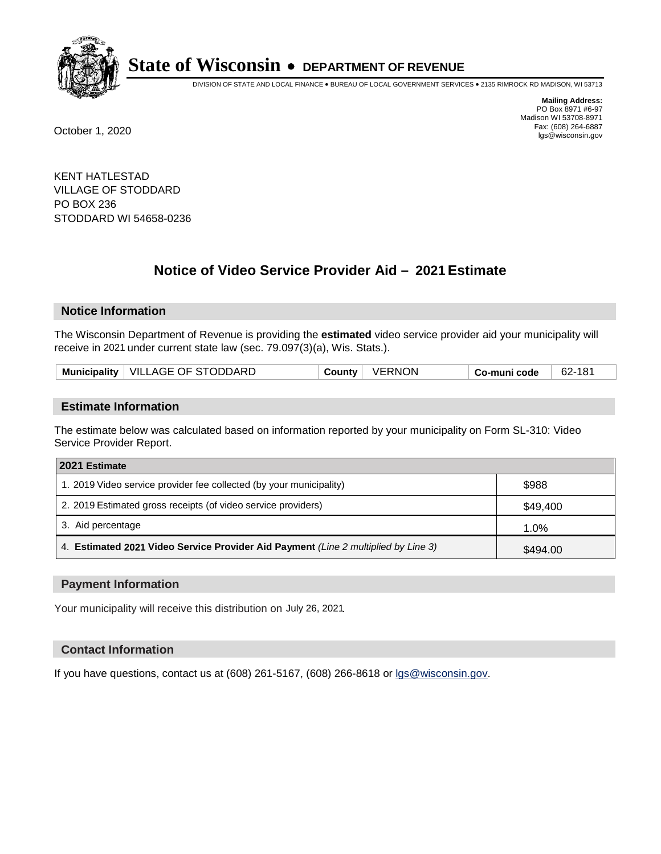

DIVISION OF STATE AND LOCAL FINANCE • BUREAU OF LOCAL GOVERNMENT SERVICES • 2135 RIMROCK RD MADISON, WI 53713

**Mailing Address:** PO Box 8971 #6-97 Madison WI 53708-8971<br>Fax: (608) 264-6887 Fax: (608) 264-6887 October 1, 2020 lgs@wisconsin.gov

KENT HATLESTAD VILLAGE OF STODDARD PO BOX 236 STODDARD WI 54658-0236

# **Notice of Video Service Provider Aid - 2021 Estimate**

## **Notice Information**

The Wisconsin Department of Revenue is providing the **estimated** video service provider aid your municipality will receive in 2021 under current state law (sec. 79.097(3)(a), Wis. Stats.).

| Municipality   VILLAGE OF STODDARD | VERNON<br>County | Co-muni code | 62-181 |
|------------------------------------|------------------|--------------|--------|
|------------------------------------|------------------|--------------|--------|

#### **Estimate Information**

The estimate below was calculated based on information reported by your municipality on Form SL-310: Video Service Provider Report.

| 2021 Estimate                                                                      |          |
|------------------------------------------------------------------------------------|----------|
| 1. 2019 Video service provider fee collected (by your municipality)                | \$988    |
| 2. 2019 Estimated gross receipts (of video service providers)                      | \$49,400 |
| 3. Aid percentage                                                                  | 1.0%     |
| 4. Estimated 2021 Video Service Provider Aid Payment (Line 2 multiplied by Line 3) | \$494.00 |

#### **Payment Information**

Your municipality will receive this distribution on July 26, 2021.

## **Contact Information**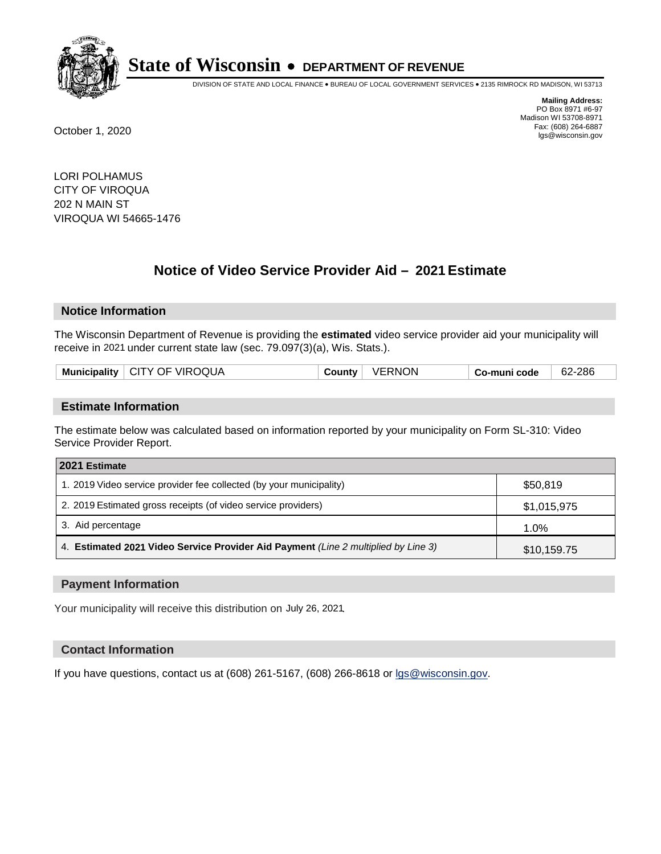

DIVISION OF STATE AND LOCAL FINANCE • BUREAU OF LOCAL GOVERNMENT SERVICES • 2135 RIMROCK RD MADISON, WI 53713

**Mailing Address:** PO Box 8971 #6-97 Madison WI 53708-8971<br>Fax: (608) 264-6887 Fax: (608) 264-6887 October 1, 2020 lgs@wisconsin.gov

LORI POLHAMUS CITY OF VIROQUA 202 N MAIN ST VIROQUA WI 54665-1476

# **Notice of Video Service Provider Aid - 2021 Estimate**

## **Notice Information**

The Wisconsin Department of Revenue is providing the **estimated** video service provider aid your municipality will receive in 2021 under current state law (sec. 79.097(3)(a), Wis. Stats.).

| Municipality   CITY OF VIROQUA | VERNON<br>County | Co-muni code | 62-286 |
|--------------------------------|------------------|--------------|--------|
|                                |                  |              |        |

#### **Estimate Information**

The estimate below was calculated based on information reported by your municipality on Form SL-310: Video Service Provider Report.

| 2021 Estimate                                                                      |             |
|------------------------------------------------------------------------------------|-------------|
| 1. 2019 Video service provider fee collected (by your municipality)                | \$50,819    |
| 2. 2019 Estimated gross receipts (of video service providers)                      | \$1,015,975 |
| 3. Aid percentage                                                                  | 1.0%        |
| 4. Estimated 2021 Video Service Provider Aid Payment (Line 2 multiplied by Line 3) | \$10,159.75 |

#### **Payment Information**

Your municipality will receive this distribution on July 26, 2021.

## **Contact Information**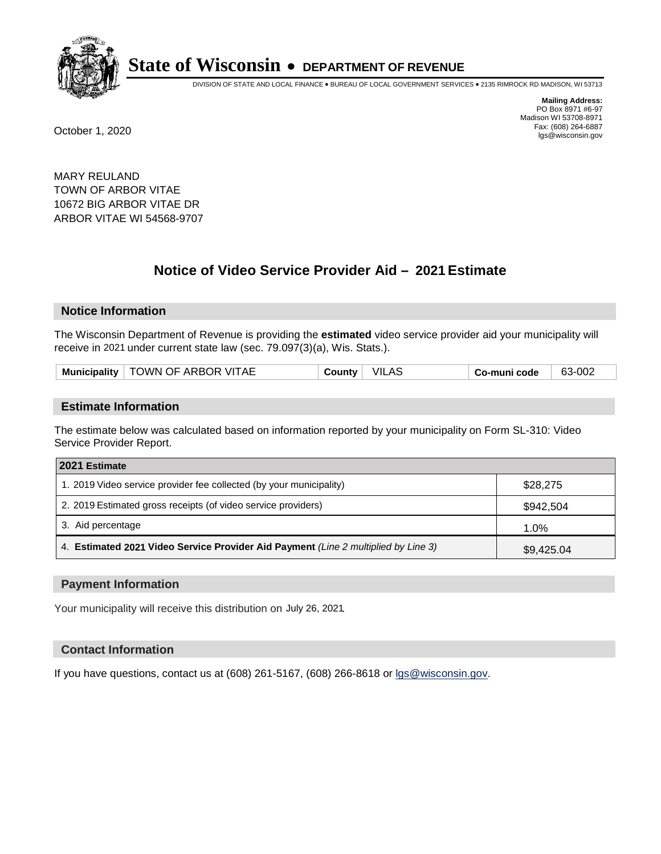

DIVISION OF STATE AND LOCAL FINANCE • BUREAU OF LOCAL GOVERNMENT SERVICES • 2135 RIMROCK RD MADISON, WI 53713

**Mailing Address:** PO Box 8971 #6-97 Madison WI 53708-8971<br>Fax: (608) 264-6887 Fax: (608) 264-6887 October 1, 2020 lgs@wisconsin.gov

MARY REULAND TOWN OF ARBOR VITAE 10672 BIG ARBOR VITAE DR ARBOR VITAE WI 54568-9707

# **Notice of Video Service Provider Aid - 2021 Estimate**

## **Notice Information**

The Wisconsin Department of Revenue is providing the **estimated** video service provider aid your municipality will receive in 2021 under current state law (sec. 79.097(3)(a), Wis. Stats.).

| TOWN OF ARBOR VITAE | VILAS   | 63-002       |
|---------------------|---------|--------------|
| Municipality        | ∵ountvٽ | Co-muni code |

#### **Estimate Information**

The estimate below was calculated based on information reported by your municipality on Form SL-310: Video Service Provider Report.

| 2021 Estimate                                                                      |            |
|------------------------------------------------------------------------------------|------------|
| 1. 2019 Video service provider fee collected (by your municipality)                | \$28,275   |
| 2. 2019 Estimated gross receipts (of video service providers)                      | \$942,504  |
| 3. Aid percentage                                                                  | 1.0%       |
| 4. Estimated 2021 Video Service Provider Aid Payment (Line 2 multiplied by Line 3) | \$9,425.04 |

#### **Payment Information**

Your municipality will receive this distribution on July 26, 2021.

## **Contact Information**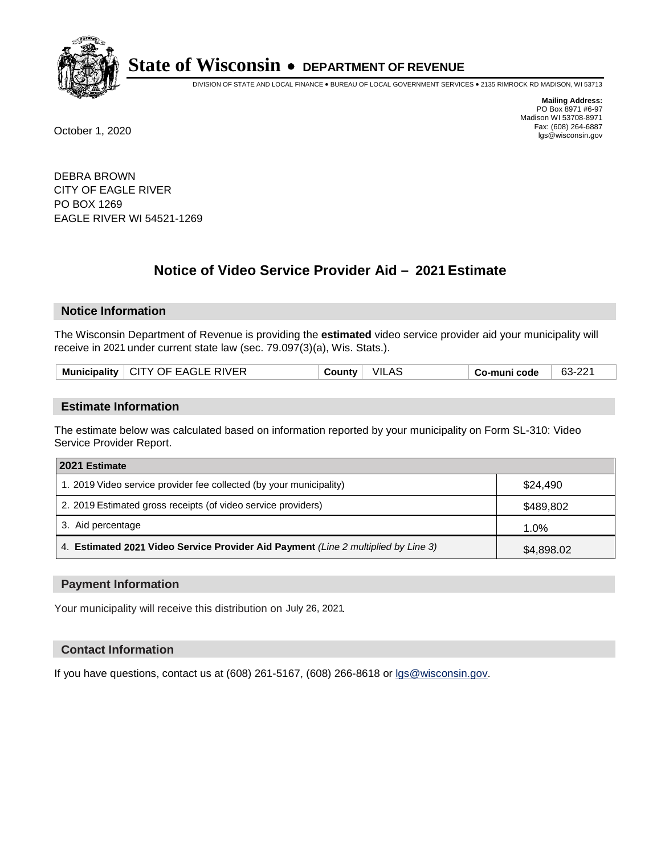

DIVISION OF STATE AND LOCAL FINANCE • BUREAU OF LOCAL GOVERNMENT SERVICES • 2135 RIMROCK RD MADISON, WI 53713

**Mailing Address:** PO Box 8971 #6-97 Madison WI 53708-8971<br>Fax: (608) 264-6887 Fax: (608) 264-6887 October 1, 2020 lgs@wisconsin.gov

DEBRA BROWN CITY OF EAGLE RIVER PO BOX 1269 EAGLE RIVER WI 54521-1269

# **Notice of Video Service Provider Aid - 2021 Estimate**

## **Notice Information**

The Wisconsin Department of Revenue is providing the **estimated** video service provider aid your municipality will receive in 2021 under current state law (sec. 79.097(3)(a), Wis. Stats.).

| LCITY OF EAGLE RIVER<br>Municipality | VIL<br>.AS<br>County | Co-muni code | 63-22<br>nn. |
|--------------------------------------|----------------------|--------------|--------------|
|--------------------------------------|----------------------|--------------|--------------|

#### **Estimate Information**

The estimate below was calculated based on information reported by your municipality on Form SL-310: Video Service Provider Report.

| 2021 Estimate                                                                      |            |
|------------------------------------------------------------------------------------|------------|
| 1. 2019 Video service provider fee collected (by your municipality)                | \$24,490   |
| 2. 2019 Estimated gross receipts (of video service providers)                      | \$489,802  |
| 3. Aid percentage                                                                  | 1.0%       |
| 4. Estimated 2021 Video Service Provider Aid Payment (Line 2 multiplied by Line 3) | \$4,898.02 |

#### **Payment Information**

Your municipality will receive this distribution on July 26, 2021.

## **Contact Information**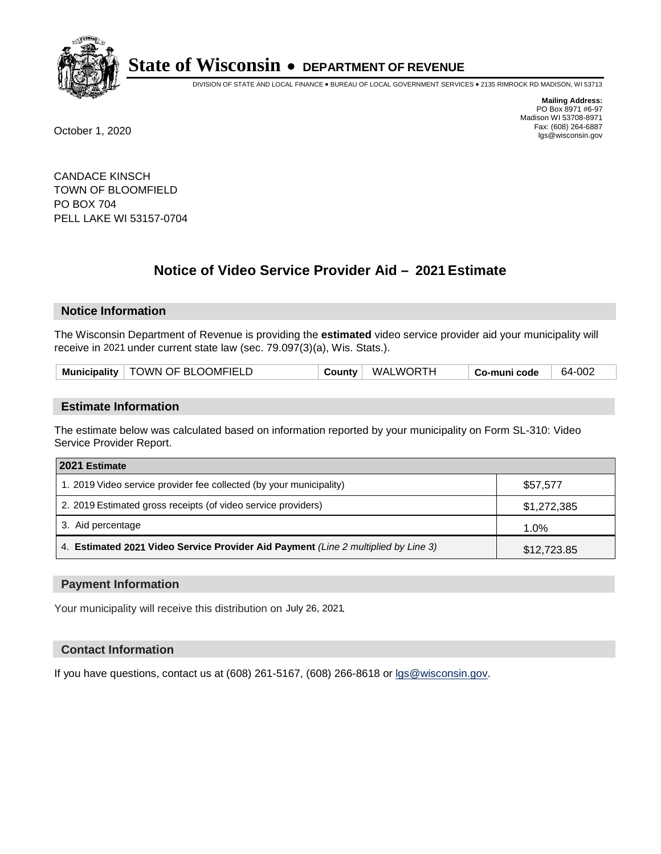

DIVISION OF STATE AND LOCAL FINANCE • BUREAU OF LOCAL GOVERNMENT SERVICES • 2135 RIMROCK RD MADISON, WI 53713

**Mailing Address:** PO Box 8971 #6-97 Madison WI 53708-8971<br>Fax: (608) 264-6887 Fax: (608) 264-6887 October 1, 2020 lgs@wisconsin.gov

CANDACE KINSCH TOWN OF BLOOMFIELD PO BOX 704 PELL LAKE WI 53157-0704

# **Notice of Video Service Provider Aid - 2021 Estimate**

## **Notice Information**

The Wisconsin Department of Revenue is providing the **estimated** video service provider aid your municipality will receive in 2021 under current state law (sec. 79.097(3)(a), Wis. Stats.).

| Municipality   TOWN OF BLOOMFIELD | <b>WALWORTH</b><br>County | 64-002<br>Co-muni code |  |
|-----------------------------------|---------------------------|------------------------|--|
|-----------------------------------|---------------------------|------------------------|--|

#### **Estimate Information**

The estimate below was calculated based on information reported by your municipality on Form SL-310: Video Service Provider Report.

| 2021 Estimate                                                                      |             |
|------------------------------------------------------------------------------------|-------------|
| 1. 2019 Video service provider fee collected (by your municipality)                | \$57,577    |
| 2. 2019 Estimated gross receipts (of video service providers)                      | \$1,272,385 |
| 3. Aid percentage                                                                  | 1.0%        |
| 4. Estimated 2021 Video Service Provider Aid Payment (Line 2 multiplied by Line 3) | \$12,723.85 |

#### **Payment Information**

Your municipality will receive this distribution on July 26, 2021.

## **Contact Information**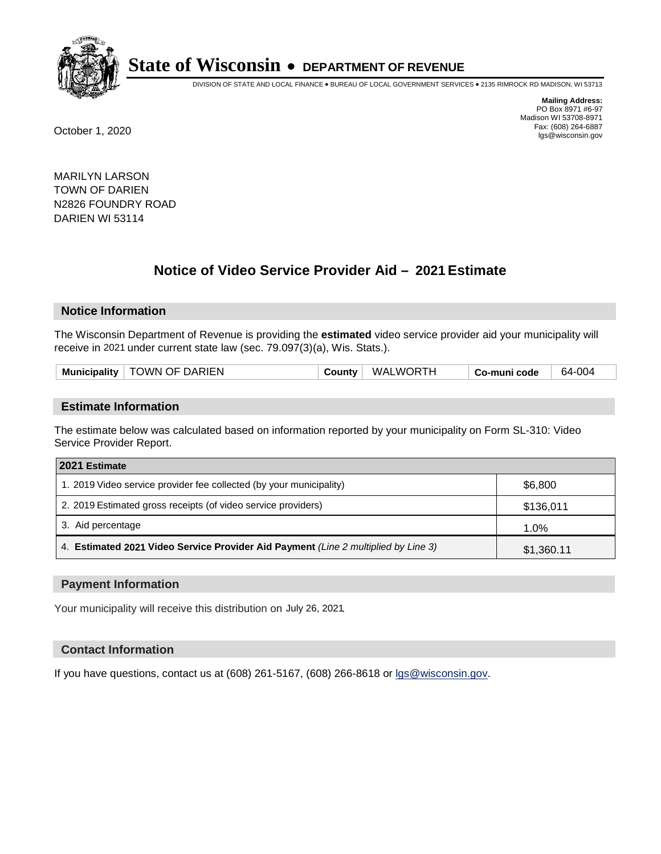

DIVISION OF STATE AND LOCAL FINANCE • BUREAU OF LOCAL GOVERNMENT SERVICES • 2135 RIMROCK RD MADISON, WI 53713

**Mailing Address:** PO Box 8971 #6-97 Madison WI 53708-8971<br>Fax: (608) 264-6887 Fax: (608) 264-6887 October 1, 2020 lgs@wisconsin.gov

MARILYN LARSON TOWN OF DARIEN N2826 FOUNDRY ROAD DARIEN WI 53114

# **Notice of Video Service Provider Aid - 2021 Estimate**

## **Notice Information**

The Wisconsin Department of Revenue is providing the **estimated** video service provider aid your municipality will receive in 2021 under current state law (sec. 79.097(3)(a), Wis. Stats.).

| TOWN OF DARIEN<br><b>WALWORTH</b><br>64-004<br><b>Municipality</b><br>َ ountvٽ<br>Co-muni code |
|------------------------------------------------------------------------------------------------|
|------------------------------------------------------------------------------------------------|

#### **Estimate Information**

The estimate below was calculated based on information reported by your municipality on Form SL-310: Video Service Provider Report.

| 2021 Estimate                                                                      |            |
|------------------------------------------------------------------------------------|------------|
| 1. 2019 Video service provider fee collected (by your municipality)                | \$6.800    |
| 2. 2019 Estimated gross receipts (of video service providers)                      | \$136,011  |
| 3. Aid percentage                                                                  | 1.0%       |
| 4. Estimated 2021 Video Service Provider Aid Payment (Line 2 multiplied by Line 3) | \$1,360.11 |

#### **Payment Information**

Your municipality will receive this distribution on July 26, 2021.

## **Contact Information**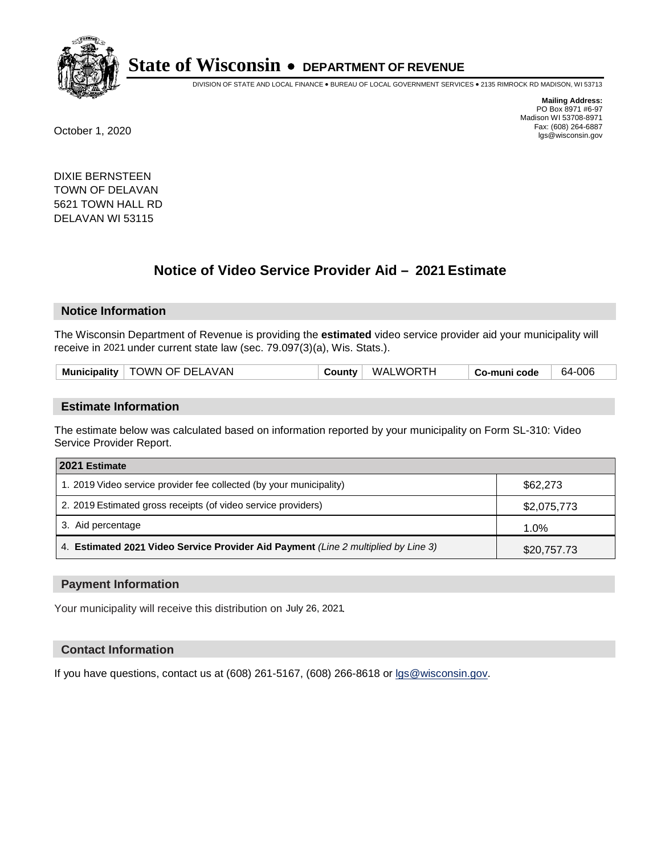

DIVISION OF STATE AND LOCAL FINANCE • BUREAU OF LOCAL GOVERNMENT SERVICES • 2135 RIMROCK RD MADISON, WI 53713

**Mailing Address:** PO Box 8971 #6-97 Madison WI 53708-8971<br>Fax: (608) 264-6887 Fax: (608) 264-6887 October 1, 2020 lgs@wisconsin.gov

DIXIE BERNSTEEN TOWN OF DELAVAN 5621 TOWN HALL RD DELAVAN WI 53115

# **Notice of Video Service Provider Aid - 2021 Estimate**

## **Notice Information**

The Wisconsin Department of Revenue is providing the **estimated** video service provider aid your municipality will receive in 2021 under current state law (sec. 79.097(3)(a), Wis. Stats.).

|  | <b>Municipality</b> | <b>TOWN OF DELAVAN</b> | County | <b>WALWORTH</b> | Co-muni code | -006<br>-64 |
|--|---------------------|------------------------|--------|-----------------|--------------|-------------|
|--|---------------------|------------------------|--------|-----------------|--------------|-------------|

#### **Estimate Information**

The estimate below was calculated based on information reported by your municipality on Form SL-310: Video Service Provider Report.

| 2021 Estimate                                                                      |             |
|------------------------------------------------------------------------------------|-------------|
| 1. 2019 Video service provider fee collected (by your municipality)                | \$62,273    |
| 2. 2019 Estimated gross receipts (of video service providers)                      | \$2,075,773 |
| 3. Aid percentage                                                                  | 1.0%        |
| 4. Estimated 2021 Video Service Provider Aid Payment (Line 2 multiplied by Line 3) | \$20,757.73 |

#### **Payment Information**

Your municipality will receive this distribution on July 26, 2021.

## **Contact Information**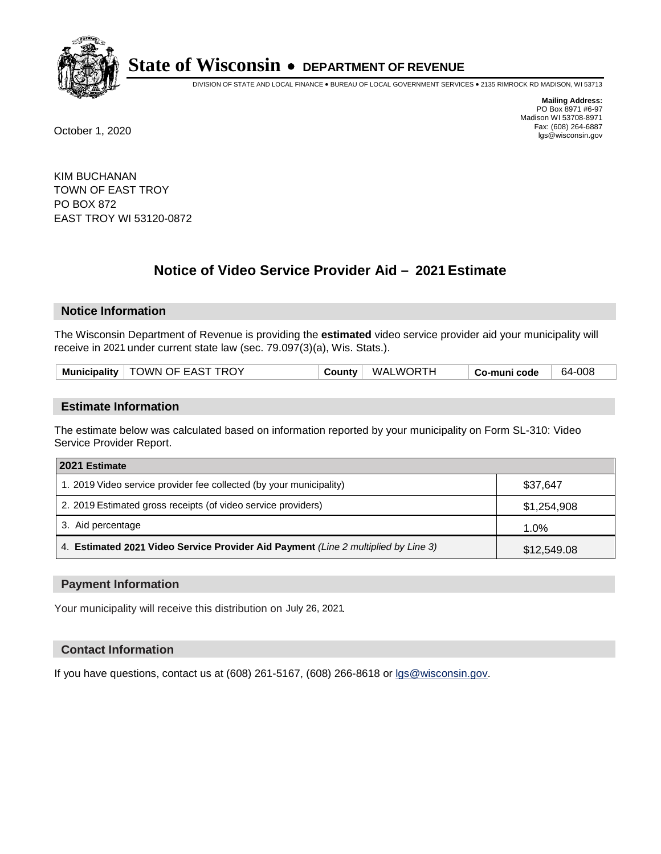

DIVISION OF STATE AND LOCAL FINANCE • BUREAU OF LOCAL GOVERNMENT SERVICES • 2135 RIMROCK RD MADISON, WI 53713

**Mailing Address:** PO Box 8971 #6-97 Madison WI 53708-8971<br>Fax: (608) 264-6887 Fax: (608) 264-6887 October 1, 2020 lgs@wisconsin.gov

KIM BUCHANAN TOWN OF EAST TROY PO BOX 872 EAST TROY WI 53120-0872

# **Notice of Video Service Provider Aid - 2021 Estimate**

## **Notice Information**

The Wisconsin Department of Revenue is providing the **estimated** video service provider aid your municipality will receive in 2021 under current state law (sec. 79.097(3)(a), Wis. Stats.).

| TOWN OF EAST TROY<br><b>Municipality</b> | County | WALWORTH | Co-muni code | -008<br>64- |
|------------------------------------------|--------|----------|--------------|-------------|
|------------------------------------------|--------|----------|--------------|-------------|

#### **Estimate Information**

The estimate below was calculated based on information reported by your municipality on Form SL-310: Video Service Provider Report.

| 2021 Estimate                                                                      |             |
|------------------------------------------------------------------------------------|-------------|
| 1. 2019 Video service provider fee collected (by your municipality)                | \$37.647    |
| 2. 2019 Estimated gross receipts (of video service providers)                      | \$1,254,908 |
| 3. Aid percentage                                                                  | $1.0\%$     |
| 4. Estimated 2021 Video Service Provider Aid Payment (Line 2 multiplied by Line 3) | \$12,549.08 |

#### **Payment Information**

Your municipality will receive this distribution on July 26, 2021.

## **Contact Information**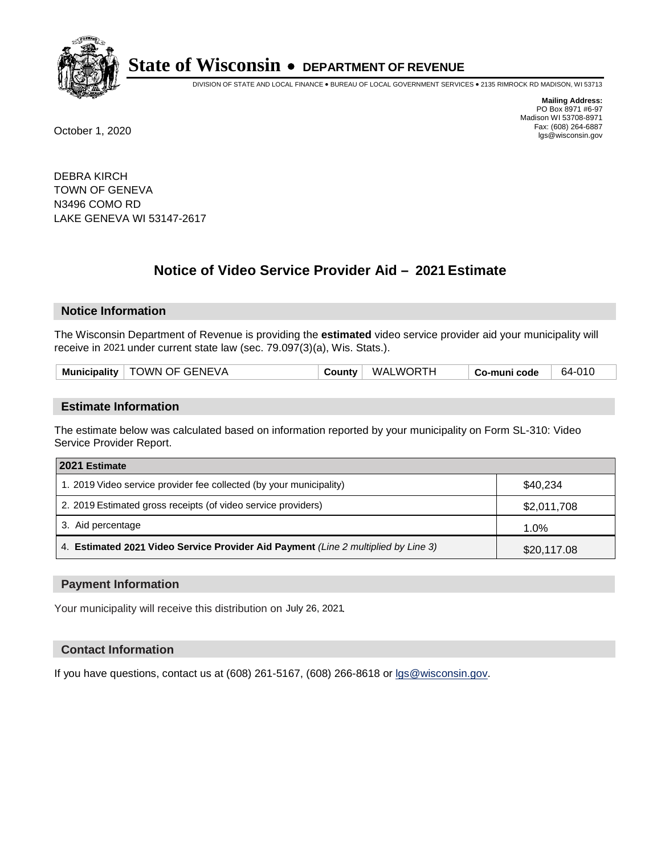

DIVISION OF STATE AND LOCAL FINANCE • BUREAU OF LOCAL GOVERNMENT SERVICES • 2135 RIMROCK RD MADISON, WI 53713

**Mailing Address:** PO Box 8971 #6-97 Madison WI 53708-8971<br>Fax: (608) 264-6887 Fax: (608) 264-6887 October 1, 2020 lgs@wisconsin.gov

DEBRA KIRCH TOWN OF GENEVA N3496 COMO RD LAKE GENEVA WI 53147-2617

# **Notice of Video Service Provider Aid - 2021 Estimate**

## **Notice Information**

The Wisconsin Department of Revenue is providing the **estimated** video service provider aid your municipality will receive in 2021 under current state law (sec. 79.097(3)(a), Wis. Stats.).

#### **Estimate Information**

The estimate below was calculated based on information reported by your municipality on Form SL-310: Video Service Provider Report.

| 2021 Estimate                                                                      |             |
|------------------------------------------------------------------------------------|-------------|
| 1. 2019 Video service provider fee collected (by your municipality)                | \$40.234    |
| 2. 2019 Estimated gross receipts (of video service providers)                      | \$2,011,708 |
| 3. Aid percentage                                                                  | 1.0%        |
| 4. Estimated 2021 Video Service Provider Aid Payment (Line 2 multiplied by Line 3) | \$20,117.08 |

#### **Payment Information**

Your municipality will receive this distribution on July 26, 2021.

## **Contact Information**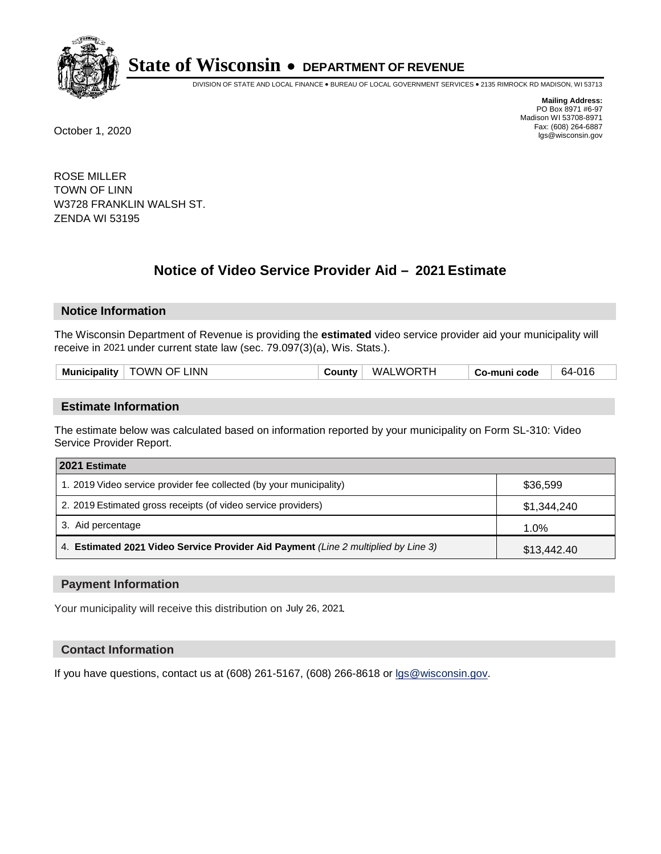

DIVISION OF STATE AND LOCAL FINANCE • BUREAU OF LOCAL GOVERNMENT SERVICES • 2135 RIMROCK RD MADISON, WI 53713

**Mailing Address:** PO Box 8971 #6-97 Madison WI 53708-8971<br>Fax: (608) 264-6887 Fax: (608) 264-6887 October 1, 2020 lgs@wisconsin.gov

ROSE MILLER TOWN OF LINN W3728 FRANKLIN WALSH ST. ZENDA WI 53195

# **Notice of Video Service Provider Aid - 2021 Estimate**

## **Notice Information**

The Wisconsin Department of Revenue is providing the **estimated** video service provider aid your municipality will receive in 2021 under current state law (sec. 79.097(3)(a), Wis. Stats.).

|  | <b>Municipality</b> | <b>TOWN OF LINN</b> | ∵ounty ت | <b>WALWORTH</b> | Co-muni code | 64-016 |
|--|---------------------|---------------------|----------|-----------------|--------------|--------|
|--|---------------------|---------------------|----------|-----------------|--------------|--------|

#### **Estimate Information**

The estimate below was calculated based on information reported by your municipality on Form SL-310: Video Service Provider Report.

| 2021 Estimate                                                                      |             |
|------------------------------------------------------------------------------------|-------------|
| 1. 2019 Video service provider fee collected (by your municipality)                | \$36,599    |
| 2. 2019 Estimated gross receipts (of video service providers)                      | \$1,344,240 |
| 3. Aid percentage                                                                  | 1.0%        |
| 4. Estimated 2021 Video Service Provider Aid Payment (Line 2 multiplied by Line 3) | \$13,442.40 |

#### **Payment Information**

Your municipality will receive this distribution on July 26, 2021.

## **Contact Information**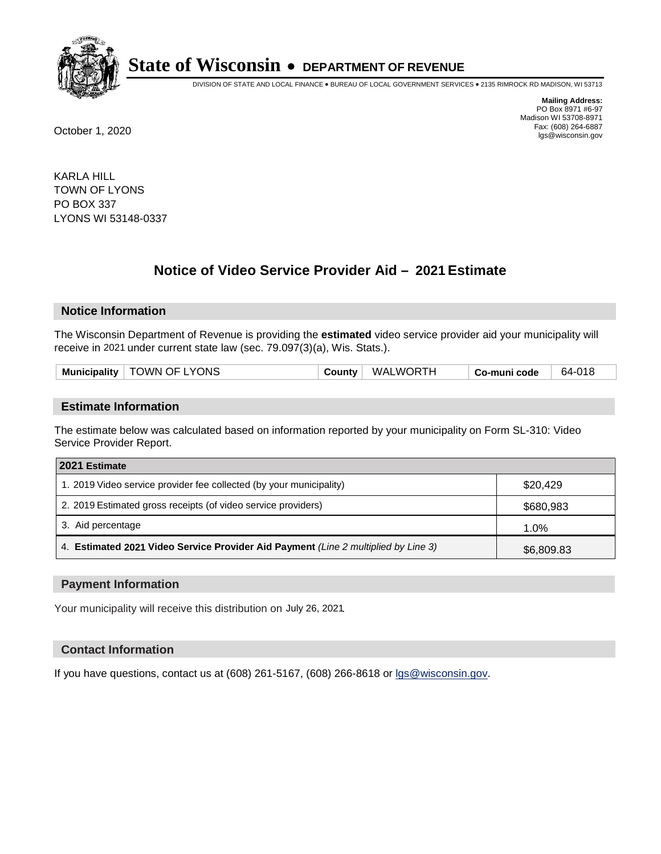

DIVISION OF STATE AND LOCAL FINANCE • BUREAU OF LOCAL GOVERNMENT SERVICES • 2135 RIMROCK RD MADISON, WI 53713

**Mailing Address:** PO Box 8971 #6-97 Madison WI 53708-8971<br>Fax: (608) 264-6887 Fax: (608) 264-6887 October 1, 2020 lgs@wisconsin.gov

KARLA HILL TOWN OF LYONS PO BOX 337 LYONS WI 53148-0337

# **Notice of Video Service Provider Aid - 2021 Estimate**

## **Notice Information**

The Wisconsin Department of Revenue is providing the **estimated** video service provider aid your municipality will receive in 2021 under current state law (sec. 79.097(3)(a), Wis. Stats.).

|--|

#### **Estimate Information**

The estimate below was calculated based on information reported by your municipality on Form SL-310: Video Service Provider Report.

| 2021 Estimate                                                                      |            |
|------------------------------------------------------------------------------------|------------|
| 1. 2019 Video service provider fee collected (by your municipality)                | \$20.429   |
| 2. 2019 Estimated gross receipts (of video service providers)                      | \$680,983  |
| 3. Aid percentage                                                                  | 1.0%       |
| 4. Estimated 2021 Video Service Provider Aid Payment (Line 2 multiplied by Line 3) | \$6,809.83 |

#### **Payment Information**

Your municipality will receive this distribution on July 26, 2021.

## **Contact Information**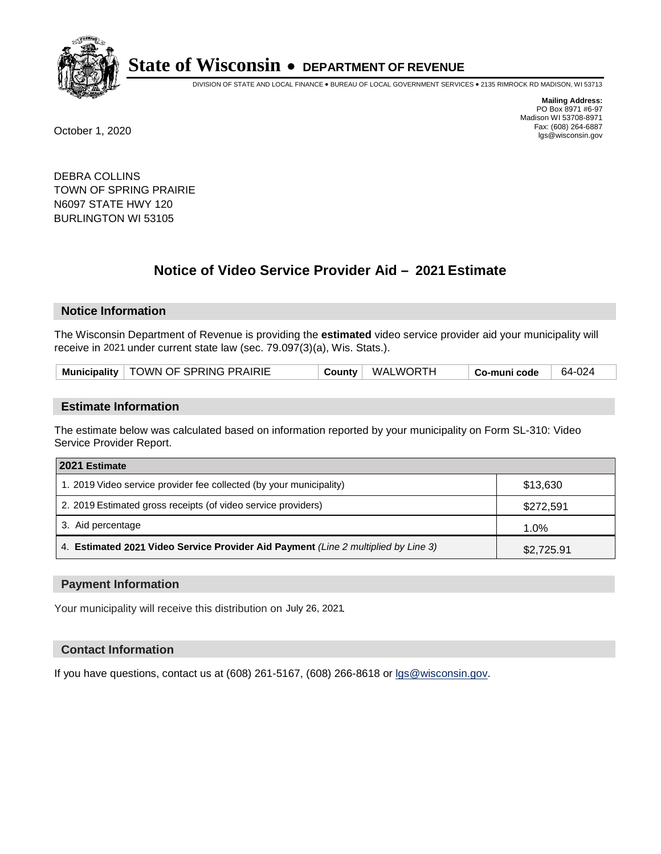

DIVISION OF STATE AND LOCAL FINANCE • BUREAU OF LOCAL GOVERNMENT SERVICES • 2135 RIMROCK RD MADISON, WI 53713

**Mailing Address:** PO Box 8971 #6-97 Madison WI 53708-8971<br>Fax: (608) 264-6887 Fax: (608) 264-6887 October 1, 2020 lgs@wisconsin.gov

DEBRA COLLINS TOWN OF SPRING PRAIRIE N6097 STATE HWY 120 BURLINGTON WI 53105

# **Notice of Video Service Provider Aid - 2021 Estimate**

## **Notice Information**

The Wisconsin Department of Revenue is providing the **estimated** video service provider aid your municipality will receive in 2021 under current state law (sec. 79.097(3)(a), Wis. Stats.).

| Municipality   TOWN OF SPRING PRAIRIE | County | <b>WALWORTH</b> | Co-muni code | 64-024 |
|---------------------------------------|--------|-----------------|--------------|--------|
|---------------------------------------|--------|-----------------|--------------|--------|

#### **Estimate Information**

The estimate below was calculated based on information reported by your municipality on Form SL-310: Video Service Provider Report.

| 2021 Estimate                                                                      |            |
|------------------------------------------------------------------------------------|------------|
| 1. 2019 Video service provider fee collected (by your municipality)                | \$13,630   |
| 2. 2019 Estimated gross receipts (of video service providers)                      | \$272,591  |
| 3. Aid percentage                                                                  | 1.0%       |
| 4. Estimated 2021 Video Service Provider Aid Payment (Line 2 multiplied by Line 3) | \$2,725.91 |

#### **Payment Information**

Your municipality will receive this distribution on July 26, 2021.

## **Contact Information**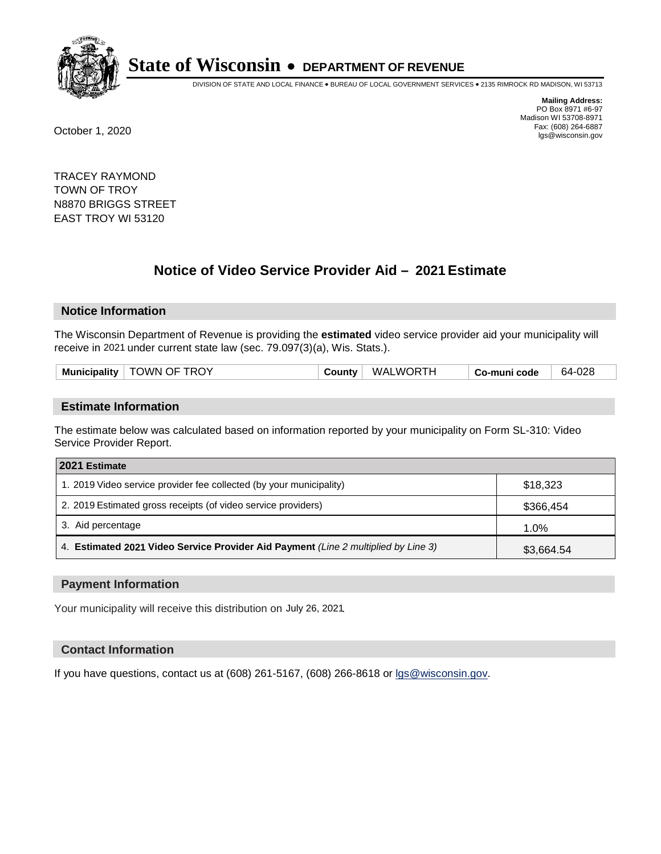

DIVISION OF STATE AND LOCAL FINANCE • BUREAU OF LOCAL GOVERNMENT SERVICES • 2135 RIMROCK RD MADISON, WI 53713

**Mailing Address:** PO Box 8971 #6-97 Madison WI 53708-8971<br>Fax: (608) 264-6887 Fax: (608) 264-6887 October 1, 2020 lgs@wisconsin.gov

TRACEY RAYMOND TOWN OF TROY N8870 BRIGGS STREET EAST TROY WI 53120

# **Notice of Video Service Provider Aid - 2021 Estimate**

## **Notice Information**

The Wisconsin Department of Revenue is providing the **estimated** video service provider aid your municipality will receive in 2021 under current state law (sec. 79.097(3)(a), Wis. Stats.).

| <b>TOWN OF TROY</b><br>WALWORTH<br>64-028<br>Municipality $ $<br>Count∨∵<br>Co-muni code |
|------------------------------------------------------------------------------------------|
|------------------------------------------------------------------------------------------|

#### **Estimate Information**

The estimate below was calculated based on information reported by your municipality on Form SL-310: Video Service Provider Report.

| 2021 Estimate                                                                      |            |
|------------------------------------------------------------------------------------|------------|
| 1. 2019 Video service provider fee collected (by your municipality)                | \$18,323   |
| 2. 2019 Estimated gross receipts (of video service providers)                      | \$366,454  |
| 3. Aid percentage                                                                  | 1.0%       |
| 4. Estimated 2021 Video Service Provider Aid Payment (Line 2 multiplied by Line 3) | \$3,664.54 |

#### **Payment Information**

Your municipality will receive this distribution on July 26, 2021.

## **Contact Information**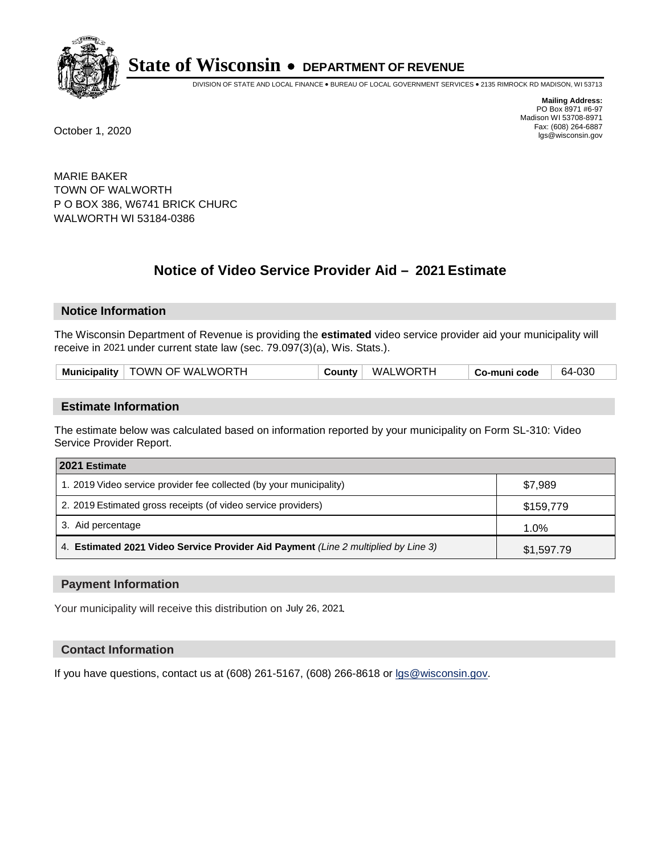

DIVISION OF STATE AND LOCAL FINANCE • BUREAU OF LOCAL GOVERNMENT SERVICES • 2135 RIMROCK RD MADISON, WI 53713

**Mailing Address:** PO Box 8971 #6-97 Madison WI 53708-8971<br>Fax: (608) 264-6887 Fax: (608) 264-6887 October 1, 2020 lgs@wisconsin.gov

MARIE BAKER TOWN OF WALWORTH P O BOX 386, W6741 BRICK CHURC WALWORTH WI 53184-0386

# **Notice of Video Service Provider Aid - 2021 Estimate**

## **Notice Information**

The Wisconsin Department of Revenue is providing the **estimated** video service provider aid your municipality will receive in 2021 under current state law (sec. 79.097(3)(a), Wis. Stats.).

| Municipality   TOWN OF WALWORTH<br>County | <b>WALWORTH</b> | Co-muni code | 64-030 |
|-------------------------------------------|-----------------|--------------|--------|
|-------------------------------------------|-----------------|--------------|--------|

#### **Estimate Information**

The estimate below was calculated based on information reported by your municipality on Form SL-310: Video Service Provider Report.

| 2021 Estimate                                                                      |            |
|------------------------------------------------------------------------------------|------------|
| 1. 2019 Video service provider fee collected (by your municipality)                | \$7.989    |
| 2. 2019 Estimated gross receipts (of video service providers)                      | \$159,779  |
| 3. Aid percentage                                                                  | 1.0%       |
| 4. Estimated 2021 Video Service Provider Aid Payment (Line 2 multiplied by Line 3) | \$1,597.79 |

#### **Payment Information**

Your municipality will receive this distribution on July 26, 2021.

## **Contact Information**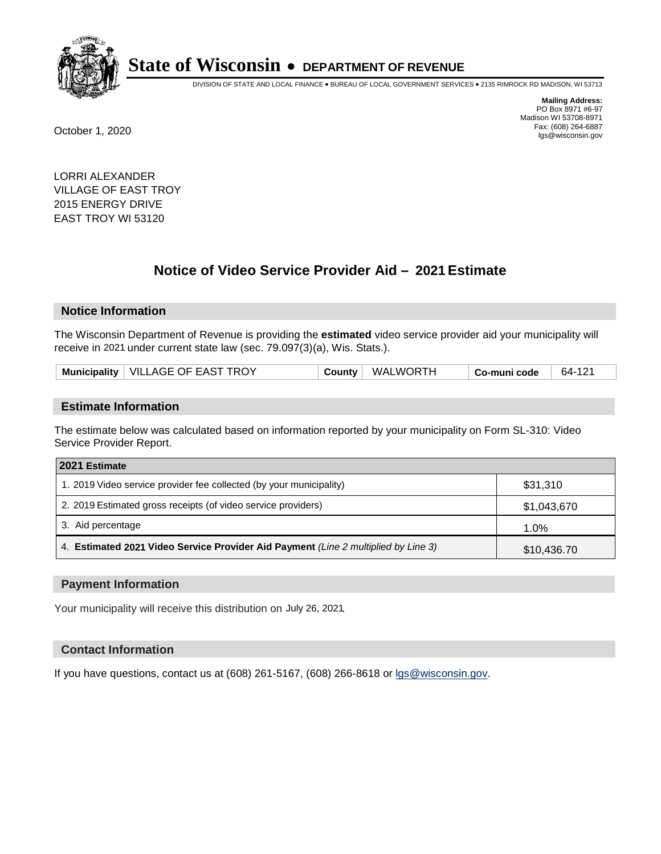

DIVISION OF STATE AND LOCAL FINANCE • BUREAU OF LOCAL GOVERNMENT SERVICES • 2135 RIMROCK RD MADISON, WI 53713

**Mailing Address:** PO Box 8971 #6-97 Madison WI 53708-8971<br>Fax: (608) 264-6887 Fax: (608) 264-6887 October 1, 2020 lgs@wisconsin.gov

LORRI ALEXANDER VILLAGE OF EAST TROY 2015 ENERGY DRIVE EAST TROY WI 53120

# **Notice of Video Service Provider Aid - 2021 Estimate**

## **Notice Information**

The Wisconsin Department of Revenue is providing the **estimated** video service provider aid your municipality will receive in 2021 under current state law (sec. 79.097(3)(a), Wis. Stats.).

| Municipality   VILLAGE OF EAST TROY | Countv | WALWORTH | Co-muni code | 64-121 |
|-------------------------------------|--------|----------|--------------|--------|
|-------------------------------------|--------|----------|--------------|--------|

#### **Estimate Information**

The estimate below was calculated based on information reported by your municipality on Form SL-310: Video Service Provider Report.

| 2021 Estimate                                                                      |             |
|------------------------------------------------------------------------------------|-------------|
| 1. 2019 Video service provider fee collected (by your municipality)                | \$31,310    |
| 2. 2019 Estimated gross receipts (of video service providers)                      | \$1,043,670 |
| 3. Aid percentage                                                                  | 1.0%        |
| 4. Estimated 2021 Video Service Provider Aid Payment (Line 2 multiplied by Line 3) | \$10,436.70 |

#### **Payment Information**

Your municipality will receive this distribution on July 26, 2021.

## **Contact Information**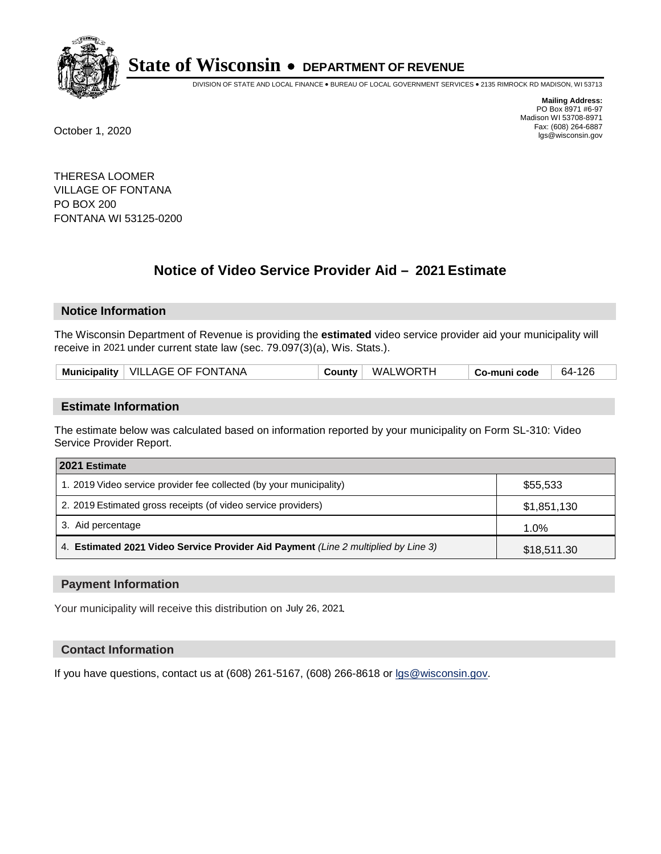

DIVISION OF STATE AND LOCAL FINANCE • BUREAU OF LOCAL GOVERNMENT SERVICES • 2135 RIMROCK RD MADISON, WI 53713

**Mailing Address:** PO Box 8971 #6-97 Madison WI 53708-8971<br>Fax: (608) 264-6887 Fax: (608) 264-6887 October 1, 2020 lgs@wisconsin.gov

THERESA LOOMER VILLAGE OF FONTANA PO BOX 200 FONTANA WI 53125-0200

# **Notice of Video Service Provider Aid - 2021 Estimate**

## **Notice Information**

The Wisconsin Department of Revenue is providing the **estimated** video service provider aid your municipality will receive in 2021 under current state law (sec. 79.097(3)(a), Wis. Stats.).

| Municipality   VILLAGE OF FONTANA | <b>County</b> | WALWORTH | Co-muni code | 64-126 |
|-----------------------------------|---------------|----------|--------------|--------|
|-----------------------------------|---------------|----------|--------------|--------|

#### **Estimate Information**

The estimate below was calculated based on information reported by your municipality on Form SL-310: Video Service Provider Report.

| 2021 Estimate                                                                      |             |
|------------------------------------------------------------------------------------|-------------|
| 1. 2019 Video service provider fee collected (by your municipality)                | \$55,533    |
| 2. 2019 Estimated gross receipts (of video service providers)                      | \$1,851,130 |
| 3. Aid percentage                                                                  | 1.0%        |
| 4. Estimated 2021 Video Service Provider Aid Payment (Line 2 multiplied by Line 3) | \$18,511.30 |

#### **Payment Information**

Your municipality will receive this distribution on July 26, 2021.

## **Contact Information**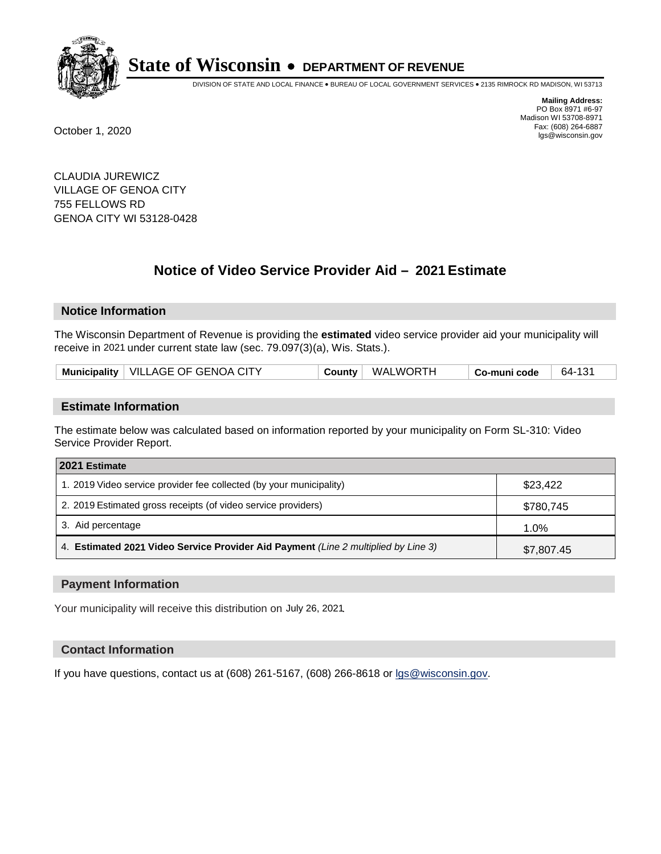

DIVISION OF STATE AND LOCAL FINANCE • BUREAU OF LOCAL GOVERNMENT SERVICES • 2135 RIMROCK RD MADISON, WI 53713

**Mailing Address:** PO Box 8971 #6-97 Madison WI 53708-8971<br>Fax: (608) 264-6887 Fax: (608) 264-6887 October 1, 2020 lgs@wisconsin.gov

CLAUDIA JUREWICZ VILLAGE OF GENOA CITY 755 FELLOWS RD GENOA CITY WI 53128-0428

# **Notice of Video Service Provider Aid - 2021 Estimate**

## **Notice Information**

The Wisconsin Department of Revenue is providing the **estimated** video service provider aid your municipality will receive in 2021 under current state law (sec. 79.097(3)(a), Wis. Stats.).

| Municipality   VILLAGE OF GENOA CITY | WALWORTH<br>Countv | Co-muni code | 64-131 |
|--------------------------------------|--------------------|--------------|--------|
|--------------------------------------|--------------------|--------------|--------|

#### **Estimate Information**

The estimate below was calculated based on information reported by your municipality on Form SL-310: Video Service Provider Report.

| 2021 Estimate                                                                      |            |
|------------------------------------------------------------------------------------|------------|
| 1. 2019 Video service provider fee collected (by your municipality)                | \$23,422   |
| 2. 2019 Estimated gross receipts (of video service providers)                      | \$780,745  |
| 3. Aid percentage                                                                  | 1.0%       |
| 4. Estimated 2021 Video Service Provider Aid Payment (Line 2 multiplied by Line 3) | \$7,807.45 |

#### **Payment Information**

Your municipality will receive this distribution on July 26, 2021.

## **Contact Information**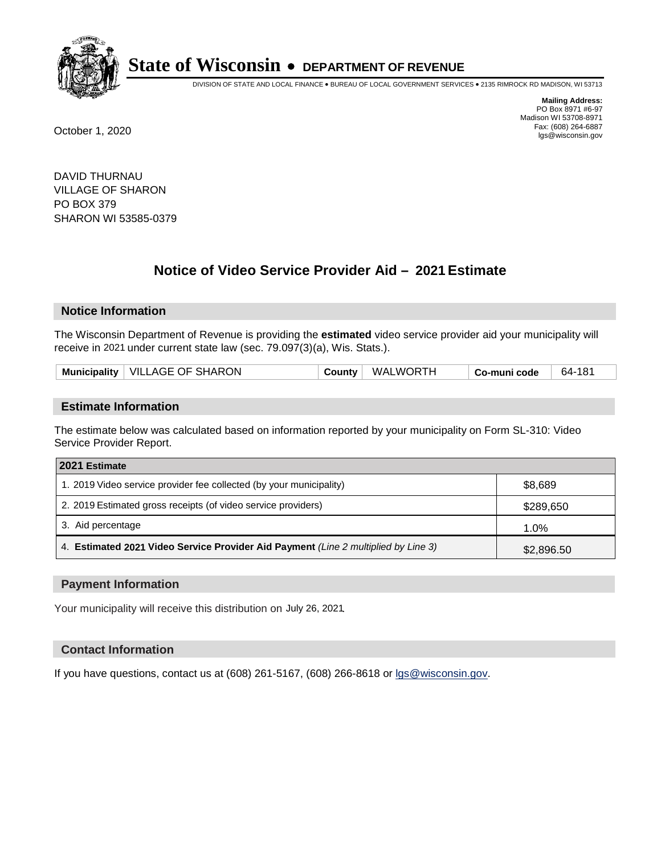

DIVISION OF STATE AND LOCAL FINANCE • BUREAU OF LOCAL GOVERNMENT SERVICES • 2135 RIMROCK RD MADISON, WI 53713

**Mailing Address:** PO Box 8971 #6-97 Madison WI 53708-8971<br>Fax: (608) 264-6887 Fax: (608) 264-6887 October 1, 2020 lgs@wisconsin.gov

DAVID THURNAU VILLAGE OF SHARON PO BOX 379 SHARON WI 53585-0379

# **Notice of Video Service Provider Aid - 2021 Estimate**

## **Notice Information**

The Wisconsin Department of Revenue is providing the **estimated** video service provider aid your municipality will receive in 2021 under current state law (sec. 79.097(3)(a), Wis. Stats.).

| Municipality   VILLAGE OF SHARON<br>WALWORTH<br>64-181<br>County<br>Co-muni code |  |
|----------------------------------------------------------------------------------|--|
|----------------------------------------------------------------------------------|--|

#### **Estimate Information**

The estimate below was calculated based on information reported by your municipality on Form SL-310: Video Service Provider Report.

| 2021 Estimate                                                                      |            |
|------------------------------------------------------------------------------------|------------|
| 1. 2019 Video service provider fee collected (by your municipality)                | \$8,689    |
| 2. 2019 Estimated gross receipts (of video service providers)                      | \$289,650  |
| 3. Aid percentage                                                                  | 1.0%       |
| 4. Estimated 2021 Video Service Provider Aid Payment (Line 2 multiplied by Line 3) | \$2,896.50 |

#### **Payment Information**

Your municipality will receive this distribution on July 26, 2021.

## **Contact Information**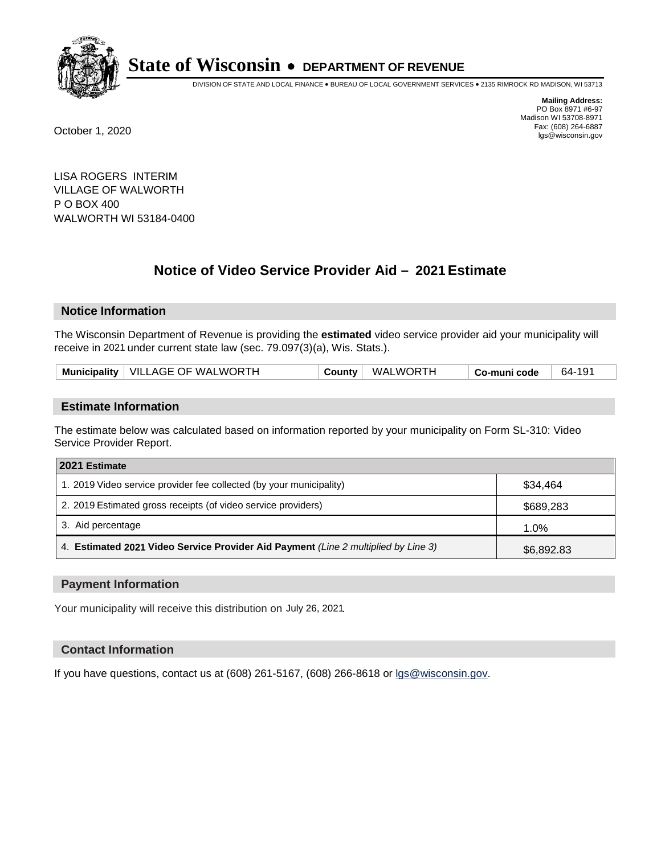

DIVISION OF STATE AND LOCAL FINANCE • BUREAU OF LOCAL GOVERNMENT SERVICES • 2135 RIMROCK RD MADISON, WI 53713

**Mailing Address:** PO Box 8971 #6-97 Madison WI 53708-8971<br>Fax: (608) 264-6887 Fax: (608) 264-6887 October 1, 2020 lgs@wisconsin.gov

LISA ROGERS INTERIM VILLAGE OF WALWORTH P O BOX 400 WALWORTH WI 53184-0400

# **Notice of Video Service Provider Aid - 2021 Estimate**

## **Notice Information**

The Wisconsin Department of Revenue is providing the **estimated** video service provider aid your municipality will receive in 2021 under current state law (sec. 79.097(3)(a), Wis. Stats.).

| Municipality   VILLAGE OF WALWORTH | WALWORTH<br>County | Co-muni code | 64-191 |
|------------------------------------|--------------------|--------------|--------|
|------------------------------------|--------------------|--------------|--------|

#### **Estimate Information**

The estimate below was calculated based on information reported by your municipality on Form SL-310: Video Service Provider Report.

| 2021 Estimate                                                                      |            |
|------------------------------------------------------------------------------------|------------|
| 1. 2019 Video service provider fee collected (by your municipality)                | \$34,464   |
| 2. 2019 Estimated gross receipts (of video service providers)                      | \$689,283  |
| 3. Aid percentage                                                                  | 1.0%       |
| 4. Estimated 2021 Video Service Provider Aid Payment (Line 2 multiplied by Line 3) | \$6,892.83 |

#### **Payment Information**

Your municipality will receive this distribution on July 26, 2021.

## **Contact Information**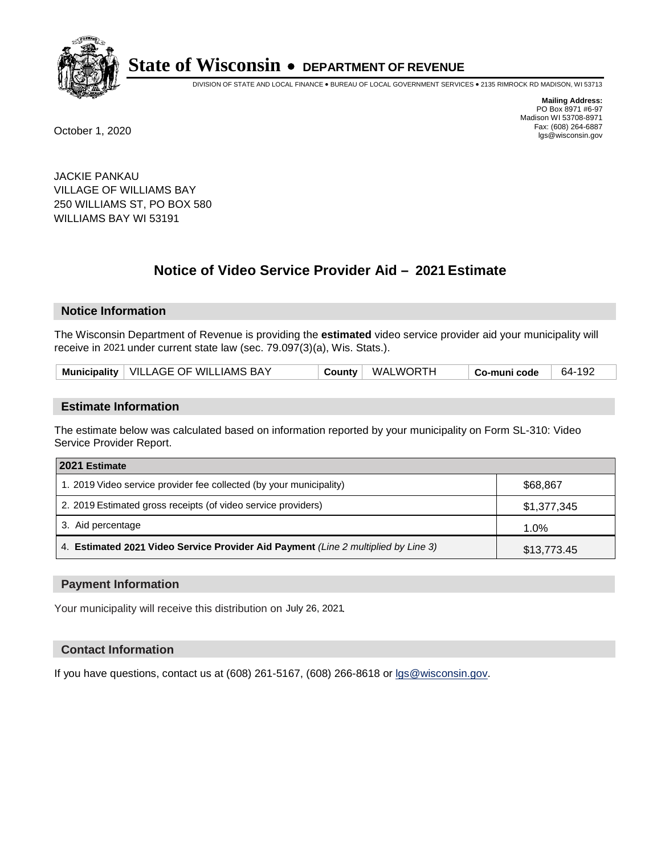

DIVISION OF STATE AND LOCAL FINANCE • BUREAU OF LOCAL GOVERNMENT SERVICES • 2135 RIMROCK RD MADISON, WI 53713

**Mailing Address:** PO Box 8971 #6-97 Madison WI 53708-8971<br>Fax: (608) 264-6887 Fax: (608) 264-6887 October 1, 2020 lgs@wisconsin.gov

JACKIE PANKAU VILLAGE OF WILLIAMS BAY 250 WILLIAMS ST, PO BOX 580 WILLIAMS BAY WI 53191

# **Notice of Video Service Provider Aid - 2021 Estimate**

## **Notice Information**

The Wisconsin Department of Revenue is providing the **estimated** video service provider aid your municipality will receive in 2021 under current state law (sec. 79.097(3)(a), Wis. Stats.).

| Municipality   VILLAGE OF WILLIAMS BAY |  | County   WALWORTH | <sup>∣</sup> Co-muni code | 64-192 |
|----------------------------------------|--|-------------------|---------------------------|--------|
|----------------------------------------|--|-------------------|---------------------------|--------|

#### **Estimate Information**

The estimate below was calculated based on information reported by your municipality on Form SL-310: Video Service Provider Report.

| 2021 Estimate                                                                      |             |
|------------------------------------------------------------------------------------|-------------|
| 1. 2019 Video service provider fee collected (by your municipality)                | \$68,867    |
| 2. 2019 Estimated gross receipts (of video service providers)                      | \$1,377,345 |
| 3. Aid percentage                                                                  | 1.0%        |
| 4. Estimated 2021 Video Service Provider Aid Payment (Line 2 multiplied by Line 3) | \$13,773.45 |

#### **Payment Information**

Your municipality will receive this distribution on July 26, 2021.

## **Contact Information**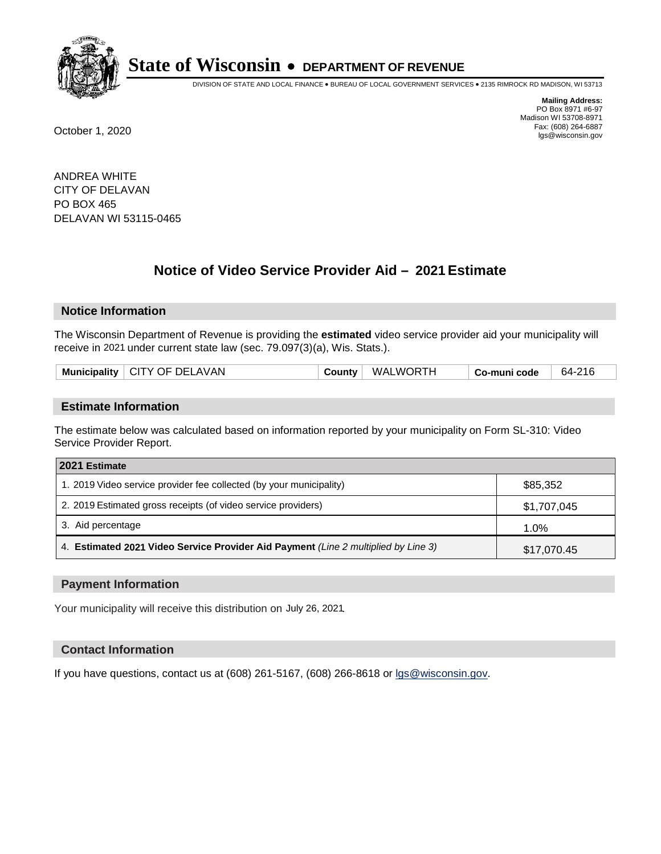

DIVISION OF STATE AND LOCAL FINANCE • BUREAU OF LOCAL GOVERNMENT SERVICES • 2135 RIMROCK RD MADISON, WI 53713

**Mailing Address:** PO Box 8971 #6-97 Madison WI 53708-8971<br>Fax: (608) 264-6887 Fax: (608) 264-6887 October 1, 2020 lgs@wisconsin.gov

ANDREA WHITE CITY OF DELAVAN PO BOX 465 DELAVAN WI 53115-0465

# **Notice of Video Service Provider Aid - 2021 Estimate**

## **Notice Information**

The Wisconsin Department of Revenue is providing the **estimated** video service provider aid your municipality will receive in 2021 under current state law (sec. 79.097(3)(a), Wis. Stats.).

| Municipality   CITY OF DELAVAN | ∵ountvٽ | <b>WALWORTH</b> | Co-muni code | 64-216 |
|--------------------------------|---------|-----------------|--------------|--------|
|                                |         |                 |              |        |

#### **Estimate Information**

The estimate below was calculated based on information reported by your municipality on Form SL-310: Video Service Provider Report.

| 2021 Estimate                                                                      |             |
|------------------------------------------------------------------------------------|-------------|
| 1. 2019 Video service provider fee collected (by your municipality)                | \$85,352    |
| 2. 2019 Estimated gross receipts (of video service providers)                      | \$1,707,045 |
| 3. Aid percentage                                                                  | 1.0%        |
| 4. Estimated 2021 Video Service Provider Aid Payment (Line 2 multiplied by Line 3) | \$17,070.45 |

#### **Payment Information**

Your municipality will receive this distribution on July 26, 2021.

## **Contact Information**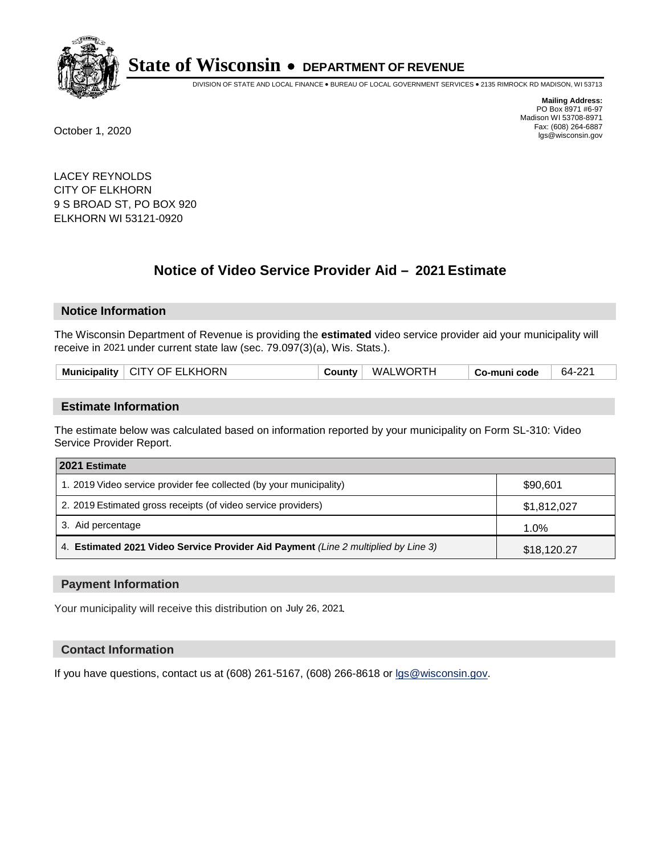

DIVISION OF STATE AND LOCAL FINANCE • BUREAU OF LOCAL GOVERNMENT SERVICES • 2135 RIMROCK RD MADISON, WI 53713

**Mailing Address:** PO Box 8971 #6-97 Madison WI 53708-8971<br>Fax: (608) 264-6887 Fax: (608) 264-6887 October 1, 2020 lgs@wisconsin.gov

LACEY REYNOLDS CITY OF ELKHORN 9 S BROAD ST, PO BOX 920 ELKHORN WI 53121-0920

# **Notice of Video Service Provider Aid - 2021 Estimate**

## **Notice Information**

The Wisconsin Department of Revenue is providing the **estimated** video service provider aid your municipality will receive in 2021 under current state law (sec. 79.097(3)(a), Wis. Stats.).

|--|

#### **Estimate Information**

The estimate below was calculated based on information reported by your municipality on Form SL-310: Video Service Provider Report.

| 2021 Estimate                                                                      |             |
|------------------------------------------------------------------------------------|-------------|
| 1. 2019 Video service provider fee collected (by your municipality)                | \$90,601    |
| 2. 2019 Estimated gross receipts (of video service providers)                      | \$1,812,027 |
| 3. Aid percentage                                                                  | 1.0%        |
| 4. Estimated 2021 Video Service Provider Aid Payment (Line 2 multiplied by Line 3) | \$18,120.27 |

#### **Payment Information**

Your municipality will receive this distribution on July 26, 2021.

## **Contact Information**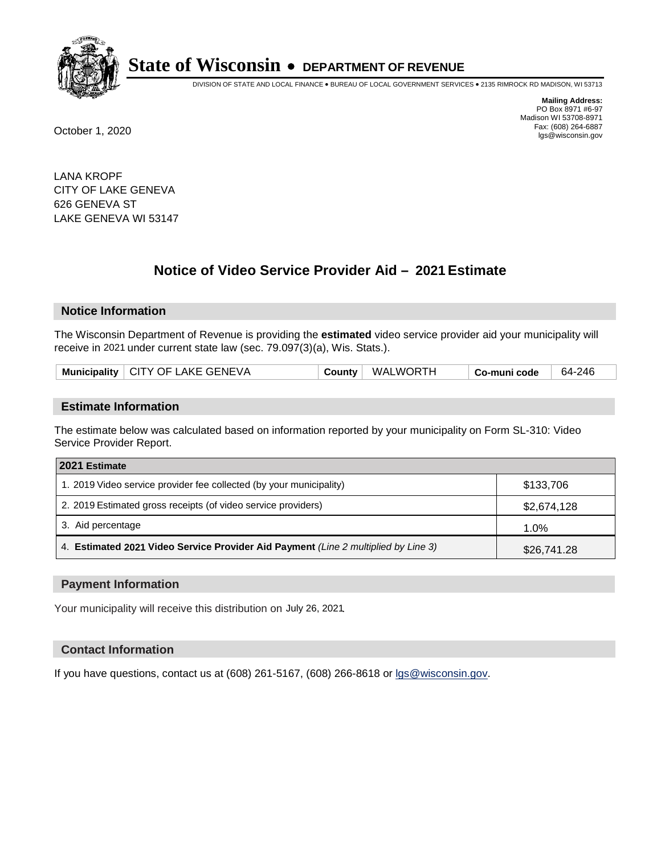

DIVISION OF STATE AND LOCAL FINANCE • BUREAU OF LOCAL GOVERNMENT SERVICES • 2135 RIMROCK RD MADISON, WI 53713

**Mailing Address:** PO Box 8971 #6-97 Madison WI 53708-8971<br>Fax: (608) 264-6887 Fax: (608) 264-6887 October 1, 2020 lgs@wisconsin.gov

LANA KROPF CITY OF LAKE GENEVA 626 GENEVA ST LAKE GENEVA WI 53147

# **Notice of Video Service Provider Aid - 2021 Estimate**

## **Notice Information**

The Wisconsin Department of Revenue is providing the **estimated** video service provider aid your municipality will receive in 2021 under current state law (sec. 79.097(3)(a), Wis. Stats.).

| Municipality   CITY OF LAKE GENEVA | County | <b>WALWORTH</b> | Co-muni code | 64-246 |
|------------------------------------|--------|-----------------|--------------|--------|
|------------------------------------|--------|-----------------|--------------|--------|

#### **Estimate Information**

The estimate below was calculated based on information reported by your municipality on Form SL-310: Video Service Provider Report.

| 2021 Estimate                                                                      |             |
|------------------------------------------------------------------------------------|-------------|
| 1. 2019 Video service provider fee collected (by your municipality)                | \$133,706   |
| 2. 2019 Estimated gross receipts (of video service providers)                      | \$2,674,128 |
| 3. Aid percentage                                                                  | 1.0%        |
| 4. Estimated 2021 Video Service Provider Aid Payment (Line 2 multiplied by Line 3) | \$26,741.28 |

#### **Payment Information**

Your municipality will receive this distribution on July 26, 2021.

## **Contact Information**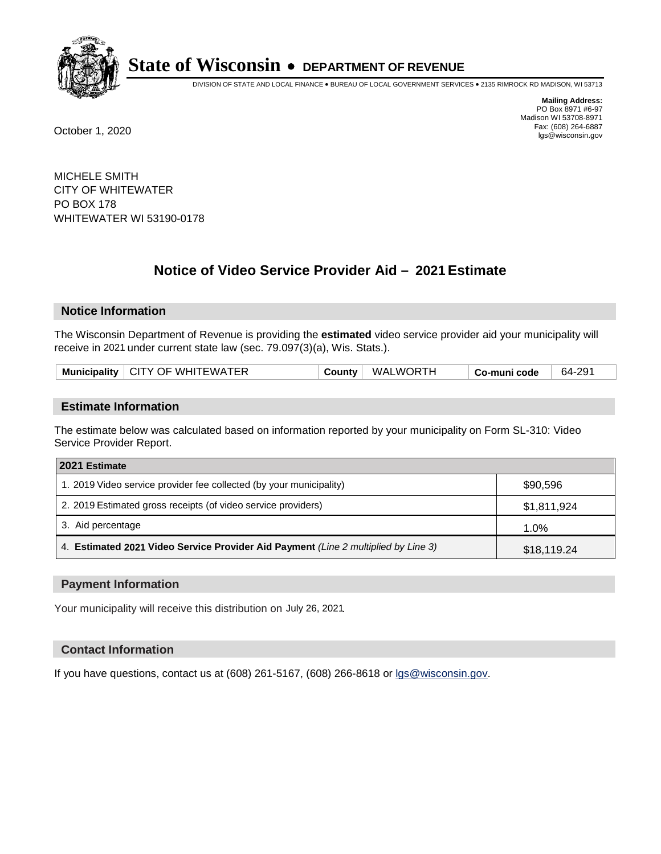

DIVISION OF STATE AND LOCAL FINANCE • BUREAU OF LOCAL GOVERNMENT SERVICES • 2135 RIMROCK RD MADISON, WI 53713

**Mailing Address:** PO Box 8971 #6-97 Madison WI 53708-8971<br>Fax: (608) 264-6887 Fax: (608) 264-6887 October 1, 2020 lgs@wisconsin.gov

MICHELE SMITH CITY OF WHITEWATER PO BOX 178 WHITEWATER WI 53190-0178

# **Notice of Video Service Provider Aid - 2021 Estimate**

## **Notice Information**

The Wisconsin Department of Revenue is providing the **estimated** video service provider aid your municipality will receive in 2021 under current state law (sec. 79.097(3)(a), Wis. Stats.).

| Municipality   CITY OF WHITEWATER<br><b>WALWORTH</b><br>64-291<br>∵ountvٽ<br>Co-muni code |  |
|-------------------------------------------------------------------------------------------|--|
|-------------------------------------------------------------------------------------------|--|

#### **Estimate Information**

The estimate below was calculated based on information reported by your municipality on Form SL-310: Video Service Provider Report.

| 2021 Estimate                                                                      |             |
|------------------------------------------------------------------------------------|-------------|
| 1. 2019 Video service provider fee collected (by your municipality)                | \$90,596    |
| 2. 2019 Estimated gross receipts (of video service providers)                      | \$1,811,924 |
| 3. Aid percentage                                                                  | 1.0%        |
| 4. Estimated 2021 Video Service Provider Aid Payment (Line 2 multiplied by Line 3) | \$18,119.24 |

#### **Payment Information**

Your municipality will receive this distribution on July 26, 2021.

## **Contact Information**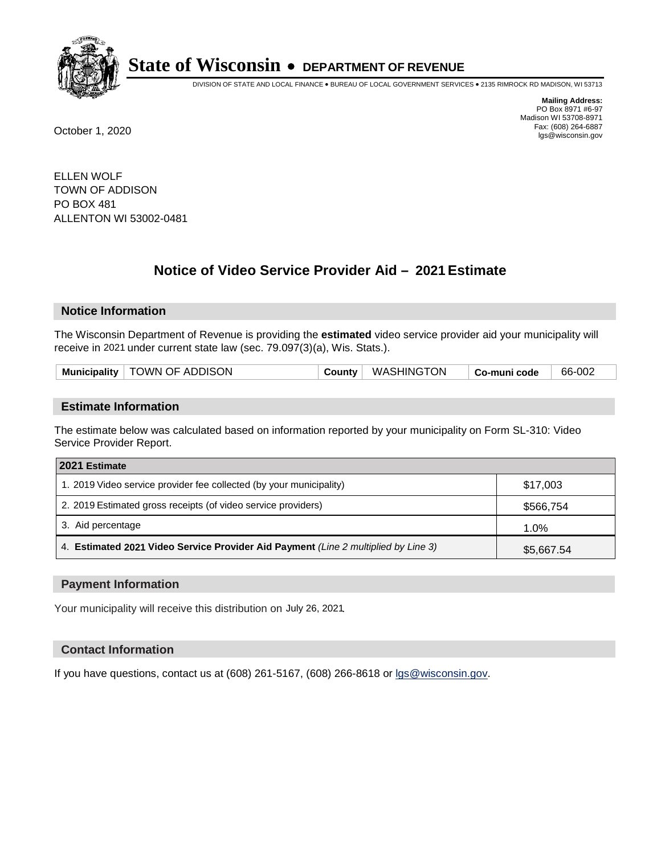

DIVISION OF STATE AND LOCAL FINANCE • BUREAU OF LOCAL GOVERNMENT SERVICES • 2135 RIMROCK RD MADISON, WI 53713

**Mailing Address:** PO Box 8971 #6-97 Madison WI 53708-8971<br>Fax: (608) 264-6887 Fax: (608) 264-6887 October 1, 2020 lgs@wisconsin.gov

ELLEN WOLF TOWN OF ADDISON PO BOX 481 ALLENTON WI 53002-0481

# **Notice of Video Service Provider Aid - 2021 Estimate**

## **Notice Information**

The Wisconsin Department of Revenue is providing the **estimated** video service provider aid your municipality will receive in 2021 under current state law (sec. 79.097(3)(a), Wis. Stats.).

| Municipality   TOWN OF ADDISON | County   WASHINGTON | <sup>⊦</sup> Co-muni code | 66-002 |
|--------------------------------|---------------------|---------------------------|--------|
|                                |                     |                           |        |

#### **Estimate Information**

The estimate below was calculated based on information reported by your municipality on Form SL-310: Video Service Provider Report.

| 2021 Estimate                                                                      |            |
|------------------------------------------------------------------------------------|------------|
| 1. 2019 Video service provider fee collected (by your municipality)                | \$17,003   |
| 2. 2019 Estimated gross receipts (of video service providers)                      | \$566,754  |
| 3. Aid percentage                                                                  | 1.0%       |
| 4. Estimated 2021 Video Service Provider Aid Payment (Line 2 multiplied by Line 3) | \$5,667.54 |

#### **Payment Information**

Your municipality will receive this distribution on July 26, 2021.

## **Contact Information**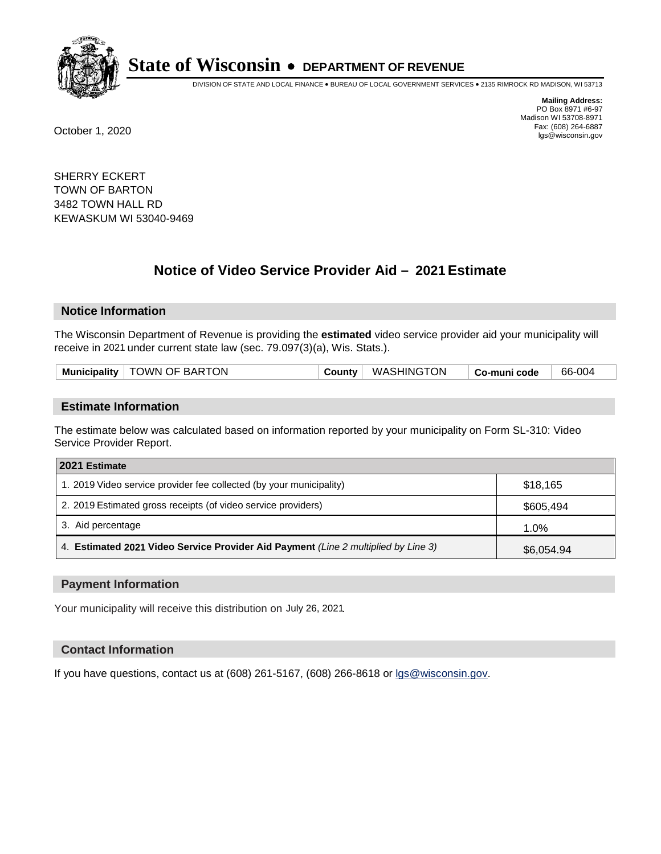

DIVISION OF STATE AND LOCAL FINANCE • BUREAU OF LOCAL GOVERNMENT SERVICES • 2135 RIMROCK RD MADISON, WI 53713

**Mailing Address:** PO Box 8971 #6-97 Madison WI 53708-8971<br>Fax: (608) 264-6887 Fax: (608) 264-6887 October 1, 2020 lgs@wisconsin.gov

SHERRY ECKERT TOWN OF BARTON 3482 TOWN HALL RD KEWASKUM WI 53040-9469

# **Notice of Video Service Provider Aid - 2021 Estimate**

## **Notice Information**

The Wisconsin Department of Revenue is providing the **estimated** video service provider aid your municipality will receive in 2021 under current state law (sec. 79.097(3)(a), Wis. Stats.).

| Municipality   TOWN OF BARTON |
|-------------------------------|
|-------------------------------|

#### **Estimate Information**

The estimate below was calculated based on information reported by your municipality on Form SL-310: Video Service Provider Report.

| 2021 Estimate                                                                      |            |
|------------------------------------------------------------------------------------|------------|
| 1. 2019 Video service provider fee collected (by your municipality)                | \$18,165   |
| 2. 2019 Estimated gross receipts (of video service providers)                      | \$605,494  |
| 3. Aid percentage                                                                  | 1.0%       |
| 4. Estimated 2021 Video Service Provider Aid Payment (Line 2 multiplied by Line 3) | \$6,054.94 |

#### **Payment Information**

Your municipality will receive this distribution on July 26, 2021.

## **Contact Information**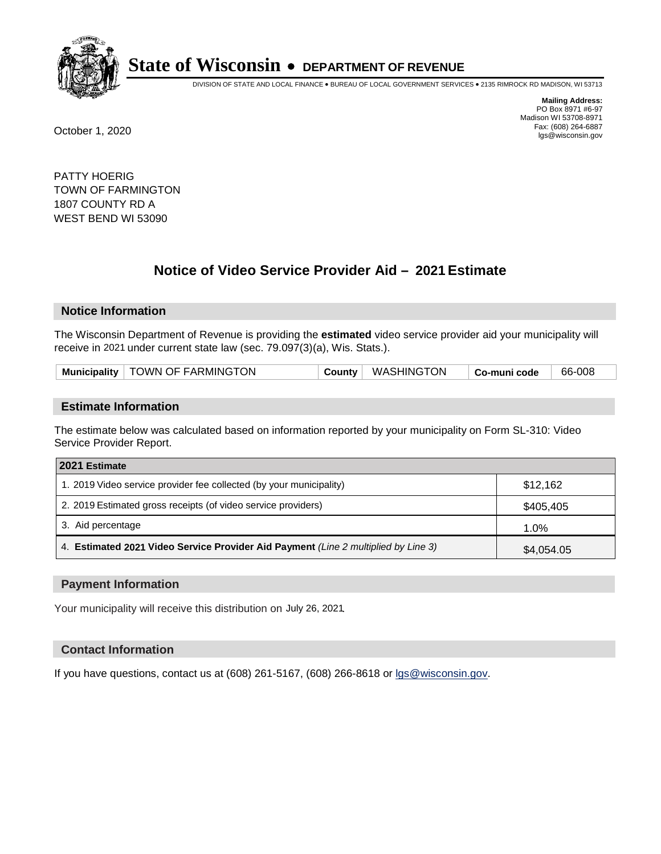

DIVISION OF STATE AND LOCAL FINANCE • BUREAU OF LOCAL GOVERNMENT SERVICES • 2135 RIMROCK RD MADISON, WI 53713

**Mailing Address:** PO Box 8971 #6-97 Madison WI 53708-8971<br>Fax: (608) 264-6887 Fax: (608) 264-6887 October 1, 2020 lgs@wisconsin.gov

PATTY HOERIG TOWN OF FARMINGTON 1807 COUNTY RD A WEST BEND WI 53090

# **Notice of Video Service Provider Aid - 2021 Estimate**

# **Notice Information**

The Wisconsin Department of Revenue is providing the **estimated** video service provider aid your municipality will receive in 2021 under current state law (sec. 79.097(3)(a), Wis. Stats.).

| Municipality   TOWN OF FARMINGTON | County | <b>WASHINGTON</b> | Co-muni code | 66-008 |  |
|-----------------------------------|--------|-------------------|--------------|--------|--|
|-----------------------------------|--------|-------------------|--------------|--------|--|

#### **Estimate Information**

The estimate below was calculated based on information reported by your municipality on Form SL-310: Video Service Provider Report.

| 2021 Estimate                                                                      |            |
|------------------------------------------------------------------------------------|------------|
| 1. 2019 Video service provider fee collected (by your municipality)                | \$12,162   |
| 2. 2019 Estimated gross receipts (of video service providers)                      | \$405,405  |
| 3. Aid percentage                                                                  | 1.0%       |
| 4. Estimated 2021 Video Service Provider Aid Payment (Line 2 multiplied by Line 3) | \$4,054.05 |

#### **Payment Information**

Your municipality will receive this distribution on July 26, 2021.

## **Contact Information**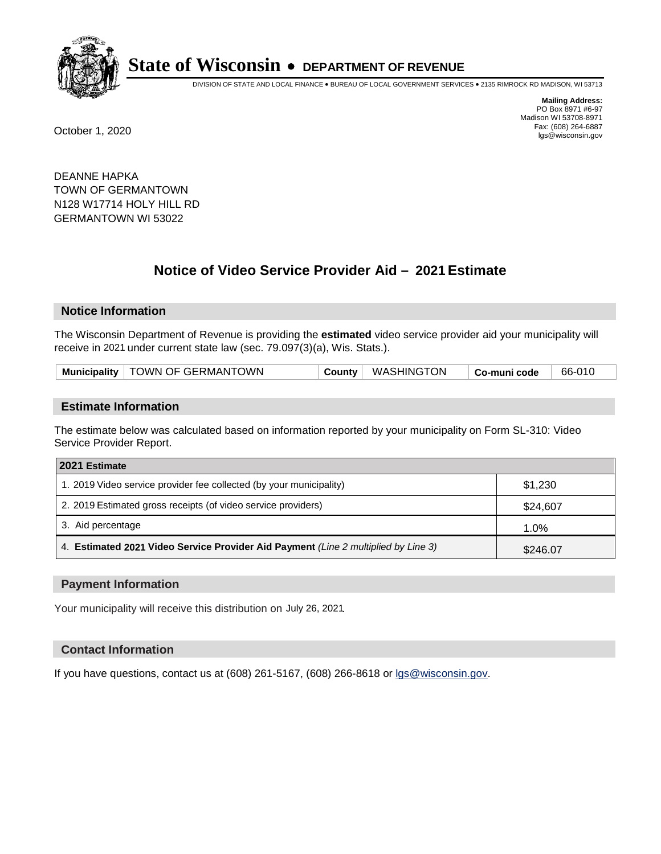

DIVISION OF STATE AND LOCAL FINANCE • BUREAU OF LOCAL GOVERNMENT SERVICES • 2135 RIMROCK RD MADISON, WI 53713

**Mailing Address:** PO Box 8971 #6-97 Madison WI 53708-8971<br>Fax: (608) 264-6887 Fax: (608) 264-6887 October 1, 2020 lgs@wisconsin.gov

DEANNE HAPKA TOWN OF GERMANTOWN N128 W17714 HOLY HILL RD GERMANTOWN WI 53022

# **Notice of Video Service Provider Aid - 2021 Estimate**

## **Notice Information**

The Wisconsin Department of Revenue is providing the **estimated** video service provider aid your municipality will receive in 2021 under current state law (sec. 79.097(3)(a), Wis. Stats.).

| Municipality   TOWN OF GERMANTOWN | County | WASHINGTON | $\mid$ Co-muni code | 66-010 |  |
|-----------------------------------|--------|------------|---------------------|--------|--|
|-----------------------------------|--------|------------|---------------------|--------|--|

#### **Estimate Information**

The estimate below was calculated based on information reported by your municipality on Form SL-310: Video Service Provider Report.

| 2021 Estimate                                                                      |          |  |  |  |
|------------------------------------------------------------------------------------|----------|--|--|--|
| 1. 2019 Video service provider fee collected (by your municipality)                | \$1,230  |  |  |  |
| 2. 2019 Estimated gross receipts (of video service providers)                      | \$24,607 |  |  |  |
| 3. Aid percentage                                                                  | 1.0%     |  |  |  |
| 4. Estimated 2021 Video Service Provider Aid Payment (Line 2 multiplied by Line 3) | \$246.07 |  |  |  |

#### **Payment Information**

Your municipality will receive this distribution on July 26, 2021.

## **Contact Information**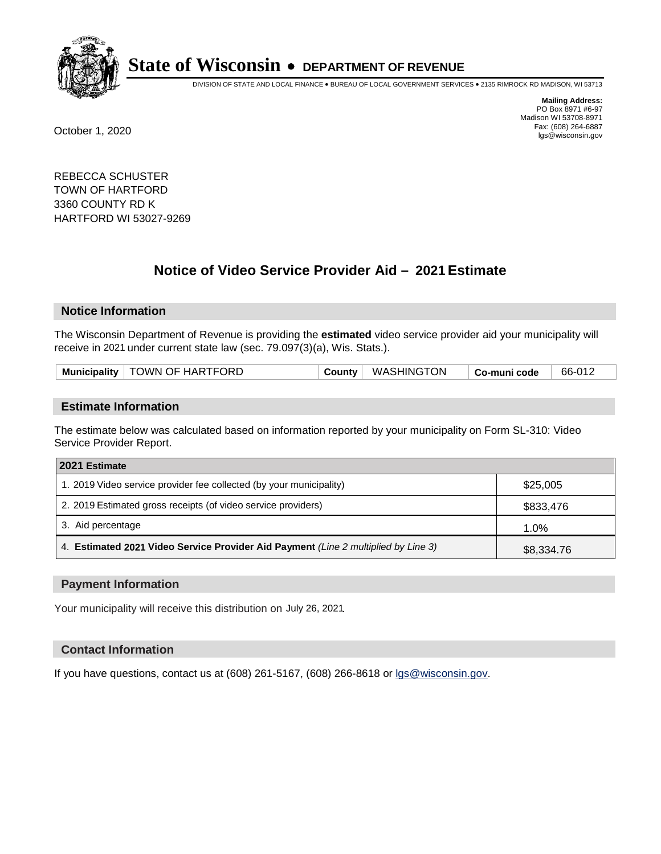

DIVISION OF STATE AND LOCAL FINANCE • BUREAU OF LOCAL GOVERNMENT SERVICES • 2135 RIMROCK RD MADISON, WI 53713

**Mailing Address:** PO Box 8971 #6-97 Madison WI 53708-8971<br>Fax: (608) 264-6887 Fax: (608) 264-6887 October 1, 2020 lgs@wisconsin.gov

REBECCA SCHUSTER TOWN OF HARTFORD 3360 COUNTY RD K HARTFORD WI 53027-9269

# **Notice of Video Service Provider Aid - 2021 Estimate**

## **Notice Information**

The Wisconsin Department of Revenue is providing the **estimated** video service provider aid your municipality will receive in 2021 under current state law (sec. 79.097(3)(a), Wis. Stats.).

| Municipality   TOWN OF HARTFORD | WASHINGTON <b>WASHING</b><br>County | 66-012<br>$\mid$ Co-muni code |
|---------------------------------|-------------------------------------|-------------------------------|
|---------------------------------|-------------------------------------|-------------------------------|

#### **Estimate Information**

The estimate below was calculated based on information reported by your municipality on Form SL-310: Video Service Provider Report.

| 2021 Estimate                                                                      |            |
|------------------------------------------------------------------------------------|------------|
| 1. 2019 Video service provider fee collected (by your municipality)                | \$25,005   |
| 2. 2019 Estimated gross receipts (of video service providers)                      | \$833,476  |
| 3. Aid percentage                                                                  | 1.0%       |
| 4. Estimated 2021 Video Service Provider Aid Payment (Line 2 multiplied by Line 3) | \$8,334.76 |

#### **Payment Information**

Your municipality will receive this distribution on July 26, 2021.

## **Contact Information**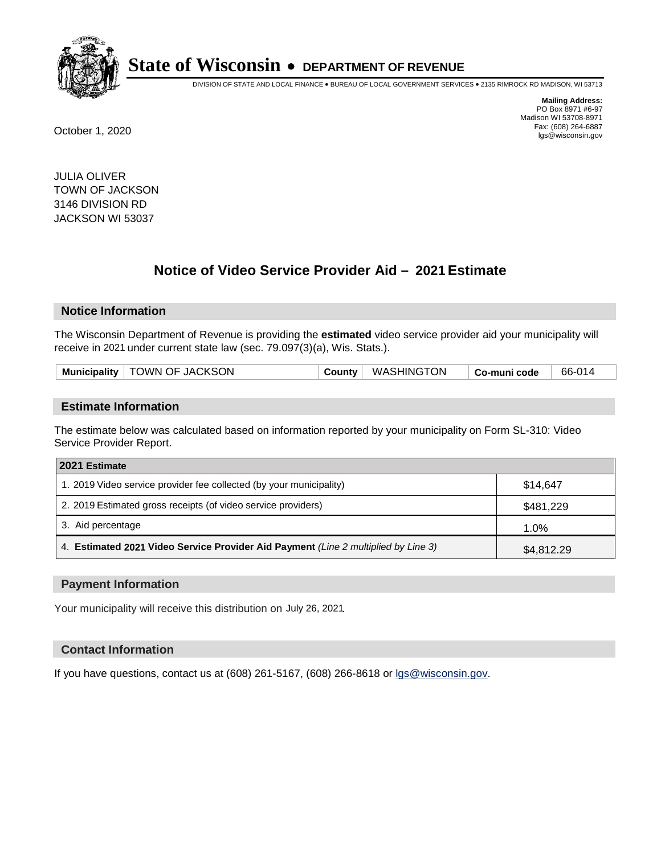

DIVISION OF STATE AND LOCAL FINANCE • BUREAU OF LOCAL GOVERNMENT SERVICES • 2135 RIMROCK RD MADISON, WI 53713

**Mailing Address:** PO Box 8971 #6-97 Madison WI 53708-8971<br>Fax: (608) 264-6887 Fax: (608) 264-6887 October 1, 2020 lgs@wisconsin.gov

JULIA OLIVER TOWN OF JACKSON 3146 DIVISION RD JACKSON WI 53037

# **Notice of Video Service Provider Aid - 2021 Estimate**

## **Notice Information**

The Wisconsin Department of Revenue is providing the **estimated** video service provider aid your municipality will receive in 2021 under current state law (sec. 79.097(3)(a), Wis. Stats.).

| Municipality   TOWN OF JACKSON | County   WASHINGTON | $\mathord{\mathord{\text{--}}}$ Co-muni code | 66-014 |
|--------------------------------|---------------------|----------------------------------------------|--------|
|                                |                     |                                              |        |

#### **Estimate Information**

The estimate below was calculated based on information reported by your municipality on Form SL-310: Video Service Provider Report.

| 2021 Estimate                                                                      |            |
|------------------------------------------------------------------------------------|------------|
| 1. 2019 Video service provider fee collected (by your municipality)                | \$14.647   |
| 2. 2019 Estimated gross receipts (of video service providers)                      | \$481,229  |
| 3. Aid percentage                                                                  | 1.0%       |
| 4. Estimated 2021 Video Service Provider Aid Payment (Line 2 multiplied by Line 3) | \$4,812.29 |

#### **Payment Information**

Your municipality will receive this distribution on July 26, 2021.

## **Contact Information**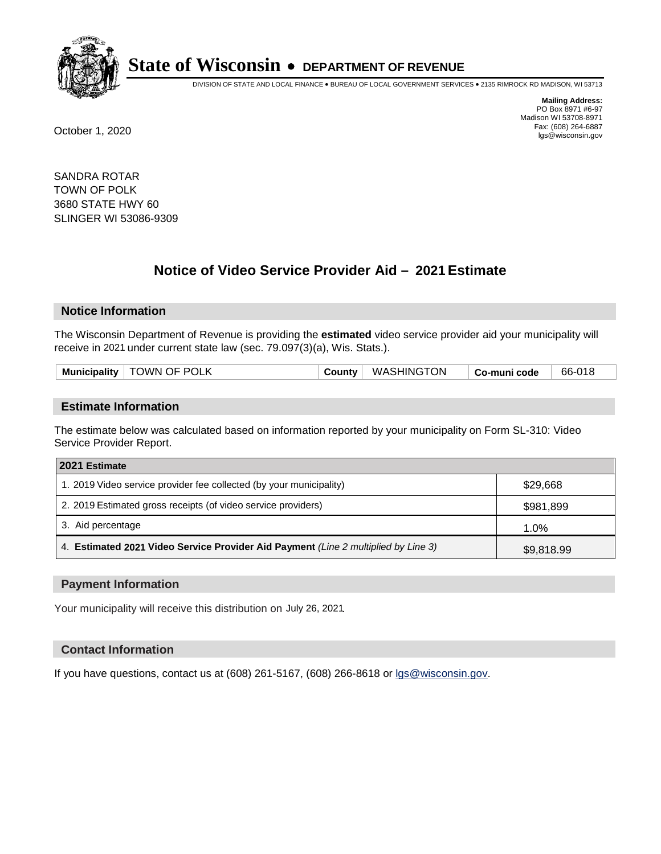

DIVISION OF STATE AND LOCAL FINANCE • BUREAU OF LOCAL GOVERNMENT SERVICES • 2135 RIMROCK RD MADISON, WI 53713

**Mailing Address:** PO Box 8971 #6-97 Madison WI 53708-8971<br>Fax: (608) 264-6887 Fax: (608) 264-6887 October 1, 2020 lgs@wisconsin.gov

SANDRA ROTAR TOWN OF POLK 3680 STATE HWY 60 SLINGER WI 53086-9309

# **Notice of Video Service Provider Aid - 2021 Estimate**

## **Notice Information**

The Wisconsin Department of Revenue is providing the **estimated** video service provider aid your municipality will receive in 2021 under current state law (sec. 79.097(3)(a), Wis. Stats.).

| <b>Municipality</b> | <b>TOWN OF POLK</b> | <b>County</b> √ | WASHINGTON | Co-muni code | 66-018 |
|---------------------|---------------------|-----------------|------------|--------------|--------|
|                     |                     |                 |            |              |        |

#### **Estimate Information**

The estimate below was calculated based on information reported by your municipality on Form SL-310: Video Service Provider Report.

| 2021 Estimate                                                                      |            |
|------------------------------------------------------------------------------------|------------|
| 1. 2019 Video service provider fee collected (by your municipality)                | \$29,668   |
| 2. 2019 Estimated gross receipts (of video service providers)                      | \$981,899  |
| 3. Aid percentage                                                                  | 1.0%       |
| 4. Estimated 2021 Video Service Provider Aid Payment (Line 2 multiplied by Line 3) | \$9,818.99 |

#### **Payment Information**

Your municipality will receive this distribution on July 26, 2021.

## **Contact Information**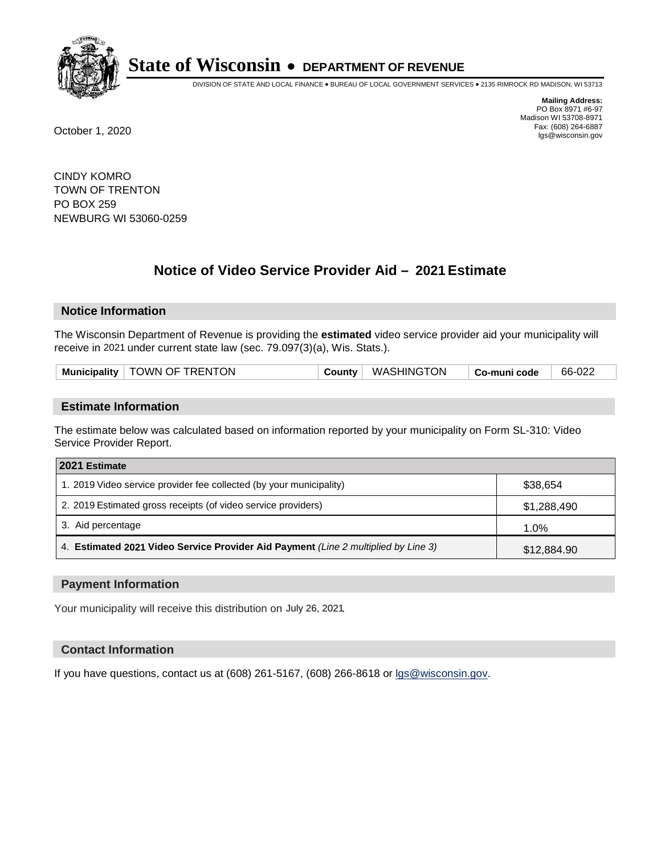

DIVISION OF STATE AND LOCAL FINANCE • BUREAU OF LOCAL GOVERNMENT SERVICES • 2135 RIMROCK RD MADISON, WI 53713

**Mailing Address:** PO Box 8971 #6-97 Madison WI 53708-8971<br>Fax: (608) 264-6887 Fax: (608) 264-6887 October 1, 2020 lgs@wisconsin.gov

CINDY KOMRO TOWN OF TRENTON PO BOX 259 NEWBURG WI 53060-0259

# **Notice of Video Service Provider Aid - 2021 Estimate**

## **Notice Information**

The Wisconsin Department of Revenue is providing the **estimated** video service provider aid your municipality will receive in 2021 under current state law (sec. 79.097(3)(a), Wis. Stats.).

| Municipality | TOWN OF TRENTON | County | <b>WASHINGTON</b> | $^{\circ}$ Co-muni code | 66-022 |
|--------------|-----------------|--------|-------------------|-------------------------|--------|
|              |                 |        |                   |                         |        |

#### **Estimate Information**

The estimate below was calculated based on information reported by your municipality on Form SL-310: Video Service Provider Report.

| 2021 Estimate                                                                      |             |
|------------------------------------------------------------------------------------|-------------|
| 1. 2019 Video service provider fee collected (by your municipality)                | \$38,654    |
| 2. 2019 Estimated gross receipts (of video service providers)                      | \$1,288,490 |
| 3. Aid percentage                                                                  | 1.0%        |
| 4. Estimated 2021 Video Service Provider Aid Payment (Line 2 multiplied by Line 3) | \$12,884.90 |

#### **Payment Information**

Your municipality will receive this distribution on July 26, 2021.

## **Contact Information**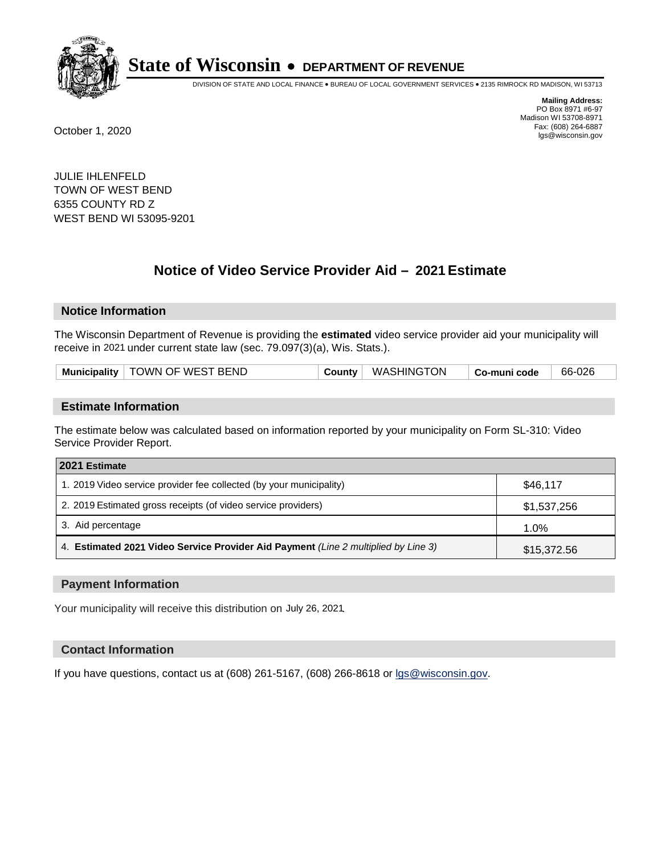

DIVISION OF STATE AND LOCAL FINANCE • BUREAU OF LOCAL GOVERNMENT SERVICES • 2135 RIMROCK RD MADISON, WI 53713

**Mailing Address:** PO Box 8971 #6-97 Madison WI 53708-8971<br>Fax: (608) 264-6887 Fax: (608) 264-6887 October 1, 2020 lgs@wisconsin.gov

JULIE IHLENFELD TOWN OF WEST BEND 6355 COUNTY RD Z WEST BEND WI 53095-9201

# **Notice of Video Service Provider Aid - 2021 Estimate**

## **Notice Information**

The Wisconsin Department of Revenue is providing the **estimated** video service provider aid your municipality will receive in 2021 under current state law (sec. 79.097(3)(a), Wis. Stats.).

| Municipality   TOWN OF WEST BEND | County | WASHINGTON | Co-muni code | 66-026 |  |
|----------------------------------|--------|------------|--------------|--------|--|
|----------------------------------|--------|------------|--------------|--------|--|

#### **Estimate Information**

The estimate below was calculated based on information reported by your municipality on Form SL-310: Video Service Provider Report.

| 2021 Estimate                                                                      |             |
|------------------------------------------------------------------------------------|-------------|
| 1. 2019 Video service provider fee collected (by your municipality)                | \$46.117    |
| 2. 2019 Estimated gross receipts (of video service providers)                      | \$1,537,256 |
| 3. Aid percentage                                                                  | 1.0%        |
| 4. Estimated 2021 Video Service Provider Aid Payment (Line 2 multiplied by Line 3) | \$15,372.56 |

#### **Payment Information**

Your municipality will receive this distribution on July 26, 2021.

## **Contact Information**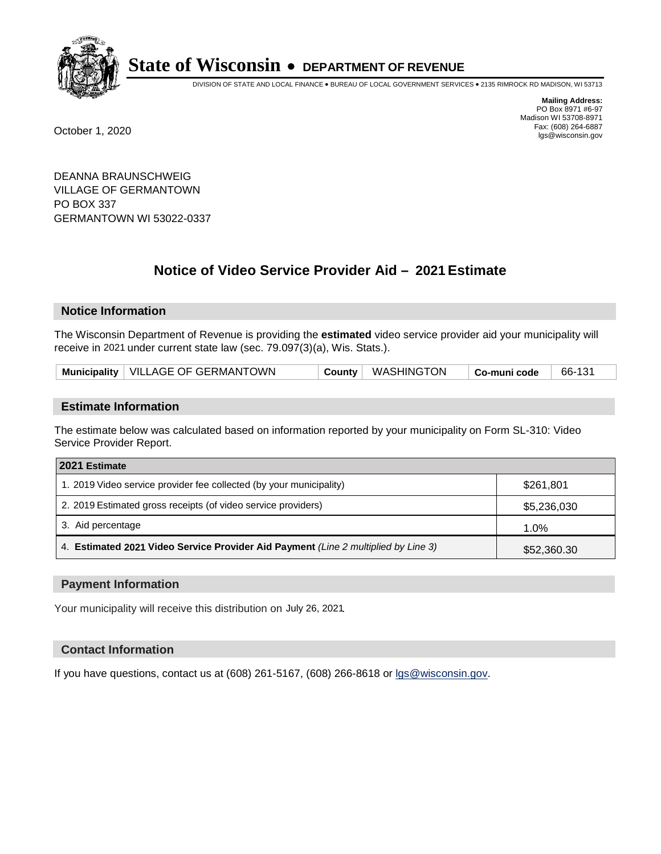

DIVISION OF STATE AND LOCAL FINANCE • BUREAU OF LOCAL GOVERNMENT SERVICES • 2135 RIMROCK RD MADISON, WI 53713

**Mailing Address:** PO Box 8971 #6-97 Madison WI 53708-8971<br>Fax: (608) 264-6887 Fax: (608) 264-6887 October 1, 2020 lgs@wisconsin.gov

DEANNA BRAUNSCHWEIG VILLAGE OF GERMANTOWN PO BOX 337 GERMANTOWN WI 53022-0337

# **Notice of Video Service Provider Aid - 2021 Estimate**

# **Notice Information**

The Wisconsin Department of Revenue is providing the **estimated** video service provider aid your municipality will receive in 2021 under current state law (sec. 79.097(3)(a), Wis. Stats.).

| Municipality   VILLAGE OF GERMANTOWN |  | County   WASHINGTON | $\mid$ Co-muni code | 66-131 |
|--------------------------------------|--|---------------------|---------------------|--------|
|--------------------------------------|--|---------------------|---------------------|--------|

## **Estimate Information**

The estimate below was calculated based on information reported by your municipality on Form SL-310: Video Service Provider Report.

| 2021 Estimate                                                                      |             |  |  |  |
|------------------------------------------------------------------------------------|-------------|--|--|--|
| 1. 2019 Video service provider fee collected (by your municipality)                | \$261.801   |  |  |  |
| 2. 2019 Estimated gross receipts (of video service providers)                      | \$5,236,030 |  |  |  |
| 3. Aid percentage                                                                  | $1.0\%$     |  |  |  |
| 4. Estimated 2021 Video Service Provider Aid Payment (Line 2 multiplied by Line 3) | \$52,360.30 |  |  |  |

#### **Payment Information**

Your municipality will receive this distribution on July 26, 2021.

## **Contact Information**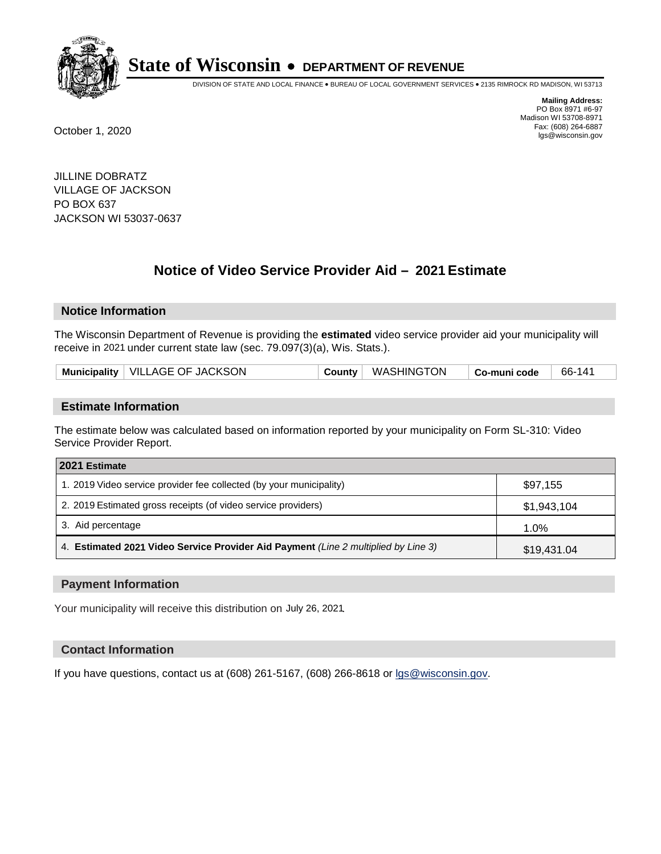

DIVISION OF STATE AND LOCAL FINANCE • BUREAU OF LOCAL GOVERNMENT SERVICES • 2135 RIMROCK RD MADISON, WI 53713

**Mailing Address:** PO Box 8971 #6-97 Madison WI 53708-8971<br>Fax: (608) 264-6887 Fax: (608) 264-6887 October 1, 2020 lgs@wisconsin.gov

JILLINE DOBRATZ VILLAGE OF JACKSON PO BOX 637 JACKSON WI 53037-0637

# **Notice of Video Service Provider Aid - 2021 Estimate**

## **Notice Information**

The Wisconsin Department of Revenue is providing the **estimated** video service provider aid your municipality will receive in 2021 under current state law (sec. 79.097(3)(a), Wis. Stats.).

| Municipality   VILLAGE OF JACKSON<br>County   WASHINGTON<br>66-141<br>Co-muni code |  |
|------------------------------------------------------------------------------------|--|
|------------------------------------------------------------------------------------|--|

#### **Estimate Information**

The estimate below was calculated based on information reported by your municipality on Form SL-310: Video Service Provider Report.

| 2021 Estimate                                                                      |             |  |  |  |
|------------------------------------------------------------------------------------|-------------|--|--|--|
| 1. 2019 Video service provider fee collected (by your municipality)                | \$97,155    |  |  |  |
| 2. 2019 Estimated gross receipts (of video service providers)                      | \$1,943,104 |  |  |  |
| 3. Aid percentage                                                                  | 1.0%        |  |  |  |
| 4. Estimated 2021 Video Service Provider Aid Payment (Line 2 multiplied by Line 3) | \$19,431.04 |  |  |  |

#### **Payment Information**

Your municipality will receive this distribution on July 26, 2021.

## **Contact Information**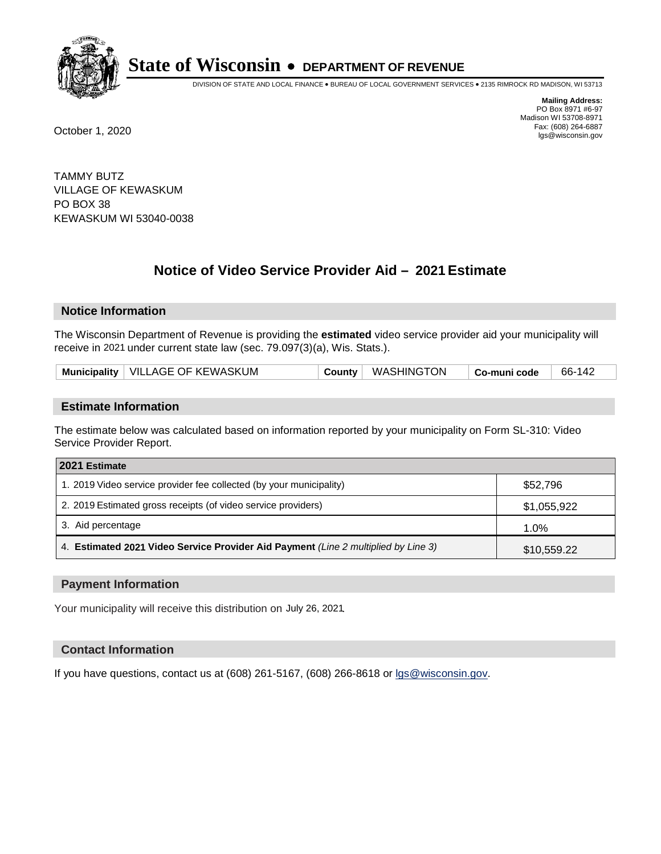

DIVISION OF STATE AND LOCAL FINANCE • BUREAU OF LOCAL GOVERNMENT SERVICES • 2135 RIMROCK RD MADISON, WI 53713

**Mailing Address:** PO Box 8971 #6-97 Madison WI 53708-8971<br>Fax: (608) 264-6887 Fax: (608) 264-6887 October 1, 2020 lgs@wisconsin.gov

TAMMY BUTZ VILLAGE OF KEWASKUM PO BOX 38 KEWASKUM WI 53040-0038

# **Notice of Video Service Provider Aid - 2021 Estimate**

## **Notice Information**

The Wisconsin Department of Revenue is providing the **estimated** video service provider aid your municipality will receive in 2021 under current state law (sec. 79.097(3)(a), Wis. Stats.).

| Municipality   VILLAGE OF KEWASKUM<br>County   WASHINGTON<br>66-142<br>Co-muni code |  |
|-------------------------------------------------------------------------------------|--|
|-------------------------------------------------------------------------------------|--|

#### **Estimate Information**

The estimate below was calculated based on information reported by your municipality on Form SL-310: Video Service Provider Report.

| 2021 Estimate                                                                      |             |  |  |  |
|------------------------------------------------------------------------------------|-------------|--|--|--|
| 1. 2019 Video service provider fee collected (by your municipality)                | \$52,796    |  |  |  |
| 2. 2019 Estimated gross receipts (of video service providers)                      | \$1,055,922 |  |  |  |
| 3. Aid percentage                                                                  | 1.0%        |  |  |  |
| 4. Estimated 2021 Video Service Provider Aid Payment (Line 2 multiplied by Line 3) | \$10,559.22 |  |  |  |

#### **Payment Information**

Your municipality will receive this distribution on July 26, 2021.

## **Contact Information**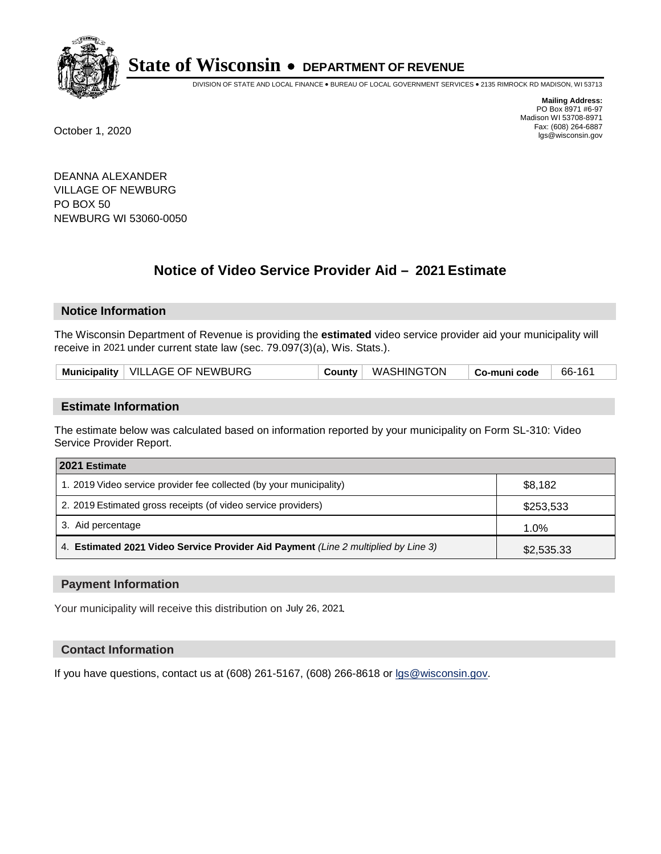

DIVISION OF STATE AND LOCAL FINANCE • BUREAU OF LOCAL GOVERNMENT SERVICES • 2135 RIMROCK RD MADISON, WI 53713

**Mailing Address:** PO Box 8971 #6-97 Madison WI 53708-8971<br>Fax: (608) 264-6887 Fax: (608) 264-6887 October 1, 2020 lgs@wisconsin.gov

DEANNA ALEXANDER VILLAGE OF NEWBURG PO BOX 50 NEWBURG WI 53060-0050

# **Notice of Video Service Provider Aid - 2021 Estimate**

# **Notice Information**

The Wisconsin Department of Revenue is providing the **estimated** video service provider aid your municipality will receive in 2021 under current state law (sec. 79.097(3)(a), Wis. Stats.).

| Municipality   VILLAGE OF NEWBURG<br>County   WASHINGTON<br>66-161<br>$\mid$ Co-muni code |  |
|-------------------------------------------------------------------------------------------|--|
|-------------------------------------------------------------------------------------------|--|

#### **Estimate Information**

The estimate below was calculated based on information reported by your municipality on Form SL-310: Video Service Provider Report.

| 2021 Estimate                                                                      |            |
|------------------------------------------------------------------------------------|------------|
| 1. 2019 Video service provider fee collected (by your municipality)                | \$8,182    |
| 2. 2019 Estimated gross receipts (of video service providers)                      | \$253,533  |
| 3. Aid percentage                                                                  | 1.0%       |
| 4. Estimated 2021 Video Service Provider Aid Payment (Line 2 multiplied by Line 3) | \$2,535.33 |

#### **Payment Information**

Your municipality will receive this distribution on July 26, 2021.

## **Contact Information**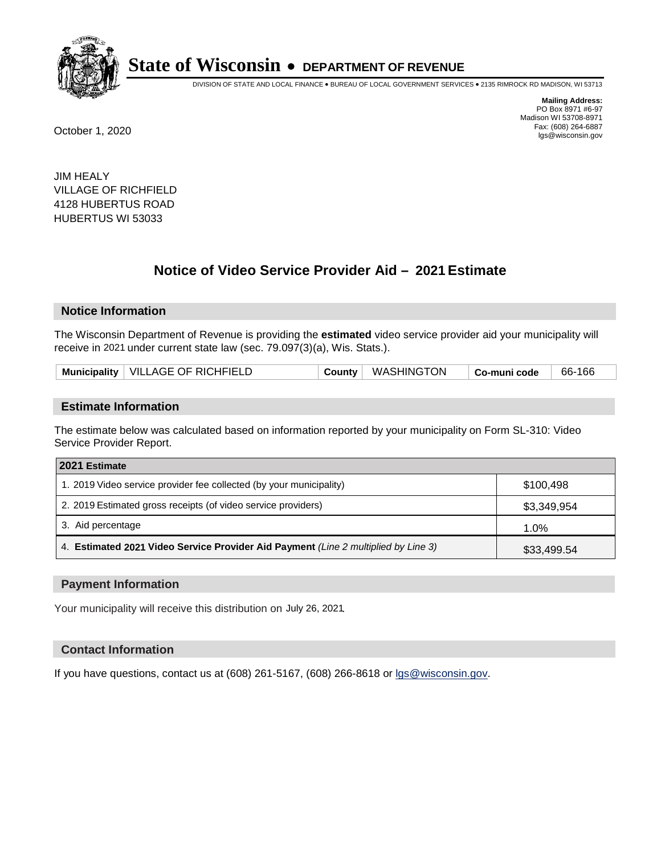

DIVISION OF STATE AND LOCAL FINANCE • BUREAU OF LOCAL GOVERNMENT SERVICES • 2135 RIMROCK RD MADISON, WI 53713

**Mailing Address:** PO Box 8971 #6-97 Madison WI 53708-8971<br>Fax: (608) 264-6887 Fax: (608) 264-6887 October 1, 2020 lgs@wisconsin.gov

JIM HEALY VILLAGE OF RICHFIELD 4128 HUBERTUS ROAD HUBERTUS WI 53033

# **Notice of Video Service Provider Aid - 2021 Estimate**

## **Notice Information**

The Wisconsin Department of Revenue is providing the **estimated** video service provider aid your municipality will receive in 2021 under current state law (sec. 79.097(3)(a), Wis. Stats.).

| Municipality   VILLAGE OF RICHFIELD |  | ™ WASHINGTON | Co-muni code | 66-166 |  |
|-------------------------------------|--|--------------|--------------|--------|--|
|-------------------------------------|--|--------------|--------------|--------|--|

#### **Estimate Information**

The estimate below was calculated based on information reported by your municipality on Form SL-310: Video Service Provider Report.

| 2021 Estimate                                                                      |             |  |  |  |
|------------------------------------------------------------------------------------|-------------|--|--|--|
| 1. 2019 Video service provider fee collected (by your municipality)                | \$100.498   |  |  |  |
| 2. 2019 Estimated gross receipts (of video service providers)                      | \$3,349,954 |  |  |  |
| 3. Aid percentage                                                                  | 1.0%        |  |  |  |
| 4. Estimated 2021 Video Service Provider Aid Payment (Line 2 multiplied by Line 3) | \$33,499.54 |  |  |  |

#### **Payment Information**

Your municipality will receive this distribution on July 26, 2021.

## **Contact Information**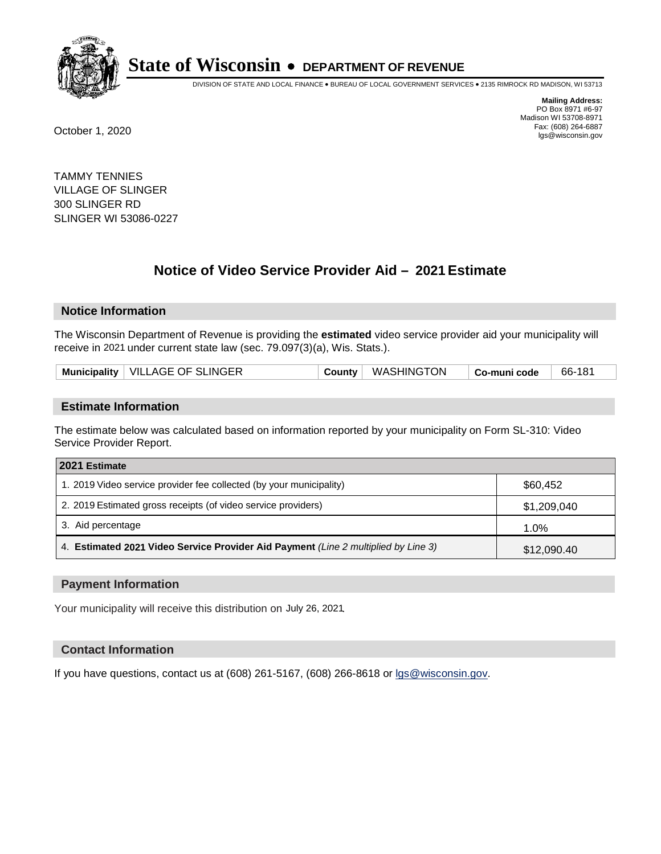

DIVISION OF STATE AND LOCAL FINANCE • BUREAU OF LOCAL GOVERNMENT SERVICES • 2135 RIMROCK RD MADISON, WI 53713

**Mailing Address:** PO Box 8971 #6-97 Madison WI 53708-8971<br>Fax: (608) 264-6887 Fax: (608) 264-6887 October 1, 2020 lgs@wisconsin.gov

TAMMY TENNIES VILLAGE OF SLINGER 300 SLINGER RD SLINGER WI 53086-0227

# **Notice of Video Service Provider Aid - 2021 Estimate**

# **Notice Information**

The Wisconsin Department of Revenue is providing the **estimated** video service provider aid your municipality will receive in 2021 under current state law (sec. 79.097(3)(a), Wis. Stats.).

| Municipality   VILLAGE OF SLINGER<br>County   WASHINGTON<br>66-181<br>$\mid$ Co-muni code |  |
|-------------------------------------------------------------------------------------------|--|
|-------------------------------------------------------------------------------------------|--|

#### **Estimate Information**

The estimate below was calculated based on information reported by your municipality on Form SL-310: Video Service Provider Report.

| 2021 Estimate                                                                      |             |
|------------------------------------------------------------------------------------|-------------|
| 1. 2019 Video service provider fee collected (by your municipality)                | \$60,452    |
| 2. 2019 Estimated gross receipts (of video service providers)                      | \$1,209,040 |
| 3. Aid percentage                                                                  | 1.0%        |
| 4. Estimated 2021 Video Service Provider Aid Payment (Line 2 multiplied by Line 3) | \$12,090.40 |

#### **Payment Information**

Your municipality will receive this distribution on July 26, 2021.

## **Contact Information**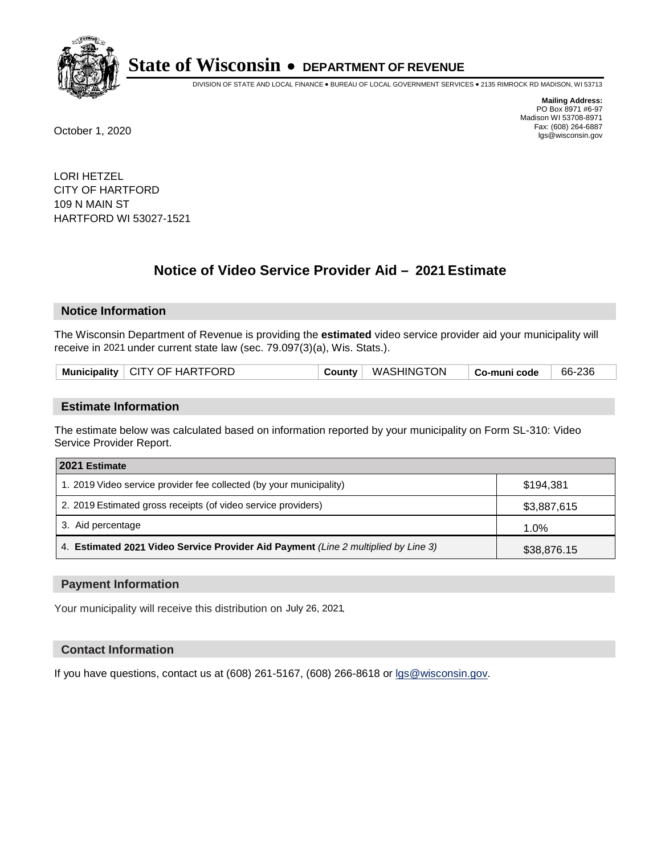

DIVISION OF STATE AND LOCAL FINANCE • BUREAU OF LOCAL GOVERNMENT SERVICES • 2135 RIMROCK RD MADISON, WI 53713

**Mailing Address:** PO Box 8971 #6-97 Madison WI 53708-8971<br>Fax: (608) 264-6887 Fax: (608) 264-6887 October 1, 2020 lgs@wisconsin.gov

LORI HETZEL CITY OF HARTFORD 109 N MAIN ST HARTFORD WI 53027-1521

# **Notice of Video Service Provider Aid - 2021 Estimate**

## **Notice Information**

The Wisconsin Department of Revenue is providing the **estimated** video service provider aid your municipality will receive in 2021 under current state law (sec. 79.097(3)(a), Wis. Stats.).

| Municipality $\vert$ CITY OF HARTFORD<br>County   WASHINGTON<br>66-236<br>Co-muni code |
|----------------------------------------------------------------------------------------|
|----------------------------------------------------------------------------------------|

#### **Estimate Information**

The estimate below was calculated based on information reported by your municipality on Form SL-310: Video Service Provider Report.

| 2021 Estimate                                                                      |             |  |  |
|------------------------------------------------------------------------------------|-------------|--|--|
| 1. 2019 Video service provider fee collected (by your municipality)                | \$194.381   |  |  |
| 2. 2019 Estimated gross receipts (of video service providers)                      | \$3,887,615 |  |  |
| 3. Aid percentage                                                                  | 1.0%        |  |  |
| 4. Estimated 2021 Video Service Provider Aid Payment (Line 2 multiplied by Line 3) | \$38,876.15 |  |  |

#### **Payment Information**

Your municipality will receive this distribution on July 26, 2021.

## **Contact Information**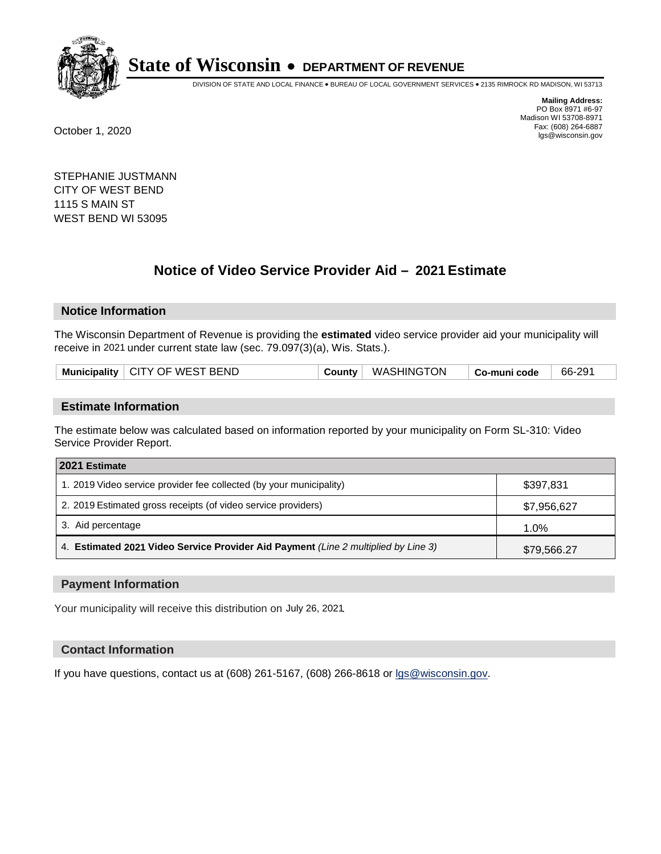

DIVISION OF STATE AND LOCAL FINANCE • BUREAU OF LOCAL GOVERNMENT SERVICES • 2135 RIMROCK RD MADISON, WI 53713

**Mailing Address:** PO Box 8971 #6-97 Madison WI 53708-8971<br>Fax: (608) 264-6887 Fax: (608) 264-6887 October 1, 2020 lgs@wisconsin.gov

STEPHANIE JUSTMANN CITY OF WEST BEND 1115 S MAIN ST WEST BEND WI 53095

# **Notice of Video Service Provider Aid - 2021 Estimate**

# **Notice Information**

The Wisconsin Department of Revenue is providing the **estimated** video service provider aid your municipality will receive in 2021 under current state law (sec. 79.097(3)(a), Wis. Stats.).

|--|

#### **Estimate Information**

The estimate below was calculated based on information reported by your municipality on Form SL-310: Video Service Provider Report.

| 2021 Estimate                                                                      |             |
|------------------------------------------------------------------------------------|-------------|
| 1. 2019 Video service provider fee collected (by your municipality)                | \$397.831   |
| 2. 2019 Estimated gross receipts (of video service providers)                      | \$7,956,627 |
| 3. Aid percentage                                                                  | 1.0%        |
| 4. Estimated 2021 Video Service Provider Aid Payment (Line 2 multiplied by Line 3) | \$79,566.27 |

#### **Payment Information**

Your municipality will receive this distribution on July 26, 2021.

## **Contact Information**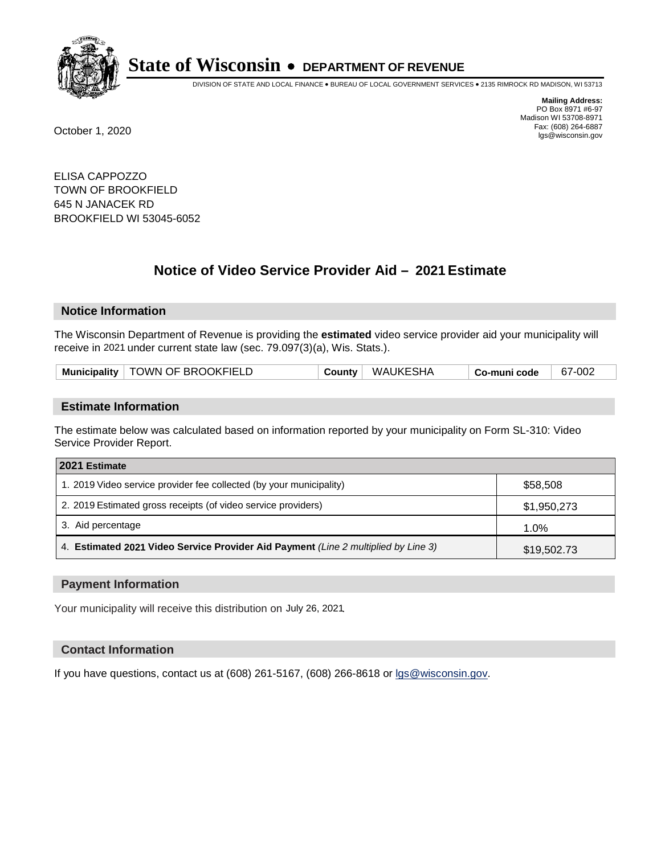

DIVISION OF STATE AND LOCAL FINANCE • BUREAU OF LOCAL GOVERNMENT SERVICES • 2135 RIMROCK RD MADISON, WI 53713

**Mailing Address:** PO Box 8971 #6-97 Madison WI 53708-8971<br>Fax: (608) 264-6887 Fax: (608) 264-6887 October 1, 2020 lgs@wisconsin.gov

ELISA CAPPOZZO TOWN OF BROOKFIELD 645 N JANACEK RD BROOKFIELD WI 53045-6052

# **Notice of Video Service Provider Aid - 2021 Estimate**

## **Notice Information**

The Wisconsin Department of Revenue is providing the **estimated** video service provider aid your municipality will receive in 2021 under current state law (sec. 79.097(3)(a), Wis. Stats.).

| Municipality   TOWN OF BROOKFIELD | WAUKESHA<br>County | Co-muni code | 67-002 |
|-----------------------------------|--------------------|--------------|--------|
|-----------------------------------|--------------------|--------------|--------|

#### **Estimate Information**

The estimate below was calculated based on information reported by your municipality on Form SL-310: Video Service Provider Report.

| 2021 Estimate                                                                      |             |
|------------------------------------------------------------------------------------|-------------|
| 1. 2019 Video service provider fee collected (by your municipality)                | \$58,508    |
| 2. 2019 Estimated gross receipts (of video service providers)                      | \$1,950,273 |
| 3. Aid percentage                                                                  | 1.0%        |
| 4. Estimated 2021 Video Service Provider Aid Payment (Line 2 multiplied by Line 3) | \$19,502.73 |

#### **Payment Information**

Your municipality will receive this distribution on July 26, 2021.

## **Contact Information**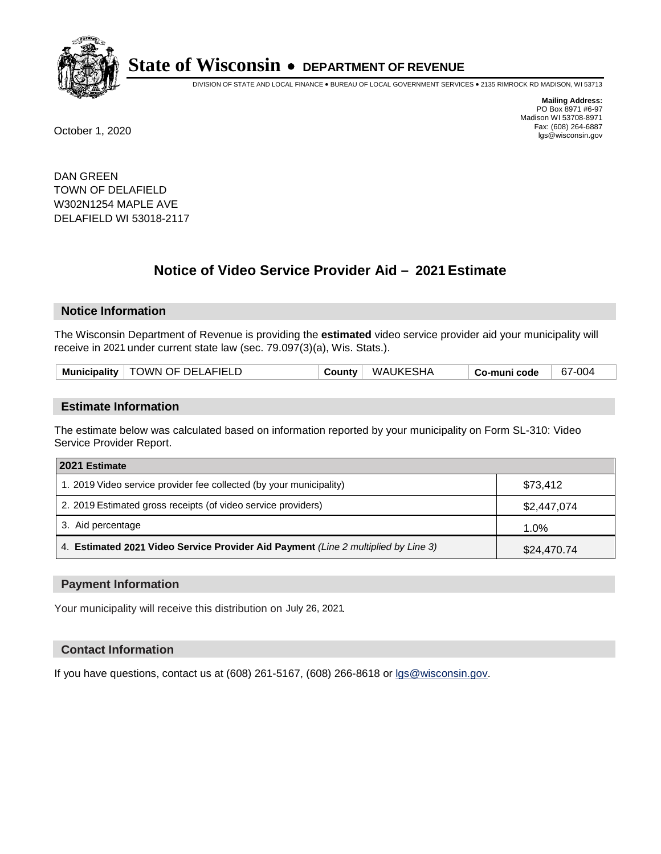

DIVISION OF STATE AND LOCAL FINANCE • BUREAU OF LOCAL GOVERNMENT SERVICES • 2135 RIMROCK RD MADISON, WI 53713

**Mailing Address:** PO Box 8971 #6-97 Madison WI 53708-8971<br>Fax: (608) 264-6887 Fax: (608) 264-6887 October 1, 2020 lgs@wisconsin.gov

DAN GREEN TOWN OF DELAFIELD W302N1254 MAPLE AVE DELAFIELD WI 53018-2117

# **Notice of Video Service Provider Aid - 2021 Estimate**

# **Notice Information**

The Wisconsin Department of Revenue is providing the **estimated** video service provider aid your municipality will receive in 2021 under current state law (sec. 79.097(3)(a), Wis. Stats.).

| Municipality   TOWN OF DELAFIELD | WAUKESHA<br><b>County</b> | 67-004<br>Co-muni code |
|----------------------------------|---------------------------|------------------------|
|----------------------------------|---------------------------|------------------------|

#### **Estimate Information**

The estimate below was calculated based on information reported by your municipality on Form SL-310: Video Service Provider Report.

| 2021 Estimate                                                                      |             |
|------------------------------------------------------------------------------------|-------------|
| 1. 2019 Video service provider fee collected (by your municipality)                | \$73.412    |
| 2. 2019 Estimated gross receipts (of video service providers)                      | \$2,447,074 |
| 3. Aid percentage                                                                  | 1.0%        |
| 4. Estimated 2021 Video Service Provider Aid Payment (Line 2 multiplied by Line 3) | \$24,470.74 |

#### **Payment Information**

Your municipality will receive this distribution on July 26, 2021.

## **Contact Information**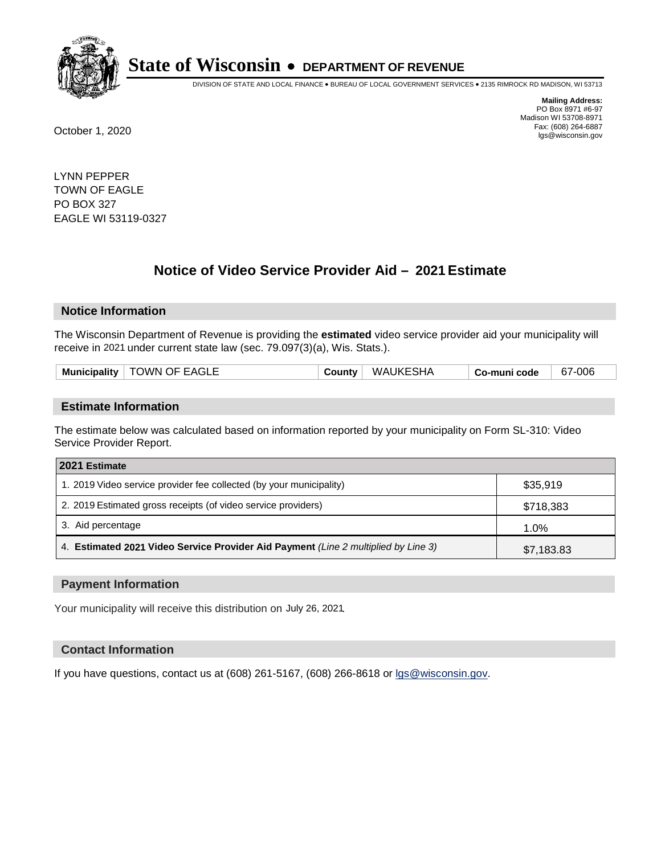

DIVISION OF STATE AND LOCAL FINANCE • BUREAU OF LOCAL GOVERNMENT SERVICES • 2135 RIMROCK RD MADISON, WI 53713

**Mailing Address:** PO Box 8971 #6-97 Madison WI 53708-8971<br>Fax: (608) 264-6887 Fax: (608) 264-6887 October 1, 2020 lgs@wisconsin.gov

LYNN PEPPER TOWN OF EAGLE PO BOX 327 EAGLE WI 53119-0327

# **Notice of Video Service Provider Aid - 2021 Estimate**

## **Notice Information**

The Wisconsin Department of Revenue is providing the **estimated** video service provider aid your municipality will receive in 2021 under current state law (sec. 79.097(3)(a), Wis. Stats.).

| Municipality | TOWN OF EAGLE | <b>County</b> | WAUKESHA | Co-muni code | 67-006 |
|--------------|---------------|---------------|----------|--------------|--------|
|              |               |               |          |              |        |

#### **Estimate Information**

The estimate below was calculated based on information reported by your municipality on Form SL-310: Video Service Provider Report.

| 2021 Estimate                                                                      |            |
|------------------------------------------------------------------------------------|------------|
| 1. 2019 Video service provider fee collected (by your municipality)                | \$35,919   |
| 2. 2019 Estimated gross receipts (of video service providers)                      | \$718,383  |
| 3. Aid percentage                                                                  | 1.0%       |
| 4. Estimated 2021 Video Service Provider Aid Payment (Line 2 multiplied by Line 3) | \$7,183.83 |

#### **Payment Information**

Your municipality will receive this distribution on July 26, 2021.

## **Contact Information**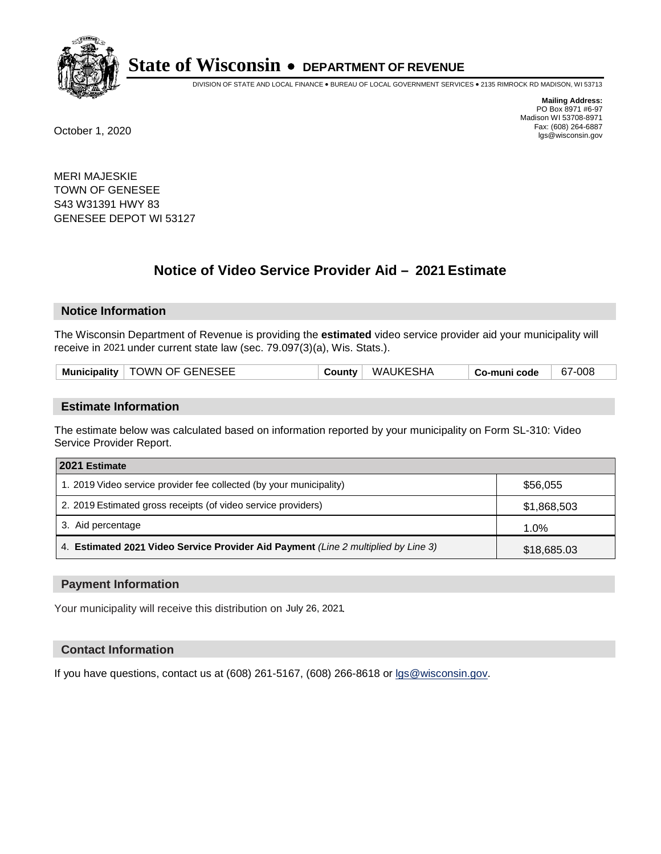

DIVISION OF STATE AND LOCAL FINANCE • BUREAU OF LOCAL GOVERNMENT SERVICES • 2135 RIMROCK RD MADISON, WI 53713

**Mailing Address:** PO Box 8971 #6-97 Madison WI 53708-8971<br>Fax: (608) 264-6887 Fax: (608) 264-6887 October 1, 2020 lgs@wisconsin.gov

MERI MAJESKIE TOWN OF GENESEE S43 W31391 HWY 83 GENESEE DEPOT WI 53127

# **Notice of Video Service Provider Aid - 2021 Estimate**

## **Notice Information**

The Wisconsin Department of Revenue is providing the **estimated** video service provider aid your municipality will receive in 2021 under current state law (sec. 79.097(3)(a), Wis. Stats.).

| Municipality   TOWN OF GENESEE | County | WAUKESHA | Co-muni code | 67-008 |
|--------------------------------|--------|----------|--------------|--------|
|--------------------------------|--------|----------|--------------|--------|

#### **Estimate Information**

The estimate below was calculated based on information reported by your municipality on Form SL-310: Video Service Provider Report.

| 2021 Estimate                                                                      |             |
|------------------------------------------------------------------------------------|-------------|
| 1. 2019 Video service provider fee collected (by your municipality)                | \$56,055    |
| 2. 2019 Estimated gross receipts (of video service providers)                      | \$1,868,503 |
| 3. Aid percentage                                                                  | 1.0%        |
| 4. Estimated 2021 Video Service Provider Aid Payment (Line 2 multiplied by Line 3) | \$18,685.03 |

#### **Payment Information**

Your municipality will receive this distribution on July 26, 2021.

## **Contact Information**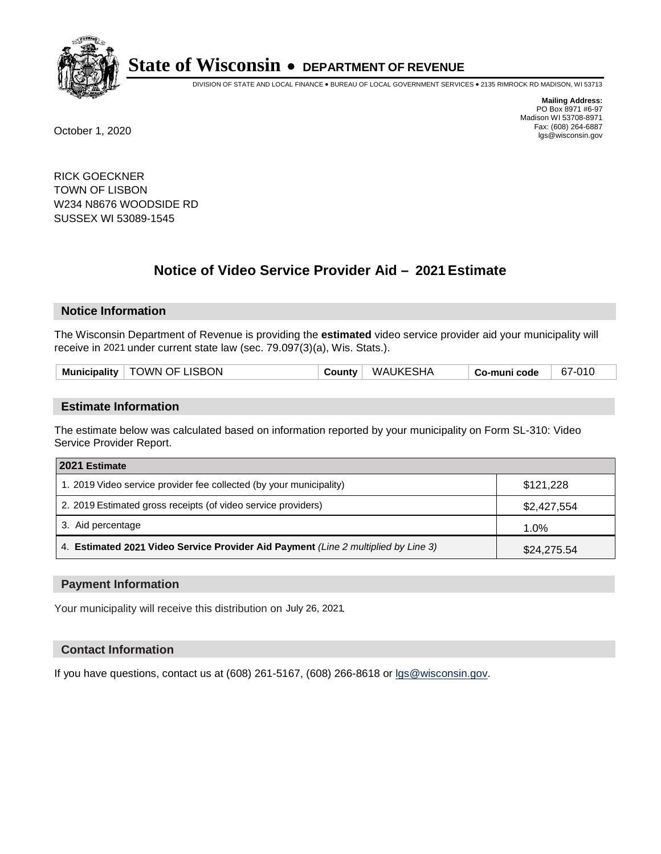

DIVISION OF STATE AND LOCAL FINANCE • BUREAU OF LOCAL GOVERNMENT SERVICES • 2135 RIMROCK RD MADISON, WI 53713

**Mailing Address:** PO Box 8971 #6-97 Madison WI 53708-8971<br>Fax: (608) 264-6887 Fax: (608) 264-6887 October 1, 2020 lgs@wisconsin.gov

RICK GOECKNER TOWN OF LISBON W234 N8676 WOODSIDE RD SUSSEX WI 53089-1545

# **Notice of Video Service Provider Aid - 2021 Estimate**

# **Notice Information**

The Wisconsin Department of Revenue is providing the **estimated** video service provider aid your municipality will receive in 2021 under current state law (sec. 79.097(3)(a), Wis. Stats.).

| Municipality   TOWN OF LISBON<br>WAUKESHA<br>County $ $ | 67-010<br>Co-muni code |
|---------------------------------------------------------|------------------------|
|---------------------------------------------------------|------------------------|

#### **Estimate Information**

The estimate below was calculated based on information reported by your municipality on Form SL-310: Video Service Provider Report.

| 2021 Estimate                                                                      |             |
|------------------------------------------------------------------------------------|-------------|
| 1. 2019 Video service provider fee collected (by your municipality)                | \$121,228   |
| 2. 2019 Estimated gross receipts (of video service providers)                      | \$2,427,554 |
| 3. Aid percentage                                                                  | 1.0%        |
| 4. Estimated 2021 Video Service Provider Aid Payment (Line 2 multiplied by Line 3) | \$24,275.54 |

#### **Payment Information**

Your municipality will receive this distribution on July 26, 2021.

## **Contact Information**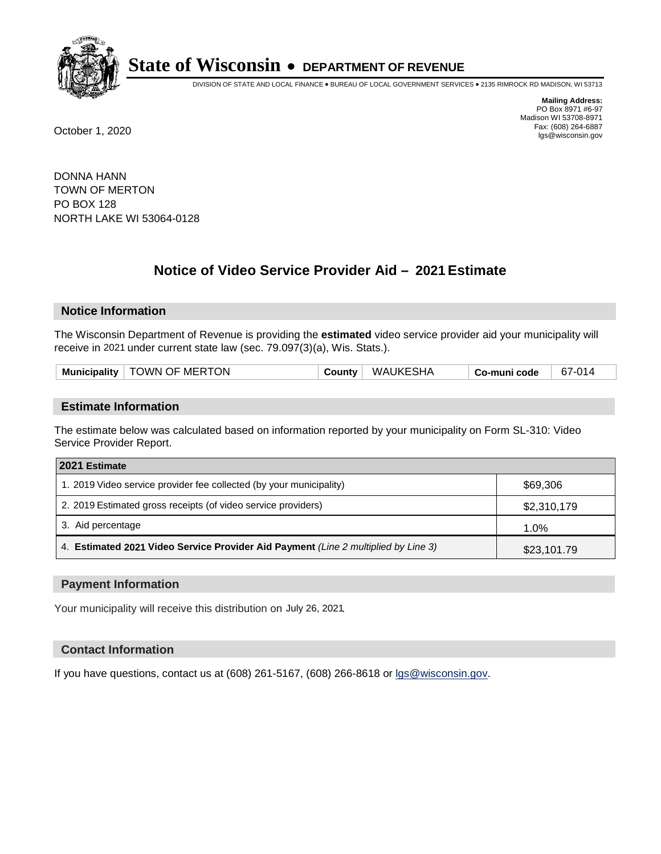

DIVISION OF STATE AND LOCAL FINANCE • BUREAU OF LOCAL GOVERNMENT SERVICES • 2135 RIMROCK RD MADISON, WI 53713

**Mailing Address:** PO Box 8971 #6-97 Madison WI 53708-8971<br>Fax: (608) 264-6887 Fax: (608) 264-6887 October 1, 2020 lgs@wisconsin.gov

DONNA HANN TOWN OF MERTON PO BOX 128 NORTH LAKE WI 53064-0128

# **Notice of Video Service Provider Aid - 2021 Estimate**

## **Notice Information**

The Wisconsin Department of Revenue is providing the **estimated** video service provider aid your municipality will receive in 2021 under current state law (sec. 79.097(3)(a), Wis. Stats.).

| <b>Municipality</b> | <b>TOWN OF MERTON</b> | County | <b>WAUKESHA</b> | Co-muni code | 67-014 |
|---------------------|-----------------------|--------|-----------------|--------------|--------|
|                     |                       |        |                 |              |        |

#### **Estimate Information**

The estimate below was calculated based on information reported by your municipality on Form SL-310: Video Service Provider Report.

| 2021 Estimate                                                                      |             |
|------------------------------------------------------------------------------------|-------------|
| 1. 2019 Video service provider fee collected (by your municipality)                | \$69,306    |
| 2. 2019 Estimated gross receipts (of video service providers)                      | \$2,310,179 |
| 3. Aid percentage                                                                  | 1.0%        |
| 4. Estimated 2021 Video Service Provider Aid Payment (Line 2 multiplied by Line 3) | \$23,101.79 |

#### **Payment Information**

Your municipality will receive this distribution on July 26, 2021.

## **Contact Information**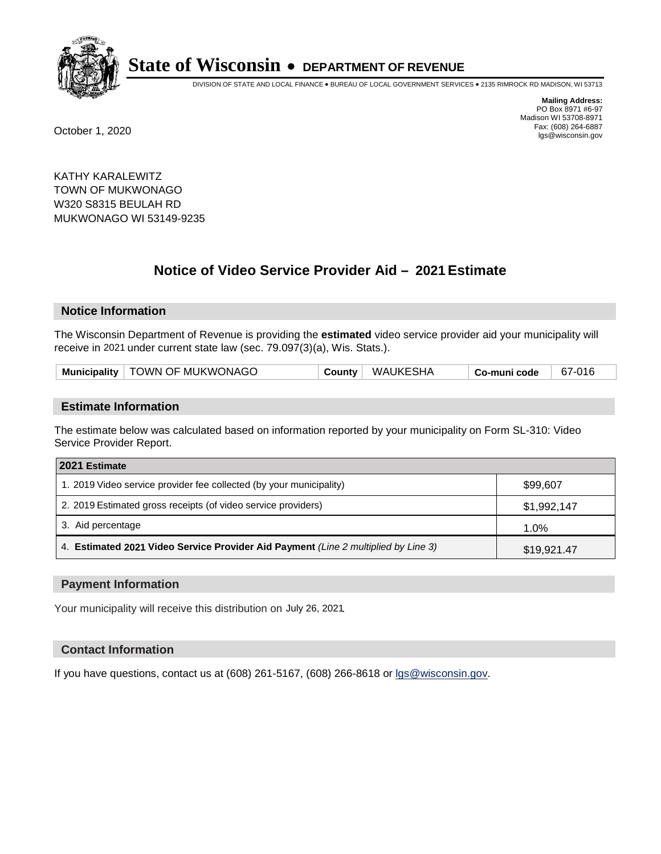

DIVISION OF STATE AND LOCAL FINANCE • BUREAU OF LOCAL GOVERNMENT SERVICES • 2135 RIMROCK RD MADISON, WI 53713

**Mailing Address:** PO Box 8971 #6-97 Madison WI 53708-8971<br>Fax: (608) 264-6887 Fax: (608) 264-6887 October 1, 2020 lgs@wisconsin.gov

KATHY KARALEWITZ TOWN OF MUKWONAGO W320 S8315 BEULAH RD MUKWONAGO WI 53149-9235

# **Notice of Video Service Provider Aid - 2021 Estimate**

## **Notice Information**

The Wisconsin Department of Revenue is providing the **estimated** video service provider aid your municipality will receive in 2021 under current state law (sec. 79.097(3)(a), Wis. Stats.).

| Municipality   TOWN OF MUKWONAGO | County | WAUKESHA | Co-muni code | 67-016 |
|----------------------------------|--------|----------|--------------|--------|
|----------------------------------|--------|----------|--------------|--------|

#### **Estimate Information**

The estimate below was calculated based on information reported by your municipality on Form SL-310: Video Service Provider Report.

| 2021 Estimate                                                                      |             |
|------------------------------------------------------------------------------------|-------------|
| 1. 2019 Video service provider fee collected (by your municipality)                | \$99,607    |
| 2. 2019 Estimated gross receipts (of video service providers)                      | \$1,992,147 |
| 3. Aid percentage                                                                  | 1.0%        |
| 4. Estimated 2021 Video Service Provider Aid Payment (Line 2 multiplied by Line 3) | \$19,921.47 |

#### **Payment Information**

Your municipality will receive this distribution on July 26, 2021.

## **Contact Information**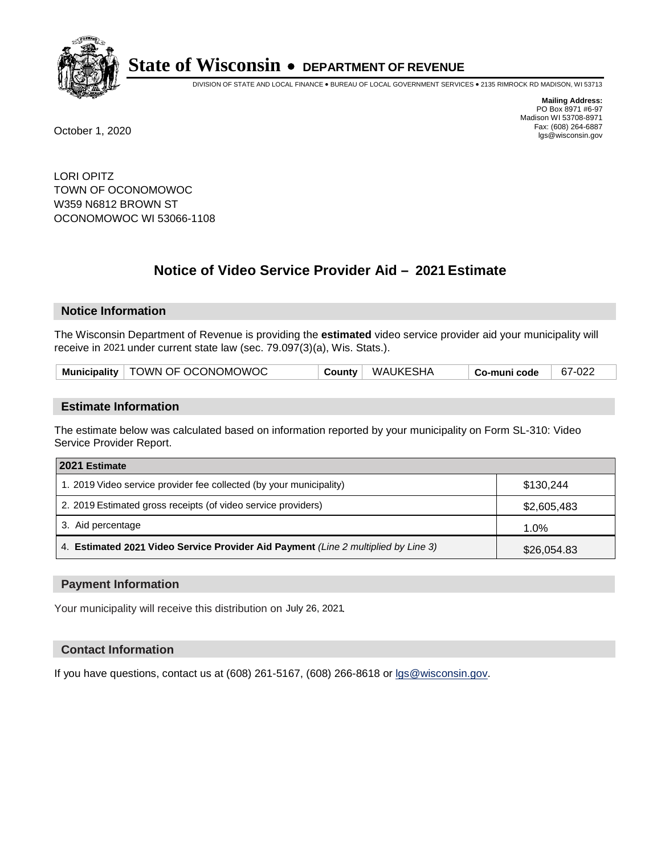

DIVISION OF STATE AND LOCAL FINANCE • BUREAU OF LOCAL GOVERNMENT SERVICES • 2135 RIMROCK RD MADISON, WI 53713

**Mailing Address:** PO Box 8971 #6-97 Madison WI 53708-8971<br>Fax: (608) 264-6887 Fax: (608) 264-6887 October 1, 2020 lgs@wisconsin.gov

LORI OPITZ TOWN OF OCONOMOWOC W359 N6812 BROWN ST OCONOMOWOC WI 53066-1108

# **Notice of Video Service Provider Aid - 2021 Estimate**

## **Notice Information**

The Wisconsin Department of Revenue is providing the **estimated** video service provider aid your municipality will receive in 2021 under current state law (sec. 79.097(3)(a), Wis. Stats.).

| Municipality   TOWN OF OCONOMOWOC | County | WAUKESHA | Co-muni code | 67-022 |
|-----------------------------------|--------|----------|--------------|--------|
|-----------------------------------|--------|----------|--------------|--------|

#### **Estimate Information**

The estimate below was calculated based on information reported by your municipality on Form SL-310: Video Service Provider Report.

| 2021 Estimate                                                                      |             |  |  |  |
|------------------------------------------------------------------------------------|-------------|--|--|--|
| 1. 2019 Video service provider fee collected (by your municipality)                | \$130.244   |  |  |  |
| 2. 2019 Estimated gross receipts (of video service providers)                      | \$2,605,483 |  |  |  |
| 3. Aid percentage                                                                  | 1.0%        |  |  |  |
| 4. Estimated 2021 Video Service Provider Aid Payment (Line 2 multiplied by Line 3) | \$26,054.83 |  |  |  |

#### **Payment Information**

Your municipality will receive this distribution on July 26, 2021.

## **Contact Information**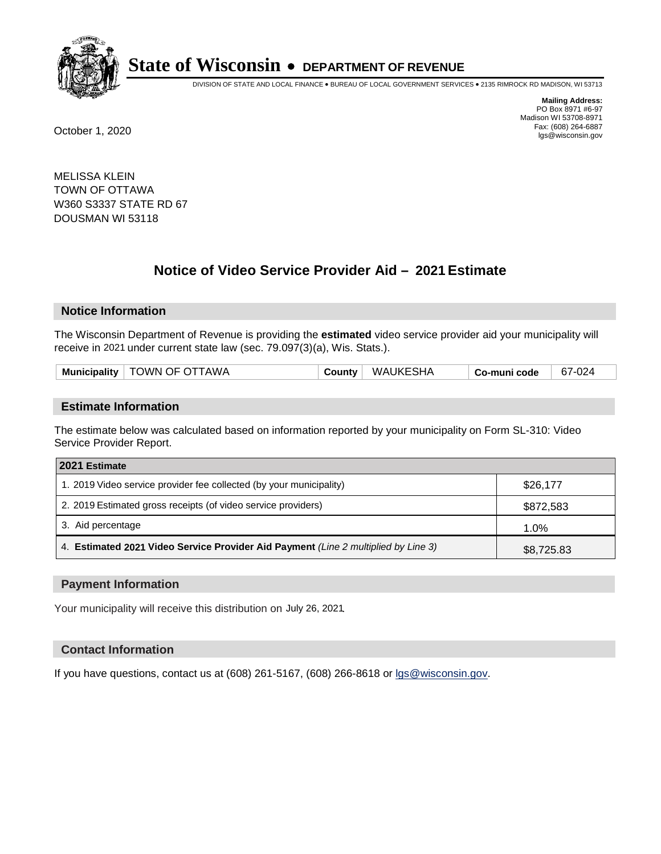

DIVISION OF STATE AND LOCAL FINANCE • BUREAU OF LOCAL GOVERNMENT SERVICES • 2135 RIMROCK RD MADISON, WI 53713

**Mailing Address:** PO Box 8971 #6-97 Madison WI 53708-8971<br>Fax: (608) 264-6887 Fax: (608) 264-6887 October 1, 2020 lgs@wisconsin.gov

MELISSA KLEIN TOWN OF OTTAWA W360 S3337 STATE RD 67 DOUSMAN WI 53118

# **Notice of Video Service Provider Aid - 2021 Estimate**

## **Notice Information**

The Wisconsin Department of Revenue is providing the **estimated** video service provider aid your municipality will receive in 2021 under current state law (sec. 79.097(3)(a), Wis. Stats.).

#### **Estimate Information**

The estimate below was calculated based on information reported by your municipality on Form SL-310: Video Service Provider Report.

| 2021 Estimate                                                                      |            |
|------------------------------------------------------------------------------------|------------|
| 1. 2019 Video service provider fee collected (by your municipality)                | \$26,177   |
| 2. 2019 Estimated gross receipts (of video service providers)                      | \$872,583  |
| 3. Aid percentage                                                                  | 1.0%       |
| 4. Estimated 2021 Video Service Provider Aid Payment (Line 2 multiplied by Line 3) | \$8,725.83 |

#### **Payment Information**

Your municipality will receive this distribution on July 26, 2021.

## **Contact Information**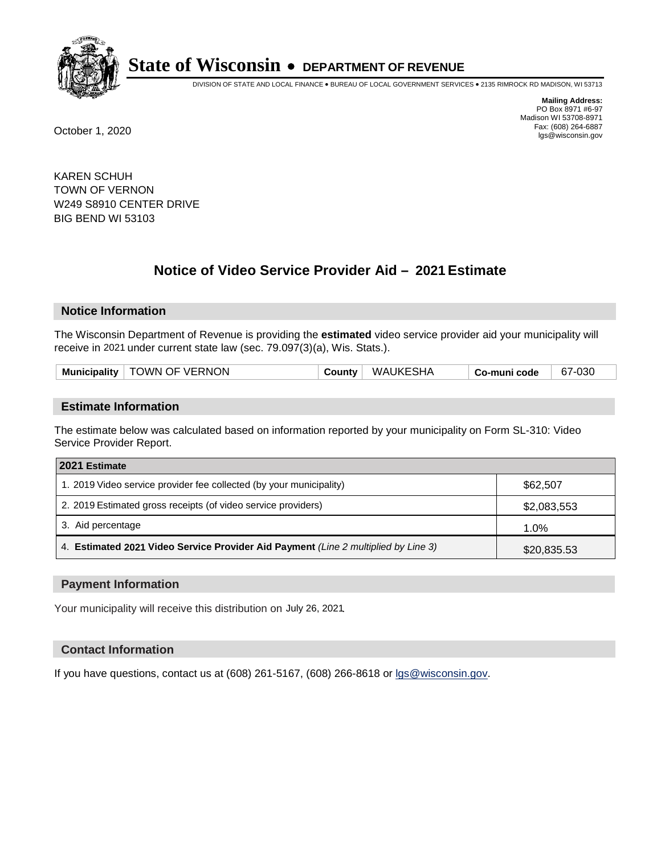

DIVISION OF STATE AND LOCAL FINANCE • BUREAU OF LOCAL GOVERNMENT SERVICES • 2135 RIMROCK RD MADISON, WI 53713

**Mailing Address:** PO Box 8971 #6-97 Madison WI 53708-8971<br>Fax: (608) 264-6887 Fax: (608) 264-6887 October 1, 2020 lgs@wisconsin.gov

KAREN SCHUH TOWN OF VERNON W249 S8910 CENTER DRIVE BIG BEND WI 53103

# **Notice of Video Service Provider Aid - 2021 Estimate**

## **Notice Information**

The Wisconsin Department of Revenue is providing the **estimated** video service provider aid your municipality will receive in 2021 under current state law (sec. 79.097(3)(a), Wis. Stats.).

#### **Estimate Information**

The estimate below was calculated based on information reported by your municipality on Form SL-310: Video Service Provider Report.

| 2021 Estimate                                                                      |             |
|------------------------------------------------------------------------------------|-------------|
| 1. 2019 Video service provider fee collected (by your municipality)                | \$62,507    |
| 2. 2019 Estimated gross receipts (of video service providers)                      | \$2,083,553 |
| 3. Aid percentage                                                                  | 1.0%        |
| 4. Estimated 2021 Video Service Provider Aid Payment (Line 2 multiplied by Line 3) | \$20,835.53 |

#### **Payment Information**

Your municipality will receive this distribution on July 26, 2021.

## **Contact Information**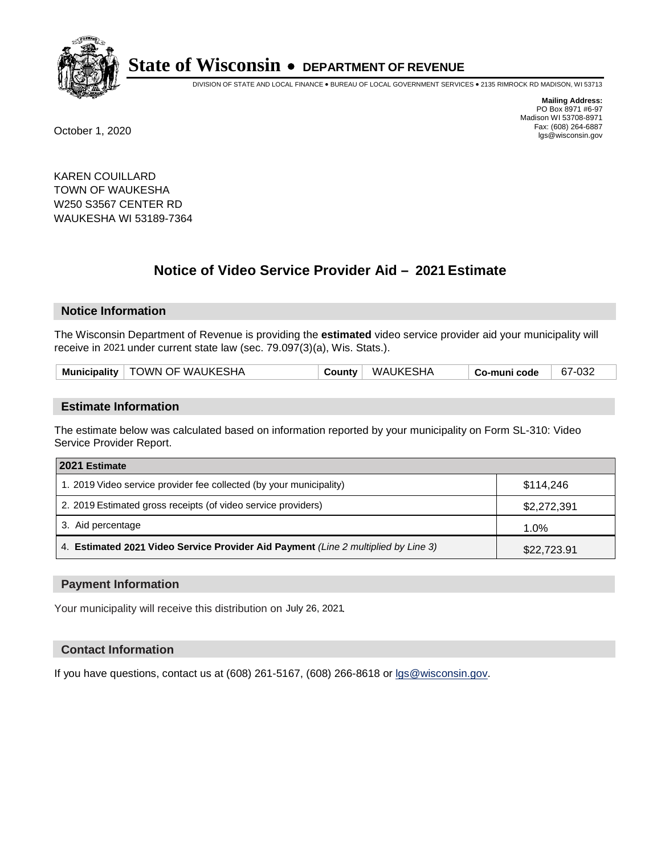

DIVISION OF STATE AND LOCAL FINANCE • BUREAU OF LOCAL GOVERNMENT SERVICES • 2135 RIMROCK RD MADISON, WI 53713

**Mailing Address:** PO Box 8971 #6-97 Madison WI 53708-8971<br>Fax: (608) 264-6887 Fax: (608) 264-6887 October 1, 2020 lgs@wisconsin.gov

KAREN COUILLARD TOWN OF WAUKESHA W250 S3567 CENTER RD WAUKESHA WI 53189-7364

# **Notice of Video Service Provider Aid - 2021 Estimate**

# **Notice Information**

The Wisconsin Department of Revenue is providing the **estimated** video service provider aid your municipality will receive in 2021 under current state law (sec. 79.097(3)(a), Wis. Stats.).

| Municipality   TOWN OF WAUKESHA | WAUKESHA<br>County | Co-muni code | 67-032 |
|---------------------------------|--------------------|--------------|--------|
|---------------------------------|--------------------|--------------|--------|

#### **Estimate Information**

The estimate below was calculated based on information reported by your municipality on Form SL-310: Video Service Provider Report.

| 2021 Estimate                                                                      |             |
|------------------------------------------------------------------------------------|-------------|
| 1. 2019 Video service provider fee collected (by your municipality)                | \$114.246   |
| 2. 2019 Estimated gross receipts (of video service providers)                      | \$2,272,391 |
| 3. Aid percentage                                                                  | 1.0%        |
| 4. Estimated 2021 Video Service Provider Aid Payment (Line 2 multiplied by Line 3) | \$22,723.91 |

#### **Payment Information**

Your municipality will receive this distribution on July 26, 2021.

## **Contact Information**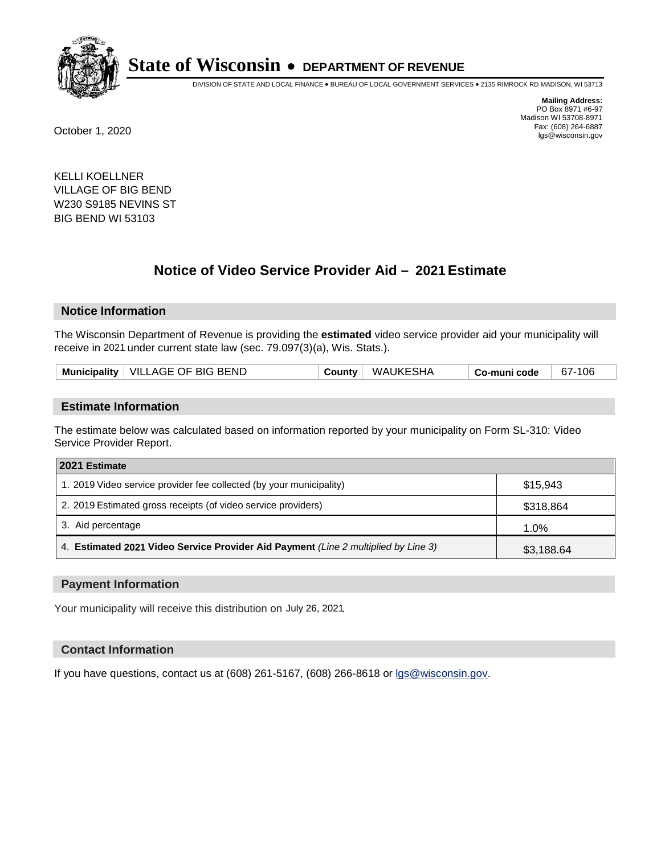

DIVISION OF STATE AND LOCAL FINANCE • BUREAU OF LOCAL GOVERNMENT SERVICES • 2135 RIMROCK RD MADISON, WI 53713

**Mailing Address:** PO Box 8971 #6-97 Madison WI 53708-8971<br>Fax: (608) 264-6887 Fax: (608) 264-6887 October 1, 2020 lgs@wisconsin.gov

KELLI KOELLNER VILLAGE OF BIG BEND W230 S9185 NEVINS ST BIG BEND WI 53103

# **Notice of Video Service Provider Aid - 2021 Estimate**

# **Notice Information**

The Wisconsin Department of Revenue is providing the **estimated** video service provider aid your municipality will receive in 2021 under current state law (sec. 79.097(3)(a), Wis. Stats.).

| Municipality   VILLAGE OF BIG BEND |  | County   WAUKESHA | Co-muni code | 67-106 |  |
|------------------------------------|--|-------------------|--------------|--------|--|
|------------------------------------|--|-------------------|--------------|--------|--|

#### **Estimate Information**

The estimate below was calculated based on information reported by your municipality on Form SL-310: Video Service Provider Report.

| 2021 Estimate                                                                      |            |
|------------------------------------------------------------------------------------|------------|
| 1. 2019 Video service provider fee collected (by your municipality)                | \$15.943   |
| 2. 2019 Estimated gross receipts (of video service providers)                      | \$318,864  |
| 3. Aid percentage                                                                  | 1.0%       |
| 4. Estimated 2021 Video Service Provider Aid Payment (Line 2 multiplied by Line 3) | \$3,188.64 |

#### **Payment Information**

Your municipality will receive this distribution on July 26, 2021.

## **Contact Information**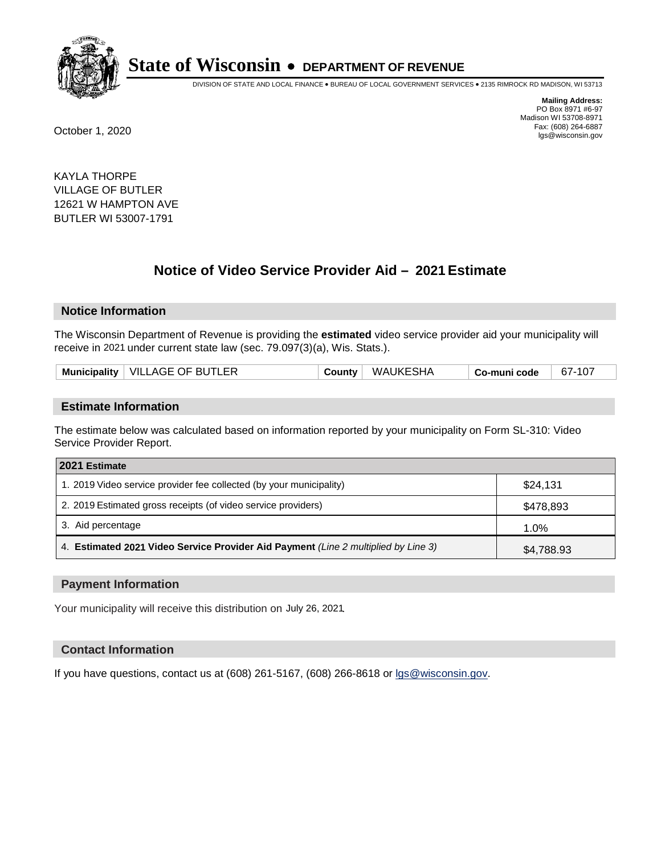

DIVISION OF STATE AND LOCAL FINANCE • BUREAU OF LOCAL GOVERNMENT SERVICES • 2135 RIMROCK RD MADISON, WI 53713

**Mailing Address:** PO Box 8971 #6-97 Madison WI 53708-8971<br>Fax: (608) 264-6887 Fax: (608) 264-6887 October 1, 2020 lgs@wisconsin.gov

KAYLA THORPE VILLAGE OF BUTLER 12621 W HAMPTON AVE BUTLER WI 53007-1791

# **Notice of Video Service Provider Aid - 2021 Estimate**

## **Notice Information**

The Wisconsin Department of Revenue is providing the **estimated** video service provider aid your municipality will receive in 2021 under current state law (sec. 79.097(3)(a), Wis. Stats.).

|--|

#### **Estimate Information**

The estimate below was calculated based on information reported by your municipality on Form SL-310: Video Service Provider Report.

| 2021 Estimate                                                                      |            |
|------------------------------------------------------------------------------------|------------|
| 1. 2019 Video service provider fee collected (by your municipality)                | \$24,131   |
| 2. 2019 Estimated gross receipts (of video service providers)                      | \$478,893  |
| 3. Aid percentage                                                                  | 1.0%       |
| 4. Estimated 2021 Video Service Provider Aid Payment (Line 2 multiplied by Line 3) | \$4,788.93 |

#### **Payment Information**

Your municipality will receive this distribution on July 26, 2021.

## **Contact Information**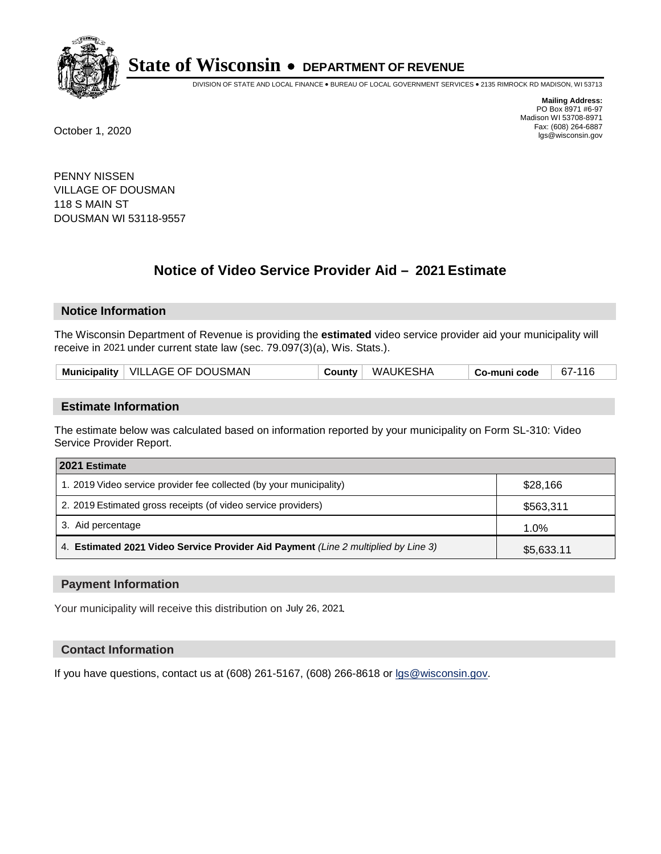

DIVISION OF STATE AND LOCAL FINANCE • BUREAU OF LOCAL GOVERNMENT SERVICES • 2135 RIMROCK RD MADISON, WI 53713

**Mailing Address:** PO Box 8971 #6-97 Madison WI 53708-8971<br>Fax: (608) 264-6887 Fax: (608) 264-6887 October 1, 2020 lgs@wisconsin.gov

PENNY NISSEN VILLAGE OF DOUSMAN 118 S MAIN ST DOUSMAN WI 53118-9557

# **Notice of Video Service Provider Aid - 2021 Estimate**

## **Notice Information**

The Wisconsin Department of Revenue is providing the **estimated** video service provider aid your municipality will receive in 2021 under current state law (sec. 79.097(3)(a), Wis. Stats.).

| Municipality   VILLAGE OF DOUSMAN | County | WAUKESHA | Co-muni code | 67-116 |
|-----------------------------------|--------|----------|--------------|--------|
|-----------------------------------|--------|----------|--------------|--------|

#### **Estimate Information**

The estimate below was calculated based on information reported by your municipality on Form SL-310: Video Service Provider Report.

| 2021 Estimate                                                                      |            |
|------------------------------------------------------------------------------------|------------|
| 1. 2019 Video service provider fee collected (by your municipality)                | \$28,166   |
| 2. 2019 Estimated gross receipts (of video service providers)                      | \$563,311  |
| 3. Aid percentage                                                                  | 1.0%       |
| 4. Estimated 2021 Video Service Provider Aid Payment (Line 2 multiplied by Line 3) | \$5,633.11 |

#### **Payment Information**

Your municipality will receive this distribution on July 26, 2021.

## **Contact Information**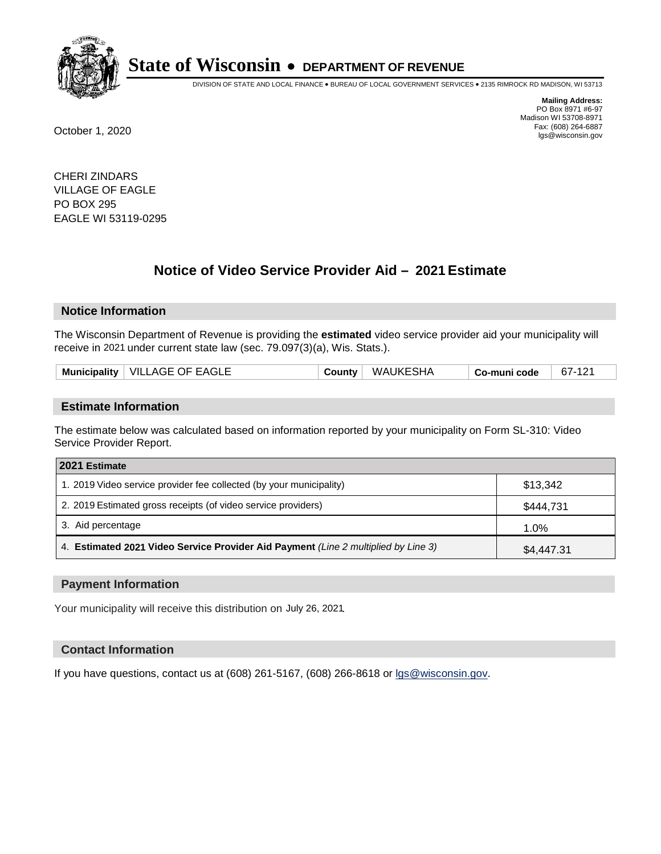

DIVISION OF STATE AND LOCAL FINANCE • BUREAU OF LOCAL GOVERNMENT SERVICES • 2135 RIMROCK RD MADISON, WI 53713

**Mailing Address:** PO Box 8971 #6-97 Madison WI 53708-8971<br>Fax: (608) 264-6887 Fax: (608) 264-6887 October 1, 2020 lgs@wisconsin.gov

CHERI ZINDARS VILLAGE OF EAGLE PO BOX 295 EAGLE WI 53119-0295

# **Notice of Video Service Provider Aid - 2021 Estimate**

# **Notice Information**

The Wisconsin Department of Revenue is providing the **estimated** video service provider aid your municipality will receive in 2021 under current state law (sec. 79.097(3)(a), Wis. Stats.).

|--|

#### **Estimate Information**

The estimate below was calculated based on information reported by your municipality on Form SL-310: Video Service Provider Report.

| 2021 Estimate                                                                      |            |
|------------------------------------------------------------------------------------|------------|
| 1. 2019 Video service provider fee collected (by your municipality)                | \$13,342   |
| 2. 2019 Estimated gross receipts (of video service providers)                      | \$444,731  |
| 3. Aid percentage                                                                  | 1.0%       |
| 4. Estimated 2021 Video Service Provider Aid Payment (Line 2 multiplied by Line 3) | \$4,447.31 |

#### **Payment Information**

Your municipality will receive this distribution on July 26, 2021.

## **Contact Information**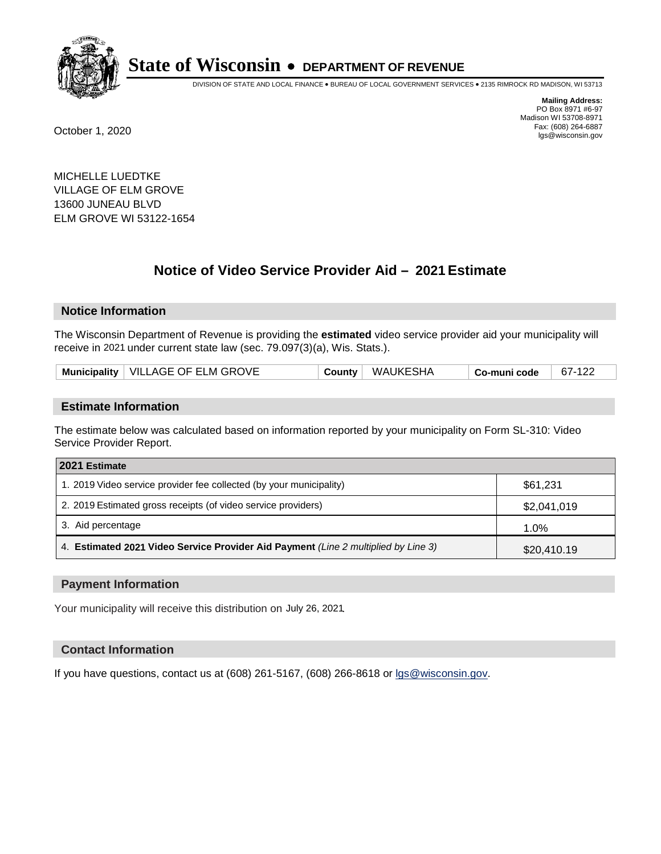

DIVISION OF STATE AND LOCAL FINANCE • BUREAU OF LOCAL GOVERNMENT SERVICES • 2135 RIMROCK RD MADISON, WI 53713

**Mailing Address:** PO Box 8971 #6-97 Madison WI 53708-8971<br>Fax: (608) 264-6887 Fax: (608) 264-6887 October 1, 2020 lgs@wisconsin.gov

MICHELLE LUEDTKE VILLAGE OF ELM GROVE 13600 JUNEAU BLVD ELM GROVE WI 53122-1654

# **Notice of Video Service Provider Aid - 2021 Estimate**

# **Notice Information**

The Wisconsin Department of Revenue is providing the **estimated** video service provider aid your municipality will receive in 2021 under current state law (sec. 79.097(3)(a), Wis. Stats.).

| Municipality   VILLAGE OF ELM GROVE | County WAUKESHA | 67-122<br><sup>⊦</sup> Co-muni code |
|-------------------------------------|-----------------|-------------------------------------|
|-------------------------------------|-----------------|-------------------------------------|

#### **Estimate Information**

The estimate below was calculated based on information reported by your municipality on Form SL-310: Video Service Provider Report.

| 2021 Estimate                                                                      |             |  |
|------------------------------------------------------------------------------------|-------------|--|
| 1. 2019 Video service provider fee collected (by your municipality)                | \$61,231    |  |
| 2. 2019 Estimated gross receipts (of video service providers)                      | \$2,041,019 |  |
| 3. Aid percentage                                                                  | 1.0%        |  |
| 4. Estimated 2021 Video Service Provider Aid Payment (Line 2 multiplied by Line 3) | \$20,410.19 |  |

#### **Payment Information**

Your municipality will receive this distribution on July 26, 2021.

## **Contact Information**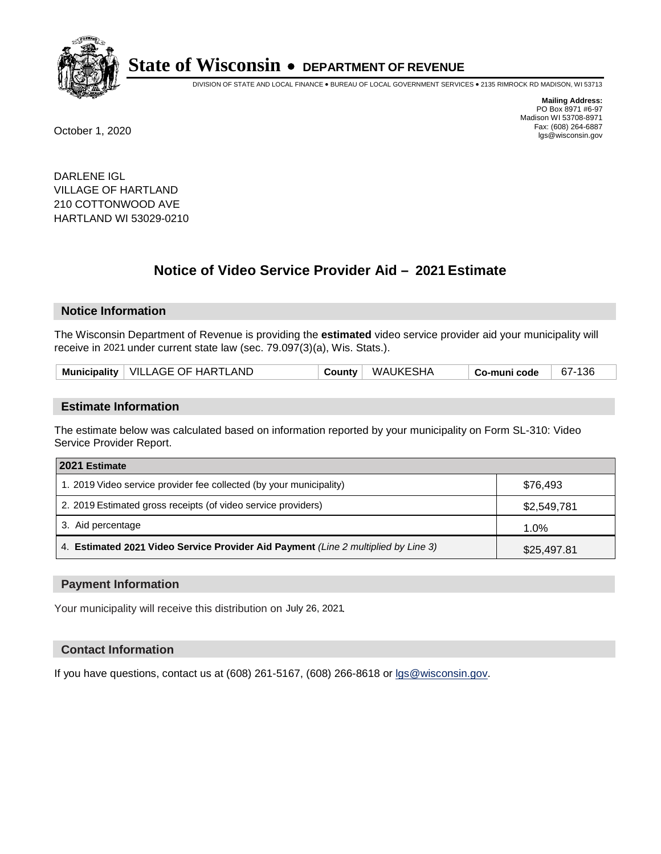

DIVISION OF STATE AND LOCAL FINANCE • BUREAU OF LOCAL GOVERNMENT SERVICES • 2135 RIMROCK RD MADISON, WI 53713

**Mailing Address:** PO Box 8971 #6-97 Madison WI 53708-8971<br>Fax: (608) 264-6887 Fax: (608) 264-6887 October 1, 2020 lgs@wisconsin.gov

DARLENE IGL VILLAGE OF HARTLAND 210 COTTONWOOD AVE HARTLAND WI 53029-0210

# **Notice of Video Service Provider Aid - 2021 Estimate**

## **Notice Information**

The Wisconsin Department of Revenue is providing the **estimated** video service provider aid your municipality will receive in 2021 under current state law (sec. 79.097(3)(a), Wis. Stats.).

| Municipality   VILLAGE OF HARTLAND | County | WAUKESHA | Co-muni code | 67-136 |
|------------------------------------|--------|----------|--------------|--------|
|------------------------------------|--------|----------|--------------|--------|

#### **Estimate Information**

The estimate below was calculated based on information reported by your municipality on Form SL-310: Video Service Provider Report.

| 2021 Estimate                                                                      |             |
|------------------------------------------------------------------------------------|-------------|
| 1. 2019 Video service provider fee collected (by your municipality)                | \$76.493    |
| 2. 2019 Estimated gross receipts (of video service providers)                      | \$2,549,781 |
| 3. Aid percentage                                                                  | 1.0%        |
| 4. Estimated 2021 Video Service Provider Aid Payment (Line 2 multiplied by Line 3) | \$25,497.81 |

#### **Payment Information**

Your municipality will receive this distribution on July 26, 2021.

## **Contact Information**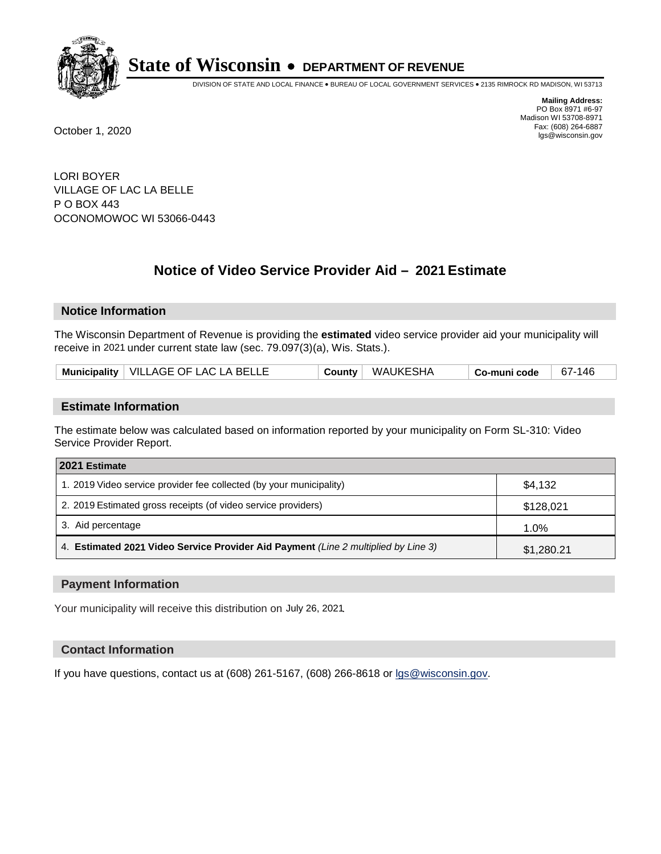

DIVISION OF STATE AND LOCAL FINANCE • BUREAU OF LOCAL GOVERNMENT SERVICES • 2135 RIMROCK RD MADISON, WI 53713

**Mailing Address:** PO Box 8971 #6-97 Madison WI 53708-8971<br>Fax: (608) 264-6887 Fax: (608) 264-6887 October 1, 2020 lgs@wisconsin.gov

LORI BOYER VILLAGE OF LAC LA BELLE P O BOX 443 OCONOMOWOC WI 53066-0443

# **Notice of Video Service Provider Aid - 2021 Estimate**

## **Notice Information**

The Wisconsin Department of Revenue is providing the **estimated** video service provider aid your municipality will receive in 2021 under current state law (sec. 79.097(3)(a), Wis. Stats.).

| Municipality   VILLAGE OF LAC LA BELLE | County | ' WAUKESHA | ็ Co-muni code | 67-146 |
|----------------------------------------|--------|------------|----------------|--------|
|----------------------------------------|--------|------------|----------------|--------|

#### **Estimate Information**

The estimate below was calculated based on information reported by your municipality on Form SL-310: Video Service Provider Report.

| 2021 Estimate                                                                      |            |
|------------------------------------------------------------------------------------|------------|
| 1. 2019 Video service provider fee collected (by your municipality)                | \$4,132    |
| 2. 2019 Estimated gross receipts (of video service providers)                      | \$128,021  |
| 3. Aid percentage                                                                  | 1.0%       |
| 4. Estimated 2021 Video Service Provider Aid Payment (Line 2 multiplied by Line 3) | \$1,280.21 |

#### **Payment Information**

Your municipality will receive this distribution on July 26, 2021.

## **Contact Information**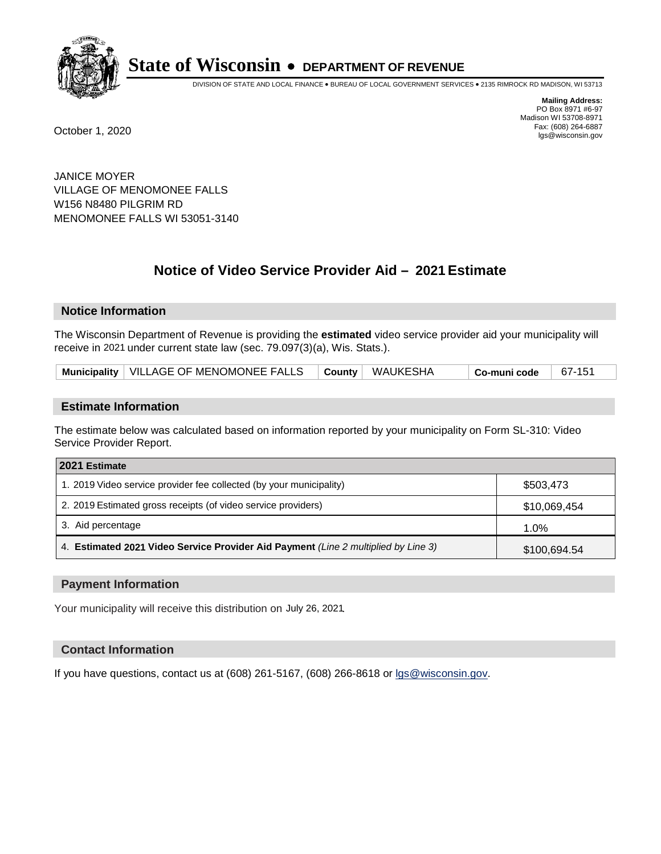

DIVISION OF STATE AND LOCAL FINANCE • BUREAU OF LOCAL GOVERNMENT SERVICES • 2135 RIMROCK RD MADISON, WI 53713

**Mailing Address:** PO Box 8971 #6-97 Madison WI 53708-8971<br>Fax: (608) 264-6887 Fax: (608) 264-6887 October 1, 2020 lgs@wisconsin.gov

JANICE MOYER VILLAGE OF MENOMONEE FALLS W156 N8480 PILGRIM RD MENOMONEE FALLS WI 53051-3140

# **Notice of Video Service Provider Aid - 2021 Estimate**

## **Notice Information**

The Wisconsin Department of Revenue is providing the **estimated** video service provider aid your municipality will receive in 2021 under current state law (sec. 79.097(3)(a), Wis. Stats.).

| Municipality   VILLAGE OF MENOMONEE FALLS |  | $\vdash$ County $\vert$ WAUKESHA | └ Co-muni code | 67-15 |  |
|-------------------------------------------|--|----------------------------------|----------------|-------|--|
|-------------------------------------------|--|----------------------------------|----------------|-------|--|

#### **Estimate Information**

The estimate below was calculated based on information reported by your municipality on Form SL-310: Video Service Provider Report.

| 2021 Estimate                                                                      |              |
|------------------------------------------------------------------------------------|--------------|
| 1. 2019 Video service provider fee collected (by your municipality)                | \$503,473    |
| 2. 2019 Estimated gross receipts (of video service providers)                      | \$10,069,454 |
| 3. Aid percentage                                                                  | 1.0%         |
| 4. Estimated 2021 Video Service Provider Aid Payment (Line 2 multiplied by Line 3) | \$100,694.54 |

#### **Payment Information**

Your municipality will receive this distribution on July 26, 2021.

## **Contact Information**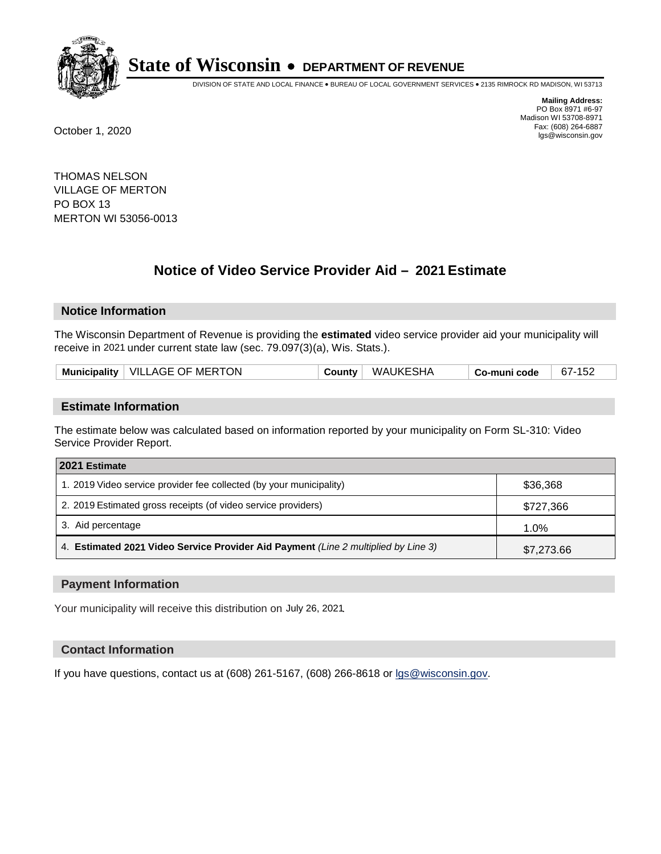

DIVISION OF STATE AND LOCAL FINANCE • BUREAU OF LOCAL GOVERNMENT SERVICES • 2135 RIMROCK RD MADISON, WI 53713

**Mailing Address:** PO Box 8971 #6-97 Madison WI 53708-8971<br>Fax: (608) 264-6887 Fax: (608) 264-6887 October 1, 2020 lgs@wisconsin.gov

THOMAS NELSON VILLAGE OF MERTON PO BOX 13 MERTON WI 53056-0013

# **Notice of Video Service Provider Aid - 2021 Estimate**

## **Notice Information**

The Wisconsin Department of Revenue is providing the **estimated** video service provider aid your municipality will receive in 2021 under current state law (sec. 79.097(3)(a), Wis. Stats.).

| Municipality   VILLAGE OF MERTON<br>WAUKESHA<br>67-152<br>County<br><sup>⊦</sup> Co-muni code |  |
|-----------------------------------------------------------------------------------------------|--|
|-----------------------------------------------------------------------------------------------|--|

#### **Estimate Information**

The estimate below was calculated based on information reported by your municipality on Form SL-310: Video Service Provider Report.

| 2021 Estimate                                                                      |            |
|------------------------------------------------------------------------------------|------------|
| 1. 2019 Video service provider fee collected (by your municipality)                | \$36,368   |
| 2. 2019 Estimated gross receipts (of video service providers)                      | \$727,366  |
| 3. Aid percentage                                                                  | 1.0%       |
| 4. Estimated 2021 Video Service Provider Aid Payment (Line 2 multiplied by Line 3) | \$7,273.66 |

#### **Payment Information**

Your municipality will receive this distribution on July 26, 2021.

## **Contact Information**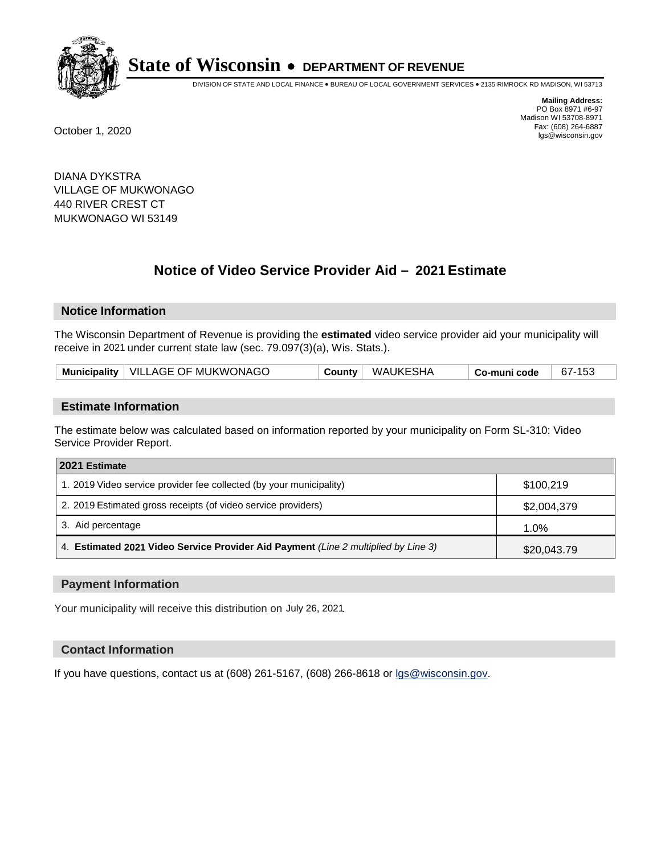

DIVISION OF STATE AND LOCAL FINANCE • BUREAU OF LOCAL GOVERNMENT SERVICES • 2135 RIMROCK RD MADISON, WI 53713

**Mailing Address:** PO Box 8971 #6-97 Madison WI 53708-8971<br>Fax: (608) 264-6887 Fax: (608) 264-6887 October 1, 2020 lgs@wisconsin.gov

DIANA DYKSTRA VILLAGE OF MUKWONAGO 440 RIVER CREST CT MUKWONAGO WI 53149

# **Notice of Video Service Provider Aid - 2021 Estimate**

## **Notice Information**

The Wisconsin Department of Revenue is providing the **estimated** video service provider aid your municipality will receive in 2021 under current state law (sec. 79.097(3)(a), Wis. Stats.).

| Municipality   VILLAGE OF MUKWONAGO | Countv | ∣ WAUKESHA | <b>↓Co-muni code</b> | 67-153 |
|-------------------------------------|--------|------------|----------------------|--------|
|-------------------------------------|--------|------------|----------------------|--------|

#### **Estimate Information**

The estimate below was calculated based on information reported by your municipality on Form SL-310: Video Service Provider Report.

| 2021 Estimate                                                                      |             |
|------------------------------------------------------------------------------------|-------------|
| 1. 2019 Video service provider fee collected (by your municipality)                | \$100.219   |
| 2. 2019 Estimated gross receipts (of video service providers)                      | \$2,004,379 |
| 3. Aid percentage                                                                  | $1.0\%$     |
| 4. Estimated 2021 Video Service Provider Aid Payment (Line 2 multiplied by Line 3) | \$20,043.79 |

#### **Payment Information**

Your municipality will receive this distribution on July 26, 2021.

## **Contact Information**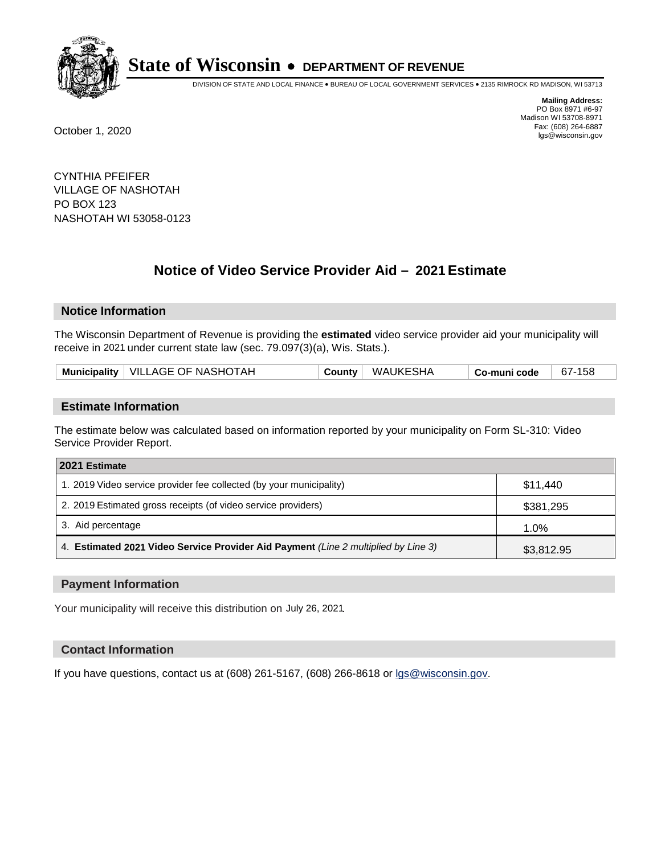

DIVISION OF STATE AND LOCAL FINANCE • BUREAU OF LOCAL GOVERNMENT SERVICES • 2135 RIMROCK RD MADISON, WI 53713

**Mailing Address:** PO Box 8971 #6-97 Madison WI 53708-8971<br>Fax: (608) 264-6887 Fax: (608) 264-6887 October 1, 2020 lgs@wisconsin.gov

CYNTHIA PFEIFER VILLAGE OF NASHOTAH PO BOX 123 NASHOTAH WI 53058-0123

# **Notice of Video Service Provider Aid - 2021 Estimate**

## **Notice Information**

The Wisconsin Department of Revenue is providing the **estimated** video service provider aid your municipality will receive in 2021 under current state law (sec. 79.097(3)(a), Wis. Stats.).

| Municipality   VILLAGE OF NASHOTAH | Countv | WAUKESHA | Co-muni code | 67-158 |
|------------------------------------|--------|----------|--------------|--------|
|------------------------------------|--------|----------|--------------|--------|

#### **Estimate Information**

The estimate below was calculated based on information reported by your municipality on Form SL-310: Video Service Provider Report.

| 2021 Estimate                                                                      |            |
|------------------------------------------------------------------------------------|------------|
| 1. 2019 Video service provider fee collected (by your municipality)                | \$11.440   |
| 2. 2019 Estimated gross receipts (of video service providers)                      | \$381,295  |
| 3. Aid percentage                                                                  | 1.0%       |
| 4. Estimated 2021 Video Service Provider Aid Payment (Line 2 multiplied by Line 3) | \$3,812.95 |

#### **Payment Information**

Your municipality will receive this distribution on July 26, 2021.

## **Contact Information**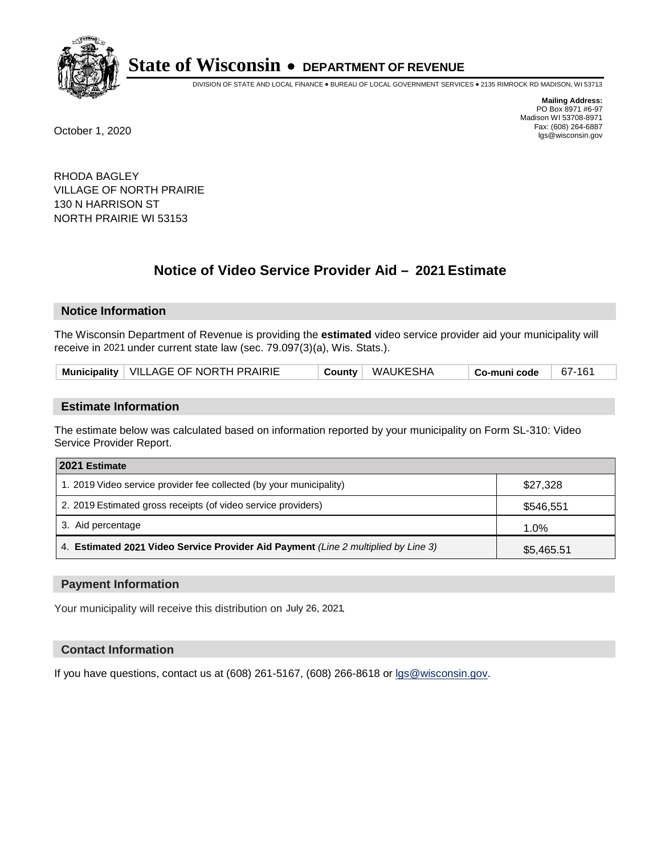

DIVISION OF STATE AND LOCAL FINANCE • BUREAU OF LOCAL GOVERNMENT SERVICES • 2135 RIMROCK RD MADISON, WI 53713

**Mailing Address:** PO Box 8971 #6-97 Madison WI 53708-8971<br>Fax: (608) 264-6887 Fax: (608) 264-6887 October 1, 2020 lgs@wisconsin.gov

RHODA BAGLEY VILLAGE OF NORTH PRAIRIE 130 N HARRISON ST NORTH PRAIRIE WI 53153

# **Notice of Video Service Provider Aid - 2021 Estimate**

## **Notice Information**

The Wisconsin Department of Revenue is providing the **estimated** video service provider aid your municipality will receive in 2021 under current state law (sec. 79.097(3)(a), Wis. Stats.).

| Municipality   VILLAGE OF NORTH PRAIRIE |  | County WAUKESHA | Co-muni code | 67-161 |
|-----------------------------------------|--|-----------------|--------------|--------|
|-----------------------------------------|--|-----------------|--------------|--------|

#### **Estimate Information**

The estimate below was calculated based on information reported by your municipality on Form SL-310: Video Service Provider Report.

| 2021 Estimate                                                                      |            |
|------------------------------------------------------------------------------------|------------|
| 1. 2019 Video service provider fee collected (by your municipality)                | \$27,328   |
| 2. 2019 Estimated gross receipts (of video service providers)                      | \$546,551  |
| 3. Aid percentage                                                                  | 1.0%       |
| 4. Estimated 2021 Video Service Provider Aid Payment (Line 2 multiplied by Line 3) | \$5,465.51 |

#### **Payment Information**

Your municipality will receive this distribution on July 26, 2021.

## **Contact Information**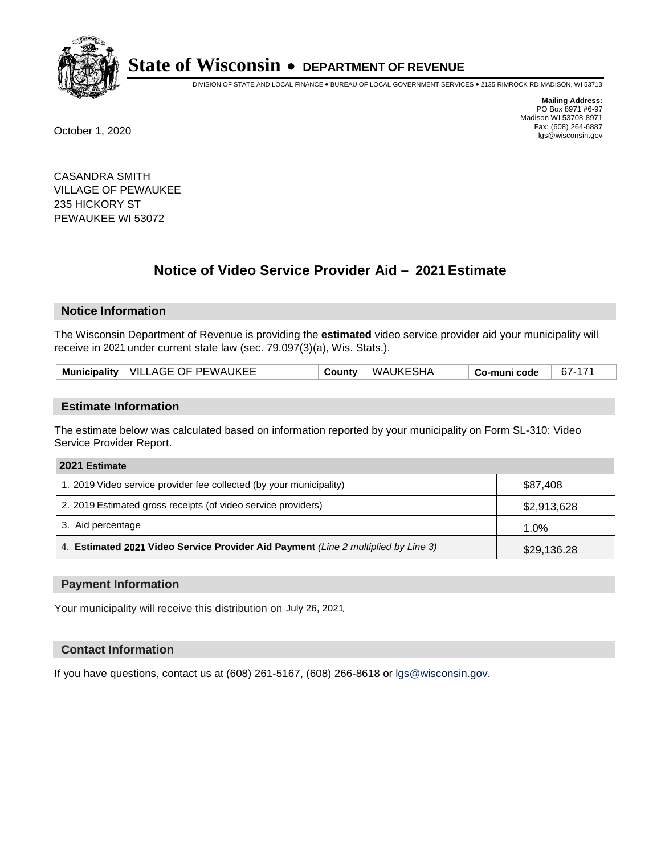

DIVISION OF STATE AND LOCAL FINANCE • BUREAU OF LOCAL GOVERNMENT SERVICES • 2135 RIMROCK RD MADISON, WI 53713

**Mailing Address:** PO Box 8971 #6-97 Madison WI 53708-8971<br>Fax: (608) 264-6887 Fax: (608) 264-6887 October 1, 2020 lgs@wisconsin.gov

CASANDRA SMITH VILLAGE OF PEWAUKEE 235 HICKORY ST PEWAUKEE WI 53072

# **Notice of Video Service Provider Aid - 2021 Estimate**

## **Notice Information**

The Wisconsin Department of Revenue is providing the **estimated** video service provider aid your municipality will receive in 2021 under current state law (sec. 79.097(3)(a), Wis. Stats.).

| Municipality   VILLAGE OF PEWAUKEE | Countv | ' WAUKESHA | <sup>⊢</sup> Co-muni code | 67-171 |
|------------------------------------|--------|------------|---------------------------|--------|
|------------------------------------|--------|------------|---------------------------|--------|

#### **Estimate Information**

The estimate below was calculated based on information reported by your municipality on Form SL-310: Video Service Provider Report.

| 2021 Estimate                                                                      |             |
|------------------------------------------------------------------------------------|-------------|
| 1. 2019 Video service provider fee collected (by your municipality)                | \$87,408    |
| 2. 2019 Estimated gross receipts (of video service providers)                      | \$2,913,628 |
| 3. Aid percentage                                                                  | 1.0%        |
| 4. Estimated 2021 Video Service Provider Aid Payment (Line 2 multiplied by Line 3) | \$29,136.28 |

#### **Payment Information**

Your municipality will receive this distribution on July 26, 2021.

## **Contact Information**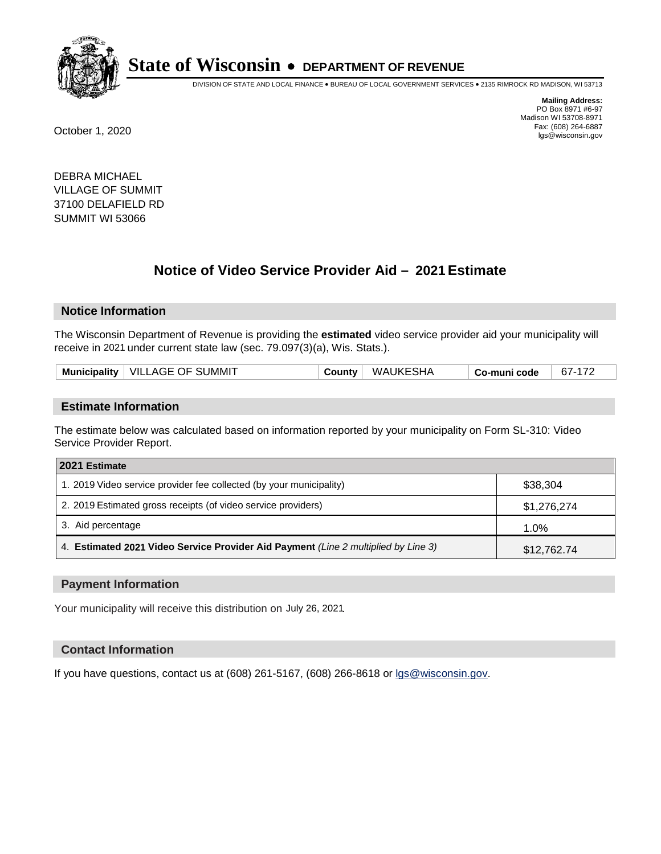

DIVISION OF STATE AND LOCAL FINANCE • BUREAU OF LOCAL GOVERNMENT SERVICES • 2135 RIMROCK RD MADISON, WI 53713

**Mailing Address:** PO Box 8971 #6-97 Madison WI 53708-8971<br>Fax: (608) 264-6887 Fax: (608) 264-6887 October 1, 2020 lgs@wisconsin.gov

DEBRA MICHAEL VILLAGE OF SUMMIT 37100 DELAFIELD RD SUMMIT WI 53066

# **Notice of Video Service Provider Aid - 2021 Estimate**

## **Notice Information**

The Wisconsin Department of Revenue is providing the **estimated** video service provider aid your municipality will receive in 2021 under current state law (sec. 79.097(3)(a), Wis. Stats.).

|--|

#### **Estimate Information**

The estimate below was calculated based on information reported by your municipality on Form SL-310: Video Service Provider Report.

| 2021 Estimate                                                                      |             |
|------------------------------------------------------------------------------------|-------------|
| 1. 2019 Video service provider fee collected (by your municipality)                | \$38,304    |
| 2. 2019 Estimated gross receipts (of video service providers)                      | \$1,276,274 |
| 3. Aid percentage                                                                  | 1.0%        |
| 4. Estimated 2021 Video Service Provider Aid Payment (Line 2 multiplied by Line 3) | \$12,762.74 |

#### **Payment Information**

Your municipality will receive this distribution on July 26, 2021.

## **Contact Information**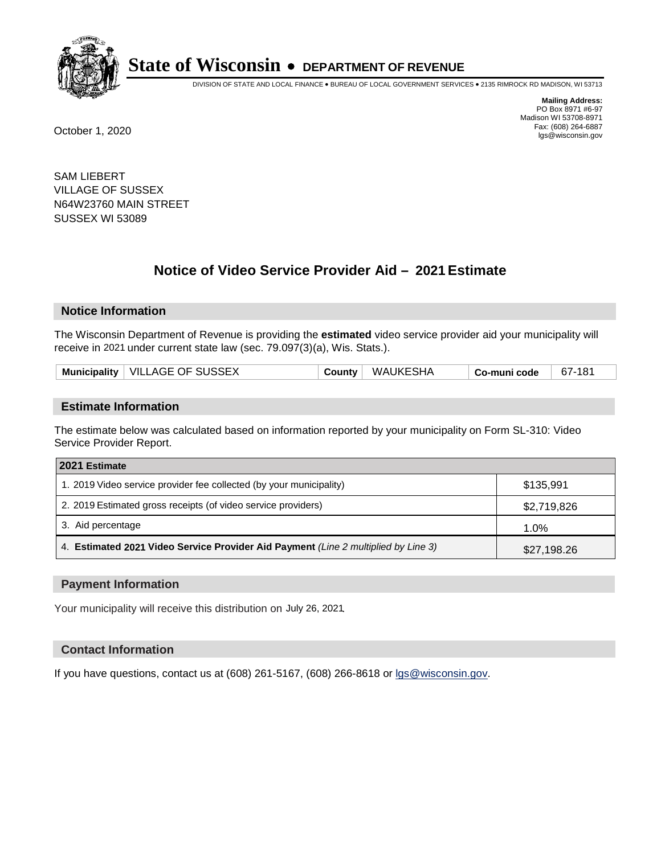

DIVISION OF STATE AND LOCAL FINANCE • BUREAU OF LOCAL GOVERNMENT SERVICES • 2135 RIMROCK RD MADISON, WI 53713

**Mailing Address:** PO Box 8971 #6-97 Madison WI 53708-8971<br>Fax: (608) 264-6887 Fax: (608) 264-6887 October 1, 2020 lgs@wisconsin.gov

SAM LIEBERT VILLAGE OF SUSSEX N64W23760 MAIN STREET SUSSEX WI 53089

# **Notice of Video Service Provider Aid - 2021 Estimate**

## **Notice Information**

The Wisconsin Department of Revenue is providing the **estimated** video service provider aid your municipality will receive in 2021 under current state law (sec. 79.097(3)(a), Wis. Stats.).

| Municipality   VILLAGE OF SUSSEX<br>County WAUKESHA<br>67-181<br>Co-muni code |  |
|-------------------------------------------------------------------------------|--|
|-------------------------------------------------------------------------------|--|

#### **Estimate Information**

The estimate below was calculated based on information reported by your municipality on Form SL-310: Video Service Provider Report.

| 2021 Estimate                                                                      |             |
|------------------------------------------------------------------------------------|-------------|
| 1. 2019 Video service provider fee collected (by your municipality)                | \$135.991   |
| 2. 2019 Estimated gross receipts (of video service providers)                      | \$2,719,826 |
| 3. Aid percentage                                                                  | 1.0%        |
| 4. Estimated 2021 Video Service Provider Aid Payment (Line 2 multiplied by Line 3) | \$27,198.26 |

#### **Payment Information**

Your municipality will receive this distribution on July 26, 2021.

## **Contact Information**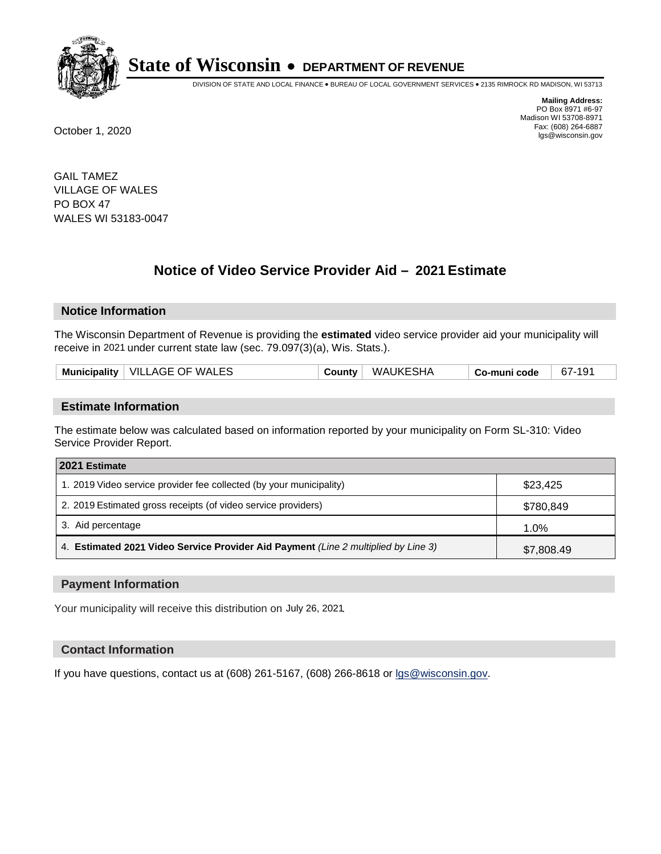

DIVISION OF STATE AND LOCAL FINANCE • BUREAU OF LOCAL GOVERNMENT SERVICES • 2135 RIMROCK RD MADISON, WI 53713

**Mailing Address:** PO Box 8971 #6-97 Madison WI 53708-8971<br>Fax: (608) 264-6887 Fax: (608) 264-6887 October 1, 2020 lgs@wisconsin.gov

GAIL TAMEZ VILLAGE OF WALES PO BOX 47 WALES WI 53183-0047

# **Notice of Video Service Provider Aid - 2021 Estimate**

## **Notice Information**

The Wisconsin Department of Revenue is providing the **estimated** video service provider aid your municipality will receive in 2021 under current state law (sec. 79.097(3)(a), Wis. Stats.).

| Municipality   VILLAGE OF WALES | <b>County</b> | WAUKESHA | Co-muni code | 67-191 |
|---------------------------------|---------------|----------|--------------|--------|
|                                 |               |          |              |        |

#### **Estimate Information**

The estimate below was calculated based on information reported by your municipality on Form SL-310: Video Service Provider Report.

| 2021 Estimate                                                                      |            |
|------------------------------------------------------------------------------------|------------|
| 1. 2019 Video service provider fee collected (by your municipality)                | \$23,425   |
| 2. 2019 Estimated gross receipts (of video service providers)                      | \$780,849  |
| 3. Aid percentage                                                                  | 1.0%       |
| 4. Estimated 2021 Video Service Provider Aid Payment (Line 2 multiplied by Line 3) | \$7,808.49 |

#### **Payment Information**

Your municipality will receive this distribution on July 26, 2021.

## **Contact Information**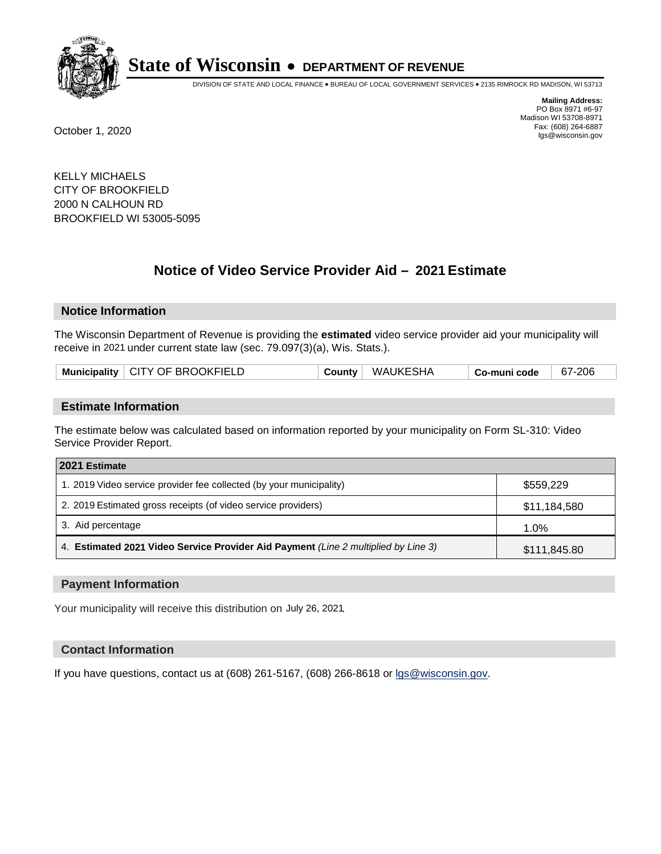

DIVISION OF STATE AND LOCAL FINANCE • BUREAU OF LOCAL GOVERNMENT SERVICES • 2135 RIMROCK RD MADISON, WI 53713

**Mailing Address:** PO Box 8971 #6-97 Madison WI 53708-8971<br>Fax: (608) 264-6887 Fax: (608) 264-6887 October 1, 2020 lgs@wisconsin.gov

KELLY MICHAELS CITY OF BROOKFIELD 2000 N CALHOUN RD BROOKFIELD WI 53005-5095

# **Notice of Video Service Provider Aid - 2021 Estimate**

## **Notice Information**

The Wisconsin Department of Revenue is providing the **estimated** video service provider aid your municipality will receive in 2021 under current state law (sec. 79.097(3)(a), Wis. Stats.).

| Municipality   CITY OF BROOKFIELD | <b>County</b> | WAUKESHA | Co-muni code | 67-206 |
|-----------------------------------|---------------|----------|--------------|--------|
|-----------------------------------|---------------|----------|--------------|--------|

#### **Estimate Information**

The estimate below was calculated based on information reported by your municipality on Form SL-310: Video Service Provider Report.

| 2021 Estimate                                                                      |              |
|------------------------------------------------------------------------------------|--------------|
| 1. 2019 Video service provider fee collected (by your municipality)                | \$559.229    |
| 2. 2019 Estimated gross receipts (of video service providers)                      | \$11,184,580 |
| 3. Aid percentage                                                                  | 1.0%         |
| 4. Estimated 2021 Video Service Provider Aid Payment (Line 2 multiplied by Line 3) | \$111,845.80 |

#### **Payment Information**

Your municipality will receive this distribution on July 26, 2021.

## **Contact Information**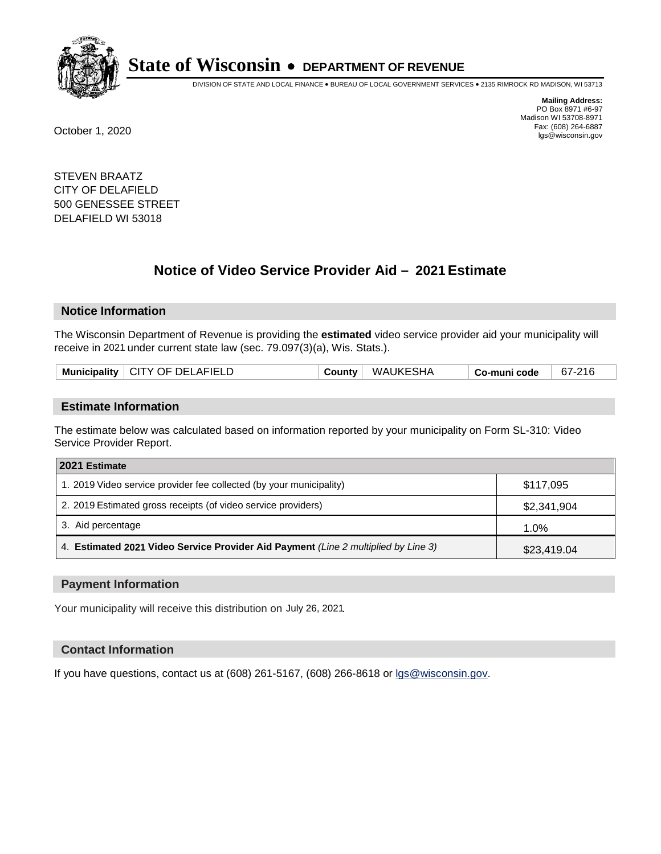

DIVISION OF STATE AND LOCAL FINANCE • BUREAU OF LOCAL GOVERNMENT SERVICES • 2135 RIMROCK RD MADISON, WI 53713

**Mailing Address:** PO Box 8971 #6-97 Madison WI 53708-8971<br>Fax: (608) 264-6887 Fax: (608) 264-6887 October 1, 2020 lgs@wisconsin.gov

STEVEN BRAATZ CITY OF DELAFIELD 500 GENESSEE STREET DELAFIELD WI 53018

# **Notice of Video Service Provider Aid - 2021 Estimate**

## **Notice Information**

The Wisconsin Department of Revenue is providing the **estimated** video service provider aid your municipality will receive in 2021 under current state law (sec. 79.097(3)(a), Wis. Stats.).

| Municipality   CITY OF DELAFIELD | <b>County</b> | WAUKESHA | Co-muni code | 67-216 |
|----------------------------------|---------------|----------|--------------|--------|
|                                  |               |          |              |        |

#### **Estimate Information**

The estimate below was calculated based on information reported by your municipality on Form SL-310: Video Service Provider Report.

| 2021 Estimate                                                                      |             |  |
|------------------------------------------------------------------------------------|-------------|--|
| 1. 2019 Video service provider fee collected (by your municipality)                | \$117.095   |  |
| 2. 2019 Estimated gross receipts (of video service providers)                      | \$2,341,904 |  |
| 3. Aid percentage                                                                  | 1.0%        |  |
| 4. Estimated 2021 Video Service Provider Aid Payment (Line 2 multiplied by Line 3) | \$23,419.04 |  |

#### **Payment Information**

Your municipality will receive this distribution on July 26, 2021.

## **Contact Information**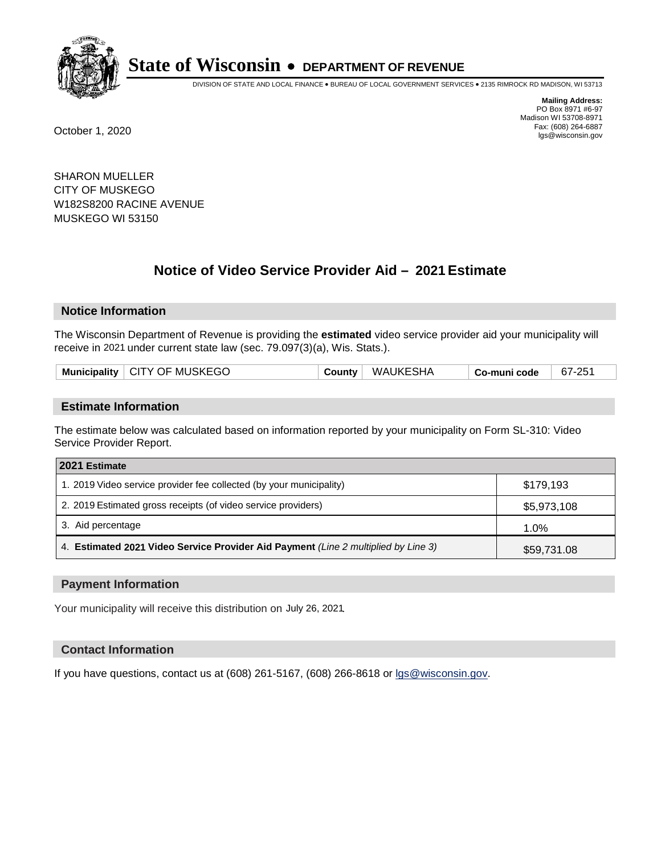

DIVISION OF STATE AND LOCAL FINANCE • BUREAU OF LOCAL GOVERNMENT SERVICES • 2135 RIMROCK RD MADISON, WI 53713

**Mailing Address:** PO Box 8971 #6-97 Madison WI 53708-8971<br>Fax: (608) 264-6887 Fax: (608) 264-6887 October 1, 2020 lgs@wisconsin.gov

SHARON MUELLER CITY OF MUSKEGO W182S8200 RACINE AVENUE MUSKEGO WI 53150

# **Notice of Video Service Provider Aid - 2021 Estimate**

## **Notice Information**

The Wisconsin Department of Revenue is providing the **estimated** video service provider aid your municipality will receive in 2021 under current state law (sec. 79.097(3)(a), Wis. Stats.).

| Municipality   CITY OF MUSKEGO<br>' WAUKESHA<br>$\overline{\phantom{a}}$ County $\overline{\phantom{a}}$<br>Co-muni code |
|--------------------------------------------------------------------------------------------------------------------------|
|--------------------------------------------------------------------------------------------------------------------------|

#### **Estimate Information**

The estimate below was calculated based on information reported by your municipality on Form SL-310: Video Service Provider Report.

| 2021 Estimate                                                                      |             |  |  |
|------------------------------------------------------------------------------------|-------------|--|--|
| 1. 2019 Video service provider fee collected (by your municipality)                | \$179.193   |  |  |
| 2. 2019 Estimated gross receipts (of video service providers)                      | \$5,973,108 |  |  |
| 3. Aid percentage                                                                  | 1.0%        |  |  |
| 4. Estimated 2021 Video Service Provider Aid Payment (Line 2 multiplied by Line 3) | \$59,731.08 |  |  |

#### **Payment Information**

Your municipality will receive this distribution on July 26, 2021.

## **Contact Information**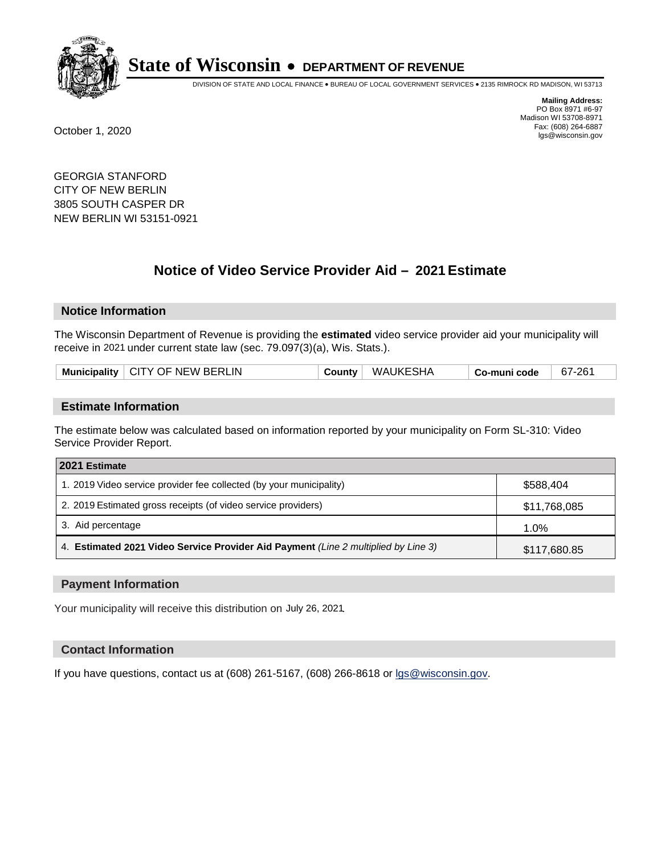

DIVISION OF STATE AND LOCAL FINANCE • BUREAU OF LOCAL GOVERNMENT SERVICES • 2135 RIMROCK RD MADISON, WI 53713

**Mailing Address:** PO Box 8971 #6-97 Madison WI 53708-8971<br>Fax: (608) 264-6887 Fax: (608) 264-6887 October 1, 2020 lgs@wisconsin.gov

GEORGIA STANFORD CITY OF NEW BERLIN 3805 SOUTH CASPER DR NEW BERLIN WI 53151-0921

# **Notice of Video Service Provider Aid - 2021 Estimate**

## **Notice Information**

The Wisconsin Department of Revenue is providing the **estimated** video service provider aid your municipality will receive in 2021 under current state law (sec. 79.097(3)(a), Wis. Stats.).

| Municipality   CITY OF NEW BERLIN | County | WAUKESHA | Co-muni code | 67-261 |
|-----------------------------------|--------|----------|--------------|--------|
|-----------------------------------|--------|----------|--------------|--------|

#### **Estimate Information**

The estimate below was calculated based on information reported by your municipality on Form SL-310: Video Service Provider Report.

| 2021 Estimate                                                                      |              |  |  |
|------------------------------------------------------------------------------------|--------------|--|--|
| 1. 2019 Video service provider fee collected (by your municipality)                | \$588,404    |  |  |
| 2. 2019 Estimated gross receipts (of video service providers)                      | \$11,768,085 |  |  |
| 3. Aid percentage                                                                  | 1.0%         |  |  |
| 4. Estimated 2021 Video Service Provider Aid Payment (Line 2 multiplied by Line 3) | \$117,680.85 |  |  |

#### **Payment Information**

Your municipality will receive this distribution on July 26, 2021.

## **Contact Information**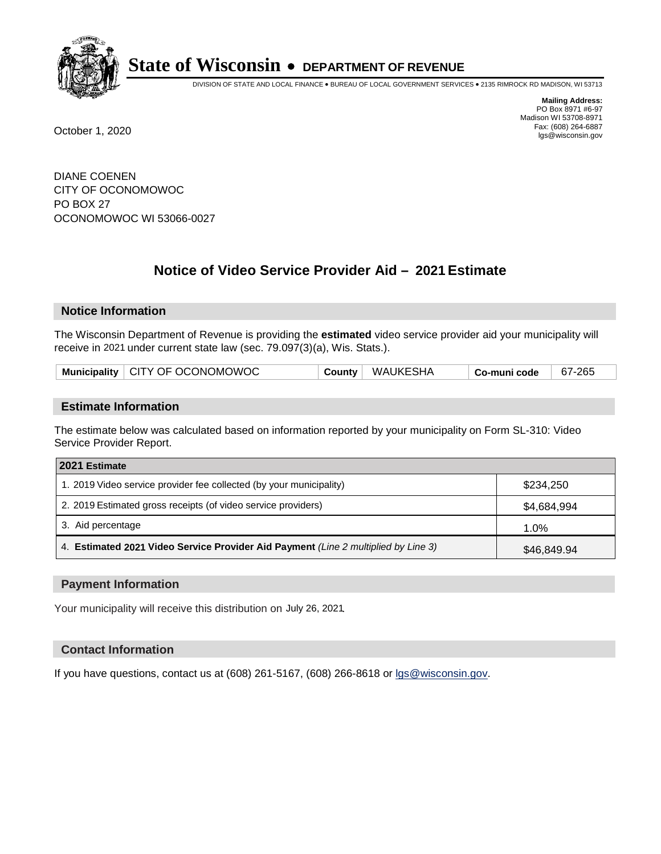

DIVISION OF STATE AND LOCAL FINANCE • BUREAU OF LOCAL GOVERNMENT SERVICES • 2135 RIMROCK RD MADISON, WI 53713

**Mailing Address:** PO Box 8971 #6-97 Madison WI 53708-8971<br>Fax: (608) 264-6887 Fax: (608) 264-6887 October 1, 2020 lgs@wisconsin.gov

DIANE COENEN CITY OF OCONOMOWOC PO BOX 27 OCONOMOWOC WI 53066-0027

# **Notice of Video Service Provider Aid - 2021 Estimate**

## **Notice Information**

The Wisconsin Department of Revenue is providing the **estimated** video service provider aid your municipality will receive in 2021 under current state law (sec. 79.097(3)(a), Wis. Stats.).

| Municipality   CITY OF OCONOMOWOC | <b>County</b> | WAUKESHA | Co-muni code | 67-265 |
|-----------------------------------|---------------|----------|--------------|--------|
|-----------------------------------|---------------|----------|--------------|--------|

#### **Estimate Information**

The estimate below was calculated based on information reported by your municipality on Form SL-310: Video Service Provider Report.

| 2021 Estimate                                                                      |             |  |  |
|------------------------------------------------------------------------------------|-------------|--|--|
| 1. 2019 Video service provider fee collected (by your municipality)                | \$234.250   |  |  |
| 2. 2019 Estimated gross receipts (of video service providers)                      | \$4,684,994 |  |  |
| 3. Aid percentage                                                                  | $1.0\%$     |  |  |
| 4. Estimated 2021 Video Service Provider Aid Payment (Line 2 multiplied by Line 3) | \$46,849.94 |  |  |

#### **Payment Information**

Your municipality will receive this distribution on July 26, 2021.

## **Contact Information**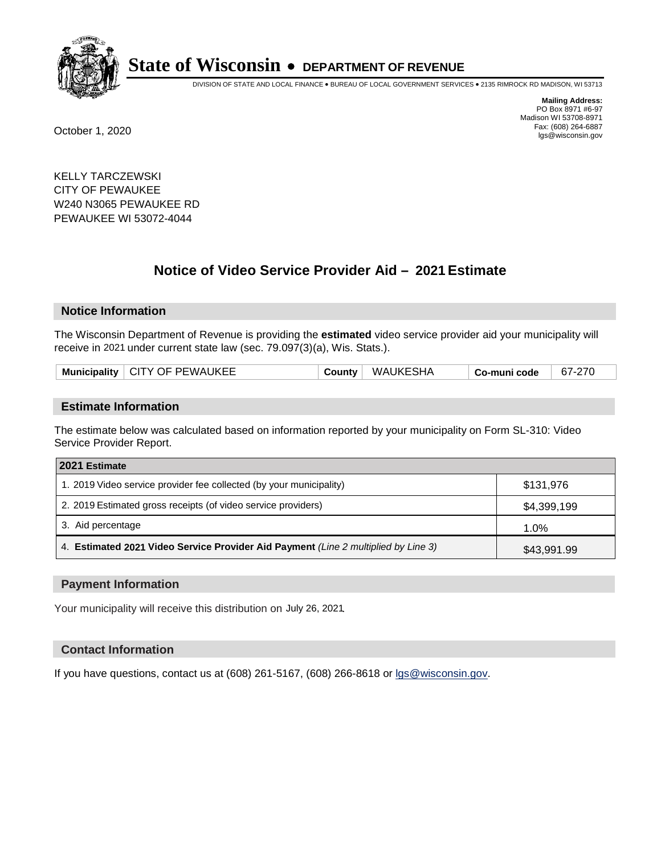

DIVISION OF STATE AND LOCAL FINANCE • BUREAU OF LOCAL GOVERNMENT SERVICES • 2135 RIMROCK RD MADISON, WI 53713

**Mailing Address:** PO Box 8971 #6-97 Madison WI 53708-8971<br>Fax: (608) 264-6887 Fax: (608) 264-6887 October 1, 2020 lgs@wisconsin.gov

KELLY TARCZEWSKI CITY OF PEWAUKEE W240 N3065 PEWAUKEE RD PEWAUKEE WI 53072-4044

# **Notice of Video Service Provider Aid - 2021 Estimate**

## **Notice Information**

The Wisconsin Department of Revenue is providing the **estimated** video service provider aid your municipality will receive in 2021 under current state law (sec. 79.097(3)(a), Wis. Stats.).

| Municipality $\vert$ CITY OF PEWAUKEE | <b>WAUKESHA</b><br>County | Co-muni code | 67-270 |
|---------------------------------------|---------------------------|--------------|--------|
|                                       |                           |              |        |

#### **Estimate Information**

The estimate below was calculated based on information reported by your municipality on Form SL-310: Video Service Provider Report.

| 2021 Estimate                                                                      |             |
|------------------------------------------------------------------------------------|-------------|
| 1. 2019 Video service provider fee collected (by your municipality)                | \$131,976   |
| 2. 2019 Estimated gross receipts (of video service providers)                      | \$4,399,199 |
| 3. Aid percentage                                                                  | 1.0%        |
| 4. Estimated 2021 Video Service Provider Aid Payment (Line 2 multiplied by Line 3) | \$43,991.99 |

#### **Payment Information**

Your municipality will receive this distribution on July 26, 2021.

## **Contact Information**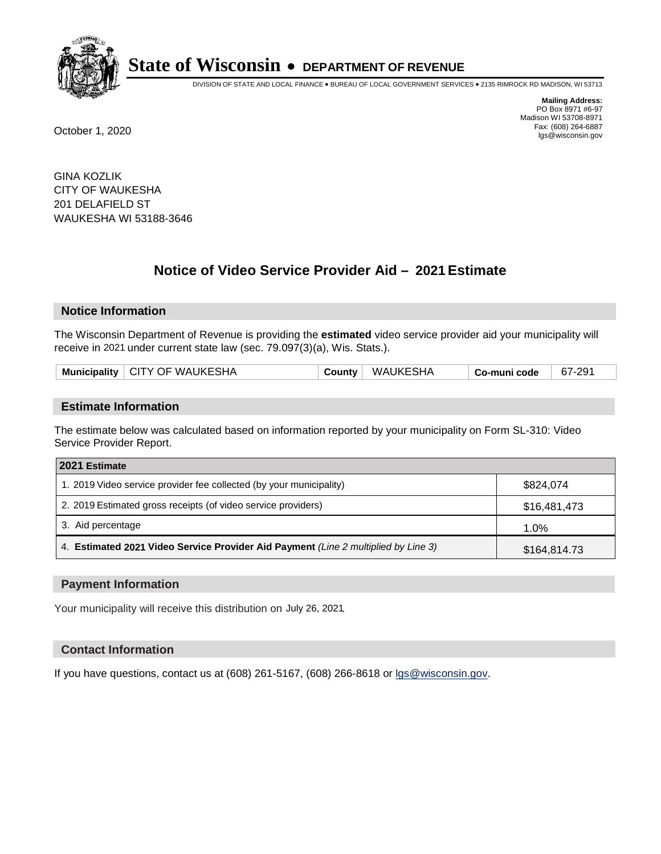

DIVISION OF STATE AND LOCAL FINANCE • BUREAU OF LOCAL GOVERNMENT SERVICES • 2135 RIMROCK RD MADISON, WI 53713

**Mailing Address:** PO Box 8971 #6-97 Madison WI 53708-8971<br>Fax: (608) 264-6887 Fax: (608) 264-6887 October 1, 2020 lgs@wisconsin.gov

GINA KOZLIK CITY OF WAUKESHA 201 DELAFIELD ST WAUKESHA WI 53188-3646

# **Notice of Video Service Provider Aid - 2021 Estimate**

## **Notice Information**

The Wisconsin Department of Revenue is providing the **estimated** video service provider aid your municipality will receive in 2021 under current state law (sec. 79.097(3)(a), Wis. Stats.).

|--|

#### **Estimate Information**

The estimate below was calculated based on information reported by your municipality on Form SL-310: Video Service Provider Report.

| 2021 Estimate                                                                      |              |  |  |
|------------------------------------------------------------------------------------|--------------|--|--|
| 1. 2019 Video service provider fee collected (by your municipality)                | \$824.074    |  |  |
| 2. 2019 Estimated gross receipts (of video service providers)                      | \$16,481,473 |  |  |
| 3. Aid percentage                                                                  | $1.0\%$      |  |  |
| 4. Estimated 2021 Video Service Provider Aid Payment (Line 2 multiplied by Line 3) | \$164,814.73 |  |  |

#### **Payment Information**

Your municipality will receive this distribution on July 26, 2021.

## **Contact Information**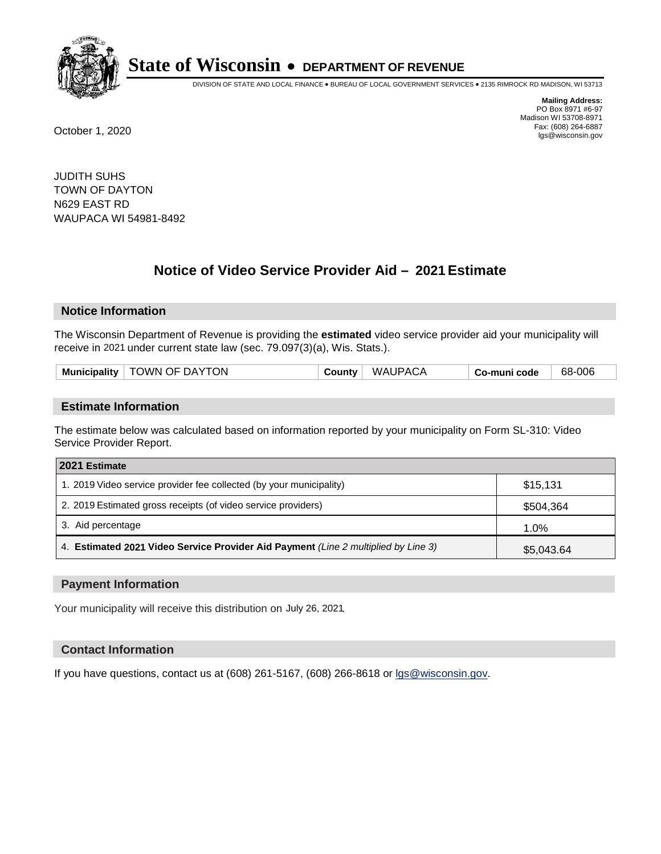

DIVISION OF STATE AND LOCAL FINANCE • BUREAU OF LOCAL GOVERNMENT SERVICES • 2135 RIMROCK RD MADISON, WI 53713

**Mailing Address:** PO Box 8971 #6-97 Madison WI 53708-8971<br>Fax: (608) 264-6887 Fax: (608) 264-6887 October 1, 2020 lgs@wisconsin.gov

JUDITH SUHS TOWN OF DAYTON N629 EAST RD WAUPACA WI 54981-8492

# **Notice of Video Service Provider Aid - 2021 Estimate**

## **Notice Information**

The Wisconsin Department of Revenue is providing the **estimated** video service provider aid your municipality will receive in 2021 under current state law (sec. 79.097(3)(a), Wis. Stats.).

| Municipality   TOWN OF DAYTON | County | <b>WAUPACA</b> | Co-muni code | 68-006 |
|-------------------------------|--------|----------------|--------------|--------|
|                               |        |                |              |        |

#### **Estimate Information**

The estimate below was calculated based on information reported by your municipality on Form SL-310: Video Service Provider Report.

| 2021 Estimate                                                                      |            |
|------------------------------------------------------------------------------------|------------|
| 1. 2019 Video service provider fee collected (by your municipality)                | \$15,131   |
| 2. 2019 Estimated gross receipts (of video service providers)                      | \$504,364  |
| 3. Aid percentage                                                                  | 1.0%       |
| 4. Estimated 2021 Video Service Provider Aid Payment (Line 2 multiplied by Line 3) | \$5,043.64 |

#### **Payment Information**

Your municipality will receive this distribution on July 26, 2021.

## **Contact Information**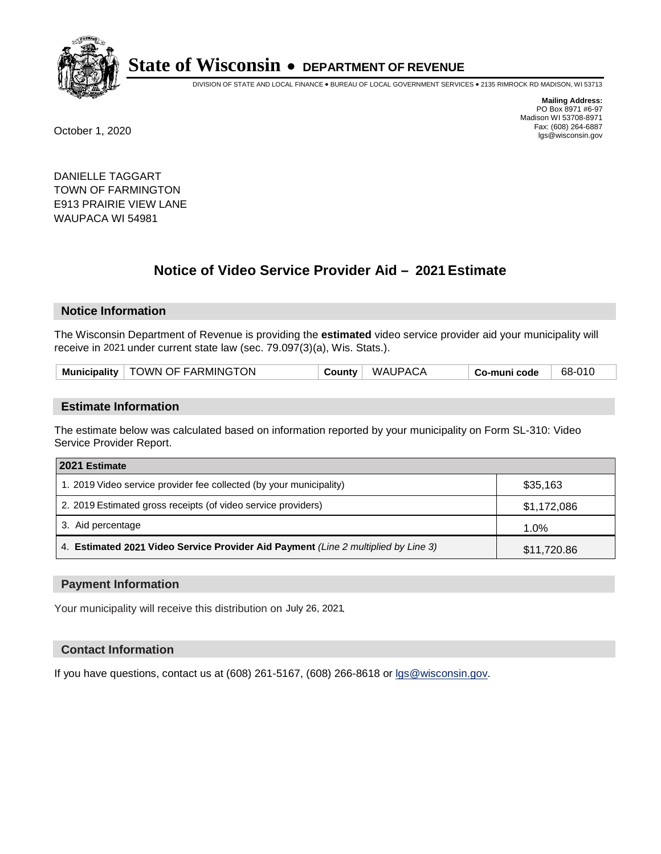

DIVISION OF STATE AND LOCAL FINANCE • BUREAU OF LOCAL GOVERNMENT SERVICES • 2135 RIMROCK RD MADISON, WI 53713

**Mailing Address:** PO Box 8971 #6-97 Madison WI 53708-8971<br>Fax: (608) 264-6887 Fax: (608) 264-6887 October 1, 2020 lgs@wisconsin.gov

DANIELLE TAGGART TOWN OF FARMINGTON E913 PRAIRIE VIEW LANE WAUPACA WI 54981

# **Notice of Video Service Provider Aid - 2021 Estimate**

## **Notice Information**

The Wisconsin Department of Revenue is providing the **estimated** video service provider aid your municipality will receive in 2021 under current state law (sec. 79.097(3)(a), Wis. Stats.).

| Municipality   TOWN OF FARMINGTON | WAUPACA<br>County | 68-010<br>Co-muni code |  |
|-----------------------------------|-------------------|------------------------|--|
|-----------------------------------|-------------------|------------------------|--|

#### **Estimate Information**

The estimate below was calculated based on information reported by your municipality on Form SL-310: Video Service Provider Report.

| 2021 Estimate                                                                      |             |
|------------------------------------------------------------------------------------|-------------|
| 1. 2019 Video service provider fee collected (by your municipality)                | \$35,163    |
| 2. 2019 Estimated gross receipts (of video service providers)                      | \$1,172,086 |
| 3. Aid percentage                                                                  | 1.0%        |
| 4. Estimated 2021 Video Service Provider Aid Payment (Line 2 multiplied by Line 3) | \$11,720.86 |

#### **Payment Information**

Your municipality will receive this distribution on July 26, 2021.

## **Contact Information**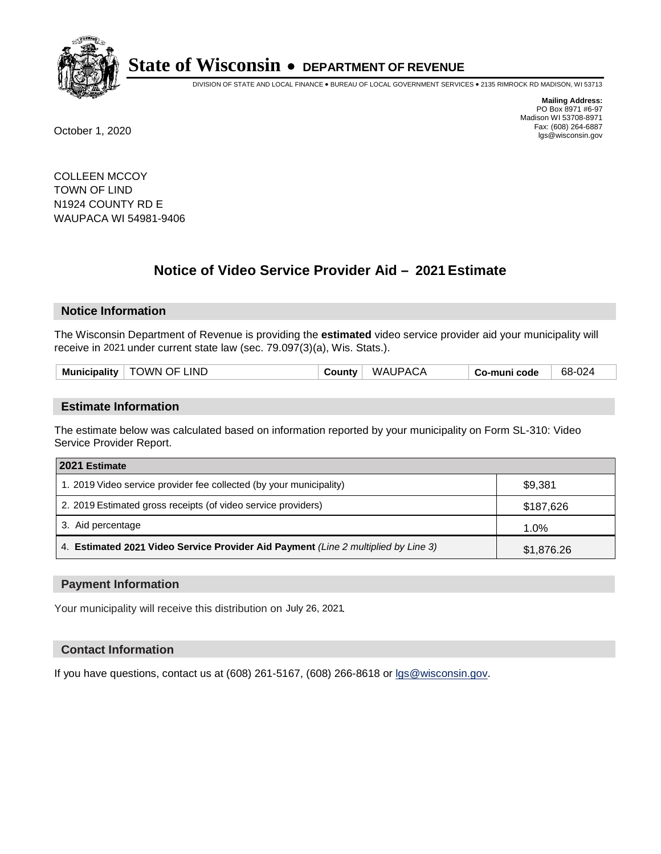

DIVISION OF STATE AND LOCAL FINANCE • BUREAU OF LOCAL GOVERNMENT SERVICES • 2135 RIMROCK RD MADISON, WI 53713

**Mailing Address:** PO Box 8971 #6-97 Madison WI 53708-8971<br>Fax: (608) 264-6887 Fax: (608) 264-6887 October 1, 2020 lgs@wisconsin.gov

COLLEEN MCCOY TOWN OF LIND N1924 COUNTY RD E WAUPACA WI 54981-9406

# **Notice of Video Service Provider Aid - 2021 Estimate**

## **Notice Information**

The Wisconsin Department of Revenue is providing the **estimated** video service provider aid your municipality will receive in 2021 under current state law (sec. 79.097(3)(a), Wis. Stats.).

| <b>TOWN OF LIND</b> | <b>WAUPACA</b> | 68-024       |
|---------------------|----------------|--------------|
| <b>Municipality</b> | ∵ountyٽ        | Co-muni code |

#### **Estimate Information**

The estimate below was calculated based on information reported by your municipality on Form SL-310: Video Service Provider Report.

| 2021 Estimate                                                                      |            |
|------------------------------------------------------------------------------------|------------|
| 1. 2019 Video service provider fee collected (by your municipality)                | \$9,381    |
| 2. 2019 Estimated gross receipts (of video service providers)                      | \$187,626  |
| 3. Aid percentage                                                                  | 1.0%       |
| 4. Estimated 2021 Video Service Provider Aid Payment (Line 2 multiplied by Line 3) | \$1,876.26 |

#### **Payment Information**

Your municipality will receive this distribution on July 26, 2021.

## **Contact Information**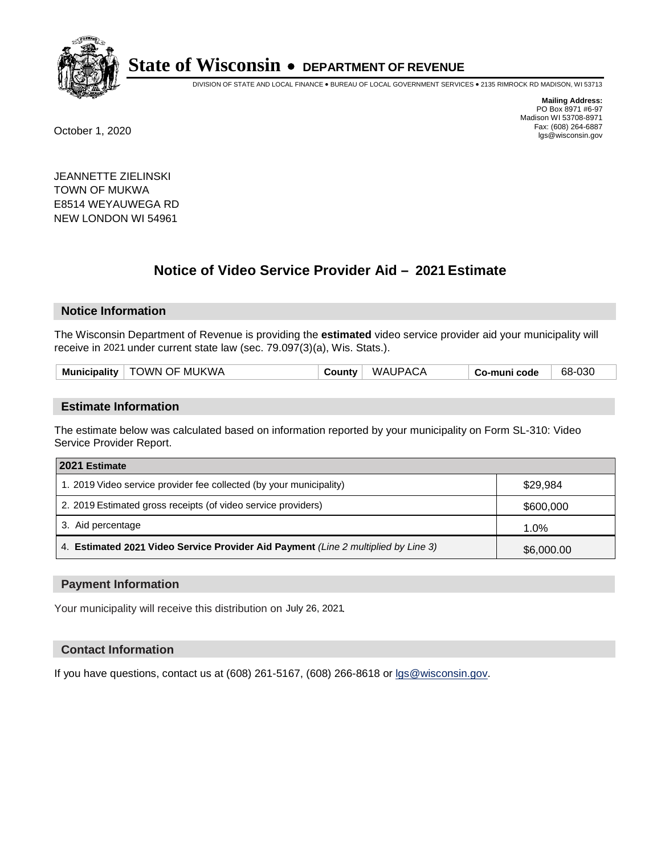

DIVISION OF STATE AND LOCAL FINANCE • BUREAU OF LOCAL GOVERNMENT SERVICES • 2135 RIMROCK RD MADISON, WI 53713

**Mailing Address:** PO Box 8971 #6-97 Madison WI 53708-8971<br>Fax: (608) 264-6887 Fax: (608) 264-6887 October 1, 2020 lgs@wisconsin.gov

JEANNETTE ZIELINSKI TOWN OF MUKWA E8514 WEYAUWEGA RD NEW LONDON WI 54961

# **Notice of Video Service Provider Aid - 2021 Estimate**

## **Notice Information**

The Wisconsin Department of Revenue is providing the **estimated** video service provider aid your municipality will receive in 2021 under current state law (sec. 79.097(3)(a), Wis. Stats.).

| <b>Municipality</b><br><b>County</b> ∶ |
|----------------------------------------|
|----------------------------------------|

#### **Estimate Information**

The estimate below was calculated based on information reported by your municipality on Form SL-310: Video Service Provider Report.

| 2021 Estimate                                                                      |            |
|------------------------------------------------------------------------------------|------------|
| 1. 2019 Video service provider fee collected (by your municipality)                | \$29,984   |
| 2. 2019 Estimated gross receipts (of video service providers)                      | \$600,000  |
| 3. Aid percentage                                                                  | 1.0%       |
| 4. Estimated 2021 Video Service Provider Aid Payment (Line 2 multiplied by Line 3) | \$6,000.00 |

#### **Payment Information**

Your municipality will receive this distribution on July 26, 2021.

## **Contact Information**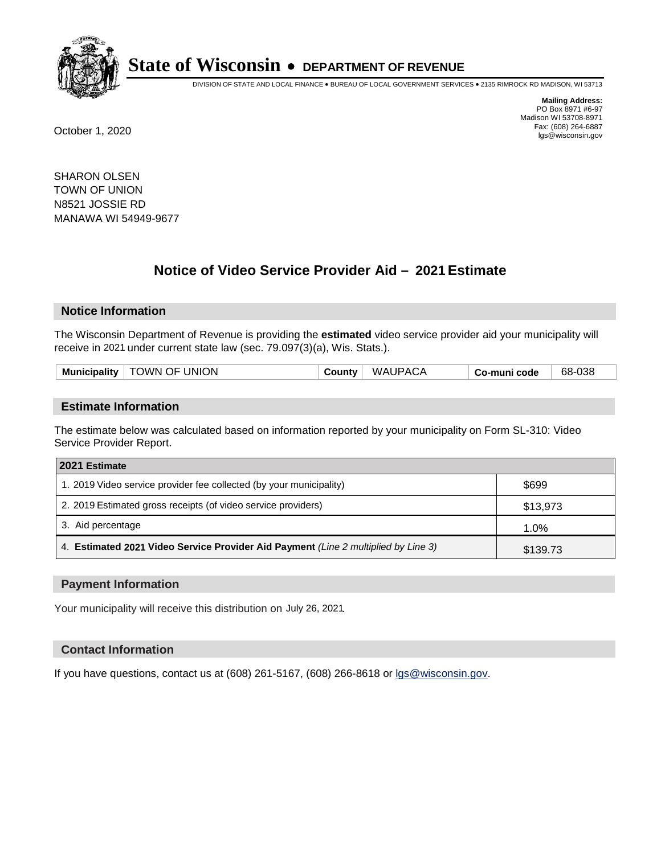

DIVISION OF STATE AND LOCAL FINANCE • BUREAU OF LOCAL GOVERNMENT SERVICES • 2135 RIMROCK RD MADISON, WI 53713

**Mailing Address:** PO Box 8971 #6-97 Madison WI 53708-8971<br>Fax: (608) 264-6887 Fax: (608) 264-6887 October 1, 2020 lgs@wisconsin.gov

SHARON OLSEN TOWN OF UNION N8521 JOSSIE RD MANAWA WI 54949-9677

# **Notice of Video Service Provider Aid - 2021 Estimate**

## **Notice Information**

The Wisconsin Department of Revenue is providing the **estimated** video service provider aid your municipality will receive in 2021 under current state law (sec. 79.097(3)(a), Wis. Stats.).

| <b>Municipality</b> | OF UNION<br><b>NWC</b> | . | WΛ Δ<br>' IPACA. | code<br>muni<br>ື | 68-038 |
|---------------------|------------------------|---|------------------|-------------------|--------|
|                     |                        |   |                  |                   |        |

#### **Estimate Information**

The estimate below was calculated based on information reported by your municipality on Form SL-310: Video Service Provider Report.

| 2021 Estimate                                                                      |          |
|------------------------------------------------------------------------------------|----------|
| 1. 2019 Video service provider fee collected (by your municipality)                | \$699    |
| 2. 2019 Estimated gross receipts (of video service providers)                      | \$13,973 |
| 3. Aid percentage                                                                  | 1.0%     |
| 4. Estimated 2021 Video Service Provider Aid Payment (Line 2 multiplied by Line 3) | \$139.73 |

#### **Payment Information**

Your municipality will receive this distribution on July 26, 2021.

## **Contact Information**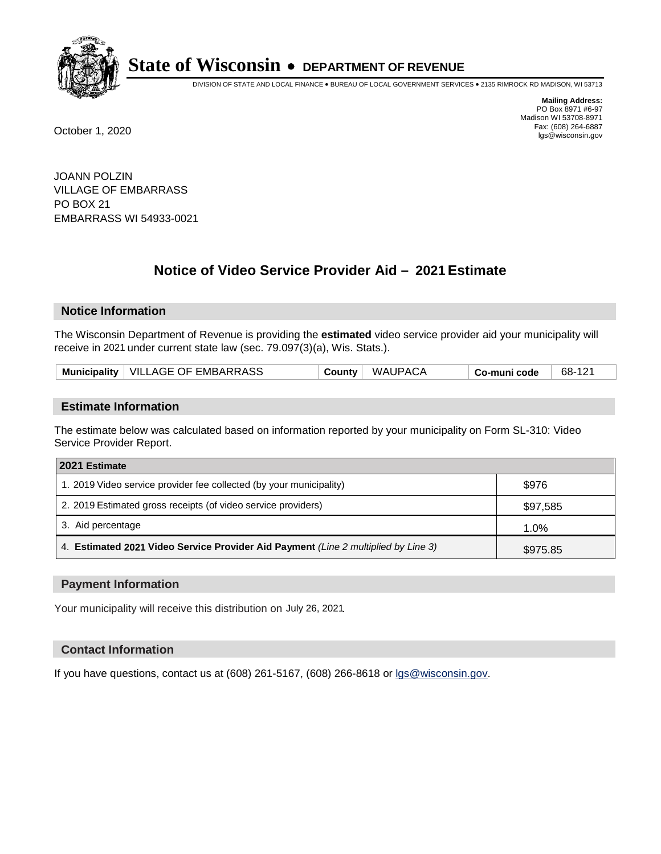

DIVISION OF STATE AND LOCAL FINANCE • BUREAU OF LOCAL GOVERNMENT SERVICES • 2135 RIMROCK RD MADISON, WI 53713

**Mailing Address:** PO Box 8971 #6-97 Madison WI 53708-8971<br>Fax: (608) 264-6887 Fax: (608) 264-6887 October 1, 2020 lgs@wisconsin.gov

JOANN POLZIN VILLAGE OF EMBARRASS PO BOX 21 EMBARRASS WI 54933-0021

# **Notice of Video Service Provider Aid - 2021 Estimate**

## **Notice Information**

The Wisconsin Department of Revenue is providing the **estimated** video service provider aid your municipality will receive in 2021 under current state law (sec. 79.097(3)(a), Wis. Stats.).

| Municipality   VILLAGE OF EMBARRASS | WAUPACA<br>Countv | 68-121<br>Co-muni code |
|-------------------------------------|-------------------|------------------------|
|-------------------------------------|-------------------|------------------------|

#### **Estimate Information**

The estimate below was calculated based on information reported by your municipality on Form SL-310: Video Service Provider Report.

| 2021 Estimate                                                                      |          |
|------------------------------------------------------------------------------------|----------|
| 1. 2019 Video service provider fee collected (by your municipality)                | \$976    |
| 2. 2019 Estimated gross receipts (of video service providers)                      | \$97,585 |
| 3. Aid percentage                                                                  | 1.0%     |
| 4. Estimated 2021 Video Service Provider Aid Payment (Line 2 multiplied by Line 3) | \$975.85 |

#### **Payment Information**

Your municipality will receive this distribution on July 26, 2021.

## **Contact Information**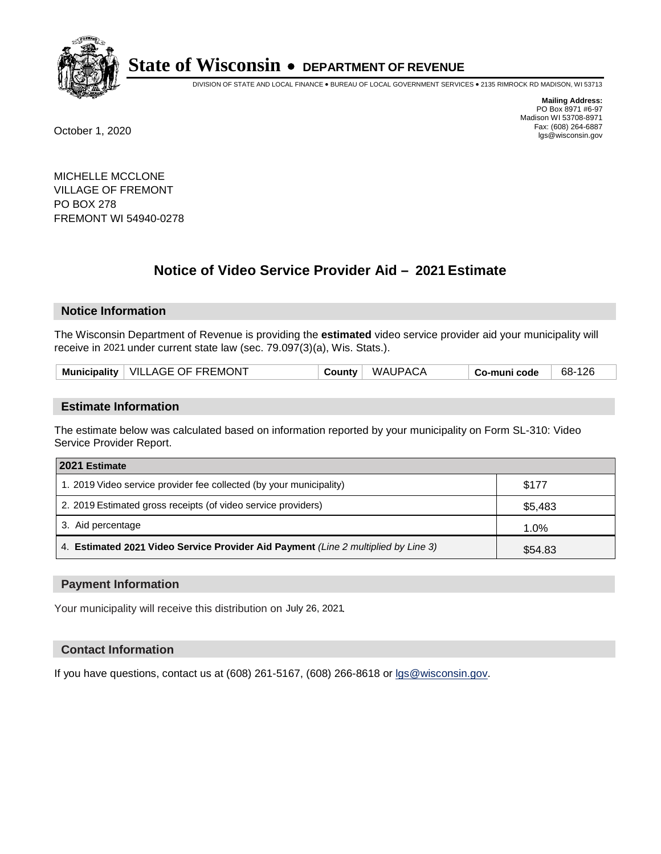

DIVISION OF STATE AND LOCAL FINANCE • BUREAU OF LOCAL GOVERNMENT SERVICES • 2135 RIMROCK RD MADISON, WI 53713

**Mailing Address:** PO Box 8971 #6-97 Madison WI 53708-8971<br>Fax: (608) 264-6887 Fax: (608) 264-6887 October 1, 2020 lgs@wisconsin.gov

MICHELLE MCCLONE VILLAGE OF FREMONT PO BOX 278 FREMONT WI 54940-0278

# **Notice of Video Service Provider Aid - 2021 Estimate**

## **Notice Information**

The Wisconsin Department of Revenue is providing the **estimated** video service provider aid your municipality will receive in 2021 under current state law (sec. 79.097(3)(a), Wis. Stats.).

|  | Municipality   VILLAGE OF FREMONT | <b>County</b> √ | <b>WAUPACA</b> | co-muni code، | 68-126 |
|--|-----------------------------------|-----------------|----------------|---------------|--------|
|--|-----------------------------------|-----------------|----------------|---------------|--------|

#### **Estimate Information**

The estimate below was calculated based on information reported by your municipality on Form SL-310: Video Service Provider Report.

| 2021 Estimate                                                                      |         |  |
|------------------------------------------------------------------------------------|---------|--|
| 1. 2019 Video service provider fee collected (by your municipality)                | \$177   |  |
| 2. 2019 Estimated gross receipts (of video service providers)                      | \$5,483 |  |
| 3. Aid percentage                                                                  | 1.0%    |  |
| 4. Estimated 2021 Video Service Provider Aid Payment (Line 2 multiplied by Line 3) | \$54.83 |  |

#### **Payment Information**

Your municipality will receive this distribution on July 26, 2021.

## **Contact Information**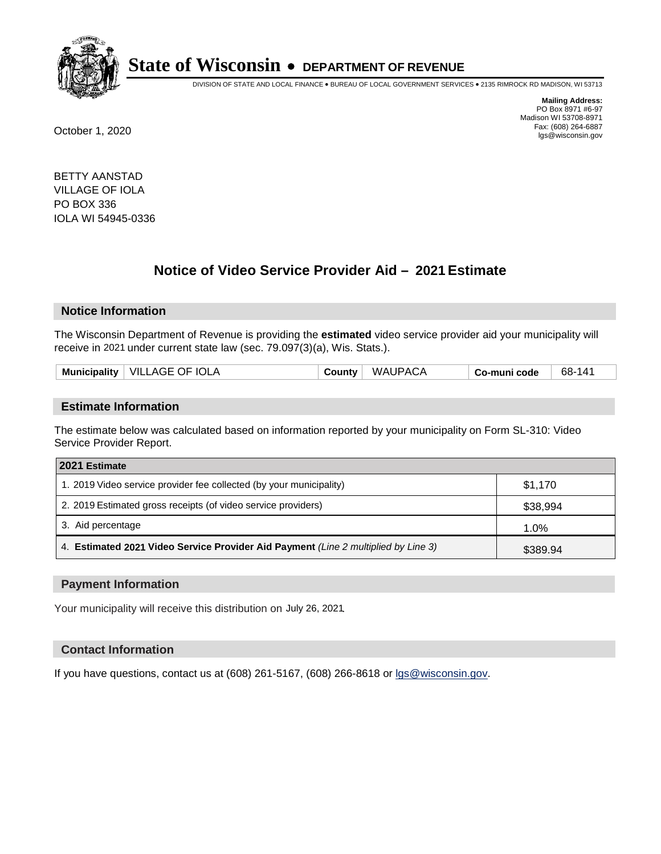

DIVISION OF STATE AND LOCAL FINANCE • BUREAU OF LOCAL GOVERNMENT SERVICES • 2135 RIMROCK RD MADISON, WI 53713

**Mailing Address:** PO Box 8971 #6-97 Madison WI 53708-8971<br>Fax: (608) 264-6887 Fax: (608) 264-6887 October 1, 2020 lgs@wisconsin.gov

BETTY AANSTAD VILLAGE OF IOLA PO BOX 336 IOLA WI 54945-0336

# **Notice of Video Service Provider Aid - 2021 Estimate**

## **Notice Information**

The Wisconsin Department of Revenue is providing the **estimated** video service provider aid your municipality will receive in 2021 under current state law (sec. 79.097(3)(a), Wis. Stats.).

|--|

#### **Estimate Information**

The estimate below was calculated based on information reported by your municipality on Form SL-310: Video Service Provider Report.

| 2021 Estimate                                                                      |          |  |
|------------------------------------------------------------------------------------|----------|--|
| 1. 2019 Video service provider fee collected (by your municipality)                | \$1.170  |  |
| 2. 2019 Estimated gross receipts (of video service providers)                      | \$38,994 |  |
| 3. Aid percentage                                                                  | 1.0%     |  |
| 4. Estimated 2021 Video Service Provider Aid Payment (Line 2 multiplied by Line 3) | \$389.94 |  |

#### **Payment Information**

Your municipality will receive this distribution on July 26, 2021.

## **Contact Information**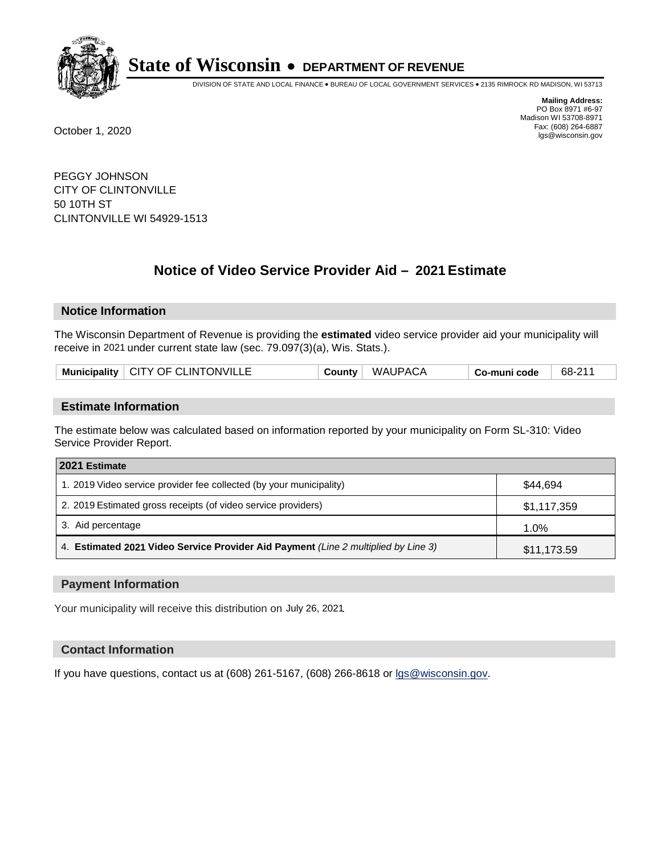

DIVISION OF STATE AND LOCAL FINANCE • BUREAU OF LOCAL GOVERNMENT SERVICES • 2135 RIMROCK RD MADISON, WI 53713

**Mailing Address:** PO Box 8971 #6-97 Madison WI 53708-8971<br>Fax: (608) 264-6887 Fax: (608) 264-6887 October 1, 2020 lgs@wisconsin.gov

PEGGY JOHNSON CITY OF CLINTONVILLE 50 10TH ST CLINTONVILLE WI 54929-1513

# **Notice of Video Service Provider Aid - 2021 Estimate**

## **Notice Information**

The Wisconsin Department of Revenue is providing the **estimated** video service provider aid your municipality will receive in 2021 under current state law (sec. 79.097(3)(a), Wis. Stats.).

| Municipality   CITY OF CLINTONVILLE | WAUPACA<br>County | 68-211<br>Co-muni code |  |
|-------------------------------------|-------------------|------------------------|--|
|-------------------------------------|-------------------|------------------------|--|

#### **Estimate Information**

The estimate below was calculated based on information reported by your municipality on Form SL-310: Video Service Provider Report.

| 2021 Estimate                                                                      |             |  |
|------------------------------------------------------------------------------------|-------------|--|
| 1. 2019 Video service provider fee collected (by your municipality)                | \$44.694    |  |
| 2. 2019 Estimated gross receipts (of video service providers)                      | \$1,117,359 |  |
| 3. Aid percentage                                                                  | 1.0%        |  |
| 4. Estimated 2021 Video Service Provider Aid Payment (Line 2 multiplied by Line 3) | \$11,173.59 |  |

#### **Payment Information**

Your municipality will receive this distribution on July 26, 2021.

## **Contact Information**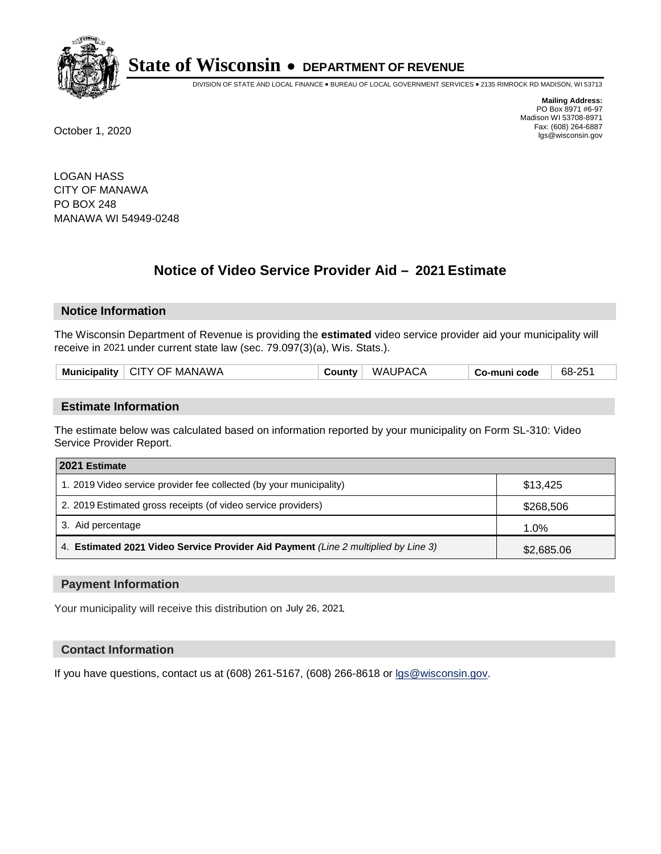

DIVISION OF STATE AND LOCAL FINANCE • BUREAU OF LOCAL GOVERNMENT SERVICES • 2135 RIMROCK RD MADISON, WI 53713

**Mailing Address:** PO Box 8971 #6-97 Madison WI 53708-8971<br>Fax: (608) 264-6887 Fax: (608) 264-6887 October 1, 2020 lgs@wisconsin.gov

LOGAN HASS CITY OF MANAWA PO BOX 248 MANAWA WI 54949-0248

# **Notice of Video Service Provider Aid - 2021 Estimate**

## **Notice Information**

The Wisconsin Department of Revenue is providing the **estimated** video service provider aid your municipality will receive in 2021 under current state law (sec. 79.097(3)(a), Wis. Stats.).

#### **Estimate Information**

The estimate below was calculated based on information reported by your municipality on Form SL-310: Video Service Provider Report.

| 2021 Estimate                                                                      |            |  |
|------------------------------------------------------------------------------------|------------|--|
| 1. 2019 Video service provider fee collected (by your municipality)                | \$13.425   |  |
| 2. 2019 Estimated gross receipts (of video service providers)                      | \$268,506  |  |
| 3. Aid percentage                                                                  | 1.0%       |  |
| 4. Estimated 2021 Video Service Provider Aid Payment (Line 2 multiplied by Line 3) | \$2,685.06 |  |

#### **Payment Information**

Your municipality will receive this distribution on July 26, 2021.

## **Contact Information**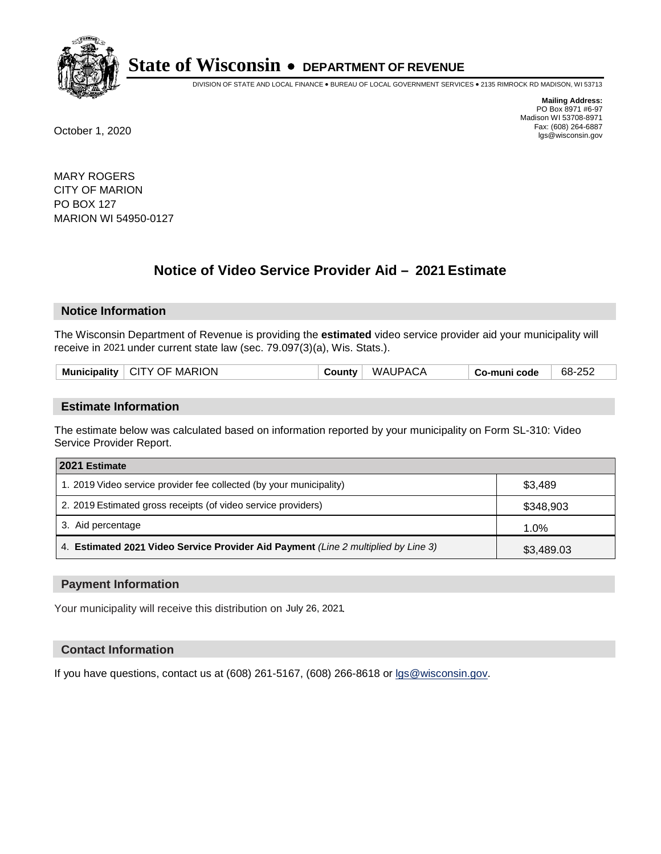

DIVISION OF STATE AND LOCAL FINANCE • BUREAU OF LOCAL GOVERNMENT SERVICES • 2135 RIMROCK RD MADISON, WI 53713

**Mailing Address:** PO Box 8971 #6-97 Madison WI 53708-8971<br>Fax: (608) 264-6887 Fax: (608) 264-6887 October 1, 2020 lgs@wisconsin.gov

MARY ROGERS CITY OF MARION PO BOX 127 MARION WI 54950-0127

# **Notice of Video Service Provider Aid - 2021 Estimate**

## **Notice Information**

The Wisconsin Department of Revenue is providing the **estimated** video service provider aid your municipality will receive in 2021 under current state law (sec. 79.097(3)(a), Wis. Stats.).

#### **Estimate Information**

The estimate below was calculated based on information reported by your municipality on Form SL-310: Video Service Provider Report.

| 2021 Estimate                                                                      |            |  |
|------------------------------------------------------------------------------------|------------|--|
| 1. 2019 Video service provider fee collected (by your municipality)                | \$3,489    |  |
| 2. 2019 Estimated gross receipts (of video service providers)                      | \$348,903  |  |
| 3. Aid percentage                                                                  | 1.0%       |  |
| 4. Estimated 2021 Video Service Provider Aid Payment (Line 2 multiplied by Line 3) | \$3,489.03 |  |

#### **Payment Information**

Your municipality will receive this distribution on July 26, 2021.

## **Contact Information**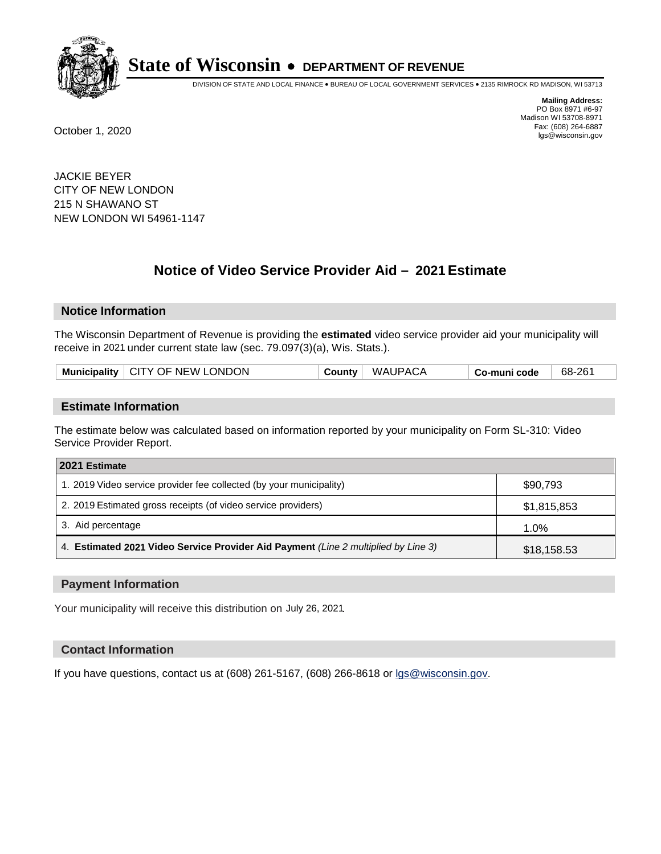

DIVISION OF STATE AND LOCAL FINANCE • BUREAU OF LOCAL GOVERNMENT SERVICES • 2135 RIMROCK RD MADISON, WI 53713

**Mailing Address:** PO Box 8971 #6-97 Madison WI 53708-8971<br>Fax: (608) 264-6887 Fax: (608) 264-6887 October 1, 2020 lgs@wisconsin.gov

JACKIE BEYER CITY OF NEW LONDON 215 N SHAWANO ST NEW LONDON WI 54961-1147

# **Notice of Video Service Provider Aid - 2021 Estimate**

## **Notice Information**

The Wisconsin Department of Revenue is providing the **estimated** video service provider aid your municipality will receive in 2021 under current state law (sec. 79.097(3)(a), Wis. Stats.).

| Municipality   CITY OF NEW LONDON<br><b>WAUPACA</b><br>68-261<br>County $ $<br>Co-muni code |
|---------------------------------------------------------------------------------------------|
|---------------------------------------------------------------------------------------------|

#### **Estimate Information**

The estimate below was calculated based on information reported by your municipality on Form SL-310: Video Service Provider Report.

| 2021 Estimate                                                                      |             |  |
|------------------------------------------------------------------------------------|-------------|--|
| 1. 2019 Video service provider fee collected (by your municipality)                | \$90,793    |  |
| 2. 2019 Estimated gross receipts (of video service providers)                      | \$1,815,853 |  |
| 3. Aid percentage                                                                  | 1.0%        |  |
| 4. Estimated 2021 Video Service Provider Aid Payment (Line 2 multiplied by Line 3) | \$18,158.53 |  |

#### **Payment Information**

Your municipality will receive this distribution on July 26, 2021.

## **Contact Information**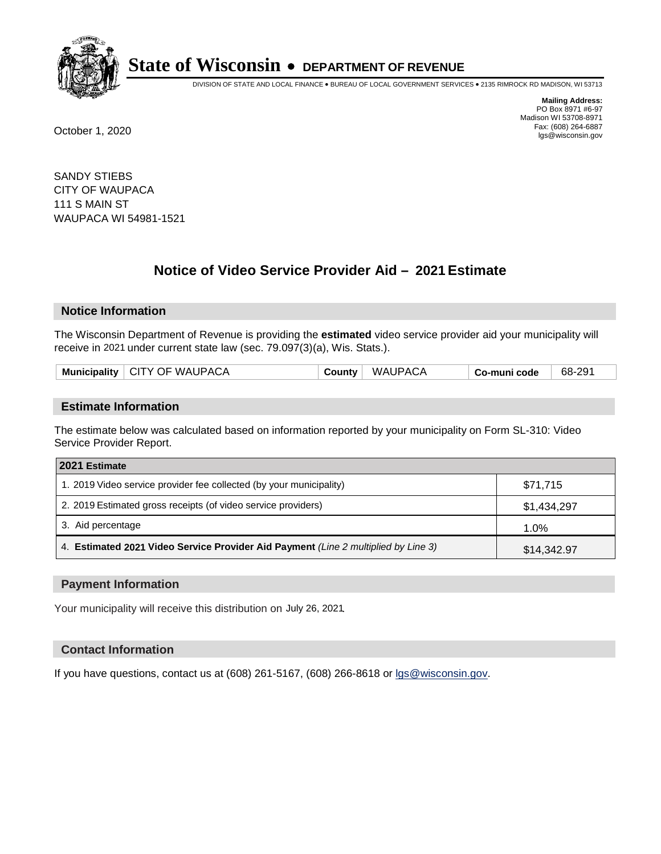

DIVISION OF STATE AND LOCAL FINANCE • BUREAU OF LOCAL GOVERNMENT SERVICES • 2135 RIMROCK RD MADISON, WI 53713

**Mailing Address:** PO Box 8971 #6-97 Madison WI 53708-8971<br>Fax: (608) 264-6887 Fax: (608) 264-6887 October 1, 2020 lgs@wisconsin.gov

SANDY STIEBS CITY OF WAUPACA 111 S MAIN ST WAUPACA WI 54981-1521

# **Notice of Video Service Provider Aid - 2021 Estimate**

## **Notice Information**

The Wisconsin Department of Revenue is providing the **estimated** video service provider aid your municipality will receive in 2021 under current state law (sec. 79.097(3)(a), Wis. Stats.).

| Municipality   CITY OF WAUPACA | <b>County</b> | <b>WAUPACA</b> | Co-muni code | 68-291 |
|--------------------------------|---------------|----------------|--------------|--------|
|                                |               |                |              |        |

#### **Estimate Information**

The estimate below was calculated based on information reported by your municipality on Form SL-310: Video Service Provider Report.

| 2021 Estimate                                                                      |             |
|------------------------------------------------------------------------------------|-------------|
| 1. 2019 Video service provider fee collected (by your municipality)                | \$71,715    |
| 2. 2019 Estimated gross receipts (of video service providers)                      | \$1,434,297 |
| 3. Aid percentage                                                                  | 1.0%        |
| 4. Estimated 2021 Video Service Provider Aid Payment (Line 2 multiplied by Line 3) | \$14,342.97 |

#### **Payment Information**

Your municipality will receive this distribution on July 26, 2021.

## **Contact Information**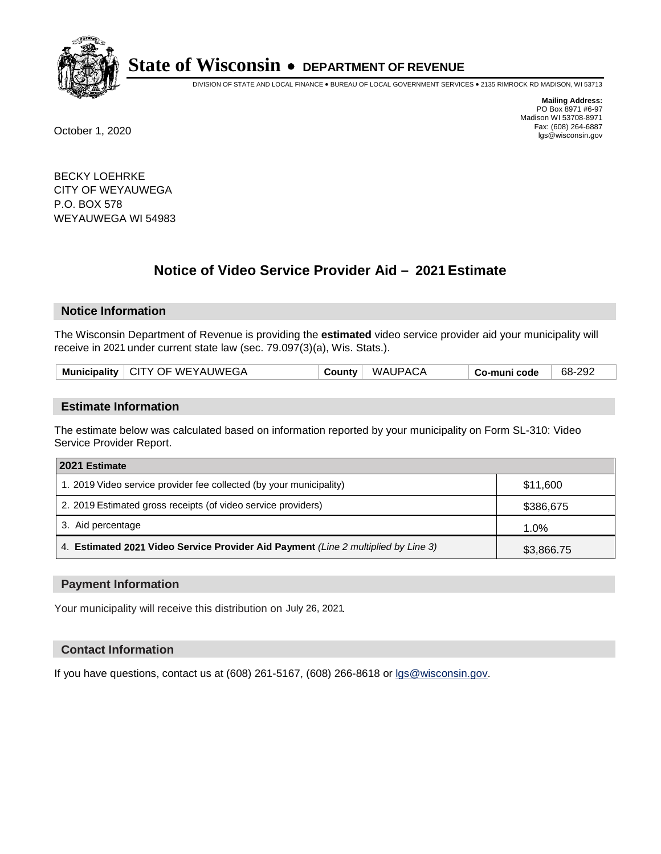

DIVISION OF STATE AND LOCAL FINANCE • BUREAU OF LOCAL GOVERNMENT SERVICES • 2135 RIMROCK RD MADISON, WI 53713

**Mailing Address:** PO Box 8971 #6-97 Madison WI 53708-8971<br>Fax: (608) 264-6887 Fax: (608) 264-6887 October 1, 2020 lgs@wisconsin.gov

BECKY LOEHRKE CITY OF WEYAUWEGA P.O. BOX 578 WEYAUWEGA WI 54983

# **Notice of Video Service Provider Aid - 2021 Estimate**

## **Notice Information**

The Wisconsin Department of Revenue is providing the **estimated** video service provider aid your municipality will receive in 2021 under current state law (sec. 79.097(3)(a), Wis. Stats.).

| Municipality   CITY OF WEYAUWEGA | County | WAUPACA | Co-muni code | 68-292 |
|----------------------------------|--------|---------|--------------|--------|
|----------------------------------|--------|---------|--------------|--------|

#### **Estimate Information**

The estimate below was calculated based on information reported by your municipality on Form SL-310: Video Service Provider Report.

| 2021 Estimate                                                                      |            |
|------------------------------------------------------------------------------------|------------|
| 1. 2019 Video service provider fee collected (by your municipality)                | \$11,600   |
| 2. 2019 Estimated gross receipts (of video service providers)                      | \$386,675  |
| 3. Aid percentage                                                                  | 1.0%       |
| 4. Estimated 2021 Video Service Provider Aid Payment (Line 2 multiplied by Line 3) | \$3,866.75 |

#### **Payment Information**

Your municipality will receive this distribution on July 26, 2021.

## **Contact Information**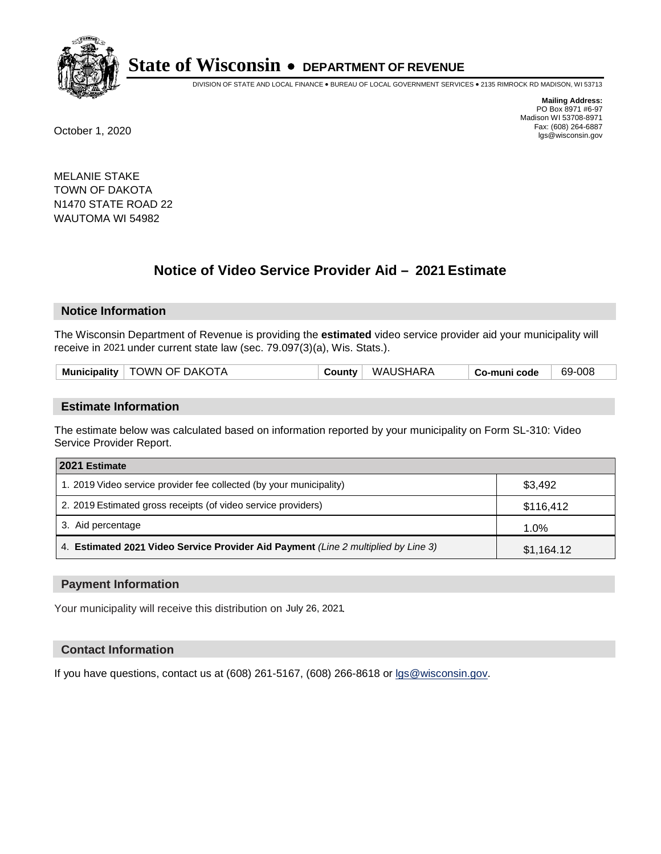

DIVISION OF STATE AND LOCAL FINANCE • BUREAU OF LOCAL GOVERNMENT SERVICES • 2135 RIMROCK RD MADISON, WI 53713

**Mailing Address:** PO Box 8971 #6-97 Madison WI 53708-8971<br>Fax: (608) 264-6887 Fax: (608) 264-6887 October 1, 2020 lgs@wisconsin.gov

MELANIE STAKE TOWN OF DAKOTA N1470 STATE ROAD 22 WAUTOMA WI 54982

# **Notice of Video Service Provider Aid - 2021 Estimate**

## **Notice Information**

The Wisconsin Department of Revenue is providing the **estimated** video service provider aid your municipality will receive in 2021 under current state law (sec. 79.097(3)(a), Wis. Stats.).

#### **Estimate Information**

The estimate below was calculated based on information reported by your municipality on Form SL-310: Video Service Provider Report.

| 2021 Estimate                                                                      |            |
|------------------------------------------------------------------------------------|------------|
| 1. 2019 Video service provider fee collected (by your municipality)                | \$3,492    |
| 2. 2019 Estimated gross receipts (of video service providers)                      | \$116,412  |
| 3. Aid percentage                                                                  | 1.0%       |
| 4. Estimated 2021 Video Service Provider Aid Payment (Line 2 multiplied by Line 3) | \$1,164.12 |

#### **Payment Information**

Your municipality will receive this distribution on July 26, 2021.

## **Contact Information**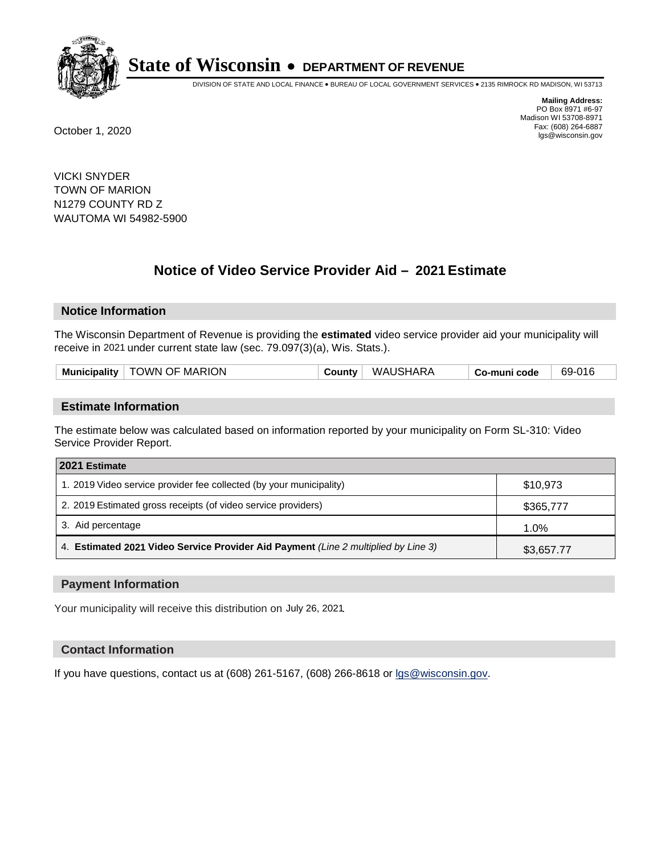

DIVISION OF STATE AND LOCAL FINANCE • BUREAU OF LOCAL GOVERNMENT SERVICES • 2135 RIMROCK RD MADISON, WI 53713

**Mailing Address:** PO Box 8971 #6-97 Madison WI 53708-8971<br>Fax: (608) 264-6887 Fax: (608) 264-6887 October 1, 2020 lgs@wisconsin.gov

VICKI SNYDER TOWN OF MARION N1279 COUNTY RD Z WAUTOMA WI 54982-5900

# **Notice of Video Service Provider Aid - 2021 Estimate**

## **Notice Information**

The Wisconsin Department of Revenue is providing the **estimated** video service provider aid your municipality will receive in 2021 under current state law (sec. 79.097(3)(a), Wis. Stats.).

| <b>Municipality</b> | TOWN OF MARION | <b>County</b> | WAUSHARA | Co-muni code | 69-016 |
|---------------------|----------------|---------------|----------|--------------|--------|
|                     |                |               |          |              |        |

#### **Estimate Information**

The estimate below was calculated based on information reported by your municipality on Form SL-310: Video Service Provider Report.

| 2021 Estimate                                                                      |            |
|------------------------------------------------------------------------------------|------------|
| 1. 2019 Video service provider fee collected (by your municipality)                | \$10.973   |
| 2. 2019 Estimated gross receipts (of video service providers)                      | \$365,777  |
| 3. Aid percentage                                                                  | 1.0%       |
| 4. Estimated 2021 Video Service Provider Aid Payment (Line 2 multiplied by Line 3) | \$3,657.77 |

#### **Payment Information**

Your municipality will receive this distribution on July 26, 2021.

## **Contact Information**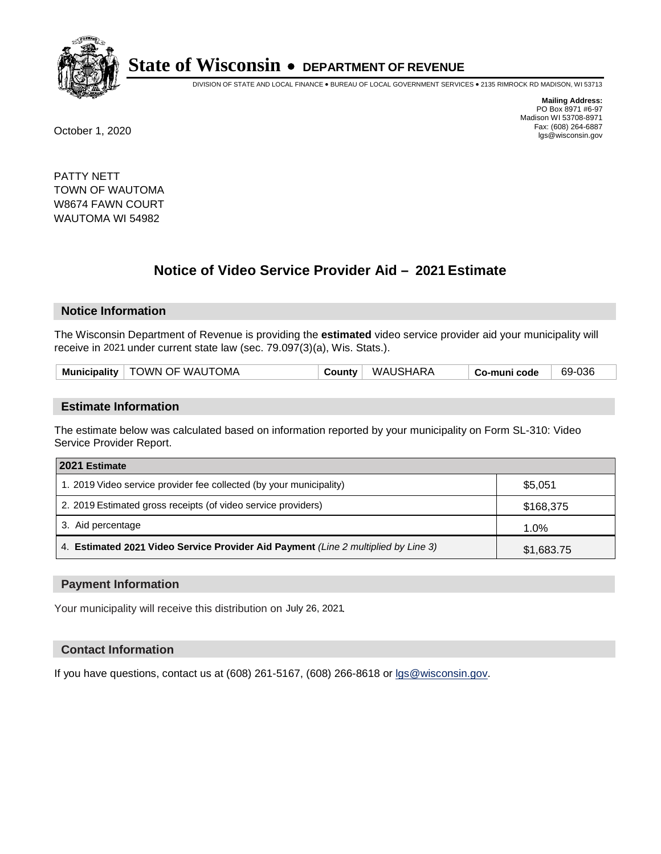

DIVISION OF STATE AND LOCAL FINANCE • BUREAU OF LOCAL GOVERNMENT SERVICES • 2135 RIMROCK RD MADISON, WI 53713

**Mailing Address:** PO Box 8971 #6-97 Madison WI 53708-8971<br>Fax: (608) 264-6887 Fax: (608) 264-6887 October 1, 2020 lgs@wisconsin.gov

PATTY NETT TOWN OF WAUTOMA W8674 FAWN COURT WAUTOMA WI 54982

# **Notice of Video Service Provider Aid - 2021 Estimate**

## **Notice Information**

The Wisconsin Department of Revenue is providing the **estimated** video service provider aid your municipality will receive in 2021 under current state law (sec. 79.097(3)(a), Wis. Stats.).

| Municipality   TOWN OF WAUTOMA | County | WAUSHARA | Co-muni code | 69-036 |
|--------------------------------|--------|----------|--------------|--------|
|--------------------------------|--------|----------|--------------|--------|

#### **Estimate Information**

The estimate below was calculated based on information reported by your municipality on Form SL-310: Video Service Provider Report.

| 2021 Estimate                                                                      |            |
|------------------------------------------------------------------------------------|------------|
| 1. 2019 Video service provider fee collected (by your municipality)                | \$5,051    |
| 2. 2019 Estimated gross receipts (of video service providers)                      | \$168,375  |
| 3. Aid percentage                                                                  | 1.0%       |
| 4. Estimated 2021 Video Service Provider Aid Payment (Line 2 multiplied by Line 3) | \$1,683.75 |

#### **Payment Information**

Your municipality will receive this distribution on July 26, 2021.

## **Contact Information**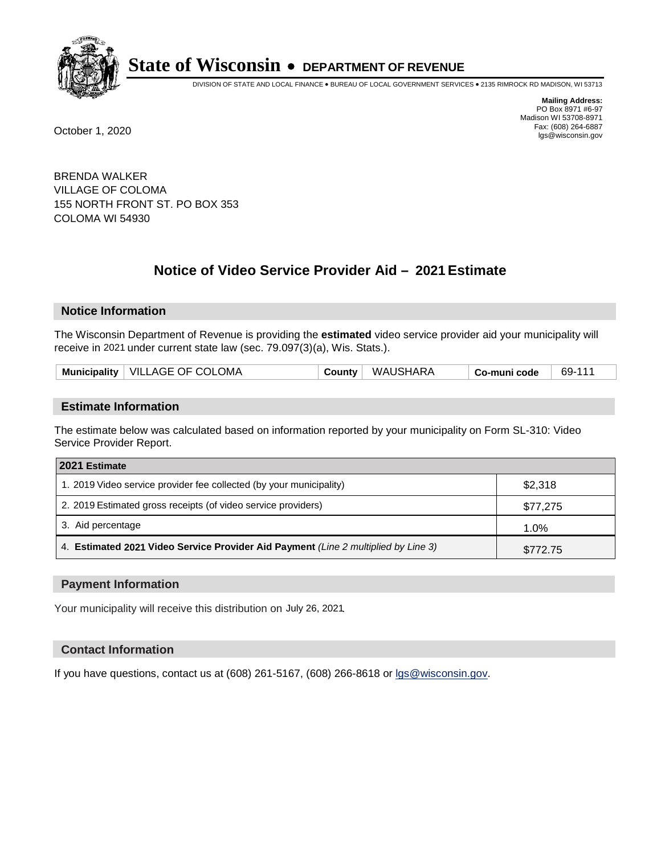

DIVISION OF STATE AND LOCAL FINANCE • BUREAU OF LOCAL GOVERNMENT SERVICES • 2135 RIMROCK RD MADISON, WI 53713

**Mailing Address:** PO Box 8971 #6-97 Madison WI 53708-8971<br>Fax: (608) 264-6887 Fax: (608) 264-6887 October 1, 2020 lgs@wisconsin.gov

BRENDA WALKER VILLAGE OF COLOMA 155 NORTH FRONT ST. PO BOX 353 COLOMA WI 54930

# **Notice of Video Service Provider Aid - 2021 Estimate**

## **Notice Information**

The Wisconsin Department of Revenue is providing the **estimated** video service provider aid your municipality will receive in 2021 under current state law (sec. 79.097(3)(a), Wis. Stats.).

| Municipality   VILLAGE OF COLOMA<br>County WAUSHARA<br>69-111<br>Co-muni code |  |
|-------------------------------------------------------------------------------|--|
|-------------------------------------------------------------------------------|--|

#### **Estimate Information**

The estimate below was calculated based on information reported by your municipality on Form SL-310: Video Service Provider Report.

| 2021 Estimate                                                                      |          |
|------------------------------------------------------------------------------------|----------|
| 1. 2019 Video service provider fee collected (by your municipality)                | \$2,318  |
| 2. 2019 Estimated gross receipts (of video service providers)                      | \$77,275 |
| 3. Aid percentage                                                                  | 1.0%     |
| 4. Estimated 2021 Video Service Provider Aid Payment (Line 2 multiplied by Line 3) | \$772.75 |

#### **Payment Information**

Your municipality will receive this distribution on July 26, 2021.

## **Contact Information**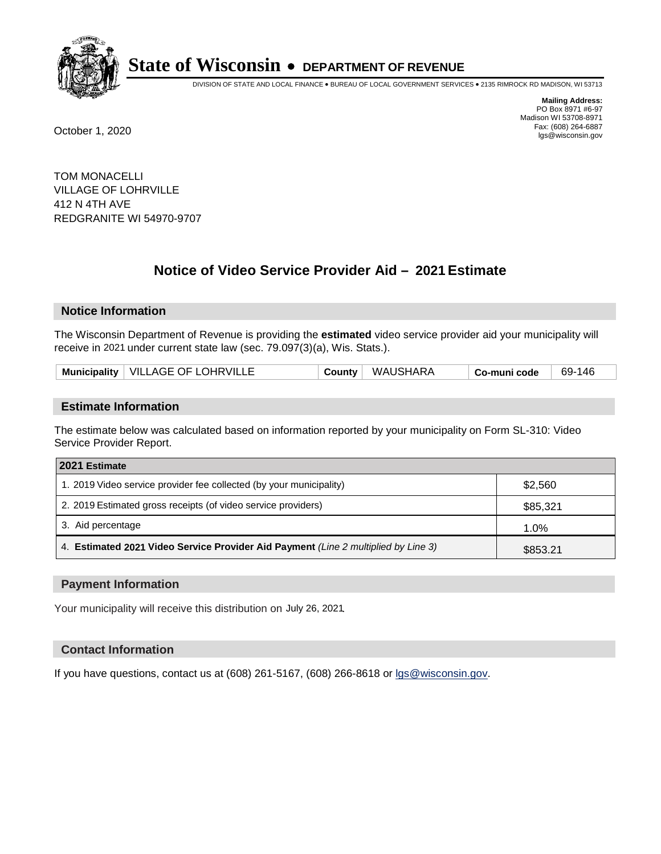

DIVISION OF STATE AND LOCAL FINANCE • BUREAU OF LOCAL GOVERNMENT SERVICES • 2135 RIMROCK RD MADISON, WI 53713

**Mailing Address:** PO Box 8971 #6-97 Madison WI 53708-8971<br>Fax: (608) 264-6887 Fax: (608) 264-6887 October 1, 2020 lgs@wisconsin.gov

TOM MONACELLI VILLAGE OF LOHRVILLE 412 N 4TH AVE REDGRANITE WI 54970-9707

# **Notice of Video Service Provider Aid - 2021 Estimate**

## **Notice Information**

The Wisconsin Department of Revenue is providing the **estimated** video service provider aid your municipality will receive in 2021 under current state law (sec. 79.097(3)(a), Wis. Stats.).

| Municipality   VILLAGE OF LOHRVILLE | Countv | WAUSHARA | Co-muni code | 69-146 |
|-------------------------------------|--------|----------|--------------|--------|
|-------------------------------------|--------|----------|--------------|--------|

#### **Estimate Information**

The estimate below was calculated based on information reported by your municipality on Form SL-310: Video Service Provider Report.

| 2021 Estimate                                                                      |          |
|------------------------------------------------------------------------------------|----------|
| 1. 2019 Video service provider fee collected (by your municipality)                | \$2,560  |
| 2. 2019 Estimated gross receipts (of video service providers)                      | \$85,321 |
| 3. Aid percentage                                                                  | 1.0%     |
| 4. Estimated 2021 Video Service Provider Aid Payment (Line 2 multiplied by Line 3) | \$853.21 |

#### **Payment Information**

Your municipality will receive this distribution on July 26, 2021.

## **Contact Information**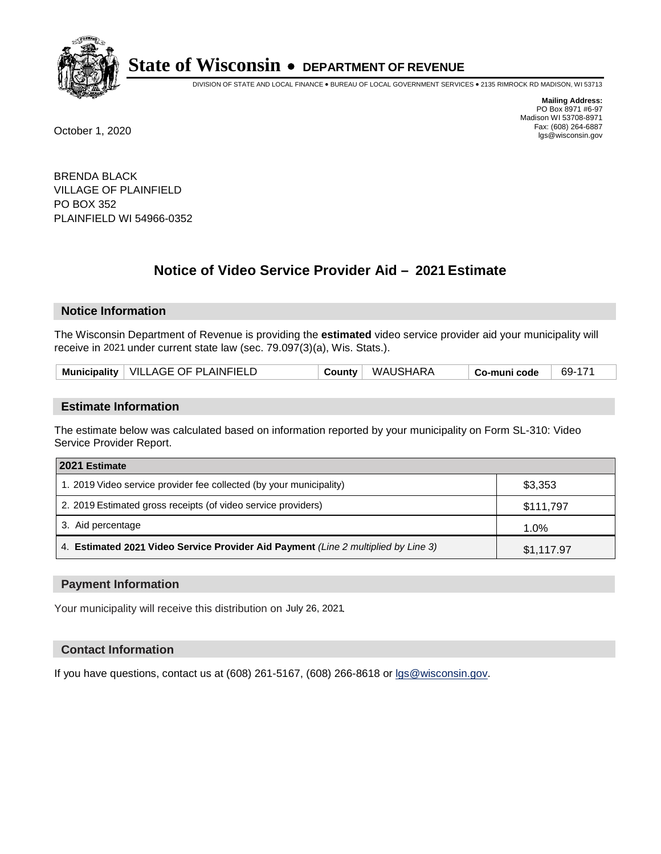

DIVISION OF STATE AND LOCAL FINANCE • BUREAU OF LOCAL GOVERNMENT SERVICES • 2135 RIMROCK RD MADISON, WI 53713

**Mailing Address:** PO Box 8971 #6-97 Madison WI 53708-8971<br>Fax: (608) 264-6887 Fax: (608) 264-6887 October 1, 2020 lgs@wisconsin.gov

BRENDA BLACK VILLAGE OF PLAINFIELD PO BOX 352 PLAINFIELD WI 54966-0352

# **Notice of Video Service Provider Aid - 2021 Estimate**

## **Notice Information**

The Wisconsin Department of Revenue is providing the **estimated** video service provider aid your municipality will receive in 2021 under current state law (sec. 79.097(3)(a), Wis. Stats.).

| Municipality   VILLAGE OF PLAINFIELD | County | WAUSHARA | Co-muni code | 69-171 |
|--------------------------------------|--------|----------|--------------|--------|
|--------------------------------------|--------|----------|--------------|--------|

#### **Estimate Information**

The estimate below was calculated based on information reported by your municipality on Form SL-310: Video Service Provider Report.

| 2021 Estimate                                                                      |            |  |  |  |
|------------------------------------------------------------------------------------|------------|--|--|--|
| 1. 2019 Video service provider fee collected (by your municipality)                | \$3,353    |  |  |  |
| 2. 2019 Estimated gross receipts (of video service providers)                      | \$111,797  |  |  |  |
| 3. Aid percentage                                                                  | 1.0%       |  |  |  |
| 4. Estimated 2021 Video Service Provider Aid Payment (Line 2 multiplied by Line 3) | \$1,117.97 |  |  |  |

#### **Payment Information**

Your municipality will receive this distribution on July 26, 2021.

## **Contact Information**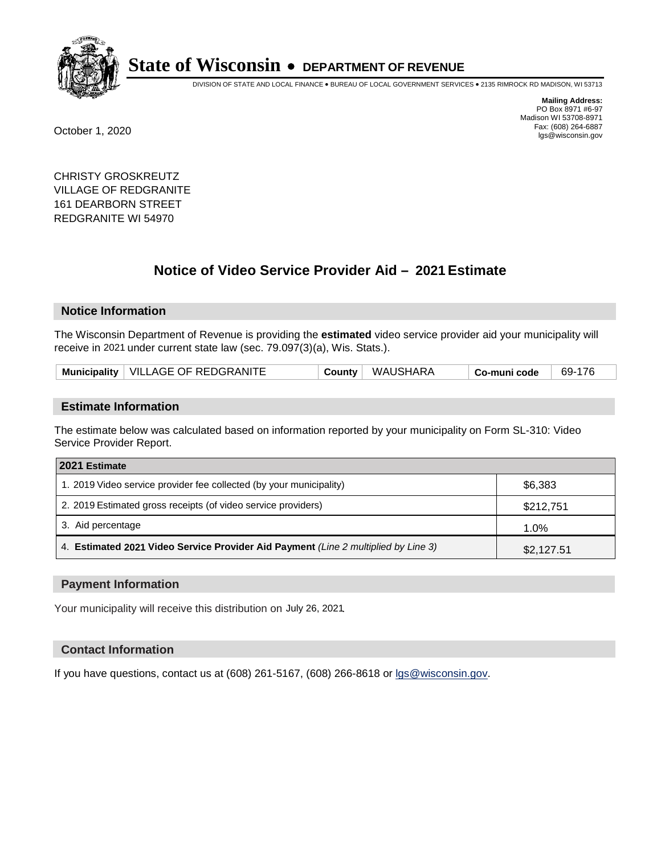

DIVISION OF STATE AND LOCAL FINANCE • BUREAU OF LOCAL GOVERNMENT SERVICES • 2135 RIMROCK RD MADISON, WI 53713

**Mailing Address:** PO Box 8971 #6-97 Madison WI 53708-8971<br>Fax: (608) 264-6887 Fax: (608) 264-6887 October 1, 2020 lgs@wisconsin.gov

CHRISTY GROSKREUTZ VILLAGE OF REDGRANITE 161 DEARBORN STREET REDGRANITE WI 54970

# **Notice of Video Service Provider Aid - 2021 Estimate**

## **Notice Information**

The Wisconsin Department of Revenue is providing the **estimated** video service provider aid your municipality will receive in 2021 under current state law (sec. 79.097(3)(a), Wis. Stats.).

| Municipality   VILLAGE OF REDGRANITE | Countv | WAUSHARA | Co-muni code | 69-176 |
|--------------------------------------|--------|----------|--------------|--------|
|--------------------------------------|--------|----------|--------------|--------|

#### **Estimate Information**

The estimate below was calculated based on information reported by your municipality on Form SL-310: Video Service Provider Report.

| 2021 Estimate                                                                      |            |  |  |  |
|------------------------------------------------------------------------------------|------------|--|--|--|
| 1. 2019 Video service provider fee collected (by your municipality)                | \$6,383    |  |  |  |
| 2. 2019 Estimated gross receipts (of video service providers)                      | \$212,751  |  |  |  |
| 3. Aid percentage                                                                  | 1.0%       |  |  |  |
| 4. Estimated 2021 Video Service Provider Aid Payment (Line 2 multiplied by Line 3) | \$2,127.51 |  |  |  |

#### **Payment Information**

Your municipality will receive this distribution on July 26, 2021.

## **Contact Information**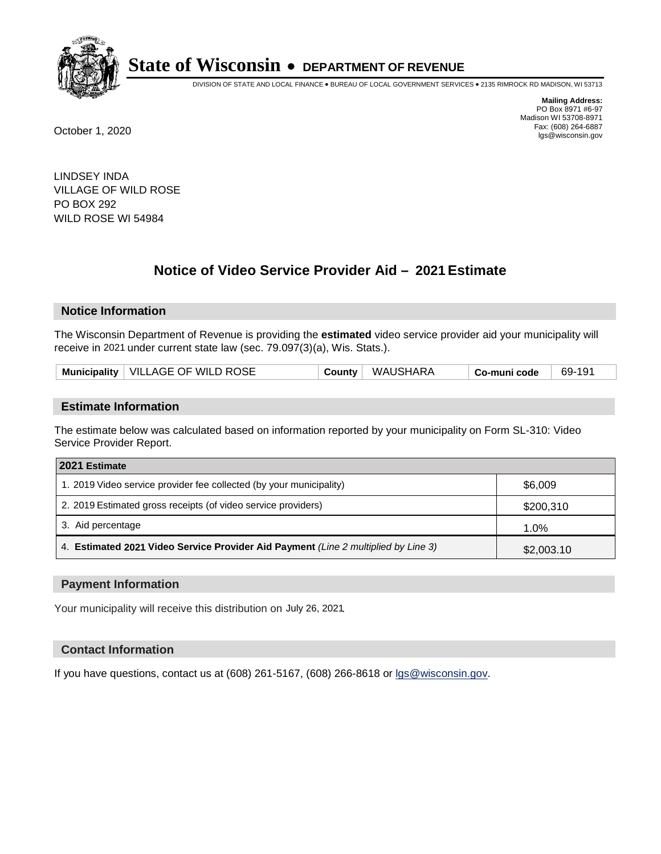

DIVISION OF STATE AND LOCAL FINANCE • BUREAU OF LOCAL GOVERNMENT SERVICES • 2135 RIMROCK RD MADISON, WI 53713

**Mailing Address:** PO Box 8971 #6-97 Madison WI 53708-8971<br>Fax: (608) 264-6887 Fax: (608) 264-6887 October 1, 2020 lgs@wisconsin.gov

LINDSEY INDA VILLAGE OF WILD ROSE PO BOX 292 WILD ROSE WI 54984

# **Notice of Video Service Provider Aid - 2021 Estimate**

## **Notice Information**

The Wisconsin Department of Revenue is providing the **estimated** video service provider aid your municipality will receive in 2021 under current state law (sec. 79.097(3)(a), Wis. Stats.).

| Municipality   VILLAGE OF WILD ROSE |  | County WAUSHARA | <sup>⊢</sup> Co-muni code | 69-191 |
|-------------------------------------|--|-----------------|---------------------------|--------|
|-------------------------------------|--|-----------------|---------------------------|--------|

#### **Estimate Information**

The estimate below was calculated based on information reported by your municipality on Form SL-310: Video Service Provider Report.

| 2021 Estimate                                                                      |            |  |  |  |
|------------------------------------------------------------------------------------|------------|--|--|--|
| 1. 2019 Video service provider fee collected (by your municipality)                | \$6,009    |  |  |  |
| 2. 2019 Estimated gross receipts (of video service providers)                      | \$200,310  |  |  |  |
| 3. Aid percentage                                                                  | 1.0%       |  |  |  |
| 4. Estimated 2021 Video Service Provider Aid Payment (Line 2 multiplied by Line 3) | \$2,003.10 |  |  |  |

#### **Payment Information**

Your municipality will receive this distribution on July 26, 2021.

## **Contact Information**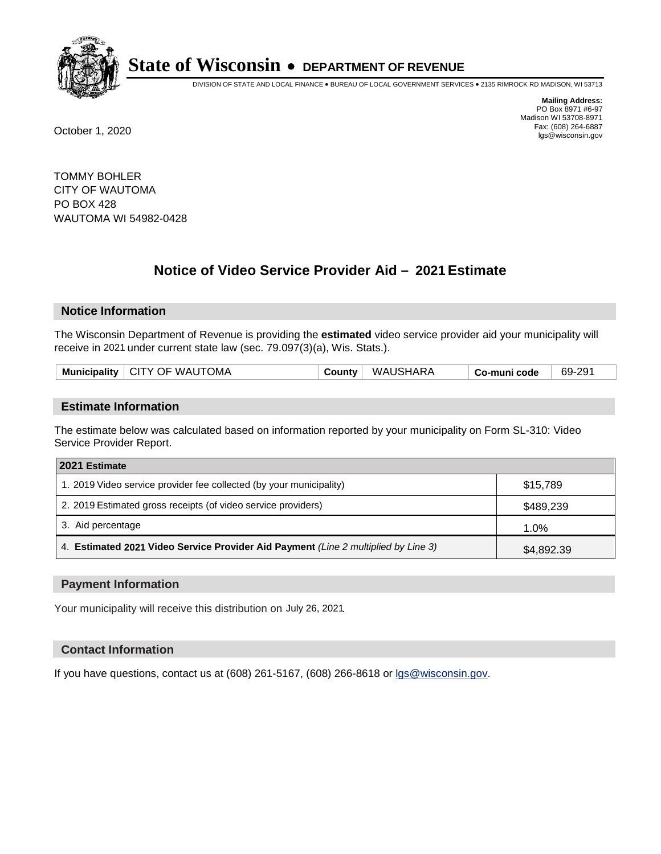

DIVISION OF STATE AND LOCAL FINANCE • BUREAU OF LOCAL GOVERNMENT SERVICES • 2135 RIMROCK RD MADISON, WI 53713

**Mailing Address:** PO Box 8971 #6-97 Madison WI 53708-8971<br>Fax: (608) 264-6887 Fax: (608) 264-6887 October 1, 2020 lgs@wisconsin.gov

TOMMY BOHLER CITY OF WAUTOMA PO BOX 428 WAUTOMA WI 54982-0428

# **Notice of Video Service Provider Aid - 2021 Estimate**

## **Notice Information**

The Wisconsin Department of Revenue is providing the **estimated** video service provider aid your municipality will receive in 2021 under current state law (sec. 79.097(3)(a), Wis. Stats.).

| Municipality   CITY OF WAUTOMA | County | WAUSHARA | Co-muni code | 69-291 |
|--------------------------------|--------|----------|--------------|--------|
|                                |        |          |              |        |

#### **Estimate Information**

The estimate below was calculated based on information reported by your municipality on Form SL-310: Video Service Provider Report.

| 2021 Estimate                                                                      |            |  |  |  |
|------------------------------------------------------------------------------------|------------|--|--|--|
| 1. 2019 Video service provider fee collected (by your municipality)                | \$15.789   |  |  |  |
| 2. 2019 Estimated gross receipts (of video service providers)                      | \$489,239  |  |  |  |
| 3. Aid percentage                                                                  | 1.0%       |  |  |  |
| 4. Estimated 2021 Video Service Provider Aid Payment (Line 2 multiplied by Line 3) | \$4,892.39 |  |  |  |

#### **Payment Information**

Your municipality will receive this distribution on July 26, 2021.

## **Contact Information**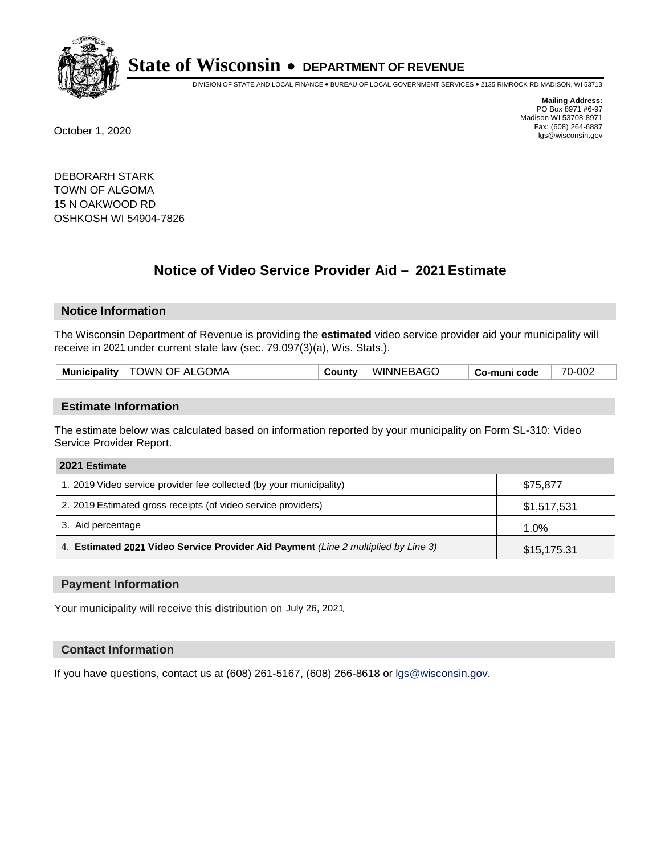

DIVISION OF STATE AND LOCAL FINANCE • BUREAU OF LOCAL GOVERNMENT SERVICES • 2135 RIMROCK RD MADISON, WI 53713

**Mailing Address:** PO Box 8971 #6-97 Madison WI 53708-8971<br>Fax: (608) 264-6887 Fax: (608) 264-6887 October 1, 2020 lgs@wisconsin.gov

DEBORARH STARK TOWN OF ALGOMA 15 N OAKWOOD RD OSHKOSH WI 54904-7826

# **Notice of Video Service Provider Aid - 2021 Estimate**

## **Notice Information**

The Wisconsin Department of Revenue is providing the **estimated** video service provider aid your municipality will receive in 2021 under current state law (sec. 79.097(3)(a), Wis. Stats.).

| Municipality   TOWN OF ALGOMA | County | <b>WINNEBAGO</b> | Co-muni code | 70-002 |
|-------------------------------|--------|------------------|--------------|--------|
|                               |        |                  |              |        |

#### **Estimate Information**

The estimate below was calculated based on information reported by your municipality on Form SL-310: Video Service Provider Report.

| 2021 Estimate                                                                      |             |  |  |  |
|------------------------------------------------------------------------------------|-------------|--|--|--|
| 1. 2019 Video service provider fee collected (by your municipality)                | \$75,877    |  |  |  |
| 2. 2019 Estimated gross receipts (of video service providers)                      | \$1,517,531 |  |  |  |
| 3. Aid percentage                                                                  | 1.0%        |  |  |  |
| 4. Estimated 2021 Video Service Provider Aid Payment (Line 2 multiplied by Line 3) | \$15,175.31 |  |  |  |

#### **Payment Information**

Your municipality will receive this distribution on July 26, 2021.

## **Contact Information**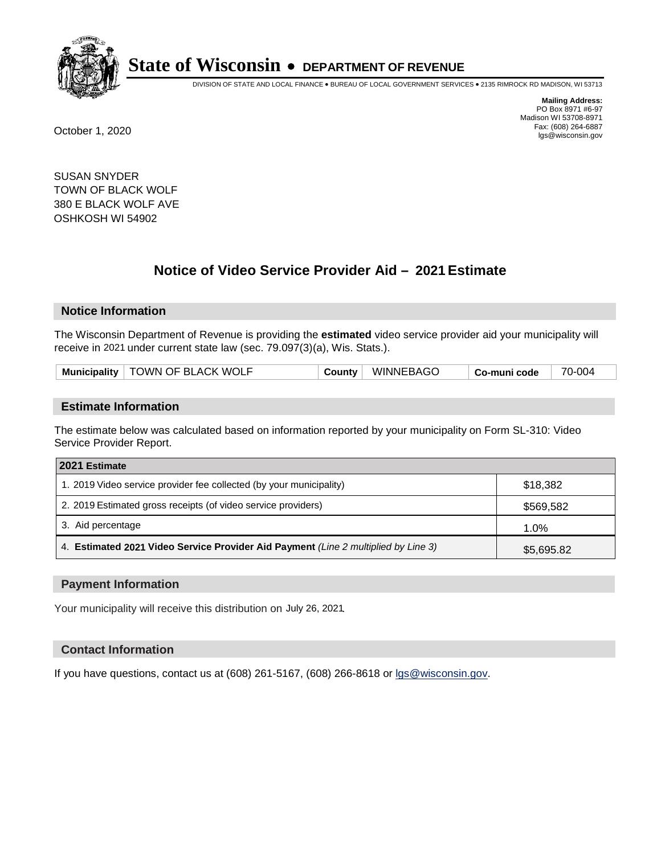

DIVISION OF STATE AND LOCAL FINANCE • BUREAU OF LOCAL GOVERNMENT SERVICES • 2135 RIMROCK RD MADISON, WI 53713

**Mailing Address:** PO Box 8971 #6-97 Madison WI 53708-8971<br>Fax: (608) 264-6887 Fax: (608) 264-6887 October 1, 2020 lgs@wisconsin.gov

SUSAN SNYDER TOWN OF BLACK WOLF 380 E BLACK WOLF AVE OSHKOSH WI 54902

# **Notice of Video Service Provider Aid - 2021 Estimate**

## **Notice Information**

The Wisconsin Department of Revenue is providing the **estimated** video service provider aid your municipality will receive in 2021 under current state law (sec. 79.097(3)(a), Wis. Stats.).

| Municipality   TOWN OF BLACK WOLF<br>WINNEBAGO<br>Countv<br>∣ Co-muni code | 70-004 |
|----------------------------------------------------------------------------|--------|
|----------------------------------------------------------------------------|--------|

#### **Estimate Information**

The estimate below was calculated based on information reported by your municipality on Form SL-310: Video Service Provider Report.

| 2021 Estimate                                                                      |            |
|------------------------------------------------------------------------------------|------------|
| 1. 2019 Video service provider fee collected (by your municipality)                | \$18,382   |
| 2. 2019 Estimated gross receipts (of video service providers)                      | \$569,582  |
| 3. Aid percentage                                                                  | 1.0%       |
| 4. Estimated 2021 Video Service Provider Aid Payment (Line 2 multiplied by Line 3) | \$5,695.82 |

#### **Payment Information**

Your municipality will receive this distribution on July 26, 2021.

## **Contact Information**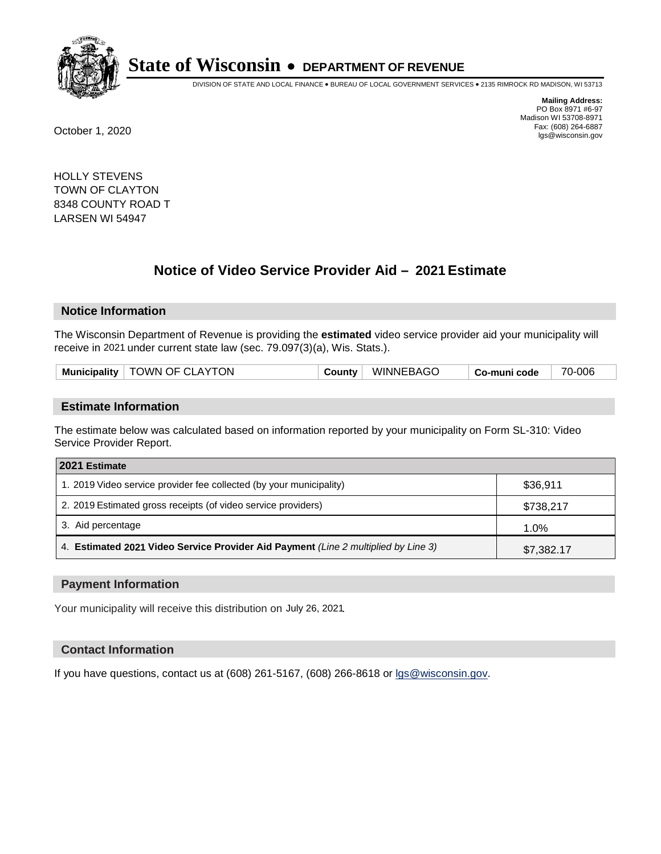

DIVISION OF STATE AND LOCAL FINANCE • BUREAU OF LOCAL GOVERNMENT SERVICES • 2135 RIMROCK RD MADISON, WI 53713

**Mailing Address:** PO Box 8971 #6-97 Madison WI 53708-8971<br>Fax: (608) 264-6887 Fax: (608) 264-6887 October 1, 2020 lgs@wisconsin.gov

HOLLY STEVENS TOWN OF CLAYTON 8348 COUNTY ROAD T LARSEN WI 54947

# **Notice of Video Service Provider Aid - 2021 Estimate**

## **Notice Information**

The Wisconsin Department of Revenue is providing the **estimated** video service provider aid your municipality will receive in 2021 under current state law (sec. 79.097(3)(a), Wis. Stats.).

| Municipality   TOWN OF CLAYTON | County | <b>WINNEBAGO</b> | Co-muni code | 70-006 |
|--------------------------------|--------|------------------|--------------|--------|
|                                |        |                  |              |        |

#### **Estimate Information**

The estimate below was calculated based on information reported by your municipality on Form SL-310: Video Service Provider Report.

| 2021 Estimate                                                                      |            |
|------------------------------------------------------------------------------------|------------|
| 1. 2019 Video service provider fee collected (by your municipality)                | \$36,911   |
| 2. 2019 Estimated gross receipts (of video service providers)                      | \$738,217  |
| 3. Aid percentage                                                                  | 1.0%       |
| 4. Estimated 2021 Video Service Provider Aid Payment (Line 2 multiplied by Line 3) | \$7,382.17 |

#### **Payment Information**

Your municipality will receive this distribution on July 26, 2021.

## **Contact Information**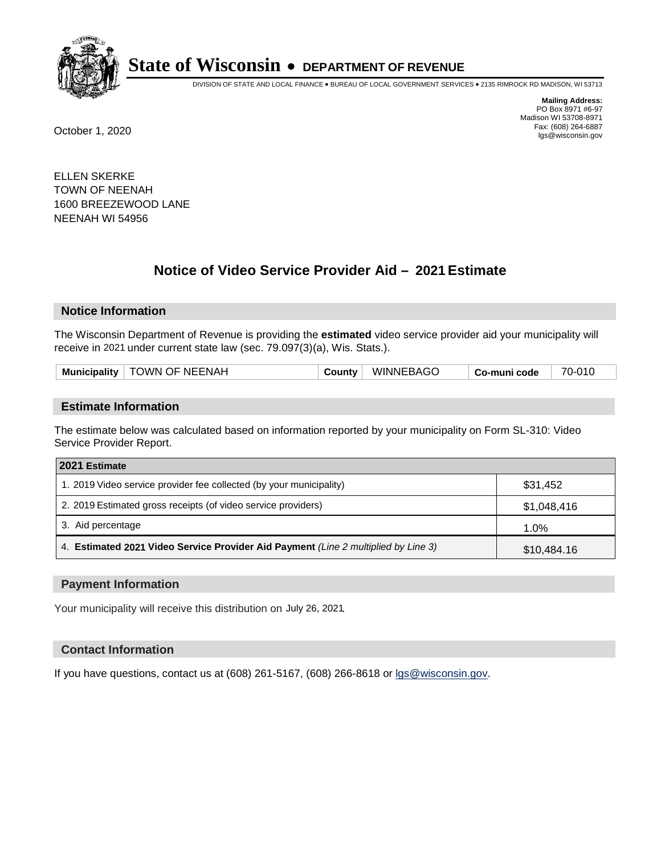

DIVISION OF STATE AND LOCAL FINANCE • BUREAU OF LOCAL GOVERNMENT SERVICES • 2135 RIMROCK RD MADISON, WI 53713

**Mailing Address:** PO Box 8971 #6-97 Madison WI 53708-8971<br>Fax: (608) 264-6887 Fax: (608) 264-6887 October 1, 2020 lgs@wisconsin.gov

ELLEN SKERKE TOWN OF NEENAH 1600 BREEZEWOOD LANE NEENAH WI 54956

# **Notice of Video Service Provider Aid - 2021 Estimate**

## **Notice Information**

The Wisconsin Department of Revenue is providing the **estimated** video service provider aid your municipality will receive in 2021 under current state law (sec. 79.097(3)(a), Wis. Stats.).

|--|

#### **Estimate Information**

The estimate below was calculated based on information reported by your municipality on Form SL-310: Video Service Provider Report.

| 2021 Estimate                                                                      |             |
|------------------------------------------------------------------------------------|-------------|
| 1. 2019 Video service provider fee collected (by your municipality)                | \$31,452    |
| 2. 2019 Estimated gross receipts (of video service providers)                      | \$1,048,416 |
| 3. Aid percentage                                                                  | $1.0\%$     |
| 4. Estimated 2021 Video Service Provider Aid Payment (Line 2 multiplied by Line 3) | \$10,484.16 |

#### **Payment Information**

Your municipality will receive this distribution on July 26, 2021.

## **Contact Information**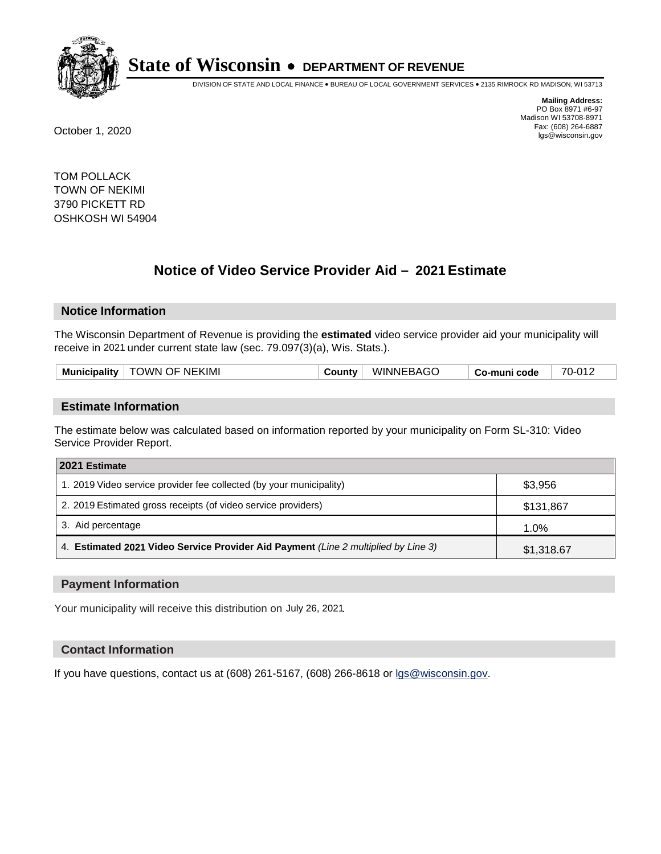

DIVISION OF STATE AND LOCAL FINANCE • BUREAU OF LOCAL GOVERNMENT SERVICES • 2135 RIMROCK RD MADISON, WI 53713

**Mailing Address:** PO Box 8971 #6-97 Madison WI 53708-8971<br>Fax: (608) 264-6887 Fax: (608) 264-6887 October 1, 2020 lgs@wisconsin.gov

TOM POLLACK TOWN OF NEKIMI 3790 PICKETT RD OSHKOSH WI 54904

# **Notice of Video Service Provider Aid - 2021 Estimate**

## **Notice Information**

The Wisconsin Department of Revenue is providing the **estimated** video service provider aid your municipality will receive in 2021 under current state law (sec. 79.097(3)(a), Wis. Stats.).

| Municipality   TOWN OF NEKIMI | County | <b>WINNEBAGO</b> | Co-muni code | 70-012 |
|-------------------------------|--------|------------------|--------------|--------|
|                               |        |                  |              |        |

#### **Estimate Information**

The estimate below was calculated based on information reported by your municipality on Form SL-310: Video Service Provider Report.

| 2021 Estimate                                                                      |            |
|------------------------------------------------------------------------------------|------------|
| 1. 2019 Video service provider fee collected (by your municipality)                | \$3,956    |
| 2. 2019 Estimated gross receipts (of video service providers)                      | \$131,867  |
| 3. Aid percentage                                                                  | 1.0%       |
| 4. Estimated 2021 Video Service Provider Aid Payment (Line 2 multiplied by Line 3) | \$1,318.67 |

#### **Payment Information**

Your municipality will receive this distribution on July 26, 2021.

## **Contact Information**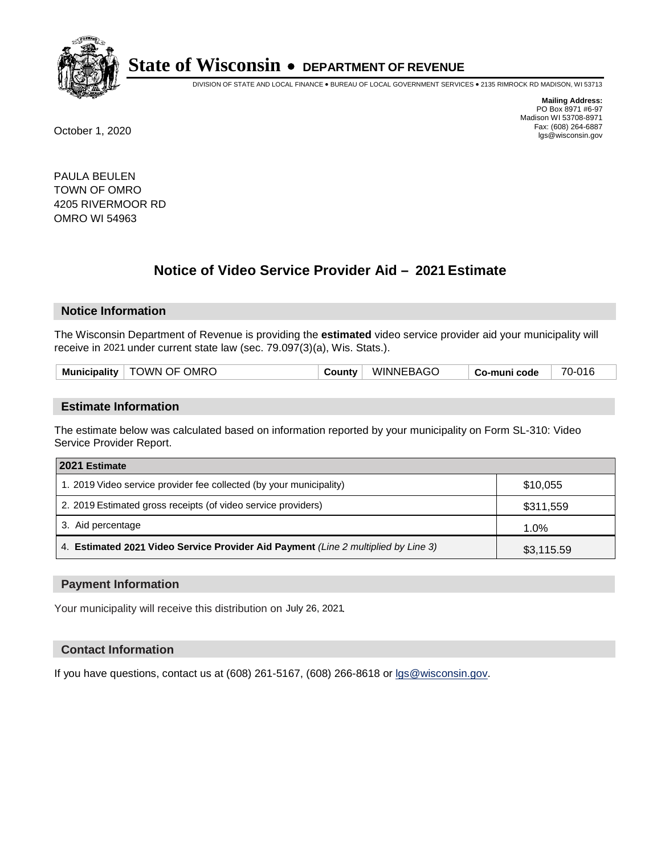

DIVISION OF STATE AND LOCAL FINANCE • BUREAU OF LOCAL GOVERNMENT SERVICES • 2135 RIMROCK RD MADISON, WI 53713

**Mailing Address:** PO Box 8971 #6-97 Madison WI 53708-8971<br>Fax: (608) 264-6887 Fax: (608) 264-6887 October 1, 2020 lgs@wisconsin.gov

PAULA BEULEN TOWN OF OMRO 4205 RIVERMOOR RD OMRO WI 54963

# **Notice of Video Service Provider Aid - 2021 Estimate**

## **Notice Information**

The Wisconsin Department of Revenue is providing the **estimated** video service provider aid your municipality will receive in 2021 under current state law (sec. 79.097(3)(a), Wis. Stats.).

| <b>Municipality</b> | <b>TOWN OF OMRO</b> | יאוווה. | <b>WINNEBAGO</b> | -muni code<br>. -ഗ- | 70-016 |
|---------------------|---------------------|---------|------------------|---------------------|--------|
|                     |                     |         |                  |                     |        |

#### **Estimate Information**

The estimate below was calculated based on information reported by your municipality on Form SL-310: Video Service Provider Report.

| 2021 Estimate                                                                      |            |
|------------------------------------------------------------------------------------|------------|
| 1. 2019 Video service provider fee collected (by your municipality)                | \$10,055   |
| 2. 2019 Estimated gross receipts (of video service providers)                      | \$311,559  |
| 3. Aid percentage                                                                  | 1.0%       |
| 4. Estimated 2021 Video Service Provider Aid Payment (Line 2 multiplied by Line 3) | \$3,115.59 |

#### **Payment Information**

Your municipality will receive this distribution on July 26, 2021.

## **Contact Information**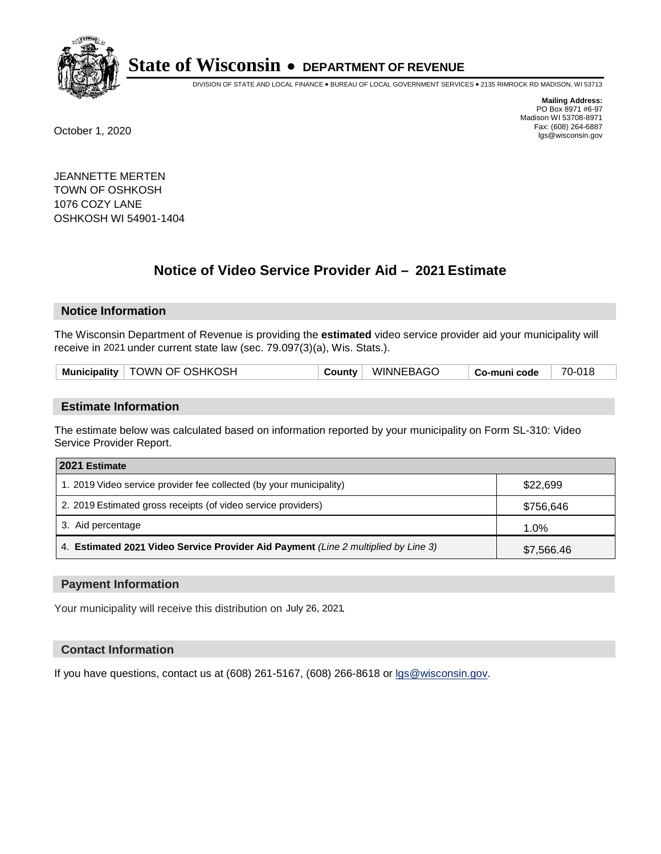

DIVISION OF STATE AND LOCAL FINANCE • BUREAU OF LOCAL GOVERNMENT SERVICES • 2135 RIMROCK RD MADISON, WI 53713

**Mailing Address:** PO Box 8971 #6-97 Madison WI 53708-8971<br>Fax: (608) 264-6887 Fax: (608) 264-6887 October 1, 2020 lgs@wisconsin.gov

JEANNETTE MERTEN TOWN OF OSHKOSH 1076 COZY LANE OSHKOSH WI 54901-1404

# **Notice of Video Service Provider Aid - 2021 Estimate**

## **Notice Information**

The Wisconsin Department of Revenue is providing the **estimated** video service provider aid your municipality will receive in 2021 under current state law (sec. 79.097(3)(a), Wis. Stats.).

| Municipality   TOWN OF OSHKOSH | County   WINNEBAGO | 70-018<br>$^\shortparallel$ Co-muni code |
|--------------------------------|--------------------|------------------------------------------|
|--------------------------------|--------------------|------------------------------------------|

#### **Estimate Information**

The estimate below was calculated based on information reported by your municipality on Form SL-310: Video Service Provider Report.

| 2021 Estimate                                                                      |            |
|------------------------------------------------------------------------------------|------------|
| 1. 2019 Video service provider fee collected (by your municipality)                | \$22,699   |
| 2. 2019 Estimated gross receipts (of video service providers)                      | \$756,646  |
| 3. Aid percentage                                                                  | 1.0%       |
| 4. Estimated 2021 Video Service Provider Aid Payment (Line 2 multiplied by Line 3) | \$7,566.46 |

#### **Payment Information**

Your municipality will receive this distribution on July 26, 2021.

## **Contact Information**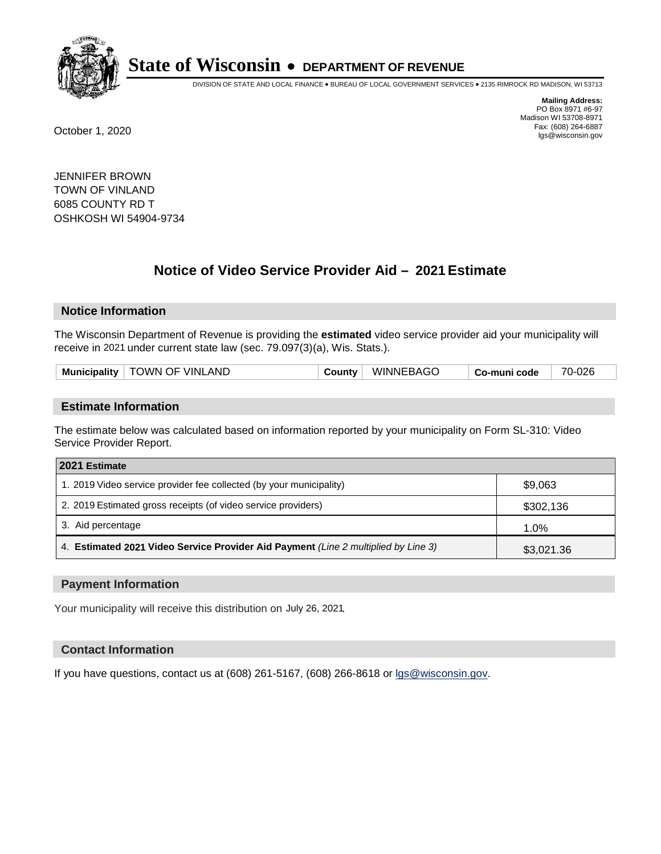

DIVISION OF STATE AND LOCAL FINANCE • BUREAU OF LOCAL GOVERNMENT SERVICES • 2135 RIMROCK RD MADISON, WI 53713

**Mailing Address:** PO Box 8971 #6-97 Madison WI 53708-8971<br>Fax: (608) 264-6887 Fax: (608) 264-6887 October 1, 2020 lgs@wisconsin.gov

JENNIFER BROWN TOWN OF VINLAND 6085 COUNTY RD T OSHKOSH WI 54904-9734

# **Notice of Video Service Provider Aid - 2021 Estimate**

## **Notice Information**

The Wisconsin Department of Revenue is providing the **estimated** video service provider aid your municipality will receive in 2021 under current state law (sec. 79.097(3)(a), Wis. Stats.).

| Municipality $ $ | TOWN OF VINLAND | <b>County</b> ∂ | <b>WINNEBAGO</b> | Co-muni code | 70-026 |
|------------------|-----------------|-----------------|------------------|--------------|--------|
|                  |                 |                 |                  |              |        |

#### **Estimate Information**

The estimate below was calculated based on information reported by your municipality on Form SL-310: Video Service Provider Report.

| 2021 Estimate                                                                      |            |
|------------------------------------------------------------------------------------|------------|
| 1. 2019 Video service provider fee collected (by your municipality)                | \$9,063    |
| 2. 2019 Estimated gross receipts (of video service providers)                      | \$302,136  |
| 3. Aid percentage                                                                  | 1.0%       |
| 4. Estimated 2021 Video Service Provider Aid Payment (Line 2 multiplied by Line 3) | \$3,021.36 |

#### **Payment Information**

Your municipality will receive this distribution on July 26, 2021.

## **Contact Information**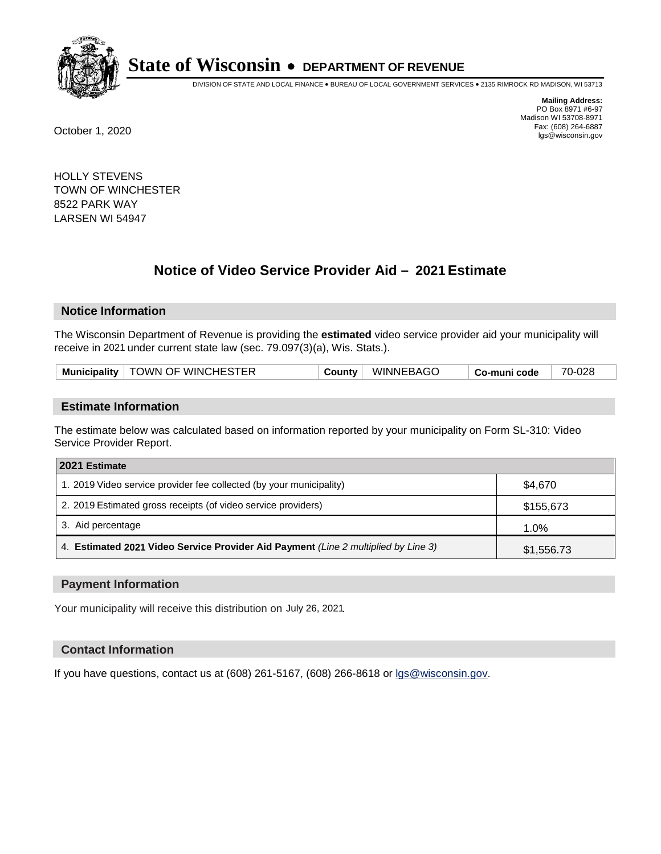

DIVISION OF STATE AND LOCAL FINANCE • BUREAU OF LOCAL GOVERNMENT SERVICES • 2135 RIMROCK RD MADISON, WI 53713

**Mailing Address:** PO Box 8971 #6-97 Madison WI 53708-8971<br>Fax: (608) 264-6887 Fax: (608) 264-6887 October 1, 2020 lgs@wisconsin.gov

HOLLY STEVENS TOWN OF WINCHESTER 8522 PARK WAY LARSEN WI 54947

# **Notice of Video Service Provider Aid - 2021 Estimate**

## **Notice Information**

The Wisconsin Department of Revenue is providing the **estimated** video service provider aid your municipality will receive in 2021 under current state law (sec. 79.097(3)(a), Wis. Stats.).

| Municipality   TOWN OF WINCHESTER<br>County | <b>WINNEBAGO</b> | Co-muni code | 70-028 |
|---------------------------------------------|------------------|--------------|--------|
|---------------------------------------------|------------------|--------------|--------|

#### **Estimate Information**

The estimate below was calculated based on information reported by your municipality on Form SL-310: Video Service Provider Report.

| 2021 Estimate                                                                      |            |
|------------------------------------------------------------------------------------|------------|
| 1. 2019 Video service provider fee collected (by your municipality)                | \$4.670    |
| 2. 2019 Estimated gross receipts (of video service providers)                      | \$155,673  |
| 3. Aid percentage                                                                  | 1.0%       |
| 4. Estimated 2021 Video Service Provider Aid Payment (Line 2 multiplied by Line 3) | \$1,556.73 |

#### **Payment Information**

Your municipality will receive this distribution on July 26, 2021.

## **Contact Information**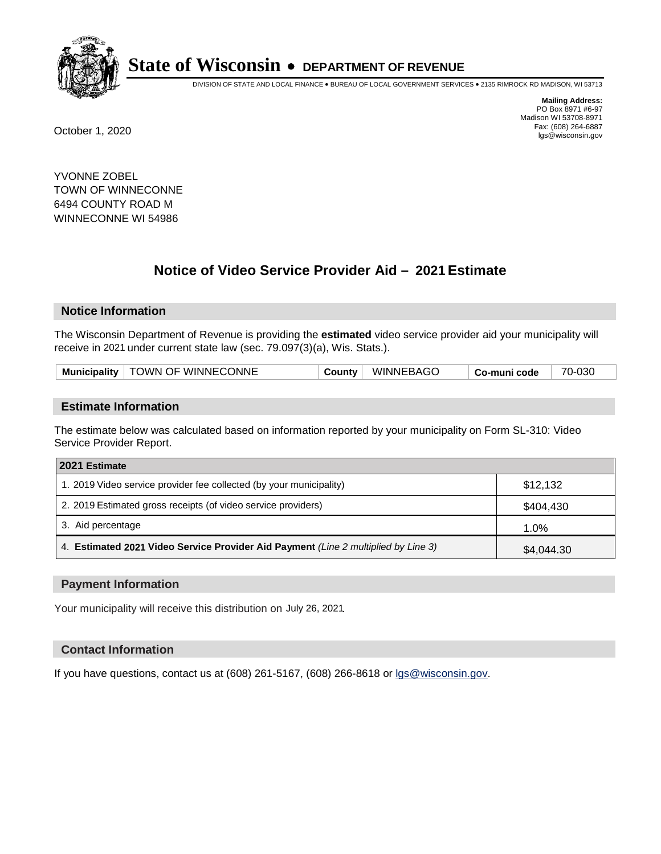

DIVISION OF STATE AND LOCAL FINANCE • BUREAU OF LOCAL GOVERNMENT SERVICES • 2135 RIMROCK RD MADISON, WI 53713

**Mailing Address:** PO Box 8971 #6-97 Madison WI 53708-8971<br>Fax: (608) 264-6887 Fax: (608) 264-6887 October 1, 2020 lgs@wisconsin.gov

YVONNE ZOBEL TOWN OF WINNECONNE 6494 COUNTY ROAD M WINNECONNE WI 54986

# **Notice of Video Service Provider Aid - 2021 Estimate**

## **Notice Information**

The Wisconsin Department of Revenue is providing the **estimated** video service provider aid your municipality will receive in 2021 under current state law (sec. 79.097(3)(a), Wis. Stats.).

| Municipality   TOWN OF WINNECONNE<br>WINNEBAGO<br>County<br>Co-muni code | 70-030 |
|--------------------------------------------------------------------------|--------|
|--------------------------------------------------------------------------|--------|

#### **Estimate Information**

The estimate below was calculated based on information reported by your municipality on Form SL-310: Video Service Provider Report.

| 2021 Estimate                                                                      |            |
|------------------------------------------------------------------------------------|------------|
| 1. 2019 Video service provider fee collected (by your municipality)                | \$12,132   |
| 2. 2019 Estimated gross receipts (of video service providers)                      | \$404,430  |
| 3. Aid percentage                                                                  | 1.0%       |
| 4. Estimated 2021 Video Service Provider Aid Payment (Line 2 multiplied by Line 3) | \$4,044.30 |

#### **Payment Information**

Your municipality will receive this distribution on July 26, 2021.

## **Contact Information**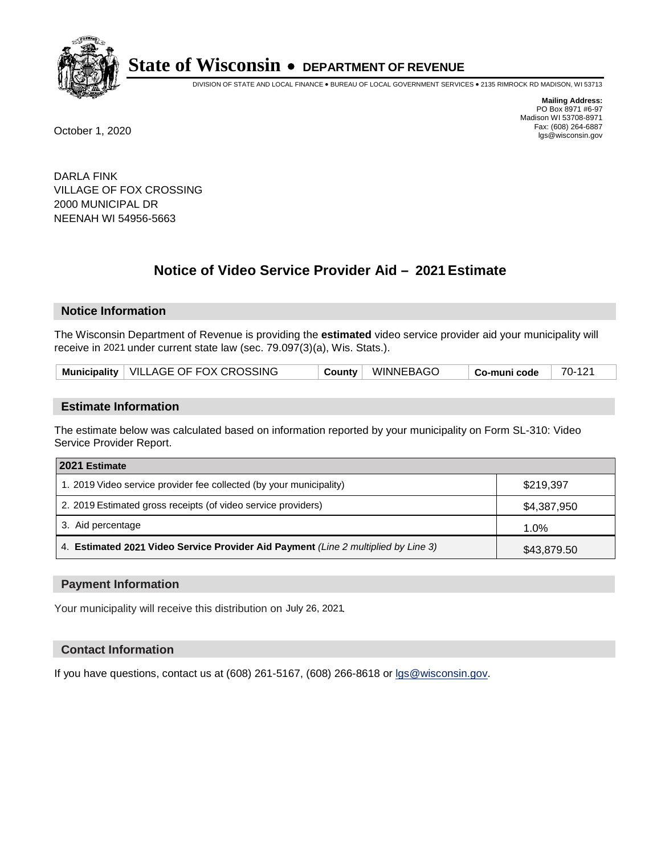

DIVISION OF STATE AND LOCAL FINANCE • BUREAU OF LOCAL GOVERNMENT SERVICES • 2135 RIMROCK RD MADISON, WI 53713

**Mailing Address:** PO Box 8971 #6-97 Madison WI 53708-8971<br>Fax: (608) 264-6887 Fax: (608) 264-6887 October 1, 2020 lgs@wisconsin.gov

DARLA FINK VILLAGE OF FOX CROSSING 2000 MUNICIPAL DR NEENAH WI 54956-5663

# **Notice of Video Service Provider Aid - 2021 Estimate**

## **Notice Information**

The Wisconsin Department of Revenue is providing the **estimated** video service provider aid your municipality will receive in 2021 under current state law (sec. 79.097(3)(a), Wis. Stats.).

| Municipality   VILLAGE OF FOX CROSSING<br>County WINNEBAGO<br>70-121<br>$\mid$ Co-muni code |  |
|---------------------------------------------------------------------------------------------|--|
|---------------------------------------------------------------------------------------------|--|

#### **Estimate Information**

The estimate below was calculated based on information reported by your municipality on Form SL-310: Video Service Provider Report.

| 2021 Estimate                                                                      |             |
|------------------------------------------------------------------------------------|-------------|
| 1. 2019 Video service provider fee collected (by your municipality)                | \$219,397   |
| 2. 2019 Estimated gross receipts (of video service providers)                      | \$4,387,950 |
| 3. Aid percentage                                                                  | 1.0%        |
| 4. Estimated 2021 Video Service Provider Aid Payment (Line 2 multiplied by Line 3) | \$43,879.50 |

#### **Payment Information**

Your municipality will receive this distribution on July 26, 2021.

## **Contact Information**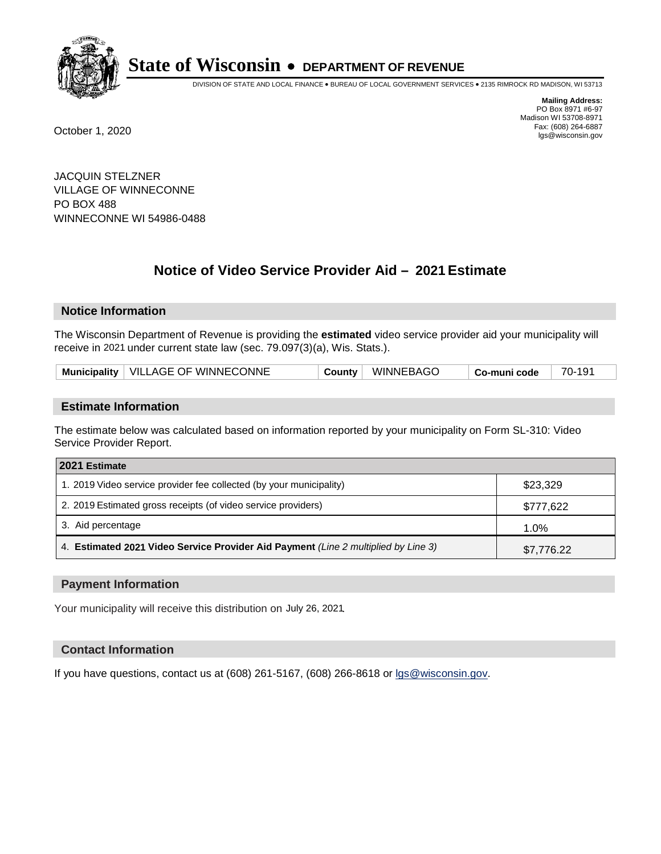

DIVISION OF STATE AND LOCAL FINANCE • BUREAU OF LOCAL GOVERNMENT SERVICES • 2135 RIMROCK RD MADISON, WI 53713

**Mailing Address:** PO Box 8971 #6-97 Madison WI 53708-8971<br>Fax: (608) 264-6887 Fax: (608) 264-6887 October 1, 2020 lgs@wisconsin.gov

JACQUIN STELZNER VILLAGE OF WINNECONNE PO BOX 488 WINNECONNE WI 54986-0488

# **Notice of Video Service Provider Aid - 2021 Estimate**

## **Notice Information**

The Wisconsin Department of Revenue is providing the **estimated** video service provider aid your municipality will receive in 2021 under current state law (sec. 79.097(3)(a), Wis. Stats.).

| Municipality   VILLAGE OF WINNECONNE | WINNEBAGO<br>County | 70-191<br>∣ Co-muni code |  |
|--------------------------------------|---------------------|--------------------------|--|
|--------------------------------------|---------------------|--------------------------|--|

## **Estimate Information**

The estimate below was calculated based on information reported by your municipality on Form SL-310: Video Service Provider Report.

| 2021 Estimate                                                                      |            |
|------------------------------------------------------------------------------------|------------|
| 1. 2019 Video service provider fee collected (by your municipality)                | \$23,329   |
| 2. 2019 Estimated gross receipts (of video service providers)                      | \$777,622  |
| 3. Aid percentage                                                                  | 1.0%       |
| 4. Estimated 2021 Video Service Provider Aid Payment (Line 2 multiplied by Line 3) | \$7,776.22 |

#### **Payment Information**

Your municipality will receive this distribution on July 26, 2021.

## **Contact Information**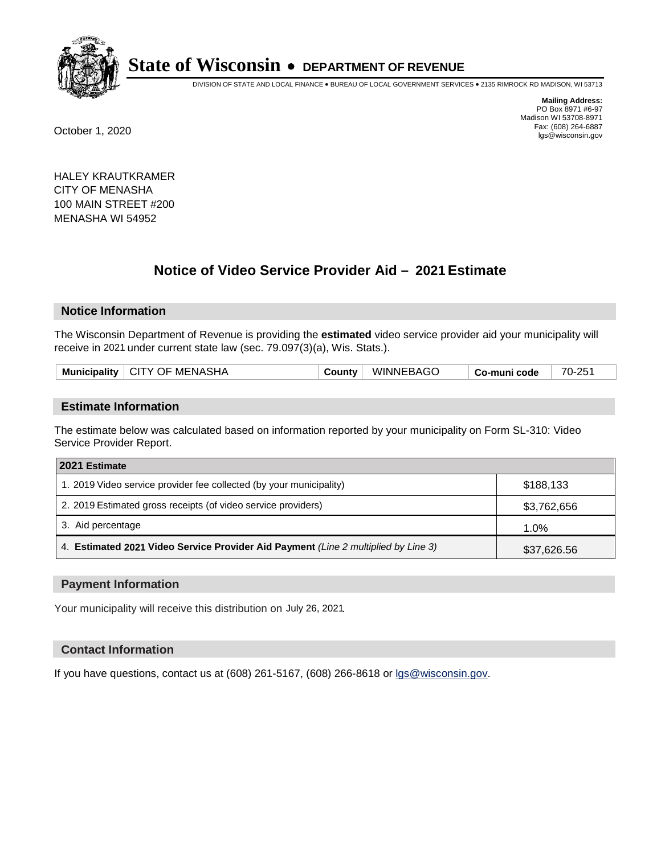

DIVISION OF STATE AND LOCAL FINANCE • BUREAU OF LOCAL GOVERNMENT SERVICES • 2135 RIMROCK RD MADISON, WI 53713

**Mailing Address:** PO Box 8971 #6-97 Madison WI 53708-8971<br>Fax: (608) 264-6887 Fax: (608) 264-6887 October 1, 2020 lgs@wisconsin.gov

HALEY KRAUTKRAMER CITY OF MENASHA 100 MAIN STREET #200 MENASHA WI 54952

# **Notice of Video Service Provider Aid - 2021 Estimate**

## **Notice Information**

The Wisconsin Department of Revenue is providing the **estimated** video service provider aid your municipality will receive in 2021 under current state law (sec. 79.097(3)(a), Wis. Stats.).

| Municipality   CITY OF MENASHA | County | WINNEBAGO | Co-muni code | 70-251 |  |
|--------------------------------|--------|-----------|--------------|--------|--|
|                                |        |           |              |        |  |

#### **Estimate Information**

The estimate below was calculated based on information reported by your municipality on Form SL-310: Video Service Provider Report.

| 2021 Estimate                                                                      |             |
|------------------------------------------------------------------------------------|-------------|
| 1. 2019 Video service provider fee collected (by your municipality)                | \$188.133   |
| 2. 2019 Estimated gross receipts (of video service providers)                      | \$3,762,656 |
| 3. Aid percentage                                                                  | 1.0%        |
| 4. Estimated 2021 Video Service Provider Aid Payment (Line 2 multiplied by Line 3) | \$37,626.56 |

#### **Payment Information**

Your municipality will receive this distribution on July 26, 2021.

## **Contact Information**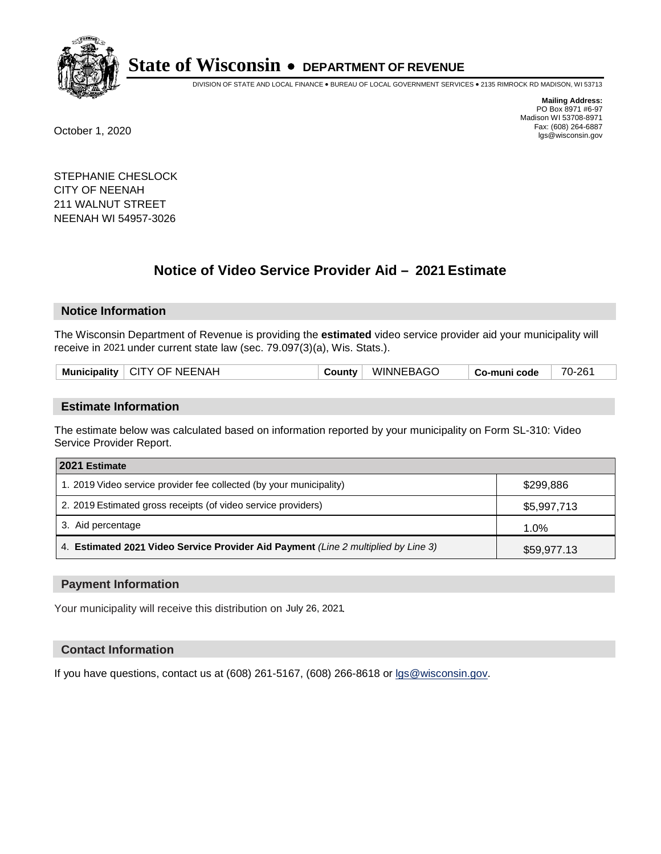

DIVISION OF STATE AND LOCAL FINANCE • BUREAU OF LOCAL GOVERNMENT SERVICES • 2135 RIMROCK RD MADISON, WI 53713

**Mailing Address:** PO Box 8971 #6-97 Madison WI 53708-8971<br>Fax: (608) 264-6887 Fax: (608) 264-6887 October 1, 2020 lgs@wisconsin.gov

STEPHANIE CHESLOCK CITY OF NEENAH 211 WALNUT STREET NEENAH WI 54957-3026

# **Notice of Video Service Provider Aid - 2021 Estimate**

## **Notice Information**

The Wisconsin Department of Revenue is providing the **estimated** video service provider aid your municipality will receive in 2021 under current state law (sec. 79.097(3)(a), Wis. Stats.).

| Municipality   CITY OF NEENAH | County | <b>WINNEBAGO</b> | Co-muni code | 70-26 <sup>.</sup> |
|-------------------------------|--------|------------------|--------------|--------------------|
|                               |        |                  |              |                    |

#### **Estimate Information**

The estimate below was calculated based on information reported by your municipality on Form SL-310: Video Service Provider Report.

| 2021 Estimate                                                                      |             |  |  |
|------------------------------------------------------------------------------------|-------------|--|--|
| 1. 2019 Video service provider fee collected (by your municipality)                | \$299,886   |  |  |
| 2. 2019 Estimated gross receipts (of video service providers)                      | \$5,997,713 |  |  |
| 3. Aid percentage                                                                  | 1.0%        |  |  |
| 4. Estimated 2021 Video Service Provider Aid Payment (Line 2 multiplied by Line 3) | \$59,977.13 |  |  |

#### **Payment Information**

Your municipality will receive this distribution on July 26, 2021.

## **Contact Information**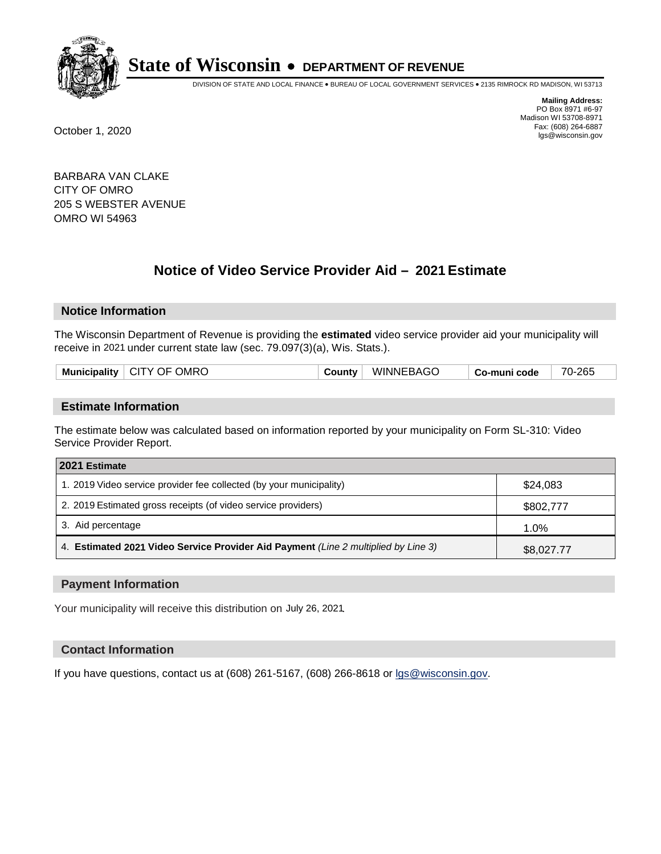

DIVISION OF STATE AND LOCAL FINANCE • BUREAU OF LOCAL GOVERNMENT SERVICES • 2135 RIMROCK RD MADISON, WI 53713

**Mailing Address:** PO Box 8971 #6-97 Madison WI 53708-8971<br>Fax: (608) 264-6887 Fax: (608) 264-6887 October 1, 2020 lgs@wisconsin.gov

BARBARA VAN CLAKE CITY OF OMRO 205 S WEBSTER AVENUE OMRO WI 54963

# **Notice of Video Service Provider Aid - 2021 Estimate**

## **Notice Information**

The Wisconsin Department of Revenue is providing the **estimated** video service provider aid your municipality will receive in 2021 under current state law (sec. 79.097(3)(a), Wis. Stats.).

| <b>Municipality</b> | OMRC<br>CITY OF | .ounty | <b>WINNEBAGO</b> | code<br>⊶munı ⊾<br>. പഠ∹ | -265<br>$70 - 1$ |
|---------------------|-----------------|--------|------------------|--------------------------|------------------|
|                     |                 |        |                  |                          |                  |

#### **Estimate Information**

The estimate below was calculated based on information reported by your municipality on Form SL-310: Video Service Provider Report.

| 2021 Estimate                                                                      |            |  |  |
|------------------------------------------------------------------------------------|------------|--|--|
| 1. 2019 Video service provider fee collected (by your municipality)                | \$24,083   |  |  |
| 2. 2019 Estimated gross receipts (of video service providers)                      | \$802,777  |  |  |
| 3. Aid percentage                                                                  | 1.0%       |  |  |
| 4. Estimated 2021 Video Service Provider Aid Payment (Line 2 multiplied by Line 3) | \$8,027.77 |  |  |

#### **Payment Information**

Your municipality will receive this distribution on July 26, 2021.

## **Contact Information**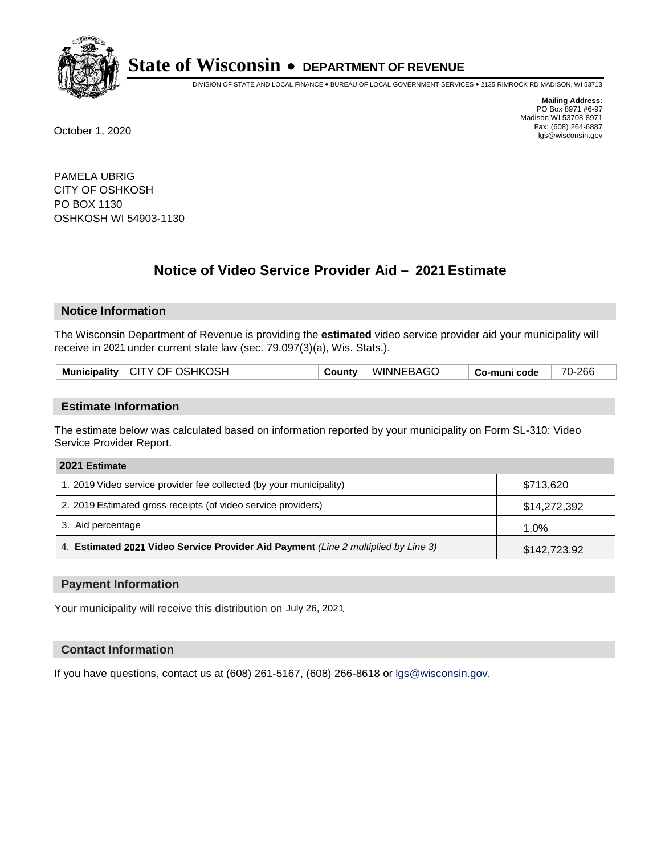

DIVISION OF STATE AND LOCAL FINANCE • BUREAU OF LOCAL GOVERNMENT SERVICES • 2135 RIMROCK RD MADISON, WI 53713

**Mailing Address:** PO Box 8971 #6-97 Madison WI 53708-8971<br>Fax: (608) 264-6887 Fax: (608) 264-6887 October 1, 2020 lgs@wisconsin.gov

PAMELA UBRIG CITY OF OSHKOSH PO BOX 1130 OSHKOSH WI 54903-1130

# **Notice of Video Service Provider Aid - 2021 Estimate**

## **Notice Information**

The Wisconsin Department of Revenue is providing the **estimated** video service provider aid your municipality will receive in 2021 under current state law (sec. 79.097(3)(a), Wis. Stats.).

| Municipality   CITY OF OSHKOSH | County | WINNEBAGO | <sup>⊦</sup> Co-muni code | 70-266 |
|--------------------------------|--------|-----------|---------------------------|--------|
|                                |        |           |                           |        |

#### **Estimate Information**

The estimate below was calculated based on information reported by your municipality on Form SL-310: Video Service Provider Report.

| 2021 Estimate                                                                      |              |  |  |
|------------------------------------------------------------------------------------|--------------|--|--|
| 1. 2019 Video service provider fee collected (by your municipality)                | \$713,620    |  |  |
| 2. 2019 Estimated gross receipts (of video service providers)                      | \$14,272,392 |  |  |
| 3. Aid percentage                                                                  | $1.0\%$      |  |  |
| 4. Estimated 2021 Video Service Provider Aid Payment (Line 2 multiplied by Line 3) | \$142,723.92 |  |  |

#### **Payment Information**

Your municipality will receive this distribution on July 26, 2021.

## **Contact Information**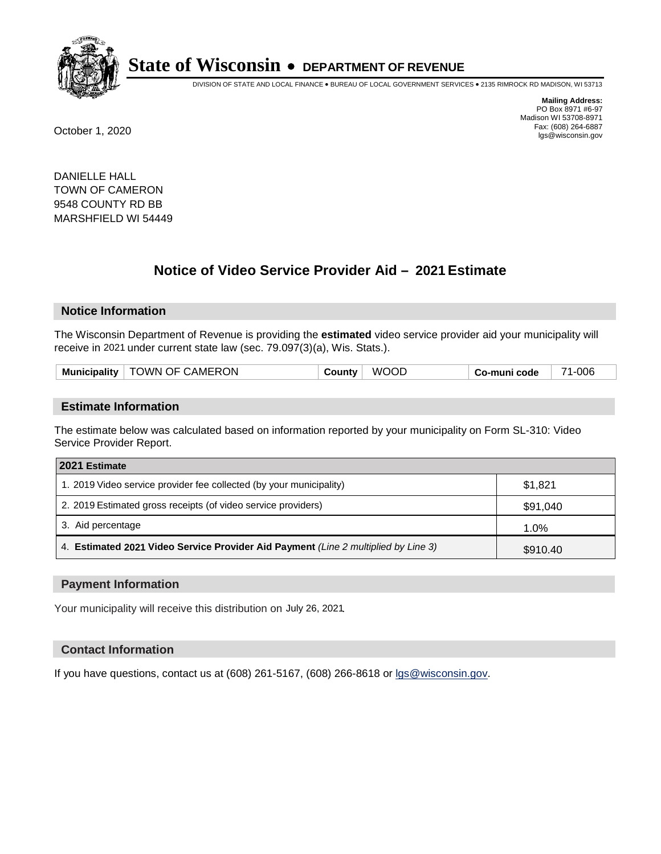

DIVISION OF STATE AND LOCAL FINANCE • BUREAU OF LOCAL GOVERNMENT SERVICES • 2135 RIMROCK RD MADISON, WI 53713

**Mailing Address:** PO Box 8971 #6-97 Madison WI 53708-8971<br>Fax: (608) 264-6887 Fax: (608) 264-6887 October 1, 2020 lgs@wisconsin.gov

DANIELLE HALL TOWN OF CAMERON 9548 COUNTY RD BB MARSHFIELD WI 54449

# **Notice of Video Service Provider Aid - 2021 Estimate**

## **Notice Information**

The Wisconsin Department of Revenue is providing the **estimated** video service provider aid your municipality will receive in 2021 under current state law (sec. 79.097(3)(a), Wis. Stats.).

| TOWN OF CAMERON | WOOD     | Co-muni code | 1-006 |
|-----------------|----------|--------------|-------|
| Municipality    | ⊖ounty ∂ |              | ᄀᄼ    |

#### **Estimate Information**

The estimate below was calculated based on information reported by your municipality on Form SL-310: Video Service Provider Report.

| 2021 Estimate                                                                      |          |  |  |
|------------------------------------------------------------------------------------|----------|--|--|
| 1. 2019 Video service provider fee collected (by your municipality)                | \$1,821  |  |  |
| 2. 2019 Estimated gross receipts (of video service providers)                      | \$91,040 |  |  |
| 3. Aid percentage                                                                  | 1.0%     |  |  |
| 4. Estimated 2021 Video Service Provider Aid Payment (Line 2 multiplied by Line 3) | \$910.40 |  |  |

#### **Payment Information**

Your municipality will receive this distribution on July 26, 2021.

## **Contact Information**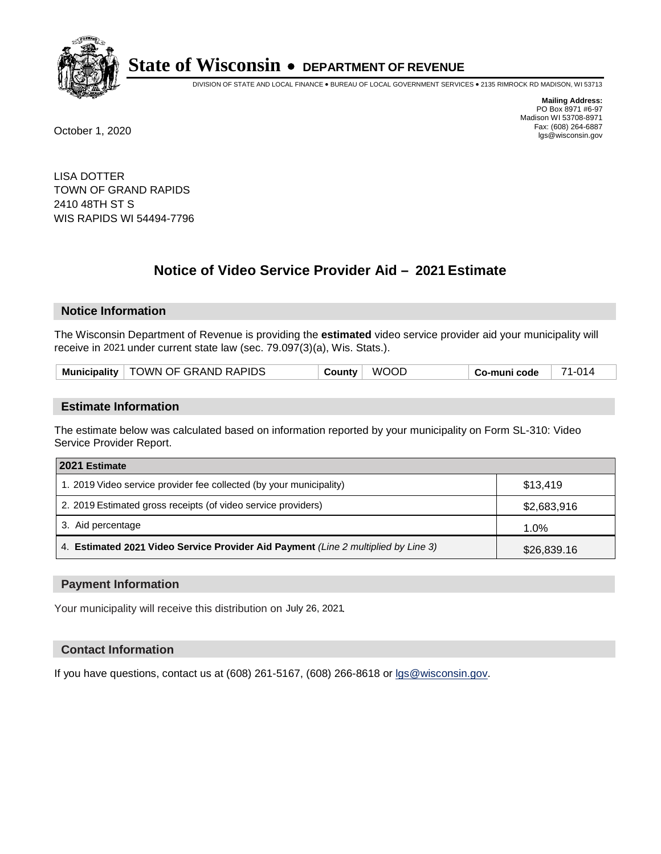

DIVISION OF STATE AND LOCAL FINANCE • BUREAU OF LOCAL GOVERNMENT SERVICES • 2135 RIMROCK RD MADISON, WI 53713

**Mailing Address:** PO Box 8971 #6-97 Madison WI 53708-8971<br>Fax: (608) 264-6887 Fax: (608) 264-6887 October 1, 2020 lgs@wisconsin.gov

LISA DOTTER TOWN OF GRAND RAPIDS 2410 48TH ST S WIS RAPIDS WI 54494-7796

# **Notice of Video Service Provider Aid - 2021 Estimate**

## **Notice Information**

The Wisconsin Department of Revenue is providing the **estimated** video service provider aid your municipality will receive in 2021 under current state law (sec. 79.097(3)(a), Wis. Stats.).

| Municipality   TOWN OF GRAND RAPIDS | <b>WOOD</b><br>County | 71-014<br>Co-muni code |
|-------------------------------------|-----------------------|------------------------|
|-------------------------------------|-----------------------|------------------------|

#### **Estimate Information**

The estimate below was calculated based on information reported by your municipality on Form SL-310: Video Service Provider Report.

| 2021 Estimate                                                                      |             |
|------------------------------------------------------------------------------------|-------------|
| 1. 2019 Video service provider fee collected (by your municipality)                | \$13.419    |
| 2. 2019 Estimated gross receipts (of video service providers)                      | \$2,683,916 |
| 3. Aid percentage                                                                  | 1.0%        |
| 4. Estimated 2021 Video Service Provider Aid Payment (Line 2 multiplied by Line 3) | \$26,839.16 |

#### **Payment Information**

Your municipality will receive this distribution on July 26, 2021.

## **Contact Information**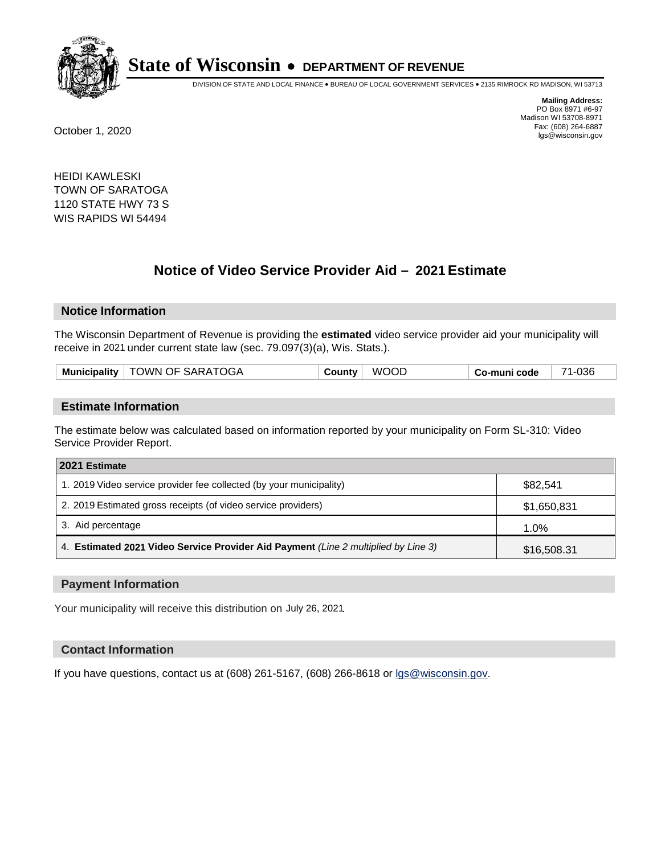

DIVISION OF STATE AND LOCAL FINANCE • BUREAU OF LOCAL GOVERNMENT SERVICES • 2135 RIMROCK RD MADISON, WI 53713

**Mailing Address:** PO Box 8971 #6-97 Madison WI 53708-8971<br>Fax: (608) 264-6887 Fax: (608) 264-6887 October 1, 2020 lgs@wisconsin.gov

HEIDI KAWLESKI TOWN OF SARATOGA 1120 STATE HWY 73 S WIS RAPIDS WI 54494

# **Notice of Video Service Provider Aid - 2021 Estimate**

## **Notice Information**

The Wisconsin Department of Revenue is providing the **estimated** video service provider aid your municipality will receive in 2021 under current state law (sec. 79.097(3)(a), Wis. Stats.).

| Municipality   TOWN OF SARATOGA | <b>WOOD</b><br><b>County</b> | Co-muni code | 1-036<br>74 |
|---------------------------------|------------------------------|--------------|-------------|
|---------------------------------|------------------------------|--------------|-------------|

#### **Estimate Information**

The estimate below was calculated based on information reported by your municipality on Form SL-310: Video Service Provider Report.

| 2021 Estimate                                                                      |             |  |  |
|------------------------------------------------------------------------------------|-------------|--|--|
| 1. 2019 Video service provider fee collected (by your municipality)                | \$82,541    |  |  |
| 2. 2019 Estimated gross receipts (of video service providers)                      | \$1,650,831 |  |  |
| 3. Aid percentage                                                                  | 1.0%        |  |  |
| 4. Estimated 2021 Video Service Provider Aid Payment (Line 2 multiplied by Line 3) | \$16,508.31 |  |  |

#### **Payment Information**

Your municipality will receive this distribution on July 26, 2021.

## **Contact Information**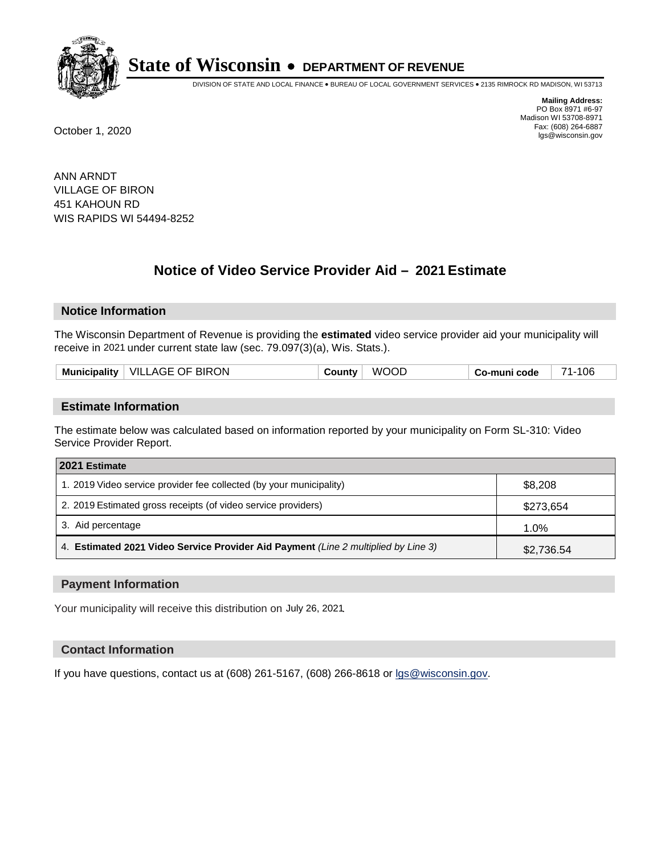

DIVISION OF STATE AND LOCAL FINANCE • BUREAU OF LOCAL GOVERNMENT SERVICES • 2135 RIMROCK RD MADISON, WI 53713

**Mailing Address:** PO Box 8971 #6-97 Madison WI 53708-8971<br>Fax: (608) 264-6887 Fax: (608) 264-6887 October 1, 2020 lgs@wisconsin.gov

ANN ARNDT VILLAGE OF BIRON 451 KAHOUN RD WIS RAPIDS WI 54494-8252

# **Notice of Video Service Provider Aid - 2021 Estimate**

## **Notice Information**

The Wisconsin Department of Revenue is providing the **estimated** video service provider aid your municipality will receive in 2021 under current state law (sec. 79.097(3)(a), Wis. Stats.).

|--|

#### **Estimate Information**

The estimate below was calculated based on information reported by your municipality on Form SL-310: Video Service Provider Report.

| 2021 Estimate                                                                      |            |
|------------------------------------------------------------------------------------|------------|
| 1. 2019 Video service provider fee collected (by your municipality)                | \$8,208    |
| 2. 2019 Estimated gross receipts (of video service providers)                      | \$273,654  |
| 3. Aid percentage                                                                  | 1.0%       |
| 4. Estimated 2021 Video Service Provider Aid Payment (Line 2 multiplied by Line 3) | \$2,736.54 |

#### **Payment Information**

Your municipality will receive this distribution on July 26, 2021.

## **Contact Information**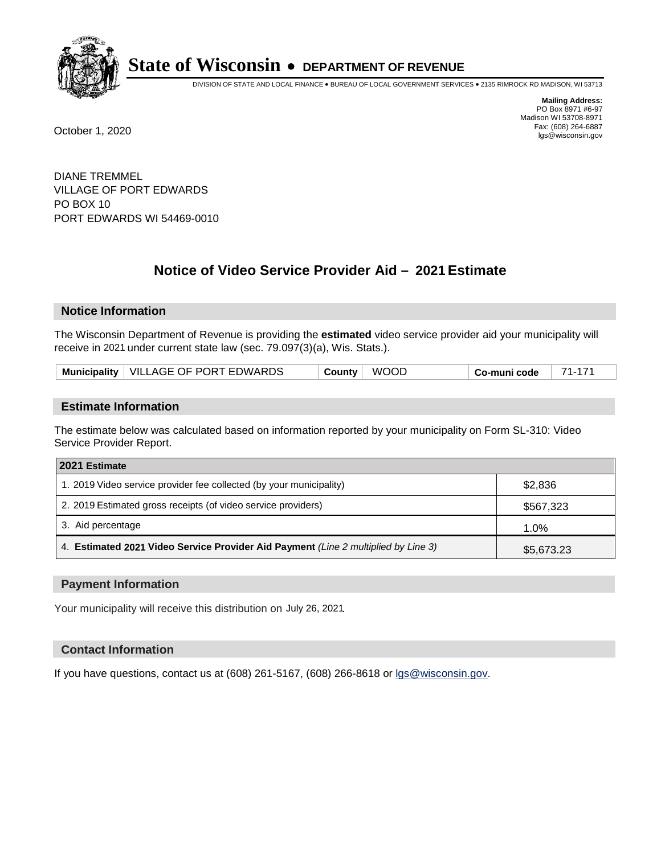

DIVISION OF STATE AND LOCAL FINANCE • BUREAU OF LOCAL GOVERNMENT SERVICES • 2135 RIMROCK RD MADISON, WI 53713

**Mailing Address:** PO Box 8971 #6-97 Madison WI 53708-8971<br>Fax: (608) 264-6887 Fax: (608) 264-6887 October 1, 2020 lgs@wisconsin.gov

DIANE TREMMEL VILLAGE OF PORT EDWARDS PO BOX 10 PORT EDWARDS WI 54469-0010

# **Notice of Video Service Provider Aid - 2021 Estimate**

## **Notice Information**

The Wisconsin Department of Revenue is providing the **estimated** video service provider aid your municipality will receive in 2021 under current state law (sec. 79.097(3)(a), Wis. Stats.).

| Municipality   VILLAGE OF PORT EDWARDS | <b>WOOD</b><br>County | 71-171<br>Co-muni code |
|----------------------------------------|-----------------------|------------------------|
|----------------------------------------|-----------------------|------------------------|

#### **Estimate Information**

The estimate below was calculated based on information reported by your municipality on Form SL-310: Video Service Provider Report.

| 2021 Estimate                                                                      |            |
|------------------------------------------------------------------------------------|------------|
| 1. 2019 Video service provider fee collected (by your municipality)                | \$2,836    |
| 2. 2019 Estimated gross receipts (of video service providers)                      | \$567,323  |
| 3. Aid percentage                                                                  | 1.0%       |
| 4. Estimated 2021 Video Service Provider Aid Payment (Line 2 multiplied by Line 3) | \$5,673.23 |

#### **Payment Information**

Your municipality will receive this distribution on July 26, 2021.

## **Contact Information**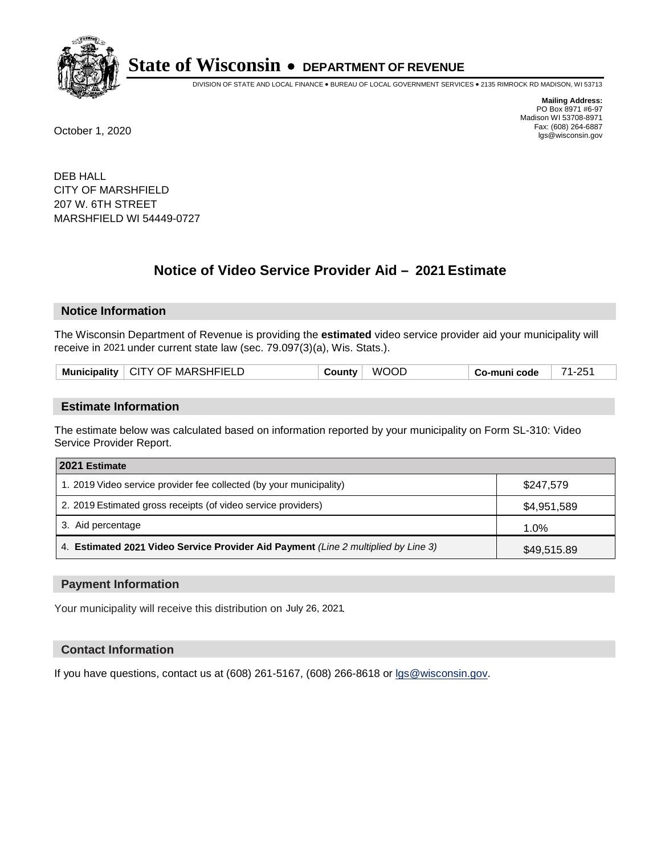

DIVISION OF STATE AND LOCAL FINANCE • BUREAU OF LOCAL GOVERNMENT SERVICES • 2135 RIMROCK RD MADISON, WI 53713

**Mailing Address:** PO Box 8971 #6-97 Madison WI 53708-8971<br>Fax: (608) 264-6887 Fax: (608) 264-6887 October 1, 2020 lgs@wisconsin.gov

DEB HALL CITY OF MARSHFIELD 207 W. 6TH STREET MARSHFIELD WI 54449-0727

# **Notice of Video Service Provider Aid - 2021 Estimate**

## **Notice Information**

The Wisconsin Department of Revenue is providing the **estimated** video service provider aid your municipality will receive in 2021 under current state law (sec. 79.097(3)(a), Wis. Stats.).

| Municipality   CITY OF MARSHFIELD |
|-----------------------------------|
|-----------------------------------|

#### **Estimate Information**

The estimate below was calculated based on information reported by your municipality on Form SL-310: Video Service Provider Report.

| 2021 Estimate                                                                      |             |
|------------------------------------------------------------------------------------|-------------|
| 1. 2019 Video service provider fee collected (by your municipality)                | \$247.579   |
| 2. 2019 Estimated gross receipts (of video service providers)                      | \$4,951,589 |
| 3. Aid percentage                                                                  | 1.0%        |
| 4. Estimated 2021 Video Service Provider Aid Payment (Line 2 multiplied by Line 3) | \$49,515.89 |

#### **Payment Information**

Your municipality will receive this distribution on July 26, 2021.

## **Contact Information**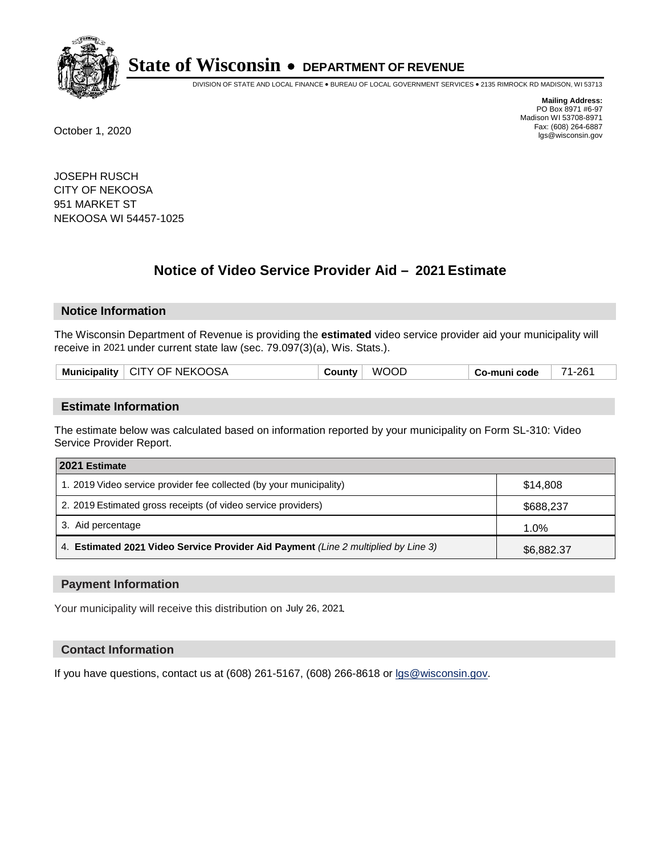

DIVISION OF STATE AND LOCAL FINANCE • BUREAU OF LOCAL GOVERNMENT SERVICES • 2135 RIMROCK RD MADISON, WI 53713

**Mailing Address:** PO Box 8971 #6-97 Madison WI 53708-8971<br>Fax: (608) 264-6887 Fax: (608) 264-6887 October 1, 2020 lgs@wisconsin.gov

JOSEPH RUSCH CITY OF NEKOOSA 951 MARKET ST NEKOOSA WI 54457-1025

# **Notice of Video Service Provider Aid - 2021 Estimate**

## **Notice Information**

The Wisconsin Department of Revenue is providing the **estimated** video service provider aid your municipality will receive in 2021 under current state law (sec. 79.097(3)(a), Wis. Stats.).

| Municipality   CITY OF NEKOOSA | County | <b>WOOD</b> | ∣ Co-muni code | 71-261 |
|--------------------------------|--------|-------------|----------------|--------|
|                                |        |             |                |        |

#### **Estimate Information**

The estimate below was calculated based on information reported by your municipality on Form SL-310: Video Service Provider Report.

| 2021 Estimate                                                                      |            |
|------------------------------------------------------------------------------------|------------|
| 1. 2019 Video service provider fee collected (by your municipality)                | \$14,808   |
| 2. 2019 Estimated gross receipts (of video service providers)                      | \$688,237  |
| 3. Aid percentage                                                                  | 1.0%       |
| 4. Estimated 2021 Video Service Provider Aid Payment (Line 2 multiplied by Line 3) | \$6,882.37 |

#### **Payment Information**

Your municipality will receive this distribution on July 26, 2021.

## **Contact Information**